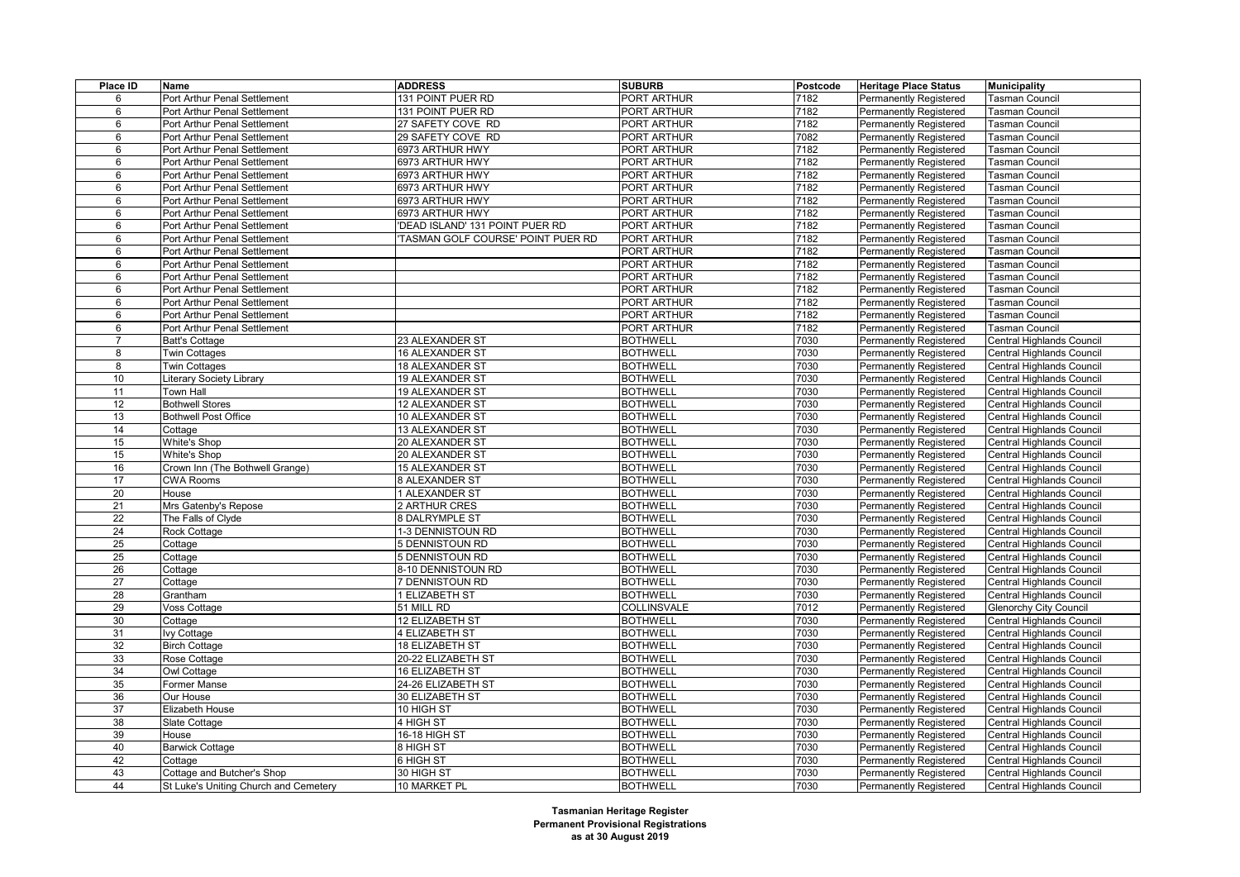| Place ID        | Name                                  | <b>ADDRESS</b>                        | <b>SUBURB</b>                      | Postcode | <b>Heritage Place Status</b>                            | <b>Municipality</b>                                    |
|-----------------|---------------------------------------|---------------------------------------|------------------------------------|----------|---------------------------------------------------------|--------------------------------------------------------|
| 6               | Port Arthur Penal Settlement          | 131 POINT PUER RD                     | PORT ARTHUR                        | 7182     | Permanently Registered                                  | <b>Tasman Council</b>                                  |
| 6               | Port Arthur Penal Settlement          | 131 POINT PUER RD                     | PORT ARTHUR                        | 7182     | <b>Permanently Registered</b>                           | <b>Tasman Council</b>                                  |
| 6               | Port Arthur Penal Settlement          | 27 SAFETY COVE RD                     | PORT ARTHUR                        | 7182     | Permanently Registered                                  | <b>Tasman Council</b>                                  |
| 6               | Port Arthur Penal Settlement          | 29 SAFETY COVE RD                     | PORT ARTHUR                        | 7082     | <b>Permanently Registered</b>                           | Tasman Council                                         |
| 6               | Port Arthur Penal Settlement          | 6973 ARTHUR HWY                       | PORT ARTHUR                        | 7182     | <b>Permanently Registered</b>                           | Tasman Council                                         |
| 6               | Port Arthur Penal Settlement          | 6973 ARTHUR HWY                       | PORT ARTHUR                        | 7182     | <b>Permanently Registered</b>                           | Tasman Council                                         |
| 6               | Port Arthur Penal Settlement          | 6973 ARTHUR HWY                       | PORT ARTHUR                        | 7182     | <b>Permanently Registered</b>                           | Tasman Council                                         |
| 6               | Port Arthur Penal Settlement          | 6973 ARTHUR HWY                       | PORT ARTHUR                        | 7182     | <b>Permanently Registered</b>                           | <b>Tasman Council</b>                                  |
| 6               | Port Arthur Penal Settlement          | 6973 ARTHUR HWY                       | PORT ARTHUR                        | 7182     | Permanently Registered                                  | <b>Tasman Council</b>                                  |
| 6               | Port Arthur Penal Settlement          | 6973 ARTHUR HWY                       | PORT ARTHUR                        | 7182     | <b>Permanently Registered</b>                           | Tasman Council                                         |
| 6               | Port Arthur Penal Settlement          | DEAD ISLAND' 131 POINT PUER RD        | PORT ARTHUR                        | 7182     | <b>Permanently Registered</b>                           | <b>Tasman Council</b>                                  |
| 6               | Port Arthur Penal Settlement          | TASMAN GOLF COURSE' POINT PUER RD     | PORT ARTHUR                        | 7182     | Permanently Registered                                  | <b>Tasman Council</b>                                  |
| 6               | Port Arthur Penal Settlement          |                                       | PORT ARTHUR                        | 7182     | <b>Permanently Registered</b>                           | <b>Tasman Council</b>                                  |
| 6               | Port Arthur Penal Settlement          |                                       | PORT ARTHUR                        | 7182     | <b>Permanently Registered</b>                           | <b>Tasman Council</b>                                  |
| 6               | Port Arthur Penal Settlement          |                                       | PORT ARTHUR                        | 7182     | Permanently Registered                                  | <b>Tasman Council</b>                                  |
| 6               | Port Arthur Penal Settlement          |                                       | PORT ARTHUR                        | 7182     | <b>Permanently Registered</b>                           | Tasman Council                                         |
| 6               | Port Arthur Penal Settlement          |                                       | PORT ARTHUR                        | 7182     | Permanently Registered                                  | <b>Tasman Council</b>                                  |
| 6               | Port Arthur Penal Settlement          |                                       | PORT ARTHUR                        | 7182     | Permanently Registered                                  | <b>Tasman Council</b>                                  |
| 6               | Port Arthur Penal Settlement          |                                       | PORT ARTHUR                        | 7182     | <b>Permanently Registered</b>                           | <b>Tasman Council</b>                                  |
| $\overline{7}$  | <b>Batt's Cottage</b>                 | 23 ALEXANDER ST                       | <b>BOTHWELL</b>                    | 7030     | <b>Permanently Registered</b>                           | Central Highlands Council                              |
| 8               | <b>Twin Cottages</b>                  | <b>16 ALEXANDER ST</b>                | <b>BOTHWELL</b>                    | 7030     | Permanently Registered                                  | Central Highlands Council                              |
| 8               | Twin Cottages                         | 18 ALEXANDER ST                       | <b>BOTHWELL</b>                    | 7030     | <b>Permanently Registered</b>                           | Central Highlands Council                              |
| 10              | Literary Society Library              | 19 ALEXANDER ST                       | <b>BOTHWELL</b>                    | 7030     | <b>Permanently Registered</b>                           | Central Highlands Council                              |
| 11              | Town Hall                             | <b>19 ALEXANDER ST</b>                | <b>BOTHWELL</b>                    | 7030     | Permanently Registered                                  | Central Highlands Council                              |
| 12              | <b>Bothwell Stores</b>                | 12 ALEXANDER ST                       | <b>BOTHWELL</b>                    | 7030     | <b>Permanently Registered</b>                           | Central Highlands Council                              |
| 13              | <b>Bothwell Post Office</b>           | 10 ALEXANDER ST                       | <b>BOTHWELL</b>                    | 7030     | <b>Permanently Registered</b>                           | Central Highlands Council                              |
| 14              | Cottage                               | <b>13 ALEXANDER ST</b>                | <b>BOTHWELL</b>                    | 7030     | Permanently Registered                                  | Central Highlands Council                              |
| 15              | White's Shop                          | 20 ALEXANDER ST                       | <b>BOTHWELL</b>                    | 7030     | <b>Permanently Registered</b>                           | Central Highlands Council                              |
| 15              | <b>White's Shop</b>                   | 20 ALEXANDER ST                       | <b>BOTHWELL</b>                    | 7030     | <b>Permanently Registered</b>                           | Central Highlands Council                              |
| 16              | Crown Inn (The Bothwell Grange)       | <b>15 ALEXANDER ST</b>                | <b>BOTHWELL</b>                    | 7030     | <b>Permanently Registered</b>                           | Central Highlands Council                              |
| 17              | <b>CWA Rooms</b>                      | <b>8 ALEXANDER ST</b>                 | <b>BOTHWELL</b>                    | 7030     | <b>Permanently Registered</b>                           | Central Highlands Council                              |
| 20              | House                                 | 1 ALEXANDER ST                        | <b>BOTHWELL</b>                    | 7030     | <b>Permanently Registered</b>                           | Central Highlands Council                              |
| 21              | Mrs Gatenby's Repose                  | 2 ARTHUR CRES                         | <b>BOTHWELL</b>                    | 7030     | Permanently Registered                                  | Central Highlands Council                              |
| 22              | The Falls of Clyde                    | <b>8 DALRYMPLE ST</b>                 | <b>BOTHWELL</b>                    | 7030     | Permanently Registered                                  | Central Highlands Council                              |
| 24              | Rock Cottage                          | 1-3 DENNISTOUN RD                     | <b>BOTHWELL</b>                    | 7030     | <b>Permanently Registered</b>                           | Central Highlands Council                              |
| 25              | Cottage                               | 5 DENNISTOUN RD                       | <b>BOTHWELL</b>                    | 7030     | Permanently Registered                                  | Central Highlands Council                              |
| 25              |                                       | <b>DENNISTOUN RD</b>                  | <b>BOTHWELL</b>                    | 7030     | Permanently Registered                                  | Central Highlands Council                              |
| 26              | Cottage<br>Cottage                    | 8-10 DENNISTOUN RD                    | <b>BOTHWELL</b>                    | 7030     | <b>Permanently Registered</b>                           | Central Highlands Council                              |
| $\overline{27}$ | Cottage                               | <b>DENNISTOUN RD</b>                  | <b>BOTHWELL</b>                    | 7030     | Permanently Registered                                  | Central Highlands Council                              |
| 28              | Grantham                              | <b>I ELIZABETH ST</b>                 | <b>BOTHWELL</b>                    | 7030     | Permanently Registered                                  | Central Highlands Council                              |
| 29              | Voss Cottage                          | 51 MILL RD                            | COLLINSVALE                        | 7012     | <b>Permanently Registered</b>                           | <b>Glenorchy City Council</b>                          |
| 30              |                                       | 12 ELIZABETH ST                       | <b>BOTHWELL</b>                    | 7030     | <b>Permanently Registered</b>                           | Central Highlands Council                              |
| 31              | Cottage<br>lvy Cottage                | 4 ELIZABETH ST                        | <b>BOTHWELL</b>                    | 7030     | <b>Permanently Registered</b>                           | Central Highlands Council                              |
| 32              | <b>Birch Cottage</b>                  | <b>18 ELIZABETH ST</b>                | <b>BOTHWELL</b>                    | 7030     | <b>Permanently Registered</b>                           | Central Highlands Council                              |
|                 |                                       |                                       | <b>BOTHWELL</b>                    | 7030     |                                                         |                                                        |
| 33<br>34        | Rose Cottage<br>Owl Cottage           | 20-22 ELIZABETH ST<br>16 ELIZABETH ST | <b>BOTHWELL</b>                    | 7030     | Permanently Registered<br><b>Permanently Registered</b> | Central Highlands Council<br>Central Highlands Council |
|                 |                                       |                                       |                                    | 7030     |                                                         |                                                        |
| 35<br>36        | Former Manse<br>Our House             | 24-26 ELIZABETH ST<br>30 ELIZABETH ST | <b>BOTHWELL</b><br><b>BOTHWELL</b> | 7030     | <b>Permanently Registered</b>                           | Central Highlands Council<br>Central Highlands Council |
| 37              |                                       | 10 HIGH ST                            | <b>BOTHWELL</b>                    | 7030     | Permanently Registered                                  | Central Highlands Council                              |
|                 | Elizabeth House                       | 4 HIGH ST                             | <b>BOTHWELL</b>                    | 7030     | <b>Permanently Registered</b>                           |                                                        |
| 38<br>39        | Slate Cottage<br>House                | 16-18 HIGH ST                         | <b>BOTHWELL</b>                    | 7030     | <b>Permanently Registered</b>                           | Central Highlands Council<br>Central Highlands Council |
| 40              | <b>Barwick Cottage</b>                | 8 HIGH ST                             | <b>BOTHWELL</b>                    | 7030     | Permanently Registered<br><b>Permanently Registered</b> |                                                        |
| 42              |                                       | 6 HIGH ST                             | <b>BOTHWELL</b>                    | 7030     | <b>Permanently Registered</b>                           | Central Highlands Council<br>Central Highlands Council |
| 43              | Cottage<br>Cottage and Butcher's Shop | 30 HIGH ST                            | <b>BOTHWELL</b>                    | 7030     | Permanently Registered                                  | Central Highlands Council                              |
| 44              | St Luke's Uniting Church and Cemetery | 10 MARKET PL                          | <b>BOTHWELL</b>                    | 7030     |                                                         |                                                        |
|                 |                                       |                                       |                                    |          | Permanently Registered                                  | Central Highlands Council                              |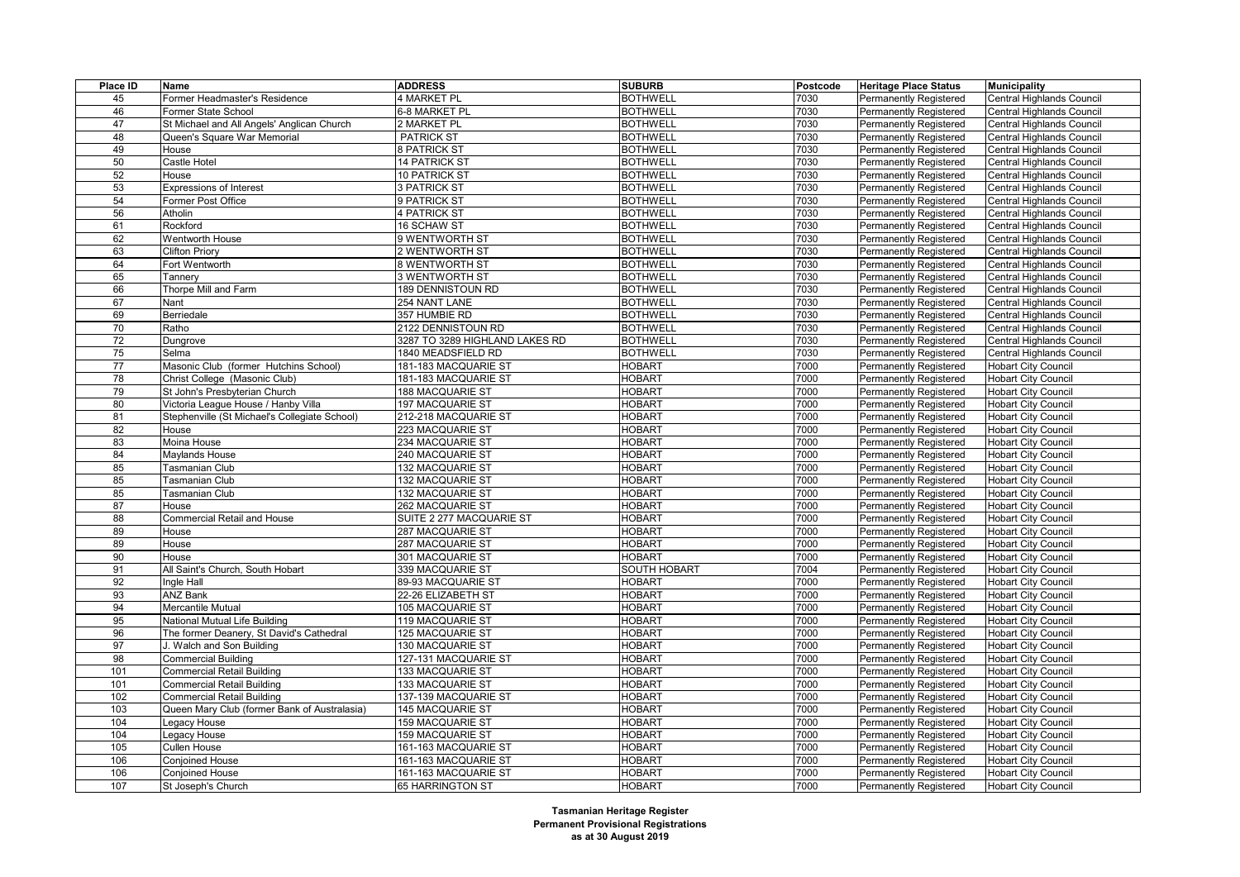| Place ID        | Name                                          | <b>ADDRESS</b>                 | <b>SUBURB</b>       | <b>Postcode</b> | <b>Heritage Place Status</b>  | <b>Municipality</b>              |
|-----------------|-----------------------------------------------|--------------------------------|---------------------|-----------------|-------------------------------|----------------------------------|
| 45              | Former Headmaster's Residence                 | 4 MARKET PL                    | <b>BOTHWELL</b>     | 7030            | Permanently Registered        | Central Highlands Council        |
| 46              | <b>Former State School</b>                    | 6-8 MARKET PL                  | <b>BOTHWELL</b>     | 7030            | Permanently Registered        | Central Highlands Council        |
| 47              | St Michael and All Angels' Anglican Church    | 2 MARKET PL                    | <b>BOTHWELL</b>     | 7030            | <b>Permanently Registered</b> | Central Highlands Council        |
| 48              | Queen's Square War Memorial                   | <b>PATRICK ST</b>              | <b>BOTHWELL</b>     | 7030            | <b>Permanently Registered</b> | Central Highlands Council        |
| 49              | House                                         | <b>8 PATRICK ST</b>            | <b>BOTHWELL</b>     | 7030            | <b>Permanently Registered</b> | Central Highlands Council        |
| 50              | Castle Hotel                                  | <b>14 PATRICK ST</b>           | <b>BOTHWELL</b>     | 7030            | <b>Permanently Registered</b> | Central Highlands Council        |
| 52              | House                                         | 10 PATRICK ST                  | <b>BOTHWELL</b>     | 7030            | <b>Permanently Registered</b> | Central Highlands Council        |
| 53              | <b>Expressions of Interest</b>                | <b>3 PATRICK ST</b>            | <b>BOTHWELL</b>     | 7030            | Permanently Registered        | <b>Central Highlands Council</b> |
| 54              | Former Post Office                            | 9 PATRICK ST                   | <b>BOTHWELL</b>     | 7030            | <b>Permanently Registered</b> | Central Highlands Council        |
| 56              | Atholin                                       | 4 PATRICK ST                   | <b>BOTHWELL</b>     | 7030            | <b>Permanently Registered</b> | Central Highlands Council        |
| 61              | Rockford                                      | 16 SCHAW ST                    | <b>BOTHWELL</b>     | 7030            | Permanently Registered        | Central Highlands Council        |
| 62              | Wentworth House                               | 9 WENTWORTH ST                 | <b>BOTHWELL</b>     | 7030            | <b>Permanently Registered</b> | Central Highlands Council        |
| 63              | <b>Clifton Priory</b>                         | 2 WENTWORTH ST                 | <b>BOTHWELL</b>     | 7030            | <b>Permanently Registered</b> | Central Highlands Council        |
| 64              | Fort Wentworth                                | <b>8 WENTWORTH ST</b>          | <b>BOTHWELL</b>     | 7030            | Permanently Registered        | Central Highlands Council        |
| 65              | Tannery                                       | 3 WENTWORTH ST                 | <b>BOTHWELL</b>     | 7030            | <b>Permanently Registered</b> | Central Highlands Council        |
| 66              | Thorpe Mill and Farm                          | <b>189 DENNISTOUN RD</b>       | <b>BOTHWELL</b>     | 7030            | <b>Permanently Registered</b> | Central Highlands Council        |
| 67              | Nant                                          | 254 NANT LANE                  | <b>BOTHWELL</b>     | 7030            | <b>Permanently Registered</b> | Central Highlands Council        |
| 69              | Berriedale                                    | 357 HUMBIE RD                  | <b>BOTHWELL</b>     | 7030            | <b>Permanently Registered</b> | Central Highlands Council        |
| 70              | Ratho                                         | 2122 DENNISTOUN RD             | <b>BOTHWELL</b>     | 7030            | <b>Permanently Registered</b> | Central Highlands Council        |
| $\overline{72}$ | Dungrove                                      | 3287 TO 3289 HIGHLAND LAKES RD | <b>BOTHWELL</b>     | 7030            | <b>Permanently Registered</b> | Central Highlands Council        |
| 75              | Selma                                         | 1840 MEADSFIELD RD             | <b>BOTHWELL</b>     | 7030            | <b>Permanently Registered</b> | Central Highlands Council        |
| 77              | Masonic Club (former Hutchins School)         | 181-183 MACQUARIE ST           | <b>HOBART</b>       | 7000            | <b>Permanently Registered</b> | <b>Hobart City Council</b>       |
| 78              | Christ College (Masonic Club)                 | 181-183 MACQUARIE ST           | <b>HOBART</b>       | 7000            | <b>Permanently Registered</b> | <b>Hobart City Council</b>       |
| 79              | St John's Presbyterian Church                 | 188 MACQUARIE ST               | <b>HOBART</b>       | 7000            | <b>Permanently Registered</b> | <b>Hobart City Council</b>       |
| 80              | Victoria League House / Hanby Villa           | 197 MACQUARIE ST               | <b>HOBART</b>       | 7000            | <b>Permanently Registered</b> | <b>Hobart City Council</b>       |
| 81              | Stephenville (St Michael's Collegiate School) | 212-218 MACQUARIE ST           | <b>HOBART</b>       | 7000            | <b>Permanently Registered</b> | <b>Hobart City Council</b>       |
| 82              | House                                         | 223 MACQUARIE ST               | <b>HOBART</b>       | 7000            | <b>Permanently Registered</b> | <b>Hobart City Council</b>       |
| 83              | Moina House                                   | 234 MACQUARIE ST               | <b>HOBART</b>       | 7000            | <b>Permanently Registered</b> | <b>Hobart City Council</b>       |
| 84              | Maylands House                                | 240 MACQUARIE ST               | <b>HOBART</b>       | 7000            | <b>Permanently Registered</b> | <b>Hobart City Council</b>       |
| 85              | Tasmanian Club                                | 132 MACQUARIE ST               | <b>HOBART</b>       | 7000            | <b>Permanently Registered</b> | <b>Hobart City Council</b>       |
| 85              | <b>Tasmanian Club</b>                         | 132 MACQUARIE ST               | <b>HOBART</b>       | 7000            | <b>Permanently Registered</b> | <b>Hobart City Council</b>       |
| 85              | Tasmanian Club                                | 132 MACQUARIE ST               | <b>HOBART</b>       | 7000            | <b>Permanently Registered</b> | <b>Hobart City Council</b>       |
| 87              | House                                         | 262 MACQUARIE ST               | <b>HOBART</b>       | 7000            | <b>Permanently Registered</b> | <b>Hobart City Council</b>       |
| 88              | Commercial Retail and House                   | SUITE 2 277 MACQUARIE ST       | <b>HOBART</b>       | 7000            | Permanently Registered        | <b>Hobart City Council</b>       |
| 89              | House                                         | 287 MACQUARIE ST               | <b>HOBART</b>       | 7000            | <b>Permanently Registered</b> | <b>Hobart City Council</b>       |
| 89              | House                                         | 287 MACQUARIE ST               | <b>HOBART</b>       | 7000            | <b>Permanently Registered</b> | <b>Hobart City Council</b>       |
| 90              | House                                         | 301 MACQUARIE ST               | <b>HOBART</b>       | 7000            | Permanently Registered        | <b>Hobart City Council</b>       |
| 91              | All Saint's Church, South Hobart              | 339 MACQUARIE ST               | <b>SOUTH HOBART</b> | 7004            | <b>Permanently Registered</b> | <b>Hobart City Council</b>       |
| 92              | Ingle Hall                                    | 89-93 MACQUARIE ST             | HOBART              | 7000            | Permanently Registered        | <b>Hobart City Council</b>       |
| 93              | <b>ANZ Bank</b>                               | 22-26 ELIZABETH ST             | <b>HOBART</b>       | 7000            | <b>Permanently Registered</b> | <b>Hobart City Council</b>       |
| 94              | Mercantile Mutual                             | 105 MACQUARIE ST               | <b>HOBART</b>       | 7000            | <b>Permanently Registered</b> | <b>Hobart City Council</b>       |
| 95              | National Mutual Life Building                 | 119 MACQUARIE ST               | <b>HOBART</b>       | 7000            | <b>Permanently Registered</b> | <b>Hobart City Council</b>       |
| 96              | The former Deanery, St David's Cathedral      | 125 MACQUARIE ST               | <b>HOBART</b>       | 7000            | <b>Permanently Registered</b> | <b>Hobart City Council</b>       |
| 97              | J. Walch and Son Building                     | 130 MACQUARIE ST               | <b>HOBART</b>       | 7000            | Permanently Registered        | <b>Hobart City Council</b>       |
| 98              | <b>Commercial Building</b>                    | 127-131 MACQUARIE ST           | <b>HOBART</b>       | 7000            | <b>Permanently Registered</b> | <b>Hobart City Council</b>       |
| 101             | <b>Commercial Retail Building</b>             | 133 MACQUARIE ST               | HOBART              | 7000            | <b>Permanently Registered</b> | <b>Hobart City Council</b>       |
| 101             | <b>Commercial Retail Building</b>             | 133 MACQUARIE ST               | <b>HOBART</b>       | 7000            | Permanently Registered        | <b>Hobart City Council</b>       |
| 102             | <b>Commercial Retail Building</b>             | 137-139 MACQUARIE ST           | <b>HOBART</b>       | 7000            | <b>Permanently Registered</b> | <b>Hobart City Council</b>       |
| 103             | Queen Mary Club (former Bank of Australasia)  | 145 MACQUARIE ST               | <b>HOBART</b>       | 7000            | <b>Permanently Registered</b> | <b>Hobart City Council</b>       |
| 104             | Legacy House                                  | 159 MACQUARIE ST               | <b>HOBART</b>       | 7000            | <b>Permanently Registered</b> | <b>Hobart City Council</b>       |
| 104             | Legacy House                                  | 159 MACQUARIE ST               | <b>HOBART</b>       | 7000            | <b>Permanently Registered</b> | <b>Hobart City Council</b>       |
| 105             | Cullen House                                  | 161-163 MACQUARIE ST           | <b>HOBART</b>       | 7000            | <b>Permanently Registered</b> | <b>Hobart City Council</b>       |
| 106             | <b>Conjoined House</b>                        | 161-163 MACQUARIE ST           | <b>HOBART</b>       | 7000            | <b>Permanently Registered</b> | <b>Hobart City Council</b>       |
| 106             | <b>Conioined House</b>                        | 161-163 MACQUARIE ST           | <b>HOBART</b>       | 7000            | Permanently Registered        | Hobart City Council              |
| 107             | St Joseph's Church                            | 65 HARRINGTON ST               | <b>HOBART</b>       | 7000            | Permanently Registered        | <b>Hobart City Council</b>       |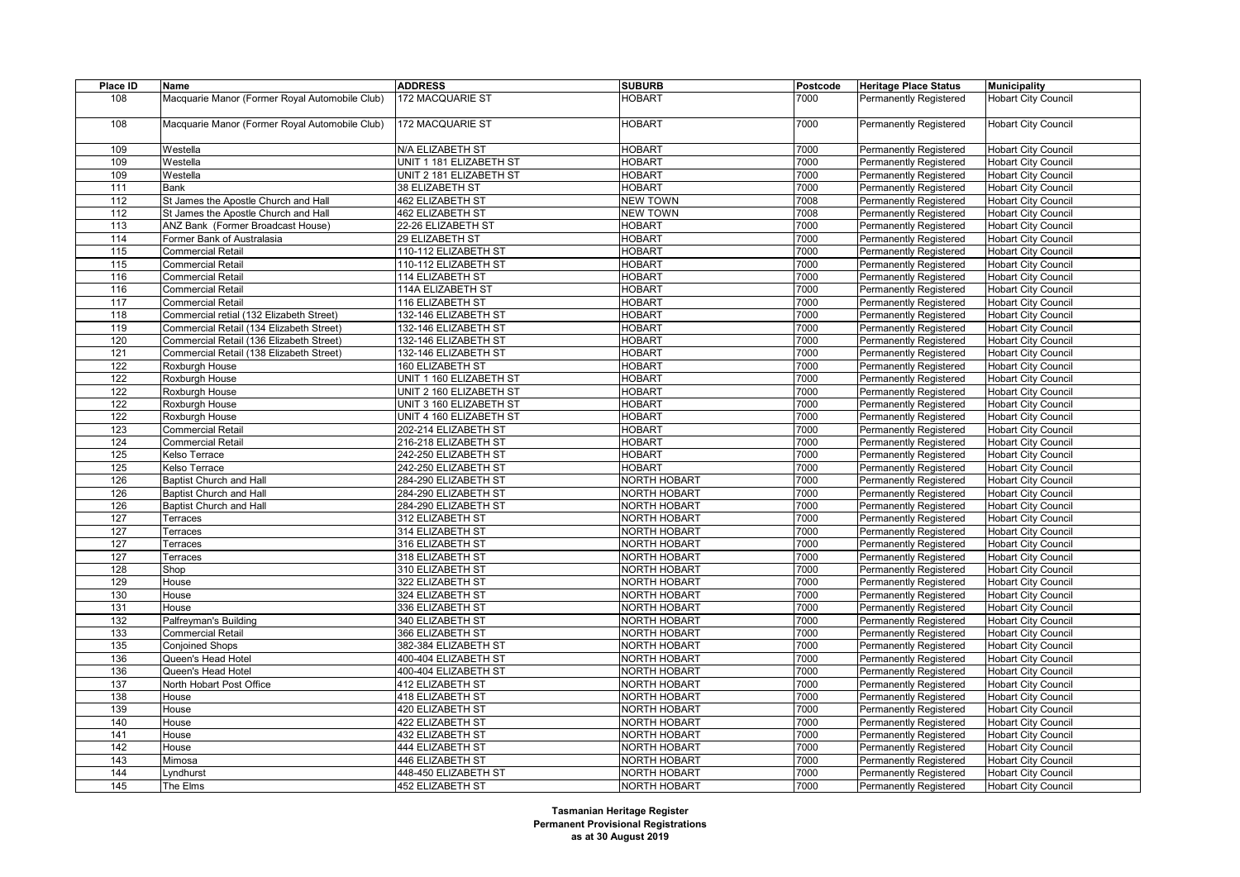| Place ID | Name                                           | <b>ADDRESS</b>          | <b>SUBURB</b>       | Postcode | <b>Heritage Place Status</b>  | Municipality               |
|----------|------------------------------------------------|-------------------------|---------------------|----------|-------------------------------|----------------------------|
| 108      | Macquarie Manor (Former Royal Automobile Club) | 172 MACQUARIE ST        | <b>HOBART</b>       | 7000     | <b>Permanently Registered</b> | <b>Hobart City Council</b> |
|          |                                                |                         |                     |          |                               |                            |
| 108      | Macquarie Manor (Former Royal Automobile Club) | 172 MACQUARIE ST        | <b>HOBART</b>       | 7000     | <b>Permanently Registered</b> | <b>Hobart City Council</b> |
|          |                                                |                         |                     |          |                               |                            |
| 109      | Westella                                       | N/A ELIZABETH ST        | <b>HOBART</b>       | 7000     | <b>Permanently Registered</b> | <b>Hobart City Council</b> |
| 109      | Westella                                       | UNIT 1 181 ELIZABETH ST | <b>HOBART</b>       | 7000     | <b>Permanently Registered</b> | <b>Hobart City Council</b> |
| 109      | Westella                                       | UNIT 2 181 ELIZABETH ST | <b>HOBART</b>       | 7000     | Permanently Registered        | <b>Hobart City Council</b> |
| 111      | Bank                                           | 38 ELIZABETH ST         | <b>HOBART</b>       | 7000     | <b>Permanently Registered</b> | <b>Hobart City Council</b> |
| 112      | St James the Apostle Church and Hall           | 462 ELIZABETH ST        | <b>NEW TOWN</b>     | 7008     | <b>Permanently Registered</b> | <b>Hobart City Council</b> |
| 112      | St James the Apostle Church and Hall           | <b>462 ELIZABETH ST</b> | <b>NEW TOWN</b>     | 7008     | Permanently Registered        | <b>Hobart City Council</b> |
| 113      | ANZ Bank (Former Broadcast House)              | 22-26 ELIZABETH ST      | <b>HOBART</b>       | 7000     | <b>Permanently Registered</b> | <b>Hobart City Council</b> |
| 114      | Former Bank of Australasia                     | 29 ELIZABETH ST         | <b>HOBART</b>       | 7000     | Permanently Registered        | <b>Hobart City Council</b> |
| 115      | <b>Commercial Retail</b>                       | 110-112 ELIZABETH ST    | <b>HOBART</b>       | 7000     | <b>Permanently Registered</b> | <b>Hobart City Council</b> |
| 115      | <b>Commercial Retail</b>                       | 110-112 ELIZABETH ST    | <b>HOBART</b>       | 7000     | <b>Permanently Registered</b> | <b>Hobart City Council</b> |
| 116      | Commercial Retail                              | 114 ELIZABETH ST        | <b>HOBART</b>       | 7000     | Permanently Registered        | <b>Hobart City Council</b> |
| 116      | <b>Commercial Retail</b>                       | 114A ELIZABETH ST       | <b>HOBART</b>       | 7000     | <b>Permanently Registered</b> | <b>Hobart City Council</b> |
| 117      | <b>Commercial Retail</b>                       | 116 ELIZABETH ST        | <b>HOBART</b>       | 7000     | <b>Permanently Registered</b> | <b>Hobart City Council</b> |
| 118      | Commercial retial (132 Elizabeth Street)       | 132-146 ELIZABETH ST    | <b>HOBART</b>       | 7000     | <b>Permanently Registered</b> | <b>Hobart City Council</b> |
| 119      | Commercial Retail (134 Elizabeth Street)       | 132-146 ELIZABETH ST    | <b>HOBART</b>       | 7000     | Permanently Registered        | <b>Hobart City Council</b> |
| 120      | Commercial Retail (136 Elizabeth Street)       | 132-146 ELIZABETH ST    | <b>HOBART</b>       | 7000     | <b>Permanently Registered</b> | <b>Hobart City Council</b> |
| 121      | Commercial Retail (138 Elizabeth Street)       | 132-146 ELIZABETH ST    | <b>HOBART</b>       | 7000     | <b>Permanently Registered</b> | <b>Hobart City Council</b> |
| 122      | Roxburgh House                                 | <b>160 ELIZABETH ST</b> | <b>HOBART</b>       | 7000     | <b>Permanently Registered</b> | <b>Hobart City Council</b> |
| 122      | Roxburgh House                                 | UNIT 1 160 ELIZABETH ST | <b>HOBART</b>       | 7000     | <b>Permanently Registered</b> | <b>Hobart City Council</b> |
| 122      | Roxburgh House                                 | UNIT 2 160 ELIZABETH ST | <b>HOBART</b>       | 7000     | <b>Permanently Registered</b> | <b>Hobart City Council</b> |
| 122      | Roxburgh House                                 | UNIT 3 160 ELIZABETH ST | <b>HOBART</b>       | 7000     | <b>Permanently Registered</b> | <b>Hobart City Council</b> |
| 122      | Roxburgh House                                 | UNIT 4 160 ELIZABETH ST | <b>HOBART</b>       | 7000     | Permanently Registered        | <b>Hobart City Council</b> |
| 123      | Commercial Retail                              | 202-214 ELIZABETH ST    | <b>HOBART</b>       | 7000     | <b>Permanently Registered</b> | <b>Hobart City Council</b> |
| 124      | <b>Commercial Retail</b>                       | 216-218 ELIZABETH ST    | <b>HOBART</b>       | 7000     | <b>Permanently Registered</b> | <b>Hobart City Council</b> |
| 125      | Kelso Terrace                                  | 242-250 ELIZABETH ST    | <b>HOBART</b>       | 7000     | Permanently Registered        | <b>Hobart City Council</b> |
| 125      | Kelso Terrace                                  | 242-250 ELIZABETH ST    | <b>HOBART</b>       | 7000     | <b>Permanently Registered</b> | <b>Hobart City Council</b> |
| 126      | Baptist Church and Hall                        | 284-290 ELIZABETH ST    | NORTH HOBART        | 7000     | <b>Permanently Registered</b> | <b>Hobart City Council</b> |
| 126      | Baptist Church and Hall                        | 284-290 ELIZABETH ST    | NORTH HOBART        | 7000     | Permanently Registered        | <b>Hobart City Council</b> |
| 126      | <b>Baptist Church and Hall</b>                 | 284-290 ELIZABETH ST    | NORTH HOBART        | 7000     | <b>Permanently Registered</b> | <b>Hobart City Council</b> |
| 127      | Terraces                                       | 312 ELIZABETH ST        | <b>NORTH HOBART</b> | 7000     | <b>Permanently Registered</b> | <b>Hobart City Council</b> |
| 127      | Terraces                                       | 314 ELIZABETH ST        | NORTH HOBART        | 7000     | Permanently Registered        | <b>Hobart City Council</b> |
| 127      | Terraces                                       | 316 ELIZABETH ST        | <b>NORTH HOBART</b> | 7000     | <b>Permanently Registered</b> | <b>Hobart City Council</b> |
| 127      | Terraces                                       | 318 ELIZABETH ST        | <b>NORTH HOBART</b> | 7000     | <b>Permanently Registered</b> | <b>Hobart City Council</b> |
| 128      | Shop                                           | 310 ELIZABETH ST        | NORTH HOBART        | 7000     | <b>Permanently Registered</b> | <b>Hobart City Council</b> |
| 129      | House                                          | 322 ELIZABETH ST        | <b>NORTH HOBART</b> | 7000     | <b>Permanently Registered</b> | <b>Hobart City Council</b> |
| 130      | House                                          | 324 ELIZABETH ST        | <b>NORTH HOBART</b> | 7000     | <b>Permanently Registered</b> | <b>Hobart City Council</b> |
| 131      | House                                          | 336 ELIZABETH ST        | NORTH HOBART        | 7000     | <b>Permanently Registered</b> | <b>Hobart City Council</b> |
| 132      | Palfreyman's Building                          | 340 ELIZABETH ST        | NORTH HOBART        | 7000     | <b>Permanently Registered</b> | <b>Hobart City Council</b> |
| 133      | Commercial Retail                              | 366 ELIZABETH ST        | NORTH HOBART        | 7000     | Permanently Registered        | <b>Hobart City Council</b> |
| 135      | <b>Conjoined Shops</b>                         | 382-384 ELIZABETH ST    | NORTH HOBART        | 7000     | <b>Permanently Registered</b> | <b>Hobart City Council</b> |
| 136      | Queen's Head Hotel                             | 400-404 ELIZABETH ST    | <b>NORTH HOBART</b> | 7000     | Permanently Registered        | <b>Hobart City Council</b> |
| 136      | Queen's Head Hotel                             | 400-404 ELIZABETH ST    | NORTH HOBART        | 7000     | Permanently Registered        | <b>Hobart City Council</b> |
| 137      | North Hobart Post Office                       | 412 ELIZABETH ST        | <b>NORTH HOBART</b> | 7000     | <b>Permanently Registered</b> | <b>Hobart City Council</b> |
| 138      | House                                          | 418 ELIZABETH ST        | <b>NORTH HOBART</b> | 7000     | <b>Permanently Registered</b> | <b>Hobart City Council</b> |
| 139      | House                                          | 420 ELIZABETH ST        | NORTH HOBART        | 7000     | <b>Permanently Registered</b> | <b>Hobart City Council</b> |
| 140      | House                                          | 422 ELIZABETH ST        | <b>NORTH HOBART</b> | 7000     | <b>Permanently Registered</b> | <b>Hobart City Council</b> |
| 141      | House                                          | 432 ELIZABETH ST        | NORTH HOBART        | 7000     | Permanently Registered        | <b>Hobart City Council</b> |
| 142      | House                                          | 444 ELIZABETH ST        | <b>NORTH HOBART</b> | 7000     | <b>Permanently Registered</b> | <b>Hobart City Council</b> |
| 143      | Mimosa                                         | 446 ELIZABETH ST        | <b>NORTH HOBART</b> | 7000     | <b>Permanently Registered</b> | <b>Hobart City Council</b> |
| 144      | _yndhurst                                      | 448-450 ELIZABETH ST    | <b>NORTH HOBART</b> | 7000     | Permanently Registered        | <b>Hobart City Council</b> |
| 145      | The Elms                                       | 452 ELIZABETH ST        | <b>NORTH HOBART</b> | 7000     | <b>Permanently Registered</b> | <b>Hobart City Council</b> |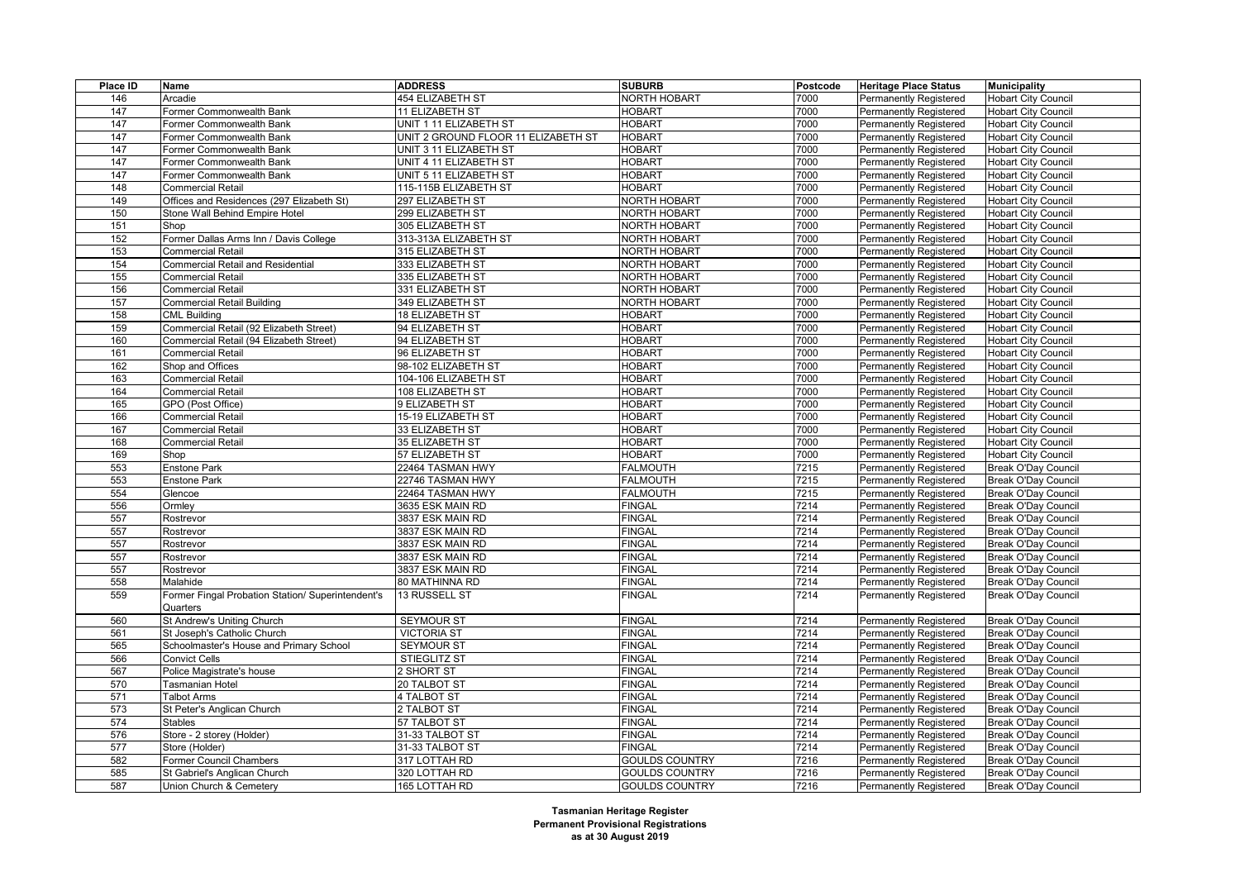| Place ID | Name                                              | <b>ADDRESS</b>                      | <b>SUBURB</b>         | Postcode | <b>Heritage Place Status</b>  | <b>Municipality</b>        |
|----------|---------------------------------------------------|-------------------------------------|-----------------------|----------|-------------------------------|----------------------------|
| 146      | Arcadie                                           | 454 ELIZABETH ST                    | <b>NORTH HOBART</b>   | 7000     | Permanently Registered        | <b>Hobart City Council</b> |
| 147      | Former Commonwealth Bank                          | <b>11 ELIZABETH ST</b>              | <b>HOBART</b>         | 7000     | Permanently Registered        | <b>Hobart City Council</b> |
| 147      | Former Commonwealth Bank                          | UNIT 1 11 ELIZABETH ST              | <b>HOBART</b>         | 7000     | Permanently Registered        | <b>Hobart City Council</b> |
| 147      | Former Commonwealth Bank                          | UNIT 2 GROUND FLOOR 11 ELIZABETH ST | <b>HOBART</b>         | 7000     | <b>Permanently Registered</b> | <b>Hobart City Council</b> |
| 147      | Former Commonwealth Bank                          | UNIT 3 11 ELIZABETH ST              | <b>HOBART</b>         | 7000     | Permanently Registered        | <b>Hobart City Council</b> |
| 147      | Former Commonwealth Bank                          | UNIT 4 11 ELIZABETH ST              | <b>HOBART</b>         | 7000     | <b>Permanently Registered</b> | <b>Hobart City Council</b> |
| 147      | Former Commonwealth Bank                          | UNIT 5 11 ELIZABETH ST              | <b>HOBART</b>         | 7000     | <b>Permanently Registered</b> | <b>Hobart City Council</b> |
| 148      | <b>Commercial Retail</b>                          | 115-115B ELIZABETH ST               | <b>HOBART</b>         | 7000     | Permanently Registered        | <b>Hobart City Council</b> |
| 149      | Offices and Residences (297 Elizabeth St)         | 297 ELIZABETH ST                    | <b>NORTH HOBART</b>   | 7000     | <b>Permanently Registered</b> | <b>Hobart City Council</b> |
| 150      | Stone Wall Behind Empire Hotel                    | 299 ELIZABETH ST                    | NORTH HOBART          | 7000     | <b>Permanently Registered</b> | <b>Hobart City Council</b> |
| 151      | Shop                                              | 305 ELIZABETH ST                    | <b>NORTH HOBART</b>   | 7000     | Permanently Registered        | <b>Hobart City Council</b> |
| 152      | Former Dallas Arms Inn / Davis College            | 313-313A ELIZABETH ST               | <b>NORTH HOBART</b>   | 7000     | Permanently Registered        | <b>Hobart City Council</b> |
| 153      | Commercial Retail                                 | 315 ELIZABETH ST                    | NORTH HOBART          | 7000     | <b>Permanently Registered</b> | <b>Hobart City Council</b> |
| 154      | <b>Commercial Retail and Residential</b>          | 333 ELIZABETH ST                    | <b>NORTH HOBART</b>   | 7000     | Permanently Registered        | <b>Hobart City Council</b> |
| 155      | <b>Commercial Retail</b>                          | 335 ELIZABETH ST                    | <b>NORTH HOBART</b>   | 7000     | <b>Permanently Registered</b> | <b>Hobart City Council</b> |
| 156      | <b>Commercial Retail</b>                          | 331 ELIZABETH ST                    | NORTH HOBART          | 7000     | <b>Permanently Registered</b> | <b>Hobart City Council</b> |
| 157      | Commercial Retail Building                        | 349 ELIZABETH ST                    | NORTH HOBART          | 7000     | Permanently Registered        | <b>Hobart City Council</b> |
| 158      | <b>CML Building</b>                               | <b>18 ELIZABETH ST</b>              | <b>HOBART</b>         | 7000     | Permanently Registered        | <b>Hobart City Council</b> |
| 159      | Commercial Retail (92 Elizabeth Street)           | 94 ELIZABETH ST                     | <b>HOBART</b>         | 7000     | <b>Permanently Registered</b> | <b>Hobart City Council</b> |
| 160      | Commercial Retail (94 Elizabeth Street)           | 94 ELIZABETH ST                     | <b>HOBART</b>         | 7000     | Permanently Registered        | <b>Hobart City Council</b> |
| 161      | <b>Commercial Retail</b>                          | 96 ELIZABETH ST                     | <b>HOBART</b>         | 7000     | Permanently Registered        | <b>Hobart City Council</b> |
| 162      | Shop and Offices                                  | 98-102 ELIZABETH ST                 | <b>HOBART</b>         | 7000     | <b>Permanently Registered</b> | <b>Hobart City Council</b> |
| 163      | <b>Commercial Retail</b>                          | 104-106 ELIZABETH ST                | <b>HOBART</b>         | 7000     | Permanently Registered        | <b>Hobart City Council</b> |
| 164      | <b>Commercial Retail</b>                          | 108 ELIZABETH ST                    | <b>HOBART</b>         | 7000     | <b>Permanently Registered</b> | <b>Hobart City Council</b> |
| 165      | GPO (Post Office)                                 | 9 ELIZABETH ST                      | <b>HOBART</b>         | 7000     | <b>Permanently Registered</b> | <b>Hobart City Council</b> |
| 166      | Commercial Retail                                 | 15-19 ELIZABETH ST                  | <b>HOBART</b>         | 7000     | Permanently Registered        | <b>Hobart City Council</b> |
| 167      | <b>Commercial Retail</b>                          | 33 ELIZABETH ST                     | <b>HOBART</b>         | 7000     | Permanently Registered        | <b>Hobart City Council</b> |
| 168      | <b>Commercial Retail</b>                          | 35 ELIZABETH ST                     | <b>HOBART</b>         | 7000     | Permanently Registered        | <b>Hobart City Council</b> |
| 169      | Shop                                              | 57 ELIZABETH ST                     | <b>HOBART</b>         | 7000     | Permanently Registered        | <b>Hobart City Council</b> |
| 553      | <b>Enstone Park</b>                               | 22464 TASMAN HWY                    | <b>FALMOUTH</b>       | 7215     | <b>Permanently Registered</b> | <b>Break O'Day Council</b> |
| 553      | <b>Enstone Park</b>                               | 22746 TASMAN HWY                    | <b>FALMOUTH</b>       | 7215     | <b>Permanently Registered</b> | <b>Break O'Day Council</b> |
| 554      | Glencoe                                           | 22464 TASMAN HWY                    | <b>FALMOUTH</b>       | 7215     | Permanently Registered        | <b>Break O'Day Council</b> |
| 556      | Ormley                                            | 3635 ESK MAIN RD                    | <b>FINGAL</b>         | 7214     | <b>Permanently Registered</b> | <b>Break O'Day Council</b> |
| 557      | Rostrevor                                         | 3837 ESK MAIN RD                    | <b>FINGAL</b>         | 7214     | <b>Permanently Registered</b> | <b>Break O'Day Council</b> |
| 557      | Rostrevor                                         | 3837 ESK MAIN RD                    | <b>FINGAL</b>         | 7214     | Permanently Registered        | <b>Break O'Day Council</b> |
| 557      | Rostrevor                                         | 3837 ESK MAIN RD                    | <b>FINGAL</b>         | 7214     | <b>Permanently Registered</b> | <b>Break O'Day Council</b> |
| 557      | Rostrevor                                         | 3837 ESK MAIN RD                    | <b>FINGAL</b>         | 7214     | <b>Permanently Registered</b> | <b>Break O'Day Council</b> |
| 557      | Rostrevor                                         | 3837 ESK MAIN RD                    | <b>FINGAL</b>         | 7214     | <b>Permanently Registered</b> | <b>Break O'Day Council</b> |
| 558      | Malahide                                          | 80 MATHINNA RD                      | <b>FINGAL</b>         | 7214     | <b>Permanently Registered</b> | <b>Break O'Day Council</b> |
| 559      | Former Fingal Probation Station/ Superintendent's | 13 RUSSELL ST                       | <b>FINGAL</b>         | 7214     | <b>Permanently Registered</b> | <b>Break O'Day Council</b> |
|          | Quarters                                          |                                     |                       |          |                               |                            |
| 560      | St Andrew's Uniting Church                        | <b>SEYMOUR ST</b>                   | <b>FINGAL</b>         | 7214     | Permanently Registered        | <b>Break O'Day Council</b> |
| 561      | St Joseph's Catholic Church                       | <b>VICTORIA ST</b>                  | <b>FINGAL</b>         | 7214     | <b>Permanently Registered</b> | <b>Break O'Day Council</b> |
| 565      | Schoolmaster's House and Primary School           | <b>SEYMOUR ST</b>                   | <b>FINGAL</b>         | 7214     | <b>Permanently Registered</b> | <b>Break O'Day Council</b> |
| 566      | <b>Convict Cells</b>                              | <b>STIEGLITZ ST</b>                 | <b>FINGAL</b>         | 7214     | Permanently Registered        | <b>Break O'Day Council</b> |
| 567      | Police Magistrate's house                         | 2 SHORT ST                          | <b>FINGAL</b>         | 7214     | Permanently Registered        | <b>Break O'Day Council</b> |
| 570      | Tasmanian Hotel                                   | 20 TALBOT ST                        | <b>FINGAL</b>         | 7214     | <b>Permanently Registered</b> | <b>Break O'Day Council</b> |
| 571      | <b>Talbot Arms</b>                                | 4 TALBOT ST                         | <b>FINGAL</b>         | 7214     | Permanently Registered        | <b>Break O'Day Council</b> |
| 573      | St Peter's Anglican Church                        | 2 TALBOT ST                         | <b>FINGAL</b>         | 7214     | <b>Permanently Registered</b> | <b>Break O'Day Council</b> |
| 574      | <b>Stables</b>                                    | 57 TALBOT ST                        | <b>FINGAL</b>         | 7214     | <b>Permanently Registered</b> | <b>Break O'Day Council</b> |
| 576      | Store - 2 storey (Holder)                         | 31-33 TALBOT ST                     | <b>FINGAL</b>         | 7214     | Permanently Registered        | <b>Break O'Day Council</b> |
| 577      | Store (Holder)                                    | 31-33 TALBOT ST                     | <b>FINGAL</b>         | 7214     | Permanently Registered        | <b>Break O'Day Council</b> |
| 582      | Former Council Chambers                           | 317 LOTTAH RD                       | <b>GOULDS COUNTRY</b> | 7216     | <b>Permanently Registered</b> | <b>Break O'Day Council</b> |
| 585      | St Gabriel's Anglican Church                      | 320 LOTTAH RD                       | <b>GOULDS COUNTRY</b> | 7216     | <b>Permanently Registered</b> | <b>Break O'Day Council</b> |
| 587      | Union Church & Cemetery                           | 165 LOTTAH RD                       | <b>GOULDS COUNTRY</b> | 7216     | Permanently Registered        | Break O'Day Council        |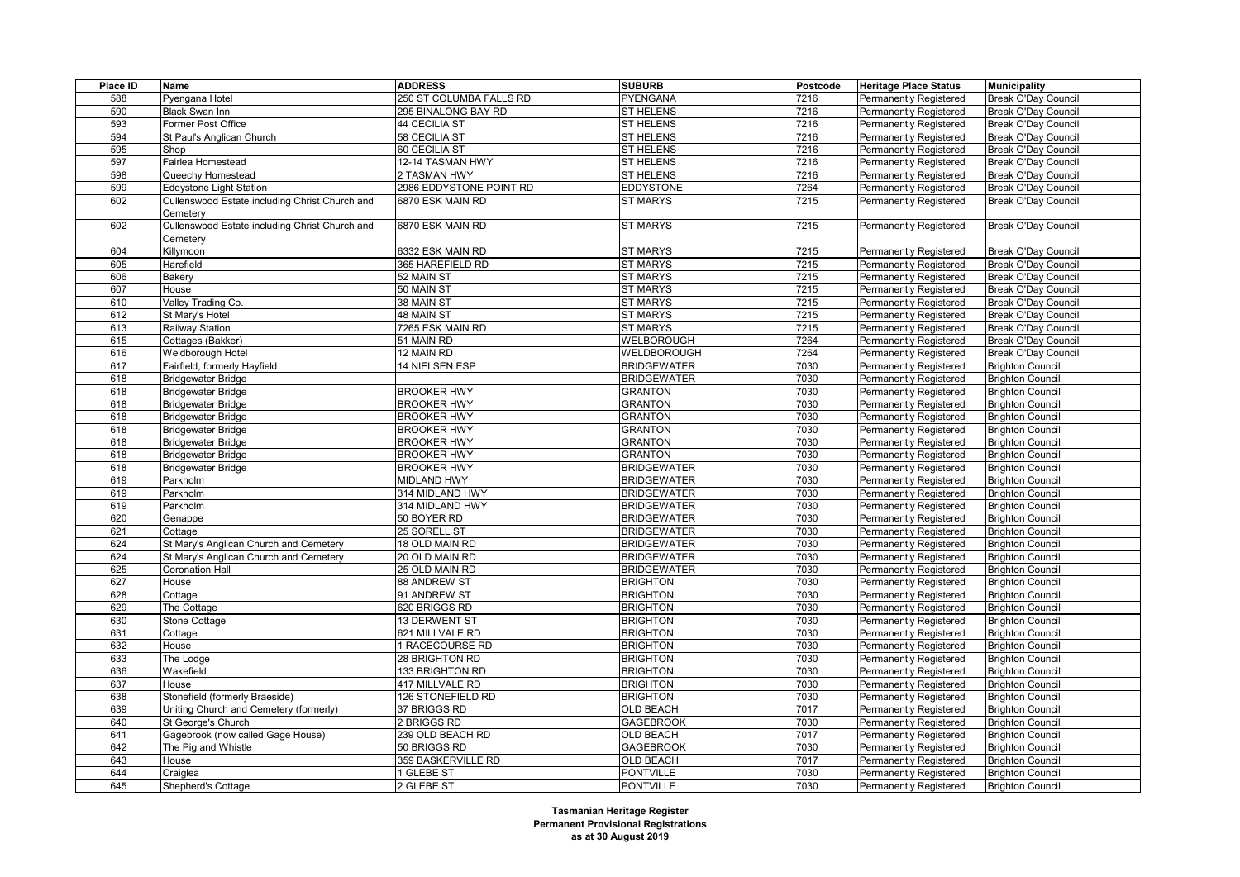| Place ID | Name                                           | <b>ADDRESS</b>          | <b>SUBURB</b>      | Postcode | <b>Heritage Place Status</b>  | <b>Municipality</b>        |
|----------|------------------------------------------------|-------------------------|--------------------|----------|-------------------------------|----------------------------|
| 588      | Pyengana Hotel                                 | 250 ST COLUMBA FALLS RD | PYENGANA           | 7216     | Permanently Registered        | <b>Break O'Day Council</b> |
| 590      | <b>Black Swan Inn</b>                          | 295 BINALONG BAY RD     | <b>ST HELENS</b>   | 7216     | Permanently Registered        | <b>Break O'Day Council</b> |
| 593      | Former Post Office                             | 44 CECILIA ST           | <b>ST HELENS</b>   | 7216     | Permanently Registered        | <b>Break O'Day Council</b> |
| 594      | St Paul's Anglican Church                      | 58 CECILIA ST           | <b>ST HELENS</b>   | 7216     | Permanently Registered        | <b>Break O'Day Council</b> |
| 595      | Shop                                           | 60 CECILIA ST           | <b>ST HELENS</b>   | 7216     | Permanently Registered        | <b>Break O'Day Council</b> |
| 597      | Fairlea Homestead                              | 12-14 TASMAN HWY        | <b>ST HELENS</b>   | 7216     | Permanently Registered        | <b>Break O'Day Council</b> |
| 598      | Queechy Homestead                              | 2 TASMAN HWY            | <b>ST HELENS</b>   | 7216     | Permanently Registered        | <b>Break O'Day Council</b> |
| 599      | <b>Eddystone Light Station</b>                 | 2986 EDDYSTONE POINT RD | <b>EDDYSTONE</b>   | 7264     | Permanently Registered        | <b>Break O'Day Council</b> |
| 602      | Cullenswood Estate including Christ Church and | 6870 ESK MAIN RD        | <b>ST MARYS</b>    | 7215     | Permanently Registered        | Break O'Day Council        |
|          | Cemeterv                                       |                         |                    |          |                               |                            |
| 602      | Cullenswood Estate including Christ Church and | 6870 ESK MAIN RD        | <b>ST MARYS</b>    | 7215     | Permanently Registered        | <b>Break O'Day Council</b> |
|          | Cemetery                                       |                         |                    |          |                               |                            |
| 604      | Killymoon                                      | 6332 ESK MAIN RD        | <b>ST MARYS</b>    | 7215     | Permanently Registered        | <b>Break O'Day Council</b> |
| 605      | Harefield                                      | 365 HAREFIELD RD        | <b>ST MARYS</b>    | 7215     | <b>Permanently Registered</b> | <b>Break O'Day Council</b> |
| 606      | Bakery                                         | 52 MAIN ST              | <b>ST MARYS</b>    | 7215     | Permanently Registered        | <b>Break O'Day Council</b> |
| 607      | House                                          | 50 MAIN ST              | <b>ST MARYS</b>    | 7215     | Permanently Registered        | <b>Break O'Day Council</b> |
| 610      | Valley Trading Co.                             | 38 MAIN ST              | <b>ST MARYS</b>    | 7215     | <b>Permanently Registered</b> | Break O'Day Council        |
| 612      | St Mary's Hotel                                | 48 MAIN ST              | <b>ST MARYS</b>    | 7215     | Permanently Registered        | <b>Break O'Day Council</b> |
| 613      | Railway Station                                | 7265 ESK MAIN RD        | <b>ST MARYS</b>    | 7215     | Permanently Registered        | <b>Break O'Day Council</b> |
| 615      | Cottages (Bakker)                              | 51 MAIN RD              | WELBOROUGH         | 7264     | Permanently Registered        | <b>Break O'Day Council</b> |
| 616      | Weldborough Hotel                              | 12 MAIN RD              | WELDBOROUGH        | 7264     | Permanently Registered        | Break O'Day Council        |
| 617      | Fairfield, formerly Hayfield                   | 14 NIELSEN ESP          | <b>BRIDGEWATER</b> | 7030     | Permanently Registered        | <b>Brighton Council</b>    |
| 618      | <b>Bridgewater Bridge</b>                      |                         | <b>BRIDGEWATER</b> | 7030     | Permanently Registered        | <b>Brighton Council</b>    |
| 618      |                                                |                         | <b>GRANTON</b>     | 7030     |                               | <b>Brighton Council</b>    |
|          | <b>Bridgewater Bridge</b>                      | <b>BROOKER HWY</b>      |                    |          | Permanently Registered        |                            |
| 618      | <b>Bridgewater Bridge</b>                      | <b>BROOKER HWY</b>      | <b>GRANTON</b>     | 7030     | Permanently Registered        | <b>Brighton Council</b>    |
| 618      | <b>Bridgewater Bridge</b>                      | <b>BROOKER HWY</b>      | <b>GRANTON</b>     | 7030     | Permanently Registered        | <b>Brighton Council</b>    |
| 618      | <b>Bridgewater Bridge</b>                      | <b>BROOKER HWY</b>      | <b>GRANTON</b>     | 7030     | Permanently Registered        | <b>Brighton Council</b>    |
| 618      | <b>Bridgewater Bridge</b>                      | <b>BROOKER HWY</b>      | <b>GRANTON</b>     | 7030     | Permanently Registered        | <b>Brighton Council</b>    |
| 618      | <b>Bridgewater Bridge</b>                      | <b>BROOKER HWY</b>      | <b>GRANTON</b>     | 7030     | Permanently Registered        | <b>Brighton Council</b>    |
| 618      | <b>Bridgewater Bridge</b>                      | <b>BROOKER HWY</b>      | <b>BRIDGEWATER</b> | 7030     | Permanently Registered        | <b>Brighton Council</b>    |
| 619      | Parkholm                                       | <b>MIDLAND HWY</b>      | <b>BRIDGEWATER</b> | 7030     | Permanently Registered        | <b>Brighton Council</b>    |
| 619      | Parkholm                                       | 314 MIDLAND HWY         | <b>BRIDGEWATER</b> | 7030     | Permanently Registered        | <b>Brighton Council</b>    |
| 619      | Parkholm                                       | 314 MIDLAND HWY         | <b>BRIDGEWATER</b> | 7030     | Permanently Registered        | <b>Brighton Council</b>    |
| 620      | Genappe                                        | 50 BOYER RD             | <b>BRIDGEWATER</b> | 7030     | <b>Permanently Registered</b> | <b>Brighton Council</b>    |
| 621      | Cottage                                        | 25 SORELL ST            | <b>BRIDGEWATER</b> | 7030     | Permanently Registered        | <b>Brighton Council</b>    |
| 624      | St Mary's Anglican Church and Cemetery         | 18 OLD MAIN RD          | <b>BRIDGEWATER</b> | 7030     | Permanently Registered        | <b>Brighton Council</b>    |
| 624      | St Mary's Anglican Church and Cemetery         | 20 OLD MAIN RD          | <b>BRIDGEWATER</b> | 7030     | Permanently Registered        | <b>Brighton Council</b>    |
| 625      | <b>Coronation Hall</b>                         | 25 OLD MAIN RD          | <b>BRIDGEWATER</b> | 7030     | Permanently Registered        | <b>Brighton Council</b>    |
| 627      | House                                          | 88 ANDREW ST            | <b>BRIGHTON</b>    | 7030     | <b>Permanently Registered</b> | <b>Brighton Council</b>    |
| 628      | Cottage                                        | 91 ANDREW ST            | <b>BRIGHTON</b>    | 7030     | Permanently Registered        | <b>Brighton Council</b>    |
| 629      | The Cottage                                    | 620 BRIGGS RD           | <b>BRIGHTON</b>    | 7030     | Permanently Registered        | <b>Brighton Council</b>    |
| 630      | Stone Cottage                                  | 13 DERWENT ST           | <b>BRIGHTON</b>    | 7030     | Permanently Registered        | <b>Brighton Council</b>    |
| 631      | Cottage                                        | 621 MILLVALE RD         | <b>BRIGHTON</b>    | 7030     | Permanently Registered        | <b>Brighton Council</b>    |
| 632      | House                                          | 1 RACECOURSE RD         | <b>BRIGHTON</b>    | 7030     | Permanently Registered        | <b>Brighton Council</b>    |
| 633      | The Lodge                                      | 28 BRIGHTON RD          | <b>BRIGHTON</b>    | 7030     | Permanently Registered        | <b>Brighton Council</b>    |
| 636      | Wakefield                                      | 133 BRIGHTON RD         | <b>BRIGHTON</b>    | 7030     | Permanently Registered        | <b>Brighton Council</b>    |
| 637      | House                                          | 417 MILLVALE RD         | <b>BRIGHTON</b>    | 7030     | Permanently Registered        | <b>Brighton Council</b>    |
| 638      | Stonefield (formerly Braeside)                 | 126 STONEFIELD RD       | <b>BRIGHTON</b>    | 7030     | <b>Permanently Registered</b> | <b>Brighton Council</b>    |
| 639      | Uniting Church and Cemetery (formerly)         | 37 BRIGGS RD            | <b>OLD BEACH</b>   | 7017     | Permanently Registered        | <b>Brighton Council</b>    |
| 640      | St George's Church                             | 2 BRIGGS RD             | <b>GAGEBROOK</b>   | 7030     | Permanently Registered        | <b>Brighton Council</b>    |
| 641      | Gagebrook (now called Gage House)              | 239 OLD BEACH RD        | <b>OLD BEACH</b>   | 7017     | Permanently Registered        | <b>Brighton Council</b>    |
| 642      | The Pig and Whistle                            | 50 BRIGGS RD            | <b>GAGEBROOK</b>   | 7030     | Permanently Registered        | <b>Brighton Council</b>    |
| 643      | House                                          | 359 BASKERVILLE RD      | OLD BEACH          | 7017     | Permanently Registered        | <b>Brighton Council</b>    |
| 644      | Craiglea                                       | 1 GLEBE ST              | <b>PONTVILLE</b>   | 7030     | <b>Permanently Registered</b> | <b>Brighton Council</b>    |
| 645      | Shepherd's Cottage                             | 2 GLEBE ST              | <b>PONTVILLE</b>   | 7030     | Permanently Registered        | <b>Brighton Council</b>    |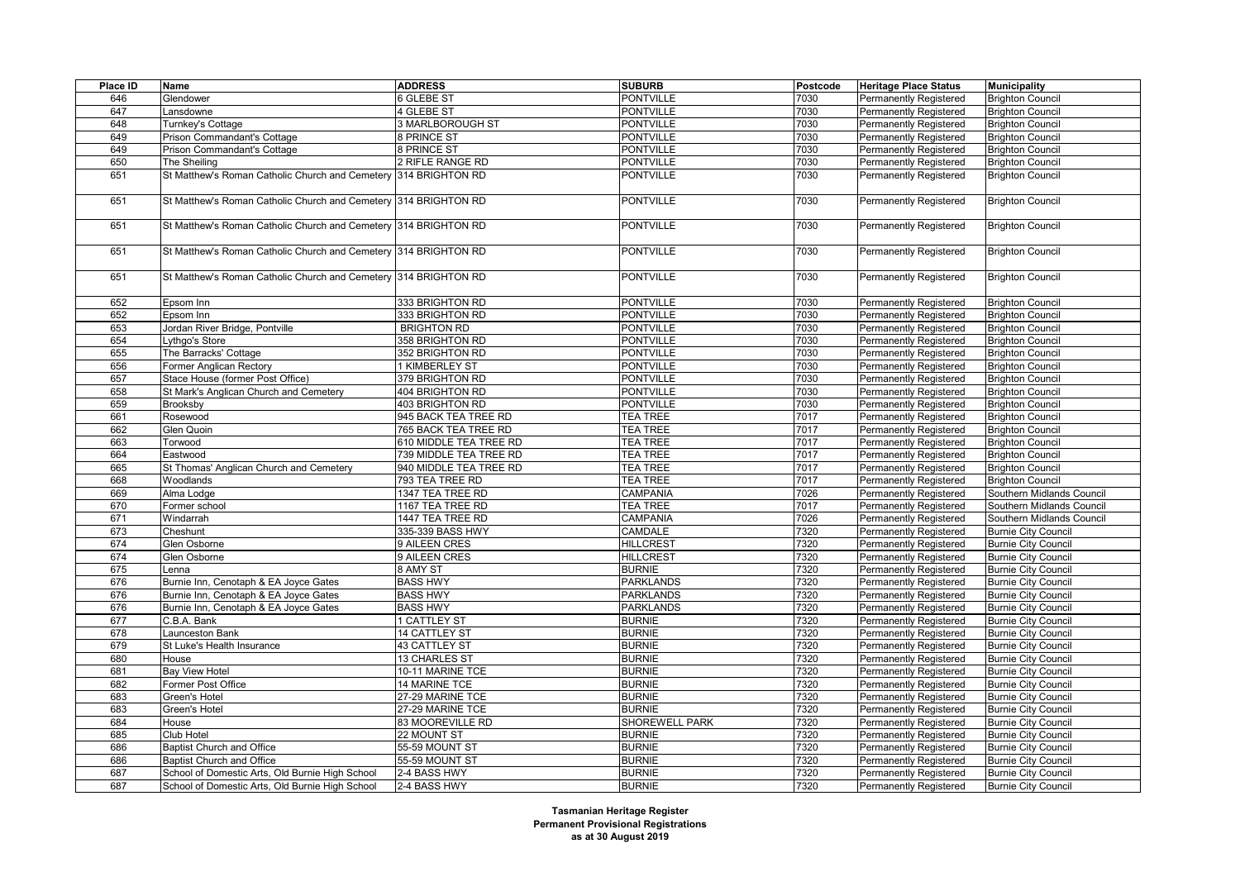| Place ID | Name                                                            | <b>ADDRESS</b>         | <b>SUBURB</b>    | <b>Postcode</b> | <b>Heritage Place Status</b>  | <b>Municipality</b>        |
|----------|-----------------------------------------------------------------|------------------------|------------------|-----------------|-------------------------------|----------------------------|
| 646      | Glendower                                                       | 6 GLEBE ST             | <b>PONTVILLE</b> | 7030            | <b>Permanently Registered</b> | <b>Brighton Council</b>    |
| 647      | Lansdowne                                                       | 4 GLEBE ST             | <b>PONTVILLE</b> | 7030            | <b>Permanently Registered</b> | <b>Brighton Council</b>    |
| 648      | Turnkey's Cottage                                               | 3 MARLBOROUGH ST       | <b>PONTVILLE</b> | 7030            | <b>Permanently Registered</b> | <b>Brighton Council</b>    |
| 649      | Prison Commandant's Cottage                                     | 8 PRINCE ST            | <b>PONTVILLE</b> | 7030            | <b>Permanently Registered</b> | <b>Brighton Council</b>    |
| 649      | Prison Commandant's Cottage                                     | 8 PRINCE ST            | <b>PONTVILLE</b> | 7030            | <b>Permanently Registered</b> | <b>Brighton Council</b>    |
| 650      | The Sheiling                                                    | 2 RIFLE RANGE RD       | <b>PONTVILLE</b> | 7030            | <b>Permanently Registered</b> | <b>Brighton Council</b>    |
| 651      | St Matthew's Roman Catholic Church and Cemetery 314 BRIGHTON RD |                        | <b>PONTVILLE</b> | 7030            | <b>Permanently Registered</b> | <b>Brighton Council</b>    |
|          |                                                                 |                        |                  |                 |                               |                            |
| 651      | St Matthew's Roman Catholic Church and Cemetery 314 BRIGHTON RD |                        | <b>PONTVILLE</b> | 7030            | <b>Permanently Registered</b> | <b>Brighton Council</b>    |
| 651      | St Matthew's Roman Catholic Church and Cemetery 314 BRIGHTON RD |                        | <b>PONTVILLE</b> | 7030            | <b>Permanently Registered</b> | <b>Brighton Council</b>    |
|          |                                                                 |                        |                  |                 |                               |                            |
| 651      | St Matthew's Roman Catholic Church and Cemetery 314 BRIGHTON RD |                        | <b>PONTVILLE</b> | 7030            | <b>Permanently Registered</b> | <b>Brighton Council</b>    |
|          |                                                                 |                        |                  |                 |                               |                            |
| 651      | St Matthew's Roman Catholic Church and Cemetery 314 BRIGHTON RD |                        | <b>PONTVILLE</b> | 7030            | <b>Permanently Registered</b> | <b>Brighton Council</b>    |
| 652      | Epsom Inn                                                       | 333 BRIGHTON RD        | <b>PONTVILLE</b> | 7030            | <b>Permanently Registered</b> | <b>Brighton Council</b>    |
| 652      | Epsom Inn                                                       | 333 BRIGHTON RD        | <b>PONTVILLE</b> | 7030            | <b>Permanently Registered</b> | <b>Brighton Council</b>    |
| 653      | Jordan River Bridge, Pontville                                  | <b>BRIGHTON RD</b>     | <b>PONTVILLE</b> | 7030            | <b>Permanently Registered</b> | <b>Brighton Council</b>    |
| 654      | Lythgo's Store                                                  | 358 BRIGHTON RD        | <b>PONTVILLE</b> | 7030            | <b>Permanently Registered</b> | <b>Brighton Council</b>    |
| 655      | The Barracks' Cottage                                           | 352 BRIGHTON RD        | <b>PONTVILLE</b> | 7030            | <b>Permanently Registered</b> | <b>Brighton Council</b>    |
| 656      | Former Anglican Rectory                                         | 1 KIMBERLEY ST         | <b>PONTVILLE</b> | 7030            | Permanently Registered        | <b>Brighton Council</b>    |
| 657      | Stace House (former Post Office)                                | 379 BRIGHTON RD        | <b>PONTVILLE</b> | 7030            | <b>Permanently Registered</b> | <b>Brighton Council</b>    |
| 658      | St Mark's Anglican Church and Cemetery                          | 404 BRIGHTON RD        | <b>PONTVILLE</b> | 7030            | <b>Permanently Registered</b> | <b>Brighton Council</b>    |
| 659      | <b>Brooksby</b>                                                 | 403 BRIGHTON RD        | <b>PONTVILLE</b> | 7030            | Permanently Registered        | <b>Brighton Council</b>    |
| 661      | Rosewood                                                        | 945 BACK TEA TREE RD   | <b>TEA TREE</b>  | 7017            | Permanently Registered        | <b>Brighton Council</b>    |
| 662      | Glen Quoin                                                      | 765 BACK TEA TREE RD   | <b>TEA TREE</b>  | 7017            | <b>Permanently Registered</b> | <b>Brighton Council</b>    |
| 663      | Torwood                                                         | 610 MIDDLE TEA TREE RD | <b>TEA TREE</b>  | 7017            | Permanently Registered        | <b>Brighton Council</b>    |
| 664      | Eastwood                                                        | 739 MIDDLE TEA TREE RD | <b>TEA TREE</b>  | 7017            | <b>Permanently Registered</b> | <b>Brighton Council</b>    |
| 665      | St Thomas' Anglican Church and Cemetery                         | 940 MIDDLE TEA TREE RD | <b>TEA TREE</b>  | 7017            | <b>Permanently Registered</b> | <b>Brighton Council</b>    |
| 668      | Woodlands                                                       | 793 TEA TREE RD        | <b>TEA TREE</b>  | 7017            | Permanently Registered        | <b>Brighton Council</b>    |
| 669      | Alma Lodge                                                      | 1347 TEA TREE RD       | CAMPANIA         | 7026            | <b>Permanently Registered</b> | Southern Midlands Council  |
| 670      | Former school                                                   | 1167 TEA TREE RD       | <b>TEA TREE</b>  | 7017            | <b>Permanently Registered</b> | Southern Midlands Council  |
| 671      | Windarrah                                                       | 1447 TEA TREE RD       | CAMPANIA         | 7026            | Permanently Registered        | Southern Midlands Council  |
| 673      | Cheshunt                                                        | 335-339 BASS HWY       | CAMDALE          | 7320            | Permanently Registered        | <b>Burnie City Council</b> |
| 674      | Glen Osborne                                                    | 9 AILEEN CRES          | <b>HILLCREST</b> | 7320            | <b>Permanently Registered</b> | <b>Burnie City Council</b> |
| 674      | Glen Osborne                                                    | 9 AILEEN CRES          | <b>HILLCREST</b> | 7320            | <b>Permanently Registered</b> | <b>Burnie City Council</b> |
| 675      | Lenna                                                           | 8 AMY ST               | <b>BURNIE</b>    | 7320            | <b>Permanently Registered</b> | <b>Burnie City Council</b> |
| 676      | Burnie Inn, Cenotaph & EA Joyce Gates                           | <b>BASS HWY</b>        | <b>PARKLANDS</b> | 7320            | Permanently Registered        | <b>Burnie City Council</b> |
| 676      | Burnie Inn, Cenotaph & EA Joyce Gates                           | <b>BASS HWY</b>        | <b>PARKLANDS</b> | 7320            | <b>Permanently Registered</b> | <b>Burnie City Council</b> |
| 676      | Burnie Inn, Cenotaph & EA Joyce Gates                           | <b>BASS HWY</b>        | <b>PARKLANDS</b> | 7320            | Permanently Registered        | <b>Burnie City Council</b> |
| 677      | C.B.A. Bank                                                     | 1 CATTLEY ST           | <b>BURNIE</b>    | 7320            | Permanently Registered        | <b>Burnie City Council</b> |
| 678      | Launceston Bank                                                 | <b>14 CATTLEY ST</b>   | <b>BURNIE</b>    | 7320            | <b>Permanently Registered</b> | <b>Burnie City Council</b> |
| 679      | St Luke's Health Insurance                                      | 43 CATTLEY ST          | <b>BURNIE</b>    | 7320            | Permanently Registered        | <b>Burnie City Council</b> |
| 680      | House                                                           | 13 CHARLES ST          | <b>BURNIE</b>    | 7320            | <b>Permanently Registered</b> | <b>Burnie City Council</b> |
| 681      | <b>Bay View Hotel</b>                                           | 10-11 MARINE TCE       | <b>BURNIE</b>    | 7320            | <b>Permanently Registered</b> | <b>Burnie City Council</b> |
| 682      | Former Post Office                                              | 14 MARINE TCE          | <b>BURNIE</b>    | 7320            | Permanently Registered        | <b>Burnie City Council</b> |
| 683      | Green's Hotel                                                   | 27-29 MARINE TCE       | <b>BURNIE</b>    | 7320            | Permanently Registered        | <b>Burnie City Council</b> |
| 683      | Green's Hotel                                                   | 27-29 MARINE TCE       | <b>BURNIE</b>    | 7320            | <b>Permanently Registered</b> | <b>Burnie City Council</b> |
| 684      | House                                                           | 83 MOOREVILLE RD       | SHOREWELL PARK   | 7320            | <b>Permanently Registered</b> | <b>Burnie City Council</b> |
| 685      | Club Hotel                                                      | 22 MOUNT ST            | <b>BURNIE</b>    | 7320            | <b>Permanently Registered</b> | <b>Burnie City Council</b> |
| 686      | Baptist Church and Office                                       | 55-59 MOUNT ST         | <b>BURNIE</b>    | 7320            | <b>Permanently Registered</b> | <b>Burnie City Council</b> |
| 686      | Baptist Church and Office                                       | 55-59 MOUNT ST         | <b>BURNIE</b>    | 7320            | Permanently Registered        | <b>Burnie City Council</b> |
| 687      | School of Domestic Arts, Old Burnie High School                 | 2-4 BASS HWY           | <b>BURNIE</b>    | 7320            | <b>Permanently Registered</b> | <b>Burnie City Council</b> |
| 687      | School of Domestic Arts, Old Burnie High School                 | 2-4 BASS HWY           | <b>BURNIE</b>    | 7320            | <b>Permanently Registered</b> | <b>Burnie City Council</b> |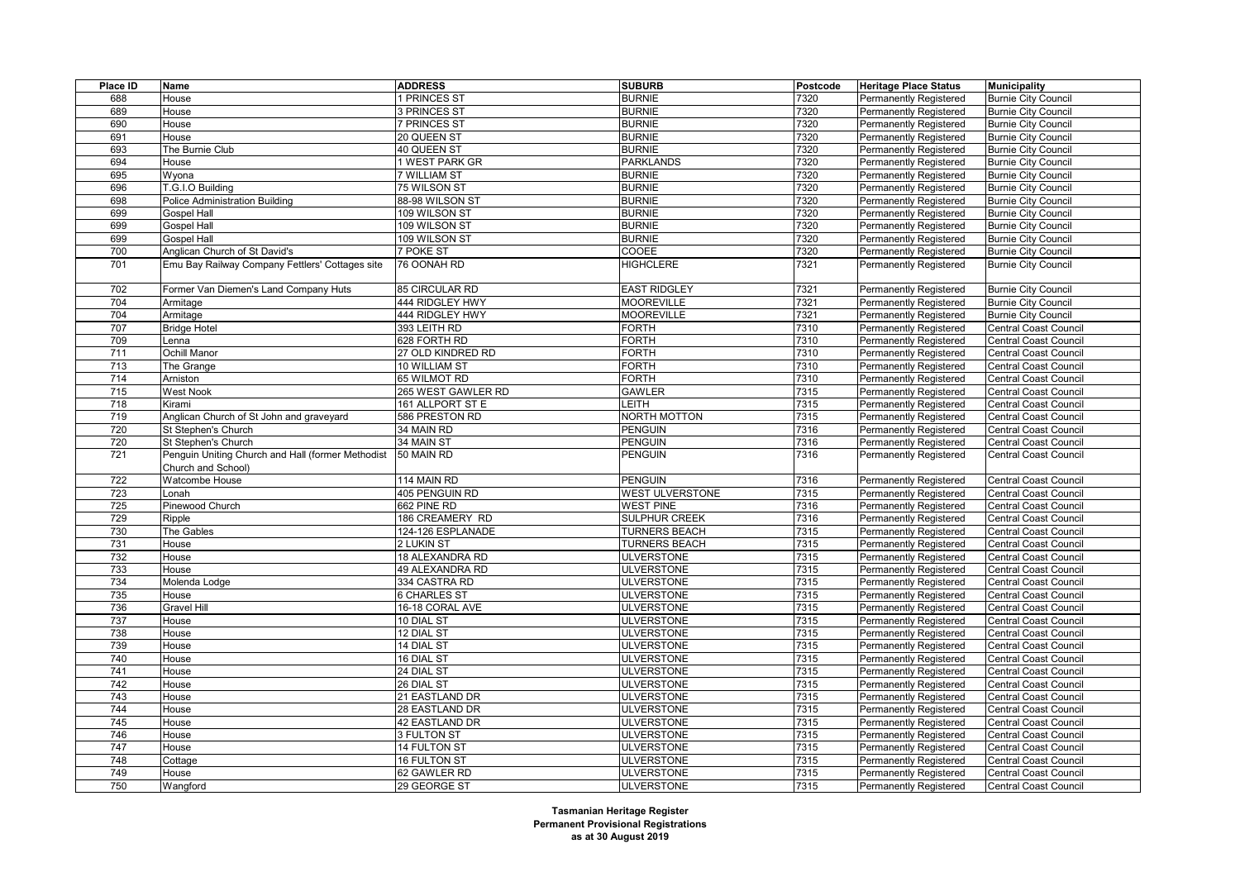| Place ID | <b>Name</b>                                       | <b>ADDRESS</b>         | <b>SUBURB</b>        | Postcode | <b>Heritage Place Status</b>  | <b>Municipality</b>          |
|----------|---------------------------------------------------|------------------------|----------------------|----------|-------------------------------|------------------------------|
| 688      | House                                             | 1 PRINCES ST           | <b>BURNIE</b>        | 7320     | Permanently Registered        | <b>Burnie City Council</b>   |
| 689      | House                                             | <b>B PRINCES ST</b>    | <b>BURNIE</b>        | 7320     | Permanently Registered        | <b>Burnie City Council</b>   |
| 690      | House                                             | 7 PRINCES ST           | <b>BURNIE</b>        | 7320     | Permanently Registered        | <b>Burnie City Council</b>   |
| 691      | House                                             | 20 QUEEN ST            | <b>BURNIE</b>        | 7320     | <b>Permanently Registered</b> | <b>Burnie City Council</b>   |
| 693      | The Burnie Club                                   | 40 QUEEN ST            | <b>BURNIE</b>        | 7320     | <b>Permanently Registered</b> | <b>Burnie City Council</b>   |
| 694      | House                                             | 1 WEST PARK GR         | <b>PARKLANDS</b>     | 7320     | <b>Permanently Registered</b> | <b>Burnie City Council</b>   |
| 695      | Wyona                                             | 7 WILLIAM ST           | <b>BURNIE</b>        | 7320     | Permanently Registered        | <b>Burnie City Council</b>   |
| 696      | T.G.I.O Building                                  | 75 WILSON ST           | <b>BURNIE</b>        | 7320     | <b>Permanently Registered</b> | <b>Burnie City Council</b>   |
| 698      | <b>Police Administration Building</b>             | 88-98 WILSON ST        | <b>BURNIE</b>        | 7320     | <b>Permanently Registered</b> | <b>Burnie City Council</b>   |
| 699      | <b>Gospel Hall</b>                                | 109 WILSON ST          | <b>BURNIE</b>        | 7320     | <b>Permanently Registered</b> | <b>Burnie City Council</b>   |
| 699      | <b>Gospel Hall</b>                                | 109 WILSON ST          | <b>BURNIE</b>        | 7320     | <b>Permanently Registered</b> | <b>Burnie City Council</b>   |
| 699      | <b>Gospel Hall</b>                                | 109 WILSON ST          | <b>BURNIE</b>        | 7320     | <b>Permanently Registered</b> | <b>Burnie City Council</b>   |
| 700      | Anglican Church of St David's                     | 7 POKE ST              | COOEE                | 7320     | <b>Permanently Registered</b> | <b>Burnie City Council</b>   |
| 701      | Emu Bay Railway Company Fettlers' Cottages site   | 76 OONAH RD            | <b>HIGHCLERE</b>     | 7321     | <b>Permanently Registered</b> | <b>Burnie City Council</b>   |
|          |                                                   |                        |                      |          |                               |                              |
| 702      | Former Van Diemen's Land Company Huts             | 85 CIRCULAR RD         | <b>EAST RIDGLEY</b>  | 7321     | <b>Permanently Registered</b> | <b>Burnie City Council</b>   |
| 704      | Armitage                                          | 444 RIDGLEY HWY        | <b>MOOREVILLE</b>    | 7321     | <b>Permanently Registered</b> | <b>Burnie City Council</b>   |
| 704      | Armitage                                          | 444 RIDGLEY HWY        | <b>MOOREVILLE</b>    | 7321     | <b>Permanently Registered</b> | <b>Burnie City Council</b>   |
| 707      | <b>Bridge Hotel</b>                               | 393 LEITH RD           | <b>FORTH</b>         | 7310     | <b>Permanently Registered</b> | <b>Central Coast Council</b> |
| 709      | Lenna                                             | 628 FORTH RD           | <b>FORTH</b>         | 7310     | <b>Permanently Registered</b> | <b>Central Coast Council</b> |
| 711      | Ochill Manor                                      | 27 OLD KINDRED RD      | <b>FORTH</b>         | 7310     | <b>Permanently Registered</b> | <b>Central Coast Council</b> |
| 713      | The Grange                                        | 10 WILLIAM ST          | <b>FORTH</b>         | 7310     | <b>Permanently Registered</b> | <b>Central Coast Council</b> |
| 714      | Arniston                                          | 65 WILMOT RD           | <b>FORTH</b>         | 7310     | <b>Permanently Registered</b> | <b>Central Coast Council</b> |
| 715      | <b>West Nook</b>                                  | 265 WEST GAWLER RD     | <b>GAWLER</b>        | 7315     | <b>Permanently Registered</b> | <b>Central Coast Council</b> |
| 718      | Kirami                                            | 161 ALLPORT ST E       | <b>LEITH</b>         | 7315     | <b>Permanently Registered</b> | <b>Central Coast Council</b> |
| 719      | Anglican Church of St John and graveyard          | 586 PRESTON RD         | NORTH MOTTON         | 7315     | Permanently Registered        | Central Coast Council        |
| 720      | St Stephen's Church                               | 34 MAIN RD             | <b>PENGUIN</b>       | 7316     | <b>Permanently Registered</b> | <b>Central Coast Council</b> |
| 720      | St Stephen's Church                               | 34 MAIN ST             | <b>PENGUIN</b>       | 7316     | Permanently Registered        | <b>Central Coast Council</b> |
| 721      | Penguin Uniting Church and Hall (former Methodist | 50 MAIN RD             | <b>PENGUIN</b>       | 7316     | <b>Permanently Registered</b> | <b>Central Coast Council</b> |
|          | Church and School)                                |                        |                      |          |                               |                              |
| 722      | Watcombe House                                    | 114 MAIN RD            | PENGUIN              | 7316     | Permanently Registered        | Central Coast Council        |
| 723      | Lonah                                             | 405 PENGUIN RD         | WEST ULVERSTONE      | 7315     | <b>Permanently Registered</b> | <b>Central Coast Council</b> |
| 725      | Pinewood Church                                   | 662 PINE RD            | <b>WEST PINE</b>     | 7316     | Permanently Registered        | <b>Central Coast Council</b> |
| 729      | Ripple                                            | 186 CREAMERY RD        | <b>SULPHUR CREEK</b> | 7316     | <b>Permanently Registered</b> | <b>Central Coast Council</b> |
| 730      | The Gables                                        | 124-126 ESPLANADE      | <b>TURNERS BEACH</b> | 7315     | <b>Permanently Registered</b> | <b>Central Coast Council</b> |
| 731      | House                                             | 2 LUKIN ST             | <b>TURNERS BEACH</b> | 7315     | <b>Permanently Registered</b> | <b>Central Coast Council</b> |
| 732      | House                                             | 18 ALEXANDRA RD        | <b>ULVERSTONE</b>    | 7315     | <b>Permanently Registered</b> | <b>Central Coast Council</b> |
| 733      | House                                             | <b>49 ALEXANDRA RD</b> | <b>ULVERSTONE</b>    | 7315     | <b>Permanently Registered</b> | Central Coast Council        |
| 734      | Molenda Lodge                                     | 334 CASTRA RD          | <b>ULVERSTONE</b>    | 7315     | Permanently Registered        | <b>Central Coast Council</b> |
| 735      | House                                             | <b>6 CHARLES ST</b>    | <b>ULVERSTONE</b>    | 7315     | <b>Permanently Registered</b> | <b>Central Coast Council</b> |
| 736      | Gravel Hill                                       | 16-18 CORAL AVE        | <b>ULVERSTONE</b>    | 7315     | Permanently Registered        | <b>Central Coast Council</b> |
| 737      | House                                             | 10 DIAL ST             | <b>ULVERSTONE</b>    | 7315     | Permanently Registered        | <b>Central Coast Council</b> |
| 738      | House                                             | 12 DIAL ST             | <b>ULVERSTONE</b>    | 7315     | <b>Permanently Registered</b> | <b>Central Coast Council</b> |
| 739      | House                                             | 14 DIAL ST             | <b>ULVERSTONE</b>    | 7315     | <b>Permanently Registered</b> | <b>Central Coast Council</b> |
| 740      | House                                             | 16 DIAL ST             | <b>ULVERSTONE</b>    | 7315     | Permanently Registered        | <b>Central Coast Council</b> |
| 741      | House                                             | 24 DIAL ST             | <b>ULVERSTONE</b>    | 7315     | <b>Permanently Registered</b> | <b>Central Coast Council</b> |
| 742      | House                                             | 26 DIAL ST             | <b>ULVERSTONE</b>    | 7315     | <b>Permanently Registered</b> | <b>Central Coast Council</b> |
| 743      | House                                             | 21 EASTLAND DR         | <b>ULVERSTONE</b>    | 7315     | Permanently Registered        | <b>Central Coast Council</b> |
| 744      | House                                             | 28 EASTLAND DR         | <b>ULVERSTONE</b>    | 7315     | <b>Permanently Registered</b> | <b>Central Coast Council</b> |
| 745      | House                                             | 42 EASTLAND DR         | <b>ULVERSTONE</b>    | 7315     | Permanently Registered        | <b>Central Coast Council</b> |
| 746      | House                                             | 3 FULTON ST            | <b>ULVERSTONE</b>    | 7315     | Permanently Registered        | <b>Central Coast Council</b> |
| 747      | House                                             | 14 FULTON ST           | <b>ULVERSTONE</b>    | 7315     | <b>Permanently Registered</b> | <b>Central Coast Council</b> |
| 748      | Cottage                                           | <b>16 FULTON ST</b>    | <b>ULVERSTONE</b>    | 7315     | <b>Permanently Registered</b> | <b>Central Coast Council</b> |
| 749      | House                                             | 62 GAWLER RD           | <b>ULVERSTONE</b>    | 7315     | Permanently Registered        | <b>Central Coast Council</b> |
| 750      | Wangford                                          | 29 GEORGE ST           | <b>ULVERSTONE</b>    | 7315     | Permanently Registered        | Central Coast Council        |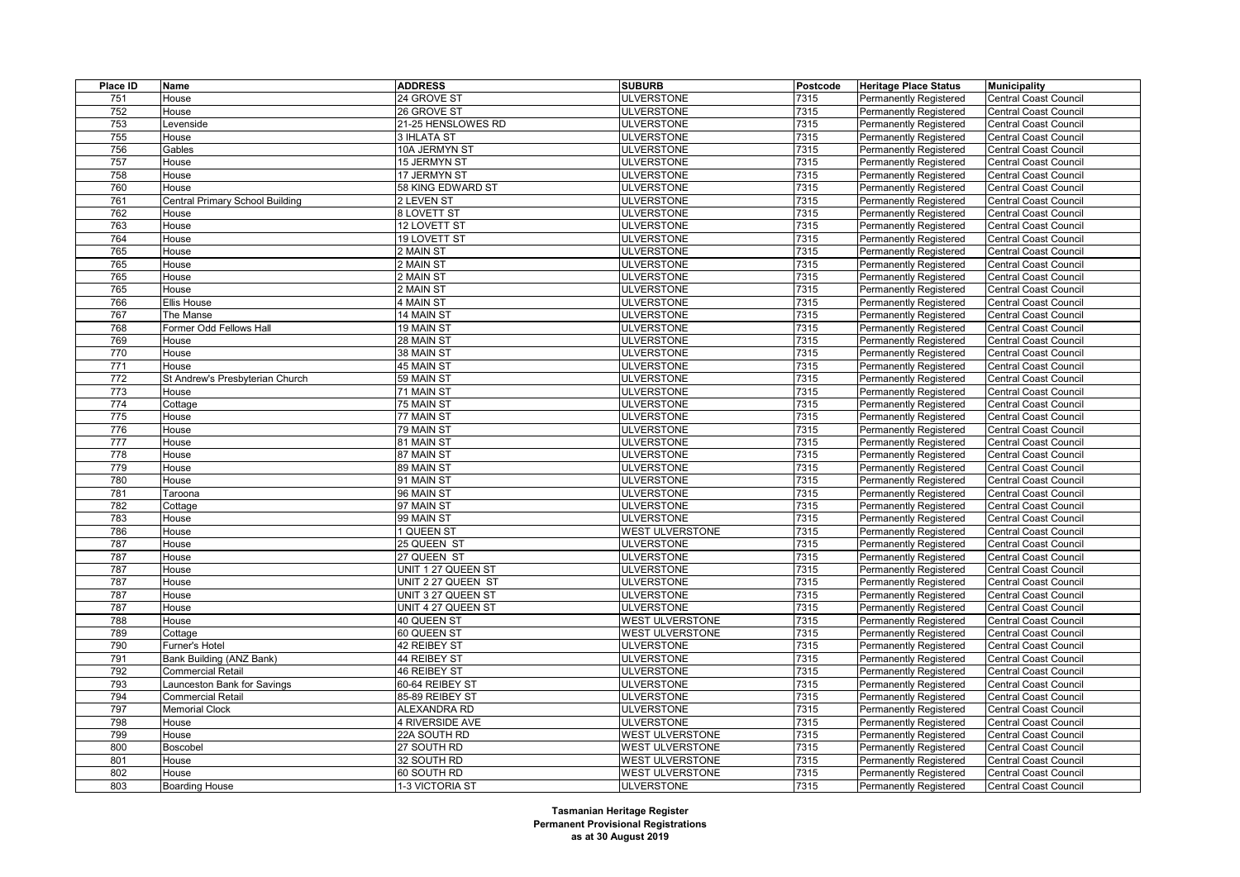| Place ID         | Name                                     | <b>ADDRESS</b>     | <b>SUBURB</b>          | Postcode | <b>Heritage Place Status</b>                     | <b>Municipality</b>                                          |
|------------------|------------------------------------------|--------------------|------------------------|----------|--------------------------------------------------|--------------------------------------------------------------|
| 751              | House                                    | 24 GROVE ST        | <b>ULVERSTONE</b>      | 7315     | Permanently Registered                           | <b>Central Coast Council</b>                                 |
| 752              | House                                    | 26 GROVE ST        | <b>ULVERSTONE</b>      | 7315     | Permanently Registered                           | <b>Central Coast Council</b>                                 |
| 753              | Levenside                                | 21-25 HENSLOWES RD | <b>ULVERSTONE</b>      | 7315     | <b>Permanently Registered</b>                    | <b>Central Coast Council</b>                                 |
| 755              | House                                    | <b>3 IHLATA ST</b> | <b>ULVERSTONE</b>      | 7315     | Permanently Registered                           | <b>Central Coast Council</b>                                 |
| 756              | Gables                                   | 10A JERMYN ST      | <b>ULVERSTONE</b>      | 7315     | Permanently Registered                           | <b>Central Coast Council</b>                                 |
| 757              | House                                    | 15 JERMYN ST       | <b>ULVERSTONE</b>      | 7315     | <b>Permanently Registered</b>                    | <b>Central Coast Council</b>                                 |
| 758              | House                                    | 17 JERMYN ST       | <b>ULVERSTONE</b>      | 7315     | Permanently Registered                           | <b>Central Coast Council</b>                                 |
| 760              | House                                    | 58 KING EDWARD ST  | <b>ULVERSTONE</b>      | 7315     | Permanently Registered                           | <b>Central Coast Council</b>                                 |
| 761              | Central Primary School Building          | 2 LEVEN ST         | <b>ULVERSTONE</b>      | 7315     | <b>Permanently Registered</b>                    | Central Coast Council                                        |
| 762              | House                                    | <b>8 LOVETT ST</b> | <b>ULVERSTONE</b>      | 7315     | <b>Permanently Registered</b>                    | <b>Central Coast Council</b>                                 |
| 763              | House                                    | 12 LOVETT ST       | <b>ULVERSTONE</b>      | 7315     | Permanently Registered                           | <b>Central Coast Council</b>                                 |
| 764              | House                                    | 19 LOVETT ST       | <b>ULVERSTONE</b>      | 7315     | <b>Permanently Registered</b>                    | <b>Central Coast Council</b>                                 |
| 765              | House                                    | 2 MAIN ST          | <b>ULVERSTONE</b>      | 7315     | <b>Permanently Registered</b>                    | <b>Central Coast Council</b>                                 |
| 765              | House                                    | 2 MAIN ST          | <b>ULVERSTONE</b>      | 7315     | <b>Permanently Registered</b>                    | <b>Central Coast Council</b>                                 |
| 765              | House                                    | 2 MAIN ST          | <b>ULVERSTONE</b>      | 7315     | <b>Permanently Registered</b>                    | <b>Central Coast Council</b>                                 |
| 765              | House                                    | 2 MAIN ST          | <b>ULVERSTONE</b>      | 7315     | <b>Permanently Registered</b>                    | <b>Central Coast Council</b>                                 |
| 766              | <b>Ellis House</b>                       | 4 MAIN ST          | <b>ULVERSTONE</b>      | 7315     | <b>Permanently Registered</b>                    | Central Coast Council                                        |
| 767              | The Manse                                | 14 MAIN ST         | <b>ULVERSTONE</b>      | 7315     | Permanently Registered                           | <b>Central Coast Council</b>                                 |
| 768              | Former Odd Fellows Hall                  | 19 MAIN ST         | <b>ULVERSTONE</b>      | 7315     | Permanently Registered                           | <b>Central Coast Council</b>                                 |
| 769              | House                                    | 28 MAIN ST         | <b>ULVERSTONE</b>      | 7315     | <b>Permanently Registered</b>                    | <b>Central Coast Council</b>                                 |
| 770              | House                                    | 38 MAIN ST         | <b>ULVERSTONE</b>      | 7315     | Permanently Registered                           | <b>Central Coast Council</b>                                 |
| 771              | House                                    | 45 MAIN ST         | <b>ULVERSTONE</b>      | 7315     | <b>Permanently Registered</b>                    | <b>Central Coast Council</b>                                 |
| $\overline{772}$ |                                          | 59 MAIN ST         | <b>ULVERSTONE</b>      | 7315     | Permanently Registered                           |                                                              |
| 773              | St Andrew's Presbyterian Church<br>House | 71 MAIN ST         | <b>ULVERSTONE</b>      | 7315     |                                                  | <b>Central Coast Council</b>                                 |
|                  |                                          |                    | <b>ULVERSTONE</b>      | 7315     | Permanently Registered<br>Permanently Registered | <b>Central Coast Council</b><br><b>Central Coast Council</b> |
| 774<br>775       | Cottage                                  | 75 MAIN ST         |                        |          |                                                  |                                                              |
|                  | House                                    | 77 MAIN ST         | <b>ULVERSTONE</b>      | 7315     | Permanently Registered                           | Central Coast Council                                        |
| 776              | House                                    | 79 MAIN ST         | <b>ULVERSTONE</b>      | 7315     | Permanently Registered                           | <b>Central Coast Council</b>                                 |
| 777              | House                                    | 81 MAIN ST         | <b>ULVERSTONE</b>      | 7315     | Permanently Registered                           | <b>Central Coast Council</b>                                 |
| 778              | House                                    | 87 MAIN ST         | <b>ULVERSTONE</b>      | 7315     | Permanently Registered                           | <b>Central Coast Council</b>                                 |
| 779              | House                                    | 89 MAIN ST         | <b>ULVERSTONE</b>      | 7315     | Permanently Registered                           | <b>Central Coast Council</b>                                 |
| 780              | House                                    | 91 MAIN ST         | <b>ULVERSTONE</b>      | 7315     | Permanently Registered                           | <b>Central Coast Council</b>                                 |
| 781              | Taroona                                  | 96 MAIN ST         | <b>ULVERSTONE</b>      | 7315     | Permanently Registered                           | <b>Central Coast Council</b>                                 |
| 782              | Cottage                                  | 97 MAIN ST         | <b>ULVERSTONE</b>      | 7315     | <b>Permanently Registered</b>                    | <b>Central Coast Council</b>                                 |
| 783              | House                                    | 99 MAIN ST         | <b>ULVERSTONE</b>      | 7315     | Permanently Registered                           | <b>Central Coast Council</b>                                 |
| 786              | House                                    | <b>1 QUEEN ST</b>  | <b>WEST ULVERSTONE</b> | 7315     | <b>Permanently Registered</b>                    | <b>Central Coast Council</b>                                 |
| 787              | House                                    | 25 QUEEN ST        | <b>ULVERSTONE</b>      | 7315     | Permanently Registered                           | <b>Central Coast Council</b>                                 |
| 787              | House                                    | 27 QUEEN ST        | <b>ULVERSTONE</b>      | 7315     | Permanently Registered                           | <b>Central Coast Council</b>                                 |
| 787              | House                                    | UNIT 1 27 QUEEN ST | <b>ULVERSTONE</b>      | 7315     | <b>Permanently Registered</b>                    | <b>Central Coast Council</b>                                 |
| 787              | House                                    | UNIT 2 27 QUEEN ST | <b>ULVERSTONE</b>      | 7315     | <b>Permanently Registered</b>                    | <b>Central Coast Council</b>                                 |
| 787              | House                                    | UNIT 3 27 QUEEN ST | <b>ULVERSTONE</b>      | 7315     | <b>Permanently Registered</b>                    | <b>Central Coast Council</b>                                 |
| 787              | House                                    | UNIT 4 27 QUEEN ST | <b>ULVERSTONE</b>      | 7315     | <b>Permanently Registered</b>                    | <b>Central Coast Council</b>                                 |
| 788              | House                                    | <b>40 QUEEN ST</b> | WEST ULVERSTONE        | 7315     | Permanently Registered                           | <b>Central Coast Council</b>                                 |
| 789              | Cottage                                  | 60 QUEEN ST        | <b>WEST ULVERSTONE</b> | 7315     | <b>Permanently Registered</b>                    | <b>Central Coast Council</b>                                 |
| 790              | Furner's Hotel                           | 42 REIBEY ST       | <b>ULVERSTONE</b>      | 7315     | Permanently Registered                           | <b>Central Coast Council</b>                                 |
| 791              | Bank Building (ANZ Bank)                 | 44 REIBEY ST       | <b>ULVERSTONE</b>      | 7315     | Permanently Registered                           | <b>Central Coast Council</b>                                 |
| 792              | <b>Commercial Retail</b>                 | 46 REIBEY ST       | <b>ULVERSTONE</b>      | 7315     | <b>Permanently Registered</b>                    | <b>Central Coast Council</b>                                 |
| 793              | Launceston Bank for Savings              | 60-64 REIBEY ST    | <b>ULVERSTONE</b>      | 7315     | <b>Permanently Registered</b>                    | <b>Central Coast Council</b>                                 |
| 794              | <b>Commercial Retail</b>                 | 85-89 REIBEY ST    | <b>ULVERSTONE</b>      | 7315     | <b>Permanently Registered</b>                    | <b>Central Coast Council</b>                                 |
| 797              | <b>Memorial Clock</b>                    | ALEXANDRA RD       | <b>ULVERSTONE</b>      | 7315     | <b>Permanently Registered</b>                    | <b>Central Coast Council</b>                                 |
| 798              | House                                    | 4 RIVERSIDE AVE    | <b>ULVERSTONE</b>      | 7315     | <b>Permanently Registered</b>                    | Central Coast Council                                        |
| 799              | House                                    | 22A SOUTH RD       | WEST ULVERSTONE        | 7315     | Permanently Registered                           | <b>Central Coast Council</b>                                 |
| 800              | Boscobel                                 | 27 SOUTH RD        | <b>WEST ULVERSTONE</b> | 7315     | <b>Permanently Registered</b>                    | <b>Central Coast Council</b>                                 |
| 801              | House                                    | 32 SOUTH RD        | <b>WEST ULVERSTONE</b> | 7315     | Permanently Registered                           | <b>Central Coast Council</b>                                 |
| 802              | House                                    | 60 SOUTH RD        | WEST ULVERSTONE        | 7315     | <b>Permanently Registered</b>                    | <b>Central Coast Council</b>                                 |
| 803              | <b>Boarding House</b>                    | 1-3 VICTORIA ST    | <b>ULVERSTONE</b>      | 7315     | Permanently Registered                           | <b>Central Coast Council</b>                                 |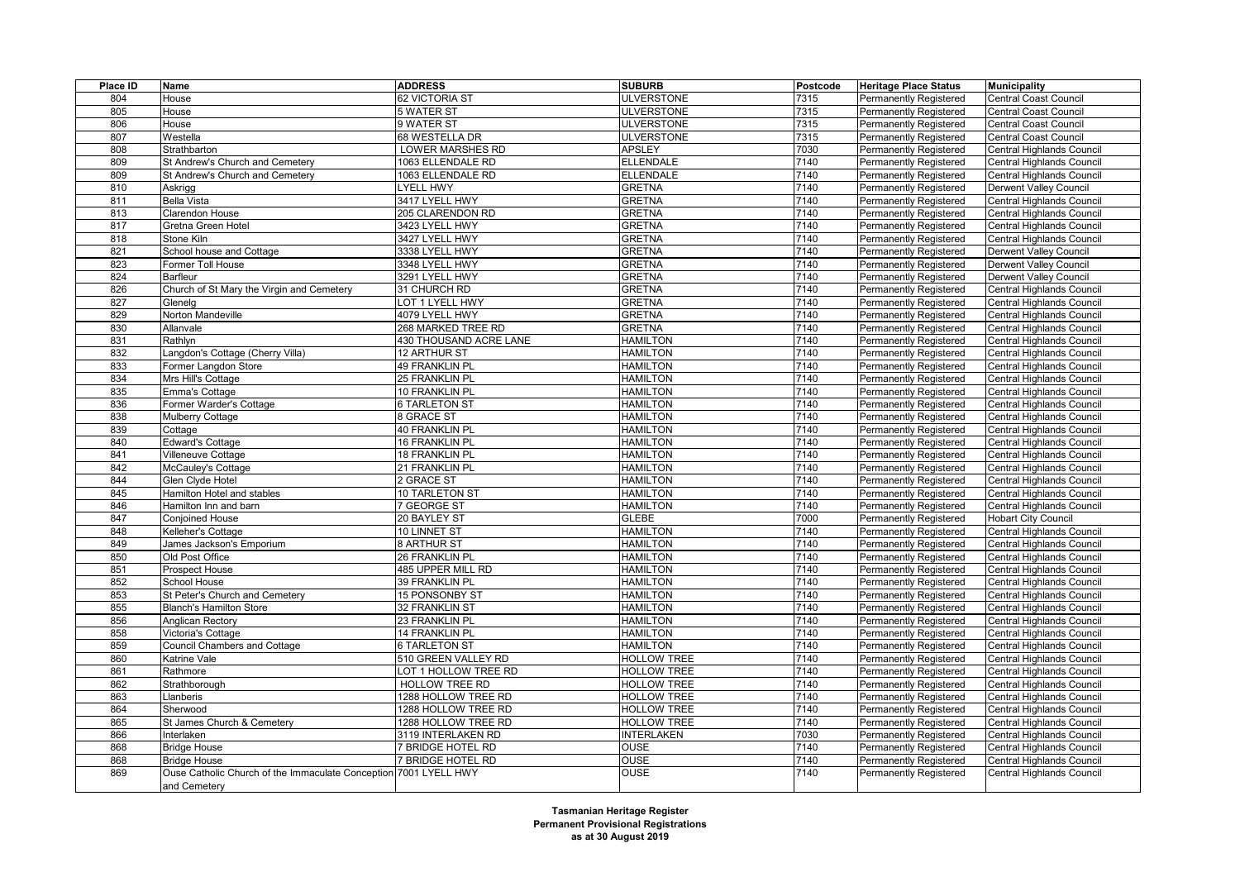| Place ID | Name                                                                             | <b>ADDRESS</b>           | <b>SUBURB</b>                      | Postcode     | <b>Heritage Place Status</b>  | <b>Municipality</b>              |
|----------|----------------------------------------------------------------------------------|--------------------------|------------------------------------|--------------|-------------------------------|----------------------------------|
| 804      | House                                                                            | 62 VICTORIA ST           | <b>ULVERSTONE</b>                  | 7315         | Permanently Registered        | <b>Central Coast Council</b>     |
| 805      | House                                                                            | 5 WATER ST               | <b>ULVERSTONE</b>                  | 7315         | Permanently Registered        | <b>Central Coast Council</b>     |
| 806      | House                                                                            | 9 WATER ST               | <b>ULVERSTONE</b>                  | 7315         | <b>Permanently Registered</b> | <b>Central Coast Council</b>     |
| 807      | Westella                                                                         | 68 WESTELLA DR           | <b>ULVERSTONE</b>                  | 7315         | <b>Permanently Registered</b> | <b>Central Coast Council</b>     |
| 808      | Strathbarton                                                                     | <b>LOWER MARSHES RD</b>  | <b>APSLEY</b>                      | 7030         | <b>Permanently Registered</b> | <b>Central Highlands Council</b> |
| 809      | St Andrew's Church and Cemetery                                                  | 1063 ELLENDALE RD        | <b>ELLENDALE</b>                   | 7140         | Permanently Registered        | Central Highlands Council        |
| 809      | St Andrew's Church and Cemetery                                                  | 1063 ELLENDALE RD        | <b>ELLENDALE</b>                   | 7140         | Permanently Registered        | Central Highlands Council        |
| 810      | Askrigg                                                                          | <b>LYELL HWY</b>         | <b>GRETNA</b>                      | 7140         | <b>Permanently Registered</b> | Derwent Valley Council           |
| 811      | <b>Bella Vista</b>                                                               | 3417 LYELL HWY           | <b>GRETNA</b>                      | 7140         | Permanently Registered        | Central Highlands Council        |
| 813      | Clarendon House                                                                  | 205 CLARENDON RD         | <b>GRETNA</b>                      | 7140         | <b>Permanently Registered</b> | Central Highlands Council        |
| 817      | Gretna Green Hotel                                                               | 3423 LYELL HWY           | <b>GRETNA</b>                      | 7140         | <b>Permanently Registered</b> | <b>Central Highlands Council</b> |
| 818      | Stone Kiln                                                                       | 3427 LYELL HWY           | <b>GRETNA</b>                      | 7140         | Permanently Registered        | Central Highlands Council        |
| 821      | School house and Cottage                                                         | 3338 LYELL HWY           | <b>GRETNA</b>                      | 7140         | <b>Permanently Registered</b> | Derwent Valley Council           |
| 823      | Former Toll House                                                                | 3348 LYELL HWY           | <b>GRETNA</b>                      | 7140         | <b>Permanently Registered</b> | <b>Derwent Valley Council</b>    |
| 824      | Barfleur                                                                         | 3291 LYELL HWY           | <b>GRETNA</b>                      | 7140         | <b>Permanently Registered</b> | Derwent Valley Council           |
| 826      | Church of St Mary the Virgin and Cemetery                                        | 31 CHURCH RD             | <b>GRETNA</b>                      | 7140         | <b>Permanently Registered</b> | Central Highlands Council        |
| 827      | Glenelg                                                                          | LOT 1 LYELL HWY          | <b>GRETNA</b>                      | 7140         | Permanently Registered        | Central Highlands Council        |
| 829      | Norton Mandeville                                                                | 4079 LYELL HWY           | <b>GRETNA</b>                      | 7140         | <b>Permanently Registered</b> | Central Highlands Council        |
| 830      | Allanvale                                                                        | 268 MARKED TREE RD       | <b>GRETNA</b>                      | 7140         | <b>Permanently Registered</b> | Central Highlands Council        |
| 831      | Rathlyn                                                                          | 430 THOUSAND ACRE LANE   | <b>HAMILTON</b>                    | 7140         | Permanently Registered        | Central Highlands Council        |
| 832      | Langdon's Cottage (Cherry Villa)                                                 | <b>12 ARTHUR ST</b>      | <b>HAMILTON</b>                    | 7140         | Permanently Registered        | Central Highlands Council        |
| 833      | Former Langdon Store                                                             | 49 FRANKLIN PL           | <b>HAMILTON</b>                    | 7140         | Permanently Registered        | Central Highlands Council        |
| 834      | Mrs Hill's Cottage                                                               | <b>25 FRANKLIN PL</b>    | <b>HAMILTON</b>                    | 7140         | Permanently Registered        | Central Highlands Council        |
| 835      | Emma's Cottage                                                                   | 10 FRANKLIN PL           | <b>HAMILTON</b>                    | 7140         | <b>Permanently Registered</b> | Central Highlands Council        |
| 836      | Former Warder's Cottage                                                          | <b>6 TARLETON ST</b>     | <b>HAMILTON</b>                    | 7140         | Permanently Registered        | Central Highlands Council        |
| 838      | Mulberry Cottage                                                                 | 8 GRACE ST               | <b>HAMILTON</b>                    | 7140         | Permanently Registered        | Central Highlands Council        |
| 839      | Cottage                                                                          | 40 FRANKLIN PL           | <b>HAMILTON</b>                    | 7140         | <b>Permanently Registered</b> | <b>Central Highlands Council</b> |
| 840      | <b>Edward's Cottage</b>                                                          | <b>16 FRANKLIN PL</b>    | <b>HAMILTON</b>                    | 7140         | <b>Permanently Registered</b> | Central Highlands Council        |
| 841      | Villeneuve Cottage                                                               | <b>18 FRANKLIN PL</b>    | <b>HAMILTON</b>                    | 7140         | Permanently Registered        | Central Highlands Council        |
| 842      | McCauley's Cottage                                                               | 21 FRANKLIN PL           | <b>HAMILTON</b>                    | 7140         | Permanently Registered        | Central Highlands Council        |
| 844      | Glen Clyde Hotel                                                                 | 2 GRACE ST               | <b>HAMILTON</b>                    | 7140         | Permanently Registered        | Central Highlands Council        |
| 845      | Hamilton Hotel and stables                                                       | 10 TARLETON ST           | <b>HAMILTON</b>                    | 7140         | Permanently Registered        | Central Highlands Council        |
| 846      | Hamilton Inn and barn                                                            | 7 GEORGE ST              | <b>HAMILTON</b>                    | 7140         | Permanently Registered        | Central Highlands Council        |
| 847      | Conjoined House                                                                  | 20 BAYLEY ST             | GLEBE                              | 7000         | Permanently Registered        | <b>Hobart City Council</b>       |
| 848      | Kelleher's Cottage                                                               | 10 LINNET ST             | <b>HAMILTON</b>                    | 7140         | <b>Permanently Registered</b> | Central Highlands Council        |
|          |                                                                                  | 8 ARTHUR ST              | <b>HAMILTON</b>                    | 7140         |                               |                                  |
| 849      | James Jackson's Emporium                                                         |                          |                                    |              | Permanently Registered        | Central Highlands Council        |
| 850      | Old Post Office                                                                  | 26 FRANKLIN PL           | <b>HAMILTON</b>                    | 7140         | Permanently Registered        | Central Highlands Council        |
| 851      | Prospect House                                                                   | 485 UPPER MILL RD        | <b>HAMILTON</b>                    | 7140         | <b>Permanently Registered</b> | Central Highlands Council        |
| 852      | School House                                                                     | 39 FRANKLIN PL           | <b>HAMILTON</b>                    | 7140         | Permanently Registered        | <b>Central Highlands Council</b> |
| 853      | St Peter's Church and Cemetery                                                   | <b>15 PONSONBY ST</b>    | <b>HAMILTON</b>                    | 7140         | <b>Permanently Registered</b> | <b>Central Highlands Council</b> |
| 855      | <b>Blanch's Hamilton Store</b>                                                   | <b>32 FRANKLIN ST</b>    | <b>HAMILTON</b>                    | 7140         | <b>Permanently Registered</b> | <b>Central Highlands Council</b> |
| 856      | Anglican Rectory                                                                 | 23 FRANKLIN PL           | <b>HAMILTON</b><br><b>HAMILTON</b> | 7140<br>7140 | <b>Permanently Registered</b> | Central Highlands Council        |
| 858      | Victoria's Cottage                                                               | <b>14 FRANKLIN PL</b>    |                                    |              | <b>Permanently Registered</b> | Central Highlands Council        |
| 859      | Council Chambers and Cottage                                                     | <b>6 TARLETON ST</b>     | <b>HAMILTON</b>                    | 7140         | <b>Permanently Registered</b> | Central Highlands Council        |
| 860      | Katrine Vale                                                                     | 510 GREEN VALLEY RD      | <b>HOLLOW TREE</b>                 | 7140         | Permanently Registered        | Central Highlands Council        |
| 861      | Rathmore                                                                         | LOT 1 HOLLOW TREE RD     | <b>HOLLOW TREE</b>                 | 7140         | Permanently Registered        | Central Highlands Council        |
| 862      | Strathborough                                                                    | HOLLOW TREE RD           | <b>HOLLOW TREE</b>                 | 7140         | <b>Permanently Registered</b> | <b>Central Highlands Council</b> |
| 863      | Llanberis                                                                        | 1288 HOLLOW TREE RD      | <b>HOLLOW TREE</b>                 | 7140         | Permanently Registered        | Central Highlands Council        |
| 864      | Sherwood                                                                         | 1288 HOLLOW TREE RD      | <b>HOLLOW TREE</b>                 | 7140         | <b>Permanently Registered</b> | Central Highlands Council        |
| 865      | St James Church & Cemetery                                                       | 1288 HOLLOW TREE RD      | HOLLOW TREE                        | 7140         | <b>Permanently Registered</b> | Central Highlands Council        |
| 866      | Interlaken                                                                       | 3119 INTERLAKEN RD       | <b>INTERLAKEN</b>                  | 7030         | <b>Permanently Registered</b> | Central Highlands Council        |
| 868      | <b>Bridge House</b>                                                              | <b>7 BRIDGE HOTEL RD</b> | <b>OUSE</b>                        | 7140         | Permanently Registered        | Central Highlands Council        |
| 868      | <b>Bridge House</b>                                                              | 7 BRIDGE HOTEL RD        | OUSE                               | 7140         | Permanently Registered        | Central Highlands Council        |
| 869      | Ouse Catholic Church of the Immaculate Conception 7001 LYELL HWY<br>and Cemetery |                          | <b>OUSE</b>                        | 7140         | <b>Permanently Registered</b> | Central Highlands Council        |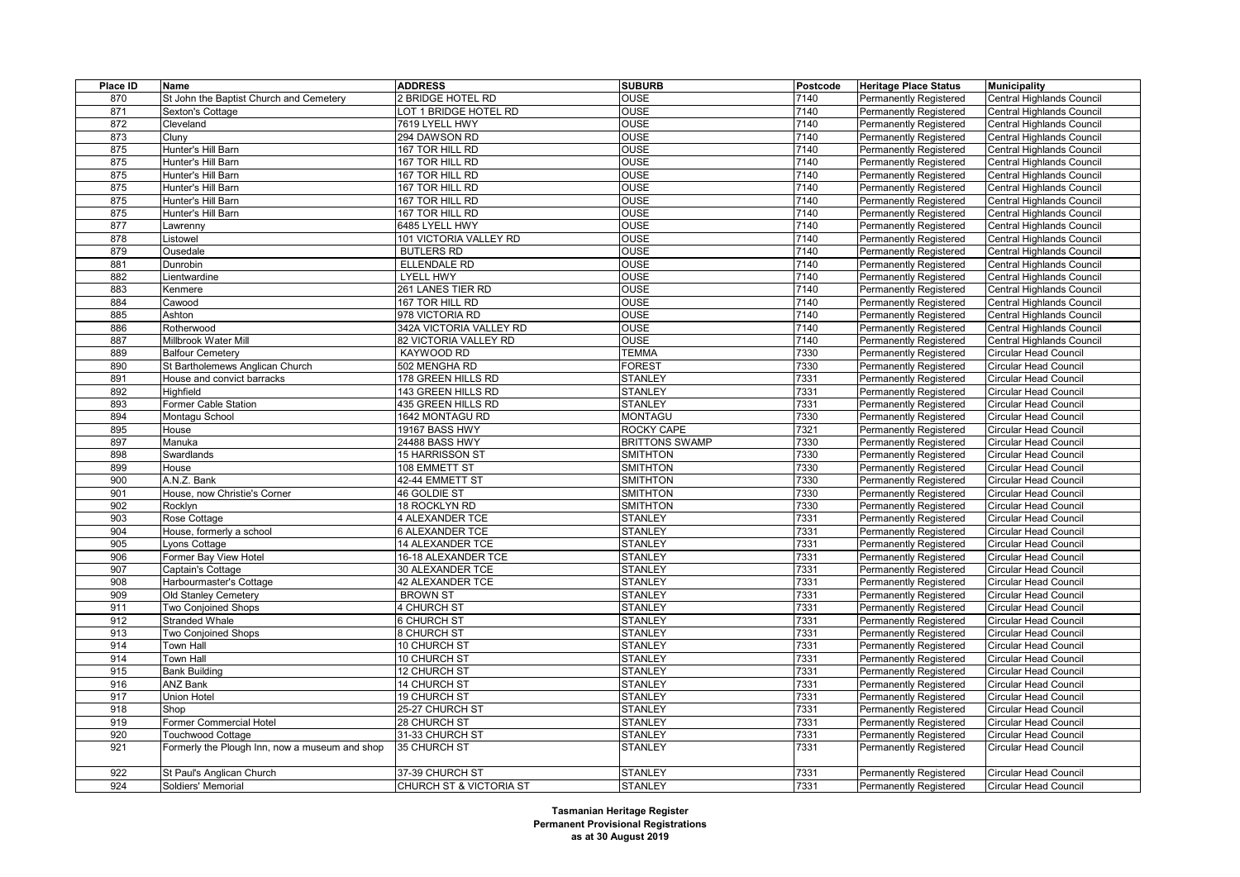| Place ID   | Name                                           | <b>ADDRESS</b>          | <b>SUBURB</b>         | <b>Postcode</b> | <b>Heritage Place Status</b>  | <b>Municipality</b>                                          |
|------------|------------------------------------------------|-------------------------|-----------------------|-----------------|-------------------------------|--------------------------------------------------------------|
| 870        | St John the Baptist Church and Cemetery        | 2 BRIDGE HOTEL RD       | OUSE                  | 7140            | Permanently Registered        | Central Highlands Council                                    |
| 871        | Sexton's Cottage                               | OT 1 BRIDGE HOTEL RD    | OUSE                  | 7140            | Permanently Registered        | Central Highlands Council                                    |
| 872        | Cleveland                                      | 7619 LYELL HWY          | <b>OUSE</b>           | 7140            | <b>Permanently Registered</b> | Central Highlands Council                                    |
| 873        | Cluny                                          | 294 DAWSON RD           | <b>OUSE</b>           | 7140            | <b>Permanently Registered</b> | Central Highlands Council                                    |
| 875        | Hunter's Hill Barn                             | 167 TOR HILL RD         | OUSE                  | 7140            | Permanently Registered        | Central Highlands Council                                    |
| 875        | Hunter's Hill Barn                             | 167 TOR HILL RD         | OUSE                  | 7140            | <b>Permanently Registered</b> | Central Highlands Council                                    |
| 875        | Hunter's Hill Barn                             | 167 TOR HILL RD         | OUSE                  | 7140            | <b>Permanently Registered</b> | Central Highlands Council                                    |
| 875        | Hunter's Hill Barn                             | 167 TOR HILL RD         | OUSE                  | 7140            | <b>Permanently Registered</b> | Central Highlands Council                                    |
| 875        | Hunter's Hill Barn                             | 167 TOR HILL RD         | <b>OUSE</b>           | 7140            | Permanently Registered        | Central Highlands Council                                    |
| 875        | Hunter's Hill Barn                             | 167 TOR HILL RD         | OUSE                  | 7140            | <b>Permanently Registered</b> | Central Highlands Council                                    |
| 877        | Lawrenny                                       | 6485 LYELL HWY          | OUSE                  | 7140            | <b>Permanently Registered</b> | Central Highlands Council                                    |
| 878        | Listowel                                       | 101 VICTORIA VALLEY RD  | OUSE                  | 7140            | <b>Permanently Registered</b> | Central Highlands Council                                    |
| 879        | Ousedale                                       | <b>BUTLERS RD</b>       | OUSE                  | 7140            | <b>Permanently Registered</b> | Central Highlands Council                                    |
| 881        | Dunrobin                                       | <b>ELLENDALE RD</b>     | OUSE                  | 7140            | <b>Permanently Registered</b> | Central Highlands Council                                    |
| 882        | Lientwardine                                   | <b>LYELL HWY</b>        | OUSE                  | 7140            | Permanently Registered        | Central Highlands Council                                    |
| 883        | Kenmere                                        | 261 LANES TIER RD       | OUSE                  | 7140            | <b>Permanently Registered</b> | Central Highlands Council                                    |
| 884        | Cawood                                         | 167 TOR HILL RD         | OUSE                  | 7140            | Permanently Registered        | Central Highlands Council                                    |
| 885        | Ashton                                         | 978 VICTORIA RD         | OUSE                  | 7140            | <b>Permanently Registered</b> | Central Highlands Council                                    |
| 886        | Rotherwood                                     | 342A VICTORIA VALLEY RD | OUSE                  | 7140            | Permanently Registered        | Central Highlands Council                                    |
| 887        | Millbrook Water Mill                           | 82 VICTORIA VALLEY RD   | <b>OUSE</b>           | 7140            | <b>Permanently Registered</b> | Central Highlands Council                                    |
| 889        | <b>Balfour Cemetery</b>                        | KAYWOOD RD              | <b>TEMMA</b>          | 7330            | <b>Permanently Registered</b> | <b>Circular Head Council</b>                                 |
| 890        | St Bartholemews Anglican Church                | 502 MENGHA RD           | <b>FOREST</b>         | 7330            | <b>Permanently Registered</b> | <b>Circular Head Council</b>                                 |
| 891        | House and convict barracks                     | 178 GREEN HILLS RD      | <b>STANLEY</b>        | 7331            | <b>Permanently Registered</b> | <b>Circular Head Council</b>                                 |
| 892        | <b>Highfield</b>                               | 143 GREEN HILLS RD      | <b>STANLEY</b>        | 7331            | <b>Permanently Registered</b> | <b>Circular Head Council</b>                                 |
| 893        | Former Cable Station                           | 435 GREEN HILLS RD      | <b>STANLEY</b>        | 7331            | Permanently Registered        | <b>Circular Head Council</b>                                 |
| 894        | Montagu School                                 | 1642 MONTAGU RD         | <b>MONTAGU</b>        | 7330            | Permanently Registered        | <b>Circular Head Council</b>                                 |
| 895        | House                                          | 19167 BASS HWY          | ROCKY CAPE            | 7321            | <b>Permanently Registered</b> | <b>Circular Head Council</b>                                 |
| 897        | Manuka                                         | 24488 BASS HWY          | <b>BRITTONS SWAMP</b> | 7330            | <b>Permanently Registered</b> | <b>Circular Head Council</b>                                 |
| 898        | Swardlands                                     | 15 HARRISSON ST         | <b>SMITHTON</b>       | 7330            | Permanently Registered        | <b>Circular Head Council</b>                                 |
| 899        | House                                          | 108 EMMETT ST           | <b>SMITHTON</b>       | 7330            | <b>Permanently Registered</b> | <b>Circular Head Council</b>                                 |
| 900        | A.N.Z. Bank                                    | 42-44 EMMETT ST         | <b>SMITHTON</b>       | 7330            | <b>Permanently Registered</b> | <b>Circular Head Council</b>                                 |
| 901        | House, now Christie's Corner                   | 46 GOLDIE ST            | <b>SMITHTON</b>       | 7330            | Permanently Registered        | <b>Circular Head Council</b>                                 |
| 902        | Rocklyn                                        | 18 ROCKLYN RD           | <b>SMITHTON</b>       | 7330            | <b>Permanently Registered</b> | <b>Circular Head Council</b>                                 |
| 903        | Rose Cottage                                   | <b>4 ALEXANDER TCE</b>  | <b>STANLEY</b>        | 7331            | <b>Permanently Registered</b> | <b>Circular Head Council</b>                                 |
| 904        | House, formerly a school                       | <b>6 ALEXANDER TCE</b>  | <b>STANLEY</b>        | 7331            | Permanently Registered        | <b>Circular Head Council</b>                                 |
| 905        | Lyons Cottage                                  | 14 ALEXANDER TCE        | <b>STANLEY</b>        | 7331            | <b>Permanently Registered</b> | <b>Circular Head Council</b>                                 |
| 906        | Former Bay View Hotel                          | 16-18 ALEXANDER TCE     | <b>STANLEY</b>        | 7331            | <b>Permanently Registered</b> | <b>Circular Head Council</b>                                 |
| 907        | Captain's Cottage                              | 30 ALEXANDER TCE        | <b>STANLEY</b>        | 7331            | Permanently Registered        | <b>Circular Head Council</b>                                 |
| 908        | Harbourmaster's Cottage                        | <b>42 ALEXANDER TCE</b> | <b>STANLEY</b>        | 7331            | <b>Permanently Registered</b> | <b>Circular Head Council</b>                                 |
| 909        | Old Stanley Cemetery                           | <b>BROWN ST</b>         | <b>STANLEY</b>        | 7331            | <b>Permanently Registered</b> | <b>Circular Head Council</b>                                 |
| 911        | Two Conjoined Shops                            | <b>4 CHURCH ST</b>      | <b>STANLEY</b>        | 7331            | Permanently Registered        | <b>Circular Head Council</b>                                 |
| 912        | <b>Stranded Whale</b>                          | 6 CHURCH ST             | <b>STANLEY</b>        | 7331            | <b>Permanently Registered</b> | <b>Circular Head Council</b>                                 |
| 913        | Two Conjoined Shops                            | <b>8 CHURCH ST</b>      | <b>STANLEY</b>        | 7331            | <b>Permanently Registered</b> | <b>Circular Head Council</b>                                 |
| 914        | Town Hall                                      | 10 CHURCH ST            | <b>STANLEY</b>        | 7331            | <b>Permanently Registered</b> | <b>Circular Head Council</b>                                 |
| 914        | Town Hall                                      | 10 CHURCH ST            | <b>STANLEY</b>        | 7331            | Permanently Registered        | <b>Circular Head Council</b>                                 |
| 915        | <b>Bank Building</b>                           | 12 CHURCH ST            | <b>STANLEY</b>        | 7331            | Permanently Registered        | <b>Circular Head Council</b>                                 |
| 916        | <b>ANZ Bank</b>                                | 14 CHURCH ST            | <b>STANLEY</b>        | 7331            |                               |                                                              |
| 917        | Union Hotel                                    | <b>19 CHURCH ST</b>     | <b>STANLEY</b>        | 7331            | Permanently Registered        | <b>Circular Head Council</b><br><b>Circular Head Council</b> |
| 918        | Shop                                           | 25-27 CHURCH ST         | <b>STANLEY</b>        | 7331            | <b>Permanently Registered</b> | <b>Circular Head Council</b>                                 |
| 919        | Former Commercial Hotel                        | 28 CHURCH ST            | <b>STANLEY</b>        | 7331            | <b>Permanently Registered</b> |                                                              |
|            | <b>Touchwood Cottage</b>                       | 31-33 CHURCH ST         | <b>STANLEY</b>        | 7331            | <b>Permanently Registered</b> | <b>Circular Head Council</b>                                 |
| 920<br>921 |                                                | 35 CHURCH ST            | <b>STANLEY</b>        | 7331            | <b>Permanently Registered</b> | <b>Circular Head Council</b><br><b>Circular Head Council</b> |
|            | Formerly the Plough Inn, now a museum and shop |                         |                       |                 | <b>Permanently Registered</b> |                                                              |
| 922        | St Paul's Anglican Church                      | 37-39 CHURCH ST         | <b>STANLEY</b>        | 7331            | Permanently Registered        | <b>Circular Head Council</b>                                 |
| 924        | Soldiers' Memorial                             | CHURCH ST & VICTORIA ST | <b>STANLEY</b>        | 7331            | Permanently Registered        | <b>Circular Head Council</b>                                 |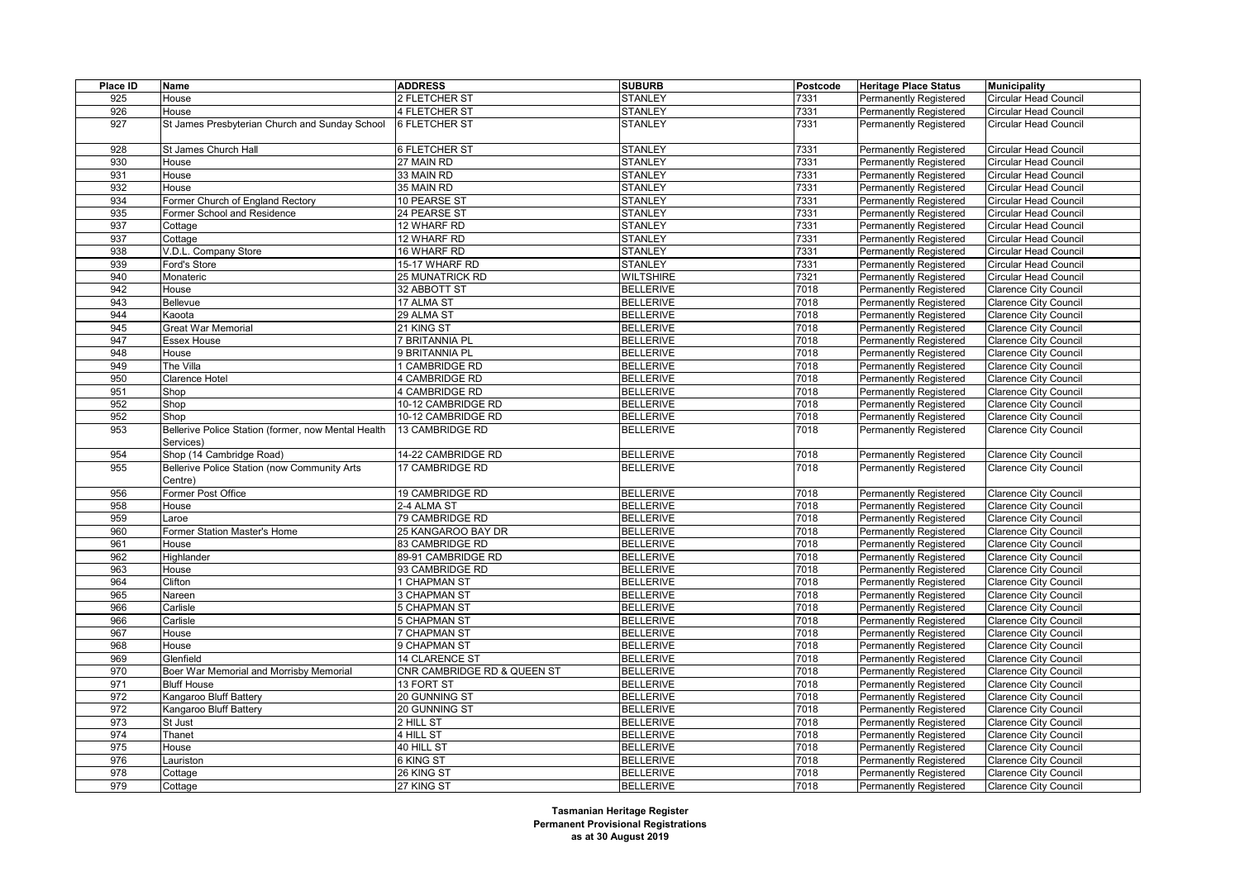| Place ID | Name                                                | <b>ADDRESS</b>              | <b>SUBURB</b>    | Postcode | <b>Heritage Place Status</b>  | <b>Municipality</b>          |
|----------|-----------------------------------------------------|-----------------------------|------------------|----------|-------------------------------|------------------------------|
| 925      | House                                               | 2 FLETCHER ST               | <b>STANLEY</b>   | 7331     | Permanently Registered        | <b>Circular Head Council</b> |
| 926      | House                                               | 4 FLETCHER ST               | <b>STANLEY</b>   | 7331     | Permanently Registered        | <b>Circular Head Council</b> |
| 927      | St James Presbyterian Church and Sunday School      | <b>6 FLETCHER ST</b>        | <b>STANLEY</b>   | 7331     | <b>Permanently Registered</b> | <b>Circular Head Council</b> |
|          |                                                     |                             |                  |          |                               |                              |
| 928      | St James Church Hall                                | 6 FLETCHER ST               | <b>STANLEY</b>   | 7331     | Permanently Registered        | <b>Circular Head Council</b> |
| 930      | House                                               | 27 MAIN RD                  | <b>STANLEY</b>   | 7331     | <b>Permanently Registered</b> | <b>Circular Head Council</b> |
| 931      | House                                               | 33 MAIN RD                  | <b>STANLEY</b>   | 7331     | <b>Permanently Registered</b> | Circular Head Council        |
| 932      | House                                               | 35 MAIN RD                  | <b>STANLEY</b>   | 7331     | Permanently Registered        | <b>Circular Head Council</b> |
| 934      | Former Church of England Rectory                    | 10 PEARSE ST                | <b>STANLEY</b>   | 7331     | <b>Permanently Registered</b> | <b>Circular Head Council</b> |
| 935      | Former School and Residence                         | 24 PEARSE ST                | <b>STANLEY</b>   | 7331     | <b>Permanently Registered</b> | Circular Head Council        |
| 937      | Cottage                                             | 12 WHARF RD                 | <b>STANLEY</b>   | 7331     | <b>Permanently Registered</b> | <b>Circular Head Council</b> |
| 937      | Cottage                                             | 12 WHARF RD                 | <b>STANLEY</b>   | 7331     | <b>Permanently Registered</b> | <b>Circular Head Council</b> |
| 938      | V.D.L. Company Store                                | 16 WHARF RD                 | <b>STANLEY</b>   | 7331     | Permanently Registered        | Circular Head Council        |
| 939      | Ford's Store                                        | 15-17 WHARF RD              | <b>STANLEY</b>   | 7331     | Permanently Registered        | <b>Circular Head Council</b> |
| 940      | Monateric                                           | <b>25 MUNATRICK RD</b>      | <b>WILTSHIRE</b> | 7321     | <b>Permanently Registered</b> | Circular Head Council        |
| 942      | House                                               | 32 ABBOTT ST                | <b>BELLERIVE</b> | 7018     | <b>Permanently Registered</b> | <b>Clarence City Council</b> |
| 943      | Bellevue                                            | 17 ALMA ST                  | <b>BELLERIVE</b> | 7018     | Permanently Registered        | <b>Clarence City Council</b> |
|          |                                                     |                             |                  |          |                               |                              |
| 944      | Kaoota                                              | 29 ALMA ST                  | <b>BELLERIVE</b> | 7018     | Permanently Registered        | <b>Clarence City Council</b> |
| 945      | <b>Great War Memorial</b>                           | 21 KING ST                  | <b>BELLERIVE</b> | 7018     | <b>Permanently Registered</b> | <b>Clarence City Council</b> |
| 947      | <b>Essex House</b>                                  | <b>BRITANNIA PL</b>         | <b>BELLERIVE</b> | 7018     | Permanently Registered        | <b>Clarence City Council</b> |
| 948      | House                                               | 9 BRITANNIA PL              | <b>BELLERIVE</b> | 7018     | <b>Permanently Registered</b> | <b>Clarence City Council</b> |
| 949      | The Villa                                           | 1 CAMBRIDGE RD              | <b>BELLERIVE</b> | 7018     | <b>Permanently Registered</b> | <b>Clarence City Council</b> |
| 950      | Clarence Hotel                                      | 4 CAMBRIDGE RD              | <b>BELLERIVE</b> | 7018     | Permanently Registered        | <b>Clarence City Council</b> |
| 951      | Shop                                                | 4 CAMBRIDGE RD              | <b>BELLERIVE</b> | 7018     | Permanently Registered        | <b>Clarence City Council</b> |
| 952      | Shop                                                | 10-12 CAMBRIDGE RD          | <b>BELLERIVE</b> | 7018     | <b>Permanently Registered</b> | <b>Clarence City Council</b> |
| 952      | Shop                                                | 10-12 CAMBRIDGE RD          | <b>BELLERIVE</b> | 7018     | Permanently Registered        | <b>Clarence City Council</b> |
| 953      | Bellerive Police Station (former, now Mental Health | 13 CAMBRIDGE RD             | <b>BELLERIVE</b> | 7018     | Permanently Registered        | <b>Clarence City Council</b> |
|          | Services)                                           |                             |                  |          |                               |                              |
| 954      | Shop (14 Cambridge Road)                            | 14-22 CAMBRIDGE RD          | <b>BELLERIVE</b> | 7018     | Permanently Registered        | <b>Clarence City Council</b> |
| 955      | Bellerive Police Station (now Community Arts        | 17 CAMBRIDGE RD             | <b>BELLERIVE</b> | 7018     | Permanently Registered        | Clarence City Council        |
|          | Centre)                                             |                             |                  |          |                               |                              |
| 956      | Former Post Office                                  | 19 CAMBRIDGE RD             | <b>BELLERIVE</b> | 7018     | Permanently Registered        | <b>Clarence City Council</b> |
| 958      | House                                               | 2-4 ALMA ST                 | <b>BELLERIVE</b> | 7018     | Permanently Registered        | <b>Clarence City Council</b> |
| 959      | Laroe                                               | 79 CAMBRIDGE RD             | <b>BELLERIVE</b> | 7018     | <b>Permanently Registered</b> | <b>Clarence City Council</b> |
| 960      | Former Station Master's Home                        | 25 KANGAROO BAY DR          | <b>BELLERIVE</b> | 7018     | Permanently Registered        | <b>Clarence City Council</b> |
| 961      | House                                               | 83 CAMBRIDGE RD             | <b>BELLERIVE</b> | 7018     | Permanently Registered        | <b>Clarence City Council</b> |
| 962      | Highlander                                          | 89-91 CAMBRIDGE RD          | <b>BELLERIVE</b> | 7018     | Permanently Registered        | <b>Clarence City Council</b> |
| 963      | House                                               | 93 CAMBRIDGE RD             | <b>BELLERIVE</b> | 7018     | Permanently Registered        | <b>Clarence City Council</b> |
| 964      | Clifton                                             | 1 CHAPMAN ST                | <b>BELLERIVE</b> | 7018     | Permanently Registered        | <b>Clarence City Council</b> |
| 965      | Nareen                                              | <b>3 CHAPMAN ST</b>         | <b>BELLERIVE</b> | 7018     | <b>Permanently Registered</b> | <b>Clarence City Council</b> |
| 966      | Carlisle                                            | 5 CHAPMAN ST                | <b>BELLERIVE</b> | 7018     | Permanently Registered        | <b>Clarence City Council</b> |
| 966      | Carlisle                                            | <b>5 CHAPMAN ST</b>         | <b>BELLERIVE</b> | 7018     | Permanently Registered        | <b>Clarence City Council</b> |
| 967      | House                                               | 7 CHAPMAN ST                | <b>BELLERIVE</b> | 7018     | <b>Permanently Registered</b> | <b>Clarence City Council</b> |
| 968      | House                                               | 9 CHAPMAN ST                | <b>BELLERIVE</b> | 7018     | Permanently Registered        | <b>Clarence City Council</b> |
| 969      | Glenfield                                           | 14 CLARENCE ST              | <b>BELLERIVE</b> | 7018     | <b>Permanently Registered</b> | <b>Clarence City Council</b> |
| 970      | Boer War Memorial and Morrisby Memorial             | CNR CAMBRIDGE RD & QUEEN ST | <b>BELLERIVE</b> | 7018     | Permanently Registered        | <b>Clarence City Council</b> |
| 971      | <b>Bluff House</b>                                  | 13 FORT ST                  | <b>BELLERIVE</b> | 7018     | Permanently Registered        | <b>Clarence City Council</b> |
| 972      | Kangaroo Bluff Battery                              | 20 GUNNING ST               | <b>BELLERIVE</b> | 7018     | Permanently Registered        | <b>Clarence City Council</b> |
| 972      | Kangaroo Bluff Battery                              | 20 GUNNING ST               | <b>BELLERIVE</b> | 7018     | Permanently Registered        | <b>Clarence City Council</b> |
| 973      | St Just                                             | 2 HILL ST                   | <b>BELLERIVE</b> | 7018     | Permanently Registered        | <b>Clarence City Council</b> |
| 974      | Thanet                                              | 4 HILL ST                   | <b>BELLERIVE</b> | 7018     | Permanently Registered        | <b>Clarence City Council</b> |
| 975      | House                                               | 40 HILL ST                  | <b>BELLERIVE</b> | 7018     | Permanently Registered        | <b>Clarence City Council</b> |
| 976      | Lauriston                                           | 6 KING ST                   | <b>BELLERIVE</b> | 7018     | <b>Permanently Registered</b> | <b>Clarence City Council</b> |
| 978      | Cottage                                             | 26 KING ST                  | <b>BELLERIVE</b> | 7018     | Permanently Registered        | <b>Clarence City Council</b> |
| 979      | Cottage                                             | 27 KING ST                  | <b>BELLERIVE</b> | 7018     | Permanently Registered        | <b>Clarence City Council</b> |
|          |                                                     |                             |                  |          |                               |                              |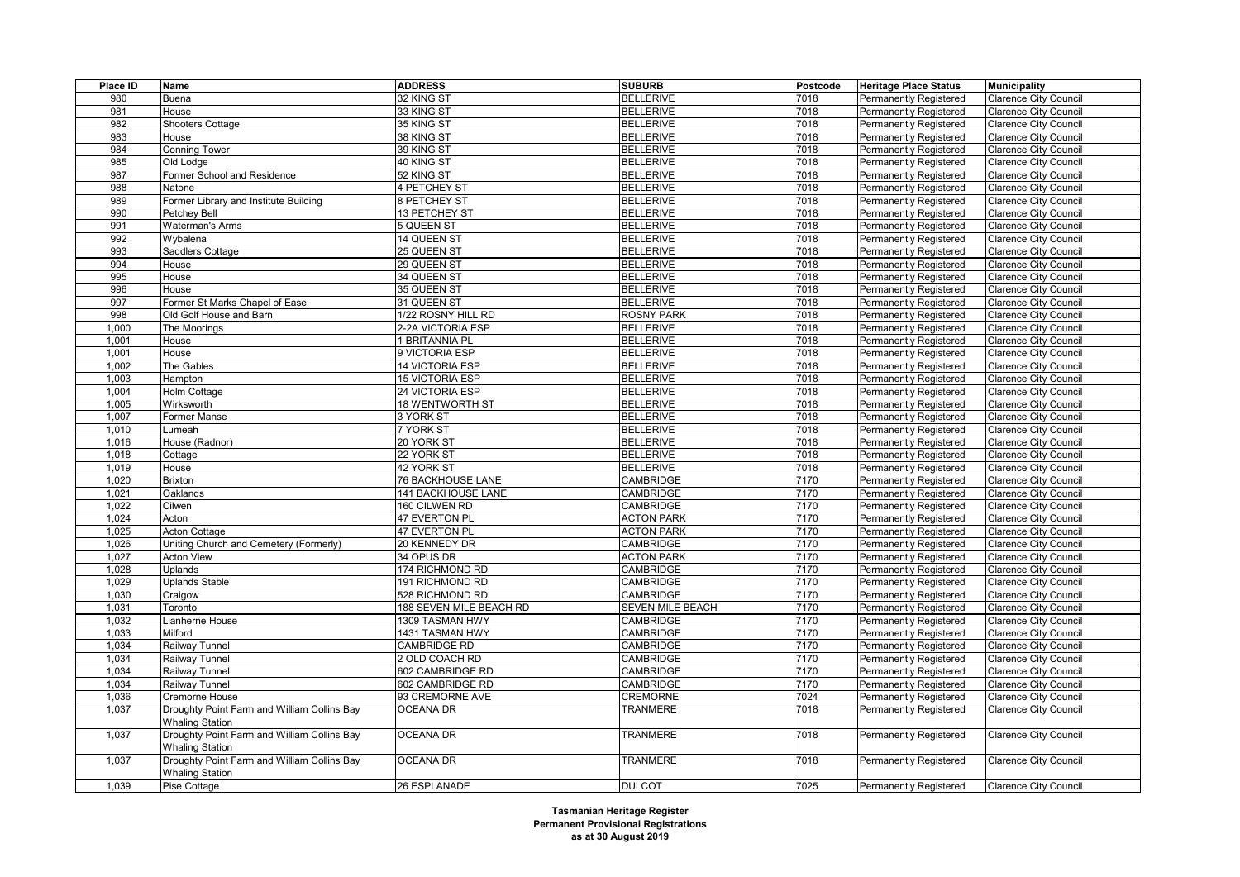| Place ID       | Name                                                                  | <b>ADDRESS</b>                                 | <b>SUBURB</b>                 | Postcode     | <b>Heritage Place Status</b>                            | <b>Municipality</b>          |
|----------------|-----------------------------------------------------------------------|------------------------------------------------|-------------------------------|--------------|---------------------------------------------------------|------------------------------|
| 980            | Buena                                                                 | 32 KING ST                                     | <b>BELLERIVE</b>              | 7018         | Permanently Registered                                  | <b>Clarence City Council</b> |
| 981            | House                                                                 | 33 KING ST                                     | <b>BELLERIVE</b>              | 7018         | Permanently Registered                                  | <b>Clarence City Council</b> |
| 982            | Shooters Cottage                                                      | 35 KING ST                                     | <b>BELLERIVE</b>              | 7018         | <b>Permanently Registered</b>                           | <b>Clarence City Council</b> |
| 983            | House                                                                 | 38 KING ST                                     | <b>BELLERIVE</b>              | 7018         | Permanently Registered                                  | Clarence City Council        |
| 984            | <b>Conning Tower</b>                                                  | 39 KING ST                                     | <b>BELLERIVE</b>              | 7018         | <b>Permanently Registered</b>                           | <b>Clarence City Council</b> |
| 985            | Old Lodge                                                             | 40 KING ST                                     | <b>BELLERIVE</b>              | 7018         | <b>Permanently Registered</b>                           | <b>Clarence City Council</b> |
| 987            | Former School and Residence                                           | 52 KING ST                                     | <b>BELLERIVE</b>              | 7018         | Permanently Registered                                  | Clarence City Council        |
| 988            | Natone                                                                | 4 PETCHEY ST                                   | <b>BELLERIVE</b>              | 7018         | <b>Permanently Registered</b>                           | <b>Clarence City Council</b> |
| 989            | Former Library and Institute Building                                 | 8 PETCHEY ST                                   | <b>BELLERIVE</b>              | 7018         | <b>Permanently Registered</b>                           | <b>Clarence City Council</b> |
| 990            | Petchey Bell                                                          | 13 PETCHEY ST                                  | <b>BELLERIVE</b>              | 7018         | <b>Permanently Registered</b>                           | <b>Clarence City Council</b> |
| 991            | <b>Waterman's Arms</b>                                                | 5 QUEEN ST                                     | <b>BELLERIVE</b>              | 7018         | <b>Permanently Registered</b>                           | <b>Clarence City Council</b> |
| 992            | Wybalena                                                              | 14 QUEEN ST                                    | <b>BELLERIVE</b>              | 7018         | Permanently Registered                                  | <b>Clarence City Council</b> |
| 993            | Saddlers Cottage                                                      | 25 QUEEN ST                                    | <b>BELLERIVE</b>              | 7018         | <b>Permanently Registered</b>                           | <b>Clarence City Council</b> |
| 994            | House                                                                 | 29 QUEEN ST                                    | <b>BELLERIVE</b>              | 7018         | <b>Permanently Registered</b>                           | <b>Clarence City Council</b> |
| 995            | House                                                                 | 34 QUEEN ST                                    | <b>BELLERIVE</b>              | 7018         | Permanently Registered                                  | <b>Clarence City Council</b> |
| 996            | House                                                                 | 35 QUEEN ST                                    | <b>BELLERIVE</b>              | 7018         | <b>Permanently Registered</b>                           | <b>Clarence City Council</b> |
| 997            | Former St Marks Chapel of Ease                                        | 31 QUEEN ST                                    | <b>BELLERIVE</b>              | 7018         | <b>Permanently Registered</b>                           | <b>Clarence City Council</b> |
| 998            | Old Golf House and Barn                                               | 1/22 ROSNY HILL RD                             | <b>ROSNY PARK</b>             | 7018         | Permanently Registered                                  | <b>Clarence City Council</b> |
| 1,000          | The Moorings                                                          | 2-2A VICTORIA ESP                              | <b>BELLERIVE</b>              | 7018         | <b>Permanently Registered</b>                           | <b>Clarence City Council</b> |
| 1,001          | House                                                                 | 1 BRITANNIA PL                                 | <b>BELLERIVE</b>              | 7018         | <b>Permanently Registered</b>                           | <b>Clarence City Council</b> |
| 1,001          | House                                                                 | 9 VICTORIA ESP                                 | <b>BELLERIVE</b>              | 7018         | Permanently Registered                                  | <b>Clarence City Council</b> |
| 1,002          | The Gables                                                            | 14 VICTORIA ESP                                | <b>BELLERIVE</b>              | 7018         | <b>Permanently Registered</b>                           | <b>Clarence City Council</b> |
| 1,003          | Hampton                                                               | <b>15 VICTORIA ESP</b>                         | <b>BELLERIVE</b>              | 7018         | Permanently Registered                                  | <b>Clarence City Council</b> |
| 1,004          | Holm Cottage                                                          | 24 VICTORIA ESP                                | <b>BELLERIVE</b>              | 7018         | <b>Permanently Registered</b>                           | <b>Clarence City Council</b> |
| 1,005          | Wirksworth                                                            | <b>18 WENTWORTH ST</b>                         | <b>BELLERIVE</b>              | 7018         | <b>Permanently Registered</b>                           | <b>Clarence City Council</b> |
| 1,007          | Former Manse                                                          | 3 YORK ST                                      | <b>BELLERIVE</b>              | 7018         | Permanently Registered                                  | <b>Clarence City Council</b> |
| 1,010          | umeah                                                                 | 7 YORK ST                                      | <b>BELLERIVE</b>              | 7018         | <b>Permanently Registered</b>                           | <b>Clarence City Council</b> |
| 1,016          | House (Radnor)                                                        | 20 YORK ST                                     | <b>BELLERIVE</b>              | 7018         | <b>Permanently Registered</b>                           | <b>Clarence City Council</b> |
| 1,018          |                                                                       | 22 YORK ST                                     | <b>BELLERIVE</b>              | 7018         | Permanently Registered                                  | Clarence City Council        |
| 1,019          | Cottage<br>House                                                      | 42 YORK ST                                     | <b>BELLERIVE</b>              | 7018         | <b>Permanently Registered</b>                           | <b>Clarence City Council</b> |
|                |                                                                       |                                                |                               |              |                                                         |                              |
| 1,020<br>1,021 | <b>Brixton</b><br>Oaklands                                            | <b>76 BACKHOUSE LANE</b><br>141 BACKHOUSE LANE | CAMBRIDGE<br><b>CAMBRIDGE</b> | 7170<br>7170 | <b>Permanently Registered</b><br>Permanently Registered | <b>Clarence City Council</b> |
| 1,022          |                                                                       |                                                | <b>CAMBRIDGE</b>              | 7170         |                                                         | Clarence City Council        |
|                | Cilwen                                                                | 160 CILWEN RD                                  |                               | 7170         | <b>Permanently Registered</b>                           | <b>Clarence City Council</b> |
| 1,024          | Acton                                                                 | 47 EVERTON PL                                  | <b>ACTON PARK</b>             | 7170         | <b>Permanently Registered</b>                           | <b>Clarence City Council</b> |
| 1,025          | <b>Acton Cottage</b>                                                  | 47 EVERTON PL                                  | <b>ACTON PARK</b>             |              | <b>Permanently Registered</b>                           | <b>Clarence City Council</b> |
| 1,026          | Uniting Church and Cemetery (Formerly)                                | 20 KENNEDY DR                                  | CAMBRIDGE                     | 7170         | <b>Permanently Registered</b>                           | <b>Clarence City Council</b> |
| 1,027          | <b>Acton View</b>                                                     | 34 OPUS DR                                     | <b>ACTON PARK</b>             | 7170         | <b>Permanently Registered</b>                           | <b>Clarence City Council</b> |
| 1,028          | Uplands                                                               | 174 RICHMOND RD                                | <b>CAMBRIDGE</b>              | 7170         | <b>Permanently Registered</b>                           | <b>Clarence City Council</b> |
| 1,029          | <b>Uplands Stable</b>                                                 | 191 RICHMOND RD                                | <b>CAMBRIDGE</b>              | 7170         | <b>Permanently Registered</b>                           | <b>Clarence City Council</b> |
| 1,030          | Craigow                                                               | 528 RICHMOND RD                                | <b>CAMBRIDGE</b>              | 7170         | <b>Permanently Registered</b>                           | <b>Clarence City Council</b> |
| 1,031          | Toronto                                                               | 188 SEVEN MILE BEACH RD                        | <b>SEVEN MILE BEACH</b>       | 7170         | <b>Permanently Registered</b>                           | <b>Clarence City Council</b> |
| 1,032          | Llanherne House                                                       | 1309 TASMAN HWY                                | <b>CAMBRIDGE</b>              | 7170         | <b>Permanently Registered</b>                           | <b>Clarence City Council</b> |
| 1,033          | Milford                                                               | 1431 TASMAN HWY                                | <b>CAMBRIDGE</b>              | 7170         | Permanently Registered                                  | <b>Clarence City Council</b> |
| 1,034          | Railway Tunnel                                                        | CAMBRIDGE RD                                   | <b>CAMBRIDGE</b>              | 7170         | <b>Permanently Registered</b>                           | <b>Clarence City Council</b> |
| 1,034          | Railway Tunnel                                                        | 2 OLD COACH RD                                 | CAMBRIDGE                     | 7170         | <b>Permanently Registered</b>                           | <b>Clarence City Council</b> |
| 1,034          | Railway Tunnel                                                        | 602 CAMBRIDGE RD                               | <b>CAMBRIDGE</b>              | 7170         | Permanently Registered                                  | <b>Clarence City Council</b> |
| 1,034          | Railway Tunnel                                                        | 602 CAMBRIDGE RD                               | <b>CAMBRIDGE</b>              | 7170         | <b>Permanently Registered</b>                           | <b>Clarence City Council</b> |
| 1,036          | Cremorne House                                                        | 93 CREMORNE AVE                                | <b>CREMORNE</b>               | 7024         | <b>Permanently Registered</b>                           | <b>Clarence City Council</b> |
| 1,037          | Droughty Point Farm and William Collins Bay<br><b>Whaling Station</b> | <b>OCEANA DR</b>                               | <b>TRANMERE</b>               | 7018         | Permanently Registered                                  | <b>Clarence City Council</b> |
| 1,037          | Droughty Point Farm and William Collins Bay<br><b>Whaling Station</b> | <b>OCEANA DR</b>                               | TRANMERE                      | 7018         | Permanently Registered                                  | <b>Clarence City Council</b> |
| 1,037          | Droughty Point Farm and William Collins Bay<br><b>Whaling Station</b> | <b>OCEANA DR</b>                               | <b>TRANMERE</b>               | 7018         | <b>Permanently Registered</b>                           | <b>Clarence City Council</b> |
| 1,039          | Pise Cottage                                                          | 26 ESPLANADE                                   | <b>DULCOT</b>                 | 7025         | <b>Permanently Registered</b>                           | <b>Clarence City Council</b> |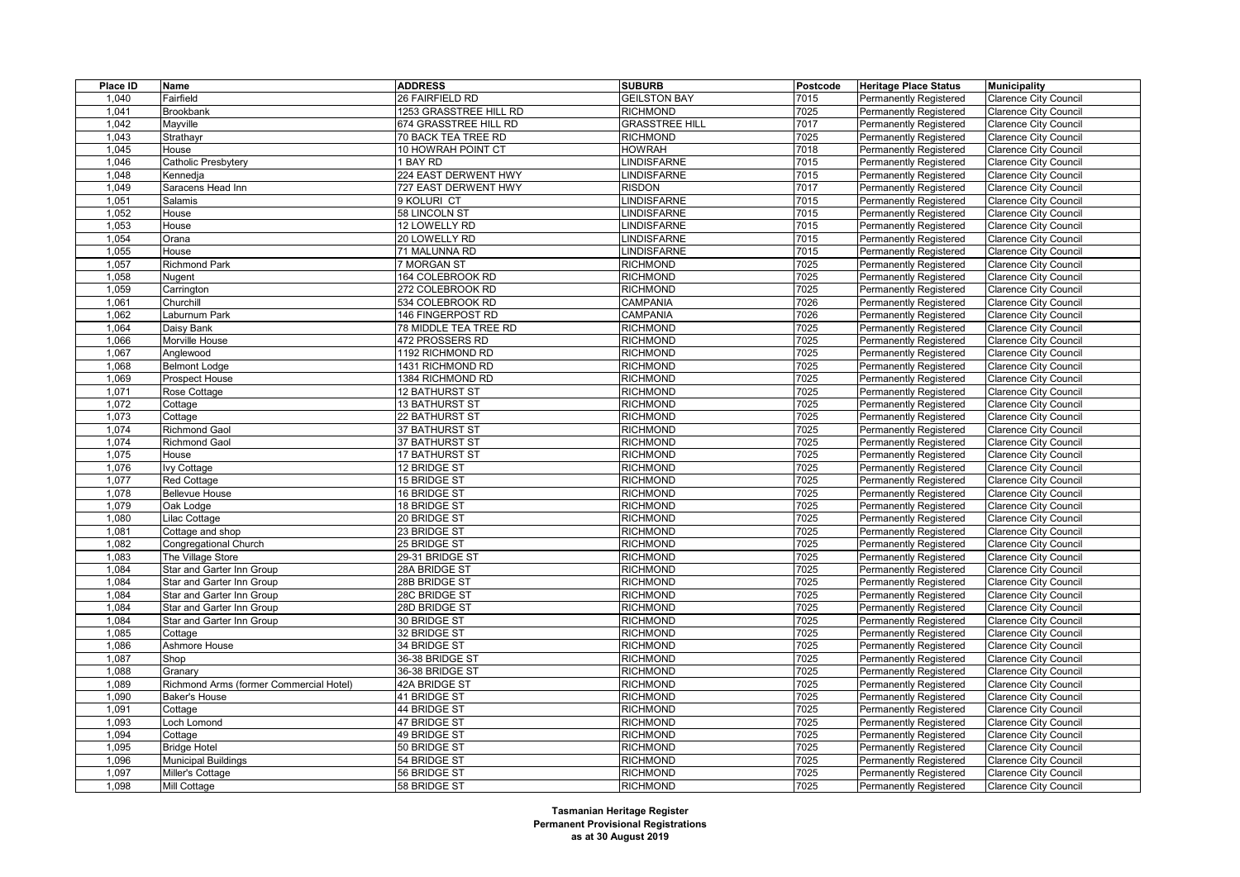| Place ID | Name                                    | <b>ADDRESS</b>         | <b>SUBURB</b>         | Postcode | <b>Heritage Place Status</b>  | <b>Municipality</b>          |
|----------|-----------------------------------------|------------------------|-----------------------|----------|-------------------------------|------------------------------|
| 1,040    | Fairfield                               | 26 FAIRFIELD RD        | <b>GEILSTON BAY</b>   | 7015     | Permanently Registered        | <b>Clarence City Council</b> |
| 1.041    | <b>Brookbank</b>                        | 1253 GRASSTREE HILL RD | <b>RICHMOND</b>       | 7025     | Permanently Registered        | <b>Clarence City Council</b> |
| 1,042    | Mayville                                | 674 GRASSTREE HILL RD  | <b>GRASSTREE HILL</b> | 7017     | Permanently Registered        | <b>Clarence City Council</b> |
| 1,043    | Strathayr                               | 70 BACK TEA TREE RD    | <b>RICHMOND</b>       | 7025     | <b>Permanently Registered</b> | <b>Clarence City Council</b> |
| 1,045    | House                                   | 10 HOWRAH POINT CT     | <b>HOWRAH</b>         | 7018     | Permanently Registered        | <b>Clarence City Council</b> |
| 1,046    | Catholic Presbytery                     | 1 BAY RD               | LINDISFARNE           | 7015     | Permanently Registered        | <b>Clarence City Council</b> |
| 1,048    | Kennedja                                | 224 EAST DERWENT HWY   | <b>INDISFARNE</b>     | 7015     | <b>Permanently Registered</b> | <b>Clarence City Council</b> |
| 1,049    | Saracens Head Inn                       | 727 EAST DERWENT HWY   | <b>RISDON</b>         | 7017     | Permanently Registered        | <b>Clarence City Council</b> |
| 1,051    | Salamis                                 | 9 KOLURI CT            | <b>LINDISFARNE</b>    | 7015     | <b>Permanently Registered</b> | <b>Clarence City Council</b> |
| 1,052    | House                                   | 58 LINCOLN ST          | <b>INDISFARNE</b>     | 7015     | <b>Permanently Registered</b> | <b>Clarence City Council</b> |
| 1,053    | House                                   | 12 LOWELLY RD          | <b>INDISFARNE</b>     | 7015     | Permanently Registered        | <b>Clarence City Council</b> |
| 1,054    | Orana                                   | 20 LOWELLY RD          | <b>LINDISFARNE</b>    | 7015     | Permanently Registered        | <b>Clarence City Council</b> |
| 1,055    | House                                   | 71 MALUNNA RD          | <b>INDISFARNE</b>     | 7015     | <b>Permanently Registered</b> | <b>Clarence City Council</b> |
| 1,057    | <b>Richmond Park</b>                    | 7 MORGAN ST            | <b>RICHMOND</b>       | 7025     | Permanently Registered        | <b>Clarence City Council</b> |
| 1,058    | Nugent                                  | 164 COLEBROOK RD       | <b>RICHMOND</b>       | 7025     | <b>Permanently Registered</b> | <b>Clarence City Council</b> |
| 1,059    | Carrington                              | 272 COLEBROOK RD       | <b>RICHMOND</b>       | 7025     | <b>Permanently Registered</b> | <b>Clarence City Council</b> |
| 1,061    | Churchill                               | 534 COLEBROOK RD       | CAMPANIA              | 7026     | Permanently Registered        | <b>Clarence City Council</b> |
| 1,062    | Laburnum Park                           | 146 FINGERPOST RD      | CAMPANIA              | 7026     | Permanently Registered        | <b>Clarence City Council</b> |
| 1,064    | Daisy Bank                              | 78 MIDDLE TEA TREE RD  | <b>RICHMOND</b>       | 7025     | <b>Permanently Registered</b> | <b>Clarence City Council</b> |
| 1,066    | Morville House                          | 472 PROSSERS RD        | <b>RICHMOND</b>       | 7025     | Permanently Registered        | Clarence City Council        |
| 1,067    | Anglewood                               | 1192 RICHMOND RD       | <b>RICHMOND</b>       | 7025     | Permanently Registered        | <b>Clarence City Council</b> |
| 1,068    | <b>Belmont Lodge</b>                    | 1431 RICHMOND RD       | <b>RICHMOND</b>       | 7025     | <b>Permanently Registered</b> | <b>Clarence City Council</b> |
| 1,069    | Prospect House                          | 1384 RICHMOND RD       | <b>RICHMOND</b>       | 7025     | Permanently Registered        | <b>Clarence City Council</b> |
| 1,071    | Rose Cottage                            | 12 BATHURST ST         | <b>RICHMOND</b>       | 7025     | Permanently Registered        | <b>Clarence City Council</b> |
| 1,072    | Cottage                                 | 13 BATHURST ST         | <b>RICHMOND</b>       | 7025     | <b>Permanently Registered</b> | Clarence City Council        |
| 1,073    | Cottage                                 | 22 BATHURST ST         | <b>RICHMOND</b>       | 7025     | Permanently Registered        | Clarence City Council        |
| 1,074    | <b>Richmond Gaol</b>                    | 37 BATHURST ST         | <b>RICHMOND</b>       | 7025     | Permanently Registered        | <b>Clarence City Council</b> |
| 1,074    | <b>Richmond Gaol</b>                    | <b>37 BATHURST ST</b>  | <b>RICHMOND</b>       | 7025     | <b>Permanently Registered</b> | <b>Clarence City Council</b> |
| 1,075    | House                                   | <b>17 BATHURST ST</b>  | <b>RICHMOND</b>       | 7025     | Permanently Registered        | Clarence City Council        |
| 1,076    | <b>Ivy Cottage</b>                      | 12 BRIDGE ST           | <b>RICHMOND</b>       | 7025     | Permanently Registered        | <b>Clarence City Council</b> |
| 1,077    | <b>Red Cottage</b>                      | 15 BRIDGE ST           | <b>RICHMOND</b>       | 7025     | <b>Permanently Registered</b> | <b>Clarence City Council</b> |
| 1,078    | <b>Bellevue House</b>                   | 16 BRIDGE ST           | <b>RICHMOND</b>       | 7025     | Permanently Registered        | <b>Clarence City Council</b> |
| 1,079    | Oak Lodge                               | 18 BRIDGE ST           | <b>RICHMOND</b>       | 7025     | Permanently Registered        | <b>Clarence City Council</b> |
| 1,080    | Lilac Cottage                           | 20 BRIDGE ST           | <b>RICHMOND</b>       | 7025     | <b>Permanently Registered</b> | <b>Clarence City Council</b> |
| 1,081    | Cottage and shop                        | 23 BRIDGE ST           | <b>RICHMOND</b>       | 7025     | Permanently Registered        | Clarence City Council        |
| 1,082    | Congregational Church                   | 25 BRIDGE ST           | <b>RICHMOND</b>       | 7025     | Permanently Registered        | <b>Clarence City Council</b> |
| 1,083    | The Village Store                       | 29-31 BRIDGE ST        | <b>RICHMOND</b>       | 7025     | Permanently Registered        | <b>Clarence City Council</b> |
| 1,084    | Star and Garter Inn Group               | 28A BRIDGE ST          | <b>RICHMOND</b>       | 7025     | <b>Permanently Registered</b> | <b>Clarence City Council</b> |
| 1,084    | Star and Garter Inn Group               | 28B BRIDGE ST          | <b>RICHMOND</b>       | 7025     | <b>Permanently Registered</b> | <b>Clarence City Council</b> |
| 1,084    | Star and Garter Inn Group               | 28C BRIDGE ST          | <b>RICHMOND</b>       | 7025     | <b>Permanently Registered</b> | <b>Clarence City Council</b> |
| 1,084    | Star and Garter Inn Group               | 28D BRIDGE ST          | <b>RICHMOND</b>       | 7025     | Permanently Registered        | <b>Clarence City Council</b> |
| 1,084    | Star and Garter Inn Group               | 30 BRIDGE ST           | <b>RICHMOND</b>       | 7025     | <b>Permanently Registered</b> | <b>Clarence City Council</b> |
| 1,085    | Cottage                                 | 32 BRIDGE ST           | <b>RICHMOND</b>       | 7025     | <b>Permanently Registered</b> | <b>Clarence City Council</b> |
| 1,086    | Ashmore House                           | 34 BRIDGE ST           | <b>RICHMOND</b>       | 7025     | Permanently Registered        | <b>Clarence City Council</b> |
| 1,087    | Shop                                    | 36-38 BRIDGE ST        | <b>RICHMOND</b>       | 7025     | <b>Permanently Registered</b> | <b>Clarence City Council</b> |
| 1,088    | Granary                                 | 36-38 BRIDGE ST        | <b>RICHMOND</b>       | 7025     | <b>Permanently Registered</b> | Clarence City Council        |
| 1,089    | Richmond Arms (former Commercial Hotel) | 42A BRIDGE ST          | <b>RICHMOND</b>       | 7025     | <b>Permanently Registered</b> | <b>Clarence City Council</b> |
| 1,090    | <b>Baker's House</b>                    | 41 BRIDGE ST           | <b>RICHMOND</b>       | 7025     | Permanently Registered        | <b>Clarence City Council</b> |
| 1,091    | Cottage                                 | 44 BRIDGE ST           | <b>RICHMOND</b>       | 7025     | Permanently Registered        | <b>Clarence City Council</b> |
| 1,093    | Loch Lomond                             | 47 BRIDGE ST           | <b>RICHMOND</b>       | 7025     | Permanently Registered        | <b>Clarence City Council</b> |
| 1,094    | Cottage                                 | 49 BRIDGE ST           | <b>RICHMOND</b>       | 7025     | Permanently Registered        | Clarence City Council        |
| 1,095    | <b>Bridge Hotel</b>                     | 50 BRIDGE ST           | <b>RICHMOND</b>       | 7025     | <b>Permanently Registered</b> | <b>Clarence City Council</b> |
| 1,096    | <b>Municipal Buildings</b>              | 54 BRIDGE ST           | <b>RICHMOND</b>       | 7025     | <b>Permanently Registered</b> | <b>Clarence City Council</b> |
| 1,097    | Miller's Cottage                        | 56 BRIDGE ST           | <b>RICHMOND</b>       | 7025     | <b>Permanently Registered</b> | <b>Clarence City Council</b> |
| 1,098    | Mill Cottage                            | 58 BRIDGE ST           | <b>RICHMOND</b>       | 7025     | Permanently Registered        | <b>Clarence City Council</b> |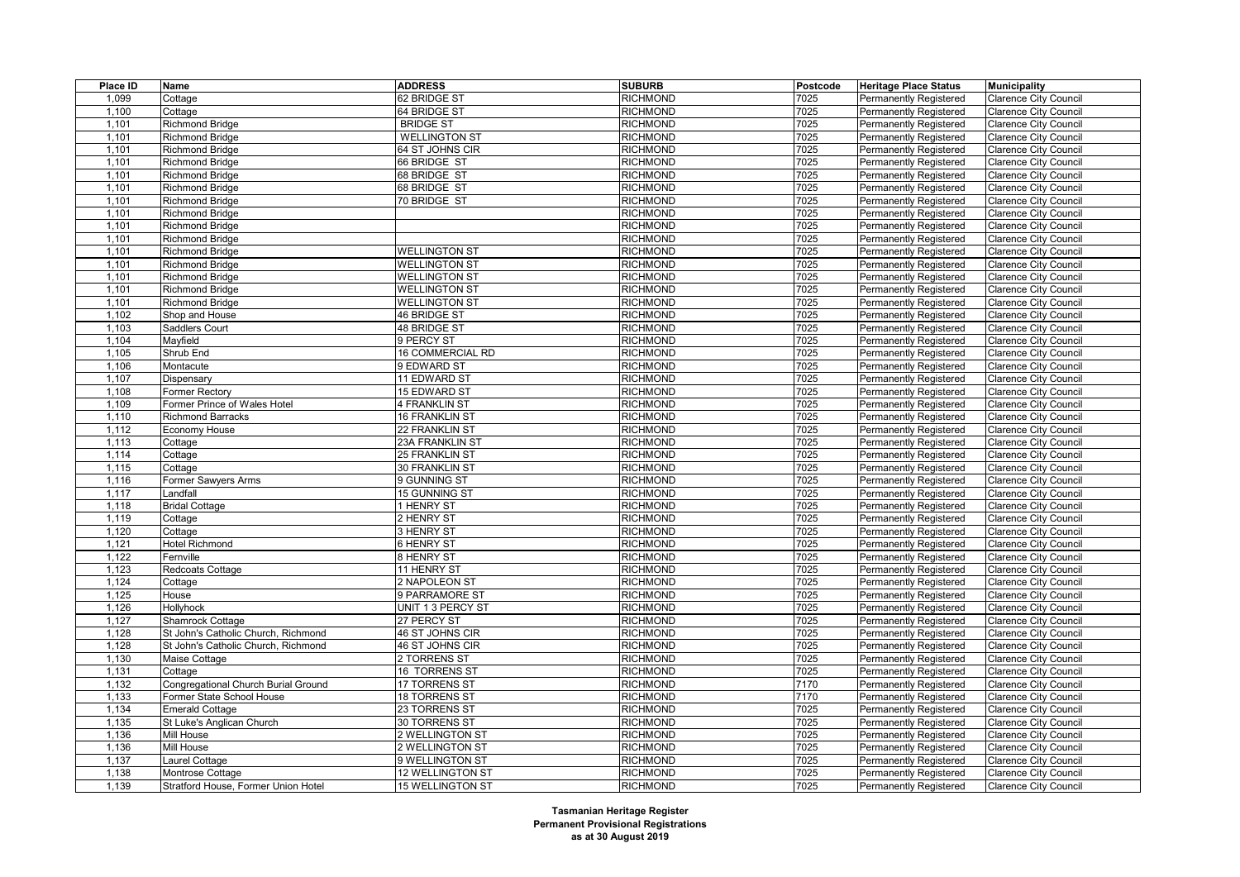| Place ID | Name                                                | <b>ADDRESS</b>                      | <b>SUBURB</b>                      | Postcode | <b>Heritage Place Status</b>                            | <b>Municipality</b>                                          |
|----------|-----------------------------------------------------|-------------------------------------|------------------------------------|----------|---------------------------------------------------------|--------------------------------------------------------------|
| 1,099    | Cottage                                             | 62 BRIDGE ST                        | <b>RICHMOND</b>                    | 7025     | Permanently Registered                                  | <b>Clarence City Council</b>                                 |
| 1,100    | Cottage                                             | 64 BRIDGE ST                        | <b>RICHMOND</b>                    | 7025     | <b>Permanently Registered</b>                           | <b>Clarence City Council</b>                                 |
| 1,101    | Richmond Bridge                                     | <b>BRIDGE ST</b>                    | <b>RICHMOND</b>                    | 7025     | <b>Permanently Registered</b>                           | <b>Clarence City Council</b>                                 |
| 1,101    | <b>Richmond Bridge</b>                              | <b>WELLINGTON ST</b>                | <b>RICHMOND</b>                    | 7025     | Permanently Registered                                  | Clarence City Council                                        |
| 1,101    | <b>Richmond Bridge</b>                              | 64 ST JOHNS CIR                     | <b>RICHMOND</b>                    | 7025     | <b>Permanently Registered</b>                           | <b>Clarence City Council</b>                                 |
| 1,101    | <b>Richmond Bridge</b>                              | 66 BRIDGE ST                        | <b>RICHMOND</b>                    | 7025     | <b>Permanently Registered</b>                           | <b>Clarence City Council</b>                                 |
| 1,101    | Richmond Bridge                                     | 68 BRIDGE ST                        | <b>RICHMOND</b>                    | 7025     | <b>Permanently Registered</b>                           | <b>Clarence City Council</b>                                 |
| 1,101    | <b>Richmond Bridge</b>                              | 68 BRIDGE ST                        | <b>RICHMOND</b>                    | 7025     | <b>Permanently Registered</b>                           | <b>Clarence City Council</b>                                 |
| 1,101    | <b>Richmond Bridge</b>                              | 70 BRIDGE ST                        | <b>RICHMOND</b>                    | 7025     | Permanently Registered                                  | <b>Clarence City Council</b>                                 |
| 1,101    | Richmond Bridge                                     |                                     | <b>RICHMOND</b>                    | 7025     | <b>Permanently Registered</b>                           | <b>Clarence City Council</b>                                 |
| 1,101    | <b>Richmond Bridge</b>                              |                                     | <b>RICHMOND</b>                    | 7025     | <b>Permanently Registered</b>                           | <b>Clarence City Council</b>                                 |
| 1,101    | <b>Richmond Bridge</b>                              |                                     | <b>RICHMOND</b>                    | 7025     | Permanently Registered                                  | Clarence City Council                                        |
| 1,101    | Richmond Bridge                                     | <b>WELLINGTON ST</b>                | <b>RICHMOND</b>                    | 7025     | <b>Permanently Registered</b>                           | <b>Clarence City Council</b>                                 |
| 1,101    | Richmond Bridge                                     | <b>WELLINGTON ST</b>                | <b>RICHMOND</b>                    | 7025     | <b>Permanently Registered</b>                           | <b>Clarence City Council</b>                                 |
| 1,101    | Richmond Bridge                                     | <b>WELLINGTON ST</b>                | <b>RICHMOND</b>                    | 7025     | <b>Permanently Registered</b>                           | <b>Clarence City Council</b>                                 |
| 1,101    | Richmond Bridge                                     | <b>WELLINGTON ST</b>                | <b>RICHMOND</b>                    | 7025     | <b>Permanently Registered</b>                           | <b>Clarence City Council</b>                                 |
| 1,101    | <b>Richmond Bridge</b>                              | <b>WELLINGTON ST</b>                | <b>RICHMOND</b>                    | 7025     | Permanently Registered                                  | <b>Clarence City Council</b>                                 |
| 1,102    | Shop and House                                      | 46 BRIDGE ST                        | <b>RICHMOND</b>                    | 7025     | <b>Permanently Registered</b>                           | <b>Clarence City Council</b>                                 |
| 1,103    | Saddlers Court                                      | <b>48 BRIDGE ST</b>                 | <b>RICHMOND</b>                    | 7025     | <b>Permanently Registered</b>                           | <b>Clarence City Council</b>                                 |
| 1,104    | Mayfield                                            | 9 PERCY ST                          | <b>RICHMOND</b>                    | 7025     | Permanently Registered                                  | Clarence City Council                                        |
| 1,105    | Shrub End                                           | 16 COMMERCIAL RD                    | <b>RICHMOND</b>                    | 7025     | <b>Permanently Registered</b>                           | <b>Clarence City Council</b>                                 |
| 1,106    | Montacute                                           | 9 EDWARD ST                         | <b>RICHMOND</b>                    | 7025     | <b>Permanently Registered</b>                           | <b>Clarence City Council</b>                                 |
| 1,107    | Dispensary                                          | 11 EDWARD ST                        | <b>RICHMOND</b>                    | 7025     | <b>Permanently Registered</b>                           | <b>Clarence City Council</b>                                 |
| 1,108    | Former Rectory                                      | 15 EDWARD ST                        | <b>RICHMOND</b>                    | 7025     | <b>Permanently Registered</b>                           | <b>Clarence City Council</b>                                 |
| 1,109    | Former Prince of Wales Hotel                        | 4 FRANKLIN ST                       | <b>RICHMOND</b>                    | 7025     | <b>Permanently Registered</b>                           | <b>Clarence City Council</b>                                 |
| 1,110    | <b>Richmond Barracks</b>                            | <b>16 FRANKLIN ST</b>               | <b>RICHMOND</b>                    | 7025     | <b>Permanently Registered</b>                           | <b>Clarence City Council</b>                                 |
| 1,112    | Economy House                                       | 22 FRANKLIN ST                      | <b>RICHMOND</b>                    | 7025     | <b>Permanently Registered</b>                           | <b>Clarence City Council</b>                                 |
| 1,113    | Cottage                                             | 23A FRANKLIN ST                     | <b>RICHMOND</b>                    | 7025     | <b>Permanently Registered</b>                           | <b>Clarence City Council</b>                                 |
| 1,114    | Cottage                                             | 25 FRANKLIN ST                      | <b>RICHMOND</b>                    | 7025     | <b>Permanently Registered</b>                           | <b>Clarence City Council</b>                                 |
| 1,115    | Cottage                                             | 30 FRANKLIN ST                      | <b>RICHMOND</b>                    | 7025     | <b>Permanently Registered</b>                           | <b>Clarence City Council</b>                                 |
| 1,116    | Former Sawyers Arms                                 | 9 GUNNING ST                        | <b>RICHMOND</b>                    | 7025     | <b>Permanently Registered</b>                           | <b>Clarence City Council</b>                                 |
| 1,117    | _andfall                                            | 15 GUNNING ST                       | <b>RICHMOND</b>                    | 7025     | <b>Permanently Registered</b>                           | <b>Clarence City Council</b>                                 |
| 1,118    | <b>Bridal Cottage</b>                               | 1 HENRY ST                          | <b>RICHMOND</b>                    | 7025     | Permanently Registered                                  | <b>Clarence City Council</b>                                 |
| 1,119    | Cottage                                             | 2 HENRY ST                          | <b>RICHMOND</b>                    | 7025     | Permanently Registered                                  | <b>Clarence City Council</b>                                 |
| 1,120    | Cottage                                             | 3 HENRY ST                          | <b>RICHMOND</b>                    | 7025     | Permanently Registered                                  | <b>Clarence City Council</b>                                 |
| 1,121    | <b>Hotel Richmond</b>                               | 6 HENRY ST                          | <b>RICHMOND</b>                    | 7025     | <b>Permanently Registered</b>                           | <b>Clarence City Council</b>                                 |
| 1,122    | Fernville                                           | 8 HENRY ST                          | <b>RICHMOND</b>                    | 7025     | <b>Permanently Registered</b>                           | <b>Clarence City Council</b>                                 |
| 1,123    | Redcoats Cottage                                    | 11 HENRY ST                         | <b>RICHMOND</b>                    | 7025     | Permanently Registered                                  | <b>Clarence City Council</b>                                 |
| 1,124    | Cottage                                             | 2 NAPOLEON ST                       | <b>RICHMOND</b>                    | 7025     | <b>Permanently Registered</b>                           | <b>Clarence City Council</b>                                 |
| 1,125    | House                                               | 9 PARRAMORE ST                      | <b>RICHMOND</b>                    | 7025     | <b>Permanently Registered</b>                           | <b>Clarence City Council</b>                                 |
| 1,126    | Hollyhock                                           | UNIT 1 3 PERCY ST                   | <b>RICHMOND</b>                    | 7025     | <b>Permanently Registered</b>                           | <b>Clarence City Council</b>                                 |
| 1,127    | Shamrock Cottage                                    | 27 PERCY ST                         | <b>RICHMOND</b>                    | 7025     | <b>Permanently Registered</b>                           | Clarence City Council                                        |
| 1,128    | St John's Catholic Church, Richmond                 | 46 ST JOHNS CIR                     | <b>RICHMOND</b>                    | 7025     | <b>Permanently Registered</b>                           | <b>Clarence City Council</b>                                 |
| 1,128    | St John's Catholic Church, Richmond                 | 46 ST JOHNS CIR                     | <b>RICHMOND</b>                    | 7025     | Permanently Registered                                  | <b>Clarence City Council</b>                                 |
| 1,130    | Maise Cottage                                       | 2 TORRENS ST                        | <b>RICHMOND</b>                    | 7025     | Permanently Registered                                  | <b>Clarence City Council</b>                                 |
| 1,131    | Cottage                                             | 16 TORRENS ST                       | <b>RICHMOND</b>                    | 7025     | <b>Permanently Registered</b>                           | <b>Clarence City Council</b>                                 |
| 1,132    | Congregational Church Burial Ground                 | 17 TORRENS ST                       | <b>RICHMOND</b>                    | 7170     | <b>Permanently Registered</b>                           | <b>Clarence City Council</b>                                 |
| 1,133    | Former State School House                           | <b>18 TORRENS ST</b>                | <b>RICHMOND</b>                    | 7170     | Permanently Registered                                  | <b>Clarence City Council</b>                                 |
| 1,134    |                                                     | 23 TORRENS ST                       | <b>RICHMOND</b>                    | 7025     | Permanently Registered                                  | <b>Clarence City Council</b>                                 |
| 1,135    | <b>Emerald Cottage</b><br>St Luke's Anglican Church | 30 TORRENS ST                       | <b>RICHMOND</b>                    | 7025     | <b>Permanently Registered</b>                           | <b>Clarence City Council</b>                                 |
| 1,136    | Mill House                                          | 2 WELLINGTON ST                     | <b>RICHMOND</b>                    | 7025     | Permanently Registered                                  |                                                              |
| 1,136    | Mill House                                          | 2 WELLINGTON ST                     | <b>RICHMOND</b>                    | 7025     | <b>Permanently Registered</b>                           | <b>Clarence City Council</b><br><b>Clarence City Council</b> |
| 1,137    |                                                     |                                     |                                    | 7025     |                                                         |                                                              |
| 1,138    | aurel Cottage<br>Montrose Cottage                   | 9 WELLINGTON ST<br>12 WELLINGTON ST | <b>RICHMOND</b><br><b>RICHMOND</b> | 7025     | <b>Permanently Registered</b><br>Permanently Registered | <b>Clarence City Council</b><br><b>Clarence City Council</b> |
| 1,139    | Stratford House, Former Union Hotel                 | <b>15 WELLINGTON ST</b>             | <b>RICHMOND</b>                    | 7025     |                                                         |                                                              |
|          |                                                     |                                     |                                    |          | Permanently Registered                                  | <b>Clarence City Council</b>                                 |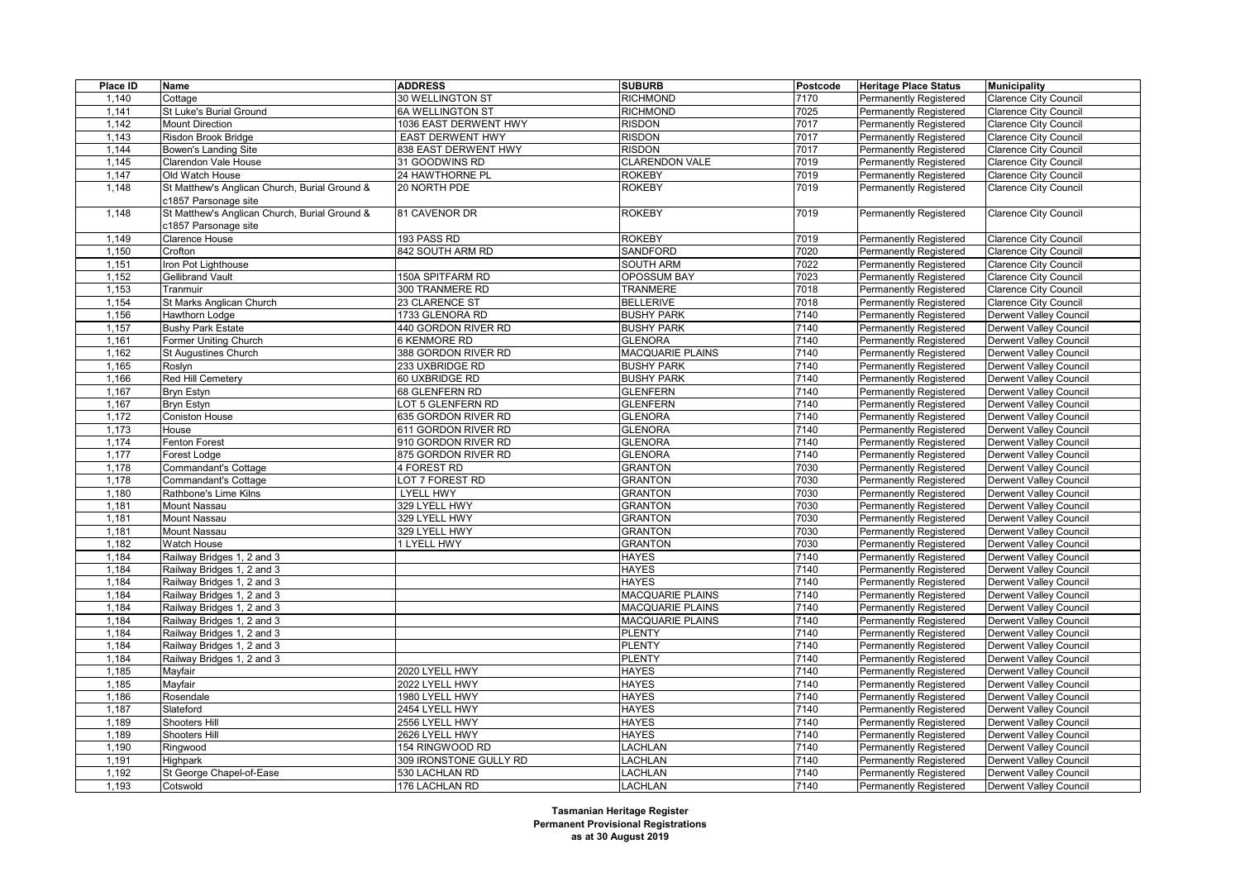| Place ID | Name                                          | <b>ADDRESS</b>          | <b>SUBURB</b>           | Postcode | <b>Heritage Place Status</b>  | <b>Municipality</b>           |
|----------|-----------------------------------------------|-------------------------|-------------------------|----------|-------------------------------|-------------------------------|
| 1,140    | Cottage                                       | 30 WELLINGTON ST        | <b>RICHMOND</b>         | 7170     | Permanently Registered        | <b>Clarence City Council</b>  |
| 1,141    | St Luke's Burial Ground                       | <b>6A WELLINGTON ST</b> | <b>RICHMOND</b>         | 7025     | <b>Permanently Registered</b> | <b>Clarence City Council</b>  |
| 1,142    | Mount Direction                               | 1036 EAST DERWENT HWY   | <b>RISDON</b>           | 7017     | <b>Permanently Registered</b> | <b>Clarence City Council</b>  |
| 1,143    | Risdon Brook Bridge                           | EAST DERWENT HWY        | <b>RISDON</b>           | 7017     | Permanently Registered        | <b>Clarence City Council</b>  |
| 1,144    | Bowen's Landing Site                          | 838 EAST DERWENT HWY    | <b>RISDON</b>           | 7017     | <b>Permanently Registered</b> | <b>Clarence City Council</b>  |
| 1,145    | Clarendon Vale House                          | 31 GOODWINS RD          | <b>CLARENDON VALE</b>   | 7019     | Permanently Registered        | <b>Clarence City Council</b>  |
| 1,147    | Old Watch House                               | 24 HAWTHORNE PL         | <b>ROKEBY</b>           | 7019     | <b>Permanently Registered</b> | <b>Clarence City Council</b>  |
| 1,148    | St Matthew's Anglican Church, Burial Ground & | 20 NORTH PDE            | <b>ROKEBY</b>           | 7019     | <b>Permanently Registered</b> | <b>Clarence City Council</b>  |
|          | c1857 Parsonage site                          |                         |                         |          |                               |                               |
| 1,148    | St Matthew's Anglican Church, Burial Ground & | 81 CAVENOR DR           | <b>ROKEBY</b>           | 7019     | <b>Permanently Registered</b> | <b>Clarence City Council</b>  |
|          | c1857 Parsonage site                          |                         |                         |          |                               |                               |
| 1,149    | Clarence House                                | 193 PASS RD             | <b>ROKEBY</b>           | 7019     | Permanently Registered        | <b>Clarence City Council</b>  |
| 1,150    | Crofton                                       | 842 SOUTH ARM RD        | SANDFORD                | 7020     | <b>Permanently Registered</b> | <b>Clarence City Council</b>  |
| 1,151    | ron Pot Lighthouse                            |                         | <b>SOUTH ARM</b>        | 7022     | Permanently Registered        | <b>Clarence City Council</b>  |
| 1,152    | Gellibrand Vault                              | 150A SPITFARM RD        | OPOSSUM BAY             | 7023     | <b>Permanently Registered</b> | <b>Clarence City Council</b>  |
| 1,153    | Tranmuir                                      | 300 TRANMERE RD         | <b>TRANMERE</b>         | 7018     | <b>Permanently Registered</b> | <b>Clarence City Council</b>  |
| 1,154    | St Marks Anglican Church                      | 23 CLARENCE ST          | <b>BELLERIVE</b>        | 7018     | Permanently Registered        | Clarence City Council         |
| 1,156    | Hawthorn Lodge                                | 1733 GLENORA RD         | <b>BUSHY PARK</b>       | 7140     | Permanently Registered        | <b>Derwent Valley Council</b> |
| 1,157    | <b>Bushy Park Estate</b>                      | 440 GORDON RIVER RD     | <b>BUSHY PARK</b>       | 7140     | <b>Permanently Registered</b> | <b>Derwent Valley Council</b> |
| 1,161    | Former Uniting Church                         | <b>6 KENMORE RD</b>     | <b>GLENORA</b>          | 7140     | Permanently Registered        | Derwent Valley Council        |
| 1,162    | <b>St Augustines Church</b>                   | 388 GORDON RIVER RD     | <b>MACQUARIE PLAINS</b> | 7140     | <b>Permanently Registered</b> | <b>Derwent Valley Council</b> |
| 1,165    | Roslyn                                        | 233 UXBRIDGE RD         | <b>BUSHY PARK</b>       | 7140     | <b>Permanently Registered</b> | Derwent Valley Council        |
| 1,166    | Red Hill Cemetery                             | 60 UXBRIDGE RD          | <b>BUSHY PARK</b>       | 7140     | <b>Permanently Registered</b> | <b>Derwent Valley Council</b> |
| 1,167    | <b>Bryn Estyn</b>                             | 68 GLENFERN RD          | <b>GLENFERN</b>         | 7140     | <b>Permanently Registered</b> | <b>Derwent Valley Council</b> |
| 1,167    | Bryn Estyn                                    | LOT 5 GLENFERN RD       | <b>GLENFERN</b>         | 7140     | <b>Permanently Registered</b> | Derwent Valley Council        |
| 1,172    | <b>Coniston House</b>                         | 635 GORDON RIVER RD     | <b>GLENORA</b>          | 7140     | <b>Permanently Registered</b> | <b>Derwent Valley Council</b> |
| 1,173    | House                                         | 611 GORDON RIVER RD     | <b>GLENORA</b>          | 7140     | <b>Permanently Registered</b> | Derwent Valley Council        |
| 1,174    | Fenton Forest                                 | 910 GORDON RIVER RD     | <b>GLENORA</b>          | 7140     | Permanently Registered        | Derwent Valley Council        |
| 1,177    | Forest Lodge                                  | 875 GORDON RIVER RD     | <b>GLENORA</b>          | 7140     | <b>Permanently Registered</b> | <b>Derwent Valley Council</b> |
| 1,178    | Commandant's Cottage                          | 4 FOREST RD             | <b>GRANTON</b>          | 7030     | <b>Permanently Registered</b> | <b>Derwent Valley Council</b> |
| 1,178    | Commandant's Cottage                          | LOT 7 FOREST RD         | <b>GRANTON</b>          | 7030     | <b>Permanently Registered</b> | <b>Derwent Valley Council</b> |
| 1,180    | Rathbone's Lime Kilns                         | <b>LYELL HWY</b>        | <b>GRANTON</b>          | 7030     | Permanently Registered        | <b>Derwent Valley Council</b> |
| 1,181    | Mount Nassau                                  | 329 LYELL HWY           | <b>GRANTON</b>          | 7030     | Permanently Registered        | <b>Derwent Valley Council</b> |
| 1,181    | Mount Nassau                                  | 329 LYELL HWY           | <b>GRANTON</b>          | 7030     | <b>Permanently Registered</b> | Derwent Valley Council        |
| 1,181    | Mount Nassau                                  | 329 LYELL HWY           | <b>GRANTON</b>          | 7030     | <b>Permanently Registered</b> | Derwent Valley Council        |
| 1,182    | Watch House                                   | 1 LYELL HWY             | <b>GRANTON</b>          | 7030     | Permanently Registered        | Derwent Valley Council        |
| 1,184    | Railway Bridges 1, 2 and 3                    |                         | <b>HAYES</b>            | 7140     | Permanently Registered        | <b>Derwent Valley Council</b> |
| 1,184    | Railway Bridges 1, 2 and 3                    |                         | <b>HAYES</b>            | 7140     | Permanently Registered        | <b>Derwent Valley Council</b> |
| 1,184    | Railway Bridges 1, 2 and 3                    |                         | <b>HAYES</b>            | 7140     | Permanently Registered        | Derwent Valley Council        |
| 1,184    | Railway Bridges 1, 2 and 3                    |                         | <b>MACQUARIE PLAINS</b> | 7140     | Permanently Registered        | Derwent Valley Council        |
| 1,184    | Railway Bridges 1, 2 and 3                    |                         | MACQUARIE PLAINS        | 7140     | Permanently Registered        | <b>Derwent Valley Council</b> |
| 1,184    | Railway Bridges 1, 2 and 3                    |                         | <b>MACQUARIE PLAINS</b> | 7140     | <b>Permanently Registered</b> | Derwent Valley Council        |
| 1,184    | Railway Bridges 1, 2 and 3                    |                         | <b>PLENTY</b>           | 7140     | Permanently Registered        | <b>Derwent Valley Council</b> |
| 1,184    | Railway Bridges 1, 2 and 3                    |                         | <b>PLENTY</b>           | 7140     | <b>Permanently Registered</b> | <b>Derwent Valley Council</b> |
| 1,184    | Railway Bridges 1, 2 and 3                    |                         | <b>PLENTY</b>           | 7140     | <b>Permanently Registered</b> | Derwent Valley Council        |
| 1,185    | Mayfair                                       | 2020 LYELL HWY          | <b>HAYES</b>            | 7140     | Permanently Registered        | <b>Derwent Valley Council</b> |
| 1,185    | Mayfair                                       | 2022 LYELL HWY          | <b>HAYES</b>            | 7140     | Permanently Registered        | <b>Derwent Valley Council</b> |
| 1,186    | Rosendale                                     | 1980 LYELL HWY          | <b>HAYES</b>            | 7140     | <b>Permanently Registered</b> | <b>Derwent Valley Council</b> |
| 1,187    | Slateford                                     | 2454 LYELL HWY          | <b>HAYES</b>            | 7140     | Permanently Registered        | <b>Derwent Valley Council</b> |
| 1,189    | Shooters Hill                                 | 2556 LYELL HWY          | <b>HAYES</b>            | 7140     | Permanently Registered        | <b>Derwent Valley Council</b> |
| 1,189    | Shooters Hill                                 | 2626 LYELL HWY          | <b>HAYES</b>            | 7140     | <b>Permanently Registered</b> | Derwent Valley Council        |
| 1,190    | Ringwood                                      | 154 RINGWOOD RD         | <b>LACHLAN</b>          | 7140     | Permanently Registered        | <b>Derwent Valley Council</b> |
| 1,191    | Highpark                                      | 309 IRONSTONE GULLY RD  | <b>LACHLAN</b>          | 7140     | <b>Permanently Registered</b> | Derwent Valley Council        |
| 1,192    | St George Chapel-of-Ease                      | 530 LACHLAN RD          | <b>LACHLAN</b>          | 7140     | Permanently Registered        | Derwent Valley Council        |
| 1,193    | Cotswold                                      | 176 LACHLAN RD          | <b>LACHLAN</b>          | 7140     | Permanently Registered        | <b>Derwent Valley Council</b> |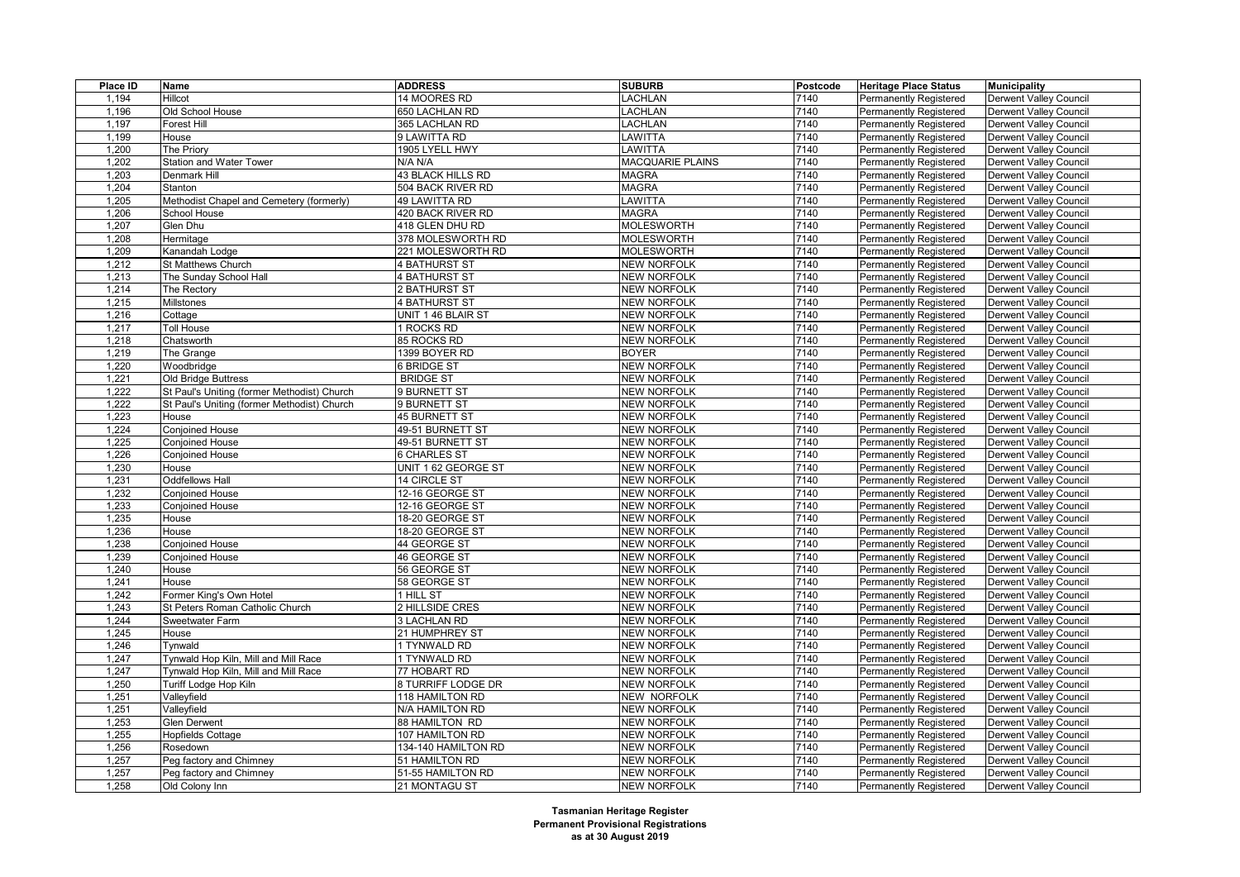| Place ID | <b>Name</b>                                 | <b>ADDRESS</b>       | <b>SUBURB</b>      | Postcode | <b>Heritage Place Status</b>  | <b>Municipality</b>           |
|----------|---------------------------------------------|----------------------|--------------------|----------|-------------------------------|-------------------------------|
| 1,194    | Hillcot                                     | 14 MOORES RD         | LACHLAN            | 7140     | <b>Permanently Registered</b> | Derwent Valley Council        |
| 1,196    | Old School House                            | 650 LACHLAN RD       | LACHLAN            | 7140     | Permanently Registered        | <b>Derwent Valley Council</b> |
| 1,197    | Forest Hill                                 | 365 LACHLAN RD       | LACHLAN            | 7140     | Permanently Registered        | <b>Derwent Valley Council</b> |
| 1,199    | House                                       | 9 LAWITTA RD         | LAWITTA            | 7140     | <b>Permanently Registered</b> | Derwent Valley Council        |
| 1,200    | The Priory                                  | 1905 LYELL HWY       | LAWITTA            | 7140     | Permanently Registered        | <b>Derwent Valley Council</b> |
| 1,202    | Station and Water Tower                     | N/A N/A              | MACQUARIE PLAINS   | 7140     | <b>Permanently Registered</b> | <b>Derwent Valley Council</b> |
| 1,203    | Denmark Hill                                | 43 BLACK HILLS RD    | <b>MAGRA</b>       | 7140     | <b>Permanently Registered</b> | Derwent Valley Council        |
| 1,204    | Stanton                                     | 504 BACK RIVER RD    | <b>MAGRA</b>       | 7140     | <b>Permanently Registered</b> | <b>Derwent Valley Council</b> |
| 1,205    | Methodist Chapel and Cemetery (formerly)    | 49 LAWITTA RD        | <b>AWITTA</b>      | 7140     | <b>Permanently Registered</b> | Derwent Valley Council        |
| 1,206    | School House                                | 420 BACK RIVER RD    | <b>MAGRA</b>       | 7140     | Permanently Registered        | <b>Derwent Valley Council</b> |
| 1,207    | Glen Dhu                                    | 418 GLEN DHU RD      | <b>MOLESWORTH</b>  | 7140     | <b>Permanently Registered</b> | <b>Derwent Valley Council</b> |
| 1,208    | Hermitage                                   | 378 MOLESWORTH RD    | <b>MOLESWORTH</b>  | 7140     | Permanently Registered        | <b>Derwent Valley Council</b> |
| 1,209    | Kanandah Lodge                              | 221 MOLESWORTH RD    | <b>MOLESWORTH</b>  | 7140     | Permanently Registered        | <b>Derwent Valley Council</b> |
| 1,212    | St Matthews Church                          | <b>4 BATHURST ST</b> | <b>NEW NORFOLK</b> | 7140     | <b>Permanently Registered</b> | Derwent Valley Council        |
| 1,213    | The Sunday School Hall                      | <b>4 BATHURST ST</b> | <b>NEW NORFOLK</b> | 7140     | Permanently Registered        | <b>Derwent Valley Council</b> |
| 1,214    | The Rectory                                 | 2 BATHURST ST        | <b>NEW NORFOLK</b> | 7140     | <b>Permanently Registered</b> | <b>Derwent Valley Council</b> |
| 1,215    | Millstones                                  | <b>4 BATHURST ST</b> | <b>NEW NORFOLK</b> | 7140     | <b>Permanently Registered</b> | <b>Derwent Valley Council</b> |
| 1,216    | Cottage                                     | UNIT 1 46 BLAIR ST   | <b>NEW NORFOLK</b> | 7140     | Permanently Registered        | Derwent Valley Council        |
| 1,217    | <b>Toll House</b>                           | 1 ROCKS RD           | <b>NEW NORFOLK</b> | 7140     | Permanently Registered        | <b>Derwent Valley Council</b> |
| 1,218    | Chatsworth                                  | 85 ROCKS RD          | <b>NEW NORFOLK</b> | 7140     | <b>Permanently Registered</b> | <b>Derwent Valley Council</b> |
| 1,219    | The Grange                                  | 1399 BOYER RD        | <b>BOYER</b>       | 7140     | <b>Permanently Registered</b> | <b>Derwent Valley Council</b> |
| 1,220    | Woodbridge                                  | 6 BRIDGE ST          | <b>NEW NORFOLK</b> | 7140     | Permanently Registered        | <b>Derwent Valley Council</b> |
| 1,221    | Old Bridge Buttress                         | <b>BRIDGE ST</b>     | <b>NEW NORFOLK</b> | 7140     | <b>Permanently Registered</b> | <b>Derwent Valley Council</b> |
| 1,222    | St Paul's Uniting (former Methodist) Church | 9 BURNETT ST         | <b>NEW NORFOLK</b> | 7140     | Permanently Registered        | <b>Derwent Valley Council</b> |
| 1,222    | St Paul's Uniting (former Methodist) Church | 9 BURNETT ST         | <b>NEW NORFOLK</b> | 7140     | <b>Permanently Registered</b> | <b>Derwent Valley Council</b> |
| 1,223    | House                                       | <b>45 BURNETT ST</b> | <b>NEW NORFOLK</b> | 7140     | Permanently Registered        | Derwent Valley Council        |
| 1,224    | <b>Conjoined House</b>                      | 49-51 BURNETT ST     | <b>NEW NORFOLK</b> | 7140     | <b>Permanently Registered</b> | <b>Derwent Valley Council</b> |
| 1,225    | <b>Conjoined House</b>                      | 49-51 BURNETT ST     | <b>NEW NORFOLK</b> | 7140     | <b>Permanently Registered</b> | <b>Derwent Valley Council</b> |
| 1,226    | <b>Conjoined House</b>                      | 6 CHARLES ST         | <b>NEW NORFOLK</b> | 7140     | Permanently Registered        | Derwent Valley Council        |
| 1,230    | House                                       | UNIT 1 62 GEORGE ST  | <b>NEW NORFOLK</b> | 7140     | Permanently Registered        | <b>Derwent Valley Council</b> |
| 1,231    | <b>Oddfellows Hall</b>                      | 14 CIRCLE ST         | <b>NEW NORFOLK</b> | 7140     | Permanently Registered        | <b>Derwent Valley Council</b> |
| 1,232    | <b>Conjoined House</b>                      | 12-16 GEORGE ST      | <b>NEW NORFOLK</b> | 7140     | Permanently Registered        | Derwent Valley Council        |
| 1,233    | <b>Conjoined House</b>                      | 12-16 GEORGE ST      | <b>NEW NORFOLK</b> | 7140     | Permanently Registered        | <b>Derwent Valley Council</b> |
| 1,235    | House                                       | 18-20 GEORGE ST      | <b>NEW NORFOLK</b> | 7140     | Permanently Registered        | <b>Derwent Valley Council</b> |
| 1,236    | House                                       | 18-20 GEORGE ST      | <b>NEW NORFOLK</b> | 7140     | Permanently Registered        | Derwent Valley Council        |
| 1,238    | <b>Conjoined House</b>                      | 44 GEORGE ST         | <b>NEW NORFOLK</b> | 7140     | Permanently Registered        | <b>Derwent Valley Council</b> |
| 1,239    | <b>Conjoined House</b>                      | 46 GEORGE ST         | <b>NEW NORFOLK</b> | 7140     | Permanently Registered        | <b>Derwent Valley Council</b> |
| 1,240    | House                                       | 56 GEORGE ST         | <b>NEW NORFOLK</b> | 7140     | Permanently Registered        | <b>Derwent Valley Council</b> |
| 1,241    | House                                       | 58 GEORGE ST         | <b>NEW NORFOLK</b> | 7140     | <b>Permanently Registered</b> | Derwent Valley Council        |
| 1,242    | Former King's Own Hotel                     | 1 HILL ST            | <b>NEW NORFOLK</b> | 7140     | <b>Permanently Registered</b> | <b>Derwent Valley Council</b> |
| 1,243    | St Peters Roman Catholic Church             | 2 HILLSIDE CRES      | <b>NEW NORFOLK</b> | 7140     | <b>Permanently Registered</b> | Derwent Valley Council        |
| 1,244    | Sweetwater Farm                             | 3 LACHLAN RD         | <b>NEW NORFOLK</b> | 7140     | Permanently Registered        | <b>Derwent Valley Council</b> |
| 1,245    | House                                       | 21 HUMPHREY ST       | <b>NEW NORFOLK</b> | 7140     | <b>Permanently Registered</b> | <b>Derwent Valley Council</b> |
| 1,246    | Tynwald                                     | 1 TYNWALD RD         | <b>NEW NORFOLK</b> | 7140     | <b>Permanently Registered</b> | <b>Derwent Valley Council</b> |
| 1,247    | <b>Tynwald Hop Kiln, Mill and Mill Race</b> | 1 TYNWALD RD         | <b>NEW NORFOLK</b> | 7140     | <b>Permanently Registered</b> | <b>Derwent Valley Council</b> |
| 1,247    | Tynwald Hop Kiln, Mill and Mill Race        | 77 HOBART RD         | <b>NEW NORFOLK</b> | 7140     | <b>Permanently Registered</b> | Derwent Valley Council        |
| 1,250    | Turiff Lodge Hop Kiln                       | 8 TURRIFF LODGE DR   | <b>NEW NORFOLK</b> | 7140     | <b>Permanently Registered</b> | <b>Derwent Valley Council</b> |
| 1,251    | Valleyfield                                 | 118 HAMILTON RD      | NEW NORFOLK        | 7140     | <b>Permanently Registered</b> | <b>Derwent Valley Council</b> |
| 1,251    | Valleyfield                                 | N/A HAMILTON RD      | <b>NEW NORFOLK</b> | 7140     | Permanently Registered        | Derwent Valley Council        |
| 1,253    | <b>Glen Derwent</b>                         | 88 HAMILTON RD       | <b>NEW NORFOLK</b> | 7140     | <b>Permanently Registered</b> | <b>Derwent Valley Council</b> |
| 1,255    | <b>Hopfields Cottage</b>                    | 107 HAMILTON RD      | <b>NEW NORFOLK</b> | 7140     | <b>Permanently Registered</b> | <b>Derwent Valley Council</b> |
| 1,256    | Rosedown                                    | 134-140 HAMILTON RD  | <b>NEW NORFOLK</b> | 7140     | Permanently Registered        | <b>Derwent Valley Council</b> |
| 1,257    | Peg factory and Chimney                     | 51 HAMILTON RD       | <b>NEW NORFOLK</b> | 7140     | <b>Permanently Registered</b> | <b>Derwent Valley Council</b> |
| 1,257    | Peg factory and Chimney                     | 51-55 HAMILTON RD    | <b>NEW NORFOLK</b> | 7140     | Permanently Registered        | Derwent Valley Council        |
| 1,258    | Old Colony Inn                              | 21 MONTAGU ST        | <b>NEW NORFOLK</b> | 7140     | Permanently Registered        | Derwent Valley Council        |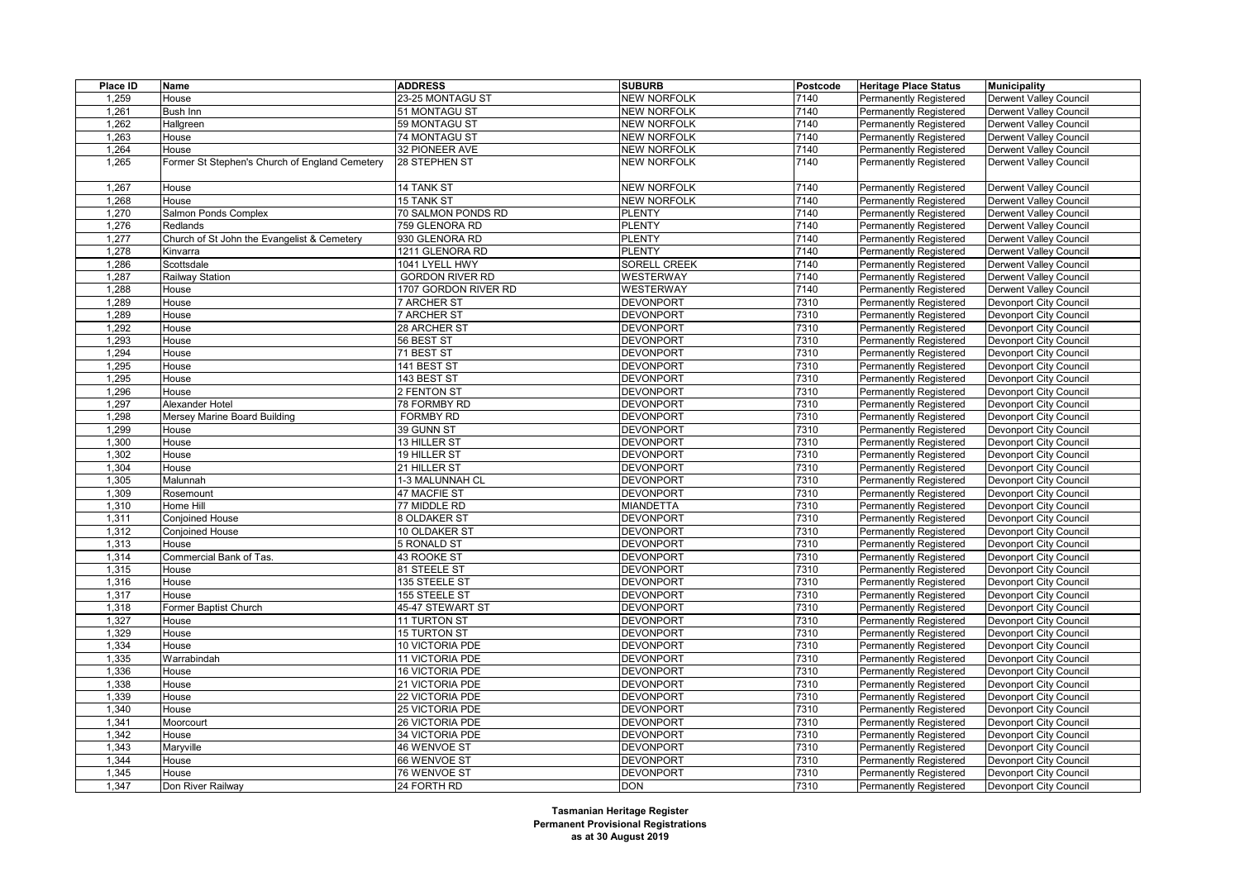| Place ID | Name                                           | <b>ADDRESS</b>               | <b>SUBURB</b>                        | Postcode | <b>Heritage Place Status</b>                            | <b>Municipality</b>                              |
|----------|------------------------------------------------|------------------------------|--------------------------------------|----------|---------------------------------------------------------|--------------------------------------------------|
| 1,259    | House                                          | 23-25 MONTAGU ST             | <b>NEW NORFOLK</b>                   | 7140     | Permanently Registered                                  | Derwent Valley Council                           |
| 1,261    | <b>Bush Inn</b>                                | 51 MONTAGU ST                | <b>NEW NORFOLK</b>                   | 7140     | Permanently Registered                                  | <b>Derwent Valley Council</b>                    |
| 1,262    | Hallgreen                                      | 59 MONTAGU ST                | <b>NEW NORFOLK</b>                   | 7140     | <b>Permanently Registered</b>                           | <b>Derwent Valley Council</b>                    |
| 1,263    | House                                          | 74 MONTAGU ST                | <b>NEW NORFOLK</b>                   | 7140     | <b>Permanently Registered</b>                           | Derwent Valley Council                           |
| 1,264    | House                                          | 32 PIONEER AVE               | <b>NEW NORFOLK</b>                   | 7140     | Permanently Registered                                  | <b>Derwent Valley Council</b>                    |
| 1,265    | Former St Stephen's Church of England Cemetery | 28 STEPHEN ST                | <b>NEW NORFOLK</b>                   | 7140     | <b>Permanently Registered</b>                           | Derwent Valley Council                           |
| 1,267    | House                                          | 14 TANK ST                   | <b>NEW NORFOLK</b>                   | 7140     | <b>Permanently Registered</b>                           | Derwent Valley Council                           |
| 1,268    | House                                          | 15 TANK ST                   | <b>NEW NORFOLK</b>                   | 7140     | Permanently Registered                                  | <b>Derwent Valley Council</b>                    |
| 1,270    | Salmon Ponds Complex                           | 70 SALMON PONDS RD           | <b>PLENTY</b>                        | 7140     | Permanently Registered                                  | <b>Derwent Valley Council</b>                    |
| 1,276    | Redlands                                       | 759 GLENORA RD               | <b>PLENTY</b>                        | 7140     | <b>Permanently Registered</b>                           | <b>Derwent Valley Council</b>                    |
| 1,277    | Church of St John the Evangelist & Cemetery    | 930 GLENORA RD               | PLENTY                               | 7140     | Permanently Registered                                  | <b>Derwent Valley Council</b>                    |
| 1,278    | Kinvarra                                       | 1211 GLENORA RD              | <b>PLENTY</b>                        | 7140     | <b>Permanently Registered</b>                           | <b>Derwent Valley Council</b>                    |
| 1,286    | Scottsdale                                     | 1041 LYELL HWY               | SORELL CREEK                         | 7140     | <b>Permanently Registered</b>                           | Derwent Valley Council                           |
| 1,287    | Railway Station                                | <b>GORDON RIVER RD</b>       | WESTERWAY                            | 7140     | Permanently Registered                                  | Derwent Valley Council                           |
| 1,288    | House                                          | 1707 GORDON RIVER RD         | WESTERWAY                            | 7140     | <b>Permanently Registered</b>                           | <b>Derwent Valley Council</b>                    |
| 1,289    | House                                          | 7 ARCHER ST                  | <b>DEVONPORT</b>                     | 7310     | <b>Permanently Registered</b>                           | Devonport City Council                           |
| 1,289    | House                                          | 7 ARCHER ST                  | <b>DEVONPORT</b>                     | 7310     | <b>Permanently Registered</b>                           | Devonport City Council                           |
| 1,292    | House                                          | 28 ARCHER ST                 | <b>DEVONPORT</b>                     | 7310     | <b>Permanently Registered</b>                           | Devonport City Council                           |
| 1,293    | House                                          | 56 BEST ST                   | <b>DEVONPORT</b>                     | 7310     | <b>Permanently Registered</b>                           | Devonport City Council                           |
| 1,294    | House                                          | 71 BEST ST                   | <b>DEVONPORT</b>                     | 7310     | <b>Permanently Registered</b>                           | Devonport City Council                           |
| 1,295    | House                                          | 141 BEST ST                  | <b>DEVONPORT</b>                     | 7310     | Permanently Registered                                  | <b>Devonport City Council</b>                    |
| 1,295    | House                                          | 143 BEST ST                  | <b>DEVONPORT</b>                     | 7310     | <b>Permanently Registered</b>                           | Devonport City Council                           |
| 1,296    | House                                          | 2 FENTON ST                  | <b>DEVONPORT</b>                     | 7310     | <b>Permanently Registered</b>                           | Devonport City Council                           |
| 1,297    | Alexander Hotel                                | 78 FORMBY RD                 | <b>DEVONPORT</b>                     | 7310     | Permanently Registered                                  | Devonport City Council                           |
| 1,298    | Mersey Marine Board Building                   | <b>FORMBY RD</b>             | <b>DEVONPORT</b>                     | 7310     | <b>Permanently Registered</b>                           | Devonport City Council                           |
| 1,299    | House                                          | 39 GUNN ST                   | <b>DEVONPORT</b>                     | 7310     | <b>Permanently Registered</b>                           | Devonport City Council                           |
| 1,300    | House                                          | 13 HILLER ST                 | <b>DEVONPORT</b>                     | 7310     | <b>Permanently Registered</b>                           | Devonport City Council                           |
| 1,302    | House                                          | 19 HILLER ST                 | <b>DEVONPORT</b>                     | 7310     | Permanently Registered                                  | Devonport City Council                           |
| 1,304    | House                                          | 21 HILLER ST                 | <b>DEVONPORT</b>                     | 7310     | <b>Permanently Registered</b>                           | Devonport City Council                           |
| 1,305    | Malunnah                                       | 1-3 MALUNNAH CL              | <b>DEVONPORT</b>                     | 7310     | <b>Permanently Registered</b>                           | Devonport City Council                           |
| 1,309    | Rosemount                                      | 47 MACFIE ST                 | <b>DEVONPORT</b>                     | 7310     | Permanently Registered                                  | Devonport City Council                           |
| 1,310    | Home Hill                                      | 77 MIDDLE RD                 | <b>MIANDETTA</b>                     | 7310     | <b>Permanently Registered</b>                           | <b>Devonport City Council</b>                    |
| 1,311    | <b>Conjoined House</b>                         | 8 OLDAKER ST                 | <b>DEVONPORT</b>                     | 7310     | <b>Permanently Registered</b>                           | Devonport City Council                           |
| 1,312    | <b>Conjoined House</b>                         | 10 OLDAKER ST                | <b>DEVONPORT</b>                     | 7310     | Permanently Registered                                  | Devonport City Council                           |
| 1,313    | House                                          | 5 RONALD ST                  | <b>DEVONPORT</b>                     | 7310     | <b>Permanently Registered</b>                           | Devonport City Council                           |
| 1,314    | Commercial Bank of Tas.                        | 43 ROOKE ST                  | <b>DEVONPORT</b>                     | 7310     | <b>Permanently Registered</b>                           | Devonport City Council                           |
| 1,315    | House                                          | 81 STEELE ST                 | <b>DEVONPORT</b>                     | 7310     | <b>Permanently Registered</b>                           | Devonport City Council                           |
| 1,316    | House                                          | 135 STEELE ST                | <b>DEVONPORT</b>                     | 7310     | <b>Permanently Registered</b>                           | Devonport City Council                           |
| 1,317    | House                                          | 155 STEELE ST                | <b>DEVONPORT</b>                     | 7310     | <b>Permanently Registered</b>                           | Devonport City Council                           |
| 1,318    | Former Baptist Church                          | 45-47 STEWART ST             | <b>DEVONPORT</b>                     | 7310     | <b>Permanently Registered</b>                           | <b>Devonport City Council</b>                    |
| 1,327    | House                                          | 11 TURTON ST                 | <b>DEVONPORT</b>                     | 7310     | <b>Permanently Registered</b>                           | Devonport City Council                           |
| 1,329    | House                                          | 15 TURTON ST                 | <b>DEVONPORT</b>                     | 7310     | <b>Permanently Registered</b>                           | Devonport City Council                           |
| 1,334    | House                                          | 10 VICTORIA PDE              | <b>DEVONPORT</b>                     | 7310     | <b>Permanently Registered</b>                           | Devonport City Council                           |
| 1,335    | Warrabindah                                    | 11 VICTORIA PDE              | <b>DEVONPORT</b>                     | 7310     | <b>Permanently Registered</b>                           | Devonport City Council                           |
| 1,336    | House                                          | 16 VICTORIA PDE              | <b>DEVONPORT</b>                     | 7310     | <b>Permanently Registered</b>                           | Devonport City Council                           |
| 1,338    | House                                          | 21 VICTORIA PDE              | <b>DEVONPORT</b>                     | 7310     | <b>Permanently Registered</b>                           | Devonport City Council                           |
| 1,339    | House                                          | 22 VICTORIA PDE              | <b>DEVONPORT</b>                     | 7310     | <b>Permanently Registered</b>                           | Devonport City Council                           |
| 1,340    | House                                          | 25 VICTORIA PDE              | <b>DEVONPORT</b>                     | 7310     |                                                         |                                                  |
| 1,341    | Moorcourt                                      | 26 VICTORIA PDE              | <b>DEVONPORT</b>                     | 7310     | Permanently Registered<br><b>Permanently Registered</b> | Devonport City Council<br>Devonport City Council |
| 1,342    | House                                          | 34 VICTORIA PDE              | <b>DEVONPORT</b>                     | 7310     |                                                         |                                                  |
| 1,343    |                                                | 46 WENVOE ST                 | <b>DEVONPORT</b>                     | 7310     | <b>Permanently Registered</b>                           | Devonport City Council                           |
| 1,344    | Maryville<br>House                             |                              |                                      | 7310     | <b>Permanently Registered</b>                           | Devonport City Council                           |
| 1,345    | House                                          | 66 WENVOE ST<br>76 WENVOE ST | <b>DEVONPORT</b><br><b>DEVONPORT</b> | 7310     | <b>Permanently Registered</b><br>Permanently Registered | Devonport City Council                           |
| 1,347    | Don River Railway                              | 24 FORTH RD                  | <b>DON</b>                           | 7310     |                                                         | Devonport City Council                           |
|          |                                                |                              |                                      |          | Permanently Registered                                  | Devonport City Council                           |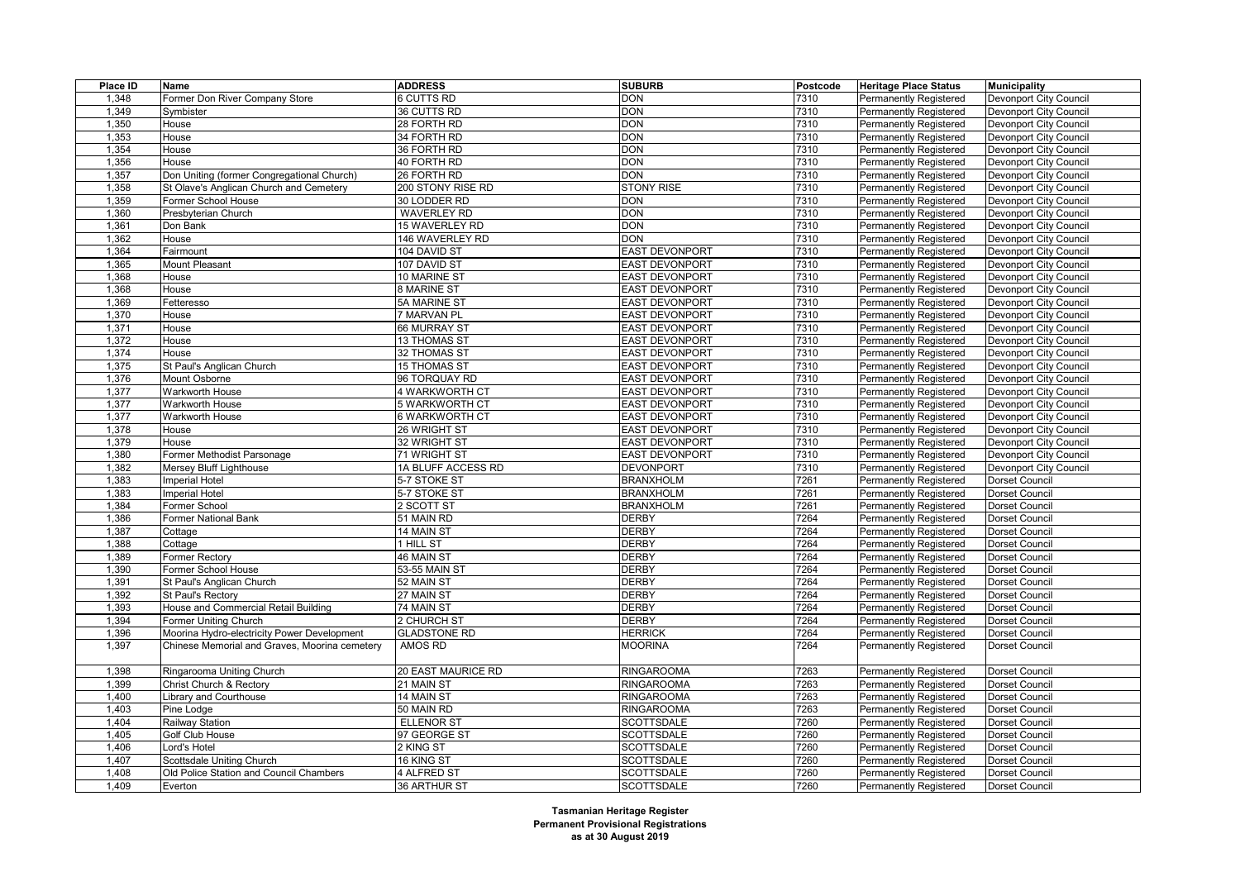| Place ID | Name                                          | <b>ADDRESS</b>        | <b>SUBURB</b>         | Postcode | <b>Heritage Place Status</b>  | <b>Municipality</b>           |
|----------|-----------------------------------------------|-----------------------|-----------------------|----------|-------------------------------|-------------------------------|
| 1,348    | Former Don River Company Store                | 6 CUTTS RD            | <b>DON</b>            | 7310     | Permanently Registered        | Devonport City Council        |
| 1,349    | Symbister                                     | 36 CUTTS RD           | <b>DON</b>            | 7310     | <b>Permanently Registered</b> | Devonport City Council        |
| 1,350    | House                                         | 28 FORTH RD           | <b>DON</b>            | 7310     | <b>Permanently Registered</b> | Devonport City Council        |
| 1,353    | House                                         | 34 FORTH RD           | <b>DON</b>            | 7310     | Permanently Registered        | Devonport City Council        |
| 1,354    | House                                         | 36 FORTH RD           | <b>DON</b>            | 7310     | <b>Permanently Registered</b> | <b>Devonport City Council</b> |
| 1,356    | House                                         | 40 FORTH RD           | <b>DON</b>            | 7310     | Permanently Registered        | Devonport City Council        |
| 1,357    | Don Uniting (former Congregational Church)    | 26 FORTH RD           | <b>DON</b>            | 7310     | Permanently Registered        | Devonport City Council        |
| 1,358    | St Olave's Anglican Church and Cemetery       | 200 STONY RISE RD     | <b>STONY RISE</b>     | 7310     | <b>Permanently Registered</b> | Devonport City Council        |
| 1,359    | Former School House                           | 30 LODDER RD          | <b>DON</b>            | 7310     | <b>Permanently Registered</b> | Devonport City Council        |
| 1,360    | Presbyterian Church                           | <b>WAVERLEY RD</b>    | <b>DON</b>            | 7310     | <b>Permanently Registered</b> | Devonport City Council        |
| 1,361    | Don Bank                                      | 15 WAVERLEY RD        | <b>DON</b>            | 7310     | <b>Permanently Registered</b> | Devonport City Council        |
| 1,362    | House                                         | 146 WAVERLEY RD       | <b>DON</b>            | 7310     | Permanently Registered        | Devonport City Council        |
| 1,364    | Fairmount                                     | 104 DAVID ST          | <b>EAST DEVONPORT</b> | 7310     | Permanently Registered        | Devonport City Council        |
| 1,365    | Mount Pleasant                                | 107 DAVID ST          | <b>EAST DEVONPORT</b> | 7310     | <b>Permanently Registered</b> | Devonport City Council        |
| 1,368    | House                                         | 10 MARINE ST          | <b>EAST DEVONPORT</b> | 7310     | Permanently Registered        | Devonport City Council        |
| 1,368    | House                                         | 8 MARINE ST           | <b>EAST DEVONPORT</b> | 7310     | Permanently Registered        | Devonport City Council        |
| 1,369    | Fetteresso                                    | 5A MARINE ST          | <b>EAST DEVONPORT</b> | 7310     | Permanently Registered        | Devonport City Council        |
| 1,370    | House                                         | 7 MARVAN PL           | <b>EAST DEVONPORT</b> | 7310     | Permanently Registered        | Devonport City Council        |
| 1,371    | House                                         | 66 MURRAY ST          | <b>EAST DEVONPORT</b> | 7310     | Permanently Registered        | <b>Devonport City Council</b> |
| 1,372    | House                                         | 13 THOMAS ST          | <b>EAST DEVONPORT</b> | 7310     | Permanently Registered        | Devonport City Council        |
| 1,374    | House                                         | 32 THOMAS ST          | <b>EAST DEVONPORT</b> | 7310     | Permanently Registered        | Devonport City Council        |
| 1,375    | St Paul's Anglican Church                     | <b>15 THOMAS ST</b>   | <b>EAST DEVONPORT</b> | 7310     | Permanently Registered        | Devonport City Council        |
| 1,376    | Mount Osborne                                 | 96 TORQUAY RD         | <b>EAST DEVONPORT</b> | 7310     | Permanently Registered        | Devonport City Council        |
| 1,377    | Warkworth House                               | 4 WARKWORTH CT        | <b>EAST DEVONPORT</b> | 7310     | <b>Permanently Registered</b> | Devonport City Council        |
| 1,377    | Warkworth House                               | 5 WARKWORTH CT        | <b>EAST DEVONPORT</b> | 7310     | Permanently Registered        | Devonport City Council        |
| 1,377    | Warkworth House                               | <b>6 WARKWORTH CT</b> | <b>EAST DEVONPORT</b> | 7310     | Permanently Registered        | Devonport City Council        |
| 1,378    | House                                         | 26 WRIGHT ST          | <b>EAST DEVONPORT</b> | 7310     | <b>Permanently Registered</b> | Devonport City Council        |
| 1,379    | House                                         | 32 WRIGHT ST          | <b>EAST DEVONPORT</b> | 7310     | Permanently Registered        | Devonport City Council        |
| 1,380    | Former Methodist Parsonage                    | 71 WRIGHT ST          | <b>EAST DEVONPORT</b> | 7310     | Permanently Registered        | Devonport City Council        |
| 1,382    | Mersey Bluff Lighthouse                       | 1A BLUFF ACCESS RD    | <b>DEVONPORT</b>      | 7310     | <b>Permanently Registered</b> | Devonport City Council        |
| 1,383    | <b>Imperial Hotel</b>                         | 5-7 STOKE ST          | <b>BRANXHOLM</b>      | 7261     | <b>Permanently Registered</b> | Dorset Council                |
| 1,383    | <b>Imperial Hotel</b>                         | 5-7 STOKE ST          | <b>BRANXHOLM</b>      | 7261     | Permanently Registered        | Dorset Council                |
| 1,384    | Former School                                 | 2 SCOTT ST            | <b>BRANXHOLM</b>      | 7261     | <b>Permanently Registered</b> | Dorset Council                |
| 1,386    | Former National Bank                          | 51 MAIN RD            | <b>DERBY</b>          | 7264     | <b>Permanently Registered</b> | Dorset Council                |
| 1,387    | Cottage                                       | 14 MAIN ST            | <b>DERBY</b>          | 7264     | Permanently Registered        | Dorset Council                |
| 1,388    | Cottage                                       | 1 HILL ST             | <b>DERBY</b>          | 7264     | <b>Permanently Registered</b> | Dorset Council                |
| 1,389    | Former Rectory                                | 46 MAIN ST            | <b>DERBY</b>          | 7264     | Permanently Registered        | Dorset Council                |
| 1,390    | Former School House                           | 53-55 MAIN ST         | <b>DERBY</b>          | 7264     | <b>Permanently Registered</b> | Dorset Council                |
| 1,391    | St Paul's Anglican Church                     | 52 MAIN ST            | <b>DERBY</b>          | 7264     | <b>Permanently Registered</b> | Dorset Council                |
| 1,392    | St Paul's Rectory                             | 27 MAIN ST            | <b>DERBY</b>          | 7264     | Permanently Registered        | Dorset Council                |
| 1,393    | House and Commercial Retail Building          | 74 MAIN ST            | <b>DERBY</b>          | 7264     | <b>Permanently Registered</b> | Dorset Council                |
| 1,394    | Former Uniting Church                         | 2 CHURCH ST           | <b>DERBY</b>          | 7264     | <b>Permanently Registered</b> | Dorset Council                |
| 1,396    | Moorina Hydro-electricity Power Development   | <b>GLADSTONE RD</b>   | <b>HERRICK</b>        | 7264     | Permanently Registered        | Dorset Council                |
| 1,397    | Chinese Memorial and Graves, Moorina cemetery | AMOS RD               | <b>MOORINA</b>        | 7264     | Permanently Registered        | Dorset Council                |
|          |                                               |                       |                       |          |                               |                               |
| 1,398    | Ringarooma Uniting Church                     | 20 EAST MAURICE RD    | <b>RINGAROOMA</b>     | 7263     | <b>Permanently Registered</b> | Dorset Council                |
| 1,399    | Christ Church & Rectory                       | 21 MAIN ST            | <b>RINGAROOMA</b>     | 7263     | Permanently Registered        | Dorset Council                |
| 1,400    | Library and Courthouse                        | 14 MAIN ST            | <b>RINGAROOMA</b>     | 7263     | <b>Permanently Registered</b> | Dorset Council                |
| 1,403    | Pine Lodge                                    | 50 MAIN RD            | <b>RINGAROOMA</b>     | 7263     | <b>Permanently Registered</b> | Dorset Council                |
| 1,404    | Railway Station                               | <b>ELLENOR ST</b>     | <b>SCOTTSDALE</b>     | 7260     | <b>Permanently Registered</b> | Dorset Council                |
| 1,405    | Golf Club House                               | 97 GEORGE ST          | <b>SCOTTSDALE</b>     | 7260     | <b>Permanently Registered</b> | Dorset Council                |
| 1,406    | Lord's Hotel                                  | 2 KING ST             | <b>SCOTTSDALE</b>     | 7260     | <b>Permanently Registered</b> | Dorset Council                |
| 1,407    | Scottsdale Uniting Church                     | 16 KING ST            | <b>SCOTTSDALE</b>     | 7260     | Permanently Registered        | Dorset Council                |
| 1,408    | Old Police Station and Council Chambers       | 4 ALFRED ST           | <b>SCOTTSDALE</b>     | 7260     | <b>Permanently Registered</b> | Dorset Council                |
| 1,409    | Everton                                       | 36 ARTHUR ST          | <b>SCOTTSDALE</b>     | 7260     | <b>Permanently Registered</b> | <b>Dorset Council</b>         |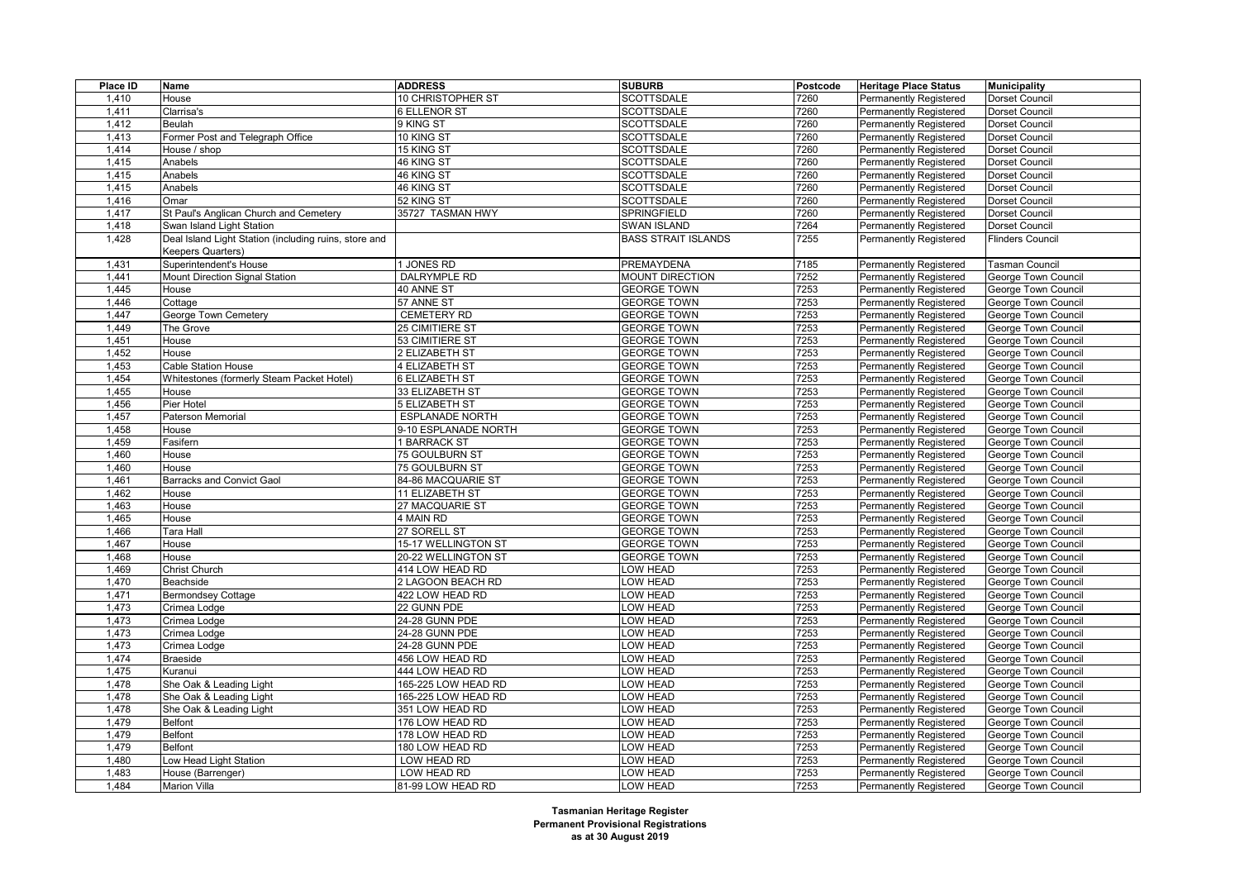| Place ID | Name                                                                       | <b>ADDRESS</b>         | <b>SUBURB</b>              | Postcode | <b>Heritage Place Status</b>                                   | <b>Municipality</b>                        |
|----------|----------------------------------------------------------------------------|------------------------|----------------------------|----------|----------------------------------------------------------------|--------------------------------------------|
| 1,410    | House                                                                      | 10 CHRISTOPHER ST      | <b>SCOTTSDALE</b>          | 7260     | Permanently Registered                                         | Dorset Council                             |
| 1,411    | Clarrisa's                                                                 | 6 ELLENOR ST           | <b>SCOTTSDALE</b>          | 7260     | <b>Permanently Registered</b>                                  | <b>Dorset Council</b>                      |
| 1,412    | Beulah                                                                     | 9 KING ST              | <b>SCOTTSDALE</b>          | 7260     | <b>Permanently Registered</b>                                  | Dorset Council                             |
| 1,413    | Former Post and Telegraph Office                                           | 10 KING ST             | <b>SCOTTSDALE</b>          | 7260     | Permanently Registered                                         | Dorset Council                             |
| 1,414    | House / shop                                                               | 15 KING ST             | <b>SCOTTSDALE</b>          | 7260     | <b>Permanently Registered</b>                                  | <b>Dorset Council</b>                      |
| 1,415    | Anabels                                                                    | 46 KING ST             | <b>SCOTTSDALE</b>          | 7260     | <b>Permanently Registered</b>                                  | Dorset Council                             |
| 1,415    | Anabels                                                                    | 46 KING ST             | <b>SCOTTSDALE</b>          | 7260     | Permanently Registered                                         | Dorset Council                             |
| 1,415    | Anabels                                                                    | 46 KING ST             | <b>SCOTTSDALE</b>          | 7260     | <b>Permanently Registered</b>                                  | <b>Dorset Council</b>                      |
| 1,416    | Omar                                                                       | 52 KING ST             | <b>SCOTTSDALE</b>          | 7260     | <b>Permanently Registered</b>                                  | Dorset Council                             |
| 1,417    | St Paul's Anglican Church and Cemetery                                     | 35727 TASMAN HWY       | SPRINGFIELD                | 7260     | <b>Permanently Registered</b>                                  | Dorset Council                             |
| 1,418    | Swan Island Light Station                                                  |                        | <b>SWAN ISLAND</b>         | 7264     | <b>Permanently Registered</b>                                  | Dorset Council                             |
| 1,428    | Deal Island Light Station (including ruins, store and<br>Keepers Quarters) |                        | <b>BASS STRAIT ISLANDS</b> | 7255     | <b>Permanently Registered</b>                                  | <b>Flinders Council</b>                    |
| 1,431    | Superintendent's House                                                     | 1 JONES RD             | PREMAYDENA                 | 7185     | Permanently Registered                                         | <b>Tasman Council</b>                      |
| 1,441    | Mount Direction Signal Station                                             | DALRYMPLE RD           | <b>MOUNT DIRECTION</b>     | 7252     | Permanently Registered                                         | George Town Council                        |
| 1,445    | House                                                                      | 40 ANNE ST             | <b>GEORGE TOWN</b>         | 7253     | <b>Permanently Registered</b>                                  | George Town Council                        |
| 1,446    | Cottage                                                                    | 57 ANNE ST             | <b>GEORGE TOWN</b>         | 7253     | <b>Permanently Registered</b>                                  | George Town Council                        |
| 1,447    | George Town Cemetery                                                       | CEMETERY RD            | <b>GEORGE TOWN</b>         | 7253     | Permanently Registered                                         | George Town Council                        |
| 1,449    | The Grove                                                                  | 25 CIMITIERE ST        | <b>GEORGE TOWN</b>         | 7253     | <b>Permanently Registered</b>                                  | George Town Council                        |
| 1,451    | House                                                                      | 53 CIMITIERE ST        | <b>GEORGE TOWN</b>         | 7253     | <b>Permanently Registered</b>                                  | George Town Council                        |
| 1,452    | House                                                                      | 2 ELIZABETH ST         | <b>GEORGE TOWN</b>         | 7253     | Permanently Registered                                         | George Town Council                        |
| 1,453    | <b>Cable Station House</b>                                                 | 4 ELIZABETH ST         | <b>GEORGE TOWN</b>         | 7253     | <b>Permanently Registered</b>                                  | George Town Council                        |
| 1,454    | Whitestones (formerly Steam Packet Hotel)                                  | 6 ELIZABETH ST         | <b>GEORGE TOWN</b>         | 7253     | Permanently Registered                                         | George Town Council                        |
| 1,455    | House                                                                      | 33 ELIZABETH ST        | <b>GEORGE TOWN</b>         | 7253     | <b>Permanently Registered</b>                                  | George Town Council                        |
| 1,456    | Pier Hotel                                                                 | 5 ELIZABETH ST         | <b>GEORGE TOWN</b>         | 7253     | <b>Permanently Registered</b>                                  | George Town Council                        |
| 1,457    | Paterson Memorial                                                          | <b>ESPLANADE NORTH</b> | <b>GEORGE TOWN</b>         | 7253     | Permanently Registered                                         | George Town Council                        |
| 1,458    | House                                                                      | 9-10 ESPLANADE NORTH   | <b>GEORGE TOWN</b>         | 7253     | <b>Permanently Registered</b>                                  | George Town Council                        |
| 1,459    | Fasifern                                                                   | 1 BARRACK ST           | <b>GEORGE TOWN</b>         | 7253     | <b>Permanently Registered</b>                                  | George Town Council                        |
| 1,460    | House                                                                      | 75 GOULBURN ST         | <b>GEORGE TOWN</b>         | 7253     | Permanently Registered                                         | George Town Council                        |
| 1,460    | House                                                                      | 75 GOULBURN ST         | <b>GEORGE TOWN</b>         | 7253     | Permanently Registered                                         | George Town Council                        |
| 1,461    | <b>Barracks and Convict Gaol</b>                                           | 84-86 MACQUARIE ST     | <b>GEORGE TOWN</b>         | 7253     | <b>Permanently Registered</b>                                  | George Town Council                        |
| 1,462    | House                                                                      | 11 ELIZABETH ST        | <b>GEORGE TOWN</b>         | 7253     | <b>Permanently Registered</b>                                  | George Town Council                        |
| 1,463    | House                                                                      | 27 MACQUARIE ST        | <b>GEORGE TOWN</b>         | 7253     | Permanently Registered                                         | George Town Council                        |
| 1,465    | House                                                                      | 4 MAIN RD              | <b>GEORGE TOWN</b>         | 7253     | <b>Permanently Registered</b>                                  | George Town Council                        |
| 1,466    | Tara Hall                                                                  | 27 SORELL ST           | <b>GEORGE TOWN</b>         | 7253     | <b>Permanently Registered</b>                                  | George Town Council                        |
| 1,467    | House                                                                      | 15-17 WELLINGTON ST    | <b>GEORGE TOWN</b>         | 7253     | Permanently Registered                                         | George Town Council                        |
| 1,468    | House                                                                      | 20-22 WELLINGTON ST    | <b>GEORGE TOWN</b>         | 7253     | <b>Permanently Registered</b>                                  | George Town Council                        |
| 1,469    | Christ Church                                                              | 414 LOW HEAD RD        | LOW HEAD                   | 7253     | <b>Permanently Registered</b>                                  | George Town Council                        |
| 1,470    | Beachside                                                                  | 2 LAGOON BEACH RD      | LOW HEAD                   | 7253     | <b>Permanently Registered</b>                                  | George Town Council                        |
| 1,471    | <b>Bermondsey Cottage</b>                                                  | 422 LOW HEAD RD        | LOW HEAD                   | 7253     | <b>Permanently Registered</b>                                  | George Town Council                        |
| 1,473    | Crimea Lodge                                                               | 22 GUNN PDE            | LOW HEAD                   | 7253     | <b>Permanently Registered</b>                                  | George Town Council                        |
| 1,473    | Crimea Lodge                                                               | 24-28 GUNN PDE         | <b>LOW HEAD</b>            | 7253     | <b>Permanently Registered</b>                                  | George Town Council                        |
| 1,473    | Crimea Lodge                                                               | 24-28 GUNN PDE         | <b>LOW HEAD</b>            | 7253     | <b>Permanently Registered</b>                                  | George Town Council                        |
| 1,473    | Crimea Lodge                                                               | 24-28 GUNN PDE         | LOW HEAD                   | 7253     | <b>Permanently Registered</b>                                  | George Town Council                        |
| 1,474    | <b>Braeside</b>                                                            | 456 LOW HEAD RD        | LOW HEAD                   | 7253     | Permanently Registered                                         | George Town Council                        |
| 1,475    | Kuranui                                                                    | 444 LOW HEAD RD        | <b>LOW HEAD</b>            | 7253     | <b>Permanently Registered</b>                                  | George Town Council                        |
| 1,478    | She Oak & Leading Light                                                    | 165-225 LOW HEAD RD    | LOW HEAD                   | 7253     | <b>Permanently Registered</b>                                  | George Town Council                        |
| 1,478    | She Oak & Leading Light                                                    | 165-225 LOW HEAD RD    | LOW HEAD                   | 7253     | Permanently Registered                                         | George Town Council                        |
| 1,478    | She Oak & Leading Light                                                    | 351 LOW HEAD RD        | LOW HEAD                   | 7253     | <b>Permanently Registered</b>                                  | George Town Council                        |
| 1,479    | Belfont                                                                    | 176 LOW HEAD RD        | LOW HEAD                   | 7253     | <b>Permanently Registered</b>                                  | George Town Council                        |
| 1,479    | Belfont                                                                    | 178 LOW HEAD RD        | LOW HEAD                   | 7253     | Permanently Registered                                         | George Town Council                        |
| 1,479    | Belfont                                                                    | 180 LOW HEAD RD        | LOW HEAD                   | 7253     |                                                                |                                            |
| 1,480    | Low Head Light Station                                                     | LOW HEAD RD            | <b>LOW HEAD</b>            | 7253     | <b>Permanently Registered</b><br><b>Permanently Registered</b> | George Town Council<br>George Town Council |
| 1,483    | House (Barrenger)                                                          | LOW HEAD RD            | LOW HEAD                   | 7253     | <b>Permanently Registered</b>                                  | George Town Council                        |
| 1,484    | <b>Marion Villa</b>                                                        | 81-99 LOW HEAD RD      | <b>LOW HEAD</b>            | 7253     |                                                                |                                            |
|          |                                                                            |                        |                            |          | Permanently Registered                                         | George Town Council                        |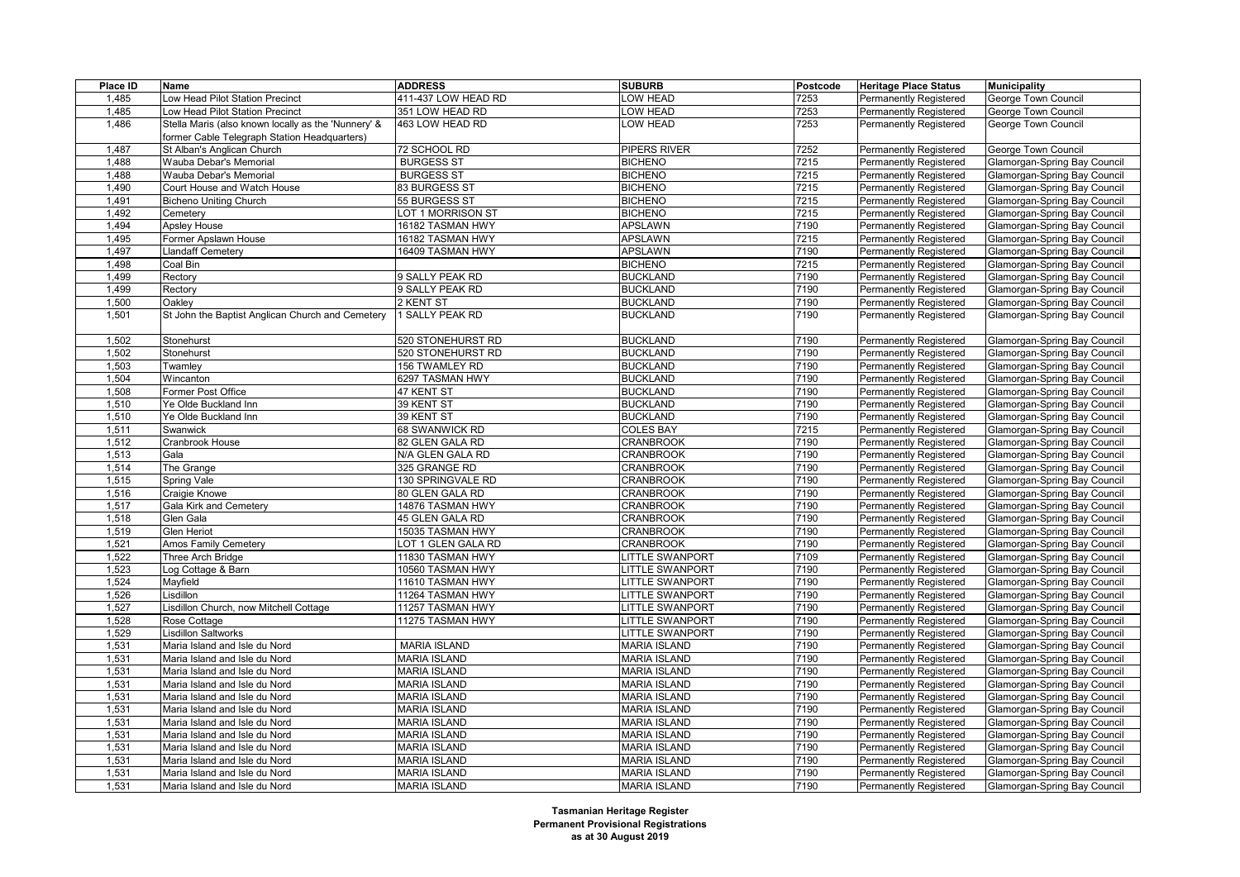| Place ID | Name                                                | <b>ADDRESS</b>      | <b>SUBURB</b>          | Postcode | <b>Heritage Place Status</b>  | <b>Municipality</b>                                          |
|----------|-----------------------------------------------------|---------------------|------------------------|----------|-------------------------------|--------------------------------------------------------------|
| 1,485    | Low Head Pilot Station Precinct                     | 411-437 LOW HEAD RD | LOW HEAD               | 7253     | Permanently Registered        | George Town Council                                          |
| 1,485    | Low Head Pilot Station Precinct                     | 351 LOW HEAD RD     | LOW HEAD               | 7253     | Permanently Registered        | George Town Council                                          |
| 1,486    | Stella Maris (also known locally as the 'Nunnery' & | 463 LOW HEAD RD     | <b>LOW HEAD</b>        | 7253     | <b>Permanently Registered</b> | George Town Council                                          |
|          | former Cable Telegraph Station Headquarters)        |                     |                        |          |                               |                                                              |
| 1,487    | St Alban's Anglican Church                          | 72 SCHOOL RD        | PIPERS RIVER           | 7252     | <b>Permanently Registered</b> | George Town Council                                          |
| 1,488    | Wauba Debar's Memorial                              | <b>BURGESS ST</b>   | <b>BICHENO</b>         | 7215     | <b>Permanently Registered</b> | Glamorgan-Spring Bay Council                                 |
| 1,488    | Wauba Debar's Memorial                              | <b>BURGESS ST</b>   | <b>BICHENO</b>         | 7215     | <b>Permanently Registered</b> | Glamorgan-Spring Bay Council                                 |
| 1,490    | Court House and Watch House                         | 83 BURGESS ST       | <b>BICHENO</b>         | 7215     | Permanently Registered        | Glamorgan-Spring Bay Council                                 |
| 1,491    | <b>Bicheno Uniting Church</b>                       | 55 BURGESS ST       | <b>BICHENO</b>         | 7215     | <b>Permanently Registered</b> | Glamorgan-Spring Bay Council                                 |
| 1,492    | Cemetery                                            | LOT 1 MORRISON ST   | <b>BICHENO</b>         | 7215     | <b>Permanently Registered</b> | Glamorgan-Spring Bay Council                                 |
| 1,494    | Apsley House                                        | 16182 TASMAN HWY    | <b>APSLAWN</b>         | 7190     | <b>Permanently Registered</b> | Glamorgan-Spring Bay Council                                 |
| 1,495    | Former Apslawn House                                | 16182 TASMAN HWY    | <b>APSLAWN</b>         | 7215     | <b>Permanently Registered</b> | Glamorgan-Spring Bay Council                                 |
| 1,497    | Llandaff Cemetery                                   | 16409 TASMAN HWY    | <b>APSLAWN</b>         | 7190     | <b>Permanently Registered</b> | Glamorgan-Spring Bay Council                                 |
| 1,498    | Coal Bin                                            |                     | <b>BICHENO</b>         | 7215     | Permanently Registered        | Glamorgan-Spring Bay Council                                 |
| 1,499    | Rectory                                             | 9 SALLY PEAK RD     | <b>BUCKLAND</b>        | 7190     | Permanently Registered        | Glamorgan-Spring Bay Council                                 |
| 1,499    | Rectory                                             | 9 SALLY PEAK RD     | <b>BUCKLAND</b>        | 7190     | <b>Permanently Registered</b> | Glamorgan-Spring Bay Council                                 |
| 1,500    | Oakley                                              | 2 KENT ST           | <b>BUCKLAND</b>        | 7190     | <b>Permanently Registered</b> | Glamorgan-Spring Bay Council                                 |
| 1,501    | St John the Baptist Anglican Church and Cemetery    | 1 SALLY PEAK RD     | <b>BUCKLAND</b>        | 7190     | <b>Permanently Registered</b> | Glamorgan-Spring Bay Council                                 |
|          |                                                     |                     |                        |          |                               |                                                              |
| 1,502    | Stonehurst                                          | 520 STONEHURST RD   | <b>BUCKLAND</b>        | 7190     | <b>Permanently Registered</b> | Glamorgan-Spring Bay Council                                 |
| 1,502    | Stonehurst                                          | 520 STONEHURST RD   | <b>BUCKLAND</b>        | 7190     | <b>Permanently Registered</b> | Glamorgan-Spring Bay Council                                 |
| 1,503    | Twamley                                             | 156 TWAMLEY RD      | <b>BUCKLAND</b>        | 7190     | <b>Permanently Registered</b> | Glamorgan-Spring Bay Council                                 |
| 1,504    | Wincanton                                           | 6297 TASMAN HWY     | <b>BUCKLAND</b>        | 7190     | <b>Permanently Registered</b> | Glamorgan-Spring Bay Council                                 |
| 1,508    | Former Post Office                                  | 47 KENT ST          | <b>BUCKLAND</b>        | 7190     | <b>Permanently Registered</b> | Glamorgan-Spring Bay Council                                 |
| 1,510    | Ye Olde Buckland Inn                                | 39 KENT ST          | <b>BUCKLAND</b>        | 7190     | <b>Permanently Registered</b> | Glamorgan-Spring Bay Council                                 |
| 1,510    | Ye Olde Buckland Inn                                | 39 KENT ST          | <b>BUCKLAND</b>        | 7190     | <b>Permanently Registered</b> | Glamorgan-Spring Bay Council                                 |
| 1,511    | Swanwick                                            | 68 SWANWICK RD      | <b>COLES BAY</b>       | 7215     | <b>Permanently Registered</b> |                                                              |
| 1,512    | Cranbrook House                                     | 82 GLEN GALA RD     | <b>CRANBROOK</b>       | 7190     | Permanently Registered        | Glamorgan-Spring Bay Council<br>Glamorgan-Spring Bay Council |
|          |                                                     |                     |                        |          |                               |                                                              |
| 1,513    | Gala                                                | N/A GLEN GALA RD    | <b>CRANBROOK</b>       | 7190     | <b>Permanently Registered</b> | Glamorgan-Spring Bay Council                                 |
| 1,514    | The Grange                                          | 325 GRANGE RD       | <b>CRANBROOK</b>       | 7190     | <b>Permanently Registered</b> | Glamorgan-Spring Bay Council                                 |
| 1,515    | Spring Vale                                         | 130 SPRINGVALE RD   | <b>CRANBROOK</b>       | 7190     | Permanently Registered        | Glamorgan-Spring Bay Council                                 |
| 1,516    | Craigie Knowe                                       | 80 GLEN GALA RD     | <b>CRANBROOK</b>       | 7190     | <b>Permanently Registered</b> | Glamorgan-Spring Bay Council                                 |
| 1,517    | Gala Kirk and Cemetery                              | 14876 TASMAN HWY    | <b>CRANBROOK</b>       | 7190     | Permanently Registered        | Glamorgan-Spring Bay Council                                 |
| 1,518    | Glen Gala                                           | 45 GLEN GALA RD     | <b>CRANBROOK</b>       | 7190     | Permanently Registered        | Glamorgan-Spring Bay Council                                 |
| 1,519    | <b>Glen Heriot</b>                                  | 15035 TASMAN HWY    | <b>CRANBROOK</b>       | 7190     | <b>Permanently Registered</b> | Glamorgan-Spring Bay Council                                 |
| 1,521    | Amos Family Cemetery                                | LOT 1 GLEN GALA RD  | <b>CRANBROOK</b>       | 7190     | <b>Permanently Registered</b> | Glamorgan-Spring Bay Council                                 |
| 1,522    | Three Arch Bridge                                   | 11830 TASMAN HWY    | <b>LITTLE SWANPORT</b> | 7109     | Permanently Registered        | Glamorgan-Spring Bay Council                                 |
| 1,523    | Log Cottage & Barn                                  | 10560 TASMAN HWY    | <b>LITTLE SWANPORT</b> | 7190     | Permanently Registered        | Glamorgan-Spring Bay Council                                 |
| 1,524    | Mayfield                                            | 11610 TASMAN HWY    | <b>LITTLE SWANPORT</b> | 7190     | <b>Permanently Registered</b> | Glamorgan-Spring Bay Council                                 |
| 1,526    | Lisdillon                                           | 11264 TASMAN HWY    | <b>LITTLE SWANPORT</b> | 7190     | <b>Permanently Registered</b> | Glamorgan-Spring Bay Council                                 |
| 1,527    | Lisdillon Church, now Mitchell Cottage              | 11257 TASMAN HWY    | <b>LITTLE SWANPORT</b> | 7190     | Permanently Registered        | Glamorgan-Spring Bay Council                                 |
| 1,528    | Rose Cottage                                        | 11275 TASMAN HWY    | LITTLE SWANPORT        | 7190     | Permanently Registered        | Glamorgan-Spring Bay Council                                 |
| 1,529    | <b>Lisdillon Saltworks</b>                          |                     | <b>LITTLE SWANPORT</b> | 7190     | <b>Permanently Registered</b> | Glamorgan-Spring Bay Council                                 |
| 1,531    | Maria Island and Isle du Nord                       | <b>MARIA ISLAND</b> | <b>MARIA ISLAND</b>    | 7190     | <b>Permanently Registered</b> | Glamorgan-Spring Bay Council                                 |
| 1,531    | Maria Island and Isle du Nord                       | <b>MARIA ISLAND</b> | <b>MARIA ISLAND</b>    | 7190     | Permanently Registered        | Glamorgan-Spring Bay Council                                 |
| 1,531    | Maria Island and Isle du Nord                       | <b>MARIA ISLAND</b> | <b>MARIA ISLAND</b>    | 7190     | Permanently Registered        | Glamorgan-Spring Bay Council                                 |
| 1,531    | Maria Island and Isle du Nord                       | <b>MARIA ISLAND</b> | <b>MARIA ISLAND</b>    | 7190     | Permanently Registered        | Glamorgan-Spring Bay Council                                 |
| 1,531    | Maria Island and Isle du Nord                       | <b>MARIA ISLAND</b> | <b>MARIA ISLAND</b>    | 7190     | Permanently Registered        | Glamorgan-Spring Bay Council                                 |
| 1,531    | Maria Island and Isle du Nord                       | <b>MARIA ISLAND</b> | <b>MARIA ISLAND</b>    | 7190     | Permanently Registered        | Glamorgan-Spring Bay Council                                 |
| 1,531    | Maria Island and Isle du Nord                       | <b>MARIA ISLAND</b> | <b>MARIA ISLAND</b>    | 7190     | Permanently Registered        | Glamorgan-Spring Bay Council                                 |
| 1,531    | Maria Island and Isle du Nord                       | <b>MARIA ISLAND</b> | <b>MARIA ISLAND</b>    | 7190     | Permanently Registered        | Glamorgan-Spring Bay Council                                 |
| 1,531    | Maria Island and Isle du Nord                       | <b>MARIA ISLAND</b> | <b>MARIA ISLAND</b>    | 7190     | Permanently Registered        | Glamorgan-Spring Bay Council                                 |
| 1,531    | Maria Island and Isle du Nord                       | <b>MARIA ISLAND</b> | <b>MARIA ISLAND</b>    | 7190     | Permanently Registered        | Glamorgan-Spring Bay Council                                 |
| 1,531    | Maria Island and Isle du Nord                       | <b>MARIA ISLAND</b> | <b>MARIA ISLAND</b>    | 7190     | Permanently Registered        | Glamorgan-Spring Bay Council                                 |
| 1,531    | Maria Island and Isle du Nord                       | <b>MARIA ISLAND</b> | <b>MARIA ISLAND</b>    | 7190     | Permanently Registered        | Glamorgan-Spring Bay Council                                 |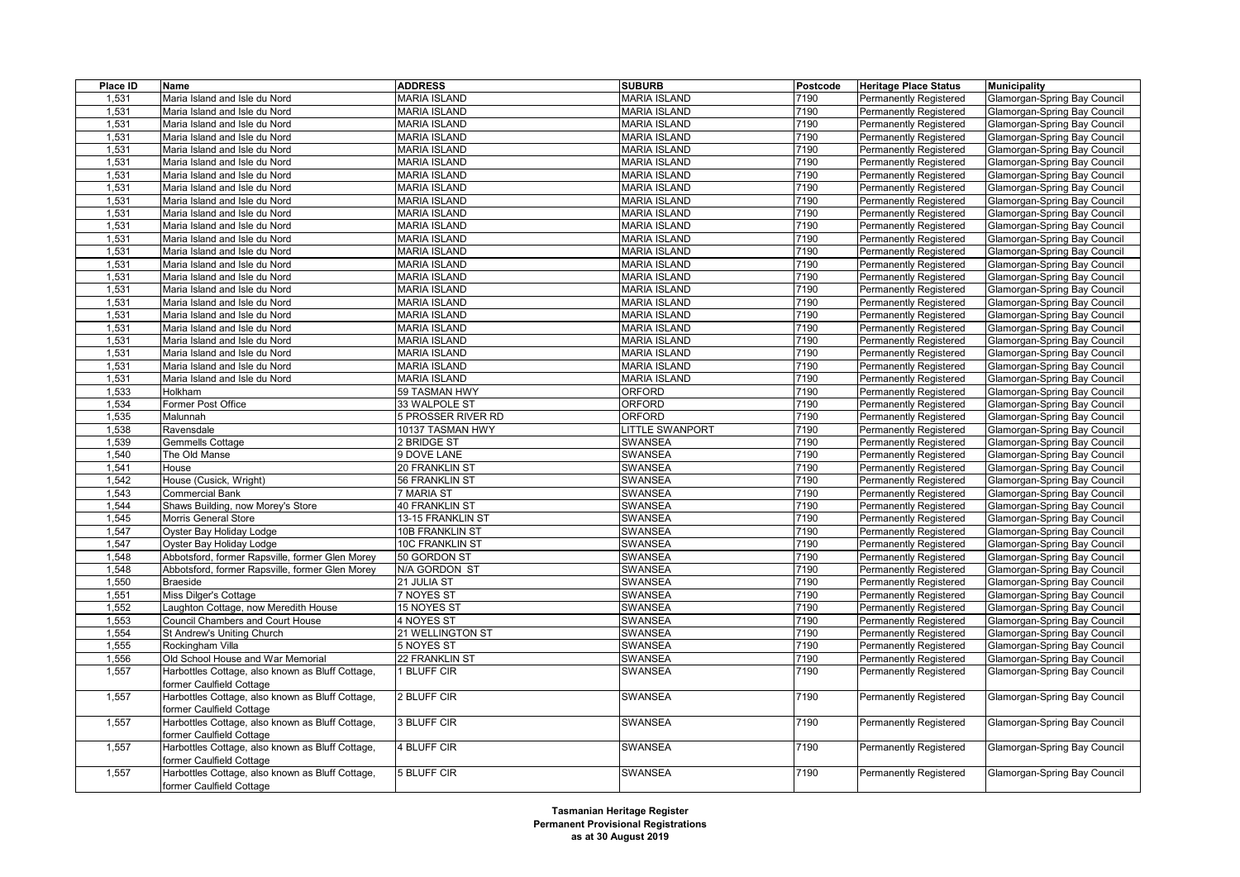| 1,531<br>Maria Island and Isle du Nord<br><b>MARIA ISLAND</b><br><b>MARIA ISLAND</b><br>7190<br><b>Permanently Registered</b><br>Glamorgan-Spring Bay Council<br>7190<br>1,531<br><b>MARIA ISLAND</b><br><b>MARIA ISLAND</b><br><b>Permanently Registered</b><br>Maria Island and Isle du Nord<br>Glamorgan-Spring Bay Council<br><b>MARIA ISLAND</b><br><b>MARIA ISLAND</b><br>7190<br>1,531<br>Maria Island and Isle du Nord<br><b>Permanently Registered</b><br>Glamorgan-Spring Bay Council<br>1,531<br>Maria Island and Isle du Nord<br><b>MARIA ISLAND</b><br><b>MARIA ISLAND</b><br>7190<br>Permanently Registered<br>Glamorgan-Spring Bay Council<br>7190<br>1,531<br><b>MARIA ISLAND</b><br><b>MARIA ISLAND</b><br>Permanently Registered<br>Maria Island and Isle du Nord<br>Glamorgan-Spring Bay Council<br>1,531<br><b>MARIA ISLAND</b><br><b>MARIA ISLAND</b><br>7190<br>Maria Island and Isle du Nord<br><b>Permanently Registered</b><br>Glamorgan-Spring Bay Council<br>1,531<br>Maria Island and Isle du Nord<br><b>MARIA ISLAND</b><br><b>MARIA ISLAND</b><br>7190<br><b>Permanently Registered</b><br>Glamorgan-Spring Bay Council<br>1,531<br>Maria Island and Isle du Nord<br><b>MARIA ISLAND</b><br><b>MARIA ISLAND</b><br>7190<br>Permanently Registered<br>Glamorgan-Spring Bay Council<br>1,531<br><b>MARIA ISLAND</b><br><b>MARIA ISLAND</b><br>7190<br>Maria Island and Isle du Nord<br><b>Permanently Registered</b><br>Glamorgan-Spring Bay Council<br>1,531<br>Maria Island and Isle du Nord<br><b>MARIA ISLAND</b><br><b>MARIA ISLAND</b><br>7190<br>Permanently Registered<br>Glamorgan-Spring Bay Council<br>7190<br>1,531<br>Maria Island and Isle du Nord<br><b>MARIA ISLAND</b><br><b>MARIA ISLAND</b><br>Permanently Registered<br>Glamorgan-Spring Bay Council<br>1,531<br><b>MARIA ISLAND</b><br><b>MARIA ISLAND</b><br>7190<br>Maria Island and Isle du Nord<br><b>Permanently Registered</b><br>Glamorgan-Spring Bay Council<br>1,531<br>Maria Island and Isle du Nord<br><b>MARIA ISLAND</b><br><b>MARIA ISLAND</b><br>7190<br><b>Permanently Registered</b><br>Glamorgan-Spring Bay Council<br>7190<br>1,531<br>Maria Island and Isle du Nord<br><b>MARIA ISLAND</b><br><b>MARIA ISLAND</b><br>Permanently Registered<br>Glamorgan-Spring Bay Council<br>1,531<br><b>MARIA ISLAND</b><br><b>MARIA ISLAND</b><br>7190<br>Maria Island and Isle du Nord<br><b>Permanently Registered</b><br>Glamorgan-Spring Bay Council<br>1,531<br>Maria Island and Isle du Nord<br><b>MARIA ISLAND</b><br><b>MARIA ISLAND</b><br>7190<br><b>Permanently Registered</b><br>Glamorgan-Spring Bay Council<br>7190<br>1,531<br>Maria Island and Isle du Nord<br><b>MARIA ISLAND</b><br><b>MARIA ISLAND</b><br>Permanently Registered<br>Glamorgan-Spring Bay Council<br>1,531<br><b>MARIA ISLAND</b><br><b>MARIA ISLAND</b><br>7190<br>Maria Island and Isle du Nord<br><b>Permanently Registered</b><br>Glamorgan-Spring Bay Council<br><b>MARIA ISLAND</b><br>1,531<br>Maria Island and Isle du Nord<br><b>MARIA ISLAND</b><br>7190<br><b>Permanently Registered</b><br>Glamorgan-Spring Bay Council<br>1,531<br>7190<br>Maria Island and Isle du Nord<br><b>MARIA ISLAND</b><br><b>MARIA ISLAND</b><br>Permanently Registered<br>Glamorgan-Spring Bay Council<br><b>MARIA ISLAND</b><br>7190<br>1,531<br>Maria Island and Isle du Nord<br><b>MARIA ISLAND</b><br><b>Permanently Registered</b><br>Glamorgan-Spring Bay Council<br>1,531<br>Maria Island and Isle du Nord<br><b>MARIA ISLAND</b><br><b>MARIA ISLAND</b><br>7190<br><b>Permanently Registered</b><br>Glamorgan-Spring Bay Council<br>1,531<br><b>MARIA ISLAND</b><br>7190<br>Maria Island and Isle du Nord<br><b>MARIA ISLAND</b><br>Permanently Registered<br>Glamorgan-Spring Bay Council<br>1,533<br>ORFORD<br>7190<br>Holkham<br>59 TASMAN HWY<br><b>Permanently Registered</b><br>Glamorgan-Spring Bay Council<br>1,534<br>Former Post Office<br><b>ORFORD</b><br>33 WALPOLE ST<br>7190<br><b>Permanently Registered</b><br>Glamorgan-Spring Bay Council<br>1,535<br><b>ORFORD</b><br>7190<br>Malunnah<br>5 PROSSER RIVER RD<br>Permanently Registered<br>Glamorgan-Spring Bay Council<br>Ravensdale<br>10137 TASMAN HWY<br><b>LITTLE SWANPORT</b><br>7190<br>1,538<br><b>Permanently Registered</b><br>Glamorgan-Spring Bay Council<br>1,539<br><b>SWANSEA</b><br>Gemmells Cottage<br>2 BRIDGE ST<br>7190<br><b>Permanently Registered</b><br>Glamorgan-Spring Bay Council<br>1,540<br>The Old Manse<br><b>SWANSEA</b><br>7190<br>9 DOVE LANE<br>Permanently Registered<br>Glamorgan-Spring Bay Council<br>1,541<br>20 FRANKLIN ST<br><b>SWANSEA</b><br>7190<br>House<br><b>Permanently Registered</b><br>Glamorgan-Spring Bay Council<br>1,542<br>SWANSEA<br>House (Cusick, Wright)<br>56 FRANKLIN ST<br>7190<br><b>Permanently Registered</b><br>Glamorgan-Spring Bay Council<br>1,543<br><b>SWANSEA</b><br>7190<br>Commercial Bank<br>7 MARIA ST<br>Permanently Registered<br>Glamorgan-Spring Bay Council<br>1,544<br>Shaws Building, now Morey's Store<br><b>40 FRANKLIN ST</b><br><b>SWANSEA</b><br>7190<br><b>Permanently Registered</b><br>Glamorgan-Spring Bay Council<br>1,545<br><b>SWANSEA</b><br>Morris General Store<br>13-15 FRANKLIN ST<br>7190<br><b>Permanently Registered</b><br>Glamorgan-Spring Bay Council<br>1,547<br><b>SWANSEA</b><br>7190<br>Oyster Bay Holiday Lodge<br>10B FRANKLIN ST<br>Permanently Registered<br>Glamorgan-Spring Bay Council<br>1,547<br><b>SWANSEA</b><br>7190<br>Oyster Bay Holiday Lodge<br><b>10C FRANKLIN ST</b><br><b>Permanently Registered</b><br>Glamorgan-Spring Bay Council<br>1,548<br>50 GORDON ST<br><b>SWANSEA</b><br>7190<br>Permanently Registered<br>Abbotsford, former Rapsville, former Glen Morey<br>Glamorgan-Spring Bay Council<br>1,548<br><b>SWANSEA</b><br>7190<br>Abbotsford, former Rapsville, former Glen Morey<br>N/A GORDON ST<br><b>Permanently Registered</b><br>Glamorgan-Spring Bay Council<br>1,550<br><b>SWANSEA</b><br>7190<br><b>Braeside</b><br>21 JULIA ST<br><b>Permanently Registered</b><br>Glamorgan-Spring Bay Council<br>1,551<br>Miss Dilger's Cottage<br>7 NOYES ST<br><b>SWANSEA</b><br>7190<br>Permanently Registered<br>Glamorgan-Spring Bay Council<br>1,552<br><b>SWANSEA</b><br>Laughton Cottage, now Meredith House<br><b>15 NOYES ST</b><br>7190<br>Permanently Registered<br>Glamorgan-Spring Bay Council<br>1,553<br><b>Council Chambers and Court House</b><br>4 NOYES ST<br><b>SWANSEA</b><br>7190<br><b>Permanently Registered</b><br>Glamorgan-Spring Bay Council<br>1,554<br>St Andrew's Uniting Church<br>21 WELLINGTON ST<br>SWANSEA<br>7190<br><b>Permanently Registered</b><br>Glamorgan-Spring Bay Council<br>1,555<br><b>SWANSEA</b><br>7190<br>Rockingham Villa<br>5 NOYES ST<br><b>Permanently Registered</b><br>Glamorgan-Spring Bay Council<br>1,556<br>Old School House and War Memorial<br>22 FRANKLIN ST<br>SWANSEA<br>7190<br><b>Permanently Registered</b><br>Glamorgan-Spring Bay Council<br>1,557<br>Harbottles Cottage, also known as Bluff Cottage,<br><b>SWANSEA</b><br>7190<br>1 BLUFF CIR<br>Permanently Registered<br>Glamorgan-Spring Bay Council<br>former Caulfield Cottage<br>Harbottles Cottage, also known as Bluff Cottage,<br>1,557<br>2 BLUFF CIR<br>SWANSEA<br>7190<br><b>Permanently Registered</b><br>Glamorgan-Spring Bay Council<br>former Caulfield Cottage<br>1,557<br>Harbottles Cottage, also known as Bluff Cottage,<br><b>3 BLUFF CIR</b><br><b>SWANSEA</b><br>7190<br><b>Permanently Registered</b><br>Glamorgan-Spring Bay Council<br>former Caulfield Cottage<br>Harbottles Cottage, also known as Bluff Cottage,<br>1,557<br>4 BLUFF CIR<br><b>SWANSEA</b><br>7190<br>Glamorgan-Spring Bay Council<br>Permanently Registered<br>former Caulfield Cottage<br>Harbottles Cottage, also known as Bluff Cottage,<br>7190<br>1,557<br>5 BLUFF CIR<br>SWANSEA<br>Glamorgan-Spring Bay Council<br><b>Permanently Registered</b> | Place ID | Name                     | <b>ADDRESS</b> | <b>SUBURB</b> | Postcode | <b>Heritage Place Status</b> | <b>Municipality</b> |
|----------------------------------------------------------------------------------------------------------------------------------------------------------------------------------------------------------------------------------------------------------------------------------------------------------------------------------------------------------------------------------------------------------------------------------------------------------------------------------------------------------------------------------------------------------------------------------------------------------------------------------------------------------------------------------------------------------------------------------------------------------------------------------------------------------------------------------------------------------------------------------------------------------------------------------------------------------------------------------------------------------------------------------------------------------------------------------------------------------------------------------------------------------------------------------------------------------------------------------------------------------------------------------------------------------------------------------------------------------------------------------------------------------------------------------------------------------------------------------------------------------------------------------------------------------------------------------------------------------------------------------------------------------------------------------------------------------------------------------------------------------------------------------------------------------------------------------------------------------------------------------------------------------------------------------------------------------------------------------------------------------------------------------------------------------------------------------------------------------------------------------------------------------------------------------------------------------------------------------------------------------------------------------------------------------------------------------------------------------------------------------------------------------------------------------------------------------------------------------------------------------------------------------------------------------------------------------------------------------------------------------------------------------------------------------------------------------------------------------------------------------------------------------------------------------------------------------------------------------------------------------------------------------------------------------------------------------------------------------------------------------------------------------------------------------------------------------------------------------------------------------------------------------------------------------------------------------------------------------------------------------------------------------------------------------------------------------------------------------------------------------------------------------------------------------------------------------------------------------------------------------------------------------------------------------------------------------------------------------------------------------------------------------------------------------------------------------------------------------------------------------------------------------------------------------------------------------------------------------------------------------------------------------------------------------------------------------------------------------------------------------------------------------------------------------------------------------------------------------------------------------------------------------------------------------------------------------------------------------------------------------------------------------------------------------------------------------------------------------------------------------------------------------------------------------------------------------------------------------------------------------------------------------------------------------------------------------------------------------------------------------------------------------------------------------------------------------------------------------------------------------------------------------------------------------------------------------------------------------------------------------------------------------------------------------------------------------------------------------------------------------------------------------------------------------------------------------------------------------------------------------------------------------------------------------------------------------------------------------------------------------------------------------------------------------------------------------------------------------------------------------------------------------------------------------------------------------------------------------------------------------------------------------------------------------------------------------------------------------------------------------------------------------------------------------------------------------------------------------------------------------------------------------------------------------------------------------------------------------------------------------------------------------------------------------------------------------------------------------------------------------------------------------------------------------------------------------------------------------------------------------------------------------------------------------------------------------------------------------------------------------------------------------------------------------------------------------------------------------------------------------------------------------------------------------------------------------------------------------------------------------------------------------------------------------------------------------------------------------------------------------------------------------------------------------------------------------------------------------------------------------------------------------------------------------------------------------------------------------------------------------------------------------------------------------------------------------------------------------------------------------------------------------------------------------------------------------------------------------------------------------------------------------------------------------------------------------------------------------------------------------------------------------------------------------------------------------------------------------------------------------------------------------------------------------------------------------------------------------------------------------------------------------------------------------------------------------------------------------------------------------------------------------------------------------------------------------------------------------------------------------------------------------------------------------------------------------------------------------------------------------------------------------------------------------------------------------------------------------------|----------|--------------------------|----------------|---------------|----------|------------------------------|---------------------|
|                                                                                                                                                                                                                                                                                                                                                                                                                                                                                                                                                                                                                                                                                                                                                                                                                                                                                                                                                                                                                                                                                                                                                                                                                                                                                                                                                                                                                                                                                                                                                                                                                                                                                                                                                                                                                                                                                                                                                                                                                                                                                                                                                                                                                                                                                                                                                                                                                                                                                                                                                                                                                                                                                                                                                                                                                                                                                                                                                                                                                                                                                                                                                                                                                                                                                                                                                                                                                                                                                                                                                                                                                                                                                                                                                                                                                                                                                                                                                                                                                                                                                                                                                                                                                                                                                                                                                                                                                                                                                                                                                                                                                                                                                                                                                                                                                                                                                                                                                                                                                                                                                                                                                                                                                                                                                                                                                                                                                                                                                                                                                                                                                                                                                                                                                                                                                                                                                                                                                                                                                                                                                                                                                                                                                                                                                                                                                                                                                                                                                                                                                                                                                                                                                                                                                                                                                                                                                                                                                                                                                                                                                                                                                                                                                                                                                                                                                                                                                                                                                                                                                                                                                                                                                                                                                                                                                                                                                                                                                                                        |          |                          |                |               |          |                              |                     |
|                                                                                                                                                                                                                                                                                                                                                                                                                                                                                                                                                                                                                                                                                                                                                                                                                                                                                                                                                                                                                                                                                                                                                                                                                                                                                                                                                                                                                                                                                                                                                                                                                                                                                                                                                                                                                                                                                                                                                                                                                                                                                                                                                                                                                                                                                                                                                                                                                                                                                                                                                                                                                                                                                                                                                                                                                                                                                                                                                                                                                                                                                                                                                                                                                                                                                                                                                                                                                                                                                                                                                                                                                                                                                                                                                                                                                                                                                                                                                                                                                                                                                                                                                                                                                                                                                                                                                                                                                                                                                                                                                                                                                                                                                                                                                                                                                                                                                                                                                                                                                                                                                                                                                                                                                                                                                                                                                                                                                                                                                                                                                                                                                                                                                                                                                                                                                                                                                                                                                                                                                                                                                                                                                                                                                                                                                                                                                                                                                                                                                                                                                                                                                                                                                                                                                                                                                                                                                                                                                                                                                                                                                                                                                                                                                                                                                                                                                                                                                                                                                                                                                                                                                                                                                                                                                                                                                                                                                                                                                                                        |          |                          |                |               |          |                              |                     |
|                                                                                                                                                                                                                                                                                                                                                                                                                                                                                                                                                                                                                                                                                                                                                                                                                                                                                                                                                                                                                                                                                                                                                                                                                                                                                                                                                                                                                                                                                                                                                                                                                                                                                                                                                                                                                                                                                                                                                                                                                                                                                                                                                                                                                                                                                                                                                                                                                                                                                                                                                                                                                                                                                                                                                                                                                                                                                                                                                                                                                                                                                                                                                                                                                                                                                                                                                                                                                                                                                                                                                                                                                                                                                                                                                                                                                                                                                                                                                                                                                                                                                                                                                                                                                                                                                                                                                                                                                                                                                                                                                                                                                                                                                                                                                                                                                                                                                                                                                                                                                                                                                                                                                                                                                                                                                                                                                                                                                                                                                                                                                                                                                                                                                                                                                                                                                                                                                                                                                                                                                                                                                                                                                                                                                                                                                                                                                                                                                                                                                                                                                                                                                                                                                                                                                                                                                                                                                                                                                                                                                                                                                                                                                                                                                                                                                                                                                                                                                                                                                                                                                                                                                                                                                                                                                                                                                                                                                                                                                                                        |          |                          |                |               |          |                              |                     |
|                                                                                                                                                                                                                                                                                                                                                                                                                                                                                                                                                                                                                                                                                                                                                                                                                                                                                                                                                                                                                                                                                                                                                                                                                                                                                                                                                                                                                                                                                                                                                                                                                                                                                                                                                                                                                                                                                                                                                                                                                                                                                                                                                                                                                                                                                                                                                                                                                                                                                                                                                                                                                                                                                                                                                                                                                                                                                                                                                                                                                                                                                                                                                                                                                                                                                                                                                                                                                                                                                                                                                                                                                                                                                                                                                                                                                                                                                                                                                                                                                                                                                                                                                                                                                                                                                                                                                                                                                                                                                                                                                                                                                                                                                                                                                                                                                                                                                                                                                                                                                                                                                                                                                                                                                                                                                                                                                                                                                                                                                                                                                                                                                                                                                                                                                                                                                                                                                                                                                                                                                                                                                                                                                                                                                                                                                                                                                                                                                                                                                                                                                                                                                                                                                                                                                                                                                                                                                                                                                                                                                                                                                                                                                                                                                                                                                                                                                                                                                                                                                                                                                                                                                                                                                                                                                                                                                                                                                                                                                                                        |          |                          |                |               |          |                              |                     |
|                                                                                                                                                                                                                                                                                                                                                                                                                                                                                                                                                                                                                                                                                                                                                                                                                                                                                                                                                                                                                                                                                                                                                                                                                                                                                                                                                                                                                                                                                                                                                                                                                                                                                                                                                                                                                                                                                                                                                                                                                                                                                                                                                                                                                                                                                                                                                                                                                                                                                                                                                                                                                                                                                                                                                                                                                                                                                                                                                                                                                                                                                                                                                                                                                                                                                                                                                                                                                                                                                                                                                                                                                                                                                                                                                                                                                                                                                                                                                                                                                                                                                                                                                                                                                                                                                                                                                                                                                                                                                                                                                                                                                                                                                                                                                                                                                                                                                                                                                                                                                                                                                                                                                                                                                                                                                                                                                                                                                                                                                                                                                                                                                                                                                                                                                                                                                                                                                                                                                                                                                                                                                                                                                                                                                                                                                                                                                                                                                                                                                                                                                                                                                                                                                                                                                                                                                                                                                                                                                                                                                                                                                                                                                                                                                                                                                                                                                                                                                                                                                                                                                                                                                                                                                                                                                                                                                                                                                                                                                                                        |          |                          |                |               |          |                              |                     |
|                                                                                                                                                                                                                                                                                                                                                                                                                                                                                                                                                                                                                                                                                                                                                                                                                                                                                                                                                                                                                                                                                                                                                                                                                                                                                                                                                                                                                                                                                                                                                                                                                                                                                                                                                                                                                                                                                                                                                                                                                                                                                                                                                                                                                                                                                                                                                                                                                                                                                                                                                                                                                                                                                                                                                                                                                                                                                                                                                                                                                                                                                                                                                                                                                                                                                                                                                                                                                                                                                                                                                                                                                                                                                                                                                                                                                                                                                                                                                                                                                                                                                                                                                                                                                                                                                                                                                                                                                                                                                                                                                                                                                                                                                                                                                                                                                                                                                                                                                                                                                                                                                                                                                                                                                                                                                                                                                                                                                                                                                                                                                                                                                                                                                                                                                                                                                                                                                                                                                                                                                                                                                                                                                                                                                                                                                                                                                                                                                                                                                                                                                                                                                                                                                                                                                                                                                                                                                                                                                                                                                                                                                                                                                                                                                                                                                                                                                                                                                                                                                                                                                                                                                                                                                                                                                                                                                                                                                                                                                                                        |          |                          |                |               |          |                              |                     |
|                                                                                                                                                                                                                                                                                                                                                                                                                                                                                                                                                                                                                                                                                                                                                                                                                                                                                                                                                                                                                                                                                                                                                                                                                                                                                                                                                                                                                                                                                                                                                                                                                                                                                                                                                                                                                                                                                                                                                                                                                                                                                                                                                                                                                                                                                                                                                                                                                                                                                                                                                                                                                                                                                                                                                                                                                                                                                                                                                                                                                                                                                                                                                                                                                                                                                                                                                                                                                                                                                                                                                                                                                                                                                                                                                                                                                                                                                                                                                                                                                                                                                                                                                                                                                                                                                                                                                                                                                                                                                                                                                                                                                                                                                                                                                                                                                                                                                                                                                                                                                                                                                                                                                                                                                                                                                                                                                                                                                                                                                                                                                                                                                                                                                                                                                                                                                                                                                                                                                                                                                                                                                                                                                                                                                                                                                                                                                                                                                                                                                                                                                                                                                                                                                                                                                                                                                                                                                                                                                                                                                                                                                                                                                                                                                                                                                                                                                                                                                                                                                                                                                                                                                                                                                                                                                                                                                                                                                                                                                                                        |          |                          |                |               |          |                              |                     |
|                                                                                                                                                                                                                                                                                                                                                                                                                                                                                                                                                                                                                                                                                                                                                                                                                                                                                                                                                                                                                                                                                                                                                                                                                                                                                                                                                                                                                                                                                                                                                                                                                                                                                                                                                                                                                                                                                                                                                                                                                                                                                                                                                                                                                                                                                                                                                                                                                                                                                                                                                                                                                                                                                                                                                                                                                                                                                                                                                                                                                                                                                                                                                                                                                                                                                                                                                                                                                                                                                                                                                                                                                                                                                                                                                                                                                                                                                                                                                                                                                                                                                                                                                                                                                                                                                                                                                                                                                                                                                                                                                                                                                                                                                                                                                                                                                                                                                                                                                                                                                                                                                                                                                                                                                                                                                                                                                                                                                                                                                                                                                                                                                                                                                                                                                                                                                                                                                                                                                                                                                                                                                                                                                                                                                                                                                                                                                                                                                                                                                                                                                                                                                                                                                                                                                                                                                                                                                                                                                                                                                                                                                                                                                                                                                                                                                                                                                                                                                                                                                                                                                                                                                                                                                                                                                                                                                                                                                                                                                                                        |          |                          |                |               |          |                              |                     |
|                                                                                                                                                                                                                                                                                                                                                                                                                                                                                                                                                                                                                                                                                                                                                                                                                                                                                                                                                                                                                                                                                                                                                                                                                                                                                                                                                                                                                                                                                                                                                                                                                                                                                                                                                                                                                                                                                                                                                                                                                                                                                                                                                                                                                                                                                                                                                                                                                                                                                                                                                                                                                                                                                                                                                                                                                                                                                                                                                                                                                                                                                                                                                                                                                                                                                                                                                                                                                                                                                                                                                                                                                                                                                                                                                                                                                                                                                                                                                                                                                                                                                                                                                                                                                                                                                                                                                                                                                                                                                                                                                                                                                                                                                                                                                                                                                                                                                                                                                                                                                                                                                                                                                                                                                                                                                                                                                                                                                                                                                                                                                                                                                                                                                                                                                                                                                                                                                                                                                                                                                                                                                                                                                                                                                                                                                                                                                                                                                                                                                                                                                                                                                                                                                                                                                                                                                                                                                                                                                                                                                                                                                                                                                                                                                                                                                                                                                                                                                                                                                                                                                                                                                                                                                                                                                                                                                                                                                                                                                                                        |          |                          |                |               |          |                              |                     |
|                                                                                                                                                                                                                                                                                                                                                                                                                                                                                                                                                                                                                                                                                                                                                                                                                                                                                                                                                                                                                                                                                                                                                                                                                                                                                                                                                                                                                                                                                                                                                                                                                                                                                                                                                                                                                                                                                                                                                                                                                                                                                                                                                                                                                                                                                                                                                                                                                                                                                                                                                                                                                                                                                                                                                                                                                                                                                                                                                                                                                                                                                                                                                                                                                                                                                                                                                                                                                                                                                                                                                                                                                                                                                                                                                                                                                                                                                                                                                                                                                                                                                                                                                                                                                                                                                                                                                                                                                                                                                                                                                                                                                                                                                                                                                                                                                                                                                                                                                                                                                                                                                                                                                                                                                                                                                                                                                                                                                                                                                                                                                                                                                                                                                                                                                                                                                                                                                                                                                                                                                                                                                                                                                                                                                                                                                                                                                                                                                                                                                                                                                                                                                                                                                                                                                                                                                                                                                                                                                                                                                                                                                                                                                                                                                                                                                                                                                                                                                                                                                                                                                                                                                                                                                                                                                                                                                                                                                                                                                                                        |          |                          |                |               |          |                              |                     |
|                                                                                                                                                                                                                                                                                                                                                                                                                                                                                                                                                                                                                                                                                                                                                                                                                                                                                                                                                                                                                                                                                                                                                                                                                                                                                                                                                                                                                                                                                                                                                                                                                                                                                                                                                                                                                                                                                                                                                                                                                                                                                                                                                                                                                                                                                                                                                                                                                                                                                                                                                                                                                                                                                                                                                                                                                                                                                                                                                                                                                                                                                                                                                                                                                                                                                                                                                                                                                                                                                                                                                                                                                                                                                                                                                                                                                                                                                                                                                                                                                                                                                                                                                                                                                                                                                                                                                                                                                                                                                                                                                                                                                                                                                                                                                                                                                                                                                                                                                                                                                                                                                                                                                                                                                                                                                                                                                                                                                                                                                                                                                                                                                                                                                                                                                                                                                                                                                                                                                                                                                                                                                                                                                                                                                                                                                                                                                                                                                                                                                                                                                                                                                                                                                                                                                                                                                                                                                                                                                                                                                                                                                                                                                                                                                                                                                                                                                                                                                                                                                                                                                                                                                                                                                                                                                                                                                                                                                                                                                                                        |          |                          |                |               |          |                              |                     |
|                                                                                                                                                                                                                                                                                                                                                                                                                                                                                                                                                                                                                                                                                                                                                                                                                                                                                                                                                                                                                                                                                                                                                                                                                                                                                                                                                                                                                                                                                                                                                                                                                                                                                                                                                                                                                                                                                                                                                                                                                                                                                                                                                                                                                                                                                                                                                                                                                                                                                                                                                                                                                                                                                                                                                                                                                                                                                                                                                                                                                                                                                                                                                                                                                                                                                                                                                                                                                                                                                                                                                                                                                                                                                                                                                                                                                                                                                                                                                                                                                                                                                                                                                                                                                                                                                                                                                                                                                                                                                                                                                                                                                                                                                                                                                                                                                                                                                                                                                                                                                                                                                                                                                                                                                                                                                                                                                                                                                                                                                                                                                                                                                                                                                                                                                                                                                                                                                                                                                                                                                                                                                                                                                                                                                                                                                                                                                                                                                                                                                                                                                                                                                                                                                                                                                                                                                                                                                                                                                                                                                                                                                                                                                                                                                                                                                                                                                                                                                                                                                                                                                                                                                                                                                                                                                                                                                                                                                                                                                                                        |          |                          |                |               |          |                              |                     |
|                                                                                                                                                                                                                                                                                                                                                                                                                                                                                                                                                                                                                                                                                                                                                                                                                                                                                                                                                                                                                                                                                                                                                                                                                                                                                                                                                                                                                                                                                                                                                                                                                                                                                                                                                                                                                                                                                                                                                                                                                                                                                                                                                                                                                                                                                                                                                                                                                                                                                                                                                                                                                                                                                                                                                                                                                                                                                                                                                                                                                                                                                                                                                                                                                                                                                                                                                                                                                                                                                                                                                                                                                                                                                                                                                                                                                                                                                                                                                                                                                                                                                                                                                                                                                                                                                                                                                                                                                                                                                                                                                                                                                                                                                                                                                                                                                                                                                                                                                                                                                                                                                                                                                                                                                                                                                                                                                                                                                                                                                                                                                                                                                                                                                                                                                                                                                                                                                                                                                                                                                                                                                                                                                                                                                                                                                                                                                                                                                                                                                                                                                                                                                                                                                                                                                                                                                                                                                                                                                                                                                                                                                                                                                                                                                                                                                                                                                                                                                                                                                                                                                                                                                                                                                                                                                                                                                                                                                                                                                                                        |          |                          |                |               |          |                              |                     |
|                                                                                                                                                                                                                                                                                                                                                                                                                                                                                                                                                                                                                                                                                                                                                                                                                                                                                                                                                                                                                                                                                                                                                                                                                                                                                                                                                                                                                                                                                                                                                                                                                                                                                                                                                                                                                                                                                                                                                                                                                                                                                                                                                                                                                                                                                                                                                                                                                                                                                                                                                                                                                                                                                                                                                                                                                                                                                                                                                                                                                                                                                                                                                                                                                                                                                                                                                                                                                                                                                                                                                                                                                                                                                                                                                                                                                                                                                                                                                                                                                                                                                                                                                                                                                                                                                                                                                                                                                                                                                                                                                                                                                                                                                                                                                                                                                                                                                                                                                                                                                                                                                                                                                                                                                                                                                                                                                                                                                                                                                                                                                                                                                                                                                                                                                                                                                                                                                                                                                                                                                                                                                                                                                                                                                                                                                                                                                                                                                                                                                                                                                                                                                                                                                                                                                                                                                                                                                                                                                                                                                                                                                                                                                                                                                                                                                                                                                                                                                                                                                                                                                                                                                                                                                                                                                                                                                                                                                                                                                                                        |          |                          |                |               |          |                              |                     |
|                                                                                                                                                                                                                                                                                                                                                                                                                                                                                                                                                                                                                                                                                                                                                                                                                                                                                                                                                                                                                                                                                                                                                                                                                                                                                                                                                                                                                                                                                                                                                                                                                                                                                                                                                                                                                                                                                                                                                                                                                                                                                                                                                                                                                                                                                                                                                                                                                                                                                                                                                                                                                                                                                                                                                                                                                                                                                                                                                                                                                                                                                                                                                                                                                                                                                                                                                                                                                                                                                                                                                                                                                                                                                                                                                                                                                                                                                                                                                                                                                                                                                                                                                                                                                                                                                                                                                                                                                                                                                                                                                                                                                                                                                                                                                                                                                                                                                                                                                                                                                                                                                                                                                                                                                                                                                                                                                                                                                                                                                                                                                                                                                                                                                                                                                                                                                                                                                                                                                                                                                                                                                                                                                                                                                                                                                                                                                                                                                                                                                                                                                                                                                                                                                                                                                                                                                                                                                                                                                                                                                                                                                                                                                                                                                                                                                                                                                                                                                                                                                                                                                                                                                                                                                                                                                                                                                                                                                                                                                                                        |          |                          |                |               |          |                              |                     |
|                                                                                                                                                                                                                                                                                                                                                                                                                                                                                                                                                                                                                                                                                                                                                                                                                                                                                                                                                                                                                                                                                                                                                                                                                                                                                                                                                                                                                                                                                                                                                                                                                                                                                                                                                                                                                                                                                                                                                                                                                                                                                                                                                                                                                                                                                                                                                                                                                                                                                                                                                                                                                                                                                                                                                                                                                                                                                                                                                                                                                                                                                                                                                                                                                                                                                                                                                                                                                                                                                                                                                                                                                                                                                                                                                                                                                                                                                                                                                                                                                                                                                                                                                                                                                                                                                                                                                                                                                                                                                                                                                                                                                                                                                                                                                                                                                                                                                                                                                                                                                                                                                                                                                                                                                                                                                                                                                                                                                                                                                                                                                                                                                                                                                                                                                                                                                                                                                                                                                                                                                                                                                                                                                                                                                                                                                                                                                                                                                                                                                                                                                                                                                                                                                                                                                                                                                                                                                                                                                                                                                                                                                                                                                                                                                                                                                                                                                                                                                                                                                                                                                                                                                                                                                                                                                                                                                                                                                                                                                                                        |          |                          |                |               |          |                              |                     |
|                                                                                                                                                                                                                                                                                                                                                                                                                                                                                                                                                                                                                                                                                                                                                                                                                                                                                                                                                                                                                                                                                                                                                                                                                                                                                                                                                                                                                                                                                                                                                                                                                                                                                                                                                                                                                                                                                                                                                                                                                                                                                                                                                                                                                                                                                                                                                                                                                                                                                                                                                                                                                                                                                                                                                                                                                                                                                                                                                                                                                                                                                                                                                                                                                                                                                                                                                                                                                                                                                                                                                                                                                                                                                                                                                                                                                                                                                                                                                                                                                                                                                                                                                                                                                                                                                                                                                                                                                                                                                                                                                                                                                                                                                                                                                                                                                                                                                                                                                                                                                                                                                                                                                                                                                                                                                                                                                                                                                                                                                                                                                                                                                                                                                                                                                                                                                                                                                                                                                                                                                                                                                                                                                                                                                                                                                                                                                                                                                                                                                                                                                                                                                                                                                                                                                                                                                                                                                                                                                                                                                                                                                                                                                                                                                                                                                                                                                                                                                                                                                                                                                                                                                                                                                                                                                                                                                                                                                                                                                                                        |          |                          |                |               |          |                              |                     |
|                                                                                                                                                                                                                                                                                                                                                                                                                                                                                                                                                                                                                                                                                                                                                                                                                                                                                                                                                                                                                                                                                                                                                                                                                                                                                                                                                                                                                                                                                                                                                                                                                                                                                                                                                                                                                                                                                                                                                                                                                                                                                                                                                                                                                                                                                                                                                                                                                                                                                                                                                                                                                                                                                                                                                                                                                                                                                                                                                                                                                                                                                                                                                                                                                                                                                                                                                                                                                                                                                                                                                                                                                                                                                                                                                                                                                                                                                                                                                                                                                                                                                                                                                                                                                                                                                                                                                                                                                                                                                                                                                                                                                                                                                                                                                                                                                                                                                                                                                                                                                                                                                                                                                                                                                                                                                                                                                                                                                                                                                                                                                                                                                                                                                                                                                                                                                                                                                                                                                                                                                                                                                                                                                                                                                                                                                                                                                                                                                                                                                                                                                                                                                                                                                                                                                                                                                                                                                                                                                                                                                                                                                                                                                                                                                                                                                                                                                                                                                                                                                                                                                                                                                                                                                                                                                                                                                                                                                                                                                                                        |          |                          |                |               |          |                              |                     |
|                                                                                                                                                                                                                                                                                                                                                                                                                                                                                                                                                                                                                                                                                                                                                                                                                                                                                                                                                                                                                                                                                                                                                                                                                                                                                                                                                                                                                                                                                                                                                                                                                                                                                                                                                                                                                                                                                                                                                                                                                                                                                                                                                                                                                                                                                                                                                                                                                                                                                                                                                                                                                                                                                                                                                                                                                                                                                                                                                                                                                                                                                                                                                                                                                                                                                                                                                                                                                                                                                                                                                                                                                                                                                                                                                                                                                                                                                                                                                                                                                                                                                                                                                                                                                                                                                                                                                                                                                                                                                                                                                                                                                                                                                                                                                                                                                                                                                                                                                                                                                                                                                                                                                                                                                                                                                                                                                                                                                                                                                                                                                                                                                                                                                                                                                                                                                                                                                                                                                                                                                                                                                                                                                                                                                                                                                                                                                                                                                                                                                                                                                                                                                                                                                                                                                                                                                                                                                                                                                                                                                                                                                                                                                                                                                                                                                                                                                                                                                                                                                                                                                                                                                                                                                                                                                                                                                                                                                                                                                                                        |          |                          |                |               |          |                              |                     |
|                                                                                                                                                                                                                                                                                                                                                                                                                                                                                                                                                                                                                                                                                                                                                                                                                                                                                                                                                                                                                                                                                                                                                                                                                                                                                                                                                                                                                                                                                                                                                                                                                                                                                                                                                                                                                                                                                                                                                                                                                                                                                                                                                                                                                                                                                                                                                                                                                                                                                                                                                                                                                                                                                                                                                                                                                                                                                                                                                                                                                                                                                                                                                                                                                                                                                                                                                                                                                                                                                                                                                                                                                                                                                                                                                                                                                                                                                                                                                                                                                                                                                                                                                                                                                                                                                                                                                                                                                                                                                                                                                                                                                                                                                                                                                                                                                                                                                                                                                                                                                                                                                                                                                                                                                                                                                                                                                                                                                                                                                                                                                                                                                                                                                                                                                                                                                                                                                                                                                                                                                                                                                                                                                                                                                                                                                                                                                                                                                                                                                                                                                                                                                                                                                                                                                                                                                                                                                                                                                                                                                                                                                                                                                                                                                                                                                                                                                                                                                                                                                                                                                                                                                                                                                                                                                                                                                                                                                                                                                                                        |          |                          |                |               |          |                              |                     |
|                                                                                                                                                                                                                                                                                                                                                                                                                                                                                                                                                                                                                                                                                                                                                                                                                                                                                                                                                                                                                                                                                                                                                                                                                                                                                                                                                                                                                                                                                                                                                                                                                                                                                                                                                                                                                                                                                                                                                                                                                                                                                                                                                                                                                                                                                                                                                                                                                                                                                                                                                                                                                                                                                                                                                                                                                                                                                                                                                                                                                                                                                                                                                                                                                                                                                                                                                                                                                                                                                                                                                                                                                                                                                                                                                                                                                                                                                                                                                                                                                                                                                                                                                                                                                                                                                                                                                                                                                                                                                                                                                                                                                                                                                                                                                                                                                                                                                                                                                                                                                                                                                                                                                                                                                                                                                                                                                                                                                                                                                                                                                                                                                                                                                                                                                                                                                                                                                                                                                                                                                                                                                                                                                                                                                                                                                                                                                                                                                                                                                                                                                                                                                                                                                                                                                                                                                                                                                                                                                                                                                                                                                                                                                                                                                                                                                                                                                                                                                                                                                                                                                                                                                                                                                                                                                                                                                                                                                                                                                                                        |          |                          |                |               |          |                              |                     |
|                                                                                                                                                                                                                                                                                                                                                                                                                                                                                                                                                                                                                                                                                                                                                                                                                                                                                                                                                                                                                                                                                                                                                                                                                                                                                                                                                                                                                                                                                                                                                                                                                                                                                                                                                                                                                                                                                                                                                                                                                                                                                                                                                                                                                                                                                                                                                                                                                                                                                                                                                                                                                                                                                                                                                                                                                                                                                                                                                                                                                                                                                                                                                                                                                                                                                                                                                                                                                                                                                                                                                                                                                                                                                                                                                                                                                                                                                                                                                                                                                                                                                                                                                                                                                                                                                                                                                                                                                                                                                                                                                                                                                                                                                                                                                                                                                                                                                                                                                                                                                                                                                                                                                                                                                                                                                                                                                                                                                                                                                                                                                                                                                                                                                                                                                                                                                                                                                                                                                                                                                                                                                                                                                                                                                                                                                                                                                                                                                                                                                                                                                                                                                                                                                                                                                                                                                                                                                                                                                                                                                                                                                                                                                                                                                                                                                                                                                                                                                                                                                                                                                                                                                                                                                                                                                                                                                                                                                                                                                                                        |          |                          |                |               |          |                              |                     |
|                                                                                                                                                                                                                                                                                                                                                                                                                                                                                                                                                                                                                                                                                                                                                                                                                                                                                                                                                                                                                                                                                                                                                                                                                                                                                                                                                                                                                                                                                                                                                                                                                                                                                                                                                                                                                                                                                                                                                                                                                                                                                                                                                                                                                                                                                                                                                                                                                                                                                                                                                                                                                                                                                                                                                                                                                                                                                                                                                                                                                                                                                                                                                                                                                                                                                                                                                                                                                                                                                                                                                                                                                                                                                                                                                                                                                                                                                                                                                                                                                                                                                                                                                                                                                                                                                                                                                                                                                                                                                                                                                                                                                                                                                                                                                                                                                                                                                                                                                                                                                                                                                                                                                                                                                                                                                                                                                                                                                                                                                                                                                                                                                                                                                                                                                                                                                                                                                                                                                                                                                                                                                                                                                                                                                                                                                                                                                                                                                                                                                                                                                                                                                                                                                                                                                                                                                                                                                                                                                                                                                                                                                                                                                                                                                                                                                                                                                                                                                                                                                                                                                                                                                                                                                                                                                                                                                                                                                                                                                                                        |          |                          |                |               |          |                              |                     |
|                                                                                                                                                                                                                                                                                                                                                                                                                                                                                                                                                                                                                                                                                                                                                                                                                                                                                                                                                                                                                                                                                                                                                                                                                                                                                                                                                                                                                                                                                                                                                                                                                                                                                                                                                                                                                                                                                                                                                                                                                                                                                                                                                                                                                                                                                                                                                                                                                                                                                                                                                                                                                                                                                                                                                                                                                                                                                                                                                                                                                                                                                                                                                                                                                                                                                                                                                                                                                                                                                                                                                                                                                                                                                                                                                                                                                                                                                                                                                                                                                                                                                                                                                                                                                                                                                                                                                                                                                                                                                                                                                                                                                                                                                                                                                                                                                                                                                                                                                                                                                                                                                                                                                                                                                                                                                                                                                                                                                                                                                                                                                                                                                                                                                                                                                                                                                                                                                                                                                                                                                                                                                                                                                                                                                                                                                                                                                                                                                                                                                                                                                                                                                                                                                                                                                                                                                                                                                                                                                                                                                                                                                                                                                                                                                                                                                                                                                                                                                                                                                                                                                                                                                                                                                                                                                                                                                                                                                                                                                                                        |          |                          |                |               |          |                              |                     |
|                                                                                                                                                                                                                                                                                                                                                                                                                                                                                                                                                                                                                                                                                                                                                                                                                                                                                                                                                                                                                                                                                                                                                                                                                                                                                                                                                                                                                                                                                                                                                                                                                                                                                                                                                                                                                                                                                                                                                                                                                                                                                                                                                                                                                                                                                                                                                                                                                                                                                                                                                                                                                                                                                                                                                                                                                                                                                                                                                                                                                                                                                                                                                                                                                                                                                                                                                                                                                                                                                                                                                                                                                                                                                                                                                                                                                                                                                                                                                                                                                                                                                                                                                                                                                                                                                                                                                                                                                                                                                                                                                                                                                                                                                                                                                                                                                                                                                                                                                                                                                                                                                                                                                                                                                                                                                                                                                                                                                                                                                                                                                                                                                                                                                                                                                                                                                                                                                                                                                                                                                                                                                                                                                                                                                                                                                                                                                                                                                                                                                                                                                                                                                                                                                                                                                                                                                                                                                                                                                                                                                                                                                                                                                                                                                                                                                                                                                                                                                                                                                                                                                                                                                                                                                                                                                                                                                                                                                                                                                                                        |          |                          |                |               |          |                              |                     |
|                                                                                                                                                                                                                                                                                                                                                                                                                                                                                                                                                                                                                                                                                                                                                                                                                                                                                                                                                                                                                                                                                                                                                                                                                                                                                                                                                                                                                                                                                                                                                                                                                                                                                                                                                                                                                                                                                                                                                                                                                                                                                                                                                                                                                                                                                                                                                                                                                                                                                                                                                                                                                                                                                                                                                                                                                                                                                                                                                                                                                                                                                                                                                                                                                                                                                                                                                                                                                                                                                                                                                                                                                                                                                                                                                                                                                                                                                                                                                                                                                                                                                                                                                                                                                                                                                                                                                                                                                                                                                                                                                                                                                                                                                                                                                                                                                                                                                                                                                                                                                                                                                                                                                                                                                                                                                                                                                                                                                                                                                                                                                                                                                                                                                                                                                                                                                                                                                                                                                                                                                                                                                                                                                                                                                                                                                                                                                                                                                                                                                                                                                                                                                                                                                                                                                                                                                                                                                                                                                                                                                                                                                                                                                                                                                                                                                                                                                                                                                                                                                                                                                                                                                                                                                                                                                                                                                                                                                                                                                                                        |          |                          |                |               |          |                              |                     |
|                                                                                                                                                                                                                                                                                                                                                                                                                                                                                                                                                                                                                                                                                                                                                                                                                                                                                                                                                                                                                                                                                                                                                                                                                                                                                                                                                                                                                                                                                                                                                                                                                                                                                                                                                                                                                                                                                                                                                                                                                                                                                                                                                                                                                                                                                                                                                                                                                                                                                                                                                                                                                                                                                                                                                                                                                                                                                                                                                                                                                                                                                                                                                                                                                                                                                                                                                                                                                                                                                                                                                                                                                                                                                                                                                                                                                                                                                                                                                                                                                                                                                                                                                                                                                                                                                                                                                                                                                                                                                                                                                                                                                                                                                                                                                                                                                                                                                                                                                                                                                                                                                                                                                                                                                                                                                                                                                                                                                                                                                                                                                                                                                                                                                                                                                                                                                                                                                                                                                                                                                                                                                                                                                                                                                                                                                                                                                                                                                                                                                                                                                                                                                                                                                                                                                                                                                                                                                                                                                                                                                                                                                                                                                                                                                                                                                                                                                                                                                                                                                                                                                                                                                                                                                                                                                                                                                                                                                                                                                                                        |          |                          |                |               |          |                              |                     |
|                                                                                                                                                                                                                                                                                                                                                                                                                                                                                                                                                                                                                                                                                                                                                                                                                                                                                                                                                                                                                                                                                                                                                                                                                                                                                                                                                                                                                                                                                                                                                                                                                                                                                                                                                                                                                                                                                                                                                                                                                                                                                                                                                                                                                                                                                                                                                                                                                                                                                                                                                                                                                                                                                                                                                                                                                                                                                                                                                                                                                                                                                                                                                                                                                                                                                                                                                                                                                                                                                                                                                                                                                                                                                                                                                                                                                                                                                                                                                                                                                                                                                                                                                                                                                                                                                                                                                                                                                                                                                                                                                                                                                                                                                                                                                                                                                                                                                                                                                                                                                                                                                                                                                                                                                                                                                                                                                                                                                                                                                                                                                                                                                                                                                                                                                                                                                                                                                                                                                                                                                                                                                                                                                                                                                                                                                                                                                                                                                                                                                                                                                                                                                                                                                                                                                                                                                                                                                                                                                                                                                                                                                                                                                                                                                                                                                                                                                                                                                                                                                                                                                                                                                                                                                                                                                                                                                                                                                                                                                                                        |          |                          |                |               |          |                              |                     |
|                                                                                                                                                                                                                                                                                                                                                                                                                                                                                                                                                                                                                                                                                                                                                                                                                                                                                                                                                                                                                                                                                                                                                                                                                                                                                                                                                                                                                                                                                                                                                                                                                                                                                                                                                                                                                                                                                                                                                                                                                                                                                                                                                                                                                                                                                                                                                                                                                                                                                                                                                                                                                                                                                                                                                                                                                                                                                                                                                                                                                                                                                                                                                                                                                                                                                                                                                                                                                                                                                                                                                                                                                                                                                                                                                                                                                                                                                                                                                                                                                                                                                                                                                                                                                                                                                                                                                                                                                                                                                                                                                                                                                                                                                                                                                                                                                                                                                                                                                                                                                                                                                                                                                                                                                                                                                                                                                                                                                                                                                                                                                                                                                                                                                                                                                                                                                                                                                                                                                                                                                                                                                                                                                                                                                                                                                                                                                                                                                                                                                                                                                                                                                                                                                                                                                                                                                                                                                                                                                                                                                                                                                                                                                                                                                                                                                                                                                                                                                                                                                                                                                                                                                                                                                                                                                                                                                                                                                                                                                                                        |          |                          |                |               |          |                              |                     |
|                                                                                                                                                                                                                                                                                                                                                                                                                                                                                                                                                                                                                                                                                                                                                                                                                                                                                                                                                                                                                                                                                                                                                                                                                                                                                                                                                                                                                                                                                                                                                                                                                                                                                                                                                                                                                                                                                                                                                                                                                                                                                                                                                                                                                                                                                                                                                                                                                                                                                                                                                                                                                                                                                                                                                                                                                                                                                                                                                                                                                                                                                                                                                                                                                                                                                                                                                                                                                                                                                                                                                                                                                                                                                                                                                                                                                                                                                                                                                                                                                                                                                                                                                                                                                                                                                                                                                                                                                                                                                                                                                                                                                                                                                                                                                                                                                                                                                                                                                                                                                                                                                                                                                                                                                                                                                                                                                                                                                                                                                                                                                                                                                                                                                                                                                                                                                                                                                                                                                                                                                                                                                                                                                                                                                                                                                                                                                                                                                                                                                                                                                                                                                                                                                                                                                                                                                                                                                                                                                                                                                                                                                                                                                                                                                                                                                                                                                                                                                                                                                                                                                                                                                                                                                                                                                                                                                                                                                                                                                                                        |          |                          |                |               |          |                              |                     |
|                                                                                                                                                                                                                                                                                                                                                                                                                                                                                                                                                                                                                                                                                                                                                                                                                                                                                                                                                                                                                                                                                                                                                                                                                                                                                                                                                                                                                                                                                                                                                                                                                                                                                                                                                                                                                                                                                                                                                                                                                                                                                                                                                                                                                                                                                                                                                                                                                                                                                                                                                                                                                                                                                                                                                                                                                                                                                                                                                                                                                                                                                                                                                                                                                                                                                                                                                                                                                                                                                                                                                                                                                                                                                                                                                                                                                                                                                                                                                                                                                                                                                                                                                                                                                                                                                                                                                                                                                                                                                                                                                                                                                                                                                                                                                                                                                                                                                                                                                                                                                                                                                                                                                                                                                                                                                                                                                                                                                                                                                                                                                                                                                                                                                                                                                                                                                                                                                                                                                                                                                                                                                                                                                                                                                                                                                                                                                                                                                                                                                                                                                                                                                                                                                                                                                                                                                                                                                                                                                                                                                                                                                                                                                                                                                                                                                                                                                                                                                                                                                                                                                                                                                                                                                                                                                                                                                                                                                                                                                                                        |          |                          |                |               |          |                              |                     |
|                                                                                                                                                                                                                                                                                                                                                                                                                                                                                                                                                                                                                                                                                                                                                                                                                                                                                                                                                                                                                                                                                                                                                                                                                                                                                                                                                                                                                                                                                                                                                                                                                                                                                                                                                                                                                                                                                                                                                                                                                                                                                                                                                                                                                                                                                                                                                                                                                                                                                                                                                                                                                                                                                                                                                                                                                                                                                                                                                                                                                                                                                                                                                                                                                                                                                                                                                                                                                                                                                                                                                                                                                                                                                                                                                                                                                                                                                                                                                                                                                                                                                                                                                                                                                                                                                                                                                                                                                                                                                                                                                                                                                                                                                                                                                                                                                                                                                                                                                                                                                                                                                                                                                                                                                                                                                                                                                                                                                                                                                                                                                                                                                                                                                                                                                                                                                                                                                                                                                                                                                                                                                                                                                                                                                                                                                                                                                                                                                                                                                                                                                                                                                                                                                                                                                                                                                                                                                                                                                                                                                                                                                                                                                                                                                                                                                                                                                                                                                                                                                                                                                                                                                                                                                                                                                                                                                                                                                                                                                                                        |          |                          |                |               |          |                              |                     |
|                                                                                                                                                                                                                                                                                                                                                                                                                                                                                                                                                                                                                                                                                                                                                                                                                                                                                                                                                                                                                                                                                                                                                                                                                                                                                                                                                                                                                                                                                                                                                                                                                                                                                                                                                                                                                                                                                                                                                                                                                                                                                                                                                                                                                                                                                                                                                                                                                                                                                                                                                                                                                                                                                                                                                                                                                                                                                                                                                                                                                                                                                                                                                                                                                                                                                                                                                                                                                                                                                                                                                                                                                                                                                                                                                                                                                                                                                                                                                                                                                                                                                                                                                                                                                                                                                                                                                                                                                                                                                                                                                                                                                                                                                                                                                                                                                                                                                                                                                                                                                                                                                                                                                                                                                                                                                                                                                                                                                                                                                                                                                                                                                                                                                                                                                                                                                                                                                                                                                                                                                                                                                                                                                                                                                                                                                                                                                                                                                                                                                                                                                                                                                                                                                                                                                                                                                                                                                                                                                                                                                                                                                                                                                                                                                                                                                                                                                                                                                                                                                                                                                                                                                                                                                                                                                                                                                                                                                                                                                                                        |          |                          |                |               |          |                              |                     |
|                                                                                                                                                                                                                                                                                                                                                                                                                                                                                                                                                                                                                                                                                                                                                                                                                                                                                                                                                                                                                                                                                                                                                                                                                                                                                                                                                                                                                                                                                                                                                                                                                                                                                                                                                                                                                                                                                                                                                                                                                                                                                                                                                                                                                                                                                                                                                                                                                                                                                                                                                                                                                                                                                                                                                                                                                                                                                                                                                                                                                                                                                                                                                                                                                                                                                                                                                                                                                                                                                                                                                                                                                                                                                                                                                                                                                                                                                                                                                                                                                                                                                                                                                                                                                                                                                                                                                                                                                                                                                                                                                                                                                                                                                                                                                                                                                                                                                                                                                                                                                                                                                                                                                                                                                                                                                                                                                                                                                                                                                                                                                                                                                                                                                                                                                                                                                                                                                                                                                                                                                                                                                                                                                                                                                                                                                                                                                                                                                                                                                                                                                                                                                                                                                                                                                                                                                                                                                                                                                                                                                                                                                                                                                                                                                                                                                                                                                                                                                                                                                                                                                                                                                                                                                                                                                                                                                                                                                                                                                                                        |          |                          |                |               |          |                              |                     |
|                                                                                                                                                                                                                                                                                                                                                                                                                                                                                                                                                                                                                                                                                                                                                                                                                                                                                                                                                                                                                                                                                                                                                                                                                                                                                                                                                                                                                                                                                                                                                                                                                                                                                                                                                                                                                                                                                                                                                                                                                                                                                                                                                                                                                                                                                                                                                                                                                                                                                                                                                                                                                                                                                                                                                                                                                                                                                                                                                                                                                                                                                                                                                                                                                                                                                                                                                                                                                                                                                                                                                                                                                                                                                                                                                                                                                                                                                                                                                                                                                                                                                                                                                                                                                                                                                                                                                                                                                                                                                                                                                                                                                                                                                                                                                                                                                                                                                                                                                                                                                                                                                                                                                                                                                                                                                                                                                                                                                                                                                                                                                                                                                                                                                                                                                                                                                                                                                                                                                                                                                                                                                                                                                                                                                                                                                                                                                                                                                                                                                                                                                                                                                                                                                                                                                                                                                                                                                                                                                                                                                                                                                                                                                                                                                                                                                                                                                                                                                                                                                                                                                                                                                                                                                                                                                                                                                                                                                                                                                                                        |          |                          |                |               |          |                              |                     |
|                                                                                                                                                                                                                                                                                                                                                                                                                                                                                                                                                                                                                                                                                                                                                                                                                                                                                                                                                                                                                                                                                                                                                                                                                                                                                                                                                                                                                                                                                                                                                                                                                                                                                                                                                                                                                                                                                                                                                                                                                                                                                                                                                                                                                                                                                                                                                                                                                                                                                                                                                                                                                                                                                                                                                                                                                                                                                                                                                                                                                                                                                                                                                                                                                                                                                                                                                                                                                                                                                                                                                                                                                                                                                                                                                                                                                                                                                                                                                                                                                                                                                                                                                                                                                                                                                                                                                                                                                                                                                                                                                                                                                                                                                                                                                                                                                                                                                                                                                                                                                                                                                                                                                                                                                                                                                                                                                                                                                                                                                                                                                                                                                                                                                                                                                                                                                                                                                                                                                                                                                                                                                                                                                                                                                                                                                                                                                                                                                                                                                                                                                                                                                                                                                                                                                                                                                                                                                                                                                                                                                                                                                                                                                                                                                                                                                                                                                                                                                                                                                                                                                                                                                                                                                                                                                                                                                                                                                                                                                                                        |          |                          |                |               |          |                              |                     |
|                                                                                                                                                                                                                                                                                                                                                                                                                                                                                                                                                                                                                                                                                                                                                                                                                                                                                                                                                                                                                                                                                                                                                                                                                                                                                                                                                                                                                                                                                                                                                                                                                                                                                                                                                                                                                                                                                                                                                                                                                                                                                                                                                                                                                                                                                                                                                                                                                                                                                                                                                                                                                                                                                                                                                                                                                                                                                                                                                                                                                                                                                                                                                                                                                                                                                                                                                                                                                                                                                                                                                                                                                                                                                                                                                                                                                                                                                                                                                                                                                                                                                                                                                                                                                                                                                                                                                                                                                                                                                                                                                                                                                                                                                                                                                                                                                                                                                                                                                                                                                                                                                                                                                                                                                                                                                                                                                                                                                                                                                                                                                                                                                                                                                                                                                                                                                                                                                                                                                                                                                                                                                                                                                                                                                                                                                                                                                                                                                                                                                                                                                                                                                                                                                                                                                                                                                                                                                                                                                                                                                                                                                                                                                                                                                                                                                                                                                                                                                                                                                                                                                                                                                                                                                                                                                                                                                                                                                                                                                                                        |          |                          |                |               |          |                              |                     |
|                                                                                                                                                                                                                                                                                                                                                                                                                                                                                                                                                                                                                                                                                                                                                                                                                                                                                                                                                                                                                                                                                                                                                                                                                                                                                                                                                                                                                                                                                                                                                                                                                                                                                                                                                                                                                                                                                                                                                                                                                                                                                                                                                                                                                                                                                                                                                                                                                                                                                                                                                                                                                                                                                                                                                                                                                                                                                                                                                                                                                                                                                                                                                                                                                                                                                                                                                                                                                                                                                                                                                                                                                                                                                                                                                                                                                                                                                                                                                                                                                                                                                                                                                                                                                                                                                                                                                                                                                                                                                                                                                                                                                                                                                                                                                                                                                                                                                                                                                                                                                                                                                                                                                                                                                                                                                                                                                                                                                                                                                                                                                                                                                                                                                                                                                                                                                                                                                                                                                                                                                                                                                                                                                                                                                                                                                                                                                                                                                                                                                                                                                                                                                                                                                                                                                                                                                                                                                                                                                                                                                                                                                                                                                                                                                                                                                                                                                                                                                                                                                                                                                                                                                                                                                                                                                                                                                                                                                                                                                                                        |          |                          |                |               |          |                              |                     |
|                                                                                                                                                                                                                                                                                                                                                                                                                                                                                                                                                                                                                                                                                                                                                                                                                                                                                                                                                                                                                                                                                                                                                                                                                                                                                                                                                                                                                                                                                                                                                                                                                                                                                                                                                                                                                                                                                                                                                                                                                                                                                                                                                                                                                                                                                                                                                                                                                                                                                                                                                                                                                                                                                                                                                                                                                                                                                                                                                                                                                                                                                                                                                                                                                                                                                                                                                                                                                                                                                                                                                                                                                                                                                                                                                                                                                                                                                                                                                                                                                                                                                                                                                                                                                                                                                                                                                                                                                                                                                                                                                                                                                                                                                                                                                                                                                                                                                                                                                                                                                                                                                                                                                                                                                                                                                                                                                                                                                                                                                                                                                                                                                                                                                                                                                                                                                                                                                                                                                                                                                                                                                                                                                                                                                                                                                                                                                                                                                                                                                                                                                                                                                                                                                                                                                                                                                                                                                                                                                                                                                                                                                                                                                                                                                                                                                                                                                                                                                                                                                                                                                                                                                                                                                                                                                                                                                                                                                                                                                                                        |          |                          |                |               |          |                              |                     |
|                                                                                                                                                                                                                                                                                                                                                                                                                                                                                                                                                                                                                                                                                                                                                                                                                                                                                                                                                                                                                                                                                                                                                                                                                                                                                                                                                                                                                                                                                                                                                                                                                                                                                                                                                                                                                                                                                                                                                                                                                                                                                                                                                                                                                                                                                                                                                                                                                                                                                                                                                                                                                                                                                                                                                                                                                                                                                                                                                                                                                                                                                                                                                                                                                                                                                                                                                                                                                                                                                                                                                                                                                                                                                                                                                                                                                                                                                                                                                                                                                                                                                                                                                                                                                                                                                                                                                                                                                                                                                                                                                                                                                                                                                                                                                                                                                                                                                                                                                                                                                                                                                                                                                                                                                                                                                                                                                                                                                                                                                                                                                                                                                                                                                                                                                                                                                                                                                                                                                                                                                                                                                                                                                                                                                                                                                                                                                                                                                                                                                                                                                                                                                                                                                                                                                                                                                                                                                                                                                                                                                                                                                                                                                                                                                                                                                                                                                                                                                                                                                                                                                                                                                                                                                                                                                                                                                                                                                                                                                                                        |          |                          |                |               |          |                              |                     |
|                                                                                                                                                                                                                                                                                                                                                                                                                                                                                                                                                                                                                                                                                                                                                                                                                                                                                                                                                                                                                                                                                                                                                                                                                                                                                                                                                                                                                                                                                                                                                                                                                                                                                                                                                                                                                                                                                                                                                                                                                                                                                                                                                                                                                                                                                                                                                                                                                                                                                                                                                                                                                                                                                                                                                                                                                                                                                                                                                                                                                                                                                                                                                                                                                                                                                                                                                                                                                                                                                                                                                                                                                                                                                                                                                                                                                                                                                                                                                                                                                                                                                                                                                                                                                                                                                                                                                                                                                                                                                                                                                                                                                                                                                                                                                                                                                                                                                                                                                                                                                                                                                                                                                                                                                                                                                                                                                                                                                                                                                                                                                                                                                                                                                                                                                                                                                                                                                                                                                                                                                                                                                                                                                                                                                                                                                                                                                                                                                                                                                                                                                                                                                                                                                                                                                                                                                                                                                                                                                                                                                                                                                                                                                                                                                                                                                                                                                                                                                                                                                                                                                                                                                                                                                                                                                                                                                                                                                                                                                                                        |          |                          |                |               |          |                              |                     |
|                                                                                                                                                                                                                                                                                                                                                                                                                                                                                                                                                                                                                                                                                                                                                                                                                                                                                                                                                                                                                                                                                                                                                                                                                                                                                                                                                                                                                                                                                                                                                                                                                                                                                                                                                                                                                                                                                                                                                                                                                                                                                                                                                                                                                                                                                                                                                                                                                                                                                                                                                                                                                                                                                                                                                                                                                                                                                                                                                                                                                                                                                                                                                                                                                                                                                                                                                                                                                                                                                                                                                                                                                                                                                                                                                                                                                                                                                                                                                                                                                                                                                                                                                                                                                                                                                                                                                                                                                                                                                                                                                                                                                                                                                                                                                                                                                                                                                                                                                                                                                                                                                                                                                                                                                                                                                                                                                                                                                                                                                                                                                                                                                                                                                                                                                                                                                                                                                                                                                                                                                                                                                                                                                                                                                                                                                                                                                                                                                                                                                                                                                                                                                                                                                                                                                                                                                                                                                                                                                                                                                                                                                                                                                                                                                                                                                                                                                                                                                                                                                                                                                                                                                                                                                                                                                                                                                                                                                                                                                                                        |          |                          |                |               |          |                              |                     |
|                                                                                                                                                                                                                                                                                                                                                                                                                                                                                                                                                                                                                                                                                                                                                                                                                                                                                                                                                                                                                                                                                                                                                                                                                                                                                                                                                                                                                                                                                                                                                                                                                                                                                                                                                                                                                                                                                                                                                                                                                                                                                                                                                                                                                                                                                                                                                                                                                                                                                                                                                                                                                                                                                                                                                                                                                                                                                                                                                                                                                                                                                                                                                                                                                                                                                                                                                                                                                                                                                                                                                                                                                                                                                                                                                                                                                                                                                                                                                                                                                                                                                                                                                                                                                                                                                                                                                                                                                                                                                                                                                                                                                                                                                                                                                                                                                                                                                                                                                                                                                                                                                                                                                                                                                                                                                                                                                                                                                                                                                                                                                                                                                                                                                                                                                                                                                                                                                                                                                                                                                                                                                                                                                                                                                                                                                                                                                                                                                                                                                                                                                                                                                                                                                                                                                                                                                                                                                                                                                                                                                                                                                                                                                                                                                                                                                                                                                                                                                                                                                                                                                                                                                                                                                                                                                                                                                                                                                                                                                                                        |          |                          |                |               |          |                              |                     |
|                                                                                                                                                                                                                                                                                                                                                                                                                                                                                                                                                                                                                                                                                                                                                                                                                                                                                                                                                                                                                                                                                                                                                                                                                                                                                                                                                                                                                                                                                                                                                                                                                                                                                                                                                                                                                                                                                                                                                                                                                                                                                                                                                                                                                                                                                                                                                                                                                                                                                                                                                                                                                                                                                                                                                                                                                                                                                                                                                                                                                                                                                                                                                                                                                                                                                                                                                                                                                                                                                                                                                                                                                                                                                                                                                                                                                                                                                                                                                                                                                                                                                                                                                                                                                                                                                                                                                                                                                                                                                                                                                                                                                                                                                                                                                                                                                                                                                                                                                                                                                                                                                                                                                                                                                                                                                                                                                                                                                                                                                                                                                                                                                                                                                                                                                                                                                                                                                                                                                                                                                                                                                                                                                                                                                                                                                                                                                                                                                                                                                                                                                                                                                                                                                                                                                                                                                                                                                                                                                                                                                                                                                                                                                                                                                                                                                                                                                                                                                                                                                                                                                                                                                                                                                                                                                                                                                                                                                                                                                                                        |          |                          |                |               |          |                              |                     |
|                                                                                                                                                                                                                                                                                                                                                                                                                                                                                                                                                                                                                                                                                                                                                                                                                                                                                                                                                                                                                                                                                                                                                                                                                                                                                                                                                                                                                                                                                                                                                                                                                                                                                                                                                                                                                                                                                                                                                                                                                                                                                                                                                                                                                                                                                                                                                                                                                                                                                                                                                                                                                                                                                                                                                                                                                                                                                                                                                                                                                                                                                                                                                                                                                                                                                                                                                                                                                                                                                                                                                                                                                                                                                                                                                                                                                                                                                                                                                                                                                                                                                                                                                                                                                                                                                                                                                                                                                                                                                                                                                                                                                                                                                                                                                                                                                                                                                                                                                                                                                                                                                                                                                                                                                                                                                                                                                                                                                                                                                                                                                                                                                                                                                                                                                                                                                                                                                                                                                                                                                                                                                                                                                                                                                                                                                                                                                                                                                                                                                                                                                                                                                                                                                                                                                                                                                                                                                                                                                                                                                                                                                                                                                                                                                                                                                                                                                                                                                                                                                                                                                                                                                                                                                                                                                                                                                                                                                                                                                                                        |          |                          |                |               |          |                              |                     |
|                                                                                                                                                                                                                                                                                                                                                                                                                                                                                                                                                                                                                                                                                                                                                                                                                                                                                                                                                                                                                                                                                                                                                                                                                                                                                                                                                                                                                                                                                                                                                                                                                                                                                                                                                                                                                                                                                                                                                                                                                                                                                                                                                                                                                                                                                                                                                                                                                                                                                                                                                                                                                                                                                                                                                                                                                                                                                                                                                                                                                                                                                                                                                                                                                                                                                                                                                                                                                                                                                                                                                                                                                                                                                                                                                                                                                                                                                                                                                                                                                                                                                                                                                                                                                                                                                                                                                                                                                                                                                                                                                                                                                                                                                                                                                                                                                                                                                                                                                                                                                                                                                                                                                                                                                                                                                                                                                                                                                                                                                                                                                                                                                                                                                                                                                                                                                                                                                                                                                                                                                                                                                                                                                                                                                                                                                                                                                                                                                                                                                                                                                                                                                                                                                                                                                                                                                                                                                                                                                                                                                                                                                                                                                                                                                                                                                                                                                                                                                                                                                                                                                                                                                                                                                                                                                                                                                                                                                                                                                                                        |          |                          |                |               |          |                              |                     |
|                                                                                                                                                                                                                                                                                                                                                                                                                                                                                                                                                                                                                                                                                                                                                                                                                                                                                                                                                                                                                                                                                                                                                                                                                                                                                                                                                                                                                                                                                                                                                                                                                                                                                                                                                                                                                                                                                                                                                                                                                                                                                                                                                                                                                                                                                                                                                                                                                                                                                                                                                                                                                                                                                                                                                                                                                                                                                                                                                                                                                                                                                                                                                                                                                                                                                                                                                                                                                                                                                                                                                                                                                                                                                                                                                                                                                                                                                                                                                                                                                                                                                                                                                                                                                                                                                                                                                                                                                                                                                                                                                                                                                                                                                                                                                                                                                                                                                                                                                                                                                                                                                                                                                                                                                                                                                                                                                                                                                                                                                                                                                                                                                                                                                                                                                                                                                                                                                                                                                                                                                                                                                                                                                                                                                                                                                                                                                                                                                                                                                                                                                                                                                                                                                                                                                                                                                                                                                                                                                                                                                                                                                                                                                                                                                                                                                                                                                                                                                                                                                                                                                                                                                                                                                                                                                                                                                                                                                                                                                                                        |          |                          |                |               |          |                              |                     |
|                                                                                                                                                                                                                                                                                                                                                                                                                                                                                                                                                                                                                                                                                                                                                                                                                                                                                                                                                                                                                                                                                                                                                                                                                                                                                                                                                                                                                                                                                                                                                                                                                                                                                                                                                                                                                                                                                                                                                                                                                                                                                                                                                                                                                                                                                                                                                                                                                                                                                                                                                                                                                                                                                                                                                                                                                                                                                                                                                                                                                                                                                                                                                                                                                                                                                                                                                                                                                                                                                                                                                                                                                                                                                                                                                                                                                                                                                                                                                                                                                                                                                                                                                                                                                                                                                                                                                                                                                                                                                                                                                                                                                                                                                                                                                                                                                                                                                                                                                                                                                                                                                                                                                                                                                                                                                                                                                                                                                                                                                                                                                                                                                                                                                                                                                                                                                                                                                                                                                                                                                                                                                                                                                                                                                                                                                                                                                                                                                                                                                                                                                                                                                                                                                                                                                                                                                                                                                                                                                                                                                                                                                                                                                                                                                                                                                                                                                                                                                                                                                                                                                                                                                                                                                                                                                                                                                                                                                                                                                                                        |          |                          |                |               |          |                              |                     |
|                                                                                                                                                                                                                                                                                                                                                                                                                                                                                                                                                                                                                                                                                                                                                                                                                                                                                                                                                                                                                                                                                                                                                                                                                                                                                                                                                                                                                                                                                                                                                                                                                                                                                                                                                                                                                                                                                                                                                                                                                                                                                                                                                                                                                                                                                                                                                                                                                                                                                                                                                                                                                                                                                                                                                                                                                                                                                                                                                                                                                                                                                                                                                                                                                                                                                                                                                                                                                                                                                                                                                                                                                                                                                                                                                                                                                                                                                                                                                                                                                                                                                                                                                                                                                                                                                                                                                                                                                                                                                                                                                                                                                                                                                                                                                                                                                                                                                                                                                                                                                                                                                                                                                                                                                                                                                                                                                                                                                                                                                                                                                                                                                                                                                                                                                                                                                                                                                                                                                                                                                                                                                                                                                                                                                                                                                                                                                                                                                                                                                                                                                                                                                                                                                                                                                                                                                                                                                                                                                                                                                                                                                                                                                                                                                                                                                                                                                                                                                                                                                                                                                                                                                                                                                                                                                                                                                                                                                                                                                                                        |          |                          |                |               |          |                              |                     |
|                                                                                                                                                                                                                                                                                                                                                                                                                                                                                                                                                                                                                                                                                                                                                                                                                                                                                                                                                                                                                                                                                                                                                                                                                                                                                                                                                                                                                                                                                                                                                                                                                                                                                                                                                                                                                                                                                                                                                                                                                                                                                                                                                                                                                                                                                                                                                                                                                                                                                                                                                                                                                                                                                                                                                                                                                                                                                                                                                                                                                                                                                                                                                                                                                                                                                                                                                                                                                                                                                                                                                                                                                                                                                                                                                                                                                                                                                                                                                                                                                                                                                                                                                                                                                                                                                                                                                                                                                                                                                                                                                                                                                                                                                                                                                                                                                                                                                                                                                                                                                                                                                                                                                                                                                                                                                                                                                                                                                                                                                                                                                                                                                                                                                                                                                                                                                                                                                                                                                                                                                                                                                                                                                                                                                                                                                                                                                                                                                                                                                                                                                                                                                                                                                                                                                                                                                                                                                                                                                                                                                                                                                                                                                                                                                                                                                                                                                                                                                                                                                                                                                                                                                                                                                                                                                                                                                                                                                                                                                                                        |          |                          |                |               |          |                              |                     |
|                                                                                                                                                                                                                                                                                                                                                                                                                                                                                                                                                                                                                                                                                                                                                                                                                                                                                                                                                                                                                                                                                                                                                                                                                                                                                                                                                                                                                                                                                                                                                                                                                                                                                                                                                                                                                                                                                                                                                                                                                                                                                                                                                                                                                                                                                                                                                                                                                                                                                                                                                                                                                                                                                                                                                                                                                                                                                                                                                                                                                                                                                                                                                                                                                                                                                                                                                                                                                                                                                                                                                                                                                                                                                                                                                                                                                                                                                                                                                                                                                                                                                                                                                                                                                                                                                                                                                                                                                                                                                                                                                                                                                                                                                                                                                                                                                                                                                                                                                                                                                                                                                                                                                                                                                                                                                                                                                                                                                                                                                                                                                                                                                                                                                                                                                                                                                                                                                                                                                                                                                                                                                                                                                                                                                                                                                                                                                                                                                                                                                                                                                                                                                                                                                                                                                                                                                                                                                                                                                                                                                                                                                                                                                                                                                                                                                                                                                                                                                                                                                                                                                                                                                                                                                                                                                                                                                                                                                                                                                                                        |          |                          |                |               |          |                              |                     |
|                                                                                                                                                                                                                                                                                                                                                                                                                                                                                                                                                                                                                                                                                                                                                                                                                                                                                                                                                                                                                                                                                                                                                                                                                                                                                                                                                                                                                                                                                                                                                                                                                                                                                                                                                                                                                                                                                                                                                                                                                                                                                                                                                                                                                                                                                                                                                                                                                                                                                                                                                                                                                                                                                                                                                                                                                                                                                                                                                                                                                                                                                                                                                                                                                                                                                                                                                                                                                                                                                                                                                                                                                                                                                                                                                                                                                                                                                                                                                                                                                                                                                                                                                                                                                                                                                                                                                                                                                                                                                                                                                                                                                                                                                                                                                                                                                                                                                                                                                                                                                                                                                                                                                                                                                                                                                                                                                                                                                                                                                                                                                                                                                                                                                                                                                                                                                                                                                                                                                                                                                                                                                                                                                                                                                                                                                                                                                                                                                                                                                                                                                                                                                                                                                                                                                                                                                                                                                                                                                                                                                                                                                                                                                                                                                                                                                                                                                                                                                                                                                                                                                                                                                                                                                                                                                                                                                                                                                                                                                                                        |          |                          |                |               |          |                              |                     |
|                                                                                                                                                                                                                                                                                                                                                                                                                                                                                                                                                                                                                                                                                                                                                                                                                                                                                                                                                                                                                                                                                                                                                                                                                                                                                                                                                                                                                                                                                                                                                                                                                                                                                                                                                                                                                                                                                                                                                                                                                                                                                                                                                                                                                                                                                                                                                                                                                                                                                                                                                                                                                                                                                                                                                                                                                                                                                                                                                                                                                                                                                                                                                                                                                                                                                                                                                                                                                                                                                                                                                                                                                                                                                                                                                                                                                                                                                                                                                                                                                                                                                                                                                                                                                                                                                                                                                                                                                                                                                                                                                                                                                                                                                                                                                                                                                                                                                                                                                                                                                                                                                                                                                                                                                                                                                                                                                                                                                                                                                                                                                                                                                                                                                                                                                                                                                                                                                                                                                                                                                                                                                                                                                                                                                                                                                                                                                                                                                                                                                                                                                                                                                                                                                                                                                                                                                                                                                                                                                                                                                                                                                                                                                                                                                                                                                                                                                                                                                                                                                                                                                                                                                                                                                                                                                                                                                                                                                                                                                                                        |          |                          |                |               |          |                              |                     |
|                                                                                                                                                                                                                                                                                                                                                                                                                                                                                                                                                                                                                                                                                                                                                                                                                                                                                                                                                                                                                                                                                                                                                                                                                                                                                                                                                                                                                                                                                                                                                                                                                                                                                                                                                                                                                                                                                                                                                                                                                                                                                                                                                                                                                                                                                                                                                                                                                                                                                                                                                                                                                                                                                                                                                                                                                                                                                                                                                                                                                                                                                                                                                                                                                                                                                                                                                                                                                                                                                                                                                                                                                                                                                                                                                                                                                                                                                                                                                                                                                                                                                                                                                                                                                                                                                                                                                                                                                                                                                                                                                                                                                                                                                                                                                                                                                                                                                                                                                                                                                                                                                                                                                                                                                                                                                                                                                                                                                                                                                                                                                                                                                                                                                                                                                                                                                                                                                                                                                                                                                                                                                                                                                                                                                                                                                                                                                                                                                                                                                                                                                                                                                                                                                                                                                                                                                                                                                                                                                                                                                                                                                                                                                                                                                                                                                                                                                                                                                                                                                                                                                                                                                                                                                                                                                                                                                                                                                                                                                                                        |          |                          |                |               |          |                              |                     |
|                                                                                                                                                                                                                                                                                                                                                                                                                                                                                                                                                                                                                                                                                                                                                                                                                                                                                                                                                                                                                                                                                                                                                                                                                                                                                                                                                                                                                                                                                                                                                                                                                                                                                                                                                                                                                                                                                                                                                                                                                                                                                                                                                                                                                                                                                                                                                                                                                                                                                                                                                                                                                                                                                                                                                                                                                                                                                                                                                                                                                                                                                                                                                                                                                                                                                                                                                                                                                                                                                                                                                                                                                                                                                                                                                                                                                                                                                                                                                                                                                                                                                                                                                                                                                                                                                                                                                                                                                                                                                                                                                                                                                                                                                                                                                                                                                                                                                                                                                                                                                                                                                                                                                                                                                                                                                                                                                                                                                                                                                                                                                                                                                                                                                                                                                                                                                                                                                                                                                                                                                                                                                                                                                                                                                                                                                                                                                                                                                                                                                                                                                                                                                                                                                                                                                                                                                                                                                                                                                                                                                                                                                                                                                                                                                                                                                                                                                                                                                                                                                                                                                                                                                                                                                                                                                                                                                                                                                                                                                                                        |          | former Caulfield Cottage |                |               |          |                              |                     |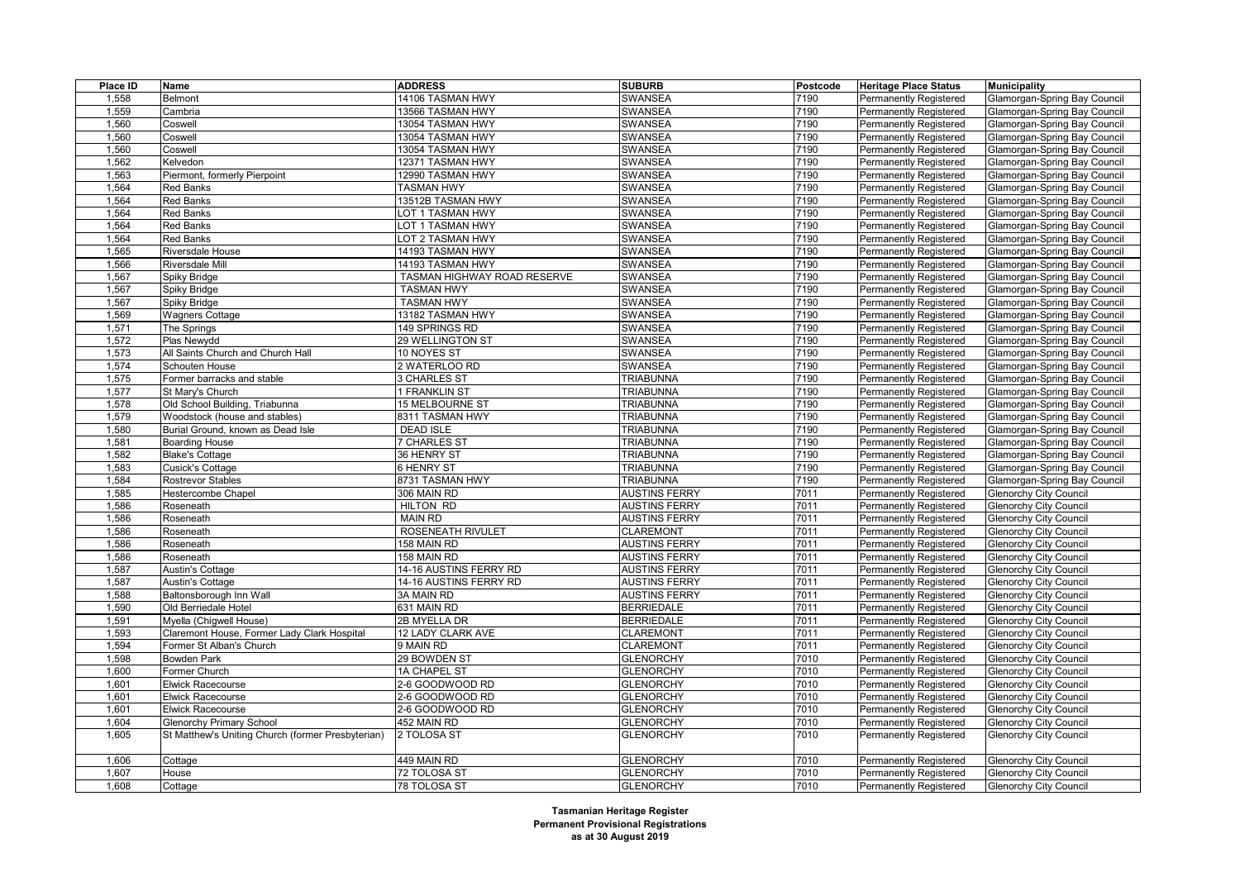| Place ID | Name                                              | <b>ADDRESS</b>              | <b>SUBURB</b>        | Postcode | <b>Heritage Place Status</b>  | <b>Municipality</b>                 |
|----------|---------------------------------------------------|-----------------------------|----------------------|----------|-------------------------------|-------------------------------------|
| 1,558    | Belmont                                           | 14106 TASMAN HWY            | <b>SWANSEA</b>       | 7190     | Permanently Registered        | Glamorgan-Spring Bay Council        |
| 1,559    | Cambria                                           | 13566 TASMAN HWY            | <b>SWANSEA</b>       | 7190     | Permanently Registered        | Glamorgan-Spring Bay Council        |
| 1,560    | Coswell                                           | 13054 TASMAN HWY            | <b>SWANSEA</b>       | 7190     | Permanently Registered        | Glamorgan-Spring Bay Council        |
| 1,560    | Coswell                                           | 13054 TASMAN HWY            | <b>SWANSEA</b>       | 7190     | Permanently Registered        | Glamorgan-Spring Bay Council        |
| 1,560    | Coswell                                           | 13054 TASMAN HWY            | <b>SWANSEA</b>       | 7190     | <b>Permanently Registered</b> | Glamorgan-Spring Bay Council        |
| 1,562    | Kelvedon                                          | 12371 TASMAN HWY            | <b>SWANSEA</b>       | 7190     | Permanently Registered        | Glamorgan-Spring Bay Council        |
| 1,563    | Piermont, formerly Pierpoint                      | 12990 TASMAN HWY            | SWANSEA              | 7190     | Permanently Registered        | Glamorgan-Spring Bay Council        |
| 1,564    | <b>Red Banks</b>                                  | <b>TASMAN HWY</b>           | <b>SWANSEA</b>       | 7190     | Permanently Registered        | Glamorgan-Spring Bay Council        |
| 1,564    | <b>Red Banks</b>                                  | 13512B TASMAN HWY           | <b>SWANSEA</b>       | 7190     | Permanently Registered        | Glamorgan-Spring Bay Council        |
| 1,564    | <b>Red Banks</b>                                  | OT 1 TASMAN HWY             | <b>SWANSEA</b>       | 7190     | Permanently Registered        | Glamorgan-Spring Bay Council        |
| 1,564    | <b>Red Banks</b>                                  | LOT 1 TASMAN HWY            | <b>SWANSEA</b>       | 7190     | Permanently Registered        | Glamorgan-Spring Bay Council        |
| 1,564    | <b>Red Banks</b>                                  | OT 2 TASMAN HWY             | <b>SWANSEA</b>       | 7190     | Permanently Registered        | Glamorgan-Spring Bay Council        |
| 1,565    | Riversdale House                                  | 14193 TASMAN HWY            | <b>SWANSEA</b>       | 7190     | Permanently Registered        | Glamorgan-Spring Bay Council        |
| 1,566    | Riversdale Mill                                   | 14193 TASMAN HWY            | SWANSEA              | 7190     | Permanently Registered        | Glamorgan-Spring Bay Council        |
| 1,567    | Spiky Bridge                                      | TASMAN HIGHWAY ROAD RESERVE | <b>SWANSEA</b>       | 7190     | Permanently Registered        | Glamorgan-Spring Bay Council        |
| 1,567    | Spiky Bridge                                      | <b>TASMAN HWY</b>           | SWANSEA              | 7190     | Permanently Registered        | Glamorgan-Spring Bay Council        |
| 1,567    | Spiky Bridge                                      | <b>TASMAN HWY</b>           | SWANSEA              | 7190     | Permanently Registered        | Glamorgan-Spring Bay Council        |
| 1,569    | <b>Wagners Cottage</b>                            | 13182 TASMAN HWY            | <b>SWANSEA</b>       | 7190     | Permanently Registered        | Glamorgan-Spring Bay Council        |
| 1,571    | The Springs                                       | 149 SPRINGS RD              | <b>SWANSEA</b>       | 7190     | Permanently Registered        | Glamorgan-Spring Bay Council        |
| 1,572    | Plas Newydd                                       | 29 WELLINGTON ST            | <b>SWANSEA</b>       | 7190     | Permanently Registered        | <b>Glamorgan-Spring Bay Council</b> |
| 1,573    | All Saints Church and Church Hall                 | 10 NOYES ST                 | <b>SWANSEA</b>       | 7190     | Permanently Registered        | Glamorgan-Spring Bay Council        |
| 1,574    | Schouten House                                    | 2 WATERLOO RD               | <b>SWANSEA</b>       | 7190     | Permanently Registered        | Glamorgan-Spring Bay Council        |
| 1,575    | Former barracks and stable                        | <b>3 CHARLES ST</b>         | <b>TRIABUNNA</b>     | 7190     | Permanently Registered        | <b>Glamorgan-Spring Bay Council</b> |
| 1,577    | St Mary's Church                                  | 1 FRANKLIN ST               | <b>TRIABUNNA</b>     | 7190     | <b>Permanently Registered</b> | Glamorgan-Spring Bay Council        |
| 1,578    | Old School Building, Triabunna                    | 15 MELBOURNE ST             | <b>TRIABUNNA</b>     | 7190     | Permanently Registered        | Glamorgan-Spring Bay Council        |
| 1,579    | Woodstock (house and stables)                     | 8311 TASMAN HWY             | <b>TRIABUNNA</b>     | 7190     | Permanently Registered        | <b>Glamorgan-Spring Bay Council</b> |
| 1,580    | Burial Ground, known as Dead Isle                 | <b>DEAD ISLE</b>            | <b>TRIABUNNA</b>     | 7190     | Permanently Registered        | Glamorgan-Spring Bay Council        |
| 1,581    | <b>Boarding House</b>                             | <b>7 CHARLES ST</b>         | <b>TRIABUNNA</b>     | 7190     | Permanently Registered        | <b>Glamorgan-Spring Bay Council</b> |
| 1,582    | <b>Blake's Cottage</b>                            | 36 HENRY ST                 | <b>TRIABUNNA</b>     | 7190     | Permanently Registered        | <b>Glamorgan-Spring Bay Council</b> |
| 1,583    | <b>Cusick's Cottage</b>                           | 6 HENRY ST                  | <b>TRIABUNNA</b>     | 7190     | <b>Permanently Registered</b> | Glamorgan-Spring Bay Council        |
| 1,584    | <b>Rostrevor Stables</b>                          | 8731 TASMAN HWY             | <b>TRIABUNNA</b>     | 7190     | Permanently Registered        | <b>Glamorgan-Spring Bay Council</b> |
| 1,585    | Hestercombe Chapel                                | 306 MAIN RD                 | <b>AUSTINS FERRY</b> | 7011     | Permanently Registered        | <b>Glenorchy City Council</b>       |
| 1,586    | Roseneath                                         | <b>HILTON RD</b>            | <b>AUSTINS FERRY</b> | 7011     | <b>Permanently Registered</b> | <b>Glenorchy City Council</b>       |
| 1,586    | Roseneath                                         | <b>MAIN RD</b>              | <b>AUSTINS FERRY</b> | 7011     | Permanently Registered        | <b>Glenorchy City Council</b>       |
| 1,586    | Roseneath                                         | <b>ROSENEATH RIVULET</b>    | <b>CLAREMONT</b>     | 7011     | Permanently Registered        | <b>Glenorchy City Council</b>       |
| 1,586    | Roseneath                                         | 158 MAIN RD                 | <b>AUSTINS FERRY</b> | 7011     | Permanently Registered        | <b>Glenorchy City Council</b>       |
| 1,586    | Roseneath                                         | 158 MAIN RD                 | <b>AUSTINS FERRY</b> | 7011     | Permanently Registered        | <b>Glenorchy City Council</b>       |
| 1,587    | Austin's Cottage                                  | 14-16 AUSTINS FERRY RD      | <b>AUSTINS FERRY</b> | 7011     | Permanently Registered        | <b>Glenorchy City Council</b>       |
| 1,587    | Austin's Cottage                                  | 14-16 AUSTINS FERRY RD      | <b>AUSTINS FERRY</b> | 7011     | Permanently Registered        | <b>Glenorchy City Council</b>       |
| 1,588    | Baltonsborough Inn Wall                           | 3A MAIN RD                  | <b>AUSTINS FERRY</b> | 7011     | Permanently Registered        | <b>Glenorchy City Council</b>       |
| 1,590    | Old Berriedale Hotel                              | 631 MAIN RD                 | <b>BERRIEDALE</b>    | 7011     | Permanently Registered        | <b>Glenorchy City Council</b>       |
| 1,591    | Myella (Chigwell House)                           | 2B MYELLA DR                | <b>BERRIEDALE</b>    | 7011     | <b>Permanently Registered</b> | <b>Glenorchy City Council</b>       |
| 1,593    | Claremont House, Former Lady Clark Hospital       | 12 LADY CLARK AVE           | <b>CLAREMONT</b>     | 7011     | Permanently Registered        | <b>Glenorchy City Council</b>       |
| 1,594    | Former St Alban's Church                          | 9 MAIN RD                   | <b>CLAREMONT</b>     | 7011     | Permanently Registered        | <b>Glenorchy City Council</b>       |
| 1,598    | <b>Bowden Park</b>                                | 29 BOWDEN ST                | <b>GLENORCHY</b>     | 7010     | Permanently Registered        | <b>Glenorchy City Council</b>       |
| 1,600    | Former Church                                     | 1A CHAPEL ST                | <b>GLENORCHY</b>     | 7010     | Permanently Registered        | <b>Glenorchy City Council</b>       |
| 1,601    | Elwick Racecourse                                 | 2-6 GOODWOOD RD             | <b>GLENORCHY</b>     | 7010     | Permanently Registered        | <b>Glenorchy City Council</b>       |
| 1,601    | <b>Elwick Racecourse</b>                          | 2-6 GOODWOOD RD             | <b>GLENORCHY</b>     | 7010     | <b>Permanently Registered</b> | <b>Glenorchy City Council</b>       |
| 1,601    | Elwick Racecourse                                 | 2-6 GOODWOOD RD             | <b>GLENORCHY</b>     | 7010     | Permanently Registered        | <b>Glenorchy City Council</b>       |
| 1,604    | <b>Glenorchy Primary School</b>                   | 452 MAIN RD                 | <b>GLENORCHY</b>     | 7010     | Permanently Registered        | <b>Glenorchy City Council</b>       |
| 1,605    | St Matthew's Uniting Church (former Presbyterian) | 2 TOLOSA ST                 | <b>GLENORCHY</b>     | 7010     | Permanently Registered        | <b>Glenorchy City Council</b>       |
|          |                                                   |                             |                      |          |                               |                                     |
| 1,606    | Cottage                                           | 449 MAIN RD                 | <b>GLENORCHY</b>     | 7010     | Permanently Registered        | <b>Glenorchy City Council</b>       |
| 1,607    | House                                             | 72 TOLOSA ST                | <b>GLENORCHY</b>     | 7010     | Permanently Registered        | <b>Glenorchy City Council</b>       |
| 1,608    | Cottage                                           | 78 TOLOSA ST                | <b>GLENORCHY</b>     | 7010     | Permanently Registered        | <b>Glenorchy City Council</b>       |
|          |                                                   |                             |                      |          |                               |                                     |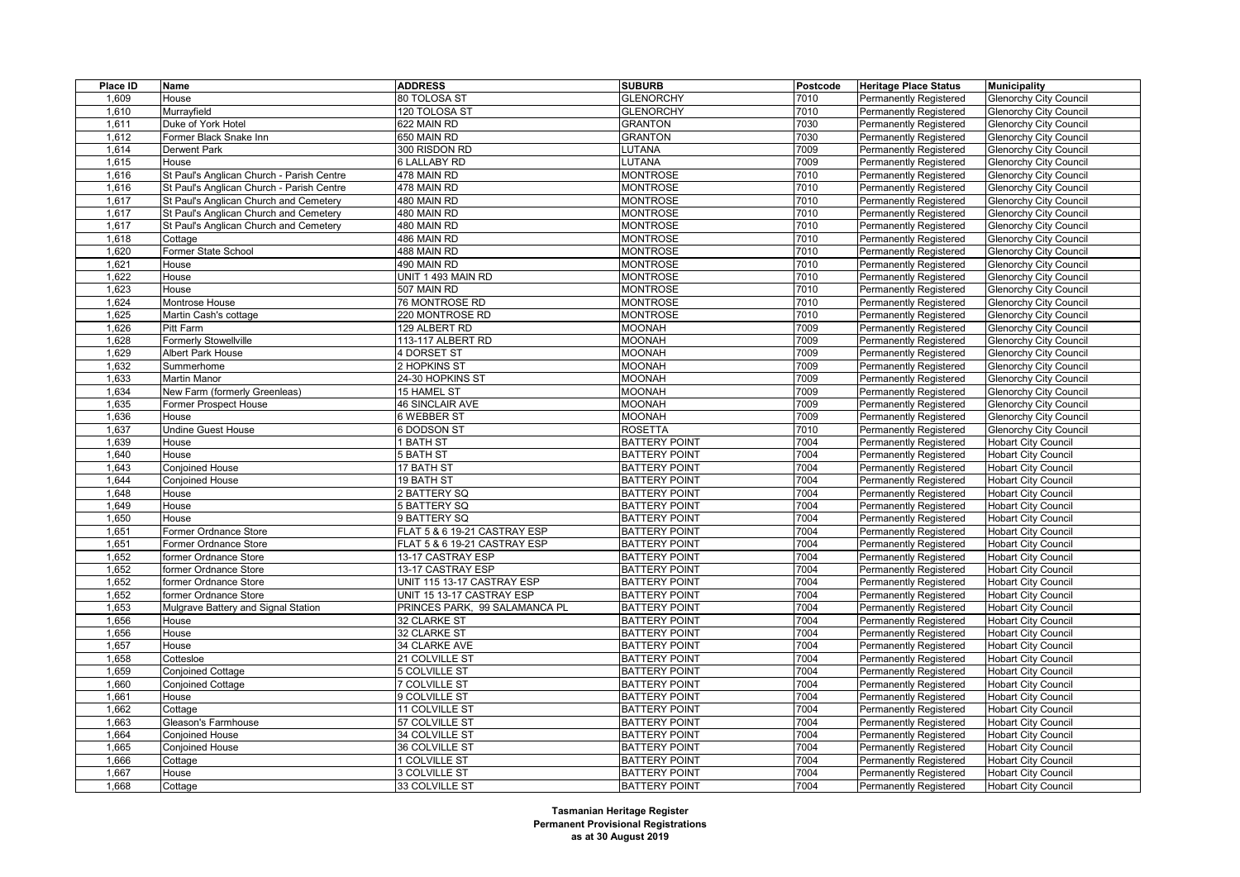| Place ID | Name                                      | <b>ADDRESS</b>                | <b>SUBURB</b>        | Postcode | <b>Heritage Place Status</b>  | <b>Municipality</b>           |
|----------|-------------------------------------------|-------------------------------|----------------------|----------|-------------------------------|-------------------------------|
| 1,609    | House                                     | 80 TOLOSA ST                  | <b>GLENORCHY</b>     | 7010     | Permanently Registered        | <b>Glenorchy City Council</b> |
| 1,610    | Murrayfield                               | 120 TOLOSA ST                 | <b>GLENORCHY</b>     | 7010     | <b>Permanently Registered</b> | <b>Glenorchy City Council</b> |
| 1,611    | Duke of York Hotel                        | 622 MAIN RD                   | <b>GRANTON</b>       | 7030     | <b>Permanently Registered</b> | <b>Glenorchy City Council</b> |
| 1,612    | Former Black Snake Inn                    | 650 MAIN RD                   | <b>GRANTON</b>       | 7030     | <b>Permanently Registered</b> | <b>Glenorchy City Council</b> |
| 1,614    | <b>Derwent Park</b>                       | 300 RISDON RD                 | LUTANA               | 7009     | <b>Permanently Registered</b> | <b>Glenorchy City Council</b> |
| 1,615    | House                                     | 6 LALLABY RD                  | LUTANA               | 7009     | Permanently Registered        | <b>Glenorchy City Council</b> |
| 1,616    | St Paul's Anglican Church - Parish Centre | 478 MAIN RD                   | <b>MONTROSE</b>      | 7010     | Permanently Registered        | <b>Glenorchy City Council</b> |
| 1,616    | St Paul's Anglican Church - Parish Centre | 478 MAIN RD                   | <b>MONTROSE</b>      | 7010     | <b>Permanently Registered</b> | <b>Glenorchy City Council</b> |
| 1,617    | St Paul's Anglican Church and Cemetery    | 480 MAIN RD                   | <b>MONTROSE</b>      | 7010     | <b>Permanently Registered</b> | <b>Glenorchy City Council</b> |
| 1,617    | St Paul's Anglican Church and Cemetery    | 480 MAIN RD                   | <b>MONTROSE</b>      | 7010     | <b>Permanently Registered</b> | <b>Glenorchy City Council</b> |
| 1,617    | St Paul's Anglican Church and Cemetery    | 480 MAIN RD                   | <b>MONTROSE</b>      | 7010     | <b>Permanently Registered</b> | <b>Glenorchy City Council</b> |
| 1,618    | Cottage                                   | 486 MAIN RD                   | <b>MONTROSE</b>      | 7010     | <b>Permanently Registered</b> | <b>Glenorchy City Council</b> |
| 1,620    | Former State School                       | 488 MAIN RD                   | <b>MONTROSE</b>      | 7010     | Permanently Registered        | Glenorchy City Council        |
| 1,621    | House                                     | 490 MAIN RD                   | <b>MONTROSE</b>      | 7010     | Permanently Registered        | <b>Glenorchy City Council</b> |
| 1,622    | House                                     | UNIT 1 493 MAIN RD            | <b>MONTROSE</b>      | 7010     | <b>Permanently Registered</b> | <b>Glenorchy City Council</b> |
| 1,623    | House                                     | 507 MAIN RD                   | <b>MONTROSE</b>      | 7010     | <b>Permanently Registered</b> | <b>Glenorchy City Council</b> |
| 1,624    | Montrose House                            | 76 MONTROSE RD                | <b>MONTROSE</b>      | 7010     | <b>Permanently Registered</b> | <b>Glenorchy City Council</b> |
| 1,625    | Martin Cash's cottage                     | 220 MONTROSE RD               | <b>MONTROSE</b>      | 7010     | <b>Permanently Registered</b> | <b>Glenorchy City Council</b> |
| 1,626    | Pitt Farm                                 | 129 ALBERT RD                 | <b>MOONAH</b>        | 7009     | Permanently Registered        | <b>Glenorchy City Council</b> |
| 1,628    | Formerly Stowellville                     | 113-117 ALBERT RD             | <b>MOONAH</b>        | 7009     | <b>Permanently Registered</b> | <b>Glenorchy City Council</b> |
| 1,629    | Albert Park House                         | 4 DORSET ST                   | <b>MOONAH</b>        | 7009     | <b>Permanently Registered</b> | <b>Glenorchy City Council</b> |
| 1,632    | Summerhome                                | 2 HOPKINS ST                  | <b>MOONAH</b>        | 7009     | Permanently Registered        | <b>Glenorchy City Council</b> |
| 1,633    | Martin Manor                              | 24-30 HOPKINS ST              | <b>MOONAH</b>        | 7009     | <b>Permanently Registered</b> | <b>Glenorchy City Council</b> |
| 1,634    | New Farm (formerly Greenleas)             | 15 HAMEL ST                   | <b>MOONAH</b>        | 7009     | <b>Permanently Registered</b> | <b>Glenorchy City Council</b> |
| 1,635    | Former Prospect House                     | <b>46 SINCLAIR AVE</b>        | <b>MOONAH</b>        | 7009     | <b>Permanently Registered</b> | <b>Glenorchy City Council</b> |
| 1,636    | House                                     | 6 WEBBER ST                   | <b>MOONAH</b>        | 7009     | Permanently Registered        | <b>Glenorchy City Council</b> |
| 1,637    | <b>Undine Guest House</b>                 | 6 DODSON ST                   | <b>ROSETTA</b>       | 7010     | <b>Permanently Registered</b> | <b>Glenorchy City Council</b> |
| 1,639    | House                                     | I BATH ST                     | <b>BATTERY POINT</b> | 7004     | Permanently Registered        | <b>Hobart City Council</b>    |
| 1,640    | House                                     | 5 BATH ST                     | <b>BATTERY POINT</b> | 7004     | Permanently Registered        | <b>Hobart City Council</b>    |
| 1,643    | Conjoined House                           | 17 BATH ST                    | <b>BATTERY POINT</b> | 7004     | <b>Permanently Registered</b> | <b>Hobart City Council</b>    |
| 1,644    | Conjoined House                           | <b>19 BATH ST</b>             | <b>BATTERY POINT</b> | 7004     | Permanently Registered        | <b>Hobart City Council</b>    |
| 1,648    | House                                     | 2 BATTERY SQ                  | <b>BATTERY POINT</b> | 7004     | <b>Permanently Registered</b> | <b>Hobart City Council</b>    |
| 1,649    | House                                     | 5 BATTERY SQ                  | <b>BATTERY POINT</b> | 7004     | <b>Permanently Registered</b> | <b>Hobart City Council</b>    |
| 1,650    | House                                     | 9 BATTERY SQ                  | <b>BATTERY POINT</b> | 7004     | <b>Permanently Registered</b> | <b>Hobart City Council</b>    |
| 1,651    | Former Ordnance Store                     | FLAT 5 & 6 19-21 CASTRAY ESP  | <b>BATTERY POINT</b> | 7004     | <b>Permanently Registered</b> | <b>Hobart City Council</b>    |
| 1,651    | Former Ordnance Store                     | FLAT 5 & 6 19-21 CASTRAY ESP  | <b>BATTERY POINT</b> | 7004     | <b>Permanently Registered</b> | <b>Hobart City Council</b>    |
| 1,652    | former Ordnance Store                     | 13-17 CASTRAY ESP             | <b>BATTERY POINT</b> | 7004     | <b>Permanently Registered</b> | <b>Hobart City Council</b>    |
| 1,652    | former Ordnance Store                     | 13-17 CASTRAY ESP             | <b>BATTERY POINT</b> | 7004     | Permanently Registered        | <b>Hobart City Council</b>    |
| 1,652    | former Ordnance Store                     | UNIT 115 13-17 CASTRAY ESP    | <b>BATTERY POINT</b> | 7004     | Permanently Registered        | <b>Hobart City Council</b>    |
| 1,652    | former Ordnance Store                     | UNIT 15 13-17 CASTRAY ESP     | <b>BATTERY POINT</b> | 7004     | <b>Permanently Registered</b> | <b>Hobart City Council</b>    |
| 1,653    | Mulgrave Battery and Signal Station       | PRINCES PARK, 99 SALAMANCA PL | <b>BATTERY POINT</b> | 7004     | <b>Permanently Registered</b> | <b>Hobart City Council</b>    |
| 1,656    | House                                     | 32 CLARKE ST                  | <b>BATTERY POINT</b> | 7004     | Permanently Registered        | <b>Hobart City Council</b>    |
| 1,656    | House                                     | 32 CLARKE ST                  | <b>BATTERY POINT</b> | 7004     | <b>Permanently Registered</b> | <b>Hobart City Council</b>    |
| 1,657    | House                                     | 34 CLARKE AVE                 | <b>BATTERY POINT</b> | 7004     | <b>Permanently Registered</b> | <b>Hobart City Council</b>    |
| 1,658    | Cottesloe                                 | 21 COLVILLE ST                | <b>BATTERY POINT</b> | 7004     | Permanently Registered        | <b>Hobart City Council</b>    |
| 1,659    | <b>Conjoined Cottage</b>                  | 5 COLVILLE ST                 | <b>BATTERY POINT</b> | 7004     | <b>Permanently Registered</b> | <b>Hobart City Council</b>    |
| 1,660    | <b>Conjoined Cottage</b>                  | 7 COLVILLE ST                 | <b>BATTERY POINT</b> | 7004     | <b>Permanently Registered</b> | <b>Hobart City Council</b>    |
| 1,661    | House                                     | 9 COLVILLE ST                 | <b>BATTERY POINT</b> | 7004     | Permanently Registered        | <b>Hobart City Council</b>    |
| 1,662    | Cottage                                   | 11 COLVILLE ST                | <b>BATTERY POINT</b> | 7004     | <b>Permanently Registered</b> | <b>Hobart City Council</b>    |
| 1,663    | Gleason's Farmhouse                       | 57 COLVILLE ST                | <b>BATTERY POINT</b> | 7004     | Permanently Registered        | <b>Hobart City Council</b>    |
| 1,664    | <b>Conjoined House</b>                    | 34 COLVILLE ST                | <b>BATTERY POINT</b> | 7004     | Permanently Registered        | <b>Hobart City Council</b>    |
| 1,665    | Conjoined House                           | 36 COLVILLE ST                | <b>BATTERY POINT</b> | 7004     | <b>Permanently Registered</b> | <b>Hobart City Council</b>    |
| 1,666    | Cottage                                   | 1 COLVILLE ST                 | <b>BATTERY POINT</b> | 7004     | Permanently Registered        | <b>Hobart City Council</b>    |
| 1,667    | House                                     | <b>3 COLVILLE ST</b>          | <b>BATTERY POINT</b> | 7004     | Permanently Registered        | <b>Hobart City Council</b>    |
| 1,668    | Cottage                                   | 33 COLVILLE ST                | <b>BATTERY POINT</b> | 7004     | <b>Permanently Registered</b> | <b>Hobart City Council</b>    |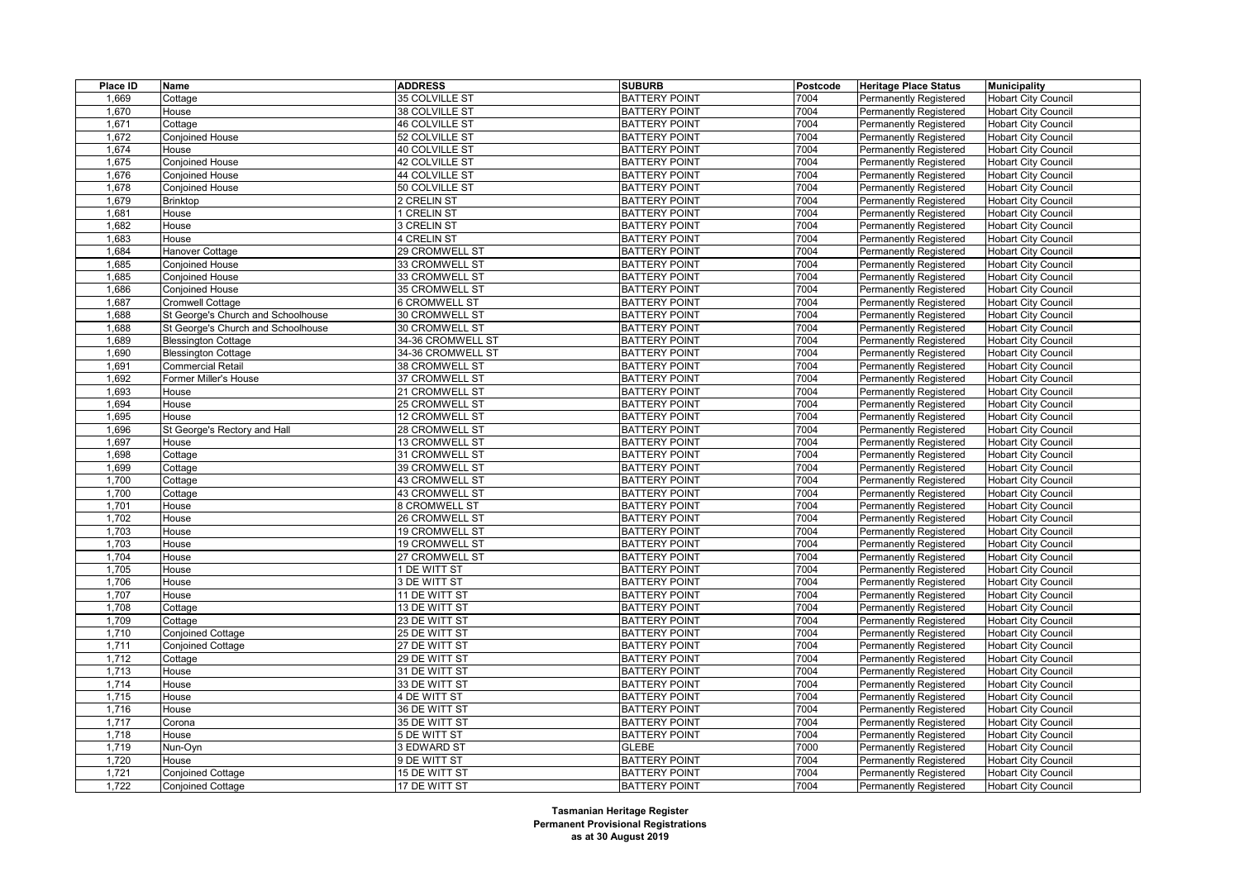| Place ID | Name                               | <b>ADDRESS</b>        | <b>SUBURB</b>        | Postcode | <b>Heritage Place Status</b>  | <b>Municipality</b>        |
|----------|------------------------------------|-----------------------|----------------------|----------|-------------------------------|----------------------------|
| 1,669    | Cottage                            | 35 COLVILLE ST        | <b>BATTERY POINT</b> | 7004     | Permanently Registered        | <b>Hobart City Council</b> |
| 1,670    | House                              | 38 COLVILLE ST        | <b>BATTERY POINT</b> | 7004     | <b>Permanently Registered</b> | <b>Hobart City Council</b> |
| 1,671    | Cottage                            | <b>46 COLVILLE ST</b> | <b>BATTERY POINT</b> | 7004     | <b>Permanently Registered</b> | <b>Hobart City Council</b> |
| 1,672    | <b>Conjoined House</b>             | 52 COLVILLE ST        | <b>BATTERY POINT</b> | 7004     | Permanently Registered        | <b>Hobart City Council</b> |
| 1,674    | House                              | 40 COLVILLE ST        | <b>BATTERY POINT</b> | 7004     | <b>Permanently Registered</b> | <b>Hobart City Council</b> |
| 1,675    | Conjoined House                    | 42 COLVILLE ST        | <b>BATTERY POINT</b> | 7004     | Permanently Registered        | <b>Hobart City Council</b> |
| 1,676    | <b>Conjoined House</b>             | 44 COLVILLE ST        | <b>BATTERY POINT</b> | 7004     | Permanently Registered        | <b>Hobart City Council</b> |
| 1,678    | <b>Conjoined House</b>             | 50 COLVILLE ST        | <b>BATTERY POINT</b> | 7004     | <b>Permanently Registered</b> | <b>Hobart City Council</b> |
| 1,679    | Brinktop                           | 2 CRELIN ST           | <b>BATTERY POINT</b> | 7004     | Permanently Registered        | <b>Hobart City Council</b> |
| 1,681    | House                              | 1 CRELIN ST           | <b>BATTERY POINT</b> | 7004     | Permanently Registered        | <b>Hobart City Council</b> |
| 1,682    | House                              | 3 CRELIN ST           | <b>BATTERY POINT</b> | 7004     | <b>Permanently Registered</b> | <b>Hobart City Council</b> |
| 1,683    | House                              | 4 CRELIN ST           | <b>BATTERY POINT</b> | 7004     | Permanently Registered        | Hobart City Council        |
| 1,684    | Hanover Cottage                    | 29 CROMWELL ST        | <b>BATTERY POINT</b> | 7004     | <b>Permanently Registered</b> | <b>Hobart City Council</b> |
| 1,685    | Conjoined House                    | 33 CROMWELL ST        | <b>BATTERY POINT</b> | 7004     | <b>Permanently Registered</b> | <b>Hobart City Council</b> |
| 1,685    | <b>Conjoined House</b>             | 33 CROMWELL ST        | <b>BATTERY POINT</b> | 7004     | <b>Permanently Registered</b> | <b>Hobart City Council</b> |
| 1,686    | <b>Conjoined House</b>             | 35 CROMWELL ST        | <b>BATTERY POINT</b> | 7004     | Permanently Registered        | <b>Hobart City Council</b> |
| 1,687    | <b>Cromwell Cottage</b>            | <b>6 CROMWELL ST</b>  | <b>BATTERY POINT</b> | 7004     | <b>Permanently Registered</b> | <b>Hobart City Council</b> |
| 1,688    | St George's Church and Schoolhouse | 30 CROMWELL ST        | <b>BATTERY POINT</b> | 7004     | <b>Permanently Registered</b> | <b>Hobart City Council</b> |
| 1,688    | St George's Church and Schoolhouse | 30 CROMWELL ST        | <b>BATTERY POINT</b> | 7004     | <b>Permanently Registered</b> | <b>Hobart City Council</b> |
| 1,689    | <b>Blessington Cottage</b>         | 34-36 CROMWELL ST     | <b>BATTERY POINT</b> | 7004     | Permanently Registered        | <b>Hobart City Council</b> |
| 1,690    | <b>Blessington Cottage</b>         | 34-36 CROMWELL ST     | <b>BATTERY POINT</b> | 7004     | <b>Permanently Registered</b> | <b>Hobart City Council</b> |
| 1,691    | Commercial Retail                  | 38 CROMWELL ST        | <b>BATTERY POINT</b> | 7004     | <b>Permanently Registered</b> | <b>Hobart City Council</b> |
| 1,692    | Former Miller's House              | 37 CROMWELL ST        | <b>BATTERY POINT</b> | 7004     | Permanently Registered        | <b>Hobart City Council</b> |
| 1,693    | House                              | 21 CROMWELL ST        | <b>BATTERY POINT</b> | 7004     | <b>Permanently Registered</b> | <b>Hobart City Council</b> |
| 1,694    | House                              | 25 CROMWELL ST        | <b>BATTERY POINT</b> | 7004     | Permanently Registered        | <b>Hobart City Council</b> |
| 1,695    | House                              | 12 CROMWELL ST        | <b>BATTERY POINT</b> | 7004     | Permanently Registered        | <b>Hobart City Council</b> |
| 1,696    | St George's Rectory and Hall       | 28 CROMWELL ST        | <b>BATTERY POINT</b> | 7004     | <b>Permanently Registered</b> | <b>Hobart City Council</b> |
| 1,697    | House                              | 13 CROMWELL ST        | <b>BATTERY POINT</b> | 7004     | Permanently Registered        | <b>Hobart City Council</b> |
| 1,698    | Cottage                            | 31 CROMWELL ST        | <b>BATTERY POINT</b> | 7004     | Permanently Registered        | <b>Hobart City Council</b> |
| 1,699    | Cottage                            | 39 CROMWELL ST        | <b>BATTERY POINT</b> | 7004     | <b>Permanently Registered</b> | <b>Hobart City Council</b> |
| 1,700    | Cottage                            | 43 CROMWELL ST        | <b>BATTERY POINT</b> | 7004     | Permanently Registered        | <b>Hobart City Council</b> |
| 1,700    | Cottage                            | 43 CROMWELL ST        | <b>BATTERY POINT</b> | 7004     | Permanently Registered        | <b>Hobart City Council</b> |
| 1,701    | House                              | 8 CROMWELL ST         | <b>BATTERY POINT</b> | 7004     | <b>Permanently Registered</b> | <b>Hobart City Council</b> |
| 1,702    | House                              | 26 CROMWELL ST        | <b>BATTERY POINT</b> | 7004     | Permanently Registered        | <b>Hobart City Council</b> |
| 1,703    | House                              | 19 CROMWELL ST        | <b>BATTERY POINT</b> | 7004     | Permanently Registered        | <b>Hobart City Council</b> |
| 1,703    | House                              | 19 CROMWELL ST        | <b>BATTERY POINT</b> | 7004     | <b>Permanently Registered</b> | <b>Hobart City Council</b> |
| 1,704    | House                              | 27 CROMWELL ST        | <b>BATTERY POINT</b> | 7004     | Permanently Registered        | <b>Hobart City Council</b> |
| 1,705    | House                              | 1 DE WITT ST          | <b>BATTERY POINT</b> | 7004     | <b>Permanently Registered</b> | <b>Hobart City Council</b> |
| 1,706    | House                              | 3 DE WITT ST          | <b>BATTERY POINT</b> | 7004     | <b>Permanently Registered</b> | <b>Hobart City Council</b> |
| 1,707    | House                              | 11 DE WITT ST         | <b>BATTERY POINT</b> | 7004     | Permanently Registered        | <b>Hobart City Council</b> |
| 1,708    | Cottage                            | 13 DE WITT ST         | <b>BATTERY POINT</b> | 7004     | Permanently Registered        | <b>Hobart City Council</b> |
| 1,709    | Cottage                            | 23 DE WITT ST         | <b>BATTERY POINT</b> | 7004     | <b>Permanently Registered</b> | <b>Hobart City Council</b> |
| 1,710    | Conjoined Cottage                  | 25 DE WITT ST         | <b>BATTERY POINT</b> | 7004     | Permanently Registered        | <b>Hobart City Council</b> |
| 1,711    | <b>Conjoined Cottage</b>           | 27 DE WITT ST         | <b>BATTERY POINT</b> | 7004     | Permanently Registered        | <b>Hobart City Council</b> |
| 1,712    | Cottage                            | 29 DE WITT ST         | <b>BATTERY POINT</b> | 7004     | Permanently Registered        | <b>Hobart City Council</b> |
| 1,713    | House                              | 31 DE WITT ST         | <b>BATTERY POINT</b> | 7004     | Permanently Registered        | <b>Hobart City Council</b> |
| 1,714    | House                              | 33 DE WITT ST         | <b>BATTERY POINT</b> | 7004     | <b>Permanently Registered</b> | <b>Hobart City Council</b> |
| 1,715    | House                              | 4 DE WITT ST          | <b>BATTERY POINT</b> | 7004     | Permanently Registered        | <b>Hobart City Council</b> |
| 1,716    | House                              | 36 DE WITT ST         | <b>BATTERY POINT</b> | 7004     | <b>Permanently Registered</b> | <b>Hobart City Council</b> |
| 1,717    | Corona                             | 35 DE WITT ST         | <b>BATTERY POINT</b> | 7004     | <b>Permanently Registered</b> | <b>Hobart City Council</b> |
| 1,718    | House                              | 5 DE WITT ST          | <b>BATTERY POINT</b> | 7004     | Permanently Registered        | <b>Hobart City Council</b> |
| 1,719    | Nun-Oyn                            | 3 EDWARD ST           | <b>GLEBE</b>         | 7000     | <b>Permanently Registered</b> | <b>Hobart City Council</b> |
| 1,720    | House                              | 9 DE WITT ST          | <b>BATTERY POINT</b> | 7004     | Permanently Registered        | <b>Hobart City Council</b> |
| 1,721    | Conjoined Cottage                  | 15 DE WITT ST         | <b>BATTERY POINT</b> | 7004     | Permanently Registered        | <b>Hobart City Council</b> |
| 1,722    | <b>Conjoined Cottage</b>           | 17 DE WITT ST         | <b>BATTERY POINT</b> | 7004     | <b>Permanently Registered</b> | <b>Hobart City Council</b> |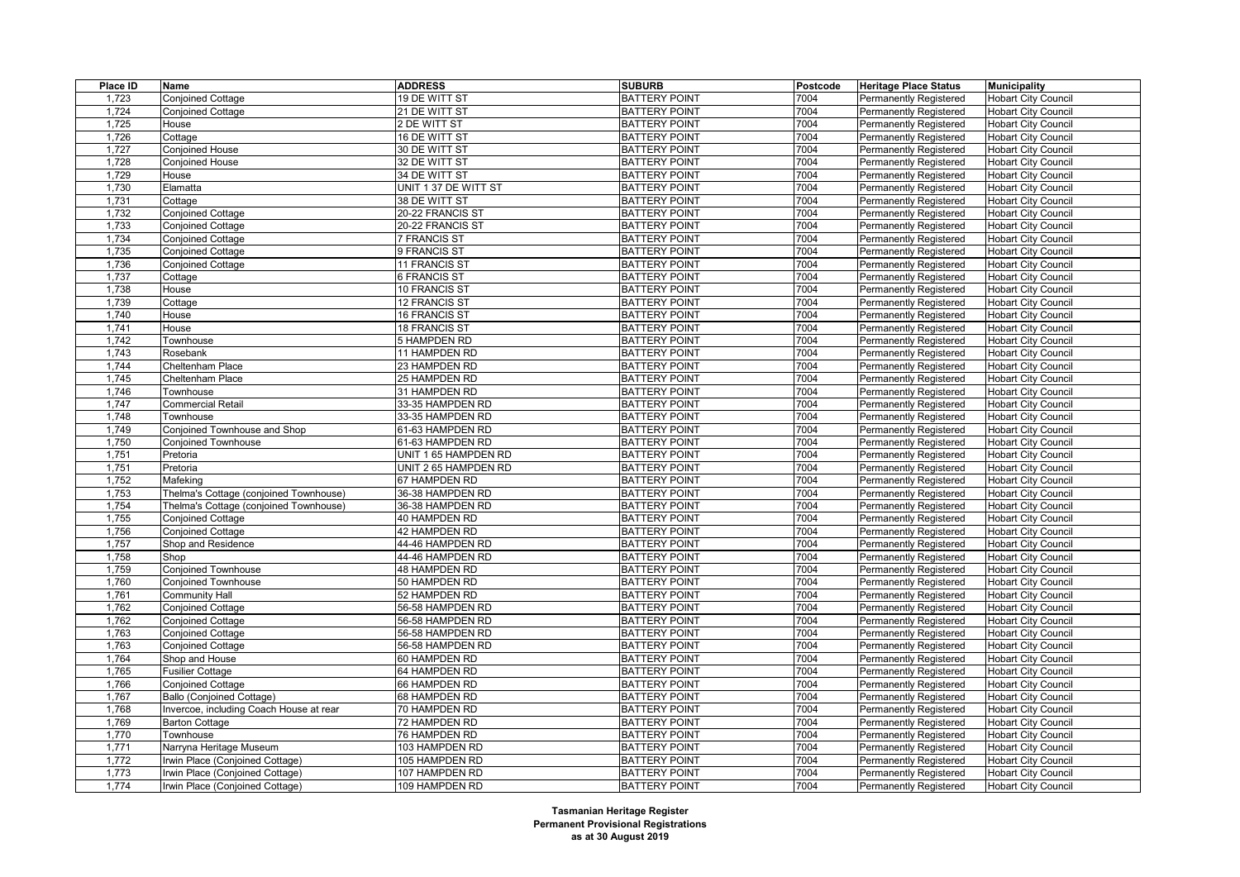| Place ID | Name                                    | <b>ADDRESS</b>       | <b>SUBURB</b>        | <b>Postcode</b> | <b>Heritage Place Status</b>  | <b>Municipality</b>        |
|----------|-----------------------------------------|----------------------|----------------------|-----------------|-------------------------------|----------------------------|
| 1,723    | Conjoined Cottage                       | 19 DE WITT ST        | <b>BATTERY POINT</b> | 7004            | <b>Permanently Registered</b> | <b>Hobart City Council</b> |
| 1,724    | <b>Conjoined Cottage</b>                | 21 DE WITT ST        | <b>BATTERY POINT</b> | 7004            | <b>Permanently Registered</b> | <b>Hobart City Council</b> |
| 1,725    | House                                   | 2 DE WITT ST         | <b>BATTERY POINT</b> | 7004            | <b>Permanently Registered</b> | <b>Hobart City Council</b> |
| 1,726    | Cottage                                 | 16 DE WITT ST        | <b>BATTERY POINT</b> | 7004            | Permanently Registered        | <b>Hobart City Council</b> |
| 1,727    | <b>Conjoined House</b>                  | 30 DE WITT ST        | <b>BATTERY POINT</b> | 7004            | <b>Permanently Registered</b> | <b>Hobart City Council</b> |
| 1,728    | <b>Conjoined House</b>                  | 32 DE WITT ST        | <b>BATTERY POINT</b> | 7004            | Permanently Registered        | <b>Hobart City Council</b> |
| 1,729    | House                                   | 34 DE WITT ST        | <b>BATTERY POINT</b> | 7004            | Permanently Registered        | <b>Hobart City Council</b> |
| 1,730    | Elamatta                                | UNIT 1 37 DE WITT ST | <b>BATTERY POINT</b> | 7004            | <b>Permanently Registered</b> | <b>Hobart City Council</b> |
| 1,731    | Cottage                                 | 38 DE WITT ST        | <b>BATTERY POINT</b> | 7004            | <b>Permanently Registered</b> | <b>Hobart City Council</b> |
| 1,732    | <b>Conjoined Cottage</b>                | 20-22 FRANCIS ST     | <b>BATTERY POINT</b> | 7004            | <b>Permanently Registered</b> | <b>Hobart City Council</b> |
| 1,733    | <b>Conjoined Cottage</b>                | 20-22 FRANCIS ST     | <b>BATTERY POINT</b> | 7004            | <b>Permanently Registered</b> | <b>Hobart City Council</b> |
| 1,734    | Conjoined Cottage                       | <b>7 FRANCIS ST</b>  | <b>BATTERY POINT</b> | 7004            | Permanently Registered        | <b>Hobart City Council</b> |
| 1,735    | <b>Conjoined Cottage</b>                | 9 FRANCIS ST         | <b>BATTERY POINT</b> | 7004            | Permanently Registered        | <b>Hobart City Council</b> |
| 1,736    | <b>Conjoined Cottage</b>                | 11 FRANCIS ST        | <b>BATTERY POINT</b> | 7004            | <b>Permanently Registered</b> | <b>Hobart City Council</b> |
| 1,737    | Cottage                                 | 6 FRANCIS ST         | <b>BATTERY POINT</b> | 7004            | Permanently Registered        | <b>Hobart City Council</b> |
| 1,738    | House                                   | 10 FRANCIS ST        | <b>BATTERY POINT</b> | 7004            | <b>Permanently Registered</b> | <b>Hobart City Council</b> |
| 1,739    | Cottage                                 | 12 FRANCIS ST        | <b>BATTERY POINT</b> | 7004            | <b>Permanently Registered</b> | <b>Hobart City Council</b> |
| 1,740    | House                                   | 16 FRANCIS ST        | <b>BATTERY POINT</b> | 7004            | Permanently Registered        | <b>Hobart City Council</b> |
| 1,741    | House                                   | <b>18 FRANCIS ST</b> | <b>BATTERY POINT</b> | 7004            | <b>Permanently Registered</b> | <b>Hobart City Council</b> |
| 1,742    | Townhouse                               | 5 HAMPDEN RD         | <b>BATTERY POINT</b> | 7004            | <b>Permanently Registered</b> | <b>Hobart City Council</b> |
| 1,743    | Rosebank                                | 11 HAMPDEN RD        | <b>BATTERY POINT</b> | 7004            | <b>Permanently Registered</b> | <b>Hobart City Council</b> |
| 1,744    | Cheltenham Place                        | 23 HAMPDEN RD        | <b>BATTERY POINT</b> | 7004            | <b>Permanently Registered</b> | <b>Hobart City Council</b> |
| 1,745    | Cheltenham Place                        | 25 HAMPDEN RD        | <b>BATTERY POINT</b> | 7004            | <b>Permanently Registered</b> | <b>Hobart City Council</b> |
| 1,746    | Townhouse                               | 31 HAMPDEN RD        | <b>BATTERY POINT</b> | 7004            | <b>Permanently Registered</b> | <b>Hobart City Council</b> |
| 1,747    | <b>Commercial Retail</b>                | 33-35 HAMPDEN RD     | <b>BATTERY POINT</b> | 7004            | <b>Permanently Registered</b> | <b>Hobart City Council</b> |
| 1,748    | Townhouse                               | 33-35 HAMPDEN RD     | <b>BATTERY POINT</b> | 7004            | Permanently Registered        | <b>Hobart City Council</b> |
| 1,749    | Conjoined Townhouse and Shop            | 61-63 HAMPDEN RD     | <b>BATTERY POINT</b> | 7004            | <b>Permanently Registered</b> | <b>Hobart City Council</b> |
| 1,750    | <b>Conjoined Townhouse</b>              | 61-63 HAMPDEN RD     | <b>BATTERY POINT</b> | 7004            | <b>Permanently Registered</b> | <b>Hobart City Council</b> |
| 1,751    | Pretoria                                | UNIT 1 65 HAMPDEN RD | <b>BATTERY POINT</b> | 7004            | Permanently Registered        | <b>Hobart City Council</b> |
| 1,751    | Pretoria                                | UNIT 2 65 HAMPDEN RD | <b>BATTERY POINT</b> | 7004            | <b>Permanently Registered</b> | <b>Hobart City Council</b> |
| 1,752    | Mafeking                                | 67 HAMPDEN RD        | <b>BATTERY POINT</b> | 7004            | <b>Permanently Registered</b> | <b>Hobart City Council</b> |
| 1,753    | Thelma's Cottage (conjoined Townhouse)  | 36-38 HAMPDEN RD     | <b>BATTERY POINT</b> | 7004            | Permanently Registered        | <b>Hobart City Council</b> |
| 1,754    | Thelma's Cottage (conjoined Townhouse)  | 36-38 HAMPDEN RD     | <b>BATTERY POINT</b> | 7004            | <b>Permanently Registered</b> | <b>Hobart City Council</b> |
| 1,755    | <b>Conjoined Cottage</b>                | 40 HAMPDEN RD        | <b>BATTERY POINT</b> | 7004            | <b>Permanently Registered</b> | <b>Hobart City Council</b> |
| 1,756    | <b>Conjoined Cottage</b>                | 42 HAMPDEN RD        | <b>BATTERY POINT</b> | 7004            | Permanently Registered        | <b>Hobart City Council</b> |
| 1,757    | Shop and Residence                      | 44-46 HAMPDEN RD     | <b>BATTERY POINT</b> | 7004            | <b>Permanently Registered</b> | <b>Hobart City Council</b> |
| 1,758    | Shop                                    | 44-46 HAMPDEN RD     | <b>BATTERY POINT</b> | 7004            | <b>Permanently Registered</b> | <b>Hobart City Council</b> |
| 1,759    | <b>Conjoined Townhouse</b>              | 48 HAMPDEN RD        | <b>BATTERY POINT</b> | 7004            | <b>Permanently Registered</b> | <b>Hobart City Council</b> |
| 1,760    | <b>Conjoined Townhouse</b>              | 50 HAMPDEN RD        | <b>BATTERY POINT</b> | 7004            | <b>Permanently Registered</b> | <b>Hobart City Council</b> |
| 1,761    | <b>Community Hall</b>                   | 52 HAMPDEN RD        | <b>BATTERY POINT</b> | 7004            | <b>Permanently Registered</b> | <b>Hobart City Council</b> |
| 1,762    | <b>Conjoined Cottage</b>                | 56-58 HAMPDEN RD     | <b>BATTERY POINT</b> | 7004            | <b>Permanently Registered</b> | <b>Hobart City Council</b> |
| 1,762    | <b>Conjoined Cottage</b>                | 56-58 HAMPDEN RD     | <b>BATTERY POINT</b> | 7004            | <b>Permanently Registered</b> | <b>Hobart City Council</b> |
| 1,763    | <b>Conjoined Cottage</b>                | 56-58 HAMPDEN RD     | <b>BATTERY POINT</b> | 7004            | Permanently Registered        | <b>Hobart City Council</b> |
| 1,763    | <b>Conjoined Cottage</b>                | 56-58 HAMPDEN RD     | <b>BATTERY POINT</b> | 7004            | <b>Permanently Registered</b> | <b>Hobart City Council</b> |
| 1,764    | Shop and House                          | 60 HAMPDEN RD        | <b>BATTERY POINT</b> | 7004            | <b>Permanently Registered</b> | <b>Hobart City Council</b> |
| 1,765    | <b>Fusilier Cottage</b>                 | 64 HAMPDEN RD        | <b>BATTERY POINT</b> | 7004            | <b>Permanently Registered</b> | <b>Hobart City Council</b> |
| 1,766    | <b>Conjoined Cottage</b>                | 66 HAMPDEN RD        | <b>BATTERY POINT</b> | 7004            | <b>Permanently Registered</b> | <b>Hobart City Council</b> |
| 1,767    | Ballo (Conjoined Cottage)               | 68 HAMPDEN RD        | <b>BATTERY POINT</b> | 7004            | <b>Permanently Registered</b> | <b>Hobart City Council</b> |
| 1,768    | Invercoe, including Coach House at rear | 70 HAMPDEN RD        | <b>BATTERY POINT</b> | 7004            | <b>Permanently Registered</b> | <b>Hobart City Council</b> |
| 1,769    | <b>Barton Cottage</b>                   | 72 HAMPDEN RD        | <b>BATTERY POINT</b> | 7004            | <b>Permanently Registered</b> | <b>Hobart City Council</b> |
| 1,770    | Townhouse                               | 76 HAMPDEN RD        | <b>BATTERY POINT</b> | 7004            | <b>Permanently Registered</b> | <b>Hobart City Council</b> |
| 1,771    | Narryna Heritage Museum                 | 103 HAMPDEN RD       | <b>BATTERY POINT</b> | 7004            | <b>Permanently Registered</b> | <b>Hobart City Council</b> |
| 1,772    | Irwin Place (Conjoined Cottage)         | 105 HAMPDEN RD       | <b>BATTERY POINT</b> | 7004            | <b>Permanently Registered</b> | <b>Hobart City Council</b> |
| 1,773    | Irwin Place (Conjoined Cottage)         | 107 HAMPDEN RD       | <b>BATTERY POINT</b> | 7004            | <b>Permanently Registered</b> | <b>Hobart City Council</b> |
| 1,774    | Irwin Place (Conjoined Cottage)         | 109 HAMPDEN RD       | <b>BATTERY POINT</b> | 7004            | <b>Permanently Registered</b> | <b>Hobart City Council</b> |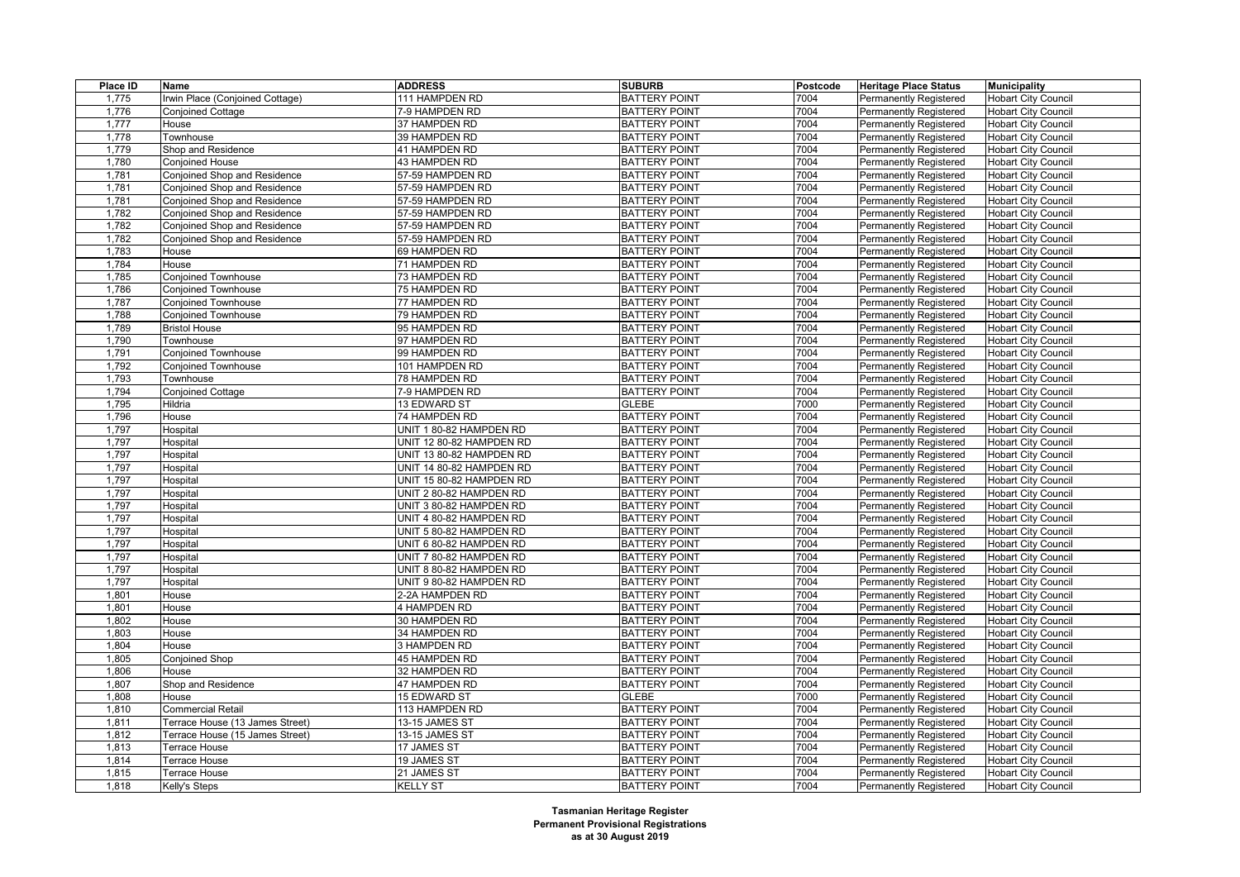| Place ID | Name                            | <b>ADDRESS</b>           | <b>SUBURB</b>        | Postcode | <b>Heritage Place Status</b>  | <b>Municipality</b>        |
|----------|---------------------------------|--------------------------|----------------------|----------|-------------------------------|----------------------------|
| 1,775    | Irwin Place (Conjoined Cottage) | 111 HAMPDEN RD           | <b>BATTERY POINT</b> | 7004     | Permanently Registered        | <b>Hobart City Council</b> |
| 1,776    | <b>Conjoined Cottage</b>        | 7-9 HAMPDEN RD           | <b>BATTERY POINT</b> | 7004     | <b>Permanently Registered</b> | <b>Hobart City Council</b> |
| 1,777    | House                           | 37 HAMPDEN RD            | <b>BATTERY POINT</b> | 7004     | <b>Permanently Registered</b> | <b>Hobart City Council</b> |
| 1,778    | Townhouse                       | 39 HAMPDEN RD            | <b>BATTERY POINT</b> | 7004     | Permanently Registered        | <b>Hobart City Council</b> |
| 1,779    | Shop and Residence              | 41 HAMPDEN RD            | <b>BATTERY POINT</b> | 7004     | <b>Permanently Registered</b> | <b>Hobart City Council</b> |
| 1,780    | <b>Conjoined House</b>          | 43 HAMPDEN RD            | <b>BATTERY POINT</b> | 7004     | <b>Permanently Registered</b> | <b>Hobart City Council</b> |
| 1,781    | Conjoined Shop and Residence    | 57-59 HAMPDEN RD         | <b>BATTERY POINT</b> | 7004     | Permanently Registered        | <b>Hobart City Council</b> |
| 1,781    | Conjoined Shop and Residence    | 57-59 HAMPDEN RD         | <b>BATTERY POINT</b> | 7004     | <b>Permanently Registered</b> | <b>Hobart City Council</b> |
| 1,781    | Conjoined Shop and Residence    | 57-59 HAMPDEN RD         | <b>BATTERY POINT</b> | 7004     | <b>Permanently Registered</b> | <b>Hobart City Council</b> |
| 1,782    | Conjoined Shop and Residence    | 57-59 HAMPDEN RD         | <b>BATTERY POINT</b> | 7004     | <b>Permanently Registered</b> | <b>Hobart City Council</b> |
| 1,782    | Conjoined Shop and Residence    | 57-59 HAMPDEN RD         | <b>BATTERY POINT</b> | 7004     | <b>Permanently Registered</b> | <b>Hobart City Council</b> |
| 1,782    | Conjoined Shop and Residence    | 57-59 HAMPDEN RD         | <b>BATTERY POINT</b> | 7004     | <b>Permanently Registered</b> | <b>Hobart City Council</b> |
| 1,783    | House                           | 69 HAMPDEN RD            | <b>BATTERY POINT</b> | 7004     | Permanently Registered        | <b>Hobart City Council</b> |
| 1,784    | House                           | 71 HAMPDEN RD            | <b>BATTERY POINT</b> | 7004     | <b>Permanently Registered</b> | <b>Hobart City Council</b> |
| 1,785    | Conjoined Townhouse             | 73 HAMPDEN RD            | <b>BATTERY POINT</b> | 7004     | Permanently Registered        | <b>Hobart City Council</b> |
| 1,786    | <b>Conjoined Townhouse</b>      | 75 HAMPDEN RD            | <b>BATTERY POINT</b> | 7004     | Permanently Registered        | <b>Hobart City Council</b> |
| 1,787    | <b>Conjoined Townhouse</b>      | 77 HAMPDEN RD            | <b>BATTERY POINT</b> | 7004     | <b>Permanently Registered</b> | <b>Hobart City Council</b> |
| 1,788    | Conjoined Townhouse             | 79 HAMPDEN RD            | <b>BATTERY POINT</b> | 7004     | <b>Permanently Registered</b> | <b>Hobart City Council</b> |
| 1,789    | <b>Bristol House</b>            | 95 HAMPDEN RD            | <b>BATTERY POINT</b> | 7004     | <b>Permanently Registered</b> | <b>Hobart City Council</b> |
| 1,790    | Townhouse                       | 97 HAMPDEN RD            | <b>BATTERY POINT</b> | 7004     | <b>Permanently Registered</b> | <b>Hobart City Council</b> |
| 1,791    | Conjoined Townhouse             | 99 HAMPDEN RD            | <b>BATTERY POINT</b> | 7004     | <b>Permanently Registered</b> | <b>Hobart City Council</b> |
| 1,792    | <b>Conjoined Townhouse</b>      | 101 HAMPDEN RD           | <b>BATTERY POINT</b> | 7004     | Permanently Registered        | <b>Hobart City Council</b> |
| 1,793    | Townhouse                       | 78 HAMPDEN RD            | <b>BATTERY POINT</b> | 7004     | Permanently Registered        | <b>Hobart City Council</b> |
| 1,794    | Conjoined Cottage               | 7-9 HAMPDEN RD           | <b>BATTERY POINT</b> | 7004     | <b>Permanently Registered</b> | <b>Hobart City Council</b> |
| 1,795    | Hildria                         | 13 EDWARD ST             | <b>GLEBE</b>         | 7000     | Permanently Registered        | <b>Hobart City Council</b> |
| 1,796    | House                           | 74 HAMPDEN RD            | <b>BATTERY POINT</b> | 7004     | Permanently Registered        | <b>Hobart City Council</b> |
| 1,797    | Hospital                        | UNIT 1 80-82 HAMPDEN RD  | <b>BATTERY POINT</b> | 7004     | <b>Permanently Registered</b> | <b>Hobart City Council</b> |
| 1,797    | Hospital                        | UNIT 12 80-82 HAMPDEN RD | <b>BATTERY POINT</b> | 7004     | <b>Permanently Registered</b> | <b>Hobart City Council</b> |
| 1,797    | Hospital                        | UNIT 13 80-82 HAMPDEN RD | <b>BATTERY POINT</b> | 7004     | Permanently Registered        | <b>Hobart City Council</b> |
| 1,797    | Hospital                        | UNIT 14 80-82 HAMPDEN RD | <b>BATTERY POINT</b> | 7004     | <b>Permanently Registered</b> | <b>Hobart City Council</b> |
| 1,797    | Hospital                        | UNIT 15 80-82 HAMPDEN RD | <b>BATTERY POINT</b> | 7004     | <b>Permanently Registered</b> | <b>Hobart City Council</b> |
| 1,797    | Hospital                        | UNIT 2 80-82 HAMPDEN RD  | <b>BATTERY POINT</b> | 7004     | Permanently Registered        | <b>Hobart City Council</b> |
| 1,797    | Hospital                        | UNIT 3 80-82 HAMPDEN RD  | <b>BATTERY POINT</b> | 7004     | <b>Permanently Registered</b> | <b>Hobart City Council</b> |
| 1,797    | Hospital                        | UNIT 4 80-82 HAMPDEN RD  | <b>BATTERY POINT</b> | 7004     | Permanently Registered        | <b>Hobart City Council</b> |
| 1,797    | Hospital                        | UNIT 5 80-82 HAMPDEN RD  | <b>BATTERY POINT</b> | 7004     | Permanently Registered        | <b>Hobart City Council</b> |
| 1,797    | Hospital                        | UNIT 6 80-82 HAMPDEN RD  | <b>BATTERY POINT</b> | 7004     | <b>Permanently Registered</b> | <b>Hobart City Council</b> |
| 1,797    | Hospital                        | UNIT 7 80-82 HAMPDEN RD  | <b>BATTERY POINT</b> | 7004     | Permanently Registered        | <b>Hobart City Council</b> |
| 1,797    | Hospital                        | UNIT 8 80-82 HAMPDEN RD  | <b>BATTERY POINT</b> | 7004     | Permanently Registered        | <b>Hobart City Council</b> |
| 1,797    | Hospital                        | UNIT 9 80-82 HAMPDEN RD  | <b>BATTERY POINT</b> | 7004     | <b>Permanently Registered</b> | <b>Hobart City Council</b> |
| 1,801    | House                           | 2-2A HAMPDEN RD          | <b>BATTERY POINT</b> | 7004     | Permanently Registered        | <b>Hobart City Council</b> |
| 1,801    | House                           | 4 HAMPDEN RD             | <b>BATTERY POINT</b> | 7004     | <b>Permanently Registered</b> | <b>Hobart City Council</b> |
| 1,802    | House                           | 30 HAMPDEN RD            | <b>BATTERY POINT</b> | 7004     | <b>Permanently Registered</b> | <b>Hobart City Council</b> |
| 1.803    | House                           | 34 HAMPDEN RD            | <b>BATTERY POINT</b> | 7004     | Permanently Registered        | <b>Hobart City Council</b> |
| 1,804    | House                           | 3 HAMPDEN RD             | <b>BATTERY POINT</b> | 7004     | Permanently Registered        | <b>Hobart City Council</b> |
| 1,805    | <b>Conjoined Shop</b>           | 45 HAMPDEN RD            | <b>BATTERY POINT</b> | 7004     | <b>Permanently Registered</b> | <b>Hobart City Council</b> |
| 1,806    | House                           | 32 HAMPDEN RD            | <b>BATTERY POINT</b> | 7004     | Permanently Registered        | <b>Hobart City Council</b> |
| 1,807    | Shop and Residence              | 47 HAMPDEN RD            | <b>BATTERY POINT</b> | 7004     | <b>Permanently Registered</b> | <b>Hobart City Council</b> |
| 1,808    | House                           | 15 EDWARD ST             | <b>GLEBE</b>         | 7000     | <b>Permanently Registered</b> | <b>Hobart City Council</b> |
| 1,810    | Commercial Retail               | 113 HAMPDEN RD           | <b>BATTERY POINT</b> | 7004     | Permanently Registered        | <b>Hobart City Council</b> |
| 1,811    | Terrace House (13 James Street) | 13-15 JAMES ST           | <b>BATTERY POINT</b> | 7004     | <b>Permanently Registered</b> | <b>Hobart City Council</b> |
| 1,812    | Terrace House (15 James Street) | 13-15 JAMES ST           | <b>BATTERY POINT</b> | 7004     | <b>Permanently Registered</b> | <b>Hobart City Council</b> |
| 1,813    | Terrace House                   | 17 JAMES ST              | <b>BATTERY POINT</b> | 7004     | Permanently Registered        | <b>Hobart City Council</b> |
| 1,814    | Terrace House                   | 19 JAMES ST              | <b>BATTERY POINT</b> | 7004     | Permanently Registered        | <b>Hobart City Council</b> |
| 1,815    | Terrace House                   | 21 JAMES ST              | <b>BATTERY POINT</b> | 7004     | <b>Permanently Registered</b> | Hobart City Council        |
| 1,818    | Kelly's Steps                   | <b>KELLY ST</b>          | <b>BATTERY POINT</b> | 7004     | <b>Permanently Registered</b> | Hobart City Council        |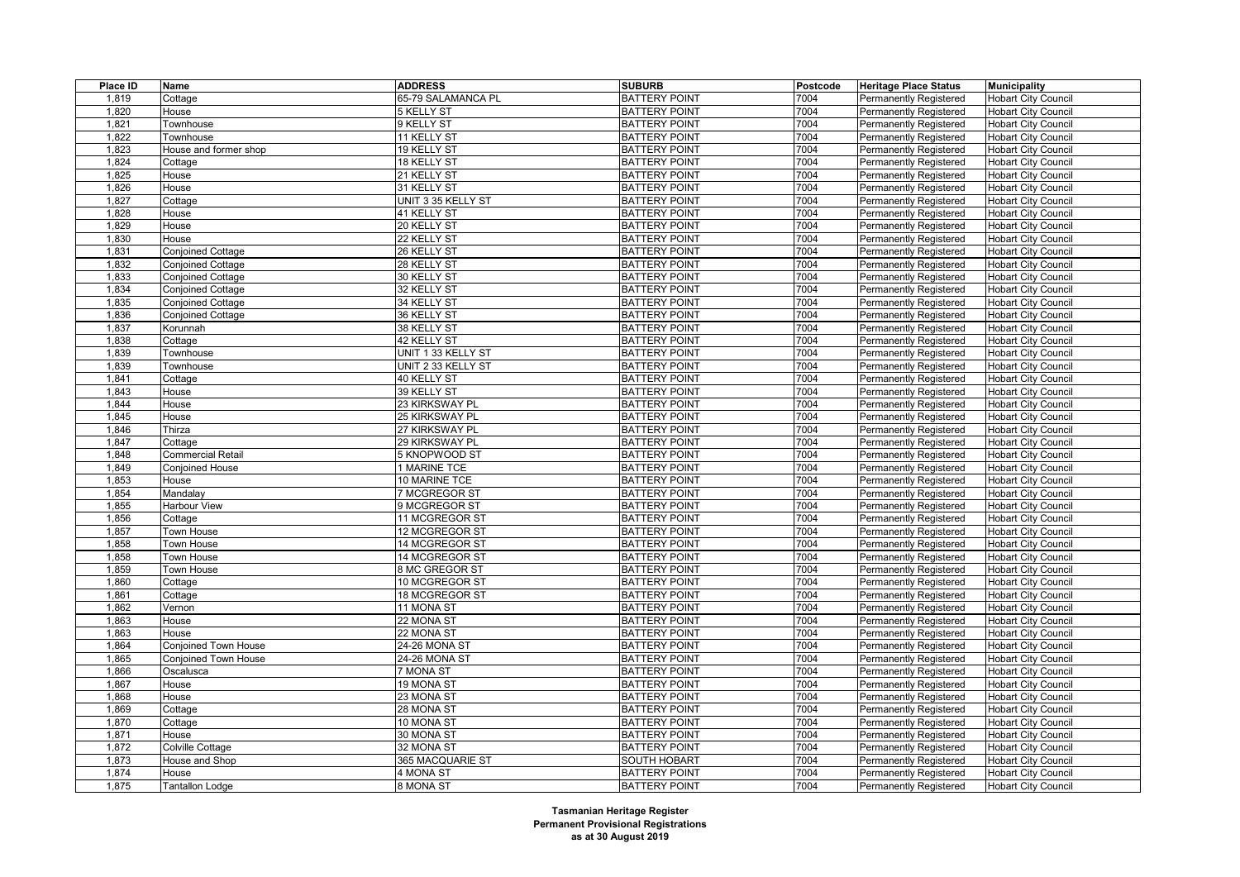| Place ID       | Name                     | <b>ADDRESS</b>                   | <b>SUBURB</b>                                | Postcode     | <b>Heritage Place Status</b>                            | <b>Municipality</b>        |
|----------------|--------------------------|----------------------------------|----------------------------------------------|--------------|---------------------------------------------------------|----------------------------|
| 1,819          | Cottage                  | 65-79 SALAMANCA PL               | <b>BATTERY POINT</b>                         | 7004         | Permanently Registered                                  | <b>Hobart City Council</b> |
| 1,820          | House                    | 5 KELLY ST                       | <b>BATTERY POINT</b>                         | 7004         | <b>Permanently Registered</b>                           | <b>Hobart City Council</b> |
| 1,821          | Townhouse                | 9 KELLY ST                       | <b>BATTERY POINT</b>                         | 7004         | Permanently Registered                                  | <b>Hobart City Council</b> |
| 1,822          | <b>Townhouse</b>         | 11 KELLY ST                      | <b>BATTERY POINT</b>                         | 7004         | Permanently Registered                                  | <b>Hobart City Council</b> |
| 1,823          | House and former shop    | 19 KELLY ST                      | <b>BATTERY POINT</b>                         | 7004         | <b>Permanently Registered</b>                           | <b>Hobart City Council</b> |
| 1,824          | Cottage                  | 18 KELLY ST                      | <b>BATTERY POINT</b>                         | 7004         | Permanently Registered                                  | <b>Hobart City Council</b> |
| 1,825          | House                    | 21 KELLY ST                      | <b>BATTERY POINT</b>                         | 7004         | Permanently Registered                                  | <b>Hobart City Council</b> |
| 1,826          | House                    | 31 KELLY ST                      | <b>BATTERY POINT</b>                         | 7004         | <b>Permanently Registered</b>                           | <b>Hobart City Council</b> |
| 1,827          | Cottage                  | UNIT 3 35 KELLY ST               | <b>BATTERY POINT</b>                         | 7004         | <b>Permanently Registered</b>                           | <b>Hobart City Council</b> |
| 1,828          | House                    | 41 KELLY ST                      | <b>BATTERY POINT</b>                         | 7004         | Permanently Registered                                  | <b>Hobart City Council</b> |
| 1,829          | House                    | 20 KELLY ST                      | <b>BATTERY POINT</b>                         | 7004         | <b>Permanently Registered</b>                           | <b>Hobart City Council</b> |
| 1,830          | House                    | 22 KELLY ST                      | <b>BATTERY POINT</b>                         | 7004         | Permanently Registered                                  | <b>Hobart City Council</b> |
| 1,831          | Conjoined Cottage        | 26 KELLY ST                      | <b>BATTERY POINT</b>                         | 7004         | Permanently Registered                                  | <b>Hobart City Council</b> |
| 1,832          | <b>Conjoined Cottage</b> | 28 KELLY ST                      | <b>BATTERY POINT</b>                         | 7004         | <b>Permanently Registered</b>                           | <b>Hobart City Council</b> |
| 1,833          | <b>Conjoined Cottage</b> | 30 KELLY ST                      | <b>BATTERY POINT</b>                         | 7004         | Permanently Registered                                  | <b>Hobart City Council</b> |
| 1,834          | <b>Conjoined Cottage</b> | 32 KELLY ST                      | <b>BATTERY POINT</b>                         | 7004         | Permanently Registered                                  | <b>Hobart City Council</b> |
| 1,835          | <b>Conjoined Cottage</b> | 34 KELLY ST                      | <b>BATTERY POINT</b>                         | 7004         | <b>Permanently Registered</b>                           | <b>Hobart City Council</b> |
| 1,836          | <b>Conjoined Cottage</b> | 36 KELLY ST                      | <b>BATTERY POINT</b>                         | 7004         | <b>Permanently Registered</b>                           | <b>Hobart City Council</b> |
| 1,837          | Korunnah                 | 38 KELLY ST                      | <b>BATTERY POINT</b>                         | 7004         | Permanently Registered                                  | <b>Hobart City Council</b> |
| 1,838          | Cottage                  | 42 KELLY ST                      | <b>BATTERY POINT</b>                         | 7004         | Permanently Registered                                  | <b>Hobart City Council</b> |
| 1,839          | Townhouse                | UNIT 1 33 KELLY ST               | <b>BATTERY POINT</b>                         | 7004         | <b>Permanently Registered</b>                           | <b>Hobart City Council</b> |
| 1,839          | Townhouse                | UNIT 2 33 KELLY ST               | <b>BATTERY POINT</b>                         | 7004         | Permanently Registered                                  | <b>Hobart City Council</b> |
| 1,841          | Cottage                  | 40 KELLY ST                      | <b>BATTERY POINT</b>                         | 7004         | Permanently Registered                                  | <b>Hobart City Council</b> |
| 1,843          | House                    | 39 KELLY ST                      | <b>BATTERY POINT</b>                         | 7004         | <b>Permanently Registered</b>                           | <b>Hobart City Council</b> |
| 1,844          | House                    | 23 KIRKSWAY PL                   | <b>BATTERY POINT</b>                         | 7004         | Permanently Registered                                  | <b>Hobart City Council</b> |
| 1,845          | House                    | 25 KIRKSWAY PL                   | <b>BATTERY POINT</b>                         | 7004         | Permanently Registered                                  | <b>Hobart City Council</b> |
| 1,846          | Thirza                   | 27 KIRKSWAY PL                   | <b>BATTERY POINT</b>                         | 7004         | <b>Permanently Registered</b>                           | <b>Hobart City Council</b> |
| 1,847          | Cottage                  | 29 KIRKSWAY PL                   | <b>BATTERY POINT</b>                         | 7004         | Permanently Registered                                  | <b>Hobart City Council</b> |
| 1,848          | Commercial Retail        | 5 KNOPWOOD ST                    | <b>BATTERY POINT</b>                         | 7004         | Permanently Registered                                  | <b>Hobart City Council</b> |
| 1,849          | <b>Conjoined House</b>   | 1 MARINE TCE                     | <b>BATTERY POINT</b>                         | 7004         | <b>Permanently Registered</b>                           | <b>Hobart City Council</b> |
| 1,853          | House                    | 10 MARINE TCE                    | <b>BATTERY POINT</b>                         | 7004         | <b>Permanently Registered</b>                           | <b>Hobart City Council</b> |
| 1,854          | Mandalay                 | 7 MCGREGOR ST                    | <b>BATTERY POINT</b>                         | 7004         | Permanently Registered                                  | <b>Hobart City Council</b> |
| 1,855          | Harbour View             | 9 MCGREGOR ST                    | <b>BATTERY POINT</b>                         | 7004         | <b>Permanently Registered</b>                           | <b>Hobart City Council</b> |
| 1,856          | Cottage                  | 11 MCGREGOR ST                   | <b>BATTERY POINT</b>                         | 7004         | Permanently Registered                                  | <b>Hobart City Council</b> |
| 1,857          | Town House               | 12 MCGREGOR ST                   | <b>BATTERY POINT</b>                         | 7004         | Permanently Registered                                  | <b>Hobart City Council</b> |
| 1,858          | Town House               | 14 MCGREGOR ST                   | <b>BATTERY POINT</b>                         | 7004         | <b>Permanently Registered</b>                           | <b>Hobart City Council</b> |
| 1,858          | Town House               |                                  | <b>BATTERY POINT</b>                         | 7004         |                                                         | <b>Hobart City Council</b> |
| 1,859          | <b>Town House</b>        | 14 MCGREGOR ST<br>8 MC GREGOR ST | <b>BATTERY POINT</b>                         | 7004         | Permanently Registered<br><b>Permanently Registered</b> | <b>Hobart City Council</b> |
| 1,860          | Cottage                  | 10 MCGREGOR ST                   | <b>BATTERY POINT</b>                         | 7004         | <b>Permanently Registered</b>                           | <b>Hobart City Council</b> |
| 1,861          |                          | 18 MCGREGOR ST                   | <b>BATTERY POINT</b>                         | 7004         | Permanently Registered                                  | <b>Hobart City Council</b> |
| 1,862          | Cottage<br>Vernon        | 11 MONA ST                       | <b>BATTERY POINT</b>                         | 7004         | <b>Permanently Registered</b>                           | <b>Hobart City Council</b> |
| 1,863          | House                    | 22 MONA ST                       | <b>BATTERY POINT</b>                         | 7004         |                                                         |                            |
| 1,863          | House                    | 22 MONA ST                       |                                              | 7004         | <b>Permanently Registered</b>                           | <b>Hobart City Council</b> |
| 1,864          |                          |                                  | <b>BATTERY POINT</b>                         | 7004         | Permanently Registered                                  | <b>Hobart City Council</b> |
|                | Conjoined Town House     | 24-26 MONA ST                    | <b>BATTERY POINT</b>                         |              | <b>Permanently Registered</b>                           | <b>Hobart City Council</b> |
| 1,865<br>1,866 | Conjoined Town House     | 24-26 MONA ST                    | <b>BATTERY POINT</b>                         | 7004<br>7004 | <b>Permanently Registered</b>                           | <b>Hobart City Council</b> |
|                | Oscalusca                | 7 MONA ST                        | <b>BATTERY POINT</b>                         |              | Permanently Registered                                  | <b>Hobart City Council</b> |
| 1,867          | House                    | 19 MONA ST                       | <b>BATTERY POINT</b><br><b>BATTERY POINT</b> | 7004         | <b>Permanently Registered</b>                           | <b>Hobart City Council</b> |
| 1,868          | House                    | 23 MONA ST                       |                                              | 7004         | <b>Permanently Registered</b>                           | <b>Hobart City Council</b> |
| 1,869          | Cottage                  | 28 MONA ST                       | <b>BATTERY POINT</b>                         | 7004         | Permanently Registered                                  | <b>Hobart City Council</b> |
| 1,870          | Cottage                  | 10 MONA ST                       | <b>BATTERY POINT</b>                         | 7004         | <b>Permanently Registered</b>                           | <b>Hobart City Council</b> |
| 1,871          | House                    | 30 MONA ST                       | <b>BATTERY POINT</b>                         | 7004         | <b>Permanently Registered</b>                           | <b>Hobart City Council</b> |
| 1,872          | Colville Cottage         | 32 MONA ST                       | <b>BATTERY POINT</b>                         | 7004         | Permanently Registered                                  | Hobart City Council        |
| 1,873          | House and Shop           | 365 MACQUARIE ST                 | <b>SOUTH HOBART</b>                          | 7004         | Permanently Registered                                  | <b>Hobart City Council</b> |
| 1,874          | House                    | 4 MONA ST                        | <b>BATTERY POINT</b>                         | 7004         | <b>Permanently Registered</b>                           | <b>Hobart City Council</b> |
| 1,875          | <b>Tantallon Lodge</b>   | 8 MONA ST                        | <b>BATTERY POINT</b>                         | 7004         | <b>Permanently Registered</b>                           | Hobart City Council        |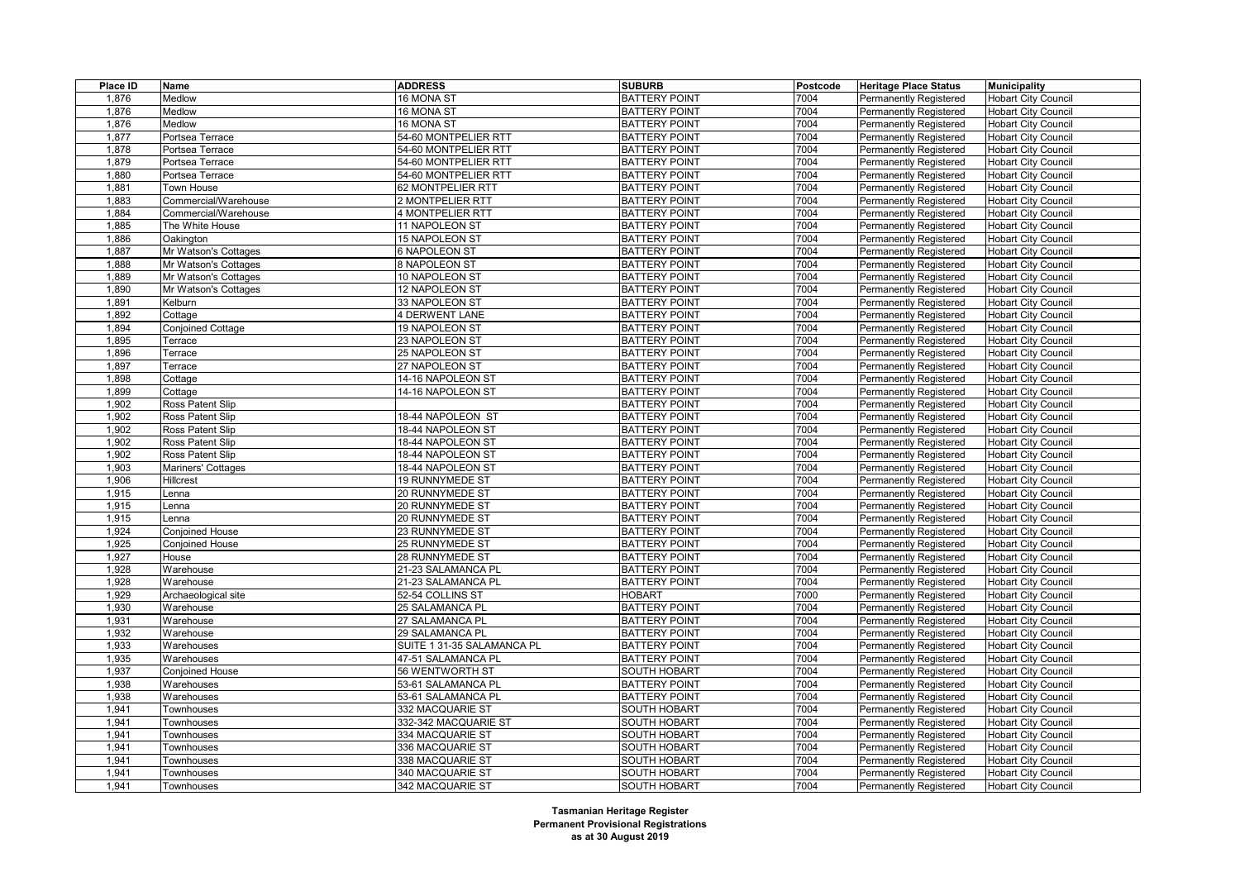| Place ID       | Name                            | <b>ADDRESS</b>                       | <b>SUBURB</b>                              | Postcode | <b>Heritage Place Status</b>  | <b>Municipality</b>                                      |
|----------------|---------------------------------|--------------------------------------|--------------------------------------------|----------|-------------------------------|----------------------------------------------------------|
| 1,876          | Medlow                          | 16 MONA ST                           | <b>BATTERY POINT</b>                       | 7004     | <b>Permanently Registered</b> | <b>Hobart City Council</b>                               |
| 1,876          | Medlow                          | 16 MONA ST                           | <b>BATTERY POINT</b>                       | 7004     | <b>Permanently Registered</b> | <b>Hobart City Council</b>                               |
| 1,876          | Medlow                          | 16 MONA ST                           | <b>BATTERY POINT</b>                       | 7004     | <b>Permanently Registered</b> | <b>Hobart City Council</b>                               |
| 1,877          | Portsea Terrace                 | 54-60 MONTPELIER RTT                 | <b>BATTERY POINT</b>                       | 7004     | Permanently Registered        | <b>Hobart City Council</b>                               |
| 1,878          | Portsea Terrace                 | 54-60 MONTPELIER RTT                 | <b>BATTERY POINT</b>                       | 7004     | <b>Permanently Registered</b> | <b>Hobart City Council</b>                               |
| 1,879          | Portsea Terrace                 | 54-60 MONTPELIER RTT                 | <b>BATTERY POINT</b>                       | 7004     | <b>Permanently Registered</b> | <b>Hobart City Council</b>                               |
| 1,880          | Portsea Terrace                 | 54-60 MONTPELIER RTT                 | <b>BATTERY POINT</b>                       | 7004     | Permanently Registered        | <b>Hobart City Council</b>                               |
| 1,881          | Town House                      | 62 MONTPELIER RTT                    | <b>BATTERY POINT</b>                       | 7004     | <b>Permanently Registered</b> | <b>Hobart City Council</b>                               |
| 1,883          | Commercial/Warehouse            | 2 MONTPELIER RTT                     | <b>BATTERY POINT</b>                       | 7004     | Permanently Registered        | <b>Hobart City Council</b>                               |
| 1,884          | Commercial/Warehouse            | <b>4 MONTPELIER RTT</b>              | <b>BATTERY POINT</b>                       | 7004     | Permanently Registered        | <b>Hobart City Council</b>                               |
| 1,885          | The White House                 | 11 NAPOLEON ST                       | <b>BATTERY POINT</b>                       | 7004     | <b>Permanently Registered</b> | <b>Hobart City Council</b>                               |
| 1,886          | Oakington                       | 15 NAPOLEON ST                       | <b>BATTERY POINT</b>                       | 7004     | Permanently Registered        | Hobart City Council                                      |
| 1,887          | Mr Watson's Cottages            | <b>6 NAPOLEON ST</b>                 | <b>BATTERY POINT</b>                       | 7004     | <b>Permanently Registered</b> | <b>Hobart City Council</b>                               |
| 1,888          | Mr Watson's Cottages            | 8 NAPOLEON ST                        | <b>BATTERY POINT</b>                       | 7004     | Permanently Registered        | <b>Hobart City Council</b>                               |
| 1,889          | Mr Watson's Cottages            | 10 NAPOLEON ST                       | <b>BATTERY POINT</b>                       | 7004     | <b>Permanently Registered</b> | <b>Hobart City Council</b>                               |
| 1,890          | Mr Watson's Cottages            | 12 NAPOLEON ST                       | <b>BATTERY POINT</b>                       | 7004     | Permanently Registered        | <b>Hobart City Council</b>                               |
| 1,891          | Kelburn                         | 33 NAPOLEON ST                       | <b>BATTERY POINT</b>                       | 7004     | <b>Permanently Registered</b> | <b>Hobart City Council</b>                               |
| 1,892          | Cottage                         | <b>4 DERWENT LANE</b>                | <b>BATTERY POINT</b>                       | 7004     | <b>Permanently Registered</b> | <b>Hobart City Council</b>                               |
| 1,894          | Conjoined Cottage               | 19 NAPOLEON ST                       | <b>BATTERY POINT</b>                       | 7004     | <b>Permanently Registered</b> | <b>Hobart City Council</b>                               |
| 1,895          | Terrace                         | 23 NAPOLEON ST                       | <b>BATTERY POINT</b>                       | 7004     | Permanently Registered        | <b>Hobart City Council</b>                               |
| 1,896          | Terrace                         | 25 NAPOLEON ST                       | <b>BATTERY POINT</b>                       | 7004     | <b>Permanently Registered</b> | <b>Hobart City Council</b>                               |
| 1,897          | Terrace                         | 27 NAPOLEON ST                       | <b>BATTERY POINT</b>                       | 7004     | Permanently Registered        | <b>Hobart City Council</b>                               |
| 1,898          | Cottage                         | 14-16 NAPOLEON ST                    | <b>BATTERY POINT</b>                       | 7004     | Permanently Registered        | <b>Hobart City Council</b>                               |
| 1,899          | Cottage                         | 14-16 NAPOLEON ST                    | <b>BATTERY POINT</b>                       | 7004     | <b>Permanently Registered</b> | <b>Hobart City Council</b>                               |
| 1,902          | Ross Patent Slip                |                                      | <b>BATTERY POINT</b>                       | 7004     | Permanently Registered        | <b>Hobart City Council</b>                               |
| 1,902          | Ross Patent Slip                | 18-44 NAPOLEON ST                    | <b>BATTERY POINT</b>                       | 7004     | Permanently Registered        | <b>Hobart City Council</b>                               |
| 1,902          | Ross Patent Slip                | 18-44 NAPOLEON ST                    | <b>BATTERY POINT</b>                       | 7004     | <b>Permanently Registered</b> | <b>Hobart City Council</b>                               |
| 1,902          | Ross Patent Slip                | 18-44 NAPOLEON ST                    | <b>BATTERY POINT</b>                       | 7004     | Permanently Registered        | <b>Hobart City Council</b>                               |
| 1,902          | Ross Patent Slip                | 18-44 NAPOLEON ST                    | <b>BATTERY POINT</b>                       | 7004     | Permanently Registered        | <b>Hobart City Council</b>                               |
| 1,903          | Mariners' Cottages              | 18-44 NAPOLEON ST                    | <b>BATTERY POINT</b>                       | 7004     | <b>Permanently Registered</b> | <b>Hobart City Council</b>                               |
| 1,906          | Hillcrest                       | 19 RUNNYMEDE ST                      | <b>BATTERY POINT</b>                       | 7004     | Permanently Registered        | <b>Hobart City Council</b>                               |
| 1,915          | Lenna                           | 20 RUNNYMEDE ST                      | <b>BATTERY POINT</b>                       | 7004     | Permanently Registered        | <b>Hobart City Council</b>                               |
| 1,915          | Lenna                           | 20 RUNNYMEDE ST                      | <b>BATTERY POINT</b>                       | 7004     | <b>Permanently Registered</b> | <b>Hobart City Council</b>                               |
| 1,915          | enna.                           | 20 RUNNYMEDE ST                      | <b>BATTERY POINT</b>                       | 7004     | Permanently Registered        | <b>Hobart City Council</b>                               |
| 1,924          | Conjoined House                 | 23 RUNNYMEDE ST                      | <b>BATTERY POINT</b>                       | 7004     | Permanently Registered        | <b>Hobart City Council</b>                               |
| 1,925          | <b>Conjoined House</b>          | 25 RUNNYMEDE ST                      | <b>BATTERY POINT</b>                       | 7004     | <b>Permanently Registered</b> | <b>Hobart City Council</b>                               |
| 1,927          | House                           | 28 RUNNYMEDE ST                      | <b>BATTERY POINT</b>                       | 7004     | Permanently Registered        | <b>Hobart City Council</b>                               |
| 1,928          | Warehouse                       | 21-23 SALAMANCA PL                   | <b>BATTERY POINT</b>                       | 7004     | <b>Permanently Registered</b> | <b>Hobart City Council</b>                               |
| 1,928          | Warehouse                       | 21-23 SALAMANCA PL                   | <b>BATTERY POINT</b>                       | 7004     | <b>Permanently Registered</b> | <b>Hobart City Council</b>                               |
| 1,929          | Archaeological site             | 52-54 COLLINS ST                     | <b>HOBART</b>                              | 7000     | Permanently Registered        | <b>Hobart City Council</b>                               |
| 1,930          | Warehouse                       | 25 SALAMANCA PL                      | <b>BATTERY POINT</b>                       | 7004     | Permanently Registered        | <b>Hobart City Council</b>                               |
| 1,931          | Warehouse                       | 27 SALAMANCA PL                      | <b>BATTERY POINT</b>                       | 7004     | <b>Permanently Registered</b> | <b>Hobart City Council</b>                               |
| 1,932          | Warehouse                       | 29 SALAMANCA PL                      | <b>BATTERY POINT</b>                       | 7004     | <b>Permanently Registered</b> | <b>Hobart City Council</b>                               |
| 1,933          | Warehouses                      | SUITE 1 31-35 SALAMANCA PL           | <b>BATTERY POINT</b>                       | 7004     | Permanently Registered        | <b>Hobart City Council</b>                               |
| 1,935          | Warehouses                      | 47-51 SALAMANCA PL                   | <b>BATTERY POINT</b>                       | 7004     | Permanently Registered        | <b>Hobart City Council</b>                               |
| 1,937          | Conjoined House                 | 56 WENTWORTH ST                      | <b>SOUTH HOBART</b>                        | 7004     | Permanently Registered        | <b>Hobart City Council</b>                               |
| 1,938          | Warehouses                      | 53-61 SALAMANCA PL                   | <b>BATTERY POINT</b>                       | 7004     | <b>Permanently Registered</b> | <b>Hobart City Council</b>                               |
| 1,938          | Warehouses                      | 53-61 SALAMANCA PL                   | <b>BATTERY POINT</b>                       | 7004     | Permanently Registered        | <b>Hobart City Council</b>                               |
| 1,941          | Townhouses                      | 332 MACQUARIE ST                     | <b>SOUTH HOBART</b>                        | 7004     | <b>Permanently Registered</b> | <b>Hobart City Council</b>                               |
| 1,941          | Townhouses                      | 332-342 MACQUARIE ST                 | <b>SOUTH HOBART</b>                        | 7004     | <b>Permanently Registered</b> | <b>Hobart City Council</b>                               |
|                |                                 |                                      | <b>SOUTH HOBART</b>                        | 7004     |                               |                                                          |
| 1,941<br>1,941 | Townhouses<br><b>Townhouses</b> | 334 MACQUARIE ST<br>336 MACQUARIE ST | <b>SOUTH HOBART</b>                        | 7004     | Permanently Registered        | <b>Hobart City Council</b><br><b>Hobart City Council</b> |
|                |                                 |                                      |                                            | 7004     | <b>Permanently Registered</b> |                                                          |
| 1,941<br>1,941 | <b>Townhouses</b>               | 338 MACQUARIE ST<br>340 MACQUARIE ST | <b>SOUTH HOBART</b><br><b>SOUTH HOBART</b> | 7004     | Permanently Registered        | <b>Hobart City Council</b>                               |
| 1.941          | Townhouses                      |                                      |                                            | 7004     | Permanently Registered        | <b>Hobart City Council</b>                               |
|                | Townhouses                      | 342 MACQUARIE ST                     | <b>SOUTH HOBART</b>                        |          | <b>Permanently Registered</b> | <b>Hobart City Council</b>                               |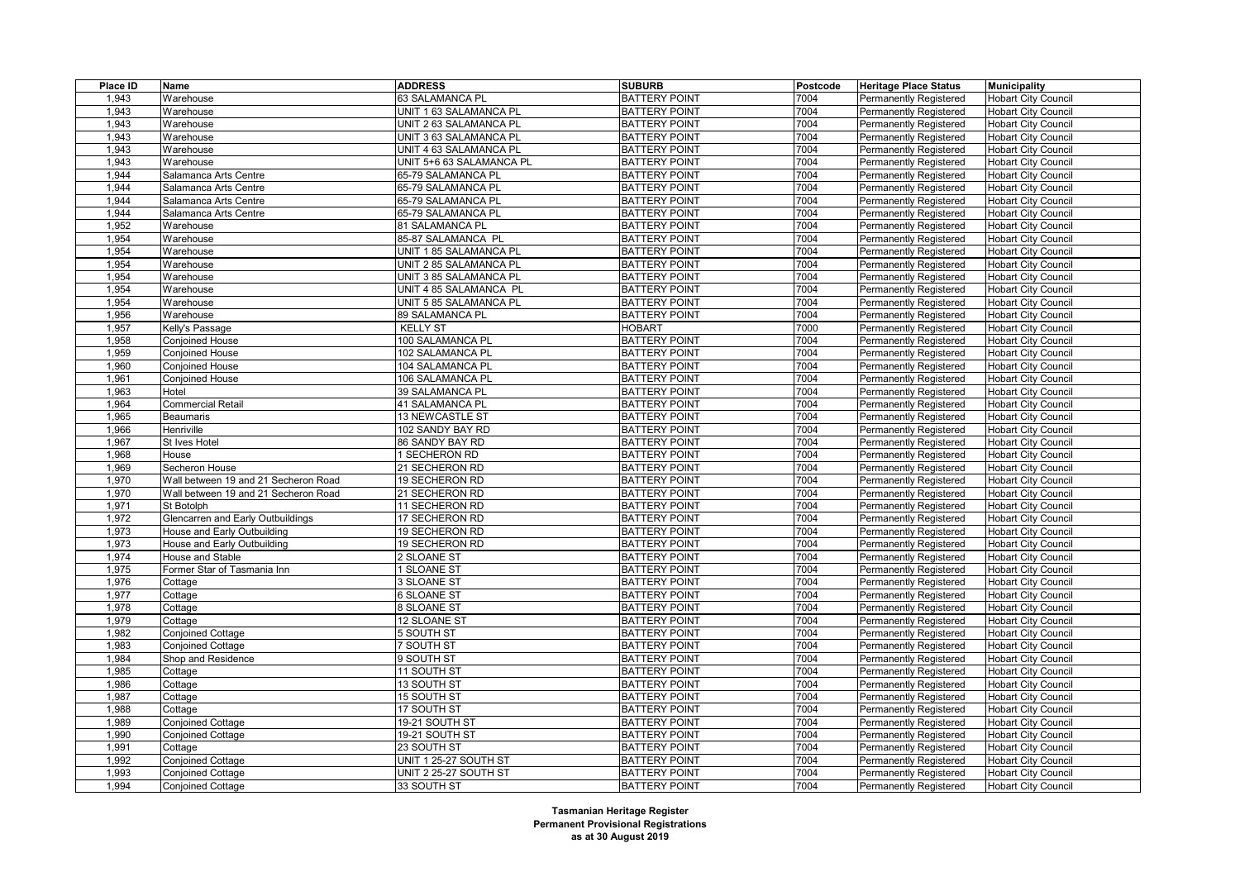| Place ID | Name                                 | <b>ADDRESS</b>           | <b>SUBURB</b>        | Postcode | <b>Heritage Place Status</b>  | <b>Municipality</b>        |
|----------|--------------------------------------|--------------------------|----------------------|----------|-------------------------------|----------------------------|
| 1,943    | Warehouse                            | 63 SALAMANCA PL          | <b>BATTERY POINT</b> | 7004     | Permanently Registered        | <b>Hobart City Council</b> |
| 1,943    | Warehouse                            | UNIT 1 63 SALAMANCA PL   | <b>BATTERY POINT</b> | 7004     | Permanently Registered        | <b>Hobart City Council</b> |
| 1,943    | Warehouse                            | UNIT 2 63 SALAMANCA PL   | <b>BATTERY POINT</b> | 7004     | Permanently Registered        | <b>Hobart City Council</b> |
| 1,943    | Warehouse                            | UNIT 3 63 SALAMANCA PL   | <b>BATTERY POINT</b> | 7004     | <b>Permanently Registered</b> | <b>Hobart City Council</b> |
| 1,943    | Warehouse                            | UNIT 4 63 SALAMANCA PL   | <b>BATTERY POINT</b> | 7004     | Permanently Registered        | <b>Hobart City Council</b> |
| 1,943    | Warehouse                            | UNIT 5+6 63 SALAMANCA PL | <b>BATTERY POINT</b> | 7004     | Permanently Registered        | <b>Hobart City Council</b> |
| 1,944    | Salamanca Arts Centre                | 65-79 SALAMANCA PL       | <b>BATTERY POINT</b> | 7004     | Permanently Registered        | <b>Hobart City Council</b> |
| 1,944    | Salamanca Arts Centre                | 65-79 SALAMANCA PL       | <b>BATTERY POINT</b> | 7004     | Permanently Registered        | <b>Hobart City Council</b> |
| 1,944    | Salamanca Arts Centre                | 65-79 SALAMANCA PL       | <b>BATTERY POINT</b> | 7004     | Permanently Registered        | <b>Hobart City Council</b> |
| 1,944    | Salamanca Arts Centre                | 65-79 SALAMANCA PL       | <b>BATTERY POINT</b> | 7004     | Permanently Registered        | <b>Hobart City Council</b> |
| 1,952    | Warehouse                            | 81 SALAMANCA PL          | <b>BATTERY POINT</b> | 7004     | <b>Permanently Registered</b> | <b>Hobart City Council</b> |
| 1,954    | Warehouse                            | 85-87 SALAMANCA PL       | <b>BATTERY POINT</b> | 7004     | Permanently Registered        | <b>Hobart City Council</b> |
| 1,954    | Warehouse                            | UNIT 1 85 SALAMANCA PL   | <b>BATTERY POINT</b> | 7004     | Permanently Registered        | <b>Hobart City Council</b> |
| 1,954    | Warehouse                            | UNIT 2 85 SALAMANCA PL   | <b>BATTERY POINT</b> | 7004     | Permanently Registered        | <b>Hobart City Council</b> |
| 1,954    | Warehouse                            | UNIT 3 85 SALAMANCA PL   | <b>BATTERY POINT</b> | 7004     | Permanently Registered        | <b>Hobart City Council</b> |
| 1,954    | Warehouse                            | UNIT 4 85 SALAMANCA PL   | <b>BATTERY POINT</b> | 7004     | <b>Permanently Registered</b> | <b>Hobart City Council</b> |
| 1,954    | Warehouse                            | UNIT 5 85 SALAMANCA PL   | <b>BATTERY POINT</b> | 7004     | Permanently Registered        | <b>Hobart City Council</b> |
| 1,956    | Warehouse                            | 89 SALAMANCA PL          | <b>BATTERY POINT</b> | 7004     | <b>Permanently Registered</b> | <b>Hobart City Council</b> |
| 1,957    | Kelly's Passage                      | <b>KELLY ST</b>          | <b>HOBART</b>        | 7000     | <b>Permanently Registered</b> | <b>Hobart City Council</b> |
| 1,958    | <b>Conjoined House</b>               | 100 SALAMANCA PL         | <b>BATTERY POINT</b> | 7004     | <b>Permanently Registered</b> | <b>Hobart City Council</b> |
| 1,959    | <b>Conjoined House</b>               | 102 SALAMANCA PL         | <b>BATTERY POINT</b> | 7004     | <b>Permanently Registered</b> | <b>Hobart City Council</b> |
| 1,960    | <b>Conjoined House</b>               | 104 SALAMANCA PL         | <b>BATTERY POINT</b> | 7004     | Permanently Registered        | <b>Hobart City Council</b> |
| 1,961    | <b>Conjoined House</b>               | 106 SALAMANCA PL         | <b>BATTERY POINT</b> | 7004     | <b>Permanently Registered</b> | <b>Hobart City Council</b> |
| 1,963    | Hotel                                | 39 SALAMANCA PL          | <b>BATTERY POINT</b> | 7004     | Permanently Registered        | <b>Hobart City Council</b> |
| 1,964    | Commercial Retail                    | 41 SALAMANCA PL          | <b>BATTERY POINT</b> | 7004     | <b>Permanently Registered</b> | <b>Hobart City Council</b> |
| 1,965    | <b>Beaumaris</b>                     | 13 NEWCASTLE ST          | <b>BATTERY POINT</b> | 7004     | Permanently Registered        | <b>Hobart City Council</b> |
| 1,966    | Henriville                           | 102 SANDY BAY RD         | <b>BATTERY POINT</b> | 7004     | <b>Permanently Registered</b> | <b>Hobart City Council</b> |
| 1,967    | St Ives Hotel                        | 86 SANDY BAY RD          | <b>BATTERY POINT</b> | 7004     | <b>Permanently Registered</b> | <b>Hobart City Council</b> |
| 1,968    | House                                | <b>SECHERON RD</b>       | <b>BATTERY POINT</b> | 7004     | Permanently Registered        | <b>Hobart City Council</b> |
| 1,969    | Secheron House                       | 21 SECHERON RD           | <b>BATTERY POINT</b> | 7004     | Permanently Registered        | <b>Hobart City Council</b> |
| 1,970    | Wall between 19 and 21 Secheron Road | 19 SECHERON RD           | <b>BATTERY POINT</b> | 7004     | <b>Permanently Registered</b> | <b>Hobart City Council</b> |
| 1,970    | Wall between 19 and 21 Secheron Road | 21 SECHERON RD           | <b>BATTERY POINT</b> | 7004     | <b>Permanently Registered</b> | <b>Hobart City Council</b> |
| 1,971    | St Botolph                           | 11 SECHERON RD           | <b>BATTERY POINT</b> | 7004     | <b>Permanently Registered</b> | <b>Hobart City Council</b> |
| 1,972    | Glencarren and Early Outbuildings    | 17 SECHERON RD           | <b>BATTERY POINT</b> | 7004     | Permanently Registered        | <b>Hobart City Council</b> |
| 1,973    | House and Early Outbuilding          | 19 SECHERON RD           | <b>BATTERY POINT</b> | 7004     | <b>Permanently Registered</b> | <b>Hobart City Council</b> |
| 1,973    | House and Early Outbuilding          | 19 SECHERON RD           | <b>BATTERY POINT</b> | 7004     | Permanently Registered        | <b>Hobart City Council</b> |
| 1,974    | House and Stable                     | 2 SLOANE ST              | <b>BATTERY POINT</b> | 7004     | Permanently Registered        | <b>Hobart City Council</b> |
| 1,975    | Former Star of Tasmania Inn          | 1 SLOANE ST              | <b>BATTERY POINT</b> | 7004     | <b>Permanently Registered</b> | <b>Hobart City Council</b> |
| 1,976    | Cottage                              | 3 SLOANE ST              | <b>BATTERY POINT</b> | 7004     | Permanently Registered        | <b>Hobart City Council</b> |
| 1,977    | Cottage                              | <b>6 SLOANE ST</b>       | <b>BATTERY POINT</b> | 7004     | <b>Permanently Registered</b> | <b>Hobart City Council</b> |
| 1,978    | Cottage                              | 8 SLOANE ST              | <b>BATTERY POINT</b> | 7004     | <b>Permanently Registered</b> | <b>Hobart City Council</b> |
| 1,979    | Cottage                              | 12 SLOANE ST             | <b>BATTERY POINT</b> | 7004     | <b>Permanently Registered</b> | <b>Hobart City Council</b> |
| 1,982    | Conjoined Cottage                    | 5 SOUTH ST               | <b>BATTERY POINT</b> | 7004     | <b>Permanently Registered</b> | <b>Hobart City Council</b> |
| 1,983    | <b>Conjoined Cottage</b>             | 7 SOUTH ST               | <b>BATTERY POINT</b> | 7004     | <b>Permanently Registered</b> | <b>Hobart City Council</b> |
| 1,984    | Shop and Residence                   | 9 SOUTH ST               | <b>BATTERY POINT</b> | 7004     | <b>Permanently Registered</b> | <b>Hobart City Council</b> |
| 1,985    | Cottage                              | 11 SOUTH ST              | <b>BATTERY POINT</b> | 7004     | <b>Permanently Registered</b> | <b>Hobart City Council</b> |
| 1,986    | Cottage                              | 13 SOUTH ST              | <b>BATTERY POINT</b> | 7004     | <b>Permanently Registered</b> | <b>Hobart City Council</b> |
| 1,987    | Cottage                              | 15 SOUTH ST              | <b>BATTERY POINT</b> | 7004     | Permanently Registered        | <b>Hobart City Council</b> |
| 1,988    | Cottage                              | 17 SOUTH ST              | <b>BATTERY POINT</b> | 7004     | <b>Permanently Registered</b> | <b>Hobart City Council</b> |
| 1,989    | Conjoined Cottage                    | 19-21 SOUTH ST           | <b>BATTERY POINT</b> | 7004     | Permanently Registered        | <b>Hobart City Council</b> |
| 1,990    | <b>Conjoined Cottage</b>             | 19-21 SOUTH ST           | <b>BATTERY POINT</b> | 7004     | <b>Permanently Registered</b> | <b>Hobart City Council</b> |
| 1,991    | Cottage                              | 23 SOUTH ST              | <b>BATTERY POINT</b> | 7004     | <b>Permanently Registered</b> | <b>Hobart City Council</b> |
| 1,992    | Conjoined Cottage                    | UNIT 1 25-27 SOUTH ST    | <b>BATTERY POINT</b> | 7004     | <b>Permanently Registered</b> | <b>Hobart City Council</b> |
| 1,993    | <b>Conjoined Cottage</b>             | UNIT 2 25-27 SOUTH ST    | <b>BATTERY POINT</b> | 7004     | <b>Permanently Registered</b> | <b>Hobart City Council</b> |
| 1,994    | <b>Conjoined Cottage</b>             | 33 SOUTH ST              | <b>BATTERY POINT</b> | 7004     | Permanently Registered        | <b>Hobart City Council</b> |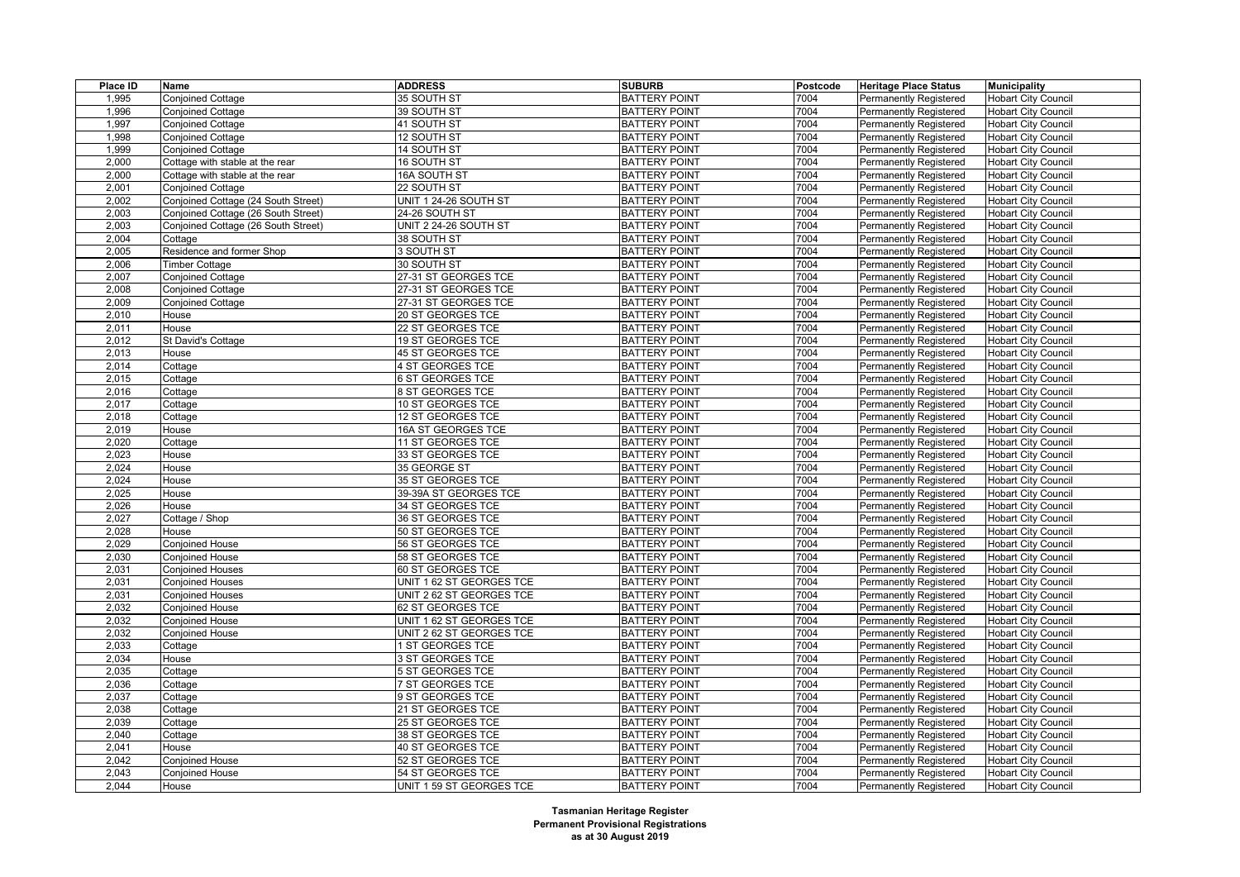| Place ID | Name                                | <b>ADDRESS</b>           | <b>SUBURB</b>        | Postcode | <b>Heritage Place Status</b>  | <b>Municipality</b>        |
|----------|-------------------------------------|--------------------------|----------------------|----------|-------------------------------|----------------------------|
| 1,995    | <b>Conjoined Cottage</b>            | 35 SOUTH ST              | <b>BATTERY POINT</b> | 7004     | <b>Permanently Registered</b> | <b>Hobart City Council</b> |
| 1,996    | <b>Conjoined Cottage</b>            | 39 SOUTH ST              | <b>BATTERY POINT</b> | 7004     | <b>Permanently Registered</b> | <b>Hobart City Council</b> |
| 1,997    | <b>Conjoined Cottage</b>            | 41 SOUTH ST              | <b>BATTERY POINT</b> | 7004     | <b>Permanently Registered</b> | <b>Hobart City Council</b> |
| 1,998    | <b>Conjoined Cottage</b>            | 12 SOUTH ST              | <b>BATTERY POINT</b> | 7004     | <b>Permanently Registered</b> | <b>Hobart City Council</b> |
| 1,999    | <b>Conjoined Cottage</b>            | <b>14 SOUTH ST</b>       | <b>BATTERY POINT</b> | 7004     | <b>Permanently Registered</b> | <b>Hobart City Council</b> |
| 2,000    | Cottage with stable at the rear     | 16 SOUTH ST              | <b>BATTERY POINT</b> | 7004     | Permanently Registered        | <b>Hobart City Council</b> |
| 2,000    | Cottage with stable at the rear     | 16A SOUTH ST             | <b>BATTERY POINT</b> | 7004     | Permanently Registered        | <b>Hobart City Council</b> |
| 2,001    | <b>Conjoined Cottage</b>            | 22 SOUTH ST              | <b>BATTERY POINT</b> | 7004     | <b>Permanently Registered</b> | <b>Hobart City Council</b> |
| 2,002    | Conjoined Cottage (24 South Street) | UNIT 1 24-26 SOUTH ST    | <b>BATTERY POINT</b> | 7004     | <b>Permanently Registered</b> | Hobart City Council        |
| 2,003    | Conjoined Cottage (26 South Street) | 24-26 SOUTH ST           | <b>BATTERY POINT</b> | 7004     | <b>Permanently Registered</b> | <b>Hobart City Council</b> |
| 2,003    | Conjoined Cottage (26 South Street) | UNIT 2 24-26 SOUTH ST    | <b>BATTERY POINT</b> | 7004     | Permanently Registered        | <b>Hobart City Council</b> |
| 2,004    | Cottage                             | 38 SOUTH ST              | <b>BATTERY POINT</b> | 7004     | <b>Permanently Registered</b> | <b>Hobart City Council</b> |
| 2,005    | Residence and former Shop           | 3 SOUTH ST               | <b>BATTERY POINT</b> | 7004     | <b>Permanently Registered</b> | <b>Hobart City Council</b> |
| 2.006    | <b>Timber Cottage</b>               | 30 SOUTH ST              | <b>BATTERY POINT</b> | 7004     | Permanently Registered        | <b>Hobart City Council</b> |
| 2,007    | <b>Conjoined Cottage</b>            | 27-31 ST GEORGES TCE     | <b>BATTERY POINT</b> | 7004     | <b>Permanently Registered</b> | <b>Hobart City Council</b> |
| 2,008    | <b>Conjoined Cottage</b>            | 27-31 ST GEORGES TCE     | <b>BATTERY POINT</b> | 7004     | <b>Permanently Registered</b> | <b>Hobart City Council</b> |
| 2,009    | Conjoined Cottage                   | 27-31 ST GEORGES TCE     | <b>BATTERY POINT</b> | 7004     | <b>Permanently Registered</b> | <b>Hobart City Council</b> |
| 2,010    | House                               | 20 ST GEORGES TCE        | <b>BATTERY POINT</b> | 7004     | <b>Permanently Registered</b> | <b>Hobart City Council</b> |
| 2.011    | House                               | 22 ST GEORGES TCE        | <b>BATTERY POINT</b> | 7004     | Permanently Registered        | <b>Hobart City Council</b> |
| 2,012    | St David's Cottage                  | 19 ST GEORGES TCE        | <b>BATTERY POINT</b> | 7004     | Permanently Registered        | <b>Hobart City Council</b> |
| 2,013    | House                               | 45 ST GEORGES TCE        | <b>BATTERY POINT</b> | 7004     | <b>Permanently Registered</b> | <b>Hobart City Council</b> |
| 2,014    | Cottage                             | 4 ST GEORGES TCE         | <b>BATTERY POINT</b> | 7004     | Permanently Registered        | <b>Hobart City Council</b> |
| 2,015    | Cottage                             | 6 ST GEORGES TCE         | <b>BATTERY POINT</b> | 7004     | Permanently Registered        | <b>Hobart City Council</b> |
| 2,016    | Cottage                             | 8 ST GEORGES TCE         | <b>BATTERY POINT</b> | 7004     | <b>Permanently Registered</b> | <b>Hobart City Council</b> |
| 2,017    | Cottage                             | 10 ST GEORGES TCE        | <b>BATTERY POINT</b> | 7004     | Permanently Registered        | <b>Hobart City Council</b> |
| 2,018    | Cottage                             | 12 ST GEORGES TCE        | <b>BATTERY POINT</b> | 7004     | <b>Permanently Registered</b> | <b>Hobart City Council</b> |
| 2,019    | House                               | 16A ST GEORGES TCE       | <b>BATTERY POINT</b> | 7004     | <b>Permanently Registered</b> | <b>Hobart City Council</b> |
| 2,020    | Cottage                             | 11 ST GEORGES TCE        | <b>BATTERY POINT</b> | 7004     | Permanently Registered        | <b>Hobart City Council</b> |
| 2,023    | House                               | 33 ST GEORGES TCE        | <b>BATTERY POINT</b> | 7004     | Permanently Registered        | Hobart City Council        |
| 2,024    | House                               | 35 GEORGE ST             | <b>BATTERY POINT</b> | 7004     | <b>Permanently Registered</b> | <b>Hobart City Council</b> |
| 2,024    | House                               | 35 ST GEORGES TCE        | <b>BATTERY POINT</b> | 7004     | Permanently Registered        | <b>Hobart City Council</b> |
| 2,025    | House                               | 39-39A ST GEORGES TCE    | <b>BATTERY POINT</b> | 7004     | <b>Permanently Registered</b> | <b>Hobart City Council</b> |
| 2,026    | House                               | 34 ST GEORGES TCE        | <b>BATTERY POINT</b> | 7004     | <b>Permanently Registered</b> | <b>Hobart City Council</b> |
| 2,027    | Cottage / Shop                      | 36 ST GEORGES TCE        | <b>BATTERY POINT</b> | 7004     | Permanently Registered        | <b>Hobart City Council</b> |
| 2,028    | House                               | 50 ST GEORGES TCE        | <b>BATTERY POINT</b> | 7004     | Permanently Registered        | <b>Hobart City Council</b> |
| 2,029    | Conjoined House                     | 56 ST GEORGES TCE        | <b>BATTERY POINT</b> | 7004     | <b>Permanently Registered</b> | <b>Hobart City Council</b> |
| 2,030    | Conjoined House                     | 58 ST GEORGES TCE        | <b>BATTERY POINT</b> | 7004     | <b>Permanently Registered</b> | <b>Hobart City Council</b> |
| 2,031    | <b>Conjoined Houses</b>             | 60 ST GEORGES TCE        | <b>BATTERY POINT</b> | 7004     | <b>Permanently Registered</b> | <b>Hobart City Council</b> |
| 2,031    | <b>Conjoined Houses</b>             | UNIT 1 62 ST GEORGES TCE | <b>BATTERY POINT</b> | 7004     | Permanently Registered        | <b>Hobart City Council</b> |
| 2,031    | <b>Conjoined Houses</b>             | UNIT 2 62 ST GEORGES TCE | <b>BATTERY POINT</b> | 7004     | <b>Permanently Registered</b> | <b>Hobart City Council</b> |
| 2,032    | Conjoined House                     | 62 ST GEORGES TCE        | <b>BATTERY POINT</b> | 7004     | <b>Permanently Registered</b> | <b>Hobart City Council</b> |
| 2,032    | Conjoined House                     | UNIT 1 62 ST GEORGES TCE | <b>BATTERY POINT</b> | 7004     | Permanently Registered        | Hobart City Council        |
| 2,032    | Conjoined House                     | UNIT 2 62 ST GEORGES TCE | <b>BATTERY POINT</b> | 7004     | <b>Permanently Registered</b> | <b>Hobart City Council</b> |
| 2,033    | Cottage                             | <b>I ST GEORGES TCE</b>  | <b>BATTERY POINT</b> | 7004     | <b>Permanently Registered</b> | <b>Hobart City Council</b> |
| 2,034    | House                               | 3 ST GEORGES TCE         | <b>BATTERY POINT</b> | 7004     | Permanently Registered        | <b>Hobart City Council</b> |
| 2,035    | Cottage                             | 5 ST GEORGES TCE         | <b>BATTERY POINT</b> | 7004     | <b>Permanently Registered</b> | <b>Hobart City Council</b> |
| 2,036    | Cottage                             | <b>7 ST GEORGES TCE</b>  | <b>BATTERY POINT</b> | 7004     | <b>Permanently Registered</b> | <b>Hobart City Council</b> |
| 2,037    | Cottage                             | 9 ST GEORGES TCE         | <b>BATTERY POINT</b> | 7004     | Permanently Registered        | <b>Hobart City Council</b> |
| 2,038    | Cottage                             | 21 ST GEORGES TCE        | <b>BATTERY POINT</b> | 7004     | <b>Permanently Registered</b> | <b>Hobart City Council</b> |
| 2,039    | Cottage                             | 25 ST GEORGES TCE        | <b>BATTERY POINT</b> | 7004     | Permanently Registered        | <b>Hobart City Council</b> |
| 2,040    | Cottage                             | 38 ST GEORGES TCE        | <b>BATTERY POINT</b> | 7004     | Permanently Registered        | <b>Hobart City Council</b> |
| 2.041    | House                               | 40 ST GEORGES TCE        | <b>BATTERY POINT</b> | 7004     | <b>Permanently Registered</b> | <b>Hobart City Council</b> |
| 2,042    | Conjoined House                     | 52 ST GEORGES TCE        | <b>BATTERY POINT</b> | 7004     | <b>Permanently Registered</b> | <b>Hobart City Council</b> |
| 2,043    | Conjoined House                     | 54 ST GEORGES TCE        | <b>BATTERY POINT</b> | 7004     | Permanently Registered        | <b>Hobart City Council</b> |
| 2.044    | House                               | UNIT 1 59 ST GEORGES TCE | <b>BATTERY POINT</b> | 7004     | <b>Permanently Registered</b> | <b>Hobart City Council</b> |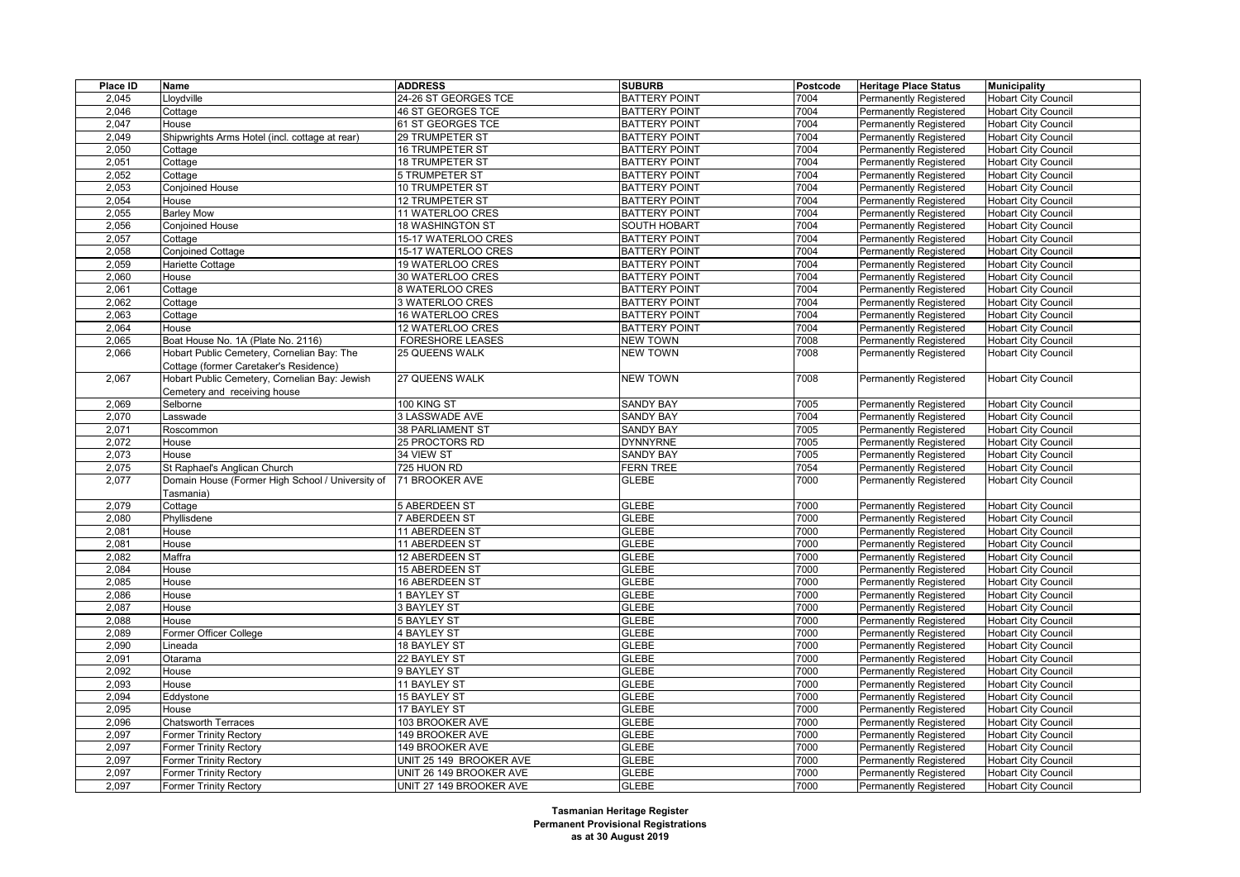| Place ID | Name                                             | <b>ADDRESS</b>           | <b>SUBURB</b>        | Postcode | <b>Heritage Place Status</b>  | <b>Municipality</b>        |
|----------|--------------------------------------------------|--------------------------|----------------------|----------|-------------------------------|----------------------------|
| 2,045    | Lloydville                                       | 24-26 ST GEORGES TCE     | <b>BATTERY POINT</b> | 7004     | <b>Permanently Registered</b> | <b>Hobart City Council</b> |
| 2.046    | Cottage                                          | <b>46 ST GEORGES TCE</b> | <b>BATTERY POINT</b> | 7004     | Permanently Registered        | <b>Hobart City Council</b> |
| 2,047    | House                                            | 61 ST GEORGES TCE        | <b>BATTERY POINT</b> | 7004     | <b>Permanently Registered</b> | <b>Hobart City Council</b> |
| 2,049    | Shipwrights Arms Hotel (incl. cottage at rear)   | 29 TRUMPETER ST          | <b>BATTERY POINT</b> | 7004     | Permanently Registered        | <b>Hobart City Council</b> |
| 2.050    | Cottage                                          | <b>16 TRUMPETER ST</b>   | <b>BATTERY POINT</b> | 7004     | Permanently Registered        | <b>Hobart City Council</b> |
| 2,051    | Cottage                                          | 18 TRUMPETER ST          | <b>BATTERY POINT</b> | 7004     | <b>Permanently Registered</b> | <b>Hobart City Council</b> |
| 2,052    | Cottage                                          | 5 TRUMPETER ST           | <b>BATTERY POINT</b> | 7004     | Permanently Registered        | <b>Hobart City Council</b> |
| 2,053    | Conjoined House                                  | 10 TRUMPETER ST          | <b>BATTERY POINT</b> | 7004     | <b>Permanently Registered</b> | <b>Hobart City Council</b> |
| 2,054    | House                                            | 12 TRUMPETER ST          | <b>BATTERY POINT</b> | 7004     | <b>Permanently Registered</b> | <b>Hobart City Council</b> |
| 2,055    | <b>Barley Mow</b>                                | 11 WATERLOO CRES         | <b>BATTERY POINT</b> | 7004     | Permanently Registered        | <b>Hobart City Council</b> |
| 2.056    | Conjoined House                                  | <b>18 WASHINGTON ST</b>  | <b>SOUTH HOBART</b>  | 7004     | Permanently Registered        | <b>Hobart City Council</b> |
| 2,057    | Cottage                                          | 15-17 WATERLOO CRES      | <b>BATTERY POINT</b> | 7004     | <b>Permanently Registered</b> | <b>Hobart City Council</b> |
| 2,058    | Conjoined Cottage                                | 15-17 WATERLOO CRES      | <b>BATTERY POINT</b> | 7004     | <b>Permanently Registered</b> | <b>Hobart City Council</b> |
| 2,059    | Hariette Cottage                                 | <b>19 WATERLOO CRES</b>  | <b>BATTERY POINT</b> | 7004     | <b>Permanently Registered</b> | <b>Hobart City Council</b> |
| 2,060    | House                                            | 30 WATERLOO CRES         | <b>BATTERY POINT</b> | 7004     | <b>Permanently Registered</b> | <b>Hobart City Council</b> |
| 2,061    | Cottage                                          | 8 WATERLOO CRES          | <b>BATTERY POINT</b> | 7004     | Permanently Registered        | <b>Hobart City Council</b> |
| 2.062    | Cottage                                          | 3 WATERLOO CRES          | <b>BATTERY POINT</b> | 7004     | Permanently Registered        | <b>Hobart City Council</b> |
| 2,063    | Cottage                                          | 16 WATERLOO CRES         | <b>BATTERY POINT</b> | 7004     | <b>Permanently Registered</b> | <b>Hobart City Council</b> |
| 2,064    | House                                            | 12 WATERLOO CRES         | <b>BATTERY POINT</b> | 7004     | <b>Permanently Registered</b> | <b>Hobart City Council</b> |
| 2,065    | Boat House No. 1A (Plate No. 2116)               | FORESHORE LEASES         | <b>NEW TOWN</b>      | 7008     | Permanently Registered        | <b>Hobart City Council</b> |
| 2,066    | Hobart Public Cemetery, Cornelian Bay: The       | 25 QUEENS WALK           | <b>NEW TOWN</b>      | 7008     | Permanently Registered        | <b>Hobart City Council</b> |
|          | Cottage (former Caretaker's Residence)           |                          |                      |          |                               |                            |
| 2,067    | Hobart Public Cemetery, Cornelian Bay: Jewish    | 27 QUEENS WALK           | <b>NEW TOWN</b>      | 7008     | Permanently Registered        | <b>Hobart City Council</b> |
|          | Cemetery and receiving house                     |                          |                      |          |                               |                            |
| 2,069    | Selborne                                         | 100 KING ST              | <b>SANDY BAY</b>     | 7005     | <b>Permanently Registered</b> | <b>Hobart City Council</b> |
| 2,070    | _asswade                                         | <b>3 LASSWADE AVE</b>    | <b>SANDY BAY</b>     | 7004     | Permanently Registered        | <b>Hobart City Council</b> |
| 2,071    | Roscommon                                        | <b>38 PARLIAMENT ST</b>  | <b>SANDY BAY</b>     | 7005     | <b>Permanently Registered</b> | <b>Hobart City Council</b> |
| 2,072    | House                                            | 25 PROCTORS RD           | <b>DYNNYRNE</b>      | 7005     | <b>Permanently Registered</b> | <b>Hobart City Council</b> |
| 2,073    | House                                            | 34 VIEW ST               | <b>SANDY BAY</b>     | 7005     | Permanently Registered        | <b>Hobart City Council</b> |
| 2,075    | St Raphael's Anglican Church                     | 725 HUON RD              | <b>FERN TREE</b>     | 7054     | <b>Permanently Registered</b> | <b>Hobart City Council</b> |
| 2,077    | Domain House (Former High School / University of | 71 BROOKER AVE           | GLEBE                | 7000     | Permanently Registered        | <b>Hobart City Council</b> |
|          | Tasmania)                                        |                          |                      |          |                               |                            |
| 2,079    | Cottage                                          | 5 ABERDEEN ST            | <b>GLEBE</b>         | 7000     | <b>Permanently Registered</b> | <b>Hobart City Council</b> |
| 2,080    | Phyllisdene                                      | <b>7 ABERDEEN ST</b>     | <b>GLEBE</b>         | 7000     | Permanently Registered        | <b>Hobart City Council</b> |
| 2,081    | House                                            | 11 ABERDEEN ST           | <b>GLEBE</b>         | 7000     | Permanently Registered        | <b>Hobart City Council</b> |
| 2,081    | House                                            | 11 ABERDEEN ST           | <b>GLEBE</b>         | 7000     | <b>Permanently Registered</b> | <b>Hobart City Council</b> |
| 2,082    | Maffra                                           | 12 ABERDEEN ST           | <b>GLEBE</b>         | 7000     | Permanently Registered        | <b>Hobart City Council</b> |
| 2,084    | House                                            | 15 ABERDEEN ST           | <b>GLEBE</b>         | 7000     | Permanently Registered        | <b>Hobart City Council</b> |
| 2,085    | House                                            | 16 ABERDEEN ST           | <b>GLEBE</b>         | 7000     | <b>Permanently Registered</b> | <b>Hobart City Council</b> |
| 2,086    | House                                            | <b>BAYLEY ST</b>         | <b>GLEBE</b>         | 7000     | Permanently Registered        | <b>Hobart City Council</b> |
| 2,087    | House                                            | <b>3 BAYLEY ST</b>       | <b>GLEBE</b>         | 7000     | Permanently Registered        | <b>Hobart City Council</b> |
| 2,088    | House                                            | 5 BAYLEY ST              | <b>GLEBE</b>         | 7000     | <b>Permanently Registered</b> | <b>Hobart City Council</b> |
| 2,089    | Former Officer College                           | <b>4 BAYLEY ST</b>       | <b>GLEBE</b>         | 7000     | Permanently Registered        | <b>Hobart City Council</b> |
| 2,090    | .ineada                                          | 18 BAYLEY ST             | <b>GLEBE</b>         | 7000     | Permanently Registered        | <b>Hobart City Council</b> |
| 2,091    | Otarama                                          | 22 BAYLEY ST             | <b>GLEBE</b>         | 7000     | Permanently Registered        | <b>Hobart City Council</b> |
| 2,092    | House                                            | 9 BAYLEY ST              | <b>GLEBE</b>         | 7000     | Permanently Registered        | <b>Hobart City Council</b> |
| 2,093    | House                                            | 11 BAYLEY ST             | <b>GLEBE</b>         | 7000     | Permanently Registered        | <b>Hobart City Council</b> |
| 2,094    | Eddystone                                        | <b>15 BAYLEY ST</b>      | <b>GLEBE</b>         | 7000     | Permanently Registered        | <b>Hobart City Council</b> |
| 2,095    | House                                            | 17 BAYLEY ST             | <b>GLEBE</b>         | 7000     | Permanently Registered        | <b>Hobart City Council</b> |
| 2,096    | <b>Chatsworth Terraces</b>                       | 103 BROOKER AVE          | <b>GLEBE</b>         | 7000     | Permanently Registered        | <b>Hobart City Council</b> |
| 2,097    | <b>Former Trinity Rectory</b>                    | 149 BROOKER AVE          | <b>GLEBE</b>         | 7000     | <b>Permanently Registered</b> | <b>Hobart City Council</b> |
| 2,097    | <b>Former Trinity Rectory</b>                    | 149 BROOKER AVE          | <b>GLEBE</b>         | 7000     | Permanently Registered        | <b>Hobart City Council</b> |
| 2,097    | Former Trinity Rectory                           | UNIT 25 149 BROOKER AVE  | <b>GLEBE</b>         | 7000     | Permanently Registered        | <b>Hobart City Council</b> |
| 2,097    | <b>Former Trinity Rectory</b>                    | UNIT 26 149 BROOKER AVE  | <b>GLEBE</b>         | 7000     | <b>Permanently Registered</b> | <b>Hobart City Council</b> |
| 2,097    | <b>Former Trinity Rectory</b>                    | UNIT 27 149 BROOKER AVE  | <b>GLEBE</b>         | 7000     | <b>Permanently Registered</b> | <b>Hobart City Council</b> |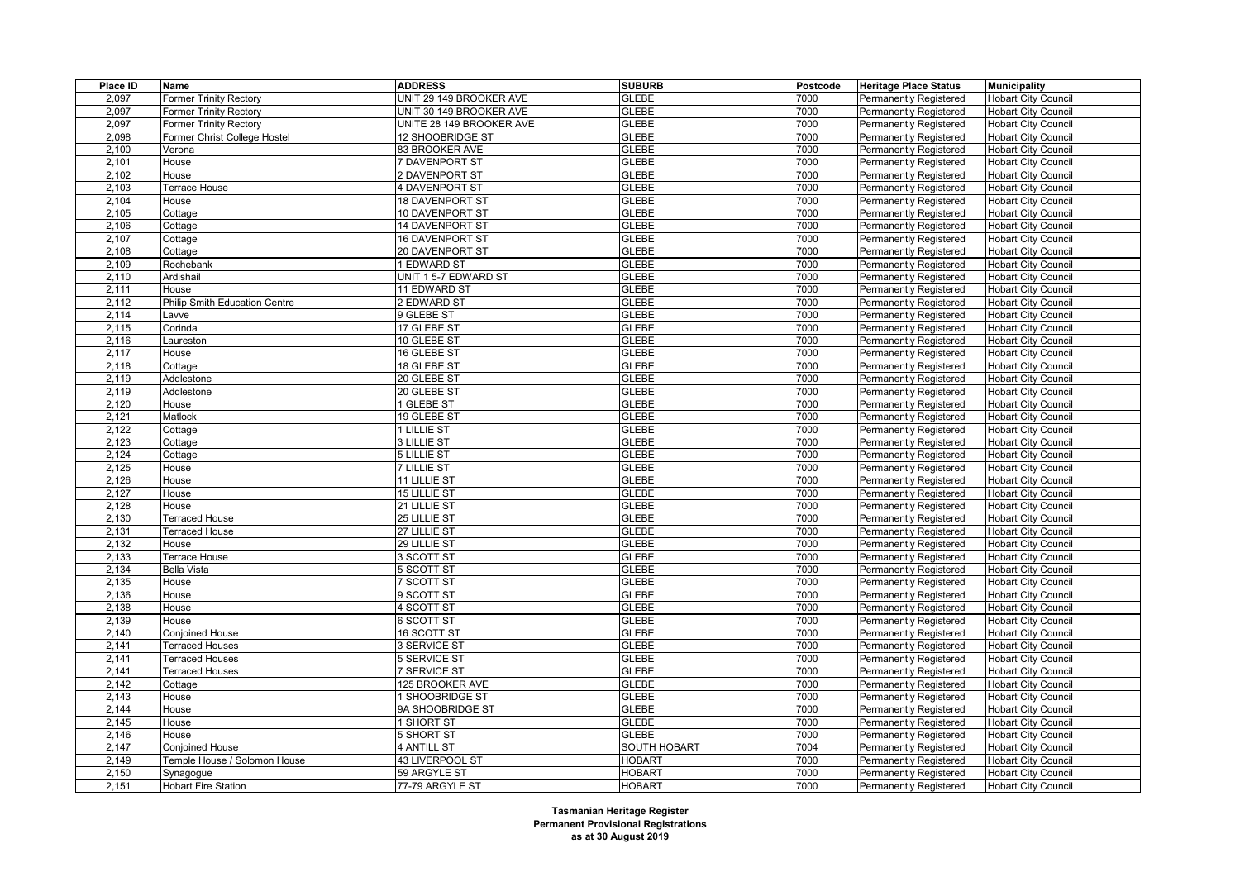| Place ID       | Name                          | <b>ADDRESS</b>                         | <b>SUBURB</b>                  | Postcode     | <b>Heritage Place Status</b>                                   | <b>Municipality</b>                                      |
|----------------|-------------------------------|----------------------------------------|--------------------------------|--------------|----------------------------------------------------------------|----------------------------------------------------------|
| 2,097          | <b>Former Trinity Rectory</b> | UNIT 29 149 BROOKER AVE                | <b>GLEBE</b>                   | 7000         | <b>Permanently Registered</b>                                  | <b>Hobart City Council</b>                               |
| 2.097          | <b>Former Trinity Rectory</b> | UNIT 30 149 BROOKER AVE                | <b>GLEBE</b>                   | 7000         | <b>Permanently Registered</b>                                  | <b>Hobart City Council</b>                               |
| 2,097          | <b>Former Trinity Rectory</b> | UNITE 28 149 BROOKER AVE               | <b>GLEBE</b>                   | 7000         | <b>Permanently Registered</b>                                  | <b>Hobart City Council</b>                               |
| 2,098          | Former Christ College Hostel  | 12 SHOOBRIDGE ST                       | <b>GLEBE</b>                   | 7000         | Permanently Registered                                         | <b>Hobart City Council</b>                               |
| 2,100          | Verona                        | 83 BROOKER AVE                         | <b>GLEBE</b>                   | 7000         | Permanently Registered                                         | <b>Hobart City Council</b>                               |
| 2,101          | House                         | 7 DAVENPORT ST                         | <b>GLEBE</b>                   | 7000         | <b>Permanently Registered</b>                                  | <b>Hobart City Council</b>                               |
| 2,102          | House                         | 2 DAVENPORT ST                         | <b>GLEBE</b>                   | 7000         | Permanently Registered                                         | <b>Hobart City Council</b>                               |
| 2,103          | Terrace House                 | 4 DAVENPORT ST                         | <b>GLEBE</b>                   | 7000         | <b>Permanently Registered</b>                                  | <b>Hobart City Council</b>                               |
| 2,104          | House                         | <b>18 DAVENPORT ST</b>                 | <b>GLEBE</b>                   | 7000         | Permanently Registered                                         | <b>Hobart City Council</b>                               |
| 2,105          | Cottage                       | 10 DAVENPORT ST                        | <b>GLEBE</b>                   | 7000         | Permanently Registered                                         | <b>Hobart City Council</b>                               |
| 2,106          | Cottage                       | <b>14 DAVENPORT ST</b>                 | <b>GLEBE</b>                   | 7000         | <b>Permanently Registered</b>                                  | <b>Hobart City Council</b>                               |
| 2,107          | Cottage                       | 16 DAVENPORT ST                        | <b>GLEBE</b>                   | 7000         | <b>Permanently Registered</b>                                  | <b>Hobart City Council</b>                               |
| 2,108          | Cottage                       | 20 DAVENPORT ST                        | <b>GLEBE</b>                   | 7000         | <b>Permanently Registered</b>                                  | <b>Hobart City Council</b>                               |
| 2,109          | Rochebank                     | <b>EDWARD ST</b>                       | <b>GLEBE</b>                   | 7000         | Permanently Registered                                         | <b>Hobart City Council</b>                               |
| 2,110          | Ardishail                     | UNIT 1 5-7 EDWARD ST                   | <b>GLEBE</b>                   | 7000         | <b>Permanently Registered</b>                                  | <b>Hobart City Council</b>                               |
| 2,111          | House                         | 11 EDWARD ST                           | <b>GLEBE</b>                   | 7000         | <b>Permanently Registered</b>                                  | <b>Hobart City Council</b>                               |
| 2,112          | Philip Smith Education Centre | 2 EDWARD ST                            | <b>GLEBE</b>                   | 7000         | Permanently Registered                                         | <b>Hobart City Council</b>                               |
| 2,114          | Lavve                         | 9 GLEBE ST                             | <b>GLEBE</b>                   | 7000         | <b>Permanently Registered</b>                                  | <b>Hobart City Council</b>                               |
| 2,115          | Corinda                       | 17 GLEBE ST                            | <b>GLEBE</b>                   | 7000         | Permanently Registered                                         | <b>Hobart City Council</b>                               |
| 2,116          | Laureston                     | 10 GLEBE ST                            | <b>GLEBE</b>                   | 7000         | <b>Permanently Registered</b>                                  | <b>Hobart City Council</b>                               |
| 2,117          | House                         | 16 GLEBE ST                            | <b>GLEBE</b>                   | 7000         | <b>Permanently Registered</b>                                  | <b>Hobart City Council</b>                               |
| 2,118          | Cottage                       | 18 GLEBE ST                            | <b>GLEBE</b>                   | 7000         | Permanently Registered                                         | <b>Hobart City Council</b>                               |
| 2,119          | Addlestone                    | 20 GLEBE ST                            | <b>GLEBE</b>                   | 7000         | <b>Permanently Registered</b>                                  | <b>Hobart City Council</b>                               |
| 2,119          | Addlestone                    | 20 GLEBE ST                            | <b>GLEBE</b>                   | 7000         | <b>Permanently Registered</b>                                  | <b>Hobart City Council</b>                               |
| 2,120          | House                         | 1 GLEBE ST                             | <b>GLEBE</b>                   | 7000         | Permanently Registered                                         | <b>Hobart City Council</b>                               |
| 2,121          | Matlock                       | 19 GLEBE ST                            | <b>GLEBE</b>                   | 7000         | Permanently Registered                                         | <b>Hobart City Council</b>                               |
| 2,122          | Cottage                       | 1 LILLIE ST                            | <b>GLEBE</b>                   | 7000         | <b>Permanently Registered</b>                                  | <b>Hobart City Council</b>                               |
| 2,123          | Cottage                       | 3 LILLIE ST                            | <b>GLEBE</b>                   | 7000         | Permanently Registered                                         | <b>Hobart City Council</b>                               |
| 2,124          | Cottage                       | 5 LILLIE ST                            | <b>GLEBE</b>                   | 7000         | Permanently Registered                                         | <b>Hobart City Council</b>                               |
| 2,125          | House                         | <b>7 LILLIE ST</b>                     | <b>GLEBE</b>                   | 7000         | <b>Permanently Registered</b>                                  | <b>Hobart City Council</b>                               |
| 2,126          | House                         | 11 LILLIE ST                           | <b>GLEBE</b>                   | 7000         | <b>Permanently Registered</b>                                  | <b>Hobart City Council</b>                               |
| 2,127          | House                         | <b>15 LILLIE ST</b>                    | <b>GLEBE</b>                   | 7000         | Permanently Registered                                         | <b>Hobart City Council</b>                               |
| 2,128          | House                         | 21 LILLIE ST                           | <b>GLEBE</b>                   | 7000         | <b>Permanently Registered</b>                                  | <b>Hobart City Council</b>                               |
| 2,130          | <b>Terraced House</b>         | 25 LILLIE ST                           | <b>GLEBE</b>                   | 7000         | Permanently Registered                                         | <b>Hobart City Council</b>                               |
| 2,131          | <b>Terraced House</b>         | 27 LILLIE ST                           | <b>GLEBE</b>                   | 7000         | Permanently Registered                                         | <b>Hobart City Council</b>                               |
| 2,132          | House                         | 29 LILLIE ST                           | <b>GLEBE</b>                   | 7000         | <b>Permanently Registered</b>                                  | <b>Hobart City Council</b>                               |
|                |                               |                                        |                                |              |                                                                |                                                          |
| 2,133          | Terrace House                 | 3 SCOTT ST                             | <b>GLEBE</b>                   | 7000         | <b>Permanently Registered</b>                                  | <b>Hobart City Council</b>                               |
| 2,134          | <b>Bella Vista</b>            | 5 SCOTT ST<br><b>7 SCOTT ST</b>        | <b>GLEBE</b><br><b>GLEBE</b>   | 7000<br>7000 | Permanently Registered                                         | <b>Hobart City Council</b>                               |
| 2,135          | House                         |                                        | <b>GLEBE</b>                   | 7000         | <b>Permanently Registered</b>                                  | <b>Hobart City Council</b>                               |
| 2,136<br>2,138 | House<br>House                | 9 SCOTT ST<br>4 SCOTT ST               | <b>GLEBE</b>                   | 7000         | <b>Permanently Registered</b><br><b>Permanently Registered</b> | <b>Hobart City Council</b>                               |
|                | House                         | <b>6 SCOTT ST</b>                      | <b>GLEBE</b>                   | 7000         |                                                                | <b>Hobart City Council</b>                               |
| 2,139<br>2,140 | Conjoined House               | 16 SCOTT ST                            | <b>GLEBE</b>                   | 7000         | <b>Permanently Registered</b><br><b>Permanently Registered</b> | <b>Hobart City Council</b><br><b>Hobart City Council</b> |
| 2,141          | <b>Terraced Houses</b>        | 3 SERVICE ST                           | <b>GLEBE</b>                   | 7000         |                                                                |                                                          |
|                |                               |                                        |                                |              | <b>Permanently Registered</b>                                  | <b>Hobart City Council</b>                               |
| 2,141<br>2.141 | <b>Terraced Houses</b>        | <b>5 SERVICE ST</b>                    | <b>GLEBE</b><br><b>GLEBE</b>   | 7000<br>7000 | Permanently Registered                                         | <b>Hobart City Council</b>                               |
| 2,142          | <b>Terraced Houses</b>        | <b>7 SERVICE ST</b><br>125 BROOKER AVE | <b>GLEBE</b>                   | 7000         | <b>Permanently Registered</b>                                  | <b>Hobart City Council</b>                               |
| 2,143          | Cottage<br>House              | SHOOBRIDGE ST                          | <b>GLEBE</b>                   | 7000         | <b>Permanently Registered</b><br>Permanently Registered        | <b>Hobart City Council</b>                               |
| 2,144          |                               |                                        | <b>GLEBE</b>                   | 7000         |                                                                | <b>Hobart City Council</b>                               |
|                | House                         | 9A SHOOBRIDGE ST                       |                                |              | <b>Permanently Registered</b>                                  | <b>Hobart City Council</b>                               |
| 2,145          | House                         | 1 SHORT ST<br><b>5 SHORT ST</b>        | <b>GLEBE</b><br><b>GLEBE</b>   | 7000         | <b>Permanently Registered</b>                                  | <b>Hobart City Council</b>                               |
| 2,146          | House                         |                                        |                                | 7000         | Permanently Registered                                         | <b>Hobart City Council</b>                               |
| 2,147          | Conjoined House               | 4 ANTILL ST                            | <b>SOUTH HOBART</b>            | 7004         | <b>Permanently Registered</b>                                  | <b>Hobart City Council</b>                               |
| 2,149          | Temple House / Solomon House  | 43 LIVERPOOL ST                        | <b>HOBART</b><br><b>HOBART</b> | 7000         | <b>Permanently Registered</b>                                  | <b>Hobart City Council</b>                               |
| 2,150          | Synagogue                     | 59 ARGYLE ST                           |                                | 7000<br>7000 | Permanently Registered                                         | <b>Hobart City Council</b>                               |
| 2,151          | <b>Hobart Fire Station</b>    | 77-79 ARGYLE ST                        | <b>HOBART</b>                  |              | <b>Permanently Registered</b>                                  | <b>Hobart City Council</b>                               |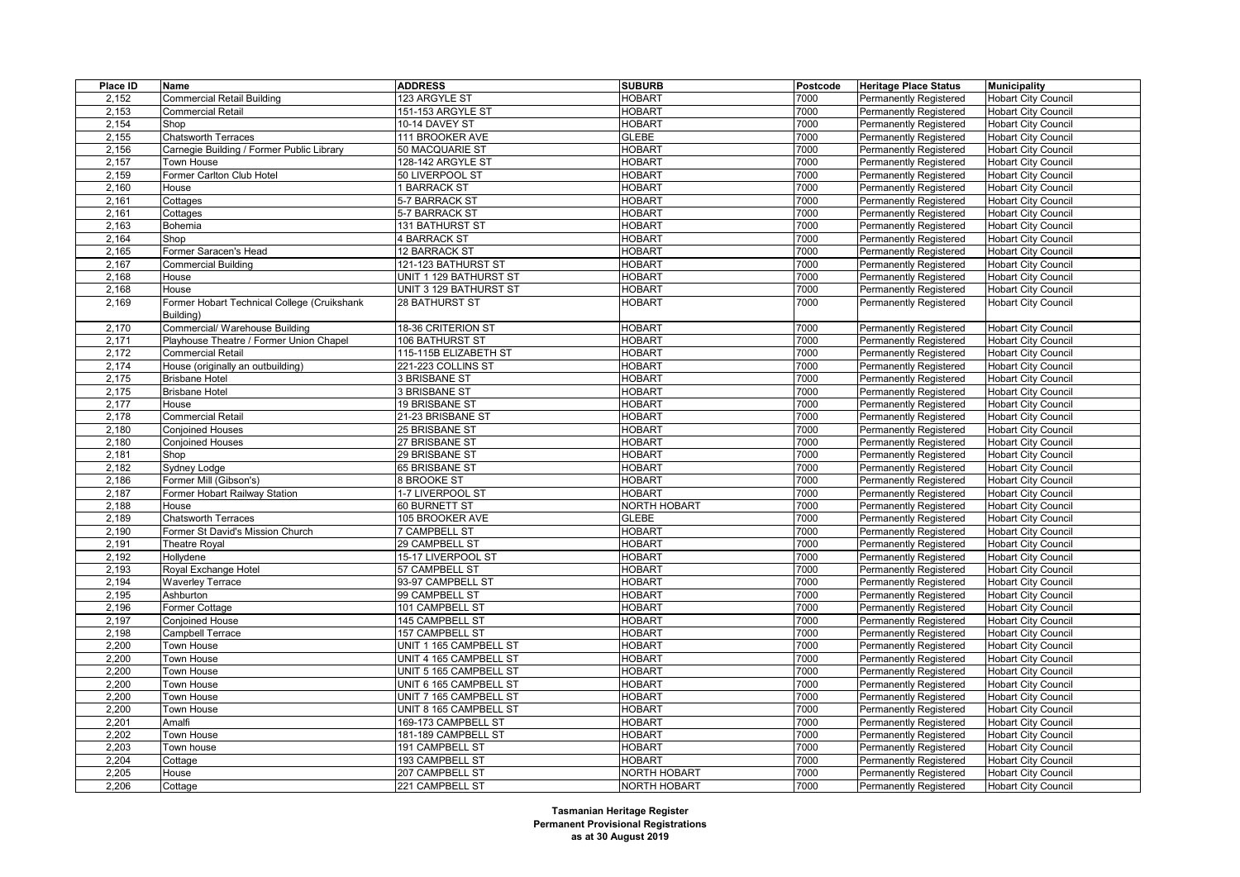| Place ID | Name                                        | <b>ADDRESS</b>         | <b>SUBURB</b>       | Postcode | <b>Heritage Place Status</b>  | <b>Municipality</b>        |
|----------|---------------------------------------------|------------------------|---------------------|----------|-------------------------------|----------------------------|
| 2,152    | Commercial Retail Building                  | 123 ARGYLE ST          | <b>HOBART</b>       | 7000     | <b>Permanently Registered</b> | <b>Hobart City Council</b> |
| 2,153    | Commercial Retail                           | 151-153 ARGYLE ST      | <b>HOBART</b>       | 7000     | Permanently Registered        | <b>Hobart City Council</b> |
| 2,154    | Shop                                        | 10-14 DAVEY ST         | <b>HOBART</b>       | 7000     | <b>Permanently Registered</b> | <b>Hobart City Council</b> |
| 2,155    | Chatsworth Terraces                         | 111 BROOKER AVE        | <b>GLEBE</b>        | 7000     | Permanently Registered        | <b>Hobart City Council</b> |
| 2,156    | Carnegie Building / Former Public Library   | 50 MACQUARIE ST        | <b>HOBART</b>       | 7000     | <b>Permanently Registered</b> | <b>Hobart City Council</b> |
| 2,157    | Town House                                  | 128-142 ARGYLE ST      | <b>HOBART</b>       | 7000     | <b>Permanently Registered</b> | <b>Hobart City Council</b> |
| 2,159    | Former Carlton Club Hotel                   | 50 LIVERPOOL ST        | <b>HOBART</b>       | 7000     | <b>Permanently Registered</b> | <b>Hobart City Council</b> |
| 2,160    | House                                       | <b>BARRACK ST</b>      | <b>HOBART</b>       | 7000     | <b>Permanently Registered</b> | <b>Hobart City Council</b> |
| 2,161    | Cottages                                    | 5-7 BARRACK ST         | <b>HOBART</b>       | 7000     | Permanently Registered        | <b>Hobart City Council</b> |
| 2,161    | Cottages                                    | 5-7 BARRACK ST         | <b>HOBART</b>       | 7000     | Permanently Registered        | <b>Hobart City Council</b> |
| 2,163    | Bohemia                                     | 131 BATHURST ST        | <b>HOBART</b>       | 7000     | <b>Permanently Registered</b> | <b>Hobart City Council</b> |
| 2,164    | Shop                                        | <b>4 BARRACK ST</b>    | <b>HOBART</b>       | 7000     | Permanently Registered        | <b>Hobart City Council</b> |
| 2,165    | Former Saracen's Head                       | <b>12 BARRACK ST</b>   | <b>HOBART</b>       | 7000     | Permanently Registered        | <b>Hobart City Council</b> |
| 2,167    | Commercial Building                         | 121-123 BATHURST ST    | <b>HOBART</b>       | 7000     | <b>Permanently Registered</b> | <b>Hobart City Council</b> |
| 2,168    | House                                       | UNIT 1 129 BATHURST ST | <b>HOBART</b>       | 7000     | <b>Permanently Registered</b> | <b>Hobart City Council</b> |
| 2,168    | House                                       | UNIT 3 129 BATHURST ST | <b>HOBART</b>       | 7000     | Permanently Registered        | <b>Hobart City Council</b> |
| 2,169    | Former Hobart Technical College (Cruikshank | 28 BATHURST ST         | <b>HOBART</b>       | 7000     | Permanently Registered        | <b>Hobart City Council</b> |
|          | Building)                                   |                        |                     |          |                               |                            |
| 2,170    | Commercial/ Warehouse Building              | 18-36 CRITERION ST     | <b>HOBART</b>       | 7000     | <b>Permanently Registered</b> | <b>Hobart City Council</b> |
| 2,171    | Playhouse Theatre / Former Union Chapel     | 106 BATHURST ST        | <b>HOBART</b>       | 7000     | <b>Permanently Registered</b> | Hobart City Council        |
| 2,172    | Commercial Retail                           | 115-115B ELIZABETH ST  | <b>HOBART</b>       | 7000     | <b>Permanently Registered</b> | <b>Hobart City Council</b> |
| 2,174    | House (originally an outbuilding)           | 221-223 COLLINS ST     | <b>HOBART</b>       | 7000     | <b>Permanently Registered</b> | <b>Hobart City Council</b> |
| 2,175    | <b>Brisbane Hotel</b>                       | <b>3 BRISBANE ST</b>   | <b>HOBART</b>       | 7000     | <b>Permanently Registered</b> | <b>Hobart City Council</b> |
| 2,175    | <b>Brisbane Hotel</b>                       | <b>3 BRISBANE ST</b>   | <b>HOBART</b>       | 7000     | <b>Permanently Registered</b> | <b>Hobart City Council</b> |
| 2,177    | House                                       | 19 BRISBANE ST         | HOBART              | 7000     | Permanently Registered        | <b>Hobart City Council</b> |
| 2,178    | Commercial Retail                           | 21-23 BRISBANE ST      | <b>HOBART</b>       | 7000     | Permanently Registered        | <b>Hobart City Council</b> |
| 2,180    | <b>Conjoined Houses</b>                     | 25 BRISBANE ST         | <b>HOBART</b>       | 7000     | <b>Permanently Registered</b> | <b>Hobart City Council</b> |
| 2,180    | <b>Conjoined Houses</b>                     | 27 BRISBANE ST         | <b>HOBART</b>       | 7000     | Permanently Registered        | <b>Hobart City Council</b> |
| 2,181    | Shop                                        | 29 BRISBANE ST         | <b>HOBART</b>       | 7000     | Permanently Registered        | <b>Hobart City Council</b> |
| 2,182    | Sydney Lodge                                | 65 BRISBANE ST         | <b>HOBART</b>       | 7000     | <b>Permanently Registered</b> | <b>Hobart City Council</b> |
| 2,186    | Former Mill (Gibson's)                      | 8 BROOKE ST            | <b>HOBART</b>       | 7000     | <b>Permanently Registered</b> | <b>Hobart City Council</b> |
| 2,187    | Former Hobart Railway Station               | 1-7 LIVERPOOL ST       | <b>HOBART</b>       | 7000     | Permanently Registered        | <b>Hobart City Council</b> |
| 2,188    | House                                       | 60 BURNETT ST          | <b>NORTH HOBART</b> | 7000     | <b>Permanently Registered</b> | <b>Hobart City Council</b> |
| 2,189    | <b>Chatsworth Terraces</b>                  | 105 BROOKER AVE        | <b>GLEBE</b>        | 7000     | Permanently Registered        | <b>Hobart City Council</b> |
| 2,190    | Former St David's Mission Church            | <b>7 CAMPBELL ST</b>   | <b>HOBART</b>       | 7000     | Permanently Registered        | <b>Hobart City Council</b> |
| 2,191    | Theatre Royal                               | 29 CAMPBELL ST         | <b>HOBART</b>       | 7000     | <b>Permanently Registered</b> | <b>Hobart City Council</b> |
| 2,192    | Hollydene                                   | 15-17 LIVERPOOL ST     | <b>HOBART</b>       | 7000     | <b>Permanently Registered</b> | <b>Hobart City Council</b> |
| 2,193    | Royal Exchange Hotel                        | 57 CAMPBELL ST         | <b>HOBART</b>       | 7000     | Permanently Registered        | <b>Hobart City Council</b> |
| 2,194    | <b>Waverley Terrace</b>                     | 93-97 CAMPBELL ST      | <b>HOBART</b>       | 7000     | <b>Permanently Registered</b> | <b>Hobart City Council</b> |
| 2,195    | Ashburton                                   | 99 CAMPBELL ST         | <b>HOBART</b>       | 7000     | Permanently Registered        | <b>Hobart City Council</b> |
| 2,196    | Former Cottage                              | 101 CAMPBELL ST        | <b>HOBART</b>       | 7000     | <b>Permanently Registered</b> | <b>Hobart City Council</b> |
| 2,197    | Conjoined House                             | 145 CAMPBELL ST        | <b>HOBART</b>       | 7000     | <b>Permanently Registered</b> | <b>Hobart City Council</b> |
| 2,198    | Campbell Terrace                            | 157 CAMPBELL ST        | <b>HOBART</b>       | 7000     | <b>Permanently Registered</b> | <b>Hobart City Council</b> |
| 2,200    | Town House                                  | UNIT 1 165 CAMPBELL ST | <b>HOBART</b>       | 7000     | <b>Permanently Registered</b> | <b>Hobart City Council</b> |
| 2,200    | Town House                                  | UNIT 4 165 CAMPBELL ST | <b>HOBART</b>       | 7000     | Permanently Registered        | <b>Hobart City Council</b> |
| 2,200    | <b>Town House</b>                           | UNIT 5 165 CAMPBELL ST | <b>HOBART</b>       | 7000     | <b>Permanently Registered</b> | <b>Hobart City Council</b> |
| 2,200    | Town House                                  | UNIT 6 165 CAMPBELL ST | <b>HOBART</b>       | 7000     | <b>Permanently Registered</b> | <b>Hobart City Council</b> |
| 2,200    | <b>Town House</b>                           | UNIT 7 165 CAMPBELL ST | <b>HOBART</b>       | 7000     | Permanently Registered        | <b>Hobart City Council</b> |
| 2,200    | <b>Town House</b>                           | UNIT 8 165 CAMPBELL ST | <b>HOBART</b>       | 7000     | <b>Permanently Registered</b> | <b>Hobart City Council</b> |
| 2,201    | Amalfi                                      | 169-173 CAMPBELL ST    | <b>HOBART</b>       | 7000     | <b>Permanently Registered</b> | <b>Hobart City Council</b> |
| 2,202    | Town House                                  | 181-189 CAMPBELL ST    | <b>HOBART</b>       | 7000     | Permanently Registered        | <b>Hobart City Council</b> |
| 2,203    | own house                                   | 191 CAMPBELL ST        | <b>HOBART</b>       | 7000     | <b>Permanently Registered</b> | <b>Hobart City Council</b> |
| 2,204    | Cottage                                     | 193 CAMPBELL ST        | <b>HOBART</b>       | 7000     | Permanently Registered        | <b>Hobart City Council</b> |
| 2,205    | House                                       | 207 CAMPBELL ST        | <b>NORTH HOBART</b> | 7000     | Permanently Registered        | <b>Hobart City Council</b> |
| 2,206    | Cottage                                     | 221 CAMPBELL ST        | <b>NORTH HOBART</b> | 7000     | <b>Permanently Registered</b> | <b>Hobart City Council</b> |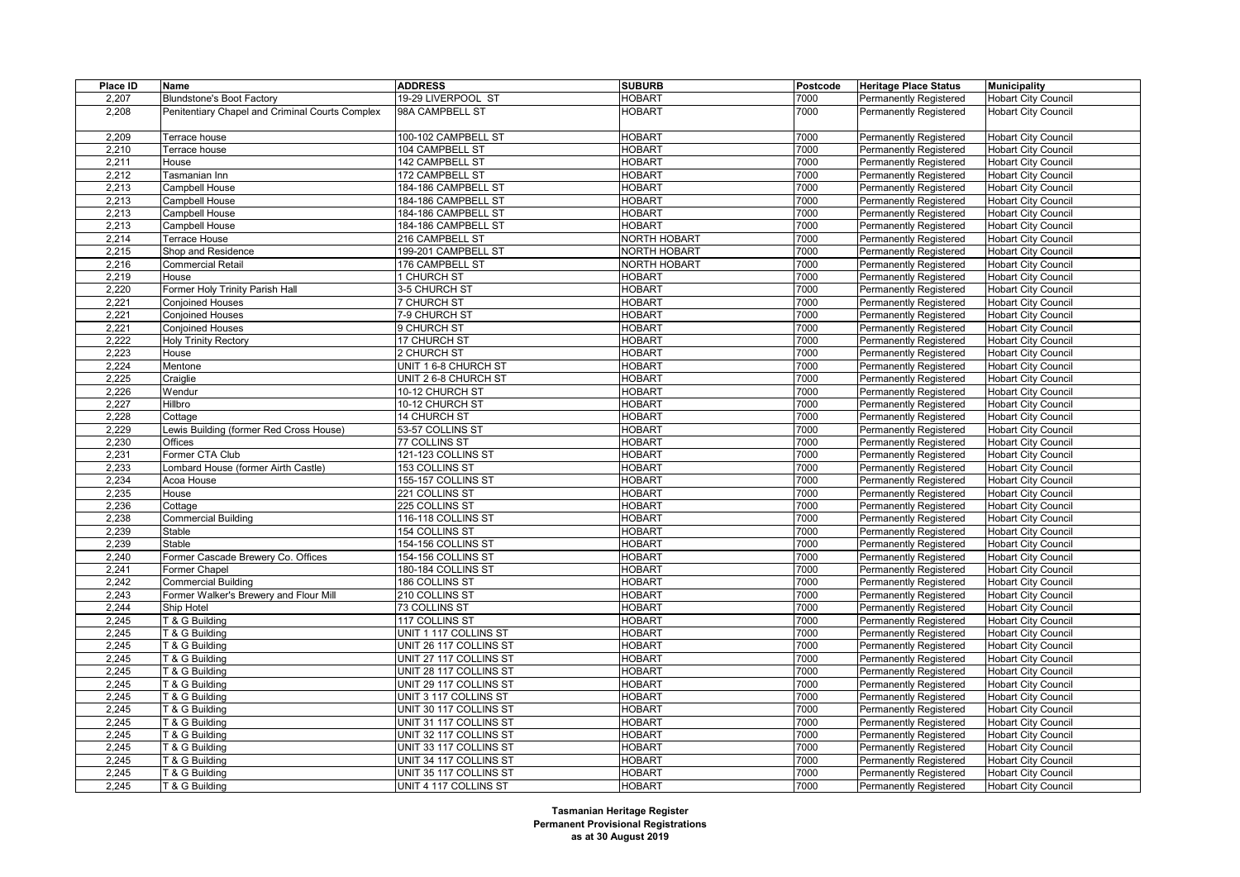| Place ID       | Name                                            | <b>ADDRESS</b>         | <b>SUBURB</b>                  | Postcode     | <b>Heritage Place Status</b>  | <b>Municipality</b>                                      |
|----------------|-------------------------------------------------|------------------------|--------------------------------|--------------|-------------------------------|----------------------------------------------------------|
| 2,207          | <b>Blundstone's Boot Factory</b>                | 19-29 LIVERPOOL ST     | <b>HOBART</b>                  | 7000         | <b>Permanently Registered</b> | <b>Hobart City Council</b>                               |
| 2,208          | Penitentiary Chapel and Criminal Courts Complex | 98A CAMPBELL ST        | <b>HOBART</b>                  | 7000         | <b>Permanently Registered</b> | <b>Hobart City Council</b>                               |
|                |                                                 |                        |                                |              |                               |                                                          |
| 2,209          | Terrace house                                   | 100-102 CAMPBELL ST    | <b>HOBART</b>                  | 7000         | Permanently Registered        | <b>Hobart City Council</b>                               |
| 2,210          | Terrace house                                   | 104 CAMPBELL ST        | <b>HOBART</b>                  | 7000         | Permanently Registered        | <b>Hobart City Council</b>                               |
| 2,211          | House                                           | 142 CAMPBELL ST        | <b>HOBART</b>                  | 7000         | Permanently Registered        | <b>Hobart City Council</b>                               |
| 2,212          | Tasmanian Inn                                   | 172 CAMPBELL ST        | <b>HOBART</b>                  | 7000         | Permanently Registered        | <b>Hobart City Council</b>                               |
| 2,213          | Campbell House                                  | 184-186 CAMPBELL ST    | <b>HOBART</b>                  | 7000         | Permanently Registered        | <b>Hobart City Council</b>                               |
| 2,213          | Campbell House                                  | 184-186 CAMPBELL ST    | <b>HOBART</b>                  | 7000         | Permanently Registered        | <b>Hobart City Council</b>                               |
| 2,213          | Campbell House                                  | 184-186 CAMPBELL ST    | <b>HOBART</b>                  | 7000         | Permanently Registered        | <b>Hobart City Council</b>                               |
| 2,213          | Campbell House                                  | 184-186 CAMPBELL ST    | <b>HOBART</b>                  | 7000         | Permanently Registered        | Hobart City Council                                      |
| 2,214          | Terrace House                                   | 216 CAMPBELL ST        | <b>NORTH HOBART</b>            | 7000         | Permanently Registered        | <b>Hobart City Council</b>                               |
| 2,215          | Shop and Residence                              | 199-201 CAMPBELL ST    | <b>NORTH HOBART</b>            | 7000         | Permanently Registered        | Hobart City Council                                      |
| 2,216          | <b>Commercial Retail</b>                        | 176 CAMPBELL ST        | NORTH HOBART                   | 7000         | Permanently Registered        | Hobart City Council                                      |
| 2,219          | House                                           | 1 CHURCH ST            | <b>HOBART</b>                  | 7000         | Permanently Registered        | <b>Hobart City Council</b>                               |
| 2,220          | Former Holy Trinity Parish Hall                 | 3-5 CHURCH ST          | <b>HOBART</b>                  | 7000         | Permanently Registered        | <b>Hobart City Council</b>                               |
| 2,221          | <b>Conjoined Houses</b>                         | 7 CHURCH ST            | <b>HOBART</b>                  | 7000         | Permanently Registered        | Hobart City Council                                      |
| 2,221          | <b>Conjoined Houses</b>                         | 7-9 CHURCH ST          | <b>HOBART</b>                  | 7000         | <b>Permanently Registered</b> | <b>Hobart City Council</b>                               |
| 2,221          | <b>Conjoined Houses</b>                         | 9 CHURCH ST            | <b>HOBART</b>                  | 7000         | Permanently Registered        | <b>Hobart City Council</b>                               |
| 2,222          | <b>Holy Trinity Rectory</b>                     | 17 CHURCH ST           | <b>HOBART</b>                  | 7000         | Permanently Registered        | Hobart City Council                                      |
| 2,223          | House                                           | 2 CHURCH ST            | <b>HOBART</b>                  | 7000         | Permanently Registered        | <b>Hobart City Council</b>                               |
| 2,224          | Mentone                                         | UNIT 1 6-8 CHURCH ST   | <b>HOBART</b>                  | 7000         | Permanently Registered        | <b>Hobart City Council</b>                               |
| 2,225          | Craiglie                                        | UNIT 2 6-8 CHURCH ST   | <b>HOBART</b>                  | 7000         | Permanently Registered        | Hobart City Council                                      |
| 2,226          | Wendur                                          | 10-12 CHURCH ST        | <b>HOBART</b>                  | 7000         | Permanently Registered        | <b>Hobart City Council</b>                               |
| 2,227          | Hillbro                                         | 10-12 CHURCH ST        | <b>HOBART</b>                  | 7000         | Permanently Registered        | <b>Hobart City Council</b>                               |
| 2,228          | Cottage                                         | 14 CHURCH ST           | <b>HOBART</b>                  | 7000         | Permanently Registered        | <b>Hobart City Council</b>                               |
| 2,229          | Lewis Building (former Red Cross House)         | 53-57 COLLINS ST       | <b>HOBART</b>                  | 7000         | Permanently Registered        | <b>Hobart City Council</b>                               |
| 2,230          | Offices                                         | 77 COLLINS ST          | <b>HOBART</b>                  | 7000         | Permanently Registered        | Hobart City Council                                      |
| 2,231          | Former CTA Club                                 | 121-123 COLLINS ST     | <b>HOBART</b>                  | 7000         | Permanently Registered        | <b>Hobart City Council</b>                               |
| 2,233          | _ombard House (former Airth Castle)             | 153 COLLINS ST         | <b>HOBART</b>                  | 7000         | Permanently Registered        | <b>Hobart City Council</b>                               |
| 2,234          | Acoa House                                      | 155-157 COLLINS ST     | <b>HOBART</b>                  | 7000         | Permanently Registered        | <b>Hobart City Council</b>                               |
| 2,235          | House                                           | 221 COLLINS ST         | <b>HOBART</b>                  | 7000         | Permanently Registered        | <b>Hobart City Council</b>                               |
| 2,236          | Cottage                                         | 225 COLLINS ST         | <b>HOBART</b>                  | 7000         | Permanently Registered        | Hobart City Council                                      |
| 2,238          | <b>Commercial Building</b>                      | 116-118 COLLINS ST     | <b>HOBART</b>                  | 7000         | Permanently Registered        | <b>Hobart City Council</b>                               |
| 2,239          | Stable                                          | 154 COLLINS ST         | <b>HOBART</b>                  | 7000         | Permanently Registered        | <b>Hobart City Council</b>                               |
| 2,239          | Stable                                          | 154-156 COLLINS ST     | <b>HOBART</b>                  | 7000         | Permanently Registered        | <b>Hobart City Council</b>                               |
| 2,240          | Former Cascade Brewery Co. Offices              | 154-156 COLLINS ST     | <b>HOBART</b>                  | 7000         | Permanently Registered        | <b>Hobart City Council</b>                               |
| 2,241          | Former Chapel                                   | 180-184 COLLINS ST     | <b>HOBART</b>                  | 7000         | Permanently Registered        | <b>Hobart City Council</b>                               |
| 2,242          | <b>Commercial Building</b>                      | 186 COLLINS ST         | <b>HOBART</b>                  | 7000         | Permanently Registered        | Hobart City Council                                      |
| 2,243          | Former Walker's Brewery and Flour Mill          | 210 COLLINS ST         | <b>HOBART</b>                  | 7000         | Permanently Registered        | <b>Hobart City Council</b>                               |
| 2,244          | Ship Hotel                                      | 73 COLLINS ST          | <b>HOBART</b>                  | 7000         | Permanently Registered        | Hobart City Council                                      |
| 2,245          | T & G Building                                  | 117 COLLINS ST         | <b>HOBART</b>                  | 7000         | Permanently Registered        | Hobart City Council                                      |
| 2,245          | T & G Building                                  | UNIT 1 117 COLLINS ST  | <b>HOBART</b>                  | 7000         | Permanently Registered        | <b>Hobart City Council</b>                               |
| 2,245          | T & G Building                                  | UNIT 26 117 COLLINS ST | <b>HOBART</b>                  | 7000         | Permanently Registered        | <b>Hobart City Council</b>                               |
| 2,245          | T & G Building                                  | UNIT 27 117 COLLINS ST | <b>HOBART</b>                  | 7000         | Permanently Registered        | <b>Hobart City Council</b>                               |
| 2,245          | T & G Building                                  | UNIT 28 117 COLLINS ST | <b>HOBART</b>                  | 7000         | Permanently Registered        | <b>Hobart City Council</b>                               |
| 2,245          | T & G Building                                  | UNIT 29 117 COLLINS ST | <b>HOBART</b>                  | 7000         | Permanently Registered        | Hobart City Council                                      |
|                |                                                 | UNIT 3 117 COLLINS ST  | <b>HOBART</b>                  | 7000         | Permanently Registered        |                                                          |
| 2,245<br>2,245 | T & G Building<br>T & G Building                | UNIT 30 117 COLLINS ST | <b>HOBART</b>                  | 7000         | Permanently Registered        | <b>Hobart City Council</b><br><b>Hobart City Council</b> |
| 2,245          |                                                 |                        | <b>HOBART</b>                  | 7000         |                               |                                                          |
|                | T & G Building                                  | UNIT 31 117 COLLINS ST |                                |              | Permanently Registered        | <b>Hobart City Council</b>                               |
| 2,245          | T & G Building                                  | UNIT 32 117 COLLINS ST | <b>HOBART</b><br><b>HOBART</b> | 7000<br>7000 | <b>Permanently Registered</b> | Hobart City Council                                      |
| 2,245          | T & G Building                                  | UNIT 33 117 COLLINS ST |                                |              | Permanently Registered        | <b>Hobart City Council</b>                               |
| 2,245          | T & G Building                                  | UNIT 34 117 COLLINS ST | <b>HOBART</b>                  | 7000         | Permanently Registered        | <b>Hobart City Council</b>                               |
| 2,245          | T & G Building                                  | UNIT 35 117 COLLINS ST | <b>HOBART</b>                  | 7000         | Permanently Registered        | <b>Hobart City Council</b>                               |
| 2,245          | T & G Building                                  | UNIT 4 117 COLLINS ST  | <b>HOBART</b>                  | 7000         | <b>Permanently Registered</b> | <b>Hobart City Council</b>                               |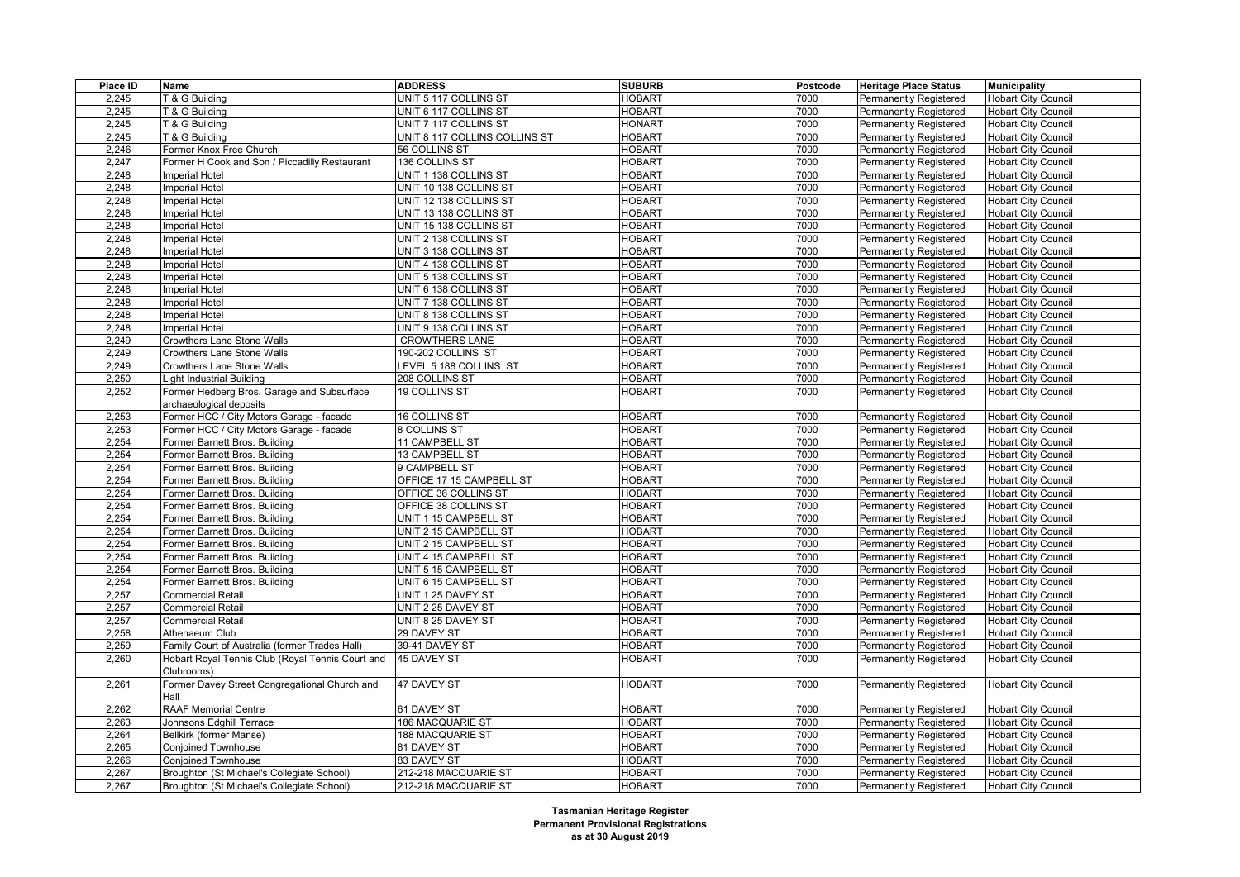| Place ID | Name                                                           | <b>ADDRESS</b>                | <b>SUBURB</b> | Postcode | <b>Heritage Place Status</b>  | <b>Municipality</b>        |
|----------|----------------------------------------------------------------|-------------------------------|---------------|----------|-------------------------------|----------------------------|
| 2,245    | T & G Building                                                 | UNIT 5 117 COLLINS ST         | <b>HOBART</b> | 7000     | <b>Permanently Registered</b> | <b>Hobart City Council</b> |
| 2,245    | T & G Buildina                                                 | UNIT 6 117 COLLINS ST         | <b>HOBART</b> | 7000     | <b>Permanently Registered</b> | <b>Hobart City Council</b> |
| 2,245    | T & G Building                                                 | UNIT 7 117 COLLINS ST         | <b>HONART</b> | 7000     | <b>Permanently Registered</b> | <b>Hobart City Council</b> |
| 2,245    | T & G Building                                                 | UNIT 8 117 COLLINS COLLINS ST | <b>HOBART</b> | 7000     | Permanently Registered        | <b>Hobart City Council</b> |
| 2,246    | Former Knox Free Church                                        | 56 COLLINS ST                 | <b>HOBART</b> | 7000     | Permanently Registered        | <b>Hobart City Council</b> |
| 2,247    | Former H Cook and Son / Piccadilly Restaurant                  | 136 COLLINS ST                | <b>HOBART</b> | 7000     | <b>Permanently Registered</b> | <b>Hobart City Council</b> |
| 2,248    | <b>Imperial Hotel</b>                                          | UNIT 1 138 COLLINS ST         | <b>HOBART</b> | 7000     | <b>Permanently Registered</b> | <b>Hobart City Council</b> |
| 2,248    | <b>Imperial Hotel</b>                                          | UNIT 10 138 COLLINS ST        | <b>HOBART</b> | 7000     | <b>Permanently Registered</b> | <b>Hobart City Council</b> |
| 2,248    | <b>Imperial Hotel</b>                                          | UNIT 12 138 COLLINS ST        | <b>HOBART</b> | 7000     | <b>Permanently Registered</b> | <b>Hobart City Council</b> |
| 2,248    | <b>Imperial Hotel</b>                                          | UNIT 13 138 COLLINS ST        | <b>HOBART</b> | 7000     | Permanently Registered        | <b>Hobart City Council</b> |
| 2,248    | <b>Imperial Hotel</b>                                          | UNIT 15 138 COLLINS ST        | <b>HOBART</b> | 7000     | Permanently Registered        | <b>Hobart City Council</b> |
| 2,248    | <b>Imperial Hotel</b>                                          | UNIT 2 138 COLLINS ST         | <b>HOBART</b> | 7000     | <b>Permanently Registered</b> | Hobart City Council        |
| 2,248    | <b>Imperial Hotel</b>                                          | UNIT 3 138 COLLINS ST         | <b>HOBART</b> | 7000     | <b>Permanently Registered</b> | <b>Hobart City Council</b> |
| 2,248    | <b>Imperial Hotel</b>                                          | UNIT 4 138 COLLINS ST         | <b>HOBART</b> | 7000     | <b>Permanently Registered</b> | <b>Hobart City Council</b> |
| 2,248    | <b>Imperial Hotel</b>                                          | UNIT 5 138 COLLINS ST         | <b>HOBART</b> | 7000     | <b>Permanently Registered</b> | <b>Hobart City Council</b> |
| 2,248    | <b>Imperial Hotel</b>                                          | UNIT 6 138 COLLINS ST         | <b>HOBART</b> | 7000     | Permanently Registered        | <b>Hobart City Council</b> |
| 2,248    | <b>Imperial Hotel</b>                                          | UNIT 7 138 COLLINS ST         | <b>HOBART</b> | 7000     | Permanently Registered        | <b>Hobart City Council</b> |
| 2,248    | <b>Imperial Hotel</b>                                          | UNIT 8 138 COLLINS ST         | <b>HOBART</b> | 7000     | <b>Permanently Registered</b> | <b>Hobart City Council</b> |
| 2,248    | <b>Imperial Hotel</b>                                          | UNIT 9 138 COLLINS ST         | <b>HOBART</b> | 7000     | <b>Permanently Registered</b> | <b>Hobart City Council</b> |
| 2,249    | <b>Crowthers Lane Stone Walls</b>                              | <b>CROWTHERS LANE</b>         | <b>HOBART</b> | 7000     | <b>Permanently Registered</b> | <b>Hobart City Council</b> |
| 2,249    | Crowthers Lane Stone Walls                                     | 190-202 COLLINS ST            | <b>HOBART</b> | 7000     | <b>Permanently Registered</b> | <b>Hobart City Council</b> |
| 2,249    | <b>Crowthers Lane Stone Walls</b>                              | <b>EVEL 5 188 COLLINS ST</b>  | <b>HOBART</b> | 7000     | <b>Permanently Registered</b> | <b>Hobart City Council</b> |
| 2,250    | Light Industrial Building                                      | 208 COLLINS ST                | <b>HOBART</b> | 7000     | Permanently Registered        | <b>Hobart City Council</b> |
| 2,252    | Former Hedberg Bros. Garage and Subsurface                     | 19 COLLINS ST                 | <b>HOBART</b> | 7000     | Permanently Registered        | <b>Hobart City Council</b> |
|          | archaeological deposits                                        |                               |               |          |                               |                            |
| 2,253    | Former HCC / City Motors Garage - facade                       | 16 COLLINS ST                 | <b>HOBART</b> | 7000     | <b>Permanently Registered</b> | <b>Hobart City Council</b> |
| 2,253    | Former HCC / City Motors Garage - facade                       | 8 COLLINS ST                  | <b>HOBART</b> | 7000     | Permanently Registered        | <b>Hobart City Council</b> |
| 2,254    | Former Barnett Bros. Building                                  | 11 CAMPBELL ST                | <b>HOBART</b> | 7000     | Permanently Registered        | <b>Hobart City Council</b> |
| 2,254    | Former Barnett Bros. Building                                  | 13 CAMPBELL ST                | <b>HOBART</b> | 7000     | <b>Permanently Registered</b> | <b>Hobart City Council</b> |
| 2,254    | Former Barnett Bros. Building                                  | 9 CAMPBELL ST                 | <b>HOBART</b> | 7000     | Permanently Registered        | <b>Hobart City Council</b> |
| 2,254    | Former Barnett Bros. Building                                  | OFFICE 17 15 CAMPBELL ST      | <b>HOBART</b> | 7000     | Permanently Registered        | <b>Hobart City Council</b> |
| 2,254    | Former Barnett Bros. Building                                  | OFFICE 36 COLLINS ST          | <b>HOBART</b> | 7000     | <b>Permanently Registered</b> | <b>Hobart City Council</b> |
| 2,254    | Former Barnett Bros. Building                                  | OFFICE 38 COLLINS ST          | <b>HOBART</b> | 7000     | Permanently Registered        | <b>Hobart City Council</b> |
| 2,254    | Former Barnett Bros. Building                                  | UNIT 1 15 CAMPBELL ST         | <b>HOBART</b> | 7000     | Permanently Registered        | <b>Hobart City Council</b> |
| 2,254    | Former Barnett Bros. Building                                  | UNIT 2 15 CAMPBELL ST         | <b>HOBART</b> | 7000     | <b>Permanently Registered</b> | <b>Hobart City Council</b> |
| 2,254    | Former Barnett Bros. Building                                  | UNIT 2 15 CAMPBELL ST         | <b>HOBART</b> | 7000     | Permanently Registered        | <b>Hobart City Council</b> |
| 2,254    | Former Barnett Bros. Building                                  | UNIT 4 15 CAMPBELL ST         | <b>HOBART</b> | 7000     | Permanently Registered        | <b>Hobart City Council</b> |
| 2,254    | Former Barnett Bros. Building                                  | UNIT 5 15 CAMPBELL ST         | <b>HOBART</b> | 7000     | Permanently Registered        | <b>Hobart City Council</b> |
| 2,254    | Former Barnett Bros. Building                                  | UNIT 6 15 CAMPBELL ST         | <b>HOBART</b> | 7000     | <b>Permanently Registered</b> | <b>Hobart City Council</b> |
| 2,257    | Commercial Retail                                              | UNIT 1 25 DAVEY ST            | HOBART        | 7000     | Permanently Registered        | <b>Hobart City Council</b> |
| 2,257    | Commercial Retail                                              | UNIT 2 25 DAVEY ST            | <b>HOBART</b> | 7000     | Permanently Registered        | <b>Hobart City Council</b> |
| 2,257    | Commercial Retail                                              | UNIT 8 25 DAVEY ST            | <b>HOBART</b> | 7000     | <b>Permanently Registered</b> | <b>Hobart City Council</b> |
| 2,258    | Athenaeum Club                                                 | 29 DAVEY ST                   | <b>HOBART</b> | 7000     | Permanently Registered        | <b>Hobart City Council</b> |
| 2,259    | Family Court of Australia (former Trades Hall)                 | 39-41 DAVEY ST                | <b>HOBART</b> | 7000     | Permanently Registered        | <b>Hobart City Council</b> |
| 2,260    | Hobart Royal Tennis Club (Royal Tennis Court and<br>Clubrooms) | 45 DAVEY ST                   | HOBART        | 7000     | <b>Permanently Registered</b> | <b>Hobart City Council</b> |
| 2,261    | Former Davey Street Congregational Church and<br>Hall          | 47 DAVEY ST                   | <b>HOBART</b> | 7000     | Permanently Registered        | <b>Hobart City Council</b> |
| 2,262    | RAAF Memorial Centre                                           | 61 DAVEY ST                   | <b>HOBART</b> | 7000     | <b>Permanently Registered</b> | <b>Hobart City Council</b> |
| 2,263    | Johnsons Edghill Terrace                                       | 186 MACQUARIE ST              | <b>HOBART</b> | 7000     | Permanently Registered        | <b>Hobart City Council</b> |
| 2,264    | Bellkirk (former Manse)                                        | 188 MACQUARIE ST              | <b>HOBART</b> | 7000     | <b>Permanently Registered</b> | <b>Hobart City Council</b> |
| 2,265    | <b>Conjoined Townhouse</b>                                     | 81 DAVEY ST                   | HOBART        | 7000     | Permanently Registered        | <b>Hobart City Council</b> |
| 2,266    | Conjoined Townhouse                                            | 83 DAVEY ST                   | HOBART        | 7000     | Permanently Registered        | <b>Hobart City Council</b> |
| 2,267    | Broughton (St Michael's Collegiate School)                     | 212-218 MACQUARIE ST          | <b>HOBART</b> | 7000     | <b>Permanently Registered</b> | <b>Hobart City Council</b> |
| 2,267    | Broughton (St Michael's Collegiate School)                     | 212-218 MACQUARIE ST          | <b>HOBART</b> | 7000     | <b>Permanently Registered</b> | <b>Hobart City Council</b> |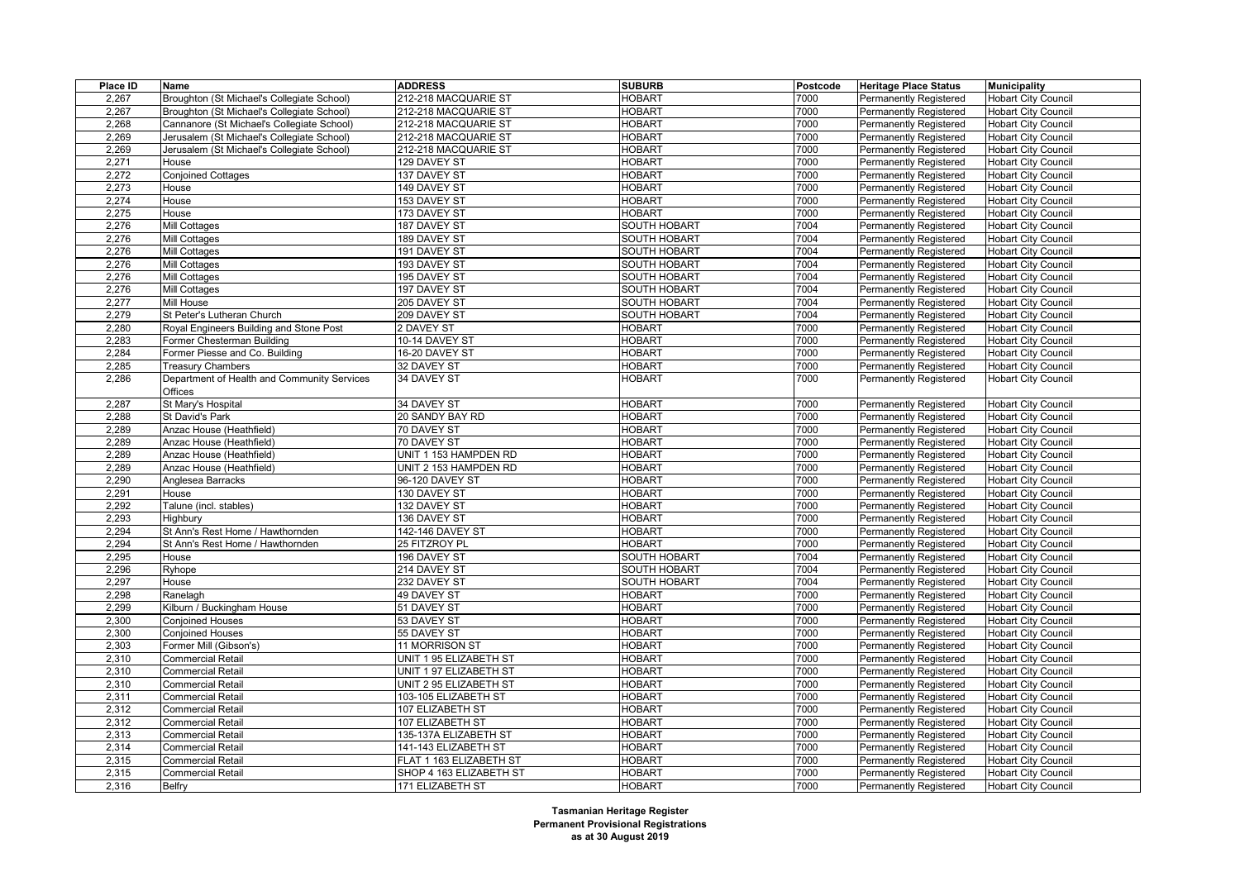| Place ID | Name                                        | <b>ADDRESS</b>          | <b>SUBURB</b>       | Postcode | <b>Heritage Place Status</b>  | <b>Municipality</b>        |
|----------|---------------------------------------------|-------------------------|---------------------|----------|-------------------------------|----------------------------|
| 2,267    | Broughton (St Michael's Collegiate School)  | 212-218 MACQUARIE ST    | <b>HOBART</b>       | 7000     | <b>Permanently Registered</b> | <b>Hobart City Council</b> |
| 2,267    | Broughton (St Michael's Collegiate School)  | 212-218 MACQUARIE ST    | <b>HOBART</b>       | 7000     | Permanently Registered        | <b>Hobart City Council</b> |
| 2,268    | Cannanore (St Michael's Collegiate School)  | 212-218 MACQUARIE ST    | <b>HOBART</b>       | 7000     | <b>Permanently Registered</b> | <b>Hobart City Council</b> |
| 2,269    | Jerusalem (St Michael's Collegiate School)  | 212-218 MACQUARIE ST    | <b>HOBART</b>       | 7000     | Permanently Registered        | <b>Hobart City Council</b> |
| 2,269    | Jerusalem (St Michael's Collegiate School)  | 212-218 MACQUARIE ST    | <b>HOBART</b>       | 7000     | Permanently Registered        | <b>Hobart City Council</b> |
| 2,271    | House                                       | 129 DAVEY ST            | <b>HOBART</b>       | 7000     | <b>Permanently Registered</b> | <b>Hobart City Council</b> |
| 2,272    | <b>Conjoined Cottages</b>                   | 137 DAVEY ST            | <b>HOBART</b>       | 7000     | Permanently Registered        | <b>Hobart City Council</b> |
| 2,273    | House                                       | 149 DAVEY ST            | <b>HOBART</b>       | 7000     | <b>Permanently Registered</b> | <b>Hobart City Council</b> |
| 2,274    | House                                       | 153 DAVEY ST            | <b>HOBART</b>       | 7000     | <b>Permanently Registered</b> | <b>Hobart City Council</b> |
| 2,275    | House                                       | 173 DAVEY ST            | <b>HOBART</b>       | 7000     | Permanently Registered        | <b>Hobart City Council</b> |
| 2,276    | Mill Cottages                               | 187 DAVEY ST            | <b>SOUTH HOBART</b> | 7004     | <b>Permanently Registered</b> | <b>Hobart City Council</b> |
| 2,276    | Mill Cottages                               | 189 DAVEY ST            | <b>SOUTH HOBART</b> | 7004     | <b>Permanently Registered</b> | <b>Hobart City Council</b> |
| 2,276    | Mill Cottages                               | 191 DAVEY ST            | <b>SOUTH HOBART</b> | 7004     | Permanently Registered        | <b>Hobart City Council</b> |
| 2,276    | Mill Cottages                               | 193 DAVEY ST            | SOUTH HOBART        | 7004     | <b>Permanently Registered</b> | <b>Hobart City Council</b> |
| 2,276    | Mill Cottages                               | 195 DAVEY ST            | <b>SOUTH HOBART</b> | 7004     | <b>Permanently Registered</b> | <b>Hobart City Council</b> |
| 2,276    | Mill Cottages                               | 197 DAVEY ST            | SOUTH HOBART        | 7004     | Permanently Registered        | <b>Hobart City Council</b> |
| 2,277    | Mill House                                  | 205 DAVEY ST            | <b>SOUTH HOBART</b> | 7004     | <b>Permanently Registered</b> | <b>Hobart City Council</b> |
| 2,279    | St Peter's Lutheran Church                  | 209 DAVEY ST            | <b>SOUTH HOBART</b> | 7004     | <b>Permanently Registered</b> | <b>Hobart City Council</b> |
| 2,280    | Royal Engineers Building and Stone Post     | 2 DAVEY ST              | <b>HOBART</b>       | 7000     | Permanently Registered        | <b>Hobart City Council</b> |
| 2,283    | Former Chesterman Building                  | 10-14 DAVEY ST          | <b>HOBART</b>       | 7000     | <b>Permanently Registered</b> | <b>Hobart City Council</b> |
| 2,284    | Former Piesse and Co. Building              | 16-20 DAVEY ST          | <b>HOBART</b>       | 7000     | <b>Permanently Registered</b> | <b>Hobart City Council</b> |
| 2,285    | Treasury Chambers                           | 32 DAVEY ST             | <b>HOBART</b>       | 7000     | Permanently Registered        | <b>Hobart City Council</b> |
| 2,286    | Department of Health and Community Services | 34 DAVEY ST             | <b>HOBART</b>       | 7000     | Permanently Registered        | <b>Hobart City Council</b> |
|          | Offices                                     |                         |                     |          |                               |                            |
| 2.287    | St Mary's Hospital                          | 34 DAVEY ST             | <b>HOBART</b>       | 7000     | Permanently Registered        | <b>Hobart City Council</b> |
| 2,288    | St David's Park                             | 20 SANDY BAY RD         | <b>HOBART</b>       | 7000     | Permanently Registered        | <b>Hobart City Council</b> |
| 2,289    | Anzac House (Heathfield)                    | 70 DAVEY ST             | <b>HOBART</b>       | 7000     | <b>Permanently Registered</b> | <b>Hobart City Council</b> |
| 2,289    | Anzac House (Heathfield)                    | 70 DAVEY ST             | <b>HOBART</b>       | 7000     | Permanently Registered        | <b>Hobart City Council</b> |
| 2,289    | Anzac House (Heathfield)                    | UNIT 1 153 HAMPDEN RD   | <b>HOBART</b>       | 7000     | <b>Permanently Registered</b> | <b>Hobart City Council</b> |
| 2,289    | Anzac House (Heathfield)                    | UNIT 2 153 HAMPDEN RD   | <b>HOBART</b>       | 7000     | <b>Permanently Registered</b> | <b>Hobart City Council</b> |
| 2,290    | Anglesea Barracks                           | 96-120 DAVEY ST         | <b>HOBART</b>       | 7000     | Permanently Registered        | <b>Hobart City Council</b> |
| 2,291    | House                                       | 130 DAVEY ST            | <b>HOBART</b>       | 7000     | Permanently Registered        | <b>Hobart City Council</b> |
| 2,292    | Talune (incl. stables)                      | 132 DAVEY ST            | <b>HOBART</b>       | 7000     | <b>Permanently Registered</b> | <b>Hobart City Council</b> |
| 2,293    | Highbury                                    | 136 DAVEY ST            | <b>HOBART</b>       | 7000     | Permanently Registered        | <b>Hobart City Council</b> |
| 2,294    | St Ann's Rest Home / Hawthornden            | 142-146 DAVEY ST        | <b>HOBART</b>       | 7000     | <b>Permanently Registered</b> | <b>Hobart City Council</b> |
| 2,294    | St Ann's Rest Home / Hawthornden            | 25 FITZROY PL           | <b>HOBART</b>       | 7000     | Permanently Registered        | <b>Hobart City Council</b> |
| 2,295    | House                                       | 196 DAVEY ST            | SOUTH HOBART        | 7004     | Permanently Registered        | <b>Hobart City Council</b> |
| 2,296    | Ryhope                                      | 214 DAVEY ST            | SOUTH HOBART        | 7004     | <b>Permanently Registered</b> | <b>Hobart City Council</b> |
| 2,297    | House                                       | 232 DAVEY ST            | <b>SOUTH HOBART</b> | 7004     | Permanently Registered        | <b>Hobart City Council</b> |
| 2,298    | Ranelagh                                    | 49 DAVEY ST             | <b>HOBART</b>       | 7000     | Permanently Registered        | <b>Hobart City Council</b> |
| 2,299    | Kilburn / Buckingham House                  | 51 DAVEY ST             | <b>HOBART</b>       | 7000     | <b>Permanently Registered</b> | <b>Hobart City Council</b> |
| 2,300    | <b>Conjoined Houses</b>                     | 53 DAVEY ST             | <b>HOBART</b>       | 7000     | <b>Permanently Registered</b> | <b>Hobart City Council</b> |
| 2,300    | <b>Conjoined Houses</b>                     | 55 DAVEY ST             | <b>HOBART</b>       | 7000     | Permanently Registered        | <b>Hobart City Council</b> |
| 2,303    | Former Mill (Gibson's)                      | 11 MORRISON ST          | <b>HOBART</b>       | 7000     | <b>Permanently Registered</b> | <b>Hobart City Council</b> |
| 2,310    | Commercial Retail                           | UNIT 1 95 ELIZABETH ST  | <b>HOBART</b>       | 7000     | <b>Permanently Registered</b> | <b>Hobart City Council</b> |
| 2,310    | <b>Commercial Retail</b>                    | UNIT 1 97 ELIZABETH ST  | <b>HOBART</b>       | 7000     | Permanently Registered        | Hobart City Council        |
| 2,310    | <b>Commercial Retail</b>                    | UNIT 2 95 ELIZABETH ST  | <b>HOBART</b>       | 7000     | <b>Permanently Registered</b> | <b>Hobart City Council</b> |
| 2,311    | <b>Commercial Retail</b>                    | 103-105 ELIZABETH ST    | <b>HOBART</b>       | 7000     | <b>Permanently Registered</b> | <b>Hobart City Council</b> |
| 2,312    | <b>Commercial Retail</b>                    | 107 ELIZABETH ST        | <b>HOBART</b>       | 7000     | Permanently Registered        | <b>Hobart City Council</b> |
| 2,312    | <b>Commercial Retail</b>                    | 107 ELIZABETH ST        | <b>HOBART</b>       | 7000     | <b>Permanently Registered</b> | <b>Hobart City Council</b> |
| 2,313    | Commercial Retail                           | 135-137A ELIZABETH ST   | <b>HOBART</b>       | 7000     | <b>Permanently Registered</b> | <b>Hobart City Council</b> |
| 2,314    | <b>Commercial Retail</b>                    | 141-143 ELIZABETH ST    | <b>HOBART</b>       | 7000     | <b>Permanently Registered</b> | <b>Hobart City Council</b> |
| 2,315    | Commercial Retail                           | FLAT 1 163 ELIZABETH ST | <b>HOBART</b>       | 7000     | Permanently Registered        | <b>Hobart City Council</b> |
| 2,315    | <b>Commercial Retail</b>                    | SHOP 4 163 ELIZABETH ST | <b>HOBART</b>       | 7000     | <b>Permanently Registered</b> | <b>Hobart City Council</b> |
| 2,316    | Belfry                                      | 171 ELIZABETH ST        | <b>HOBART</b>       | 7000     | <b>Permanently Registered</b> | <b>Hobart City Council</b> |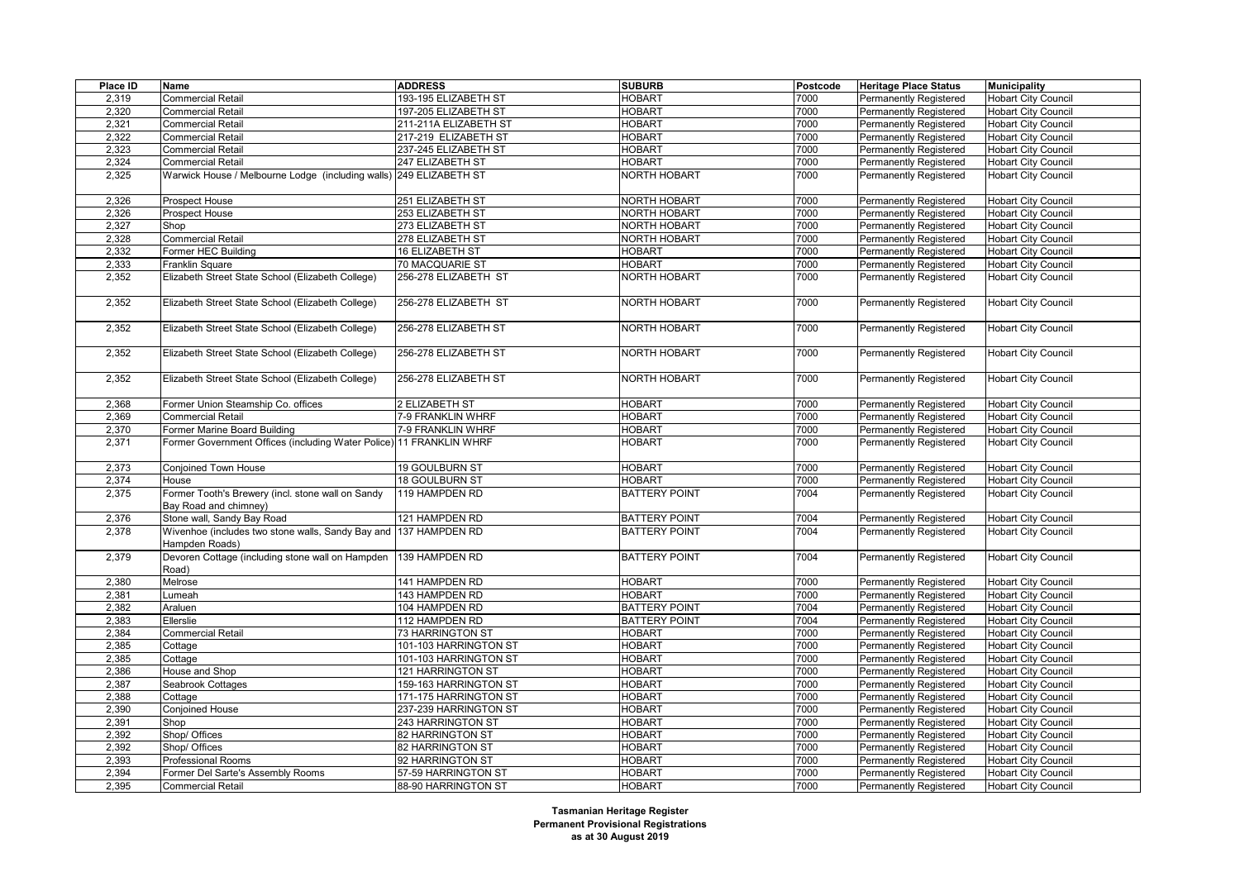| Place ID | Name                                                                               | <b>ADDRESS</b>        | <b>SUBURB</b>        | Postcode | <b>Heritage Place Status</b>  | <b>Municipality</b>        |
|----------|------------------------------------------------------------------------------------|-----------------------|----------------------|----------|-------------------------------|----------------------------|
| 2,319    | Commercial Retail                                                                  | 193-195 ELIZABETH ST  | <b>HOBART</b>        | 7000     | <b>Permanently Registered</b> | <b>Hobart City Council</b> |
| 2,320    | Commercial Retail                                                                  | 197-205 ELIZABETH ST  | <b>HOBART</b>        | 7000     | <b>Permanently Registered</b> | <b>Hobart City Council</b> |
| 2,321    | <b>Commercial Retail</b>                                                           | 211-211A ELIZABETH ST | <b>HOBART</b>        | 7000     | <b>Permanently Registered</b> | <b>Hobart City Council</b> |
| 2,322    | Commercial Retail                                                                  | 217-219 ELIZABETH ST  | <b>HOBART</b>        | 7000     | Permanently Registered        | <b>Hobart City Council</b> |
| 2,323    | Commercial Retail                                                                  | 237-245 ELIZABETH ST  | <b>HOBART</b>        | 7000     | <b>Permanently Registered</b> | <b>Hobart City Council</b> |
| 2,324    | <b>Commercial Retail</b>                                                           | 247 ELIZABETH ST      | <b>HOBART</b>        | 7000     | Permanently Registered        | <b>Hobart City Council</b> |
| 2,325    | Warwick House / Melbourne Lodge (including walls) 249 ELIZABETH ST                 |                       | <b>NORTH HOBART</b>  | 7000     | Permanently Registered        | <b>Hobart City Council</b> |
|          |                                                                                    |                       |                      |          |                               |                            |
| 2,326    | Prospect House                                                                     | 251 ELIZABETH ST      | <b>NORTH HOBART</b>  | 7000     | <b>Permanently Registered</b> | <b>Hobart City Council</b> |
| 2,326    | Prospect House                                                                     | 253 ELIZABETH ST      | <b>NORTH HOBART</b>  | 7000     | Permanently Registered        | <b>Hobart City Council</b> |
| 2,327    | Shop                                                                               | 273 ELIZABETH ST      | <b>NORTH HOBART</b>  | 7000     | <b>Permanently Registered</b> | <b>Hobart City Council</b> |
| 2,328    | Commercial Retail                                                                  | 278 ELIZABETH ST      | <b>NORTH HOBART</b>  | 7000     | <b>Permanently Registered</b> | <b>Hobart City Council</b> |
| 2,332    | Former HEC Building                                                                | 16 ELIZABETH ST       | <b>HOBART</b>        | 7000     | Permanently Registered        | <b>Hobart City Council</b> |
| 2,333    | Franklin Square                                                                    | 70 MACQUARIE ST       | <b>HOBART</b>        | 7000     | Permanently Registered        | <b>Hobart City Council</b> |
| 2,352    | Elizabeth Street State School (Elizabeth College)                                  | 256-278 ELIZABETH ST  | NORTH HOBART         | 7000     | Permanently Registered        | <b>Hobart City Council</b> |
| 2,352    | Elizabeth Street State School (Elizabeth College)                                  | 256-278 ELIZABETH ST  | NORTH HOBART         | 7000     | Permanently Registered        | <b>Hobart City Council</b> |
| 2,352    | Elizabeth Street State School (Elizabeth College)                                  | 256-278 ELIZABETH ST  | NORTH HOBART         | 7000     | Permanently Registered        | <b>Hobart City Council</b> |
| 2,352    | Elizabeth Street State School (Elizabeth College)                                  | 256-278 ELIZABETH ST  | NORTH HOBART         | 7000     | <b>Permanently Registered</b> | <b>Hobart City Council</b> |
| 2,352    | Elizabeth Street State School (Elizabeth College)                                  | 256-278 ELIZABETH ST  | <b>NORTH HOBART</b>  | 7000     | Permanently Registered        | <b>Hobart City Council</b> |
| 2,368    | Former Union Steamship Co. offices                                                 | 2 ELIZABETH ST        | <b>HOBART</b>        | 7000     | <b>Permanently Registered</b> | <b>Hobart City Council</b> |
| 2,369    | Commercial Retail                                                                  | 7-9 FRANKLIN WHRF     | <b>HOBART</b>        | 7000     | Permanently Registered        | <b>Hobart City Council</b> |
| 2,370    | Former Marine Board Building                                                       | 7-9 FRANKLIN WHRF     | <b>HOBART</b>        | 7000     | <b>Permanently Registered</b> | <b>Hobart City Council</b> |
| 2,371    | Former Government Offices (including Water Police) 11 FRANKLIN WHRF                |                       | HOBART               | 7000     | Permanently Registered        | <b>Hobart City Council</b> |
| 2,373    | <b>Conjoined Town House</b>                                                        | 19 GOULBURN ST        | <b>HOBART</b>        | 7000     | <b>Permanently Registered</b> | <b>Hobart City Council</b> |
| 2,374    | House                                                                              | 18 GOULBURN ST        | <b>HOBART</b>        | 7000     | Permanently Registered        | <b>Hobart City Council</b> |
| 2,375    | Former Tooth's Brewery (incl. stone wall on Sandy<br>Bay Road and chimney)         | 119 HAMPDEN RD        | <b>BATTERY POINT</b> | 7004     | Permanently Registered        | <b>Hobart City Council</b> |
| 2,376    | Stone wall, Sandy Bay Road                                                         | 121 HAMPDEN RD        | <b>BATTERY POINT</b> | 7004     | Permanently Registered        | <b>Hobart City Council</b> |
| 2,378    | Wivenhoe (includes two stone walls, Sandy Bay and 137 HAMPDEN RD<br>Hampden Roads) |                       | <b>BATTERY POINT</b> | 7004     | Permanently Registered        | <b>Hobart City Council</b> |
| 2,379    | Devoren Cottage (including stone wall on Hampden<br>Road)                          | 139 HAMPDEN RD        | <b>BATTERY POINT</b> | 7004     | Permanently Registered        | <b>Hobart City Council</b> |
| 2,380    | Melrose                                                                            | 141 HAMPDEN RD        | <b>HOBART</b>        | 7000     | <b>Permanently Registered</b> | <b>Hobart City Council</b> |
| 2,381    | umeah                                                                              | 143 HAMPDEN RD        | <b>HOBART</b>        | 7000     | <b>Permanently Registered</b> | <b>Hobart City Council</b> |
| 2,382    | Araluen                                                                            | 104 HAMPDEN RD        | <b>BATTERY POINT</b> | 7004     | <b>Permanently Registered</b> | <b>Hobart City Council</b> |
| 2,383    | Ellerslie                                                                          | 112 HAMPDEN RD        | <b>BATTERY POINT</b> | 7004     | Permanently Registered        | Hobart City Council        |
| 2,384    | Commercial Retail                                                                  | 73 HARRINGTON ST      | <b>HOBART</b>        | 7000     | <b>Permanently Registered</b> | <b>Hobart City Council</b> |
| 2,385    | Cottage                                                                            | 101-103 HARRINGTON ST | <b>HOBART</b>        | 7000     | <b>Permanently Registered</b> | <b>Hobart City Council</b> |
| 2,385    | Cottage                                                                            | 101-103 HARRINGTON ST | <b>HOBART</b>        | 7000     | Permanently Registered        | <b>Hobart City Council</b> |
| 2,386    | House and Shop                                                                     | 121 HARRINGTON ST     | <b>HOBART</b>        | 7000     | Permanently Registered        | <b>Hobart City Council</b> |
| 2,387    | Seabrook Cottages                                                                  | 159-163 HARRINGTON ST | <b>HOBART</b>        | 7000     | <b>Permanently Registered</b> | <b>Hobart City Council</b> |
| 2,388    | Cottage                                                                            | 171-175 HARRINGTON ST | <b>HOBART</b>        | 7000     | Permanently Registered        | <b>Hobart City Council</b> |
| 2,390    | Conjoined House                                                                    | 237-239 HARRINGTON ST | <b>HOBART</b>        | 7000     | <b>Permanently Registered</b> | <b>Hobart City Council</b> |
| 2,391    | Shop                                                                               | 243 HARRINGTON ST     | <b>HOBART</b>        | 7000     | <b>Permanently Registered</b> | <b>Hobart City Council</b> |
| 2,392    | Shop/ Offices                                                                      | 82 HARRINGTON ST      | <b>HOBART</b>        | 7000     | Permanently Registered        | <b>Hobart City Council</b> |
| 2,392    | Shop/ Offices                                                                      | 82 HARRINGTON ST      | <b>HOBART</b>        | 7000     | <b>Permanently Registered</b> | <b>Hobart City Council</b> |
| 2,393    | Professional Rooms                                                                 | 92 HARRINGTON ST      | <b>HOBART</b>        | 7000     | <b>Permanently Registered</b> | <b>Hobart City Council</b> |
| 2,394    | Former Del Sarte's Assembly Rooms                                                  | 57-59 HARRINGTON ST   | <b>HOBART</b>        | 7000     | Permanently Registered        | <b>Hobart City Council</b> |
| 2,395    | <b>Commercial Retail</b>                                                           | 88-90 HARRINGTON ST   | <b>HOBART</b>        | 7000     | <b>Permanently Registered</b> | <b>Hobart City Council</b> |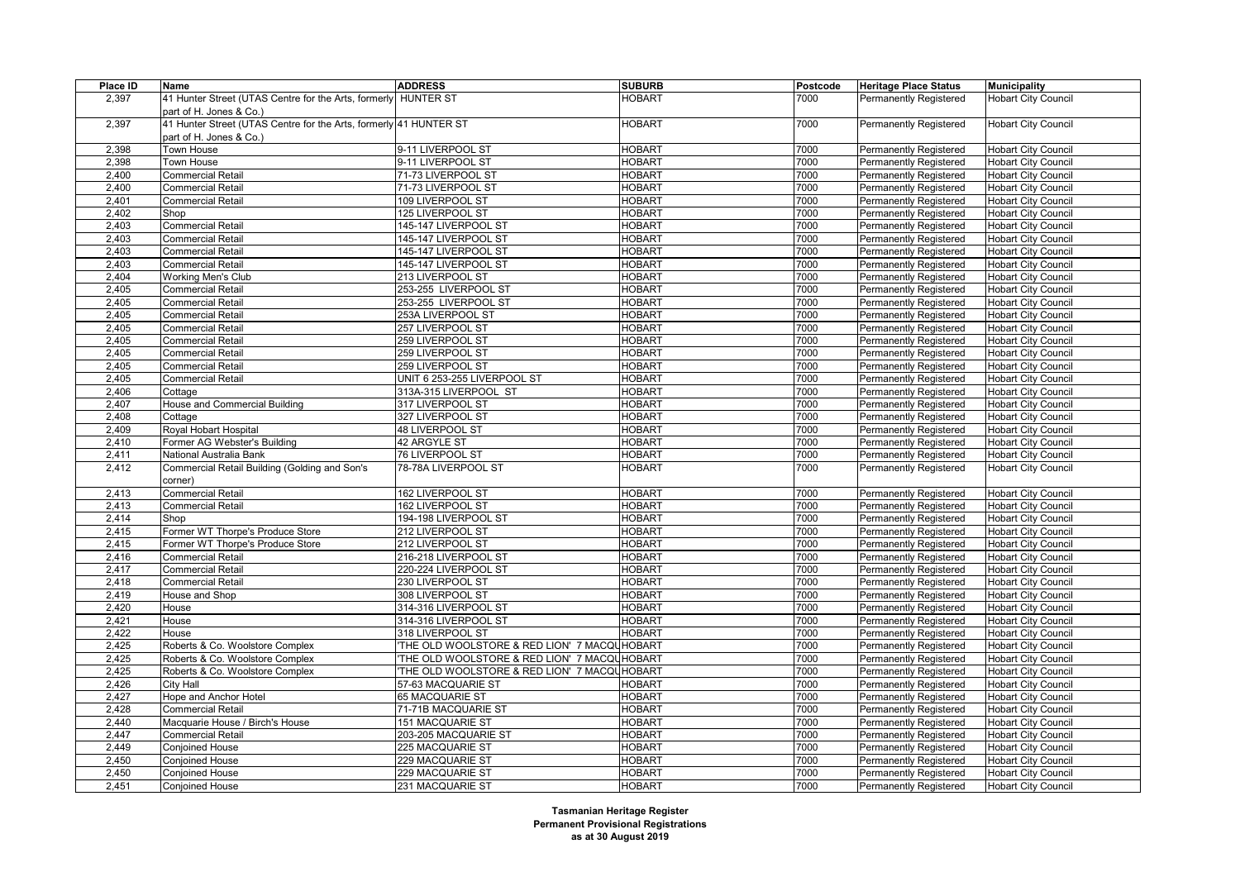| Place ID | Name                                                              | <b>ADDRESS</b>                               | <b>SUBURB</b> | Postcode | <b>Heritage Place Status</b>  | <b>Municipality</b>        |
|----------|-------------------------------------------------------------------|----------------------------------------------|---------------|----------|-------------------------------|----------------------------|
| 2,397    | 41 Hunter Street (UTAS Centre for the Arts, formerly HUNTER ST    |                                              | <b>HOBART</b> | 7000     | <b>Permanently Registered</b> | <b>Hobart City Council</b> |
|          | part of H. Jones & Co.)                                           |                                              |               |          |                               |                            |
| 2,397    | 41 Hunter Street (UTAS Centre for the Arts, formerly 41 HUNTER ST |                                              | <b>HOBART</b> | 7000     | <b>Permanently Registered</b> | <b>Hobart City Council</b> |
|          | part of H. Jones & Co.)                                           |                                              |               |          |                               |                            |
| 2,398    | Town House                                                        | 9-11 LIVERPOOL ST                            | <b>HOBART</b> | 7000     | <b>Permanently Registered</b> | <b>Hobart City Council</b> |
| 2,398    | Town House                                                        | 9-11 LIVERPOOL ST                            | <b>HOBART</b> | 7000     | <b>Permanently Registered</b> | <b>Hobart City Council</b> |
| 2,400    | <b>Commercial Retail</b>                                          | 71-73 LIVERPOOL ST                           | <b>HOBART</b> | 7000     | <b>Permanently Registered</b> | <b>Hobart City Council</b> |
| 2,400    | <b>Commercial Retail</b>                                          | 71-73 LIVERPOOL ST                           | <b>HOBART</b> | 7000     | Permanently Registered        | <b>Hobart City Council</b> |
| 2,401    | <b>Commercial Retail</b>                                          | 109 LIVERPOOL ST                             | <b>HOBART</b> | 7000     | <b>Permanently Registered</b> | <b>Hobart City Council</b> |
| 2,402    | Shop                                                              | 125 LIVERPOOL ST                             | <b>HOBART</b> | 7000     | Permanently Registered        | <b>Hobart City Council</b> |
| 2,403    | <b>Commercial Retail</b>                                          | 145-147 LIVERPOOL ST                         | <b>HOBART</b> | 7000     | <b>Permanently Registered</b> | <b>Hobart City Council</b> |
| 2,403    | <b>Commercial Retail</b>                                          | 145-147 LIVERPOOL ST                         | <b>HOBART</b> | 7000     | <b>Permanently Registered</b> | <b>Hobart City Council</b> |
| 2,403    | <b>Commercial Retail</b>                                          | 145-147 LIVERPOOL ST                         | <b>HOBART</b> | 7000     | <b>Permanently Registered</b> | <b>Hobart City Council</b> |
| 2,403    | <b>Commercial Retail</b>                                          | 145-147 LIVERPOOL ST                         | <b>HOBART</b> | 7000     | <b>Permanently Registered</b> | <b>Hobart City Council</b> |
| 2,404    | Working Men's Club                                                | 213 LIVERPOOL ST                             | <b>HOBART</b> | 7000     | <b>Permanently Registered</b> | <b>Hobart City Council</b> |
| 2,405    | <b>Commercial Retail</b>                                          | 253-255 LIVERPOOL ST                         | <b>HOBART</b> | 7000     | <b>Permanently Registered</b> | <b>Hobart City Council</b> |
| 2,405    | <b>Commercial Retail</b>                                          | 253-255 LIVERPOOL ST                         | <b>HOBART</b> | 7000     | <b>Permanently Registered</b> | <b>Hobart City Council</b> |
| 2,405    | <b>Commercial Retail</b>                                          | 253A LIVERPOOL ST                            | <b>HOBART</b> | 7000     | <b>Permanently Registered</b> | <b>Hobart City Council</b> |
| 2,405    | <b>Commercial Retail</b>                                          | 257 LIVERPOOL ST                             | <b>HOBART</b> | 7000     | <b>Permanently Registered</b> | <b>Hobart City Council</b> |
| 2,405    | <b>Commercial Retail</b>                                          | 259 LIVERPOOL ST                             | <b>HOBART</b> | 7000     | <b>Permanently Registered</b> | <b>Hobart City Council</b> |
|          |                                                                   |                                              | <b>HOBART</b> | 7000     |                               |                            |
| 2,405    | <b>Commercial Retail</b>                                          | 259 LIVERPOOL ST                             | <b>HOBART</b> | 7000     | Permanently Registered        | <b>Hobart City Council</b> |
| 2,405    | <b>Commercial Retail</b>                                          | 259 LIVERPOOL ST                             |               | 7000     | <b>Permanently Registered</b> | <b>Hobart City Council</b> |
| 2,405    | <b>Commercial Retail</b>                                          | UNIT 6 253-255 LIVERPOOL ST                  | <b>HOBART</b> |          | <b>Permanently Registered</b> | <b>Hobart City Council</b> |
| 2,406    | Cottage                                                           | 313A-315 LIVERPOOL ST                        | <b>HOBART</b> | 7000     | <b>Permanently Registered</b> | <b>Hobart City Council</b> |
| 2,407    | House and Commercial Building                                     | 317 LIVERPOOL ST                             | <b>HOBART</b> | 7000     | <b>Permanently Registered</b> | <b>Hobart City Council</b> |
| 2,408    | Cottage                                                           | 327 LIVERPOOL ST                             | <b>HOBART</b> | 7000     | <b>Permanently Registered</b> | <b>Hobart City Council</b> |
| 2,409    | Royal Hobart Hospital                                             | 48 LIVERPOOL ST                              | <b>HOBART</b> | 7000     | <b>Permanently Registered</b> | <b>Hobart City Council</b> |
| 2,410    | Former AG Webster's Building                                      | 42 ARGYLE ST                                 | <b>HOBART</b> | 7000     | <b>Permanently Registered</b> | <b>Hobart City Council</b> |
| 2,411    | National Australia Bank                                           | <b>76 LIVERPOOL ST</b>                       | <b>HOBART</b> | 7000     | <b>Permanently Registered</b> | <b>Hobart City Council</b> |
| 2,412    | Commercial Retail Building (Golding and Son's                     | 78-78A LIVERPOOL ST                          | <b>HOBART</b> | 7000     | Permanently Registered        | <b>Hobart City Council</b> |
|          | corner)                                                           |                                              |               |          |                               |                            |
| 2,413    | <b>Commercial Retail</b>                                          | 162 LIVERPOOL ST                             | <b>HOBART</b> | 7000     | <b>Permanently Registered</b> | <b>Hobart City Council</b> |
| 2,413    | <b>Commercial Retail</b>                                          | 162 LIVERPOOL ST                             | <b>HOBART</b> | 7000     | <b>Permanently Registered</b> | <b>Hobart City Council</b> |
| 2,414    | Shop                                                              | 194-198 LIVERPOOL ST                         | <b>HOBART</b> | 7000     | Permanently Registered        | <b>Hobart City Council</b> |
| 2,415    | Former WT Thorpe's Produce Store                                  | 212 LIVERPOOL ST                             | <b>HOBART</b> | 7000     | <b>Permanently Registered</b> | <b>Hobart City Council</b> |
| 2,415    | Former WT Thorpe's Produce Store                                  | 212 LIVERPOOL ST                             | <b>HOBART</b> | 7000     | <b>Permanently Registered</b> | <b>Hobart City Council</b> |
| 2,416    | <b>Commercial Retail</b>                                          | 216-218 LIVERPOOL ST                         | <b>HOBART</b> | 7000     | <b>Permanently Registered</b> | <b>Hobart City Council</b> |
| 2,417    | <b>Commercial Retail</b>                                          | 220-224 LIVERPOOL ST                         | <b>HOBART</b> | 7000     | <b>Permanently Registered</b> | <b>Hobart City Council</b> |
| 2,418    | <b>Commercial Retail</b>                                          | 230 LIVERPOOL ST                             | <b>HOBART</b> | 7000     | <b>Permanently Registered</b> | <b>Hobart City Council</b> |
| 2,419    | House and Shop                                                    | 308 LIVERPOOL ST                             | <b>HOBART</b> | 7000     | <b>Permanently Registered</b> | <b>Hobart City Council</b> |
| 2,420    | House                                                             | 314-316 LIVERPOOL ST                         | <b>HOBART</b> | 7000     | <b>Permanently Registered</b> | <b>Hobart City Council</b> |
| 2,421    | House                                                             | 314-316 LIVERPOOL ST                         | <b>HOBART</b> | 7000     | Permanently Registered        | <b>Hobart City Council</b> |
| 2,422    | House                                                             | 318 LIVERPOOL ST                             | <b>HOBART</b> | 7000     | <b>Permanently Registered</b> | <b>Hobart City Council</b> |
| 2,425    | Roberts & Co. Woolstore Complex                                   | 'THE OLD WOOLSTORE & RED LION' 7 MACQUHOBART |               | 7000     | <b>Permanently Registered</b> | <b>Hobart City Council</b> |
| 2,425    | Roberts & Co. Woolstore Complex                                   | 'THE OLD WOOLSTORE & RED LION' 7 MACQUHOBART |               | 7000     | Permanently Registered        | <b>Hobart City Council</b> |
| 2,425    | Roberts & Co. Woolstore Complex                                   | 'THE OLD WOOLSTORE & RED LION' 7 MACQUHOBART |               | 7000     | <b>Permanently Registered</b> | <b>Hobart City Council</b> |
| 2,426    | City Hall                                                         | 57-63 MACQUARIE ST                           | <b>HOBART</b> | 7000     | <b>Permanently Registered</b> | <b>Hobart City Council</b> |
| 2,427    | Hope and Anchor Hotel                                             | 65 MACQUARIE ST                              | <b>HOBART</b> | 7000     | Permanently Registered        | <b>Hobart City Council</b> |
| 2,428    | <b>Commercial Retail</b>                                          | 71-71B MACQUARIE ST                          | <b>HOBART</b> | 7000     | <b>Permanently Registered</b> | <b>Hobart City Council</b> |
| 2,440    | Macquarie House / Birch's House                                   | 151 MACQUARIE ST                             | <b>HOBART</b> | 7000     | <b>Permanently Registered</b> | <b>Hobart City Council</b> |
| 2,447    | <b>Commercial Retail</b>                                          | 203-205 MACQUARIE ST                         | <b>HOBART</b> | 7000     | Permanently Registered        | <b>Hobart City Council</b> |
| 2,449    | <b>Conjoined House</b>                                            | 225 MACQUARIE ST                             | <b>HOBART</b> | 7000     | <b>Permanently Registered</b> | <b>Hobart City Council</b> |
| 2,450    | Conjoined House                                                   | 229 MACQUARIE ST                             | <b>HOBART</b> | 7000     | <b>Permanently Registered</b> | <b>Hobart City Council</b> |
| 2,450    | <b>Conjoined House</b>                                            | 229 MACQUARIE ST                             | <b>HOBART</b> | 7000     | <b>Permanently Registered</b> | <b>Hobart City Council</b> |
| 2,451    | <b>Conjoined House</b>                                            | 231 MACQUARIE ST                             | <b>HOBART</b> | 7000     | <b>Permanently Registered</b> | <b>Hobart City Council</b> |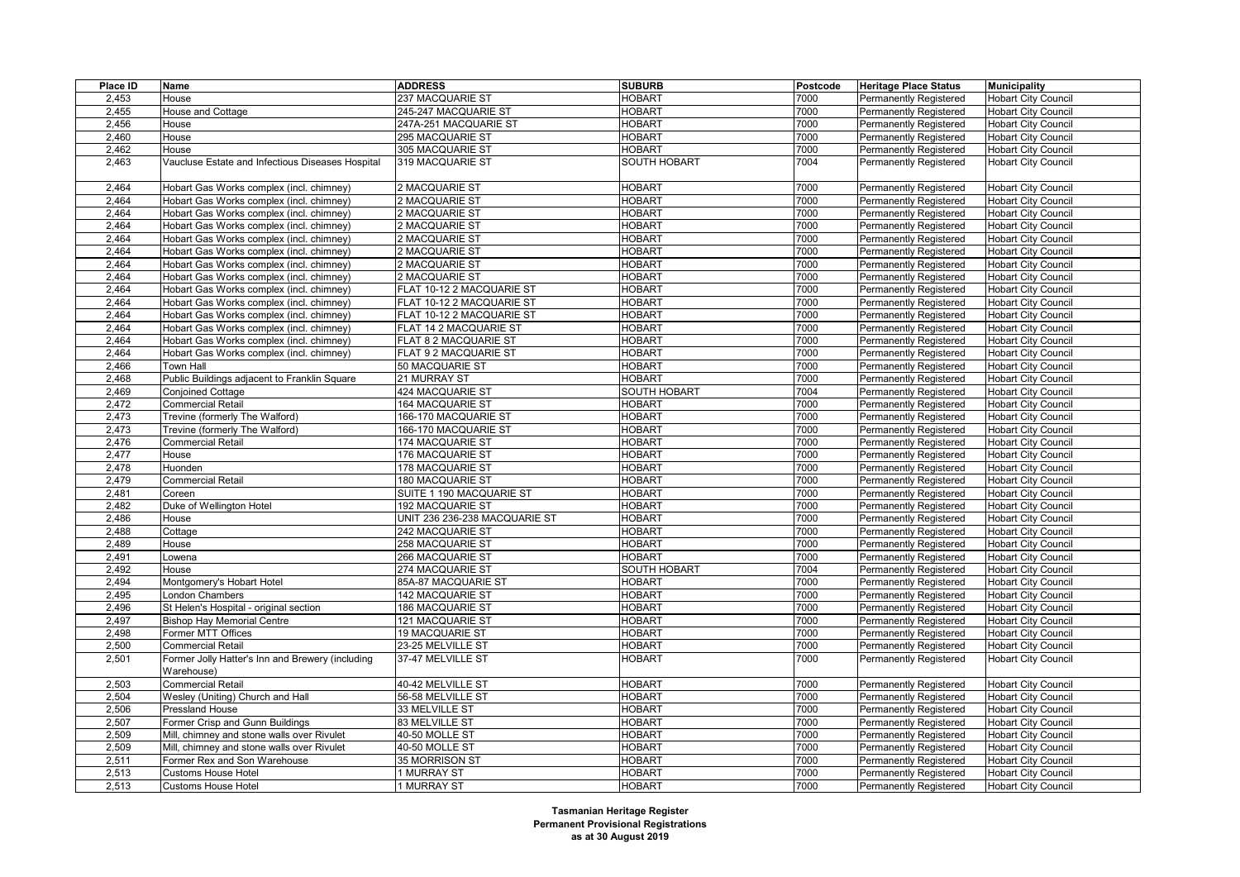| Place ID | Name                                             | <b>ADDRESS</b>                | <b>SUBURB</b>       | Postcode | <b>Heritage Place Status</b>  | <b>Municipality</b>        |
|----------|--------------------------------------------------|-------------------------------|---------------------|----------|-------------------------------|----------------------------|
| 2,453    | House                                            | 237 MACQUARIE ST              | <b>HOBART</b>       | 7000     | <b>Permanently Registered</b> | <b>Hobart City Council</b> |
| 2,455    | <b>House and Cottage</b>                         | 245-247 MACQUARIE ST          | <b>HOBART</b>       | 7000     | <b>Permanently Registered</b> | <b>Hobart City Council</b> |
| 2,456    | House                                            | 247A-251 MACQUARIE ST         | <b>HOBART</b>       | 7000     | <b>Permanently Registered</b> | <b>Hobart City Council</b> |
| 2,460    | House                                            | 295 MACQUARIE ST              | <b>HOBART</b>       | 7000     | Permanently Registered        | <b>Hobart City Council</b> |
| 2,462    | House                                            | 305 MACQUARIE ST              | <b>HOBART</b>       | 7000     | <b>Permanently Registered</b> | <b>Hobart City Council</b> |
| 2,463    | Vaucluse Estate and Infectious Diseases Hospital | 319 MACQUARIE ST              | <b>SOUTH HOBART</b> | 7004     | <b>Permanently Registered</b> | <b>Hobart City Council</b> |
|          |                                                  |                               |                     |          |                               |                            |
| 2,464    | Hobart Gas Works complex (incl. chimney)         | 2 MACQUARIE ST                | <b>HOBART</b>       | 7000     | <b>Permanently Registered</b> | <b>Hobart City Council</b> |
| 2,464    | Hobart Gas Works complex (incl. chimney)         | 2 MACQUARIE ST                | <b>HOBART</b>       | 7000     | <b>Permanently Registered</b> | <b>Hobart City Council</b> |
| 2,464    | Hobart Gas Works complex (incl. chimney)         | 2 MACQUARIE ST                | <b>HOBART</b>       | 7000     | Permanently Registered        | <b>Hobart City Council</b> |
| 2,464    | Hobart Gas Works complex (incl. chimney)         | 2 MACQUARIE ST                | <b>HOBART</b>       | 7000     | <b>Permanently Registered</b> | <b>Hobart City Council</b> |
| 2,464    | Hobart Gas Works complex (incl. chimney)         | 2 MACQUARIE ST                | <b>HOBART</b>       | 7000     | <b>Permanently Registered</b> | <b>Hobart City Council</b> |
| 2,464    | Hobart Gas Works complex (incl. chimney)         | 2 MACQUARIE ST                | <b>HOBART</b>       | 7000     | Permanently Registered        | <b>Hobart City Council</b> |
| 2,464    | Hobart Gas Works complex (incl. chimney)         | 2 MACQUARIE ST                | <b>HOBART</b>       | 7000     | <b>Permanently Registered</b> | <b>Hobart City Council</b> |
| 2,464    | Hobart Gas Works complex (incl. chimney)         | 2 MACQUARIE ST                | <b>HOBART</b>       | 7000     | <b>Permanently Registered</b> | <b>Hobart City Council</b> |
| 2,464    | Hobart Gas Works complex (incl. chimney)         | FLAT 10-12 2 MACQUARIE ST     | <b>HOBART</b>       | 7000     | <b>Permanently Registered</b> | <b>Hobart City Council</b> |
| 2,464    | Hobart Gas Works complex (incl. chimney)         | FLAT 10-12 2 MACQUARIE ST     | <b>HOBART</b>       | 7000     | <b>Permanently Registered</b> | <b>Hobart City Council</b> |
| 2,464    | Hobart Gas Works complex (incl. chimney)         | FLAT 10-12 2 MACQUARIE ST     | <b>HOBART</b>       | 7000     | <b>Permanently Registered</b> | <b>Hobart City Council</b> |
| 2,464    | Hobart Gas Works complex (incl. chimney)         | FLAT 14 2 MACQUARIE ST        | <b>HOBART</b>       | 7000     | <b>Permanently Registered</b> | <b>Hobart City Council</b> |
| 2,464    | Hobart Gas Works complex (incl. chimney)         | FLAT 8 2 MACQUARIE ST         | <b>HOBART</b>       | 7000     | <b>Permanently Registered</b> | <b>Hobart City Council</b> |
|          |                                                  |                               | <b>HOBART</b>       | 7000     |                               |                            |
| 2,464    | Hobart Gas Works complex (incl. chimney)         | FLAT 9 2 MACQUARIE ST         |                     |          | <b>Permanently Registered</b> | <b>Hobart City Council</b> |
| 2,466    | Town Hall                                        | 50 MACQUARIE ST               | <b>HOBART</b>       | 7000     | <b>Permanently Registered</b> | <b>Hobart City Council</b> |
| 2,468    | Public Buildings adjacent to Franklin Square     | 21 MURRAY ST                  | <b>HOBART</b>       | 7000     | <b>Permanently Registered</b> | <b>Hobart City Council</b> |
| 2,469    | <b>Conjoined Cottage</b>                         | 424 MACQUARIE ST              | <b>SOUTH HOBART</b> | 7004     | <b>Permanently Registered</b> | <b>Hobart City Council</b> |
| 2,472    | <b>Commercial Retail</b>                         | 164 MACQUARIE ST              | <b>HOBART</b>       | 7000     | <b>Permanently Registered</b> | <b>Hobart City Council</b> |
| 2,473    | Trevine (formerly The Walford)                   | 166-170 MACQUARIE ST          | <b>HOBART</b>       | 7000     | <b>Permanently Registered</b> | <b>Hobart City Council</b> |
| 2,473    | Trevine (formerly The Walford)                   | 166-170 MACQUARIE ST          | <b>HOBART</b>       | 7000     | <b>Permanently Registered</b> | <b>Hobart City Council</b> |
| 2,476    | <b>Commercial Retail</b>                         | 174 MACQUARIE ST              | <b>HOBART</b>       | 7000     | Permanently Registered        | <b>Hobart City Council</b> |
| 2,477    | House                                            | 176 MACQUARIE ST              | <b>HOBART</b>       | 7000     | <b>Permanently Registered</b> | <b>Hobart City Council</b> |
| 2,478    | Huonden                                          | 178 MACQUARIE ST              | <b>HOBART</b>       | 7000     | <b>Permanently Registered</b> | <b>Hobart City Council</b> |
| 2,479    | <b>Commercial Retail</b>                         | 180 MACQUARIE ST              | <b>HOBART</b>       | 7000     | Permanently Registered        | <b>Hobart City Council</b> |
| 2,481    | Coreen                                           | SUITE 1 190 MACQUARIE ST      | <b>HOBART</b>       | 7000     | <b>Permanently Registered</b> | <b>Hobart City Council</b> |
| 2,482    | Duke of Wellington Hotel                         | 192 MACQUARIE ST              | <b>HOBART</b>       | 7000     | <b>Permanently Registered</b> | <b>Hobart City Council</b> |
| 2,486    | House                                            | UNIT 236 236-238 MACQUARIE ST | <b>HOBART</b>       | 7000     | <b>Permanently Registered</b> | <b>Hobart City Council</b> |
| 2,488    | Cottage                                          | 242 MACQUARIE ST              | <b>HOBART</b>       | 7000     | <b>Permanently Registered</b> | <b>Hobart City Council</b> |
| 2,489    | House                                            | 258 MACQUARIE ST              | <b>HOBART</b>       | 7000     | <b>Permanently Registered</b> | <b>Hobart City Council</b> |
| 2,491    | Lowena                                           | 266 MACQUARIE ST              | <b>HOBART</b>       | 7000     | Permanently Registered        | <b>Hobart City Council</b> |
| 2,492    | House                                            | 274 MACQUARIE ST              | <b>SOUTH HOBART</b> | 7004     | Permanently Registered        | <b>Hobart City Council</b> |
| 2,494    | Montgomery's Hobart Hotel                        | 85A-87 MACQUARIE ST           | HOBART              | 7000     | <b>Permanently Registered</b> | <b>Hobart City Council</b> |
| 2,495    | London Chambers                                  | 142 MACQUARIE ST              | <b>HOBART</b>       | 7000     | <b>Permanently Registered</b> | <b>Hobart City Council</b> |
| 2,496    | St Helen's Hospital - original section           | 186 MACQUARIE ST              | <b>HOBART</b>       | 7000     | <b>Permanently Registered</b> | <b>Hobart City Council</b> |
| 2,497    | <b>Bishop Hay Memorial Centre</b>                | 121 MACQUARIE ST              | <b>HOBART</b>       | 7000     | <b>Permanently Registered</b> | <b>Hobart City Council</b> |
| 2,498    | Former MTT Offices                               | 19 MACQUARIE ST               | <b>HOBART</b>       | 7000     | <b>Permanently Registered</b> | <b>Hobart City Council</b> |
| 2,500    | <b>Commercial Retail</b>                         | 23-25 MELVILLE ST             | <b>HOBART</b>       | 7000     | Permanently Registered        | <b>Hobart City Council</b> |
| 2,501    | Former Jolly Hatter's Inn and Brewery (including | 37-47 MELVILLE ST             | <b>HOBART</b>       | 7000     | Permanently Registered        | <b>Hobart City Council</b> |
|          | Warehouse)                                       |                               |                     |          |                               |                            |
| 2,503    | <b>Commercial Retail</b>                         | 40-42 MELVILLE ST             | <b>HOBART</b>       | 7000     | <b>Permanently Registered</b> | <b>Hobart City Council</b> |
| 2,504    | Wesley (Uniting) Church and Hall                 | 56-58 MELVILLE ST             | <b>HOBART</b>       | 7000     | <b>Permanently Registered</b> | <b>Hobart City Council</b> |
| 2,506    | Pressland House                                  | 33 MELVILLE ST                | HOBART              | 7000     | <b>Permanently Registered</b> | <b>Hobart City Council</b> |
| 2,507    | Former Crisp and Gunn Buildings                  | 83 MELVILLE ST                | <b>HOBART</b>       | 7000     | <b>Permanently Registered</b> | <b>Hobart City Council</b> |
| 2,509    | Mill, chimney and stone walls over Rivulet       | 40-50 MOLLE ST                | <b>HOBART</b>       | 7000     | <b>Permanently Registered</b> | <b>Hobart City Council</b> |
| 2,509    | Mill, chimney and stone walls over Rivulet       | 40-50 MOLLE ST                | <b>HOBART</b>       | 7000     | <b>Permanently Registered</b> | <b>Hobart City Council</b> |
| 2,511    | Former Rex and Son Warehouse                     | 35 MORRISON ST                | <b>HOBART</b>       | 7000     | <b>Permanently Registered</b> | <b>Hobart City Council</b> |
| 2,513    | <b>Customs House Hotel</b>                       | 1 MURRAY ST                   | <b>HOBART</b>       | 7000     | <b>Permanently Registered</b> | <b>Hobart City Council</b> |
| 2,513    | Customs House Hotel                              | 1 MURRAY ST                   | <b>HOBART</b>       | 7000     | <b>Permanently Registered</b> | <b>Hobart City Council</b> |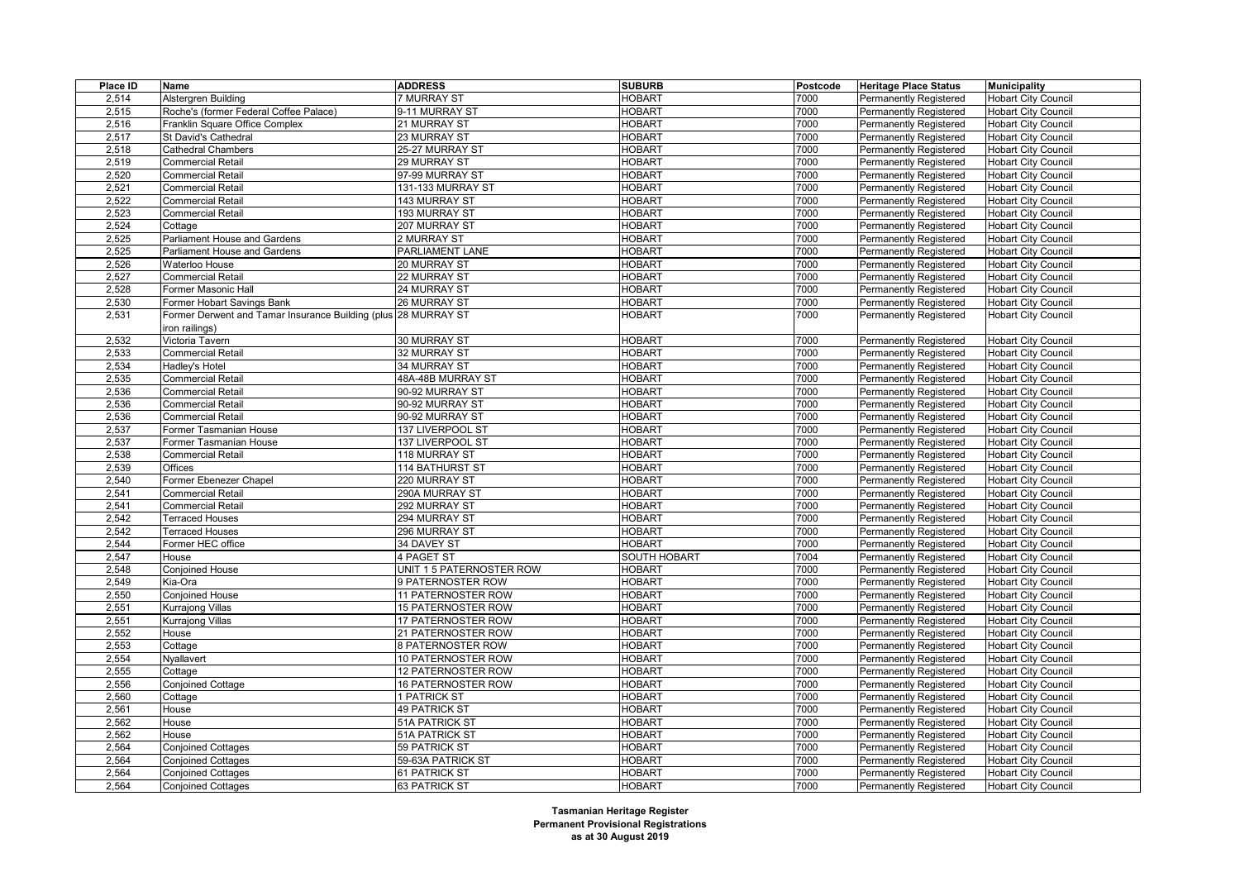| Place ID | Name                                                           | <b>ADDRESS</b>            | <b>SUBURB</b>       | Postcode | <b>Heritage Place Status</b>  | <b>Municipality</b>        |
|----------|----------------------------------------------------------------|---------------------------|---------------------|----------|-------------------------------|----------------------------|
| 2,514    | Alstergren Building                                            | 7 MURRAY ST               | <b>HOBART</b>       | 7000     | <b>Permanently Registered</b> | <b>Hobart City Council</b> |
| 2,515    | Roche's (former Federal Coffee Palace)                         | 9-11 MURRAY ST            | <b>HOBART</b>       | 7000     | <b>Permanently Registered</b> | <b>Hobart City Council</b> |
| 2,516    | Franklin Square Office Complex                                 | 21 MURRAY ST              | <b>HOBART</b>       | 7000     | Permanently Registered        | <b>Hobart City Council</b> |
| 2,517    | St David's Cathedral                                           | 23 MURRAY ST              | <b>HOBART</b>       | 7000     | Permanently Registered        | <b>Hobart City Council</b> |
| 2,518    | <b>Cathedral Chambers</b>                                      | 25-27 MURRAY ST           | <b>HOBART</b>       | 7000     | <b>Permanently Registered</b> | <b>Hobart City Council</b> |
| 2,519    | Commercial Retail                                              | 29 MURRAY ST              | <b>HOBART</b>       | 7000     | <b>Permanently Registered</b> | <b>Hobart City Council</b> |
| 2,520    | Commercial Retail                                              | 97-99 MURRAY ST           | <b>HOBART</b>       | 7000     | Permanently Registered        | <b>Hobart City Council</b> |
| 2,521    | Commercial Retail                                              | 131-133 MURRAY ST         | <b>HOBART</b>       | 7000     | <b>Permanently Registered</b> | <b>Hobart City Council</b> |
| 2,522    | Commercial Retail                                              | 143 MURRAY ST             | <b>HOBART</b>       | 7000     | <b>Permanently Registered</b> | <b>Hobart City Council</b> |
| 2,523    | Commercial Retail                                              | 193 MURRAY ST             | <b>HOBART</b>       | 7000     | Permanently Registered        | <b>Hobart City Council</b> |
| 2,524    | Cottage                                                        | 207 MURRAY ST             | <b>HOBART</b>       | 7000     | <b>Permanently Registered</b> | <b>Hobart City Council</b> |
| 2,525    | Parliament House and Gardens                                   | 2 MURRAY ST               | <b>HOBART</b>       | 7000     | Permanently Registered        | <b>Hobart City Council</b> |
| 2,525    | Parliament House and Gardens                                   | PARLIAMENT LANE           | <b>HOBART</b>       | 7000     | Permanently Registered        | <b>Hobart City Council</b> |
| 2,526    | Waterloo House                                                 | 20 MURRAY ST              | <b>HOBART</b>       | 7000     | <b>Permanently Registered</b> | <b>Hobart City Council</b> |
| 2,527    | <b>Commercial Retail</b>                                       | 22 MURRAY ST              | <b>HOBART</b>       | 7000     | <b>Permanently Registered</b> | <b>Hobart City Council</b> |
| 2,528    | Former Masonic Hall                                            | 24 MURRAY ST              | <b>HOBART</b>       | 7000     | Permanently Registered        | <b>Hobart City Council</b> |
| 2,530    | Former Hobart Savings Bank                                     | 26 MURRAY ST              | <b>HOBART</b>       | 7000     | <b>Permanently Registered</b> | <b>Hobart City Council</b> |
| 2,531    | Former Derwent and Tamar Insurance Building (plus 28 MURRAY ST |                           | <b>HOBART</b>       | 7000     | <b>Permanently Registered</b> | <b>Hobart City Council</b> |
|          | iron railings)                                                 |                           |                     |          |                               |                            |
| 2,532    | Victoria Tavern                                                | 30 MURRAY ST              | <b>HOBART</b>       | 7000     | <b>Permanently Registered</b> | <b>Hobart City Council</b> |
| 2,533    | Commercial Retail                                              | 32 MURRAY ST              | <b>HOBART</b>       | 7000     | <b>Permanently Registered</b> | <b>Hobart City Council</b> |
| 2,534    | Hadley's Hotel                                                 | 34 MURRAY ST              | <b>HOBART</b>       | 7000     | Permanently Registered        | <b>Hobart City Council</b> |
| 2,535    | Commercial Retail                                              | 48A-48B MURRAY ST         | <b>HOBART</b>       | 7000     | <b>Permanently Registered</b> | <b>Hobart City Council</b> |
| 2,536    | Commercial Retail                                              | 90-92 MURRAY ST           | <b>HOBART</b>       | 7000     | <b>Permanently Registered</b> | <b>Hobart City Council</b> |
| 2,536    | Commercial Retail                                              | 90-92 MURRAY ST           | <b>HOBART</b>       | 7000     | Permanently Registered        | <b>Hobart City Council</b> |
| 2,536    | Commercial Retail                                              | 90-92 MURRAY ST           | <b>HOBART</b>       | 7000     | <b>Permanently Registered</b> | <b>Hobart City Council</b> |
| 2,537    | Former Tasmanian House                                         | 137 LIVERPOOL ST          | <b>HOBART</b>       | 7000     | <b>Permanently Registered</b> | <b>Hobart City Council</b> |
| 2,537    | Former Tasmanian House                                         | 137 LIVERPOOL ST          | <b>HOBART</b>       | 7000     | Permanently Registered        | <b>Hobart City Council</b> |
| 2,538    | Commercial Retail                                              | 118 MURRAY ST             | <b>HOBART</b>       | 7000     | <b>Permanently Registered</b> | <b>Hobart City Council</b> |
| 2,539    | Offices                                                        | <b>114 BATHURST ST</b>    | <b>HOBART</b>       | 7000     | <b>Permanently Registered</b> | <b>Hobart City Council</b> |
| 2,540    | Former Ebenezer Chapel                                         | 220 MURRAY ST             | <b>HOBART</b>       | 7000     | Permanently Registered        | <b>Hobart City Council</b> |
| 2,541    | <b>Commercial Retail</b>                                       | 290A MURRAY ST            | <b>HOBART</b>       | 7000     | Permanently Registered        | <b>Hobart City Council</b> |
| 2,541    | <b>Commercial Retail</b>                                       | 292 MURRAY ST             | <b>HOBART</b>       | 7000     | <b>Permanently Registered</b> | <b>Hobart City Council</b> |
| 2,542    | <b>Terraced Houses</b>                                         | 294 MURRAY ST             | <b>HOBART</b>       | 7000     | Permanently Registered        | <b>Hobart City Council</b> |
| 2,542    | <b>Terraced Houses</b>                                         | 296 MURRAY ST             | <b>HOBART</b>       | 7000     | <b>Permanently Registered</b> | <b>Hobart City Council</b> |
| 2,544    | Former HEC office                                              | 34 DAVEY ST               | <b>HOBART</b>       | 7000     | <b>Permanently Registered</b> | <b>Hobart City Council</b> |
| 2,547    | House                                                          | 4 PAGET ST                | <b>SOUTH HOBART</b> | 7004     | Permanently Registered        | <b>Hobart City Council</b> |
| 2,548    | Conjoined House                                                | UNIT 1 5 PATERNOSTER ROW  | <b>HOBART</b>       | 7000     | <b>Permanently Registered</b> | <b>Hobart City Council</b> |
| 2,549    | Kia-Ora                                                        | 9 PATERNOSTER ROW         | <b>HOBART</b>       | 7000     | Permanently Registered        | <b>Hobart City Council</b> |
| 2,550    | Conjoined House                                                | 11 PATERNOSTER ROW        | <b>HOBART</b>       | 7000     | <b>Permanently Registered</b> | <b>Hobart City Council</b> |
| 2,551    | Kurrajong Villas                                               | 15 PATERNOSTER ROW        | <b>HOBART</b>       | 7000     | <b>Permanently Registered</b> | <b>Hobart City Council</b> |
| 2,551    | Kurrajong Villas                                               | 17 PATERNOSTER ROW        | <b>HOBART</b>       | 7000     | <b>Permanently Registered</b> | <b>Hobart City Council</b> |
| 2,552    | House                                                          | 21 PATERNOSTER ROW        | <b>HOBART</b>       | 7000     | Permanently Registered        | <b>Hobart City Council</b> |
| 2,553    | Cottage                                                        | 8 PATERNOSTER ROW         | <b>HOBART</b>       | 7000     | <b>Permanently Registered</b> | <b>Hobart City Council</b> |
| 2,554    | Nyallavert                                                     | 10 PATERNOSTER ROW        | <b>HOBART</b>       | 7000     | <b>Permanently Registered</b> | <b>Hobart City Council</b> |
| 2,555    | Cottage                                                        | 12 PATERNOSTER ROW        | <b>HOBART</b>       | 7000     | <b>Permanently Registered</b> | <b>Hobart City Council</b> |
| 2,556    | Conjoined Cottage                                              | <b>16 PATERNOSTER ROW</b> | <b>HOBART</b>       | 7000     | <b>Permanently Registered</b> | <b>Hobart City Council</b> |
| 2,560    | Cottage                                                        | 1 PATRICK ST              | <b>HOBART</b>       | 7000     | <b>Permanently Registered</b> | <b>Hobart City Council</b> |
| 2,561    | House                                                          | <b>49 PATRICK ST</b>      | <b>HOBART</b>       | 7000     | Permanently Registered        | <b>Hobart City Council</b> |
| 2,562    | House                                                          | 51A PATRICK ST            | <b>HOBART</b>       | 7000     | Permanently Registered        | <b>Hobart City Council</b> |
| 2,562    | House                                                          | 51A PATRICK ST            | <b>HOBART</b>       | 7000     | <b>Permanently Registered</b> | <b>Hobart City Council</b> |
| 2,564    | <b>Conjoined Cottages</b>                                      | 59 PATRICK ST             | <b>HOBART</b>       | 7000     | <b>Permanently Registered</b> | <b>Hobart City Council</b> |
| 2,564    | <b>Conjoined Cottages</b>                                      | 59-63A PATRICK ST         | <b>HOBART</b>       | 7000     | Permanently Registered        | <b>Hobart City Council</b> |
| 2,564    | <b>Conjoined Cottages</b>                                      | 61 PATRICK ST             | <b>HOBART</b>       | 7000     | <b>Permanently Registered</b> | <b>Hobart City Council</b> |
| 2,564    | <b>Conjoined Cottages</b>                                      | 63 PATRICK ST             | <b>HOBART</b>       | 7000     | <b>Permanently Registered</b> | <b>Hobart City Council</b> |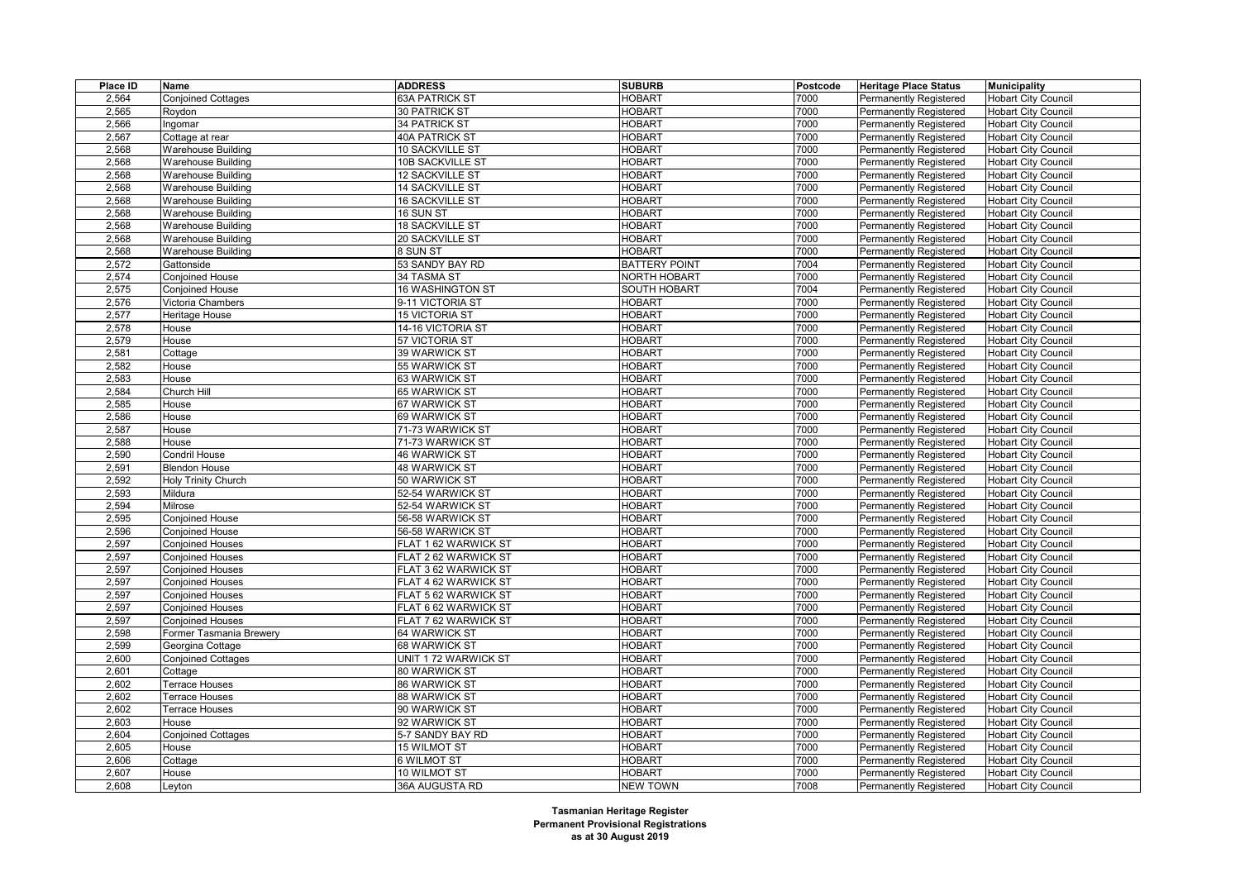| Place ID | Name                      | <b>ADDRESS</b>         | <b>SUBURB</b>        | Postcode     | <b>Heritage Place Status</b>  | <b>Municipality</b>        |
|----------|---------------------------|------------------------|----------------------|--------------|-------------------------------|----------------------------|
| 2,564    | <b>Conjoined Cottages</b> | 63A PATRICK ST         | <b>HOBART</b>        | 7000         | <b>Permanently Registered</b> | <b>Hobart City Council</b> |
| 2,565    | Roydon                    | 30 PATRICK ST          | <b>HOBART</b>        | 7000         | <b>Permanently Registered</b> | <b>Hobart City Council</b> |
| 2,566    | Ingomar                   | 34 PATRICK ST          | <b>HOBART</b>        | 7000         | <b>Permanently Registered</b> | <b>Hobart City Council</b> |
| 2,567    | Cottage at rear           | 40A PATRICK ST         | <b>HOBART</b>        | 7000         | Permanently Registered        | <b>Hobart City Council</b> |
| 2,568    | <b>Warehouse Building</b> | <b>10 SACKVILLE ST</b> | <b>HOBART</b>        | 7000         | <b>Permanently Registered</b> | <b>Hobart City Council</b> |
| 2,568    | <b>Warehouse Building</b> | 10B SACKVILLE ST       | <b>HOBART</b>        | 7000         | <b>Permanently Registered</b> | <b>Hobart City Council</b> |
| 2,568    | Warehouse Building        | <b>12 SACKVILLE ST</b> | <b>HOBART</b>        | 7000         | Permanently Registered        | <b>Hobart City Council</b> |
| 2,568    | <b>Warehouse Building</b> | 14 SACKVILLE ST        | <b>HOBART</b>        | 7000         | <b>Permanently Registered</b> | <b>Hobart City Council</b> |
| 2,568    | Warehouse Building        | <b>16 SACKVILLE ST</b> | <b>HOBART</b>        | 7000         | <b>Permanently Registered</b> | <b>Hobart City Council</b> |
| 2,568    | <b>Warehouse Building</b> | 16 SUN ST              | <b>HOBART</b>        | 7000         | <b>Permanently Registered</b> | <b>Hobart City Council</b> |
| 2,568    | <b>Warehouse Building</b> | <b>18 SACKVILLE ST</b> | <b>HOBART</b>        | 7000         | <b>Permanently Registered</b> | <b>Hobart City Council</b> |
| 2,568    | Warehouse Building        | 20 SACKVILLE ST        | <b>HOBART</b>        | 7000         | Permanently Registered        | <b>Hobart City Council</b> |
| 2,568    | <b>Warehouse Building</b> | 8 SUN ST               | <b>HOBART</b>        | 7000         | Permanently Registered        | <b>Hobart City Council</b> |
| 2,572    | Gattonside                | 53 SANDY BAY RD        | <b>BATTERY POINT</b> | 7004         | <b>Permanently Registered</b> | <b>Hobart City Council</b> |
| 2,574    | Conjoined House           | 34 TASMA ST            | <b>NORTH HOBART</b>  | 7000         | Permanently Registered        | <b>Hobart City Council</b> |
| 2,575    | Conjoined House           | 16 WASHINGTON ST       | <b>SOUTH HOBART</b>  | 7004         | Permanently Registered        | <b>Hobart City Council</b> |
| 2,576    | Victoria Chambers         | 9-11 VICTORIA ST       | <b>HOBART</b>        | 7000         | <b>Permanently Registered</b> | <b>Hobart City Council</b> |
| 2,577    | Heritage House            | <b>15 VICTORIA ST</b>  | <b>HOBART</b>        | 7000         | Permanently Registered        | <b>Hobart City Council</b> |
| 2,578    | House                     | 14-16 VICTORIA ST      | <b>HOBART</b>        | 7000         | Permanently Registered        | <b>Hobart City Council</b> |
| 2,579    | House                     | 57 VICTORIA ST         | <b>HOBART</b>        | 7000         | <b>Permanently Registered</b> | <b>Hobart City Council</b> |
| 2,581    | Cottage                   | 39 WARWICK ST          | <b>HOBART</b>        | 7000         | Permanently Registered        | <b>Hobart City Council</b> |
| 2,582    | House                     | 55 WARWICK ST          | <b>HOBART</b>        | 7000         | <b>Permanently Registered</b> | <b>Hobart City Council</b> |
| 2,583    | House                     | 63 WARWICK ST          | <b>HOBART</b>        | 7000         | Permanently Registered        | <b>Hobart City Council</b> |
| 2,584    | Church Hill               | 65 WARWICK ST          | <b>HOBART</b>        | 7000         | <b>Permanently Registered</b> | <b>Hobart City Council</b> |
| 2,585    | House                     | 67 WARWICK ST          | <b>HOBART</b>        | 7000         | <b>Permanently Registered</b> | <b>Hobart City Council</b> |
| 2,586    | House                     | 69 WARWICK ST          | <b>HOBART</b>        | 7000         | Permanently Registered        | <b>Hobart City Council</b> |
| 2,587    | House                     | 71-73 WARWICK ST       | <b>HOBART</b>        | 7000         | <b>Permanently Registered</b> | <b>Hobart City Council</b> |
| 2,588    | House                     | 71-73 WARWICK ST       | <b>HOBART</b>        | 7000         | <b>Permanently Registered</b> | <b>Hobart City Council</b> |
| 2,590    | Condril House             | <b>46 WARWICK ST</b>   | <b>HOBART</b>        | 7000         | Permanently Registered        | <b>Hobart City Council</b> |
| 2,591    | <b>Blendon House</b>      | <b>48 WARWICK ST</b>   | <b>HOBART</b>        | 7000         | <b>Permanently Registered</b> | <b>Hobart City Council</b> |
| 2,592    | Holy Trinity Church       | 50 WARWICK ST          | <b>HOBART</b>        | 7000         | <b>Permanently Registered</b> | <b>Hobart City Council</b> |
| 2,593    | Mildura                   | 52-54 WARWICK ST       | <b>HOBART</b>        | 7000         | Permanently Registered        | <b>Hobart City Council</b> |
| 2,594    | Milrose                   | 52-54 WARWICK ST       | <b>HOBART</b>        | 7000         | <b>Permanently Registered</b> | <b>Hobart City Council</b> |
| 2,595    | Conjoined House           | 56-58 WARWICK ST       | <b>HOBART</b>        | 7000         | <b>Permanently Registered</b> | <b>Hobart City Council</b> |
| 2,596    | <b>Conjoined House</b>    | 56-58 WARWICK ST       | <b>HOBART</b>        | 7000         | Permanently Registered        | <b>Hobart City Council</b> |
|          |                           |                        | <b>HOBART</b>        |              |                               |                            |
| 2,597    | <b>Conjoined Houses</b>   | FLAT 1 62 WARWICK ST   |                      | 7000         | <b>Permanently Registered</b> | <b>Hobart City Council</b> |
| 2,597    | <b>Conjoined Houses</b>   | FLAT 2 62 WARWICK ST   | <b>HOBART</b>        | 7000<br>7000 | Permanently Registered        | <b>Hobart City Council</b> |
| 2,597    | <b>Conjoined Houses</b>   | FLAT 3 62 WARWICK ST   | <b>HOBART</b>        |              | <b>Permanently Registered</b> | <b>Hobart City Council</b> |
| 2,597    | <b>Conjoined Houses</b>   | FLAT 4 62 WARWICK ST   | <b>HOBART</b>        | 7000         | <b>Permanently Registered</b> | <b>Hobart City Council</b> |
| 2,597    | <b>Conjoined Houses</b>   | FLAT 5 62 WARWICK ST   | <b>HOBART</b>        | 7000         | Permanently Registered        | <b>Hobart City Council</b> |
| 2,597    | <b>Conjoined Houses</b>   | FLAT 6 62 WARWICK ST   | <b>HOBART</b>        | 7000         | <b>Permanently Registered</b> | <b>Hobart City Council</b> |
| 2,597    | <b>Conjoined Houses</b>   | FLAT 7 62 WARWICK ST   | <b>HOBART</b>        | 7000         | <b>Permanently Registered</b> | <b>Hobart City Council</b> |
| 2,598    | Former Tasmania Brewery   | 64 WARWICK ST          | HOBART               | 7000         | Permanently Registered        | <b>Hobart City Council</b> |
| 2,599    | Georgina Cottage          | 68 WARWICK ST          | <b>HOBART</b>        | 7000         | <b>Permanently Registered</b> | <b>Hobart City Council</b> |
| 2,600    | <b>Conjoined Cottages</b> | UNIT 1 72 WARWICK ST   | <b>HOBART</b>        | 7000         | <b>Permanently Registered</b> | <b>Hobart City Council</b> |
| 2,601    | Cottage                   | 80 WARWICK ST          | <b>HOBART</b>        | 7000         | Permanently Registered        | <b>Hobart City Council</b> |
| 2,602    | Terrace Houses            | 86 WARWICK ST          | <b>HOBART</b>        | 7000         | <b>Permanently Registered</b> | <b>Hobart City Council</b> |
| 2,602    | Terrace Houses            | 88 WARWICK ST          | <b>HOBART</b>        | 7000         | <b>Permanently Registered</b> | <b>Hobart City Council</b> |
| 2,602    | <b>Terrace Houses</b>     | 90 WARWICK ST          | <b>HOBART</b>        | 7000         | Permanently Registered        | <b>Hobart City Council</b> |
| 2,603    | House                     | 92 WARWICK ST          | <b>HOBART</b>        | 7000         | <b>Permanently Registered</b> | <b>Hobart City Council</b> |
| 2,604    | <b>Conjoined Cottages</b> | 5-7 SANDY BAY RD       | <b>HOBART</b>        | 7000         | <b>Permanently Registered</b> | <b>Hobart City Council</b> |
| 2,605    | House                     | 15 WILMOT ST           | <b>HOBART</b>        | 7000         | <b>Permanently Registered</b> | <b>Hobart City Council</b> |
| 2,606    | Cottage                   | 6 WILMOT ST            | <b>HOBART</b>        | 7000         | Permanently Registered        | <b>Hobart City Council</b> |
| 2,607    | House                     | 10 WILMOT ST           | <b>HOBART</b>        | 7000         | <b>Permanently Registered</b> | <b>Hobart City Council</b> |
| 2,608    | Leyton                    | 36A AUGUSTA RD         | <b>NEW TOWN</b>      | 7008         | <b>Permanently Registered</b> | <b>Hobart City Council</b> |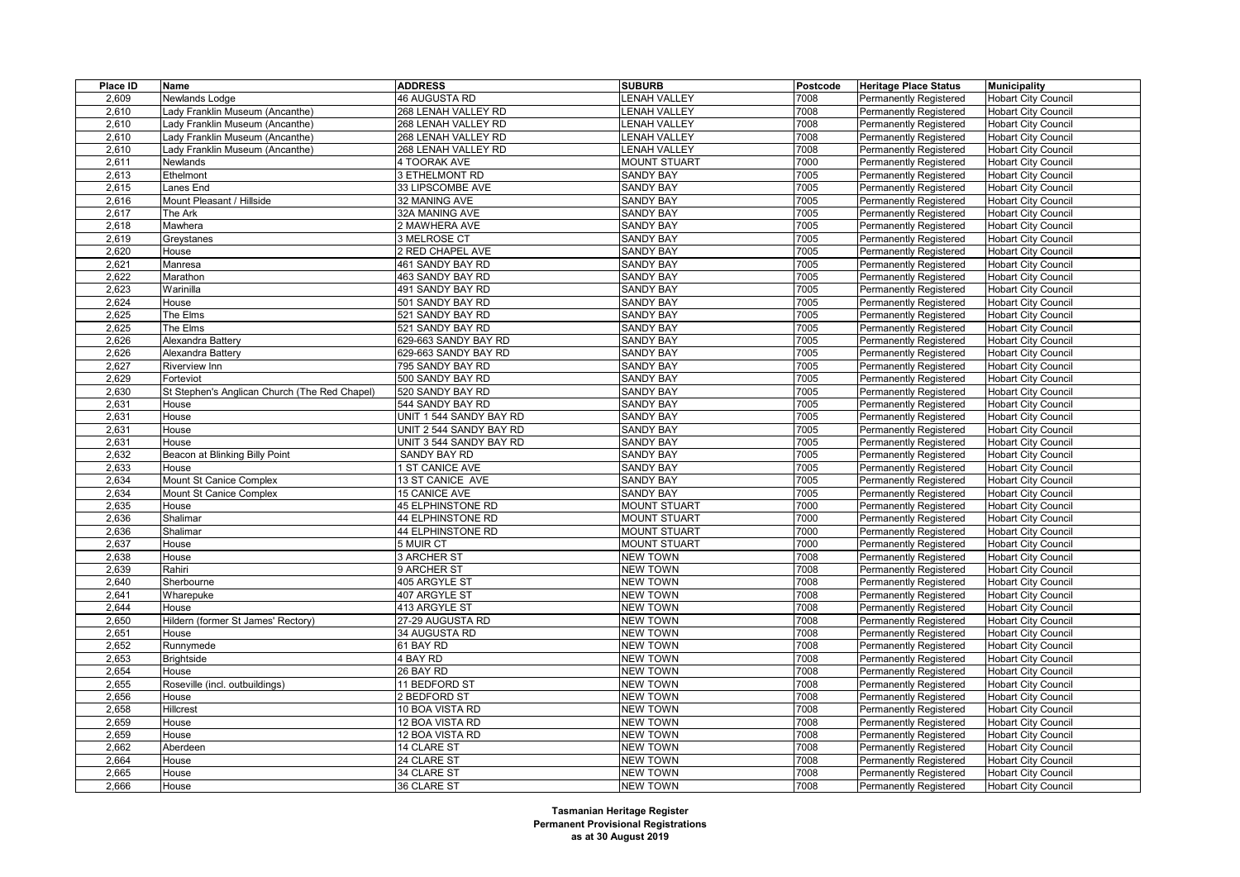| Place ID | Name                                          | <b>ADDRESS</b>          | <b>SUBURB</b>       | Postcode     | <b>Heritage Place Status</b>                                   | <b>Municipality</b>        |
|----------|-----------------------------------------------|-------------------------|---------------------|--------------|----------------------------------------------------------------|----------------------------|
| 2,609    | Newlands Lodge                                | 46 AUGUSTA RD           | <b>LENAH VALLEY</b> | 7008         | Permanently Registered                                         | <b>Hobart City Council</b> |
| 2,610    | Lady Franklin Museum (Ancanthe)               | 268 LENAH VALLEY RD     | <b>ENAH VALLEY</b>  | 7008         | Permanently Registered                                         | <b>Hobart City Council</b> |
| 2,610    | Lady Franklin Museum (Ancanthe)               | 268 LENAH VALLEY RD     | <b>ENAH VALLEY</b>  | 7008         | <b>Permanently Registered</b>                                  | <b>Hobart City Council</b> |
| 2,610    | Lady Franklin Museum (Ancanthe)               | 268 LENAH VALLEY RD     | <b>ENAH VALLEY</b>  | 7008         | <b>Permanently Registered</b>                                  | <b>Hobart City Council</b> |
| 2,610    | Lady Franklin Museum (Ancanthe)               | 268 LENAH VALLEY RD     | <b>ENAH VALLEY</b>  | 7008         | <b>Permanently Registered</b>                                  | <b>Hobart City Council</b> |
| 2,611    | Newlands                                      | 4 TOORAK AVE            | <b>MOUNT STUART</b> | 7000         | <b>Permanently Registered</b>                                  | <b>Hobart City Council</b> |
| 2,613    | Ethelmont                                     | 3 ETHELMONT RD          | <b>SANDY BAY</b>    | 7005         | Permanently Registered                                         | <b>Hobart City Council</b> |
| 2,615    | Lanes End                                     | 33 LIPSCOMBE AVE        | <b>SANDY BAY</b>    | 7005         | <b>Permanently Registered</b>                                  | <b>Hobart City Council</b> |
| 2,616    | Mount Pleasant / Hillside                     | 32 MANING AVE           | <b>SANDY BAY</b>    | 7005         | <b>Permanently Registered</b>                                  | <b>Hobart City Council</b> |
| 2,617    | The Ark                                       | 32A MANING AVE          | <b>SANDY BAY</b>    | 7005         | <b>Permanently Registered</b>                                  | <b>Hobart City Council</b> |
| 2,618    | Mawhera                                       | 2 MAWHERA AVE           | <b>SANDY BAY</b>    | 7005         | <b>Permanently Registered</b>                                  | <b>Hobart City Council</b> |
| 2,619    | Greystanes                                    | 3 MELROSE CT            | <b>SANDY BAY</b>    | 7005         | <b>Permanently Registered</b>                                  | <b>Hobart City Council</b> |
| 2,620    | House                                         | 2 RED CHAPEL AVE        | <b>SANDY BAY</b>    | 7005         | <b>Permanently Registered</b>                                  | <b>Hobart City Council</b> |
| 2,621    | Manresa                                       | 461 SANDY BAY RD        | <b>SANDY BAY</b>    | 7005         | <b>Permanently Registered</b>                                  | <b>Hobart City Council</b> |
| 2,622    | Marathon                                      | 463 SANDY BAY RD        | <b>SANDY BAY</b>    | 7005         | <b>Permanently Registered</b>                                  | <b>Hobart City Council</b> |
| 2,623    | Warinilla                                     | 491 SANDY BAY RD        | <b>SANDY BAY</b>    | 7005         | <b>Permanently Registered</b>                                  | <b>Hobart City Council</b> |
| 2,624    | House                                         | 501 SANDY BAY RD        | <b>SANDY BAY</b>    | 7005         | <b>Permanently Registered</b>                                  | <b>Hobart City Council</b> |
| 2.625    | The Elms                                      | 521 SANDY BAY RD        | <b>SANDY BAY</b>    | 7005         | Permanently Registered                                         | <b>Hobart City Council</b> |
| 2,625    | The Elms                                      | 521 SANDY BAY RD        | <b>SANDY BAY</b>    | 7005         | <b>Permanently Registered</b>                                  | <b>Hobart City Council</b> |
| 2,626    | Alexandra Battery                             | 629-663 SANDY BAY RD    | <b>SANDY BAY</b>    | 7005         | <b>Permanently Registered</b>                                  | <b>Hobart City Council</b> |
| 2,626    | Alexandra Battery                             | 629-663 SANDY BAY RD    | <b>SANDY BAY</b>    | 7005         | <b>Permanently Registered</b>                                  | <b>Hobart City Council</b> |
| 2,627    | <b>Riverview Inn</b>                          | 795 SANDY BAY RD        | <b>SANDY BAY</b>    | 7005         | <b>Permanently Registered</b>                                  | <b>Hobart City Council</b> |
| 2,629    | Forteviot                                     | 500 SANDY BAY RD        | <b>SANDY BAY</b>    | 7005         | <b>Permanently Registered</b>                                  | <b>Hobart City Council</b> |
| 2,630    | St Stephen's Anglican Church (The Red Chapel) | 520 SANDY BAY RD        | <b>SANDY BAY</b>    | 7005         | <b>Permanently Registered</b>                                  | <b>Hobart City Council</b> |
| 2,631    | House                                         | 544 SANDY BAY RD        | <b>SANDY BAY</b>    | 7005         | <b>Permanently Registered</b>                                  | <b>Hobart City Council</b> |
| 2,631    | House                                         | UNIT 1 544 SANDY BAY RD | <b>SANDY BAY</b>    | 7005         | Permanently Registered                                         | <b>Hobart City Council</b> |
| 2,631    | House                                         | UNIT 2 544 SANDY BAY RD | <b>SANDY BAY</b>    | 7005         | <b>Permanently Registered</b>                                  | <b>Hobart City Council</b> |
| 2,631    | House                                         | UNIT 3 544 SANDY BAY RD | <b>SANDY BAY</b>    | 7005         | <b>Permanently Registered</b>                                  | <b>Hobart City Council</b> |
| 2,632    | Beacon at Blinking Billy Point                | SANDY BAY RD            | <b>SANDY BAY</b>    | 7005         | <b>Permanently Registered</b>                                  | <b>Hobart City Council</b> |
| 2,633    | House                                         | 1 ST CANICE AVE         | <b>SANDY BAY</b>    | 7005         | <b>Permanently Registered</b>                                  | <b>Hobart City Council</b> |
| 2,634    | Mount St Canice Complex                       | 13 ST CANICE AVE        | <b>SANDY BAY</b>    | 7005         | <b>Permanently Registered</b>                                  | <b>Hobart City Council</b> |
| 2,634    | Mount St Canice Complex                       | 15 CANICE AVE           | <b>SANDY BAY</b>    | 7005         | Permanently Registered                                         | <b>Hobart City Council</b> |
| 2,635    | House                                         | 45 ELPHINSTONE RD       | <b>MOUNT STUART</b> | 7000         | Permanently Registered                                         | <b>Hobart City Council</b> |
| 2,636    | Shalimar                                      | 44 ELPHINSTONE RD       | <b>MOUNT STUART</b> | 7000         | <b>Permanently Registered</b>                                  | <b>Hobart City Council</b> |
| 2,636    | Shalimar                                      | 44 ELPHINSTONE RD       | <b>MOUNT STUART</b> | 7000         | <b>Permanently Registered</b>                                  | <b>Hobart City Council</b> |
| 2,637    | House                                         | 5 MUIR CT               | <b>MOUNT STUART</b> | 7000         | Permanently Registered                                         | <b>Hobart City Council</b> |
| 2,638    | House                                         | 3 ARCHER ST             | <b>NEW TOWN</b>     | 7008         | <b>Permanently Registered</b>                                  | <b>Hobart City Council</b> |
| 2,639    | Rahiri                                        | 9 ARCHER ST             | <b>NEW TOWN</b>     | 7008         | <b>Permanently Registered</b>                                  | <b>Hobart City Council</b> |
| 2,640    | Sherbourne                                    | 405 ARGYLE ST           | <b>NEW TOWN</b>     | 7008         | <b>Permanently Registered</b>                                  | <b>Hobart City Council</b> |
| 2,641    | Wharepuke                                     | 407 ARGYLE ST           | <b>NEW TOWN</b>     | 7008         | <b>Permanently Registered</b>                                  | <b>Hobart City Council</b> |
| 2,644    | House                                         | 413 ARGYLE ST           | <b>NEW TOWN</b>     | 7008         | <b>Permanently Registered</b>                                  | <b>Hobart City Council</b> |
| 2,650    | Hildern (former St James' Rectory)            | 27-29 AUGUSTA RD        | <b>NEW TOWN</b>     | 7008         | <b>Permanently Registered</b>                                  | <b>Hobart City Council</b> |
| 2,651    | House                                         | 34 AUGUSTA RD           | <b>NEW TOWN</b>     | 7008         | <b>Permanently Registered</b>                                  | <b>Hobart City Council</b> |
| 2,652    | Runnymede                                     | 61 BAY RD               | <b>NEW TOWN</b>     | 7008         | <b>Permanently Registered</b>                                  | <b>Hobart City Council</b> |
| 2,653    | <b>Brightside</b>                             | 4 BAY RD                | <b>NEW TOWN</b>     | 7008         | <b>Permanently Registered</b>                                  | <b>Hobart City Council</b> |
| 2,654    | House                                         | 26 BAY RD               | <b>NEW TOWN</b>     | 7008         |                                                                | <b>Hobart City Council</b> |
| 2,655    | Roseville (incl. outbuildings)                | 11 BEDFORD ST           | <b>NEW TOWN</b>     | 7008         | <b>Permanently Registered</b><br><b>Permanently Registered</b> | <b>Hobart City Council</b> |
| 2,656    | House                                         | 2 BEDFORD ST            | <b>NEW TOWN</b>     | 7008         | <b>Permanently Registered</b>                                  | <b>Hobart City Council</b> |
| 2,658    | Hillcrest                                     | 10 BOA VISTA RD         | <b>NEW TOWN</b>     | 7008         |                                                                |                            |
|          |                                               |                         | <b>NEW TOWN</b>     |              | <b>Permanently Registered</b>                                  | <b>Hobart City Council</b> |
| 2,659    | House<br>House                                | 12 BOA VISTA RD         | <b>NEW TOWN</b>     | 7008<br>7008 | Permanently Registered                                         | <b>Hobart City Council</b> |
| 2,659    |                                               | 12 BOA VISTA RD         |                     |              | <b>Permanently Registered</b>                                  | <b>Hobart City Council</b> |
| 2,662    | Aberdeen                                      | 14 CLARE ST             | <b>NEW TOWN</b>     | 7008         | <b>Permanently Registered</b>                                  | <b>Hobart City Council</b> |
| 2,664    | House                                         | 24 CLARE ST             | <b>NEW TOWN</b>     | 7008         | <b>Permanently Registered</b>                                  | <b>Hobart City Council</b> |
| 2,665    | House                                         | 34 CLARE ST             | <b>NEW TOWN</b>     | 7008         | Permanently Registered                                         | <b>Hobart City Council</b> |
| 2,666    | House                                         | 36 CLARE ST             | <b>NEW TOWN</b>     | 7008         | Permanently Registered                                         | <b>Hobart City Council</b> |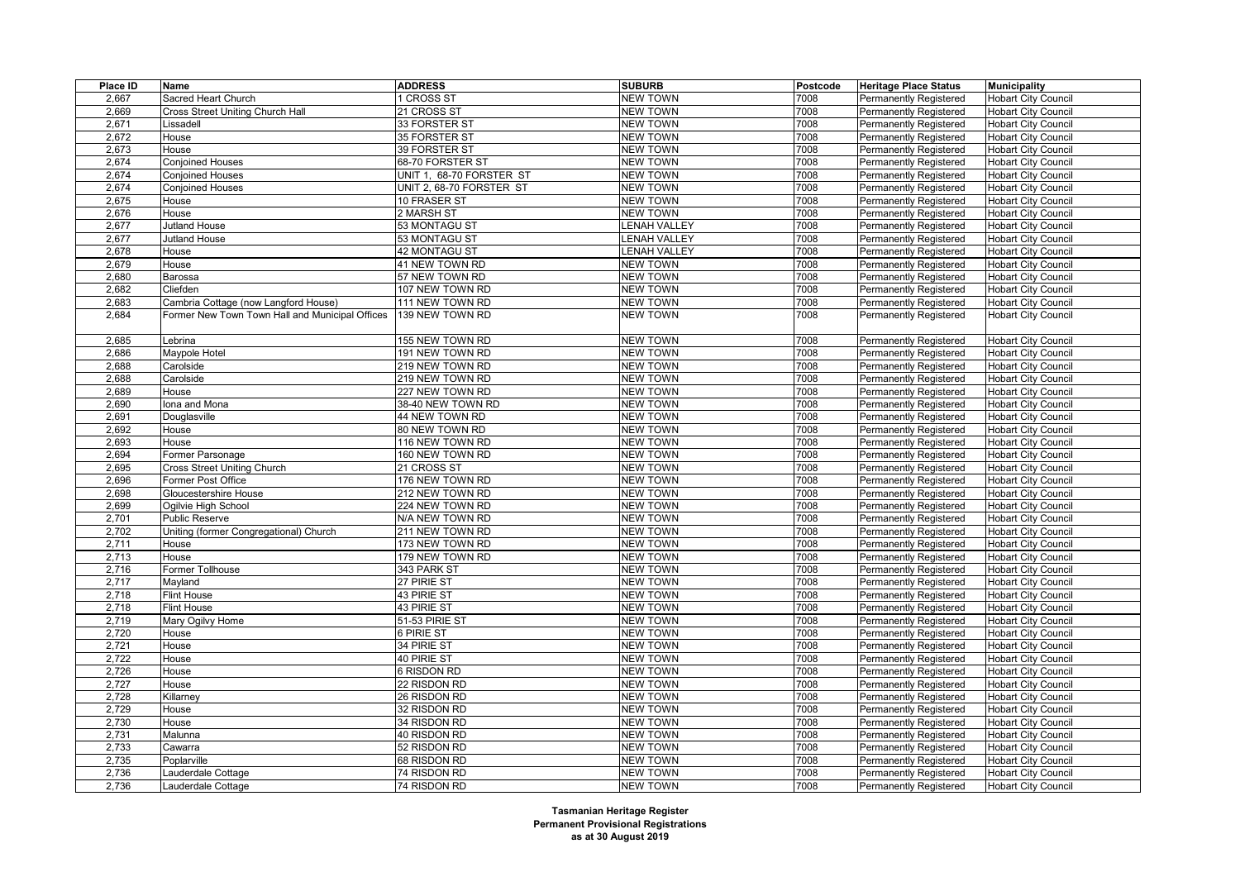| Place ID | Name                                            | <b>ADDRESS</b>           | <b>SUBURB</b>       | Postcode | <b>Heritage Place Status</b>  | <b>Municipality</b>        |
|----------|-------------------------------------------------|--------------------------|---------------------|----------|-------------------------------|----------------------------|
| 2,667    | Sacred Heart Church                             | <b>I CROSS ST</b>        | <b>NEW TOWN</b>     | 7008     | <b>Permanently Registered</b> | <b>Hobart City Council</b> |
| 2,669    | Cross Street Uniting Church Hall                | 21 CROSS ST              | <b>NEW TOWN</b>     | 7008     | <b>Permanently Registered</b> | <b>Hobart City Council</b> |
| 2,671    | Lissadell                                       | 33 FORSTER ST            | <b>NEW TOWN</b>     | 7008     | <b>Permanently Registered</b> | <b>Hobart City Council</b> |
| 2,672    | House                                           | 35 FORSTER ST            | <b>NEW TOWN</b>     | 7008     | Permanently Registered        | <b>Hobart City Council</b> |
| 2,673    | House                                           | 39 FORSTER ST            | <b>NEW TOWN</b>     | 7008     | <b>Permanently Registered</b> | <b>Hobart City Council</b> |
| 2,674    | Conjoined Houses                                | 68-70 FORSTER ST         | <b>NEW TOWN</b>     | 7008     | Permanently Registered        | <b>Hobart City Council</b> |
| 2,674    | <b>Conjoined Houses</b>                         | UNIT 1, 68-70 FORSTER ST | <b>NEW TOWN</b>     | 7008     | <b>Permanently Registered</b> | <b>Hobart City Council</b> |
| 2,674    | <b>Conjoined Houses</b>                         | UNIT 2, 68-70 FORSTER ST | <b>NEW TOWN</b>     | 7008     | <b>Permanently Registered</b> | <b>Hobart City Council</b> |
| 2,675    | House                                           | 10 FRASER ST             | <b>NEW TOWN</b>     | 7008     | <b>Permanently Registered</b> | <b>Hobart City Council</b> |
| 2,676    | House                                           | 2 MARSH ST               | <b>NEW TOWN</b>     | 7008     | Permanently Registered        | <b>Hobart City Council</b> |
| 2,677    | Jutland House                                   | 53 MONTAGU ST            | <b>LENAH VALLEY</b> | 7008     | <b>Permanently Registered</b> | <b>Hobart City Council</b> |
| 2,677    | Jutland House                                   | 53 MONTAGU ST            | <b>LENAH VALLEY</b> | 7008     | Permanently Registered        | <b>Hobart City Council</b> |
| 2,678    | House                                           | 42 MONTAGU ST            | <b>ENAH VALLEY</b>  | 7008     | Permanently Registered        | <b>Hobart City Council</b> |
| 2,679    | House                                           | 41 NEW TOWN RD           | <b>NEW TOWN</b>     | 7008     | <b>Permanently Registered</b> | <b>Hobart City Council</b> |
| 2,680    | Barossa                                         | 57 NEW TOWN RD           | <b>NEW TOWN</b>     | 7008     | <b>Permanently Registered</b> | <b>Hobart City Council</b> |
| 2,682    | Cliefden                                        | 107 NEW TOWN RD          | <b>NEW TOWN</b>     | 7008     | Permanently Registered        | <b>Hobart City Council</b> |
| 2,683    | Cambria Cottage (now Langford House)            | 111 NEW TOWN RD          | <b>NEW TOWN</b>     | 7008     | <b>Permanently Registered</b> | <b>Hobart City Council</b> |
| 2,684    | Former New Town Town Hall and Municipal Offices | 139 NEW TOWN RD          | <b>NEW TOWN</b>     | 7008     | <b>Permanently Registered</b> | <b>Hobart City Council</b> |
|          |                                                 |                          |                     |          |                               |                            |
| 2,685    | Lebrina                                         | 155 NEW TOWN RD          | <b>NEW TOWN</b>     | 7008     | <b>Permanently Registered</b> | <b>Hobart City Council</b> |
| 2,686    | Maypole Hotel                                   | 191 NEW TOWN RD          | <b>NEW TOWN</b>     | 7008     | <b>Permanently Registered</b> | <b>Hobart City Council</b> |
| 2,688    | Carolside                                       | 219 NEW TOWN RD          | <b>NEW TOWN</b>     | 7008     | <b>Permanently Registered</b> | <b>Hobart City Council</b> |
| 2,688    | Carolside                                       | 219 NEW TOWN RD          | <b>NEW TOWN</b>     | 7008     | <b>Permanently Registered</b> | <b>Hobart City Council</b> |
| 2,689    | House                                           | 227 NEW TOWN RD          | <b>NEW TOWN</b>     | 7008     | <b>Permanently Registered</b> | <b>Hobart City Council</b> |
| 2,690    | lona and Mona                                   | 38-40 NEW TOWN RD        | <b>NEW TOWN</b>     | 7008     | Permanently Registered        | <b>Hobart City Council</b> |
| 2,691    | Douglasville                                    | 44 NEW TOWN RD           | <b>NEW TOWN</b>     | 7008     | <b>Permanently Registered</b> | <b>Hobart City Council</b> |
| 2,692    | House                                           | 80 NEW TOWN RD           | <b>NEW TOWN</b>     | 7008     | <b>Permanently Registered</b> | <b>Hobart City Council</b> |
| 2,693    | House                                           | 116 NEW TOWN RD          | <b>NEW TOWN</b>     | 7008     | Permanently Registered        | <b>Hobart City Council</b> |
| 2,694    | Former Parsonage                                | 160 NEW TOWN RD          | <b>NEW TOWN</b>     | 7008     | <b>Permanently Registered</b> | <b>Hobart City Council</b> |
| 2,695    | Cross Street Uniting Church                     | 21 CROSS ST              | <b>NEW TOWN</b>     | 7008     | <b>Permanently Registered</b> | <b>Hobart City Council</b> |
| 2,696    | Former Post Office                              | 176 NEW TOWN RD          | <b>NEW TOWN</b>     | 7008     | Permanently Registered        | <b>Hobart City Council</b> |
| 2,698    | Gloucestershire House                           | 212 NEW TOWN RD          | <b>NEW TOWN</b>     | 7008     | Permanently Registered        | <b>Hobart City Council</b> |
| 2,699    | Ogilvie High School                             | 224 NEW TOWN RD          | <b>NEW TOWN</b>     | 7008     | <b>Permanently Registered</b> | <b>Hobart City Council</b> |
| 2,701    | Public Reserve                                  | N/A NEW TOWN RD          | <b>NEW TOWN</b>     | 7008     | <b>Permanently Registered</b> | <b>Hobart City Council</b> |
| 2,702    | Uniting (former Congregational) Church          | 211 NEW TOWN RD          | <b>NEW TOWN</b>     | 7008     | <b>Permanently Registered</b> | <b>Hobart City Council</b> |
| 2,711    | House                                           | 173 NEW TOWN RD          | <b>NEW TOWN</b>     | 7008     | <b>Permanently Registered</b> | <b>Hobart City Council</b> |
| 2,713    | House                                           | 179 NEW TOWN RD          | <b>NEW TOWN</b>     | 7008     | Permanently Registered        | <b>Hobart City Council</b> |
| 2,716    | Former Tollhouse                                | 343 PARK ST              | <b>NEW TOWN</b>     | 7008     | <b>Permanently Registered</b> | <b>Hobart City Council</b> |
| 2,717    | Mayland                                         | 27 PIRIE ST              | <b>NEW TOWN</b>     | 7008     | <b>Permanently Registered</b> | <b>Hobart City Council</b> |
| 2,718    | <b>Flint House</b>                              | 43 PIRIE ST              | <b>NEW TOWN</b>     | 7008     | <b>Permanently Registered</b> | <b>Hobart City Council</b> |
| 2,718    | <b>Flint House</b>                              | 43 PIRIE ST              | <b>NEW TOWN</b>     | 7008     | <b>Permanently Registered</b> | <b>Hobart City Council</b> |
| 2,719    | Mary Ogilvy Home                                | 51-53 PIRIE ST           | <b>NEW TOWN</b>     | 7008     | <b>Permanently Registered</b> | <b>Hobart City Council</b> |
| 2,720    | House                                           | 6 PIRIE ST               | <b>NEW TOWN</b>     | 7008     | Permanently Registered        | <b>Hobart City Council</b> |
| 2,721    | House                                           | 34 PIRIE ST              | <b>NEW TOWN</b>     | 7008     | <b>Permanently Registered</b> | <b>Hobart City Council</b> |
| 2,722    | House                                           | 40 PIRIE ST              | <b>NEW TOWN</b>     | 7008     | <b>Permanently Registered</b> | <b>Hobart City Council</b> |
| 2,726    | House                                           | 6 RISDON RD              | <b>NEW TOWN</b>     | 7008     | <b>Permanently Registered</b> | <b>Hobart City Council</b> |
| 2,727    | House                                           | 22 RISDON RD             | <b>NEW TOWN</b>     | 7008     | <b>Permanently Registered</b> | <b>Hobart City Council</b> |
| 2,728    | Killarney                                       | 26 RISDON RD             | <b>NEW TOWN</b>     | 7008     | <b>Permanently Registered</b> | <b>Hobart City Council</b> |
| 2,729    | House                                           | 32 RISDON RD             | <b>NEW TOWN</b>     | 7008     | <b>Permanently Registered</b> | <b>Hobart City Council</b> |
| 2,730    | House                                           | 34 RISDON RD             | <b>NEW TOWN</b>     | 7008     | <b>Permanently Registered</b> | <b>Hobart City Council</b> |
| 2,731    | Malunna                                         | 40 RISDON RD             | <b>NEW TOWN</b>     | 7008     | <b>Permanently Registered</b> | <b>Hobart City Council</b> |
| 2,733    | Cawarra                                         | 52 RISDON RD             | <b>NEW TOWN</b>     | 7008     | <b>Permanently Registered</b> | <b>Hobart City Council</b> |
| 2,735    | Poplarville                                     | 68 RISDON RD             | <b>NEW TOWN</b>     | 7008     | Permanently Registered        | <b>Hobart City Council</b> |
| 2,736    | auderdale Cottage                               | 74 RISDON RD             | <b>NEW TOWN</b>     | 7008     | <b>Permanently Registered</b> | <b>Hobart City Council</b> |
| 2,736    | Lauderdale Cottage                              | 74 RISDON RD             | <b>NEW TOWN</b>     | 7008     | <b>Permanently Registered</b> | <b>Hobart City Council</b> |
|          |                                                 |                          |                     |          |                               |                            |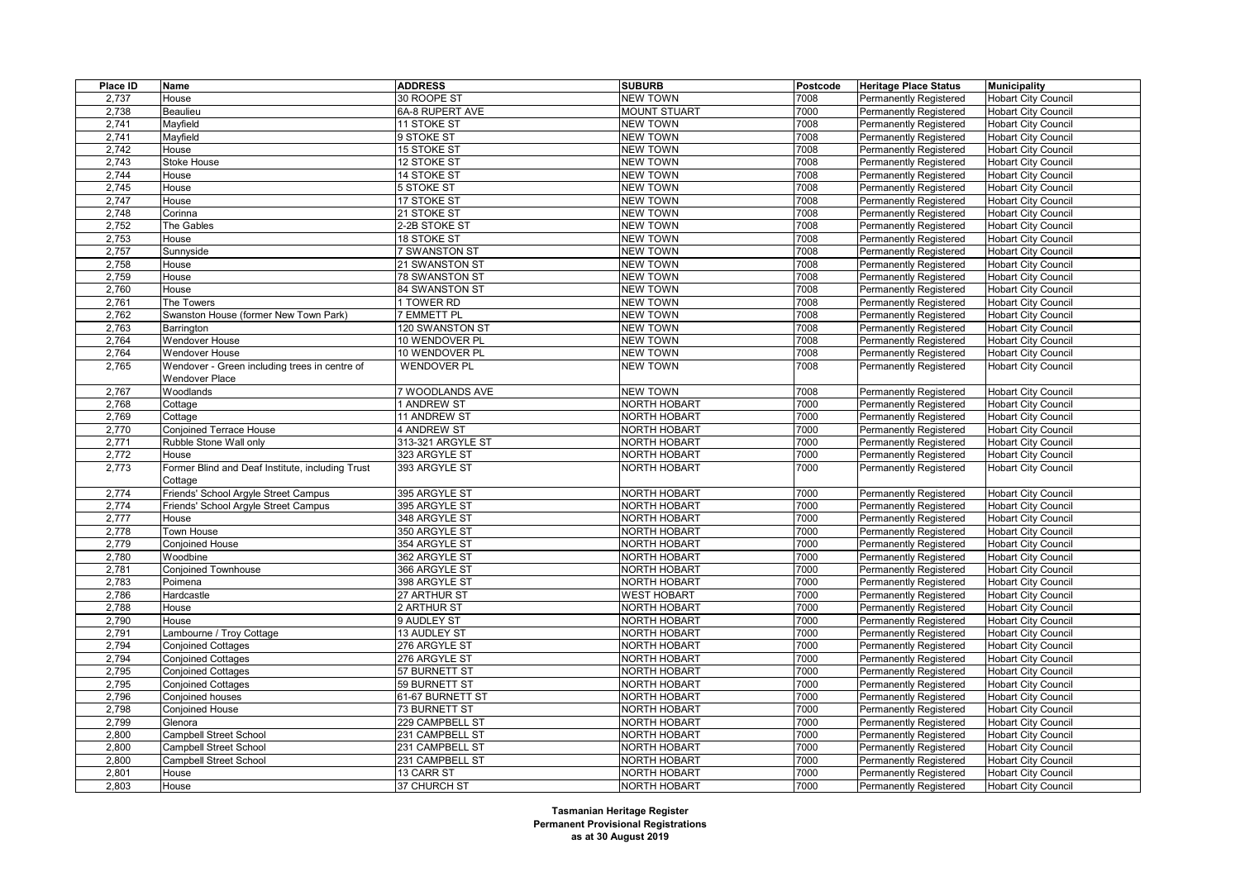| Place ID | Name                                             | <b>ADDRESS</b>       | <b>SUBURB</b>       | Postcode | <b>Heritage Place Status</b>  | <b>Municipality</b>        |
|----------|--------------------------------------------------|----------------------|---------------------|----------|-------------------------------|----------------------------|
| 2,737    | House                                            | 30 ROOPE ST          | <b>NEW TOWN</b>     | 7008     | <b>Permanently Registered</b> | <b>Hobart City Council</b> |
| 2,738    | Beaulieu                                         | 6A-8 RUPERT AVE      | <b>MOUNT STUART</b> | 7000     | <b>Permanently Registered</b> | <b>Hobart City Council</b> |
| 2,741    | Mayfield                                         | 11 STOKE ST          | <b>NEW TOWN</b>     | 7008     | <b>Permanently Registered</b> | <b>Hobart City Council</b> |
| 2,741    | Mayfield                                         | 9 STOKE ST           | <b>NEW TOWN</b>     | 7008     | Permanently Registered        | <b>Hobart City Council</b> |
| 2,742    | House                                            | 15 STOKE ST          | <b>NEW TOWN</b>     | 7008     | <b>Permanently Registered</b> | <b>Hobart City Council</b> |
| 2,743    | Stoke House                                      | 12 STOKE ST          | <b>NEW TOWN</b>     | 7008     | Permanently Registered        | <b>Hobart City Council</b> |
| 2,744    | House                                            | 14 STOKE ST          | <b>NEW TOWN</b>     | 7008     | Permanently Registered        | Hobart City Council        |
| 2,745    | House                                            | 5 STOKE ST           | <b>NEW TOWN</b>     | 7008     | <b>Permanently Registered</b> | <b>Hobart City Council</b> |
| 2,747    | House                                            | 17 STOKE ST          | <b>NEW TOWN</b>     | 7008     | Permanently Registered        | <b>Hobart City Council</b> |
| 2,748    | Corinna                                          | 21 STOKE ST          | <b>NEW TOWN</b>     | 7008     | <b>Permanently Registered</b> | <b>Hobart City Council</b> |
| 2,752    | The Gables                                       | 2-2B STOKE ST        | <b>NEW TOWN</b>     | 7008     | <b>Permanently Registered</b> | <b>Hobart City Council</b> |
| 2,753    | House                                            | 18 STOKE ST          | <b>NEW TOWN</b>     | 7008     | Permanently Registered        | <b>Hobart City Council</b> |
| 2,757    | Sunnyside                                        | <b>7 SWANSTON ST</b> | <b>NEW TOWN</b>     | 7008     | Permanently Registered        | <b>Hobart City Council</b> |
| 2,758    | House                                            | 21 SWANSTON ST       | <b>NEW TOWN</b>     | 7008     | <b>Permanently Registered</b> | <b>Hobart City Council</b> |
| 2,759    | House                                            | 78 SWANSTON ST       | <b>NEW TOWN</b>     | 7008     | Permanently Registered        | <b>Hobart City Council</b> |
| 2,760    | House                                            | 84 SWANSTON ST       | <b>NEW TOWN</b>     | 7008     | <b>Permanently Registered</b> | <b>Hobart City Council</b> |
| 2,761    | The Towers                                       | 1 TOWER RD           | <b>NEW TOWN</b>     | 7008     | Permanently Registered        | <b>Hobart City Council</b> |
| 2,762    | Swanston House (former New Town Park)            | 7 EMMETT PL          | <b>NEW TOWN</b>     | 7008     | Permanently Registered        | <b>Hobart City Council</b> |
| 2,763    | Barrington                                       | 120 SWANSTON ST      | <b>NEW TOWN</b>     | 7008     | <b>Permanently Registered</b> | <b>Hobart City Council</b> |
| 2,764    | <b>Wendover House</b>                            | 10 WENDOVER PL       | <b>NEW TOWN</b>     | 7008     | Permanently Registered        | <b>Hobart City Council</b> |
| 2,764    | <b>Wendover House</b>                            | 10 WENDOVER PL       | <b>NEW TOWN</b>     | 7008     | <b>Permanently Registered</b> | <b>Hobart City Council</b> |
| 2,765    | Wendover - Green including trees in centre of    | <b>WENDOVER PL</b>   | <b>NEW TOWN</b>     | 7008     | Permanently Registered        | <b>Hobart City Council</b> |
|          | <b>Wendover Place</b>                            |                      |                     |          |                               |                            |
| 2,767    | Woodlands                                        | 7 WOODLANDS AVE      | <b>NEW TOWN</b>     | 7008     | <b>Permanently Registered</b> | <b>Hobart City Council</b> |
| 2,768    | Cottage                                          | 1 ANDREW ST          | <b>NORTH HOBART</b> | 7000     | <b>Permanently Registered</b> | <b>Hobart City Council</b> |
| 2,769    | Cottage                                          | 11 ANDREW ST         | <b>NORTH HOBART</b> | 7000     | Permanently Registered        | <b>Hobart City Council</b> |
| 2,770    | <b>Conjoined Terrace House</b>                   | 4 ANDREW ST          | NORTH HOBART        | 7000     | <b>Permanently Registered</b> | <b>Hobart City Council</b> |
| 2,771    | Rubble Stone Wall only                           | 313-321 ARGYLE ST    | NORTH HOBART        | 7000     | <b>Permanently Registered</b> | <b>Hobart City Council</b> |
| 2,772    | House                                            | 323 ARGYLE ST        | <b>NORTH HOBART</b> | 7000     | Permanently Registered        | <b>Hobart City Council</b> |
| 2,773    | Former Blind and Deaf Institute, including Trust | 393 ARGYLE ST        | <b>NORTH HOBART</b> | 7000     | <b>Permanently Registered</b> | <b>Hobart City Council</b> |
|          | Cottage                                          |                      |                     |          |                               |                            |
| 2,774    | Friends' School Argyle Street Campus             | 395 ARGYLE ST        | <b>NORTH HOBART</b> | 7000     | Permanently Registered        | <b>Hobart City Council</b> |
| 2,774    | Friends' School Argyle Street Campus             | 395 ARGYLE ST        | NORTH HOBART        | 7000     | <b>Permanently Registered</b> | <b>Hobart City Council</b> |
| 2,777    | House                                            | 348 ARGYLE ST        | NORTH HOBART        | 7000     | <b>Permanently Registered</b> | <b>Hobart City Council</b> |
| 2,778    | Town House                                       | 350 ARGYLE ST        | <b>NORTH HOBART</b> | 7000     | <b>Permanently Registered</b> | <b>Hobart City Council</b> |
| 2,779    | Conjoined House                                  | 354 ARGYLE ST        | <b>NORTH HOBART</b> | 7000     | <b>Permanently Registered</b> | <b>Hobart City Council</b> |
| 2,780    | Woodbine                                         | 362 ARGYLE ST        | NORTH HOBART        | 7000     | <b>Permanently Registered</b> | Hobart City Council        |
| 2,781    | <b>Conjoined Townhouse</b>                       | 366 ARGYLE ST        | <b>NORTH HOBART</b> | 7000     | <b>Permanently Registered</b> | <b>Hobart City Council</b> |
| 2,783    | Poimena                                          | 398 ARGYLE ST        | <b>NORTH HOBART</b> | 7000     | <b>Permanently Registered</b> | <b>Hobart City Council</b> |
| 2,786    | Hardcastle                                       | 27 ARTHUR ST         | <b>WEST HOBART</b>  | 7000     | Permanently Registered        | <b>Hobart City Council</b> |
| 2,788    | House                                            | 2 ARTHUR ST          | <b>NORTH HOBART</b> | 7000     | <b>Permanently Registered</b> | <b>Hobart City Council</b> |
| 2,790    | House                                            | 9 AUDLEY ST          | NORTH HOBART        | 7000     | <b>Permanently Registered</b> | <b>Hobart City Council</b> |
| 2,791    | Lambourne / Troy Cottage                         | 13 AUDLEY ST         | <b>NORTH HOBART</b> | 7000     | <b>Permanently Registered</b> | <b>Hobart City Council</b> |
| 2,794    | <b>Conjoined Cottages</b>                        | 276 ARGYLE ST        | <b>NORTH HOBART</b> | 7000     | <b>Permanently Registered</b> | <b>Hobart City Council</b> |
| 2,794    | <b>Conjoined Cottages</b>                        | 276 ARGYLE ST        | NORTH HOBART        | 7000     | <b>Permanently Registered</b> | <b>Hobart City Council</b> |
| 2,795    | <b>Conjoined Cottages</b>                        | 57 BURNETT ST        | <b>NORTH HOBART</b> | 7000     | <b>Permanently Registered</b> | <b>Hobart City Council</b> |
| 2,795    | <b>Conjoined Cottages</b>                        | 59 BURNETT ST        | <b>NORTH HOBART</b> | 7000     | <b>Permanently Registered</b> | <b>Hobart City Council</b> |
| 2,796    | Conjoined houses                                 | 61-67 BURNETT ST     | NORTH HOBART        | 7000     | <b>Permanently Registered</b> | <b>Hobart City Council</b> |
| 2,798    | <b>Conjoined House</b>                           | 73 BURNETT ST        | <b>NORTH HOBART</b> | 7000     | <b>Permanently Registered</b> | <b>Hobart City Council</b> |
| 2,799    | Glenora                                          | 229 CAMPBELL ST      | <b>NORTH HOBART</b> | 7000     | <b>Permanently Registered</b> | <b>Hobart City Council</b> |
| 2,800    | <b>Campbell Street School</b>                    | 231 CAMPBELL ST      | NORTH HOBART        | 7000     | <b>Permanently Registered</b> | <b>Hobart City Council</b> |
| 2,800    | <b>Campbell Street School</b>                    | 231 CAMPBELL ST      | <b>NORTH HOBART</b> | 7000     | <b>Permanently Registered</b> | <b>Hobart City Council</b> |
| 2,800    | <b>Campbell Street School</b>                    | 231 CAMPBELL ST      | <b>NORTH HOBART</b> | 7000     | <b>Permanently Registered</b> | <b>Hobart City Council</b> |
| 2,801    | House                                            | 13 CARR ST           | <b>NORTH HOBART</b> | 7000     | <b>Permanently Registered</b> | <b>Hobart City Council</b> |
| 2,803    | House                                            | 37 CHURCH ST         | <b>NORTH HOBART</b> | 7000     | <b>Permanently Registered</b> | <b>Hobart City Council</b> |
|          |                                                  |                      |                     |          |                               |                            |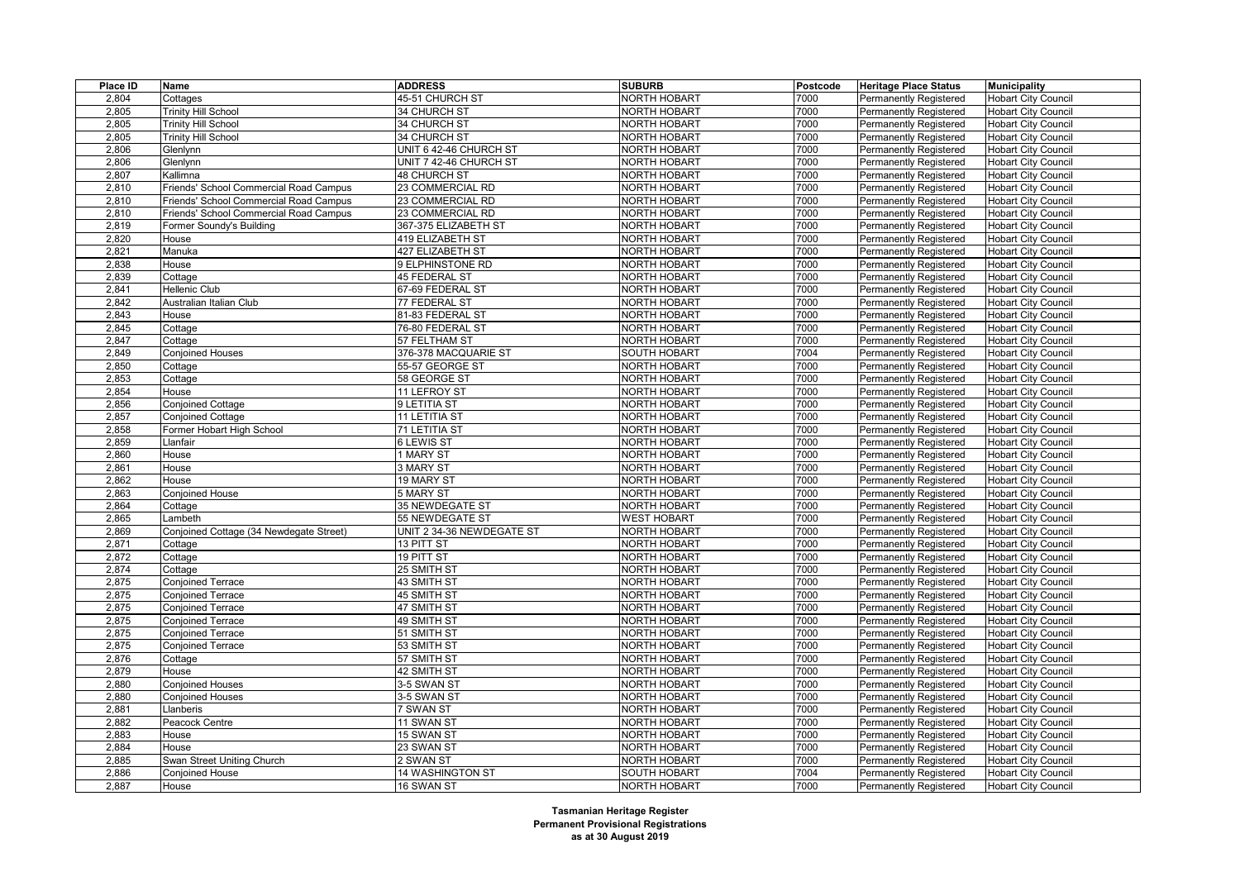| Place ID | Name                                    | <b>ADDRESS</b>            | <b>SUBURB</b>       | Postcode | <b>Heritage Place Status</b>  | <b>Municipality</b>        |
|----------|-----------------------------------------|---------------------------|---------------------|----------|-------------------------------|----------------------------|
| 2,804    | Cottages                                | 45-51 CHURCH ST           | <b>NORTH HOBART</b> | 7000     | <b>Permanently Registered</b> | <b>Hobart City Council</b> |
| 2,805    | <b>Trinity Hill School</b>              | 34 CHURCH ST              | <b>NORTH HOBART</b> | 7000     | <b>Permanently Registered</b> | <b>Hobart City Council</b> |
| 2,805    | <b>Trinity Hill School</b>              | 34 CHURCH ST              | <b>NORTH HOBART</b> | 7000     | <b>Permanently Registered</b> | <b>Hobart City Council</b> |
| 2,805    | <b>Trinity Hill School</b>              | 34 CHURCH ST              | <b>NORTH HOBART</b> | 7000     | Permanently Registered        | <b>Hobart City Council</b> |
| 2,806    | Glenlynn                                | UNIT 6 42-46 CHURCH ST    | <b>NORTH HOBART</b> | 7000     | <b>Permanently Registered</b> | <b>Hobart City Council</b> |
| 2,806    | Glenlynn                                | UNIT 7 42-46 CHURCH ST    | <b>NORTH HOBART</b> | 7000     | <b>Permanently Registered</b> | <b>Hobart City Council</b> |
| 2,807    | Kallimna                                | 48 CHURCH ST              | <b>NORTH HOBART</b> | 7000     | <b>Permanently Registered</b> | <b>Hobart City Council</b> |
| 2,810    | Friends' School Commercial Road Campus  | 23 COMMERCIAL RD          | <b>NORTH HOBART</b> | 7000     | <b>Permanently Registered</b> | <b>Hobart City Council</b> |
| 2,810    | Friends' School Commercial Road Campus  | 23 COMMERCIAL RD          | <b>NORTH HOBART</b> | 7000     | Permanently Registered        | <b>Hobart City Council</b> |
| 2,810    | Friends' School Commercial Road Campus  | 23 COMMERCIAL RD          | <b>NORTH HOBART</b> | 7000     | <b>Permanently Registered</b> | <b>Hobart City Council</b> |
| 2,819    | Former Soundy's Building                | 367-375 ELIZABETH ST      | <b>NORTH HOBART</b> | 7000     | <b>Permanently Registered</b> | <b>Hobart City Council</b> |
| 2,820    | House                                   | 419 ELIZABETH ST          | <b>NORTH HOBART</b> | 7000     | Permanently Registered        | <b>Hobart City Council</b> |
| 2,821    | Manuka                                  | 427 ELIZABETH ST          | NORTH HOBART        | 7000     | Permanently Registered        | <b>Hobart City Council</b> |
| 2,838    | House                                   | 9 ELPHINSTONE RD          | <b>NORTH HOBART</b> | 7000     | <b>Permanently Registered</b> | <b>Hobart City Council</b> |
| 2,839    | Cottage                                 | 45 FEDERAL ST             | NORTH HOBART        | 7000     | Permanently Registered        | <b>Hobart City Council</b> |
| 2,841    | Hellenic Club                           | 67-69 FEDERAL ST          | NORTH HOBART        | 7000     | <b>Permanently Registered</b> | <b>Hobart City Council</b> |
| 2,842    | Australian Italian Club                 | 77 FEDERAL ST             | <b>NORTH HOBART</b> | 7000     | <b>Permanently Registered</b> | <b>Hobart City Council</b> |
| 2,843    | House                                   | 81-83 FEDERAL ST          | <b>NORTH HOBART</b> | 7000     | <b>Permanently Registered</b> | <b>Hobart City Council</b> |
| 2,845    | Cottage                                 | 76-80 FEDERAL ST          | NORTH HOBART        | 7000     | <b>Permanently Registered</b> | <b>Hobart City Council</b> |
| 2,847    | Cottage                                 | 57 FELTHAM ST             | <b>NORTH HOBART</b> | 7000     | <b>Permanently Registered</b> | <b>Hobart City Council</b> |
| 2,849    | <b>Conjoined Houses</b>                 | 376-378 MACQUARIE ST      | <b>SOUTH HOBART</b> | 7004     | <b>Permanently Registered</b> | <b>Hobart City Council</b> |
| 2,850    | Cottage                                 | 55-57 GEORGE ST           | <b>NORTH HOBART</b> | 7000     | <b>Permanently Registered</b> | <b>Hobart City Council</b> |
| 2,853    | Cottage                                 | 58 GEORGE ST              | <b>NORTH HOBART</b> | 7000     | <b>Permanently Registered</b> | <b>Hobart City Council</b> |
| 2,854    | House                                   | 11 LEFROY ST              | NORTH HOBART        | 7000     | <b>Permanently Registered</b> | <b>Hobart City Council</b> |
| 2,856    | Conjoined Cottage                       | 9 LETITIA ST              | <b>NORTH HOBART</b> | 7000     | <b>Permanently Registered</b> | <b>Hobart City Council</b> |
| 2,857    | <b>Conjoined Cottage</b>                | 11 LETITIA ST             | <b>NORTH HOBART</b> | 7000     | <b>Permanently Registered</b> | <b>Hobart City Council</b> |
| 2,858    | Former Hobart High School               | 71 LETITIA ST             | NORTH HOBART        | 7000     | <b>Permanently Registered</b> | <b>Hobart City Council</b> |
| 2,859    | Llanfair                                | 6 LEWIS ST                | <b>NORTH HOBART</b> | 7000     | Permanently Registered        | <b>Hobart City Council</b> |
| 2,860    | House                                   | 1 MARY ST                 | <b>NORTH HOBART</b> | 7000     | <b>Permanently Registered</b> | <b>Hobart City Council</b> |
| 2,861    | House                                   | 3 MARY ST                 | NORTH HOBART        | 7000     | <b>Permanently Registered</b> | <b>Hobart City Council</b> |
| 2,862    | House                                   | 19 MARY ST                | <b>NORTH HOBART</b> | 7000     | Permanently Registered        | <b>Hobart City Council</b> |
| 2,863    | <b>Conjoined House</b>                  | 5 MARY ST                 | <b>NORTH HOBART</b> | 7000     | <b>Permanently Registered</b> | <b>Hobart City Council</b> |
| 2,864    | Cottage                                 | 35 NEWDEGATE ST           | NORTH HOBART        | 7000     | <b>Permanently Registered</b> | <b>Hobart City Council</b> |
| 2,865    | Lambeth                                 | 55 NEWDEGATE ST           | <b>WEST HOBART</b>  | 7000     | <b>Permanently Registered</b> | <b>Hobart City Council</b> |
| 2,869    | Conjoined Cottage (34 Newdegate Street) | UNIT 2 34-36 NEWDEGATE ST | <b>NORTH HOBART</b> | 7000     | <b>Permanently Registered</b> | <b>Hobart City Council</b> |
| 2,871    | Cottage                                 | 13 PITT ST                | <b>NORTH HOBART</b> | 7000     | <b>Permanently Registered</b> | <b>Hobart City Council</b> |
| 2,872    | Cottage                                 | 19 PITT ST                | <b>NORTH HOBART</b> | 7000     | Permanently Registered        | <b>Hobart City Council</b> |
| 2,874    | Cottage                                 | 25 SMITH ST               | <b>NORTH HOBART</b> | 7000     | <b>Permanently Registered</b> | <b>Hobart City Council</b> |
| 2,875    | <b>Conjoined Terrace</b>                | 43 SMITH ST               | NORTH HOBART        | 7000     | <b>Permanently Registered</b> | <b>Hobart City Council</b> |
| 2,875    | <b>Conjoined Terrace</b>                | 45 SMITH ST               | <b>NORTH HOBART</b> | 7000     | <b>Permanently Registered</b> | <b>Hobart City Council</b> |
| 2,875    | <b>Conjoined Terrace</b>                | 47 SMITH ST               | <b>NORTH HOBART</b> | 7000     | <b>Permanently Registered</b> | <b>Hobart City Council</b> |
| 2,875    | <b>Conjoined Terrace</b>                | 49 SMITH ST               | <b>NORTH HOBART</b> | 7000     | <b>Permanently Registered</b> | <b>Hobart City Council</b> |
| 2,875    | <b>Conjoined Terrace</b>                | 51 SMITH ST               | <b>NORTH HOBART</b> | 7000     | <b>Permanently Registered</b> | <b>Hobart City Council</b> |
| 2,875    | <b>Conjoined Terrace</b>                | 53 SMITH ST               | <b>NORTH HOBART</b> | 7000     | <b>Permanently Registered</b> | <b>Hobart City Council</b> |
| 2,876    | Cottage                                 | 57 SMITH ST               | <b>NORTH HOBART</b> | 7000     | <b>Permanently Registered</b> | <b>Hobart City Council</b> |
| 2,879    | House                                   | 42 SMITH ST               | <b>NORTH HOBART</b> | 7000     | <b>Permanently Registered</b> | <b>Hobart City Council</b> |
| 2,880    | <b>Conjoined Houses</b>                 | 3-5 SWAN ST               | <b>NORTH HOBART</b> | 7000     | <b>Permanently Registered</b> | <b>Hobart City Council</b> |
| 2,880    | <b>Conjoined Houses</b>                 | 3-5 SWAN ST               | <b>NORTH HOBART</b> | 7000     | <b>Permanently Registered</b> | <b>Hobart City Council</b> |
| 2,881    | Llanberis                               | 7 SWAN ST                 | <b>NORTH HOBART</b> | 7000     | <b>Permanently Registered</b> | <b>Hobart City Council</b> |
| 2,882    | Peacock Centre                          | 11 SWAN ST                | <b>NORTH HOBART</b> | 7000     | <b>Permanently Registered</b> | <b>Hobart City Council</b> |
| 2,883    | House                                   | 15 SWAN ST                | <b>NORTH HOBART</b> | 7000     | <b>Permanently Registered</b> | <b>Hobart City Council</b> |
| 2,884    | House                                   | 23 SWAN ST                | <b>NORTH HOBART</b> | 7000     | <b>Permanently Registered</b> | <b>Hobart City Council</b> |
| 2,885    | Swan Street Uniting Church              | 2 SWAN ST                 | <b>NORTH HOBART</b> | 7000     | <b>Permanently Registered</b> | <b>Hobart City Council</b> |
| 2.886    | <b>Conjoined House</b>                  | 14 WASHINGTON ST          | <b>SOUTH HOBART</b> | 7004     | <b>Permanently Registered</b> | <b>Hobart City Council</b> |
| 2,887    | House                                   | 16 SWAN ST                | NORTH HOBART        | 7000     | <b>Permanently Registered</b> | <b>Hobart City Council</b> |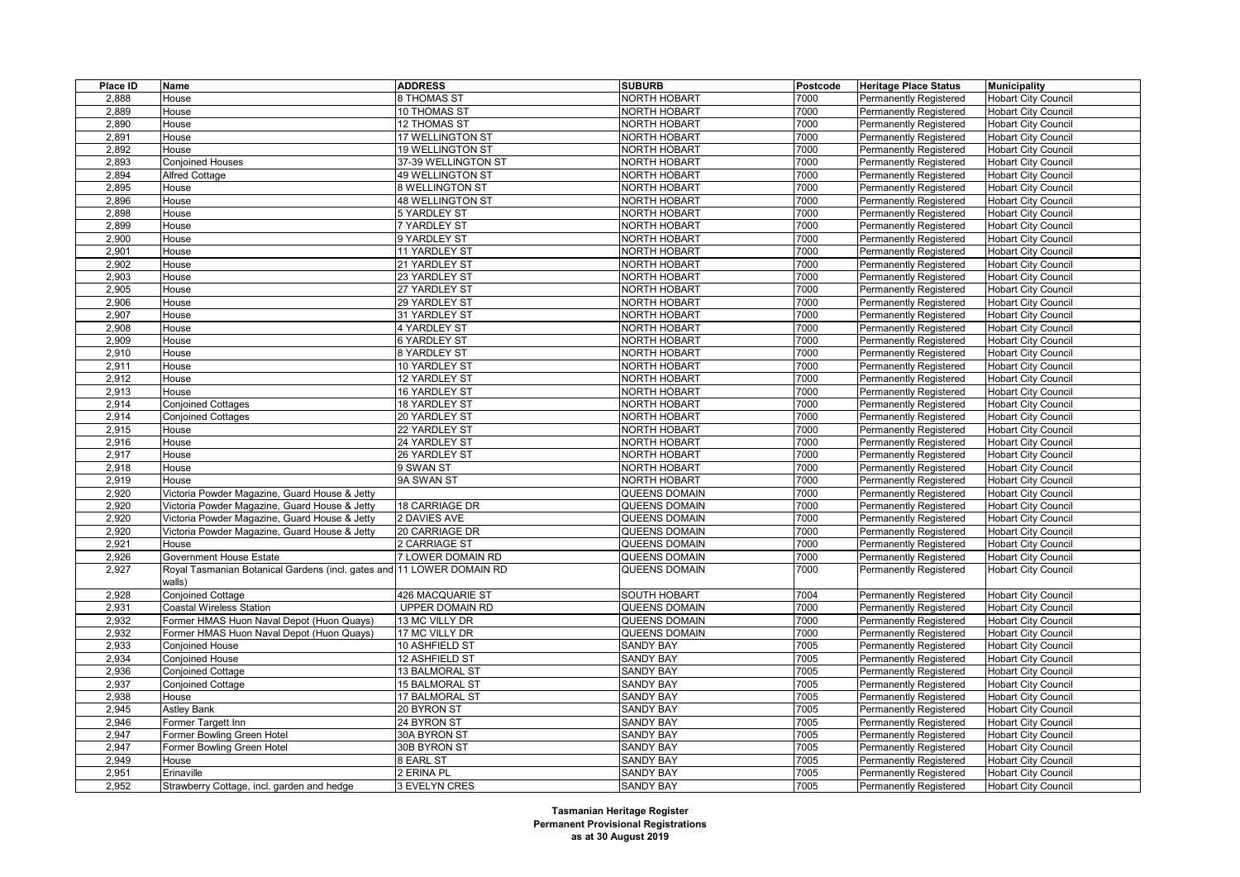| Place ID | Name                                                                  | <b>ADDRESS</b>      | <b>SUBURB</b>        | Postcode | <b>Heritage Place Status</b>                                   | <b>Municipality</b>                                      |
|----------|-----------------------------------------------------------------------|---------------------|----------------------|----------|----------------------------------------------------------------|----------------------------------------------------------|
| 2,888    | House                                                                 | 8 THOMAS ST         | <b>NORTH HOBART</b>  | 7000     | <b>Permanently Registered</b>                                  | <b>Hobart City Council</b>                               |
| 2,889    | House                                                                 | 10 THOMAS ST        | <b>NORTH HOBART</b>  | 7000     | <b>Permanently Registered</b>                                  | <b>Hobart City Council</b>                               |
| 2,890    | House                                                                 | 12 THOMAS ST        | NORTH HOBART         | 7000     | <b>Permanently Registered</b>                                  | <b>Hobart City Council</b>                               |
| 2,891    | House                                                                 | 17 WELLINGTON ST    | <b>NORTH HOBART</b>  | 7000     | <b>Permanently Registered</b>                                  | <b>Hobart City Council</b>                               |
| 2,892    | House                                                                 | 19 WELLINGTON ST    | <b>NORTH HOBART</b>  | 7000     | <b>Permanently Registered</b>                                  | <b>Hobart City Council</b>                               |
| 2,893    | <b>Conjoined Houses</b>                                               | 37-39 WELLINGTON ST | NORTH HOBART         | 7000     | Permanently Registered                                         | <b>Hobart City Council</b>                               |
| 2,894    | <b>Alfred Cottage</b>                                                 | 49 WELLINGTON ST    | <b>NORTH HOBART</b>  | 7000     | Permanently Registered                                         | <b>Hobart City Council</b>                               |
| 2,895    | House                                                                 | 8 WELLINGTON ST     | NORTH HOBART         | 7000     | <b>Permanently Registered</b>                                  | <b>Hobart City Council</b>                               |
| 2,896    | House                                                                 | 48 WELLINGTON ST    | <b>NORTH HOBART</b>  | 7000     | <b>Permanently Registered</b>                                  | Hobart City Council                                      |
| 2,898    | House                                                                 | 5 YARDLEY ST        | NORTH HOBART         | 7000     | <b>Permanently Registered</b>                                  | <b>Hobart City Council</b>                               |
| 2,899    | House                                                                 | 7 YARDLEY ST        | <b>NORTH HOBART</b>  | 7000     | <b>Permanently Registered</b>                                  | <b>Hobart City Council</b>                               |
| 2,900    | House                                                                 | 9 YARDLEY ST        | <b>NORTH HOBART</b>  | 7000     | <b>Permanently Registered</b>                                  | <b>Hobart City Council</b>                               |
| 2,901    | House                                                                 | 11 YARDLEY ST       | NORTH HOBART         | 7000     | <b>Permanently Registered</b>                                  | <b>Hobart City Council</b>                               |
| 2,902    | House                                                                 | 21 YARDLEY ST       | <b>NORTH HOBART</b>  | 7000     | Permanently Registered                                         | <b>Hobart City Council</b>                               |
| 2,903    | House                                                                 | 23 YARDLEY ST       | <b>NORTH HOBART</b>  | 7000     | Permanently Registered                                         | <b>Hobart City Council</b>                               |
| 2,905    | House                                                                 | 27 YARDLEY ST       | <b>NORTH HOBART</b>  | 7000     | Permanently Registered                                         | <b>Hobart City Council</b>                               |
| 2,906    | House                                                                 | 29 YARDLEY ST       | <b>NORTH HOBART</b>  | 7000     | <b>Permanently Registered</b>                                  | <b>Hobart City Council</b>                               |
| 2,907    | House                                                                 | 31 YARDLEY ST       | <b>NORTH HOBART</b>  | 7000     | <b>Permanently Registered</b>                                  | <b>Hobart City Council</b>                               |
| 2,908    | House                                                                 | 4 YARDLEY ST        | <b>NORTH HOBART</b>  | 7000     | Permanently Registered                                         | <b>Hobart City Council</b>                               |
| 2,909    | House                                                                 | <b>6 YARDLEY ST</b> | <b>NORTH HOBART</b>  | 7000     | <b>Permanently Registered</b>                                  | <b>Hobart City Council</b>                               |
| 2,910    | House                                                                 | 8 YARDLEY ST        | NORTH HOBART         | 7000     | <b>Permanently Registered</b>                                  | <b>Hobart City Council</b>                               |
| 2,911    | House                                                                 | 10 YARDLEY ST       | <b>NORTH HOBART</b>  | 7000     | <b>Permanently Registered</b>                                  | <b>Hobart City Council</b>                               |
| 2,912    | House                                                                 | 12 YARDLEY ST       | NORTH HOBART         | 7000     | <b>Permanently Registered</b>                                  | <b>Hobart City Council</b>                               |
| 2,913    | House                                                                 | 16 YARDLEY ST       | <b>NORTH HOBART</b>  | 7000     | <b>Permanently Registered</b>                                  | <b>Hobart City Council</b>                               |
| 2,914    | <b>Conjoined Cottages</b>                                             | 18 YARDLEY ST       | NORTH HOBART         | 7000     | <b>Permanently Registered</b>                                  | <b>Hobart City Council</b>                               |
| 2,914    | <b>Conjoined Cottages</b>                                             | 20 YARDLEY ST       | <b>NORTH HOBART</b>  | 7000     | Permanently Registered                                         | <b>Hobart City Council</b>                               |
| 2,915    | House                                                                 | 22 YARDLEY ST       | <b>NORTH HOBART</b>  | 7000     | <b>Permanently Registered</b>                                  | <b>Hobart City Council</b>                               |
| 2,916    | House                                                                 | 24 YARDLEY ST       | NORTH HOBART         | 7000     | <b>Permanently Registered</b>                                  | <b>Hobart City Council</b>                               |
| 2,917    | House                                                                 | 26 YARDLEY ST       | <b>NORTH HOBART</b>  | 7000     | Permanently Registered                                         | <b>Hobart City Council</b>                               |
| 2,918    | House                                                                 | 9 SWAN ST           | <b>NORTH HOBART</b>  | 7000     | <b>Permanently Registered</b>                                  | <b>Hobart City Council</b>                               |
| 2,919    | House                                                                 | 9A SWAN ST          | <b>NORTH HOBART</b>  | 7000     | Permanently Registered                                         | <b>Hobart City Council</b>                               |
| 2,920    | Victoria Powder Magazine, Guard House & Jetty                         |                     | QUEENS DOMAIN        | 7000     | <b>Permanently Registered</b>                                  | <b>Hobart City Council</b>                               |
| 2,920    | Victoria Powder Magazine, Guard House & Jetty                         | 18 CARRIAGE DR      | QUEENS DOMAIN        | 7000     | <b>Permanently Registered</b>                                  | <b>Hobart City Council</b>                               |
| 2,920    | Victoria Powder Magazine, Guard House & Jetty                         | 2 DAVIES AVE        | QUEENS DOMAIN        | 7000     | <b>Permanently Registered</b>                                  | <b>Hobart City Council</b>                               |
| 2,920    | Victoria Powder Magazine, Guard House & Jetty                         | 20 CARRIAGE DR      | QUEENS DOMAIN        | 7000     | <b>Permanently Registered</b>                                  | <b>Hobart City Council</b>                               |
| 2,921    | House                                                                 | 2 CARRIAGE ST       | QUEENS DOMAIN        | 7000     | Permanently Registered                                         | <b>Hobart City Council</b>                               |
| 2,926    | <b>Government House Estate</b>                                        | 7 LOWER DOMAIN RD   | QUEENS DOMAIN        | 7000     | Permanently Registered                                         | <b>Hobart City Council</b>                               |
| 2,927    | Royal Tasmanian Botanical Gardens (incl. gates and 11 LOWER DOMAIN RD |                     | <b>QUEENS DOMAIN</b> | 7000     | <b>Permanently Registered</b>                                  | <b>Hobart City Council</b>                               |
|          | walls)                                                                |                     |                      |          |                                                                |                                                          |
| 2,928    | <b>Conjoined Cottage</b>                                              | 426 MACQUARIE ST    | <b>SOUTH HOBART</b>  | 7004     | <b>Permanently Registered</b>                                  | <b>Hobart City Council</b>                               |
| 2,931    | <b>Coastal Wireless Station</b>                                       | UPPER DOMAIN RD     | QUEENS DOMAIN        | 7000     | <b>Permanently Registered</b>                                  | <b>Hobart City Council</b>                               |
| 2,932    | Former HMAS Huon Naval Depot (Huon Quays)                             | 13 MC VILLY DR      | QUEENS DOMAIN        | 7000     | <b>Permanently Registered</b>                                  | <b>Hobart City Council</b>                               |
| 2,932    | Former HMAS Huon Naval Depot (Huon Quays)                             | 17 MC VILLY DR      | <b>QUEENS DOMAIN</b> | 7000     | <b>Permanently Registered</b>                                  | <b>Hobart City Council</b>                               |
| 2,933    | <b>Conjoined House</b>                                                | 10 ASHFIELD ST      | <b>SANDY BAY</b>     | 7005     | <b>Permanently Registered</b>                                  | <b>Hobart City Council</b>                               |
| 2,934    | <b>Conjoined House</b>                                                | 12 ASHFIELD ST      | <b>SANDY BAY</b>     | 7005     | <b>Permanently Registered</b>                                  | <b>Hobart City Council</b>                               |
| 2,936    | <b>Conjoined Cottage</b>                                              | 13 BALMORAL ST      | <b>SANDY BAY</b>     | 7005     | <b>Permanently Registered</b>                                  | <b>Hobart City Council</b>                               |
| 2,937    | <b>Conjoined Cottage</b>                                              | 15 BALMORAL ST      | <b>SANDY BAY</b>     | 7005     | <b>Permanently Registered</b>                                  | <b>Hobart City Council</b>                               |
| 2,938    | House                                                                 | 17 BALMORAL ST      | <b>SANDY BAY</b>     | 7005     | <b>Permanently Registered</b>                                  | <b>Hobart City Council</b>                               |
| 2,945    | <b>Astley Bank</b>                                                    | 20 BYRON ST         | SANDY BAY            | 7005     | <b>Permanently Registered</b>                                  | <b>Hobart City Council</b>                               |
| 2,946    | Former Targett Inn                                                    | 24 BYRON ST         | <b>SANDY BAY</b>     | 7005     | Permanently Registered                                         | Hobart City Council                                      |
| 2,947    | Former Bowling Green Hotel                                            | 30A BYRON ST        | <b>SANDY BAY</b>     | 7005     | Permanently Registered                                         | <b>Hobart City Council</b>                               |
| 2,947    |                                                                       | 30B BYRON ST        | <b>SANDY BAY</b>     | 7005     |                                                                | <b>Hobart City Council</b>                               |
| 2,949    | Former Bowling Green Hotel<br>House                                   | 8 EARL ST           | <b>SANDY BAY</b>     | 7005     | <b>Permanently Registered</b>                                  |                                                          |
| 2,951    | Erinaville                                                            | 2 ERINA PL          | <b>SANDY BAY</b>     | 7005     | <b>Permanently Registered</b><br><b>Permanently Registered</b> | <b>Hobart City Council</b><br><b>Hobart City Council</b> |
| 2,952    | Strawberry Cottage, incl. garden and hedge                            | 3 EVELYN CRES       | <b>SANDY BAY</b>     | 7005     |                                                                | <b>Hobart City Council</b>                               |
|          |                                                                       |                     |                      |          | <b>Permanently Registered</b>                                  |                                                          |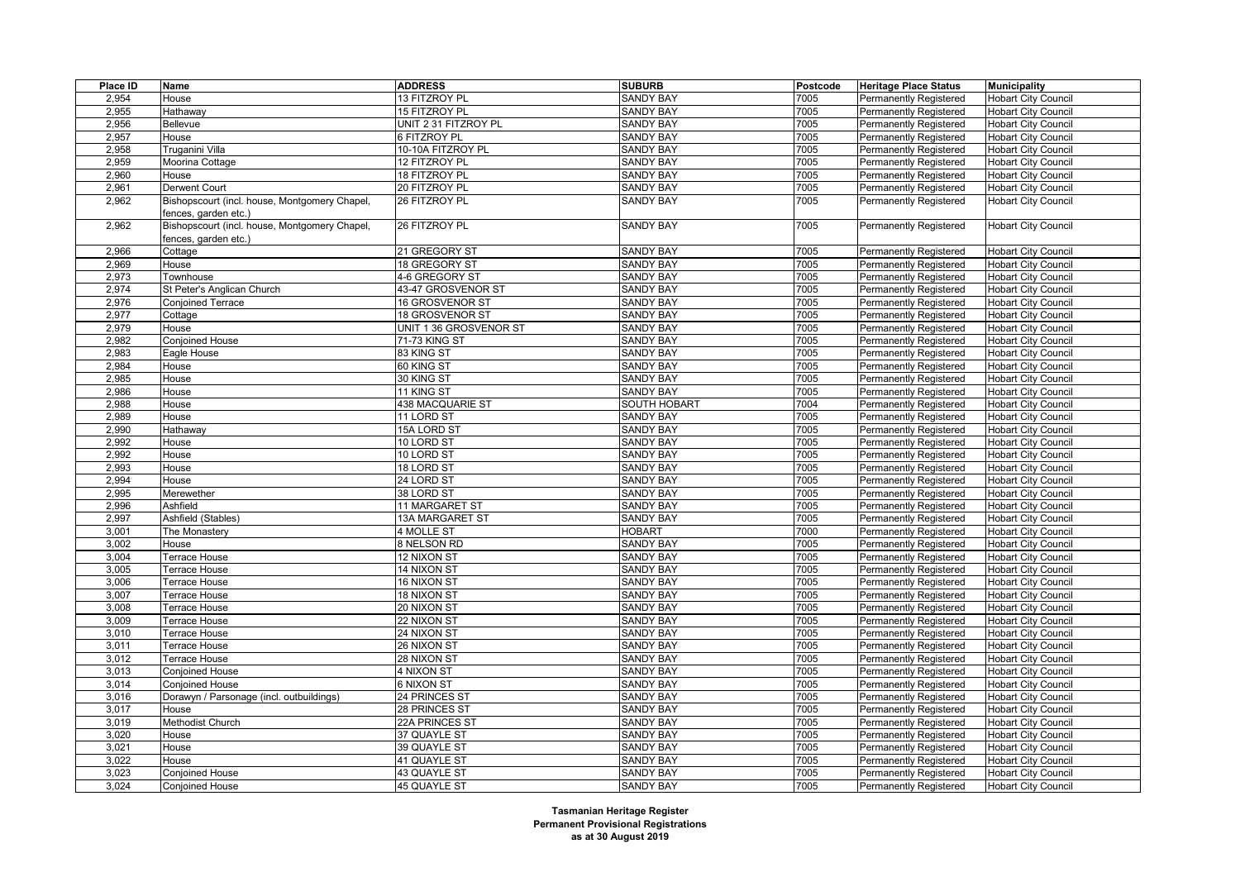| Place ID | Name                                          | <b>ADDRESS</b>         | <b>SUBURB</b>       | Postcode | <b>Heritage Place Status</b>  | <b>Municipality</b>        |
|----------|-----------------------------------------------|------------------------|---------------------|----------|-------------------------------|----------------------------|
| 2,954    | House                                         | 13 FITZROY PL          | <b>SANDY BAY</b>    | 7005     | Permanently Registered        | <b>Hobart City Council</b> |
| 2,955    | Hathaway                                      | 15 FITZROY PL          | <b>SANDY BAY</b>    | 7005     | <b>Permanently Registered</b> | <b>Hobart City Council</b> |
| 2,956    | Bellevue                                      | UNIT 2 31 FITZROY PL   | <b>SANDY BAY</b>    | 7005     | <b>Permanently Registered</b> | <b>Hobart City Council</b> |
| 2,957    | House                                         | 6 FITZROY PL           | <b>SANDY BAY</b>    | 7005     | Permanently Registered        | <b>Hobart City Council</b> |
| 2,958    | Truganini Villa                               | 10-10A FITZROY PL      | <b>SANDY BAY</b>    | 7005     | <b>Permanently Registered</b> | <b>Hobart City Council</b> |
| 2,959    | Moorina Cottage                               | 12 FITZROY PL          | <b>SANDY BAY</b>    | 7005     | <b>Permanently Registered</b> | <b>Hobart City Council</b> |
| 2,960    | House                                         | 18 FITZROY PL          | <b>SANDY BAY</b>    | 7005     | Permanently Registered        | <b>Hobart City Council</b> |
| 2,961    | <b>Derwent Court</b>                          | 20 FITZROY PL          | <b>SANDY BAY</b>    | 7005     | Permanently Registered        | <b>Hobart City Council</b> |
| 2,962    | Bishopscourt (incl. house, Montgomery Chapel, | 26 FITZROY PL          | <b>SANDY BAY</b>    | 7005     | Permanently Registered        | <b>Hobart City Council</b> |
|          | fences, garden etc.)                          |                        |                     |          |                               |                            |
| 2,962    | Bishopscourt (incl. house, Montgomery Chapel, | 26 FITZROY PL          | <b>SANDY BAY</b>    | 7005     | <b>Permanently Registered</b> | <b>Hobart City Council</b> |
|          | fences, garden etc.)                          |                        |                     |          |                               |                            |
| 2,966    | Cottage                                       | 21 GREGORY ST          | <b>SANDY BAY</b>    | 7005     | Permanently Registered        | <b>Hobart City Council</b> |
| 2,969    | House                                         | 18 GREGORY ST          | <b>SANDY BAY</b>    | 7005     | <b>Permanently Registered</b> | <b>Hobart City Council</b> |
| 2,973    | Townhouse                                     | 4-6 GREGORY ST         | <b>SANDY BAY</b>    | 7005     | <b>Permanently Registered</b> | <b>Hobart City Council</b> |
| 2,974    | St Peter's Anglican Church                    | 43-47 GROSVENOR ST     | <b>SANDY BAY</b>    | 7005     | Permanently Registered        | <b>Hobart City Council</b> |
| 2,976    | <b>Conjoined Terrace</b>                      | 16 GROSVENOR ST        | <b>SANDY BAY</b>    | 7005     | Permanently Registered        | <b>Hobart City Council</b> |
| 2,977    | Cottage                                       | 18 GROSVENOR ST        | <b>SANDY BAY</b>    | 7005     | <b>Permanently Registered</b> | <b>Hobart City Council</b> |
| 2,979    | House                                         | UNIT 1 36 GROSVENOR ST | <b>SANDY BAY</b>    | 7005     | <b>Permanently Registered</b> | <b>Hobart City Council</b> |
| 2,982    | <b>Conjoined House</b>                        | 71-73 KING ST          | <b>SANDY BAY</b>    | 7005     | Permanently Registered        | <b>Hobart City Council</b> |
| 2,983    | Eagle House                                   | 83 KING ST             | <b>SANDY BAY</b>    | 7005     | <b>Permanently Registered</b> | <b>Hobart City Council</b> |
| 2,984    | House                                         | 60 KING ST             | <b>SANDY BAY</b>    | 7005     | <b>Permanently Registered</b> | <b>Hobart City Council</b> |
| 2,985    | House                                         | 30 KING ST             | SANDY BAY           | 7005     | Permanently Registered        | <b>Hobart City Council</b> |
| 2,986    | House                                         | 11 KING ST             | <b>SANDY BAY</b>    | 7005     | <b>Permanently Registered</b> | <b>Hobart City Council</b> |
| 2,988    | House                                         | 438 MACQUARIE ST       | <b>SOUTH HOBART</b> | 7004     | <b>Permanently Registered</b> | <b>Hobart City Council</b> |
| 2,989    | House                                         | 11 LORD ST             | <b>SANDY BAY</b>    | 7005     | Permanently Registered        | <b>Hobart City Council</b> |
| 2,990    | Hathaway                                      | 15A LORD ST            | <b>SANDY BAY</b>    | 7005     | <b>Permanently Registered</b> | <b>Hobart City Council</b> |
| 2,992    | House                                         | 10 LORD ST             | <b>SANDY BAY</b>    | 7005     | <b>Permanently Registered</b> | <b>Hobart City Council</b> |
| 2,992    | House                                         | 10 LORD ST             | <b>SANDY BAY</b>    | 7005     | <b>Permanently Registered</b> | <b>Hobart City Council</b> |
| 2,993    | House                                         | 18 LORD ST             | <b>SANDY BAY</b>    | 7005     | <b>Permanently Registered</b> | <b>Hobart City Council</b> |
| 2,994    | House                                         | 24 LORD ST             | <b>SANDY BAY</b>    | 7005     | Permanently Registered        | <b>Hobart City Council</b> |
| 2,995    | Merewether                                    | 38 LORD ST             | <b>SANDY BAY</b>    | 7005     | Permanently Registered        | <b>Hobart City Council</b> |
| 2,996    | Ashfield                                      | 11 MARGARET ST         | <b>SANDY BAY</b>    | 7005     | <b>Permanently Registered</b> | <b>Hobart City Council</b> |
| 2,997    | Ashfield (Stables)                            | 13A MARGARET ST        | <b>SANDY BAY</b>    | 7005     | <b>Permanently Registered</b> | <b>Hobart City Council</b> |
| 3,001    | The Monastery                                 | 4 MOLLE ST             | <b>HOBART</b>       | 7000     | Permanently Registered        | <b>Hobart City Council</b> |
| 3,002    | House                                         | 8 NELSON RD            | <b>SANDY BAY</b>    | 7005     | <b>Permanently Registered</b> | <b>Hobart City Council</b> |
| 3,004    | Terrace House                                 | 12 NIXON ST            | <b>SANDY BAY</b>    | 7005     | <b>Permanently Registered</b> | <b>Hobart City Council</b> |
| 3,005    | Terrace House                                 | 14 NIXON ST            | <b>SANDY BAY</b>    | 7005     | Permanently Registered        | <b>Hobart City Council</b> |
| 3,006    | Terrace House                                 | 16 NIXON ST            | <b>SANDY BAY</b>    | 7005     | <b>Permanently Registered</b> | <b>Hobart City Council</b> |
| 3,007    | Terrace House                                 | 18 NIXON ST            | <b>SANDY BAY</b>    | 7005     | <b>Permanently Registered</b> | <b>Hobart City Council</b> |
| 3,008    | Terrace House                                 | 20 NIXON ST            | <b>SANDY BAY</b>    | 7005     | Permanently Registered        | <b>Hobart City Council</b> |
| 3,009    | Terrace House                                 | 22 NIXON ST            | <b>SANDY BAY</b>    | 7005     | <b>Permanently Registered</b> | <b>Hobart City Council</b> |
| 3,010    | Terrace House                                 | 24 NIXON ST            | <b>SANDY BAY</b>    | 7005     | <b>Permanently Registered</b> | <b>Hobart City Council</b> |
| 3,011    | Terrace House                                 | 26 NIXON ST            | <b>SANDY BAY</b>    | 7005     | Permanently Registered        | <b>Hobart City Council</b> |
| 3,012    | Terrace House                                 | 28 NIXON ST            | <b>SANDY BAY</b>    | 7005     | <b>Permanently Registered</b> | <b>Hobart City Council</b> |
| 3,013    | <b>Conjoined House</b>                        | 4 NIXON ST             | <b>SANDY BAY</b>    | 7005     | <b>Permanently Registered</b> | <b>Hobart City Council</b> |
| 3,014    | <b>Conjoined House</b>                        | 6 NIXON ST             | <b>SANDY BAY</b>    | 7005     | Permanently Registered        | <b>Hobart City Council</b> |
| 3,016    | Dorawyn / Parsonage (incl. outbuildings)      | 24 PRINCES ST          | <b>SANDY BAY</b>    | 7005     | <b>Permanently Registered</b> | <b>Hobart City Council</b> |
| 3,017    | House                                         | 28 PRINCES ST          | <b>SANDY BAY</b>    | 7005     | <b>Permanently Registered</b> | <b>Hobart City Council</b> |
| 3,019    | Methodist Church                              | 22A PRINCES ST         | <b>SANDY BAY</b>    | 7005     | Permanently Registered        | <b>Hobart City Council</b> |
| 3,020    | House                                         | 37 QUAYLE ST           | <b>SANDY BAY</b>    | 7005     | <b>Permanently Registered</b> | <b>Hobart City Council</b> |
| 3,021    | House                                         | 39 QUAYLE ST           | <b>SANDY BAY</b>    | 7005     | <b>Permanently Registered</b> | <b>Hobart City Council</b> |
| 3,022    | House                                         | 41 QUAYLE ST           | <b>SANDY BAY</b>    | 7005     | Permanently Registered        | <b>Hobart City Council</b> |
| 3,023    | <b>Conjoined House</b>                        | 43 QUAYLE ST           | <b>SANDY BAY</b>    | 7005     | <b>Permanently Registered</b> | <b>Hobart City Council</b> |
| 3,024    | <b>Conjoined House</b>                        | 45 QUAYLE ST           | <b>SANDY BAY</b>    | 7005     | <b>Permanently Registered</b> | <b>Hobart City Council</b> |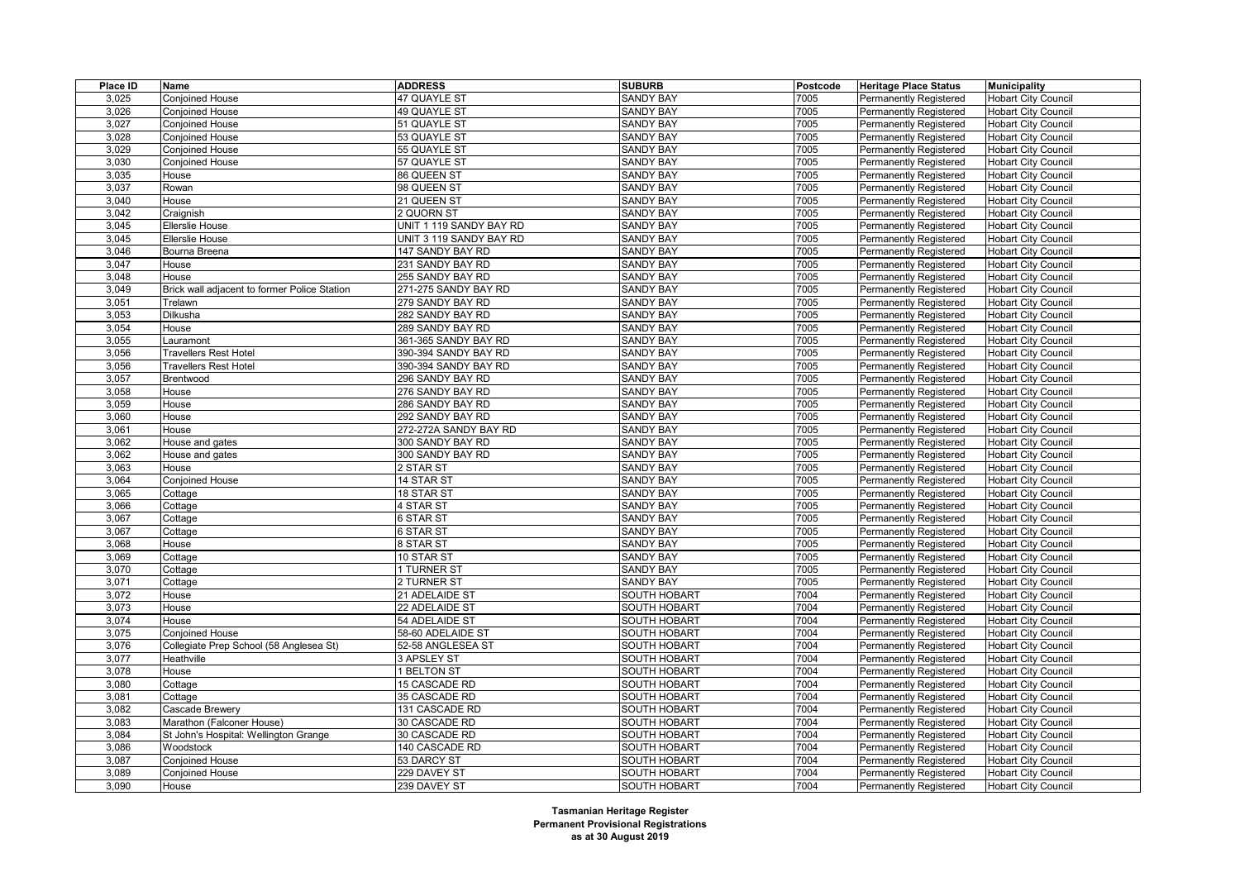| Place ID | Name                                         | <b>ADDRESS</b>          | <b>SUBURB</b>       | Postcode | <b>Heritage Place Status</b>  | <b>Municipality</b>        |
|----------|----------------------------------------------|-------------------------|---------------------|----------|-------------------------------|----------------------------|
| 3,025    | Conjoined House                              | 47 QUAYLE ST            | <b>SANDY BAY</b>    | 7005     | Permanently Registered        | <b>Hobart City Council</b> |
| 3,026    | <b>Conjoined House</b>                       | 49 QUAYLE ST            | <b>SANDY BAY</b>    | 7005     | <b>Permanently Registered</b> | <b>Hobart City Council</b> |
| 3,027    | <b>Conjoined House</b>                       | 51 QUAYLE ST            | <b>SANDY BAY</b>    | 7005     | <b>Permanently Registered</b> | <b>Hobart City Council</b> |
| 3,028    | Conjoined House                              | 53 QUAYLE ST            | <b>SANDY BAY</b>    | 7005     | Permanently Registered        | <b>Hobart City Council</b> |
| 3,029    | <b>Conjoined House</b>                       | 55 QUAYLE ST            | <b>SANDY BAY</b>    | 7005     | <b>Permanently Registered</b> | <b>Hobart City Council</b> |
| 3,030    | Conjoined House                              | 57 QUAYLE ST            | <b>SANDY BAY</b>    | 7005     | Permanently Registered        | <b>Hobart City Council</b> |
| 3,035    | House                                        | 86 QUEEN ST             | <b>SANDY BAY</b>    | 7005     | Permanently Registered        | <b>Hobart City Council</b> |
| 3,037    | Rowan                                        | 98 QUEEN ST             | <b>SANDY BAY</b>    | 7005     | <b>Permanently Registered</b> | <b>Hobart City Council</b> |
| 3,040    | House                                        | 21 QUEEN ST             | <b>SANDY BAY</b>    | 7005     | <b>Permanently Registered</b> | <b>Hobart City Council</b> |
| 3,042    | Craignish                                    | 2 QUORN ST              | <b>SANDY BAY</b>    | 7005     | Permanently Registered        | <b>Hobart City Council</b> |
| 3,045    | Ellerslie House                              | UNIT 1 119 SANDY BAY RD | <b>SANDY BAY</b>    | 7005     | <b>Permanently Registered</b> | <b>Hobart City Council</b> |
| 3,045    | Ellerslie House                              | UNIT 3 119 SANDY BAY RD | <b>SANDY BAY</b>    | 7005     | Permanently Registered        | <b>Hobart City Council</b> |
| 3,046    | Bourna Breena                                | 147 SANDY BAY RD        | <b>SANDY BAY</b>    | 7005     | Permanently Registered        | <b>Hobart City Council</b> |
| 3,047    | House                                        | 231 SANDY BAY RD        | <b>SANDY BAY</b>    | 7005     | <b>Permanently Registered</b> | <b>Hobart City Council</b> |
| 3,048    | House                                        | 255 SANDY BAY RD        | <b>SANDY BAY</b>    | 7005     | Permanently Registered        | <b>Hobart City Council</b> |
| 3,049    | Brick wall adjacent to former Police Station | 271-275 SANDY BAY RD    | <b>SANDY BAY</b>    | 7005     | Permanently Registered        | <b>Hobart City Council</b> |
| 3,051    | Trelawn                                      | 279 SANDY BAY RD        | <b>SANDY BAY</b>    | 7005     | <b>Permanently Registered</b> | <b>Hobart City Council</b> |
| 3,053    | Dilkusha                                     | 282 SANDY BAY RD        | <b>SANDY BAY</b>    | 7005     | Permanently Registered        | <b>Hobart City Council</b> |
| 3,054    | House                                        | 289 SANDY BAY RD        | <b>SANDY BAY</b>    | 7005     | Permanently Registered        | <b>Hobart City Council</b> |
| 3,055    | auramont                                     | 361-365 SANDY BAY RD    | <b>SANDY BAY</b>    | 7005     | Permanently Registered        | <b>Hobart City Council</b> |
| 3,056    | Travellers Rest Hotel                        | 390-394 SANDY BAY RD    | <b>SANDY BAY</b>    | 7005     | <b>Permanently Registered</b> | <b>Hobart City Council</b> |
| 3,056    | <b>Travellers Rest Hotel</b>                 | 390-394 SANDY BAY RD    | <b>SANDY BAY</b>    | 7005     | <b>Permanently Registered</b> | <b>Hobart City Council</b> |
| 3,057    | Brentwood                                    | 296 SANDY BAY RD        | <b>SANDY BAY</b>    | 7005     | Permanently Registered        | <b>Hobart City Council</b> |
| 3,058    | House                                        | 276 SANDY BAY RD        | <b>SANDY BAY</b>    | 7005     | <b>Permanently Registered</b> | <b>Hobart City Council</b> |
| 3,059    | House                                        | 286 SANDY BAY RD        | <b>SANDY BAY</b>    | 7005     | Permanently Registered        | <b>Hobart City Council</b> |
| 3,060    | House                                        | 292 SANDY BAY RD        | <b>SANDY BAY</b>    | 7005     | Permanently Registered        | <b>Hobart City Council</b> |
| 3,061    | House                                        | 272-272A SANDY BAY RD   | <b>SANDY BAY</b>    | 7005     | <b>Permanently Registered</b> | <b>Hobart City Council</b> |
| 3,062    | House and gates                              | 300 SANDY BAY RD        | <b>SANDY BAY</b>    | 7005     | Permanently Registered        | <b>Hobart City Council</b> |
| 3,062    | House and gates                              | 300 SANDY BAY RD        | <b>SANDY BAY</b>    | 7005     | Permanently Registered        | <b>Hobart City Council</b> |
| 3,063    | House                                        | 2 STAR ST               | <b>SANDY BAY</b>    | 7005     | <b>Permanently Registered</b> | <b>Hobart City Council</b> |
| 3,064    | Conjoined House                              | 14 STAR ST              | <b>SANDY BAY</b>    | 7005     | <b>Permanently Registered</b> | <b>Hobart City Council</b> |
| 3,065    | Cottage                                      | 18 STAR ST              | <b>SANDY BAY</b>    | 7005     | Permanently Registered        | <b>Hobart City Council</b> |
| 3,066    | Cottage                                      | 4 STAR ST               | <b>SANDY BAY</b>    | 7005     | <b>Permanently Registered</b> | <b>Hobart City Council</b> |
| 3,067    | Cottage                                      | 6 STAR ST               | <b>SANDY BAY</b>    | 7005     | Permanently Registered        | <b>Hobart City Council</b> |
| 3,067    | Cottage                                      | 6 STAR ST               | <b>SANDY BAY</b>    | 7005     | Permanently Registered        | <b>Hobart City Council</b> |
| 3,068    | House                                        | 8 STAR ST               | <b>SANDY BAY</b>    | 7005     | <b>Permanently Registered</b> | <b>Hobart City Council</b> |
| 3,069    | Cottage                                      | 10 STAR ST              | <b>SANDY BAY</b>    | 7005     | Permanently Registered        | <b>Hobart City Council</b> |
| 3,070    | Cottage                                      | 1 TURNER ST             | <b>SANDY BAY</b>    | 7005     | <b>Permanently Registered</b> | <b>Hobart City Council</b> |
| 3,071    | Cottage                                      | 2 TURNER ST             | <b>SANDY BAY</b>    | 7005     | <b>Permanently Registered</b> | <b>Hobart City Council</b> |
| 3,072    | House                                        | 21 ADELAIDE ST          | SOUTH HOBART        | 7004     | Permanently Registered        | <b>Hobart City Council</b> |
| 3,073    | House                                        | 22 ADELAIDE ST          | SOUTH HOBART        | 7004     | <b>Permanently Registered</b> | <b>Hobart City Council</b> |
| 3,074    | House                                        | 54 ADELAIDE ST          | SOUTH HOBART        | 7004     | <b>Permanently Registered</b> | <b>Hobart City Council</b> |
| 3,075    | Conjoined House                              | 58-60 ADELAIDE ST       | <b>SOUTH HOBART</b> | 7004     | Permanently Registered        | <b>Hobart City Council</b> |
| 3,076    | Collegiate Prep School (58 Anglesea St)      | 52-58 ANGLESEA ST       | SOUTH HOBART        | 7004     | Permanently Registered        | <b>Hobart City Council</b> |
| 3,077    | Heathville                                   | 3 APSLEY ST             | <b>SOUTH HOBART</b> | 7004     | <b>Permanently Registered</b> | <b>Hobart City Council</b> |
| 3,078    | House                                        | 1 BELTON ST             | <b>SOUTH HOBART</b> | 7004     |                               | <b>Hobart City Council</b> |
| 3,080    |                                              | 15 CASCADE RD           | <b>SOUTH HOBART</b> | 7004     | Permanently Registered        |                            |
|          | Cottage                                      |                         |                     | 7004     | Permanently Registered        | <b>Hobart City Council</b> |
| 3,081    | Cottage                                      | 35 CASCADE RD           | <b>SOUTH HOBART</b> | 7004     | <b>Permanently Registered</b> | <b>Hobart City Council</b> |
| 3,082    | Cascade Brewery                              | 131 CASCADE RD          | <b>SOUTH HOBART</b> |          | Permanently Registered        | <b>Hobart City Council</b> |
| 3,083    | Marathon (Falconer House)                    | 30 CASCADE RD           | SOUTH HOBART        | 7004     | <b>Permanently Registered</b> | <b>Hobart City Council</b> |
| 3,084    | St John's Hospital: Wellington Grange        | 30 CASCADE RD           | SOUTH HOBART        | 7004     | Permanently Registered        | <b>Hobart City Council</b> |
| 3,086    | Woodstock                                    | 140 CASCADE RD          | <b>SOUTH HOBART</b> | 7004     | Permanently Registered        | <b>Hobart City Council</b> |
| 3,087    | Conjoined House                              | 53 DARCY ST             | <b>SOUTH HOBART</b> | 7004     | Permanently Registered        | <b>Hobart City Council</b> |
| 3,089    | Conjoined House                              | 229 DAVEY ST            | <b>SOUTH HOBART</b> | 7004     | <b>Permanently Registered</b> | <b>Hobart City Council</b> |
| 3,090    | House                                        | 239 DAVEY ST            | <b>SOUTH HOBART</b> | 7004     | <b>Permanently Registered</b> | <b>Hobart City Council</b> |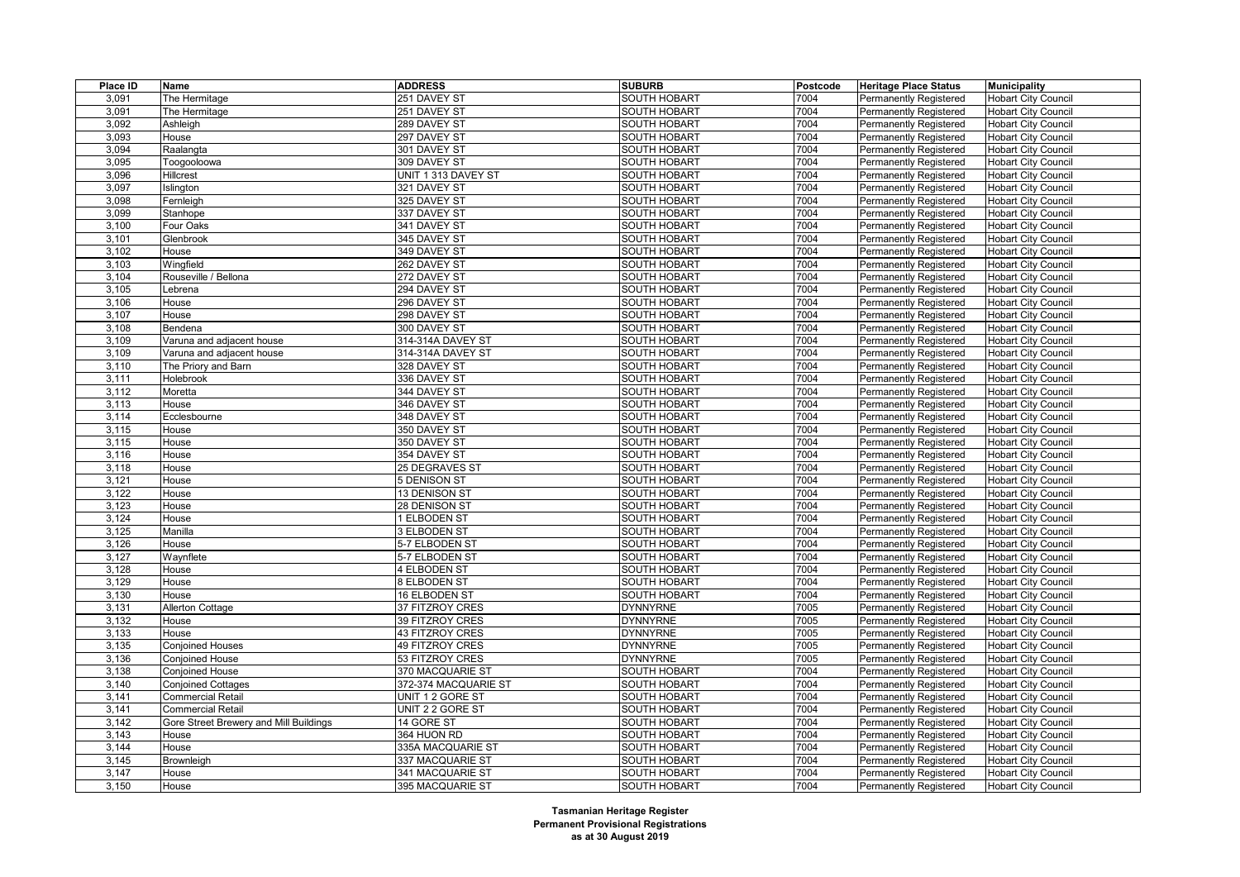| Place ID       | Name                                   | <b>ADDRESS</b>       | <b>SUBURB</b>                              | Postcode | <b>Heritage Place Status</b>  | <b>Municipality</b>        |
|----------------|----------------------------------------|----------------------|--------------------------------------------|----------|-------------------------------|----------------------------|
| 3,091          | The Hermitage                          | 251 DAVEY ST         | <b>SOUTH HOBART</b>                        | 7004     | <b>Permanently Registered</b> | <b>Hobart City Council</b> |
| 3,091          | The Hermitage                          | 251 DAVEY ST         | <b>SOUTH HOBART</b>                        | 7004     | <b>Permanently Registered</b> | <b>Hobart City Council</b> |
| 3,092          | Ashleigh                               | 289 DAVEY ST         | <b>SOUTH HOBART</b>                        | 7004     | <b>Permanently Registered</b> | <b>Hobart City Council</b> |
| 3,093          | House                                  | 297 DAVEY ST         | <b>SOUTH HOBART</b>                        | 7004     | Permanently Registered        | <b>Hobart City Council</b> |
| 3,094          | Raalangta                              | 301 DAVEY ST         | <b>SOUTH HOBART</b>                        | 7004     | <b>Permanently Registered</b> | <b>Hobart City Council</b> |
| 3,095          | Toogooloowa                            | 309 DAVEY ST         | <b>SOUTH HOBART</b>                        | 7004     | Permanently Registered        | <b>Hobart City Council</b> |
| 3,096          | Hillcrest                              | UNIT 1 313 DAVEY ST  | SOUTH HOBART                               | 7004     | Permanently Registered        | <b>Hobart City Council</b> |
| 3,097          | Islington                              | 321 DAVEY ST         | <b>SOUTH HOBART</b>                        | 7004     | <b>Permanently Registered</b> | <b>Hobart City Council</b> |
| 3,098          | Fernleigh                              | 325 DAVEY ST         | <b>SOUTH HOBART</b>                        | 7004     | Permanently Registered        | <b>Hobart City Council</b> |
| 3,099          | Stanhope                               | 337 DAVEY ST         | <b>SOUTH HOBART</b>                        | 7004     | <b>Permanently Registered</b> | <b>Hobart City Council</b> |
| 3,100          | Four Oaks                              | 341 DAVEY ST         | <b>SOUTH HOBART</b>                        | 7004     | <b>Permanently Registered</b> | <b>Hobart City Council</b> |
| 3,101          | Glenbrook                              | 345 DAVEY ST         | SOUTH HOBART                               | 7004     | Permanently Registered        | Hobart City Council        |
| 3,102          | House                                  | 349 DAVEY ST         | SOUTH HOBART                               | 7004     | <b>Permanently Registered</b> | <b>Hobart City Council</b> |
| 3,103          | Wingfield                              | 262 DAVEY ST         | SOUTH HOBART                               | 7004     | Permanently Registered        | <b>Hobart City Council</b> |
| 3,104          | Rouseville / Bellona                   | 272 DAVEY ST         | <b>SOUTH HOBART</b>                        | 7004     | <b>Permanently Registered</b> | <b>Hobart City Council</b> |
| 3,105          | Lebrena                                | 294 DAVEY ST         | <b>SOUTH HOBART</b>                        | 7004     | <b>Permanently Registered</b> | <b>Hobart City Council</b> |
| 3,106          | House                                  | 296 DAVEY ST         | <b>SOUTH HOBART</b>                        | 7004     | Permanently Registered        | <b>Hobart City Council</b> |
| 3,107          | House                                  | 298 DAVEY ST         | <b>SOUTH HOBART</b>                        | 7004     | <b>Permanently Registered</b> | <b>Hobart City Council</b> |
| 3,108          | Bendena                                | 300 DAVEY ST         | <b>SOUTH HOBART</b>                        | 7004     | <b>Permanently Registered</b> | <b>Hobart City Council</b> |
| 3,109          | Varuna and adjacent house              | 314-314A DAVEY ST    | <b>SOUTH HOBART</b>                        | 7004     | Permanently Registered        | <b>Hobart City Council</b> |
| 3,109          | Varuna and adjacent house              | 314-314A DAVEY ST    | <b>SOUTH HOBART</b>                        | 7004     | <b>Permanently Registered</b> | <b>Hobart City Council</b> |
| 3,110          | The Priory and Barn                    | 328 DAVEY ST         | <b>SOUTH HOBART</b>                        | 7004     | <b>Permanently Registered</b> | <b>Hobart City Council</b> |
| 3,111          | Holebrook                              | 336 DAVEY ST         | <b>SOUTH HOBART</b>                        | 7004     | <b>Permanently Registered</b> | <b>Hobart City Council</b> |
| 3,112          | Moretta                                | 344 DAVEY ST         | <b>SOUTH HOBART</b>                        | 7004     | <b>Permanently Registered</b> | <b>Hobart City Council</b> |
| 3,113          | House                                  | 346 DAVEY ST         | SOUTH HOBART                               | 7004     | Permanently Registered        | <b>Hobart City Council</b> |
| 3,114          | Ecclesbourne                           | 348 DAVEY ST         | <b>SOUTH HOBART</b>                        | 7004     | <b>Permanently Registered</b> | <b>Hobart City Council</b> |
| 3,115          | House                                  | 350 DAVEY ST         | <b>SOUTH HOBART</b>                        | 7004     | <b>Permanently Registered</b> | <b>Hobart City Council</b> |
| 3,115          | House                                  | 350 DAVEY ST         | SOUTH HOBART                               | 7004     | Permanently Registered        | <b>Hobart City Council</b> |
| 3,116          | House                                  | 354 DAVEY ST         | SOUTH HOBART                               | 7004     | <b>Permanently Registered</b> |                            |
|                | House                                  |                      |                                            | 7004     |                               | <b>Hobart City Council</b> |
| 3,118<br>3,121 |                                        | 25 DEGRAVES ST       | <b>SOUTH HOBART</b><br><b>SOUTH HOBART</b> | 7004     | <b>Permanently Registered</b> | <b>Hobart City Council</b> |
|                | House                                  | 5 DENISON ST         | <b>SOUTH HOBART</b>                        | 7004     | <b>Permanently Registered</b> | <b>Hobart City Council</b> |
| 3,122          | House<br>House                         | 13 DENISON ST        |                                            | 7004     | Permanently Registered        | <b>Hobart City Council</b> |
| 3,123          |                                        | 28 DENISON ST        | <b>SOUTH HOBART</b>                        |          | <b>Permanently Registered</b> | <b>Hobart City Council</b> |
| 3,124          | House                                  | 1 ELBODEN ST         | <b>SOUTH HOBART</b>                        | 7004     | Permanently Registered        | <b>Hobart City Council</b> |
| 3,125          | Manilla                                | 3 ELBODEN ST         | <b>SOUTH HOBART</b>                        | 7004     | Permanently Registered        | <b>Hobart City Council</b> |
| 3,126          | House                                  | 5-7 ELBODEN ST       | <b>SOUTH HOBART</b>                        | 7004     | <b>Permanently Registered</b> | <b>Hobart City Council</b> |
| 3,127          | Waynflete                              | 5-7 ELBODEN ST       | SOUTH HOBART                               | 7004     | <b>Permanently Registered</b> | <b>Hobart City Council</b> |
| 3,128          | House                                  | 4 ELBODEN ST         | <b>SOUTH HOBART</b>                        | 7004     | <b>Permanently Registered</b> | <b>Hobart City Council</b> |
| 3,129          | House                                  | 8 ELBODEN ST         | SOUTH HOBART                               | 7004     | <b>Permanently Registered</b> | Hobart City Council        |
| 3,130          | House                                  | 16 ELBODEN ST        | SOUTH HOBART                               | 7004     | <b>Permanently Registered</b> | <b>Hobart City Council</b> |
| 3,131          | <b>Allerton Cottage</b>                | 37 FITZROY CRES      | <b>DYNNYRNE</b>                            | 7005     | Permanently Registered        | <b>Hobart City Council</b> |
| 3,132          | House                                  | 39 FITZROY CRES      | <b>DYNNYRNE</b>                            | 7005     | <b>Permanently Registered</b> | <b>Hobart City Council</b> |
| 3,133          | House                                  | 43 FITZROY CRES      | <b>DYNNYRNE</b>                            | 7005     | <b>Permanently Registered</b> | <b>Hobart City Council</b> |
| 3,135          | <b>Conjoined Houses</b>                | 49 FITZROY CRES      | <b>DYNNYRNE</b>                            | 7005     | Permanently Registered        | <b>Hobart City Council</b> |
| 3,136          | <b>Conjoined House</b>                 | 53 FITZROY CRES      | <b>DYNNYRNE</b>                            | 7005     | <b>Permanently Registered</b> | <b>Hobart City Council</b> |
| 3,138          | <b>Conjoined House</b>                 | 370 MACQUARIE ST     | SOUTH HOBART                               | 7004     | <b>Permanently Registered</b> | <b>Hobart City Council</b> |
| 3,140          | <b>Conjoined Cottages</b>              | 372-374 MACQUARIE ST | <b>SOUTH HOBART</b>                        | 7004     | <b>Permanently Registered</b> | <b>Hobart City Council</b> |
| 3,141          | <b>Commercial Retail</b>               | UNIT 1 2 GORE ST     | <b>SOUTH HOBART</b>                        | 7004     | <b>Permanently Registered</b> | <b>Hobart City Council</b> |
| 3,141          | <b>Commercial Retail</b>               | UNIT 2 2 GORE ST     | SOUTH HOBART                               | 7004     | <b>Permanently Registered</b> | <b>Hobart City Council</b> |
| 3,142          | Gore Street Brewery and Mill Buildings | 14 GORE ST           | <b>SOUTH HOBART</b>                        | 7004     | <b>Permanently Registered</b> | <b>Hobart City Council</b> |
| 3,143          | House                                  | 364 HUON RD          | <b>SOUTH HOBART</b>                        | 7004     | Permanently Registered        | <b>Hobart City Council</b> |
| 3,144          | House                                  | 335A MACQUARIE ST    | SOUTH HOBART                               | 7004     | <b>Permanently Registered</b> | <b>Hobart City Council</b> |
| 3,145          | Brownleigh                             | 337 MACQUARIE ST     | SOUTH HOBART                               | 7004     | <b>Permanently Registered</b> | <b>Hobart City Council</b> |
| 3,147          | House                                  | 341 MACQUARIE ST     | SOUTH HOBART                               | 7004     | Permanently Registered        | <b>Hobart City Council</b> |
| 3,150          | House                                  | 395 MACQUARIE ST     | <b>SOUTH HOBART</b>                        | 7004     | <b>Permanently Registered</b> | <b>Hobart City Council</b> |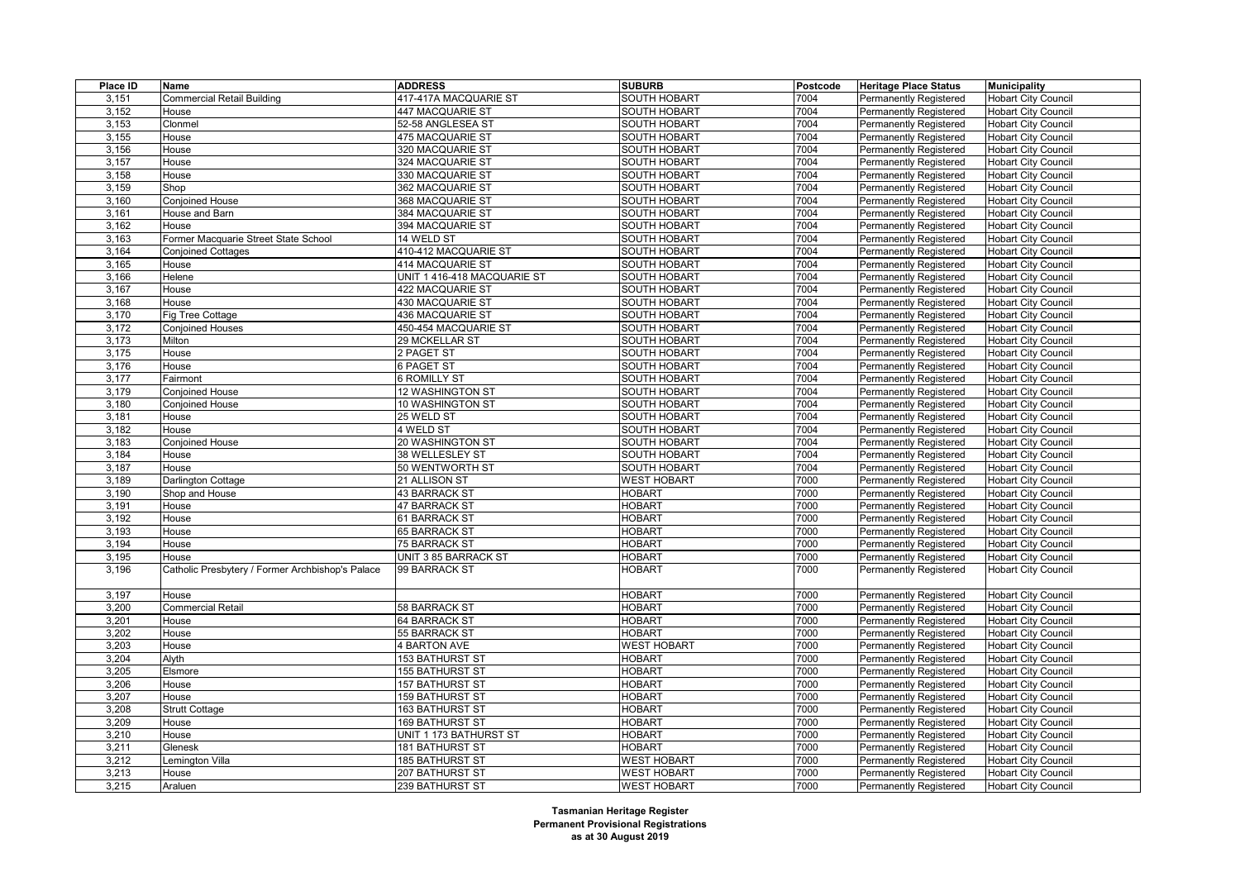| Place ID | Name                                             | <b>ADDRESS</b>              | <b>SUBURB</b>       | Postcode | <b>Heritage Place Status</b>  | <b>Municipality</b>        |
|----------|--------------------------------------------------|-----------------------------|---------------------|----------|-------------------------------|----------------------------|
| 3,151    | <b>Commercial Retail Building</b>                | 417-417A MACQUARIE ST       | SOUTH HOBART        | 7004     | <b>Permanently Registered</b> | <b>Hobart City Council</b> |
| 3,152    | House                                            | 447 MACQUARIE ST            | SOUTH HOBART        | 7004     | <b>Permanently Registered</b> | <b>Hobart City Council</b> |
| 3,153    | Clonmel                                          | 52-58 ANGLESEA ST           | <b>SOUTH HOBART</b> | 7004     | <b>Permanently Registered</b> | <b>Hobart City Council</b> |
| 3,155    | House                                            | 475 MACQUARIE ST            | SOUTH HOBART        | 7004     | <b>Permanently Registered</b> | <b>Hobart City Council</b> |
| 3,156    | House                                            | 320 MACQUARIE ST            | SOUTH HOBART        | 7004     | <b>Permanently Registered</b> | <b>Hobart City Council</b> |
| 3,157    | House                                            | 324 MACQUARIE ST            | SOUTH HOBART        | 7004     | <b>Permanently Registered</b> | <b>Hobart City Council</b> |
| 3,158    | House                                            | 330 MACQUARIE ST            | SOUTH HOBART        | 7004     | <b>Permanently Registered</b> | <b>Hobart City Council</b> |
| 3,159    | Shop                                             | 362 MACQUARIE ST            | SOUTH HOBART        | 7004     | <b>Permanently Registered</b> | <b>Hobart City Council</b> |
| 3,160    | <b>Conjoined House</b>                           | 368 MACQUARIE ST            | <b>SOUTH HOBART</b> | 7004     | <b>Permanently Registered</b> | <b>Hobart City Council</b> |
| 3,161    | House and Barn                                   | 384 MACQUARIE ST            | SOUTH HOBART        | 7004     | <b>Permanently Registered</b> | <b>Hobart City Council</b> |
| 3,162    | House                                            | 394 MACQUARIE ST            | SOUTH HOBART        | 7004     | <b>Permanently Registered</b> | <b>Hobart City Council</b> |
| 3,163    | Former Macquarie Street State School             | 14 WELD ST                  | <b>SOUTH HOBART</b> | 7004     | <b>Permanently Registered</b> | <b>Hobart City Council</b> |
| 3,164    | <b>Conjoined Cottages</b>                        | 410-412 MACQUARIE ST        | <b>SOUTH HOBART</b> | 7004     | Permanently Registered        | <b>Hobart City Council</b> |
| 3,165    | House                                            | 414 MACQUARIE ST            | SOUTH HOBART        | 7004     | <b>Permanently Registered</b> | <b>Hobart City Council</b> |
| 3,166    | Helene                                           | UNIT 1 416-418 MACQUARIE ST | <b>SOUTH HOBART</b> | 7004     | <b>Permanently Registered</b> | <b>Hobart City Council</b> |
| 3,167    | House                                            | 422 MACQUARIE ST            | SOUTH HOBART        | 7004     | <b>Permanently Registered</b> | <b>Hobart City Council</b> |
| 3,168    | House                                            | 430 MACQUARIE ST            | <b>SOUTH HOBART</b> | 7004     | <b>Permanently Registered</b> | <b>Hobart City Council</b> |
| 3,170    | Fig Tree Cottage                                 | 436 MACQUARIE ST            | <b>SOUTH HOBART</b> | 7004     | <b>Permanently Registered</b> | <b>Hobart City Council</b> |
| 3,172    | <b>Conjoined Houses</b>                          | 450-454 MACQUARIE ST        | SOUTH HOBART        | 7004     | <b>Permanently Registered</b> | <b>Hobart City Council</b> |
| 3,173    | Milton                                           | 29 MCKELLAR ST              | <b>SOUTH HOBART</b> | 7004     | <b>Permanently Registered</b> | <b>Hobart City Council</b> |
| 3,175    | House                                            | 2 PAGET ST                  | <b>SOUTH HOBART</b> | 7004     | <b>Permanently Registered</b> | <b>Hobart City Council</b> |
| 3,176    | House                                            | 6 PAGET ST                  | SOUTH HOBART        | 7004     | Permanently Registered        | <b>Hobart City Council</b> |
| 3,177    | Fairmont                                         | <b>6 ROMILLY ST</b>         | SOUTH HOBART        | 7004     | <b>Permanently Registered</b> | <b>Hobart City Council</b> |
| 3,179    | Conjoined House                                  | 12 WASHINGTON ST            | SOUTH HOBART        | 7004     | <b>Permanently Registered</b> | <b>Hobart City Council</b> |
| 3,180    | <b>Conjoined House</b>                           | 10 WASHINGTON ST            | <b>SOUTH HOBART</b> | 7004     | <b>Permanently Registered</b> | <b>Hobart City Council</b> |
| 3,181    | House                                            | 25 WELD ST                  | <b>SOUTH HOBART</b> | 7004     | Permanently Registered        | <b>Hobart City Council</b> |
| 3,182    | House                                            | 4 WELD ST                   | SOUTH HOBART        | 7004     | <b>Permanently Registered</b> | <b>Hobart City Council</b> |
| 3,183    | <b>Conjoined House</b>                           | 20 WASHINGTON ST            | <b>SOUTH HOBART</b> | 7004     | <b>Permanently Registered</b> | <b>Hobart City Council</b> |
| 3,184    | House                                            | 38 WELLESLEY ST             | <b>SOUTH HOBART</b> | 7004     | Permanently Registered        | <b>Hobart City Council</b> |
| 3,187    | House                                            | 50 WENTWORTH ST             | <b>SOUTH HOBART</b> | 7004     | <b>Permanently Registered</b> | <b>Hobart City Council</b> |
| 3,189    | Darlington Cottage                               | 21 ALLISON ST               | <b>WEST HOBART</b>  | 7000     | <b>Permanently Registered</b> | <b>Hobart City Council</b> |
| 3,190    | Shop and House                                   | 43 BARRACK ST               | <b>HOBART</b>       | 7000     | <b>Permanently Registered</b> | <b>Hobart City Council</b> |
| 3,191    | House                                            | 47 BARRACK ST               | <b>HOBART</b>       | 7000     | <b>Permanently Registered</b> | <b>Hobart City Council</b> |
| 3,192    | House                                            | 61 BARRACK ST               | <b>HOBART</b>       | 7000     | <b>Permanently Registered</b> | <b>Hobart City Council</b> |
| 3,193    | House                                            | 65 BARRACK ST               | <b>HOBART</b>       | 7000     | <b>Permanently Registered</b> | <b>Hobart City Council</b> |
| 3,194    | House                                            | 75 BARRACK ST               | <b>HOBART</b>       | 7000     | <b>Permanently Registered</b> | <b>Hobart City Council</b> |
| 3,195    | House                                            | UNIT 3 85 BARRACK ST        | <b>HOBART</b>       | 7000     | <b>Permanently Registered</b> | <b>Hobart City Council</b> |
| 3,196    | Catholic Presbytery / Former Archbishop's Palace | 99 BARRACK ST               | <b>HOBART</b>       | 7000     | <b>Permanently Registered</b> | <b>Hobart City Council</b> |
|          |                                                  |                             |                     |          |                               |                            |
| 3,197    | House                                            |                             | <b>HOBART</b>       | 7000     | <b>Permanently Registered</b> | <b>Hobart City Council</b> |
| 3,200    | <b>Commercial Retail</b>                         | 58 BARRACK ST               | <b>HOBART</b>       | 7000     | <b>Permanently Registered</b> | <b>Hobart City Council</b> |
| 3,201    | House                                            | 64 BARRACK ST               | <b>HOBART</b>       | 7000     | <b>Permanently Registered</b> | <b>Hobart City Council</b> |
| 3,202    | House                                            | 55 BARRACK ST               | <b>HOBART</b>       | 7000     | <b>Permanently Registered</b> | <b>Hobart City Council</b> |
| 3,203    | House                                            | <b>4 BARTON AVE</b>         | <b>WEST HOBART</b>  | 7000     | <b>Permanently Registered</b> | <b>Hobart City Council</b> |
| 3,204    | Alyth                                            | <b>153 BATHURST ST</b>      | <b>HOBART</b>       | 7000     | <b>Permanently Registered</b> | <b>Hobart City Council</b> |
| 3,205    | Elsmore                                          | <b>155 BATHURST ST</b>      | <b>HOBART</b>       | 7000     | <b>Permanently Registered</b> | <b>Hobart City Council</b> |
| 3,206    | House                                            | <b>157 BATHURST ST</b>      | <b>HOBART</b>       | 7000     | <b>Permanently Registered</b> | <b>Hobart City Council</b> |
| 3,207    | House                                            | <b>159 BATHURST ST</b>      | <b>HOBART</b>       | 7000     | <b>Permanently Registered</b> | <b>Hobart City Council</b> |
| 3,208    | <b>Strutt Cottage</b>                            | <b>163 BATHURST ST</b>      | <b>HOBART</b>       | 7000     | <b>Permanently Registered</b> | <b>Hobart City Council</b> |
| 3,209    | House                                            | <b>169 BATHURST ST</b>      | <b>HOBART</b>       | 7000     | <b>Permanently Registered</b> | <b>Hobart City Council</b> |
| 3,210    | House                                            | UNIT 1 173 BATHURST ST      | <b>HOBART</b>       | 7000     | <b>Permanently Registered</b> | <b>Hobart City Council</b> |
| 3,211    | Glenesk                                          | <b>181 BATHURST ST</b>      | <b>HOBART</b>       | 7000     | <b>Permanently Registered</b> | <b>Hobart City Council</b> |
| 3,212    | Lemington Villa                                  | <b>185 BATHURST ST</b>      | <b>WEST HOBART</b>  | 7000     | <b>Permanently Registered</b> | <b>Hobart City Council</b> |
| 3,213    | House                                            | 207 BATHURST ST             | <b>WEST HOBART</b>  | 7000     | <b>Permanently Registered</b> | <b>Hobart City Council</b> |
| 3,215    | Araluen                                          | 239 BATHURST ST             | <b>WEST HOBART</b>  | 7000     | Permanently Registered        | <b>Hobart City Council</b> |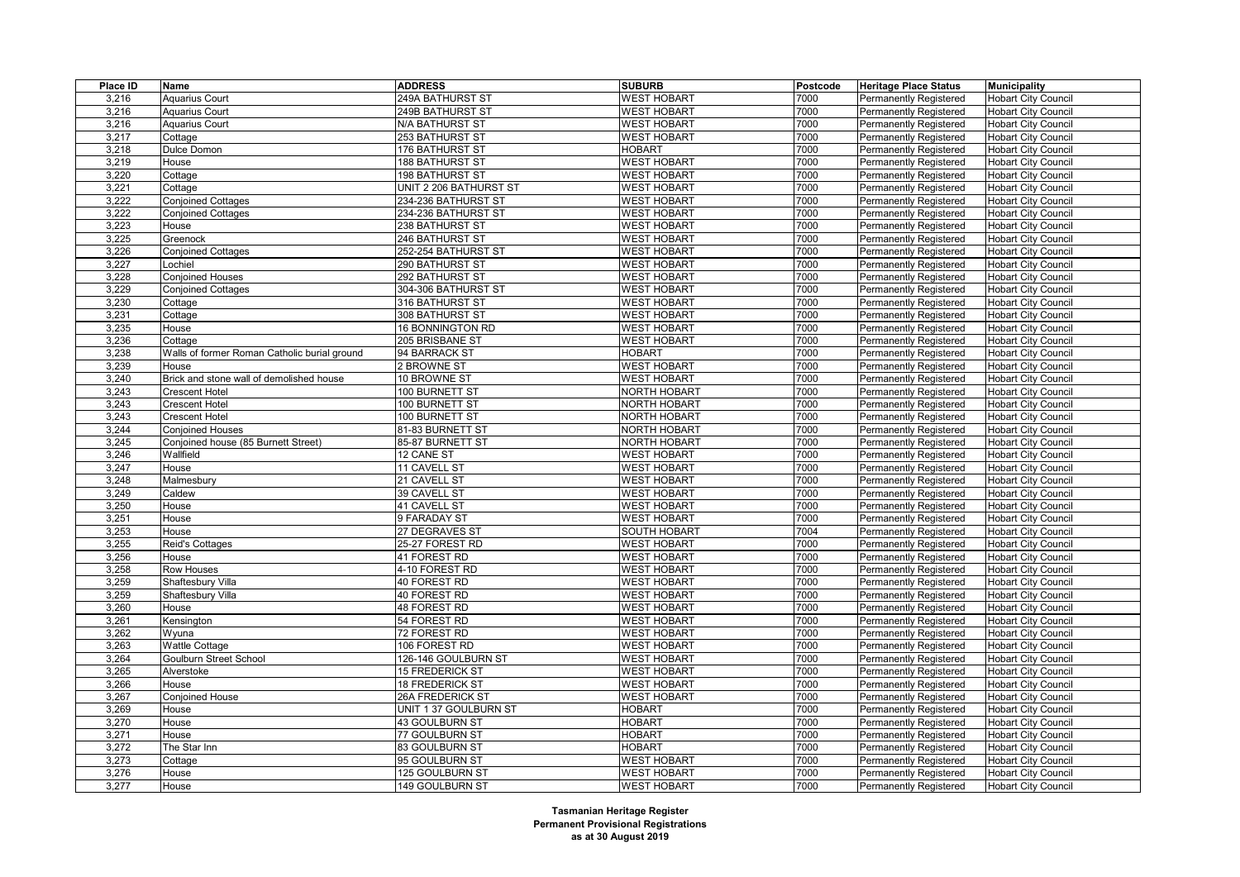| Place ID       | Name                                             | <b>ADDRESS</b>                 | <b>SUBURB</b>                            | Postcode     | <b>Heritage Place Status</b>  | <b>Municipality</b>        |
|----------------|--------------------------------------------------|--------------------------------|------------------------------------------|--------------|-------------------------------|----------------------------|
| 3,216          | Aquarius Court                                   | 249A BATHURST ST               | <b>WEST HOBART</b>                       | 7000         | <b>Permanently Registered</b> | <b>Hobart City Council</b> |
| 3,216          | <b>Aquarius Court</b>                            | 249B BATHURST ST               | <b>WEST HOBART</b>                       | 7000         | <b>Permanently Registered</b> | <b>Hobart City Council</b> |
| 3,216          | <b>Aquarius Court</b>                            | N/A BATHURST ST                | <b>WEST HOBART</b>                       | 7000         | <b>Permanently Registered</b> | <b>Hobart City Council</b> |
| 3,217          | Cottage                                          | 253 BATHURST ST                | <b>WEST HOBART</b>                       | 7000         | Permanently Registered        | <b>Hobart City Council</b> |
| 3,218          | Dulce Domon                                      | 176 BATHURST ST                | <b>HOBART</b>                            | 7000         | <b>Permanently Registered</b> | <b>Hobart City Council</b> |
| 3,219          | House                                            | 188 BATHURST ST                | <b>WEST HOBART</b>                       | 7000         | <b>Permanently Registered</b> | <b>Hobart City Council</b> |
| 3,220          | Cottage                                          | 198 BATHURST ST                | <b>WEST HOBART</b>                       | 7000         | Permanently Registered        | <b>Hobart City Council</b> |
| 3,221          | Cottage                                          | UNIT 2 206 BATHURST ST         | <b>WEST HOBART</b>                       | 7000         | <b>Permanently Registered</b> | <b>Hobart City Council</b> |
| 3,222          | Conjoined Cottages                               | 234-236 BATHURST ST            | <b>WEST HOBART</b>                       | 7000         | Permanently Registered        | <b>Hobart City Council</b> |
| 3,222          | <b>Conjoined Cottages</b>                        | 234-236 BATHURST ST            | <b>WEST HOBART</b>                       | 7000         | <b>Permanently Registered</b> | <b>Hobart City Council</b> |
| 3,223          | House                                            | 238 BATHURST ST                | <b>WEST HOBART</b>                       | 7000         | <b>Permanently Registered</b> | <b>Hobart City Council</b> |
| 3,225          | Greenock                                         | 246 BATHURST ST                | <b>WEST HOBART</b>                       | 7000         | Permanently Registered        | <b>Hobart City Council</b> |
| 3,226          | <b>Conjoined Cottages</b>                        | 252-254 BATHURST ST            | <b>WEST HOBART</b>                       | 7000         | <b>Permanently Registered</b> | <b>Hobart City Council</b> |
| 3,227          | Lochiel                                          | 290 BATHURST ST                | <b>WEST HOBART</b>                       | 7000         | <b>Permanently Registered</b> | <b>Hobart City Council</b> |
| 3,228          | <b>Conjoined Houses</b>                          | 292 BATHURST ST                | <b>WEST HOBART</b>                       | 7000         | Permanently Registered        | <b>Hobart City Council</b> |
| 3,229          | <b>Conjoined Cottages</b>                        | 304-306 BATHURST ST            | <b>WEST HOBART</b>                       | 7000         | <b>Permanently Registered</b> | <b>Hobart City Council</b> |
| 3,230          | Cottage                                          | 316 BATHURST ST                | <b>WEST HOBART</b>                       | 7000         | <b>Permanently Registered</b> | <b>Hobart City Council</b> |
| 3,231          | Cottage                                          | 308 BATHURST ST                | <b>WEST HOBART</b>                       | 7000         | Permanently Registered        | <b>Hobart City Council</b> |
| 3,235          | House                                            | 16 BONNINGTON RD               | <b>WEST HOBART</b>                       | 7000         | <b>Permanently Registered</b> | <b>Hobart City Council</b> |
| 3,236          | Cottage                                          | 205 BRISBANE ST                | <b>WEST HOBART</b>                       | 7000         | Permanently Registered        | <b>Hobart City Council</b> |
| 3,238          | Walls of former Roman Catholic burial ground     | 94 BARRACK ST                  | <b>HOBART</b>                            | 7000         | Permanently Registered        | <b>Hobart City Council</b> |
| 3,239          | House                                            | 2 BROWNE ST                    | <b>WEST HOBART</b>                       | 7000         | <b>Permanently Registered</b> | <b>Hobart City Council</b> |
| 3,240          | Brick and stone wall of demolished house         | 10 BROWNE ST                   | <b>WEST HOBART</b>                       | 7000         | Permanently Registered        | <b>Hobart City Council</b> |
| 3,243          | <b>Crescent Hotel</b>                            | 100 BURNETT ST                 | NORTH HOBART                             | 7000         | <b>Permanently Registered</b> | <b>Hobart City Council</b> |
| 3,243          | <b>Crescent Hotel</b>                            | 100 BURNETT ST                 | NORTH HOBART                             | 7000         | <b>Permanently Registered</b> | <b>Hobart City Council</b> |
| 3,243          | <b>Crescent Hotel</b>                            | 100 BURNETT ST                 | NORTH HOBART                             | 7000         | Permanently Registered        | <b>Hobart City Council</b> |
| 3,244          | <b>Conjoined Houses</b>                          | 81-83 BURNETT ST               | <b>NORTH HOBART</b>                      | 7000         | <b>Permanently Registered</b> | <b>Hobart City Council</b> |
| 3,245          |                                                  |                                |                                          | 7000         |                               |                            |
| 3,246          | Conjoined house (85 Burnett Street)<br>Wallfield | 85-87 BURNETT ST<br>12 CANE ST | NORTH HOBART<br><b>WEST HOBART</b>       | 7000         | <b>Permanently Registered</b> | <b>Hobart City Council</b> |
| 3,247          | House                                            | 11 CAVELL ST                   | <b>WEST HOBART</b>                       | 7000         | Permanently Registered        | <b>Hobart City Council</b> |
|                |                                                  |                                |                                          |              | <b>Permanently Registered</b> | <b>Hobart City Council</b> |
| 3,248<br>3,249 | Malmesbury<br>Caldew                             | 21 CAVELL ST<br>39 CAVELL ST   | <b>WEST HOBART</b><br><b>WEST HOBART</b> | 7000<br>7000 | <b>Permanently Registered</b> | <b>Hobart City Council</b> |
| 3,250          |                                                  |                                |                                          | 7000         | Permanently Registered        | <b>Hobart City Council</b> |
|                | House                                            | 41 CAVELL ST                   | <b>WEST HOBART</b>                       |              | <b>Permanently Registered</b> | <b>Hobart City Council</b> |
| 3,251          | House                                            | 9 FARADAY ST                   | <b>WEST HOBART</b>                       | 7000<br>7004 | <b>Permanently Registered</b> | <b>Hobart City Council</b> |
| 3,253          | House                                            | 27 DEGRAVES ST                 | <b>SOUTH HOBART</b>                      |              | <b>Permanently Registered</b> | <b>Hobart City Council</b> |
| 3,255          | Reid's Cottages                                  | 25-27 FOREST RD                | <b>WEST HOBART</b>                       | 7000         | <b>Permanently Registered</b> | <b>Hobart City Council</b> |
| 3,256          | House                                            | 41 FOREST RD                   | <b>WEST HOBART</b>                       | 7000         | <b>Permanently Registered</b> | <b>Hobart City Council</b> |
| 3,258          | <b>Row Houses</b>                                | 4-10 FOREST RD                 | <b>WEST HOBART</b>                       | 7000         | <b>Permanently Registered</b> | <b>Hobart City Council</b> |
| 3,259          | Shaftesbury Villa                                | 40 FOREST RD                   | <b>WEST HOBART</b>                       | 7000         | <b>Permanently Registered</b> | <b>Hobart City Council</b> |
| 3,259          | Shaftesbury Villa                                | 40 FOREST RD                   | <b>WEST HOBART</b>                       | 7000         | Permanently Registered        | <b>Hobart City Council</b> |
| 3,260          | House                                            | 48 FOREST RD                   | <b>WEST HOBART</b>                       | 7000         | <b>Permanently Registered</b> | <b>Hobart City Council</b> |
| 3,261          | Kensington                                       | 54 FOREST RD                   | <b>WEST HOBART</b>                       | 7000         | <b>Permanently Registered</b> | <b>Hobart City Council</b> |
| 3,262          | Wyuna                                            | 72 FOREST RD                   | <b>WEST HOBART</b>                       | 7000         | <b>Permanently Registered</b> | <b>Hobart City Council</b> |
| 3,263          | <b>Wattle Cottage</b>                            | 106 FOREST RD                  | <b>WEST HOBART</b>                       | 7000         | <b>Permanently Registered</b> | <b>Hobart City Council</b> |
| 3,264          | Goulburn Street School                           | 126-146 GOULBURN ST            | <b>WEST HOBART</b>                       | 7000         | <b>Permanently Registered</b> | <b>Hobart City Council</b> |
| 3,265          | Alverstoke                                       | 15 FREDERICK ST                | <b>WEST HOBART</b>                       | 7000         | <b>Permanently Registered</b> | <b>Hobart City Council</b> |
| 3,266          | House                                            | 18 FREDERICK ST                | <b>WEST HOBART</b>                       | 7000         | <b>Permanently Registered</b> | <b>Hobart City Council</b> |
| 3,267          | <b>Conjoined House</b>                           | 26A FREDERICK ST               | <b>WEST HOBART</b>                       | 7000         | <b>Permanently Registered</b> | <b>Hobart City Council</b> |
| 3,269          | House                                            | UNIT 1 37 GOULBURN ST          | <b>HOBART</b>                            | 7000         | <b>Permanently Registered</b> | Hobart City Council        |
| 3,270          | House                                            | 43 GOULBURN ST                 | <b>HOBART</b>                            | 7000         | <b>Permanently Registered</b> | <b>Hobart City Council</b> |
| 3,271          | House                                            | 77 GOULBURN ST                 | <b>HOBART</b>                            | 7000         | <b>Permanently Registered</b> | <b>Hobart City Council</b> |
| 3,272          | The Star Inn                                     | 83 GOULBURN ST                 | <b>HOBART</b>                            | 7000         | <b>Permanently Registered</b> | <b>Hobart City Council</b> |
| 3,273          | Cottage                                          | 95 GOULBURN ST                 | <b>WEST HOBART</b>                       | 7000         | <b>Permanently Registered</b> | <b>Hobart City Council</b> |
| 3,276          | House                                            | 125 GOULBURN ST                | <b>WEST HOBART</b>                       | 7000         | <b>Permanently Registered</b> | <b>Hobart City Council</b> |
| 3,277          | House                                            | 149 GOULBURN ST                | <b>WEST HOBART</b>                       | 7000         | <b>Permanently Registered</b> | <b>Hobart City Council</b> |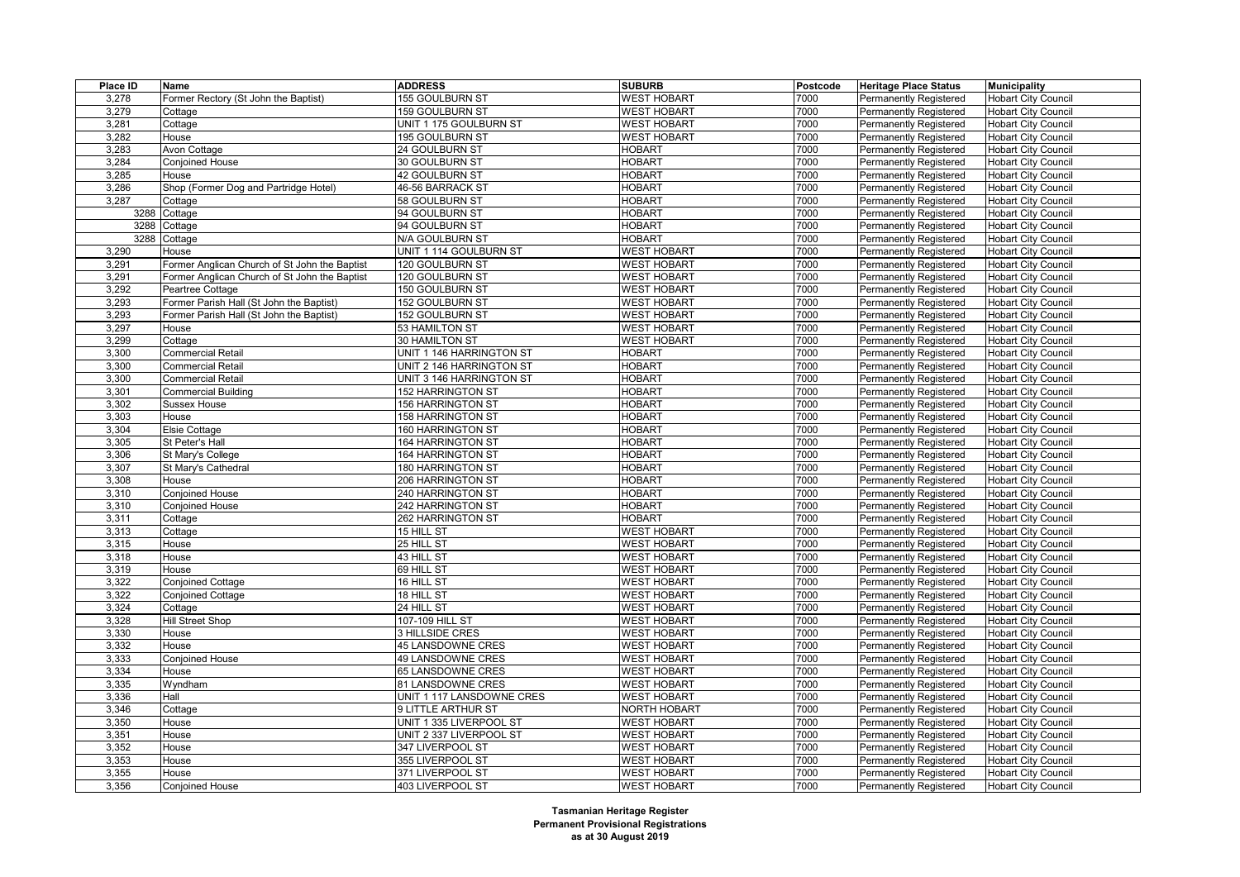| Place ID | <b>Name</b>                                   | <b>ADDRESS</b>            | <b>SUBURB</b>       | Postcode | <b>Heritage Place Status</b>  | <b>Municipality</b>        |
|----------|-----------------------------------------------|---------------------------|---------------------|----------|-------------------------------|----------------------------|
| 3,278    | Former Rectory (St John the Baptist)          | 155 GOULBURN ST           | <b>WEST HOBART</b>  | 7000     | Permanently Registered        | <b>Hobart City Council</b> |
| 3,279    | Cottage                                       | 159 GOULBURN ST           | <b>WEST HOBART</b>  | 7000     | Permanently Registered        | <b>Hobart City Council</b> |
| 3,281    | Cottage                                       | UNIT 1 175 GOULBURN ST    | <b>WEST HOBART</b>  | 7000     | Permanently Registered        | <b>Hobart City Council</b> |
| 3,282    | House                                         | 195 GOULBURN ST           | <b>WEST HOBART</b>  | 7000     | Permanently Registered        | <b>Hobart City Council</b> |
| 3,283    | Avon Cottage                                  | 24 GOULBURN ST            | <b>HOBART</b>       | 7000     | Permanently Registered        | <b>Hobart City Council</b> |
| 3,284    | <b>Conjoined House</b>                        | 30 GOULBURN ST            | <b>HOBART</b>       | 7000     | Permanently Registered        | <b>Hobart City Council</b> |
| 3,285    | House                                         | 42 GOULBURN ST            | <b>HOBART</b>       | 7000     | Permanently Registered        | <b>Hobart City Council</b> |
| 3,286    | Shop (Former Dog and Partridge Hotel)         | 46-56 BARRACK ST          | <b>HOBART</b>       | 7000     | Permanently Registered        | <b>Hobart City Council</b> |
| 3,287    | Cottage                                       | 58 GOULBURN ST            | <b>HOBART</b>       | 7000     | Permanently Registered        | <b>Hobart City Council</b> |
|          | 3288 Cottage                                  | 94 GOULBURN ST            | <b>HOBART</b>       | 7000     | Permanently Registered        | <b>Hobart City Council</b> |
| 3288     | Cottage                                       | 94 GOULBURN ST            | <b>HOBART</b>       | 7000     | Permanently Registered        | <b>Hobart City Council</b> |
| 3288     | Cottage                                       | N/A GOULBURN ST           | <b>HOBART</b>       | 7000     | Permanently Registered        | <b>Hobart City Council</b> |
| 3,290    | House                                         | UNIT 1 114 GOULBURN ST    | <b>WEST HOBART</b>  | 7000     | Permanently Registered        | <b>Hobart City Council</b> |
| 3,291    | Former Anglican Church of St John the Baptist | 120 GOULBURN ST           | <b>WEST HOBART</b>  | 7000     | Permanently Registered        | <b>Hobart City Council</b> |
| 3,291    | Former Anglican Church of St John the Baptist | 120 GOULBURN ST           | <b>WEST HOBART</b>  | 7000     | Permanently Registered        | <b>Hobart City Council</b> |
| 3,292    | Peartree Cottage                              | 150 GOULBURN ST           | <b>WEST HOBART</b>  | 7000     | Permanently Registered        | <b>Hobart City Council</b> |
| 3,293    | Former Parish Hall (St John the Baptist)      | 152 GOULBURN ST           | <b>WEST HOBART</b>  | 7000     | Permanently Registered        | <b>Hobart City Council</b> |
| 3,293    | Former Parish Hall (St John the Baptist)      | 152 GOULBURN ST           | <b>WEST HOBART</b>  | 7000     | Permanently Registered        | <b>Hobart City Council</b> |
| 3,297    | House                                         | 53 HAMILTON ST            | <b>WEST HOBART</b>  | 7000     | Permanently Registered        | <b>Hobart City Council</b> |
| 3,299    | Cottage                                       | 30 HAMILTON ST            | <b>WEST HOBART</b>  | 7000     | <b>Permanently Registered</b> | Hobart City Council        |
| 3,300    | <b>Commercial Retail</b>                      | UNIT 1 146 HARRINGTON ST  | <b>HOBART</b>       | 7000     | Permanently Registered        | <b>Hobart City Council</b> |
| 3,300    | <b>Commercial Retail</b>                      | UNIT 2 146 HARRINGTON ST  | <b>HOBART</b>       | 7000     | Permanently Registered        | <b>Hobart City Council</b> |
| 3,300    | <b>Commercial Retail</b>                      | UNIT 3 146 HARRINGTON ST  | <b>HOBART</b>       | 7000     | Permanently Registered        | Hobart City Council        |
| 3,301    | <b>Commercial Building</b>                    | 152 HARRINGTON ST         | <b>HOBART</b>       | 7000     | Permanently Registered        | <b>Hobart City Council</b> |
| 3,302    | <b>Sussex House</b>                           | 156 HARRINGTON ST         | <b>HOBART</b>       | 7000     | Permanently Registered        | <b>Hobart City Council</b> |
| 3,303    | House                                         | <b>158 HARRINGTON ST</b>  | <b>HOBART</b>       | 7000     | Permanently Registered        | Hobart City Council        |
| 3,304    | Elsie Cottage                                 | 160 HARRINGTON ST         | <b>HOBART</b>       | 7000     | Permanently Registered        | <b>Hobart City Council</b> |
| 3,305    | St Peter's Hall                               | 164 HARRINGTON ST         | <b>HOBART</b>       | 7000     | Permanently Registered        | <b>Hobart City Council</b> |
| 3,306    | St Mary's College                             | 164 HARRINGTON ST         | <b>HOBART</b>       | 7000     | Permanently Registered        | Hobart City Council        |
| 3,307    | St Mary's Cathedral                           | 180 HARRINGTON ST         | <b>HOBART</b>       | 7000     | Permanently Registered        | <b>Hobart City Council</b> |
| 3,308    | House                                         | <b>206 HARRINGTON ST</b>  | <b>HOBART</b>       | 7000     | Permanently Registered        | <b>Hobart City Council</b> |
| 3,310    | <b>Conjoined House</b>                        | <b>240 HARRINGTON ST</b>  | <b>HOBART</b>       | 7000     | Permanently Registered        | Hobart City Council        |
| 3,310    | <b>Conjoined House</b>                        | 242 HARRINGTON ST         | <b>HOBART</b>       | 7000     | Permanently Registered        | <b>Hobart City Council</b> |
| 3,311    | Cottage                                       | 262 HARRINGTON ST         | <b>HOBART</b>       | 7000     | Permanently Registered        | <b>Hobart City Council</b> |
| 3,313    | Cottage                                       | $\overline{15}$ HILL ST   | <b>WEST HOBART</b>  | 7000     | Permanently Registered        | Hobart City Council        |
| 3,315    | House                                         | 25 HILL ST                | <b>WEST HOBART</b>  | 7000     | Permanently Registered        | <b>Hobart City Council</b> |
| 3,318    | House                                         | 43 HILL ST                | <b>WEST HOBART</b>  | 7000     | Permanently Registered        | <b>Hobart City Council</b> |
| 3,319    | House                                         | 69 HILL ST                | <b>WEST HOBART</b>  | 7000     | Permanently Registered        | <b>Hobart City Council</b> |
| 3,322    | Conjoined Cottage                             | 16 HILL ST                | <b>WEST HOBART</b>  | 7000     | <b>Permanently Registered</b> | Hobart City Council        |
| 3,322    | <b>Conjoined Cottage</b>                      | 18 HILL ST                | <b>WEST HOBART</b>  | 7000     | Permanently Registered        | Hobart City Council        |
| 3,324    | Cottage                                       | $\overline{24}$ HILL ST   | <b>WEST HOBART</b>  | 7000     | <b>Permanently Registered</b> | <b>Hobart City Council</b> |
| 3,328    | Hill Street Shop                              | 107-109 HILL ST           | <b>WEST HOBART</b>  | 7000     | Permanently Registered        | <b>Hobart City Council</b> |
| 3,330    | House                                         | 3 HILLSIDE CRES           | <b>WEST HOBART</b>  | 7000     | Permanently Registered        | <b>Hobart City Council</b> |
| 3,332    | House                                         | <b>45 LANSDOWNE CRES</b>  | <b>WEST HOBART</b>  | 7000     | Permanently Registered        | <b>Hobart City Council</b> |
| 3,333    | Conjoined House                               | 49 LANSDOWNE CRES         | <b>WEST HOBART</b>  | 7000     | Permanently Registered        | Hobart City Council        |
| 3,334    | House                                         | 65 LANSDOWNE CRES         | <b>WEST HOBART</b>  | 7000     | <b>Permanently Registered</b> | Hobart City Council        |
| 3,335    | Wyndham                                       | 81 LANSDOWNE CRES         | <b>WEST HOBART</b>  | 7000     | Permanently Registered        | <b>Hobart City Council</b> |
| 3,336    | Hall                                          | UNIT 1 117 LANSDOWNE CRES | <b>WEST HOBART</b>  | 7000     | Permanently Registered        | Hobart City Council        |
| 3,346    | Cottage                                       | 9 LITTLE ARTHUR ST        | <b>NORTH HOBART</b> | 7000     | <b>Permanently Registered</b> | <b>Hobart City Council</b> |
| 3,350    | House                                         | UNIT 1 335 LIVERPOOL ST   | <b>WEST HOBART</b>  | 7000     | Permanently Registered        | <b>Hobart City Council</b> |
| 3,351    | House                                         | UNIT 2 337 LIVERPOOL ST   | <b>WEST HOBART</b>  | 7000     | Permanently Registered        | Hobart City Council        |
| 3,352    | House                                         | 347 LIVERPOOL ST          | <b>WEST HOBART</b>  | 7000     | Permanently Registered        | <b>Hobart City Council</b> |
| 3,353    | House                                         | 355 LIVERPOOL ST          | <b>WEST HOBART</b>  | 7000     | Permanently Registered        | Hobart City Council        |
| 3,355    | House                                         | 371 LIVERPOOL ST          | <b>WEST HOBART</b>  | 7000     | Permanently Registered        | <b>Hobart City Council</b> |
| 3,356    | <b>Conjoined House</b>                        | 403 LIVERPOOL ST          | <b>WEST HOBART</b>  | 7000     |                               |                            |
|          |                                               |                           |                     |          | <b>Permanently Registered</b> | <b>Hobart City Council</b> |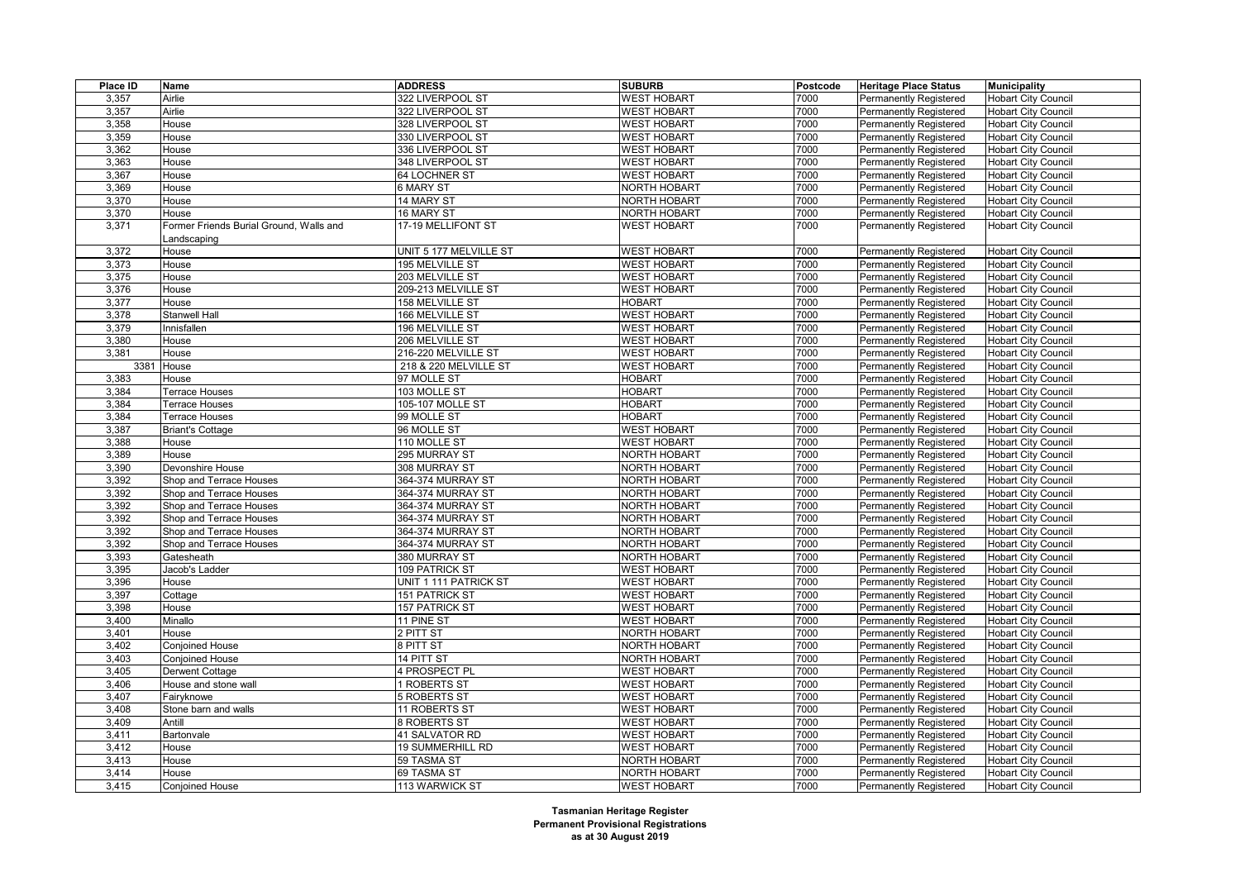| Place ID | Name                                    | <b>ADDRESS</b>         | <b>SUBURB</b>       | Postcode | <b>Heritage Place Status</b>  | <b>Municipality</b>        |
|----------|-----------------------------------------|------------------------|---------------------|----------|-------------------------------|----------------------------|
| 3,357    | Airlie                                  | 322 LIVERPOOL ST       | <b>WEST HOBART</b>  | 7000     | <b>Permanently Registered</b> | <b>Hobart City Council</b> |
| 3,357    | Airlie                                  | 322 LIVERPOOL ST       | <b>WEST HOBART</b>  | 7000     | <b>Permanently Registered</b> | <b>Hobart City Council</b> |
| 3,358    | House                                   | 328 LIVERPOOL ST       | <b>WEST HOBART</b>  | 7000     | <b>Permanently Registered</b> | <b>Hobart City Council</b> |
| 3,359    | House                                   | 330 LIVERPOOL ST       | <b>WEST HOBART</b>  | 7000     | Permanently Registered        | <b>Hobart City Council</b> |
| 3,362    | House                                   | 336 LIVERPOOL ST       | <b>WEST HOBART</b>  | 7000     | <b>Permanently Registered</b> | <b>Hobart City Council</b> |
| 3,363    | House                                   | 348 LIVERPOOL ST       | <b>WEST HOBART</b>  | 7000     | Permanently Registered        | <b>Hobart City Council</b> |
| 3,367    | House                                   | 64 LOCHNER ST          | <b>WEST HOBART</b>  | 7000     | Permanently Registered        | <b>Hobart City Council</b> |
| 3,369    | House                                   | 6 MARY ST              | NORTH HOBART        | 7000     | <b>Permanently Registered</b> | <b>Hobart City Council</b> |
| 3,370    | House                                   | 14 MARY ST             | <b>NORTH HOBART</b> | 7000     | <b>Permanently Registered</b> | <b>Hobart City Council</b> |
| 3,370    | House                                   | 16 MARY ST             | <b>NORTH HOBART</b> | 7000     | <b>Permanently Registered</b> | <b>Hobart City Council</b> |
| 3,371    | Former Friends Burial Ground, Walls and | 17-19 MELLIFONT ST     | <b>WEST HOBART</b>  | 7000     | <b>Permanently Registered</b> | <b>Hobart City Council</b> |
|          | .andscaping                             |                        |                     |          |                               |                            |
| 3,372    | House                                   | UNIT 5 177 MELVILLE ST | <b>WEST HOBART</b>  | 7000     | <b>Permanently Registered</b> | <b>Hobart City Council</b> |
| 3,373    | House                                   | 195 MELVILLE ST        | <b>WEST HOBART</b>  | 7000     | <b>Permanently Registered</b> | <b>Hobart City Council</b> |
| 3,375    | House                                   | 203 MELVILLE ST        | <b>WEST HOBART</b>  | 7000     | Permanently Registered        | <b>Hobart City Council</b> |
| 3,376    | House                                   | 209-213 MELVILLE ST    | <b>WEST HOBART</b>  | 7000     | <b>Permanently Registered</b> | <b>Hobart City Council</b> |
| 3,377    | House                                   | 158 MELVILLE ST        | <b>HOBART</b>       | 7000     | <b>Permanently Registered</b> | <b>Hobart City Council</b> |
| 3,378    | Stanwell Hall                           | 166 MELVILLE ST        | <b>WEST HOBART</b>  | 7000     | Permanently Registered        | <b>Hobart City Council</b> |
| 3,379    | Innisfallen                             | 196 MELVILLE ST        | <b>WEST HOBART</b>  | 7000     | <b>Permanently Registered</b> | <b>Hobart City Council</b> |
| 3,380    | House                                   | 206 MELVILLE ST        | <b>WEST HOBART</b>  | 7000     | Permanently Registered        | <b>Hobart City Council</b> |
| 3.381    | House                                   | 216-220 MELVILLE ST    | <b>WEST HOBART</b>  | 7000     | <b>Permanently Registered</b> | <b>Hobart City Council</b> |
| 3381     | House                                   | 218 & 220 MELVILLE ST  | <b>WEST HOBART</b>  | 7000     | <b>Permanently Registered</b> | <b>Hobart City Council</b> |
| 3,383    | House                                   | 97 MOLLE ST            | <b>HOBART</b>       | 7000     | Permanently Registered        | <b>Hobart City Council</b> |
| 3,384    | Terrace Houses                          | 103 MOLLE ST           | <b>HOBART</b>       | 7000     | <b>Permanently Registered</b> | <b>Hobart City Council</b> |
| 3,384    | <b>Terrace Houses</b>                   | 105-107 MOLLE ST       | <b>HOBART</b>       | 7000     | <b>Permanently Registered</b> | <b>Hobart City Council</b> |
| 3,384    | Terrace Houses                          | 99 MOLLE ST            | <b>HOBART</b>       | 7000     | Permanently Registered        | <b>Hobart City Council</b> |
| 3,387    | <b>Briant's Cottage</b>                 | 96 MOLLE ST            | <b>WEST HOBART</b>  | 7000     | <b>Permanently Registered</b> | <b>Hobart City Council</b> |
| 3,388    | House                                   | 110 MOLLE ST           | <b>WEST HOBART</b>  | 7000     | Permanently Registered        | <b>Hobart City Council</b> |
| 3,389    | House                                   | 295 MURRAY ST          | <b>NORTH HOBART</b> | 7000     | Permanently Registered        | <b>Hobart City Council</b> |
| 3,390    | Devonshire House                        | 308 MURRAY ST          | <b>NORTH HOBART</b> | 7000     | <b>Permanently Registered</b> | <b>Hobart City Council</b> |
| 3,392    | Shop and Terrace Houses                 | 364-374 MURRAY ST      | <b>NORTH HOBART</b> | 7000     | <b>Permanently Registered</b> | <b>Hobart City Council</b> |
| 3,392    | Shop and Terrace Houses                 | 364-374 MURRAY ST      | NORTH HOBART        | 7000     | Permanently Registered        | <b>Hobart City Council</b> |
| 3,392    | Shop and Terrace Houses                 | 364-374 MURRAY ST      | <b>NORTH HOBART</b> | 7000     | <b>Permanently Registered</b> | <b>Hobart City Council</b> |
| 3,392    | Shop and Terrace Houses                 | 364-374 MURRAY ST      | <b>NORTH HOBART</b> | 7000     | <b>Permanently Registered</b> | <b>Hobart City Council</b> |
| 3,392    |                                         | 364-374 MURRAY ST      | NORTH HOBART        | 7000     | Permanently Registered        | <b>Hobart City Council</b> |
|          | Shop and Terrace Houses                 |                        |                     |          |                               |                            |
| 3,392    | Shop and Terrace Houses                 | 364-374 MURRAY ST      | <b>NORTH HOBART</b> | 7000     | <b>Permanently Registered</b> | <b>Hobart City Council</b> |
| 3,393    | Gatesheath                              | 380 MURRAY ST          | <b>NORTH HOBART</b> | 7000     | Permanently Registered        | <b>Hobart City Council</b> |
| 3,395    | Jacob's Ladder                          | 109 PATRICK ST         | <b>WEST HOBART</b>  | 7000     | <b>Permanently Registered</b> | <b>Hobart City Council</b> |
| 3,396    | House                                   | UNIT 1 111 PATRICK ST  | <b>WEST HOBART</b>  | 7000     | <b>Permanently Registered</b> | <b>Hobart City Council</b> |
| 3,397    | Cottage                                 | 151 PATRICK ST         | <b>WEST HOBART</b>  | 7000     | Permanently Registered        | <b>Hobart City Council</b> |
| 3,398    | House                                   | 157 PATRICK ST         | <b>WEST HOBART</b>  | 7000     | <b>Permanently Registered</b> | <b>Hobart City Council</b> |
| 3,400    | Minallo                                 | 11 PINE ST             | <b>WEST HOBART</b>  | 7000     | Permanently Registered        | <b>Hobart City Council</b> |
| 3,401    | House                                   | 2 PITT ST              | <b>NORTH HOBART</b> | 7000     | Permanently Registered        | <b>Hobart City Council</b> |
| 3,402    | Conjoined House                         | 8 PITT ST              | NORTH HOBART        | 7000     | <b>Permanently Registered</b> | <b>Hobart City Council</b> |
| 3,403    | Conjoined House                         | 14 PITT ST             | <b>NORTH HOBART</b> | 7000     | <b>Permanently Registered</b> | <b>Hobart City Council</b> |
| 3,405    | Derwent Cottage                         | 4 PROSPECT PL          | <b>WEST HOBART</b>  | 7000     | Permanently Registered        | <b>Hobart City Council</b> |
| 3,406    | House and stone wall                    | 1 ROBERTS ST           | <b>WEST HOBART</b>  | 7000     | <b>Permanently Registered</b> | <b>Hobart City Council</b> |
| 3,407    | Fairyknowe                              | 5 ROBERTS ST           | <b>WEST HOBART</b>  | 7000     | Permanently Registered        | <b>Hobart City Council</b> |
| 3,408    | Stone barn and walls                    | 11 ROBERTS ST          | <b>WEST HOBART</b>  | 7000     | Permanently Registered        | <b>Hobart City Council</b> |
| 3,409    | Antill                                  | 8 ROBERTS ST           | <b>WEST HOBART</b>  | 7000     | <b>Permanently Registered</b> | <b>Hobart City Council</b> |
| 3,411    | Bartonvale                              | 41 SALVATOR RD         | <b>WEST HOBART</b>  | 7000     | <b>Permanently Registered</b> | <b>Hobart City Council</b> |
| 3,412    | House                                   | 19 SUMMERHILL RD       | <b>WEST HOBART</b>  | 7000     | <b>Permanently Registered</b> | <b>Hobart City Council</b> |
| 3,413    | House                                   | 59 TASMA ST            | <b>NORTH HOBART</b> | 7000     | Permanently Registered        | <b>Hobart City Council</b> |
| 3,414    | House                                   | 69 TASMA ST            | NORTH HOBART        | 7000     | <b>Permanently Registered</b> | <b>Hobart City Council</b> |
| 3,415    | <b>Conjoined House</b>                  | 113 WARWICK ST         | <b>WEST HOBART</b>  | 7000     | <b>Permanently Registered</b> | <b>Hobart City Council</b> |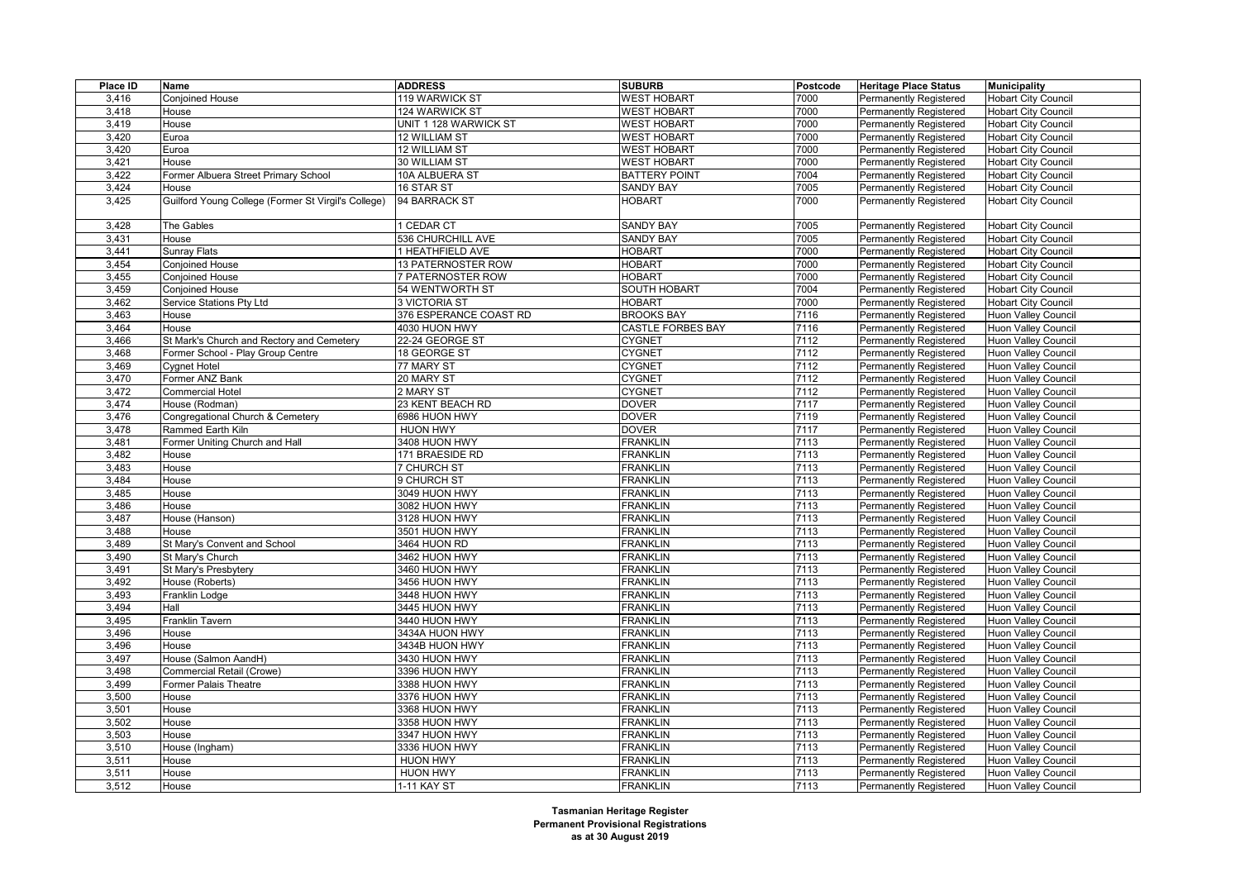| Place ID | Name                                                | <b>ADDRESS</b>         | <b>SUBURB</b>            | Postcode | <b>Heritage Place Status</b>  | <b>Municipality</b>        |
|----------|-----------------------------------------------------|------------------------|--------------------------|----------|-------------------------------|----------------------------|
| 3,416    | Conjoined House                                     | 119 WARWICK ST         | <b>WEST HOBART</b>       | 7000     | Permanently Registered        | <b>Hobart City Council</b> |
| 3,418    | House                                               | 124 WARWICK ST         | <b>WEST HOBART</b>       | 7000     | <b>Permanently Registered</b> | <b>Hobart City Council</b> |
| 3,419    | House                                               | UNIT 1 128 WARWICK ST  | <b>WEST HOBART</b>       | 7000     | <b>Permanently Registered</b> | <b>Hobart City Council</b> |
| 3,420    | Euroa                                               | 12 WILLIAM ST          | <b>WEST HOBART</b>       | 7000     | Permanently Registered        | <b>Hobart City Council</b> |
| 3,420    | Euroa                                               | 12 WILLIAM ST          | <b>WEST HOBART</b>       | 7000     | <b>Permanently Registered</b> | <b>Hobart City Council</b> |
| 3,421    | House                                               | 30 WILLIAM ST          | <b>WEST HOBART</b>       | 7000     | <b>Permanently Registered</b> | <b>Hobart City Council</b> |
| 3,422    | Former Albuera Street Primary School                | 10A ALBUERA ST         | <b>BATTERY POINT</b>     | 7004     | Permanently Registered        | <b>Hobart City Council</b> |
| 3,424    | House                                               | 16 STAR ST             | <b>SANDY BAY</b>         | 7005     | <b>Permanently Registered</b> | <b>Hobart City Council</b> |
| 3,425    | Guilford Young College (Former St Virgil's College) | 94 BARRACK ST          | <b>HOBART</b>            | 7000     | Permanently Registered        | <b>Hobart City Council</b> |
|          |                                                     |                        |                          |          |                               |                            |
| 3,428    | The Gables                                          | 1 CEDAR CT             | <b>SANDY BAY</b>         | 7005     | <b>Permanently Registered</b> | <b>Hobart City Council</b> |
| 3,431    | House                                               | 536 CHURCHILL AVE      | <b>SANDY BAY</b>         | 7005     | <b>Permanently Registered</b> | <b>Hobart City Council</b> |
| 3,441    | Sunray Flats                                        | 1 HEATHFIELD AVE       | <b>HOBART</b>            | 7000     | Permanently Registered        | <b>Hobart City Council</b> |
| 3,454    | Conjoined House                                     | 13 PATERNOSTER ROW     | <b>HOBART</b>            | 7000     | <b>Permanently Registered</b> | <b>Hobart City Council</b> |
| 3,455    | Conjoined House                                     | 7 PATERNOSTER ROW      | <b>HOBART</b>            | 7000     | <b>Permanently Registered</b> | <b>Hobart City Council</b> |
| 3,459    | Conjoined House                                     | 54 WENTWORTH ST        | SOUTH HOBART             | 7004     | Permanently Registered        | <b>Hobart City Council</b> |
| 3,462    | Service Stations Pty Ltd                            | 3 VICTORIA ST          | <b>HOBART</b>            | 7000     | <b>Permanently Registered</b> | <b>Hobart City Council</b> |
| 3,463    | House                                               | 376 ESPERANCE COAST RD | <b>BROOKS BAY</b>        | 7116     | <b>Permanently Registered</b> | Huon Valley Council        |
| 3,464    | House                                               | 4030 HUON HWY          | <b>CASTLE FORBES BAY</b> | 7116     | Permanently Registered        | Huon Valley Council        |
| 3,466    | St Mark's Church and Rectory and Cemetery           | 22-24 GEORGE ST        | <b>CYGNET</b>            | 7112     | <b>Permanently Registered</b> | Huon Valley Council        |
| 3,468    | Former School - Play Group Centre                   | 18 GEORGE ST           | <b>CYGNET</b>            | 7112     | <b>Permanently Registered</b> | Huon Valley Council        |
| 3,469    | Cygnet Hotel                                        | 77 MARY ST             | <b>CYGNET</b>            | 7112     | <b>Permanently Registered</b> | Huon Valley Council        |
| 3,470    | Former ANZ Bank                                     | 20 MARY ST             | <b>CYGNET</b>            | 7112     | <b>Permanently Registered</b> | Huon Valley Council        |
| 3,472    | Commercial Hotel                                    | 2 MARY ST              | <b>CYGNET</b>            | 7112     | <b>Permanently Registered</b> | Huon Valley Council        |
| 3,474    | House (Rodman)                                      | 23 KENT BEACH RD       | <b>DOVER</b>             | 7117     | Permanently Registered        | Huon Valley Council        |
| 3,476    | Congregational Church & Cemetery                    | 6986 HUON HWY          | <b>DOVER</b>             | 7119     | Permanently Registered        | Huon Valley Council        |
| 3,478    | Rammed Earth Kiln                                   | <b>HUON HWY</b>        | <b>DOVER</b>             | 7117     | <b>Permanently Registered</b> | Huon Valley Council        |
| 3,481    | Former Uniting Church and Hall                      | 3408 HUON HWY          | <b>FRANKLIN</b>          | 7113     | Permanently Registered        | Huon Valley Council        |
| 3,482    | House                                               | 171 BRAESIDE RD        | <b>FRANKLIN</b>          | 7113     | <b>Permanently Registered</b> | Huon Valley Council        |
| 3,483    | House                                               | 7 CHURCH ST            | <b>FRANKLIN</b>          | 7113     | <b>Permanently Registered</b> | Huon Valley Council        |
| 3,484    | House                                               | 9 CHURCH ST            | <b>FRANKLIN</b>          | 7113     | Permanently Registered        | Huon Valley Council        |
| 3,485    | House                                               | 3049 HUON HWY          | <b>FRANKLIN</b>          | 7113     | <b>Permanently Registered</b> | Huon Valley Council        |
| 3,486    | House                                               | 3082 HUON HWY          | <b>FRANKLIN</b>          | 7113     | <b>Permanently Registered</b> | Huon Valley Council        |
| 3,487    | House (Hanson)                                      | 3128 HUON HWY          | <b>FRANKLIN</b>          | 7113     | <b>Permanently Registered</b> | Huon Valley Council        |
| 3,488    | House                                               | 3501 HUON HWY          | <b>FRANKLIN</b>          | 7113     | <b>Permanently Registered</b> | Huon Valley Council        |
| 3,489    | St Mary's Convent and School                        | 3464 HUON RD           | <b>FRANKLIN</b>          | 7113     | Permanently Registered        | Huon Valley Council        |
| 3,490    | St Mary's Church                                    | 3462 HUON HWY          | <b>FRANKLIN</b>          | 7113     | Permanently Registered        | Huon Valley Council        |
| 3,491    | St Mary's Presbytery                                | 3460 HUON HWY          | <b>FRANKLIN</b>          | 7113     | <b>Permanently Registered</b> | Huon Valley Council        |
| 3,492    | House (Roberts)                                     | 3456 HUON HWY          | <b>FRANKLIN</b>          | 7113     | <b>Permanently Registered</b> | Huon Valley Council        |
| 3,493    | Franklin Lodge                                      | 3448 HUON HWY          | <b>FRANKLIN</b>          | 7113     | <b>Permanently Registered</b> | <b>Huon Valley Council</b> |
| 3,494    | Hall                                                | 3445 HUON HWY          | <b>FRANKLIN</b>          | 7113     | <b>Permanently Registered</b> | Huon Valley Council        |
| 3,495    | Franklin Tavern                                     | 3440 HUON HWY          | <b>FRANKLIN</b>          | 7113     | <b>Permanently Registered</b> | Huon Valley Council        |
| 3,496    | House                                               | 3434A HUON HWY         | <b>FRANKLIN</b>          | 7113     | <b>Permanently Registered</b> | Huon Valley Council        |
| 3,496    | House                                               | 3434B HUON HWY         | <b>FRANKLIN</b>          | 7113     | <b>Permanently Registered</b> | Huon Valley Council        |
| 3,497    | House (Salmon AandH)                                | 3430 HUON HWY          | <b>FRANKLIN</b>          | 7113     | <b>Permanently Registered</b> | Huon Valley Council        |
| 3,498    | Commercial Retail (Crowe)                           | 3396 HUON HWY          | <b>FRANKLIN</b>          | 7113     | <b>Permanently Registered</b> | Huon Valley Council        |
| 3,499    | Former Palais Theatre                               | 3388 HUON HWY          | <b>FRANKLIN</b>          | 7113     | <b>Permanently Registered</b> | Huon Valley Council        |
| 3,500    | House                                               | 3376 HUON HWY          | <b>FRANKLIN</b>          | 7113     | <b>Permanently Registered</b> | Huon Valley Council        |
| 3,501    | House                                               | 3368 HUON HWY          | <b>FRANKLIN</b>          | 7113     | <b>Permanently Registered</b> | Huon Valley Council        |
| 3,502    | House                                               | 3358 HUON HWY          | <b>FRANKLIN</b>          | 7113     | <b>Permanently Registered</b> | Huon Valley Council        |
| 3,503    | House                                               | 3347 HUON HWY          | <b>FRANKLIN</b>          | 7113     | <b>Permanently Registered</b> | Huon Valley Council        |
| 3,510    | House (Ingham)                                      | 3336 HUON HWY          | <b>FRANKLIN</b>          | 7113     | <b>Permanently Registered</b> | Huon Valley Council        |
| 3,511    | House                                               | <b>HUON HWY</b>        | <b>FRANKLIN</b>          | 7113     | Permanently Registered        | Huon Valley Council        |
| 3,511    | House                                               | <b>HUON HWY</b>        | <b>FRANKLIN</b>          | 7113     | <b>Permanently Registered</b> | Huon Valley Council        |
| 3,512    | House                                               | 1-11 KAY ST            | <b>FRANKLIN</b>          | 7113     | <b>Permanently Registered</b> | Huon Valley Council        |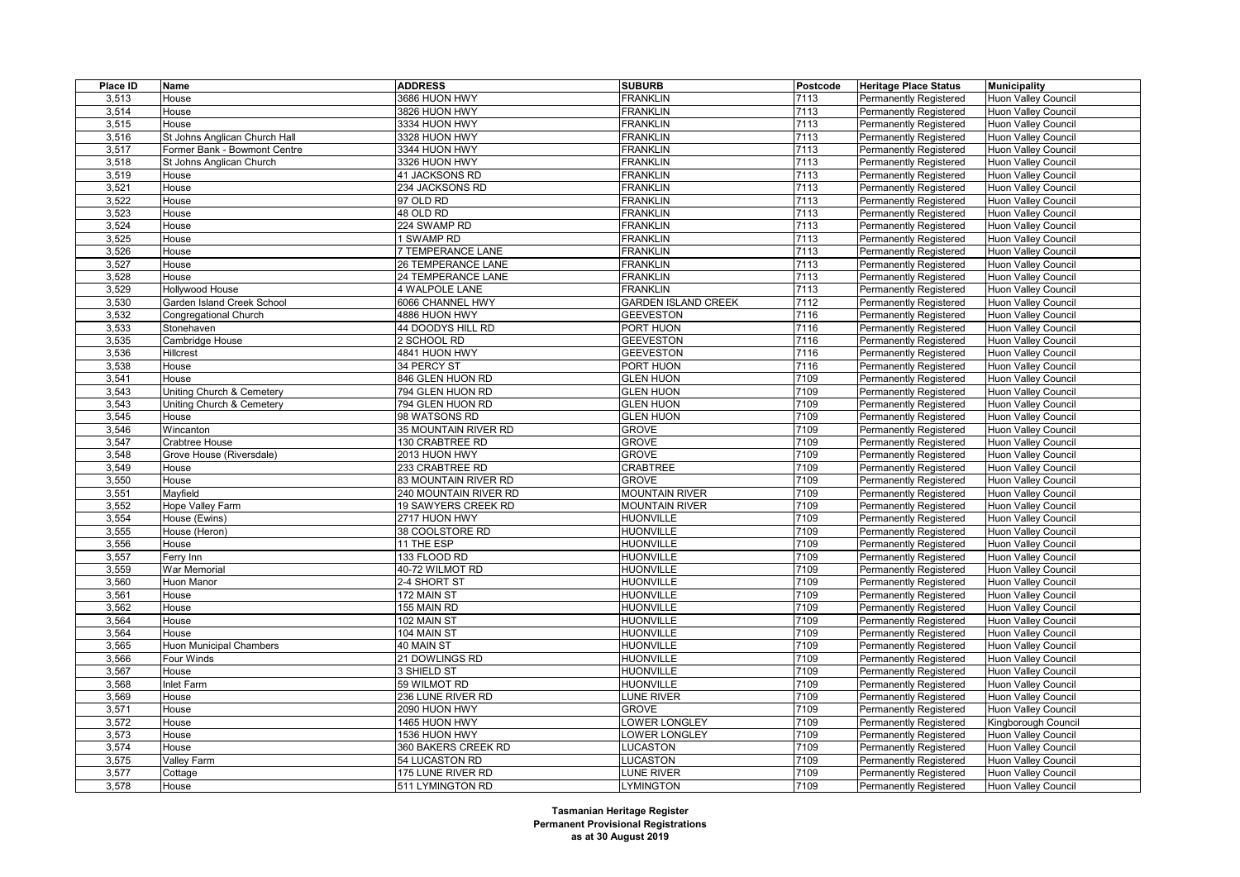| Place ID | Name                           | <b>ADDRESS</b>            | <b>SUBURB</b>              | Postcode | <b>Heritage Place Status</b>  | <b>Municipality</b>        |
|----------|--------------------------------|---------------------------|----------------------------|----------|-------------------------------|----------------------------|
| 3,513    | House                          | 3686 HUON HWY             | <b>FRANKLIN</b>            | 7113     | <b>Permanently Registered</b> | Huon Valley Council        |
| 3,514    | House                          | 3826 HUON HWY             | <b>FRANKLIN</b>            | 7113     | <b>Permanently Registered</b> | <b>Huon Valley Council</b> |
| 3,515    | House                          | 3334 HUON HWY             | <b>FRANKLIN</b>            | 7113     | <b>Permanently Registered</b> | Huon Valley Council        |
| 3,516    | St Johns Anglican Church Hall  | 3328 HUON HWY             | <b>FRANKLIN</b>            | 7113     | Permanently Registered        | Huon Valley Council        |
| 3,517    | Former Bank - Bowmont Centre   | 3344 HUON HWY             | <b>FRANKLIN</b>            | 7113     | <b>Permanently Registered</b> | <b>Huon Valley Council</b> |
| 3,518    | St Johns Anglican Church       | 3326 HUON HWY             | <b>FRANKLIN</b>            | 7113     | Permanently Registered        | <b>Huon Valley Council</b> |
| 3,519    | House                          | 41 JACKSONS RD            | <b>FRANKLIN</b>            | 7113     | Permanently Registered        | Huon Valley Council        |
| 3,521    | House                          | 234 JACKSONS RD           | <b>FRANKLIN</b>            | 7113     | <b>Permanently Registered</b> | <b>Huon Valley Council</b> |
| 3,522    | House                          | 97 OLD RD                 | <b>FRANKLIN</b>            | 7113     | Permanently Registered        | Huon Valley Council        |
| 3,523    | House                          | 48 OLD RD                 | <b>FRANKLIN</b>            | 7113     | <b>Permanently Registered</b> | <b>Huon Valley Council</b> |
| 3,524    | House                          | 224 SWAMP RD              | <b>FRANKLIN</b>            | 7113     | <b>Permanently Registered</b> | <b>Huon Valley Council</b> |
| 3,525    | House                          | 1 SWAMP RD                | <b>FRANKLIN</b>            | 7113     | Permanently Registered        | <b>Huon Valley Council</b> |
| 3,526    | House                          | 7 TEMPERANCE LANE         | <b>FRANKLIN</b>            | 7113     | Permanently Registered        | <b>Huon Valley Council</b> |
| 3,527    | House                          | <b>26 TEMPERANCE LANE</b> | <b>FRANKLIN</b>            | 7113     | <b>Permanently Registered</b> | <b>Huon Valley Council</b> |
| 3,528    | House                          | 24 TEMPERANCE LANE        | <b>FRANKLIN</b>            | 7113     | Permanently Registered        | Huon Valley Council        |
| 3,529    | Hollywood House                | 4 WALPOLE LANE            | <b>FRANKLIN</b>            | 7113     | <b>Permanently Registered</b> | <b>Huon Valley Council</b> |
| 3,530    | Garden Island Creek School     | 6066 CHANNEL HWY          | <b>GARDEN ISLAND CREEK</b> | 7112     | <b>Permanently Registered</b> | <b>Huon Valley Council</b> |
| 3,532    | Congregational Church          | 4886 HUON HWY             | <b>GEEVESTON</b>           | 7116     | Permanently Registered        | Huon Valley Council        |
| 3,533    | Stonehaven                     | 44 DOODYS HILL RD         | PORT HUON                  | 7116     | <b>Permanently Registered</b> | <b>Huon Valley Council</b> |
| 3,535    | Cambridge House                | 2 SCHOOL RD               | <b>GEEVESTON</b>           | 7116     | Permanently Registered        | <b>Huon Valley Council</b> |
| 3,536    | Hillcrest                      | 4841 HUON HWY             | <b>GEEVESTON</b>           | 7116     | Permanently Registered        | <b>Huon Valley Council</b> |
| 3,538    | House                          | 34 PERCY ST               | PORT HUON                  | 7116     | <b>Permanently Registered</b> | Huon Valley Council        |
| 3,541    | House                          | 846 GLEN HUON RD          | <b>GLEN HUON</b>           | 7109     | <b>Permanently Registered</b> | <b>Huon Valley Council</b> |
| 3,543    | Uniting Church & Cemetery      | 794 GLEN HUON RD          | <b>GLEN HUON</b>           | 7109     | <b>Permanently Registered</b> | <b>Huon Valley Council</b> |
| 3,543    | Uniting Church & Cemetery      | 794 GLEN HUON RD          | <b>GLEN HUON</b>           | 7109     | <b>Permanently Registered</b> | Huon Valley Council        |
| 3,545    | House                          | 98 WATSONS RD             | <b>GLEN HUON</b>           | 7109     | Permanently Registered        | Huon Valley Council        |
| 3,546    | Wincanton                      | 35 MOUNTAIN RIVER RD      | <b>GROVE</b>               | 7109     | <b>Permanently Registered</b> | <b>Huon Valley Council</b> |
| 3,547    | Crabtree House                 | 130 CRABTREE RD           | <b>GROVE</b>               | 7109     | <b>Permanently Registered</b> | Huon Valley Council        |
| 3,548    | Grove House (Riversdale)       | 2013 HUON HWY             | <b>GROVE</b>               | 7109     | <b>Permanently Registered</b> | Huon Valley Council        |
| 3,549    | House                          | 233 CRABTREE RD           | <b>CRABTREE</b>            | 7109     | <b>Permanently Registered</b> | <b>Huon Valley Council</b> |
| 3,550    | House                          | 83 MOUNTAIN RIVER RD      | <b>GROVE</b>               | 7109     | <b>Permanently Registered</b> | <b>Huon Valley Council</b> |
| 3,551    | Mayfield                       | 240 MOUNTAIN RIVER RD     | <b>MOUNTAIN RIVER</b>      | 7109     | Permanently Registered        | Huon Valley Council        |
| 3,552    | Hope Valley Farm               | 19 SAWYERS CREEK RD       | <b>MOUNTAIN RIVER</b>      | 7109     | <b>Permanently Registered</b> | <b>Huon Valley Council</b> |
| 3,554    | House (Ewins)                  | 2717 HUON HWY             | <b>HUONVILLE</b>           | 7109     | <b>Permanently Registered</b> | <b>Huon Valley Council</b> |
| 3,555    | House (Heron)                  | 38 COOLSTORE RD           | <b>HUONVILLE</b>           | 7109     | <b>Permanently Registered</b> | Huon Valley Council        |
| 3,556    | House                          | 11 THE ESP                | <b>HUONVILLE</b>           | 7109     | <b>Permanently Registered</b> | <b>Huon Valley Council</b> |
| 3,557    | Ferry Inn                      | 133 FLOOD RD              | <b>HUONVILLE</b>           | 7109     | <b>Permanently Registered</b> | <b>Huon Valley Council</b> |
| 3,559    | <b>War Memorial</b>            | 40-72 WILMOT RD           | <b>HUONVILLE</b>           | 7109     | <b>Permanently Registered</b> | Huon Valley Council        |
| 3,560    | Huon Manor                     | 2-4 SHORT ST              | <b>HUONVILLE</b>           | 7109     | <b>Permanently Registered</b> | <b>Huon Valley Council</b> |
| 3,561    | House                          | 172 MAIN ST               | <b>HUONVILLE</b>           | 7109     | <b>Permanently Registered</b> | <b>Huon Valley Council</b> |
| 3,562    | House                          | 155 MAIN RD               | <b>HUONVILLE</b>           | 7109     | <b>Permanently Registered</b> | Huon Valley Council        |
| 3,564    | House                          | 102 MAIN ST               | <b>HUONVILLE</b>           | 7109     | <b>Permanently Registered</b> | <b>Huon Valley Council</b> |
| 3,564    | House                          | 104 MAIN ST               | <b>HUONVILLE</b>           | 7109     | <b>Permanently Registered</b> | Huon Valley Council        |
| 3,565    | <b>Huon Municipal Chambers</b> | 40 MAIN ST                | <b>HUONVILLE</b>           | 7109     | <b>Permanently Registered</b> | Huon Valley Council        |
| 3,566    | Four Winds                     | 21 DOWLINGS RD            | <b>HUONVILLE</b>           | 7109     | <b>Permanently Registered</b> | <b>Huon Valley Council</b> |
| 3,567    | House                          | 3 SHIELD ST               | <b>HUONVILLE</b>           | 7109     | <b>Permanently Registered</b> | <b>Huon Valley Council</b> |
| 3,568    | Inlet Farm                     | 59 WILMOT RD              | <b>HUONVILLE</b>           | 7109     | <b>Permanently Registered</b> | Huon Valley Council        |
| 3,569    | House                          | 236 LUNE RIVER RD         | LUNE RIVER                 | 7109     | <b>Permanently Registered</b> | Huon Valley Council        |
| 3,571    | House                          | 2090 HUON HWY             | <b>GROVE</b>               | 7109     | <b>Permanently Registered</b> | <b>Huon Valley Council</b> |
| 3,572    | House                          | 1465 HUON HWY             | OWER LONGLEY               | 7109     | <b>Permanently Registered</b> | Kingborough Council        |
| 3,573    | House                          | 1536 HUON HWY             | OWER LONGLEY               | 7109     | <b>Permanently Registered</b> | Huon Valley Council        |
| 3,574    | House                          | 360 BAKERS CREEK RD       | LUCASTON                   | 7109     | <b>Permanently Registered</b> | Huon Valley Council        |
| 3,575    | Valley Farm                    | 54 LUCASTON RD            | LUCASTON                   | 7109     | <b>Permanently Registered</b> | Huon Valley Council        |
| 3,577    | Cottage                        | 175 LUNE RIVER RD         | LUNE RIVER                 | 7109     | <b>Permanently Registered</b> | Huon Valley Council        |
| 3,578    | House                          | 511 LYMINGTON RD          | <b>LYMINGTON</b>           | 7109     | <b>Permanently Registered</b> | Huon Valley Council        |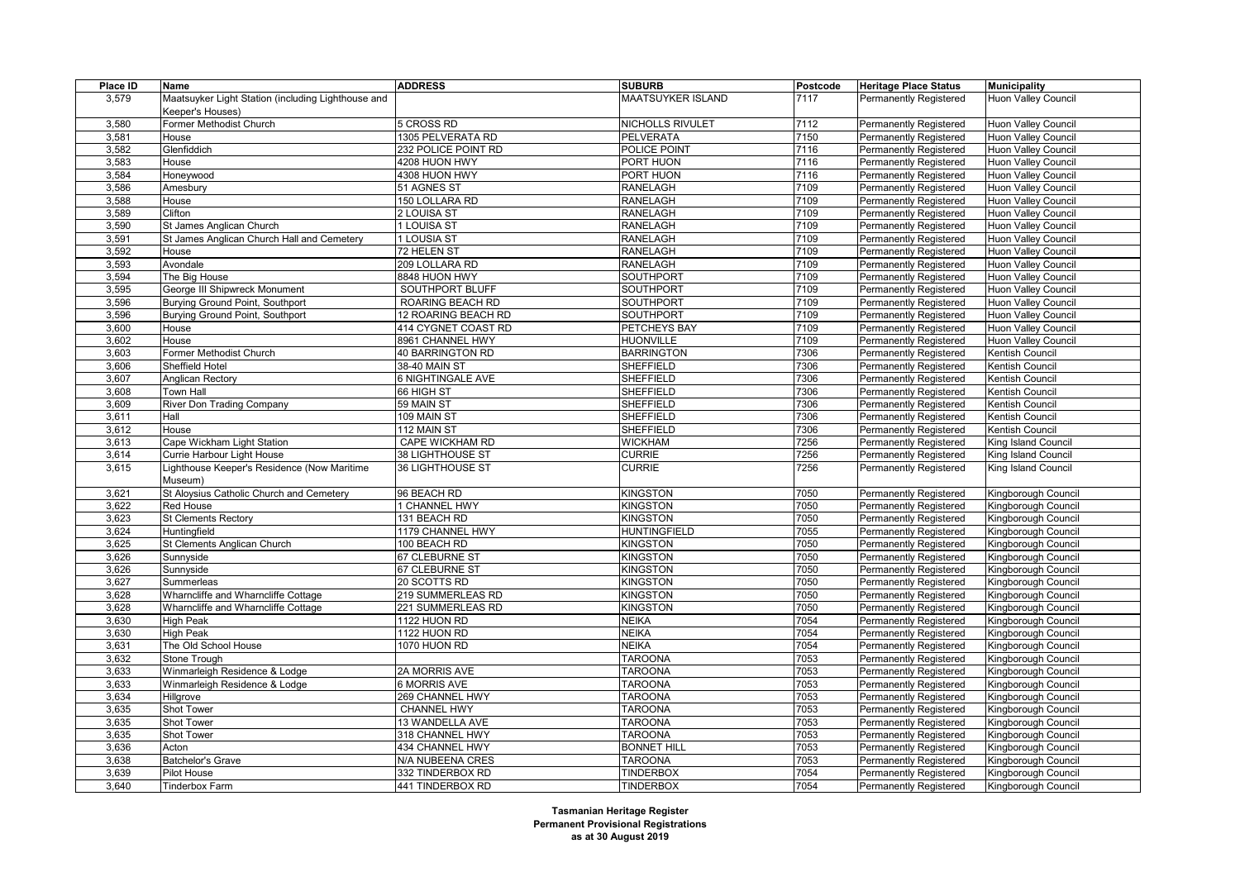| Place ID | Name                                               | <b>ADDRESS</b>      | <b>SUBURB</b>            | Postcode | <b>Heritage Place Status</b>  | <b>Municipality</b>        |
|----------|----------------------------------------------------|---------------------|--------------------------|----------|-------------------------------|----------------------------|
| 3,579    | Maatsuyker Light Station (including Lighthouse and |                     | <b>MAATSUYKER ISLAND</b> | 7117     | <b>Permanently Registered</b> | Huon Valley Council        |
|          | Keeper's Houses)                                   |                     |                          |          |                               |                            |
| 3,580    | Former Methodist Church                            | 5 CROSS RD          | NICHOLLS RIVULET         | 7112     | <b>Permanently Registered</b> | <b>Huon Valley Council</b> |
| 3,581    | House                                              | 1305 PELVERATA RD   | <b>PELVERATA</b>         | 7150     | <b>Permanently Registered</b> | Huon Valley Council        |
| 3,582    | Glenfiddich                                        | 232 POLICE POINT RD | POLICE POINT             | 7116     | Permanently Registered        | Huon Valley Council        |
| 3,583    | House                                              | 4208 HUON HWY       | PORT HUON                | 7116     | <b>Permanently Registered</b> | <b>Huon Valley Council</b> |
| 3,584    | Honeywood                                          | 4308 HUON HWY       | PORT HUON                | 7116     | Permanently Registered        | <b>Huon Valley Council</b> |
| 3,586    | Amesbury                                           | 51 AGNES ST         | RANELAGH                 | 7109     | Permanently Registered        | Huon Valley Council        |
| 3,588    | House                                              | 150 LOLLARA RD      | RANELAGH                 | 7109     | <b>Permanently Registered</b> | <b>Huon Valley Council</b> |
| 3,589    | Clifton                                            | 2 LOUISA ST         | <b>RANELAGH</b>          | 7109     | Permanently Registered        | <b>Huon Valley Council</b> |
| 3,590    | St James Anglican Church                           | 1 LOUISA ST         | <b>RANELAGH</b>          | 7109     | <b>Permanently Registered</b> | Huon Valley Council        |
| 3,591    | St James Anglican Church Hall and Cemetery         | 1 LOUSIA ST         | <b>RANELAGH</b>          | 7109     | <b>Permanently Registered</b> | <b>Huon Valley Council</b> |
| 3,592    | House                                              | 72 HELEN ST         | <b>RANELAGH</b>          | 7109     | Permanently Registered        | <b>Huon Valley Council</b> |
| 3,593    | Avondale                                           | 209 LOLLARA RD      | RANELAGH                 | 7109     | Permanently Registered        | <b>Huon Valley Council</b> |
| 3,594    | The Big House                                      | 8848 HUON HWY       | SOUTHPORT                | 7109     | <b>Permanently Registered</b> | <b>Huon Valley Council</b> |
| 3,595    | George III Shipwreck Monument                      | SOUTHPORT BLUFF     | SOUTHPORT                | 7109     | Permanently Registered        | <b>Huon Valley Council</b> |
| 3,596    | Burying Ground Point, Southport                    | ROARING BEACH RD    | <b>SOUTHPORT</b>         | 7109     | <b>Permanently Registered</b> | <b>Huon Valley Council</b> |
| 3,596    | Burying Ground Point, Southport                    | 12 ROARING BEACH RD | <b>SOUTHPORT</b>         | 7109     | <b>Permanently Registered</b> | Huon Valley Council        |
| 3,600    | House                                              | 414 CYGNET COAST RD | PETCHEYS BAY             | 7109     | Permanently Registered        | <b>Huon Valley Council</b> |
| 3,602    | House                                              | 8961 CHANNEL HWY    | <b>HUONVILLE</b>         | 7109     | Permanently Registered        | Huon Valley Council        |
| 3,603    | Former Methodist Church                            | 40 BARRINGTON RD    | <b>BARRINGTON</b>        | 7306     | <b>Permanently Registered</b> | Kentish Council            |
| 3,606    | Sheffield Hotel                                    | 38-40 MAIN ST       | <b>SHEFFIELD</b>         | 7306     | Permanently Registered        | Kentish Council            |
| 3,607    | Anglican Rectory                                   | 6 NIGHTINGALE AVE   | SHEFFIELD                | 7306     | Permanently Registered        | Kentish Council            |
| 3,608    | Town Hall                                          | 66 HIGH ST          | SHEFFIELD                | 7306     | <b>Permanently Registered</b> | Kentish Council            |
| 3,609    | River Don Trading Company                          | 59 MAIN ST          | SHEFFIELD                | 7306     | <b>Permanently Registered</b> | Kentish Council            |
| 3,611    | Hall                                               | 109 MAIN ST         | <b>SHEFFIELD</b>         | 7306     | Permanently Registered        | Kentish Council            |
| 3,612    | House                                              | 112 MAIN ST         | SHEFFIELD                | 7306     | <b>Permanently Registered</b> | Kentish Council            |
| 3,613    | Cape Wickham Light Station                         | CAPE WICKHAM RD     | <b>WICKHAM</b>           | 7256     | Permanently Registered        | King Island Council        |
| 3,614    | Currie Harbour Light House                         | 38 LIGHTHOUSE ST    | <b>CURRIE</b>            | 7256     | Permanently Registered        | King Island Council        |
| 3,615    | Lighthouse Keeper's Residence (Now Maritime        | 36 LIGHTHOUSE ST    | <b>CURRIE</b>            | 7256     | <b>Permanently Registered</b> | King Island Council        |
|          | Museum)                                            |                     |                          |          |                               |                            |
| 3,621    | St Aloysius Catholic Church and Cemetery           | 96 BEACH RD         | <b>KINGSTON</b>          | 7050     | Permanently Registered        | Kingborough Council        |
| 3,622    | <b>Red House</b>                                   | 1 CHANNEL HWY       | <b>KINGSTON</b>          | 7050     | <b>Permanently Registered</b> | Kingborough Council        |
| 3,623    | <b>St Clements Rectory</b>                         | 131 BEACH RD        | <b>KINGSTON</b>          | 7050     | <b>Permanently Registered</b> | Kingborough Council        |
| 3,624    | Huntingfield                                       | 1179 CHANNEL HWY    | <b>HUNTINGFIELD</b>      | 7055     | Permanently Registered        | Kingborough Council        |
| 3,625    | St Clements Anglican Church                        | 100 BEACH RD        | <b>KINGSTON</b>          | 7050     | <b>Permanently Registered</b> | Kingborough Council        |
| 3,626    | Sunnyside                                          | 67 CLEBURNE ST      | <b>KINGSTON</b>          | 7050     | <b>Permanently Registered</b> | Kingborough Council        |
| 3,626    | Sunnyside                                          | 67 CLEBURNE ST      | <b>KINGSTON</b>          | 7050     | Permanently Registered        | Kingborough Council        |
| 3,627    | Summerleas                                         | 20 SCOTTS RD        | <b>KINGSTON</b>          | 7050     | <b>Permanently Registered</b> | Kingborough Council        |
| 3,628    | Wharncliffe and Wharncliffe Cottage                | 219 SUMMERLEAS RD   | KINGSTON                 | 7050     | <b>Permanently Registered</b> | Kingborough Council        |
| 3,628    | Wharncliffe and Wharncliffe Cottage                | 221 SUMMERLEAS RD   | KINGSTON                 | 7050     | Permanently Registered        | Kingborough Council        |
| 3,630    | <b>High Peak</b>                                   | 1122 HUON RD        | NEIKA                    | 7054     | Permanently Registered        | Kingborough Council        |
| 3,630    | <b>High Peak</b>                                   | 1122 HUON RD        | <b>NEIKA</b>             | 7054     | Permanently Registered        | Kingborough Council        |
| 3,631    | The Old School House                               | 1070 HUON RD        | <b>NEIKA</b>             | 7054     | <b>Permanently Registered</b> | Kingborough Council        |
| 3,632    | Stone Trough                                       |                     | <b>TAROONA</b>           | 7053     | Permanently Registered        | Kingborough Council        |
| 3,633    | Winmarleigh Residence & Lodge                      | 2A MORRIS AVE       | <b>TAROONA</b>           | 7053     | Permanently Registered        | Kingborough Council        |
| 3,633    | Winmarleigh Residence & Lodge                      | 6 MORRIS AVE        | <b>TAROONA</b>           | 7053     | Permanently Registered        | Kingborough Council        |
| 3,634    | Hillgrove                                          | 269 CHANNEL HWY     | <b>TAROONA</b>           | 7053     | <b>Permanently Registered</b> | Kingborough Council        |
| 3,635    | <b>Shot Tower</b>                                  | <b>CHANNEL HWY</b>  | <b>TAROONA</b>           | 7053     | <b>Permanently Registered</b> | Kingborough Council        |
| 3,635    | <b>Shot Tower</b>                                  | 13 WANDELLA AVE     | <b>TAROONA</b>           | 7053     | <b>Permanently Registered</b> | Kingborough Council        |
| 3,635    | Shot Tower                                         | 318 CHANNEL HWY     | <b>TAROONA</b>           | 7053     | Permanently Registered        | Kingborough Council        |
| 3,636    | Acton                                              | 434 CHANNEL HWY     | <b>BONNET HILL</b>       | 7053     | <b>Permanently Registered</b> | Kingborough Council        |
| 3,638    | <b>Batchelor's Grave</b>                           | N/A NUBEENA CRES    | <b>TAROONA</b>           | 7053     | Permanently Registered        | Kingborough Council        |
| 3,639    | Pilot House                                        | 332 TINDERBOX RD    | <b>TINDERBOX</b>         | 7054     | Permanently Registered        | Kingborough Council        |
| 3,640    | <b>Tinderbox Farm</b>                              | 441 TINDERBOX RD    | <b>TINDERBOX</b>         | 7054     | Permanently Registered        | Kingborough Council        |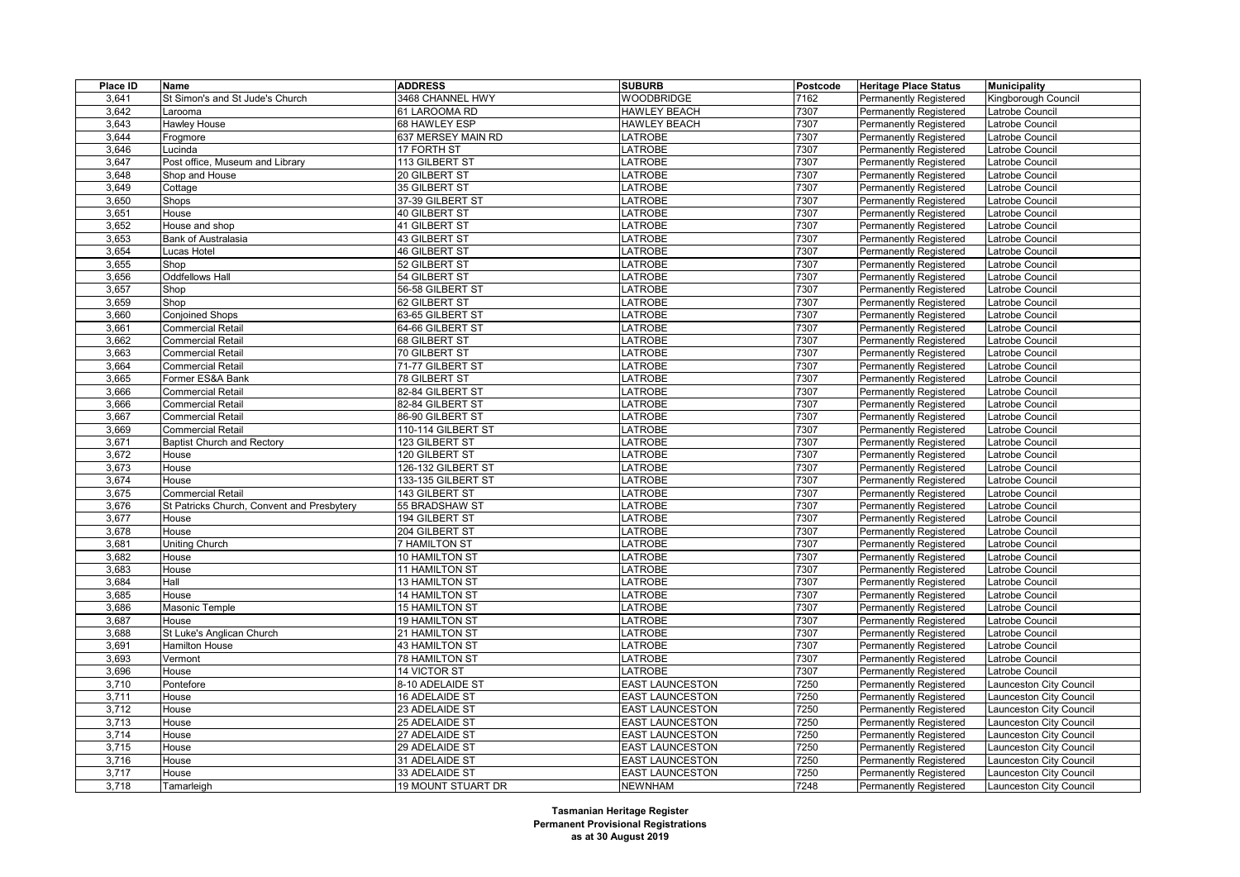| Place ID | Name                                       | <b>ADDRESS</b>            | <b>SUBURB</b>          | Postcode | <b>Heritage Place Status</b>  | <b>Municipality</b>     |
|----------|--------------------------------------------|---------------------------|------------------------|----------|-------------------------------|-------------------------|
| 3,641    | St Simon's and St Jude's Church            | 3468 CHANNEL HWY          | <b>WOODBRIDGE</b>      | 7162     | <b>Permanently Registered</b> | Kingborough Council     |
| 3,642    | _arooma                                    | 61 LAROOMA RD             | <b>HAWLEY BEACH</b>    | 7307     | <b>Permanently Registered</b> | _atrobe Council         |
| 3,643    | Hawley House                               | 68 HAWLEY ESP             | <b>HAWLEY BEACH</b>    | 7307     | Permanently Registered        | atrobe Council          |
| 3,644    | Frogmore                                   | 637 MERSEY MAIN RD        | <b>LATROBE</b>         | 7307     | Permanently Registered        | atrobe Council          |
| 3,646    | Lucinda                                    | 17 FORTH ST               | <b>LATROBE</b>         | 7307     | <b>Permanently Registered</b> | atrobe Council          |
| 3,647    | Post office, Museum and Library            | 113 GILBERT ST            | LATROBE                | 7307     | <b>Permanently Registered</b> | atrobe Council          |
| 3,648    | Shop and House                             | 20 GILBERT ST             | LATROBE                | 7307     | Permanently Registered        | atrobe Council          |
| 3,649    | Cottage                                    | 35 GILBERT ST             | LATROBE                | 7307     | <b>Permanently Registered</b> | atrobe Council          |
| 3,650    | Shops                                      | 37-39 GILBERT ST          | LATROBE                | 7307     | <b>Permanently Registered</b> | atrobe Council          |
| 3,651    | House                                      | 40 GILBERT ST             | <b>LATROBE</b>         | 7307     | Permanently Registered        | atrobe Council          |
| 3,652    | House and shop                             | 41 GILBERT ST             | <b>LATROBE</b>         | 7307     | <b>Permanently Registered</b> | atrobe Council          |
| 3,653    | Bank of Australasia                        | 43 GILBERT ST             | LATROBE                | 7307     | <b>Permanently Registered</b> | atrobe Council          |
| 3,654    | Lucas Hotel                                | <b>46 GILBERT ST</b>      | LATROBE                | 7307     | Permanently Registered        | atrobe Council          |
| 3,655    | Shop                                       | 52 GILBERT ST             | LATROBE                | 7307     | <b>Permanently Registered</b> | _atrobe Council         |
| 3,656    | <b>Oddfellows Hall</b>                     | 54 GILBERT ST             | LATROBE                | 7307     | Permanently Registered        | atrobe Council          |
| 3,657    | Shop                                       | 56-58 GILBERT ST          | <b>LATROBE</b>         | 7307     | Permanently Registered        | atrobe Council          |
| 3,659    | Shop                                       | 62 GILBERT ST             | <b>LATROBE</b>         | 7307     | <b>Permanently Registered</b> | Latrobe Council         |
| 3,660    | <b>Conjoined Shops</b>                     | 63-65 GILBERT ST          | LATROBE                | 7307     | <b>Permanently Registered</b> | atrobe Council          |
| 3,661    | <b>Commercial Retail</b>                   | 64-66 GILBERT ST          | LATROBE                | 7307     | <b>Permanently Registered</b> | atrobe Council          |
| 3,662    | Commercial Retail                          | 68 GILBERT ST             | LATROBE                | 7307     | <b>Permanently Registered</b> | atrobe Council          |
| 3,663    | <b>Commercial Retail</b>                   | 70 GILBERT ST             | LATROBE                | 7307     | <b>Permanently Registered</b> | atrobe Council          |
| 3,664    | <b>Commercial Retail</b>                   | 71-77 GILBERT ST          | LATROBE                | 7307     | <b>Permanently Registered</b> | atrobe Council          |
| 3.665    | Former ES&A Bank                           | 78 GILBERT ST             | LATROBE                | 7307     | <b>Permanently Registered</b> | atrobe Council          |
| 3,666    | <b>Commercial Retail</b>                   | 82-84 GILBERT ST          | <b>LATROBE</b>         | 7307     | <b>Permanently Registered</b> | atrobe Council          |
| 3,666    | <b>Commercial Retail</b>                   | 82-84 GILBERT ST          | LATROBE                | 7307     | Permanently Registered        | atrobe Council          |
| 3,667    | <b>Commercial Retail</b>                   | 86-90 GILBERT ST          | LATROBE                | 7307     | <b>Permanently Registered</b> | atrobe Council          |
| 3,669    | <b>Commercial Retail</b>                   | 110-114 GILBERT ST        | <b>LATROBE</b>         | 7307     | <b>Permanently Registered</b> | atrobe Council          |
| 3,671    | <b>Baptist Church and Rectory</b>          | 123 GILBERT ST            | LATROBE                | 7307     | <b>Permanently Registered</b> | atrobe Council          |
| 3.672    | House                                      | 120 GILBERT ST            | LATROBE                | 7307     | <b>Permanently Registered</b> | atrobe Council          |
| 3,673    | House                                      | 126-132 GILBERT ST        | <b>LATROBE</b>         | 7307     | <b>Permanently Registered</b> | atrobe Council          |
| 3,674    | House                                      | 133-135 GILBERT ST        | LATROBE                | 7307     | Permanently Registered        | atrobe Council          |
| 3.675    | Commercial Retail                          | 143 GILBERT ST            | <b>LATROBE</b>         | 7307     | <b>Permanently Registered</b> | Latrobe Council         |
| 3,676    | St Patricks Church, Convent and Presbytery | 55 BRADSHAW ST            | <b>LATROBE</b>         | 7307     | <b>Permanently Registered</b> | atrobe Council          |
| 3,677    | House                                      | 194 GILBERT ST            | LATROBE                | 7307     | <b>Permanently Registered</b> | atrobe Council          |
| 3,678    | House                                      | 204 GILBERT ST            | LATROBE                | 7307     | Permanently Registered        | atrobe Council          |
| 3,681    | Uniting Church                             | 7 HAMILTON ST             | LATROBE                | 7307     | <b>Permanently Registered</b> | atrobe Council          |
| 3,682    | House                                      | 10 HAMILTON ST            | LATROBE                | 7307     | <b>Permanently Registered</b> | atrobe Council          |
| 3,683    | House                                      | 11 HAMILTON ST            | LATROBE                | 7307     | <b>Permanently Registered</b> | atrobe Council          |
| 3,684    | Hall                                       | 13 HAMILTON ST            | LATROBE                | 7307     | <b>Permanently Registered</b> | atrobe Council          |
| 3,685    | House                                      | <b>14 HAMILTON ST</b>     | LATROBE                | 7307     | <b>Permanently Registered</b> | atrobe Council          |
| 3,686    | Masonic Temple                             | <b>15 HAMILTON ST</b>     | <b>LATROBE</b>         | 7307     | Permanently Registered        | atrobe Council          |
| 3,687    | House                                      | <b>19 HAMILTON ST</b>     | <b>LATROBE</b>         | 7307     | <b>Permanently Registered</b> | atrobe Council          |
| 3,688    | St Luke's Anglican Church                  | 21 HAMILTON ST            | LATROBE                | 7307     | <b>Permanently Registered</b> | atrobe Council          |
| 3,691    | <b>Hamilton House</b>                      | <b>43 HAMILTON ST</b>     | LATROBE                | 7307     | Permanently Registered        | atrobe Council          |
| 3,693    | Vermont                                    | 78 HAMILTON ST            | LATROBE                | 7307     | <b>Permanently Registered</b> | atrobe Council          |
| 3,696    | House                                      | <b>14 VICTOR ST</b>       | LATROBE                | 7307     | <b>Permanently Registered</b> | atrobe Council          |
| 3,710    | Pontefore                                  | 8-10 ADELAIDE ST          | <b>EAST LAUNCESTON</b> | 7250     | Permanently Registered        | aunceston City Council  |
| 3,711    | House                                      | 16 ADELAIDE ST            | <b>EAST LAUNCESTON</b> | 7250     | <b>Permanently Registered</b> | aunceston City Council  |
| 3,712    | House                                      | 23 ADELAIDE ST            | <b>EAST LAUNCESTON</b> | 7250     | Permanently Registered        | aunceston City Council  |
| 3,713    | House                                      | 25 ADELAIDE ST            | <b>EAST LAUNCESTON</b> | 7250     | Permanently Registered        | aunceston City Council  |
| 3,714    | House                                      | 27 ADELAIDE ST            | <b>EAST LAUNCESTON</b> | 7250     | <b>Permanently Registered</b> | aunceston City Council  |
| 3,715    | House                                      | 29 ADELAIDE ST            | <b>EAST LAUNCESTON</b> | 7250     | Permanently Registered        | aunceston City Council  |
| 3,716    | House                                      | 31 ADELAIDE ST            | <b>EAST LAUNCESTON</b> | 7250     | Permanently Registered        | aunceston City Council  |
| 3,717    | House                                      | 33 ADELAIDE ST            | <b>EAST LAUNCESTON</b> | 7250     | <b>Permanently Registered</b> | aunceston City Council  |
| 3,718    | Tamarleigh                                 | <b>19 MOUNT STUART DR</b> | <b>NEWNHAM</b>         | 7248     | <b>Permanently Registered</b> | Launceston City Council |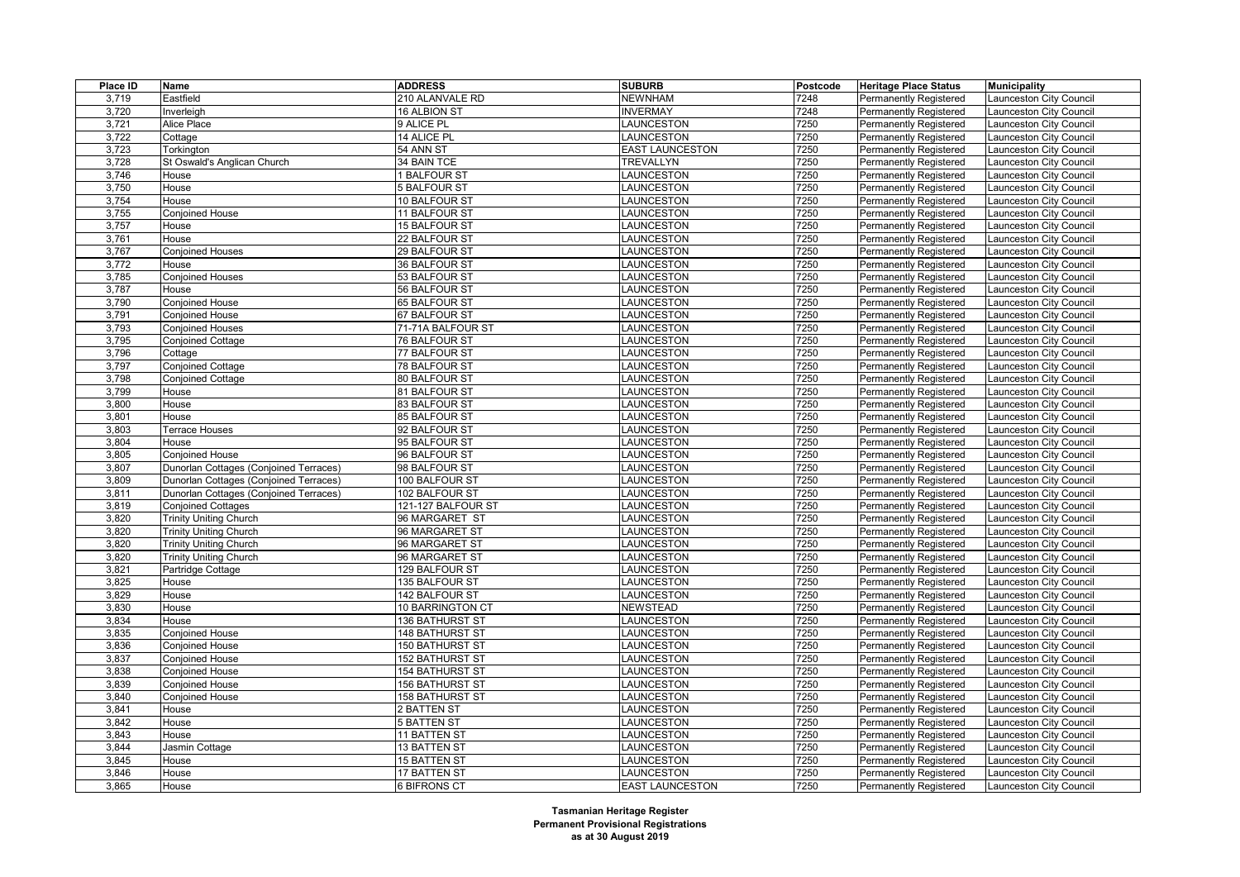| Place ID | Name                                   | <b>ADDRESS</b>      | <b>SUBURB</b>          | Postcode | <b>Heritage Place Status</b>  | <b>Municipality</b>     |
|----------|----------------------------------------|---------------------|------------------------|----------|-------------------------------|-------------------------|
| 3,719    | Eastfield                              | 210 ALANVALE RD     | <b>NEWNHAM</b>         | 7248     | Permanently Registered        | aunceston City Council  |
| 3,720    | Inverleigh                             | 16 ALBION ST        | <b>INVERMAY</b>        | 7248     | Permanently Registered        | aunceston City Council  |
| 3,721    | Alice Place                            | 9 ALICE PL          | LAUNCESTON             | 7250     | <b>Permanently Registered</b> | aunceston City Council  |
| 3,722    | Cottage                                | 14 ALICE PL         | <b>LAUNCESTON</b>      | 7250     | Permanently Registered        | aunceston City Council  |
| 3,723    | Torkington                             | 54 ANN ST           | <b>EAST LAUNCESTON</b> | 7250     | <b>Permanently Registered</b> | aunceston City Council  |
| 3,728    | St Oswald's Anglican Church            | 34 BAIN TCE         | <b>TREVALLYN</b>       | 7250     | <b>Permanently Registered</b> | aunceston City Council  |
| 3,746    | House                                  | <b>BALFOUR ST</b>   | <b>LAUNCESTON</b>      | 7250     | <b>Permanently Registered</b> | aunceston City Council  |
| 3,750    | House                                  | 5 BALFOUR ST        | <b>LAUNCESTON</b>      | 7250     | <b>Permanently Registered</b> | aunceston City Council  |
| 3,754    | House                                  | 10 BALFOUR ST       | LAUNCESTON             | 7250     | <b>Permanently Registered</b> | aunceston City Council  |
| 3,755    | Conjoined House                        | 11 BALFOUR ST       | LAUNCESTON             | 7250     | Permanently Registered        | aunceston City Council  |
| 3,757    | House                                  | 15 BALFOUR ST       | LAUNCESTON             | 7250     | <b>Permanently Registered</b> | aunceston City Council  |
| 3,761    | House                                  | 22 BALFOUR ST       | LAUNCESTON             | 7250     | <b>Permanently Registered</b> | aunceston City Council  |
| 3,767    | <b>Conjoined Houses</b>                | 29 BALFOUR ST       | LAUNCESTON             | 7250     | <b>Permanently Registered</b> | aunceston City Council  |
| 3,772    | House                                  | 36 BALFOUR ST       | <b>LAUNCESTON</b>      | 7250     | <b>Permanently Registered</b> | aunceston City Council  |
| 3,785    | <b>Conjoined Houses</b>                | 53 BALFOUR ST       | LAUNCESTON             | 7250     | <b>Permanently Registered</b> | aunceston City Council  |
| 3,787    | House                                  | 56 BALFOUR ST       | LAUNCESTON             | 7250     | Permanently Registered        | aunceston City Council  |
| 3,790    | <b>Conjoined House</b>                 | 65 BALFOUR ST       | LAUNCESTON             | 7250     | <b>Permanently Registered</b> | aunceston City Council  |
| 3,791    | <b>Conjoined House</b>                 | 67 BALFOUR ST       | LAUNCESTON             | 7250     | <b>Permanently Registered</b> | aunceston City Council  |
| 3,793    | <b>Conjoined Houses</b>                | 71-71A BALFOUR ST   | LAUNCESTON             | 7250     | <b>Permanently Registered</b> | aunceston City Council  |
| 3,795    | <b>Conjoined Cottage</b>               | 76 BALFOUR ST       | <b>LAUNCESTON</b>      | 7250     | <b>Permanently Registered</b> | aunceston City Council  |
| 3,796    | Cottage                                | 77 BALFOUR ST       | LAUNCESTON             | 7250     | <b>Permanently Registered</b> | aunceston City Council  |
| 3,797    | Conjoined Cottage                      | 78 BALFOUR ST       | LAUNCESTON             | 7250     | <b>Permanently Registered</b> | aunceston City Council  |
| 3,798    | <b>Conjoined Cottage</b>               | 80 BALFOUR ST       | <b>LAUNCESTON</b>      | 7250     | <b>Permanently Registered</b> | aunceston City Council  |
| 3,799    | House                                  | 81 BALFOUR ST       | LAUNCESTON             | 7250     | <b>Permanently Registered</b> | aunceston City Council  |
| 3,800    | House                                  | 83 BALFOUR ST       | LAUNCESTON             | 7250     | <b>Permanently Registered</b> | aunceston City Council  |
| 3,801    | House                                  | 85 BALFOUR ST       | <b>LAUNCESTON</b>      | 7250     | <b>Permanently Registered</b> | aunceston City Council  |
| 3,803    | Terrace Houses                         | 92 BALFOUR ST       | LAUNCESTON             | 7250     | Permanently Registered        | aunceston City Council  |
| 3,804    | House                                  | 95 BALFOUR ST       | <b>LAUNCESTON</b>      | 7250     | <b>Permanently Registered</b> | aunceston City Council  |
| 3,805    | <b>Conjoined House</b>                 | 96 BALFOUR ST       | LAUNCESTON             | 7250     | <b>Permanently Registered</b> | aunceston City Council  |
| 3,807    | Dunorlan Cottages (Conjoined Terraces) | 98 BALFOUR ST       | LAUNCESTON             | 7250     | <b>Permanently Registered</b> | aunceston City Council  |
| 3,809    | Dunorlan Cottages (Conjoined Terraces) | 100 BALFOUR ST      | <b>LAUNCESTON</b>      | 7250     | Permanently Registered        | aunceston City Council  |
| 3,811    | Dunorlan Cottages (Conjoined Terraces) | 102 BALFOUR ST      | <b>LAUNCESTON</b>      | 7250     | <b>Permanently Registered</b> | aunceston City Council  |
| 3,819    | <b>Conjoined Cottages</b>              | 121-127 BALFOUR ST  | LAUNCESTON             | 7250     | Permanently Registered        | aunceston City Council  |
| 3,820    | <b>Trinity Uniting Church</b>          | 96 MARGARET ST      | <b>LAUNCESTON</b>      | 7250     | Permanently Registered        | aunceston City Council  |
| 3,820    | <b>Trinity Uniting Church</b>          | 96 MARGARET ST      | LAUNCESTON             | 7250     | <b>Permanently Registered</b> | aunceston City Council  |
| 3,820    | <b>Trinity Uniting Church</b>          | 96 MARGARET ST      | LAUNCESTON             | 7250     | Permanently Registered        | aunceston City Council  |
| 3,820    | <b>Trinity Uniting Church</b>          | 96 MARGARET ST      | <b>LAUNCESTON</b>      | 7250     | <b>Permanently Registered</b> | aunceston City Council  |
| 3,821    | Partridge Cottage                      | 129 BALFOUR ST      | LAUNCESTON             | 7250     | <b>Permanently Registered</b> | aunceston City Council  |
| 3,825    | House                                  | 135 BALFOUR ST      | <b>LAUNCESTON</b>      | 7250     | <b>Permanently Registered</b> | aunceston City Council  |
| 3,829    | House                                  | 142 BALFOUR ST      | LAUNCESTON             | 7250     | <b>Permanently Registered</b> | aunceston City Council  |
| 3,830    | House                                  | 10 BARRINGTON CT    | <b>NEWSTEAD</b>        | 7250     | <b>Permanently Registered</b> | aunceston City Council  |
| 3,834    | House                                  | 136 BATHURST ST     | <b>LAUNCESTON</b>      | 7250     | <b>Permanently Registered</b> | aunceston City Council  |
| 3,835    | <b>Conjoined House</b>                 | 148 BATHURST ST     | <b>LAUNCESTON</b>      | 7250     | <b>Permanently Registered</b> | aunceston City Council  |
| 3,836    | <b>Conjoined House</b>                 | 150 BATHURST ST     | LAUNCESTON             | 7250     | <b>Permanently Registered</b> | aunceston City Council  |
| 3,837    | Conjoined House                        | 152 BATHURST ST     | <b>LAUNCESTON</b>      | 7250     | <b>Permanently Registered</b> | aunceston City Council  |
| 3,838    | <b>Conjoined House</b>                 | 154 BATHURST ST     | LAUNCESTON             | 7250     | <b>Permanently Registered</b> | aunceston City Council  |
| 3,839    | <b>Conjoined House</b>                 | 156 BATHURST ST     | LAUNCESTON             | 7250     | <b>Permanently Registered</b> | aunceston City Council  |
| 3,840    | <b>Conjoined House</b>                 | 158 BATHURST ST     | LAUNCESTON             | 7250     | Permanently Registered        | aunceston City Council  |
| 3,841    | House                                  | 2 BATTEN ST         | <b>LAUNCESTON</b>      | 7250     | <b>Permanently Registered</b> | aunceston City Council  |
| 3,842    | House                                  | <b>5 BATTEN ST</b>  | LAUNCESTON             | 7250     | <b>Permanently Registered</b> | aunceston City Council  |
| 3,843    | House                                  | 11 BATTEN ST        | LAUNCESTON             | 7250     | Permanently Registered        | aunceston City Council  |
| 3,844    | Jasmin Cottage                         | 13 BATTEN ST        | <b>LAUNCESTON</b>      | 7250     | <b>Permanently Registered</b> | aunceston City Council  |
| 3,845    | House                                  | 15 BATTEN ST        | LAUNCESTON             | 7250     | Permanently Registered        | aunceston City Council  |
| 3.846    | House                                  | <b>17 BATTEN ST</b> | <b>LAUNCESTON</b>      | 7250     | <b>Permanently Registered</b> | Launceston City Council |
| 3,865    | House                                  | <b>6 BIFRONS CT</b> | <b>EAST LAUNCESTON</b> | 7250     | <b>Permanently Registered</b> | Launceston City Council |
|          |                                        |                     |                        |          |                               |                         |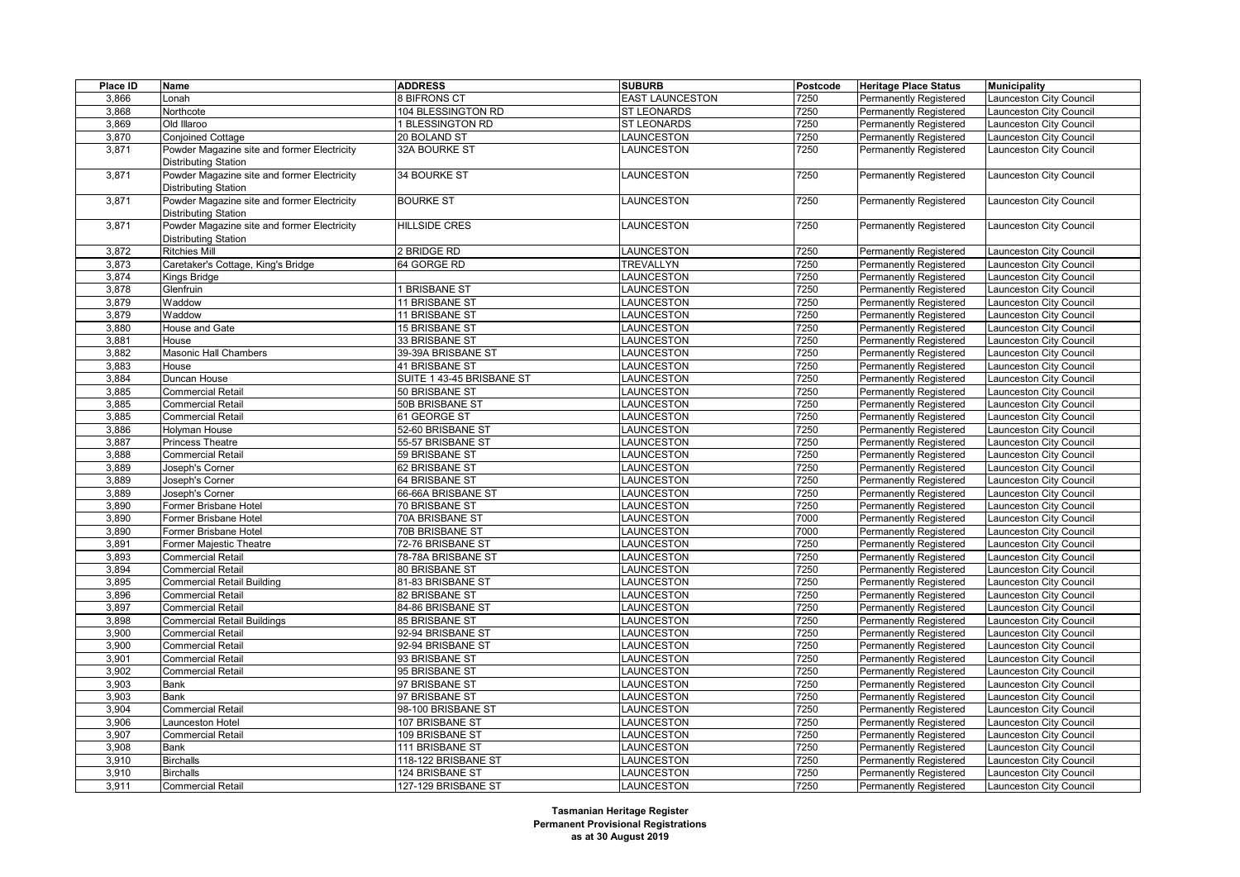| Place ID       | Name                                        | <b>ADDRESS</b>                   | <b>SUBURB</b>                   | Postcode     | <b>Heritage Place Status</b>                            | <b>Municipality</b>                               |
|----------------|---------------------------------------------|----------------------------------|---------------------------------|--------------|---------------------------------------------------------|---------------------------------------------------|
| 3,866          | _onah                                       | 8 BIFRONS CT                     | <b>EAST LAUNCESTON</b>          | 7250         | Permanently Registered                                  | Launceston City Council                           |
| 3,868          | Northcote                                   | 104 BLESSINGTON RD               | <b>ST LEONARDS</b>              | 7250         | Permanently Registered                                  | aunceston City Council                            |
| 3,869          | Old Illaroo                                 | 1 BLESSINGTON RD                 | <b>ST LEONARDS</b>              | 7250         | <b>Permanently Registered</b>                           | aunceston City Council                            |
| 3,870          | Conjoined Cottage                           | 20 BOLAND ST                     | LAUNCESTON                      | 7250         | Permanently Registered                                  | Launceston City Council                           |
| 3,871          | Powder Magazine site and former Electricity | 32A BOURKE ST                    | LAUNCESTON                      | 7250         | <b>Permanently Registered</b>                           | Launceston City Council                           |
|                | Distributing Station                        |                                  |                                 |              |                                                         |                                                   |
| 3,871          | Powder Magazine site and former Electricity | 34 BOURKE ST                     | LAUNCESTON                      | 7250         | <b>Permanently Registered</b>                           | Launceston City Council                           |
|                | Distributing Station                        |                                  |                                 |              |                                                         |                                                   |
| 3,871          | Powder Magazine site and former Electricity | <b>BOURKE ST</b>                 | <b>LAUNCESTON</b>               | 7250         | <b>Permanently Registered</b>                           | Launceston City Council                           |
|                | Distributing Station                        |                                  |                                 |              |                                                         |                                                   |
| 3,871          | Powder Magazine site and former Electricity | <b>HILLSIDE CRES</b>             | LAUNCESTON                      | 7250         | <b>Permanently Registered</b>                           | Launceston City Council                           |
|                | <b>Distributing Station</b>                 |                                  |                                 |              |                                                         |                                                   |
| 3,872          | Ritchies Mill                               | 2 BRIDGE RD                      | LAUNCESTON                      | 7250         | <b>Permanently Registered</b>                           | Launceston City Council                           |
| 3,873          | Caretaker's Cottage, King's Bridge          | 64 GORGE RD                      | TREVALLYN                       | 7250         | <b>Permanently Registered</b>                           | aunceston City Council                            |
| 3,874          | Kings Bridge                                |                                  | <b>LAUNCESTON</b>               | 7250         | Permanently Registered                                  | aunceston City Council                            |
| 3,878          | Glenfruin                                   | <b>BRISBANE ST</b>               | <b>AUNCESTON</b>                | 7250         | <b>Permanently Registered</b>                           | aunceston City Council                            |
| 3,879          | Waddow                                      | 11 BRISBANE ST                   | <b>AUNCESTON</b>                | 7250         | <b>Permanently Registered</b>                           | aunceston City Council                            |
| 3,879          | Waddow                                      | 11 BRISBANE ST                   | <b>AUNCESTON</b>                | 7250         | <b>Permanently Registered</b>                           | Launceston City Council                           |
| 3,880          | House and Gate                              | 15 BRISBANE ST                   | <b>AUNCESTON</b>                | 7250         | <b>Permanently Registered</b>                           | aunceston City Council                            |
| 3,881          | House                                       | 33 BRISBANE ST                   | LAUNCESTON                      | 7250         | <b>Permanently Registered</b>                           | aunceston City Council                            |
|                |                                             |                                  |                                 |              |                                                         |                                                   |
| 3,882          | Masonic Hall Chambers                       | 39-39A BRISBANE ST               | LAUNCESTON                      | 7250         | <b>Permanently Registered</b>                           | Launceston City Council                           |
| 3,883          | House                                       | 41 BRISBANE ST                   | LAUNCESTON                      | 7250<br>7250 | <b>Permanently Registered</b>                           | aunceston City Council                            |
| 3,884          | Duncan House                                | SUITE 1 43-45 BRISBANE ST        | LAUNCESTON                      |              | <b>Permanently Registered</b>                           | aunceston City Council                            |
| 3,885          | <b>Commercial Retail</b>                    | 50 BRISBANE ST                   | <b>AUNCESTON</b>                | 7250         | <b>Permanently Registered</b>                           | Launceston City Council                           |
| 3,885          | Commercial Retail                           | 50B BRISBANE ST                  | <b>AUNCESTON</b>                | 7250<br>7250 | <b>Permanently Registered</b>                           | aunceston City Council                            |
| 3,885          | Commercial Retail                           | 61 GEORGE ST                     | <b>AUNCESTON</b>                |              | <b>Permanently Registered</b>                           | aunceston City Council                            |
| 3,886          | Holyman House                               | 52-60 BRISBANE ST                | LAUNCESTON                      | 7250         | <b>Permanently Registered</b>                           | Launceston City Council                           |
| 3,887          | Princess Theatre                            | 55-57 BRISBANE ST                | LAUNCESTON                      | 7250<br>7250 | <b>Permanently Registered</b>                           | aunceston City Council                            |
| 3,888          | Commercial Retail                           | 59 BRISBANE ST                   | LAUNCESTON                      |              | <b>Permanently Registered</b>                           | Launceston City Council                           |
| 3,889<br>3,889 | Joseph's Corner<br>Joseph's Corner          | 62 BRISBANE ST<br>64 BRISBANE ST | LAUNCESTON<br><b>LAUNCESTON</b> | 7250<br>7250 | <b>Permanently Registered</b><br>Permanently Registered | Launceston City Council<br>aunceston City Council |
|                | Joseph's Corner                             | 66-66A BRISBANE ST               |                                 | 7250         |                                                         |                                                   |
| 3,889          |                                             |                                  | <b>AUNCESTON</b>                |              | <b>Permanently Registered</b>                           | aunceston City Council                            |
| 3,890          | Former Brisbane Hotel                       | 70 BRISBANE ST                   | <b>AUNCESTON</b>                | 7250         | <b>Permanently Registered</b>                           | aunceston City Council                            |
| 3,890          | Former Brisbane Hotel                       | 70A BRISBANE ST                  | LAUNCESTON                      | 7000         | <b>Permanently Registered</b>                           | aunceston City Council                            |
| 3,890          | Former Brisbane Hotel                       | 70B BRISBANE ST                  | LAUNCESTON                      | 7000         | <b>Permanently Registered</b>                           | aunceston City Council                            |
| 3,891          | Former Majestic Theatre                     | 72-76 BRISBANE ST                | LAUNCESTON                      | 7250         | Permanently Registered                                  | Launceston City Council                           |
| 3,893          | Commercial Retail                           | 78-78A BRISBANE ST               | <b>LAUNCESTON</b>               | 7250         | <b>Permanently Registered</b>                           | aunceston City Council                            |
| 3,894          | <b>Commercial Retail</b>                    | 80 BRISBANE ST                   | LAUNCESTON                      | 7250         | <b>Permanently Registered</b>                           | aunceston City Council                            |
| 3,895          | Commercial Retail Building                  | 81-83 BRISBANE ST                | LAUNCESTON                      | 7250         | <b>Permanently Registered</b>                           | aunceston City Council                            |
| 3,896          | Commercial Retail                           | 82 BRISBANE ST                   | LAUNCESTON                      | 7250         | <b>Permanently Registered</b>                           | Launceston City Council                           |
| 3,897          | Commercial Retail                           | 84-86 BRISBANE ST                | LAUNCESTON                      | 7250         | <b>Permanently Registered</b>                           | aunceston City Council                            |
| 3,898          | <b>Commercial Retail Buildings</b>          | 85 BRISBANE ST                   | <b>AUNCESTON</b>                | 7250         | <b>Permanently Registered</b>                           | aunceston City Council                            |
| 3,900          | Commercial Retail                           | 92-94 BRISBANE ST                | LAUNCESTON                      | 7250         | <b>Permanently Registered</b>                           | aunceston City Council                            |
| 3,900          | Commercial Retail                           | 92-94 BRISBANE ST                | LAUNCESTON                      | 7250         | Permanently Registered                                  | aunceston City Council                            |
| 3,901          | Commercial Retail                           | 93 BRISBANE ST                   | LAUNCESTON                      | 7250         | <b>Permanently Registered</b>                           | aunceston City Council                            |
| 3,902          | Commercial Retail                           | 95 BRISBANE ST                   | LAUNCESTON                      | 7250         | <b>Permanently Registered</b>                           | Launceston City Council                           |
| 3,903          | Bank                                        | 97 BRISBANE ST                   | LAUNCESTON                      | 7250         | <b>Permanently Registered</b>                           | aunceston City Council                            |
| 3,903          | Bank                                        | 97 BRISBANE ST                   | <b>AUNCESTON</b>                | 7250         | <b>Permanently Registered</b>                           | aunceston City Council                            |
| 3,904          | Commercial Retail                           | 98-100 BRISBANE ST               | <b>AUNCESTON</b>                | 7250         | <b>Permanently Registered</b>                           | aunceston City Council                            |
| 3,906          | Launceston Hotel                            | 107 BRISBANE ST                  | LAUNCESTON                      | 7250         | Permanently Registered                                  | aunceston City Council                            |
| 3,907          | Commercial Retail                           | 109 BRISBANE ST                  | <b>AUNCESTON</b>                | 7250         | Permanently Registered                                  | aunceston City Council                            |
| 3,908          | Bank                                        | 111 BRISBANE ST                  | LAUNCESTON                      | 7250         | <b>Permanently Registered</b>                           | Launceston City Council                           |
| 3,910          | Birchalls                                   | 118-122 BRISBANE ST              | LAUNCESTON                      | 7250         | <b>Permanently Registered</b>                           | aunceston City Council                            |
| 3,910          | <b>Birchalls</b>                            | 124 BRISBANE ST                  | LAUNCESTON                      | 7250         | <b>Permanently Registered</b>                           | Launceston City Council                           |
| 3,911          | <b>Commercial Retail</b>                    | 127-129 BRISBANE ST              | LAUNCESTON                      | 7250         | <b>Permanently Registered</b>                           | Launceston City Council                           |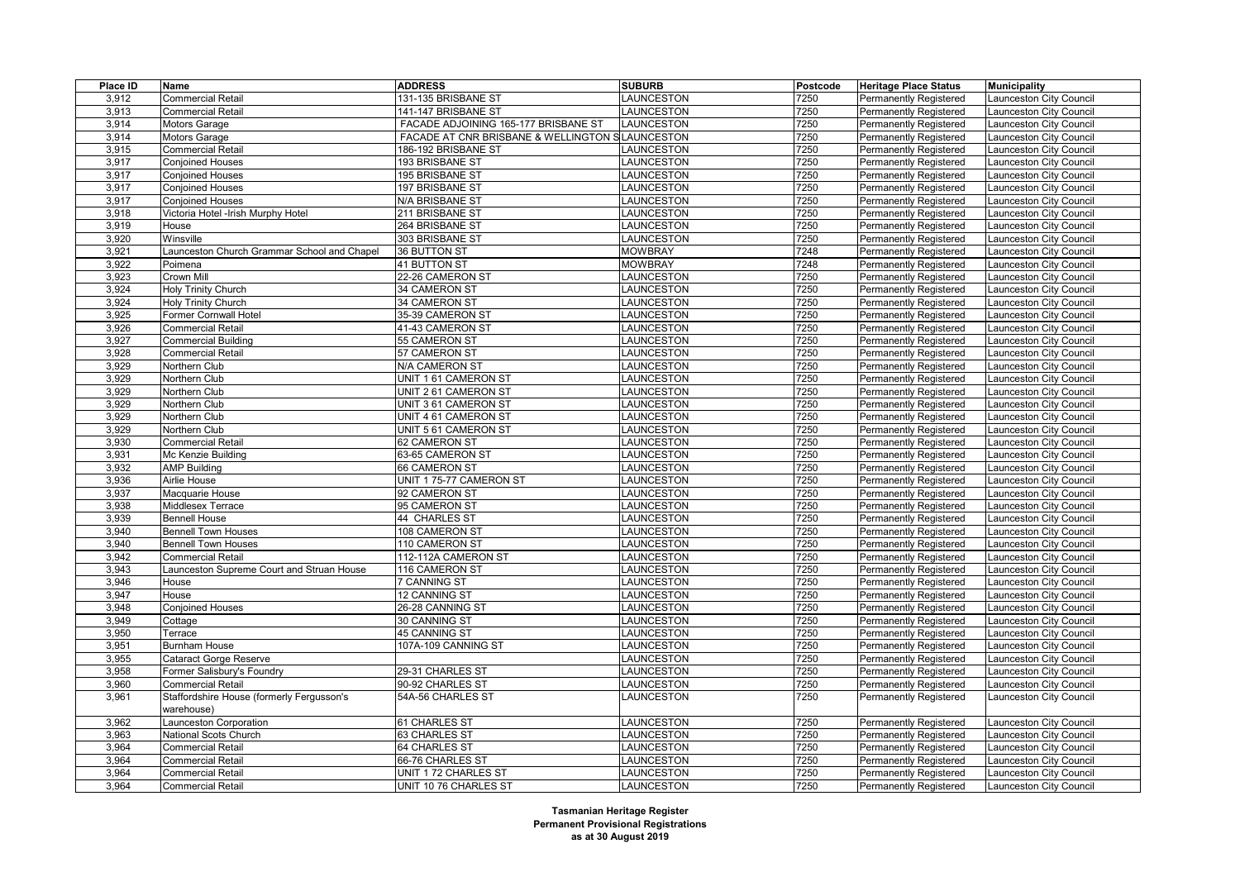| Place ID | Name                                        | <b>ADDRESS</b>                                  | <b>SUBURB</b>     | Postcode | <b>Heritage Place Status</b>  | <b>Municipality</b>     |
|----------|---------------------------------------------|-------------------------------------------------|-------------------|----------|-------------------------------|-------------------------|
| 3,912    | <b>Commercial Retail</b>                    | 131-135 BRISBANE ST                             | <b>LAUNCESTON</b> | 7250     | Permanently Registered        | aunceston City Council  |
| 3,913    | <b>Commercial Retail</b>                    | 141-147 BRISBANE ST                             | <b>LAUNCESTON</b> | 7250     | <b>Permanently Registered</b> | aunceston City Council  |
| 3,914    | <b>Motors Garage</b>                        | FACADE ADJOINING 165-177 BRISBANE ST            | LAUNCESTON        | 7250     | <b>Permanently Registered</b> | aunceston City Council  |
| 3,914    | <b>Motors Garage</b>                        | FACADE AT CNR BRISBANE & WELLINGTON SLAUNCESTON |                   | 7250     | Permanently Registered        | aunceston City Council  |
| 3,915    | <b>Commercial Retail</b>                    | 186-192 BRISBANE ST                             | LAUNCESTON        | 7250     | <b>Permanently Registered</b> | aunceston City Council  |
| 3,917    | <b>Conjoined Houses</b>                     | 193 BRISBANE ST                                 | <b>LAUNCESTON</b> | 7250     | <b>Permanently Registered</b> | aunceston City Council  |
| 3,917    | <b>Conjoined Houses</b>                     | 195 BRISBANE ST                                 | LAUNCESTON        | 7250     | <b>Permanently Registered</b> | aunceston City Council  |
| 3,917    | <b>Conjoined Houses</b>                     | 197 BRISBANE ST                                 | LAUNCESTON        | 7250     | <b>Permanently Registered</b> | aunceston City Council  |
| 3,917    | <b>Conjoined Houses</b>                     | N/A BRISBANE ST                                 | <b>LAUNCESTON</b> | 7250     | <b>Permanently Registered</b> | aunceston City Council  |
| 3,918    | Victoria Hotel -Irish Murphy Hotel          | 211 BRISBANE ST                                 | LAUNCESTON        | 7250     | Permanently Registered        | aunceston City Council  |
| 3,919    | House                                       | 264 BRISBANE ST                                 | <b>LAUNCESTON</b> | 7250     | <b>Permanently Registered</b> | aunceston City Council  |
| 3,920    | Winsville                                   | 303 BRISBANE ST                                 | <b>LAUNCESTON</b> | 7250     | <b>Permanently Registered</b> | aunceston City Council  |
| 3,921    | Launceston Church Grammar School and Chapel | 36 BUTTON ST                                    | <b>MOWBRAY</b>    | 7248     | <b>Permanently Registered</b> | aunceston City Council  |
| 3,922    | Poimena                                     | 41 BUTTON ST                                    | <b>MOWBRAY</b>    | 7248     | <b>Permanently Registered</b> | aunceston City Council  |
| 3,923    | Crown Mill                                  | 22-26 CAMERON ST                                | LAUNCESTON        | 7250     | <b>Permanently Registered</b> | aunceston City Council  |
| 3,924    | Holy Trinity Church                         | 34 CAMERON ST                                   | LAUNCESTON        | 7250     | Permanently Registered        | aunceston City Council  |
| 3,924    | <b>Holy Trinity Church</b>                  | 34 CAMERON ST                                   | LAUNCESTON        | 7250     | <b>Permanently Registered</b> | aunceston City Council  |
| 3,925    | Former Cornwall Hotel                       | 35-39 CAMERON ST                                | LAUNCESTON        | 7250     | <b>Permanently Registered</b> | aunceston City Council  |
| 3,926    | <b>Commercial Retail</b>                    | 41-43 CAMERON ST                                | LAUNCESTON        | 7250     | <b>Permanently Registered</b> | aunceston City Council  |
| 3,927    | <b>Commercial Building</b>                  | 55 CAMERON ST                                   | <b>LAUNCESTON</b> | 7250     | <b>Permanently Registered</b> | aunceston City Council  |
| 3,928    | <b>Commercial Retail</b>                    | 57 CAMERON ST                                   | LAUNCESTON        | 7250     | <b>Permanently Registered</b> | aunceston City Council  |
| 3,929    | Northern Club                               | N/A CAMERON ST                                  | LAUNCESTON        | 7250     | <b>Permanently Registered</b> | aunceston City Council  |
| 3,929    | Northern Club                               | UNIT 1 61 CAMERON ST                            | LAUNCESTON        | 7250     | <b>Permanently Registered</b> | aunceston City Council  |
| 3,929    | Northern Club                               | UNIT 2 61 CAMERON ST                            | LAUNCESTON        | 7250     | <b>Permanently Registered</b> | aunceston City Council  |
| 3,929    | Northern Club                               | UNIT 3 61 CAMERON ST                            | LAUNCESTON        | 7250     | <b>Permanently Registered</b> | aunceston City Council  |
| 3,929    | Northern Club                               | UNIT 4 61 CAMERON ST                            | <b>LAUNCESTON</b> | 7250     | <b>Permanently Registered</b> | aunceston City Council  |
| 3,929    | Northern Club                               | UNIT 5 61 CAMERON ST                            | LAUNCESTON        | 7250     | Permanently Registered        | aunceston City Council  |
| 3,930    | <b>Commercial Retail</b>                    | 62 CAMERON ST                                   | <b>LAUNCESTON</b> | 7250     | Permanently Registered        | aunceston City Council  |
| 3,931    | Mc Kenzie Building                          | 63-65 CAMERON ST                                | LAUNCESTON        | 7250     | <b>Permanently Registered</b> | aunceston City Council  |
| 3,932    | <b>AMP Building</b>                         | 66 CAMERON ST                                   | LAUNCESTON        | 7250     | <b>Permanently Registered</b> | aunceston City Council  |
| 3,936    | Airlie House                                | UNIT 1 75-77 CAMERON ST                         | <b>LAUNCESTON</b> | 7250     | Permanently Registered        | aunceston City Council  |
| 3,937    | Macquarie House                             | 92 CAMERON ST                                   | <b>LAUNCESTON</b> | 7250     | <b>Permanently Registered</b> | aunceston City Council  |
| 3,938    | Middlesex Terrace                           | 95 CAMERON ST                                   | LAUNCESTON        | 7250     | Permanently Registered        | aunceston City Council  |
| 3,939    | <b>Bennell House</b>                        | 44 CHARLES ST                                   | <b>LAUNCESTON</b> | 7250     | Permanently Registered        | aunceston City Council  |
| 3,940    | <b>Bennell Town Houses</b>                  | 108 CAMERON ST                                  | LAUNCESTON        | 7250     | <b>Permanently Registered</b> | aunceston City Council  |
| 3,940    | <b>Bennell Town Houses</b>                  | 110 CAMERON ST                                  | LAUNCESTON        | 7250     | <b>Permanently Registered</b> | aunceston City Council  |
| 3,942    | <b>Commercial Retail</b>                    | 112-112A CAMERON ST                             | LAUNCESTON        | 7250     | <b>Permanently Registered</b> | aunceston City Council  |
| 3,943    | Launceston Supreme Court and Struan House   | 116 CAMERON ST                                  | LAUNCESTON        | 7250     | <b>Permanently Registered</b> | aunceston City Council  |
| 3,946    | House                                       | 7 CANNING ST                                    | <b>LAUNCESTON</b> | 7250     | Permanently Registered        | aunceston City Council  |
| 3,947    | House                                       | 12 CANNING ST                                   | <b>LAUNCESTON</b> | 7250     | <b>Permanently Registered</b> | aunceston City Council  |
| 3,948    | <b>Conjoined Houses</b>                     | 26-28 CANNING ST                                | LAUNCESTON        | 7250     | <b>Permanently Registered</b> | aunceston City Council  |
| 3,949    | Cottage                                     | 30 CANNING ST                                   | <b>LAUNCESTON</b> | 7250     | <b>Permanently Registered</b> | aunceston City Council  |
| 3,950    | Terrace                                     | <b>45 CANNING ST</b>                            | <b>LAUNCESTON</b> | 7250     | <b>Permanently Registered</b> | aunceston City Council  |
| 3,951    | <b>Burnham House</b>                        | 107A-109 CANNING ST                             | LAUNCESTON        | 7250     | <b>Permanently Registered</b> | aunceston City Council  |
| 3,955    | Cataract Gorge Reserve                      |                                                 | <b>LAUNCESTON</b> | 7250     | Permanently Registered        | aunceston City Council  |
| 3,958    | Former Salisbury's Foundry                  | 29-31 CHARLES ST                                | <b>LAUNCESTON</b> | 7250     | <b>Permanently Registered</b> | aunceston City Council  |
| 3,960    | <b>Commercial Retail</b>                    | 90-92 CHARLES ST                                | LAUNCESTON        | 7250     | Permanently Registered        | aunceston City Council  |
| 3,961    | Staffordshire House (formerly Fergusson's   | 54A-56 CHARLES ST                               | LAUNCESTON        | 7250     | Permanently Registered        | Launceston City Council |
|          | warehouse)                                  |                                                 |                   |          |                               |                         |
| 3,962    | Launceston Corporation                      | 61 CHARLES ST                                   | LAUNCESTON        | 7250     | <b>Permanently Registered</b> | aunceston City Council  |
| 3,963    | National Scots Church                       | 63 CHARLES ST                                   | <b>LAUNCESTON</b> | 7250     | Permanently Registered        | aunceston City Council  |
| 3,964    | <b>Commercial Retail</b>                    | 64 CHARLES ST                                   | <b>LAUNCESTON</b> | 7250     | <b>Permanently Registered</b> | aunceston City Council  |
| 3,964    | <b>Commercial Retail</b>                    | 66-76 CHARLES ST                                | LAUNCESTON        | 7250     | <b>Permanently Registered</b> | aunceston City Council  |
| 3.964    | <b>Commercial Retail</b>                    | UNIT 172 CHARLES ST                             | LAUNCESTON        | 7250     | <b>Permanently Registered</b> | Launceston City Council |
| 3,964    | <b>Commercial Retail</b>                    | UNIT 10 76 CHARLES ST                           | LAUNCESTON        | 7250     | <b>Permanently Registered</b> | Launceston City Council |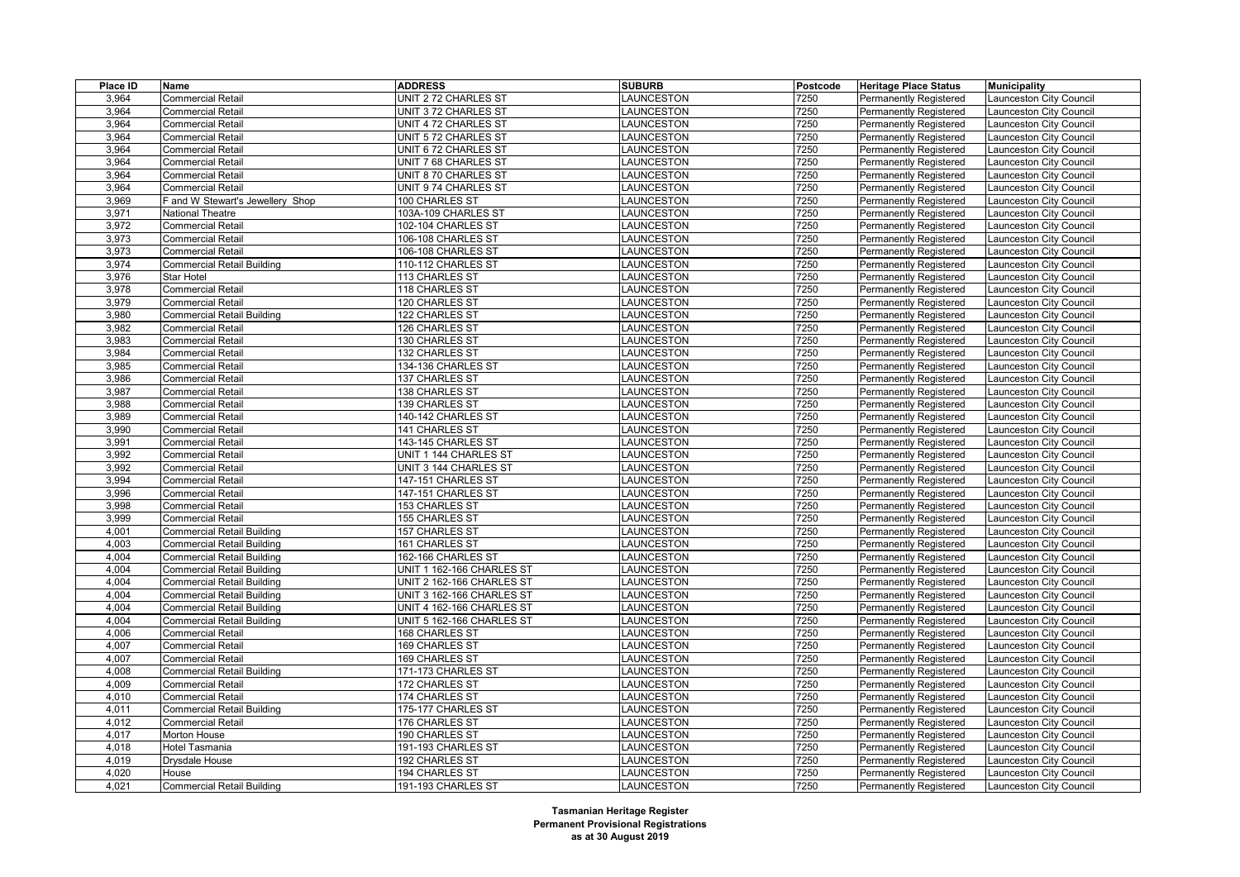| Place ID | Name                              | <b>ADDRESS</b>            | <b>SUBURB</b>     | Postcode | <b>Heritage Place Status</b>  | <b>Municipality</b>     |
|----------|-----------------------------------|---------------------------|-------------------|----------|-------------------------------|-------------------------|
| 3,964    | <b>Commercial Retail</b>          | UNIT 2 72 CHARLES ST      | LAUNCESTON        | 7250     | Permanently Registered        | aunceston City Council  |
| 3,964    | <b>Commercial Retail</b>          | UNIT 3 72 CHARLES ST      | LAUNCESTON        | 7250     | <b>Permanently Registered</b> | Launceston City Council |
| 3,964    | <b>Commercial Retail</b>          | UNIT 4 72 CHARLES ST      | LAUNCESTON        | 7250     | Permanently Registered        | aunceston City Council  |
| 3,964    | <b>Commercial Retail</b>          | UNIT 572 CHARLES ST       | LAUNCESTON        | 7250     | Permanently Registered        | aunceston City Council  |
| 3,964    | <b>Commercial Retail</b>          | UNIT 672 CHARLES ST       | LAUNCESTON        | 7250     | <b>Permanently Registered</b> | aunceston City Council  |
| 3,964    | <b>Commercial Retail</b>          | UNIT 7 68 CHARLES ST      | LAUNCESTON        | 7250     | <b>Permanently Registered</b> | aunceston City Council  |
| 3,964    | <b>Commercial Retail</b>          | UNIT 8 70 CHARLES ST      | LAUNCESTON        | 7250     | Permanently Registered        | aunceston City Council  |
| 3,964    | <b>Commercial Retail</b>          | UNIT 9 74 CHARLES ST      | LAUNCESTON        | 7250     | <b>Permanently Registered</b> | Launceston City Council |
| 3,969    | F and W Stewart's Jewellery Shop  | 100 CHARLES ST            | LAUNCESTON        | 7250     | <b>Permanently Registered</b> | aunceston City Council  |
| 3,971    | <b>National Theatre</b>           | 103A-109 CHARLES ST       | LAUNCESTON        | 7250     | Permanently Registered        | aunceston City Council  |
| 3,972    | <b>Commercial Retail</b>          | 102-104 CHARLES ST        | LAUNCESTON        | 7250     | <b>Permanently Registered</b> | Launceston City Council |
| 3,973    | <b>Commercial Retail</b>          | 106-108 CHARLES ST        | LAUNCESTON        | 7250     | Permanently Registered        | aunceston City Council  |
| 3,973    | <b>Commercial Retail</b>          | 106-108 CHARLES ST        | LAUNCESTON        | 7250     | Permanently Registered        | aunceston City Council  |
| 3,974    | <b>Commercial Retail Building</b> | 110-112 CHARLES ST        | LAUNCESTON        | 7250     | <b>Permanently Registered</b> | Launceston City Council |
| 3,976    | <b>Star Hotel</b>                 | 113 CHARLES ST            | LAUNCESTON        | 7250     | Permanently Registered        | aunceston City Council  |
| 3,978    | <b>Commercial Retail</b>          | 118 CHARLES ST            | <b>LAUNCESTON</b> | 7250     | Permanently Registered        | aunceston City Council  |
| 3,979    | <b>Commercial Retail</b>          | 120 CHARLES ST            | LAUNCESTON        | 7250     | <b>Permanently Registered</b> | aunceston City Council  |
| 3,980    | <b>Commercial Retail Building</b> | 122 CHARLES ST            | LAUNCESTON        | 7250     | Permanently Registered        | aunceston City Council  |
| 3,982    | <b>Commercial Retail</b>          | 126 CHARLES ST            | LAUNCESTON        | 7250     | <b>Permanently Registered</b> | aunceston City Council  |
| 3,983    | <b>Commercial Retail</b>          | 130 CHARLES ST            | <b>LAUNCESTON</b> | 7250     | Permanently Registered        | aunceston City Council  |
| 3,984    | <b>Commercial Retail</b>          | 132 CHARLES ST            | LAUNCESTON        | 7250     | <b>Permanently Registered</b> | aunceston City Council  |
| 3,985    | <b>Commercial Retail</b>          | 134-136 CHARLES ST        | LAUNCESTON        | 7250     | Permanently Registered        | aunceston City Council  |
| 3,986    | <b>Commercial Retail</b>          | 137 CHARLES ST            | LAUNCESTON        | 7250     | <b>Permanently Registered</b> | aunceston City Council  |
| 3,987    | <b>Commercial Retail</b>          | 138 CHARLES ST            | <b>LAUNCESTON</b> | 7250     | <b>Permanently Registered</b> | aunceston City Council  |
| 3,988    | <b>Commercial Retail</b>          | 139 CHARLES ST            | <b>LAUNCESTON</b> | 7250     | Permanently Registered        | aunceston City Council  |
| 3,989    | <b>Commercial Retail</b>          | 140-142 CHARLES ST        | <b>AUNCESTON</b>  | 7250     | Permanently Registered        | aunceston City Council  |
| 3,990    | <b>Commercial Retail</b>          | 141 CHARLES ST            | LAUNCESTON        | 7250     | <b>Permanently Registered</b> | aunceston City Council  |
| 3,991    | <b>Commercial Retail</b>          | 143-145 CHARLES ST        | LAUNCESTON        | 7250     | Permanently Registered        | aunceston City Council  |
| 3,992    | <b>Commercial Retail</b>          | UNIT 1 144 CHARLES ST     | LAUNCESTON        | 7250     | Permanently Registered        | aunceston City Council  |
| 3,992    | <b>Commercial Retail</b>          | UNIT 3 144 CHARLES ST     | <b>AUNCESTON</b>  | 7250     | <b>Permanently Registered</b> | aunceston City Council  |
| 3,994    | <b>Commercial Retail</b>          | 147-151 CHARLES ST        | LAUNCESTON        | 7250     | Permanently Registered        | aunceston City Council  |
| 3,996    | <b>Commercial Retail</b>          | 147-151 CHARLES ST        | LAUNCESTON        | 7250     | Permanently Registered        | aunceston City Council  |
| 3,998    | <b>Commercial Retail</b>          | 153 CHARLES ST            | LAUNCESTON        | 7250     | <b>Permanently Registered</b> | aunceston City Council  |
| 3,999    | <b>Commercial Retail</b>          | 155 CHARLES ST            | LAUNCESTON        | 7250     | Permanently Registered        | aunceston City Council  |
| 4,001    | <b>Commercial Retail Building</b> | 157 CHARLES ST            | LAUNCESTON        | 7250     | Permanently Registered        | aunceston City Council  |
| 4,003    | <b>Commercial Retail Building</b> | 161 CHARLES ST            | LAUNCESTON        | 7250     | <b>Permanently Registered</b> | aunceston City Council  |
| 4,004    | <b>Commercial Retail Building</b> | 162-166 CHARLES ST        | <b>AUNCESTON</b>  | 7250     | <b>Permanently Registered</b> | aunceston City Council  |
| 4,004    | <b>Commercial Retail Building</b> | UNIT 1 162-166 CHARLES ST | <b>AUNCESTON</b>  | 7250     | Permanently Registered        | aunceston City Council  |
| 4,004    | <b>Commercial Retail Building</b> | UNIT 2 162-166 CHARLES ST | <b>AUNCESTON</b>  | 7250     | <b>Permanently Registered</b> | aunceston City Council  |
| 4,004    | <b>Commercial Retail Building</b> | UNIT 3 162-166 CHARLES ST | LAUNCESTON        | 7250     | Permanently Registered        | aunceston City Council  |
| 4,004    | <b>Commercial Retail Building</b> | UNIT 4 162-166 CHARLES ST | LAUNCESTON        | 7250     | Permanently Registered        | aunceston City Council  |
| 4,004    | <b>Commercial Retail Building</b> | UNIT 5 162-166 CHARLES ST | LAUNCESTON        | 7250     | <b>Permanently Registered</b> | Launceston City Council |
| 4,006    | <b>Commercial Retail</b>          | 168 CHARLES ST            | LAUNCESTON        | 7250     | <b>Permanently Registered</b> | aunceston City Council  |
| 4,007    | <b>Commercial Retail</b>          | 169 CHARLES ST            | <b>LAUNCESTON</b> | 7250     | <b>Permanently Registered</b> | aunceston City Council  |
| 4,007    | <b>Commercial Retail</b>          | 169 CHARLES ST            | <b>LAUNCESTON</b> | 7250     | <b>Permanently Registered</b> | aunceston City Council  |
| 4,008    | <b>Commercial Retail Building</b> | 171-173 CHARLES ST        | LAUNCESTON        | 7250     | <b>Permanently Registered</b> | aunceston City Council  |
| 4,009    | <b>Commercial Retail</b>          | 172 CHARLES ST            | LAUNCESTON        | 7250     | <b>Permanently Registered</b> | aunceston City Council  |
| 4,010    | <b>Commercial Retail</b>          | 174 CHARLES ST            | LAUNCESTON        | 7250     | Permanently Registered        | Launceston City Council |
| 4,011    | <b>Commercial Retail Building</b> | 175-177 CHARLES ST        | <b>AUNCESTON</b>  | 7250     | <b>Permanently Registered</b> | aunceston City Council  |
| 4,012    | <b>Commercial Retail</b>          | 176 CHARLES ST            | LAUNCESTON        | 7250     | <b>Permanently Registered</b> | aunceston City Council  |
| 4,017    | Morton House                      | 190 CHARLES ST            | <b>AUNCESTON</b>  | 7250     | <b>Permanently Registered</b> | aunceston City Council  |
| 4,018    | <b>Hotel Tasmania</b>             | 191-193 CHARLES ST        | LAUNCESTON        | 7250     | <b>Permanently Registered</b> | aunceston City Council  |
| 4,019    | Drysdale House                    | 192 CHARLES ST            | LAUNCESTON        | 7250     | Permanently Registered        | aunceston City Council  |
| 4,020    | House                             | 194 CHARLES ST            | LAUNCESTON        | 7250     | <b>Permanently Registered</b> | Launceston City Council |
| 4,021    | <b>Commercial Retail Building</b> | 191-193 CHARLES ST        | LAUNCESTON        | 7250     | <b>Permanently Registered</b> | Launceston City Council |
|          |                                   |                           |                   |          |                               |                         |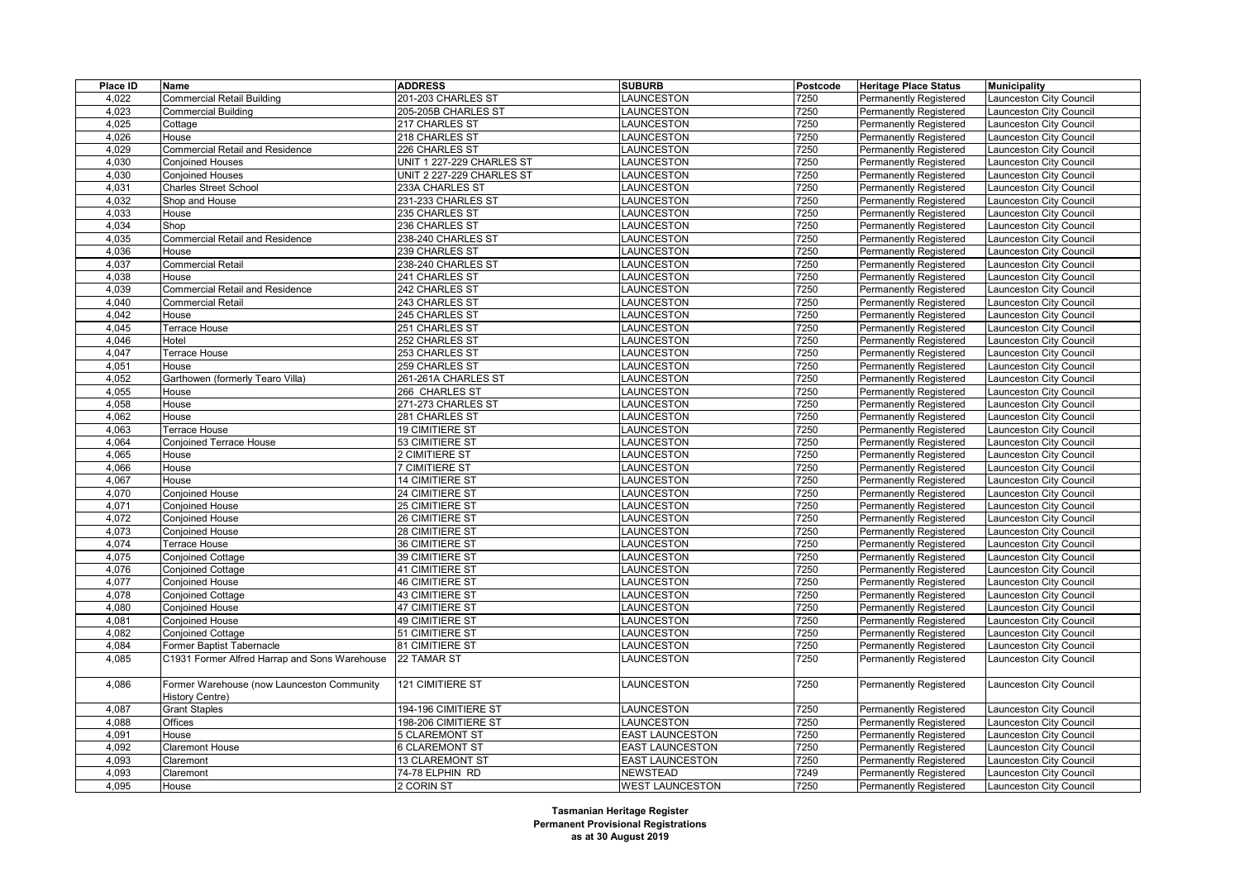| Place ID | Name                                                          | <b>ADDRESS</b>            | <b>SUBURB</b>          | Postcode | <b>Heritage Place Status</b>  | <b>Municipality</b>     |
|----------|---------------------------------------------------------------|---------------------------|------------------------|----------|-------------------------------|-------------------------|
| 4,022    | <b>Commercial Retail Building</b>                             | 201-203 CHARLES ST        | LAUNCESTON             | 7250     | Permanently Registered        | aunceston City Council  |
| 4,023    | <b>Commercial Building</b>                                    | 205-205B CHARLES ST       | LAUNCESTON             | 7250     | <b>Permanently Registered</b> | aunceston City Council  |
| 4,025    | Cottage                                                       | 217 CHARLES ST            | <b>LAUNCESTON</b>      | 7250     | <b>Permanently Registered</b> | aunceston City Council  |
| 4,026    | House                                                         | 218 CHARLES ST            | <b>LAUNCESTON</b>      | 7250     | <b>Permanently Registered</b> | aunceston City Council  |
| 4,029    | <b>Commercial Retail and Residence</b>                        | 226 CHARLES ST            | LAUNCESTON             | 7250     | Permanently Registered        | aunceston City Council  |
| 4,030    | <b>Conjoined Houses</b>                                       | UNIT 1 227-229 CHARLES ST | <b>LAUNCESTON</b>      | 7250     | <b>Permanently Registered</b> | aunceston City Council  |
| 4,030    | <b>Conjoined Houses</b>                                       | UNIT 2 227-229 CHARLES ST | LAUNCESTON             | 7250     | <b>Permanently Registered</b> | aunceston City Council  |
| 4,031    | <b>Charles Street School</b>                                  | 233A CHARLES ST           | <b>LAUNCESTON</b>      | 7250     | <b>Permanently Registered</b> | aunceston City Council  |
| 4,032    | Shop and House                                                | 231-233 CHARLES ST        | LAUNCESTON             | 7250     | <b>Permanently Registered</b> | aunceston City Council  |
| 4,033    | House                                                         | 235 CHARLES ST            | <b>LAUNCESTON</b>      | 7250     | <b>Permanently Registered</b> | aunceston City Council  |
| 4,034    | Shop                                                          | 236 CHARLES ST            | LAUNCESTON             | 7250     | <b>Permanently Registered</b> | aunceston City Council  |
| 4,035    | Commercial Retail and Residence                               | 238-240 CHARLES ST        | LAUNCESTON             | 7250     | <b>Permanently Registered</b> | aunceston City Council  |
| 4,036    | House                                                         | 239 CHARLES ST            | <b>LAUNCESTON</b>      | 7250     | <b>Permanently Registered</b> | aunceston City Council  |
| 4,037    | <b>Commercial Retail</b>                                      | 238-240 CHARLES ST        | LAUNCESTON             | 7250     | <b>Permanently Registered</b> | aunceston City Council  |
| 4,038    | House                                                         | 241 CHARLES ST            | LAUNCESTON             | 7250     | <b>Permanently Registered</b> | aunceston City Council  |
| 4,039    | <b>Commercial Retail and Residence</b>                        | 242 CHARLES ST            | <b>LAUNCESTON</b>      | 7250     | <b>Permanently Registered</b> | aunceston City Council  |
| 4,040    | <b>Commercial Retail</b>                                      | 243 CHARLES ST            | LAUNCESTON             | 7250     | <b>Permanently Registered</b> | aunceston City Council  |
| 4,042    | House                                                         | 245 CHARLES ST            | <b>LAUNCESTON</b>      | 7250     | <b>Permanently Registered</b> | aunceston City Council  |
| 4,045    | Terrace House                                                 | 251 CHARLES ST            | LAUNCESTON             | 7250     | <b>Permanently Registered</b> | aunceston City Council  |
| 4,046    | Hotel                                                         | 252 CHARLES ST            | <b>LAUNCESTON</b>      | 7250     | <b>Permanently Registered</b> | aunceston City Council  |
| 4,047    | Terrace House                                                 | 253 CHARLES ST            | <b>LAUNCESTON</b>      | 7250     | <b>Permanently Registered</b> | aunceston City Council  |
| 4,051    | House                                                         | 259 CHARLES ST            | <b>LAUNCESTON</b>      | 7250     | Permanently Registered        | aunceston City Council  |
| 4,052    | Garthowen (formerly Tearo Villa)                              | 261-261A CHARLES ST       | LAUNCESTON             | 7250     | <b>Permanently Registered</b> | aunceston City Council  |
| 4,055    | House                                                         | 266 CHARLES ST            | LAUNCESTON             | 7250     | <b>Permanently Registered</b> | aunceston City Council  |
| 4,058    | House                                                         | 271-273 CHARLES ST        | <b>LAUNCESTON</b>      | 7250     | Permanently Registered        | aunceston City Council  |
| 4,062    | House                                                         | 281 CHARLES ST            | <b>LAUNCESTON</b>      | 7250     | Permanently Registered        | aunceston City Council  |
| 4,063    | Terrace House                                                 | 19 CIMITIERE ST           | <b>LAUNCESTON</b>      | 7250     | <b>Permanently Registered</b> | aunceston City Council  |
| 4,064    | <b>Conjoined Terrace House</b>                                | 53 CIMITIERE ST           | LAUNCESTON             | 7250     | <b>Permanently Registered</b> | aunceston City Council  |
| 4,065    | House                                                         | 2 CIMITIERE ST            | <b>LAUNCESTON</b>      | 7250     | Permanently Registered        | aunceston City Council  |
| 4,066    | House                                                         | 7 CIMITIERE ST            | LAUNCESTON             | 7250     | <b>Permanently Registered</b> | aunceston City Council  |
| 4,067    | House                                                         | 14 CIMITIERE ST           | <b>LAUNCESTON</b>      | 7250     | <b>Permanently Registered</b> | aunceston City Council  |
| 4,070    | Conjoined House                                               | 24 CIMITIERE ST           | LAUNCESTON             | 7250     | <b>Permanently Registered</b> | aunceston City Council  |
| 4,071    | <b>Conjoined House</b>                                        | 25 CIMITIERE ST           | <b>LAUNCESTON</b>      | 7250     | Permanently Registered        | aunceston City Council  |
| 4,072    | Conjoined House                                               | 26 CIMITIERE ST           | LAUNCESTON             | 7250     | <b>Permanently Registered</b> | aunceston City Council  |
| 4,073    | <b>Conjoined House</b>                                        | 28 CIMITIERE ST           | LAUNCESTON             | 7250     | <b>Permanently Registered</b> | aunceston City Council  |
| 4,074    | Terrace House                                                 | 36 CIMITIERE ST           | LAUNCESTON             | 7250     | Permanently Registered        | aunceston City Council  |
| 4,075    | <b>Conjoined Cottage</b>                                      | 39 CIMITIERE ST           | <b>LAUNCESTON</b>      | 7250     | <b>Permanently Registered</b> | aunceston City Council  |
| 4,076    | <b>Conjoined Cottage</b>                                      | 41 CIMITIERE ST           | LAUNCESTON             | 7250     | <b>Permanently Registered</b> | aunceston City Council  |
| 4,077    | Conjoined House                                               | 46 CIMITIERE ST           | LAUNCESTON             | 7250     | Permanently Registered        | aunceston City Council  |
| 4,078    | Conjoined Cottage                                             | 43 CIMITIERE ST           | <b>LAUNCESTON</b>      | 7250     | Permanently Registered        | aunceston City Council  |
| 4,080    | <b>Conjoined House</b>                                        | 47 CIMITIERE ST           | <b>LAUNCESTON</b>      | 7250     | <b>Permanently Registered</b> | aunceston City Council  |
| 4,081    | Conjoined House                                               | 49 CIMITIERE ST           | LAUNCESTON             | 7250     | <b>Permanently Registered</b> | aunceston City Council  |
| 4,082    | Conjoined Cottage                                             | 51 CIMITIERE ST           | LAUNCESTON             | 7250     | Permanently Registered        | aunceston City Council  |
| 4,084    | Former Baptist Tabernacle                                     | 81 CIMITIERE ST           | <b>LAUNCESTON</b>      | 7250     | <b>Permanently Registered</b> | aunceston City Council  |
| 4,085    | C1931 Former Alfred Harrap and Sons Warehouse                 | 22 TAMAR ST               | LAUNCESTON             | 7250     | <b>Permanently Registered</b> | Launceston City Council |
|          |                                                               |                           |                        |          |                               |                         |
| 4,086    | Former Warehouse (now Launceston Community<br>History Centre) | 121 CIMITIERE ST          | LAUNCESTON             | 7250     | <b>Permanently Registered</b> | aunceston City Council  |
| 4,087    | <b>Grant Staples</b>                                          | 194-196 CIMITIERE ST      | LAUNCESTON             | 7250     | Permanently Registered        | aunceston City Council  |
| 4.088    | Offices                                                       | 198-206 CIMITIERE ST      | <b>LAUNCESTON</b>      | 7250     | Permanently Registered        | aunceston City Council  |
| 4,091    | House                                                         | 5 CLAREMONT ST            | <b>EAST LAUNCESTON</b> | 7250     | <b>Permanently Registered</b> | aunceston City Council  |
| 4,092    | Claremont House                                               | 6 CLAREMONT ST            | <b>EAST LAUNCESTON</b> | 7250     | <b>Permanently Registered</b> | aunceston City Council  |
| 4,093    | Claremont                                                     | 13 CLAREMONT ST           | <b>EAST LAUNCESTON</b> | 7250     | Permanently Registered        | aunceston City Council  |
| 4,093    | Claremont                                                     | 74-78 ELPHIN RD           | <b>NEWSTEAD</b>        | 7249     | <b>Permanently Registered</b> | aunceston City Council  |
| 4,095    | House                                                         | 2 CORIN ST                | <b>WEST LAUNCESTON</b> | 7250     | Permanently Registered        | Launceston City Council |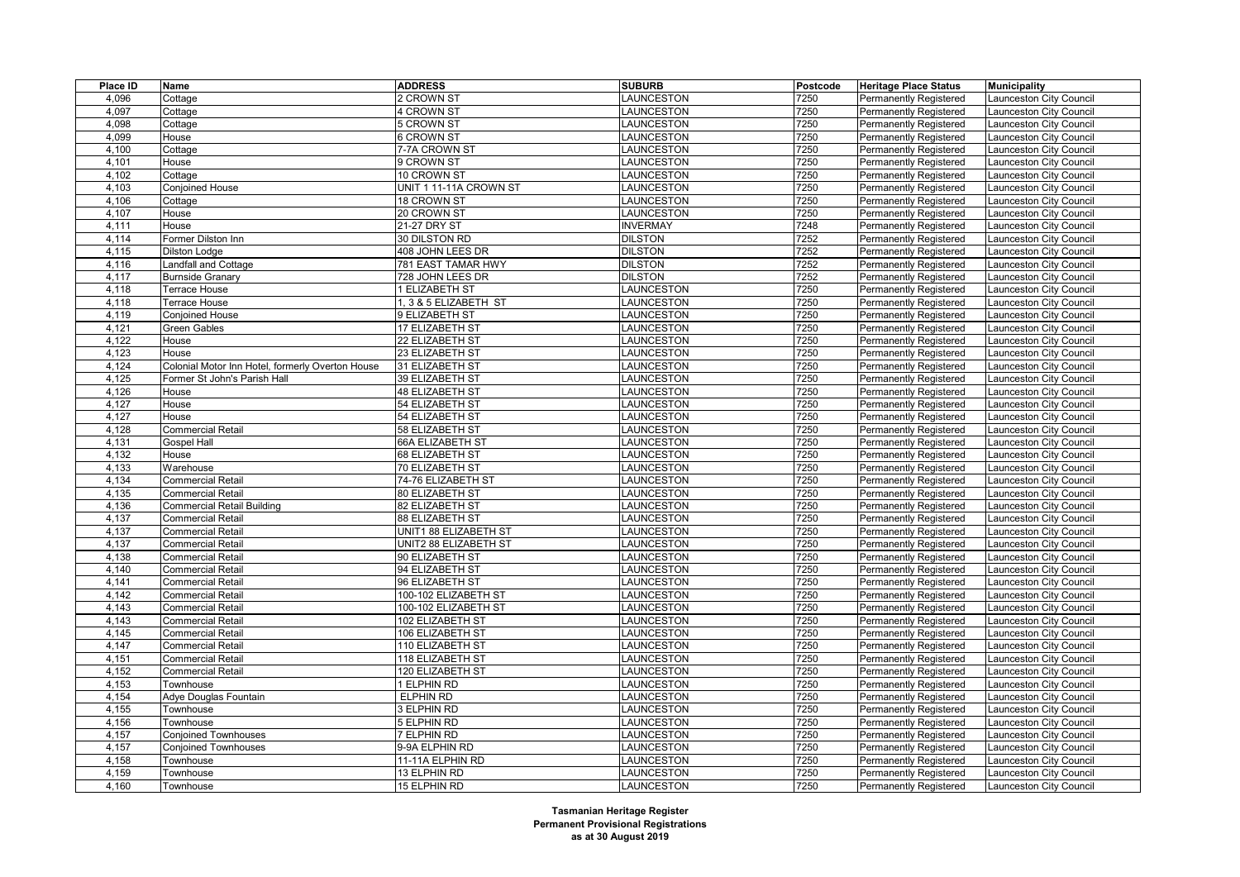| Place ID | Name                                             | <b>ADDRESS</b>         | <b>SUBURB</b>            | Postcode     | <b>Heritage Place Status</b>  | <b>Municipality</b>            |
|----------|--------------------------------------------------|------------------------|--------------------------|--------------|-------------------------------|--------------------------------|
| 4,096    | Cottage                                          | 2 CROWN ST             | LAUNCESTON               | 7250         | Permanently Registered        | Launceston City Council        |
| 4,097    | Cottage                                          | 4 CROWN ST             | LAUNCESTON               | 7250         | <b>Permanently Registered</b> | Launceston City Council        |
| 4,098    | Cottage                                          | 5 CROWN ST             | LAUNCESTON               | 7250         | <b>Permanently Registered</b> | Launceston City Council        |
| 4,099    | House                                            | 6 CROWN ST             | LAUNCESTON               | 7250         | <b>Permanently Registered</b> | Launceston City Council        |
| 4,100    | Cottage                                          | 7-7A CROWN ST          | LAUNCESTON               | 7250         | <b>Permanently Registered</b> | Launceston City Council        |
| 4,101    | House                                            | 9 CROWN ST             | LAUNCESTON               | 7250         | <b>Permanently Registered</b> | Launceston City Council        |
| 4,102    | Cottage                                          | 10 CROWN ST            | LAUNCESTON               | 7250         | Permanently Registered        | Launceston City Council        |
| 4,103    | <b>Conjoined House</b>                           | UNIT 1 11-11A CROWN ST | LAUNCESTON               | 7250         | <b>Permanently Registered</b> | Launceston City Council        |
| 4,106    | Cottage                                          | 18 CROWN ST            | LAUNCESTON               | 7250         | <b>Permanently Registered</b> | Launceston City Council        |
| 4,107    | House                                            | 20 CROWN ST            | <b>LAUNCESTON</b>        | 7250         | <b>Permanently Registered</b> | Launceston City Council        |
| 4,111    | House                                            | 21-27 DRY ST           | <b>INVERMAY</b>          | 7248         | <b>Permanently Registered</b> | Launceston City Council        |
| 4,114    | Former Dilston Inn                               | 30 DILSTON RD          | <b>DILSTON</b>           | 7252         | Permanently Registered        | Launceston City Council        |
| 4,115    | <b>Dilston Lodge</b>                             | 408 JOHN LEES DR       | <b>DILSTON</b>           | 7252         | <b>Permanently Registered</b> | Launceston City Council        |
| 4,116    | Landfall and Cottage                             | 781 EAST TAMAR HWY     | <b>DILSTON</b>           | 7252         | Permanently Registered        | Launceston City Council        |
| 4,117    | Burnside Granary                                 | 728 JOHN LEES DR       | <b>DILSTON</b>           | 7252         | Permanently Registered        | Launceston City Council        |
| 4,118    | Terrace House                                    | 1 ELIZABETH ST         | LAUNCESTON               | 7250         | <b>Permanently Registered</b> | Launceston City Council        |
| 4,118    | Terrace House                                    | 1, 3 & 5 ELIZABETH ST  | LAUNCESTON               | 7250         | <b>Permanently Registered</b> | Launceston City Council        |
| 4,119    | Conjoined House                                  | 9 ELIZABETH ST         | LAUNCESTON               | 7250         | <b>Permanently Registered</b> | Launceston City Council        |
| 4,121    | Green Gables                                     | 17 ELIZABETH ST        | LAUNCESTON               | 7250         | <b>Permanently Registered</b> | Launceston City Council        |
| 4,122    | House                                            | 22 ELIZABETH ST        | LAUNCESTON               | 7250         | <b>Permanently Registered</b> | Launceston City Council        |
| 4,123    | House                                            | 23 ELIZABETH ST        | LAUNCESTON               | 7250         | Permanently Registered        | Launceston City Council        |
| 4,124    | Colonial Motor Inn Hotel, formerly Overton House | 31 ELIZABETH ST        | LAUNCESTON               | 7250         | <b>Permanently Registered</b> | Launceston City Council        |
| 4,125    | Former St John's Parish Hall                     | 39 ELIZABETH ST        | LAUNCESTON               | 7250         | <b>Permanently Registered</b> | Launceston City Council        |
| 4,126    | House                                            | 48 ELIZABETH ST        | LAUNCESTON               | 7250         | <b>Permanently Registered</b> | Launceston City Council        |
| 4,127    | House                                            | 54 ELIZABETH ST        | LAUNCESTON               | 7250         | <b>Permanently Registered</b> | Launceston City Council        |
| 4,127    | House                                            | 54 ELIZABETH ST        | LAUNCESTON               | 7250         | <b>Permanently Registered</b> | Launceston City Council        |
| 4,128    | Commercial Retail                                | 58 ELIZABETH ST        | LAUNCESTON               | 7250         | <b>Permanently Registered</b> | Launceston City Council        |
| 4,131    |                                                  |                        |                          | 7250         |                               |                                |
| 4,132    | Gospel Hall                                      | 66A ELIZABETH ST       | LAUNCESTON<br>LAUNCESTON | 7250         | <b>Permanently Registered</b> | Launceston City Council        |
|          | House                                            | 68 ELIZABETH ST        |                          |              | Permanently Registered        | Launceston City Council        |
| 4,133    | Warehouse                                        | 70 ELIZABETH ST        | LAUNCESTON               | 7250         | <b>Permanently Registered</b> | Launceston City Council        |
| 4,134    | <b>Commercial Retail</b>                         | 74-76 ELIZABETH ST     | LAUNCESTON               | 7250<br>7250 | <b>Permanently Registered</b> | Launceston City Council        |
| 4,135    | <b>Commercial Retail</b>                         | 80 ELIZABETH ST        | LAUNCESTON               |              | Permanently Registered        | Launceston City Council        |
| 4,136    | <b>Commercial Retail Building</b>                | 82 ELIZABETH ST        | LAUNCESTON               | 7250         | Permanently Registered        | Launceston City Council        |
| 4,137    | Commercial Retail                                | 88 ELIZABETH ST        | LAUNCESTON               | 7250         | <b>Permanently Registered</b> | <b>Launceston City Council</b> |
| 4,137    | Commercial Retail                                | UNIT1 88 ELIZABETH ST  | LAUNCESTON               | 7250         | <b>Permanently Registered</b> | <b>Launceston City Council</b> |
| 4,137    | <b>Commercial Retail</b>                         | UNIT2 88 ELIZABETH ST  | LAUNCESTON               | 7250         | <b>Permanently Registered</b> | Launceston City Council        |
| 4,138    | <b>Commercial Retail</b>                         | 90 ELIZABETH ST        | LAUNCESTON               | 7250         | <b>Permanently Registered</b> | <b>Launceston City Council</b> |
| 4,140    | <b>Commercial Retail</b>                         | 94 ELIZABETH ST        | LAUNCESTON               | 7250         | <b>Permanently Registered</b> | Launceston City Council        |
| 4,141    | <b>Commercial Retail</b>                         | 96 ELIZABETH ST        | LAUNCESTON               | 7250         | <b>Permanently Registered</b> | Launceston City Council        |
| 4,142    | <b>Commercial Retail</b>                         | 100-102 ELIZABETH ST   | LAUNCESTON               | 7250         | <b>Permanently Registered</b> | Launceston City Council        |
| 4,143    | <b>Commercial Retail</b>                         | 100-102 ELIZABETH ST   | LAUNCESTON               | 7250         | <b>Permanently Registered</b> | Launceston City Council        |
| 4,143    | <b>Commercial Retail</b>                         | 102 ELIZABETH ST       | LAUNCESTON               | 7250         | <b>Permanently Registered</b> | Launceston City Council        |
| 4,145    | Commercial Retail                                | 106 ELIZABETH ST       | LAUNCESTON               | 7250         | <b>Permanently Registered</b> | Launceston City Council        |
| 4,147    | <b>Commercial Retail</b>                         | 110 ELIZABETH ST       | LAUNCESTON               | 7250         | <b>Permanently Registered</b> | <b>Launceston City Council</b> |
| 4,151    | <b>Commercial Retail</b>                         | 118 ELIZABETH ST       | LAUNCESTON               | 7250         | <b>Permanently Registered</b> | Launceston City Council        |
| 4,152    | <b>Commercial Retail</b>                         | 120 ELIZABETH ST       | LAUNCESTON               | 7250         | <b>Permanently Registered</b> | Launceston City Council        |
| 4,153    | Townhouse                                        | 1 ELPHIN RD            | LAUNCESTON               | 7250         | <b>Permanently Registered</b> | Launceston City Council        |
| 4,154    | Adye Douglas Fountain                            | ELPHIN RD              | LAUNCESTON               | 7250         | <b>Permanently Registered</b> | Launceston City Council        |
| 4,155    | Townhouse                                        | 3 ELPHIN RD            | LAUNCESTON               | 7250         | <b>Permanently Registered</b> | Launceston City Council        |
| 4,156    | Townhouse                                        | 5 ELPHIN RD            | LAUNCESTON               | 7250         | <b>Permanently Registered</b> | Launceston City Council        |
| 4,157    | <b>Conjoined Townhouses</b>                      | 7 ELPHIN RD            | LAUNCESTON               | 7250         | <b>Permanently Registered</b> | Launceston City Council        |
| 4,157    | <b>Conjoined Townhouses</b>                      | 9-9A ELPHIN RD         | LAUNCESTON               | 7250         | <b>Permanently Registered</b> | Launceston City Council        |
| 4,158    | Townhouse                                        | 11-11A ELPHIN RD       | LAUNCESTON               | 7250         | <b>Permanently Registered</b> | Launceston City Council        |
| 4,159    | Townhouse                                        | 13 ELPHIN RD           | LAUNCESTON               | 7250         | <b>Permanently Registered</b> | Launceston City Council        |
| 4,160    | Townhouse                                        | 15 ELPHIN RD           | LAUNCESTON               | 7250         | <b>Permanently Registered</b> | Launceston City Council        |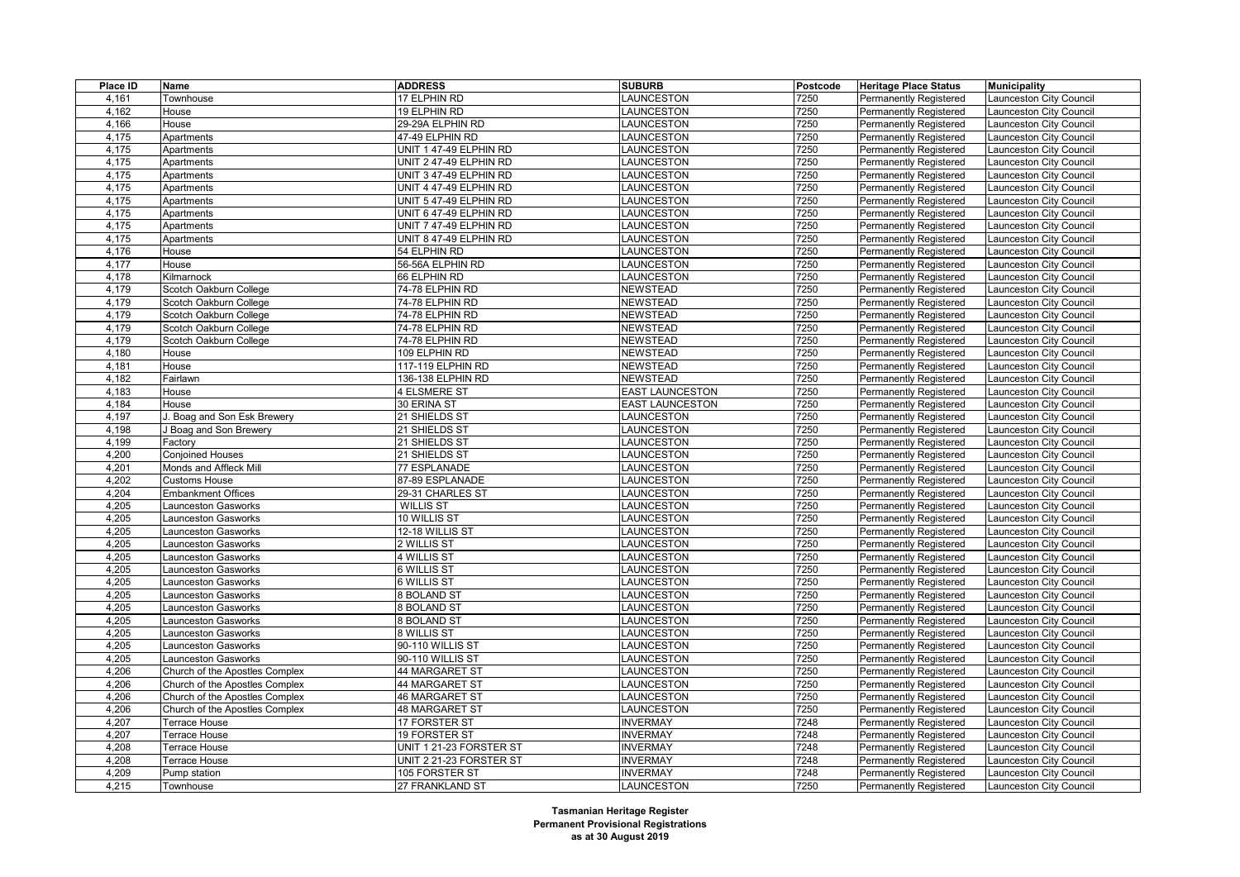| Place ID       | Name                           | <b>ADDRESS</b>          | <b>SUBURB</b>          | <b>Postcode</b> | <b>Heritage Place Status</b>  | <b>Municipality</b>            |
|----------------|--------------------------------|-------------------------|------------------------|-----------------|-------------------------------|--------------------------------|
| 4,161          | Townhouse                      | 17 ELPHIN RD            | LAUNCESTON             | 7250            | <b>Permanently Registered</b> | Launceston City Council        |
| 4,162          | House                          | 19 ELPHIN RD            | LAUNCESTON             | 7250            | <b>Permanently Registered</b> | Launceston City Council        |
| 4,166          | House                          | 29-29A ELPHIN RD        | LAUNCESTON             | 7250            | <b>Permanently Registered</b> | Launceston City Council        |
| 4,175          | Apartments                     | 47-49 ELPHIN RD         | LAUNCESTON             | 7250            | Permanently Registered        | Launceston City Council        |
| 4,175          | Apartments                     | UNIT 1 47-49 ELPHIN RD  | LAUNCESTON             | 7250            | <b>Permanently Registered</b> | Launceston City Council        |
| 4,175          | Apartments                     | UNIT 2 47-49 ELPHIN RD  | LAUNCESTON             | 7250            | <b>Permanently Registered</b> | Launceston City Council        |
| 4,175          | Apartments                     | UNIT 3 47-49 ELPHIN RD  | LAUNCESTON             | 7250            | Permanently Registered        | Launceston City Council        |
| 4,175          | Apartments                     | UNIT 4 47-49 ELPHIN RD  | LAUNCESTON             | 7250            | <b>Permanently Registered</b> | Launceston City Council        |
| 4,175          | Apartments                     | UNIT 5 47-49 ELPHIN RD  | LAUNCESTON             | 7250            | <b>Permanently Registered</b> | Launceston City Council        |
| 4,175          | Apartments                     | UNIT 6 47-49 ELPHIN RD  | LAUNCESTON             | 7250            | <b>Permanently Registered</b> | Launceston City Council        |
| 4,175          | Apartments                     | UNIT 7 47-49 ELPHIN RD  | LAUNCESTON             | 7250            | <b>Permanently Registered</b> | Launceston City Council        |
| 4,175          | Apartments                     | UNIT 8 47-49 ELPHIN RD  | LAUNCESTON             | 7250            | <b>Permanently Registered</b> | Launceston City Council        |
| 4,176          | House                          | 54 ELPHIN RD            | LAUNCESTON             | 7250            | <b>Permanently Registered</b> | Launceston City Council        |
| 4,177          | House                          | 56-56A ELPHIN RD        | LAUNCESTON             | 7250            | <b>Permanently Registered</b> | Launceston City Council        |
| 4,178          | Kilmarnock                     | 66 ELPHIN RD            | LAUNCESTON             | 7250            | Permanently Registered        | Launceston City Council        |
| 4,179          | Scotch Oakburn College         | 74-78 ELPHIN RD         | <b>NEWSTEAD</b>        | 7250            | <b>Permanently Registered</b> | Launceston City Council        |
| 4,179          | Scotch Oakburn College         | 74-78 ELPHIN RD         | <b>NEWSTEAD</b>        | 7250            | Permanently Registered        | Launceston City Council        |
| 4,179          | Scotch Oakburn College         | 74-78 ELPHIN RD         | <b>NEWSTEAD</b>        | 7250            | Permanently Registered        | Launceston City Council        |
| 4,179          | Scotch Oakburn College         | 74-78 ELPHIN RD         | <b>NEWSTEAD</b>        | 7250            | <b>Permanently Registered</b> | Launceston City Council        |
| 4,179          | Scotch Oakburn College         | 74-78 ELPHIN RD         | <b>NEWSTEAD</b>        | 7250            | <b>Permanently Registered</b> | Launceston City Council        |
| 4,180          | House                          | 109 ELPHIN RD           | <b>NEWSTEAD</b>        | 7250            | <b>Permanently Registered</b> | Launceston City Council        |
| 4,181          | House                          | 117-119 ELPHIN RD       | <b>NEWSTEAD</b>        | 7250            | <b>Permanently Registered</b> | Launceston City Council        |
| 4,182          | Fairlawn                       | 136-138 ELPHIN RD       | NEWSTEAD               | 7250            | <b>Permanently Registered</b> | <b>Launceston City Council</b> |
| 4,183          | House                          | 4 ELSMERE ST            | <b>EAST LAUNCESTON</b> | 7250            | <b>Permanently Registered</b> | Launceston City Council        |
| 4,184          | House                          | 30 ERINA ST             | <b>EAST LAUNCESTON</b> | 7250            | <b>Permanently Registered</b> | Launceston City Council        |
| 4,197          | Boag and Son Esk Brewery       | 21 SHIELDS ST           | LAUNCESTON             | 7250            | Permanently Registered        | <b>Launceston City Council</b> |
| 4,198          | J Boag and Son Brewery         | 21 SHIELDS ST           | LAUNCESTON             | 7250            | <b>Permanently Registered</b> | Launceston City Council        |
| 4,199          |                                | 21 SHIELDS ST           | LAUNCESTON             | 7250            |                               |                                |
| 4,200          | Factory                        | 21 SHIELDS ST           |                        | 7250            | <b>Permanently Registered</b> | Launceston City Council        |
|                | <b>Conjoined Houses</b>        |                         | LAUNCESTON             |                 | <b>Permanently Registered</b> | <b>Launceston City Council</b> |
| 4,201          | Monds and Affleck Mill         | 77 ESPLANADE            | LAUNCESTON             | 7250            | <b>Permanently Registered</b> | Launceston City Council        |
| 4,202<br>4,204 | <b>Customs House</b>           | 87-89 ESPLANADE         | LAUNCESTON             | 7250<br>7250    | <b>Permanently Registered</b> | Launceston City Council        |
|                | <b>Embankment Offices</b>      | 29-31 CHARLES ST        | LAUNCESTON             |                 | Permanently Registered        | Launceston City Council        |
| 4,205          | <b>Launceston Gasworks</b>     | <b>WILLIS ST</b>        | LAUNCESTON             | 7250            | <b>Permanently Registered</b> | Launceston City Council        |
| 4,205          | Launceston Gasworks            | 10 WILLIS ST            | LAUNCESTON             | 7250            | <b>Permanently Registered</b> | Launceston City Council        |
| 4,205          | <b>Launceston Gasworks</b>     | 12-18 WILLIS ST         | LAUNCESTON             | 7250            | <b>Permanently Registered</b> | <b>Launceston City Council</b> |
| 4,205          | <b>Launceston Gasworks</b>     | 2 WILLIS ST             | LAUNCESTON             | 7250            | <b>Permanently Registered</b> | Launceston City Council        |
| 4,205          | aunceston Gasworks             | 4 WILLIS ST             | LAUNCESTON             | 7250            | <b>Permanently Registered</b> | <b>Launceston City Council</b> |
| 4,205          | Launceston Gasworks            | 6 WILLIS ST             | LAUNCESTON             | 7250            | <b>Permanently Registered</b> | <b>Launceston City Council</b> |
| 4,205          | Launceston Gasworks            | 6 WILLIS ST             | LAUNCESTON             | 7250            | <b>Permanently Registered</b> | Launceston City Council        |
| 4,205          | <b>Launceston Gasworks</b>     | <b>8 BOLAND ST</b>      | LAUNCESTON             | 7250            | <b>Permanently Registered</b> | Launceston City Council        |
| 4,205          | <b>Launceston Gasworks</b>     | <b>8 BOLAND ST</b>      | LAUNCESTON             | 7250            | <b>Permanently Registered</b> | Launceston City Council        |
| 4,205          | <b>Launceston Gasworks</b>     | <b>8 BOLAND ST</b>      | LAUNCESTON             | 7250            | <b>Permanently Registered</b> | Launceston City Council        |
| 4,205          | <b>Launceston Gasworks</b>     | $8$ WILLIS ST           | LAUNCESTON             | 7250            | Permanently Registered        | Launceston City Council        |
| 4,205          | Launceston Gasworks            | 90-110 WILLIS ST        | LAUNCESTON             | 7250            | <b>Permanently Registered</b> | Launceston City Council        |
| 4,205          | <b>Launceston Gasworks</b>     | 90-110 WILLIS ST        | LAUNCESTON             | 7250            | <b>Permanently Registered</b> | Launceston City Council        |
| 4,206          | Church of the Apostles Complex | 44 MARGARET ST          | LAUNCESTON             | 7250            | <b>Permanently Registered</b> | Launceston City Council        |
| 4,206          | Church of the Apostles Complex | 44 MARGARET ST          | LAUNCESTON             | 7250            | <b>Permanently Registered</b> | Launceston City Council        |
| 4,206          | Church of the Apostles Complex | 46 MARGARET ST          | LAUNCESTON             | 7250            | <b>Permanently Registered</b> | Launceston City Council        |
| 4,206          | Church of the Apostles Complex | <b>48 MARGARET ST</b>   | LAUNCESTON             | 7250            | <b>Permanently Registered</b> | Launceston City Council        |
| 4,207          | Terrace House                  | 17 FORSTER ST           | <b>INVERMAY</b>        | 7248            | Permanently Registered        | Launceston City Council        |
| 4,207          | Terrace House                  | <b>19 FORSTER ST</b>    | <b>INVERMAY</b>        | 7248            | <b>Permanently Registered</b> | Launceston City Council        |
| 4,208          | Terrace House                  | UNIT 1 21-23 FORSTER ST | <b>INVERMAY</b>        | 7248            | <b>Permanently Registered</b> | Launceston City Council        |
| 4,208          | Terrace House                  | UNIT 2 21-23 FORSTER ST | <b>INVERMAY</b>        | 7248            | Permanently Registered        | Launceston City Council        |
| 4,209          | Pump station                   | 105 FORSTER ST          | <b>INVERMAY</b>        | 7248            | <b>Permanently Registered</b> | Launceston City Council        |
| 4,215          | Townhouse                      | 27 FRANKLAND ST         | <b>LAUNCESTON</b>      | 7250            | <b>Permanently Registered</b> | Launceston City Council        |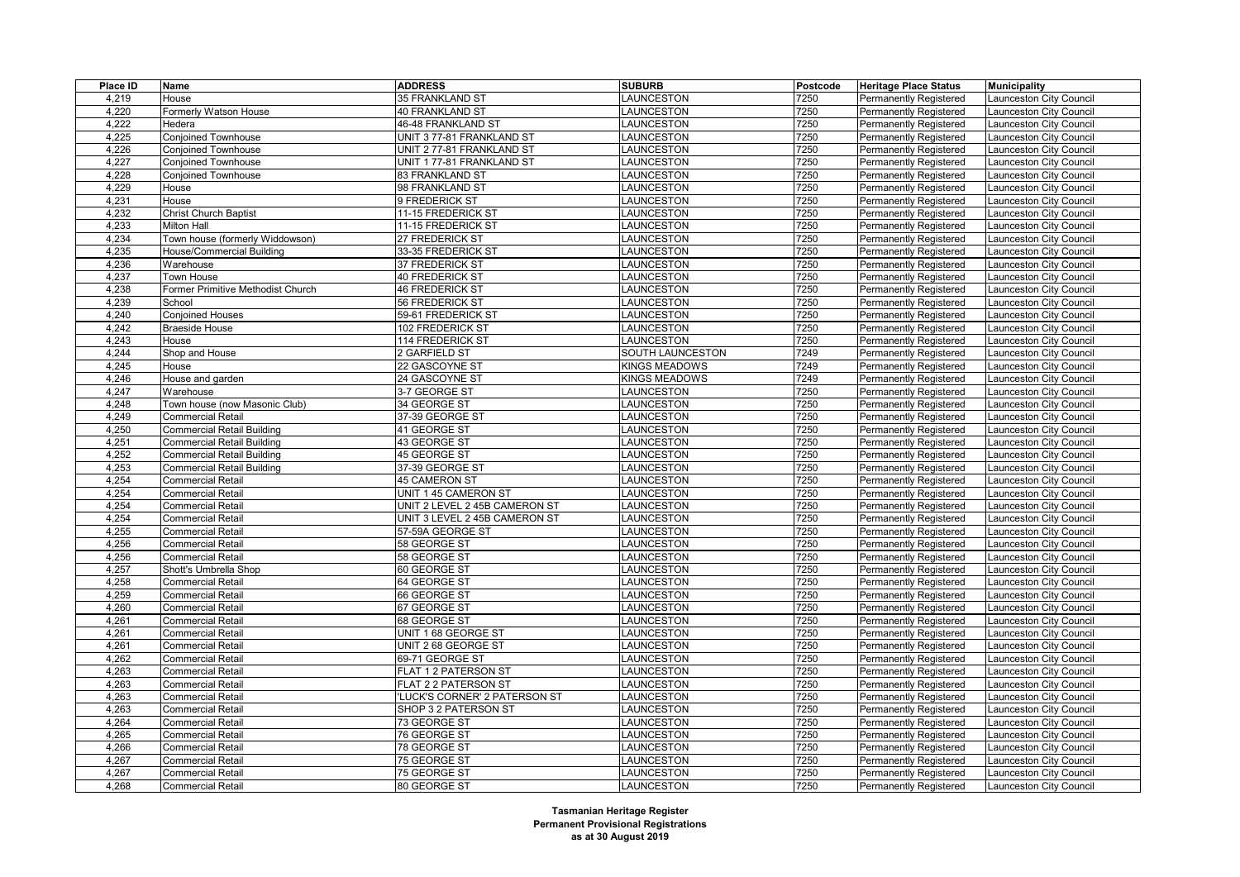|                                                                    | <b>SUBURB</b>        | Postcode | <b>Heritage Place Status</b>  | <b>Municipality</b>     |
|--------------------------------------------------------------------|----------------------|----------|-------------------------------|-------------------------|
| 4,219<br>35 FRANKLAND ST<br>House                                  | LAUNCESTON           | 7250     | <b>Permanently Registered</b> | aunceston City Council  |
| 4,220<br>40 FRANKLAND ST<br>Formerly Watson House                  | LAUNCESTON           | 7250     | <b>Permanently Registered</b> | Launceston City Council |
| 4,222<br>Hedera<br>46-48 FRANKLAND ST                              | LAUNCESTON           | 7250     | <b>Permanently Registered</b> | aunceston City Council  |
| 4,225<br>UNIT 377-81 FRANKLAND ST<br><b>Conjoined Townhouse</b>    | LAUNCESTON           | 7250     | Permanently Registered        | aunceston City Council  |
| 4,226<br>UNIT 2 77-81 FRANKLAND ST<br><b>Conjoined Townhouse</b>   | LAUNCESTON           | 7250     | <b>Permanently Registered</b> | Launceston City Council |
| 4,227<br>UNIT 177-81 FRANKLAND ST<br><b>Conjoined Townhouse</b>    | LAUNCESTON           | 7250     | Permanently Registered        | aunceston City Council  |
| 4,228<br>83 FRANKLAND ST<br><b>Conjoined Townhouse</b>             | LAUNCESTON           | 7250     | Permanently Registered        | aunceston City Council  |
| 4,229<br>98 FRANKLAND ST<br>House                                  | LAUNCESTON           | 7250     | <b>Permanently Registered</b> | Launceston City Council |
| 4,231<br>House<br>9 FREDERICK ST                                   | <b>AUNCESTON</b>     | 7250     | Permanently Registered        | aunceston City Council  |
| 4,232<br><b>Christ Church Baptist</b><br>11-15 FREDERICK ST        | LAUNCESTON           | 7250     | Permanently Registered        | aunceston City Council  |
| 4,233<br>11-15 FREDERICK ST<br><b>Milton Hall</b>                  | LAUNCESTON           | 7250     | <b>Permanently Registered</b> | Launceston City Council |
| 4,234<br>Town house (formerly Widdowson)<br>27 FREDERICK ST        | LAUNCESTON           | 7250     | Permanently Registered        | aunceston City Council  |
| 33-35 FREDERICK ST<br>4,235<br>House/Commercial Building           | LAUNCESTON           | 7250     | Permanently Registered        | aunceston City Council  |
| 4,236<br>37 FREDERICK ST<br>Warehouse                              | LAUNCESTON           | 7250     | <b>Permanently Registered</b> | Launceston City Council |
| 4,237<br>Town House<br>40 FREDERICK ST                             | LAUNCESTON           | 7250     | Permanently Registered        | aunceston City Council  |
| 4,238<br>46 FREDERICK ST<br>Former Primitive Methodist Church      | <b>AUNCESTON</b>     | 7250     | Permanently Registered        | aunceston City Council  |
| 4,239<br>School<br>56 FREDERICK ST                                 | LAUNCESTON           | 7250     | Permanently Registered        | Launceston City Council |
| 4,240<br><b>Conjoined Houses</b><br>59-61 FREDERICK ST             | <b>AUNCESTON</b>     | 7250     | Permanently Registered        | aunceston City Council  |
| 4,242<br><b>Braeside House</b><br>102 FREDERICK ST                 | LAUNCESTON           | 7250     | Permanently Registered        | aunceston City Council  |
| 4,243<br>House<br>114 FREDERICK ST                                 | LAUNCESTON           | 7250     | Permanently Registered        | aunceston City Council  |
| 4,244<br>Shop and House<br>2 GARFIELD ST                           | SOUTH LAUNCESTON     | 7249     | <b>Permanently Registered</b> | aunceston City Council  |
| 4,245<br>House<br>22 GASCOYNE ST                                   | KINGS MEADOWS        | 7249     | Permanently Registered        | aunceston City Council  |
| 4,246<br>24 GASCOYNE ST<br>House and garden                        | <b>KINGS MEADOWS</b> | 7249     | <b>Permanently Registered</b> | aunceston City Council  |
| 4,247<br>Warehouse<br>3-7 GEORGE ST                                | <b>AUNCESTON</b>     | 7250     | <b>Permanently Registered</b> | aunceston City Council  |
| 4,248<br>Town house (now Masonic Club)<br>34 GEORGE ST             | <b>AUNCESTON</b>     | 7250     | Permanently Registered        | aunceston City Council  |
| 4,249<br>Commercial Retail<br>37-39 GEORGE ST                      | <b>AUNCESTON</b>     | 7250     | Permanently Registered        | aunceston City Council  |
| <b>Commercial Retail Building</b><br>4,250<br>41 GEORGE ST         | LAUNCESTON           | 7250     | <b>Permanently Registered</b> | aunceston City Council  |
| <b>Commercial Retail Building</b><br>4,251<br>43 GEORGE ST         | LAUNCESTON           | 7250     | Permanently Registered        | aunceston City Council  |
| 4,252<br><b>Commercial Retail Building</b><br>45 GEORGE ST         | <b>AUNCESTON</b>     | 7250     | Permanently Registered        | aunceston City Council  |
| 4,253<br><b>Commercial Retail Building</b><br>37-39 GEORGE ST      | <b>AUNCESTON</b>     | 7250     | <b>Permanently Registered</b> | aunceston City Council  |
| 4,254<br><b>Commercial Retail</b><br>45 CAMERON ST                 | <b>AUNCESTON</b>     | 7250     | Permanently Registered        | aunceston City Council  |
| 4,254<br><b>Commercial Retail</b><br>UNIT 1 45 CAMERON ST          | <b>AUNCESTON</b>     | 7250     | Permanently Registered        | aunceston City Council  |
| 4,254<br><b>Commercial Retail</b><br>UNIT 2 LEVEL 2 45B CAMERON ST | LAUNCESTON           | 7250     | <b>Permanently Registered</b> | aunceston City Council  |
| 4,254<br><b>Commercial Retail</b><br>UNIT 3 LEVEL 2 45B CAMERON ST | LAUNCESTON           | 7250     | Permanently Registered        | aunceston City Council  |
| 4,255<br><b>Commercial Retail</b><br>57-59A GEORGE ST              | LAUNCESTON           | 7250     | Permanently Registered        | aunceston City Council  |
| 4,256<br><b>Commercial Retail</b><br>58 GEORGE ST                  | <b>AUNCESTON</b>     | 7250     | <b>Permanently Registered</b> | aunceston City Council  |
| 4,256<br><b>Commercial Retail</b><br>58 GEORGE ST                  | <b>AUNCESTON</b>     | 7250     | Permanently Registered        | aunceston City Council  |
| 4,257<br>60 GEORGE ST<br>Shott's Umbrella Shop                     | <b>AUNCESTON</b>     | 7250     | Permanently Registered        | aunceston City Council  |
| 4,258<br><b>Commercial Retail</b><br>64 GEORGE ST                  | <b>AUNCESTON</b>     | 7250     | <b>Permanently Registered</b> | aunceston City Council  |
| 4,259<br><b>Commercial Retail</b><br>66 GEORGE ST                  | LAUNCESTON           | 7250     | Permanently Registered        | aunceston City Council  |
| 4,260<br><b>Commercial Retail</b><br>67 GEORGE ST                  | LAUNCESTON           | 7250     | Permanently Registered        | aunceston City Council  |
| 4,261<br><b>Commercial Retail</b><br>68 GEORGE ST                  | LAUNCESTON           | 7250     | <b>Permanently Registered</b> | Launceston City Council |
| 4,261<br>Commercial Retail<br>UNIT 1 68 GEORGE ST                  | <b>AUNCESTON</b>     | 7250     | Permanently Registered        | aunceston City Council  |
| 4,261<br><b>Commercial Retail</b><br>UNIT 2 68 GEORGE ST           | <b>AUNCESTON</b>     | 7250     | Permanently Registered        | aunceston City Council  |
| 4,262<br><b>Commercial Retail</b><br>69-71 GEORGE ST               | <b>AUNCESTON</b>     | 7250     | <b>Permanently Registered</b> | aunceston City Council  |
| 4,263<br><b>Commercial Retail</b><br>FLAT 1 2 PATERSON ST          | LAUNCESTON           | 7250     | Permanently Registered        | aunceston City Council  |
| FLAT 2 2 PATERSON ST<br>4,263<br><b>Commercial Retail</b>          | LAUNCESTON           | 7250     | <b>Permanently Registered</b> | aunceston City Council  |
| 4,263<br><b>Commercial Retail</b><br>'LUCK'S CORNER' 2 PATERSON ST | LAUNCESTON           | 7250     | Permanently Registered        | Launceston City Council |
| 4,263<br><b>Commercial Retail</b><br>SHOP 3 2 PATERSON ST          | LAUNCESTON           | 7250     | <b>Permanently Registered</b> | aunceston City Council  |
| 4,264<br><b>Commercial Retail</b><br>73 GEORGE ST                  | LAUNCESTON           | 7250     | Permanently Registered        | aunceston City Council  |
| 4,265<br><b>Commercial Retail</b><br>76 GEORGE ST                  | <b>AUNCESTON</b>     | 7250     | <b>Permanently Registered</b> | aunceston City Council  |
| 4,266<br>78 GEORGE ST<br><b>Commercial Retail</b>                  | LAUNCESTON           | 7250     | <b>Permanently Registered</b> | aunceston City Council  |
| 4,267<br><b>Commercial Retail</b><br>75 GEORGE ST                  | <b>AUNCESTON</b>     | 7250     | Permanently Registered        | aunceston City Council  |
| 4,267<br>75 GEORGE ST<br><b>Commercial Retail</b>                  | <b>AUNCESTON</b>     | 7250     | <b>Permanently Registered</b> | Launceston City Council |
| 4,268<br><b>Commercial Retail</b><br>80 GEORGE ST                  | LAUNCESTON           | 7250     | <b>Permanently Registered</b> | Launceston City Council |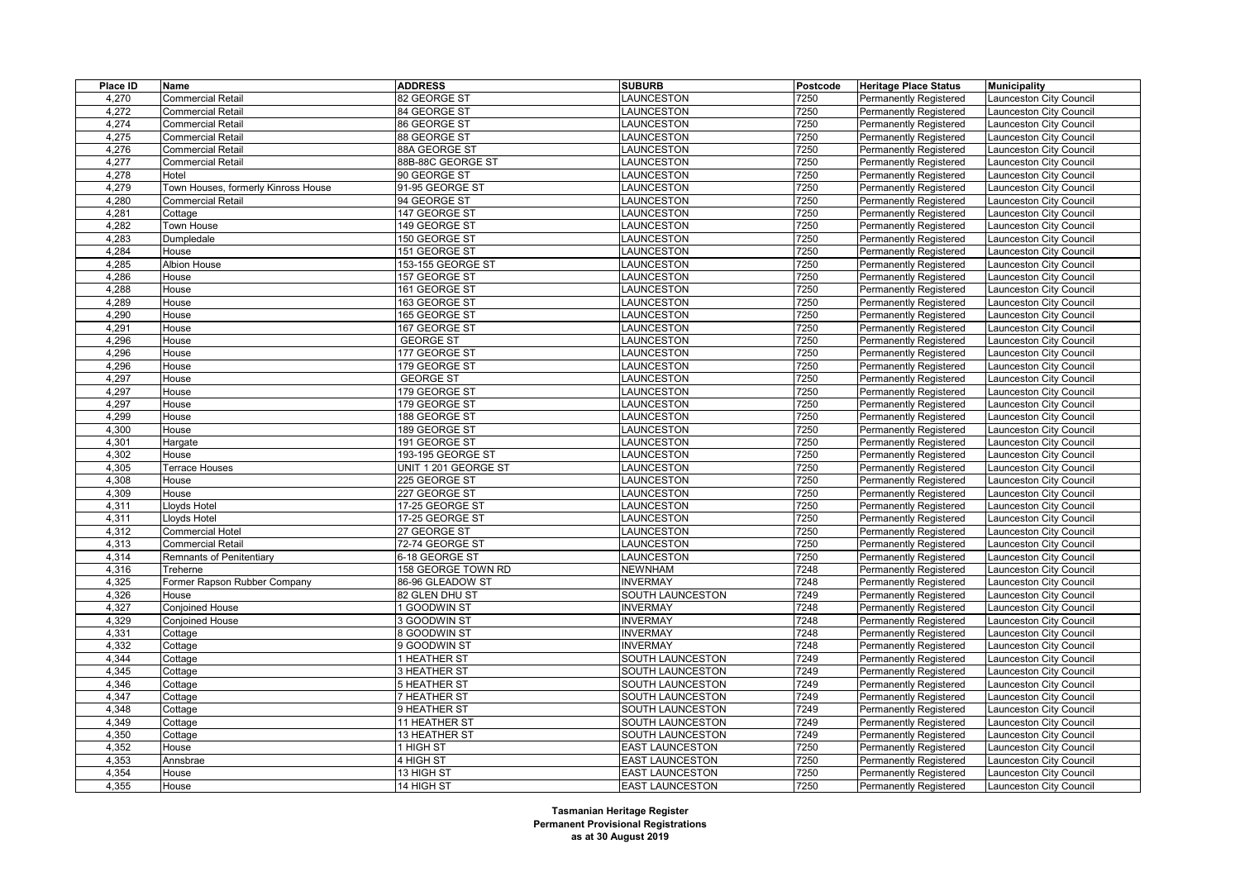| Place ID | Name                                | <b>ADDRESS</b>       | <b>SUBURB</b>          | Postcode | <b>Heritage Place Status</b>  | <b>Municipality</b>            |
|----------|-------------------------------------|----------------------|------------------------|----------|-------------------------------|--------------------------------|
| 4,270    | <b>Commercial Retail</b>            | 82 GEORGE ST         | LAUNCESTON             | 7250     | <b>Permanently Registered</b> | Launceston City Council        |
| 4,272    | <b>Commercial Retail</b>            | 84 GEORGE ST         | LAUNCESTON             | 7250     | Permanently Registered        | Launceston City Council        |
| 4,274    | <b>Commercial Retail</b>            | 86 GEORGE ST         | LAUNCESTON             | 7250     | Permanently Registered        | Launceston City Council        |
| 4,275    | <b>Commercial Retail</b>            | 88 GEORGE ST         | LAUNCESTON             | 7250     | <b>Permanently Registered</b> | Launceston City Council        |
| 4,276    | <b>Commercial Retail</b>            | 88A GEORGE ST        | LAUNCESTON             | 7250     | Permanently Registered        | <b>Launceston City Council</b> |
| 4,277    | <b>Commercial Retail</b>            | 88B-88C GEORGE ST    | LAUNCESTON             | 7250     | <b>Permanently Registered</b> | Launceston City Council        |
| 4,278    | Hotel                               | 90 GEORGE ST         | LAUNCESTON             | 7250     | <b>Permanently Registered</b> | Launceston City Council        |
| 4,279    | Town Houses, formerly Kinross House | 91-95 GEORGE ST      | LAUNCESTON             | 7250     | Permanently Registered        | <b>Launceston City Council</b> |
| 4,280    | Commercial Retail                   | 94 GEORGE ST         | LAUNCESTON             | 7250     | <b>Permanently Registered</b> | Launceston City Council        |
| 4,281    | Cottage                             | 147 GEORGE ST        | LAUNCESTON             | 7250     | <b>Permanently Registered</b> | Launceston City Council        |
| 4,282    | Town House                          | 149 GEORGE ST        | LAUNCESTON             | 7250     | Permanently Registered        | <b>Launceston City Council</b> |
| 4,283    | Dumpledale                          | 150 GEORGE ST        | LAUNCESTON             | 7250     | <b>Permanently Registered</b> | Launceston City Council        |
| 4,284    | House                               | 151 GEORGE ST        | LAUNCESTON             | 7250     | <b>Permanently Registered</b> | Launceston City Council        |
| 4,285    | <b>Albion House</b>                 | 153-155 GEORGE ST    | LAUNCESTON             | 7250     | <b>Permanently Registered</b> | <b>Launceston City Council</b> |
| 4,286    | House                               | 157 GEORGE ST        | LAUNCESTON             | 7250     | <b>Permanently Registered</b> | Launceston City Council        |
| 4,288    | House                               | 161 GEORGE ST        | LAUNCESTON             | 7250     | <b>Permanently Registered</b> | Launceston City Council        |
| 4,289    | House                               | 163 GEORGE ST        | LAUNCESTON             | 7250     | <b>Permanently Registered</b> | Launceston City Council        |
| 4,290    | House                               | 165 GEORGE ST        | LAUNCESTON             | 7250     | <b>Permanently Registered</b> | Launceston City Council        |
| 4,291    | House                               | 167 GEORGE ST        | LAUNCESTON             | 7250     | <b>Permanently Registered</b> | Launceston City Council        |
| 4,296    | House                               | <b>GEORGE ST</b>     | LAUNCESTON             | 7250     | <b>Permanently Registered</b> | Launceston City Council        |
| 4,296    | House                               | 177 GEORGE ST        | LAUNCESTON             | 7250     | <b>Permanently Registered</b> | Launceston City Council        |
| 4,296    | House                               | 179 GEORGE ST        | LAUNCESTON             | 7250     | <b>Permanently Registered</b> | Launceston City Council        |
| 4,297    | House                               | <b>GEORGE ST</b>     | LAUNCESTON             | 7250     | <b>Permanently Registered</b> | Launceston City Council        |
| 4,297    | House                               | 179 GEORGE ST        | LAUNCESTON             | 7250     | <b>Permanently Registered</b> | Launceston City Council        |
| 4,297    | House                               | 179 GEORGE ST        | LAUNCESTON             | 7250     | <b>Permanently Registered</b> | Launceston City Council        |
| 4,299    | House                               | 188 GEORGE ST        | LAUNCESTON             | 7250     | <b>Permanently Registered</b> | Launceston City Council        |
| 4,300    | House                               | 189 GEORGE ST        | LAUNCESTON             | 7250     | <b>Permanently Registered</b> | Launceston City Council        |
| 4,301    | Hargate                             | 191 GEORGE ST        | LAUNCESTON             | 7250     | Permanently Registered        | <b>Launceston City Council</b> |
| 4,302    | House                               | 193-195 GEORGE ST    | LAUNCESTON             | 7250     | <b>Permanently Registered</b> | <b>Launceston City Council</b> |
| 4,305    | Terrace Houses                      | UNIT 1 201 GEORGE ST | LAUNCESTON             | 7250     | <b>Permanently Registered</b> | Launceston City Council        |
| 4,308    | House                               | 225 GEORGE ST        | LAUNCESTON             | 7250     | Permanently Registered        | Launceston City Council        |
| 4,309    | House                               | 227 GEORGE ST        | LAUNCESTON             | 7250     | <b>Permanently Registered</b> | Launceston City Council        |
| 4,311    | Lloyds Hotel                        | 17-25 GEORGE ST      | LAUNCESTON             | 7250     | Permanently Registered        | Launceston City Council        |
| 4,311    | Lloyds Hotel                        | 17-25 GEORGE ST      | LAUNCESTON             | 7250     | <b>Permanently Registered</b> | <b>Launceston City Council</b> |
| 4,312    | <b>Commercial Hotel</b>             | 27 GEORGE ST         | LAUNCESTON             | 7250     | <b>Permanently Registered</b> | <b>Launceston City Council</b> |
| 4,313    | <b>Commercial Retail</b>            | 72-74 GEORGE ST      | <b>AUNCESTON</b>       | 7250     | <b>Permanently Registered</b> | Launceston City Council        |
| 4,314    | <b>Remnants of Penitentiary</b>     | 6-18 GEORGE ST       | LAUNCESTON             | 7250     | Permanently Registered        | <b>Launceston City Council</b> |
| 4,316    | Treherne                            | 158 GEORGE TOWN RD   | <b>NEWNHAM</b>         | 7248     | <b>Permanently Registered</b> | Launceston City Council        |
| 4,325    | Former Rapson Rubber Company        | 86-96 GLEADOW ST     | <b>INVERMAY</b>        | 7248     | Permanently Registered        | Launceston City Council        |
| 4,326    | House                               | 82 GLEN DHU ST       | SOUTH LAUNCESTON       | 7249     | <b>Permanently Registered</b> | Launceston City Council        |
| 4,327    | <b>Conjoined House</b>              | 1 GOODWIN ST         | <b>INVERMAY</b>        | 7248     | <b>Permanently Registered</b> | Launceston City Council        |
| 4,329    | Conjoined House                     | 3 GOODWIN ST         | <b>INVERMAY</b>        | 7248     | <b>Permanently Registered</b> | Launceston City Council        |
| 4,331    | Cottage                             | 8 GOODWIN ST         | <b>INVERMAY</b>        | 7248     | <b>Permanently Registered</b> | <b>Launceston City Council</b> |
| 4,332    | Cottage                             | 9 GOODWIN ST         | <b>INVERMAY</b>        | 7248     | <b>Permanently Registered</b> | Launceston City Council        |
| 4,344    | Cottage                             | 1 HEATHER ST         | SOUTH LAUNCESTON       | 7249     | <b>Permanently Registered</b> | Launceston City Council        |
| 4,345    | Cottage                             | 3 HEATHER ST         | SOUTH LAUNCESTON       | 7249     | <b>Permanently Registered</b> | Launceston City Council        |
| 4,346    | Cottage                             | 5 HEATHER ST         | SOUTH LAUNCESTON       | 7249     | <b>Permanently Registered</b> | Launceston City Council        |
| 4,347    | Cottage                             | 7 HEATHER ST         | SOUTH LAUNCESTON       | 7249     | <b>Permanently Registered</b> | Launceston City Council        |
| 4,348    | Cottage                             | 9 HEATHER ST         | SOUTH LAUNCESTON       | 7249     | <b>Permanently Registered</b> | Launceston City Council        |
| 4,349    | Cottage                             | 11 HEATHER ST        | SOUTH LAUNCESTON       | 7249     | <b>Permanently Registered</b> | Launceston City Council        |
| 4,350    | Cottage                             | 13 HEATHER ST        | SOUTH LAUNCESTON       | 7249     | <b>Permanently Registered</b> | Launceston City Council        |
| 4,352    | House                               | 1 HIGH ST            | <b>EAST LAUNCESTON</b> | 7250     | <b>Permanently Registered</b> | Launceston City Council        |
| 4,353    | Annsbrae                            | 4 HIGH ST            | <b>EAST LAUNCESTON</b> | 7250     | <b>Permanently Registered</b> | Launceston City Council        |
| 4,354    | House                               | 13 HIGH ST           | <b>EAST LAUNCESTON</b> | 7250     | <b>Permanently Registered</b> | Launceston City Council        |
| 4,355    | House                               | 14 HIGH ST           | <b>EAST LAUNCESTON</b> | 7250     | <b>Permanently Registered</b> | Launceston City Council        |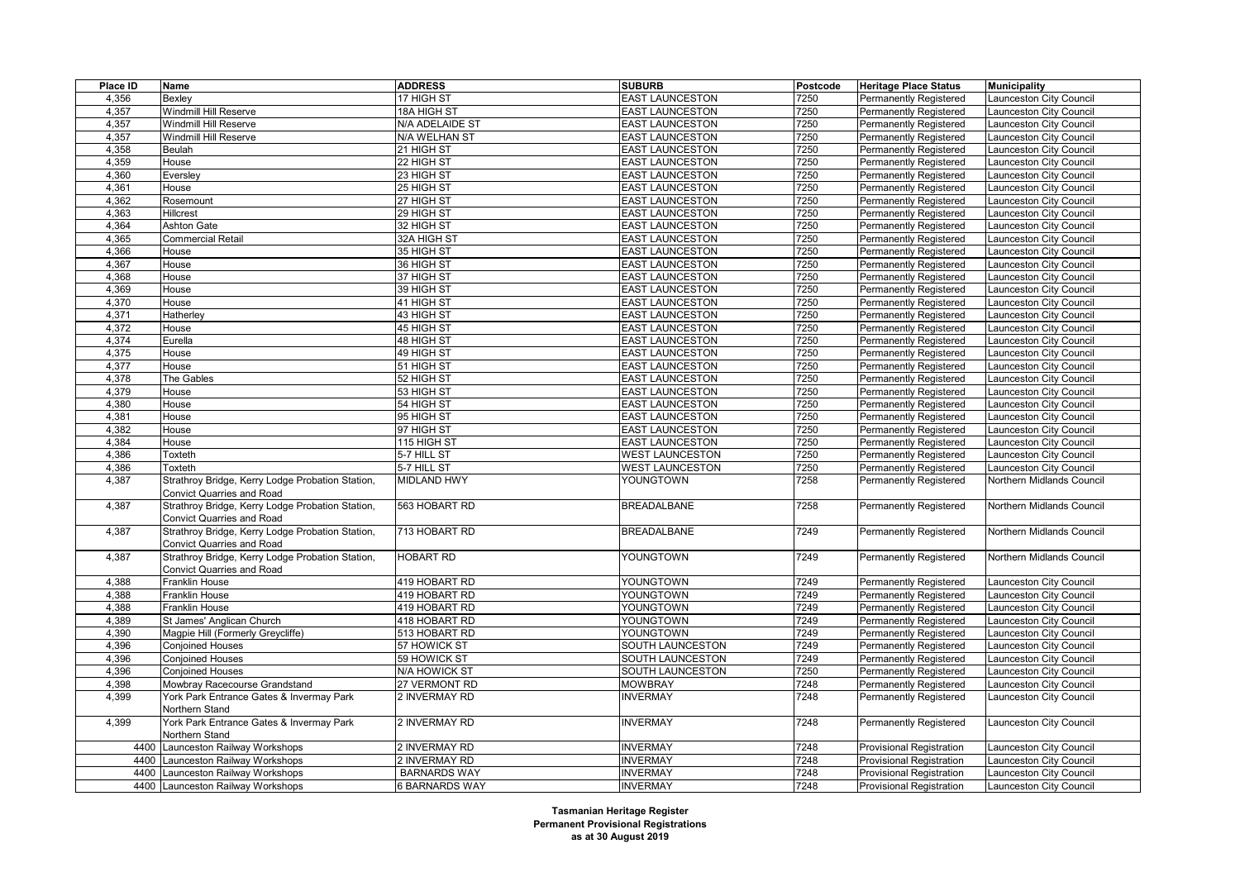| Place ID       | Name                                                                          | <b>ADDRESS</b>                 | <b>SUBURB</b>                 | Postcode     | <b>Heritage Place Status</b>                                   | <b>Municipality</b>                              |
|----------------|-------------------------------------------------------------------------------|--------------------------------|-------------------------------|--------------|----------------------------------------------------------------|--------------------------------------------------|
| 4,356          | Bexley                                                                        | 17 HIGH ST                     | <b>EAST LAUNCESTON</b>        | 7250         | <b>Permanently Registered</b>                                  | aunceston City Council                           |
| 4,357          | Windmill Hill Reserve                                                         | 18A HIGH ST                    | <b>EAST LAUNCESTON</b>        | 7250         | Permanently Registered                                         | aunceston City Council                           |
| 4,357          | Windmill Hill Reserve                                                         | N/A ADELAIDE ST                | <b>EAST LAUNCESTON</b>        | 7250         | <b>Permanently Registered</b>                                  | aunceston City Council                           |
| 4,357          | Windmill Hill Reserve                                                         | N/A WELHAN ST                  | <b>EAST LAUNCESTON</b>        | 7250         | <b>Permanently Registered</b>                                  | aunceston City Council                           |
| 4,358          | Beulah                                                                        | 21 HIGH ST                     | <b>EAST LAUNCESTON</b>        | 7250         | Permanently Registered                                         | aunceston City Council                           |
| 4,359          | House                                                                         | 22 HIGH ST                     | <b>EAST LAUNCESTON</b>        | 7250         | <b>Permanently Registered</b>                                  | aunceston City Council                           |
| 4,360          | Eversley                                                                      | 23 HIGH ST                     | <b>EAST LAUNCESTON</b>        | 7250         | <b>Permanently Registered</b>                                  | aunceston City Council                           |
| 4,361          | House                                                                         | 25 HIGH ST                     | <b>EAST LAUNCESTON</b>        | 7250         | Permanently Registered                                         | aunceston City Council                           |
| 4,362          | Rosemount                                                                     | 27 HIGH ST                     | <b>EAST LAUNCESTON</b>        | 7250         | <b>Permanently Registered</b>                                  | aunceston City Council                           |
| 4,363          | Hillcrest                                                                     | 29 HIGH ST                     | <b>EAST LAUNCESTON</b>        | 7250         | <b>Permanently Registered</b>                                  | aunceston City Council                           |
| 4,364          | Ashton Gate                                                                   | 32 HIGH ST                     | <b>EAST LAUNCESTON</b>        | 7250         | Permanently Registered                                         | aunceston City Council                           |
| 4,365          | <b>Commercial Retail</b>                                                      | 32A HIGH ST                    | <b>EAST LAUNCESTON</b>        | 7250         | <b>Permanently Registered</b>                                  | aunceston City Council                           |
| 4,366          | House                                                                         | 35 HIGH ST                     | <b>EAST LAUNCESTON</b>        | 7250         | <b>Permanently Registered</b>                                  | aunceston City Council                           |
| 4,367          | House                                                                         | 36 HIGH ST                     | <b>EAST LAUNCESTON</b>        | 7250         | Permanently Registered                                         | aunceston City Council                           |
| 4,368          | House                                                                         | 37 HIGH ST                     | <b>EAST LAUNCESTON</b>        | 7250         | <b>Permanently Registered</b>                                  | aunceston City Council                           |
| 4,369          | House                                                                         | 39 HIGH ST                     | <b>EAST LAUNCESTON</b>        | 7250         | <b>Permanently Registered</b>                                  | aunceston City Council                           |
| 4,370          | House                                                                         | 41 HIGH ST                     | <b>EAST LAUNCESTON</b>        | 7250         | <b>Permanently Registered</b>                                  | aunceston City Council                           |
| 4,371          | Hatherley                                                                     | 43 HIGH ST                     | <b>EAST LAUNCESTON</b>        | 7250         | <b>Permanently Registered</b>                                  | aunceston City Council                           |
| 4,372          | House                                                                         | 45 HIGH ST                     | <b>EAST LAUNCESTON</b>        | 7250         | <b>Permanently Registered</b>                                  | aunceston City Council                           |
| 4,374          | Eurella                                                                       | 48 HIGH ST                     | <b>EAST LAUNCESTON</b>        | 7250         | <b>Permanently Registered</b>                                  | aunceston City Council                           |
| 4,375          | House                                                                         | 49 HIGH ST                     | <b>EAST LAUNCESTON</b>        | 7250         | <b>Permanently Registered</b>                                  | aunceston City Council                           |
| 4,377          | House                                                                         | 51 HIGH ST                     | <b>EAST LAUNCESTON</b>        | 7250         | <b>Permanently Registered</b>                                  | aunceston City Council                           |
| 4,378          | The Gables                                                                    | 52 HIGH ST                     | <b>EAST LAUNCESTON</b>        | 7250         | <b>Permanently Registered</b>                                  | aunceston City Council                           |
| 4,379          | House                                                                         | 53 HIGH ST                     | <b>EAST LAUNCESTON</b>        | 7250         | <b>Permanently Registered</b>                                  | aunceston City Council                           |
| 4,380          | House                                                                         | 54 HIGH ST                     | <b>EAST LAUNCESTON</b>        | 7250         | <b>Permanently Registered</b>                                  | aunceston City Council                           |
| 4,381          | House                                                                         | 95 HIGH ST                     | <b>EAST LAUNCESTON</b>        | 7250         | <b>Permanently Registered</b>                                  | aunceston City Council                           |
| 4,382          | House                                                                         | 97 HIGH ST                     | <b>EAST LAUNCESTON</b>        | 7250         | <b>Permanently Registered</b>                                  | aunceston City Council                           |
| 4,384          | House                                                                         | 115 HIGH ST                    | <b>EAST LAUNCESTON</b>        | 7250         | <b>Permanently Registered</b>                                  | aunceston City Council                           |
| 4,386          | Toxteth                                                                       | 5-7 HILL ST                    | <b>WEST LAUNCESTON</b>        | 7250         | <b>Permanently Registered</b>                                  | aunceston City Council                           |
| 4,386          | Toxteth                                                                       | 5-7 HILL ST                    | <b>WEST LAUNCESTON</b>        | 7250         | <b>Permanently Registered</b>                                  | aunceston City Council                           |
| 4,387          | Strathroy Bridge, Kerry Lodge Probation Station,                              | <b>MIDLAND HWY</b>             | YOUNGTOWN                     | 7258         | Permanently Registered                                         | Northern Midlands Council                        |
|                | <b>Convict Quarries and Road</b>                                              |                                |                               |              |                                                                |                                                  |
| 4,387          | Strathroy Bridge, Kerry Lodge Probation Station,<br>Convict Quarries and Road | 563 HOBART RD                  | <b>BREADALBANE</b>            | 7258         | <b>Permanently Registered</b>                                  | Northern Midlands Council                        |
| 4,387          | Strathroy Bridge, Kerry Lodge Probation Station,                              | 713 HOBART RD                  | <b>BREADALBANE</b>            | 7249         | <b>Permanently Registered</b>                                  | Northern Midlands Council                        |
| 4,387          | Convict Quarries and Road                                                     | <b>HOBART RD</b>               |                               |              |                                                                |                                                  |
|                | Strathroy Bridge, Kerry Lodge Probation Station,                              |                                | YOUNGTOWN                     | 7249         | <b>Permanently Registered</b>                                  | Northern Midlands Council                        |
|                | <b>Convict Quarries and Road</b>                                              | 419 HOBART RD                  |                               | 7249         |                                                                |                                                  |
| 4,388          | Franklin House                                                                |                                | YOUNGTOWN                     |              | <b>Permanently Registered</b>                                  | aunceston City Council                           |
| 4,388<br>4,388 | Franklin House<br>Franklin House                                              | 419 HOBART RD<br>419 HOBART RD | YOUNGTOWN<br>YOUNGTOWN        | 7249<br>7249 | <b>Permanently Registered</b>                                  | aunceston City Council                           |
|                |                                                                               |                                |                               | 7249         | Permanently Registered                                         | aunceston City Council                           |
| 4,389          | St James' Anglican Church<br>Magpie Hill (Formerly Greycliffe)                | 418 HOBART RD                  | YOUNGTOWN                     | 7249         | <b>Permanently Registered</b>                                  | aunceston City Council                           |
| 4,390          | <b>Conjoined Houses</b>                                                       | 513 HOBART RD<br>57 HOWICK ST  | YOUNGTOWN<br>SOUTH LAUNCESTON | 7249         | <b>Permanently Registered</b>                                  | aunceston City Council                           |
| 4,396<br>4,396 |                                                                               | 59 HOWICK ST                   | SOUTH LAUNCESTON              | 7249         | Permanently Registered                                         | aunceston City Council                           |
| 4,396          | <b>Conjoined Houses</b><br><b>Conjoined Houses</b>                            | N/A HOWICK ST                  | SOUTH LAUNCESTON              | 7250         | <b>Permanently Registered</b><br><b>Permanently Registered</b> | aunceston City Council<br>aunceston City Council |
| 4,398          | Mowbray Racecourse Grandstand                                                 | 27 VERMONT RD                  | <b>MOWBRAY</b>                | 7248         | Permanently Registered                                         | aunceston City Council                           |
| 4,399          | York Park Entrance Gates & Invermay Park                                      | 2 INVERMAY RD                  | <b>INVERMAY</b>               | 7248         | <b>Permanently Registered</b>                                  | Launceston City Council                          |
|                | Northern Stand                                                                |                                |                               |              |                                                                |                                                  |
| 4,399          | York Park Entrance Gates & Invermay Park<br>Northern Stand                    | 2 INVERMAY RD                  | <b>INVERMAY</b>               | 7248         | Permanently Registered                                         | Launceston City Council                          |
| 4400           | Launceston Railway Workshops                                                  | 2 INVERMAY RD                  | <b>INVERMAY</b>               | 7248         | Provisional Registration                                       | aunceston City Council                           |
| 4400           | Launceston Railway Workshops                                                  | 2 INVERMAY RD                  | <b>INVERMAY</b>               | 7248         | Provisional Registration                                       | aunceston City Council                           |
|                | 4400 Launceston Railway Workshops                                             | <b>BARNARDS WAY</b>            | <b>INVERMAY</b>               | 7248         | <b>Provisional Registration</b>                                | aunceston City Council                           |
|                | 4400 Launceston Railway Workshops                                             | 6 BARNARDS WAY                 | <b>INVERMAY</b>               | 7248         | <b>Provisional Registration</b>                                | Launceston City Council                          |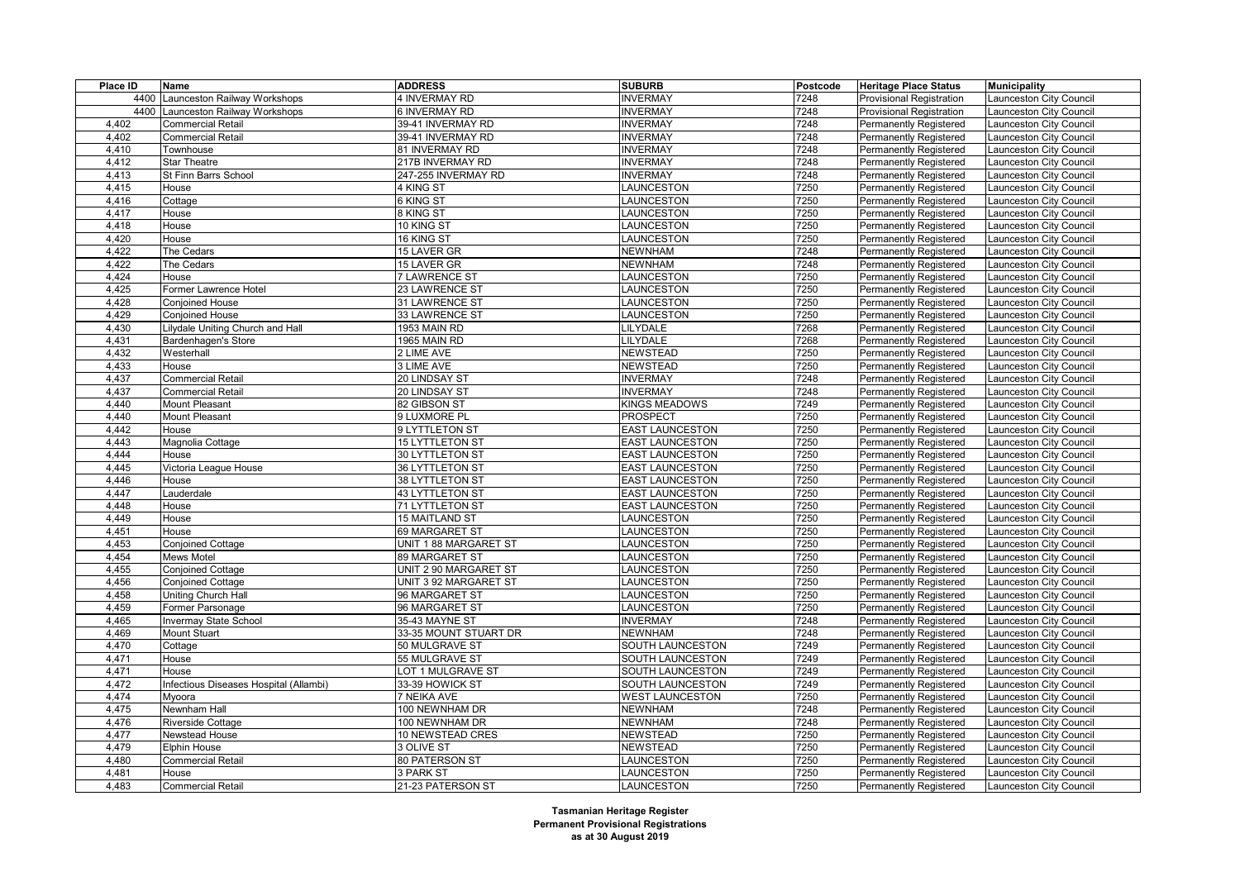| Place ID | Name                                   | <b>ADDRESS</b>        | <b>SUBURB</b>          | Postcode | <b>Heritage Place Status</b>    | <b>Municipality</b>     |
|----------|----------------------------------------|-----------------------|------------------------|----------|---------------------------------|-------------------------|
| 4400     | Launceston Railway Workshops           | 4 INVERMAY RD         | <b>INVERMAY</b>        | 7248     | Provisional Registration        | aunceston City Council  |
| 4400     | Launceston Railway Workshops           | <b>6 INVERMAY RD</b>  | <b>NVERMAY</b>         | 7248     | <b>Provisional Registration</b> | aunceston City Council  |
| 4,402    | <b>Commercial Retail</b>               | 39-41 INVERMAY RD     | <b>INVERMAY</b>        | 7248     | <b>Permanently Registered</b>   | aunceston City Council  |
| 4,402    | <b>Commercial Retail</b>               | 39-41 INVERMAY RD     | <b>INVERMAY</b>        | 7248     | Permanently Registered          | aunceston City Council  |
| 4,410    | Townhouse                              | 81 INVERMAY RD        | <b>INVERMAY</b>        | 7248     | <b>Permanently Registered</b>   | aunceston City Council  |
| 4,412    | <b>Star Theatre</b>                    | 217B INVERMAY RD      | <b>INVERMAY</b>        | 7248     | <b>Permanently Registered</b>   | Launceston City Council |
| 4,413    | St Finn Barrs School                   | 247-255 INVERMAY RD   | <b>INVERMAY</b>        | 7248     | <b>Permanently Registered</b>   | aunceston City Council  |
| 4,415    | House                                  | 4 KING ST             | LAUNCESTON             | 7250     | <b>Permanently Registered</b>   | aunceston City Council  |
| 4,416    | Cottage                                | 6 KING ST             | LAUNCESTON             | 7250     | Permanently Registered          | aunceston City Council  |
| 4,417    | House                                  | 8 KING ST             | LAUNCESTON             | 7250     | Permanently Registered          | aunceston City Council  |
| 4,418    | House                                  | 10 KING ST            | LAUNCESTON             | 7250     | <b>Permanently Registered</b>   | Launceston City Council |
| 4,420    | House                                  | 16 KING ST            | LAUNCESTON             | 7250     | Permanently Registered          | Launceston City Council |
| 4,422    | The Cedars                             | 15 LAVER GR           | <b>NEWNHAM</b>         | 7248     | Permanently Registered          | Launceston City Council |
| 4,422    | The Cedars                             | 15 LAVER GR           | <b>NEWNHAM</b>         | 7248     | <b>Permanently Registered</b>   | aunceston City Council  |
| 4,424    | House                                  | 7 LAWRENCE ST         | LAUNCESTON             | 7250     | <b>Permanently Registered</b>   | aunceston City Council  |
| 4,425    | Former Lawrence Hotel                  | 23 LAWRENCE ST        | LAUNCESTON             | 7250     | Permanently Registered          | aunceston City Council  |
| 4,428    | <b>Conjoined House</b>                 | 31 LAWRENCE ST        | LAUNCESTON             | 7250     | <b>Permanently Registered</b>   | aunceston City Council  |
| 4,429    | <b>Conjoined House</b>                 | 33 LAWRENCE ST        | LAUNCESTON             | 7250     | <b>Permanently Registered</b>   | aunceston City Council  |
| 4,430    | Lilydale Uniting Church and Hall       | 1953 MAIN RD          | <b>ILYDALE</b>         | 7268     | <b>Permanently Registered</b>   | aunceston City Council  |
| 4,431    | Bardenhagen's Store                    | 1965 MAIN RD          | <b>LILYDALE</b>        | 7268     | <b>Permanently Registered</b>   | aunceston City Council  |
| 4,432    | Westerhall                             | 2 LIME AVE            | <b>NEWSTEAD</b>        | 7250     | <b>Permanently Registered</b>   | aunceston City Council  |
| 4,433    | House                                  | 3 LIME AVE            | <b>NEWSTEAD</b>        | 7250     | <b>Permanently Registered</b>   | aunceston City Council  |
| 4,437    | <b>Commercial Retail</b>               | 20 LINDSAY ST         | <b>INVERMAY</b>        | 7248     | <b>Permanently Registered</b>   | aunceston City Council  |
| 4,437    | <b>Commercial Retail</b>               | 20 LINDSAY ST         | <b>INVERMAY</b>        | 7248     | <b>Permanently Registered</b>   | aunceston City Council  |
| 4,440    | Mount Pleasant                         | 82 GIBSON ST          | KINGS MEADOWS          | 7249     | <b>Permanently Registered</b>   | aunceston City Council  |
| 4,440    | <b>Mount Pleasant</b>                  | 9 LUXMORE PL          | PROSPECT               | 7250     | <b>Permanently Registered</b>   | aunceston City Council  |
| 4,442    | House                                  | 9 LYTTLETON ST        | <b>EAST LAUNCESTON</b> | 7250     | <b>Permanently Registered</b>   | aunceston City Council  |
| 4,443    | Magnolia Cottage                       | 15 LYTTLETON ST       | <b>EAST LAUNCESTON</b> | 7250     | Permanently Registered          | aunceston City Council  |
| 4,444    | House                                  | 30 LYTTLETON ST       | <b>EAST LAUNCESTON</b> | 7250     | <b>Permanently Registered</b>   | aunceston City Council  |
| 4,445    | Victoria League House                  | 36 LYTTLETON ST       | <b>EAST LAUNCESTON</b> | 7250     | <b>Permanently Registered</b>   | aunceston City Council  |
| 4,446    | House                                  | 38 LYTTLETON ST       | <b>EAST LAUNCESTON</b> | 7250     | Permanently Registered          | aunceston City Council  |
| 4,447    | Lauderdale                             | 43 LYTTLETON ST       | <b>EAST LAUNCESTON</b> | 7250     | <b>Permanently Registered</b>   | aunceston City Council  |
| 4,448    | House                                  | 71 LYTTLETON ST       | <b>EAST LAUNCESTON</b> | 7250     | <b>Permanently Registered</b>   | aunceston City Council  |
| 4,449    | House                                  | 15 MAITLAND ST        | LAUNCESTON             | 7250     | <b>Permanently Registered</b>   | aunceston City Council  |
| 4,451    | House                                  | 69 MARGARET ST        | <b>LAUNCESTON</b>      | 7250     | <b>Permanently Registered</b>   | aunceston City Council  |
| 4,453    | <b>Conjoined Cottage</b>               | UNIT 1 88 MARGARET ST | LAUNCESTON             | 7250     | Permanently Registered          | aunceston City Council  |
| 4,454    | <b>Mews Motel</b>                      | 89 MARGARET ST        | LAUNCESTON             | 7250     | Permanently Registered          | aunceston City Council  |
| 4,455    | <b>Conjoined Cottage</b>               | UNIT 2 90 MARGARET ST | LAUNCESTON             | 7250     | <b>Permanently Registered</b>   | aunceston City Council  |
| 4,456    | <b>Conjoined Cottage</b>               | UNIT 3 92 MARGARET ST | LAUNCESTON             | 7250     | <b>Permanently Registered</b>   | aunceston City Council  |
| 4,458    | <b>Uniting Church Hall</b>             | 96 MARGARET ST        | LAUNCESTON             | 7250     | <b>Permanently Registered</b>   | aunceston City Council  |
| 4,459    | Former Parsonage                       | 96 MARGARET ST        | LAUNCESTON             | 7250     | <b>Permanently Registered</b>   | aunceston City Council  |
| 4,465    | <b>Invermay State School</b>           | 35-43 MAYNE ST        | <b>INVERMAY</b>        | 7248     | <b>Permanently Registered</b>   | aunceston City Council  |
| 4,469    | <b>Mount Stuart</b>                    | 33-35 MOUNT STUART DR | <b>NEWNHAM</b>         | 7248     | <b>Permanently Registered</b>   | aunceston City Council  |
| 4,470    | Cottage                                | 50 MULGRAVE ST        | SOUTH LAUNCESTON       | 7249     | <b>Permanently Registered</b>   | aunceston City Council  |
| 4,471    | House                                  | 55 MULGRAVE ST        | SOUTH LAUNCESTON       | 7249     | <b>Permanently Registered</b>   | aunceston City Council  |
| 4,471    | House                                  | LOT 1 MULGRAVE ST     | SOUTH LAUNCESTON       | 7249     | <b>Permanently Registered</b>   | Launceston City Council |
| 4,472    | Infectious Diseases Hospital (Allambi) | 33-39 HOWICK ST       | SOUTH LAUNCESTON       | 7249     | Permanently Registered          | aunceston City Council  |
| 4,474    | Myoora                                 | 7 NEIKA AVE           | <b>WEST LAUNCESTON</b> | 7250     | <b>Permanently Registered</b>   | aunceston City Council  |
| 4,475    | Newnham Hall                           | 100 NEWNHAM DR        | <b>NEWNHAM</b>         | 7248     | <b>Permanently Registered</b>   | aunceston City Council  |
| 4,476    | <b>Riverside Cottage</b>               | 100 NEWNHAM DR        | <b>NEWNHAM</b>         | 7248     | <b>Permanently Registered</b>   | aunceston City Council  |
| 4,477    | Newstead House                         | 10 NEWSTEAD CRES      | <b>NEWSTEAD</b>        | 7250     | <b>Permanently Registered</b>   | aunceston City Council  |
| 4,479    | <b>Elphin House</b>                    | 3 OLIVE ST            | <b>NEWSTEAD</b>        | 7250     | <b>Permanently Registered</b>   | Launceston City Council |
| 4,480    | <b>Commercial Retail</b>               | 80 PATERSON ST        | LAUNCESTON             | 7250     | <b>Permanently Registered</b>   | aunceston City Council  |
| 4.481    | House                                  | 3 PARK ST             | LAUNCESTON             | 7250     | <b>Permanently Registered</b>   | Launceston City Council |
| 4,483    | <b>Commercial Retail</b>               | 21-23 PATERSON ST     | <b>LAUNCESTON</b>      | 7250     | <b>Permanently Registered</b>   | Launceston City Council |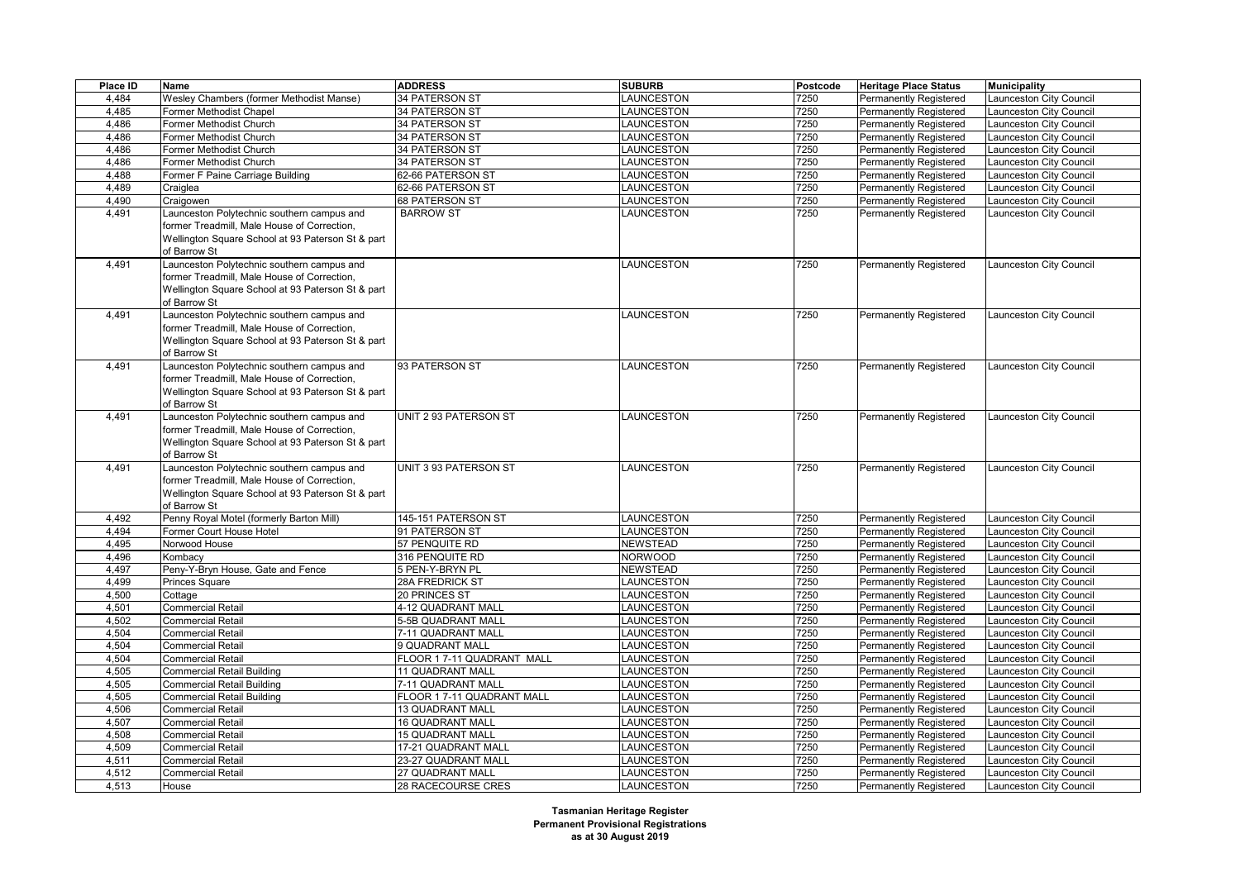| Place ID | <b>Name</b>                                       | <b>ADDRESS</b>             | <b>SUBURB</b>     | Postcode | <b>Heritage Place Status</b> | <b>Municipality</b>     |
|----------|---------------------------------------------------|----------------------------|-------------------|----------|------------------------------|-------------------------|
| 4,484    | Wesley Chambers (former Methodist Manse)          | <b>34 PATERSON ST</b>      | <b>AUNCESTON</b>  | 7250     | Permanently Registered       | aunceston City Council  |
| 4.485    | Former Methodist Chapel                           | 34 PATERSON ST             | LAUNCESTON        | 7250     | Permanently Registered       | aunceston City Council  |
| 4,486    | Former Methodist Church                           | 34 PATERSON ST             | LAUNCESTON        | 7250     | Permanently Registered       | aunceston City Council  |
| 4,486    | Former Methodist Church                           | 34 PATERSON ST             | <b>AUNCESTON</b>  | 7250     | Permanently Registered       | aunceston City Council  |
| 4.486    | Former Methodist Church                           | 34 PATERSON ST             | LAUNCESTON        | 7250     | Permanently Registered       | aunceston City Council  |
| 4,486    | Former Methodist Church                           | 34 PATERSON ST             | LAUNCESTON        | 7250     | Permanently Registered       | aunceston City Council  |
| 4,488    | Former F Paine Carriage Building                  | 62-66 PATERSON ST          | <b>AUNCESTON</b>  | 7250     | Permanently Registered       | aunceston City Council  |
| 4,489    | Craiglea                                          | 62-66 PATERSON ST          | LAUNCESTON        | 7250     | Permanently Registered       | aunceston City Council  |
| 4,490    | Craigowen                                         | 68 PATERSON ST             | LAUNCESTON        | 7250     | Permanently Registered       | aunceston City Council  |
| 4,491    | Launceston Polytechnic southern campus and        | <b>BARROW ST</b>           | LAUNCESTON        | 7250     | Permanently Registered       | Launceston City Council |
|          | former Treadmill, Male House of Correction,       |                            |                   |          |                              |                         |
|          | Wellington Square School at 93 Paterson St & part |                            |                   |          |                              |                         |
|          | of Barrow St                                      |                            |                   |          |                              |                         |
| 4,491    | Launceston Polytechnic southern campus and        |                            | <b>AUNCESTON</b>  | 7250     | Permanently Registered       | aunceston City Council  |
|          | former Treadmill, Male House of Correction,       |                            |                   |          |                              |                         |
|          | Wellington Square School at 93 Paterson St & part |                            |                   |          |                              |                         |
|          | of Barrow St                                      |                            |                   |          |                              |                         |
| 4,491    | Launceston Polytechnic southern campus and        |                            | LAUNCESTON        | 7250     | Permanently Registered       | Launceston City Council |
|          | former Treadmill, Male House of Correction,       |                            |                   |          |                              |                         |
|          | Wellington Square School at 93 Paterson St & part |                            |                   |          |                              |                         |
|          | of Barrow St                                      |                            |                   |          |                              |                         |
| 4,491    | Launceston Polytechnic southern campus and        | 93 PATERSON ST             | <b>AUNCESTON</b>  | 7250     | Permanently Registered       | aunceston City Council  |
|          | former Treadmill, Male House of Correction,       |                            |                   |          |                              |                         |
|          | Wellington Square School at 93 Paterson St & part |                            |                   |          |                              |                         |
|          | of Barrow St                                      |                            |                   |          |                              |                         |
| 4,491    | Launceston Polytechnic southern campus and        | UNIT 2 93 PATERSON ST      | LAUNCESTON        | 7250     | Permanently Registered       | Launceston City Council |
|          | former Treadmill, Male House of Correction,       |                            |                   |          |                              |                         |
|          | Wellington Square School at 93 Paterson St & part |                            |                   |          |                              |                         |
|          | of Barrow St                                      |                            |                   |          |                              |                         |
| 4,491    | Launceston Polytechnic southern campus and        | UNIT 3 93 PATERSON ST      | LAUNCESTON        | 7250     | Permanently Registered       | Launceston City Council |
|          | former Treadmill, Male House of Correction,       |                            |                   |          |                              |                         |
|          | Wellington Square School at 93 Paterson St & part |                            |                   |          |                              |                         |
|          | of Barrow St                                      |                            |                   |          |                              |                         |
| 4,492    | Penny Royal Motel (formerly Barton Mill)          | 145-151 PATERSON ST        | <b>AUNCESTON</b>  | 7250     | Permanently Registered       | aunceston City Council  |
| 4,494    | Former Court House Hotel                          | 91 PATERSON ST             | <b>AUNCESTON</b>  | 7250     | Permanently Registered       | aunceston City Council  |
| 4,495    | Norwood House                                     | 57 PENQUITE RD             | NEWSTEAD          | 7250     | Permanently Registered       | aunceston City Council  |
| 4,496    | Kombacy                                           | 316 PENQUITE RD            | <b>NORWOOD</b>    | 7250     | Permanently Registered       | aunceston City Council  |
| 4,497    | Peny-Y-Bryn House, Gate and Fence                 | 5 PEN-Y-BRYN PL            | <b>NEWSTEAD</b>   | 7250     | Permanently Registered       | aunceston City Council  |
| 4,499    | Princes Square                                    | 28A FREDRICK ST            | LAUNCESTON        | 7250     | Permanently Registered       | aunceston City Council  |
| 4,500    | Cottage                                           | 20 PRINCES ST              | <b>AUNCESTON</b>  | 7250     | Permanently Registered       | aunceston City Council  |
| 4,501    | <b>Commercial Retail</b>                          | 4-12 QUADRANT MALL         | <b>LAUNCESTON</b> | 7250     | Permanently Registered       | aunceston City Council  |
| 4,502    | <b>Commercial Retail</b>                          | 5-5B QUADRANT MALL         | LAUNCESTON        | 7250     | Permanently Registered       | aunceston City Council  |
| 4,504    | <b>Commercial Retail</b>                          | 7-11 QUADRANT MALL         | LAUNCESTON        | 7250     | Permanently Registered       | aunceston City Council  |
| 4,504    | <b>Commercial Retail</b>                          | 9 QUADRANT MALL            | LAUNCESTON        | 7250     | Permanently Registered       | aunceston City Council  |
| 4,504    | <b>Commercial Retail</b>                          | FLOOR 1 7-11 QUADRANT MALL | <b>AUNCESTON</b>  | 7250     | Permanently Registered       | aunceston City Council  |
| 4,505    | <b>Commercial Retail Building</b>                 | 11 QUADRANT MALL           | <b>AUNCESTON</b>  | 7250     | Permanently Registered       | aunceston City Council  |
| 4,505    | <b>Commercial Retail Building</b>                 | 7-11 QUADRANT MALL         | LAUNCESTON        | 7250     | Permanently Registered       | aunceston City Council  |
| 4,505    | <b>Commercial Retail Building</b>                 | FLOOR 1 7-11 QUADRANT MALL | LAUNCESTON        | 7250     | Permanently Registered       | aunceston City Council  |
| 4,506    | <b>Commercial Retail</b>                          | 13 QUADRANT MALL           | LAUNCESTON        | 7250     | Permanently Registered       | aunceston City Council  |
| 4,507    | <b>Commercial Retail</b>                          | 16 QUADRANT MALL           | LAUNCESTON        | 7250     | Permanently Registered       | aunceston City Council  |
| 4,508    | <b>Commercial Retail</b>                          | 15 QUADRANT MALL           | LAUNCESTON        | 7250     | Permanently Registered       | aunceston City Council  |
| 4,509    | <b>Commercial Retail</b>                          | 17-21 QUADRANT MALL        | <b>AUNCESTON</b>  | 7250     | Permanently Registered       | aunceston City Council  |
| 4,511    | <b>Commercial Retail</b>                          | 23-27 QUADRANT MALL        | <b>AUNCESTON</b>  | 7250     | Permanently Registered       | aunceston City Council  |
| 4,512    | <b>Commercial Retail</b>                          | 27 QUADRANT MALL           | LAUNCESTON        | 7250     | Permanently Registered       | aunceston City Council  |
| 4,513    | House                                             | 28 RACECOURSE CRES         | LAUNCESTON        | 7250     | Permanently Registered       | Launceston City Council |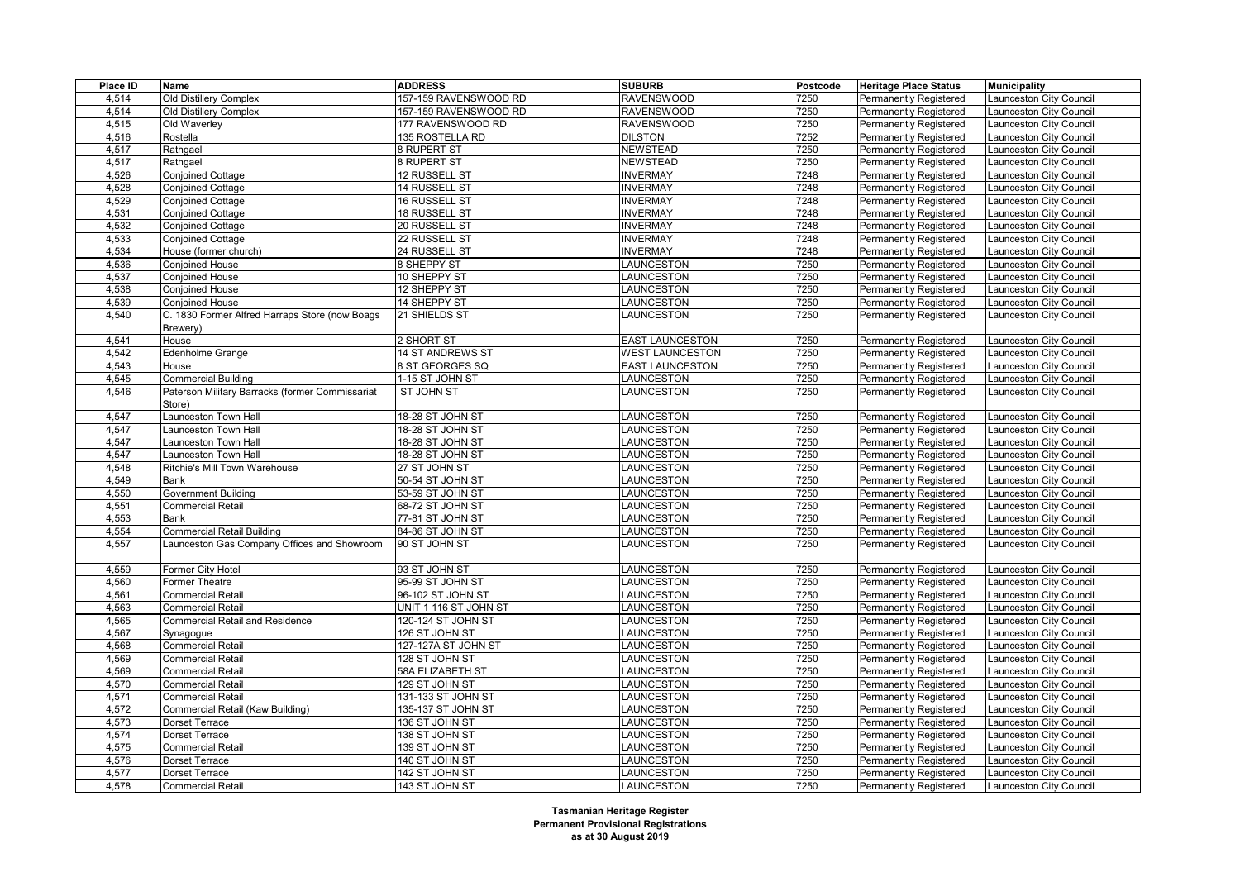| Place ID | Name                                            | <b>ADDRESS</b>        | <b>SUBURB</b>          | Postcode | <b>Heritage Place Status</b>  | <b>Municipality</b>            |
|----------|-------------------------------------------------|-----------------------|------------------------|----------|-------------------------------|--------------------------------|
| 4,514    | Old Distillery Complex                          | 157-159 RAVENSWOOD RD | <b>RAVENSWOOD</b>      | 7250     | Permanently Registered        | Launceston City Council        |
| 4,514    | Old Distillery Complex                          | 157-159 RAVENSWOOD RD | <b>RAVENSWOOD</b>      | 7250     | Permanently Registered        | <b>Launceston City Council</b> |
| 4,515    | Old Waverley                                    | 177 RAVENSWOOD RD     | <b>RAVENSWOOD</b>      | 7250     | <b>Permanently Registered</b> | Launceston City Council        |
| 4,516    | Rostella                                        | 135 ROSTELLA RD       | <b>DILSTON</b>         | 7252     | <b>Permanently Registered</b> | Launceston City Council        |
| 4,517    | Rathgael                                        | 8 RUPERT ST           | <b>NEWSTEAD</b>        | 7250     | Permanently Registered        | Launceston City Council        |
| 4,517    | Rathgael                                        | 8 RUPERT ST           | <b>NEWSTEAD</b>        | 7250     | <b>Permanently Registered</b> | Launceston City Council        |
| 4,526    | <b>Conjoined Cottage</b>                        | 12 RUSSELL ST         | <b>INVERMAY</b>        | 7248     | <b>Permanently Registered</b> | Launceston City Council        |
| 4,528    | <b>Conjoined Cottage</b>                        | <b>14 RUSSELL ST</b>  | <b>INVERMAY</b>        | 7248     | Permanently Registered        | Launceston City Council        |
| 4,529    | <b>Conjoined Cottage</b>                        | 16 RUSSELL ST         | <b>INVERMAY</b>        | 7248     | <b>Permanently Registered</b> | Launceston City Council        |
| 4,531    | <b>Conjoined Cottage</b>                        | 18 RUSSELL ST         | <b>INVERMAY</b>        | 7248     | Permanently Registered        | Launceston City Council        |
| 4,532    | <b>Conjoined Cottage</b>                        | 20 RUSSELL ST         | <b>INVERMAY</b>        | 7248     | Permanently Registered        | <b>Launceston City Council</b> |
| 4,533    | <b>Conjoined Cottage</b>                        | 22 RUSSELL ST         | <b>INVERMAY</b>        | 7248     | <b>Permanently Registered</b> | Launceston City Council        |
| 4,534    | House (former church)                           | 24 RUSSELL ST         | <b>INVERMAY</b>        | 7248     | <b>Permanently Registered</b> | Launceston City Council        |
| 4,536    | <b>Conjoined House</b>                          | 8 SHEPPY ST           | LAUNCESTON             | 7250     | <b>Permanently Registered</b> | <b>Launceston City Council</b> |
| 4,537    | <b>Conjoined House</b>                          | 10 SHEPPY ST          | LAUNCESTON             | 7250     | <b>Permanently Registered</b> | Launceston City Council        |
| 4,538    | <b>Conjoined House</b>                          | 12 SHEPPY ST          | LAUNCESTON             | 7250     | Permanently Registered        | Launceston City Council        |
| 4,539    | <b>Conjoined House</b>                          | 14 SHEPPY ST          | LAUNCESTON             | 7250     | <b>Permanently Registered</b> | Launceston City Council        |
| 4,540    | C. 1830 Former Alfred Harraps Store (now Boags  | 21 SHIELDS ST         | LAUNCESTON             | 7250     | <b>Permanently Registered</b> | Launceston City Council        |
|          | Brewery)                                        |                       |                        |          |                               |                                |
| 4,541    | House                                           | 2 SHORT ST            | <b>EAST LAUNCESTON</b> | 7250     | <b>Permanently Registered</b> | Launceston City Council        |
| 4,542    | Edenholme Grange                                | 14 ST ANDREWS ST      | <b>WEST LAUNCESTON</b> | 7250     | <b>Permanently Registered</b> | Launceston City Council        |
| 4,543    | House                                           | 8 ST GEORGES SQ       | <b>EAST LAUNCESTON</b> | 7250     | <b>Permanently Registered</b> | <b>Launceston City Council</b> |
| 4,545    | Commercial Building                             | 1-15 ST JOHN ST       | LAUNCESTON             | 7250     | <b>Permanently Registered</b> | Launceston City Council        |
| 4,546    | Paterson Military Barracks (former Commissariat | ST JOHN ST            | LAUNCESTON             | 7250     | <b>Permanently Registered</b> | Launceston City Council        |
|          | Store)                                          |                       |                        |          |                               |                                |
| 4,547    | Launceston Town Hall                            | 18-28 ST JOHN ST      | LAUNCESTON             | 7250     | <b>Permanently Registered</b> | Launceston City Council        |
| 4,547    | Launceston Town Hall                            | 18-28 ST JOHN ST      | LAUNCESTON             | 7250     | <b>Permanently Registered</b> | Launceston City Council        |
| 4,547    | aunceston Town Hall                             | 18-28 ST JOHN ST      | LAUNCESTON             | 7250     | Permanently Registered        | Launceston City Council        |
| 4,547    | Launceston Town Hall                            | 18-28 ST JOHN ST      | LAUNCESTON             | 7250     | <b>Permanently Registered</b> | <b>Launceston City Council</b> |
| 4,548    | Ritchie's Mill Town Warehouse                   | 27 ST JOHN ST         | <b>AUNCESTON</b>       | 7250     | Permanently Registered        | Launceston City Council        |
| 4,549    | Bank                                            | 50-54 ST JOHN ST      | LAUNCESTON             | 7250     | <b>Permanently Registered</b> | Launceston City Council        |
| 4,550    | Government Building                             | 53-59 ST JOHN ST      | <b>LAUNCESTON</b>      | 7250     | <b>Permanently Registered</b> | <b>Launceston City Council</b> |
| 4,551    | <b>Commercial Retail</b>                        | 68-72 ST JOHN ST      | LAUNCESTON             | 7250     | Permanently Registered        | Launceston City Council        |
| 4,553    | Bank                                            | 77-81 ST JOHN ST      | LAUNCESTON             | 7250     | <b>Permanently Registered</b> | <b>Launceston City Council</b> |
| 4,554    | <b>Commercial Retail Building</b>               | 84-86 ST JOHN ST      | LAUNCESTON             | 7250     | <b>Permanently Registered</b> | <b>Launceston City Council</b> |
| 4,557    | Launceston Gas Company Offices and Showroom     | 90 ST JOHN ST         | <b>AUNCESTON</b>       | 7250     | <b>Permanently Registered</b> | Launceston City Council        |
|          |                                                 |                       |                        |          |                               |                                |
| 4,559    | Former City Hotel                               | 93 ST JOHN ST         | LAUNCESTON             | 7250     | Permanently Registered        | Launceston City Council        |
| 4,560    | <b>Former Theatre</b>                           | 95-99 ST JOHN ST      | LAUNCESTON             | 7250     | <b>Permanently Registered</b> | Launceston City Council        |
| 4,561    | <b>Commercial Retail</b>                        | 96-102 ST JOHN ST     | LAUNCESTON             | 7250     | <b>Permanently Registered</b> | Launceston City Council        |
| 4,563    | <b>Commercial Retail</b>                        | UNIT 1 116 ST JOHN ST | LAUNCESTON             | 7250     | <b>Permanently Registered</b> | Launceston City Council        |
| 4,565    | Commercial Retail and Residence                 | 120-124 ST JOHN ST    | LAUNCESTON             | 7250     | <b>Permanently Registered</b> | Launceston City Council        |
| 4,567    | Synagogue                                       | 126 ST JOHN ST        | LAUNCESTON             | 7250     | <b>Permanently Registered</b> | Launceston City Council        |
| 4,568    | <b>Commercial Retail</b>                        | 127-127A ST JOHN ST   | LAUNCESTON             | 7250     | <b>Permanently Registered</b> | Launceston City Council        |
| 4,569    | <b>Commercial Retail</b>                        | 128 ST JOHN ST        | LAUNCESTON             | 7250     | <b>Permanently Registered</b> | Launceston City Council        |
| 4,569    | <b>Commercial Retail</b>                        | 58A ELIZABETH ST      | LAUNCESTON             | 7250     | <b>Permanently Registered</b> | Launceston City Council        |
| 4,570    | <b>Commercial Retail</b>                        | 129 ST JOHN ST        | LAUNCESTON             | 7250     | <b>Permanently Registered</b> | Launceston City Council        |
| 4,571    | <b>Commercial Retail</b>                        | 131-133 ST JOHN ST    | LAUNCESTON             | 7250     | <b>Permanently Registered</b> | Launceston City Council        |
| 4,572    | Commercial Retail (Kaw Building)                | 135-137 ST JOHN ST    | LAUNCESTON             | 7250     | <b>Permanently Registered</b> | Launceston City Council        |
| 4,573    | Dorset Terrace                                  | 136 ST JOHN ST        | LAUNCESTON             | 7250     | <b>Permanently Registered</b> | Launceston City Council        |
| 4,574    | <b>Dorset Terrace</b>                           | 138 ST JOHN ST        | LAUNCESTON             | 7250     | <b>Permanently Registered</b> | Launceston City Council        |
| 4,575    | <b>Commercial Retail</b>                        | 139 ST JOHN ST        | LAUNCESTON             | 7250     | <b>Permanently Registered</b> | Launceston City Council        |
| 4,576    | Dorset Terrace                                  | 140 ST JOHN ST        | LAUNCESTON             | 7250     | <b>Permanently Registered</b> | <b>Launceston City Council</b> |
| 4,577    | <b>Dorset Terrace</b>                           | 142 ST JOHN ST        | LAUNCESTON             | 7250     | <b>Permanently Registered</b> | Launceston City Council        |
| 4,578    | <b>Commercial Retail</b>                        | 143 ST JOHN ST        | LAUNCESTON             | 7250     | <b>Permanently Registered</b> | Launceston City Council        |
|          |                                                 |                       |                        |          |                               |                                |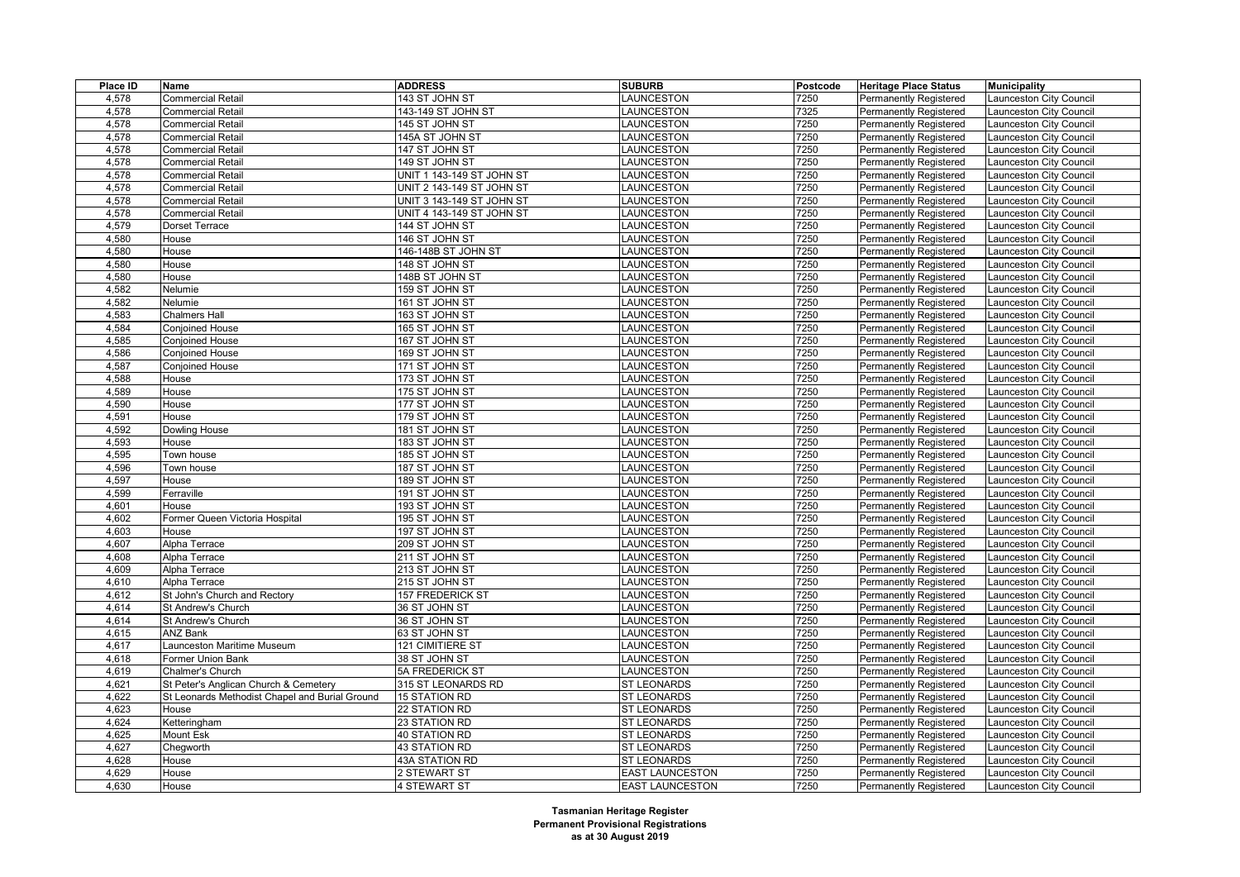| Place ID | Name                                           | <b>ADDRESS</b>            | <b>SUBURB</b>          | Postcode | <b>Heritage Place Status</b>  | <b>Municipality</b>            |
|----------|------------------------------------------------|---------------------------|------------------------|----------|-------------------------------|--------------------------------|
| 4,578    | <b>Commercial Retail</b>                       | 143 ST JOHN ST            | LAUNCESTON             | 7250     | Permanently Registered        | Launceston City Council        |
| 4,578    | <b>Commercial Retail</b>                       | 143-149 ST JOHN ST        | LAUNCESTON             | 7325     | <b>Permanently Registered</b> | Launceston City Council        |
| 4,578    | <b>Commercial Retail</b>                       | 145 ST JOHN ST            | LAUNCESTON             | 7250     | <b>Permanently Registered</b> | <b>Launceston City Council</b> |
| 4,578    | <b>Commercial Retail</b>                       | 145A ST JOHN ST           | LAUNCESTON             | 7250     | Permanently Registered        | Launceston City Council        |
| 4,578    | <b>Commercial Retail</b>                       | 147 ST JOHN ST            | LAUNCESTON             | 7250     | <b>Permanently Registered</b> | Launceston City Council        |
| 4,578    | <b>Commercial Retail</b>                       | 149 ST JOHN ST            | LAUNCESTON             | 7250     | <b>Permanently Registered</b> | Launceston City Council        |
| 4,578    | <b>Commercial Retail</b>                       | UNIT 1 143-149 ST JOHN ST | LAUNCESTON             | 7250     | Permanently Registered        | Launceston City Council        |
| 4,578    | <b>Commercial Retail</b>                       | UNIT 2 143-149 ST JOHN ST | LAUNCESTON             | 7250     | <b>Permanently Registered</b> | Launceston City Council        |
| 4,578    | <b>Commercial Retail</b>                       | UNIT 3 143-149 ST JOHN ST | LAUNCESTON             | 7250     | <b>Permanently Registered</b> | Launceston City Council        |
| 4,578    | Commercial Retail                              | UNIT 4 143-149 ST JOHN ST | LAUNCESTON             | 7250     | <b>Permanently Registered</b> | Launceston City Council        |
| 4,579    | <b>Dorset Terrace</b>                          | 144 ST JOHN ST            | LAUNCESTON             | 7250     | <b>Permanently Registered</b> | Launceston City Council        |
| 4,580    | House                                          | 146 ST JOHN ST            | LAUNCESTON             | 7250     | <b>Permanently Registered</b> | Launceston City Council        |
| 4,580    | House                                          | 146-148B ST JOHN ST       | LAUNCESTON             | 7250     | Permanently Registered        | Launceston City Council        |
| 4,580    | House                                          | 148 ST JOHN ST            | LAUNCESTON             | 7250     | <b>Permanently Registered</b> | Launceston City Council        |
| 4,580    | House                                          | 148B ST JOHN ST           | LAUNCESTON             | 7250     | <b>Permanently Registered</b> | Launceston City Council        |
| 4,582    | Nelumie                                        | 159 ST JOHN ST            | LAUNCESTON             | 7250     | Permanently Registered        | Launceston City Council        |
| 4,582    | Nelumie                                        | 161 ST JOHN ST            | LAUNCESTON             | 7250     | <b>Permanently Registered</b> | Launceston City Council        |
| 4,583    | <b>Chalmers Hall</b>                           | 163 ST JOHN ST            | LAUNCESTON             | 7250     | <b>Permanently Registered</b> | Launceston City Council        |
| 4,584    | <b>Conjoined House</b>                         | 165 ST JOHN ST            | LAUNCESTON             | 7250     | <b>Permanently Registered</b> | Launceston City Council        |
| 4,585    | <b>Conjoined House</b>                         | 167 ST JOHN ST            | LAUNCESTON             | 7250     | Permanently Registered        | Launceston City Council        |
| 4,586    | <b>Conjoined House</b>                         | 169 ST JOHN ST            | LAUNCESTON             | 7250     | <b>Permanently Registered</b> | Launceston City Council        |
| 4,587    | Conjoined House                                | 171 ST JOHN ST            | LAUNCESTON             | 7250     | <b>Permanently Registered</b> | Launceston City Council        |
| 4,588    | House                                          | 173 ST JOHN ST            | LAUNCESTON             | 7250     | Permanently Registered        | Launceston City Council        |
| 4,589    | House                                          | 175 ST JOHN ST            | LAUNCESTON             | 7250     | <b>Permanently Registered</b> | Launceston City Council        |
| 4,590    | House                                          | 177 ST JOHN ST            | LAUNCESTON             | 7250     | <b>Permanently Registered</b> | Launceston City Council        |
| 4,591    | House                                          | 179 ST JOHN ST            | LAUNCESTON             | 7250     | Permanently Registered        | Launceston City Council        |
| 4,592    | Dowling House                                  | 181 ST JOHN ST            | LAUNCESTON             | 7250     | <b>Permanently Registered</b> | Launceston City Council        |
| 4,593    | House                                          | 183 ST JOHN ST            | LAUNCESTON             | 7250     | <b>Permanently Registered</b> | Launceston City Council        |
| 4,595    | Town house                                     | 185 ST JOHN ST            | LAUNCESTON             | 7250     | Permanently Registered        | Launceston City Council        |
| 4,596    | Town house                                     | 187 ST JOHN ST            | LAUNCESTON             | 7250     | <b>Permanently Registered</b> | Launceston City Council        |
| 4,597    | House                                          | 189 ST JOHN ST            | LAUNCESTON             | 7250     | <b>Permanently Registered</b> | Launceston City Council        |
| 4,599    | Ferraville                                     | 191 ST JOHN ST            | LAUNCESTON             | 7250     | Permanently Registered        | Launceston City Council        |
| 4,601    | House                                          | 193 ST JOHN ST            | LAUNCESTON             | 7250     | <b>Permanently Registered</b> | Launceston City Council        |
| 4,602    | Former Queen Victoria Hospital                 | 195 ST JOHN ST            | LAUNCESTON             | 7250     | <b>Permanently Registered</b> | Launceston City Council        |
| 4,603    | House                                          | 197 ST JOHN ST            | LAUNCESTON             | 7250     | Permanently Registered        | Launceston City Council        |
| 4,607    | Alpha Terrace                                  | 209 ST JOHN ST            | LAUNCESTON             | 7250     | <b>Permanently Registered</b> | Launceston City Council        |
| 4,608    | Alpha Terrace                                  | 211 ST JOHN ST            | LAUNCESTON             | 7250     | <b>Permanently Registered</b> | Launceston City Council        |
| 4,609    | Alpha Terrace                                  | 213 ST JOHN ST            | LAUNCESTON             | 7250     | Permanently Registered        | <b>Launceston City Council</b> |
| 4,610    | Alpha Terrace                                  | 215 ST JOHN ST            | LAUNCESTON             | 7250     | <b>Permanently Registered</b> | Launceston City Council        |
| 4,612    | St John's Church and Rectory                   | <b>157 FREDERICK ST</b>   | LAUNCESTON             | 7250     | <b>Permanently Registered</b> | Launceston City Council        |
| 4,614    | St Andrew's Church                             | 36 ST JOHN ST             | LAUNCESTON             | 7250     | <b>Permanently Registered</b> | <b>Launceston City Council</b> |
| 4,614    | St Andrew's Church                             | 36 ST JOHN ST             | LAUNCESTON             | 7250     | Permanently Registered        | Launceston City Council        |
| 4,615    | <b>ANZ Bank</b>                                | 63 ST JOHN ST             | LAUNCESTON             | 7250     | <b>Permanently Registered</b> | Launceston City Council        |
| 4,617    | Launceston Maritime Museum                     | 121 CIMITIERE ST          | LAUNCESTON             | 7250     | <b>Permanently Registered</b> | <b>Launceston City Council</b> |
| 4,618    | <b>Former Union Bank</b>                       | 38 ST JOHN ST             | LAUNCESTON             | 7250     | <b>Permanently Registered</b> | Launceston City Council        |
| 4,619    | Chalmer's Church                               | <b>5A FREDERICK ST</b>    | <b>AUNCESTON</b>       | 7250     | <b>Permanently Registered</b> | Launceston City Council        |
| 4,621    | St Peter's Anglican Church & Cemetery          | 315 ST LEONARDS RD        | ST LEONARDS            | 7250     | Permanently Registered        | Launceston City Council        |
| 4,622    | St Leonards Methodist Chapel and Burial Ground | <b>15 STATION RD</b>      | <b>ST LEONARDS</b>     | 7250     | <b>Permanently Registered</b> | <b>Launceston City Council</b> |
| 4,623    | House                                          | 22 STATION RD             | <b>ST LEONARDS</b>     | 7250     | <b>Permanently Registered</b> | Launceston City Council        |
| 4,624    | Ketteringham                                   | 23 STATION RD             | <b>ST LEONARDS</b>     | 7250     | <b>Permanently Registered</b> | <b>Launceston City Council</b> |
| 4,625    | Mount Esk                                      | 40 STATION RD             | <b>ST LEONARDS</b>     | 7250     | Permanently Registered        | Launceston City Council        |
| 4,627    | Chegworth                                      | 43 STATION RD             | <b>ST LEONARDS</b>     | 7250     | <b>Permanently Registered</b> | Launceston City Council        |
| 4,628    | House                                          | 43A STATION RD            | <b>ST LEONARDS</b>     | 7250     | Permanently Registered        | Launceston City Council        |
| 4,629    | House                                          | 2 STEWART ST              | <b>EAST LAUNCESTON</b> | 7250     | <b>Permanently Registered</b> | Launceston City Council        |
| 4,630    | House                                          | <b>4 STEWART ST</b>       | <b>EAST LAUNCESTON</b> | 7250     |                               |                                |
|          |                                                |                           |                        |          | Permanently Registered        | Launceston City Council        |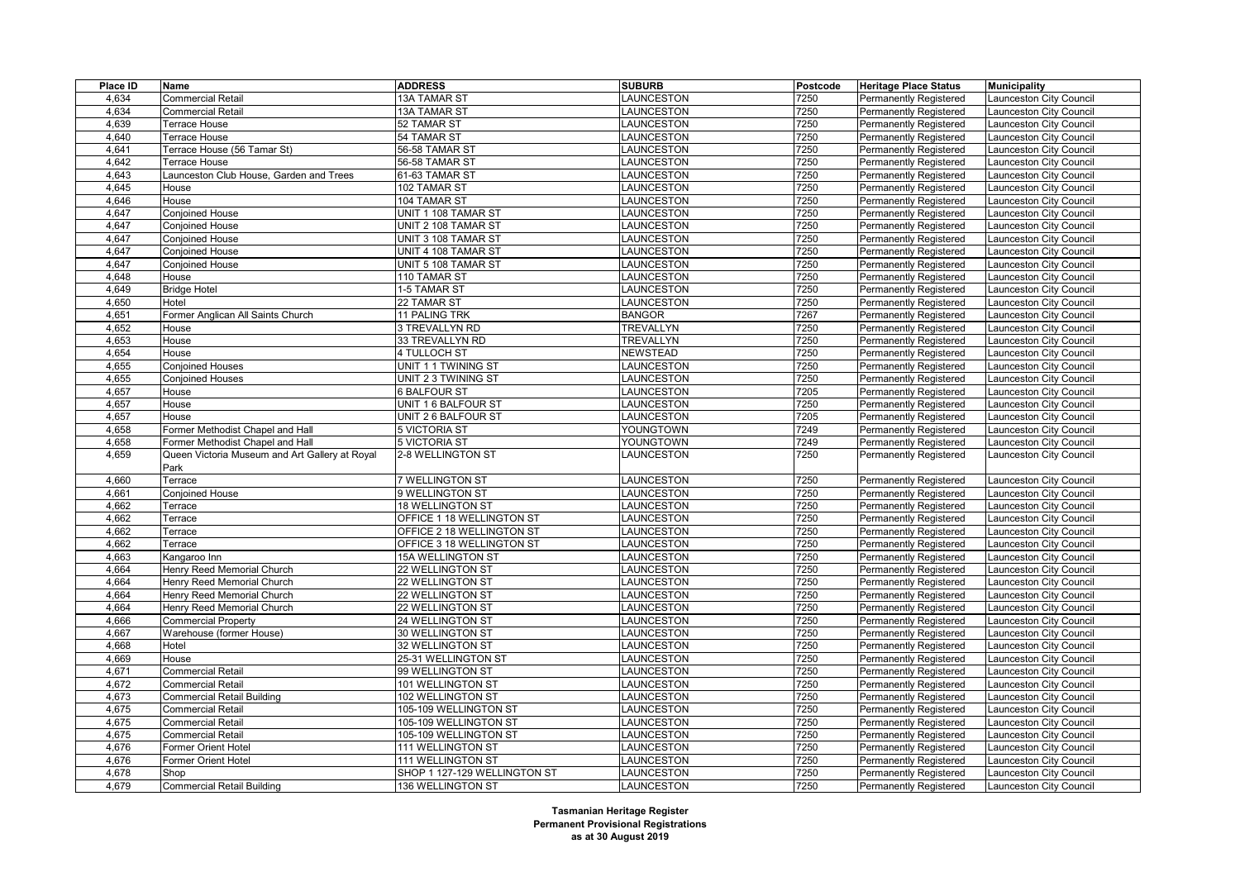| Place ID | Name                                           | <b>ADDRESS</b>               | <b>SUBURB</b>     | Postcode | <b>Heritage Place Status</b>  | <b>Municipality</b>     |
|----------|------------------------------------------------|------------------------------|-------------------|----------|-------------------------------|-------------------------|
| 4,634    | <b>Commercial Retail</b>                       | 13A TAMAR ST                 | LAUNCESTON        | 7250     | <b>Permanently Registered</b> | aunceston City Council  |
| 4.634    | Commercial Retail                              | 13A TAMAR ST                 | LAUNCESTON        | 7250     | <b>Permanently Registered</b> | aunceston City Council  |
| 4,639    | Terrace House                                  | 52 TAMAR ST                  | LAUNCESTON        | 7250     | <b>Permanently Registered</b> | aunceston City Council  |
| 4,640    | Terrace House                                  | 54 TAMAR ST                  | LAUNCESTON        | 7250     | Permanently Registered        | aunceston City Council  |
| 4,641    | Terrace House (56 Tamar St)                    | 56-58 TAMAR ST               | LAUNCESTON        | 7250     | Permanently Registered        | aunceston City Council  |
| 4,642    | Terrace House                                  | 56-58 TAMAR ST               | <b>AUNCESTON</b>  | 7250     | <b>Permanently Registered</b> | aunceston City Council  |
| 4,643    | Launceston Club House, Garden and Trees        | 61-63 TAMAR ST               | <b>AUNCESTON</b>  | 7250     | Permanently Registered        | aunceston City Council  |
| 4,645    | House                                          | 102 TAMAR ST                 | LAUNCESTON        | 7250     | Permanently Registered        | aunceston City Council  |
| 4,646    | House                                          | 104 TAMAR ST                 | LAUNCESTON        | 7250     | <b>Permanently Registered</b> | Launceston City Council |
| 4,647    | <b>Conjoined House</b>                         | UNIT 1 108 TAMAR ST          | LAUNCESTON        | 7250     | Permanently Registered        | aunceston City Council  |
| 4,647    | <b>Conjoined House</b>                         | UNIT 2 108 TAMAR ST          | LAUNCESTON        | 7250     | Permanently Registered        | aunceston City Council  |
| 4,647    | <b>Conjoined House</b>                         | UNIT 3 108 TAMAR ST          | <b>AUNCESTON</b>  | 7250     | <b>Permanently Registered</b> | aunceston City Council  |
| 4,647    | <b>Conjoined House</b>                         | UNIT 4 108 TAMAR ST          | LAUNCESTON        | 7250     | Permanently Registered        | aunceston City Council  |
| 4,647    | <b>Conjoined House</b>                         | UNIT 5 108 TAMAR ST          | LAUNCESTON        | 7250     | Permanently Registered        | aunceston City Council  |
| 4,648    | House                                          | 110 TAMAR ST                 | LAUNCESTON        | 7250     | <b>Permanently Registered</b> | Launceston City Council |
| 4,649    | <b>Bridge Hotel</b>                            | 1-5 TAMAR ST                 | LAUNCESTON        | 7250     | <b>Permanently Registered</b> | aunceston City Council  |
| 4,650    | Hotel                                          | 22 TAMAR ST                  | LAUNCESTON        | 7250     | Permanently Registered        | aunceston City Council  |
| 4,651    | Former Anglican All Saints Church              | 11 PALING TRK                | <b>BANGOR</b>     | 7267     | <b>Permanently Registered</b> | aunceston City Council  |
| 4,652    | House                                          | 3 TREVALLYN RD               | TREVALLYN         | 7250     | Permanently Registered        | aunceston City Council  |
| 4,653    | House                                          | 33 TREVALLYN RD              | <b>TREVALLYN</b>  | 7250     | Permanently Registered        | aunceston City Council  |
| 4,654    | House                                          | 4 TULLOCH ST                 | <b>NEWSTEAD</b>   | 7250     | <b>Permanently Registered</b> | aunceston City Council  |
| 4,655    | <b>Conjoined Houses</b>                        | UNIT 1 1 TWINING ST          | LAUNCESTON        | 7250     | Permanently Registered        | aunceston City Council  |
| 4,655    | <b>Conjoined Houses</b>                        | UNIT 2 3 TWINING ST          | LAUNCESTON        | 7250     | Permanently Registered        | aunceston City Council  |
| 4,657    | House                                          | <b>6 BALFOUR ST</b>          | LAUNCESTON        | 7205     | <b>Permanently Registered</b> | aunceston City Council  |
| 4,657    | House                                          | UNIT 1 6 BALFOUR ST          | LAUNCESTON        | 7250     | <b>Permanently Registered</b> | aunceston City Council  |
| 4,657    | House                                          | UNIT 26 BALFOUR ST           | LAUNCESTON        | 7205     | Permanently Registered        | aunceston City Council  |
| 4,658    | Former Methodist Chapel and Hall               | 5 VICTORIA ST                | YOUNGTOWN         | 7249     | <b>Permanently Registered</b> | aunceston City Council  |
| 4,658    | Former Methodist Chapel and Hall               | 5 VICTORIA ST                | YOUNGTOWN         | 7249     | Permanently Registered        | aunceston City Council  |
| 4,659    | Queen Victoria Museum and Art Gallery at Royal | 2-8 WELLINGTON ST            | LAUNCESTON        | 7250     | Permanently Registered        | aunceston City Council  |
|          | Park                                           |                              |                   |          |                               |                         |
| 4,660    | Terrace                                        | 7 WELLINGTON ST              | LAUNCESTON        | 7250     | Permanently Registered        | aunceston City Council  |
| 4,661    | Conjoined House                                | 9 WELLINGTON ST              | <b>AUNCESTON</b>  | 7250     | Permanently Registered        | aunceston City Council  |
| 4,662    | Terrace                                        | 18 WELLINGTON ST             | LAUNCESTON        | 7250     | <b>Permanently Registered</b> | aunceston City Council  |
| 4,662    | Terrace                                        | OFFICE 1 18 WELLINGTON ST    | LAUNCESTON        | 7250     | Permanently Registered        | aunceston City Council  |
| 4,662    | Terrace                                        | OFFICE 2 18 WELLINGTON ST    | LAUNCESTON        | 7250     | Permanently Registered        | aunceston City Council  |
| 4,662    | Terrace                                        | OFFICE 3 18 WELLINGTON ST    | <b>AUNCESTON</b>  | 7250     | <b>Permanently Registered</b> | aunceston City Council  |
| 4,663    | Kangaroo Inn                                   | 15A WELLINGTON ST            | <b>LAUNCESTON</b> | 7250     | Permanently Registered        | aunceston City Council  |
| 4,664    | Henry Reed Memorial Church                     | 22 WELLINGTON ST             | <b>AUNCESTON</b>  | 7250     | Permanently Registered        | aunceston City Council  |
| 4,664    | Henry Reed Memorial Church                     | 22 WELLINGTON ST             | <b>AUNCESTON</b>  | 7250     | <b>Permanently Registered</b> | aunceston City Council  |
| 4,664    | Henry Reed Memorial Church                     | 22 WELLINGTON ST             | <b>AUNCESTON</b>  | 7250     | <b>Permanently Registered</b> | aunceston City Council  |
| 4,664    | Henry Reed Memorial Church                     | 22 WELLINGTON ST             | LAUNCESTON        | 7250     | Permanently Registered        | aunceston City Council  |
| 4,666    | <b>Commercial Property</b>                     | 24 WELLINGTON ST             | LAUNCESTON        | 7250     | <b>Permanently Registered</b> | aunceston City Council  |
| 4,667    | Warehouse (former House)                       | 30 WELLINGTON ST             | LAUNCESTON        | 7250     | <b>Permanently Registered</b> | aunceston City Council  |
| 4,668    | Hotel                                          | 32 WELLINGTON ST             | LAUNCESTON        | 7250     | Permanently Registered        | aunceston City Council  |
| 4,669    | House                                          | 25-31 WELLINGTON ST          | <b>AUNCESTON</b>  | 7250     | Permanently Registered        | aunceston City Council  |
| 4,671    | <b>Commercial Retail</b>                       | 99 WELLINGTON ST             | <b>AUNCESTON</b>  | 7250     | <b>Permanently Registered</b> | aunceston City Council  |
| 4,672    | <b>Commercial Retail</b>                       | 101 WELLINGTON ST            | LAUNCESTON        | 7250     | Permanently Registered        | aunceston City Council  |
| 4,673    | <b>Commercial Retail Building</b>              | 102 WELLINGTON ST            | <b>AUNCESTON</b>  | 7250     | Permanently Registered        | aunceston City Council  |
| 4,675    | <b>Commercial Retail</b>                       | 105-109 WELLINGTON ST        | <b>AUNCESTON</b>  | 7250     | <b>Permanently Registered</b> | aunceston City Council  |
| 4,675    | <b>Commercial Retail</b>                       | 105-109 WELLINGTON ST        | <b>AUNCESTON</b>  | 7250     | Permanently Registered        | aunceston City Council  |
| 4,675    | Commercial Retail                              | 105-109 WELLINGTON ST        | <b>AUNCESTON</b>  | 7250     | Permanently Registered        | aunceston City Council  |
| 4,676    | <b>Former Orient Hotel</b>                     | 111 WELLINGTON ST            | <b>AUNCESTON</b>  | 7250     | <b>Permanently Registered</b> | aunceston City Council  |
| 4,676    | <b>Former Orient Hotel</b>                     | 111 WELLINGTON ST            | <b>AUNCESTON</b>  | 7250     | Permanently Registered        | aunceston City Council  |
| 4.678    | Shop                                           | SHOP 1 127-129 WELLINGTON ST | LAUNCESTON        | 7250     | <b>Permanently Registered</b> | Launceston City Council |
| 4,679    | <b>Commercial Retail Building</b>              | 136 WELLINGTON ST            | LAUNCESTON        | 7250     | <b>Permanently Registered</b> | Launceston City Council |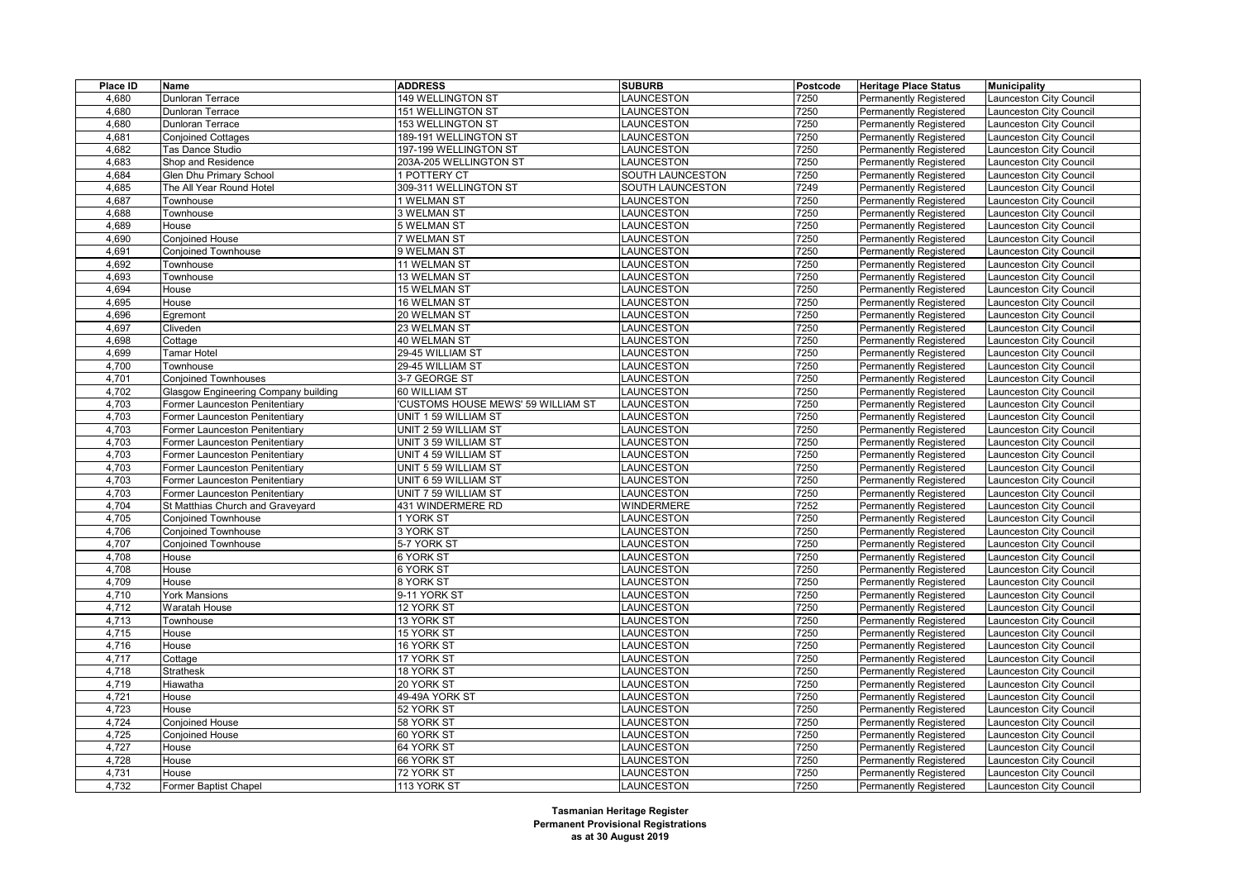| Place ID | Name                                 | <b>ADDRESS</b>                     | <b>SUBURB</b>    | Postcode | <b>Heritage Place Status</b>  | <b>Municipality</b>            |
|----------|--------------------------------------|------------------------------------|------------------|----------|-------------------------------|--------------------------------|
| 4,680    | Dunloran Terrace                     | 149 WELLINGTON ST                  | LAUNCESTON       | 7250     | <b>Permanently Registered</b> | Launceston City Council        |
| 4.680    | <b>Dunloran Terrace</b>              | <b>151 WELLINGTON ST</b>           | LAUNCESTON       | 7250     | Permanently Registered        | <b>Launceston City Council</b> |
| 4,680    | <b>Dunloran Terrace</b>              | 153 WELLINGTON ST                  | LAUNCESTON       | 7250     | <b>Permanently Registered</b> | Launceston City Council        |
| 4,681    | <b>Conjoined Cottages</b>            | 189-191 WELLINGTON ST              | LAUNCESTON       | 7250     | <b>Permanently Registered</b> | Launceston City Council        |
| 4,682    | Tas Dance Studio                     | 197-199 WELLINGTON ST              | LAUNCESTON       | 7250     | Permanently Registered        | Launceston City Council        |
| 4,683    | Shop and Residence                   | 203A-205 WELLINGTON ST             | LAUNCESTON       | 7250     | <b>Permanently Registered</b> | Launceston City Council        |
| 4,684    | Glen Dhu Primary School              | 1 POTTERY CT                       | SOUTH LAUNCESTON | 7250     | <b>Permanently Registered</b> | Launceston City Council        |
| 4,685    | The All Year Round Hotel             | 309-311 WELLINGTON ST              | SOUTH LAUNCESTON | 7249     | <b>Permanently Registered</b> | <b>Launceston City Council</b> |
| 4,687    | Townhouse                            | 1 WELMAN ST                        | LAUNCESTON       | 7250     | <b>Permanently Registered</b> | Launceston City Council        |
| 4,688    | Townhouse                            | 3 WELMAN ST                        | LAUNCESTON       | 7250     | <b>Permanently Registered</b> | Launceston City Council        |
| 4,689    | House                                | 5 WELMAN ST                        | LAUNCESTON       | 7250     | <b>Permanently Registered</b> | Launceston City Council        |
| 4,690    | Conjoined House                      | 7 WELMAN ST                        | LAUNCESTON       | 7250     | <b>Permanently Registered</b> | Launceston City Council        |
| 4,691    | <b>Conjoined Townhouse</b>           | 9 WELMAN ST                        | LAUNCESTON       | 7250     | <b>Permanently Registered</b> | Launceston City Council        |
| 4,692    | Townhouse                            | 11 WELMAN ST                       | <b>AUNCESTON</b> | 7250     | <b>Permanently Registered</b> | Launceston City Council        |
| 4,693    | Townhouse                            | 13 WELMAN ST                       | LAUNCESTON       | 7250     | Permanently Registered        | Launceston City Council        |
| 4,694    | House                                | 15 WELMAN ST                       | LAUNCESTON       | 7250     | <b>Permanently Registered</b> | Launceston City Council        |
| 4,695    | House                                | 16 WELMAN ST                       | LAUNCESTON       | 7250     | <b>Permanently Registered</b> | Launceston City Council        |
| 4,696    | Egremont                             | 20 WELMAN ST                       | LAUNCESTON       | 7250     | <b>Permanently Registered</b> | Launceston City Council        |
| 4,697    | Cliveden                             | 23 WELMAN ST                       | LAUNCESTON       | 7250     | <b>Permanently Registered</b> | Launceston City Council        |
| 4,698    | Cottage                              | 40 WELMAN ST                       | LAUNCESTON       | 7250     | <b>Permanently Registered</b> | Launceston City Council        |
| 4,699    | Tamar Hotel                          | 29-45 WILLIAM ST                   | LAUNCESTON       | 7250     | <b>Permanently Registered</b> | Launceston City Council        |
| 4,700    | Townhouse                            | 29-45 WILLIAM ST                   | LAUNCESTON       | 7250     | <b>Permanently Registered</b> | <b>Launceston City Council</b> |
| 4,701    | <b>Conjoined Townhouses</b>          | 3-7 GEORGE ST                      | LAUNCESTON       | 7250     | <b>Permanently Registered</b> | <b>Launceston City Council</b> |
| 4,702    | Glasgow Engineering Company building | 60 WILLIAM ST                      | LAUNCESTON       | 7250     | <b>Permanently Registered</b> | Launceston City Council        |
| 4,703    | Former Launceston Penitentiary       | 'CUSTOMS HOUSE MEWS' 59 WILLIAM ST | LAUNCESTON       | 7250     | <b>Permanently Registered</b> | Launceston City Council        |
| 4,703    | Former Launceston Penitentiary       | UNIT 1 59 WILLIAM ST               | LAUNCESTON       | 7250     | <b>Permanently Registered</b> | Launceston City Council        |
| 4,703    | Former Launceston Penitentiary       | UNIT 2 59 WILLIAM ST               | LAUNCESTON       | 7250     | <b>Permanently Registered</b> | Launceston City Council        |
| 4,703    | Former Launceston Penitentiary       | UNIT 3 59 WILLIAM ST               | LAUNCESTON       | 7250     | <b>Permanently Registered</b> | Launceston City Council        |
| 4,703    | Former Launceston Penitentiary       | UNIT 4 59 WILLIAM ST               | LAUNCESTON       | 7250     | <b>Permanently Registered</b> | Launceston City Council        |
| 4,703    | Former Launceston Penitentiary       | UNIT 5 59 WILLIAM ST               | <b>AUNCESTON</b> | 7250     | <b>Permanently Registered</b> | Launceston City Council        |
| 4,703    | Former Launceston Penitentiary       | UNIT 6 59 WILLIAM ST               | LAUNCESTON       | 7250     | <b>Permanently Registered</b> | Launceston City Council        |
| 4,703    | Former Launceston Penitentiary       | UNIT 7 59 WILLIAM ST               | LAUNCESTON       | 7250     | <b>Permanently Registered</b> | Launceston City Council        |
| 4,704    | St Matthias Church and Graveyard     | 431 WINDERMERE RD                  | WINDERMERE       | 7252     | <b>Permanently Registered</b> | Launceston City Council        |
| 4,705    | <b>Conjoined Townhouse</b>           | 1 YORK ST                          | LAUNCESTON       | 7250     | <b>Permanently Registered</b> | Launceston City Council        |
| 4,706    | <b>Conjoined Townhouse</b>           | 3 YORK ST                          | LAUNCESTON       | 7250     | <b>Permanently Registered</b> | <b>Launceston City Council</b> |
| 4,707    | <b>Conjoined Townhouse</b>           | 5-7 YORK ST                        | <b>AUNCESTON</b> | 7250     | <b>Permanently Registered</b> | Launceston City Council        |
| 4.708    | House                                | 6 YORK ST                          | LAUNCESTON       | 7250     | <b>Permanently Registered</b> | Launceston City Council        |
| 4,708    | House                                | 6 YORK ST                          | LAUNCESTON       | 7250     | <b>Permanently Registered</b> | Launceston City Council        |
| 4,709    | House                                | 8 YORK ST                          | LAUNCESTON       | 7250     | <b>Permanently Registered</b> | Launceston City Council        |
| 4,710    | <b>York Mansions</b>                 | 9-11 YORK ST                       | LAUNCESTON       | 7250     | <b>Permanently Registered</b> | Launceston City Council        |
| 4,712    | Waratah House                        | 12 YORK ST                         | LAUNCESTON       | 7250     | <b>Permanently Registered</b> | Launceston City Council        |
| 4,713    | Townhouse                            | 13 YORK ST                         | LAUNCESTON       | 7250     | <b>Permanently Registered</b> | Launceston City Council        |
| 4,715    | House                                | 15 YORK ST                         | LAUNCESTON       | 7250     | <b>Permanently Registered</b> | <b>Launceston City Council</b> |
| 4,716    | House                                | 16 YORK ST                         | LAUNCESTON       | 7250     | <b>Permanently Registered</b> | Launceston City Council        |
| 4,717    | Cottage                              | 17 YORK ST                         | LAUNCESTON       | 7250     | <b>Permanently Registered</b> | Launceston City Council        |
| 4,718    | Strathesk                            | 18 YORK ST                         | LAUNCESTON       | 7250     | <b>Permanently Registered</b> | Launceston City Council        |
| 4,719    | Hiawatha                             | 20 YORK ST                         | LAUNCESTON       | 7250     | <b>Permanently Registered</b> | Launceston City Council        |
| 4,721    | House                                | 49-49A YORK ST                     | LAUNCESTON       | 7250     | <b>Permanently Registered</b> | Launceston City Council        |
| 4,723    | House                                | 52 YORK ST                         | LAUNCESTON       | 7250     | <b>Permanently Registered</b> | <b>Launceston City Council</b> |
| 4,724    | Conjoined House                      | 58 YORK ST                         | LAUNCESTON       | 7250     | <b>Permanently Registered</b> | Launceston City Council        |
| 4,725    | Conjoined House                      | 60 YORK ST                         | LAUNCESTON       | 7250     | <b>Permanently Registered</b> | Launceston City Council        |
| 4,727    | House                                | 64 YORK ST                         | LAUNCESTON       | 7250     | <b>Permanently Registered</b> | Launceston City Council        |
| 4,728    | House                                | 66 YORK ST                         | LAUNCESTON       | 7250     | <b>Permanently Registered</b> | Launceston City Council        |
| 4,731    | House                                | 72 YORK ST                         | LAUNCESTON       | 7250     | <b>Permanently Registered</b> | Launceston City Council        |
| 4,732    | Former Baptist Chapel                | 113 YORK ST                        | LAUNCESTON       | 7250     | <b>Permanently Registered</b> | Launceston City Council        |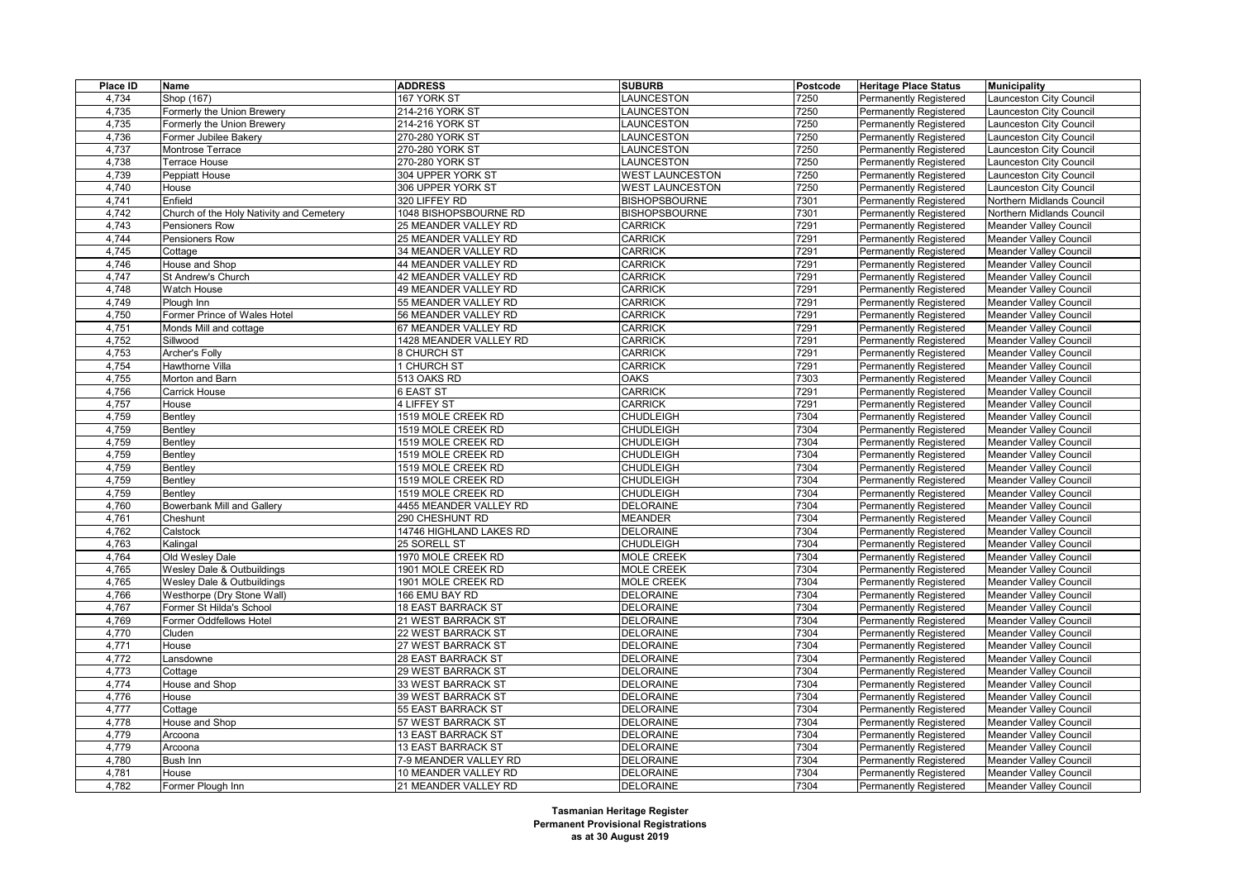| Place ID | Name                                     | <b>ADDRESS</b>            | <b>SUBURB</b>          | Postcode | <b>Heritage Place Status</b>  | <b>Municipality</b>           |
|----------|------------------------------------------|---------------------------|------------------------|----------|-------------------------------|-------------------------------|
| 4,734    | Shop (167)                               | 167 YORK ST               | LAUNCESTON             | 7250     | <b>Permanently Registered</b> | aunceston City Council        |
| 4,735    | Formerly the Union Brewery               | 214-216 YORK ST           | <b>AUNCESTON</b>       | 7250     | Permanently Registered        | aunceston City Council        |
| 4,735    | Formerly the Union Brewery               | 214-216 YORK ST           | LAUNCESTON             | 7250     | <b>Permanently Registered</b> | aunceston City Council        |
| 4,736    | Former Jubilee Bakery                    | 270-280 YORK ST           | LAUNCESTON             | 7250     | Permanently Registered        | aunceston City Council        |
| 4,737    | Montrose Terrace                         | 270-280 YORK ST           | LAUNCESTON             | 7250     | <b>Permanently Registered</b> | aunceston City Council        |
| 4,738    | Terrace House                            | 270-280 YORK ST           | LAUNCESTON             | 7250     | <b>Permanently Registered</b> | aunceston City Council        |
| 4,739    | Peppiatt House                           | 304 UPPER YORK ST         | <b>WEST LAUNCESTON</b> | 7250     | <b>Permanently Registered</b> | aunceston City Council        |
| 4,740    | House                                    | 306 UPPER YORK ST         | <b>WEST LAUNCESTON</b> | 7250     | Permanently Registered        | aunceston City Council        |
| 4,741    | Enfield                                  | 320 LIFFEY RD             | <b>BISHOPSBOURNE</b>   | 7301     | <b>Permanently Registered</b> | Northern Midlands Council     |
| 4,742    | Church of the Holy Nativity and Cemetery | 1048 BISHOPSBOURNE RD     | <b>BISHOPSBOURNE</b>   | 7301     | Permanently Registered        | Northern Midlands Council     |
| 4,743    | Pensioners Row                           | 25 MEANDER VALLEY RD      | <b>CARRICK</b>         | 7291     | <b>Permanently Registered</b> | <b>Meander Valley Council</b> |
| 4,744    | Pensioners Row                           | 25 MEANDER VALLEY RD      | <b>CARRICK</b>         | 7291     | <b>Permanently Registered</b> | Meander Valley Council        |
| 4,745    | Cottage                                  | 34 MEANDER VALLEY RD      | <b>CARRICK</b>         | 7291     | Permanently Registered        | Meander Valley Council        |
| 4,746    | House and Shop                           | 44 MEANDER VALLEY RD      | <b>CARRICK</b>         | 7291     | Permanently Registered        | <b>Meander Valley Council</b> |
| 4,747    | St Andrew's Church                       | 42 MEANDER VALLEY RD      | <b>CARRICK</b>         | 7291     | Permanently Registered        | Meander Valley Council        |
| 4,748    | Watch House                              | 49 MEANDER VALLEY RD      | <b>CARRICK</b>         | 7291     | Permanently Registered        | Meander Valley Council        |
| 4,749    | Plough Inn                               | 55 MEANDER VALLEY RD      | <b>CARRICK</b>         | 7291     | <b>Permanently Registered</b> | Meander Valley Council        |
| 4,750    | Former Prince of Wales Hotel             | 56 MEANDER VALLEY RD      | <b>CARRICK</b>         | 7291     | <b>Permanently Registered</b> | Meander Valley Council        |
| 4,751    | Monds Mill and cottage                   | 67 MEANDER VALLEY RD      | <b>CARRICK</b>         | 7291     | Permanently Registered        | Meander Valley Council        |
| 4,752    | Sillwood                                 | 1428 MEANDER VALLEY RD    | <b>CARRICK</b>         | 7291     | Permanently Registered        | Meander Valley Council        |
| 4,753    | Archer's Folly                           | 8 CHURCH ST               | <b>CARRICK</b>         | 7291     | <b>Permanently Registered</b> | Meander Valley Council        |
| 4,754    | Hawthorne Villa                          | 1 CHURCH ST               | <b>CARRICK</b>         | 7291     | Permanently Registered        | Meander Valley Council        |
| 4,755    | Morton and Barn                          | 513 OAKS RD               | <b>OAKS</b>            | 7303     | Permanently Registered        | Meander Valley Council        |
| 4,756    | <b>Carrick House</b>                     | 6 EAST ST                 | <b>CARRICK</b>         | 7291     | <b>Permanently Registered</b> | Meander Valley Council        |
| 4,757    | House                                    | 4 LIFFEY ST               | <b>CARRICK</b>         | 7291     | Permanently Registered        | Meander Valley Council        |
| 4,759    | Bentley                                  | 1519 MOLE CREEK RD        | <b>CHUDLEIGH</b>       | 7304     | Permanently Registered        | Meander Valley Council        |
| 4,759    | Bentley                                  | 1519 MOLE CREEK RD        | <b>CHUDLEIGH</b>       | 7304     | <b>Permanently Registered</b> | Meander Valley Council        |
| 4,759    | Bentley                                  | 1519 MOLE CREEK RD        | <b>CHUDLEIGH</b>       | 7304     | Permanently Registered        | Meander Valley Council        |
| 4,759    | Bentley                                  | 1519 MOLE CREEK RD        | <b>CHUDLEIGH</b>       | 7304     | Permanently Registered        | Meander Valley Council        |
| 4,759    | Bentley                                  | 1519 MOLE CREEK RD        | <b>CHUDLEIGH</b>       | 7304     | <b>Permanently Registered</b> | Meander Valley Council        |
| 4,759    | Bentley                                  | 1519 MOLE CREEK RD        | <b>CHUDLEIGH</b>       | 7304     | <b>Permanently Registered</b> | Meander Valley Council        |
| 4,759    | <b>Bentlev</b>                           | 1519 MOLE CREEK RD        | <b>CHUDLEIGH</b>       | 7304     | Permanently Registered        | Meander Valley Council        |
| 4,760    | <b>Bowerbank Mill and Gallery</b>        | 4455 MEANDER VALLEY RD    | <b>DELORAINE</b>       | 7304     | <b>Permanently Registered</b> | Meander Valley Council        |
| 4,761    | Cheshunt                                 | 290 CHESHUNT RD           | <b>MEANDER</b>         | 7304     | <b>Permanently Registered</b> | Meander Valley Council        |
| 4,762    | Calstock                                 | 14746 HIGHLAND LAKES RD   | <b>DELORAINE</b>       | 7304     | Permanently Registered        | Meander Valley Council        |
| 4,763    | Kalingal                                 | 25 SORELL ST              | <b>CHUDLEIGH</b>       | 7304     | <b>Permanently Registered</b> | <b>Meander Valley Council</b> |
| 4,764    | Old Wesley Dale                          | 1970 MOLE CREEK RD        | <b>MOLE CREEK</b>      | 7304     | <b>Permanently Registered</b> | Meander Valley Council        |
| 4,765    | Wesley Dale & Outbuildings               | 1901 MOLE CREEK RD        | <b>MOLE CREEK</b>      | 7304     | Permanently Registered        | Meander Valley Council        |
| 4,765    | Wesley Dale & Outbuildings               | 1901 MOLE CREEK RD        | <b>MOLE CREEK</b>      | 7304     | <b>Permanently Registered</b> | <b>Meander Valley Council</b> |
| 4,766    | Westhorpe (Dry Stone Wall)               | 166 EMU BAY RD            | <b>DELORAINE</b>       | 7304     | <b>Permanently Registered</b> | Meander Valley Council        |
| 4,767    | Former St Hilda's School                 | <b>18 EAST BARRACK ST</b> | <b>DELORAINE</b>       | 7304     | <b>Permanently Registered</b> | Meander Valley Council        |
| 4,769    | Former Oddfellows Hotel                  | 21 WEST BARRACK ST        | <b>DELORAINE</b>       | 7304     | Permanently Registered        | <b>Meander Valley Council</b> |
| 4,770    | Cluden                                   | 22 WEST BARRACK ST        | <b>DELORAINE</b>       | 7304     | <b>Permanently Registered</b> | Meander Valley Council        |
| 4,771    | House                                    | 27 WEST BARRACK ST        | <b>DELORAINE</b>       | 7304     | <b>Permanently Registered</b> | Meander Valley Council        |
| 4,772    | ansdowne                                 | 28 EAST BARRACK ST        | <b>DELORAINE</b>       | 7304     | Permanently Registered        | Meander Valley Council        |
| 4,773    | Cottage                                  | 29 WEST BARRACK ST        | <b>DELORAINE</b>       | 7304     | <b>Permanently Registered</b> | Meander Valley Council        |
| 4,774    | House and Shop                           | 33 WEST BARRACK ST        | <b>DELORAINE</b>       | 7304     | Permanently Registered        | Meander Valley Council        |
| 4,776    | House                                    | 39 WEST BARRACK ST        | <b>DELORAINE</b>       | 7304     | Permanently Registered        | Meander Valley Council        |
| 4,777    | Cottage                                  | 55 EAST BARRACK ST        | <b>DELORAINE</b>       | 7304     | <b>Permanently Registered</b> | Meander Valley Council        |
| 4,778    | House and Shop                           | 57 WEST BARRACK ST        | <b>DELORAINE</b>       | 7304     | <b>Permanently Registered</b> | <b>Meander Valley Council</b> |
| 4,779    | Arcoona                                  | <b>13 EAST BARRACK ST</b> | <b>DELORAINE</b>       | 7304     | Permanently Registered        | Meander Valley Council        |
| 4,779    | Arcoona                                  | <b>13 EAST BARRACK ST</b> | <b>DELORAINE</b>       | 7304     | <b>Permanently Registered</b> | Meander Valley Council        |
| 4,780    | Bush Inn                                 | 7-9 MEANDER VALLEY RD     | <b>DELORAINE</b>       | 7304     | Permanently Registered        | Meander Valley Council        |
| 4,781    | House                                    | 10 MEANDER VALLEY RD      | <b>DELORAINE</b>       | 7304     | Permanently Registered        | Meander Valley Council        |
| 4,782    | Former Plough Inn                        | 21 MEANDER VALLEY RD      | <b>DELORAINE</b>       | 7304     | <b>Permanently Registered</b> | <b>Meander Valley Council</b> |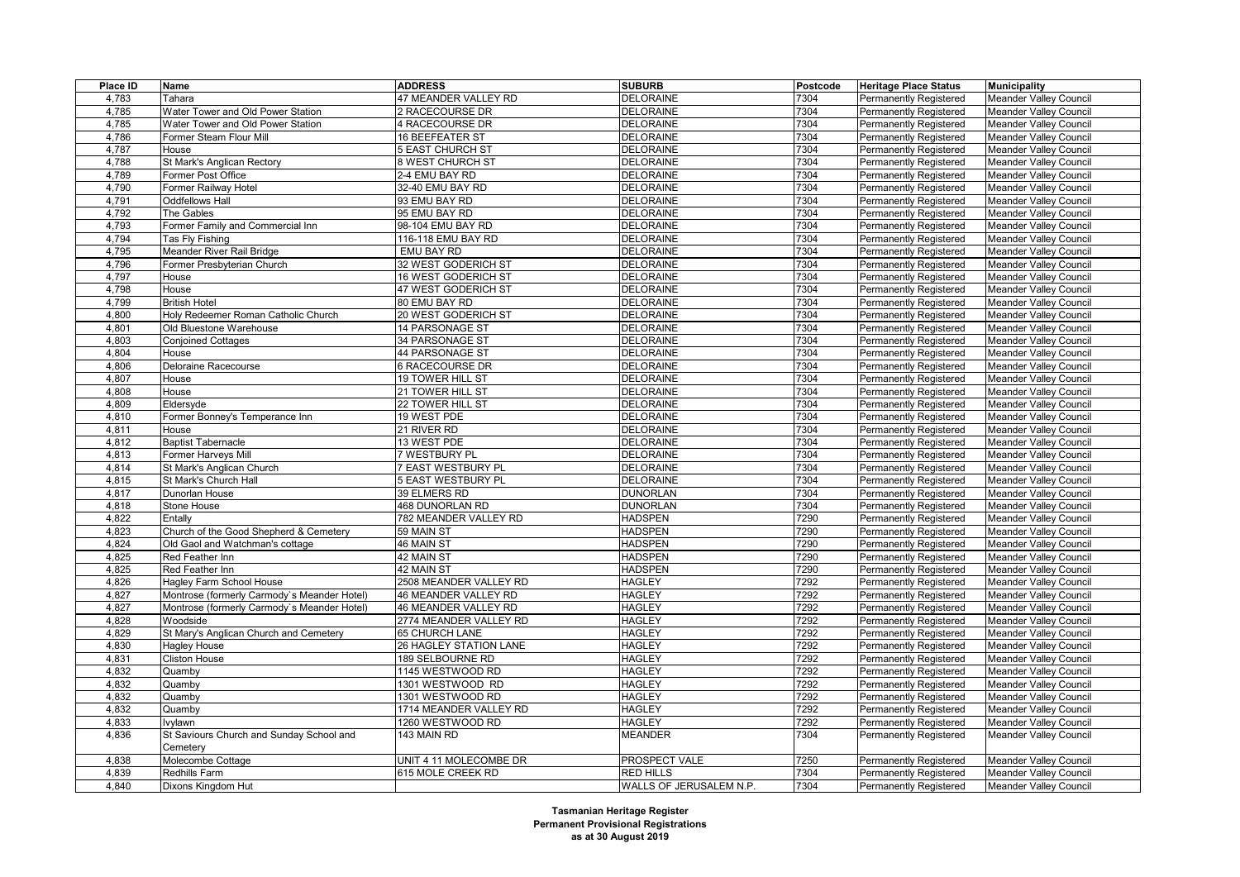| Place ID | Name                                        | <b>ADDRESS</b>          | <b>SUBURB</b>           | Postcode | <b>Heritage Place Status</b>  | <b>Municipality</b>           |
|----------|---------------------------------------------|-------------------------|-------------------------|----------|-------------------------------|-------------------------------|
| 4,783    | Tahara                                      | 47 MEANDER VALLEY RD    | <b>DELORAINE</b>        | 7304     | Permanently Registered        | Meander Valley Council        |
| 4,785    | Water Tower and Old Power Station           | 2 RACECOURSE DR         | <b>DELORAINE</b>        | 7304     | <b>Permanently Registered</b> | <b>Meander Valley Council</b> |
| 4,785    | Water Tower and Old Power Station           | 4 RACECOURSE DR         | <b>DELORAINE</b>        | 7304     | Permanently Registered        | Meander Valley Council        |
| 4,786    | Former Steam Flour Mill                     | 16 BEEFEATER ST         | <b>DELORAINE</b>        | 7304     | Permanently Registered        | <b>Meander Valley Council</b> |
| 4,787    | House                                       | <b>5 EAST CHURCH ST</b> | <b>DELORAINE</b>        | 7304     | <b>Permanently Registered</b> | <b>Meander Valley Council</b> |
| 4,788    | St Mark's Anglican Rectory                  | 8 WEST CHURCH ST        | <b>DELORAINE</b>        | 7304     | Permanently Registered        | Meander Valley Council        |
| 4,789    | Former Post Office                          | 2-4 EMU BAY RD          | <b>DELORAINE</b>        | 7304     | Permanently Registered        | <b>Meander Valley Council</b> |
| 4,790    | Former Railway Hotel                        | 32-40 EMU BAY RD        | <b>DELORAINE</b>        | 7304     | Permanently Registered        | <b>Meander Valley Council</b> |
| 4,791    | <b>Oddfellows Hall</b>                      | 93 EMU BAY RD           | <b>DELORAINE</b>        | 7304     | Permanently Registered        | Meander Valley Council        |
| 4,792    | The Gables                                  | 95 EMU BAY RD           | <b>DELORAINE</b>        | 7304     | Permanently Registered        | <b>Meander Valley Council</b> |
| 4,793    | Former Family and Commercial Inn            | 98-104 EMU BAY RD       | <b>DELORAINE</b>        | 7304     | Permanently Registered        | Meander Valley Council        |
| 4,794    | Tas Fly Fishing                             | 116-118 EMU BAY RD      | <b>DELORAINE</b>        | 7304     | Permanently Registered        | Meander Valley Council        |
| 4,795    | Meander River Rail Bridge                   | EMU BAY RD              | <b>DELORAINE</b>        | 7304     | Permanently Registered        | <b>Meander Valley Council</b> |
| 4,796    | Former Presbyterian Church                  | 32 WEST GODERICH ST     | <b>DELORAINE</b>        | 7304     | Permanently Registered        | Meander Valley Council        |
| 4,797    | House                                       | 16 WEST GODERICH ST     | <b>DELORAINE</b>        | 7304     | Permanently Registered        | <b>Meander Valley Council</b> |
| 4,798    | House                                       | 47 WEST GODERICH ST     | <b>DELORAINE</b>        | 7304     | Permanently Registered        | Meander Valley Council        |
| 4,799    | <b>British Hotel</b>                        | 80 EMU BAY RD           | <b>DELORAINE</b>        | 7304     | Permanently Registered        | Meander Valley Council        |
| 4,800    | Holy Redeemer Roman Catholic Church         | 20 WEST GODERICH ST     | <b>DELORAINE</b>        | 7304     | Permanently Registered        | Meander Valley Council        |
| 4,801    | Old Bluestone Warehouse                     | 14 PARSONAGE ST         | <b>DELORAINE</b>        | 7304     | Permanently Registered        | Meander Valley Council        |
| 4,803    | <b>Conjoined Cottages</b>                   | <b>34 PARSONAGE ST</b>  | <b>DELORAINE</b>        | 7304     | Permanently Registered        | Meander Valley Council        |
| 4,804    | House                                       | 44 PARSONAGE ST         | <b>DELORAINE</b>        | 7304     | Permanently Registered        | <b>Meander Valley Council</b> |
| 4,806    | Deloraine Racecourse                        | <b>6 RACECOURSE DR</b>  | <b>DELORAINE</b>        | 7304     | Permanently Registered        | Meander Valley Council        |
|          |                                             | 19 TOWER HILL ST        | <b>DELORAINE</b>        | 7304     |                               |                               |
| 4,807    | House                                       |                         |                         |          | <b>Permanently Registered</b> | Meander Valley Council        |
| 4,808    | House                                       | 21 TOWER HILL ST        | <b>DELORAINE</b>        | 7304     | Permanently Registered        | <b>Meander Valley Council</b> |
| 4,809    | Eldersyde                                   | 22 TOWER HILL ST        | <b>DELORAINE</b>        | 7304     | Permanently Registered        | Meander Valley Council        |
| 4,810    | Former Bonney's Temperance Inn              | 19 WEST PDE             | <b>DELORAINE</b>        | 7304     | Permanently Registered        | Meander Valley Council        |
| 4,811    | House                                       | 21 RIVER RD             | <b>DELORAINE</b>        | 7304     | Permanently Registered        | <b>Meander Valley Council</b> |
| 4,812    | <b>Baptist Tabernacle</b>                   | 13 WEST PDE             | <b>DELORAINE</b>        | 7304     | Permanently Registered        | Meander Valley Council        |
| 4,813    | Former Harveys Mill                         | 7 WESTBURY PL           | <b>DELORAINE</b>        | 7304     | Permanently Registered        | Meander Valley Council        |
| 4,814    | St Mark's Anglican Church                   | 7 EAST WESTBURY PL      | <b>DELORAINE</b>        | 7304     | Permanently Registered        | <b>Meander Valley Council</b> |
| 4,815    | St Mark's Church Hall                       | 5 EAST WESTBURY PL      | <b>DELORAINE</b>        | 7304     | Permanently Registered        | Meander Valley Council        |
| 4,817    | Dunorlan House                              | 39 ELMERS RD            | <b>DUNORLAN</b>         | 7304     | <b>Permanently Registered</b> | Meander Valley Council        |
| 4,818    | Stone House                                 | <b>468 DUNORLAN RD</b>  | <b>DUNORLAN</b>         | 7304     | Permanently Registered        | <b>Meander Valley Council</b> |
| 4,822    | Entally                                     | 782 MEANDER VALLEY RD   | <b>HADSPEN</b>          | 7290     | Permanently Registered        | Meander Valley Council        |
| 4,823    | Church of the Good Shepherd & Cemetery      | 59 MAIN ST              | <b>HADSPEN</b>          | 7290     | Permanently Registered        | Meander Valley Council        |
| 4,824    | Old Gaol and Watchman's cottage             | 46 MAIN ST              | <b>HADSPEN</b>          | 7290     | Permanently Registered        | Meander Valley Council        |
| 4,825    | Red Feather Inn                             | 42 MAIN ST              | <b>HADSPEN</b>          | 7290     | Permanently Registered        | <b>Meander Valley Council</b> |
| 4,825    | Red Feather Inn                             | 42 MAIN ST              | <b>HADSPEN</b>          | 7290     | Permanently Registered        | <b>Meander Valley Council</b> |
| 4,826    | Hagley Farm School House                    | 2508 MEANDER VALLEY RD  | <b>HAGLEY</b>           | 7292     | Permanently Registered        | Meander Valley Council        |
| 4,827    | Montrose (formerly Carmody's Meander Hotel) | 46 MEANDER VALLEY RD    | <b>HAGLEY</b>           | 7292     | <b>Permanently Registered</b> | <b>Meander Valley Council</b> |
| 4,827    | Montrose (formerly Carmody's Meander Hotel) | 46 MEANDER VALLEY RD    | <b>HAGLEY</b>           | 7292     | <b>Permanently Registered</b> | <b>Meander Valley Council</b> |
| 4,828    | Woodside                                    | 2774 MEANDER VALLEY RD  | HAGLEY                  | 7292     | Permanently Registered        | Meander Valley Council        |
| 4,829    | St Mary's Anglican Church and Cemetery      | 65 CHURCH LANE          | <b>HAGLEY</b>           | 7292     | Permanently Registered        | Meander Valley Council        |
| 4,830    | <b>Hagley House</b>                         | 26 HAGLEY STATION LANE  | <b>HAGLEY</b>           | 7292     | Permanently Registered        | Meander Valley Council        |
| 4,831    | <b>Cliston House</b>                        | 189 SELBOURNE RD        | HAGLEY                  | 7292     | Permanently Registered        | Meander Valley Council        |
| 4,832    | Quamby                                      | 1145 WESTWOOD RD        | <b>HAGLEY</b>           | 7292     | Permanently Registered        | <b>Meander Valley Council</b> |
| 4,832    | Quamby                                      | 1301 WESTWOOD RD        | <b>HAGLEY</b>           | 7292     | Permanently Registered        | Meander Valley Council        |
| 4,832    | Quamby                                      | 1301 WESTWOOD RD        | <b>HAGLEY</b>           | 7292     | Permanently Registered        | Meander Valley Council        |
| 4,832    | Quamby                                      | 1714 MEANDER VALLEY RD  | <b>HAGLEY</b>           | 7292     | Permanently Registered        | <b>Meander Valley Council</b> |
| 4,833    | lvylawn                                     | 1260 WESTWOOD RD        | <b>HAGLEY</b>           | 7292     | Permanently Registered        | <b>Meander Valley Council</b> |
| 4,836    | St Saviours Church and Sunday School and    | 143 MAIN RD             | <b>MEANDER</b>          | 7304     | Permanently Registered        | <b>Meander Valley Council</b> |
|          | Cemetery                                    |                         |                         |          |                               |                               |
| 4,838    | Molecombe Cottage                           | UNIT 4 11 MOLECOMBE DR  | PROSPECT VALE           | 7250     | Permanently Registered        | <b>Meander Valley Council</b> |
| 4,839    | Redhills Farm                               | 615 MOLE CREEK RD       | <b>RED HILLS</b>        | 7304     | Permanently Registered        | <b>Meander Valley Council</b> |
| 4,840    | Dixons Kingdom Hut                          |                         | WALLS OF JERUSALEM N.P. | 7304     | Permanently Registered        | Meander Valley Council        |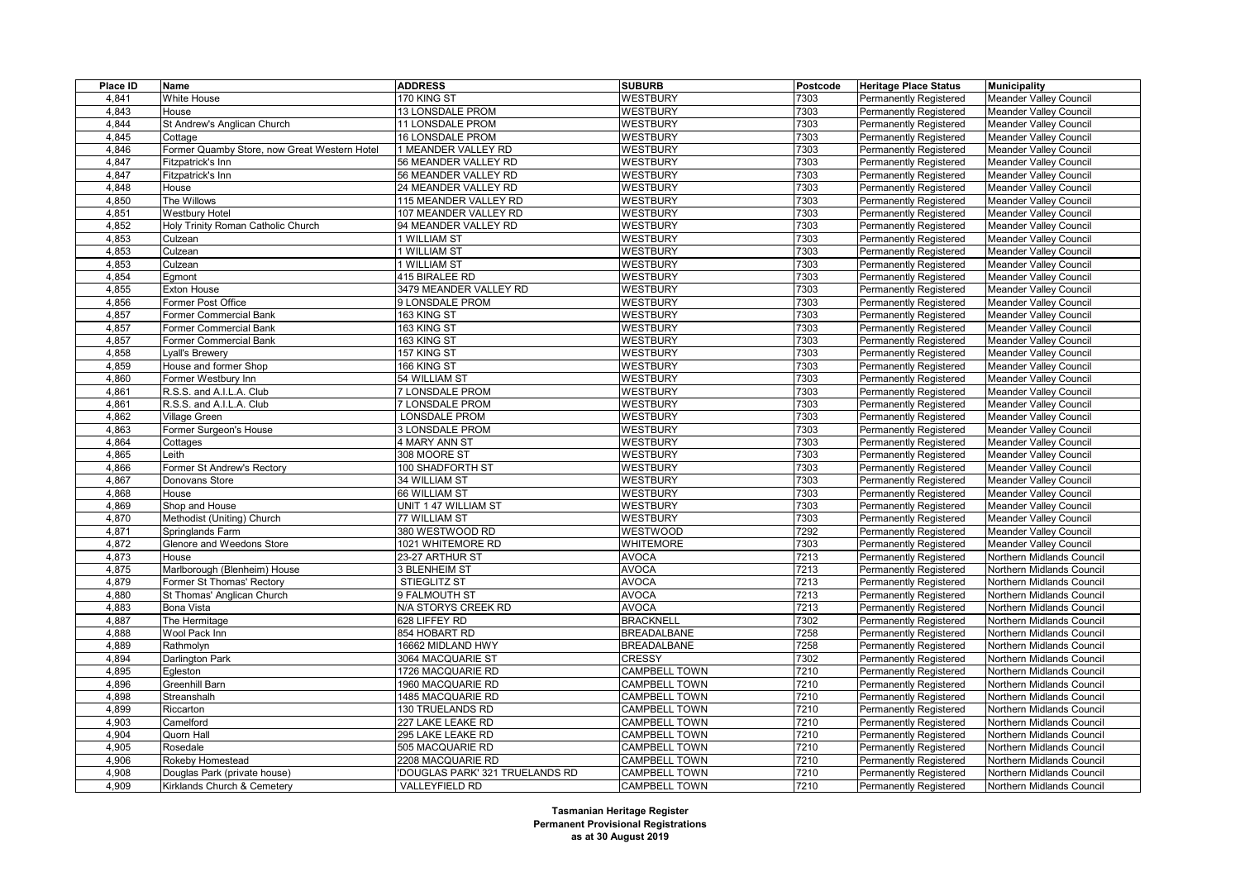| Place ID | Name                                         | <b>ADDRESS</b>                 | <b>SUBURB</b>        | Postcode | <b>Heritage Place Status</b>  | <b>Municipality</b>           |
|----------|----------------------------------------------|--------------------------------|----------------------|----------|-------------------------------|-------------------------------|
| 4,841    | White House                                  | 170 KING ST                    | <b>WESTBURY</b>      | 7303     | <b>Permanently Registered</b> | <b>Meander Valley Council</b> |
| 4,843    | House                                        | 13 LONSDALE PROM               | <b>WESTBURY</b>      | 7303     | <b>Permanently Registered</b> | <b>Meander Valley Council</b> |
| 4,844    | St Andrew's Anglican Church                  | <b>11 LONSDALE PROM</b>        | <b>WESTBURY</b>      | 7303     | <b>Permanently Registered</b> | Meander Valley Council        |
| 4,845    | Cottage                                      | 16 LONSDALE PROM               | <b>WESTBURY</b>      | 7303     | Permanently Registered        | Meander Valley Council        |
| 4,846    | Former Quamby Store, now Great Western Hotel | 1 MEANDER VALLEY RD            | <b>WESTBURY</b>      | 7303     | <b>Permanently Registered</b> | <b>Meander Valley Council</b> |
| 4,847    | Fitzpatrick's Inn                            | 56 MEANDER VALLEY RD           | <b>WESTBURY</b>      | 7303     | <b>Permanently Registered</b> | Meander Valley Council        |
| 4,847    | Fitzpatrick's Inn                            | 56 MEANDER VALLEY RD           | <b>WESTBURY</b>      | 7303     | Permanently Registered        | Meander Valley Council        |
| 4,848    | House                                        | 24 MEANDER VALLEY RD           | <b>WESTBURY</b>      | 7303     | <b>Permanently Registered</b> | <b>Meander Valley Council</b> |
| 4,850    | The Willows                                  | 115 MEANDER VALLEY RD          | <b>WESTBURY</b>      | 7303     | <b>Permanently Registered</b> | Meander Valley Council        |
| 4,851    | <b>Westbury Hotel</b>                        | 107 MEANDER VALLEY RD          | <b>WESTBURY</b>      | 7303     | <b>Permanently Registered</b> | <b>Meander Valley Council</b> |
| 4,852    | Holy Trinity Roman Catholic Church           | 94 MEANDER VALLEY RD           | <b>WESTBURY</b>      | 7303     | <b>Permanently Registered</b> | <b>Meander Valley Council</b> |
| 4,853    | Culzean                                      | 1 WILLIAM ST                   | <b>WESTBURY</b>      | 7303     | Permanently Registered        | Meander Valley Council        |
| 4,853    | Culzean                                      | 1 WILLIAM ST                   | <b>WESTBURY</b>      | 7303     | Permanently Registered        | Meander Valley Council        |
| 4,853    | Culzean                                      | 1 WILLIAM ST                   | <b>WESTBURY</b>      | 7303     | <b>Permanently Registered</b> | Meander Valley Council        |
| 4,854    | Egmont                                       | 415 BIRALEE RD                 | <b>WESTBURY</b>      | 7303     | Permanently Registered        | <b>Meander Valley Council</b> |
| 4,855    | Exton House                                  | 3479 MEANDER VALLEY RD         | <b>WESTBURY</b>      | 7303     | <b>Permanently Registered</b> | <b>Meander Valley Council</b> |
| 4,856    | Former Post Office                           | 9 LONSDALE PROM                | <b>WESTBURY</b>      | 7303     | Permanently Registered        | <b>Meander Valley Council</b> |
| 4,857    | Former Commercial Bank                       | 163 KING ST                    | <b>WESTBURY</b>      | 7303     | Permanently Registered        | <b>Meander Valley Council</b> |
| 4,857    | Former Commercial Bank                       | 163 KING ST                    | <b>WESTBURY</b>      | 7303     | <b>Permanently Registered</b> | <b>Meander Valley Council</b> |
| 4,857    | Former Commercial Bank                       | 163 KING ST                    | WESTBURY             | 7303     | <b>Permanently Registered</b> | Meander Valley Council        |
| 4,858    | vall's Brewery                               | 157 KING ST                    | <b>WESTBURY</b>      | 7303     | <b>Permanently Registered</b> | Meander Valley Council        |
| 4,859    | House and former Shop                        | 166 KING ST                    | <b>WESTBURY</b>      | 7303     | <b>Permanently Registered</b> | Meander Valley Council        |
| 4,860    | Former Westbury Inn                          | 54 WILLIAM ST                  | <b>WESTBURY</b>      | 7303     | Permanently Registered        | Meander Valley Council        |
| 4,861    | R.S.S. and A.I.L.A. Club                     | 7 LONSDALE PROM                | <b>WESTBURY</b>      | 7303     | <b>Permanently Registered</b> | <b>Meander Valley Council</b> |
| 4,861    | R.S.S. and A.I.L.A. Club                     | 7 LONSDALE PROM                | <b>WESTBURY</b>      | 7303     | <b>Permanently Registered</b> | <b>Meander Valley Council</b> |
| 4,862    | Village Green                                | LONSDALE PROM                  | <b>WESTBURY</b>      | 7303     | Permanently Registered        | Meander Valley Council        |
| 4,863    | Former Surgeon's House                       | 3 LONSDALE PROM                | <b>WESTBURY</b>      | 7303     | <b>Permanently Registered</b> | Meander Valley Council        |
| 4,864    | Cottages                                     | 4 MARY ANN ST                  | <b>WESTBURY</b>      | 7303     | Permanently Registered        | Meander Valley Council        |
| 4,865    | eith.                                        | 308 MOORE ST                   | <b>WESTBURY</b>      | 7303     | Permanently Registered        | Meander Valley Council        |
| 4,866    | Former St Andrew's Rectory                   | 100 SHADFORTH ST               | <b>WESTBURY</b>      | 7303     | <b>Permanently Registered</b> | <b>Meander Valley Council</b> |
| 4,867    | Donovans Store                               | 34 WILLIAM ST                  | <b>WESTBURY</b>      | 7303     | <b>Permanently Registered</b> | <b>Meander Valley Council</b> |
| 4,868    | House                                        | 66 WILLIAM ST                  | <b>WESTBURY</b>      | 7303     | Permanently Registered        | Meander Valley Council        |
| 4,869    | Shop and House                               | UNIT 1 47 WILLIAM ST           | <b>WESTBURY</b>      | 7303     | <b>Permanently Registered</b> | <b>Meander Valley Council</b> |
| 4,870    | Methodist (Uniting) Church                   | 77 WILLIAM ST                  | <b>WESTBURY</b>      | 7303     | <b>Permanently Registered</b> | <b>Meander Valley Council</b> |
| 4,871    | Springlands Farm                             | 380 WESTWOOD RD                | WESTWOOD             | 7292     | Permanently Registered        | Meander Valley Council        |
| 4,872    | Glenore and Weedons Store                    | 1021 WHITEMORE RD              | <b>WHITEMORE</b>     | 7303     | <b>Permanently Registered</b> | <b>Meander Valley Council</b> |
| 4,873    | House                                        | 23-27 ARTHUR ST                | <b>AVOCA</b>         | 7213     | Permanently Registered        | Northern Midlands Council     |
| 4,875    | Marlborough (Blenheim) House                 | 3 BLENHEIM ST                  | <b>AVOCA</b>         | 7213     | <b>Permanently Registered</b> | Northern Midlands Council     |
| 4,879    | Former St Thomas' Rectory                    | <b>STIEGLITZ ST</b>            | <b>AVOCA</b>         | 7213     | <b>Permanently Registered</b> | Northern Midlands Council     |
| 4,880    | St Thomas' Anglican Church                   | 9 FALMOUTH ST                  | <b>AVOCA</b>         | 7213     | Permanently Registered        | Northern Midlands Council     |
| 4,883    | Bona Vista                                   | N/A STORYS CREEK RD            | <b>AVOCA</b>         | 7213     | <b>Permanently Registered</b> | Northern Midlands Council     |
| 4,887    | The Hermitage                                | 628 LIFFEY RD                  | <b>BRACKNELL</b>     | 7302     | <b>Permanently Registered</b> | Northern Midlands Council     |
| 4,888    | Wool Pack Inn                                | 854 HOBART RD                  | <b>BREADALBANE</b>   | 7258     | Permanently Registered        | Northern Midlands Council     |
| 4,889    | Rathmolyn                                    | 16662 MIDLAND HWY              | <b>BREADALBANE</b>   | 7258     | <b>Permanently Registered</b> | Northern Midlands Council     |
| 4,894    | Darlington Park                              | 3064 MACQUARIE ST              | CRESSY               | 7302     | <b>Permanently Registered</b> | Northern Midlands Council     |
| 4,895    | Egleston                                     | 1726 MACQUARIE RD              | <b>CAMPBELL TOWN</b> | 7210     | Permanently Registered        | Northern Midlands Council     |
| 4,896    | Greenhill Barn                               | 1960 MACQUARIE RD              | <b>CAMPBELL TOWN</b> | 7210     | <b>Permanently Registered</b> | Northern Midlands Council     |
| 4,898    | Streanshalh                                  | 1485 MACQUARIE RD              | <b>CAMPBELL TOWN</b> | 7210     | <b>Permanently Registered</b> | Northern Midlands Council     |
| 4,899    | Riccarton                                    | <b>130 TRUELANDS RD</b>        | <b>CAMPBELL TOWN</b> | 7210     | Permanently Registered        | Northern Midlands Council     |
| 4,903    | Camelford                                    | 227 LAKE LEAKE RD              | CAMPBELL TOWN        | 7210     | <b>Permanently Registered</b> | Northern Midlands Council     |
| 4,904    | Quorn Hall                                   | 295 LAKE LEAKE RD              | CAMPBELL TOWN        | 7210     | <b>Permanently Registered</b> | Northern Midlands Council     |
| 4,905    | Rosedale                                     | 505 MACQUARIE RD               | <b>CAMPBELL TOWN</b> | 7210     | Permanently Registered        | Northern Midlands Council     |
| 4,906    | Rokeby Homestead                             | 2208 MACQUARIE RD              | CAMPBELL TOWN        | 7210     | Permanently Registered        | Northern Midlands Council     |
| 4,908    | Douglas Park (private house)                 | DOUGLAS PARK' 321 TRUELANDS RD | <b>CAMPBELL TOWN</b> | 7210     | <b>Permanently Registered</b> | Northern Midlands Council     |
| 4,909    | Kirklands Church & Cemetery                  | VALLEYFIELD RD                 | <b>CAMPBELL TOWN</b> | 7210     | <b>Permanently Registered</b> | Northern Midlands Council     |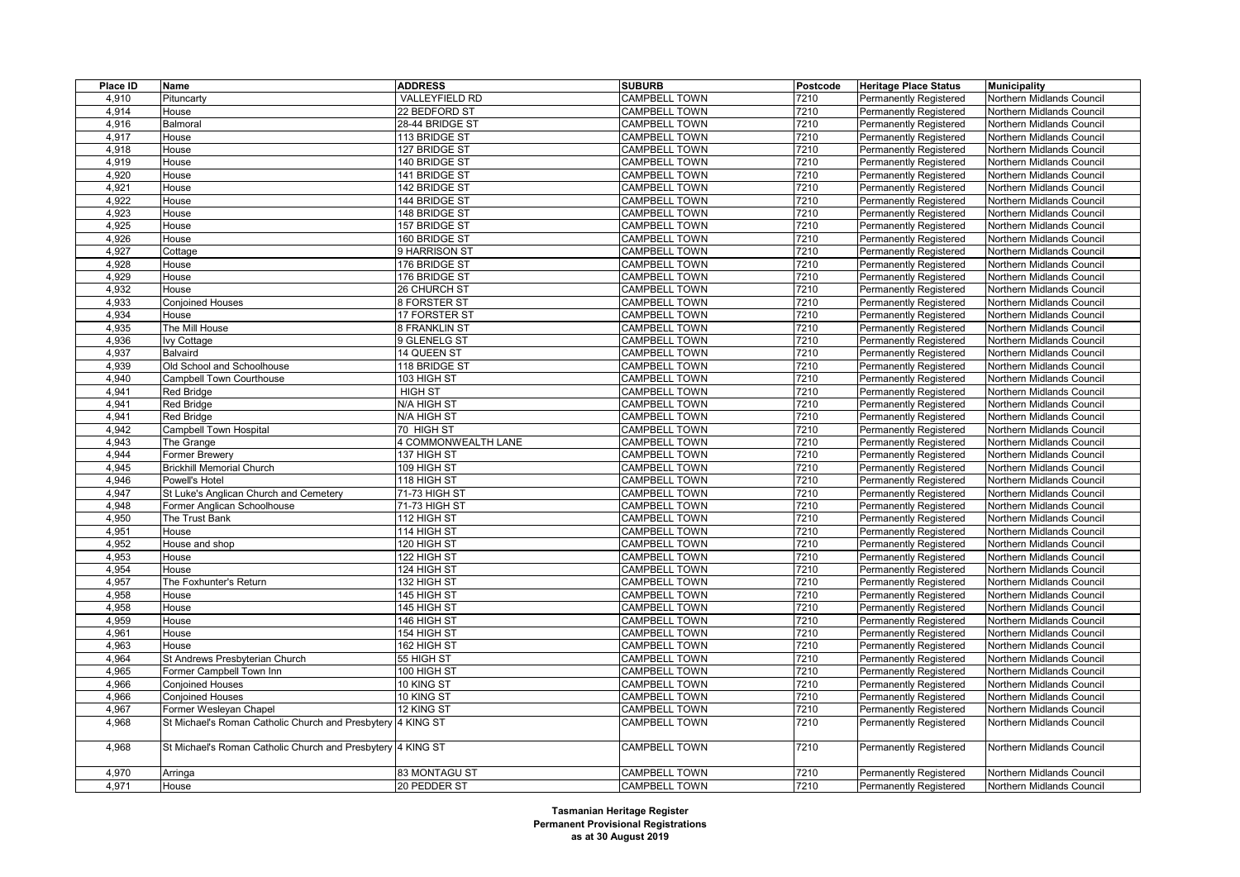| Place ID | Name                                                        | <b>ADDRESS</b>      | <b>SUBURB</b>        | Postcode | <b>Heritage Place Status</b>  | <b>Municipality</b>       |
|----------|-------------------------------------------------------------|---------------------|----------------------|----------|-------------------------------|---------------------------|
| 4,910    | Pituncarty                                                  | VALLEYFIELD RD      | <b>CAMPBELL TOWN</b> | 7210     | Permanently Registered        | Northern Midlands Council |
| 4,914    | House                                                       | 22 BEDFORD ST       | <b>CAMPBELL TOWN</b> | 7210     | <b>Permanently Registered</b> | Northern Midlands Council |
| 4,916    | Balmoral                                                    | 28-44 BRIDGE ST     | <b>CAMPBELL TOWN</b> | 7210     | <b>Permanently Registered</b> | Northern Midlands Council |
| 4,917    | House                                                       | 113 BRIDGE ST       | <b>CAMPBELL TOWN</b> | 7210     | Permanently Registered        | Northern Midlands Council |
| 4,918    | House                                                       | 127 BRIDGE ST       | <b>CAMPBELL TOWN</b> | 7210     | <b>Permanently Registered</b> | Northern Midlands Council |
| 4,919    | House                                                       | 140 BRIDGE ST       | CAMPBELL TOWN        | 7210     | <b>Permanently Registered</b> | Northern Midlands Council |
| 4,920    | House                                                       | 141 BRIDGE ST       | <b>CAMPBELL TOWN</b> | 7210     | <b>Permanently Registered</b> | Northern Midlands Council |
| 4,921    | House                                                       | 142 BRIDGE ST       | <b>CAMPBELL TOWN</b> | 7210     | <b>Permanently Registered</b> | Northern Midlands Council |
| 4,922    | House                                                       | 144 BRIDGE ST       | <b>CAMPBELL TOWN</b> | 7210     | <b>Permanently Registered</b> | Northern Midlands Council |
| 4,923    | House                                                       | 148 BRIDGE ST       | CAMPBELL TOWN        | 7210     | Permanently Registered        | Northern Midlands Council |
| 4,925    | House                                                       | 157 BRIDGE ST       | <b>CAMPBELL TOWN</b> | 7210     | <b>Permanently Registered</b> | Northern Midlands Council |
| 4,926    | House                                                       | 160 BRIDGE ST       | CAMPBELL TOWN        | 7210     | <b>Permanently Registered</b> | Northern Midlands Council |
| 4,927    | Cottage                                                     | 9 HARRISON ST       | CAMPBELL TOWN        | 7210     | Permanently Registered        | Northern Midlands Council |
| 4,928    | House                                                       | 176 BRIDGE ST       | <b>CAMPBELL TOWN</b> | 7210     | <b>Permanently Registered</b> | Northern Midlands Council |
| 4,929    | House                                                       | 176 BRIDGE ST       | <b>CAMPBELL TOWN</b> | 7210     | <b>Permanently Registered</b> | Northern Midlands Council |
| 4,932    | House                                                       | 26 CHURCH ST        | <b>CAMPBELL TOWN</b> | 7210     | Permanently Registered        | Northern Midlands Council |
| 4,933    | <b>Conjoined Houses</b>                                     | <b>8 FORSTER ST</b> | <b>CAMPBELL TOWN</b> | 7210     | <b>Permanently Registered</b> | Northern Midlands Council |
| 4,934    | House                                                       | 17 FORSTER ST       | <b>CAMPBELL TOWN</b> | 7210     | <b>Permanently Registered</b> | Northern Midlands Council |
| 4,935    | The Mill House                                              | 8 FRANKLIN ST       | CAMPBELL TOWN        | 7210     | <b>Permanently Registered</b> | Northern Midlands Council |
| 4,936    | lvy Cottage                                                 | 9 GLENELG ST        | <b>CAMPBELL TOWN</b> | 7210     | <b>Permanently Registered</b> | Northern Midlands Council |
| 4,937    | <b>Balvaird</b>                                             | 14 QUEEN ST         | <b>CAMPBELL TOWN</b> | 7210     | <b>Permanently Registered</b> | Northern Midlands Council |
| 4,939    | Old School and Schoolhouse                                  | 118 BRIDGE ST       | <b>CAMPBELL TOWN</b> | 7210     | <b>Permanently Registered</b> | Northern Midlands Council |
| 4,940    | Campbell Town Courthouse                                    | 103 HIGH ST         | <b>CAMPBELL TOWN</b> | 7210     | <b>Permanently Registered</b> | Northern Midlands Council |
| 4,941    | <b>Red Bridge</b>                                           | <b>HIGH ST</b>      | <b>CAMPBELL TOWN</b> | 7210     | <b>Permanently Registered</b> | Northern Midlands Council |
| 4,941    | <b>Red Bridge</b>                                           | N/A HIGH ST         | <b>CAMPBELL TOWN</b> | 7210     | <b>Permanently Registered</b> | Northern Midlands Council |
| 4,941    | <b>Red Bridge</b>                                           | N/A HIGH ST         | <b>CAMPBELL TOWN</b> | 7210     | <b>Permanently Registered</b> | Northern Midlands Council |
| 4,942    | Campbell Town Hospital                                      | 70 HIGH ST          | CAMPBELL TOWN        | 7210     | Permanently Registered        | Northern Midlands Council |
| 4,943    | The Grange                                                  | 4 COMMONWEALTH LANE | <b>CAMPBELL TOWN</b> | 7210     | <b>Permanently Registered</b> | Northern Midlands Council |
| 4,944    | <b>Former Brewery</b>                                       | 137 HIGH ST         | <b>CAMPBELL TOWN</b> | 7210     | <b>Permanently Registered</b> | Northern Midlands Council |
| 4,945    | <b>Brickhill Memorial Church</b>                            | 109 HIGH ST         | <b>CAMPBELL TOWN</b> | 7210     | Permanently Registered        | Northern Midlands Council |
| 4,946    | Powell's Hotel                                              | 118 HIGH ST         | <b>CAMPBELL TOWN</b> | 7210     | <b>Permanently Registered</b> | Northern Midlands Council |
| 4,947    | St Luke's Anglican Church and Cemetery                      | 71-73 HIGH ST       | CAMPBELL TOWN        | 7210     | <b>Permanently Registered</b> | Northern Midlands Council |
| 4,948    | Former Anglican Schoolhouse                                 | 71-73 HIGH ST       | CAMPBELL TOWN        | 7210     | Permanently Registered        | Northern Midlands Council |
| 4,950    | The Trust Bank                                              | 112 HIGH ST         | <b>CAMPBELL TOWN</b> | 7210     | <b>Permanently Registered</b> | Northern Midlands Council |
| 4,951    | House                                                       | 114 HIGH ST         | <b>CAMPBELL TOWN</b> | 7210     | <b>Permanently Registered</b> | Northern Midlands Council |
| 4,952    | House and shop                                              | 120 HIGH ST         | CAMPBELL TOWN        | 7210     | Permanently Registered        | Northern Midlands Council |
| 4,953    | House                                                       | 122 HIGH ST         | <b>CAMPBELL TOWN</b> | 7210     | <b>Permanently Registered</b> | Northern Midlands Council |
| 4,954    | House                                                       | 124 HIGH ST         | <b>CAMPBELL TOWN</b> | 7210     | <b>Permanently Registered</b> | Northern Midlands Council |
| 4,957    | The Foxhunter's Return                                      | 132 HIGH ST         | <b>CAMPBELL TOWN</b> | 7210     | <b>Permanently Registered</b> | Northern Midlands Council |
| 4,958    | House                                                       | 145 HIGH ST         | <b>CAMPBELL TOWN</b> | 7210     | Permanently Registered        | Northern Midlands Council |
| 4,958    | House                                                       | 145 HIGH ST         | <b>CAMPBELL TOWN</b> | 7210     | <b>Permanently Registered</b> | Northern Midlands Council |
| 4,959    | House                                                       | 146 HIGH ST         | <b>CAMPBELL TOWN</b> | 7210     | <b>Permanently Registered</b> | Northern Midlands Council |
| 4,961    | House                                                       | 154 HIGH ST         | <b>CAMPBELL TOWN</b> | 7210     | Permanently Registered        | Northern Midlands Council |
| 4,963    | House                                                       | 162 HIGH ST         | <b>CAMPBELL TOWN</b> | 7210     | <b>Permanently Registered</b> | Northern Midlands Council |
| 4,964    | St Andrews Presbyterian Church                              | 55 HIGH ST          | CAMPBELL TOWN        | 7210     | <b>Permanently Registered</b> | Northern Midlands Council |
| 4,965    | Former Campbell Town Inn                                    | 100 HIGH ST         | <b>CAMPBELL TOWN</b> | 7210     | <b>Permanently Registered</b> | Northern Midlands Council |
| 4,966    | <b>Conjoined Houses</b>                                     | 10 KING ST          | CAMPBELL TOWN        | 7210     | <b>Permanently Registered</b> | Northern Midlands Council |
| 4,966    | <b>Conjoined Houses</b>                                     | 10 KING ST          | <b>CAMPBELL TOWN</b> | 7210     | <b>Permanently Registered</b> | Northern Midlands Council |
| 4,967    | Former Wesleyan Chapel                                      | 12 KING ST          | <b>CAMPBELL TOWN</b> | 7210     | Permanently Registered        | Northern Midlands Council |
| 4,968    | St Michael's Roman Catholic Church and Presbytery 4 KING ST |                     | <b>CAMPBELL TOWN</b> | 7210     | Permanently Registered        | Northern Midlands Council |
|          |                                                             |                     |                      |          |                               |                           |
| 4,968    | St Michael's Roman Catholic Church and Presbytery 4 KING ST |                     | CAMPBELL TOWN        | 7210     | <b>Permanently Registered</b> | Northern Midlands Council |
| 4,970    | Arringa                                                     | 83 MONTAGU ST       | <b>CAMPBELL TOWN</b> | 7210     | Permanently Registered        | Northern Midlands Council |
| 4,971    | House                                                       | 20 PEDDER ST        | <b>CAMPBELL TOWN</b> | 7210     | Permanently Registered        | Northern Midlands Council |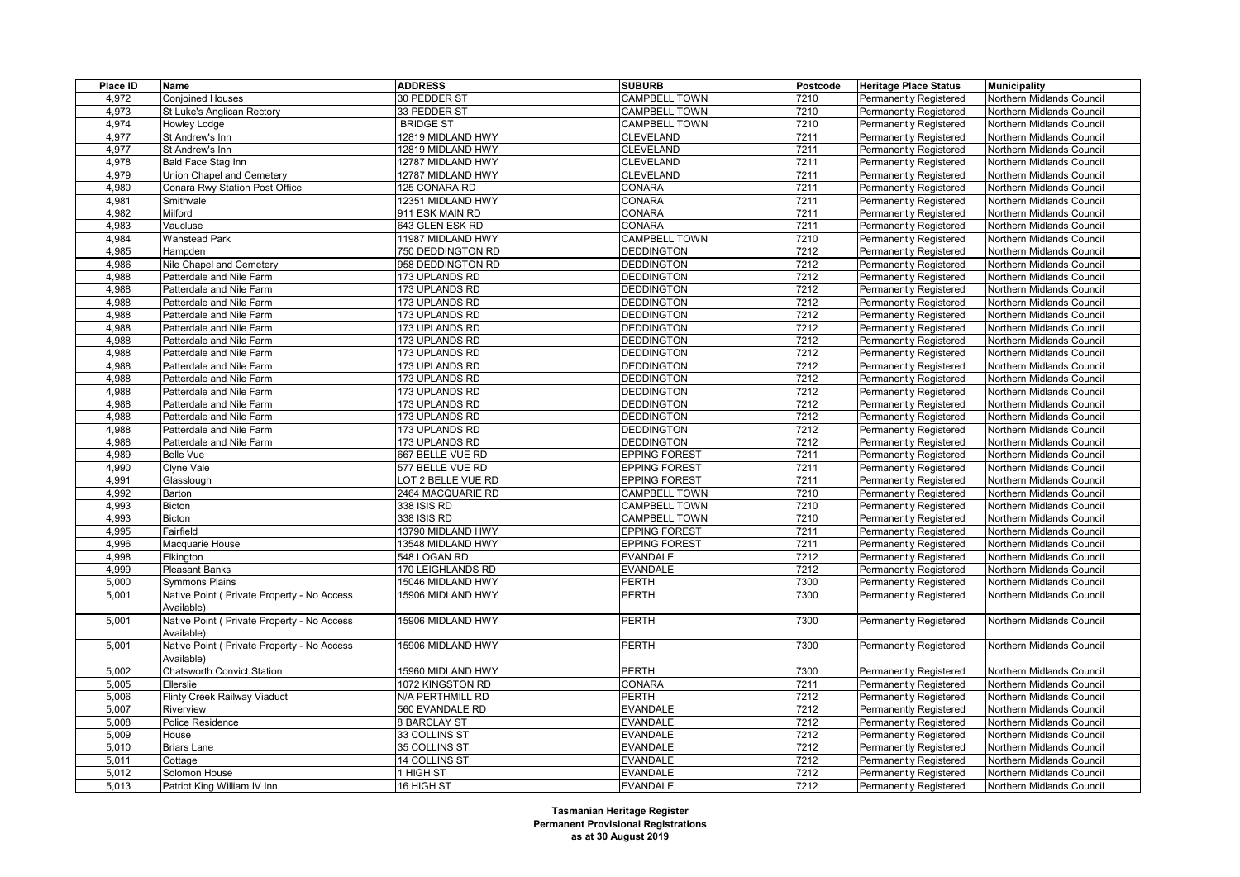| Place ID | Name                                                      | <b>ADDRESS</b>     | <b>SUBURB</b>        | Postcode | <b>Heritage Place Status</b>  | <b>Municipality</b>              |
|----------|-----------------------------------------------------------|--------------------|----------------------|----------|-------------------------------|----------------------------------|
| 4,972    | <b>Conjoined Houses</b>                                   | 30 PEDDER ST       | <b>CAMPBELL TOWN</b> | 7210     | <b>Permanently Registered</b> | Northern Midlands Council        |
| 4,973    | St Luke's Anglican Rectory                                | 33 PEDDER ST       | <b>CAMPBELL TOWN</b> | 7210     | Permanently Registered        | Northern Midlands Council        |
| 4,974    | Howley Lodge                                              | <b>BRIDGE ST</b>   | <b>CAMPBELL TOWN</b> | 7210     | <b>Permanently Registered</b> | Northern Midlands Council        |
| 4,977    | St Andrew's Inn                                           | 12819 MIDLAND HWY  | <b>CLEVELAND</b>     | 7211     | <b>Permanently Registered</b> | Northern Midlands Council        |
| 4,977    | St Andrew's Inn                                           | 12819 MIDLAND HWY  | <b>CLEVELAND</b>     | 7211     | Permanently Registered        | Northern Midlands Council        |
| 4,978    | Bald Face Stag Inn                                        | 12787 MIDLAND HWY  | <b>CLEVELAND</b>     | 7211     | Permanently Registered        | Northern Midlands Council        |
| 4,979    | Union Chapel and Cemetery                                 | 12787 MIDLAND HWY  | <b>CLEVELAND</b>     | 7211     | <b>Permanently Registered</b> | Northern Midlands Council        |
| 4,980    | Conara Rwy Station Post Office                            | 125 CONARA RD      | CONARA               | 7211     | Permanently Registered        | Northern Midlands Council        |
| 4,981    | Smithvale                                                 | 12351 MIDLAND HWY  | CONARA               | 7211     | Permanently Registered        | Northern Midlands Council        |
| 4,982    | Milford                                                   | 911 ESK MAIN RD    | <b>CONARA</b>        | 7211     | <b>Permanently Registered</b> | Northern Midlands Council        |
| 4,983    | Vaucluse                                                  | 643 GLEN ESK RD    | <b>CONARA</b>        | 7211     | Permanently Registered        | Northern Midlands Council        |
| 4,984    | Wanstead Park                                             | 11987 MIDLAND HWY  | <b>CAMPBELL TOWN</b> | 7210     | Permanently Registered        | Northern Midlands Council        |
| 4,985    | Hampden                                                   | 750 DEDDINGTON RD  | <b>DEDDINGTON</b>    | 7212     | <b>Permanently Registered</b> | Northern Midlands Council        |
| 4,986    | Nile Chapel and Cemetery                                  | 958 DEDDINGTON RD  | <b>DEDDINGTON</b>    | 7212     | Permanently Registered        | Northern Midlands Council        |
| 4,988    | Patterdale and Nile Farm                                  | 173 UPLANDS RD     | <b>DEDDINGTON</b>    | 7212     | Permanently Registered        | Northern Midlands Council        |
| 4,988    | Patterdale and Nile Farm                                  | 173 UPLANDS RD     | <b>DEDDINGTON</b>    | 7212     | <b>Permanently Registered</b> | Northern Midlands Council        |
| 4,988    | Patterdale and Nile Farm                                  | 173 UPLANDS RD     | <b>DEDDINGTON</b>    | 7212     | Permanently Registered        | Northern Midlands Council        |
| 4,988    | Patterdale and Nile Farm                                  | 173 UPLANDS RD     | <b>DEDDINGTON</b>    | 7212     | Permanently Registered        | Northern Midlands Council        |
| 4,988    | Patterdale and Nile Farm                                  | 173 UPLANDS RD     | <b>DEDDINGTON</b>    | 7212     | <b>Permanently Registered</b> | Northern Midlands Council        |
| 4,988    | Patterdale and Nile Farm                                  | 173 UPLANDS RD     | <b>DEDDINGTON</b>    | 7212     | <b>Permanently Registered</b> | Northern Midlands Council        |
| 4,988    | Patterdale and Nile Farm                                  | 173 UPLANDS RD     | <b>DEDDINGTON</b>    | 7212     | Permanently Registered        | Northern Midlands Council        |
| 4,988    | Patterdale and Nile Farm                                  | 173 UPLANDS RD     | <b>DEDDINGTON</b>    | 7212     | <b>Permanently Registered</b> | Northern Midlands Council        |
| 4,988    | Patterdale and Nile Farm                                  | 173 UPLANDS RD     | <b>DEDDINGTON</b>    | 7212     | <b>Permanently Registered</b> | Northern Midlands Council        |
| 4,988    | Patterdale and Nile Farm                                  | 173 UPLANDS RD     | <b>DEDDINGTON</b>    | 7212     | Permanently Registered        | Northern Midlands Council        |
| 4,988    | Patterdale and Nile Farm                                  | 173 UPLANDS RD     | <b>DEDDINGTON</b>    | 7212     | <b>Permanently Registered</b> | <b>Northern Midlands Council</b> |
| 4,988    | Patterdale and Nile Farm                                  | 173 UPLANDS RD     | <b>DEDDINGTON</b>    | 7212     | <b>Permanently Registered</b> | Northern Midlands Council        |
| 4,988    | Patterdale and Nile Farm                                  | 173 UPLANDS RD     | <b>DEDDINGTON</b>    | 7212     | Permanently Registered        | Northern Midlands Council        |
| 4,988    | Patterdale and Nile Farm                                  | 173 UPLANDS RD     | <b>DEDDINGTON</b>    | 7212     | Permanently Registered        | Northern Midlands Council        |
| 4,989    | <b>Belle Vue</b>                                          | 667 BELLE VUE RD   | <b>EPPING FOREST</b> | 7211     | <b>Permanently Registered</b> | Northern Midlands Council        |
| 4,990    | Clyne Vale                                                | 577 BELLE VUE RD   | <b>EPPING FOREST</b> | 7211     | <b>Permanently Registered</b> | Northern Midlands Council        |
| 4,991    | Glasslough                                                | LOT 2 BELLE VUE RD | <b>EPPING FOREST</b> | 7211     | <b>Permanently Registered</b> | Northern Midlands Council        |
| 4,992    | Barton                                                    | 2464 MACQUARIE RD  | <b>CAMPBELL TOWN</b> | 7210     | <b>Permanently Registered</b> | Northern Midlands Council        |
| 4,993    | <b>Bicton</b>                                             | 338 ISIS RD        | <b>CAMPBELL TOWN</b> | 7210     | <b>Permanently Registered</b> | Northern Midlands Council        |
| 4,993    | <b>Bicton</b>                                             | 338 ISIS RD        | <b>CAMPBELL TOWN</b> | 7210     | Permanently Registered        | Northern Midlands Council        |
| 4,995    | Fairfield                                                 | 13790 MIDLAND HWY  | <b>EPPING FOREST</b> | 7211     | <b>Permanently Registered</b> | Northern Midlands Council        |
| 4,996    | Macquarie House                                           | 13548 MIDLAND HWY  | <b>EPPING FOREST</b> | 7211     | <b>Permanently Registered</b> | Northern Midlands Council        |
| 4,998    | Elkington                                                 | 548 LOGAN RD       | <b>EVANDALE</b>      | 7212     | <b>Permanently Registered</b> | <b>Northern Midlands Council</b> |
| 4,999    | <b>Pleasant Banks</b>                                     | 170 LEIGHLANDS RD  | EVANDALE             | 7212     | <b>Permanently Registered</b> | Northern Midlands Council        |
| 5,000    | <b>Symmons Plains</b>                                     | 15046 MIDLAND HWY  | PERTH                | 7300     | <b>Permanently Registered</b> | Northern Midlands Council        |
| 5,001    | Native Point ( Private Property - No Access               | 15906 MIDLAND HWY  | <b>PERTH</b>         | 7300     | <b>Permanently Registered</b> | <b>Northern Midlands Council</b> |
|          | Available)                                                |                    |                      |          |                               |                                  |
| 5,001    | Native Point ( Private Property - No Access<br>Available) | 15906 MIDLAND HWY  | PERTH                | 7300     | <b>Permanently Registered</b> | Northern Midlands Council        |
| 5,001    | Native Point ( Private Property - No Access<br>Available) | 15906 MIDLAND HWY  | PERTH                | 7300     | <b>Permanently Registered</b> | Northern Midlands Council        |
| 5,002    | <b>Chatsworth Convict Station</b>                         | 15960 MIDLAND HWY  | PERTH                | 7300     | <b>Permanently Registered</b> | Northern Midlands Council        |
| 5,005    | Ellerslie                                                 | 1072 KINGSTON RD   | <b>CONARA</b>        | 7211     | <b>Permanently Registered</b> | Northern Midlands Council        |
| 5,006    | <b>Flinty Creek Railway Viaduct</b>                       | N/A PERTHMILL RD   | PERTH                | 7212     | <b>Permanently Registered</b> | Northern Midlands Council        |
| 5,007    | Riverview                                                 | 560 EVANDALE RD    | <b>EVANDALE</b>      | 7212     | <b>Permanently Registered</b> | Northern Midlands Council        |
| 5,008    | Police Residence                                          | 8 BARCLAY ST       | <b>EVANDALE</b>      | 7212     | <b>Permanently Registered</b> | Northern Midlands Council        |
| 5,009    | House                                                     | 33 COLLINS ST      | <b>EVANDALE</b>      | 7212     | <b>Permanently Registered</b> | Northern Midlands Council        |
| 5,010    | <b>Briars Lane</b>                                        | 35 COLLINS ST      | <b>EVANDALE</b>      | 7212     | <b>Permanently Registered</b> | Northern Midlands Council        |
| 5,011    | Cottage                                                   | 14 COLLINS ST      | <b>EVANDALE</b>      | 7212     | <b>Permanently Registered</b> | Northern Midlands Council        |
| 5.012    | Solomon House                                             | 1 HIGH ST          | <b>EVANDALE</b>      | 7212     | <b>Permanently Registered</b> | Northern Midlands Council        |
| 5,013    | Patriot King William IV Inn                               | 16 HIGH ST         | <b>EVANDALE</b>      | 7212     | Permanently Registered        | Northern Midlands Council        |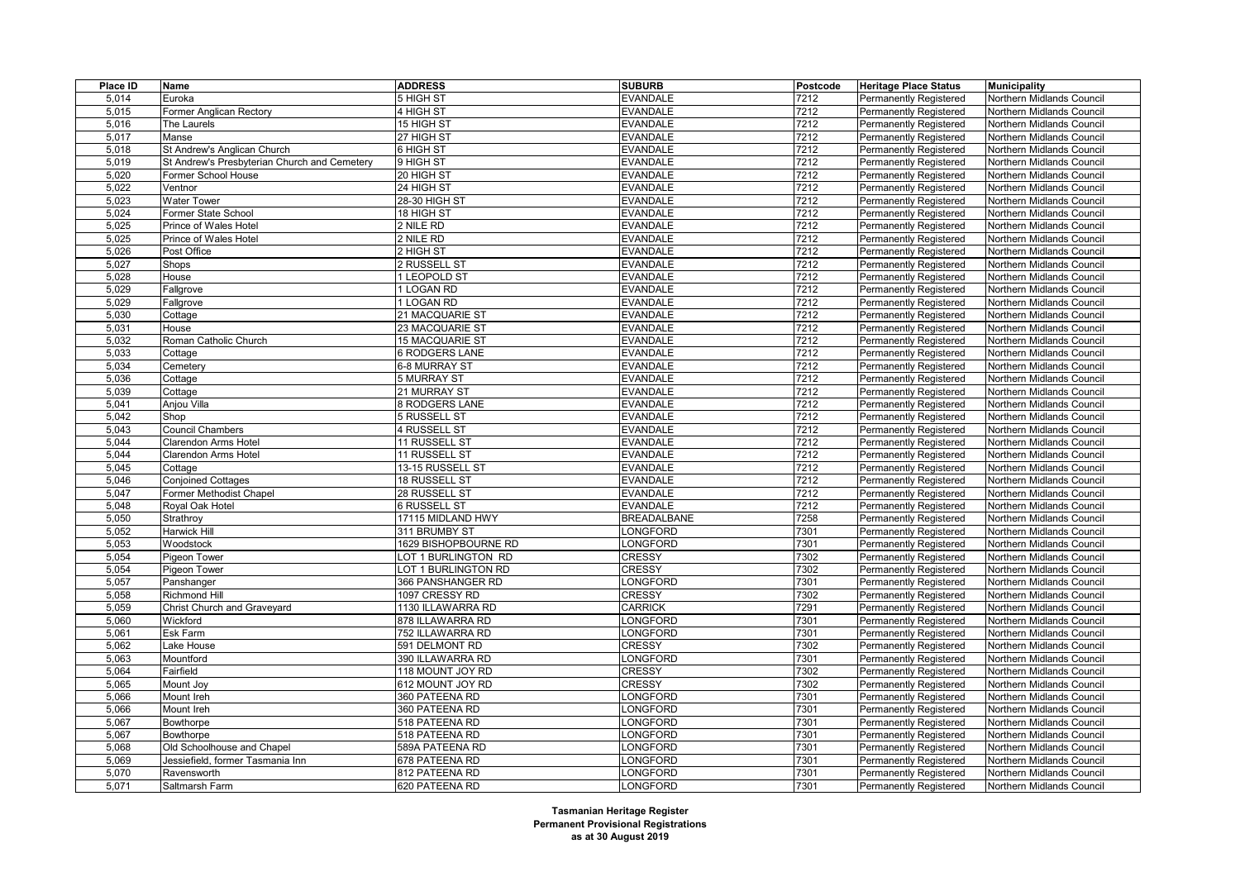| Place ID | Name                                         | <b>ADDRESS</b>        | <b>SUBURB</b>                      | Postcode | <b>Heritage Place Status</b>  | <b>Municipality</b>       |
|----------|----------------------------------------------|-----------------------|------------------------------------|----------|-------------------------------|---------------------------|
| 5,014    | Euroka                                       | 5 HIGH ST             | <b>EVANDALE</b>                    | 7212     | Permanently Registered        | Northern Midlands Council |
| 5,015    | Former Anglican Rectory                      | 4 HIGH ST             | <b>EVANDALE</b>                    | 7212     | <b>Permanently Registered</b> | Northern Midlands Council |
| 5,016    | The Laurels                                  | 15 HIGH ST            | <b>EVANDALE</b>                    | 7212     | <b>Permanently Registered</b> | Northern Midlands Council |
| 5,017    | Manse                                        | 27 HIGH ST            | <b>EVANDALE</b>                    | 7212     | Permanently Registered        | Northern Midlands Council |
| 5,018    | St Andrew's Anglican Church                  | 6 HIGH ST             | <b>EVANDALE</b>                    | 7212     | <b>Permanently Registered</b> | Northern Midlands Council |
| 5,019    | St Andrew's Presbyterian Church and Cemetery | 9 HIGH ST             | <b>EVANDALE</b>                    | 7212     | <b>Permanently Registered</b> | Northern Midlands Council |
| 5,020    | Former School House                          | 20 HIGH ST            | <b>EVANDALE</b>                    | 7212     | Permanently Registered        | Northern Midlands Council |
| 5,022    | Ventnor                                      | 24 HIGH ST            | <b>EVANDALE</b>                    | 7212     | <b>Permanently Registered</b> | Northern Midlands Council |
| 5,023    | <b>Water Tower</b>                           | 28-30 HIGH ST         | <b>EVANDALE</b>                    | 7212     | <b>Permanently Registered</b> | Northern Midlands Council |
| 5,024    | Former State School                          | 18 HIGH ST            | <b>EVANDALE</b>                    | 7212     | <b>Permanently Registered</b> | Northern Midlands Council |
| 5,025    | Prince of Wales Hotel                        | 2 NILE RD             | <b>EVANDALE</b>                    | 7212     | <b>Permanently Registered</b> | Northern Midlands Council |
| 5,025    | Prince of Wales Hotel                        | 2 NILE RD             | <b>EVANDALE</b>                    | 7212     | Permanently Registered        | Northern Midlands Council |
| 5,026    | Post Office                                  | 2 HIGH ST             | <b>EVANDALE</b>                    | 7212     | <b>Permanently Registered</b> | Northern Midlands Council |
| 5,027    | Shops                                        | 2 RUSSELL ST          | <b>EVANDALE</b>                    | 7212     | <b>Permanently Registered</b> | Northern Midlands Council |
| 5,028    | House                                        | 1 LEOPOLD ST          | <b>EVANDALE</b>                    | 7212     | Permanently Registered        | Northern Midlands Council |
| 5,029    | Fallgrove                                    | 1 LOGAN RD            | <b>EVANDALE</b>                    | 7212     | <b>Permanently Registered</b> | Northern Midlands Council |
| 5,029    | Fallgrove                                    | 1 LOGAN RD            | <b>EVANDALE</b>                    | 7212     | <b>Permanently Registered</b> | Northern Midlands Council |
| 5,030    | Cottage                                      | 21 MACQUARIE ST       | <b>EVANDALE</b>                    | 7212     | <b>Permanently Registered</b> | Northern Midlands Council |
| 5,031    | House                                        | 23 MACQUARIE ST       | <b>EVANDALE</b>                    | 7212     | <b>Permanently Registered</b> | Northern Midlands Council |
| 5,032    | Roman Catholic Church                        | 15 MACQUARIE ST       | <b>EVANDALE</b>                    | 7212     | <b>Permanently Registered</b> | Northern Midlands Council |
| 5,033    | Cottage                                      | <b>6 RODGERS LANE</b> | <b>EVANDALE</b>                    | 7212     | Permanently Registered        | Northern Midlands Council |
| 5,034    | Cemetery                                     | 6-8 MURRAY ST         | <b>EVANDALE</b>                    | 7212     | <b>Permanently Registered</b> | Northern Midlands Council |
|          |                                              |                       | <b>EVANDALE</b>                    | 7212     |                               |                           |
| 5,036    | Cottage                                      | 5 MURRAY ST           |                                    |          | Permanently Registered        | Northern Midlands Council |
| 5,039    | Cottage                                      | 21 MURRAY ST          | <b>EVANDALE</b>                    | 7212     | <b>Permanently Registered</b> | Northern Midlands Council |
| 5,041    | Anjou Villa                                  | 8 RODGERS LANE        | <b>EVANDALE</b><br><b>EVANDALE</b> | 7212     | <b>Permanently Registered</b> | Northern Midlands Council |
| 5,042    | Shop                                         | 5 RUSSELL ST          |                                    | 7212     | Permanently Registered        | Northern Midlands Council |
| 5,043    | <b>Council Chambers</b>                      | 4 RUSSELL ST          | <b>EVANDALE</b>                    | 7212     | <b>Permanently Registered</b> | Northern Midlands Council |
| 5,044    | Clarendon Arms Hotel                         | 11 RUSSELL ST         | <b>EVANDALE</b>                    | 7212     | <b>Permanently Registered</b> | Northern Midlands Council |
| 5,044    | Clarendon Arms Hotel                         | 11 RUSSELL ST         | <b>EVANDALE</b>                    | 7212     | Permanently Registered        | Northern Midlands Council |
| 5,045    | Cottage                                      | 13-15 RUSSELL ST      | <b>EVANDALE</b>                    | 7212     | <b>Permanently Registered</b> | Northern Midlands Council |
| 5,046    | <b>Conjoined Cottages</b>                    | 18 RUSSELL ST         | <b>EVANDALE</b>                    | 7212     | <b>Permanently Registered</b> | Northern Midlands Council |
| 5,047    | Former Methodist Chapel                      | 28 RUSSELL ST         | <b>EVANDALE</b>                    | 7212     | Permanently Registered        | Northern Midlands Council |
| 5,048    | Royal Oak Hotel                              | <b>6 RUSSELL ST</b>   | <b>EVANDALE</b>                    | 7212     | <b>Permanently Registered</b> | Northern Midlands Council |
| 5,050    | Strathroy                                    | 17115 MIDLAND HWY     | <b>BREADALBANE</b>                 | 7258     | <b>Permanently Registered</b> | Northern Midlands Council |
| 5,052    | Harwick Hill                                 | 311 BRUMBY ST         | ONGFORD                            | 7301     | <b>Permanently Registered</b> | Northern Midlands Council |
| 5,053    | Woodstock                                    | 1629 BISHOPBOURNE RD  | LONGFORD                           | 7301     | <b>Permanently Registered</b> | Northern Midlands Council |
| 5,054    | <b>Pigeon Tower</b>                          | LOT 1 BURLINGTON RD   | <b>CRESSY</b>                      | 7302     | <b>Permanently Registered</b> | Northern Midlands Council |
| 5,054    | <b>Pigeon Tower</b>                          | LOT 1 BURLINGTON RD   | <b>CRESSY</b>                      | 7302     | <b>Permanently Registered</b> | Northern Midlands Council |
| 5,057    | Panshanger                                   | 366 PANSHANGER RD     | LONGFORD                           | 7301     | <b>Permanently Registered</b> | Northern Midlands Council |
| 5,058    | <b>Richmond Hill</b>                         | 1097 CRESSY RD        | <b>CRESSY</b>                      | 7302     | <b>Permanently Registered</b> | Northern Midlands Council |
| 5,059    | <b>Christ Church and Graveyard</b>           | 1130 ILLAWARRA RD     | <b>CARRICK</b>                     | 7291     | <b>Permanently Registered</b> | Northern Midlands Council |
| 5,060    | Wickford                                     | 878 ILLAWARRA RD      | ONGFORD                            | 7301     | <b>Permanently Registered</b> | Northern Midlands Council |
| 5,061    | Esk Farm                                     | 752 ILLAWARRA RD      | <b>LONGFORD</b>                    | 7301     | <b>Permanently Registered</b> | Northern Midlands Council |
| 5,062    | Lake House                                   | 591 DELMONT RD        | <b>CRESSY</b>                      | 7302     | <b>Permanently Registered</b> | Northern Midlands Council |
| 5,063    | Mountford                                    | 390 ILLAWARRA RD      | ONGFORD                            | 7301     | Permanently Registered        | Northern Midlands Council |
| 5,064    | Fairfield                                    | 118 MOUNT JOY RD      | <b>CRESSY</b>                      | 7302     | <b>Permanently Registered</b> | Northern Midlands Council |
| 5,065    | Mount Joy                                    | 612 MOUNT JOY RD      | <b>CRESSY</b>                      | 7302     | <b>Permanently Registered</b> | Northern Midlands Council |
| 5,066    | Mount Ireh                                   | 360 PATEENA RD        | <b>ONGFORD</b>                     | 7301     | <b>Permanently Registered</b> | Northern Midlands Council |
| 5,066    | Mount Ireh                                   | 360 PATEENA RD        | <b>LONGFORD</b>                    | 7301     | <b>Permanently Registered</b> | Northern Midlands Council |
| 5,067    | Bowthorpe                                    | 518 PATEENA RD        | ONGFORD                            | 7301     | <b>Permanently Registered</b> | Northern Midlands Council |
| 5,067    | Bowthorpe                                    | 518 PATEENA RD        | ONGFORD                            | 7301     | <b>Permanently Registered</b> | Northern Midlands Council |
| 5,068    | Old Schoolhouse and Chapel                   | 589A PATEENA RD       | LONGFORD                           | 7301     | <b>Permanently Registered</b> | Northern Midlands Council |
| 5,069    | Jessiefield, former Tasmania Inn             | 678 PATEENA RD        | <b>ONGFORD</b>                     | 7301     | <b>Permanently Registered</b> | Northern Midlands Council |
| 5,070    | Ravensworth                                  | 812 PATEENA RD        | ONGFORD                            | 7301     | <b>Permanently Registered</b> | Northern Midlands Council |
| 5,071    | Saltmarsh Farm                               | 620 PATEENA RD        | LONGFORD                           | 7301     | <b>Permanently Registered</b> | Northern Midlands Council |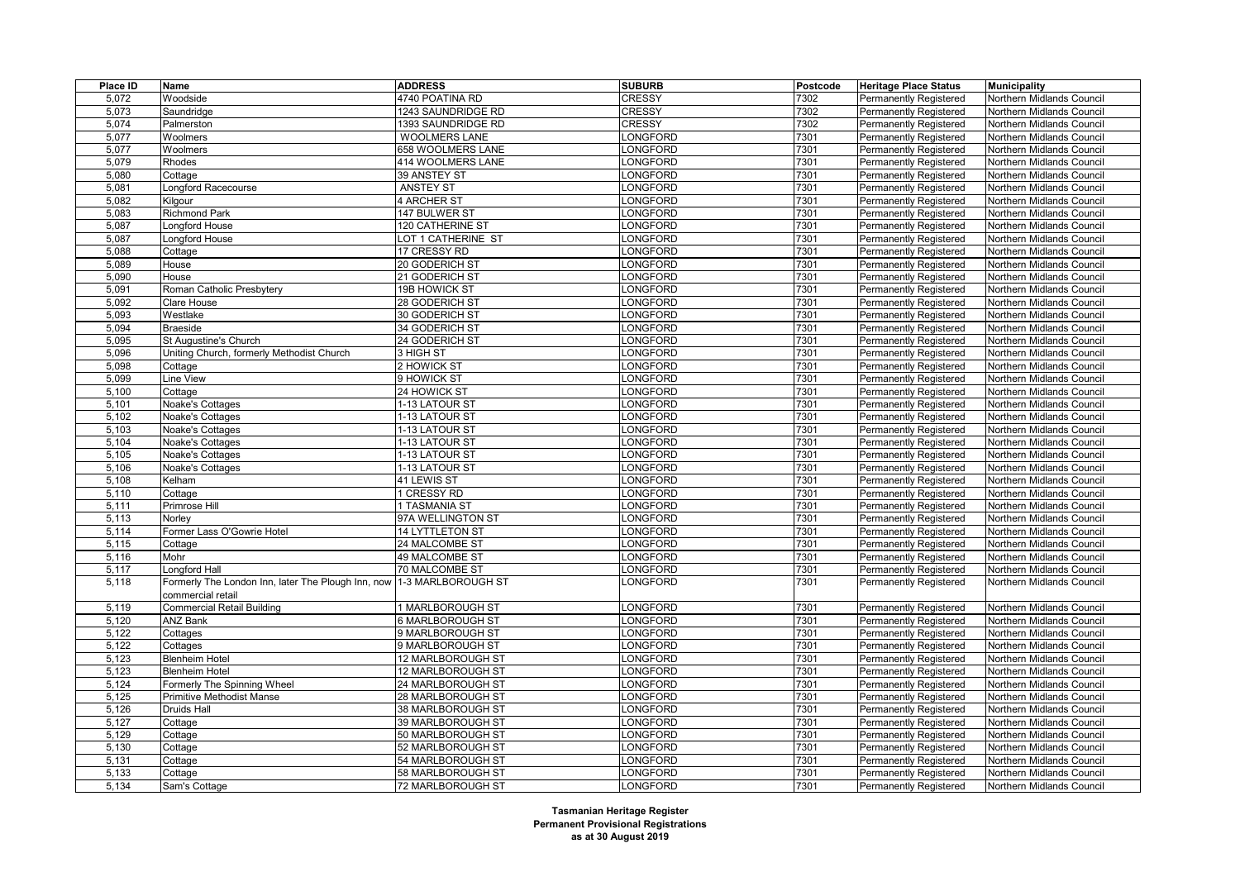| Place ID | Name                                                                  | <b>ADDRESS</b>       | <b>SUBURB</b>   | Postcode | <b>Heritage Place Status</b>  | <b>Municipality</b>              |
|----------|-----------------------------------------------------------------------|----------------------|-----------------|----------|-------------------------------|----------------------------------|
| 5,072    | Woodside                                                              | 4740 POATINA RD      | <b>CRESSY</b>   | 7302     | <b>Permanently Registered</b> | Northern Midlands Council        |
| 5,073    | Saundridge                                                            | 1243 SAUNDRIDGE RD   | <b>CRESSY</b>   | 7302     | <b>Permanently Registered</b> | Northern Midlands Council        |
| 5,074    | Palmerston                                                            | 1393 SAUNDRIDGE RD   | <b>CRESSY</b>   | 7302     | <b>Permanently Registered</b> | Northern Midlands Council        |
| 5,077    | Woolmers                                                              | <b>WOOLMERS LANE</b> | <b>LONGFORD</b> | 7301     | <b>Permanently Registered</b> | Northern Midlands Council        |
| 5,077    | Woolmers                                                              | 658 WOOLMERS LANE    | ONGFORD         | 7301     | Permanently Registered        | Northern Midlands Council        |
| 5,079    | Rhodes                                                                | 414 WOOLMERS LANE    | ONGFORD         | 7301     | Permanently Registered        | Northern Midlands Council        |
| 5,080    | Cottage                                                               | 39 ANSTEY ST         | ONGFORD         | 7301     | Permanently Registered        | Northern Midlands Council        |
| 5,081    | Longford Racecourse                                                   | ANSTEY ST            | <b>LONGFORD</b> | 7301     | Permanently Registered        | Northern Midlands Council        |
| 5,082    | Kilgour                                                               | 4 ARCHER ST          | <b>LONGFORD</b> | 7301     | <b>Permanently Registered</b> | Northern Midlands Council        |
| 5,083    | <b>Richmond Park</b>                                                  | 147 BULWER ST        | <b>LONGFORD</b> | 7301     | Permanently Registered        | Northern Midlands Council        |
| 5,087    | _ongford House                                                        | 120 CATHERINE ST     | ONGFORD         | 7301     | <b>Permanently Registered</b> | Northern Midlands Council        |
| 5,087    | Longford House                                                        | LOT 1 CATHERINE ST   | <b>LONGFORD</b> | 7301     | <b>Permanently Registered</b> | Northern Midlands Council        |
| 5,088    | Cottage                                                               | 17 CRESSY RD         | _ONGFORD        | 7301     | <b>Permanently Registered</b> | Northern Midlands Council        |
| 5.089    | House                                                                 | 20 GODERICH ST       | <b>LONGFORD</b> | 7301     | Permanently Registered        | Northern Midlands Council        |
| 5,090    | House                                                                 | 21 GODERICH ST       | LONGFORD        | 7301     | Permanently Registered        | Northern Midlands Council        |
| 5,091    | Roman Catholic Presbytery                                             | 19B HOWICK ST        | <b>LONGFORD</b> | 7301     | <b>Permanently Registered</b> | Northern Midlands Council        |
| 5,092    | Clare House                                                           | 28 GODERICH ST       | ONGFORD         | 7301     | <b>Permanently Registered</b> | Northern Midlands Council        |
| 5,093    | Westlake                                                              | 30 GODERICH ST       | ONGFORD         | 7301     | <b>Permanently Registered</b> | Northern Midlands Council        |
| 5,094    | <b>Braeside</b>                                                       | 34 GODERICH ST       | <b>LONGFORD</b> | 7301     | <b>Permanently Registered</b> | <b>Northern Midlands Council</b> |
| 5,095    | St Augustine's Church                                                 | 24 GODERICH ST       | <b>LONGFORD</b> | 7301     | <b>Permanently Registered</b> | Northern Midlands Council        |
| 5,096    | Uniting Church, formerly Methodist Church                             | 3 HIGH ST            | ONGFORD         | 7301     | Permanently Registered        | Northern Midlands Council        |
| 5,098    | Cottage                                                               | 2 HOWICK ST          | <b>LONGFORD</b> | 7301     | Permanently Registered        | Northern Midlands Council        |
| 5,099    | ine View                                                              | 9 HOWICK ST          | <b>LONGFORD</b> | 7301     | <b>Permanently Registered</b> | Northern Midlands Council        |
| 5,100    | Cottage                                                               | 24 HOWICK ST         | <b>LONGFORD</b> | 7301     | Permanently Registered        | Northern Midlands Council        |
| 5,101    | Noake's Cottages                                                      | 1-13 LATOUR ST       | <b>LONGFORD</b> | 7301     | Permanently Registered        | Northern Midlands Council        |
| 5,102    | Noake's Cottages                                                      | 1-13 LATOUR ST       | <b>LONGFORD</b> | 7301     | Permanently Registered        | Northern Midlands Council        |
| 5,103    | Noake's Cottages                                                      | 1-13 LATOUR ST       | ONGFORD         | 7301     | <b>Permanently Registered</b> | Northern Midlands Council        |
| 5,104    | Noake's Cottages                                                      | 1-13 LATOUR ST       | <b>LONGFORD</b> | 7301     | Permanently Registered        | Northern Midlands Council        |
| 5,105    | Noake's Cottages                                                      | 1-13 LATOUR ST       | <b>LONGFORD</b> | 7301     | <b>Permanently Registered</b> | Northern Midlands Council        |
| 5,106    | Noake's Cottages                                                      | 1-13 LATOUR ST       | <b>LONGFORD</b> | 7301     | Permanently Registered        | Northern Midlands Council        |
| 5,108    | Kelham                                                                | 41 LEWIS ST          | _ONGFORD        | 7301     | <b>Permanently Registered</b> | Northern Midlands Council        |
| 5,110    | Cottage                                                               | 1 CRESSY RD          | ONGFORD         | 7301     | <b>Permanently Registered</b> | Northern Midlands Council        |
| 5,111    | Primrose Hill                                                         | 1 TASMANIA ST        | ONGFORD         | 7301     | <b>Permanently Registered</b> | Northern Midlands Council        |
| 5,113    | Norley                                                                | 97A WELLINGTON ST    | <b>LONGFORD</b> | 7301     | <b>Permanently Registered</b> | Northern Midlands Council        |
| 5,114    | Former Lass O'Gowrie Hotel                                            | 14 LYTTLETON ST      | <b>LONGFORD</b> | 7301     | Permanently Registered        | Northern Midlands Council        |
| 5,115    | Cottage                                                               | 24 MALCOMBE ST       | _ONGFORD        | 7301     | Permanently Registered        | Northern Midlands Council        |
| 5,116    | Mohr                                                                  | 49 MALCOMBE ST       | <b>LONGFORD</b> | 7301     | <b>Permanently Registered</b> | Northern Midlands Council        |
| 5,117    | <b>Longford Hall</b>                                                  | 70 MALCOMBE ST       | _ONGFORD        | 7301     | <b>Permanently Registered</b> | Northern Midlands Council        |
| 5,118    | Formerly The London Inn, later The Plough Inn, now 1-3 MARLBOROUGH ST |                      | <b>_ONGFORD</b> | 7301     | <b>Permanently Registered</b> | Northern Midlands Council        |
|          | commercial retail                                                     |                      |                 |          |                               |                                  |
| 5,119    | <b>Commercial Retail Building</b>                                     | 1 MARLBOROUGH ST     | <b>LONGFORD</b> | 7301     | Permanently Registered        | Northern Midlands Council        |
| 5,120    | ANZ Bank                                                              | 6 MARLBOROUGH ST     | ONGFORD         | 7301     | <b>Permanently Registered</b> | Northern Midlands Council        |
| 5,122    | Cottages                                                              | 9 MARLBOROUGH ST     | ONGFORD         | 7301     | <b>Permanently Registered</b> | Northern Midlands Council        |
| 5,122    | Cottages                                                              | 9 MARLBOROUGH ST     | ONGFORD         | 7301     | Permanently Registered        | Northern Midlands Council        |
| 5,123    | <b>Blenheim Hotel</b>                                                 | 12 MARLBOROUGH ST    | ONGFORD         | 7301     | <b>Permanently Registered</b> | Northern Midlands Council        |
| 5,123    | <b>Blenheim Hotel</b>                                                 | 12 MARLBOROUGH ST    | <b>LONGFORD</b> | 7301     | Permanently Registered        | Northern Midlands Council        |
| 5,124    | Formerly The Spinning Wheel                                           | 24 MARLBOROUGH ST    | ONGFORD         | 7301     | <b>Permanently Registered</b> | Northern Midlands Council        |
| 5,125    | <b>Primitive Methodist Manse</b>                                      | 28 MARLBOROUGH ST    | ONGFORD         | 7301     | <b>Permanently Registered</b> | Northern Midlands Council        |
| 5,126    | Druids Hall                                                           | 38 MARLBOROUGH ST    | <b>_ONGFORD</b> | 7301     | Permanently Registered        | Northern Midlands Council        |
| 5,127    | Cottage                                                               | 39 MARLBOROUGH ST    | ONGFORD         | 7301     | Permanently Registered        | Northern Midlands Council        |
| 5,129    | Cottage                                                               | 50 MARLBOROUGH ST    | ONGFORD         | 7301     | <b>Permanently Registered</b> | Northern Midlands Council        |
| 5,130    | Cottage                                                               | 52 MARLBOROUGH ST    | <b>LONGFORD</b> | 7301     | Permanently Registered        | Northern Midlands Council        |
| 5,131    | Cottage                                                               | 54 MARLBOROUGH ST    | ONGFORD         | 7301     | Permanently Registered        | Northern Midlands Council        |
| 5,133    | Cottage                                                               | 58 MARLBOROUGH ST    | ONGFORD         | 7301     | Permanently Registered        | Northern Midlands Council        |
| 5,134    | Sam's Cottage                                                         | 72 MARLBOROUGH ST    | LONGFORD        | 7301     | Permanently Registered        | Northern Midlands Council        |
|          |                                                                       |                      |                 |          |                               |                                  |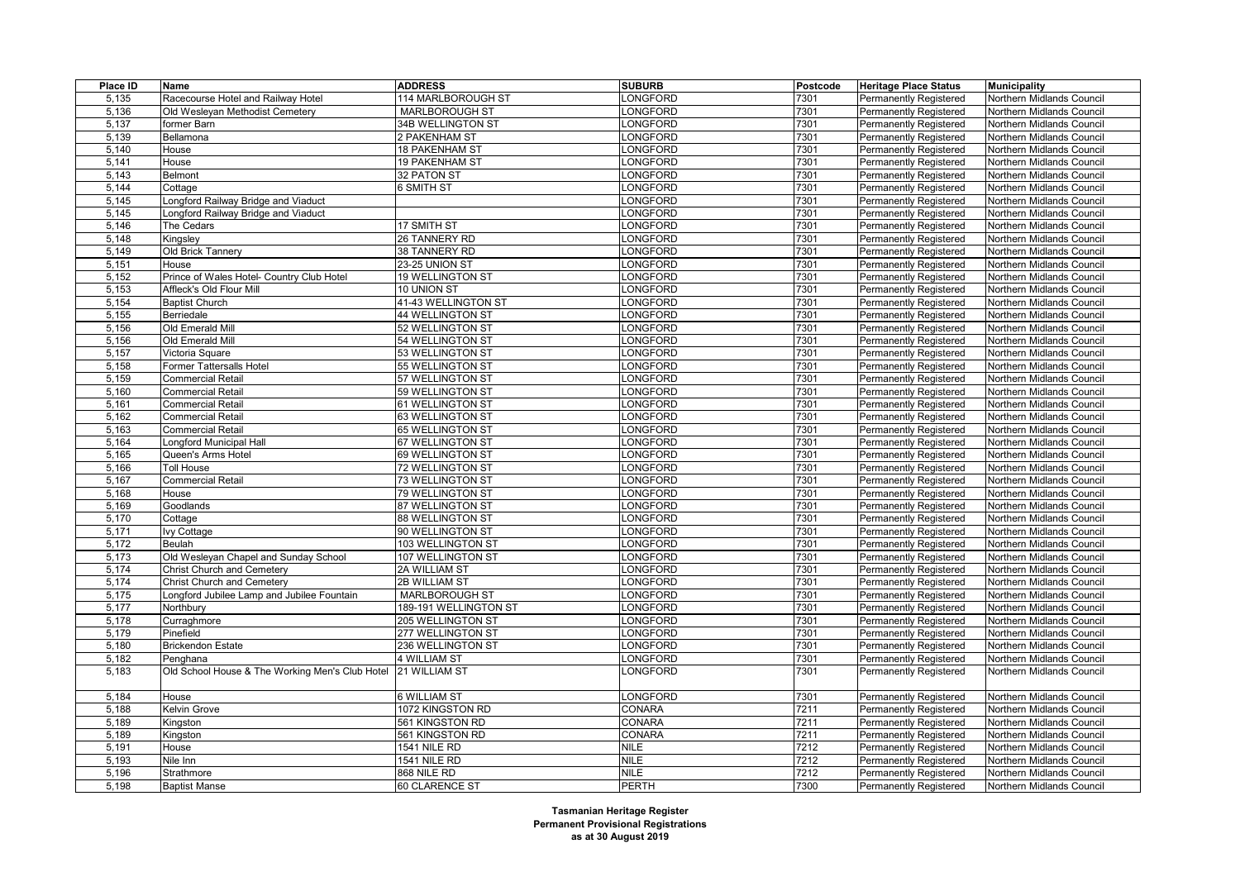| Place ID | Name                                            | <b>ADDRESS</b>           | <b>SUBURB</b>   | Postcode | <b>Heritage Place Status</b>  | <b>Municipality</b>       |
|----------|-------------------------------------------------|--------------------------|-----------------|----------|-------------------------------|---------------------------|
| 5,135    | Racecourse Hotel and Railway Hotel              | 114 MARLBOROUGH ST       | LONGFORD        | 7301     | <b>Permanently Registered</b> | Northern Midlands Council |
| 5,136    | Old Wesleyan Methodist Cemetery                 | <b>MARLBOROUGH ST</b>    | LONGFORD        | 7301     | Permanently Registered        | Northern Midlands Council |
| 5,137    | former Barn                                     | 34B WELLINGTON ST        | LONGFORD        | 7301     | <b>Permanently Registered</b> | Northern Midlands Council |
| 5,139    | Bellamona                                       | 2 PAKENHAM ST            | LONGFORD        | 7301     | Permanently Registered        | Northern Midlands Council |
| 5,140    | House                                           | 18 PAKENHAM ST           | LONGFORD        | 7301     | Permanently Registered        | Northern Midlands Council |
| 5,141    | House                                           | 19 PAKENHAM ST           | <b>LONGFORD</b> | 7301     | <b>Permanently Registered</b> | Northern Midlands Council |
| 5,143    | Belmont                                         | 32 PATON ST              | LONGFORD        | 7301     | <b>Permanently Registered</b> | Northern Midlands Council |
| 5,144    | Cottage                                         | 6 SMITH ST               | ONGFORD         | 7301     | <b>Permanently Registered</b> | Northern Midlands Council |
| 5,145    | Longford Railway Bridge and Viaduct             |                          | LONGFORD        | 7301     | <b>Permanently Registered</b> | Northern Midlands Council |
| 5,145    | Longford Railway Bridge and Viaduct             |                          | LONGFORD        | 7301     | Permanently Registered        | Northern Midlands Council |
| 5,146    | The Cedars                                      | 17 SMITH ST              | LONGFORD        | 7301     | <b>Permanently Registered</b> | Northern Midlands Council |
| 5,148    | Kingsley                                        | 26 TANNERY RD            | LONGFORD        | 7301     | <b>Permanently Registered</b> | Northern Midlands Council |
| 5,149    | Old Brick Tannery                               | 38 TANNERY RD            | LONGFORD        | 7301     | <b>Permanently Registered</b> | Northern Midlands Council |
| 5,151    | House                                           | 23-25 UNION ST           | LONGFORD        | 7301     | <b>Permanently Registered</b> | Northern Midlands Council |
| 5,152    | Prince of Wales Hotel- Country Club Hotel       | 19 WELLINGTON ST         | ONGFORD         | 7301     | <b>Permanently Registered</b> | Northern Midlands Council |
| 5,153    | Affleck's Old Flour Mill                        | 10 UNION ST              | LONGFORD        | 7301     | Permanently Registered        | Northern Midlands Council |
| 5,154    | <b>Baptist Church</b>                           | 41-43 WELLINGTON ST      | LONGFORD        | 7301     | <b>Permanently Registered</b> | Northern Midlands Council |
| 5,155    | Berriedale                                      | 44 WELLINGTON ST         | LONGFORD        | 7301     | <b>Permanently Registered</b> | Northern Midlands Council |
| 5,156    | Old Emerald Mill                                | 52 WELLINGTON ST         | LONGFORD        | 7301     | <b>Permanently Registered</b> | Northern Midlands Council |
| 5,156    | Old Emerald Mill                                | 54 WELLINGTON ST         | <b>LONGFORD</b> | 7301     | <b>Permanently Registered</b> | Northern Midlands Council |
| 5,157    | Victoria Square                                 | 53 WELLINGTON ST         | LONGFORD        | 7301     | <b>Permanently Registered</b> | Northern Midlands Council |
| 5,158    | Former Tattersalls Hotel                        | 55 WELLINGTON ST         | LONGFORD        | 7301     | <b>Permanently Registered</b> | Northern Midlands Council |
| 5,159    | <b>Commercial Retail</b>                        | 57 WELLINGTON ST         | LONGFORD        | 7301     | <b>Permanently Registered</b> | Northern Midlands Council |
| 5,160    | <b>Commercial Retail</b>                        | 59 WELLINGTON ST         | LONGFORD        | 7301     | <b>Permanently Registered</b> | Northern Midlands Council |
| 5,161    | <b>Commercial Retail</b>                        | 61 WELLINGTON ST         | LONGFORD        | 7301     | <b>Permanently Registered</b> | Northern Midlands Council |
| 5,162    | <b>Commercial Retail</b>                        | 63 WELLINGTON ST         | LONGFORD        | 7301     | <b>Permanently Registered</b> | Northern Midlands Council |
| 5,163    | <b>Commercial Retail</b>                        | 65 WELLINGTON ST         | LONGFORD        | 7301     | <b>Permanently Registered</b> | Northern Midlands Council |
| 5,164    | Longford Municipal Hall                         | 67 WELLINGTON ST         | LONGFORD        | 7301     | Permanently Registered        | Northern Midlands Council |
| 5,165    | Queen's Arms Hotel                              | 69 WELLINGTON ST         | LONGFORD        | 7301     | <b>Permanently Registered</b> | Northern Midlands Council |
| 5,166    | <b>Toll House</b>                               | 72 WELLINGTON ST         | LONGFORD        | 7301     | <b>Permanently Registered</b> | Northern Midlands Council |
| 5,167    | <b>Commercial Retail</b>                        | 73 WELLINGTON ST         | LONGFORD        | 7301     | <b>Permanently Registered</b> | Northern Midlands Council |
| 5,168    | House                                           | 79 WELLINGTON ST         | LONGFORD        | 7301     | <b>Permanently Registered</b> | Northern Midlands Council |
| 5,169    | Goodlands                                       | 87 WELLINGTON ST         | LONGFORD        | 7301     | <b>Permanently Registered</b> | Northern Midlands Council |
| 5,170    | Cottage                                         | 88 WELLINGTON ST         | LONGFORD        | 7301     | <b>Permanently Registered</b> | Northern Midlands Council |
| 5,171    | lvy Cottage                                     | 90 WELLINGTON ST         | ONGFORD         | 7301     | <b>Permanently Registered</b> | Northern Midlands Council |
| 5,172    | Beulah                                          | 103 WELLINGTON ST        | LONGFORD        | 7301     | <b>Permanently Registered</b> | Northern Midlands Council |
| 5,173    | Old Wesleyan Chapel and Sunday School           | 107 WELLINGTON ST        | LONGFORD        | 7301     | <b>Permanently Registered</b> | Northern Midlands Council |
| 5,174    | Christ Church and Cemetery                      | 2A WILLIAM ST            | LONGFORD        | 7301     | <b>Permanently Registered</b> | Northern Midlands Council |
| 5,174    | Christ Church and Cemetery                      | 2B WILLIAM ST            | <b>ONGFORD</b>  | 7301     | <b>Permanently Registered</b> | Northern Midlands Council |
| 5,175    | Longford Jubilee Lamp and Jubilee Fountain      | <b>MARLBOROUGH ST</b>    | LONGFORD        | 7301     | <b>Permanently Registered</b> | Northern Midlands Council |
| 5,177    | Northbury                                       | 189-191 WELLINGTON ST    | LONGFORD        | 7301     | <b>Permanently Registered</b> | Northern Midlands Council |
| 5,178    | Curraghmore                                     | 205 WELLINGTON ST        | LONGFORD        | 7301     | <b>Permanently Registered</b> | Northern Midlands Council |
| 5,179    | Pinefield                                       | <b>277 WELLINGTON ST</b> | LONGFORD        | 7301     | <b>Permanently Registered</b> | Northern Midlands Council |
| 5,180    | <b>Brickendon Estate</b>                        | 236 WELLINGTON ST        | LONGFORD        | 7301     | <b>Permanently Registered</b> | Northern Midlands Council |
| 5,182    | Penghana                                        | 4 WILLIAM ST             | ONGFORD         | 7301     | Permanently Registered        | Northern Midlands Council |
| 5,183    | Old School House & The Working Men's Club Hotel | 21 WILLIAM ST            | LONGFORD        | 7301     | <b>Permanently Registered</b> | Northern Midlands Council |
|          |                                                 |                          |                 |          |                               |                           |
| 5,184    | House                                           | 6 WILLIAM ST             | LONGFORD        | 7301     | <b>Permanently Registered</b> | Northern Midlands Council |
| 5,188    | Kelvin Grove                                    | 1072 KINGSTON RD         | <b>CONARA</b>   | 7211     | <b>Permanently Registered</b> | Northern Midlands Council |
| 5,189    | Kingston                                        | 561 KINGSTON RD          | <b>CONARA</b>   | 7211     | <b>Permanently Registered</b> | Northern Midlands Council |
| 5,189    | Kingston                                        | 561 KINGSTON RD          | <b>CONARA</b>   | 7211     | Permanently Registered        | Northern Midlands Council |
| 5,191    | House                                           | <b>1541 NILE RD</b>      | <b>NILE</b>     | 7212     | <b>Permanently Registered</b> | Northern Midlands Council |
| 5,193    | Nile Inn                                        | <b>1541 NILE RD</b>      | <b>NILE</b>     | 7212     | <b>Permanently Registered</b> | Northern Midlands Council |
| 5,196    | Strathmore                                      | 868 NILE RD              | <b>NILE</b>     | 7212     | <b>Permanently Registered</b> | Northern Midlands Council |
| 5,198    | <b>Baptist Manse</b>                            | 60 CLARENCE ST           | <b>PERTH</b>    | 7300     | <b>Permanently Registered</b> | Northern Midlands Council |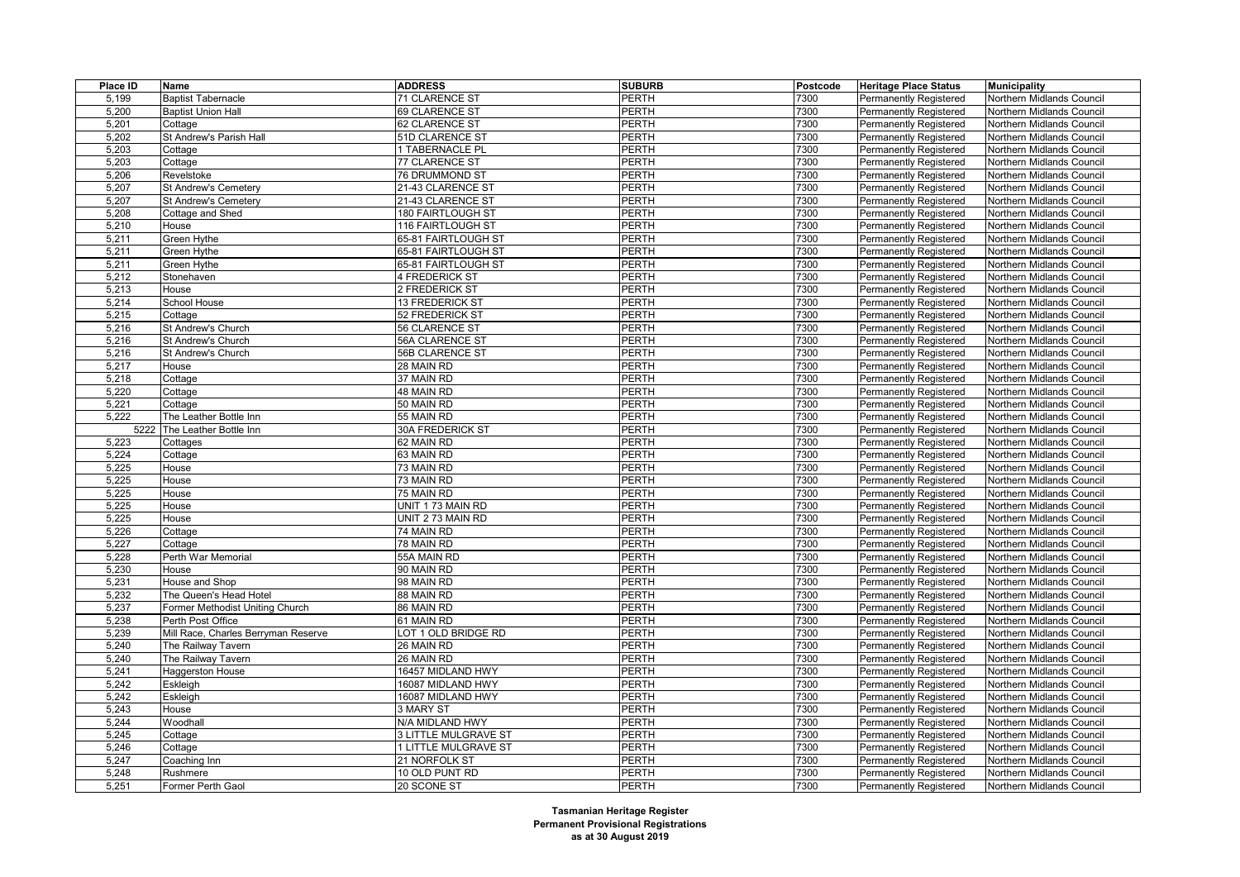| Place ID | Name                                | <b>ADDRESS</b>       | <b>SUBURB</b> | Postcode | <b>Heritage Place Status</b>  | <b>Municipality</b>       |
|----------|-------------------------------------|----------------------|---------------|----------|-------------------------------|---------------------------|
| 5,199    | <b>Baptist Tabernacle</b>           | 71 CLARENCE ST       | <b>PERTH</b>  | 7300     | <b>Permanently Registered</b> | Northern Midlands Council |
| 5,200    | <b>Baptist Union Hall</b>           | 69 CLARENCE ST       | <b>PERTH</b>  | 7300     | Permanently Registered        | Northern Midlands Council |
| 5,201    | Cottage                             | 62 CLARENCE ST       | <b>PERTH</b>  | 7300     | <b>Permanently Registered</b> | Northern Midlands Council |
| 5,202    | St Andrew's Parish Hall             | 51D CLARENCE ST      | <b>PERTH</b>  | 7300     | Permanently Registered        | Northern Midlands Council |
| 5,203    | Cottage                             | 1 TABERNACLE PL      | <b>PERTH</b>  | 7300     | Permanently Registered        | Northern Midlands Council |
| 5,203    | Cottage                             | 77 CLARENCE ST       | <b>PERTH</b>  | 7300     | <b>Permanently Registered</b> | Northern Midlands Council |
| 5,206    | Revelstoke                          | 76 DRUMMOND ST       | <b>PERTH</b>  | 7300     | <b>Permanently Registered</b> | Northern Midlands Council |
| 5,207    | St Andrew's Cemetery                | 21-43 CLARENCE ST    | <b>PERTH</b>  | 7300     | <b>Permanently Registered</b> | Northern Midlands Council |
| 5,207    | St Andrew's Cemetery                | 21-43 CLARENCE ST    | PERTH         | 7300     | Permanently Registered        | Northern Midlands Council |
| 5,208    | Cottage and Shed                    | 180 FAIRTLOUGH ST    | <b>PERTH</b>  | 7300     | Permanently Registered        | Northern Midlands Council |
| 5,210    | House                               | 116 FAIRTLOUGH ST    | <b>PERTH</b>  | 7300     | <b>Permanently Registered</b> | Northern Midlands Council |
| 5,211    | Green Hythe                         | 65-81 FAIRTLOUGH ST  | <b>PERTH</b>  | 7300     | Permanently Registered        | Northern Midlands Council |
| 5,211    | Green Hythe                         | 65-81 FAIRTLOUGH ST  | <b>PERTH</b>  | 7300     | Permanently Registered        | Northern Midlands Council |
| 5,211    | Green Hythe                         | 65-81 FAIRTLOUGH ST  | <b>PERTH</b>  | 7300     | <b>Permanently Registered</b> | Northern Midlands Council |
| 5,212    | Stonehaven                          | 4 FREDERICK ST       | <b>PERTH</b>  | 7300     | <b>Permanently Registered</b> | Northern Midlands Council |
| 5,213    | House                               | 2 FREDERICK ST       | <b>PERTH</b>  | 7300     | <b>Permanently Registered</b> | Northern Midlands Council |
| 5,214    | School House                        | 13 FREDERICK ST      | PERTH         | 7300     | Permanently Registered        | Northern Midlands Council |
| 5,215    | Cottage                             | 52 FREDERICK ST      | <b>PERTH</b>  | 7300     | <b>Permanently Registered</b> | Northern Midlands Council |
| 5,216    | St Andrew's Church                  | 56 CLARENCE ST       | <b>PERTH</b>  | 7300     | Permanently Registered        | Northern Midlands Council |
| 5,216    | St Andrew's Church                  | 56A CLARENCE ST      | <b>PERTH</b>  | 7300     | <b>Permanently Registered</b> | Northern Midlands Council |
| 5,216    | St Andrew's Church                  | 56B CLARENCE ST      | <b>PERTH</b>  | 7300     | <b>Permanently Registered</b> | Northern Midlands Council |
| 5,217    | House                               | 28 MAIN RD           | <b>PERTH</b>  | 7300     | <b>Permanently Registered</b> | Northern Midlands Council |
| 5,218    | Cottage                             | 37 MAIN RD           | PERTH         | 7300     | <b>Permanently Registered</b> | Northern Midlands Council |
| 5,220    | Cottage                             | 48 MAIN RD           | <b>PERTH</b>  | 7300     | Permanently Registered        | Northern Midlands Council |
| 5,221    | Cottage                             | 50 MAIN RD           | <b>PERTH</b>  | 7300     | <b>Permanently Registered</b> | Northern Midlands Council |
| 5,222    | The Leather Bottle Inn              | 55 MAIN RD           | <b>PERTH</b>  | 7300     | Permanently Registered        | Northern Midlands Council |
| 5222     | The Leather Bottle Inn              | 30A FREDERICK ST     | <b>PERTH</b>  | 7300     | <b>Permanently Registered</b> | Northern Midlands Council |
| 5,223    | Cottages                            | 62 MAIN RD           | <b>PERTH</b>  | 7300     | <b>Permanently Registered</b> | Northern Midlands Council |
| 5,224    | Cottage                             | 63 MAIN RD           | <b>PERTH</b>  | 7300     | Permanently Registered        | Northern Midlands Council |
| 5,225    | House                               | 73 MAIN RD           | <b>PERTH</b>  | 7300     | <b>Permanently Registered</b> | Northern Midlands Council |
| 5,225    | House                               | 73 MAIN RD           | PERTH         | 7300     | <b>Permanently Registered</b> | Northern Midlands Council |
| 5,225    | House                               | 75 MAIN RD           | PERTH         | 7300     | Permanently Registered        | Northern Midlands Council |
| 5,225    | House                               | UNIT 173 MAIN RD     | <b>PERTH</b>  | 7300     | <b>Permanently Registered</b> | Northern Midlands Council |
| 5,225    | House                               | UNIT 2 73 MAIN RD    | <b>PERTH</b>  | 7300     | Permanently Registered        | Northern Midlands Council |
| 5,226    | Cottage                             | 74 MAIN RD           | <b>PERTH</b>  | 7300     | Permanently Registered        | Northern Midlands Council |
| 5,227    | Cottage                             | 78 MAIN RD           | <b>PERTH</b>  | 7300     | <b>Permanently Registered</b> | Northern Midlands Council |
| 5,228    | Perth War Memorial                  | 55A MAIN RD          | <b>PERTH</b>  | 7300     | <b>Permanently Registered</b> | Northern Midlands Council |
| 5,230    | House                               | 90 MAIN RD           | <b>PERTH</b>  | 7300     | Permanently Registered        | Northern Midlands Council |
| 5,231    | House and Shop                      | 98 MAIN RD           | PERTH         | 7300     | <b>Permanently Registered</b> | Northern Midlands Council |
| 5,232    | The Queen's Head Hotel              | 88 MAIN RD           | <b>PERTH</b>  | 7300     | Permanently Registered        | Northern Midlands Council |
| 5,237    | Former Methodist Uniting Church     | 86 MAIN RD           | <b>PERTH</b>  | 7300     | <b>Permanently Registered</b> | Northern Midlands Council |
| 5,238    | Perth Post Office                   | 61 MAIN RD           | <b>PERTH</b>  | 7300     | <b>Permanently Registered</b> | Northern Midlands Council |
| 5,239    | Mill Race, Charles Berryman Reserve | LOT 1 OLD BRIDGE RD  | <b>PERTH</b>  | 7300     | <b>Permanently Registered</b> | Northern Midlands Council |
| 5,240    | The Railway Tavern                  | 26 MAIN RD           | <b>PERTH</b>  | 7300     | <b>Permanently Registered</b> | Northern Midlands Council |
| 5,240    | The Railway Tavern                  | 26 MAIN RD           | <b>PERTH</b>  | 7300     | <b>Permanently Registered</b> | Northern Midlands Council |
| 5,241    | <b>Haggerston House</b>             | 16457 MIDLAND HWY    | <b>PERTH</b>  | 7300     | <b>Permanently Registered</b> | Northern Midlands Council |
| 5,242    | Eskleigh                            | 16087 MIDLAND HWY    | <b>PERTH</b>  | 7300     | <b>Permanently Registered</b> | Northern Midlands Council |
| 5,242    | Eskleigh                            | 16087 MIDLAND HWY    | PERTH         | 7300     | Permanently Registered        | Northern Midlands Council |
| 5,243    | House                               | 3 MARY ST            | <b>PERTH</b>  | 7300     | Permanently Registered        | Northern Midlands Council |
| 5,244    | Woodhall                            | N/A MIDLAND HWY      | <b>PERTH</b>  | 7300     | <b>Permanently Registered</b> | Northern Midlands Council |
| 5,245    | Cottage                             | 3 LITTLE MULGRAVE ST | PERTH         | 7300     | Permanently Registered        | Northern Midlands Council |
| 5,246    | Cottage                             | 1 LITTLE MULGRAVE ST | <b>PERTH</b>  | 7300     | <b>Permanently Registered</b> | Northern Midlands Council |
| 5,247    | Coaching Inn                        | 21 NORFOLK ST        | PERTH         | 7300     | <b>Permanently Registered</b> | Northern Midlands Council |
| 5,248    | Rushmere                            | 10 OLD PUNT RD       | PERTH         | 7300     | Permanently Registered        | Northern Midlands Council |
| 5,251    | Former Perth Gaol                   | 20 SCONE ST          | <b>PERTH</b>  | 7300     | <b>Permanently Registered</b> | Northern Midlands Council |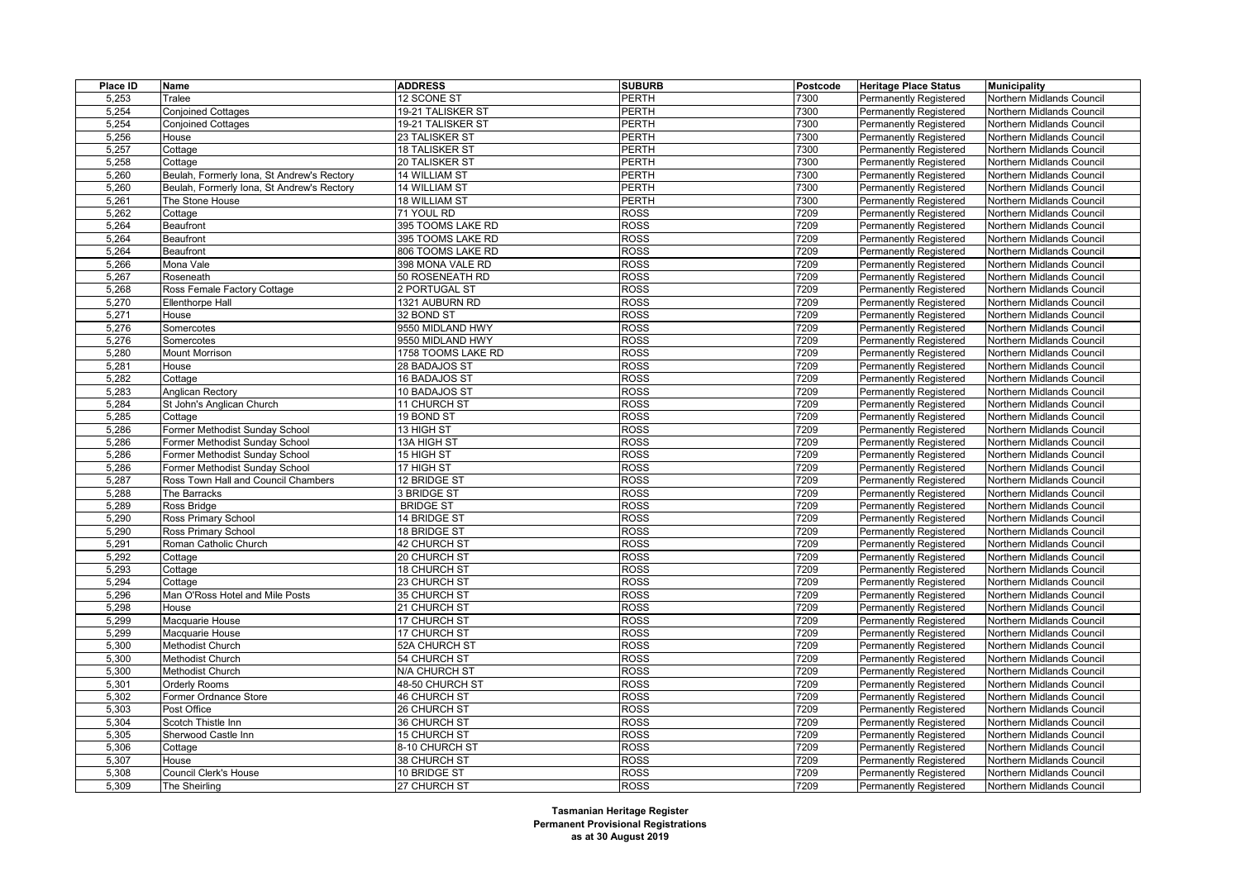| Place ID | Name                                       | <b>ADDRESS</b>     | <b>SUBURB</b> | <b>Postcode</b> | <b>Heritage Place Status</b>  | <b>Municipality</b>       |
|----------|--------------------------------------------|--------------------|---------------|-----------------|-------------------------------|---------------------------|
| 5,253    | Tralee                                     | 12 SCONE ST        | PERTH         | 7300            | <b>Permanently Registered</b> | Northern Midlands Council |
| 5,254    | <b>Conjoined Cottages</b>                  | 19-21 TALISKER ST  | PERTH         | 7300            | <b>Permanently Registered</b> | Northern Midlands Council |
| 5,254    | <b>Conjoined Cottages</b>                  | 19-21 TALISKER ST  | <b>PERTH</b>  | 7300            | <b>Permanently Registered</b> | Northern Midlands Council |
| 5,256    | House                                      | 23 TALISKER ST     | <b>PERTH</b>  | 7300            | Permanently Registered        | Northern Midlands Council |
| 5,257    | Cottage                                    | 18 TALISKER ST     | <b>PERTH</b>  | 7300            | Permanently Registered        | Northern Midlands Council |
| 5,258    | Cottage                                    | 20 TALISKER ST     | <b>PERTH</b>  | 7300            | <b>Permanently Registered</b> | Northern Midlands Council |
| 5,260    | Beulah, Formerly Iona, St Andrew's Rectory | 14 WILLIAM ST      | PERTH         | 7300            | <b>Permanently Registered</b> | Northern Midlands Council |
| 5,260    | Beulah, Formerly Iona, St Andrew's Rectory | 14 WILLIAM ST      | PERTH         | 7300            | <b>Permanently Registered</b> | Northern Midlands Council |
| 5,261    | The Stone House                            | 18 WILLIAM ST      | PERTH         | 7300            | <b>Permanently Registered</b> | Northern Midlands Council |
| 5,262    | Cottage                                    | 71 YOUL RD         | <b>ROSS</b>   | 7209            | Permanently Registered        | Northern Midlands Council |
| 5,264    | Beaufront                                  | 395 TOOMS LAKE RD  | <b>ROSS</b>   | 7209            | <b>Permanently Registered</b> | Northern Midlands Council |
| 5,264    | Beaufront                                  | 395 TOOMS LAKE RD  | <b>ROSS</b>   | 7209            | Permanently Registered        | Northern Midlands Council |
| 5,264    | Beaufront                                  | 806 TOOMS LAKE RD  | <b>ROSS</b>   | 7209            | Permanently Registered        | Northern Midlands Council |
| 5,266    | Mona Vale                                  | 398 MONA VALE RD   | <b>ROSS</b>   | 7209            | <b>Permanently Registered</b> | Northern Midlands Council |
| 5,267    | Roseneath                                  | 50 ROSENEATH RD    | ROSS          | 7209            | <b>Permanently Registered</b> | Northern Midlands Council |
| 5,268    | Ross Female Factory Cottage                | 2 PORTUGAL ST      | <b>ROSS</b>   | 7209            | Permanently Registered        | Northern Midlands Council |
| 5,270    | <b>Ellenthorpe Hall</b>                    | 1321 AUBURN RD     | <b>ROSS</b>   | 7209            | <b>Permanently Registered</b> | Northern Midlands Council |
| 5,271    | House                                      | 32 BOND ST         | <b>ROSS</b>   | 7209            | <b>Permanently Registered</b> | Northern Midlands Council |
| 5,276    | Somercotes                                 | 9550 MIDLAND HWY   | <b>ROSS</b>   | 7209            | <b>Permanently Registered</b> | Northern Midlands Council |
| 5,276    | Somercotes                                 | 9550 MIDLAND HWY   | ROSS          | 7209            | <b>Permanently Registered</b> | Northern Midlands Council |
| 5,280    | <b>Mount Morrison</b>                      | 1758 TOOMS LAKE RD | <b>ROSS</b>   | 7209            | <b>Permanently Registered</b> | Northern Midlands Council |
| 5,281    | House                                      | 28 BADAJOS ST      | <b>ROSS</b>   | 7209            | <b>Permanently Registered</b> | Northern Midlands Council |
| 5,282    | Cottage                                    | 16 BADAJOS ST      | <b>ROSS</b>   | 7209            | <b>Permanently Registered</b> | Northern Midlands Council |
| 5,283    | Anglican Rectory                           | 10 BADAJOS ST      | <b>ROSS</b>   | 7209            | <b>Permanently Registered</b> | Northern Midlands Council |
| 5,284    | St John's Anglican Church                  | 11 CHURCH ST       | <b>ROSS</b>   | 7209            | <b>Permanently Registered</b> | Northern Midlands Council |
| 5,285    | Cottage                                    | 19 BOND ST         | ROSS          | 7209            | <b>Permanently Registered</b> | Northern Midlands Council |
| 5,286    | Former Methodist Sunday School             | 13 HIGH ST         | ROSS          | 7209            | <b>Permanently Registered</b> | Northern Midlands Council |
| 5,286    | Former Methodist Sunday School             | 13A HIGH ST        | <b>ROSS</b>   | 7209            | Permanently Registered        | Northern Midlands Council |
| 5,286    | Former Methodist Sunday School             | 15 HIGH ST         | ROSS          | 7209            | <b>Permanently Registered</b> | Northern Midlands Council |
| 5,286    | Former Methodist Sunday School             | 17 HIGH ST         | ROSS          | 7209            | <b>Permanently Registered</b> | Northern Midlands Council |
| 5,287    | Ross Town Hall and Council Chambers        | 12 BRIDGE ST       | <b>ROSS</b>   | 7209            | Permanently Registered        | Northern Midlands Council |
| 5,288    | The Barracks                               | 3 BRIDGE ST        | <b>ROSS</b>   | 7209            | <b>Permanently Registered</b> | Northern Midlands Council |
| 5,289    | Ross Bridge                                | <b>BRIDGE ST</b>   | <b>ROSS</b>   | 7209            | <b>Permanently Registered</b> | Northern Midlands Council |
| 5,290    | Ross Primary School                        | 14 BRIDGE ST       | <b>ROSS</b>   | 7209            | Permanently Registered        | Northern Midlands Council |
| 5,290    | Ross Primary School                        | 18 BRIDGE ST       | <b>ROSS</b>   | 7209            | Permanently Registered        | Northern Midlands Council |
| 5,291    | Roman Catholic Church                      | 42 CHURCH ST       | <b>ROSS</b>   | 7209            | Permanently Registered        | Northern Midlands Council |
| 5,292    | Cottage                                    | 20 CHURCH ST       | <b>ROSS</b>   | 7209            | Permanently Registered        | Northern Midlands Council |
| 5,293    | Cottage                                    | 18 CHURCH ST       | <b>ROSS</b>   | 7209            | Permanently Registered        | Northern Midlands Council |
| 5,294    | Cottage                                    | 23 CHURCH ST       | <b>ROSS</b>   | 7209            | <b>Permanently Registered</b> | Northern Midlands Council |
| 5,296    | Man O'Ross Hotel and Mile Posts            | 35 CHURCH ST       | <b>ROSS</b>   | 7209            | <b>Permanently Registered</b> | Northern Midlands Council |
| 5,298    | House                                      | 21 CHURCH ST       | <b>ROSS</b>   | 7209            | <b>Permanently Registered</b> | Northern Midlands Council |
| 5,299    | Macquarie House                            | 17 CHURCH ST       | <b>ROSS</b>   | 7209            | <b>Permanently Registered</b> | Northern Midlands Council |
| 5,299    | Macquarie House                            | 17 CHURCH ST       | <b>ROSS</b>   | 7209            | <b>Permanently Registered</b> | Northern Midlands Council |
| 5,300    | <b>Methodist Church</b>                    | 52A CHURCH ST      | <b>ROSS</b>   | 7209            | <b>Permanently Registered</b> | Northern Midlands Council |
| 5,300    | Methodist Church                           | 54 CHURCH ST       | <b>ROSS</b>   | 7209            | <b>Permanently Registered</b> | Northern Midlands Council |
| 5,300    | <b>Methodist Church</b>                    | N/A CHURCH ST      | <b>ROSS</b>   | 7209            | <b>Permanently Registered</b> | Northern Midlands Council |
| 5,301    | Orderly Rooms                              | 48-50 CHURCH ST    | <b>ROSS</b>   | 7209            | <b>Permanently Registered</b> | Northern Midlands Council |
| 5,302    | Former Ordnance Store                      | 46 CHURCH ST       | <b>ROSS</b>   | 7209            | <b>Permanently Registered</b> | Northern Midlands Council |
| 5,303    | Post Office                                | 26 CHURCH ST       | <b>ROSS</b>   | 7209            | <b>Permanently Registered</b> | Northern Midlands Council |
| 5,304    | Scotch Thistle Inn                         | 36 CHURCH ST       | <b>ROSS</b>   | 7209            | <b>Permanently Registered</b> | Northern Midlands Council |
| 5,305    | Sherwood Castle Inn                        | 15 CHURCH ST       | <b>ROSS</b>   | 7209            | <b>Permanently Registered</b> | Northern Midlands Council |
| 5,306    | Cottage                                    | 8-10 CHURCH ST     | <b>ROSS</b>   | 7209            | <b>Permanently Registered</b> | Northern Midlands Council |
| 5,307    | House                                      | 38 CHURCH ST       | <b>ROSS</b>   | 7209            | <b>Permanently Registered</b> | Northern Midlands Council |
| 5,308    | Council Clerk's House                      | 10 BRIDGE ST       | <b>ROSS</b>   | 7209            | <b>Permanently Registered</b> | Northern Midlands Council |
| 5,309    | The Sheirling                              | 27 CHURCH ST       | <b>ROSS</b>   | 7209            | <b>Permanently Registered</b> | Northern Midlands Council |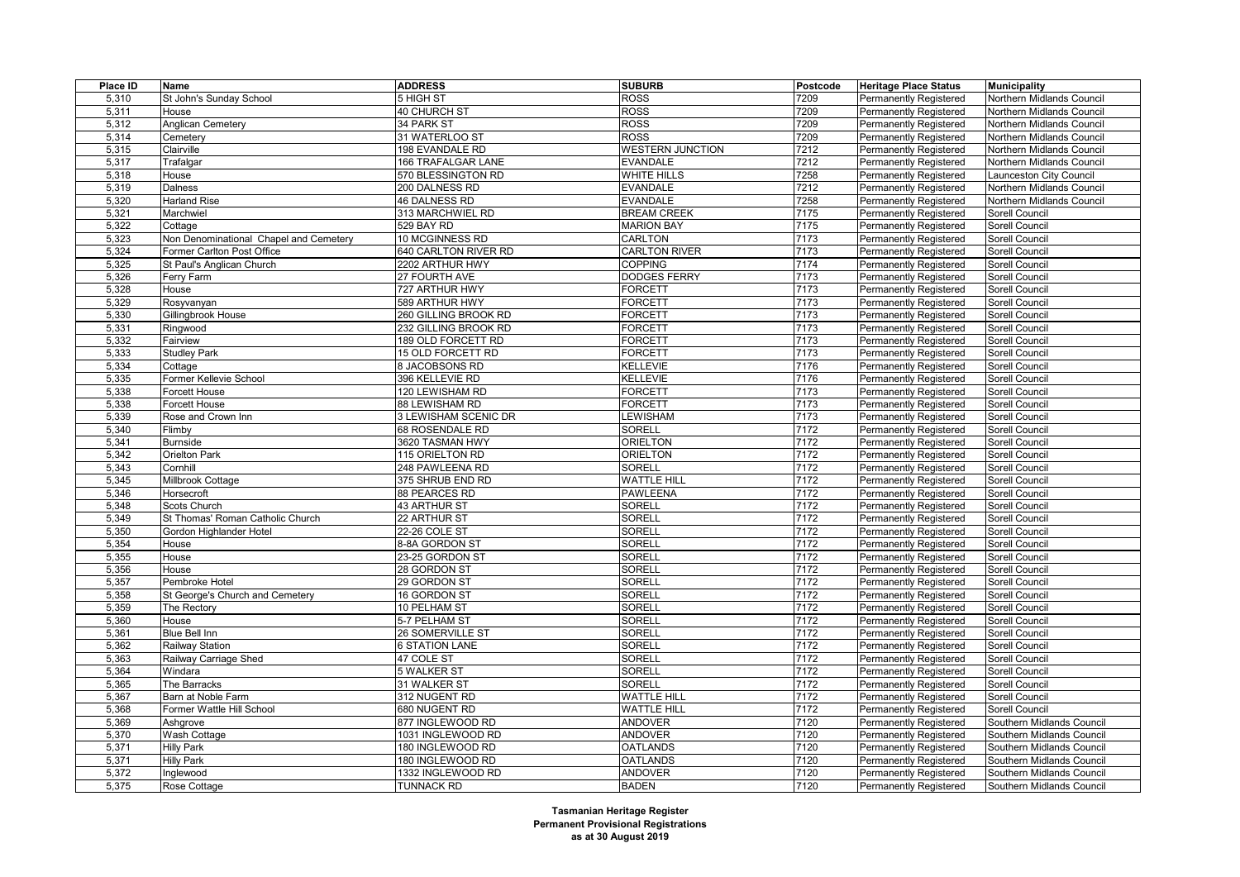| Place ID | Name                                   | <b>ADDRESS</b>        | <b>SUBURB</b>           | Postcode | <b>Heritage Place Status</b>  | <b>Municipality</b>       |
|----------|----------------------------------------|-----------------------|-------------------------|----------|-------------------------------|---------------------------|
| 5,310    | St John's Sunday School                | 5 HIGH ST             | <b>ROSS</b>             | 7209     | <b>Permanently Registered</b> | Northern Midlands Council |
| 5,311    | House                                  | <b>40 CHURCH ST</b>   | <b>ROSS</b>             | 7209     | <b>Permanently Registered</b> | Northern Midlands Council |
| 5,312    | <b>Anglican Cemetery</b>               | 34 PARK ST            | <b>ROSS</b>             | 7209     | Permanently Registered        | Northern Midlands Council |
| 5,314    | Cemetery                               | 31 WATERLOO ST        | <b>ROSS</b>             | 7209     | Permanently Registered        | Northern Midlands Council |
| 5,315    | Clairville                             | 198 EVANDALE RD       | <b>WESTERN JUNCTION</b> | 7212     | Permanently Registered        | Northern Midlands Council |
| 5,317    | Trafalgar                              | 166 TRAFALGAR LANE    | <b>EVANDALE</b>         | 7212     | Permanently Registered        | Northern Midlands Council |
| 5,318    | House                                  | 570 BLESSINGTON RD    | WHITE HILLS             | 7258     | Permanently Registered        | aunceston City Council    |
| 5,319    | Dalness                                | 200 DALNESS RD        | <b>EVANDALE</b>         | 7212     | <b>Permanently Registered</b> | Northern Midlands Council |
| 5,320    | <b>Harland Rise</b>                    | 46 DALNESS RD         | <b>EVANDALE</b>         | 7258     | Permanently Registered        | Northern Midlands Council |
| 5,321    | Marchwiel                              | 313 MARCHWIEL RD      | <b>BREAM CREEK</b>      | 7175     | Permanently Registered        | Sorell Council            |
| 5,322    | Cottage                                | 529 BAY RD            | <b>MARION BAY</b>       | 7175     | <b>Permanently Registered</b> | Sorell Council            |
| 5,323    | Non Denominational Chapel and Cemetery | 10 MCGINNESS RD       | <b>CARLTON</b>          | 7173     | Permanently Registered        | Sorell Council            |
| 5,324    | Former Carlton Post Office             | 640 CARLTON RIVER RD  | <b>CARLTON RIVER</b>    | 7173     | Permanently Registered        | Sorell Council            |
| 5,325    | St Paul's Anglican Church              | 2202 ARTHUR HWY       | <b>COPPING</b>          | 7174     | Permanently Registered        | Sorell Council            |
| 5,326    | Ferry Farm                             | 27 FOURTH AVE         | <b>DODGES FERRY</b>     | 7173     | Permanently Registered        | Sorell Council            |
| 5,328    | House                                  | 727 ARTHUR HWY        | FORCETT                 | 7173     | Permanently Registered        | Sorell Council            |
| 5,329    | Rosyvanyan                             | 589 ARTHUR HWY        | FORCETT                 | 7173     | <b>Permanently Registered</b> | Sorell Council            |
| 5,330    | Gillingbrook House                     | 260 GILLING BROOK RD  | FORCETT                 | 7173     | <b>Permanently Registered</b> | Sorell Council            |
| 5,331    | Ringwood                               | 232 GILLING BROOK RD  | FORCETT                 | 7173     | Permanently Registered        | Sorell Council            |
| 5,332    | Fairview                               | 189 OLD FORCETT RD    | <b>FORCETT</b>          | 7173     | Permanently Registered        | <b>Sorell Council</b>     |
| 5,333    | <b>Studley Park</b>                    | 15 OLD FORCETT RD     | <b>FORCETT</b>          | 7173     | <b>Permanently Registered</b> | Sorell Council            |
| 5,334    | Cottage                                | 8 JACOBSONS RD        | KELLEVIE                | 7176     | <b>Permanently Registered</b> | Sorell Council            |
| 5,335    | Former Kellevie School                 | 396 KELLEVIE RD       | KELLEVIE                | 7176     | Permanently Registered        | Sorell Council            |
| 5,338    | Forcett House                          | 120 LEWISHAM RD       | FORCETT                 | 7173     | <b>Permanently Registered</b> | Sorell Council            |
| 5,338    | Forcett House                          | 88 LEWISHAM RD        | FORCETT                 | 7173     | Permanently Registered        | Sorell Council            |
| 5,339    | Rose and Crown Inn                     | 3 LEWISHAM SCENIC DR  | <b>EWISHAM</b>          | 7173     | Permanently Registered        | <b>Sorell Council</b>     |
| 5,340    | Flimby                                 | 68 ROSENDALE RD       | <b>SORELL</b>           | 7172     | <b>Permanently Registered</b> | Sorell Council            |
| 5,341    | <b>Burnside</b>                        | 3620 TASMAN HWY       | <b>ORIELTON</b>         | 7172     | Permanently Registered        | Sorell Council            |
| 5,342    | Orielton Park                          | 115 ORIELTON RD       | <b>ORIELTON</b>         | 7172     | Permanently Registered        | Sorell Council            |
| 5,343    | Cornhill                               | 248 PAWLEENA RD       | <b>SORELL</b>           | 7172     | Permanently Registered        | Sorell Council            |
| 5,345    | Millbrook Cottage                      | 375 SHRUB END RD      | <b>WATTLE HILL</b>      | 7172     | Permanently Registered        | Sorell Council            |
| 5,346    | Horsecroft                             | 88 PEARCES RD         | <b>PAWLEENA</b>         | 7172     | Permanently Registered        | Sorell Council            |
| 5,348    | Scots Church                           | 43 ARTHUR ST          | <b>SORELL</b>           | 7172     | Permanently Registered        | Sorell Council            |
| 5,349    | St Thomas' Roman Catholic Church       | 22 ARTHUR ST          | SORELL                  | 7172     | Permanently Registered        | Sorell Council            |
| 5,350    | Gordon Highlander Hotel                | 22-26 COLE ST         | <b>SORELL</b>           | 7172     | Permanently Registered        | Sorell Council            |
| 5,354    | House                                  | 8-8A GORDON ST        | SORELL                  | 7172     | Permanently Registered        | Sorell Council            |
| 5,355    | House                                  | 23-25 GORDON ST       | SORELL                  | 7172     | Permanently Registered        | Sorell Council            |
| 5,356    | House                                  | 28 GORDON ST          | <b>SORELL</b>           | 7172     | Permanently Registered        | Sorell Council            |
| 5,357    | Pembroke Hotel                         | 29 GORDON ST          | SORELL                  | 7172     | Permanently Registered        | Sorell Council            |
| 5,358    | St George's Church and Cemetery        | 16 GORDON ST          | <b>SORELL</b>           | 7172     | Permanently Registered        | Sorell Council            |
| 5,359    | The Rectory                            | 10 PELHAM ST          | SORELL                  | 7172     | Permanently Registered        | Sorell Council            |
| 5,360    | House                                  | 5-7 PELHAM ST         | SORELL                  | 7172     | <b>Permanently Registered</b> | Sorell Council            |
| 5,361    | <b>Blue Bell Inn</b>                   | 26 SOMERVILLE ST      | SORELL                  | 7172     | Permanently Registered        | Sorell Council            |
| 5,362    | Railway Station                        | <b>6 STATION LANE</b> | SORELL                  | 7172     | Permanently Registered        | Sorell Council            |
| 5,363    | Railway Carriage Shed                  | 47 COLE ST            | SORELL                  | 7172     | <b>Permanently Registered</b> | Sorell Council            |
| 5,364    | Windara                                | 5 WALKER ST           | <b>SORELL</b>           | 7172     | <b>Permanently Registered</b> | Sorell Council            |
| 5,365    | The Barracks                           | 31 WALKER ST          | <b>SORELL</b>           | 7172     | Permanently Registered        | Sorell Council            |
| 5,367    | Barn at Noble Farm                     | 312 NUGENT RD         | <b>WATTLE HILL</b>      | 7172     | <b>Permanently Registered</b> | Sorell Council            |
| 5,368    | Former Wattle Hill School              | 680 NUGENT RD         | <b>WATTLE HILL</b>      | 7172     | Permanently Registered        | Sorell Council            |
| 5,369    | Ashgrove                               | 877 INGLEWOOD RD      | <b>ANDOVER</b>          | 7120     | Permanently Registered        | Southern Midlands Council |
| 5,370    | Wash Cottage                           | 1031 INGLEWOOD RD     | <b>ANDOVER</b>          | 7120     | <b>Permanently Registered</b> | Southern Midlands Council |
| 5,371    | <b>Hilly Park</b>                      | 180 INGLEWOOD RD      | <b>OATLANDS</b>         | 7120     | Permanently Registered        | Southern Midlands Council |
| 5,371    | <b>Hilly Park</b>                      | 180 INGLEWOOD RD      | <b>OATLANDS</b>         | 7120     | Permanently Registered        | Southern Midlands Council |
| 5,372    | Inglewood                              | 1332 INGLEWOOD RD     | <b>ANDOVER</b>          | 7120     | <b>Permanently Registered</b> | Southern Midlands Council |
| 5,375    | Rose Cottage                           | <b>TUNNACK RD</b>     | <b>BADEN</b>            | 7120     | Permanently Registered        | Southern Midlands Council |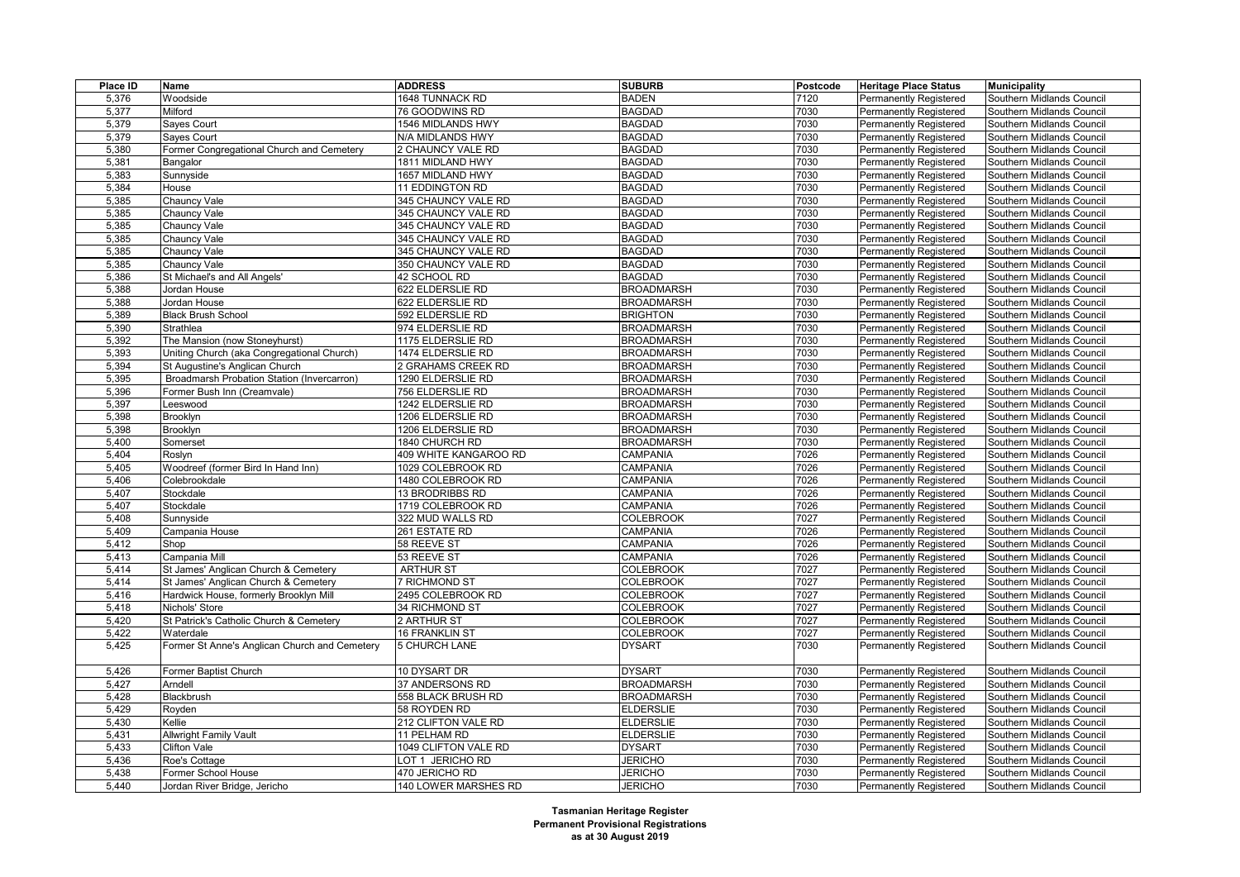| Place ID | Name                                          | <b>ADDRESS</b>        | <b>SUBURB</b>     | Postcode | <b>Heritage Place Status</b>  | <b>Municipality</b>       |
|----------|-----------------------------------------------|-----------------------|-------------------|----------|-------------------------------|---------------------------|
| 5,376    | Woodside                                      | 1648 TUNNACK RD       | <b>BADEN</b>      | 7120     | <b>Permanently Registered</b> | Southern Midlands Council |
| 5,377    | Milford                                       | 76 GOODWINS RD        | <b>BAGDAD</b>     | 7030     | Permanently Registered        | Southern Midlands Council |
| 5,379    | Sayes Court                                   | 1546 MIDLANDS HWY     | <b>BAGDAD</b>     | 7030     | <b>Permanently Registered</b> | Southern Midlands Council |
| 5,379    | Sayes Court                                   | N/A MIDLANDS HWY      | <b>BAGDAD</b>     | 7030     | <b>Permanently Registered</b> | Southern Midlands Council |
| 5,380    | Former Congregational Church and Cemetery     | 2 CHAUNCY VALE RD     | <b>BAGDAD</b>     | 7030     | Permanently Registered        | Southern Midlands Council |
| 5,381    | Bangalor                                      | 1811 MIDLAND HWY      | <b>BAGDAD</b>     | 7030     | Permanently Registered        | Southern Midlands Council |
| 5,383    | Sunnyside                                     | 1657 MIDLAND HWY      | <b>BAGDAD</b>     | 7030     | <b>Permanently Registered</b> | Southern Midlands Council |
| 5,384    | House                                         | 11 EDDINGTON RD       | <b>BAGDAD</b>     | 7030     | Permanently Registered        | Southern Midlands Council |
| 5,385    | Chauncy Vale                                  | 345 CHAUNCY VALE RD   | <b>BAGDAD</b>     | 7030     | <b>Permanently Registered</b> | Southern Midlands Council |
| 5,385    | Chauncy Vale                                  | 345 CHAUNCY VALE RD   | <b>BAGDAD</b>     | 7030     | Permanently Registered        | Southern Midlands Council |
| 5,385    | Chauncy Vale                                  | 345 CHAUNCY VALE RD   | <b>BAGDAD</b>     | 7030     | Permanently Registered        | Southern Midlands Council |
| 5,385    | Chauncy Vale                                  | 345 CHAUNCY VALE RD   | <b>BAGDAD</b>     | 7030     | <b>Permanently Registered</b> | Southern Midlands Council |
| 5,385    | Chauncy Vale                                  | 345 CHAUNCY VALE RD   | <b>BAGDAD</b>     | 7030     | <b>Permanently Registered</b> | Southern Midlands Council |
| 5,385    | Chauncy Vale                                  | 350 CHAUNCY VALE RD   | <b>BAGDAD</b>     | 7030     | Permanently Registered        | Southern Midlands Council |
| 5,386    | St Michael's and All Angels'                  | 42 SCHOOL RD          | <b>BAGDAD</b>     | 7030     | Permanently Registered        | Southern Midlands Council |
| 5,388    | Jordan House                                  | 622 ELDERSLIE RD      | <b>BROADMARSH</b> | 7030     | <b>Permanently Registered</b> | Southern Midlands Council |
| 5,388    | Jordan House                                  | 622 ELDERSLIE RD      | <b>BROADMARSH</b> | 7030     | <b>Permanently Registered</b> | Southern Midlands Council |
| 5,389    | <b>Black Brush School</b>                     | 592 ELDERSLIE RD      | <b>BRIGHTON</b>   | 7030     | Permanently Registered        | Southern Midlands Council |
| 5,390    | Strathlea                                     | 974 ELDERSLIE RD      | <b>BROADMARSH</b> | 7030     | <b>Permanently Registered</b> | Southern Midlands Council |
| 5,392    | The Mansion (now Stoneyhurst)                 | 1175 ELDERSLIE RD     | <b>BROADMARSH</b> | 7030     | <b>Permanently Registered</b> | Southern Midlands Council |
| 5,393    | Uniting Church (aka Congregational Church)    | 1474 ELDERSLIE RD     | <b>BROADMARSH</b> | 7030     | <b>Permanently Registered</b> | Southern Midlands Council |
| 5,394    | St Augustine's Anglican Church                | 2 GRAHAMS CREEK RD    | <b>BROADMARSH</b> | 7030     | <b>Permanently Registered</b> | Southern Midlands Council |
| 5,395    | Broadmarsh Probation Station (Invercarron)    | 1290 ELDERSLIE RD     | <b>BROADMARSH</b> | 7030     | <b>Permanently Registered</b> | Southern Midlands Council |
| 5,396    | Former Bush Inn (Creamvale)                   | 756 ELDERSLIE RD      | <b>BROADMARSH</b> | 7030     | Permanently Registered        | Southern Midlands Council |
| 5,397    | _eeswood                                      | 1242 ELDERSLIE RD     | <b>BROADMARSH</b> | 7030     | <b>Permanently Registered</b> | Southern Midlands Council |
| 5,398    | Brooklyn                                      | 1206 ELDERSLIE RD     | <b>BROADMARSH</b> | 7030     | <b>Permanently Registered</b> | Southern Midlands Council |
| 5,398    | Brooklyn                                      | 1206 ELDERSLIE RD     | <b>BROADMARSH</b> | 7030     | <b>Permanently Registered</b> | Southern Midlands Council |
| 5,400    | Somerset                                      | 1840 CHURCH RD        | <b>BROADMARSH</b> | 7030     | Permanently Registered        | Southern Midlands Council |
| 5,404    | Roslyn                                        | 409 WHITE KANGAROO RD | CAMPANIA          | 7026     | <b>Permanently Registered</b> | Southern Midlands Council |
| 5,405    | Woodreef (former Bird In Hand Inn)            | 1029 COLEBROOK RD     | CAMPANIA          | 7026     | <b>Permanently Registered</b> | Southern Midlands Council |
| 5,406    | Colebrookdale                                 | 1480 COLEBROOK RD     | <b>CAMPANIA</b>   | 7026     | <b>Permanently Registered</b> | Southern Midlands Council |
| 5,407    | Stockdale                                     | 13 BRODRIBBS RD       | CAMPANIA          | 7026     | <b>Permanently Registered</b> | Southern Midlands Council |
| 5,407    | Stockdale                                     | 1719 COLEBROOK RD     | CAMPANIA          | 7026     | Permanently Registered        | Southern Midlands Council |
| 5,408    | Sunnyside                                     | 322 MUD WALLS RD      | <b>COLEBROOK</b>  | 7027     | Permanently Registered        | Southern Midlands Council |
| 5,409    | Campania House                                | 261 ESTATE RD         | CAMPANIA          | 7026     | <b>Permanently Registered</b> | Southern Midlands Council |
| 5,412    | Shop                                          | 58 REEVE ST           | CAMPANIA          | 7026     | <b>Permanently Registered</b> | Southern Midlands Council |
| 5,413    | Campania Mill                                 | 53 REEVE ST           | CAMPANIA          | 7026     | <b>Permanently Registered</b> | Southern Midlands Council |
| 5,414    | St James' Anglican Church & Cemetery          | <b>ARTHUR ST</b>      | <b>COLEBROOK</b>  | 7027     | <b>Permanently Registered</b> | Southern Midlands Council |
| 5,414    | St James' Anglican Church & Cemetery          | <b>7 RICHMOND ST</b>  | <b>COLEBROOK</b>  | 7027     | <b>Permanently Registered</b> | Southern Midlands Council |
| 5,416    | Hardwick House, formerly Brooklyn Mill        | 2495 COLEBROOK RD     | <b>COLEBROOK</b>  | 7027     | <b>Permanently Registered</b> | Southern Midlands Council |
| 5,418    | Nichols' Store                                | 34 RICHMOND ST        | <b>COLEBROOK</b>  | 7027     | <b>Permanently Registered</b> | Southern Midlands Council |
| 5,420    | St Patrick's Catholic Church & Cemetery       | 2 ARTHUR ST           | <b>COLEBROOK</b>  | 7027     | <b>Permanently Registered</b> | Southern Midlands Council |
| 5,422    | Waterdale                                     | <b>16 FRANKLIN ST</b> | <b>COLEBROOK</b>  | 7027     | <b>Permanently Registered</b> | Southern Midlands Council |
| 5,425    | Former St Anne's Anglican Church and Cemetery | <b>5 CHURCH LANE</b>  | <b>DYSART</b>     | 7030     | <b>Permanently Registered</b> | Southern Midlands Council |
|          |                                               |                       |                   |          |                               |                           |
| 5,426    | Former Baptist Church                         | 10 DYSART DR          | <b>DYSART</b>     | 7030     | <b>Permanently Registered</b> | Southern Midlands Council |
| 5,427    | Arndell                                       | 37 ANDERSONS RD       | <b>BROADMARSH</b> | 7030     | <b>Permanently Registered</b> | Southern Midlands Council |
| 5,428    | Blackbrush                                    | 558 BLACK BRUSH RD    | <b>BROADMARSH</b> | 7030     | <b>Permanently Registered</b> | Southern Midlands Council |
| 5,429    | Royden                                        | 58 ROYDEN RD          | <b>ELDERSLIE</b>  | 7030     | <b>Permanently Registered</b> | Southern Midlands Council |
| 5,430    | Kellie                                        | 212 CLIFTON VALE RD   | <b>ELDERSLIE</b>  | 7030     | <b>Permanently Registered</b> | Southern Midlands Council |
| 5,431    | <b>Allwright Family Vault</b>                 | 11 PELHAM RD          | <b>ELDERSLIE</b>  | 7030     | Permanently Registered        | Southern Midlands Council |
| 5,433    | <b>Clifton Vale</b>                           | 1049 CLIFTON VALE RD  | <b>DYSART</b>     | 7030     | <b>Permanently Registered</b> | Southern Midlands Council |
| 5,436    | Roe's Cottage                                 | LOT 1 JERICHO RD      | <b>JERICHO</b>    | 7030     | <b>Permanently Registered</b> | Southern Midlands Council |
| 5,438    | Former School House                           | 470 JERICHO RD        | <b>JERICHO</b>    | 7030     | Permanently Registered        | Southern Midlands Council |
| 5,440    | Jordan River Bridge, Jericho                  | 140 LOWER MARSHES RD  | <b>JERICHO</b>    | 7030     | Permanently Registered        | Southern Midlands Council |
|          |                                               |                       |                   |          |                               |                           |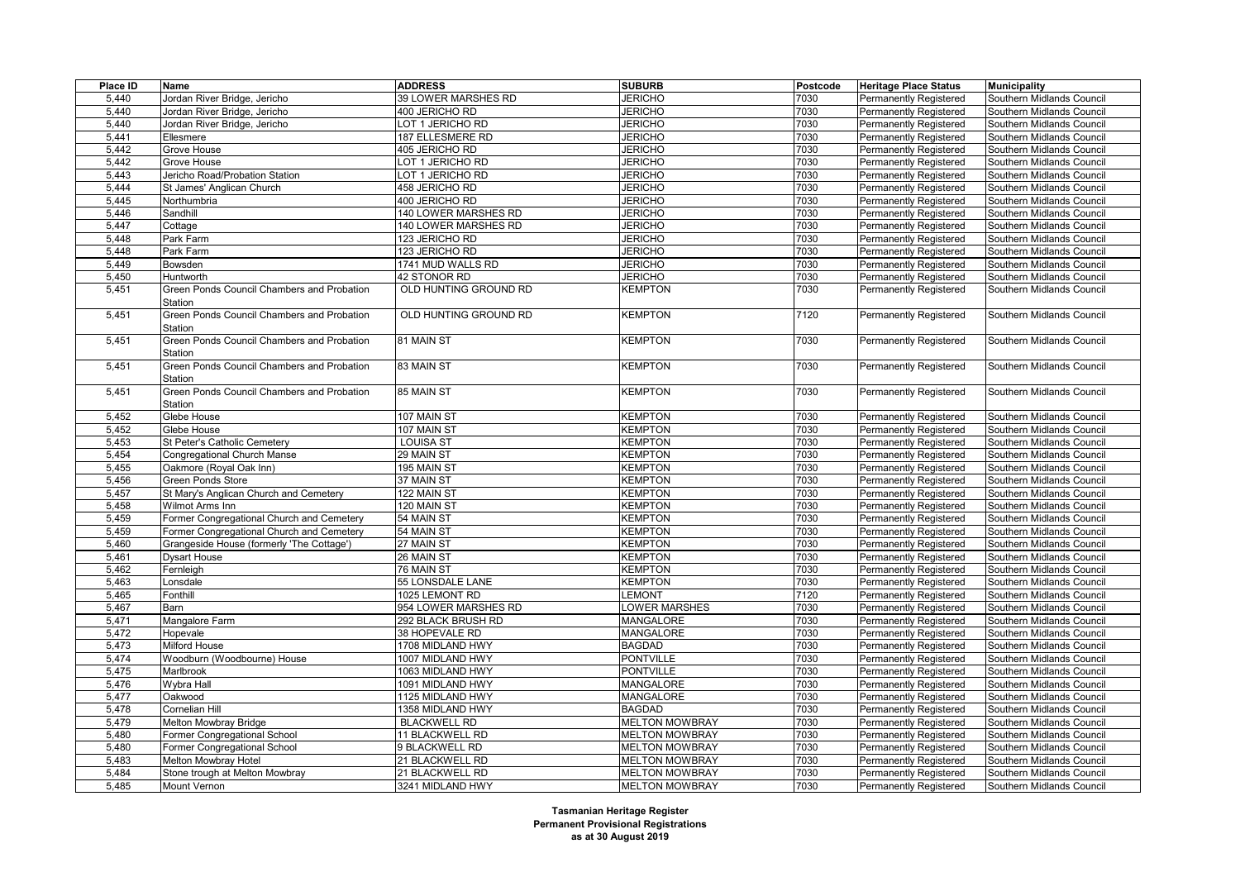| Place ID | Name                                       | <b>ADDRESS</b>        | <b>SUBURB</b>         | Postcode | <b>Heritage Place Status</b>  | <b>Municipality</b>       |
|----------|--------------------------------------------|-----------------------|-----------------------|----------|-------------------------------|---------------------------|
| 5,440    | Jordan River Bridge, Jericho               | 39 LOWER MARSHES RD   | <b>JERICHO</b>        | 7030     | <b>Permanently Registered</b> | Southern Midlands Council |
| 5.440    | Jordan River Bridge, Jericho               | 400 JERICHO RD        | <b>JERICHO</b>        | 7030     | <b>Permanently Registered</b> | Southern Midlands Council |
| 5,440    | Jordan River Bridge, Jericho               | LOT 1 JERICHO RD      | <b>JERICHO</b>        | 7030     | <b>Permanently Registered</b> | Southern Midlands Council |
| 5,441    | Ellesmere                                  | 187 ELLESMERE RD      | <b>JERICHO</b>        | 7030     | Permanently Registered        | Southern Midlands Council |
| 5,442    | Grove House                                | 405 JERICHO RD        | <b>JERICHO</b>        | 7030     | <b>Permanently Registered</b> | Southern Midlands Council |
| 5,442    | Grove House                                | LOT 1 JERICHO RD      | <b>JERICHO</b>        | 7030     | <b>Permanently Registered</b> | Southern Midlands Council |
| 5,443    | Jericho Road/Probation Station             | OT 1 JERICHO RD       | <b>JERICHO</b>        | 7030     | <b>Permanently Registered</b> | Southern Midlands Council |
| 5.444    | St James' Anglican Church                  | 458 JERICHO RD        | <b>JERICHO</b>        | 7030     | <b>Permanently Registered</b> | Southern Midlands Council |
| 5,445    | Northumbria                                | 400 JERICHO RD        | <b>JERICHO</b>        | 7030     | <b>Permanently Registered</b> | Southern Midlands Council |
| 5,446    | Sandhill                                   | 140 LOWER MARSHES RD  | <b>JERICHO</b>        | 7030     | Permanently Registered        | Southern Midlands Council |
| 5,447    | Cottage                                    | 140 LOWER MARSHES RD  | <b>JERICHO</b>        | 7030     | <b>Permanently Registered</b> | Southern Midlands Council |
| 5,448    | Park Farm                                  | 123 JERICHO RD        | <b>JERICHO</b>        | 7030     | <b>Permanently Registered</b> | Southern Midlands Council |
| 5,448    | Park Farm                                  | 123 JERICHO RD        | <b>JERICHO</b>        | 7030     | <b>Permanently Registered</b> | Southern Midlands Council |
| 5,449    | Bowsden                                    | 1741 MUD WALLS RD     | <b>JERICHO</b>        | 7030     | <b>Permanently Registered</b> | Southern Midlands Council |
| 5,450    | Huntworth                                  | 42 STONOR RD          | <b>JERICHO</b>        | 7030     | <b>Permanently Registered</b> | Southern Midlands Council |
| 5,451    | Green Ponds Council Chambers and Probation | OLD HUNTING GROUND RD | KEMPTON               | 7030     | Permanently Registered        | Southern Midlands Council |
|          | Station                                    |                       |                       |          |                               |                           |
| 5,451    | Green Ponds Council Chambers and Probation | OLD HUNTING GROUND RD | KEMPTON               | 7120     | <b>Permanently Registered</b> | Southern Midlands Council |
|          | Station                                    |                       |                       |          |                               |                           |
| 5,451    | Green Ponds Council Chambers and Probation | 81 MAIN ST            | KEMPTON               | 7030     | Permanently Registered        | Southern Midlands Council |
|          | Station                                    |                       |                       |          |                               |                           |
| 5,451    | Green Ponds Council Chambers and Probation | 83 MAIN ST            | KEMPTON               | 7030     | Permanently Registered        | Southern Midlands Council |
|          | Station                                    |                       |                       |          |                               |                           |
| 5,451    | Green Ponds Council Chambers and Probation | 85 MAIN ST            | KEMPTON               | 7030     | <b>Permanently Registered</b> | Southern Midlands Council |
|          | Station                                    |                       |                       |          |                               |                           |
| 5,452    | Glebe House                                | 107 MAIN ST           | <b>KEMPTON</b>        | 7030     | <b>Permanently Registered</b> | Southern Midlands Council |
| 5,452    | Glebe House                                | 107 MAIN ST           | <b>KEMPTON</b>        | 7030     | <b>Permanently Registered</b> | Southern Midlands Council |
| 5,453    | St Peter's Catholic Cemetery               | LOUISA ST             | KEMPTON               | 7030     | Permanently Registered        | Southern Midlands Council |
| 5,454    | Congregational Church Manse                | 29 MAIN ST            | <b>KEMPTON</b>        | 7030     | <b>Permanently Registered</b> | Southern Midlands Council |
| 5,455    | Oakmore (Royal Oak Inn)                    | 195 MAIN ST           | <b>KEMPTON</b>        | 7030     | <b>Permanently Registered</b> | Southern Midlands Council |
| 5,456    | Green Ponds Store                          | 37 MAIN ST            | KEMPTON               | 7030     | Permanently Registered        | Southern Midlands Council |
| 5,457    | St Mary's Anglican Church and Cemetery     | 122 MAIN ST           | <b>KEMPTON</b>        | 7030     | Permanently Registered        | Southern Midlands Council |
| 5,458    | Wilmot Arms Inn                            | 120 MAIN ST           | <b>KEMPTON</b>        | 7030     | <b>Permanently Registered</b> | Southern Midlands Council |
| 5,459    | Former Congregational Church and Cemetery  | 54 MAIN ST            | <b>KEMPTON</b>        | 7030     | Permanently Registered        | Southern Midlands Council |
| 5,459    | Former Congregational Church and Cemetery  | 54 MAIN ST            | <b>KEMPTON</b>        | 7030     | <b>Permanently Registered</b> | Southern Midlands Council |
| 5,460    | Grangeside House (formerly 'The Cottage')  | 27 MAIN ST            | <b>KEMPTON</b>        | 7030     | Permanently Registered        | Southern Midlands Council |
| 5,461    | <b>Dysart House</b>                        | 26 MAIN ST            | <b>KEMPTON</b>        | 7030     | Permanently Registered        | Southern Midlands Council |
| 5,462    | Fernleigh                                  | 76 MAIN ST            | KEMPTON               | 7030     | <b>Permanently Registered</b> | Southern Midlands Council |
| 5,463    | _onsdale                                   | 55 LONSDALE LANE      | KEMPTON               | 7030     | <b>Permanently Registered</b> | Southern Midlands Council |
| 5,465    | Fonthill                                   | 1025 LEMONT RD        | <b>LEMONT</b>         | 7120     | Permanently Registered        | Southern Midlands Council |
| 5,467    | Barn                                       | 954 LOWER MARSHES RD  | LOWER MARSHES         | 7030     | <b>Permanently Registered</b> | Southern Midlands Council |
| 5,471    | Mangalore Farm                             | 292 BLACK BRUSH RD    | MANGALORE             | 7030     | <b>Permanently Registered</b> | Southern Midlands Council |
| 5,472    | Hopevale                                   | 38 HOPEVALE RD        | <b>MANGALORE</b>      | 7030     | Permanently Registered        | Southern Midlands Council |
| 5,473    | Milford House                              | 1708 MIDLAND HWY      | <b>BAGDAD</b>         | 7030     | <b>Permanently Registered</b> | Southern Midlands Council |
| 5,474    | Woodburn (Woodbourne) House                | 1007 MIDLAND HWY      | <b>PONTVILLE</b>      | 7030     | <b>Permanently Registered</b> | Southern Midlands Council |
| 5,475    | Marlbrook                                  | 1063 MIDLAND HWY      | <b>PONTVILLE</b>      | 7030     | <b>Permanently Registered</b> | Southern Midlands Council |
| 5,476    | Wybra Hall                                 | 1091 MIDLAND HWY      | MANGALORE             | 7030     | <b>Permanently Registered</b> | Southern Midlands Council |
| 5,477    | Oakwood                                    | 1125 MIDLAND HWY      | <b>MANGALORE</b>      | 7030     | <b>Permanently Registered</b> | Southern Midlands Council |
| 5,478    | Cornelian Hill                             | 1358 MIDLAND HWY      | <b>BAGDAD</b>         | 7030     | Permanently Registered        | Southern Midlands Council |
| 5,479    | Melton Mowbray Bridge                      | <b>BLACKWELL RD</b>   | <b>MELTON MOWBRAY</b> | 7030     | <b>Permanently Registered</b> | Southern Midlands Council |
| 5,480    | Former Congregational School               | 11 BLACKWELL RD       | <b>MELTON MOWBRAY</b> | 7030     | <b>Permanently Registered</b> | Southern Midlands Council |
| 5,480    | Former Congregational School               | 9 BLACKWELL RD        | <b>MELTON MOWBRAY</b> | 7030     | Permanently Registered        | Southern Midlands Council |
| 5,483    | Melton Mowbray Hotel                       | 21 BLACKWELL RD       | <b>MELTON MOWBRAY</b> | 7030     | Permanently Registered        | Southern Midlands Council |
| 5.484    | Stone trough at Melton Mowbray             | 21 BLACKWELL RD       | <b>MELTON MOWBRAY</b> | 7030     | <b>Permanently Registered</b> | Southern Midlands Council |
| 5,485    | Mount Vernon                               | 3241 MIDLAND HWY      | <b>MELTON MOWBRAY</b> | 7030     | <b>Permanently Registered</b> | Southern Midlands Council |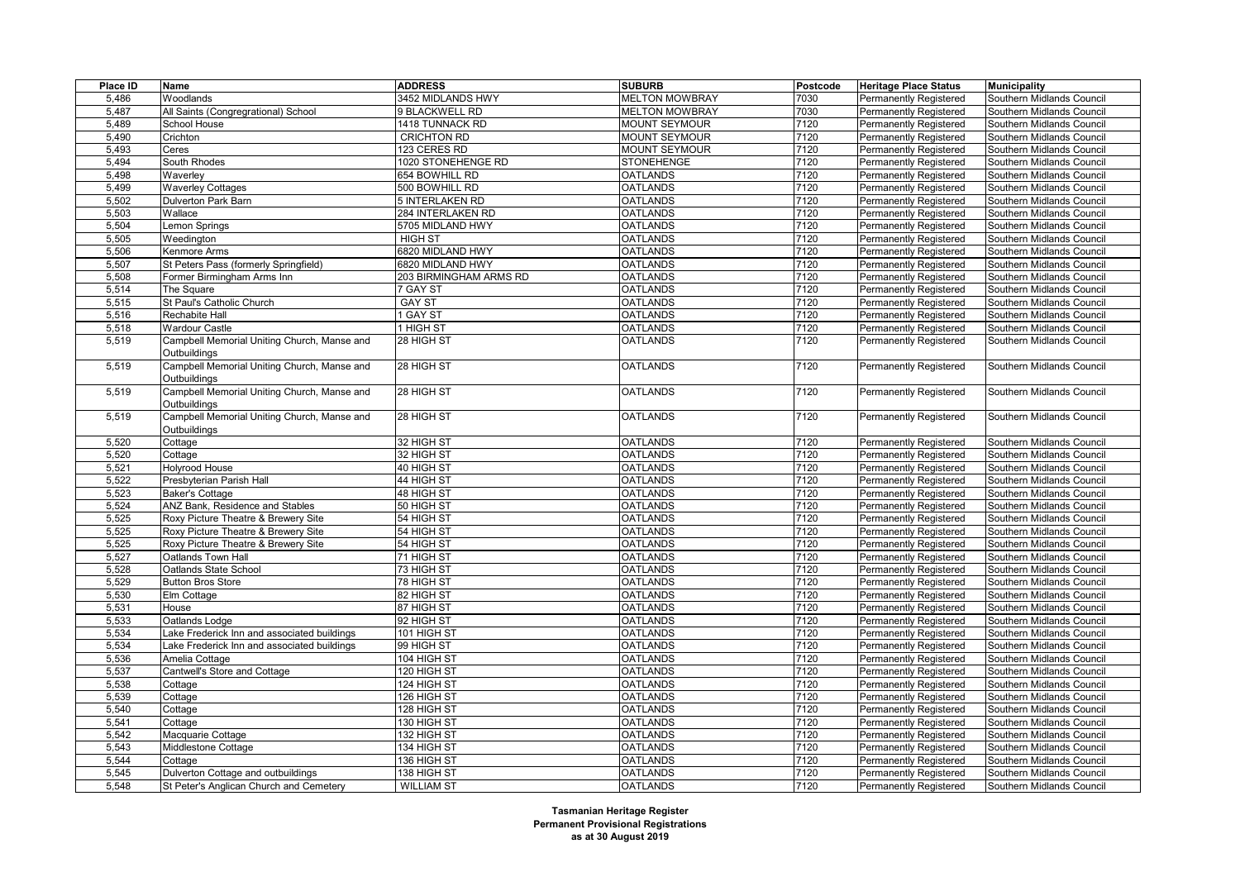| Place ID       | <b>Name</b>                                   | <b>ADDRESS</b>             | <b>SUBURB</b>         | Postcode | <b>Heritage Place Status</b>                                   | <b>Municipality</b>                                    |
|----------------|-----------------------------------------------|----------------------------|-----------------------|----------|----------------------------------------------------------------|--------------------------------------------------------|
| 5,486          | Woodlands                                     | 3452 MIDLANDS HWY          | <b>MELTON MOWBRAY</b> | 7030     | Permanently Registered                                         | Southern Midlands Council                              |
| 5.487          | All Saints (Congregrational) School           | 9 BLACKWELL RD             | <b>MELTON MOWBRAY</b> | 7030     | Permanently Registered                                         | Southern Midlands Council                              |
| 5,489          | School House                                  | 1418 TUNNACK RD            | MOUNT SEYMOUR         | 7120     | <b>Permanently Registered</b>                                  | Southern Midlands Council                              |
| 5,490          | Crichton                                      | <b>CRICHTON RD</b>         | <b>MOUNT SEYMOUR</b>  | 7120     | <b>Permanently Registered</b>                                  | Southern Midlands Council                              |
| 5,493          | Ceres                                         | 123 CERES RD               | <b>MOUNT SEYMOUR</b>  | 7120     | <b>Permanently Registered</b>                                  | Southern Midlands Council                              |
| 5,494          | South Rhodes                                  | 1020 STONEHENGE RD         | <b>STONEHENGE</b>     | 7120     | <b>Permanently Registered</b>                                  | Southern Midlands Council                              |
| 5,498          | Waverley                                      | 654 BOWHILL RD             | <b>OATLANDS</b>       | 7120     | <b>Permanently Registered</b>                                  | Southern Midlands Council                              |
| 5.499          | <b>Waverley Cottages</b>                      | 500 BOWHILL RD             | <b>OATLANDS</b>       | 7120     | Permanently Registered                                         | Southern Midlands Council                              |
| 5,502          | <b>Dulverton Park Barn</b>                    | 5 INTERLAKEN RD            | <b>OATLANDS</b>       | 7120     | <b>Permanently Registered</b>                                  | Southern Midlands Council                              |
| 5,503          | Wallace                                       | 284 INTERLAKEN RD          | <b>OATLANDS</b>       | 7120     | <b>Permanently Registered</b>                                  | Southern Midlands Council                              |
| 5,504          | Lemon Springs                                 | 5705 MIDLAND HWY           | <b>OATLANDS</b>       | 7120     | Permanently Registered                                         | Southern Midlands Council                              |
| 5,505          | Weedington                                    | <b>HIGH ST</b>             | <b>OATLANDS</b>       | 7120     | <b>Permanently Registered</b>                                  | Southern Midlands Council                              |
| 5,506          | Kenmore Arms                                  | 6820 MIDLAND HWY           | <b>OATLANDS</b>       | 7120     | <b>Permanently Registered</b>                                  | Southern Midlands Council                              |
| 5,507          | St Peters Pass (formerly Springfield)         | 6820 MIDLAND HWY           | <b>OATLANDS</b>       | 7120     | Permanently Registered                                         | Southern Midlands Council                              |
| 5,508          | Former Birmingham Arms Inn                    | 203 BIRMINGHAM ARMS RD     | <b>OATLANDS</b>       | 7120     | <b>Permanently Registered</b>                                  | Southern Midlands Council                              |
| 5,514          | The Square                                    | 7 GAY ST                   | <b>OATLANDS</b>       | 7120     | <b>Permanently Registered</b>                                  | Southern Midlands Council                              |
| 5,515          | St Paul's Catholic Church                     | <b>GAY ST</b>              | <b>OATLANDS</b>       | 7120     | Permanently Registered                                         | Southern Midlands Council                              |
| 5,516          | Rechabite Hall                                | 1 GAY ST                   | <b>OATLANDS</b>       | 7120     | <b>Permanently Registered</b>                                  | Southern Midlands Council                              |
| 5,518          | <b>Wardour Castle</b>                         | 1 HIGH ST                  | <b>OATLANDS</b>       | 7120     | <b>Permanently Registered</b>                                  | Southern Midlands Council                              |
| 5,519          | Campbell Memorial Uniting Church, Manse and   | 28 HIGH ST                 | <b>OATLANDS</b>       | 7120     | Permanently Registered                                         | Southern Midlands Council                              |
|                | Outbuildings                                  |                            |                       |          |                                                                |                                                        |
| 5,519          | Campbell Memorial Uniting Church, Manse and   | 28 HIGH ST                 | <b>OATLANDS</b>       | 7120     | <b>Permanently Registered</b>                                  | Southern Midlands Council                              |
|                | Outbuildings                                  |                            |                       |          |                                                                |                                                        |
| 5,519          | Campbell Memorial Uniting Church, Manse and   | 28 HIGH ST                 | <b>OATLANDS</b>       | 7120     | <b>Permanently Registered</b>                                  | Southern Midlands Council                              |
|                | Outbuildings                                  |                            |                       |          |                                                                |                                                        |
| 5,519          | Campbell Memorial Uniting Church, Manse and   | 28 HIGH ST                 | <b>OATLANDS</b>       | 7120     | <b>Permanently Registered</b>                                  | Southern Midlands Council                              |
|                | Outbuildings                                  |                            |                       |          |                                                                |                                                        |
| 5,520          | Cottage                                       | 32 HIGH ST                 | <b>OATLANDS</b>       | 7120     | <b>Permanently Registered</b>                                  | Southern Midlands Council                              |
| 5,520          | Cottage                                       | 32 HIGH ST                 | <b>OATLANDS</b>       | 7120     | Permanently Registered                                         | Southern Midlands Council                              |
| 5,521          | <b>Holyrood House</b>                         | 40 HIGH ST                 | <b>OATLANDS</b>       | 7120     | Permanently Registered                                         | Southern Midlands Council                              |
| 5,522          | Presbyterian Parish Hall                      | 44 HIGH ST                 | <b>OATLANDS</b>       | 7120     | <b>Permanently Registered</b>                                  | Southern Midlands Council                              |
| 5,523          | <b>Baker's Cottage</b>                        | 48 HIGH ST                 | <b>OATLANDS</b>       | 7120     | Permanently Registered                                         | Southern Midlands Council                              |
| 5,524          | ANZ Bank, Residence and Stables               | 50 HIGH ST                 | <b>OATLANDS</b>       | 7120     | Permanently Registered                                         | Southern Midlands Council                              |
| 5,525          | Roxy Picture Theatre & Brewery Site           | 54 HIGH ST                 | <b>OATLANDS</b>       | 7120     | <b>Permanently Registered</b>                                  | Southern Midlands Council                              |
| 5,525          | Roxy Picture Theatre & Brewery Site           | 54 HIGH ST                 | <b>OATLANDS</b>       | 7120     | <b>Permanently Registered</b>                                  | Southern Midlands Council                              |
| 5,525          | Roxy Picture Theatre & Brewery Site           | 54 HIGH ST                 | <b>OATLANDS</b>       | 7120     | Permanently Registered                                         | Southern Midlands Council                              |
| 5,527          | Oatlands Town Hall                            | 71 HIGH ST                 | <b>OATLANDS</b>       | 7120     | <b>Permanently Registered</b>                                  | Southern Midlands Council                              |
| 5,528          | Oatlands State School                         | $\overline{73}$ HIGH ST    | <b>OATLANDS</b>       | 7120     | <b>Permanently Registered</b>                                  | Southern Midlands Council                              |
| 5,529          | <b>Button Bros Store</b>                      | 78 HIGH ST                 | <b>OATLANDS</b>       | 7120     | <b>Permanently Registered</b>                                  | Southern Midlands Council                              |
| 5,530          | Elm Cottage                                   | 82 HIGH ST                 | <b>OATLANDS</b>       | 7120     | <b>Permanently Registered</b>                                  | Southern Midlands Council                              |
| 5,531          | House                                         | 87 HIGH ST                 | <b>OATLANDS</b>       | 7120     | <b>Permanently Registered</b>                                  | Southern Midlands Council                              |
| 5,533          | Oatlands Lodge                                | 92 HIGH ST                 | <b>OATLANDS</b>       | 7120     | <b>Permanently Registered</b>                                  | Southern Midlands Council                              |
| 5,534          | Lake Frederick Inn and associated buildings   | 101 HIGH ST                | <b>OATLANDS</b>       | 7120     | <b>Permanently Registered</b>                                  | Southern Midlands Council                              |
| 5,534          | Lake Frederick Inn and associated buildings   | 99 HIGH ST                 | <b>OATLANDS</b>       | 7120     | <b>Permanently Registered</b>                                  | Southern Midlands Council                              |
| 5,536          | Amelia Cottage                                | 104 HIGH ST                | <b>OATLANDS</b>       | 7120     | Permanently Registered                                         | Southern Midlands Council                              |
| 5,537          | Cantwell's Store and Cottage                  | 120 HIGH ST                | <b>OATLANDS</b>       | 7120     | <b>Permanently Registered</b>                                  | Southern Midlands Council                              |
|                |                                               |                            | <b>OATLANDS</b>       | 7120     |                                                                |                                                        |
| 5,538<br>5,539 | Cottage<br>Cottage                            | 124 HIGH ST<br>126 HIGH ST | <b>OATLANDS</b>       | 7120     | <b>Permanently Registered</b><br><b>Permanently Registered</b> | Southern Midlands Council<br>Southern Midlands Council |
| 5,540          | Cottage                                       | 128 HIGH ST                | <b>OATLANDS</b>       | 7120     | <b>Permanently Registered</b>                                  | Southern Midlands Council                              |
| 5,541          |                                               | 130 HIGH ST                | <b>OATLANDS</b>       | 7120     | <b>Permanently Registered</b>                                  | Southern Midlands Council                              |
| 5,542          | Cottage<br>Macquarie Cottage                  | 132 HIGH ST                | <b>OATLANDS</b>       | 7120     | Permanently Registered                                         | Southern Midlands Council                              |
| 5,543          | Middlestone Cottage                           | 134 HIGH ST                | <b>OATLANDS</b>       | 7120     | Permanently Registered                                         | Southern Midlands Council                              |
| 5,544          |                                               | 136 HIGH ST                | <b>OATLANDS</b>       | 7120     | <b>Permanently Registered</b>                                  | Southern Midlands Council                              |
| 5,545          | Cottage<br>Dulverton Cottage and outbuildings | 138 HIGH ST                | <b>OATLANDS</b>       | 7120     | <b>Permanently Registered</b>                                  | Southern Midlands Council                              |
| 5,548          | St Peter's Anglican Church and Cemetery       | <b>WILLIAM ST</b>          | <b>OATLANDS</b>       | 7120     | Permanently Registered                                         | Southern Midlands Council                              |
|                |                                               |                            |                       |          |                                                                |                                                        |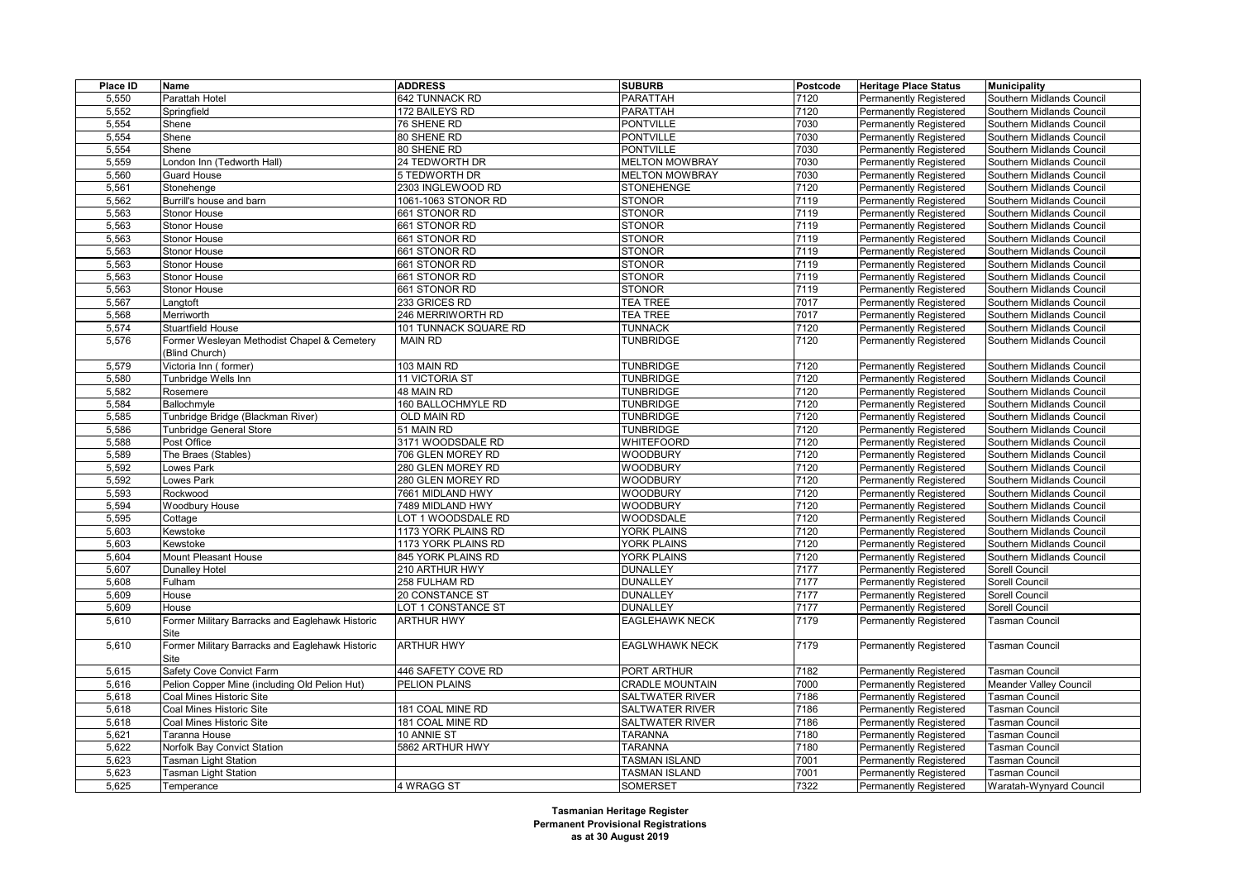| Place ID | Name                                                    | <b>ADDRESS</b>        | <b>SUBURB</b>          | Postcode | <b>Heritage Place Status</b>  | <b>Municipality</b>           |
|----------|---------------------------------------------------------|-----------------------|------------------------|----------|-------------------------------|-------------------------------|
| 5,550    | Parattah Hotel                                          | 642 TUNNACK RD        | PARATTAH               | 7120     | <b>Permanently Registered</b> | Southern Midlands Council     |
| 5,552    | Springfield                                             | 172 BAILEYS RD        | <b>PARATTAH</b>        | 7120     | <b>Permanently Registered</b> | Southern Midlands Council     |
| 5,554    | Shene                                                   | 76 SHENE RD           | <b>PONTVILLE</b>       | 7030     | <b>Permanently Registered</b> | Southern Midlands Council     |
| 5,554    | Shene                                                   | 80 SHENE RD           | <b>PONTVILLE</b>       | 7030     | <b>Permanently Registered</b> | Southern Midlands Council     |
| 5,554    | Shene                                                   | 80 SHENE RD           | <b>PONTVILLE</b>       | 7030     | Permanently Registered        | Southern Midlands Council     |
| 5,559    | ondon Inn (Tedworth Hall)                               | 24 TEDWORTH DR        | <b>MELTON MOWBRAY</b>  | 7030     | <b>Permanently Registered</b> | Southern Midlands Council     |
| 5,560    | Guard House                                             | 5 TEDWORTH DR         | <b>MELTON MOWBRAY</b>  | 7030     | <b>Permanently Registered</b> | Southern Midlands Council     |
| 5,561    | Stonehenge                                              | 2303 INGLEWOOD RD     | <b>STONEHENGE</b>      | 7120     | Permanently Registered        | Southern Midlands Council     |
| 5,562    | Burrill's house and barn                                | 1061-1063 STONOR RD   | <b>STONOR</b>          | 7119     | <b>Permanently Registered</b> | Southern Midlands Council     |
| 5,563    | Stonor House                                            | 661 STONOR RD         | <b>STONOR</b>          | 7119     | Permanently Registered        | Southern Midlands Council     |
| 5,563    | <b>Stonor House</b>                                     | 661 STONOR RD         | <b>STONOR</b>          | 7119     | Permanently Registered        | Southern Midlands Council     |
| 5,563    | <b>Stonor House</b>                                     | 661 STONOR RD         | <b>STONOR</b>          | 7119     | <b>Permanently Registered</b> | Southern Midlands Council     |
| 5,563    | Stonor House                                            | 661 STONOR RD         | <b>STONOR</b>          | 7119     | Permanently Registered        | Southern Midlands Council     |
| 5,563    | Stonor House                                            | 661 STONOR RD         | <b>STONOR</b>          | 7119     | Permanently Registered        | Southern Midlands Council     |
| 5,563    | Stonor House                                            | 661 STONOR RD         | <b>STONOR</b>          | 7119     | <b>Permanently Registered</b> | Southern Midlands Council     |
| 5,563    | Stonor House                                            | 661 STONOR RD         | <b>STONOR</b>          | 7119     | Permanently Registered        | Southern Midlands Council     |
| 5,567    | _angtoft                                                | 233 GRICES RD         | <b>TEA TREE</b>        | 7017     | Permanently Registered        | Southern Midlands Council     |
| 5,568    | Merriworth                                              | 246 MERRIWORTH RD     | <b>TEA TREE</b>        | 7017     | <b>Permanently Registered</b> | Southern Midlands Council     |
| 5,574    | <b>Stuartfield House</b>                                | 101 TUNNACK SQUARE RD | TUNNACK                | 7120     | Permanently Registered        | Southern Midlands Council     |
| 5,576    | Former Wesleyan Methodist Chapel & Cemetery             | <b>MAIN RD</b>        | <b>TUNBRIDGE</b>       | 7120     | Permanently Registered        | Southern Midlands Council     |
|          | (Blind Church)                                          |                       |                        |          |                               |                               |
| 5,579    | Victoria Inn (former)                                   | 103 MAIN RD           | <b>TUNBRIDGE</b>       | 7120     | <b>Permanently Registered</b> | Southern Midlands Council     |
| 5,580    | Tunbridge Wells Inn                                     | 11 VICTORIA ST        | <b>TUNBRIDGE</b>       | 7120     | Permanently Registered        | Southern Midlands Council     |
| 5,582    | Rosemere                                                | 48 MAIN RD            | <b>TUNBRIDGE</b>       | 7120     | Permanently Registered        | Southern Midlands Council     |
| 5,584    | Ballochmyle                                             | 160 BALLOCHMYLE RD    | <b>TUNBRIDGE</b>       | 7120     | <b>Permanently Registered</b> | Southern Midlands Council     |
| 5,585    | Tunbridge Bridge (Blackman River)                       | OLD MAIN RD           | <b>TUNBRIDGE</b>       | 7120     | Permanently Registered        | Southern Midlands Council     |
| 5,586    | Tunbridge General Store                                 | 51 MAIN RD            | <b>TUNBRIDGE</b>       | 7120     | Permanently Registered        | Southern Midlands Council     |
| 5,588    | Post Office                                             | 3171 WOODSDALE RD     | WHITEFOORD             | 7120     | <b>Permanently Registered</b> | Southern Midlands Council     |
| 5,589    | The Braes (Stables)                                     | 706 GLEN MOREY RD     | <b>WOODBURY</b>        | 7120     | Permanently Registered        | Southern Midlands Council     |
| 5,592    | owes Park                                               | 280 GLEN MOREY RD     | <b>WOODBURY</b>        | 7120     | Permanently Registered        | Southern Midlands Council     |
| 5,592    | owes Park                                               | 280 GLEN MOREY RD     | <b>WOODBURY</b>        | 7120     | <b>Permanently Registered</b> | Southern Midlands Council     |
| 5,593    | Rockwood                                                | 7661 MIDLAND HWY      | <b>WOODBURY</b>        | 7120     | Permanently Registered        | Southern Midlands Council     |
| 5,594    | Woodbury House                                          | 7489 MIDLAND HWY      | <b>WOODBURY</b>        | 7120     | Permanently Registered        | Southern Midlands Council     |
| 5,595    | Cottage                                                 | LOT 1 WOODSDALE RD    | <b>WOODSDALE</b>       | 7120     | <b>Permanently Registered</b> | Southern Midlands Council     |
| 5,603    | Kewstoke                                                | 1173 YORK PLAINS RD   | <b>YORK PLAINS</b>     | 7120     | Permanently Registered        | Southern Midlands Council     |
| 5,603    | Kewstoke                                                | 1173 YORK PLAINS RD   | YORK PLAINS            | 7120     | Permanently Registered        | Southern Midlands Council     |
| 5,604    | Mount Pleasant House                                    | 845 YORK PLAINS RD    | YORK PLAINS            | 7120     | <b>Permanently Registered</b> | Southern Midlands Council     |
| 5,607    | <b>Dunalley Hotel</b>                                   | 210 ARTHUR HWY        | <b>DUNALLEY</b>        | 7177     | Permanently Registered        | Sorell Council                |
| 5,608    | Fulham                                                  | 258 FULHAM RD         | <b>DUNALLEY</b>        | 7177     | <b>Permanently Registered</b> | Sorell Council                |
| 5,609    | House                                                   | 20 CONSTANCE ST       | <b>DUNALLEY</b>        | 7177     | <b>Permanently Registered</b> | Sorell Council                |
| 5,609    | House                                                   | LOT 1 CONSTANCE ST    | <b>DUNALLEY</b>        | 7177     | Permanently Registered        | <b>Sorell Council</b>         |
| 5,610    | Former Military Barracks and Eaglehawk Historic<br>Site | <b>ARTHUR HWY</b>     | <b>EAGLEHAWK NECK</b>  | 7179     | <b>Permanently Registered</b> | <b>Tasman Council</b>         |
| 5,610    | Former Military Barracks and Eaglehawk Historic<br>Site | <b>ARTHUR HWY</b>     | <b>EAGLWHAWK NECK</b>  | 7179     | Permanently Registered        | Tasman Council                |
| 5,615    | Safety Cove Convict Farm                                | 446 SAFETY COVE RD    | PORT ARTHUR            | 7182     | <b>Permanently Registered</b> | Tasman Council                |
| 5,616    | Pelion Copper Mine (including Old Pelion Hut)           | <b>PELION PLAINS</b>  | <b>CRADLE MOUNTAIN</b> | 7000     | <b>Permanently Registered</b> | <b>Meander Valley Council</b> |
| 5,618    | Coal Mines Historic Site                                |                       | <b>SALTWATER RIVER</b> | 7186     | <b>Permanently Registered</b> | <b>Tasman Council</b>         |
| 5,618    | Coal Mines Historic Site                                | 181 COAL MINE RD      | <b>SALTWATER RIVER</b> | 7186     | <b>Permanently Registered</b> | Tasman Council                |
| 5,618    | Coal Mines Historic Site                                | 181 COAL MINE RD      | <b>SALTWATER RIVER</b> | 7186     | Permanently Registered        | <b>Tasman Council</b>         |
| 5,621    | Taranna House                                           | 10 ANNIE ST           | <b>TARANNA</b>         | 7180     | Permanently Registered        | Tasman Council                |
| 5,622    | Norfolk Bay Convict Station                             | 5862 ARTHUR HWY       | <b>TARANNA</b>         | 7180     | Permanently Registered        | Tasman Council                |
| 5,623    | <b>Fasman Light Station</b>                             |                       | <b>TASMAN ISLAND</b>   | 7001     | <b>Permanently Registered</b> | <b>Tasman Council</b>         |
| 5,623    | Tasman Light Station                                    |                       | <b>TASMAN ISLAND</b>   | 7001     | <b>Permanently Registered</b> | <b>Tasman Council</b>         |
| 5,625    | Temperance                                              | 4 WRAGG ST            | <b>SOMERSET</b>        | 7322     | Permanently Registered        | Waratah-Wynyard Council       |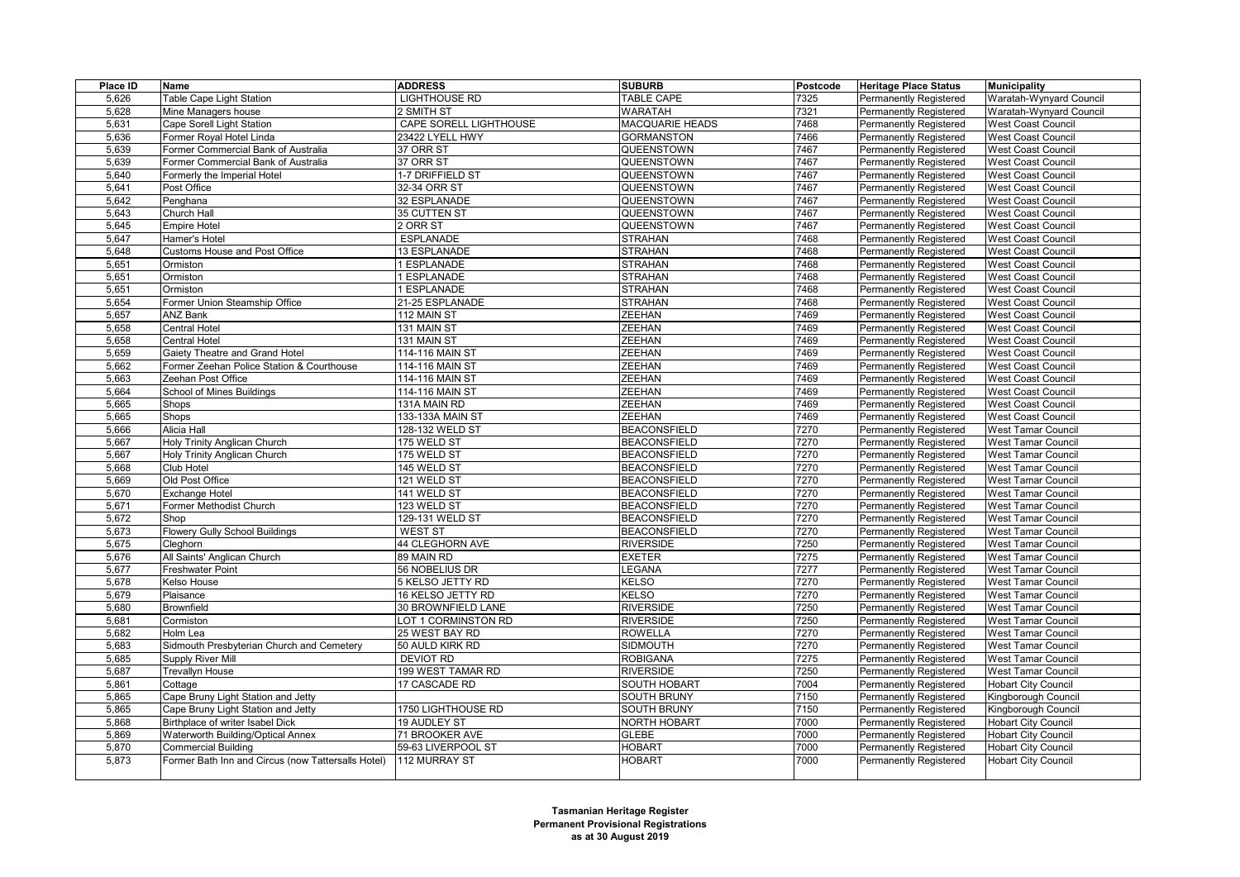| Place ID | Name                                               | <b>ADDRESS</b>         | <b>SUBURB</b>          | Postcode | <b>Heritage Place Status</b>  | <b>Municipality</b>        |
|----------|----------------------------------------------------|------------------------|------------------------|----------|-------------------------------|----------------------------|
| 5,626    | Table Cape Light Station                           | LIGHTHOUSE RD          | <b>TABLE CAPE</b>      | 7325     | <b>Permanently Registered</b> | Waratah-Wynyard Council    |
| 5,628    | Mine Managers house                                | 2 SMITH ST             | <b>WARATAH</b>         | 7321     | <b>Permanently Registered</b> | Waratah-Wynyard Council    |
| 5,631    | Cape Sorell Light Station                          | CAPE SORELL LIGHTHOUSE | <b>MACQUARIE HEADS</b> | 7468     | Permanently Registered        | <b>West Coast Council</b>  |
| 5,636    | Former Royal Hotel Linda                           | 23422 LYELL HWY        | <b>GORMANSTON</b>      | 7466     | <b>Permanently Registered</b> | <b>West Coast Council</b>  |
| 5,639    | Former Commercial Bank of Australia                | 37 ORR ST              | QUEENSTOWN             | 7467     | <b>Permanently Registered</b> | West Coast Council         |
| 5,639    | Former Commercial Bank of Australia                | 37 ORR ST              | QUEENSTOWN             | 7467     | <b>Permanently Registered</b> | <b>West Coast Council</b>  |
| 5,640    | Formerly the Imperial Hotel                        | 1-7 DRIFFIELD ST       | QUEENSTOWN             | 7467     | <b>Permanently Registered</b> | <b>West Coast Council</b>  |
| 5,641    | Post Office                                        | 32-34 ORR ST           | QUEENSTOWN             | 7467     | <b>Permanently Registered</b> | <b>West Coast Council</b>  |
| 5,642    | Penghana                                           | <b>32 ESPLANADE</b>    | QUEENSTOWN             | 7467     | <b>Permanently Registered</b> | <b>West Coast Council</b>  |
| 5,643    | Church Hall                                        | 35 CUTTEN ST           | QUEENSTOWN             | 7467     | <b>Permanently Registered</b> | <b>West Coast Council</b>  |
| 5,645    | <b>Empire Hotel</b>                                | 2 ORR ST               | QUEENSTOWN             | 7467     | <b>Permanently Registered</b> | <b>West Coast Council</b>  |
| 5,647    | Hamer's Hotel                                      | <b>ESPLANADE</b>       | <b>STRAHAN</b>         | 7468     | <b>Permanently Registered</b> | <b>West Coast Council</b>  |
| 5,648    | Customs House and Post Office                      | 13 ESPLANADE           | <b>STRAHAN</b>         | 7468     | <b>Permanently Registered</b> | <b>West Coast Council</b>  |
| 5,651    | Ormiston                                           | 1 ESPLANADE            | <b>STRAHAN</b>         | 7468     | Permanently Registered        | <b>West Coast Council</b>  |
| 5,651    | Ormiston                                           | 1 ESPLANADE            | <b>STRAHAN</b>         | 7468     | <b>Permanently Registered</b> | <b>West Coast Council</b>  |
| 5,651    | Ormiston                                           | 1 ESPLANADE            | <b>STRAHAN</b>         | 7468     | <b>Permanently Registered</b> | <b>West Coast Council</b>  |
| 5,654    | Former Union Steamship Office                      | 21-25 ESPLANADE        | <b>STRAHAN</b>         | 7468     | <b>Permanently Registered</b> | <b>West Coast Council</b>  |
| 5,657    | <b>ANZ Bank</b>                                    | 112 MAIN ST            | <b>ZEEHAN</b>          | 7469     | <b>Permanently Registered</b> | <b>West Coast Council</b>  |
| 5,658    | <b>Central Hotel</b>                               | 131 MAIN ST            | <b>ZEEHAN</b>          | 7469     | <b>Permanently Registered</b> | <b>West Coast Council</b>  |
| 5,658    | Central Hotel                                      | 131 MAIN ST            | <b>ZEEHAN</b>          | 7469     | <b>Permanently Registered</b> | <b>West Coast Council</b>  |
| 5,659    | Gaiety Theatre and Grand Hotel                     | 114-116 MAIN ST        | ZEEHAN                 | 7469     | Permanently Registered        | <b>West Coast Council</b>  |
| 5,662    | Former Zeehan Police Station & Courthouse          | 114-116 MAIN ST        | <b>ZEEHAN</b>          | 7469     | <b>Permanently Registered</b> | <b>West Coast Council</b>  |
| 5,663    | Zeehan Post Office                                 | 114-116 MAIN ST        | <b>ZEEHAN</b>          | 7469     | <b>Permanently Registered</b> | <b>West Coast Council</b>  |
| 5,664    | School of Mines Buildings                          | 114-116 MAIN ST        | <b>ZEEHAN</b>          | 7469     | <b>Permanently Registered</b> | <b>West Coast Council</b>  |
| 5,665    | Shops                                              | 131A MAIN RD           | <b>ZEEHAN</b>          | 7469     | <b>Permanently Registered</b> | <b>West Coast Council</b>  |
| 5,665    | Shops                                              | 133-133A MAIN ST       | <b>ZEEHAN</b>          | 7469     | <b>Permanently Registered</b> | <b>West Coast Council</b>  |
| 5,666    | Alicia Hall                                        | 128-132 WELD ST        | <b>BEACONSFIELD</b>    | 7270     | <b>Permanently Registered</b> | <b>West Tamar Council</b>  |
| 5,667    | Holy Trinity Anglican Church                       | 175 WELD ST            | <b>BEACONSFIELD</b>    | 7270     | <b>Permanently Registered</b> | <b>West Tamar Council</b>  |
| 5,667    | Holy Trinity Anglican Church                       | 175 WELD ST            | <b>BEACONSFIELD</b>    | 7270     | <b>Permanently Registered</b> | <b>West Tamar Council</b>  |
| 5,668    | <b>Club Hotel</b>                                  | 145 WELD ST            | <b>BEACONSFIELD</b>    | 7270     | <b>Permanently Registered</b> | <b>West Tamar Council</b>  |
| 5,669    | Old Post Office                                    | 121 WELD ST            | <b>BEACONSFIELD</b>    | 7270     | <b>Permanently Registered</b> | <b>West Tamar Council</b>  |
| 5,670    | Exchange Hotel                                     | 141 WELD ST            | <b>BEACONSFIELD</b>    | 7270     | Permanently Registered        | <b>West Tamar Council</b>  |
| 5,671    | Former Methodist Church                            | 123 WELD ST            | <b>BEACONSFIELD</b>    | 7270     | <b>Permanently Registered</b> | <b>West Tamar Council</b>  |
| 5,672    | Shop                                               | 129-131 WELD ST        | <b>BEACONSFIELD</b>    | 7270     | <b>Permanently Registered</b> | <b>West Tamar Council</b>  |
| 5,673    | <b>Flowery Gully School Buildings</b>              | <b>WEST ST</b>         | <b>BEACONSFIELD</b>    | 7270     | <b>Permanently Registered</b> | <b>West Tamar Council</b>  |
| 5,675    | Cleghorn                                           | <b>44 CLEGHORN AVE</b> | <b>RIVERSIDE</b>       | 7250     | <b>Permanently Registered</b> | <b>West Tamar Council</b>  |
| 5,676    | All Saints' Anglican Church                        | 89 MAIN RD             | <b>EXETER</b>          | 7275     | <b>Permanently Registered</b> | West Tamar Council         |
| 5,677    | Freshwater Point                                   | 56 NOBELIUS DR         | LEGANA                 | 7277     | <b>Permanently Registered</b> | <b>West Tamar Council</b>  |
| 5,678    | Kelso House                                        | 5 KELSO JETTY RD       | KELSO                  | 7270     | <b>Permanently Registered</b> | <b>West Tamar Council</b>  |
| 5,679    | Plaisance                                          | 16 KELSO JETTY RD      | <b>KELSO</b>           | 7270     | <b>Permanently Registered</b> | <b>West Tamar Council</b>  |
| 5,680    | <b>Brownfield</b>                                  | 30 BROWNFIELD LANE     | <b>RIVERSIDE</b>       | 7250     | <b>Permanently Registered</b> | <b>West Tamar Council</b>  |
| 5,681    | Cormiston                                          | LOT 1 CORMINSTON RD    | <b>RIVERSIDE</b>       | 7250     | <b>Permanently Registered</b> | <b>West Tamar Council</b>  |
| 5,682    | Holm Lea                                           | 25 WEST BAY RD         | <b>ROWELLA</b>         | 7270     | <b>Permanently Registered</b> | <b>West Tamar Council</b>  |
| 5,683    | Sidmouth Presbyterian Church and Cemetery          | 50 AULD KIRK RD        | <b>SIDMOUTH</b>        | 7270     | <b>Permanently Registered</b> | <b>West Tamar Council</b>  |
| 5,685    | Supply River Mill                                  | DEVIOT RD              | <b>ROBIGANA</b>        | 7275     | <b>Permanently Registered</b> | <b>West Tamar Council</b>  |
| 5,687    | <b>Trevallyn House</b>                             | 199 WEST TAMAR RD      | <b>RIVERSIDE</b>       | 7250     | <b>Permanently Registered</b> | <b>West Tamar Council</b>  |
| 5,861    | Cottage                                            | 17 CASCADE RD          | SOUTH HOBART           | 7004     | <b>Permanently Registered</b> | <b>Hobart City Council</b> |
| 5,865    | Cape Bruny Light Station and Jetty                 |                        | <b>SOUTH BRUNY</b>     | 7150     | Permanently Registered        | Kingborough Council        |
| 5,865    | Cape Bruny Light Station and Jetty                 | 1750 LIGHTHOUSE RD     | SOUTH BRUNY            | 7150     | <b>Permanently Registered</b> | Kingborough Council        |
| 5,868    | Birthplace of writer Isabel Dick                   | <b>19 AUDLEY ST</b>    | NORTH HOBART           | 7000     | <b>Permanently Registered</b> | <b>Hobart City Council</b> |
| 5,869    | Waterworth Building/Optical Annex                  | 71 BROOKER AVE         | <b>GLEBE</b>           | 7000     | <b>Permanently Registered</b> | <b>Hobart City Council</b> |
| 5,870    | <b>Commercial Building</b>                         | 59-63 LIVERPOOL ST     | <b>HOBART</b>          | 7000     | <b>Permanently Registered</b> | <b>Hobart City Council</b> |
| 5,873    | Former Bath Inn and Circus (now Tattersalls Hotel) | 112 MURRAY ST          | <b>HOBART</b>          | 7000     | Permanently Registered        | <b>Hobart City Council</b> |
|          |                                                    |                        |                        |          |                               |                            |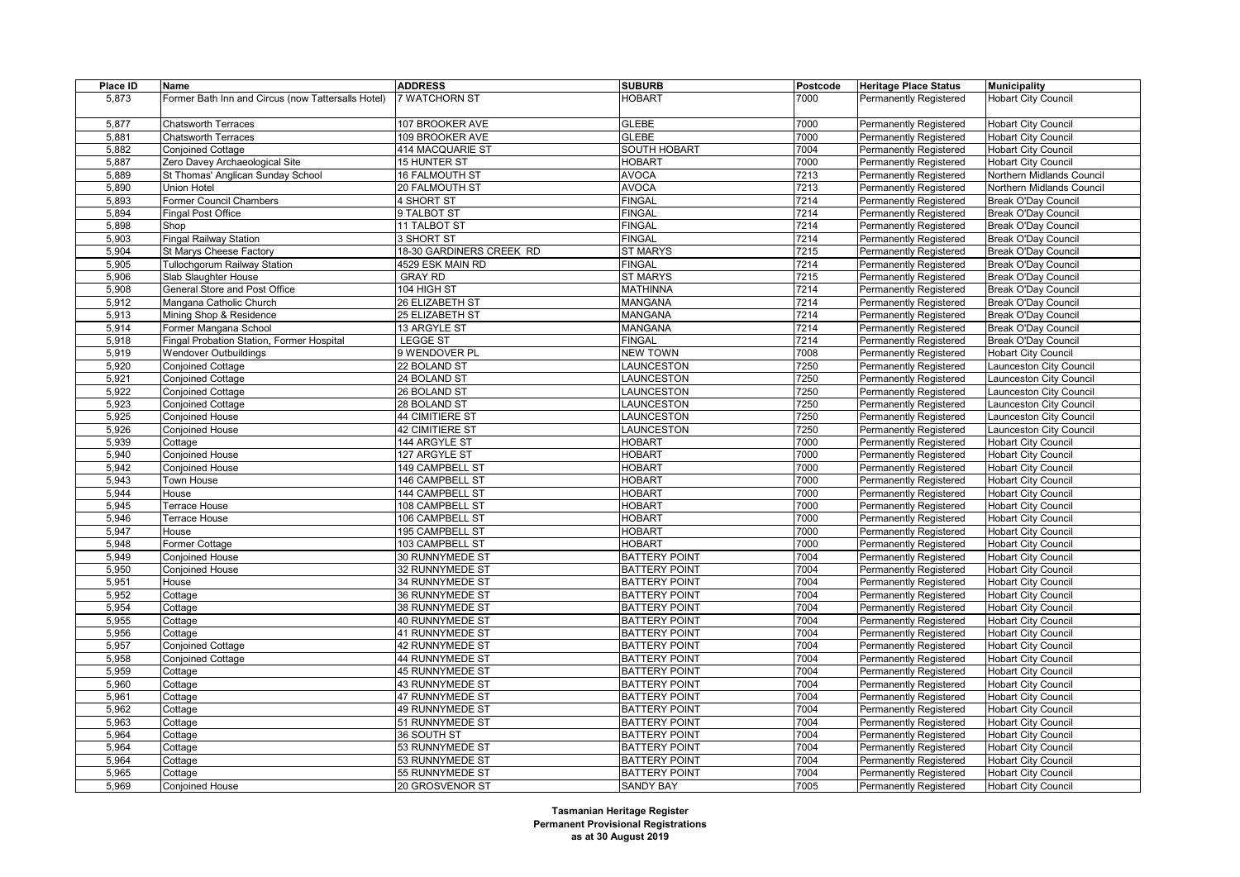| Place ID       | Name                                               | <b>ADDRESS</b>                     | <b>SUBURB</b>                                | Postcode | <b>Heritage Place Status</b>                            | <b>Municipality</b>                                      |
|----------------|----------------------------------------------------|------------------------------------|----------------------------------------------|----------|---------------------------------------------------------|----------------------------------------------------------|
| 5,873          | Former Bath Inn and Circus (now Tattersalls Hotel) | 7 WATCHORN ST                      | <b>HOBART</b>                                | 7000     | <b>Permanently Registered</b>                           | <b>Hobart City Council</b>                               |
|                |                                                    |                                    |                                              |          |                                                         |                                                          |
| 5,877          | <b>Chatsworth Terraces</b>                         | 107 BROOKER AVE                    | <b>GLEBE</b>                                 | 7000     | <b>Permanently Registered</b>                           | <b>Hobart City Council</b>                               |
| 5,881          | Chatsworth Terraces                                | 109 BROOKER AVE                    | <b>GLEBE</b>                                 | 7000     | Permanently Registered                                  | <b>Hobart City Council</b>                               |
| 5,882          | <b>Conjoined Cottage</b>                           | 414 MACQUARIE ST                   | <b>SOUTH HOBART</b>                          | 7004     | Permanently Registered                                  | <b>Hobart City Council</b>                               |
| 5,887          | Zero Davey Archaeological Site                     | 15 HUNTER ST                       | <b>HOBART</b>                                | 7000     | Permanently Registered                                  | <b>Hobart City Council</b>                               |
| 5,889          | St Thomas' Anglican Sunday School                  | <b>16 FALMOUTH ST</b>              | <b>AVOCA</b>                                 | 7213     | Permanently Registered                                  | Northern Midlands Council                                |
| 5,890          | <b>Union Hotel</b>                                 | 20 FALMOUTH ST                     | <b>AVOCA</b>                                 | 7213     | Permanently Registered                                  | Northern Midlands Council                                |
| 5,893          | Former Council Chambers                            | 4 SHORT ST                         | <b>FINGAL</b>                                | 7214     | Permanently Registered                                  | <b>Break O'Day Council</b>                               |
| 5,894          | Fingal Post Office                                 | 9 TALBOT ST                        | <b>FINGAL</b>                                | 7214     | Permanently Registered                                  | <b>Break O'Day Council</b>                               |
| 5,898          | Shop                                               | 11 TALBOT ST                       | <b>FINGAL</b>                                | 7214     | <b>Permanently Registered</b>                           | <b>Break O'Day Council</b>                               |
| 5,903          | <b>Fingal Railway Station</b>                      | 3 SHORT ST                         | <b>FINGAL</b>                                | 7214     | Permanently Registered                                  | <b>Break O'Day Council</b>                               |
| 5,904          | St Marys Cheese Factory                            | 18-30 GARDINERS CREEK RD           | <b>ST MARYS</b>                              | 7215     | Permanently Registered                                  | <b>Break O'Day Council</b>                               |
| 5,905          | <b>Tullochgorum Railway Station</b>                | 4529 ESK MAIN RD                   | <b>FINGAL</b>                                | 7214     | Permanently Registered                                  | <b>Break O'Day Council</b>                               |
| 5,906          | Slab Slaughter House                               | <b>GRAY RD</b>                     | <b>ST MARYS</b>                              | 7215     | <b>Permanently Registered</b>                           | <b>Break O'Day Council</b>                               |
| 5,908          | General Store and Post Office                      | 104 HIGH ST                        | <b>MATHINNA</b>                              | 7214     | Permanently Registered                                  | <b>Break O'Day Council</b>                               |
| 5,912          | Mangana Catholic Church                            | 26 ELIZABETH ST                    | <b>MANGANA</b>                               | 7214     | Permanently Registered                                  | Break O'Day Council                                      |
| 5,913          | Mining Shop & Residence                            | 25 ELIZABETH ST                    | MANGANA                                      | 7214     | <b>Permanently Registered</b>                           | <b>Break O'Day Council</b>                               |
| 5,914          | Former Mangana School                              | 13 ARGYLE ST                       | MANGANA                                      | 7214     | Permanently Registered                                  | <b>Break O'Day Council</b>                               |
| 5,918          | Fingal Probation Station, Former Hospital          | <b>LEGGE ST</b>                    | FINGAL                                       | 7214     | Permanently Registered                                  | Break O'Day Council                                      |
| 5,919          | Wendover Outbuildings                              | 9 WENDOVER PL                      | <b>NEW TOWN</b>                              | 7008     | <b>Permanently Registered</b>                           | <b>Hobart City Council</b>                               |
| 5,920          | <b>Conjoined Cottage</b>                           | 22 BOLAND ST                       | LAUNCESTON                                   | 7250     | <b>Permanently Registered</b>                           | Launceston City Council                                  |
| 5,921          | <b>Conjoined Cottage</b>                           | 24 BOLAND ST                       | <b>LAUNCESTON</b>                            | 7250     | Permanently Registered                                  | aunceston City Council                                   |
| 5,922          | <b>Conjoined Cottage</b>                           | 26 BOLAND ST                       | LAUNCESTON                                   | 7250     | <b>Permanently Registered</b>                           | Launceston City Council                                  |
| 5,923          | <b>Conjoined Cottage</b>                           | 28 BOLAND ST                       | LAUNCESTON                                   | 7250     | <b>Permanently Registered</b>                           | aunceston City Council                                   |
| 5,925          | <b>Conjoined House</b>                             | 44 CIMITIERE ST                    | LAUNCESTON                                   | 7250     | Permanently Registered                                  | aunceston City Council                                   |
| 5,926          | <b>Conjoined House</b>                             | 42 CIMITIERE ST                    | LAUNCESTON                                   | 7250     | <b>Permanently Registered</b>                           | Launceston City Council                                  |
| 5,939          | Cottage                                            | 144 ARGYLE ST                      | <b>HOBART</b>                                | 7000     | <b>Permanently Registered</b>                           | <b>Hobart City Council</b>                               |
| 5,940          | <b>Conjoined House</b>                             | 127 ARGYLE ST                      | <b>HOBART</b>                                | 7000     | Permanently Registered                                  | <b>Hobart City Council</b>                               |
| 5,942          | Conjoined House                                    | 149 CAMPBELL ST                    | <b>HOBART</b>                                | 7000     | <b>Permanently Registered</b>                           | <b>Hobart City Council</b>                               |
| 5,943          | Town House                                         | 146 CAMPBELL ST                    | <b>HOBART</b>                                | 7000     | Permanently Registered                                  | <b>Hobart City Council</b>                               |
| 5,944          | House                                              | 144 CAMPBELL ST                    | <b>HOBART</b>                                | 7000     | Permanently Registered                                  | <b>Hobart City Council</b>                               |
| 5,945          | Terrace House                                      | 108 CAMPBELL ST                    | <b>HOBART</b>                                | 7000     | <b>Permanently Registered</b>                           | <b>Hobart City Council</b>                               |
| 5,946          | Terrace House                                      | 106 CAMPBELL ST                    | <b>HOBART</b>                                | 7000     | <b>Permanently Registered</b>                           | <b>Hobart City Council</b>                               |
| 5,947          | House                                              | 195 CAMPBELL ST                    | <b>HOBART</b>                                | 7000     | Permanently Registered                                  | <b>Hobart City Council</b>                               |
| 5,948          | Former Cottage                                     | 103 CAMPBELL ST                    | <b>HOBART</b>                                | 7000     | Permanently Registered                                  | <b>Hobart City Council</b>                               |
| 5,949          | <b>Conjoined House</b>                             | 30 RUNNYMEDE ST                    | <b>BATTERY POINT</b>                         | 7004     | Permanently Registered                                  | <b>Hobart City Council</b>                               |
| 5,950          | <b>Conjoined House</b>                             | 32 RUNNYMEDE ST                    | <b>BATTERY POINT</b>                         | 7004     | Permanently Registered                                  | <b>Hobart City Council</b>                               |
| 5,951          | House                                              | 34 RUNNYMEDE ST                    | <b>BATTERY POINT</b>                         | 7004     | <b>Permanently Registered</b>                           | <b>Hobart City Council</b>                               |
| 5,952          | Cottage                                            | 36 RUNNYMEDE ST                    | <b>BATTERY POINT</b>                         | 7004     | <b>Permanently Registered</b>                           | <b>Hobart City Council</b>                               |
| 5,954          | Cottage                                            | 38 RUNNYMEDE ST                    | <b>BATTERY POINT</b>                         | 7004     | <b>Permanently Registered</b>                           | <b>Hobart City Council</b>                               |
| 5,955          | Cottage                                            | <b>40 RUNNYMEDE ST</b>             | <b>BATTERY POINT</b>                         | 7004     | <b>Permanently Registered</b>                           | <b>Hobart City Council</b>                               |
|                |                                                    |                                    | <b>BATTERY POINT</b>                         | 7004     |                                                         |                                                          |
| 5,956<br>5,957 | Cottage                                            | 41 RUNNYMEDE ST                    |                                              | 7004     | <b>Permanently Registered</b><br>Permanently Registered | <b>Hobart City Council</b><br><b>Hobart City Council</b> |
| 5,958          | <b>Conjoined Cottage</b>                           | 42 RUNNYMEDE ST<br>44 RUNNYMEDE ST | <b>BATTERY POINT</b><br><b>BATTERY POINT</b> | 7004     | Permanently Registered                                  | <b>Hobart City Council</b>                               |
|                | <b>Conjoined Cottage</b>                           |                                    |                                              | 7004     |                                                         |                                                          |
| 5,959          | Cottage                                            | 45 RUNNYMEDE ST                    | <b>BATTERY POINT</b>                         |          | <b>Permanently Registered</b>                           | <b>Hobart City Council</b>                               |
| 5,960          | Cottage                                            | 43 RUNNYMEDE ST                    | <b>BATTERY POINT</b><br><b>BATTERY POINT</b> | 7004     | Permanently Registered                                  | <b>Hobart City Council</b>                               |
| 5,961          | Cottage                                            | 47 RUNNYMEDE ST                    |                                              | 7004     | <b>Permanently Registered</b>                           | <b>Hobart City Council</b>                               |
| 5,962          | Cottage                                            | 49 RUNNYMEDE ST                    | <b>BATTERY POINT</b>                         | 7004     | <b>Permanently Registered</b>                           | <b>Hobart City Council</b>                               |
| 5,963          | Cottage                                            | 51 RUNNYMEDE ST                    | <b>BATTERY POINT</b>                         | 7004     | <b>Permanently Registered</b>                           | <b>Hobart City Council</b>                               |
| 5,964          | Cottage                                            | 36 SOUTH ST                        | <b>BATTERY POINT</b>                         | 7004     | Permanently Registered                                  | <b>Hobart City Council</b>                               |
| 5,964          | Cottage                                            | 53 RUNNYMEDE ST                    | <b>BATTERY POINT</b>                         | 7004     | <b>Permanently Registered</b>                           | <b>Hobart City Council</b>                               |
| 5,964          | Cottage                                            | 53 RUNNYMEDE ST                    | <b>BATTERY POINT</b>                         | 7004     | Permanently Registered                                  | <b>Hobart City Council</b>                               |
| 5,965          | Cottage                                            | 55 RUNNYMEDE ST                    | <b>BATTERY POINT</b>                         | 7004     | Permanently Registered                                  | <b>Hobart City Council</b>                               |
| 5,969          | <b>Conjoined House</b>                             | 20 GROSVENOR ST                    | <b>SANDY BAY</b>                             | 7005     | <b>Permanently Registered</b>                           | Hobart City Council                                      |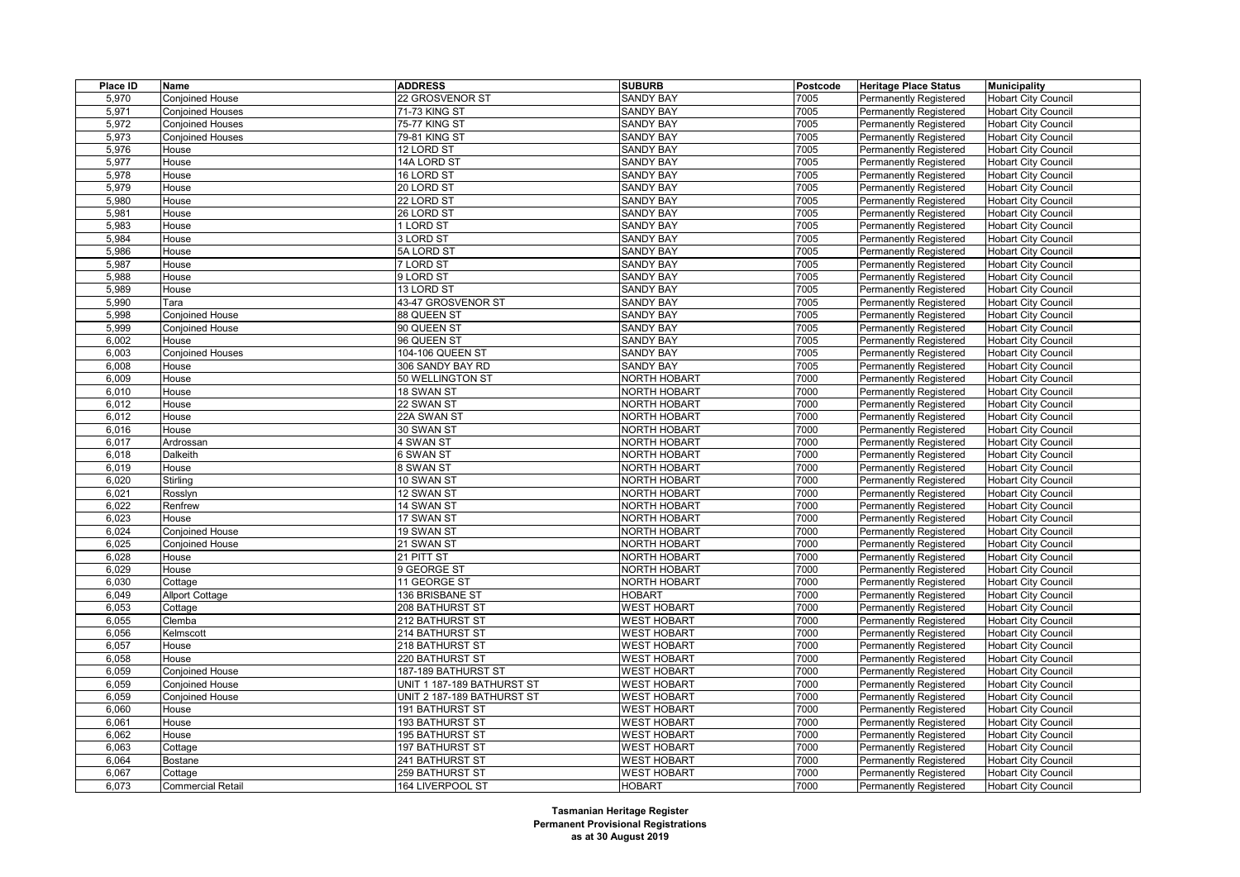| Place ID | Name                      | <b>ADDRESS</b>                            | <b>SUBURB</b>       | Postcode | <b>Heritage Place Status</b>  | <b>Municipality</b>        |
|----------|---------------------------|-------------------------------------------|---------------------|----------|-------------------------------|----------------------------|
| 5,970    | <b>Conjoined House</b>    | 22 GROSVENOR ST                           | <b>SANDY BAY</b>    | 7005     | Permanently Registered        | <b>Hobart City Council</b> |
| 5,971    | <b>Conjoined Houses</b>   | 71-73 KING ST                             | <b>SANDY BAY</b>    | 7005     | <b>Permanently Registered</b> | <b>Hobart City Council</b> |
| 5,972    | Conjoined Houses          | 75-77 KING ST                             | <b>SANDY BAY</b>    | 7005     | <b>Permanently Registered</b> | <b>Hobart City Council</b> |
| 5,973    | <b>Conjoined Houses</b>   | 79-81 KING ST                             | <b>SANDY BAY</b>    | 7005     | <b>Permanently Registered</b> | <b>Hobart City Council</b> |
| 5,976    | House                     | 12 LORD ST                                | <b>SANDY BAY</b>    | 7005     | <b>Permanently Registered</b> | <b>Hobart City Council</b> |
| 5,977    | House                     | 14A LORD ST                               | SANDY BAY           | 7005     | Permanently Registered        | <b>Hobart City Council</b> |
| 5,978    | House                     | 16 LORD ST                                | <b>SANDY BAY</b>    | 7005     | <b>Permanently Registered</b> | <b>Hobart City Council</b> |
| 5,979    | House                     | 20 LORD ST                                | <b>SANDY BAY</b>    | 7005     | <b>Permanently Registered</b> | <b>Hobart City Council</b> |
| 5,980    | House                     | 22 LORD ST                                | <b>SANDY BAY</b>    | 7005     | <b>Permanently Registered</b> | Hobart City Council        |
| 5,981    | House                     | 26 LORD ST                                | <b>SANDY BAY</b>    | 7005     | <b>Permanently Registered</b> | <b>Hobart City Council</b> |
| 5,983    | House                     | 1 LORD ST                                 | <b>SANDY BAY</b>    | 7005     | <b>Permanently Registered</b> | <b>Hobart City Council</b> |
| 5,984    | House                     | 3 LORD ST                                 | <b>SANDY BAY</b>    | 7005     | <b>Permanently Registered</b> | <b>Hobart City Council</b> |
| 5,986    | House                     | 5A LORD ST                                | <b>SANDY BAY</b>    | 7005     | <b>Permanently Registered</b> | <b>Hobart City Council</b> |
| 5,987    | House                     | 7 LORD ST                                 | <b>SANDY BAY</b>    | 7005     | Permanently Registered        | <b>Hobart City Council</b> |
| 5,988    | House                     | 9 LORD ST                                 | <b>SANDY BAY</b>    | 7005     | <b>Permanently Registered</b> | <b>Hobart City Council</b> |
| 5,989    | House                     | 13 LORD ST                                | <b>SANDY BAY</b>    | 7005     | Permanently Registered        | <b>Hobart City Council</b> |
| 5,990    | Tara                      | 43-47 GROSVENOR ST                        | <b>SANDY BAY</b>    | 7005     | <b>Permanently Registered</b> | <b>Hobart City Council</b> |
| 5,998    | <b>Conjoined House</b>    | 88 QUEEN ST                               | <b>SANDY BAY</b>    | 7005     | <b>Permanently Registered</b> | <b>Hobart City Council</b> |
| 5,999    | <b>Conjoined House</b>    | 90 QUEEN ST                               | <b>SANDY BAY</b>    | 7005     | <b>Permanently Registered</b> | <b>Hobart City Council</b> |
| 6,002    | House                     | 96 QUEEN ST                               | <b>SANDY BAY</b>    | 7005     | <b>Permanently Registered</b> | <b>Hobart City Council</b> |
| 6,003    | <b>Conjoined Houses</b>   | 104-106 QUEEN ST                          | <b>SANDY BAY</b>    | 7005     | <b>Permanently Registered</b> | <b>Hobart City Council</b> |
| 6,008    | House                     | 306 SANDY BAY RD                          | <b>SANDY BAY</b>    | 7005     | Permanently Registered        | <b>Hobart City Council</b> |
| 6,009    | House                     | 50 WELLINGTON ST                          | <b>NORTH HOBART</b> | 7000     | <b>Permanently Registered</b> | <b>Hobart City Council</b> |
| 6,010    | House                     | 18 SWAN ST                                | <b>NORTH HOBART</b> | 7000     | <b>Permanently Registered</b> | <b>Hobart City Council</b> |
| 6,012    | House                     | 22 SWAN ST                                | NORTH HOBART        | 7000     | <b>Permanently Registered</b> | <b>Hobart City Council</b> |
| 6,012    | House                     | 22A SWAN ST                               | <b>NORTH HOBART</b> | 7000     | Permanently Registered        | <b>Hobart City Council</b> |
| 6,016    | House                     | 30 SWAN ST                                | <b>NORTH HOBART</b> | 7000     | <b>Permanently Registered</b> | <b>Hobart City Council</b> |
| 6,017    | Ardrossan                 | 4 SWAN ST                                 | NORTH HOBART        | 7000     | <b>Permanently Registered</b> | <b>Hobart City Council</b> |
| 6,018    | Dalkeith                  | 6 SWAN ST                                 | <b>NORTH HOBART</b> | 7000     | Permanently Registered        | <b>Hobart City Council</b> |
| 6,019    | House                     | 8 SWAN ST                                 | <b>NORTH HOBART</b> | 7000     | <b>Permanently Registered</b> | <b>Hobart City Council</b> |
| 6,020    | Stirling                  | 10 SWAN ST                                | NORTH HOBART        | 7000     | <b>Permanently Registered</b> | <b>Hobart City Council</b> |
| 6,021    | Rosslyn                   | 12 SWAN ST                                | <b>NORTH HOBART</b> | 7000     | <b>Permanently Registered</b> | <b>Hobart City Council</b> |
| 6,022    | Renfrew                   | 14 SWAN ST                                | <b>NORTH HOBART</b> | 7000     | <b>Permanently Registered</b> | <b>Hobart City Council</b> |
| 6,023    | House                     | 17 SWAN ST                                | <b>NORTH HOBART</b> | 7000     | Permanently Registered        | <b>Hobart City Council</b> |
| 6,024    | <b>Conjoined House</b>    | 19 SWAN ST                                | <b>NORTH HOBART</b> | 7000     | <b>Permanently Registered</b> | <b>Hobart City Council</b> |
| 6,025    | <b>Conjoined House</b>    | 21 SWAN ST                                | NORTH HOBART        | 7000     | <b>Permanently Registered</b> | <b>Hobart City Council</b> |
| 6,028    | House                     | 21 PITT ST                                | <b>NORTH HOBART</b> | 7000     | <b>Permanently Registered</b> | <b>Hobart City Council</b> |
| 6,029    | House                     | 9 GEORGE ST                               | <b>NORTH HOBART</b> | 7000     | <b>Permanently Registered</b> | <b>Hobart City Council</b> |
| 6,030    | Cottage                   | 11 GEORGE ST                              | <b>NORTH HOBART</b> | 7000     | <b>Permanently Registered</b> | <b>Hobart City Council</b> |
| 6,049    | <b>Allport Cottage</b>    | 136 BRISBANE ST                           | <b>HOBART</b>       | 7000     | <b>Permanently Registered</b> | <b>Hobart City Council</b> |
| 6,053    | Cottage                   | 208 BATHURST ST                           | <b>WEST HOBART</b>  | 7000     | <b>Permanently Registered</b> | <b>Hobart City Council</b> |
| 6,055    | Clemba                    | 212 BATHURST ST                           | <b>WEST HOBART</b>  | 7000     | <b>Permanently Registered</b> | <b>Hobart City Council</b> |
| 6,056    | Kelmscott                 | 214 BATHURST ST                           | <b>WEST HOBART</b>  | 7000     | <b>Permanently Registered</b> | <b>Hobart City Council</b> |
| 6,057    | House                     | 218 BATHURST ST                           | <b>WEST HOBART</b>  | 7000     | <b>Permanently Registered</b> | <b>Hobart City Council</b> |
| 6,058    | House                     | 220 BATHURST ST                           | <b>WEST HOBART</b>  | 7000     | <b>Permanently Registered</b> | <b>Hobart City Council</b> |
| 6,059    | <b>Conjoined House</b>    | 187-189 BATHURST ST                       | <b>WEST HOBART</b>  | 7000     | <b>Permanently Registered</b> | <b>Hobart City Council</b> |
| 6,059    | <b>Conjoined House</b>    | UNIT 1 187-189 BATHURST ST                | <b>WEST HOBART</b>  | 7000     | <b>Permanently Registered</b> | <b>Hobart City Council</b> |
| 6,059    | Conjoined House           | UNIT 2 187-189 BATHURST ST                | <b>WEST HOBART</b>  | 7000     | <b>Permanently Registered</b> | <b>Hobart City Council</b> |
| 6,060    | House                     | 191 BATHURST ST                           | <b>WEST HOBART</b>  | 7000     | <b>Permanently Registered</b> | <b>Hobart City Council</b> |
| 6,061    | House                     | 193 BATHURST ST                           | <b>WEST HOBART</b>  | 7000     | Permanently Registered        | <b>Hobart City Council</b> |
| 6,062    | House                     | 195 BATHURST ST                           | <b>WEST HOBART</b>  | 7000     | Permanently Registered        | <b>Hobart City Council</b> |
| 6,063    |                           | 197 BATHURST ST                           | <b>WEST HOBART</b>  | 7000     | <b>Permanently Registered</b> | <b>Hobart City Council</b> |
| 6,064    | Cottage<br><b>Bostane</b> |                                           | <b>WEST HOBART</b>  | 7000     |                               | <b>Hobart City Council</b> |
|          |                           | 241 BATHURST ST<br><b>259 BATHURST ST</b> | <b>WEST HOBART</b>  | 7000     | <b>Permanently Registered</b> |                            |
| 6,067    | Cottage                   |                                           |                     | 7000     | <b>Permanently Registered</b> | <b>Hobart City Council</b> |
| 6,073    | <b>Commercial Retail</b>  | 164 LIVERPOOL ST                          | <b>HOBART</b>       |          | <b>Permanently Registered</b> | <b>Hobart City Council</b> |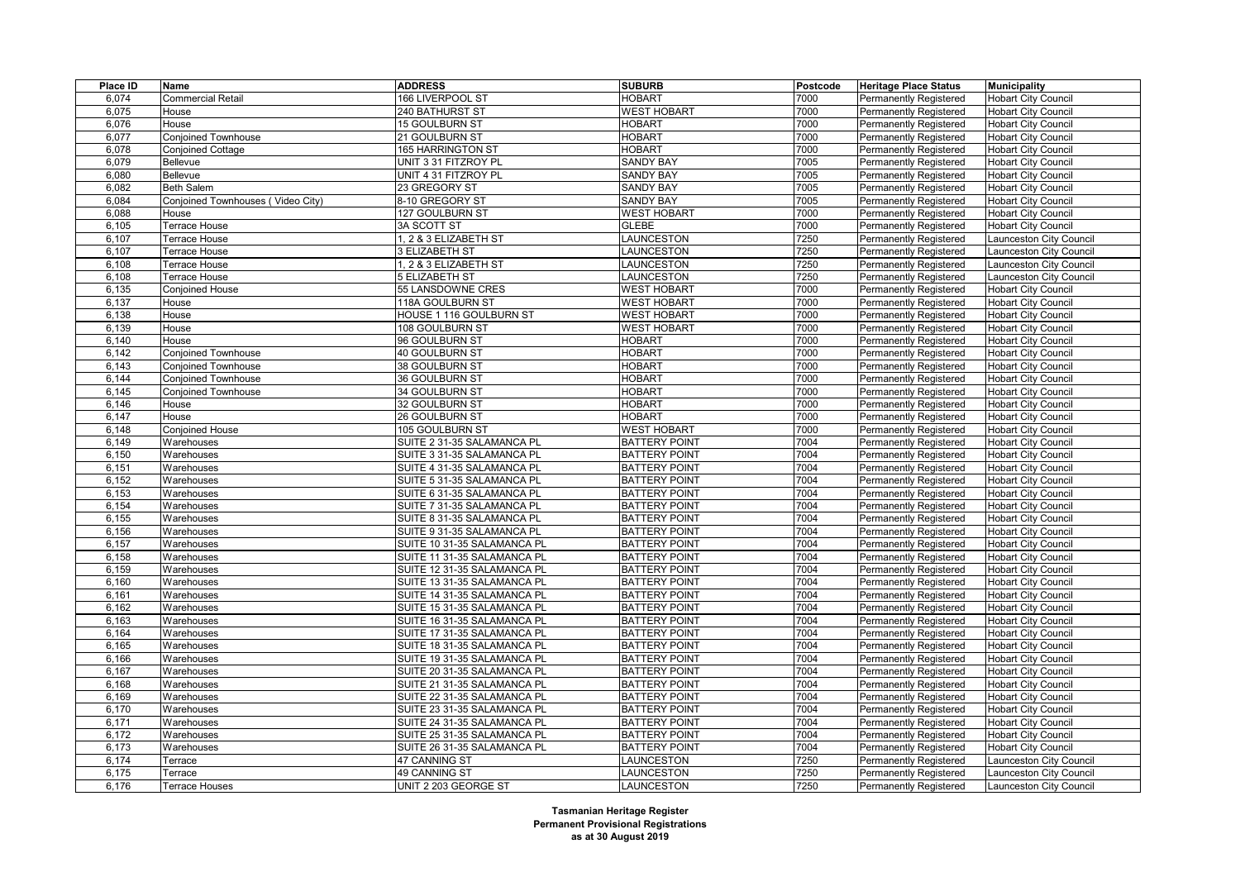| Place ID       | Name                              | <b>ADDRESS</b>              | <b>SUBURB</b>                                | Postcode     | <b>Heritage Place Status</b>  | <b>Municipality</b>        |
|----------------|-----------------------------------|-----------------------------|----------------------------------------------|--------------|-------------------------------|----------------------------|
| 6,074          | <b>Commercial Retail</b>          | 166 LIVERPOOL ST            | <b>HOBART</b>                                | 7000         | <b>Permanently Registered</b> | <b>Hobart City Council</b> |
| 6,075          | House                             | 240 BATHURST ST             | <b>WEST HOBART</b>                           | 7000         | <b>Permanently Registered</b> | <b>Hobart City Council</b> |
| 6,076          | House                             | <b>15 GOULBURN ST</b>       | <b>HOBART</b>                                | 7000         | Permanently Registered        | <b>Hobart City Council</b> |
| 6,077          | <b>Conjoined Townhouse</b>        | 21 GOULBURN ST              | <b>HOBART</b>                                | 7000         | Permanently Registered        | <b>Hobart City Council</b> |
| 6,078          | <b>Conjoined Cottage</b>          | 165 HARRINGTON ST           | <b>HOBART</b>                                | 7000         | <b>Permanently Registered</b> | <b>Hobart City Council</b> |
| 6,079          | Bellevue                          | UNIT 331 FITZROY PL         | <b>SANDY BAY</b>                             | 7005         | Permanently Registered        | <b>Hobart City Council</b> |
| 6,080          | Bellevue                          | UNIT 4 31 FITZROY PL        | <b>SANDY BAY</b>                             | 7005         | Permanently Registered        | <b>Hobart City Council</b> |
| 6,082          | Beth Salem                        | 23 GREGORY ST               | <b>SANDY BAY</b>                             | 7005         | <b>Permanently Registered</b> | <b>Hobart City Council</b> |
| 6,084          | Conjoined Townhouses (Video City) | 8-10 GREGORY ST             | <b>SANDY BAY</b>                             | 7005         | Permanently Registered        | <b>Hobart City Council</b> |
| 6,088          | House                             | 127 GOULBURN ST             | <b>WEST HOBART</b>                           | 7000         | Permanently Registered        | <b>Hobart City Council</b> |
| 6,105          | Terrace House                     | 3A SCOTT ST                 | <b>GLEBE</b>                                 | 7000         | <b>Permanently Registered</b> | <b>Hobart City Council</b> |
| 6,107          | Terrace House                     | 1, 2 & 3 ELIZABETH ST       | LAUNCESTON                                   | 7250         | Permanently Registered        | aunceston City Council     |
| 6,107          | Terrace House                     | 3 ELIZABETH ST              | LAUNCESTON                                   | 7250         | Permanently Registered        | aunceston City Council     |
| 6,108          | Terrace House                     | 1, 2 & 3 ELIZABETH ST       | LAUNCESTON                                   | 7250         | <b>Permanently Registered</b> | aunceston City Council     |
| 6,108          | Terrace House                     | <b>5 ELIZABETH ST</b>       | LAUNCESTON                                   | 7250         | Permanently Registered        | Launceston City Council    |
| 6,135          | Conjoined House                   | 55 LANSDOWNE CRES           | <b>WEST HOBART</b>                           | 7000         | Permanently Registered        | <b>Hobart City Council</b> |
| 6,137          | House                             | 118A GOULBURN ST            | <b>WEST HOBART</b>                           | 7000         | Permanently Registered        | <b>Hobart City Council</b> |
| 6,138          | House                             | HOUSE 1 116 GOULBURN ST     | <b>WEST HOBART</b>                           | 7000         | Permanently Registered        | <b>Hobart City Council</b> |
| 6,139          | House                             | 108 GOULBURN ST             | <b>WEST HOBART</b>                           | 7000         | Permanently Registered        | <b>Hobart City Council</b> |
| 6,140          | House                             | 96 GOULBURN ST              | <b>HOBART</b>                                | 7000         | Permanently Registered        | <b>Hobart City Council</b> |
| 6.142          | <b>Conjoined Townhouse</b>        | <b>40 GOULBURN ST</b>       | <b>HOBART</b>                                | 7000         | Permanently Registered        | <b>Hobart City Council</b> |
| 6,143          | <b>Conjoined Townhouse</b>        | 38 GOULBURN ST              | <b>HOBART</b>                                | 7000         | Permanently Registered        | <b>Hobart City Council</b> |
| 6,144          | Conjoined Townhouse               | <b>36 GOULBURN ST</b>       | <b>HOBART</b>                                | 7000         | Permanently Registered        | <b>Hobart City Council</b> |
| 6,145          | <b>Conjoined Townhouse</b>        | 34 GOULBURN ST              | <b>HOBART</b>                                | 7000         | <b>Permanently Registered</b> | <b>Hobart City Council</b> |
| 6,146          | House                             | <b>32 GOULBURN ST</b>       | <b>HOBART</b>                                | 7000         | Permanently Registered        | <b>Hobart City Council</b> |
| 6,147          | House                             | 26 GOULBURN ST              | <b>HOBART</b>                                | 7000         | Permanently Registered        | <b>Hobart City Council</b> |
| 6,148          | Conjoined House                   | 105 GOULBURN ST             | <b>WEST HOBART</b>                           | 7000         | <b>Permanently Registered</b> | <b>Hobart City Council</b> |
| 6,149          | Warehouses                        | SUITE 2 31-35 SALAMANCA PL  | <b>BATTERY POINT</b>                         | 7004         | Permanently Registered        | <b>Hobart City Council</b> |
| 6,150          | Warehouses                        | SUITE 3 31-35 SALAMANCA PL  | <b>BATTERY POINT</b>                         | 7004         | Permanently Registered        | <b>Hobart City Council</b> |
| 6,151          | Warehouses                        | SUITE 4 31-35 SALAMANCA PL  | <b>BATTERY POINT</b>                         | 7004         | <b>Permanently Registered</b> | <b>Hobart City Council</b> |
| 6,152          | Warehouses                        | SUITE 5 31-35 SALAMANCA PL  | <b>BATTERY POINT</b>                         | 7004         | Permanently Registered        | <b>Hobart City Council</b> |
| 6,153          | Warehouses                        | SUITE 6 31-35 SALAMANCA PL  | <b>BATTERY POINT</b>                         | 7004         | Permanently Registered        | <b>Hobart City Council</b> |
| 6,154          | Warehouses                        | SUITE 7 31-35 SALAMANCA PL  | <b>BATTERY POINT</b>                         | 7004         | <b>Permanently Registered</b> | <b>Hobart City Council</b> |
| 6,155          | Warehouses                        | SUITE 8 31-35 SALAMANCA PL  | <b>BATTERY POINT</b>                         | 7004         | Permanently Registered        | <b>Hobart City Council</b> |
| 6,156          | Warehouses                        | SUITE 9 31-35 SALAMANCA PL  | <b>BATTERY POINT</b>                         | 7004         | Permanently Registered        | <b>Hobart City Council</b> |
| 6,157          | Warehouses                        | SUITE 10 31-35 SALAMANCA PL | <b>BATTERY POINT</b>                         | 7004         | <b>Permanently Registered</b> | <b>Hobart City Council</b> |
| 6,158          | Warehouses                        | SUITE 11 31-35 SALAMANCA PL | <b>BATTERY POINT</b>                         | 7004         | Permanently Registered        | <b>Hobart City Council</b> |
| 6,159          | Warehouses                        | SUITE 12 31-35 SALAMANCA PL | <b>BATTERY POINT</b>                         | 7004         | <b>Permanently Registered</b> | <b>Hobart City Council</b> |
| 6,160          | Warehouses                        | SUITE 13 31-35 SALAMANCA PL | <b>BATTERY POINT</b>                         | 7004         | <b>Permanently Registered</b> | <b>Hobart City Council</b> |
| 6,161          | Warehouses                        | SUITE 14 31-35 SALAMANCA PL | <b>BATTERY POINT</b>                         | 7004         | Permanently Registered        | <b>Hobart City Council</b> |
| 6,162          | Warehouses                        | SUITE 15 31-35 SALAMANCA PL | <b>BATTERY POINT</b>                         | 7004         | <b>Permanently Registered</b> | <b>Hobart City Council</b> |
| 6,163          | Warehouses                        | SUITE 16 31-35 SALAMANCA PL | <b>BATTERY POINT</b>                         | 7004         | <b>Permanently Registered</b> | <b>Hobart City Council</b> |
| 6,164          | Warehouses                        | SUITE 17 31-35 SALAMANCA PL | <b>BATTERY POINT</b>                         | 7004         | Permanently Registered        | <b>Hobart City Council</b> |
| 6,165          | Warehouses                        | SUITE 18 31-35 SALAMANCA PL | <b>BATTERY POINT</b>                         | 7004         | <b>Permanently Registered</b> | <b>Hobart City Council</b> |
| 6,166          | Warehouses                        | SUITE 19 31-35 SALAMANCA PL | <b>BATTERY POINT</b>                         | 7004         | <b>Permanently Registered</b> | <b>Hobart City Council</b> |
| 6,167          | Warehouses                        | SUITE 20 31-35 SALAMANCA PL | <b>BATTERY POINT</b>                         | 7004         |                               | <b>Hobart City Council</b> |
|                |                                   |                             | <b>BATTERY POINT</b>                         | 7004         | Permanently Registered        |                            |
| 6,168<br>6,169 | Warehouses                        | SUITE 21 31-35 SALAMANCA PL |                                              | 7004         | <b>Permanently Registered</b> | <b>Hobart City Council</b> |
| 6,170          | Warehouses                        | SUITE 22 31-35 SALAMANCA PL | <b>BATTERY POINT</b><br><b>BATTERY POINT</b> | 7004         | <b>Permanently Registered</b> | <b>Hobart City Council</b> |
|                | Warehouses                        | SUITE 23 31-35 SALAMANCA PL |                                              |              | Permanently Registered        | <b>Hobart City Council</b> |
| 6,171<br>6,172 | Warehouses                        | SUITE 24 31-35 SALAMANCA PL | <b>BATTERY POINT</b>                         | 7004<br>7004 | <b>Permanently Registered</b> | <b>Hobart City Council</b> |
|                | Warehouses                        | SUITE 25 31-35 SALAMANCA PL | <b>BATTERY POINT</b>                         | 7004         | Permanently Registered        | <b>Hobart City Council</b> |
| 6,173          | Warehouses                        | SUITE 26 31-35 SALAMANCA PL | <b>BATTERY POINT</b>                         |              | Permanently Registered        | <b>Hobart City Council</b> |
| 6,174          | Terrace                           | 47 CANNING ST               | LAUNCESTON                                   | 7250         | Permanently Registered        | aunceston City Council     |
| 6,175          | Terrace                           | 49 CANNING ST               | LAUNCESTON                                   | 7250         | <b>Permanently Registered</b> | aunceston City Council     |
| 6,176          | Terrace Houses                    | UNIT 2 203 GEORGE ST        | LAUNCESTON                                   | 7250         | <b>Permanently Registered</b> | Launceston City Council    |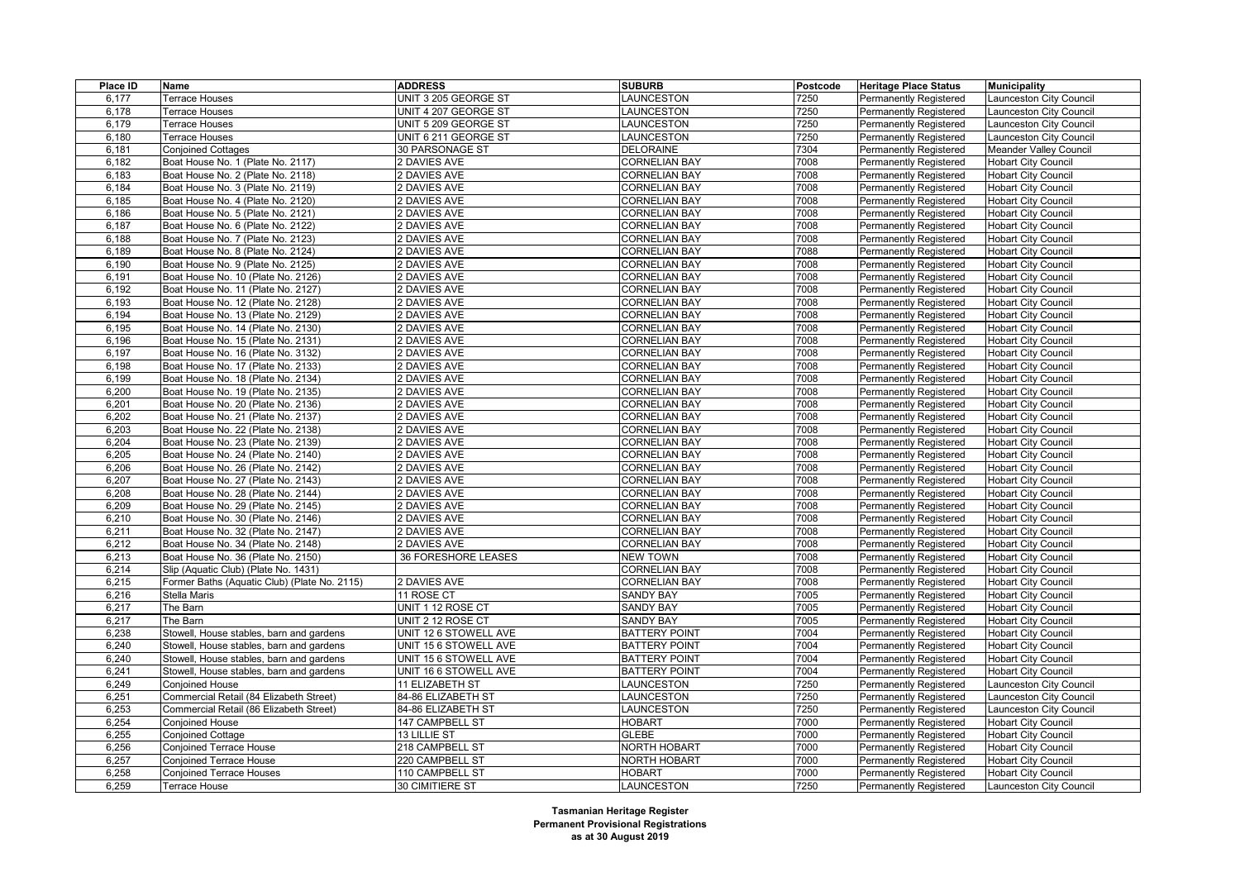| Place ID | Name                                         | <b>ADDRESS</b>             | <b>SUBURB</b>        | <b>Postcode</b> | <b>Heritage Place Status</b>  | Municipality                  |
|----------|----------------------------------------------|----------------------------|----------------------|-----------------|-------------------------------|-------------------------------|
| 6,177    | <b>Terrace Houses</b>                        | UNIT 3 205 GEORGE ST       | LAUNCESTON           | 7250            | <b>Permanently Registered</b> | Launceston City Council       |
| 6.178    | Terrace Houses                               | UNIT 4 207 GEORGE ST       | LAUNCESTON           | 7250            | <b>Permanently Registered</b> | Launceston City Council       |
| 6,179    | <b>Terrace Houses</b>                        | UNIT 5 209 GEORGE ST       | LAUNCESTON           | 7250            | Permanently Registered        | Launceston City Council       |
| 6,180    | <b>Terrace Houses</b>                        | UNIT 6 211 GEORGE ST       | LAUNCESTON           | 7250            | Permanently Registered        | Launceston City Council       |
| 6,181    | <b>Conjoined Cottages</b>                    | 30 PARSONAGE ST            | <b>DELORAINE</b>     | 7304            | <b>Permanently Registered</b> | <b>Meander Valley Council</b> |
| 6,182    | Boat House No. 1 (Plate No. 2117)            | 2 DAVIES AVE               | <b>CORNELIAN BAY</b> | 7008            | <b>Permanently Registered</b> | <b>Hobart City Council</b>    |
| 6,183    | Boat House No. 2 (Plate No. 2118)            | 2 DAVIES AVE               | <b>CORNELIAN BAY</b> | 7008            | Permanently Registered        | <b>Hobart City Council</b>    |
| 6,184    | Boat House No. 3 (Plate No. 2119)            | 2 DAVIES AVE               | <b>CORNELIAN BAY</b> | 7008            | <b>Permanently Registered</b> | <b>Hobart City Council</b>    |
| 6,185    | Boat House No. 4 (Plate No. 2120)            | 2 DAVIES AVE               | <b>CORNELIAN BAY</b> | 7008            | <b>Permanently Registered</b> | <b>Hobart City Council</b>    |
| 6,186    | Boat House No. 5 (Plate No. 2121)            | 2 DAVIES AVE               | <b>CORNELIAN BAY</b> | 7008            | <b>Permanently Registered</b> | <b>Hobart City Council</b>    |
| 6,187    | Boat House No. 6 (Plate No. 2122)            | <b>2 DAVIES AVE</b>        | <b>CORNELIAN BAY</b> | 7008            | <b>Permanently Registered</b> | <b>Hobart City Council</b>    |
| 6,188    | Boat House No. 7 (Plate No. 2123)            | 2 DAVIES AVE               | <b>CORNELIAN BAY</b> | 7008            | <b>Permanently Registered</b> | <b>Hobart City Council</b>    |
| 6,189    | Boat House No. 8 (Plate No. 2124)            | 2 DAVIES AVE               | <b>CORNELIAN BAY</b> | 7088            | <b>Permanently Registered</b> | <b>Hobart City Council</b>    |
| 6,190    | Boat House No. 9 (Plate No. 2125)            | 2 DAVIES AVE               | <b>CORNELIAN BAY</b> | 7008            | <b>Permanently Registered</b> | <b>Hobart City Council</b>    |
| 6,191    | Boat House No. 10 (Plate No. 2126)           | 2 DAVIES AVE               | <b>CORNELIAN BAY</b> | 7008            | <b>Permanently Registered</b> | <b>Hobart City Council</b>    |
| 6,192    | Boat House No. 11 (Plate No. 2127)           | 2 DAVIES AVE               | <b>CORNELIAN BAY</b> | 7008            | <b>Permanently Registered</b> | <b>Hobart City Council</b>    |
| 6,193    | Boat House No. 12 (Plate No. 2128)           | 2 DAVIES AVE               | <b>CORNELIAN BAY</b> | 7008            | <b>Permanently Registered</b> | <b>Hobart City Council</b>    |
| 6,194    | Boat House No. 13 (Plate No. 2129)           | 2 DAVIES AVE               | <b>CORNELIAN BAY</b> | 7008            | <b>Permanently Registered</b> | <b>Hobart City Council</b>    |
| 6,195    | Boat House No. 14 (Plate No. 2130)           | 2 DAVIES AVE               | <b>CORNELIAN BAY</b> | 7008            | <b>Permanently Registered</b> | <b>Hobart City Council</b>    |
| 6,196    | Boat House No. 15 (Plate No. 2131)           | 2 DAVIES AVE               | <b>CORNELIAN BAY</b> | 7008            | <b>Permanently Registered</b> | <b>Hobart City Council</b>    |
| 6,197    | Boat House No. 16 (Plate No. 3132)           | 2 DAVIES AVE               | <b>CORNELIAN BAY</b> | 7008            | <b>Permanently Registered</b> | <b>Hobart City Council</b>    |
| 6,198    | Boat House No. 17 (Plate No. 2133)           | 2 DAVIES AVE               | <b>CORNELIAN BAY</b> | 7008            | <b>Permanently Registered</b> | <b>Hobart City Council</b>    |
| 6,199    | Boat House No. 18 (Plate No. 2134)           | 2 DAVIES AVE               | <b>CORNELIAN BAY</b> | 7008            | <b>Permanently Registered</b> | <b>Hobart City Council</b>    |
| 6,200    | Boat House No. 19 (Plate No. 2135)           | 2 DAVIES AVE               | <b>CORNELIAN BAY</b> | 7008            | <b>Permanently Registered</b> | <b>Hobart City Council</b>    |
| 6,201    | Boat House No. 20 (Plate No. 2136)           | 2 DAVIES AVE               | <b>CORNELIAN BAY</b> | 7008            | <b>Permanently Registered</b> | <b>Hobart City Council</b>    |
| 6,202    | Boat House No. 21 (Plate No. 2137)           | 2 DAVIES AVE               | <b>CORNELIAN BAY</b> | 7008            | <b>Permanently Registered</b> | <b>Hobart City Council</b>    |
| 6,203    | Boat House No. 22 (Plate No. 2138)           | 2 DAVIES AVE               | <b>CORNELIAN BAY</b> | 7008            | <b>Permanently Registered</b> | <b>Hobart City Council</b>    |
| 6,204    | Boat House No. 23 (Plate No. 2139)           | 2 DAVIES AVE               | <b>CORNELIAN BAY</b> | 7008            | Permanently Registered        | <b>Hobart City Council</b>    |
| 6,205    | Boat House No. 24 (Plate No. 2140)           | 2 DAVIES AVE               | <b>CORNELIAN BAY</b> | 7008            | <b>Permanently Registered</b> | <b>Hobart City Council</b>    |
| 6,206    | Boat House No. 26 (Plate No. 2142)           | 2 DAVIES AVE               | <b>CORNELIAN BAY</b> | 7008            | <b>Permanently Registered</b> | <b>Hobart City Council</b>    |
| 6,207    | Boat House No. 27 (Plate No. 2143)           | 2 DAVIES AVE               | <b>CORNELIAN BAY</b> | 7008            | Permanently Registered        | <b>Hobart City Council</b>    |
| 6,208    | Boat House No. 28 (Plate No. 2144)           | 2 DAVIES AVE               | <b>CORNELIAN BAY</b> | 7008            | <b>Permanently Registered</b> | <b>Hobart City Council</b>    |
| 6,209    | Boat House No. 29 (Plate No. 2145)           | 2 DAVIES AVE               | <b>CORNELIAN BAY</b> | 7008            | <b>Permanently Registered</b> | <b>Hobart City Council</b>    |
| 6,210    | Boat House No. 30 (Plate No. 2146)           | 2 DAVIES AVE               | <b>CORNELIAN BAY</b> | 7008            | <b>Permanently Registered</b> | <b>Hobart City Council</b>    |
| 6,211    | Boat House No. 32 (Plate No. 2147)           | 2 DAVIES AVE               | <b>CORNELIAN BAY</b> | 7008            | <b>Permanently Registered</b> | <b>Hobart City Council</b>    |
| 6,212    | Boat House No. 34 (Plate No. 2148)           | 2 DAVIES AVE               | <b>CORNELIAN BAY</b> | 7008            | <b>Permanently Registered</b> | <b>Hobart City Council</b>    |
| 6,213    | Boat House No. 36 (Plate No. 2150)           | <b>36 FORESHORE LEASES</b> | <b>NEW TOWN</b>      | 7008            | <b>Permanently Registered</b> | <b>Hobart City Council</b>    |
| 6,214    | Slip (Aquatic Club) (Plate No. 1431)         |                            | <b>CORNELIAN BAY</b> | 7008            | Permanently Registered        | <b>Hobart City Council</b>    |
| 6,215    | Former Baths (Aquatic Club) (Plate No. 2115) | 2 DAVIES AVE               | <b>CORNELIAN BAY</b> | 7008            | <b>Permanently Registered</b> | <b>Hobart City Council</b>    |
| 6,216    | Stella Maris                                 | 11 ROSE CT                 | <b>SANDY BAY</b>     | 7005            | <b>Permanently Registered</b> | <b>Hobart City Council</b>    |
| 6,217    | The Barn                                     | UNIT 1 12 ROSE CT          | <b>SANDY BAY</b>     | 7005            | <b>Permanently Registered</b> | <b>Hobart City Council</b>    |
| 6,217    | The Barn                                     | UNIT 2 12 ROSE CT          | <b>SANDY BAY</b>     | 7005            | <b>Permanently Registered</b> | <b>Hobart City Council</b>    |
| 6,238    | Stowell, House stables, barn and gardens     | UNIT 12 6 STOWELL AVE      | <b>BATTERY POINT</b> | 7004            | <b>Permanently Registered</b> | <b>Hobart City Council</b>    |
| 6,240    | Stowell, House stables, barn and gardens     | UNIT 15 6 STOWELL AVE      | <b>BATTERY POINT</b> | 7004            | Permanently Registered        | <b>Hobart City Council</b>    |
| 6,240    | Stowell, House stables, barn and gardens     | UNIT 15 6 STOWELL AVE      | <b>BATTERY POINT</b> | 7004            | <b>Permanently Registered</b> | <b>Hobart City Council</b>    |
| 6,241    | Stowell, House stables, barn and gardens     | UNIT 16 6 STOWELL AVE      | <b>BATTERY POINT</b> | 7004            | <b>Permanently Registered</b> | <b>Hobart City Council</b>    |
| 6,249    | <b>Conjoined House</b>                       | 11 ELIZABETH ST            | LAUNCESTON           | 7250            | <b>Permanently Registered</b> | Launceston City Council       |
| 6,251    | Commercial Retail (84 Elizabeth Street)      | 84-86 ELIZABETH ST         | LAUNCESTON           | 7250            | <b>Permanently Registered</b> | Launceston City Council       |
| 6,253    | Commercial Retail (86 Elizabeth Street)      | 84-86 ELIZABETH ST         | LAUNCESTON           | 7250            | <b>Permanently Registered</b> | Launceston City Council       |
| 6,254    | Conjoined House                              | 147 CAMPBELL ST            | <b>HOBART</b>        | 7000            | <b>Permanently Registered</b> | <b>Hobart City Council</b>    |
| 6,255    | <b>Conjoined Cottage</b>                     | 13 LILLIE ST               | <b>GLEBE</b>         | 7000            | Permanently Registered        | <b>Hobart City Council</b>    |
| 6,256    | <b>Conjoined Terrace House</b>               | 218 CAMPBELL ST            | NORTH HOBART         | 7000            | Permanently Registered        | <b>Hobart City Council</b>    |
| 6,257    | <b>Conjoined Terrace House</b>               | 220 CAMPBELL ST            | <b>NORTH HOBART</b>  | 7000            | Permanently Registered        | <b>Hobart City Council</b>    |
| 6,258    | <b>Conjoined Terrace Houses</b>              | 110 CAMPBELL ST            | <b>HOBART</b>        | 7000            | <b>Permanently Registered</b> | <b>Hobart City Council</b>    |
| 6,259    | Terrace House                                | 30 CIMITIERE ST            | LAUNCESTON           | 7250            | <b>Permanently Registered</b> | Launceston City Council       |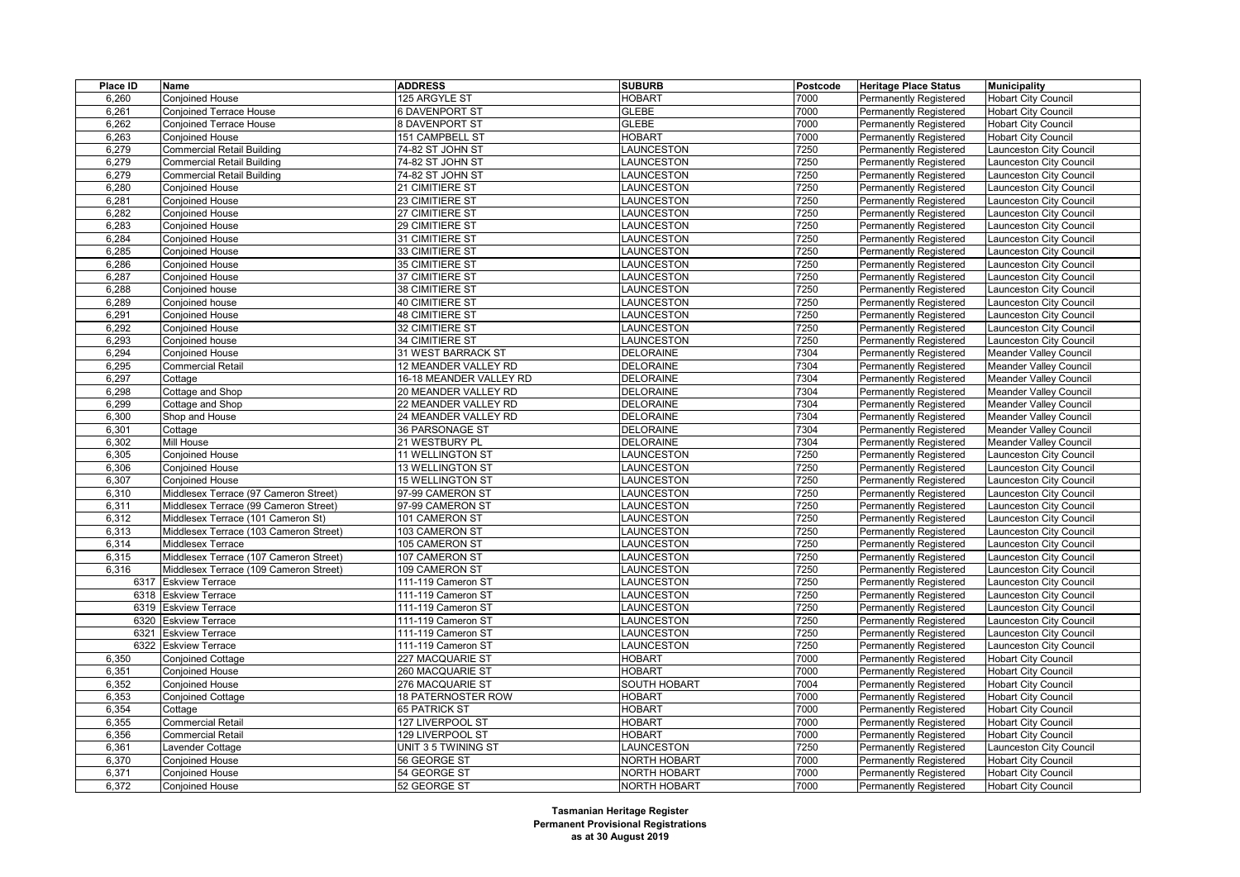| Place ID | Name                                      | <b>ADDRESS</b>            | <b>SUBURB</b>       | Postcode     | <b>Heritage Place Status</b>  | <b>Municipality</b>           |
|----------|-------------------------------------------|---------------------------|---------------------|--------------|-------------------------------|-------------------------------|
| 6,260    | Conjoined House                           | 125 ARGYLE ST             | <b>HOBART</b>       | 7000         | <b>Permanently Registered</b> | <b>Hobart City Council</b>    |
| 6,261    | <b>Conjoined Terrace House</b>            | <b>6 DAVENPORT ST</b>     | <b>GLEBE</b>        | 7000         | <b>Permanently Registered</b> | <b>Hobart City Council</b>    |
| 6,262    | <b>Conjoined Terrace House</b>            | 8 DAVENPORT ST            | <b>GLEBE</b>        | 7000         | <b>Permanently Registered</b> | <b>Hobart City Council</b>    |
| 6,263    | Conjoined House                           | 151 CAMPBELL ST           | <b>HOBART</b>       | 7000         | Permanently Registered        | <b>Hobart City Council</b>    |
| 6,279    | <b>Commercial Retail Building</b>         | 74-82 ST JOHN ST          | LAUNCESTON          | 7250         | <b>Permanently Registered</b> | aunceston City Council        |
| 6,279    | <b>Commercial Retail Building</b>         | 74-82 ST JOHN ST          | LAUNCESTON          | 7250         | <b>Permanently Registered</b> | aunceston City Council        |
| 6,279    | <b>Commercial Retail Building</b>         | 74-82 ST JOHN ST          | LAUNCESTON          | 7250         | Permanently Registered        | aunceston City Council        |
| 6,280    | <b>Conjoined House</b>                    | 21 CIMITIERE ST           | LAUNCESTON          | 7250         | <b>Permanently Registered</b> | aunceston City Council        |
| 6,281    | <b>Conjoined House</b>                    | 23 CIMITIERE ST           | LAUNCESTON          | 7250         | <b>Permanently Registered</b> | aunceston City Council        |
| 6,282    | Conjoined House                           | 27 CIMITIERE ST           | <b>LAUNCESTON</b>   | 7250         | Permanently Registered        | aunceston City Council        |
| 6,283    | <b>Conjoined House</b>                    | 29 CIMITIERE ST           | LAUNCESTON          | 7250         | <b>Permanently Registered</b> | aunceston City Council        |
| 6,284    | Conjoined House                           | 31 CIMITIERE ST           | LAUNCESTON          | 7250         | Permanently Registered        | aunceston City Council        |
| 6,285    | Conjoined House                           | 33 CIMITIERE ST           | LAUNCESTON          | 7250         | Permanently Registered        | aunceston City Council        |
| 6,286    | <b>Conjoined House</b>                    | 35 CIMITIERE ST           | LAUNCESTON          | 7250         | <b>Permanently Registered</b> | aunceston City Council        |
| 6,287    | Conjoined House                           | 37 CIMITIERE ST           | LAUNCESTON          | 7250         | Permanently Registered        | aunceston City Council        |
| 6,288    | Conjoined house                           | 38 CIMITIERE ST           | LAUNCESTON          | 7250         | Permanently Registered        | aunceston City Council        |
| 6,289    | Conjoined house                           | 40 CIMITIERE ST           | LAUNCESTON          | 7250         | <b>Permanently Registered</b> | aunceston City Council        |
| 6,291    | Conjoined House                           | 48 CIMITIERE ST           | LAUNCESTON          | 7250         | Permanently Registered        | aunceston City Council        |
| 6,292    | <b>Conjoined House</b>                    | 32 CIMITIERE ST           | LAUNCESTON          | 7250         | Permanently Registered        | aunceston City Council        |
| 6,293    | Conjoined house                           | 34 CIMITIERE ST           | LAUNCESTON          | 7250         | <b>Permanently Registered</b> | aunceston City Council        |
| 6,294    | Conjoined House                           | 31 WEST BARRACK ST        | <b>DELORAINE</b>    | 7304         | <b>Permanently Registered</b> | Meander Valley Council        |
| 6,295    | <b>Commercial Retail</b>                  | 12 MEANDER VALLEY RD      | <b>DELORAINE</b>    | 7304         | <b>Permanently Registered</b> | Meander Valley Council        |
| 6,297    | Cottage                                   | 16-18 MEANDER VALLEY RD   | <b>DELORAINE</b>    | 7304         | Permanently Registered        | Meander Valley Council        |
| 6,298    | Cottage and Shop                          | 20 MEANDER VALLEY RD      | <b>DELORAINE</b>    | 7304         | <b>Permanently Registered</b> | <b>Meander Valley Council</b> |
| 6,299    | Cottage and Shop                          | 22 MEANDER VALLEY RD      | <b>DELORAINE</b>    | 7304         | <b>Permanently Registered</b> | Meander Valley Council        |
| 6,300    | Shop and House                            | 24 MEANDER VALLEY RD      | <b>DELORAINE</b>    | 7304         | Permanently Registered        | Meander Valley Council        |
| 6,301    | Cottage                                   | 36 PARSONAGE ST           | <b>DELORAINE</b>    | 7304         | <b>Permanently Registered</b> | Meander Valley Council        |
| 6,302    | Mill House                                |                           | <b>DELORAINE</b>    | 7304         |                               |                               |
|          |                                           | 21 WESTBURY PL            | LAUNCESTON          | 7250         | <b>Permanently Registered</b> | Meander Valley Council        |
| 6,305    | Conjoined House<br><b>Conjoined House</b> | 11 WELLINGTON ST          |                     |              | Permanently Registered        | aunceston City Council        |
| 6,306    |                                           | <b>13 WELLINGTON ST</b>   | LAUNCESTON          | 7250         | <b>Permanently Registered</b> | aunceston City Council        |
| 6,307    | Conjoined House                           | <b>15 WELLINGTON ST</b>   | LAUNCESTON          | 7250<br>7250 | Permanently Registered        | aunceston City Council        |
| 6,310    | Middlesex Terrace (97 Cameron Street)     | 97-99 CAMERON ST          | LAUNCESTON          |              | Permanently Registered        | aunceston City Council        |
| 6,311    | Middlesex Terrace (99 Cameron Street)     | 97-99 CAMERON ST          | LAUNCESTON          | 7250         | <b>Permanently Registered</b> | aunceston City Council        |
| 6,312    | Middlesex Terrace (101 Cameron St)        | 101 CAMERON ST            | LAUNCESTON          | 7250         | <b>Permanently Registered</b> | aunceston City Council        |
| 6,313    | Middlesex Terrace (103 Cameron Street)    | 103 CAMERON ST            | LAUNCESTON          | 7250         | Permanently Registered        | aunceston City Council        |
| 6,314    | Middlesex Terrace                         | 105 CAMERON ST            | LAUNCESTON          | 7250         | <b>Permanently Registered</b> | aunceston City Council        |
| 6,315    | Middlesex Terrace (107 Cameron Street)    | 107 CAMERON ST            | LAUNCESTON          | 7250         | <b>Permanently Registered</b> | aunceston City Council        |
| 6,316    | Middlesex Terrace (109 Cameron Street)    | 109 CAMERON ST            | LAUNCESTON          | 7250         | <b>Permanently Registered</b> | aunceston City Council        |
|          | 6317 Eskview Terrace                      | 111-119 Cameron ST        | LAUNCESTON          | 7250         | <b>Permanently Registered</b> | aunceston City Council        |
|          | 6318 Eskview Terrace                      | 111-119 Cameron ST        | LAUNCESTON          | 7250         | Permanently Registered        | aunceston City Council        |
|          | 6319 Eskview Terrace                      | 111-119 Cameron ST        | LAUNCESTON          | 7250         | <b>Permanently Registered</b> | aunceston City Council        |
| 6320     | <b>Eskview Terrace</b>                    | 111-119 Cameron ST        | LAUNCESTON          | 7250         | <b>Permanently Registered</b> | aunceston City Council        |
|          | 6321 Eskview Terrace                      | 111-119 Cameron ST        | LAUNCESTON          | 7250         | Permanently Registered        | aunceston City Council        |
| 6322     | <b>Eskview Terrace</b>                    | 111-119 Cameron ST        | LAUNCESTON          | 7250         | <b>Permanently Registered</b> | aunceston City Council        |
| 6,350    | <b>Conjoined Cottage</b>                  | 227 MACQUARIE ST          | <b>HOBART</b>       | 7000         | <b>Permanently Registered</b> | <b>Hobart City Council</b>    |
| 6,351    | Conjoined House                           | 260 MACQUARIE ST          | <b>HOBART</b>       | 7000         | Permanently Registered        | <b>Hobart City Council</b>    |
| 6,352    | <b>Conjoined House</b>                    | 276 MACQUARIE ST          | SOUTH HOBART        | 7004         | <b>Permanently Registered</b> | <b>Hobart City Council</b>    |
| 6,353    | Conjoined Cottage                         | <b>18 PATERNOSTER ROW</b> | HOBART              | 7000         | <b>Permanently Registered</b> | <b>Hobart City Council</b>    |
| 6,354    | Cottage                                   | <b>65 PATRICK ST</b>      | <b>HOBART</b>       | 7000         | Permanently Registered        | <b>Hobart City Council</b>    |
| 6,355    | Commercial Retail                         | 127 LIVERPOOL ST          | <b>HOBART</b>       | 7000         | <b>Permanently Registered</b> | <b>Hobart City Council</b>    |
| 6,356    | Commercial Retail                         | 129 LIVERPOOL ST          | <b>HOBART</b>       | 7000         | <b>Permanently Registered</b> | <b>Hobart City Council</b>    |
| 6,361    | Lavender Cottage                          | UNIT 3 5 TWINING ST       | LAUNCESTON          | 7250         | Permanently Registered        | Launceston City Council       |
| 6,370    | Conjoined House                           | 56 GEORGE ST              | <b>NORTH HOBART</b> | 7000         | Permanently Registered        | <b>Hobart City Council</b>    |
| 6,371    | Conjoined House                           | 54 GEORGE ST              | <b>NORTH HOBART</b> | 7000         | <b>Permanently Registered</b> | <b>Hobart City Council</b>    |
| 6,372    | <b>Conjoined House</b>                    | 52 GEORGE ST              | <b>NORTH HOBART</b> | 7000         | <b>Permanently Registered</b> | Hobart City Council           |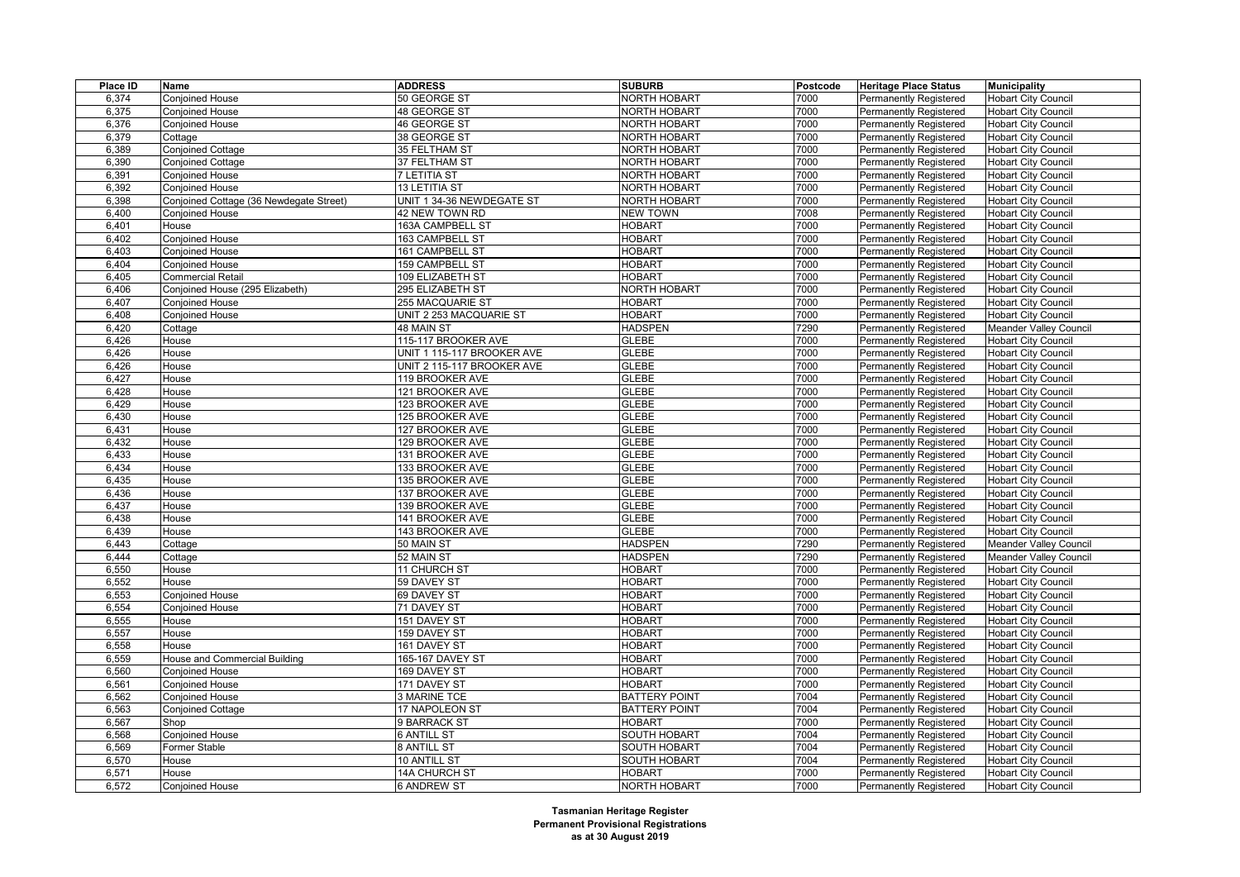| Place ID | Name                                    | <b>ADDRESS</b>             | <b>SUBURB</b>        | Postcode | <b>Heritage Place Status</b>  | <b>Municipality</b>           |
|----------|-----------------------------------------|----------------------------|----------------------|----------|-------------------------------|-------------------------------|
| 6,374    | Conjoined House                         | 50 GEORGE ST               | <b>NORTH HOBART</b>  | 7000     | <b>Permanently Registered</b> | <b>Hobart City Council</b>    |
| 6,375    | <b>Conjoined House</b>                  | 48 GEORGE ST               | <b>NORTH HOBART</b>  | 7000     | Permanently Registered        | <b>Hobart City Council</b>    |
| 6,376    | <b>Conjoined House</b>                  | 46 GEORGE ST               | <b>NORTH HOBART</b>  | 7000     | Permanently Registered        | <b>Hobart City Council</b>    |
| 6,379    | Cottage                                 | 38 GEORGE ST               | <b>NORTH HOBART</b>  | 7000     | Permanently Registered        | <b>Hobart City Council</b>    |
| 6,389    | <b>Conjoined Cottage</b>                | 35 FELTHAM ST              | <b>NORTH HOBART</b>  | 7000     | <b>Permanently Registered</b> | <b>Hobart City Council</b>    |
| 6,390    | Conjoined Cottage                       | 37 FELTHAM ST              | <b>NORTH HOBART</b>  | 7000     | <b>Permanently Registered</b> | <b>Hobart City Council</b>    |
| 6,391    | Conjoined House                         | 7 LETITIA ST               | <b>NORTH HOBART</b>  | 7000     | Permanently Registered        | <b>Hobart City Council</b>    |
| 6,392    | <b>Conjoined House</b>                  | 13 LETITIA ST              | <b>NORTH HOBART</b>  | 7000     | <b>Permanently Registered</b> | <b>Hobart City Council</b>    |
| 6,398    | Conjoined Cottage (36 Newdegate Street) | UNIT 1 34-36 NEWDEGATE ST  | <b>NORTH HOBART</b>  | 7000     | Permanently Registered        | <b>Hobart City Council</b>    |
| 6,400    | Conjoined House                         | 42 NEW TOWN RD             | <b>NEW TOWN</b>      | 7008     | Permanently Registered        | <b>Hobart City Council</b>    |
| 6,401    | House                                   | 163A CAMPBELL ST           | <b>HOBART</b>        | 7000     | <b>Permanently Registered</b> | <b>Hobart City Council</b>    |
| 6,402    | Conjoined House                         | 163 CAMPBELL ST            | <b>HOBART</b>        | 7000     | Permanently Registered        | <b>Hobart City Council</b>    |
| 6,403    | Conjoined House                         | 161 CAMPBELL ST            | <b>HOBART</b>        | 7000     | Permanently Registered        | <b>Hobart City Council</b>    |
| 6,404    | <b>Conjoined House</b>                  | 159 CAMPBELL ST            | <b>HOBART</b>        | 7000     | <b>Permanently Registered</b> | <b>Hobart City Council</b>    |
| 6,405    | Commercial Retail                       | 109 ELIZABETH ST           | <b>HOBART</b>        | 7000     | Permanently Registered        | <b>Hobart City Council</b>    |
| 6,406    | Conjoined House (295 Elizabeth)         | 295 ELIZABETH ST           | <b>NORTH HOBART</b>  | 7000     | Permanently Registered        | <b>Hobart City Council</b>    |
| 6,407    | <b>Conjoined House</b>                  | 255 MACQUARIE ST           | <b>HOBART</b>        | 7000     | <b>Permanently Registered</b> | <b>Hobart City Council</b>    |
| 6,408    | Conjoined House                         | UNIT 2 253 MACQUARIE ST    | <b>HOBART</b>        | 7000     | <b>Permanently Registered</b> | <b>Hobart City Council</b>    |
| 6,420    | Cottage                                 | 48 MAIN ST                 | <b>HADSPEN</b>       | 7290     | Permanently Registered        | <b>Meander Valley Council</b> |
| 6,426    | House                                   | 115-117 BROOKER AVE        | <b>GLEBE</b>         | 7000     | <b>Permanently Registered</b> | <b>Hobart City Council</b>    |
| 6,426    | House                                   | UNIT 1 115-117 BROOKER AVE | <b>GLEBE</b>         | 7000     | <b>Permanently Registered</b> | <b>Hobart City Council</b>    |
| 6,426    | House                                   | UNIT 2 115-117 BROOKER AVE | <b>GLEBE</b>         | 7000     | <b>Permanently Registered</b> | <b>Hobart City Council</b>    |
| 6.427    | House                                   | 119 BROOKER AVE            | <b>GLEBE</b>         | 7000     | Permanently Registered        | <b>Hobart City Council</b>    |
| 6,428    | House                                   | 121 BROOKER AVE            | <b>GLEBE</b>         | 7000     | <b>Permanently Registered</b> | <b>Hobart City Council</b>    |
| 6,429    | House                                   | 123 BROOKER AVE            | <b>GLEBE</b>         | 7000     | Permanently Registered        | <b>Hobart City Council</b>    |
| 6,430    | House                                   | 125 BROOKER AVE            | <b>GLEBE</b>         | 7000     | <b>Permanently Registered</b> | <b>Hobart City Council</b>    |
| 6,431    | House                                   | 127 BROOKER AVE            | <b>GLEBE</b>         | 7000     | <b>Permanently Registered</b> | <b>Hobart City Council</b>    |
| 6,432    | House                                   | 129 BROOKER AVE            | <b>GLEBE</b>         | 7000     | <b>Permanently Registered</b> | <b>Hobart City Council</b>    |
| 6.433    | House                                   | 131 BROOKER AVE            | <b>GLEBE</b>         | 7000     | Permanently Registered        | <b>Hobart City Council</b>    |
| 6,434    | House                                   | 133 BROOKER AVE            | <b>GLEBE</b>         | 7000     | <b>Permanently Registered</b> | <b>Hobart City Council</b>    |
| 6,435    | House                                   | 135 BROOKER AVE            | <b>GLEBE</b>         | 7000     | Permanently Registered        | <b>Hobart City Council</b>    |
| 6.436    | House                                   | 137 BROOKER AVE            | <b>GLEBE</b>         | 7000     | <b>Permanently Registered</b> | <b>Hobart City Council</b>    |
| 6,437    | House                                   | 139 BROOKER AVE            | <b>GLEBE</b>         | 7000     | <b>Permanently Registered</b> | <b>Hobart City Council</b>    |
| 6,438    | House                                   | 141 BROOKER AVE            | <b>GLEBE</b>         | 7000     | Permanently Registered        | <b>Hobart City Council</b>    |
| 6,439    | House                                   | 143 BROOKER AVE            | <b>GLEBE</b>         | 7000     | <b>Permanently Registered</b> | <b>Hobart City Council</b>    |
| 6,443    | Cottage                                 | 50 MAIN ST                 | <b>HADSPEN</b>       | 7290     | <b>Permanently Registered</b> | <b>Meander Valley Council</b> |
| 6,444    | Cottage                                 | 52 MAIN ST                 | <b>HADSPEN</b>       | 7290     | Permanently Registered        | <b>Meander Valley Council</b> |
| 6,550    | House                                   | 11 CHURCH ST               | <b>HOBART</b>        | 7000     | Permanently Registered        | <b>Hobart City Council</b>    |
| 6,552    | House                                   | 59 DAVEY ST                | <b>HOBART</b>        | 7000     | <b>Permanently Registered</b> | <b>Hobart City Council</b>    |
| 6,553    | <b>Conjoined House</b>                  | 69 DAVEY ST                | <b>HOBART</b>        | 7000     | Permanently Registered        | <b>Hobart City Council</b>    |
| 6,554    | Conjoined House                         | 71 DAVEY ST                | <b>HOBART</b>        | 7000     | Permanently Registered        | <b>Hobart City Council</b>    |
| 6,555    | House                                   | 151 DAVEY ST               | <b>HOBART</b>        | 7000     | <b>Permanently Registered</b> | <b>Hobart City Council</b>    |
| 6,557    | House                                   | 159 DAVEY ST               | <b>HOBART</b>        | 7000     | Permanently Registered        | <b>Hobart City Council</b>    |
| 6,558    | House                                   | 161 DAVEY ST               | HOBART               | 7000     | Permanently Registered        | <b>Hobart City Council</b>    |
| 6,559    | House and Commercial Building           | 165-167 DAVEY ST           | <b>HOBART</b>        | 7000     | <b>Permanently Registered</b> | <b>Hobart City Council</b>    |
| 6,560    | Conjoined House                         | 169 DAVEY ST               | <b>HOBART</b>        | 7000     | Permanently Registered        | <b>Hobart City Council</b>    |
| 6,561    | Conjoined House                         | 171 DAVEY ST               | <b>HOBART</b>        | 7000     | Permanently Registered        | <b>Hobart City Council</b>    |
| 6,562    | <b>Conjoined House</b>                  | 3 MARINE TCE               | <b>BATTERY POINT</b> | 7004     | <b>Permanently Registered</b> | <b>Hobart City Council</b>    |
| 6,563    | Conjoined Cottage                       | 17 NAPOLEON ST             | <b>BATTERY POINT</b> | 7004     | <b>Permanently Registered</b> | <b>Hobart City Council</b>    |
| 6,567    | Shop                                    | 9 BARRACK ST               | <b>HOBART</b>        | 7000     | <b>Permanently Registered</b> | <b>Hobart City Council</b>    |
| 6,568    | Conjoined House                         | 6 ANTILL ST                | <b>SOUTH HOBART</b>  | 7004     | <b>Permanently Registered</b> | <b>Hobart City Council</b>    |
| 6,569    | Former Stable                           | 8 ANTILL ST                | <b>SOUTH HOBART</b>  | 7004     | <b>Permanently Registered</b> | <b>Hobart City Council</b>    |
| 6,570    | House                                   | 10 ANTILL ST               | SOUTH HOBART         | 7004     | Permanently Registered        | <b>Hobart City Council</b>    |
| 6,571    | House                                   | 14A CHURCH ST              | <b>HOBART</b>        | 7000     | <b>Permanently Registered</b> | <b>Hobart City Council</b>    |
| 6,572    | <b>Conjoined House</b>                  | <b>6 ANDREW ST</b>         | <b>NORTH HOBART</b>  | 7000     | <b>Permanently Registered</b> | <b>Hobart City Council</b>    |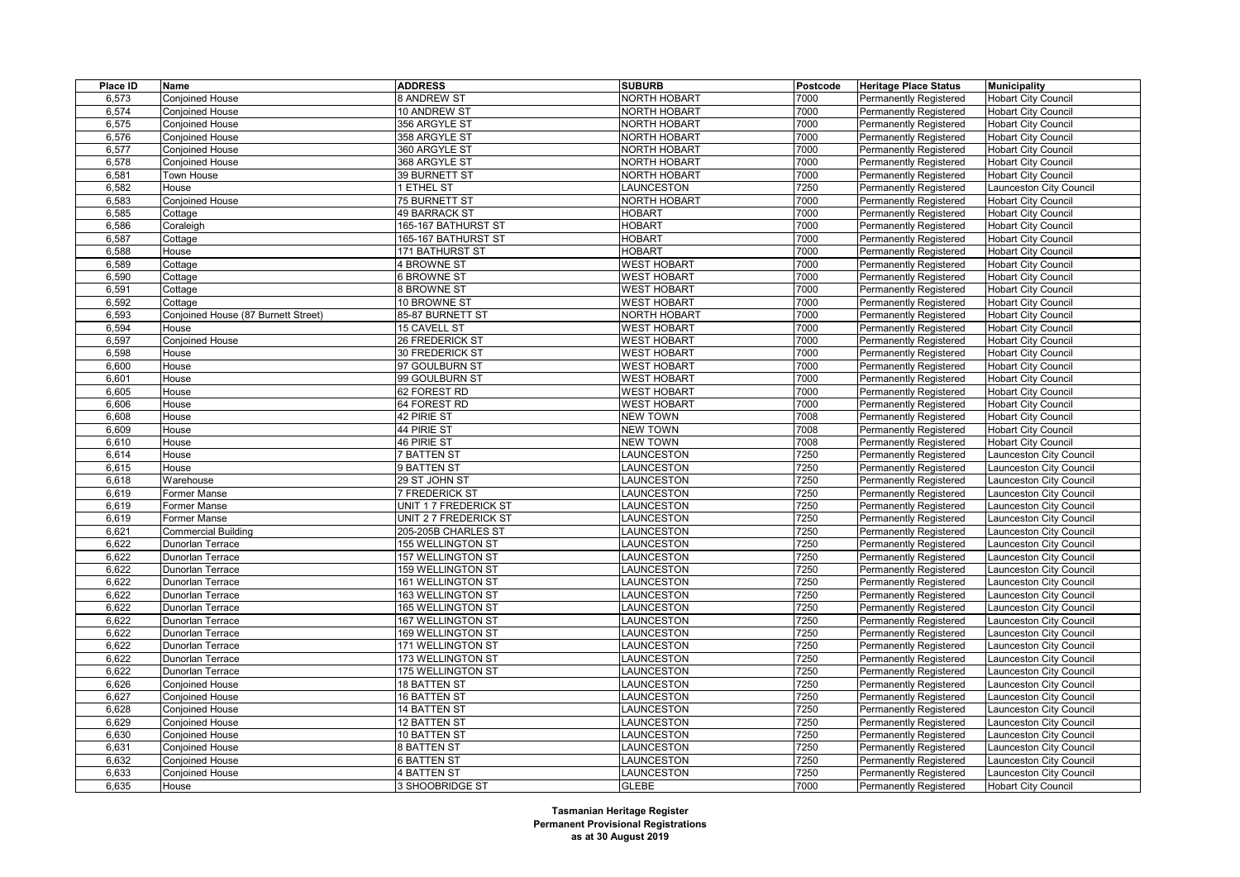| Place ID | Name                                | <b>ADDRESS</b>           | <b>SUBURB</b>       | Postcode | <b>Heritage Place Status</b>  | <b>Municipality</b>        |
|----------|-------------------------------------|--------------------------|---------------------|----------|-------------------------------|----------------------------|
| 6,573    | Conjoined House                     | 8 ANDREW ST              | <b>NORTH HOBART</b> | 7000     | <b>Permanently Registered</b> | <b>Hobart City Council</b> |
| 6.574    | Conjoined House                     | 10 ANDREW ST             | <b>NORTH HOBART</b> | 7000     | Permanently Registered        | <b>Hobart City Council</b> |
| 6,575    | <b>Conjoined House</b>              | 356 ARGYLE ST            | <b>NORTH HOBART</b> | 7000     | <b>Permanently Registered</b> | <b>Hobart City Council</b> |
| 6,576    | <b>Conjoined House</b>              | 358 ARGYLE ST            | <b>NORTH HOBART</b> | 7000     | Permanently Registered        | <b>Hobart City Council</b> |
| 6,577    | <b>Conjoined House</b>              | 360 ARGYLE ST            | <b>NORTH HOBART</b> | 7000     | <b>Permanently Registered</b> | <b>Hobart City Council</b> |
| 6,578    | <b>Conjoined House</b>              | 368 ARGYLE ST            | <b>NORTH HOBART</b> | 7000     | <b>Permanently Registered</b> | <b>Hobart City Council</b> |
| 6,581    | Town House                          | 39 BURNETT ST            | NORTH HOBART        | 7000     | Permanently Registered        | <b>Hobart City Council</b> |
| 6,582    | House                               | <b>ETHEL ST</b>          | LAUNCESTON          | 7250     | <b>Permanently Registered</b> | aunceston City Council     |
| 6,583    | Conjoined House                     | 75 BURNETT ST            | <b>NORTH HOBART</b> | 7000     | <b>Permanently Registered</b> | <b>Hobart City Council</b> |
| 6,585    | Cottage                             | <b>49 BARRACK ST</b>     | <b>HOBART</b>       | 7000     | Permanently Registered        | <b>Hobart City Council</b> |
| 6,586    | Coraleigh                           | 165-167 BATHURST ST      | <b>HOBART</b>       | 7000     | <b>Permanently Registered</b> | <b>Hobart City Council</b> |
| 6,587    | Cottage                             | 165-167 BATHURST ST      | <b>HOBART</b>       | 7000     | <b>Permanently Registered</b> | <b>Hobart City Council</b> |
| 6,588    | House                               | 171 BATHURST ST          | <b>HOBART</b>       | 7000     | Permanently Registered        | <b>Hobart City Council</b> |
| 6,589    | Cottage                             | <b>4 BROWNE ST</b>       | <b>WEST HOBART</b>  | 7000     | <b>Permanently Registered</b> | <b>Hobart City Council</b> |
| 6,590    | Cottage                             | 6 BROWNE ST              | <b>WEST HOBART</b>  | 7000     | Permanently Registered        | <b>Hobart City Council</b> |
| 6,591    | Cottage                             | 8 BROWNE ST              | <b>WEST HOBART</b>  | 7000     | Permanently Registered        | <b>Hobart City Council</b> |
| 6,592    | Cottage                             | 10 BROWNE ST             | <b>WEST HOBART</b>  | 7000     | <b>Permanently Registered</b> | <b>Hobart City Council</b> |
| 6,593    | Conjoined House (87 Burnett Street) | 85-87 BURNETT ST         | <b>NORTH HOBART</b> | 7000     | <b>Permanently Registered</b> | <b>Hobart City Council</b> |
| 6,594    | House                               | 15 CAVELL ST             | <b>WEST HOBART</b>  | 7000     | Permanently Registered        | <b>Hobart City Council</b> |
| 6,597    | Conjoined House                     | 26 FREDERICK ST          | <b>WEST HOBART</b>  | 7000     | Permanently Registered        | <b>Hobart City Council</b> |
| 6,598    | House                               | 30 FREDERICK ST          | <b>WEST HOBART</b>  | 7000     | <b>Permanently Registered</b> | <b>Hobart City Council</b> |
| 6,600    | House                               | 97 GOULBURN ST           | <b>WEST HOBART</b>  | 7000     | Permanently Registered        | <b>Hobart City Council</b> |
| 6,601    | House                               | 99 GOULBURN ST           | <b>WEST HOBART</b>  | 7000     | <b>Permanently Registered</b> | <b>Hobart City Council</b> |
| 6,605    | House                               | 62 FOREST RD             | <b>WEST HOBART</b>  | 7000     | <b>Permanently Registered</b> | <b>Hobart City Council</b> |
| 6,606    | House                               | 64 FOREST RD             | <b>WEST HOBART</b>  | 7000     | Permanently Registered        | <b>Hobart City Council</b> |
| 6,608    | House                               | 42 PIRIE ST              | <b>NEW TOWN</b>     | 7008     | Permanently Registered        | <b>Hobart City Council</b> |
| 6,609    | House                               | 44 PIRIE ST              | <b>NEW TOWN</b>     | 7008     | <b>Permanently Registered</b> | <b>Hobart City Council</b> |
| 6,610    | House                               | 46 PIRIE ST              | <b>NEW TOWN</b>     | 7008     | Permanently Registered        | <b>Hobart City Council</b> |
| 6,614    | House                               | <b>7 BATTEN ST</b>       | LAUNCESTON          | 7250     | <b>Permanently Registered</b> | aunceston City Council     |
| 6,615    | House                               | 9 BATTEN ST              | LAUNCESTON          | 7250     | <b>Permanently Registered</b> | aunceston City Council     |
| 6,618    | Warehouse                           | 29 ST JOHN ST            | LAUNCESTON          | 7250     | Permanently Registered        | aunceston City Council     |
| 6,619    | Former Manse                        | <b>7 FREDERICK ST</b>    | LAUNCESTON          | 7250     | Permanently Registered        | aunceston City Council     |
| 6,619    | Former Manse                        | UNIT 1 7 FREDERICK ST    | LAUNCESTON          | 7250     | <b>Permanently Registered</b> | aunceston City Council     |
| 6,619    | Former Manse                        | UNIT 2 7 FREDERICK ST    | LAUNCESTON          | 7250     | Permanently Registered        | aunceston City Council     |
| 6,621    | <b>Commercial Building</b>          | 205-205B CHARLES ST      | LAUNCESTON          | 7250     | Permanently Registered        | aunceston City Council     |
| 6,622    | Dunorlan Terrace                    | 155 WELLINGTON ST        | LAUNCESTON          | 7250     | Permanently Registered        | aunceston City Council     |
| 6,622    | Dunorlan Terrace                    | <b>157 WELLINGTON ST</b> | LAUNCESTON          | 7250     | Permanently Registered        | aunceston City Council     |
| 6,622    | Dunorlan Terrace                    | 159 WELLINGTON ST        | LAUNCESTON          | 7250     | <b>Permanently Registered</b> | aunceston City Council     |
| 6,622    | Dunorlan Terrace                    | <b>161 WELLINGTON ST</b> | LAUNCESTON          | 7250     | <b>Permanently Registered</b> | aunceston City Council     |
| 6,622    | Dunorlan Terrace                    | 163 WELLINGTON ST        | LAUNCESTON          | 7250     | Permanently Registered        | aunceston City Council     |
| 6,622    | Dunorlan Terrace                    | <b>165 WELLINGTON ST</b> | LAUNCESTON          | 7250     | <b>Permanently Registered</b> | aunceston City Council     |
| 6,622    | Dunorlan Terrace                    | 167 WELLINGTON ST        | LAUNCESTON          | 7250     | <b>Permanently Registered</b> | aunceston City Council     |
| 6,622    | Dunorlan Terrace                    | <b>169 WELLINGTON ST</b> | LAUNCESTON          | 7250     | Permanently Registered        | aunceston City Council     |
| 6,622    | Dunorlan Terrace                    | 171 WELLINGTON ST        | LAUNCESTON          | 7250     | <b>Permanently Registered</b> | aunceston City Council     |
| 6,622    | Dunorlan Terrace                    | 173 WELLINGTON ST        | LAUNCESTON          | 7250     | <b>Permanently Registered</b> | aunceston City Council     |
| 6,622    | Dunorlan Terrace                    | 175 WELLINGTON ST        | LAUNCESTON          | 7250     | Permanently Registered        | aunceston City Council     |
| 6,626    | <b>Conjoined House</b>              | <b>18 BATTEN ST</b>      | LAUNCESTON          | 7250     | <b>Permanently Registered</b> | aunceston City Council     |
| 6,627    | Conjoined House                     | <b>16 BATTEN ST</b>      | LAUNCESTON          | 7250     | Permanently Registered        | aunceston City Council     |
| 6,628    | <b>Conjoined House</b>              | 14 BATTEN ST             | LAUNCESTON          | 7250     | Permanently Registered        | aunceston City Council     |
| 6,629    | <b>Conjoined House</b>              | 12 BATTEN ST             | LAUNCESTON          | 7250     | <b>Permanently Registered</b> | aunceston City Council     |
| 6,630    | Conjoined House                     | 10 BATTEN ST             | LAUNCESTON          | 7250     | Permanently Registered        | aunceston City Council     |
| 6,631    | <b>Conjoined House</b>              | <b>8 BATTEN ST</b>       | LAUNCESTON          | 7250     | Permanently Registered        | aunceston City Council     |
| 6,632    | Conjoined House                     | 6 BATTEN ST              | LAUNCESTON          | 7250     | Permanently Registered        | aunceston City Council     |
| 6.633    | Conjoined House                     | <b>4 BATTEN ST</b>       | LAUNCESTON          | 7250     | <b>Permanently Registered</b> | aunceston City Council     |
| 6,635    | House                               | 3 SHOOBRIDGE ST          | <b>GLEBE</b>        | 7000     | <b>Permanently Registered</b> | <b>Hobart City Council</b> |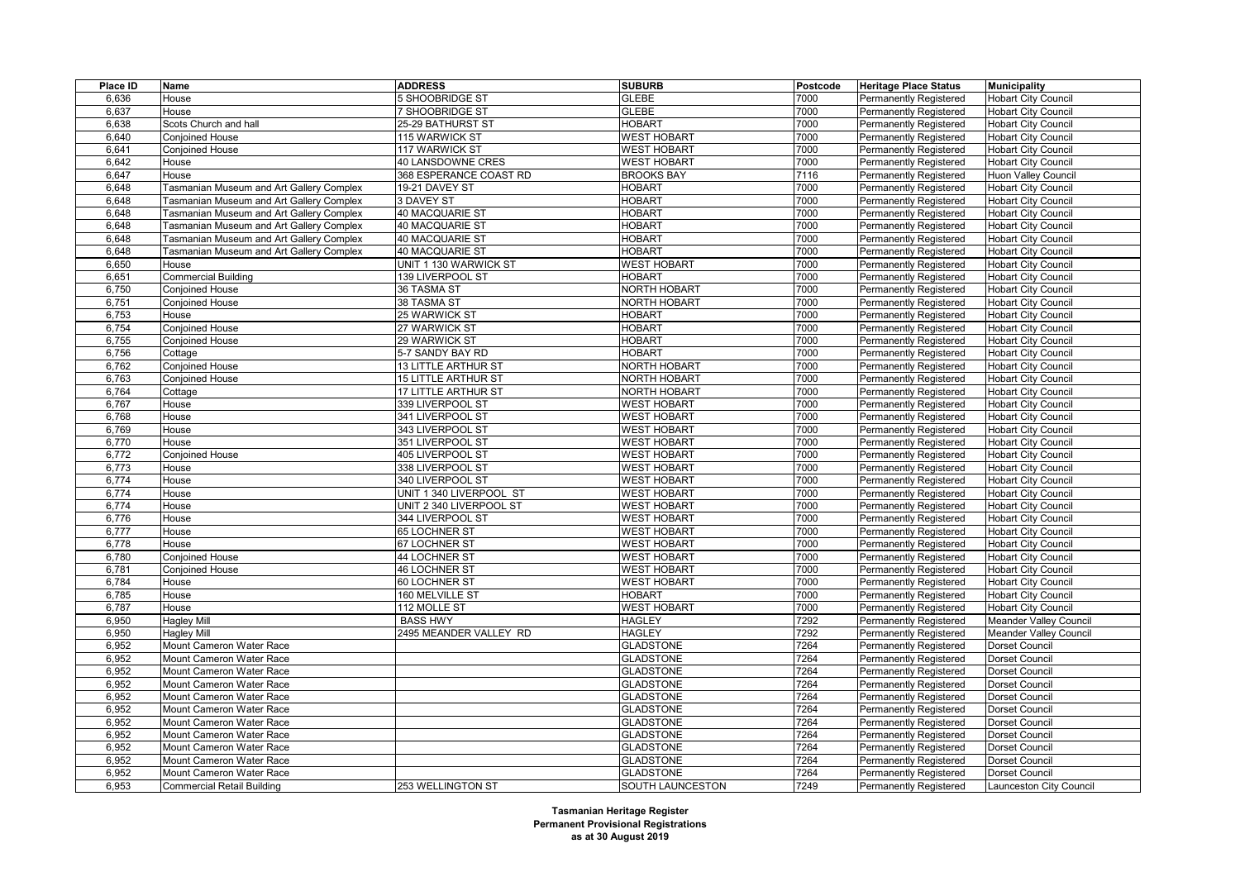| Place ID | Name                                            | <b>ADDRESS</b>             | <b>SUBURB</b>       | Postcode | <b>Heritage Place Status</b>  | <b>Municipality</b>           |
|----------|-------------------------------------------------|----------------------------|---------------------|----------|-------------------------------|-------------------------------|
| 6,636    | House                                           | 5 SHOOBRIDGE ST            | <b>GLEBE</b>        | 7000     | <b>Permanently Registered</b> | <b>Hobart City Council</b>    |
| 6,637    | House                                           | 7 SHOOBRIDGE ST            | <b>GLEBE</b>        | 7000     | <b>Permanently Registered</b> | <b>Hobart City Council</b>    |
| 6,638    | Scots Church and hall                           | 25-29 BATHURST ST          | <b>HOBART</b>       | 7000     | <b>Permanently Registered</b> | <b>Hobart City Council</b>    |
| 6,640    | Conjoined House                                 | 115 WARWICK ST             | <b>WEST HOBART</b>  | 7000     | Permanently Registered        | <b>Hobart City Council</b>    |
| 6,641    | <b>Conjoined House</b>                          | 117 WARWICK ST             | <b>WEST HOBART</b>  | 7000     | <b>Permanently Registered</b> | <b>Hobart City Council</b>    |
| 6,642    | House                                           | 40 LANSDOWNE CRES          | <b>WEST HOBART</b>  | 7000     | Permanently Registered        | <b>Hobart City Council</b>    |
| 6,647    | House                                           | 368 ESPERANCE COAST RD     | <b>BROOKS BAY</b>   | 7116     | Permanently Registered        | <b>Huon Valley Council</b>    |
| 6,648    | Tasmanian Museum and Art Gallery Complex        | 19-21 DAVEY ST             | <b>HOBART</b>       | 7000     | <b>Permanently Registered</b> | <b>Hobart City Council</b>    |
| 6,648    | Tasmanian Museum and Art Gallery Complex        | 3 DAVEY ST                 | <b>HOBART</b>       | 7000     | <b>Permanently Registered</b> | <b>Hobart City Council</b>    |
| 6,648    | Tasmanian Museum and Art Gallery Complex        | 40 MACQUARIE ST            | <b>HOBART</b>       | 7000     | <b>Permanently Registered</b> | <b>Hobart City Council</b>    |
| 6,648    | Tasmanian Museum and Art Gallery Complex        | 40 MACQUARIE ST            | <b>HOBART</b>       | 7000     | <b>Permanently Registered</b> | <b>Hobart City Council</b>    |
| 6,648    | Tasmanian Museum and Art Gallery Complex        | 40 MACQUARIE ST            | <b>HOBART</b>       | 7000     | Permanently Registered        | <b>Hobart City Council</b>    |
| 6,648    | <b>Fasmanian Museum and Art Gallery Complex</b> | 40 MACQUARIE ST            | <b>HOBART</b>       | 7000     | <b>Permanently Registered</b> | <b>Hobart City Council</b>    |
| 6,650    | House                                           | UNIT 1 130 WARWICK ST      | <b>WEST HOBART</b>  | 7000     | <b>Permanently Registered</b> | <b>Hobart City Council</b>    |
| 6,651    | <b>Commercial Building</b>                      | 139 LIVERPOOL ST           | <b>HOBART</b>       | 7000     | Permanently Registered        | <b>Hobart City Council</b>    |
| 6,750    | <b>Conjoined House</b>                          | 36 TASMA ST                | <b>NORTH HOBART</b> | 7000     | <b>Permanently Registered</b> | <b>Hobart City Council</b>    |
| 6,751    | <b>Conjoined House</b>                          | 38 TASMA ST                | <b>NORTH HOBART</b> | 7000     | Permanently Registered        | <b>Hobart City Council</b>    |
| 6,753    | House                                           | 25 WARWICK ST              | <b>HOBART</b>       | 7000     | Permanently Registered        | <b>Hobart City Council</b>    |
| 6,754    | <b>Conjoined House</b>                          | 27 WARWICK ST              | <b>HOBART</b>       | 7000     | <b>Permanently Registered</b> | <b>Hobart City Council</b>    |
| 6,755    | Conjoined House                                 | 29 WARWICK ST              | <b>HOBART</b>       | 7000     | Permanently Registered        | <b>Hobart City Council</b>    |
| 6,756    | Cottage                                         | 5-7 SANDY BAY RD           | <b>HOBART</b>       | 7000     | <b>Permanently Registered</b> | <b>Hobart City Council</b>    |
| 6,762    | Conjoined House                                 | <b>13 LITTLE ARTHUR ST</b> | NORTH HOBART        | 7000     | Permanently Registered        | <b>Hobart City Council</b>    |
| 6,763    | Conjoined House                                 | <b>15 LITTLE ARTHUR ST</b> | <b>NORTH HOBART</b> | 7000     | Permanently Registered        | <b>Hobart City Council</b>    |
| 6,764    | Cottage                                         | 17 LITTLE ARTHUR ST        | <b>NORTH HOBART</b> | 7000     | <b>Permanently Registered</b> | <b>Hobart City Council</b>    |
| 6,767    | House                                           | 339 LIVERPOOL ST           | <b>WEST HOBART</b>  | 7000     | Permanently Registered        | <b>Hobart City Council</b>    |
| 6,768    | House                                           | 341 LIVERPOOL ST           | <b>WEST HOBART</b>  | 7000     | <b>Permanently Registered</b> | <b>Hobart City Council</b>    |
| 6,769    | House                                           | 343 LIVERPOOL ST           | <b>WEST HOBART</b>  | 7000     | <b>Permanently Registered</b> | <b>Hobart City Council</b>    |
| 6,770    | House                                           | 351 LIVERPOOL ST           | <b>WEST HOBART</b>  | 7000     | Permanently Registered        | <b>Hobart City Council</b>    |
| 6,772    | Conjoined House                                 | 405 LIVERPOOL ST           | <b>WEST HOBART</b>  | 7000     | Permanently Registered        | <b>Hobart City Council</b>    |
| 6,773    | House                                           | 338 LIVERPOOL ST           | <b>WEST HOBART</b>  | 7000     | <b>Permanently Registered</b> | <b>Hobart City Council</b>    |
| 6,774    | House                                           | 340 LIVERPOOL ST           | <b>WEST HOBART</b>  | 7000     | Permanently Registered        | <b>Hobart City Council</b>    |
| 6,774    | House                                           | UNIT 1 340 LIVERPOOL ST    | <b>WEST HOBART</b>  | 7000     | Permanently Registered        | <b>Hobart City Council</b>    |
| 6,774    | House                                           | UNIT 2 340 LIVERPOOL ST    | <b>WEST HOBART</b>  | 7000     | <b>Permanently Registered</b> | <b>Hobart City Council</b>    |
| 6,776    | House                                           | 344 LIVERPOOL ST           | <b>WEST HOBART</b>  | 7000     | Permanently Registered        | <b>Hobart City Council</b>    |
| 6,777    | House                                           | 65 LOCHNER ST              | <b>WEST HOBART</b>  | 7000     | Permanently Registered        | <b>Hobart City Council</b>    |
| 6,778    | House                                           | 67 LOCHNER ST              | <b>WEST HOBART</b>  | 7000     | <b>Permanently Registered</b> | <b>Hobart City Council</b>    |
| 6,780    | Conjoined House                                 | <b>44 LOCHNER ST</b>       | <b>WEST HOBART</b>  | 7000     | Permanently Registered        | <b>Hobart City Council</b>    |
| 6,781    | Conjoined House                                 | <b>46 LOCHNER ST</b>       | <b>WEST HOBART</b>  | 7000     | <b>Permanently Registered</b> | <b>Hobart City Council</b>    |
| 6,784    | House                                           | 60 LOCHNER ST              | <b>WEST HOBART</b>  | 7000     | <b>Permanently Registered</b> | <b>Hobart City Council</b>    |
| 6,785    | House                                           | 160 MELVILLE ST            | <b>HOBART</b>       | 7000     | Permanently Registered        | <b>Hobart City Council</b>    |
| 6,787    | House                                           | 112 MOLLE ST               | <b>WEST HOBART</b>  | 7000     | <b>Permanently Registered</b> | <b>Hobart City Council</b>    |
| 6,950    | <b>Hagley Mill</b>                              | <b>BASS HWY</b>            | <b>HAGLEY</b>       | 7292     | <b>Permanently Registered</b> | <b>Meander Valley Council</b> |
| 6,950    | <b>Hagley Mill</b>                              | 2495 MEANDER VALLEY RD     | <b>HAGLEY</b>       | 7292     | Permanently Registered        | Meander Valley Council        |
| 6,952    | Mount Cameron Water Race                        |                            | <b>GLADSTONE</b>    | 7264     | <b>Permanently Registered</b> | Dorset Council                |
| 6,952    | Mount Cameron Water Race                        |                            | <b>GLADSTONE</b>    | 7264     | Permanently Registered        | Dorset Council                |
| 6,952    | Mount Cameron Water Race                        |                            | <b>GLADSTONE</b>    | 7264     | Permanently Registered        | Dorset Council                |
| 6,952    | Mount Cameron Water Race                        |                            | <b>GLADSTONE</b>    | 7264     | <b>Permanently Registered</b> | Dorset Council                |
| 6,952    | Mount Cameron Water Race                        |                            | <b>GLADSTONE</b>    | 7264     | <b>Permanently Registered</b> | Dorset Council                |
| 6,952    | Mount Cameron Water Race                        |                            | <b>GLADSTONE</b>    | 7264     | Permanently Registered        | Dorset Council                |
| 6,952    | Mount Cameron Water Race                        |                            | <b>GLADSTONE</b>    | 7264     | <b>Permanently Registered</b> | Dorset Council                |
| 6,952    | Mount Cameron Water Race                        |                            | <b>GLADSTONE</b>    | 7264     | <b>Permanently Registered</b> | Dorset Council                |
| 6,952    | Mount Cameron Water Race                        |                            | <b>GLADSTONE</b>    | 7264     | Permanently Registered        | Dorset Council                |
| 6,952    | Mount Cameron Water Race                        |                            | <b>GLADSTONE</b>    | 7264     | Permanently Registered        | Dorset Council                |
| 6,952    | Mount Cameron Water Race                        |                            | <b>GLADSTONE</b>    | 7264     | <b>Permanently Registered</b> | Dorset Council                |
| 6,953    | <b>Commercial Retail Building</b>               | <b>253 WELLINGTON ST</b>   | SOUTH LAUNCESTON    | 7249     | <b>Permanently Registered</b> | Launceston City Council       |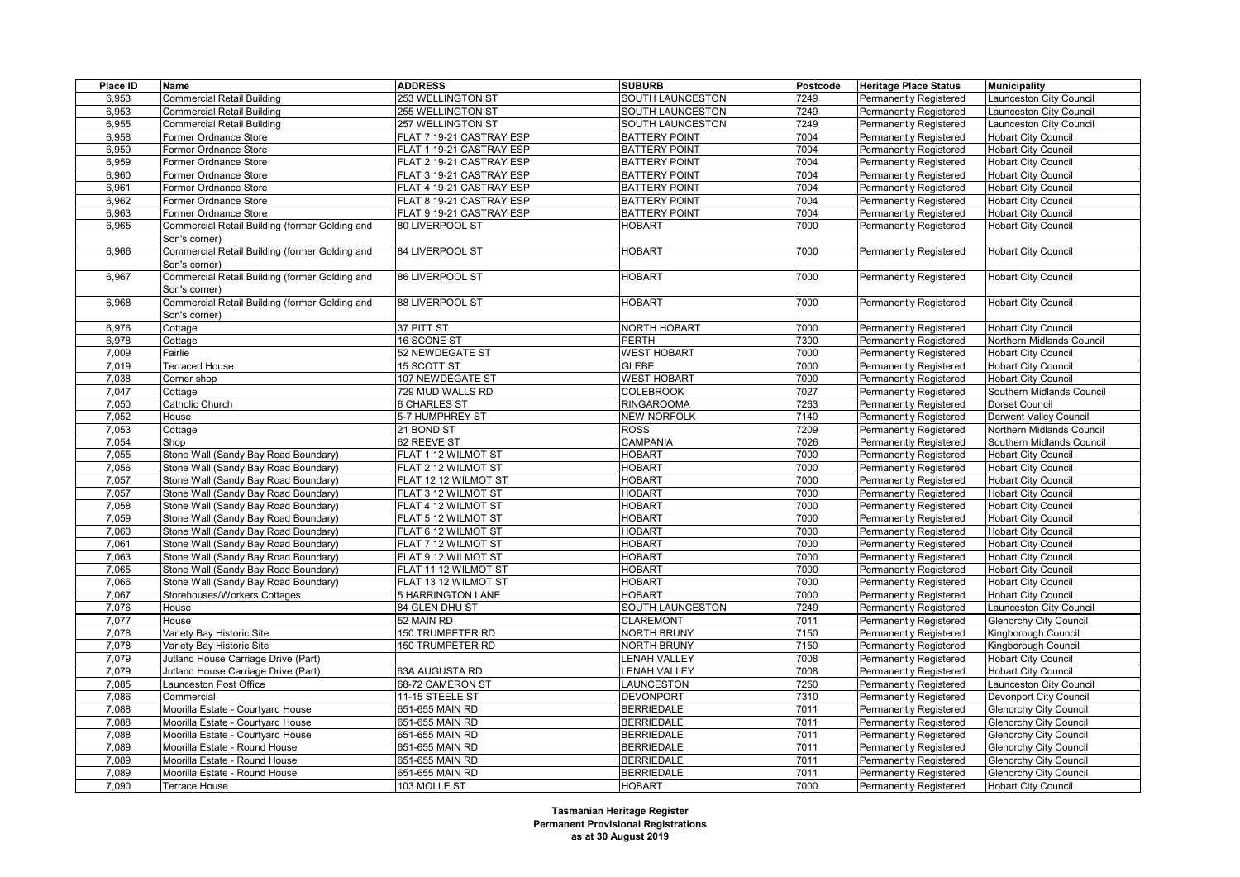| Place ID       | Name                                           | <b>ADDRESS</b>                                   | <b>SUBURB</b>                  | Postcode     | <b>Heritage Place Status</b>  | <b>Municipality</b>                                      |
|----------------|------------------------------------------------|--------------------------------------------------|--------------------------------|--------------|-------------------------------|----------------------------------------------------------|
| 6,953          | <b>Commercial Retail Building</b>              | 253 WELLINGTON ST                                | SOUTH LAUNCESTON               | 7249         | <b>Permanently Registered</b> | aunceston City Council                                   |
| 6,953          | <b>Commercial Retail Building</b>              | <b>255 WELLINGTON ST</b>                         | SOUTH LAUNCESTON               | 7249         | Permanently Registered        | aunceston City Council                                   |
| 6,955          | <b>Commercial Retail Building</b>              | 257 WELLINGTON ST                                | SOUTH LAUNCESTON               | 7249         | Permanently Registered        | Launceston City Council                                  |
| 6,958          | Former Ordnance Store                          | FLAT 7 19-21 CASTRAY ESP                         | <b>BATTERY POINT</b>           | 7004         | Permanently Registered        | <b>Hobart City Council</b>                               |
| 6,959          | Former Ordnance Store                          | FLAT 1 19-21 CASTRAY ESP                         | <b>BATTERY POINT</b>           | 7004         | Permanently Registered        | <b>Hobart City Council</b>                               |
| 6,959          | Former Ordnance Store                          | FLAT 2 19-21 CASTRAY ESP                         | <b>BATTERY POINT</b>           | 7004         | Permanently Registered        | <b>Hobart City Council</b>                               |
| 6,960          | Former Ordnance Store                          | FLAT 3 19-21 CASTRAY ESP                         | <b>BATTERY POINT</b>           | 7004         | Permanently Registered        | <b>Hobart City Council</b>                               |
| 6,961          | Former Ordnance Store                          | FLAT 4 19-21 CASTRAY ESP                         | <b>BATTERY POINT</b>           | 7004         | Permanently Registered        | <b>Hobart City Council</b>                               |
| 6,962          | Former Ordnance Store                          | FLAT 8 19-21 CASTRAY ESP                         | <b>BATTERY POINT</b>           | 7004         | Permanently Registered        | <b>Hobart City Council</b>                               |
| 6,963          | Former Ordnance Store                          | FLAT 9 19-21 CASTRAY ESP                         | <b>BATTERY POINT</b>           | 7004         | Permanently Registered        | <b>Hobart City Council</b>                               |
| 6,965          | Commercial Retail Building (former Golding and | 80 LIVERPOOL ST                                  | <b>HOBART</b>                  | 7000         | Permanently Registered        | Hobart City Council                                      |
|                | Son's corner)                                  |                                                  |                                |              |                               |                                                          |
| 6,966          | Commercial Retail Building (former Golding and | 84 LIVERPOOL ST                                  | <b>HOBART</b>                  | 7000         | Permanently Registered        | <b>Hobart City Council</b>                               |
|                | Son's corner)                                  |                                                  |                                |              |                               |                                                          |
| 6,967          | Commercial Retail Building (former Golding and | 86 LIVERPOOL ST                                  | <b>HOBART</b>                  | 7000         | Permanently Registered        | <b>Hobart City Council</b>                               |
|                | Son's corner)                                  |                                                  |                                |              |                               |                                                          |
| 6,968          | Commercial Retail Building (former Golding and | 88 LIVERPOOL ST                                  | <b>HOBART</b>                  | 7000         | Permanently Registered        | Hobart City Council                                      |
|                | Son's corner)                                  |                                                  |                                |              |                               |                                                          |
| 6,976          | Cottage                                        | 37 PITT ST                                       | NORTH HOBART                   | 7000         | Permanently Registered        | <b>Hobart City Council</b>                               |
| 6,978          | Cottage                                        | 16 SCONE ST                                      | <b>PERTH</b>                   | 7300         | Permanently Registered        | Northern Midlands Council                                |
| 7,009          | Fairlie                                        | 52 NEWDEGATE ST                                  | <b>WEST HOBART</b>             | 7000         | Permanently Registered        | <b>Hobart City Council</b>                               |
| 7,019          | Terraced House                                 | 15 SCOTT ST                                      | <b>GLEBE</b>                   | 7000         | Permanently Registered        | Hobart City Council                                      |
| 7,038          | Corner shop                                    | 107 NEWDEGATE ST                                 | <b>WEST HOBART</b>             | 7000         | Permanently Registered        | <b>Hobart City Council</b>                               |
| 7,047          | Cottage                                        | 729 MUD WALLS RD                                 | <b>COLEBROOK</b>               | 7027         | Permanently Registered        | Southern Midlands Council                                |
| 7,050          | Catholic Church                                | 6 CHARLES ST                                     | <b>RINGAROOMA</b>              | 7263         | Permanently Registered        | Dorset Council                                           |
| 7,052          | House                                          | 5-7 HUMPHREY ST                                  | <b>NEW NORFOLK</b>             | 7140         | Permanently Registered        | Derwent Valley Council                                   |
| 7,053          | Cottage                                        | 21 BOND ST                                       | <b>ROSS</b>                    | 7209         | Permanently Registered        | Northern Midlands Council                                |
| 7,054          | Shop                                           | 62 REEVE ST                                      | CAMPANIA                       | 7026         | Permanently Registered        | Southern Midlands Council                                |
| 7,055          | Stone Wall (Sandy Bay Road Boundary)           | FLAT 1 12 WILMOT ST                              | <b>HOBART</b>                  | 7000         | Permanently Registered        | Hobart City Council                                      |
| 7,056          | Stone Wall (Sandy Bay Road Boundary)           | FLAT 2 12 WILMOT ST                              | <b>HOBART</b>                  | 7000         | Permanently Registered        | <b>Hobart City Council</b>                               |
| 7,057          | Stone Wall (Sandy Bay Road Boundary)           | FLAT 12 12 WILMOT ST                             | <b>HOBART</b>                  | 7000         | Permanently Registered        | <b>Hobart City Council</b>                               |
| 7,057          | Stone Wall (Sandy Bay Road Boundary)           | FLAT 3 12 WILMOT ST                              | <b>HOBART</b>                  | 7000         | Permanently Registered        | Hobart City Council                                      |
| 7,058          | Stone Wall (Sandy Bay Road Boundary)           | FLAT 4 12 WILMOT ST                              | <b>HOBART</b>                  | 7000         | Permanently Registered        | <b>Hobart City Council</b>                               |
| 7,059          | Stone Wall (Sandy Bay Road Boundary)           | FLAT 5 12 WILMOT ST                              | <b>HOBART</b>                  | 7000         | Permanently Registered        | <b>Hobart City Council</b>                               |
| 7,060          | Stone Wall (Sandy Bay Road Boundary)           | FLAT 6 12 WILMOT ST                              | <b>HOBART</b>                  | 7000         | Permanently Registered        | <b>Hobart City Council</b>                               |
| 7,061          | Stone Wall (Sandy Bay Road Boundary)           | FLAT 7 12 WILMOT ST                              | <b>HOBART</b>                  | 7000         | Permanently Registered        | <b>Hobart City Council</b>                               |
|                |                                                |                                                  |                                | 7000         |                               |                                                          |
| 7,063          | Stone Wall (Sandy Bay Road Boundary)           | FLAT 9 12 WILMOT ST                              | <b>HOBART</b>                  |              | Permanently Registered        | <b>Hobart City Council</b>                               |
| 7,065          | Stone Wall (Sandy Bay Road Boundary)           | FLAT 11 12 WILMOT ST                             | <b>HOBART</b><br><b>HOBART</b> | 7000<br>7000 | Permanently Registered        | <b>Hobart City Council</b>                               |
| 7,066<br>7,067 | Stone Wall (Sandy Bay Road Boundary)           | FLAT 13 12 WILMOT ST<br><b>5 HARRINGTON LANE</b> | <b>HOBART</b>                  | 7000         | Permanently Registered        | <b>Hobart City Council</b><br><b>Hobart City Council</b> |
|                | Storehouses/Workers Cottages                   |                                                  | SOUTH LAUNCESTON               | 7249         | Permanently Registered        |                                                          |
| 7,076<br>7,077 | House<br>House                                 | 84 GLEN DHU ST<br>52 MAIN RD                     | <b>CLAREMONT</b>               | 7011         | Permanently Registered        | aunceston City Council                                   |
|                |                                                |                                                  |                                |              | Permanently Registered        | <b>Glenorchy City Council</b>                            |
| 7,078          | Variety Bay Historic Site                      | 150 TRUMPETER RD                                 | <b>NORTH BRUNY</b>             | 7150         | Permanently Registered        | Kingborough Council                                      |
| 7,078          | Variety Bay Historic Site                      | <b>150 TRUMPETER RD</b>                          | <b>NORTH BRUNY</b>             | 7150         | Permanently Registered        | Kingborough Council                                      |
| 7,079          | Jutland House Carriage Drive (Part)            |                                                  | <b>ENAH VALLEY</b>             | 7008         | Permanently Registered        | <b>Hobart City Council</b>                               |
| 7,079          | Jutland House Carriage Drive (Part)            | 63A AUGUSTA RD                                   | <b>ENAH VALLEY</b>             | 7008         | Permanently Registered        | <b>Hobart City Council</b>                               |
| 7,085          | Launceston Post Office                         | 68-72 CAMERON ST                                 | LAUNCESTON                     | 7250         | Permanently Registered        | aunceston City Council                                   |
| 7,086          | Commercial                                     | 11-15 STEELE ST                                  | <b>DEVONPORT</b>               | 7310         | Permanently Registered        | Devonport City Council                                   |
| 7,088          | Moorilla Estate - Courtyard House              | 651-655 MAIN RD                                  | <b>BERRIEDALE</b>              | 7011         | Permanently Registered        | <b>Glenorchy City Council</b>                            |
| 7,088          | Moorilla Estate - Courtyard House              | 651-655 MAIN RD                                  | <b>BERRIEDALE</b>              | 7011         | Permanently Registered        | <b>Glenorchy City Council</b>                            |
| 7,088          | Moorilla Estate - Courtyard House              | 651-655 MAIN RD                                  | <b>BERRIEDALE</b>              | 7011         | Permanently Registered        | <b>Glenorchy City Council</b>                            |
| 7,089          | Moorilla Estate - Round House                  | 651-655 MAIN RD                                  | <b>BERRIEDALE</b>              | 7011         | Permanently Registered        | <b>Glenorchy City Council</b>                            |
| 7,089          | Moorilla Estate - Round House                  | 651-655 MAIN RD                                  | <b>BERRIEDALE</b>              | 7011         | Permanently Registered        | <b>Glenorchy City Council</b>                            |
| 7,089          | Moorilla Estate - Round House                  | 651-655 MAIN RD                                  | <b>BERRIEDALE</b>              | 7011         | <b>Permanently Registered</b> | <b>Glenorchy City Council</b>                            |
| 7,090          | Terrace House                                  | 103 MOLLE ST                                     | <b>HOBART</b>                  | 7000         | <b>Permanently Registered</b> | <b>Hobart City Council</b>                               |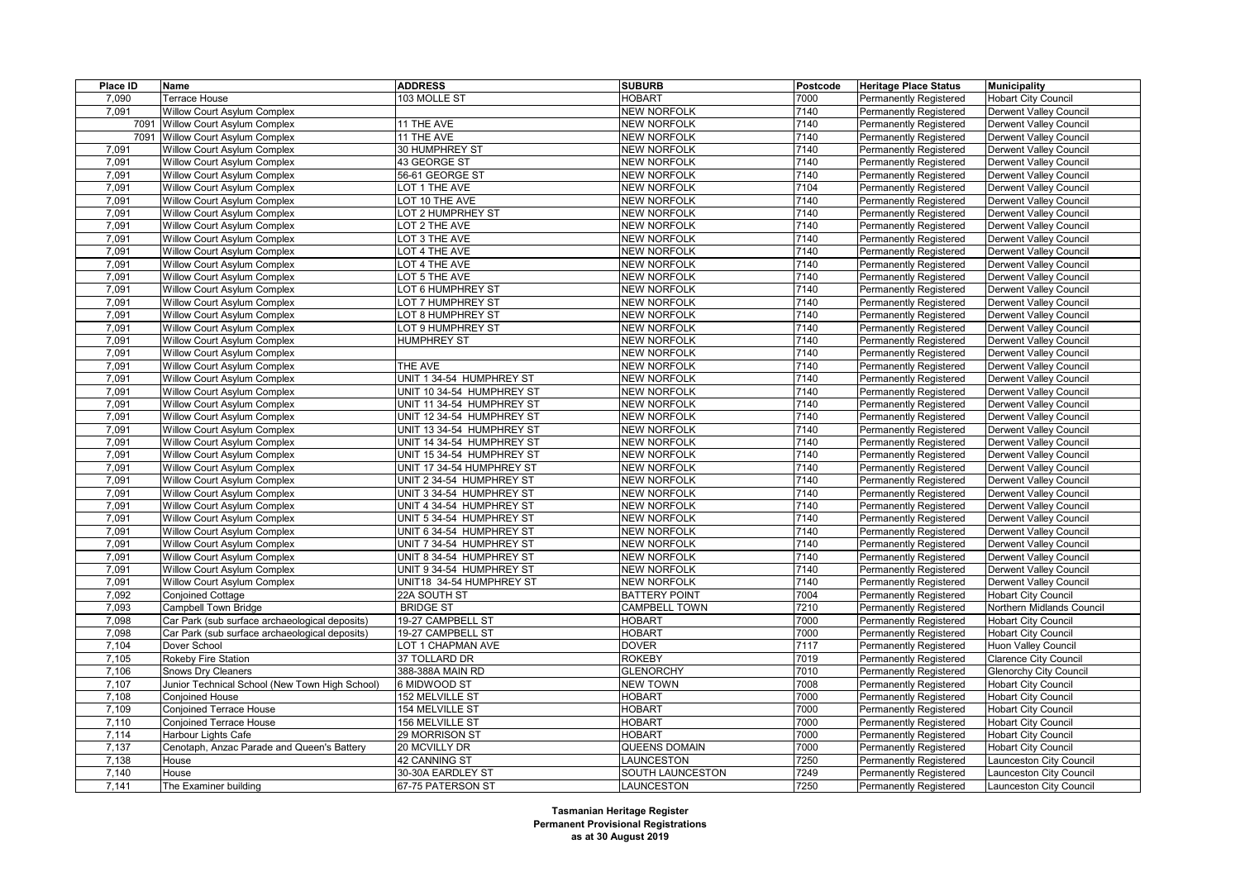| Place ID | Name                                           | <b>ADDRESS</b>            | <b>SUBURB</b>        | Postcode | <b>Heritage Place Status</b>  | <b>Municipality</b>           |
|----------|------------------------------------------------|---------------------------|----------------------|----------|-------------------------------|-------------------------------|
| 7,090    | Terrace House                                  | 103 MOLLE ST              | <b>HOBART</b>        | 7000     | <b>Permanently Registered</b> | <b>Hobart City Council</b>    |
| 7.091    | <b>Willow Court Asylum Complex</b>             |                           | <b>NEW NORFOLK</b>   | 7140     | Permanently Registered        | <b>Derwent Valley Council</b> |
|          | 7091 Willow Court Asylum Complex               | 11 THE AVE                | <b>NEW NORFOLK</b>   | 7140     | <b>Permanently Registered</b> | <b>Derwent Valley Council</b> |
|          | 7091 Willow Court Asylum Complex               | 11 THE AVE                | <b>NEW NORFOLK</b>   | 7140     | Permanently Registered        | Derwent Valley Council        |
| 7,091    | Willow Court Asylum Complex                    | 30 HUMPHREY ST            | <b>NEW NORFOLK</b>   | 7140     | <b>Permanently Registered</b> | Derwent Valley Council        |
| 7,091    | Willow Court Asylum Complex                    | 43 GEORGE ST              | <b>NEW NORFOLK</b>   | 7140     | <b>Permanently Registered</b> | Derwent Valley Council        |
| 7,091    | Willow Court Asylum Complex                    | 56-61 GEORGE ST           | <b>NEW NORFOLK</b>   | 7140     | <b>Permanently Registered</b> | Derwent Valley Council        |
| 7.091    | Willow Court Asylum Complex                    | LOT 1 THE AVE             | <b>NEW NORFOLK</b>   | 7104     | Permanently Registered        | Derwent Valley Council        |
| 7,091    | Willow Court Asylum Complex                    | LOT 10 THE AVE            | <b>NEW NORFOLK</b>   | 7140     | <b>Permanently Registered</b> | Derwent Valley Council        |
| 7,091    | Willow Court Asylum Complex                    | LOT 2 HUMPRHEY ST         | <b>NEW NORFOLK</b>   | 7140     | Permanently Registered        | Derwent Valley Council        |
| 7,091    | Willow Court Asylum Complex                    | LOT 2 THE AVE             | <b>NEW NORFOLK</b>   | 7140     | <b>Permanently Registered</b> | Derwent Valley Council        |
| 7,091    | Willow Court Asylum Complex                    | LOT 3 THE AVE             | <b>NEW NORFOLK</b>   | 7140     | <b>Permanently Registered</b> | <b>Derwent Valley Council</b> |
| 7,091    | Willow Court Asylum Complex                    | LOT 4 THE AVE             | <b>NEW NORFOLK</b>   | 7140     | Permanently Registered        | Derwent Valley Council        |
| 7,091    | <b>Willow Court Asylum Complex</b>             | OT 4 THE AVE              | <b>NEW NORFOLK</b>   | 7140     | <b>Permanently Registered</b> | Derwent Valley Council        |
| 7,091    | Willow Court Asylum Complex                    | LOT 5 THE AVE             | <b>NEW NORFOLK</b>   | 7140     | <b>Permanently Registered</b> | Derwent Valley Council        |
| 7,091    | Willow Court Asylum Complex                    | LOT 6 HUMPHREY ST         | <b>NEW NORFOLK</b>   | 7140     | Permanently Registered        | Derwent Valley Council        |
| 7,091    | Willow Court Asylum Complex                    | LOT 7 HUMPHREY ST         | <b>NEW NORFOLK</b>   | 7140     | <b>Permanently Registered</b> | Derwent Valley Council        |
| 7,091    | Willow Court Asylum Complex                    | LOT 8 HUMPHREY ST         | <b>NEW NORFOLK</b>   | 7140     | <b>Permanently Registered</b> | Derwent Valley Council        |
| 7,091    | Willow Court Asylum Complex                    | LOT 9 HUMPHREY ST         | <b>NEW NORFOLK</b>   | 7140     | Permanently Registered        | Derwent Valley Council        |
| 7,091    | Willow Court Asylum Complex                    | <b>HUMPHREY ST</b>        | <b>NEW NORFOLK</b>   | 7140     | Permanently Registered        | Derwent Valley Council        |
| 7,091    | Willow Court Asylum Complex                    |                           | <b>NEW NORFOLK</b>   | 7140     | <b>Permanently Registered</b> | <b>Derwent Valley Council</b> |
| 7,091    | Willow Court Asylum Complex                    | THE AVE                   | <b>NEW NORFOLK</b>   | 7140     | <b>Permanently Registered</b> | Derwent Valley Council        |
| 7,091    | <b>Willow Court Asylum Complex</b>             | UNIT 1 34-54 HUMPHREY ST  | <b>NEW NORFOLK</b>   | 7140     | Permanently Registered        | Derwent Valley Council        |
| 7,091    | Willow Court Asylum Complex                    | UNIT 10 34-54 HUMPHREY ST | <b>NEW NORFOLK</b>   | 7140     | <b>Permanently Registered</b> | <b>Derwent Valley Council</b> |
| 7,091    | Willow Court Asylum Complex                    | UNIT 11 34-54 HUMPHREY ST | <b>NEW NORFOLK</b>   | 7140     | Permanently Registered        | Derwent Valley Council        |
| 7,091    | Willow Court Asylum Complex                    | UNIT 12 34-54 HUMPHREY ST | <b>NEW NORFOLK</b>   | 7140     | Permanently Registered        | <b>Derwent Valley Council</b> |
| 7,091    | Willow Court Asylum Complex                    | UNIT 13 34-54 HUMPHREY ST | <b>NEW NORFOLK</b>   | 7140     | <b>Permanently Registered</b> | Derwent Valley Council        |
| 7,091    | Willow Court Asylum Complex                    | UNIT 14 34-54 HUMPHREY ST | <b>NEW NORFOLK</b>   | 7140     | Permanently Registered        | Derwent Valley Council        |
| 7,091    | <b>Willow Court Asylum Complex</b>             | UNIT 15 34-54 HUMPHREY ST | <b>NEW NORFOLK</b>   | 7140     | Permanently Registered        | Derwent Valley Council        |
| 7,091    | Willow Court Asylum Complex                    | UNIT 17 34-54 HUMPHREY ST | <b>NEW NORFOLK</b>   | 7140     | <b>Permanently Registered</b> | <b>Derwent Valley Council</b> |
| 7,091    | Willow Court Asylum Complex                    | UNIT 2 34-54 HUMPHREY ST  | <b>NEW NORFOLK</b>   | 7140     | Permanently Registered        | <b>Derwent Valley Council</b> |
| 7,091    | Willow Court Asylum Complex                    | UNIT 3 34-54 HUMPHREY ST  | <b>NEW NORFOLK</b>   | 7140     | Permanently Registered        | <b>Derwent Valley Council</b> |
| 7,091    | Willow Court Asylum Complex                    | UNIT 4 34-54 HUMPHREY ST  | <b>NEW NORFOLK</b>   | 7140     | <b>Permanently Registered</b> | <b>Derwent Valley Council</b> |
| 7,091    | Willow Court Asylum Complex                    | UNIT 5 34-54 HUMPHREY ST  | <b>NEW NORFOLK</b>   | 7140     | Permanently Registered        | Derwent Valley Council        |
| 7,091    | <b>Willow Court Asylum Complex</b>             | UNIT 6 34-54 HUMPHREY ST  | <b>NEW NORFOLK</b>   | 7140     | Permanently Registered        | Derwent Valley Council        |
| 7,091    | Willow Court Asylum Complex                    | UNIT 7 34-54 HUMPHREY ST  | <b>NEW NORFOLK</b>   | 7140     | <b>Permanently Registered</b> | Derwent Valley Council        |
| 7,091    | <b>Willow Court Asylum Complex</b>             | UNIT 8 34-54 HUMPHREY ST  | <b>NEW NORFOLK</b>   | 7140     | Permanently Registered        | <b>Derwent Valley Council</b> |
| 7,091    | Willow Court Asylum Complex                    | UNIT 9 34-54 HUMPHREY ST  | <b>NEW NORFOLK</b>   | 7140     | <b>Permanently Registered</b> | Derwent Valley Council        |
| 7,091    | Willow Court Asylum Complex                    | UNIT18 34-54 HUMPHREY ST  | <b>NEW NORFOLK</b>   | 7140     | <b>Permanently Registered</b> | Derwent Valley Council        |
| 7,092    | <b>Conjoined Cottage</b>                       | 22A SOUTH ST              | <b>BATTERY POINT</b> | 7004     | Permanently Registered        | Hobart City Council           |
| 7,093    | Campbell Town Bridge                           | <b>BRIDGE ST</b>          | <b>CAMPBELL TOWN</b> | 7210     | <b>Permanently Registered</b> | Northern Midlands Council     |
| 7,098    | Car Park (sub surface archaeological deposits) | 19-27 CAMPBELL ST         | <b>HOBART</b>        | 7000     | <b>Permanently Registered</b> | <b>Hobart City Council</b>    |
| 7,098    | Car Park (sub surface archaeological deposits) | 19-27 CAMPBELL ST         | <b>HOBART</b>        | 7000     | Permanently Registered        | <b>Hobart City Council</b>    |
| 7,104    | Dover School                                   | LOT 1 CHAPMAN AVE         | <b>DOVER</b>         | 7117     | <b>Permanently Registered</b> | Huon Valley Council           |
| 7,105    | Rokeby Fire Station                            | 37 TOLLARD DR             | <b>ROKEBY</b>        | 7019     | Permanently Registered        | <b>Clarence City Council</b>  |
| 7,106    | <b>Snows Dry Cleaners</b>                      | 388-388A MAIN RD          | <b>GLENORCHY</b>     | 7010     | Permanently Registered        | <b>Glenorchy City Council</b> |
| 7,107    | Junior Technical School (New Town High School) | 6 MIDWOOD ST              | <b>NEW TOWN</b>      | 7008     | <b>Permanently Registered</b> | <b>Hobart City Council</b>    |
| 7,108    | <b>Conjoined House</b>                         | 152 MELVILLE ST           | <b>HOBART</b>        | 7000     | <b>Permanently Registered</b> | <b>Hobart City Council</b>    |
| 7,109    | <b>Conjoined Terrace House</b>                 | 154 MELVILLE ST           | <b>HOBART</b>        | 7000     | Permanently Registered        | <b>Hobart City Council</b>    |
| 7,110    | <b>Conjoined Terrace House</b>                 | 156 MELVILLE ST           | <b>HOBART</b>        | 7000     | <b>Permanently Registered</b> | <b>Hobart City Council</b>    |
| 7,114    | Harbour Lights Cafe                            | 29 MORRISON ST            | <b>HOBART</b>        | 7000     | Permanently Registered        | <b>Hobart City Council</b>    |
| 7,137    | Cenotaph, Anzac Parade and Queen's Battery     | 20 MCVILLY DR             | QUEENS DOMAIN        | 7000     | Permanently Registered        | <b>Hobart City Council</b>    |
| 7,138    | House                                          | 42 CANNING ST             | LAUNCESTON           | 7250     | Permanently Registered        | aunceston City Council        |
| 7.140    | House                                          | 30-30A EARDLEY ST         | SOUTH LAUNCESTON     | 7249     | <b>Permanently Registered</b> | aunceston City Council        |
| 7,141    | The Examiner building                          | 67-75 PATERSON ST         | <b>LAUNCESTON</b>    | 7250     | <b>Permanently Registered</b> | Launceston City Council       |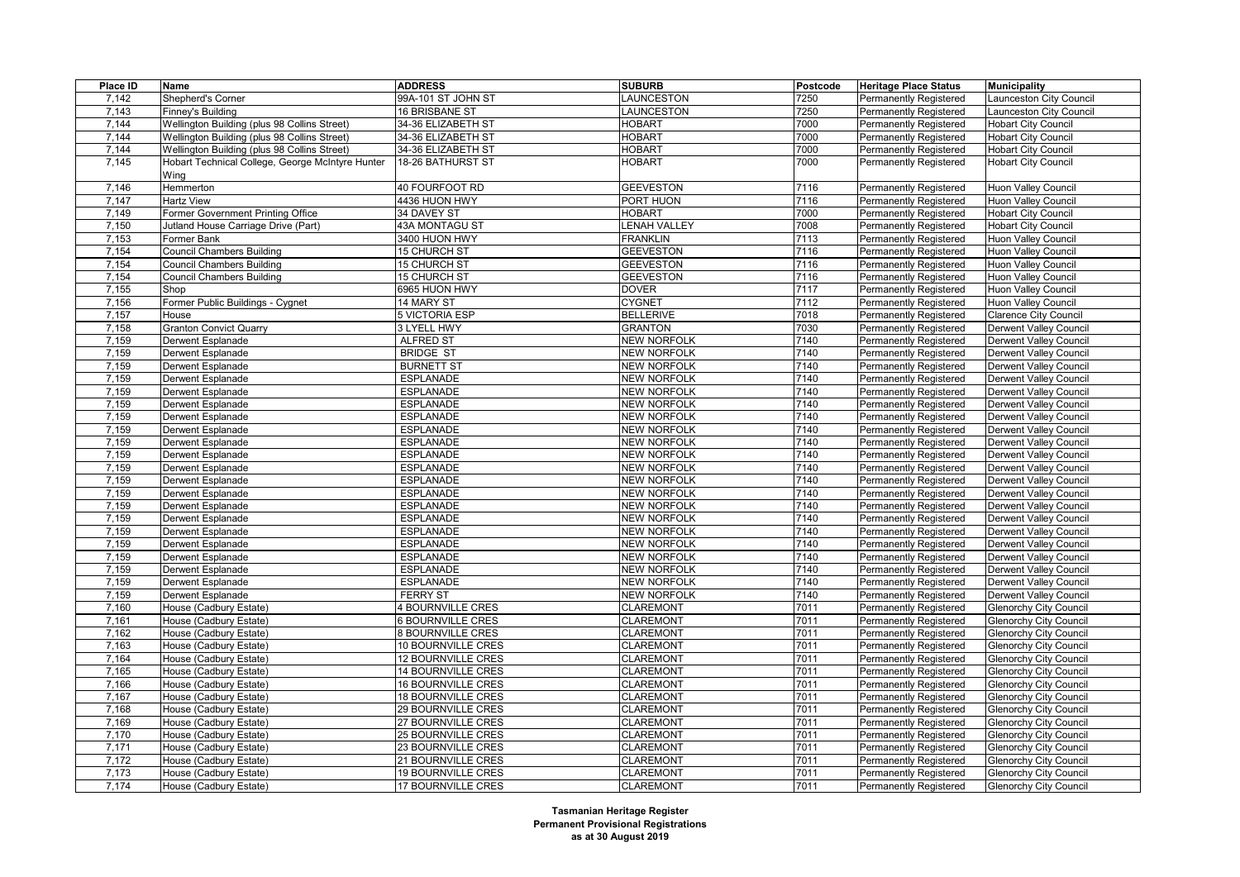| Place ID             | Name                                             | <b>ADDRESS</b>            | <b>SUBURB</b>       | Postcode | <b>Heritage Place Status</b>  | Municipality                  |
|----------------------|--------------------------------------------------|---------------------------|---------------------|----------|-------------------------------|-------------------------------|
| 7,142                | Shepherd's Corner                                | 99A-101 ST JOHN ST        | LAUNCESTON          | 7250     | Permanently Registered        | Launceston City Council       |
| 7,143                | Finney's Building                                | 16 BRISBANE ST            | LAUNCESTON          | 7250     | <b>Permanently Registered</b> | Launceston City Council       |
| 7,144                | Wellington Building (plus 98 Collins Street)     | 34-36 ELIZABETH ST        | <b>HOBART</b>       | 7000     | Permanently Registered        | <b>Hobart City Council</b>    |
| 7,144                | Wellington Building (plus 98 Collins Street)     | 34-36 ELIZABETH ST        | HOBART              | 7000     | <b>Permanently Registered</b> | <b>Hobart City Council</b>    |
| 7,144                | Wellington Building (plus 98 Collins Street)     | 34-36 ELIZABETH ST        | <b>HOBART</b>       | 7000     | <b>Permanently Registered</b> | <b>Hobart City Council</b>    |
| 7,145                | Hobart Technical College, George McIntyre Hunter | 18-26 BATHURST ST         | <b>HOBART</b>       | 7000     | <b>Permanently Registered</b> | <b>Hobart City Council</b>    |
|                      | Wing                                             |                           |                     |          |                               |                               |
| 7,146                | Hemmerton                                        | 40 FOURFOOT RD            | <b>GEEVESTON</b>    | 7116     | <b>Permanently Registered</b> | <b>Huon Valley Council</b>    |
| 7,147                | <b>Hartz View</b>                                | 4436 HUON HWY             | PORT HUON           | 7116     | <b>Permanently Registered</b> | Huon Valley Council           |
| 7,149                | Former Government Printing Office                | 34 DAVEY ST               | <b>HOBART</b>       | 7000     | <b>Permanently Registered</b> | <b>Hobart City Council</b>    |
| 7,150                | Jutland House Carriage Drive (Part)              | 43A MONTAGU ST            | <b>LENAH VALLEY</b> | 7008     | Permanently Registered        | <b>Hobart City Council</b>    |
| 7,153                | Former Bank                                      | 3400 HUON HWY             | <b>FRANKLIN</b>     | 7113     | <b>Permanently Registered</b> | <b>Huon Valley Council</b>    |
| 7,154                | Council Chambers Building                        | 15 CHURCH ST              | <b>GEEVESTON</b>    | 7116     | <b>Permanently Registered</b> | <b>Huon Valley Council</b>    |
| 7,154                | <b>Council Chambers Building</b>                 | 15 CHURCH ST              | <b>GEEVESTON</b>    | 7116     | <b>Permanently Registered</b> | Huon Valley Council           |
| 7,154                | Council Chambers Building                        | 15 CHURCH ST              | <b>GEEVESTON</b>    | 7116     | <b>Permanently Registered</b> | Huon Valley Council           |
| 7,155                | Shop                                             | 6965 HUON HWY             | <b>DOVER</b>        | 7117     | <b>Permanently Registered</b> | <b>Huon Valley Council</b>    |
| 7,156                | Former Public Buildings - Cygnet                 | 14 MARY ST                | <b>CYGNET</b>       | 7112     | Permanently Registered        | <b>Huon Valley Council</b>    |
| 7,157                | House                                            | 5 VICTORIA ESP            | <b>BELLERIVE</b>    | 7018     | <b>Permanently Registered</b> | <b>Clarence City Council</b>  |
| 7,158                | <b>Granton Convict Quarry</b>                    | 3 LYELL HWY               | <b>GRANTON</b>      | 7030     | <b>Permanently Registered</b> | <b>Derwent Valley Council</b> |
| 7,159                | Derwent Esplanade                                | <b>ALFRED ST</b>          | <b>NEW NORFOLK</b>  | 7140     | Permanently Registered        | <b>Derwent Valley Council</b> |
| 7,159                | Derwent Esplanade                                | <b>BRIDGE ST</b>          | <b>NEW NORFOLK</b>  | 7140     | <b>Permanently Registered</b> | <b>Derwent Valley Council</b> |
| 7,159                | Derwent Esplanade                                | <b>BURNETT ST</b>         | <b>NEW NORFOLK</b>  | 7140     | <b>Permanently Registered</b> | Derwent Valley Council        |
| 7,159                | <b>Derwent Esplanade</b>                         | <b>ESPLANADE</b>          | <b>NEW NORFOLK</b>  | 7140     | Permanently Registered        | <b>Derwent Valley Council</b> |
| 7,159                | Derwent Esplanade                                | <b>ESPLANADE</b>          | <b>NEW NORFOLK</b>  | 7140     | <b>Permanently Registered</b> | <b>Derwent Valley Council</b> |
| 7,159                | Derwent Esplanade                                | <b>ESPLANADE</b>          | <b>NEW NORFOLK</b>  | 7140     | Permanently Registered        | <b>Derwent Valley Council</b> |
| 7,159                | Derwent Esplanade                                | <b>ESPLANADE</b>          | <b>NEW NORFOLK</b>  | 7140     | <b>Permanently Registered</b> | <b>Derwent Valley Council</b> |
| 7,159                | Derwent Esplanade                                | <b>ESPLANADE</b>          | <b>NEW NORFOLK</b>  | 7140     | <b>Permanently Registered</b> | <b>Derwent Valley Council</b> |
| 7,159                | Derwent Esplanade                                | <b>ESPLANADE</b>          | <b>NEW NORFOLK</b>  | 7140     | <b>Permanently Registered</b> | <b>Derwent Valley Council</b> |
| 7,159                | Derwent Esplanade                                | <b>ESPLANADE</b>          | <b>NEW NORFOLK</b>  | 7140     | <b>Permanently Registered</b> | <b>Derwent Valley Council</b> |
| 7,159                | Derwent Esplanade                                | <b>ESPLANADE</b>          | <b>NEW NORFOLK</b>  | 7140     | <b>Permanently Registered</b> | Derwent Valley Council        |
| 7,159                | Derwent Esplanade                                | <b>ESPLANADE</b>          | <b>NEW NORFOLK</b>  | 7140     | <b>Permanently Registered</b> | <b>Derwent Valley Council</b> |
| 7,159                | Derwent Esplanade                                | <b>ESPLANADE</b>          | <b>NEW NORFOLK</b>  | 7140     | <b>Permanently Registered</b> | <b>Derwent Valley Council</b> |
| 7,159                | Derwent Esplanade                                | <b>ESPLANADE</b>          | <b>NEW NORFOLK</b>  | 7140     | <b>Permanently Registered</b> | <b>Derwent Valley Council</b> |
| 7,159                | Derwent Esplanade                                | <b>ESPLANADE</b>          | <b>NEW NORFOLK</b>  | 7140     | <b>Permanently Registered</b> | <b>Derwent Valley Council</b> |
| 7,159                | Derwent Esplanade                                | <b>ESPLANADE</b>          | <b>NEW NORFOLK</b>  | 7140     | <b>Permanently Registered</b> | <b>Derwent Valley Council</b> |
| 7,159                | <b>Derwent Esplanade</b>                         | <b>ESPLANADE</b>          | <b>NEW NORFOLK</b>  | 7140     | <b>Permanently Registered</b> | <b>Derwent Valley Council</b> |
| 7,159                | Derwent Esplanade                                | <b>ESPLANADE</b>          | <b>NEW NORFOLK</b>  | 7140     | <b>Permanently Registered</b> | <b>Derwent Valley Council</b> |
| 7,159                | Derwent Esplanade                                | <b>ESPLANADE</b>          | <b>NEW NORFOLK</b>  | 7140     | <b>Permanently Registered</b> | Derwent Valley Council        |
| 7,159                | Derwent Esplanade                                | <b>ESPLANADE</b>          | <b>NEW NORFOLK</b>  | 7140     | <b>Permanently Registered</b> | <b>Derwent Valley Council</b> |
| 7,159                | Derwent Esplanade                                | <b>FERRY ST</b>           | <b>NEW NORFOLK</b>  | 7140     | <b>Permanently Registered</b> | <b>Derwent Valley Council</b> |
| 7,160                | House (Cadbury Estate)                           | 4 BOURNVILLE CRES         | <b>CLAREMONT</b>    | 7011     | Permanently Registered        | <b>Glenorchy City Council</b> |
| 7,161                | House (Cadbury Estate)                           | <b>6 BOURNVILLE CRES</b>  | <b>CLAREMONT</b>    | 7011     | <b>Permanently Registered</b> | <b>Glenorchy City Council</b> |
| 7,162                | House (Cadbury Estate)                           | <b>8 BOURNVILLE CRES</b>  | <b>CLAREMONT</b>    | 7011     | <b>Permanently Registered</b> | <b>Glenorchy City Council</b> |
| 7,163                | House (Cadbury Estate)                           | 10 BOURNVILLE CRES        | <b>CLAREMONT</b>    | 7011     | <b>Permanently Registered</b> | <b>Glenorchy City Council</b> |
| 7,164                | House (Cadbury Estate)                           | 12 BOURNVILLE CRES        | <b>CLAREMONT</b>    | 7011     | <b>Permanently Registered</b> | <b>Glenorchy City Council</b> |
| 7,165                | House (Cadbury Estate)                           | <b>14 BOURNVILLE CRES</b> | <b>CLAREMONT</b>    | 7011     | <b>Permanently Registered</b> | <b>Glenorchy City Council</b> |
| 7,166                | House (Cadbury Estate)                           | <b>16 BOURNVILLE CRES</b> | <b>CLAREMONT</b>    | 7011     | <b>Permanently Registered</b> | <b>Glenorchy City Council</b> |
| 7,167                | House (Cadbury Estate)                           | <b>18 BOURNVILLE CRES</b> | <b>CLAREMONT</b>    | 7011     | Permanently Registered        | <b>Glenorchy City Council</b> |
| 7,168                | House (Cadbury Estate)                           | <b>29 BOURNVILLE CRES</b> | <b>CLAREMONT</b>    | 7011     | <b>Permanently Registered</b> | <b>Glenorchy City Council</b> |
| $\overline{7}$ , 169 | House (Cadbury Estate)                           | 27 BOURNVILLE CRES        | <b>CLAREMONT</b>    | 7011     | <b>Permanently Registered</b> | <b>Glenorchy City Council</b> |
| 7,170                | House (Cadbury Estate)                           | 25 BOURNVILLE CRES        | <b>CLAREMONT</b>    | 7011     | Permanently Registered        | <b>Glenorchy City Council</b> |
| 7,171                | House (Cadbury Estate)                           | 23 BOURNVILLE CRES        | <b>CLAREMONT</b>    | 7011     | <b>Permanently Registered</b> | <b>Glenorchy City Council</b> |
| 7,172                | House (Cadbury Estate)                           | 21 BOURNVILLE CRES        | <b>CLAREMONT</b>    | 7011     | <b>Permanently Registered</b> | <b>Glenorchy City Council</b> |
| 7,173                | House (Cadbury Estate)                           | <b>19 BOURNVILLE CRES</b> | <b>CLAREMONT</b>    | 7011     | Permanently Registered        | <b>Glenorchy City Council</b> |
| 7,174                | House (Cadbury Estate)                           | 17 BOURNVILLE CRES        | <b>CLAREMONT</b>    | 7011     | Permanently Registered        | <b>Glenorchy City Council</b> |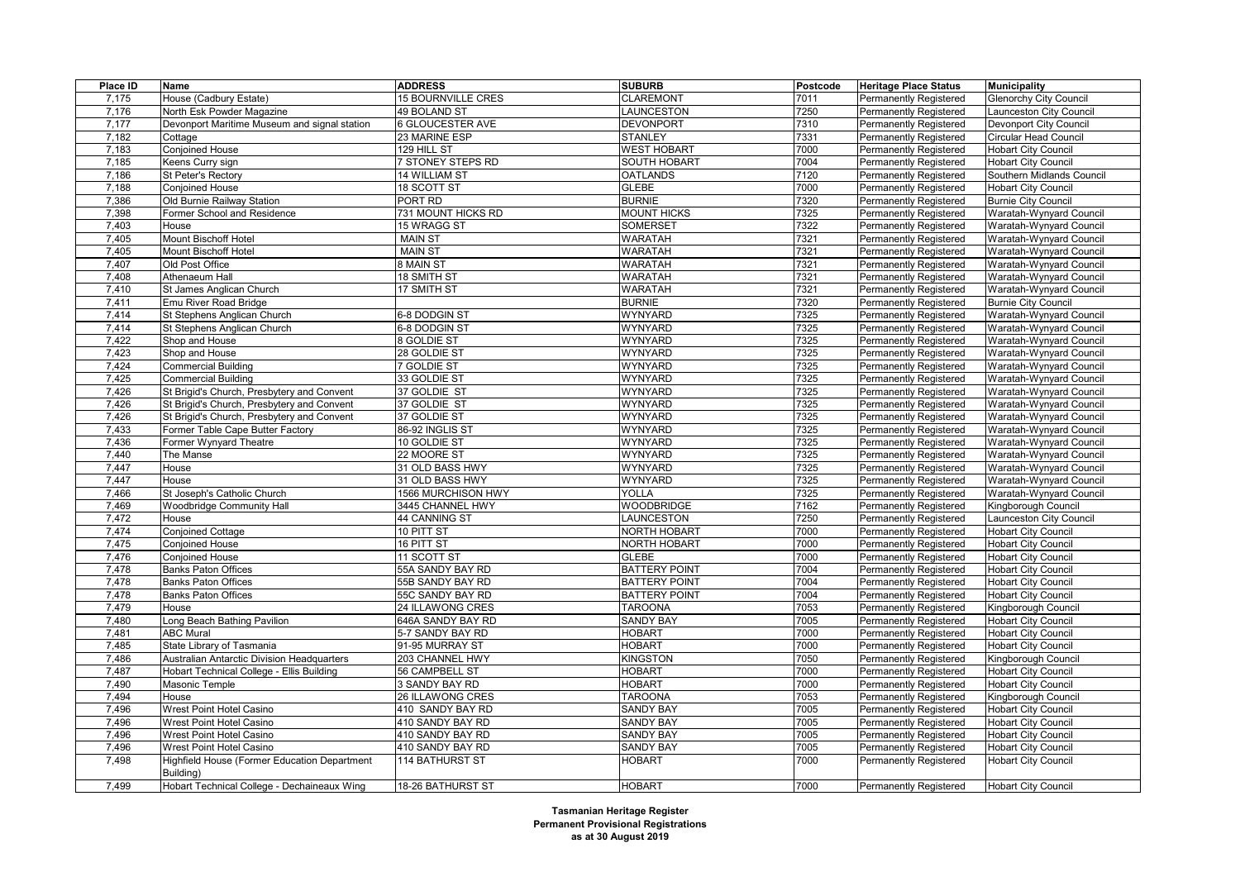| Place ID | <b>Name</b>                                  | <b>ADDRESS</b>            | <b>SUBURB</b>        | Postcode | <b>Heritage Place Status</b>  | <b>Municipality</b>            |
|----------|----------------------------------------------|---------------------------|----------------------|----------|-------------------------------|--------------------------------|
| 7,175    | House (Cadbury Estate)                       | <b>15 BOURNVILLE CRES</b> | <b>CLAREMONT</b>     | 7011     | <b>Permanently Registered</b> | <b>Glenorchy City Council</b>  |
| 7,176    | North Esk Powder Magazine                    | 49 BOLAND ST              | LAUNCESTON           | 7250     | <b>Permanently Registered</b> | <b>Launceston City Council</b> |
| 7,177    | Devonport Maritime Museum and signal station | 6 GLOUCESTER AVE          | <b>DEVONPORT</b>     | 7310     | <b>Permanently Registered</b> | Devonport City Council         |
| 7,182    | Cottage                                      | 23 MARINE ESP             | <b>STANLEY</b>       | 7331     | <b>Permanently Registered</b> | <b>Circular Head Council</b>   |
| 7,183    | <b>Conjoined House</b>                       | 129 HILL ST               | <b>WEST HOBART</b>   | 7000     | Permanently Registered        | <b>Hobart City Council</b>     |
| 7,185    | Keens Curry sign                             | 7 STONEY STEPS RD         | <b>SOUTH HOBART</b>  | 7004     | <b>Permanently Registered</b> | <b>Hobart City Council</b>     |
| 7,186    | St Peter's Rectory                           | 14 WILLIAM ST             | <b>OATLANDS</b>      | 7120     | <b>Permanently Registered</b> | Southern Midlands Council      |
| 7,188    | <b>Conioined House</b>                       | 18 SCOTT ST               | <b>GLEBE</b>         | 7000     | Permanently Registered        | <b>Hobart City Council</b>     |
| 7,386    | Old Burnie Railway Station                   | PORT RD                   | <b>BURNIE</b>        | 7320     | <b>Permanently Registered</b> | <b>Burnie City Council</b>     |
| 7,398    | Former School and Residence                  | 731 MOUNT HICKS RD        | <b>MOUNT HICKS</b>   | 7325     | <b>Permanently Registered</b> | Waratah-Wynyard Council        |
| 7,403    | House                                        | 15 WRAGG ST               | <b>SOMERSET</b>      | 7322     | <b>Permanently Registered</b> | Waratah-Wynyard Council        |
| 7,405    | Mount Bischoff Hotel                         | <b>MAIN ST</b>            | <b>WARATAH</b>       | 7321     | <b>Permanently Registered</b> | Waratah-Wynyard Council        |
| 7,405    | Mount Bischoff Hotel                         | <b>MAIN ST</b>            | WARATAH              | 7321     | <b>Permanently Registered</b> | Waratah-Wynyard Council        |
| 7,407    | Old Post Office                              | 8 MAIN ST                 | WARATAH              | 7321     | Permanently Registered        | Waratah-Wynyard Council        |
| 7,408    | Athenaeum Hall                               | 18 SMITH ST               | <b>WARATAH</b>       | 7321     | <b>Permanently Registered</b> | Waratah-Wynyard Council        |
| 7,410    | St James Anglican Church                     | 17 SMITH ST               | <b>WARATAH</b>       | 7321     | <b>Permanently Registered</b> | Waratah-Wynyard Council        |
| 7,411    | Emu River Road Bridge                        |                           | <b>BURNIE</b>        | 7320     | <b>Permanently Registered</b> | <b>Burnie City Council</b>     |
| 7,414    | St Stephens Anglican Church                  | 6-8 DODGIN ST             | WYNYARD              | 7325     | <b>Permanently Registered</b> | Waratah-Wynyard Council        |
| 7,414    | St Stephens Anglican Church                  | 6-8 DODGIN ST             | <b>WYNYARD</b>       | 7325     | <b>Permanently Registered</b> | Waratah-Wynyard Council        |
| 7,422    | Shop and House                               | 8 GOLDIE ST               | <b>WYNYARD</b>       | 7325     | <b>Permanently Registered</b> | Waratah-Wynyard Council        |
| 7,423    | Shop and House                               | 28 GOLDIE ST              | <b>WYNYARD</b>       | 7325     | <b>Permanently Registered</b> | Waratah-Wynyard Council        |
| 7,424    | <b>Commercial Building</b>                   | 7 GOLDIE ST               | <b>WYNYARD</b>       | 7325     | <b>Permanently Registered</b> | Waratah-Wynyard Council        |
| 7,425    | <b>Commercial Building</b>                   | 33 GOLDIE ST              | <b>WYNYARD</b>       | 7325     | <b>Permanently Registered</b> | Waratah-Wynyard Council        |
| 7,426    | St Brigid's Church, Presbytery and Convent   | 37 GOLDIE ST              | <b>WYNYARD</b>       | 7325     | <b>Permanently Registered</b> | Waratah-Wynyard Council        |
| 7,426    | St Brigid's Church, Presbytery and Convent   | 37 GOLDIE ST              | <b>WYNYARD</b>       | 7325     | <b>Permanently Registered</b> | Waratah-Wynyard Council        |
| 7,426    | St Brigid's Church, Presbytery and Convent   | 37 GOLDIE ST              | <b>WYNYARD</b>       | 7325     | <b>Permanently Registered</b> | Waratah-Wynyard Council        |
| 7,433    | Former Table Cape Butter Factory             | 86-92 INGLIS ST           | <b>WYNYARD</b>       | 7325     | <b>Permanently Registered</b> | Waratah-Wynyard Council        |
| 7,436    | Former Wynyard Theatre                       | 10 GOLDIE ST              | <b>WYNYARD</b>       | 7325     | Permanently Registered        | Waratah-Wynyard Council        |
| 7,440    | The Manse                                    | 22 MOORE ST               | <b>WYNYARD</b>       | 7325     | <b>Permanently Registered</b> | Waratah-Wynyard Council        |
| 7,447    | House                                        | 31 OLD BASS HWY           | <b>WYNYARD</b>       | 7325     | <b>Permanently Registered</b> | Waratah-Wynyard Council        |
| 7,447    | House                                        | 31 OLD BASS HWY           | <b>WYNYARD</b>       | 7325     | <b>Permanently Registered</b> | Waratah-Wynyard Council        |
| 7,466    | St Joseph's Catholic Church                  | 1566 MURCHISON HWY        | YOLLA                | 7325     | <b>Permanently Registered</b> | Waratah-Wynyard Council        |
| 7,469    | <b>Woodbridge Community Hall</b>             | 3445 CHANNEL HWY          | <b>WOODBRIDGE</b>    | 7162     | <b>Permanently Registered</b> | Kingborough Council            |
| 7,472    | House                                        | 44 CANNING ST             | LAUNCESTON           | 7250     | Permanently Registered        | Launceston City Council        |
| 7,474    | <b>Conjoined Cottage</b>                     | 10 PITT ST                | NORTH HOBART         | 7000     | <b>Permanently Registered</b> | <b>Hobart City Council</b>     |
| 7,475    | <b>Conjoined House</b>                       | 16 PITT ST                | NORTH HOBART         | 7000     | <b>Permanently Registered</b> | <b>Hobart City Council</b>     |
| 7,476    | <b>Conjoined House</b>                       | 11 SCOTT ST               | <b>GLEBE</b>         | 7000     | <b>Permanently Registered</b> | <b>Hobart City Council</b>     |
| 7,478    | <b>Banks Paton Offices</b>                   | 55A SANDY BAY RD          | <b>BATTERY POINT</b> | 7004     | <b>Permanently Registered</b> | <b>Hobart City Council</b>     |
| 7,478    | <b>Banks Paton Offices</b>                   | 55B SANDY BAY RD          | <b>BATTERY POINT</b> | 7004     | <b>Permanently Registered</b> | <b>Hobart City Council</b>     |
| 7,478    | <b>Banks Paton Offices</b>                   | 55C SANDY BAY RD          | <b>BATTERY POINT</b> | 7004     | <b>Permanently Registered</b> | <b>Hobart City Council</b>     |
| 7,479    | House                                        | 24 ILLAWONG CRES          | <b>TAROONA</b>       | 7053     | <b>Permanently Registered</b> | Kingborough Council            |
| 7,480    | Long Beach Bathing Pavilion                  | 646A SANDY BAY RD         | <b>SANDY BAY</b>     | 7005     | <b>Permanently Registered</b> | <b>Hobart City Council</b>     |
| 7,481    | <b>ABC Mural</b>                             | 5-7 SANDY BAY RD          | <b>HOBART</b>        | 7000     | <b>Permanently Registered</b> | <b>Hobart City Council</b>     |
| 7,485    | State Library of Tasmania                    | 91-95 MURRAY ST           | <b>HOBART</b>        | 7000     | <b>Permanently Registered</b> | <b>Hobart City Council</b>     |
| 7,486    | Australian Antarctic Division Headquarters   | 203 CHANNEL HWY           | <b>KINGSTON</b>      | 7050     | <b>Permanently Registered</b> | Kingborough Council            |
| 7,487    | Hobart Technical College - Ellis Building    | 56 CAMPBELL ST            | <b>HOBART</b>        | 7000     | <b>Permanently Registered</b> | <b>Hobart City Council</b>     |
| 7,490    | Masonic Temple                               | 3 SANDY BAY RD            | <b>HOBART</b>        | 7000     | <b>Permanently Registered</b> | <b>Hobart City Council</b>     |
| 7,494    | House                                        | 26 ILLAWONG CRES          | <b>TAROONA</b>       | 7053     | Permanently Registered        | Kingborough Council            |
| 7,496    | Wrest Point Hotel Casino                     | 410 SANDY BAY RD          | <b>SANDY BAY</b>     | 7005     | <b>Permanently Registered</b> | <b>Hobart City Council</b>     |
| 7,496    | Wrest Point Hotel Casino                     | 410 SANDY BAY RD          | <b>SANDY BAY</b>     | 7005     | <b>Permanently Registered</b> | <b>Hobart City Council</b>     |
| 7,496    | Wrest Point Hotel Casino                     | 410 SANDY BAY RD          | <b>SANDY BAY</b>     | 7005     | <b>Permanently Registered</b> | <b>Hobart City Council</b>     |
| 7,496    | Wrest Point Hotel Casino                     | 410 SANDY BAY RD          | <b>SANDY BAY</b>     | 7005     | <b>Permanently Registered</b> | <b>Hobart City Council</b>     |
| 7,498    | Highfield House (Former Education Department | <b>114 BATHURST ST</b>    | <b>HOBART</b>        | 7000     | <b>Permanently Registered</b> | <b>Hobart City Council</b>     |
|          | Building)                                    |                           |                      |          |                               |                                |
| 7,499    | Hobart Technical College - Dechaineaux Wing  | 18-26 BATHURST ST         | <b>HOBART</b>        | 7000     | <b>Permanently Registered</b> | <b>Hobart City Council</b>     |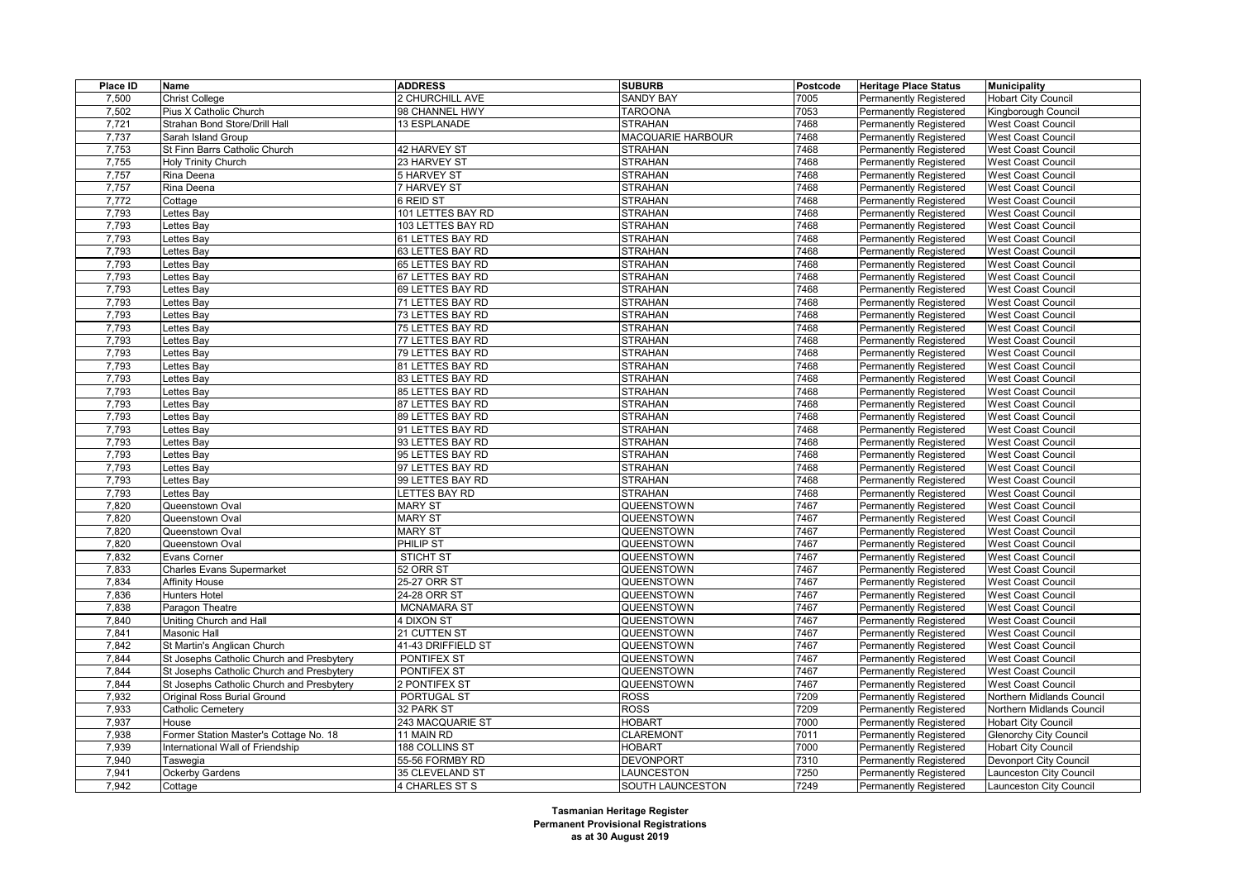| Place ID | Name                                      | <b>ADDRESS</b>     | <b>SUBURB</b>     | Postcode | <b>Heritage Place Status</b>  | <b>Municipality</b>           |
|----------|-------------------------------------------|--------------------|-------------------|----------|-------------------------------|-------------------------------|
| 7,500    | <b>Christ College</b>                     | 2 CHURCHILL AVE    | <b>SANDY BAY</b>  | 7005     | Permanently Registered        | <b>Hobart City Council</b>    |
| 7,502    | Pius X Catholic Church                    | 98 CHANNEL HWY     | <b>TAROONA</b>    | 7053     | <b>Permanently Registered</b> | Kingborough Council           |
| 7,721    | Strahan Bond Store/Drill Hall             | 13 ESPLANADE       | <b>STRAHAN</b>    | 7468     | <b>Permanently Registered</b> | <b>West Coast Council</b>     |
| 7,737    | Sarah Island Group                        |                    | MACQUARIE HARBOUR | 7468     | Permanently Registered        | <b>West Coast Council</b>     |
| 7,753    | St Finn Barrs Catholic Church             | 42 HARVEY ST       | <b>STRAHAN</b>    | 7468     | <b>Permanently Registered</b> | <b>West Coast Council</b>     |
| 7,755    | <b>Holy Trinity Church</b>                | 23 HARVEY ST       | <b>STRAHAN</b>    | 7468     | Permanently Registered        | <b>West Coast Council</b>     |
| 7,757    | Rina Deena                                | 5 HARVEY ST        | <b>STRAHAN</b>    | 7468     | <b>Permanently Registered</b> | <b>West Coast Council</b>     |
| 7,757    | Rina Deena                                | 7 HARVEY ST        | <b>STRAHAN</b>    | 7468     | <b>Permanently Registered</b> | <b>West Coast Council</b>     |
| 7,772    | Cottage                                   | 6 REID ST          | <b>STRAHAN</b>    | 7468     | <b>Permanently Registered</b> | <b>West Coast Council</b>     |
| 7,793    | Lettes Bay                                | 101 LETTES BAY RD  | <b>STRAHAN</b>    | 7468     | <b>Permanently Registered</b> | <b>West Coast Council</b>     |
| 7,793    | Lettes Bay                                | 103 LETTES BAY RD  | <b>STRAHAN</b>    | 7468     | <b>Permanently Registered</b> | <b>West Coast Council</b>     |
| 7,793    | Lettes Bay                                | 61 LETTES BAY RD   | <b>STRAHAN</b>    | 7468     | Permanently Registered        | <b>West Coast Council</b>     |
| 7,793    | Lettes Bay                                | 63 LETTES BAY RD   | <b>STRAHAN</b>    | 7468     | <b>Permanently Registered</b> | <b>West Coast Council</b>     |
| 7,793    | Lettes Bay                                | 65 LETTES BAY RD   | <b>STRAHAN</b>    | 7468     | <b>Permanently Registered</b> | <b>West Coast Council</b>     |
| 7,793    | Lettes Bay                                | 67 LETTES BAY RD   | <b>STRAHAN</b>    | 7468     | Permanently Registered        | <b>West Coast Council</b>     |
| 7,793    | Lettes Bay                                | 69 LETTES BAY RD   | <b>STRAHAN</b>    | 7468     | <b>Permanently Registered</b> | <b>West Coast Council</b>     |
| 7,793    | Lettes Bay                                | 71 LETTES BAY RD   | <b>STRAHAN</b>    | 7468     | <b>Permanently Registered</b> | <b>West Coast Council</b>     |
| 7,793    | Lettes Bay                                | 73 LETTES BAY RD   | <b>STRAHAN</b>    | 7468     | Permanently Registered        | <b>West Coast Council</b>     |
| 7,793    | Lettes Bay                                | 75 LETTES BAY RD   | <b>STRAHAN</b>    | 7468     | <b>Permanently Registered</b> | <b>West Coast Council</b>     |
| 7,793    | Lettes Bay                                | 77 LETTES BAY RD   | <b>STRAHAN</b>    | 7468     | <b>Permanently Registered</b> | <b>West Coast Council</b>     |
| 7,793    | Lettes Bay                                | 79 LETTES BAY RD   | <b>STRAHAN</b>    | 7468     | <b>Permanently Registered</b> | <b>West Coast Council</b>     |
| 7,793    | Lettes Bay                                | 81 LETTES BAY RD   | <b>STRAHAN</b>    | 7468     | <b>Permanently Registered</b> | <b>West Coast Council</b>     |
| 7,793    | Lettes Bay                                | 83 LETTES BAY RD   | <b>STRAHAN</b>    | 7468     | Permanently Registered        | <b>West Coast Council</b>     |
| 7,793    | Lettes Bay                                | 85 LETTES BAY RD   | <b>STRAHAN</b>    | 7468     | <b>Permanently Registered</b> | <b>West Coast Council</b>     |
| 7,793    | Lettes Bay                                | 87 LETTES BAY RD   | <b>STRAHAN</b>    | 7468     | <b>Permanently Registered</b> | <b>West Coast Council</b>     |
| 7,793    | Lettes Bay                                | 89 LETTES BAY RD   | <b>STRAHAN</b>    | 7468     | Permanently Registered        | <b>West Coast Council</b>     |
| 7,793    | Lettes Bay                                | 91 LETTES BAY RD   | <b>STRAHAN</b>    | 7468     | <b>Permanently Registered</b> | <b>West Coast Council</b>     |
| 7,793    | Lettes Bay                                | 93 LETTES BAY RD   | <b>STRAHAN</b>    | 7468     | <b>Permanently Registered</b> | <b>West Coast Council</b>     |
| 7,793    | Lettes Bay                                | 95 LETTES BAY RD   | <b>STRAHAN</b>    | 7468     | Permanently Registered        | <b>West Coast Council</b>     |
| 7,793    | Lettes Bay                                | 97 LETTES BAY RD   | <b>STRAHAN</b>    | 7468     | <b>Permanently Registered</b> | <b>West Coast Council</b>     |
| 7,793    | Lettes Bay                                | 99 LETTES BAY RD   | <b>STRAHAN</b>    | 7468     | <b>Permanently Registered</b> | <b>West Coast Council</b>     |
| 7,793    | Lettes Bay                                | LETTES BAY RD      | <b>STRAHAN</b>    | 7468     | Permanently Registered        | <b>West Coast Council</b>     |
| 7,820    | Queenstown Oval                           | <b>MARY ST</b>     | QUEENSTOWN        | 7467     | <b>Permanently Registered</b> | <b>West Coast Council</b>     |
| 7,820    | Queenstown Oval                           | <b>MARY ST</b>     | QUEENSTOWN        | 7467     | <b>Permanently Registered</b> | <b>West Coast Council</b>     |
| 7,820    | Queenstown Oval                           | <b>MARY ST</b>     | QUEENSTOWN        | 7467     | <b>Permanently Registered</b> | <b>West Coast Council</b>     |
| 7,820    | Queenstown Oval                           | PHILIP ST          | QUEENSTOWN        | 7467     | <b>Permanently Registered</b> | <b>West Coast Council</b>     |
| 7,832    | Evans Corner                              | <b>STICHT ST</b>   | QUEENSTOWN        | 7467     | <b>Permanently Registered</b> | <b>West Coast Council</b>     |
| 7,833    | <b>Charles Evans Supermarket</b>          | 52 ORR ST          | QUEENSTOWN        | 7467     | <b>Permanently Registered</b> | <b>West Coast Council</b>     |
| 7,834    | <b>Affinity House</b>                     | 25-27 ORR ST       | QUEENSTOWN        | 7467     | <b>Permanently Registered</b> | <b>West Coast Council</b>     |
| 7,836    | <b>Hunters Hotel</b>                      | 24-28 ORR ST       | QUEENSTOWN        | 7467     | Permanently Registered        | <b>West Coast Council</b>     |
| 7,838    | Paragon Theatre                           | <b>MCNAMARA ST</b> | QUEENSTOWN        | 7467     | <b>Permanently Registered</b> | <b>West Coast Council</b>     |
| 7,840    | Uniting Church and Hall                   | 4 DIXON ST         | QUEENSTOWN        | 7467     | <b>Permanently Registered</b> | <b>West Coast Council</b>     |
| 7.841    | <b>Masonic Hall</b>                       | 21 CUTTEN ST       | QUEENSTOWN        | 7467     | Permanently Registered        | <b>West Coast Council</b>     |
| 7,842    | St Martin's Anglican Church               | 41-43 DRIFFIELD ST | QUEENSTOWN        | 7467     | <b>Permanently Registered</b> | <b>West Coast Council</b>     |
| 7,844    | St Josephs Catholic Church and Presbytery | PONTIFEX ST        | QUEENSTOWN        | 7467     | <b>Permanently Registered</b> | <b>West Coast Council</b>     |
| 7,844    | St Josephs Catholic Church and Presbytery | PONTIFEX ST        | QUEENSTOWN        | 7467     | <b>Permanently Registered</b> | <b>West Coast Council</b>     |
| 7,844    | St Josephs Catholic Church and Presbytery | 2 PONTIFEX ST      | QUEENSTOWN        | 7467     | <b>Permanently Registered</b> | <b>West Coast Council</b>     |
| 7,932    | Original Ross Burial Ground               | PORTUGAL ST        | ROSS              | 7209     | <b>Permanently Registered</b> | Northern Midlands Council     |
| 7,933    | <b>Catholic Cemetery</b>                  | 32 PARK ST         | <b>ROSS</b>       | 7209     | <b>Permanently Registered</b> | Northern Midlands Council     |
| 7,937    | House                                     | 243 MACQUARIE ST   | <b>HOBART</b>     | 7000     | <b>Permanently Registered</b> | <b>Hobart City Council</b>    |
| 7,938    | Former Station Master's Cottage No. 18    | 11 MAIN RD         | <b>CLAREMONT</b>  | 7011     | <b>Permanently Registered</b> | <b>Glenorchy City Council</b> |
| 7,939    | International Wall of Friendship          | 188 COLLINS ST     | <b>HOBART</b>     | 7000     | <b>Permanently Registered</b> | <b>Hobart City Council</b>    |
| 7,940    | Taswegia                                  | 55-56 FORMBY RD    | <b>DEVONPORT</b>  | 7310     | <b>Permanently Registered</b> | Devonport City Council        |
| 7,941    | <b>Ockerby Gardens</b>                    | 35 CLEVELAND ST    | LAUNCESTON        | 7250     | <b>Permanently Registered</b> | Launceston City Council       |
| 7,942    | Cottage                                   | 4 CHARLES ST S     | SOUTH LAUNCESTON  | 7249     | <b>Permanently Registered</b> | Launceston City Council       |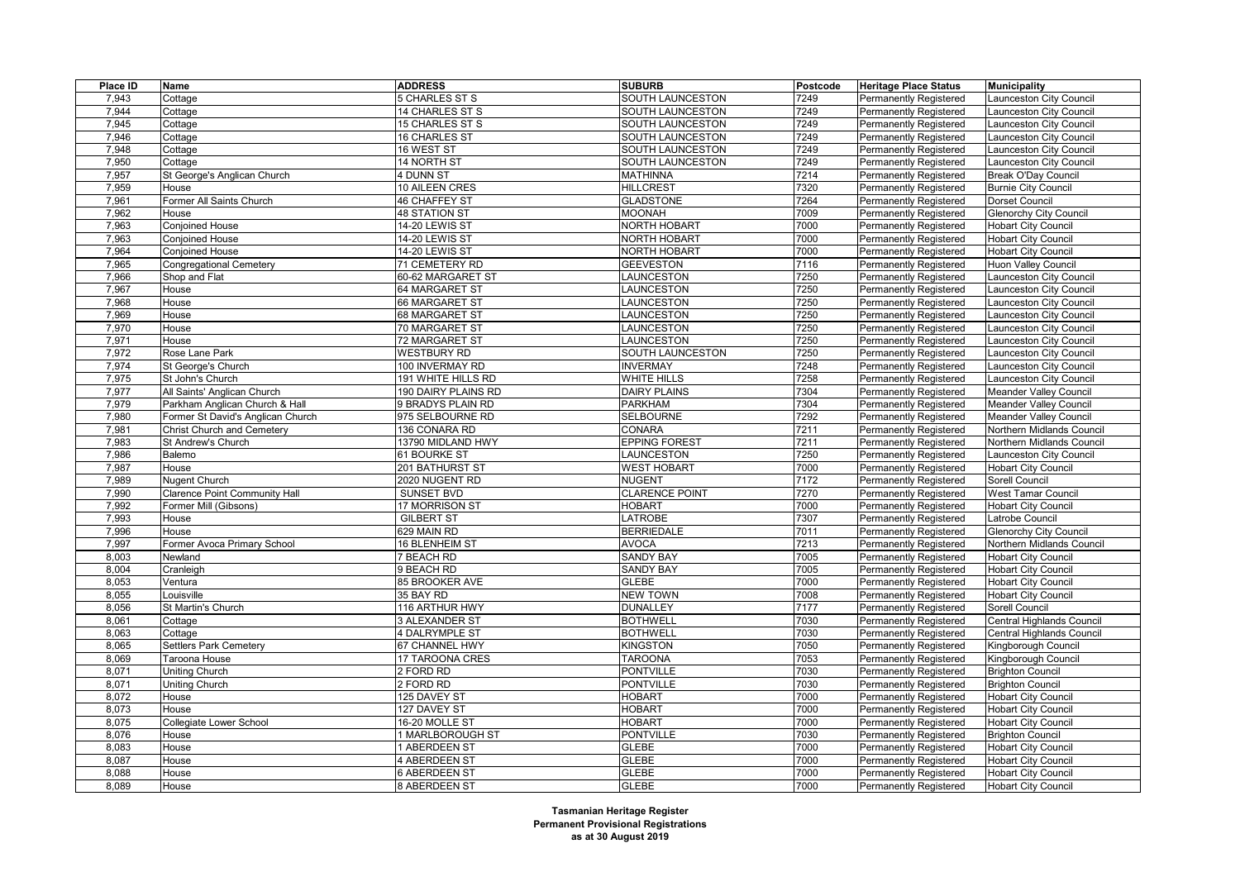| Place ID | Name                                                  | <b>ADDRESS</b>                      | <b>SUBURB</b>         | Postcode     | <b>Heritage Place Status</b>                            | <b>Municipality</b>                          |
|----------|-------------------------------------------------------|-------------------------------------|-----------------------|--------------|---------------------------------------------------------|----------------------------------------------|
| 7,943    | Cottage                                               | 5 CHARLES ST S                      | SOUTH LAUNCESTON      | 7249         | Permanently Registered                                  | Launceston City Council                      |
| 7,944    | Cottage                                               | 14 CHARLES ST S                     | SOUTH LAUNCESTON      | 7249         | <b>Permanently Registered</b>                           | Launceston City Council                      |
| 7,945    | Cottage                                               | 15 CHARLES ST S                     | SOUTH LAUNCESTON      | 7249         | <b>Permanently Registered</b>                           | aunceston City Council                       |
| 7,946    | Cottage                                               | 16 CHARLES ST                       | SOUTH LAUNCESTON      | 7249         | Permanently Registered                                  | aunceston City Council                       |
| 7,948    | Cottage                                               | 16 WEST ST                          | SOUTH LAUNCESTON      | 7249         | <b>Permanently Registered</b>                           | Launceston City Council                      |
| 7,950    | Cottage                                               | <b>14 NORTH ST</b>                  | SOUTH LAUNCESTON      | 7249         | Permanently Registered                                  | Launceston City Council                      |
| 7,957    | St George's Anglican Church                           | 4 DUNN ST                           | <b>MATHINNA</b>       | 7214         | Permanently Registered                                  | Break O'Day Council                          |
| 7,959    | House                                                 | 10 AILEEN CRES                      | <b>HILLCREST</b>      | 7320         | <b>Permanently Registered</b>                           | <b>Burnie City Council</b>                   |
| 7,961    | Former All Saints Church                              | 46 CHAFFEY ST                       | <b>GLADSTONE</b>      | 7264         | <b>Permanently Registered</b>                           | Dorset Council                               |
| 7,962    | House                                                 | <b>48 STATION ST</b>                | <b>MOONAH</b>         | 7009         | <b>Permanently Registered</b>                           | <b>Glenorchy City Council</b>                |
| 7,963    | <b>Conjoined House</b>                                | 14-20 LEWIS ST                      | <b>NORTH HOBART</b>   | 7000         | <b>Permanently Registered</b>                           | <b>Hobart City Council</b>                   |
| 7,963    | <b>Conjoined House</b>                                | 14-20 LEWIS ST                      | <b>NORTH HOBART</b>   | 7000         | <b>Permanently Registered</b>                           | <b>Hobart City Council</b>                   |
| 7,964    | <b>Conjoined House</b>                                | 14-20 LEWIS ST                      | <b>NORTH HOBART</b>   | 7000         | Permanently Registered                                  | <b>Hobart City Council</b>                   |
| 7,965    | <b>Congregational Cemetery</b>                        | 71 CEMETERY RD                      | <b>GEEVESTON</b>      | 7116         | <b>Permanently Registered</b>                           | <b>Huon Valley Council</b>                   |
| 7,966    | Shop and Flat                                         | 60-62 MARGARET ST                   | LAUNCESTON            | 7250         | Permanently Registered                                  | Launceston City Council                      |
| 7,967    | House                                                 | 64 MARGARET ST                      | LAUNCESTON            | 7250         | Permanently Registered                                  | aunceston City Council                       |
| 7,968    | House                                                 | 66 MARGARET ST                      | LAUNCESTON            | 7250         | <b>Permanently Registered</b>                           | Launceston City Council                      |
| 7,969    | House                                                 | 68 MARGARET ST                      | LAUNCESTON            | 7250         | Permanently Registered                                  | aunceston City Council                       |
| 7,970    | House                                                 | 70 MARGARET ST                      | LAUNCESTON            | 7250         | Permanently Registered                                  | aunceston City Council                       |
| 7,971    | House                                                 | 72 MARGARET ST                      | LAUNCESTON            | 7250         | Permanently Registered                                  | aunceston City Council                       |
| 7,972    | Rose Lane Park                                        | <b>WESTBURY RD</b>                  | SOUTH LAUNCESTON      | 7250         | <b>Permanently Registered</b>                           | Launceston City Council                      |
| 7,974    | St George's Church                                    | 100 INVERMAY RD                     | <b>INVERMAY</b>       | 7248         | Permanently Registered                                  | Launceston City Council                      |
| 7,975    | St John's Church                                      | <b>191 WHITE HILLS RD</b>           | WHITE HILLS           | 7258         | Permanently Registered                                  | Launceston City Council                      |
| 7,977    | All Saints' Anglican Church                           | 190 DAIRY PLAINS RD                 | DAIRY PLAINS          | 7304         | Permanently Registered                                  | <b>Meander Valley Council</b>                |
| 7,979    | Parkham Anglican Church & Hall                        | 9 BRADYS PLAIN RD                   | <b>PARKHAM</b>        | 7304         | Permanently Registered                                  | Meander Valley Council                       |
| 7,980    | Former St David's Anglican Church                     | 975 SELBOURNE RD                    | <b>SELBOURNE</b>      | 7292         | Permanently Registered                                  | Meander Valley Council                       |
| 7,981    | <b>Christ Church and Cemetery</b>                     | 136 CONARA RD                       | CONARA                | 7211         |                                                         | Northern Midlands Council                    |
| 7,983    | St Andrew's Church                                    | 13790 MIDLAND HWY                   | <b>EPPING FOREST</b>  | 7211         | <b>Permanently Registered</b><br>Permanently Registered | Northern Midlands Council                    |
| 7,986    | Balemo                                                | 61 BOURKE ST                        | LAUNCESTON            | 7250         | Permanently Registered                                  |                                              |
| 7,987    | House                                                 | 201 BATHURST ST                     | <b>WEST HOBART</b>    | 7000         |                                                         | Launceston City Council                      |
| 7,989    |                                                       |                                     | <b>NUGENT</b>         |              | <b>Permanently Registered</b>                           | <b>Hobart City Council</b><br>Sorell Council |
| 7,990    | Nugent Church<br><b>Clarence Point Community Hall</b> | 2020 NUGENT RD<br><b>SUNSET BVD</b> | <b>CLARENCE POINT</b> | 7172<br>7270 | Permanently Registered                                  | West Tamar Council                           |
|          |                                                       |                                     | <b>HOBART</b>         | 7000         | Permanently Registered                                  |                                              |
| 7,992    | Former Mill (Gibsons)                                 | 17 MORRISON ST                      |                       | 7307         | <b>Permanently Registered</b>                           | <b>Hobart City Council</b>                   |
| 7,993    | House                                                 | <b>GILBERT ST</b>                   | <b>LATROBE</b>        | 7011         | Permanently Registered                                  | Latrobe Council                              |
| 7,996    | House                                                 | 629 MAIN RD                         | <b>BERRIEDALE</b>     |              | Permanently Registered                                  | <b>Glenorchy City Council</b>                |
| 7,997    | Former Avoca Primary School                           | 16 BLENHEIM ST                      | <b>AVOCA</b>          | 7213         | <b>Permanently Registered</b>                           | Northern Midlands Council                    |
| 8,003    | Newland                                               | <b>7 BEACH RD</b>                   | <b>SANDY BAY</b>      | 7005         | Permanently Registered                                  | <b>Hobart City Council</b>                   |
| 8,004    | Cranleigh                                             | 9 BEACH RD                          | <b>SANDY BAY</b>      | 7005         | Permanently Registered                                  | <b>Hobart City Council</b>                   |
| 8,053    | Ventura                                               | 85 BROOKER AVE                      | <b>GLEBE</b>          | 7000         | <b>Permanently Registered</b>                           | <b>Hobart City Council</b>                   |
| 8,055    | Louisville                                            | 35 BAY RD                           | <b>NEW TOWN</b>       | 7008         | <b>Permanently Registered</b>                           | <b>Hobart City Council</b>                   |
| 8,056    | St Martin's Church                                    | 116 ARTHUR HWY                      | <b>DUNALLEY</b>       | 7177         | Permanently Registered                                  | Sorell Council                               |
| 8,061    | Cottage                                               | <b>3 ALEXANDER ST</b>               | <b>BOTHWELL</b>       | 7030         | <b>Permanently Registered</b>                           | Central Highlands Council                    |
| 8,063    | Cottage                                               | <b>4 DALRYMPLE ST</b>               | <b>BOTHWELL</b>       | 7030         | <b>Permanently Registered</b>                           | Central Highlands Council                    |
| 8,065    | Settlers Park Cemetery                                | 67 CHANNEL HWY                      | <b>KINGSTON</b>       | 7050         | Permanently Registered                                  | Kingborough Council                          |
| 8,069    | Taroona House                                         | 17 TAROONA CRES                     | <b>TAROONA</b>        | 7053         | <b>Permanently Registered</b>                           | Kingborough Council                          |
| 8,071    | <b>Uniting Church</b>                                 | 2 FORD RD                           | <b>PONTVILLE</b>      | 7030         | <b>Permanently Registered</b>                           | <b>Brighton Council</b>                      |
| 8,071    | Uniting Church                                        | 2 FORD RD                           | <b>PONTVILLE</b>      | 7030         | Permanently Registered                                  | <b>Brighton Council</b>                      |
| 8,072    | House                                                 | 125 DAVEY ST                        | <b>HOBART</b>         | 7000         | <b>Permanently Registered</b>                           | <b>Hobart City Council</b>                   |
| 8,073    | House                                                 | 127 DAVEY ST                        | <b>HOBART</b>         | 7000         | Permanently Registered                                  | <b>Hobart City Council</b>                   |
| 8,075    | Collegiate Lower School                               | 16-20 MOLLE ST                      | <b>HOBART</b>         | 7000         | Permanently Registered                                  | <b>Hobart City Council</b>                   |
| 8,076    | House                                                 | <b>I MARLBOROUGH ST</b>             | <b>PONTVILLE</b>      | 7030         | <b>Permanently Registered</b>                           | <b>Brighton Council</b>                      |
| 8,083    | House                                                 | 1 ABERDEEN ST                       | <b>GLEBE</b>          | 7000         | <b>Permanently Registered</b>                           | <b>Hobart City Council</b>                   |
| 8,087    | House                                                 | 4 ABERDEEN ST                       | <b>GLEBE</b>          | 7000         | Permanently Registered                                  | <b>Hobart City Council</b>                   |
| 8,088    | House                                                 | <b>6 ABERDEEN ST</b>                | <b>GLEBE</b>          | 7000         | <b>Permanently Registered</b>                           | <b>Hobart City Council</b>                   |
| 8,089    | House                                                 | 8 ABERDEEN ST                       | <b>GLEBE</b>          | 7000         | <b>Permanently Registered</b>                           | <b>Hobart City Council</b>                   |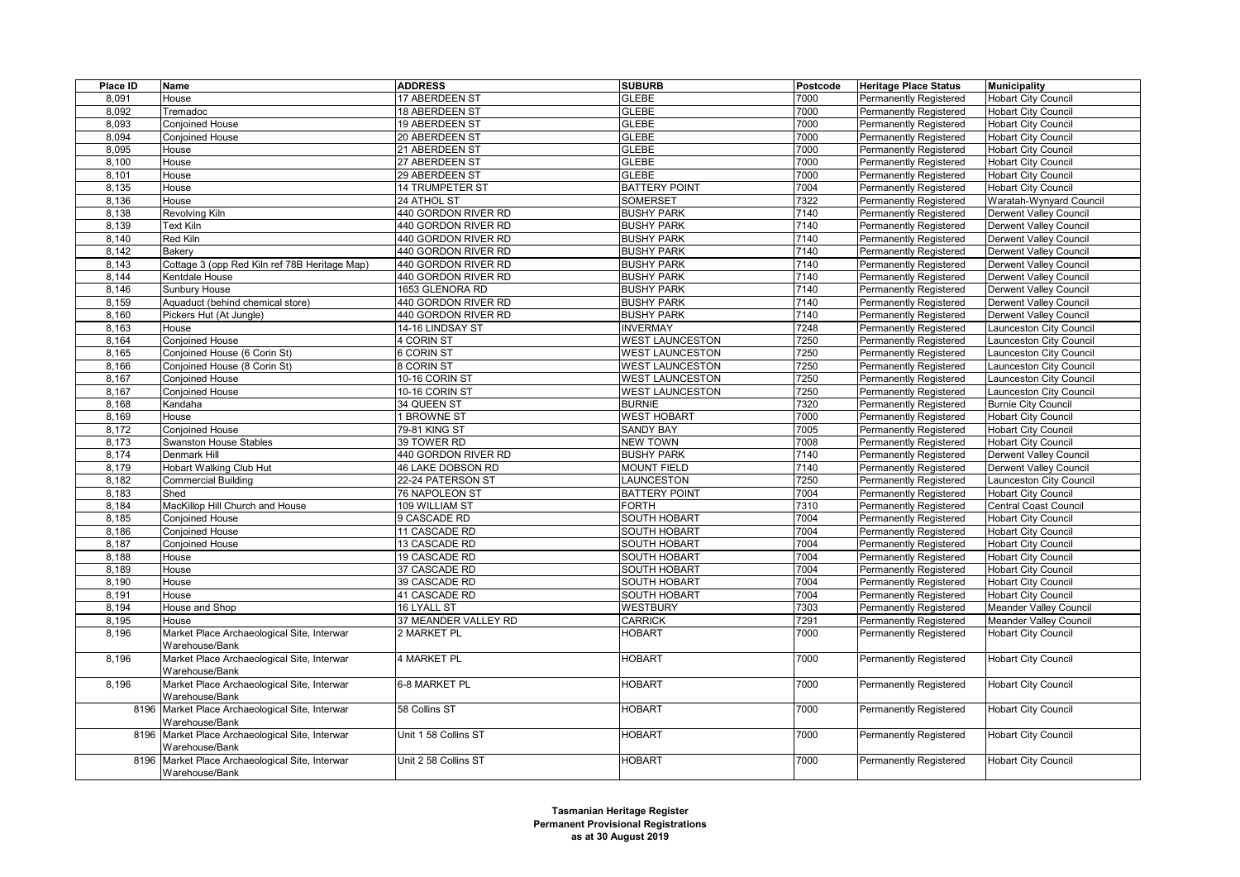| Place ID | Name                                            | <b>ADDRESS</b>        | <b>SUBURB</b>          | Postcode | <b>Heritage Place Status</b>  | <b>Municipality</b>           |
|----------|-------------------------------------------------|-----------------------|------------------------|----------|-------------------------------|-------------------------------|
| 8,091    | House                                           | 17 ABERDEEN ST        | <b>GLEBE</b>           | 7000     | <b>Permanently Registered</b> | <b>Hobart City Council</b>    |
| 8,092    | Tremadoc                                        | <b>18 ABERDEEN ST</b> | <b>GLEBE</b>           | 7000     | <b>Permanently Registered</b> | <b>Hobart City Council</b>    |
| 8.093    | Conjoined House                                 | 19 ABERDEEN ST        | <b>GLEBE</b>           | 7000     | Permanently Registered        | <b>Hobart City Council</b>    |
| 8,094    | Conjoined House                                 | 20 ABERDEEN ST        | <b>GLEBE</b>           | 7000     | Permanently Registered        | <b>Hobart City Council</b>    |
| 8,095    | House                                           | 21 ABERDEEN ST        | <b>GLEBE</b>           | 7000     | <b>Permanently Registered</b> | <b>Hobart City Council</b>    |
| 8,100    | House                                           | 27 ABERDEEN ST        | <b>GLEBE</b>           | 7000     | <b>Permanently Registered</b> | <b>Hobart City Council</b>    |
| 8,101    | House                                           | 29 ABERDEEN ST        | <b>GLEBE</b>           | 7000     | <b>Permanently Registered</b> | <b>Hobart City Council</b>    |
| 8,135    | House                                           | 14 TRUMPETER ST       | <b>BATTERY POINT</b>   | 7004     | <b>Permanently Registered</b> | <b>Hobart City Council</b>    |
| 8,136    | House                                           | 24 ATHOL ST           | <b>SOMERSET</b>        | 7322     | <b>Permanently Registered</b> | Waratah-Wynyard Council       |
| 8,138    | Revolving Kiln                                  | 440 GORDON RIVER RD   | <b>BUSHY PARK</b>      | 7140     | <b>Permanently Registered</b> | <b>Derwent Valley Council</b> |
| 8,139    | Text Kiln                                       | 440 GORDON RIVER RD   | <b>BUSHY PARK</b>      | 7140     | <b>Permanently Registered</b> | Derwent Valley Council        |
| 8,140    | Red Kiln                                        | 440 GORDON RIVER RD   | <b>BUSHY PARK</b>      | 7140     | <b>Permanently Registered</b> | Derwent Valley Council        |
| 8,142    | Bakerv                                          | 440 GORDON RIVER RD   | <b>BUSHY PARK</b>      | 7140     | <b>Permanently Registered</b> | Derwent Valley Council        |
| 8,143    | Cottage 3 (opp Red Kiln ref 78B Heritage Map)   | 440 GORDON RIVER RD   | <b>BUSHY PARK</b>      | 7140     | Permanently Registered        | <b>Derwent Valley Council</b> |
| 8,144    | Kentdale House                                  | 440 GORDON RIVER RD   | <b>BUSHY PARK</b>      | 7140     | <b>Permanently Registered</b> | Derwent Valley Council        |
| 8,146    | Sunbury House                                   | 1653 GLENORA RD       | <b>BUSHY PARK</b>      | 7140     | Permanently Registered        | Derwent Valley Council        |
| 8,159    | Aquaduct (behind chemical store)                | 440 GORDON RIVER RD   | <b>BUSHY PARK</b>      | 7140     | <b>Permanently Registered</b> | Derwent Valley Council        |
| 8,160    | Pickers Hut (At Jungle)                         | 440 GORDON RIVER RD   | <b>BUSHY PARK</b>      | 7140     | Permanently Registered        | Derwent Valley Council        |
| 8,163    | House                                           | 14-16 LINDSAY ST      | <b>INVERMAY</b>        | 7248     | <b>Permanently Registered</b> | aunceston City Council        |
| 8,164    | <b>Conioined House</b>                          | 4 CORIN ST            | <b>WEST LAUNCESTON</b> | 7250     | <b>Permanently Registered</b> | aunceston City Council        |
| 8,165    | Conjoined House (6 Corin St)                    | 6 CORIN ST            | <b>WEST LAUNCESTON</b> | 7250     | <b>Permanently Registered</b> | Launceston City Council       |
| 8,166    | Conjoined House (8 Corin St)                    | 8 CORIN ST            | <b>WEST LAUNCESTON</b> | 7250     | Permanently Registered        | aunceston City Council        |
| 8,167    | Conjoined House                                 | 10-16 CORIN ST        | <b>WEST LAUNCESTON</b> | 7250     | Permanently Registered        | aunceston City Council        |
| 8.167    | Conjoined House                                 | 10-16 CORIN ST        | <b>WEST LAUNCESTON</b> | 7250     | <b>Permanently Registered</b> | Launceston City Council       |
| 8,168    | Kandaha                                         | 34 QUEEN ST           | <b>BURNIE</b>          | 7320     | Permanently Registered        | <b>Burnie City Council</b>    |
| 8,169    | House                                           | 1 BROWNE ST           | <b>WEST HOBART</b>     | 7000     | Permanently Registered        | <b>Hobart City Council</b>    |
| 8,172    | Conjoined House                                 | 79-81 KING ST         | <b>SANDY BAY</b>       | 7005     | <b>Permanently Registered</b> | <b>Hobart City Council</b>    |
| 8,173    | <b>Swanston House Stables</b>                   | 39 TOWER RD           | <b>NEW TOWN</b>        | 7008     | <b>Permanently Registered</b> | <b>Hobart City Council</b>    |
| 8,174    | Denmark Hill                                    | 440 GORDON RIVER RD   | <b>BUSHY PARK</b>      | 7140     | Permanently Registered        | Derwent Valley Council        |
| 8,179    | <b>Hobart Walking Club Hut</b>                  | 46 LAKE DOBSON RD     | <b>MOUNT FIELD</b>     | 7140     | <b>Permanently Registered</b> | Derwent Valley Council        |
| 8,182    | Commercial Building                             | 22-24 PATERSON ST     | LAUNCESTON             | 7250     | <b>Permanently Registered</b> | Launceston City Council       |
| 8,183    | Shed                                            | 76 NAPOLEON ST        | <b>BATTERY POINT</b>   | 7004     | <b>Permanently Registered</b> | <b>Hobart City Council</b>    |
| 8,184    | MacKillop Hill Church and House                 | 109 WILLIAM ST        | FORTH                  | 7310     | <b>Permanently Registered</b> | Central Coast Council         |
| 8,185    | Conjoined House                                 | 9 CASCADE RD          | <b>SOUTH HOBART</b>    | 7004     | Permanently Registered        | <b>Hobart City Council</b>    |
| 8,186    | <b>Conjoined House</b>                          | 11 CASCADE RD         | <b>SOUTH HOBART</b>    | 7004     | <b>Permanently Registered</b> | <b>Hobart City Council</b>    |
| 8,187    | <b>Conjoined House</b>                          | 13 CASCADE RD         | <b>SOUTH HOBART</b>    | 7004     | <b>Permanently Registered</b> | <b>Hobart City Council</b>    |
| 8,188    | House                                           | 19 CASCADE RD         | SOUTH HOBART           | 7004     | <b>Permanently Registered</b> | <b>Hobart City Council</b>    |
| 8,189    | House                                           | 37 CASCADE RD         | SOUTH HOBART           | 7004     | <b>Permanently Registered</b> | <b>Hobart City Council</b>    |
| 8,190    | House                                           | 39 CASCADE RD         | SOUTH HOBART           | 7004     | <b>Permanently Registered</b> | <b>Hobart City Council</b>    |
| 8,191    | House                                           | 41 CASCADE RD         | SOUTH HOBART           | 7004     | Permanently Registered        | <b>Hobart City Council</b>    |
| 8,194    | House and Shop                                  | 16 LYALL ST           | <b>WESTBURY</b>        | 7303     | <b>Permanently Registered</b> | Meander Valley Council        |
| 8,195    | House                                           | 37 MEANDER VALLEY RD  | <b>CARRICK</b>         | 7291     | <b>Permanently Registered</b> | Meander Valley Council        |
| 8,196    | Market Place Archaeological Site, Interwar      | 2 MARKET PL           | <b>HOBART</b>          | 7000     | Permanently Registered        | <b>Hobart City Council</b>    |
|          | Warehouse/Bank                                  |                       |                        |          |                               |                               |
| 8,196    | Market Place Archaeological Site, Interwar      | 4 MARKET PL           | <b>HOBART</b>          | 7000     | Permanently Registered        | <b>Hobart City Council</b>    |
|          | Warehouse/Bank                                  |                       |                        |          |                               |                               |
| 8,196    | Market Place Archaeological Site, Interwar      | 6-8 MARKET PL         | <b>HOBART</b>          | 7000     | Permanently Registered        | <b>Hobart City Council</b>    |
|          | Warehouse/Bank                                  |                       |                        |          |                               |                               |
| 8196     | Market Place Archaeological Site, Interwar      | 58 Collins ST         | <b>HOBART</b>          | 7000     | Permanently Registered        | <b>Hobart City Council</b>    |
|          | Warehouse/Bank                                  |                       |                        |          |                               |                               |
|          | 8196 Market Place Archaeological Site, Interwar | Unit 1 58 Collins ST  | <b>HOBART</b>          | 7000     | Permanently Registered        | <b>Hobart City Council</b>    |
|          | Warehouse/Bank                                  |                       |                        |          |                               |                               |
| 8196     | Market Place Archaeological Site, Interwar      | Unit 2 58 Collins ST  | <b>HOBART</b>          | 7000     | <b>Permanently Registered</b> | <b>Hobart City Council</b>    |
|          | Warehouse/Bank                                  |                       |                        |          |                               |                               |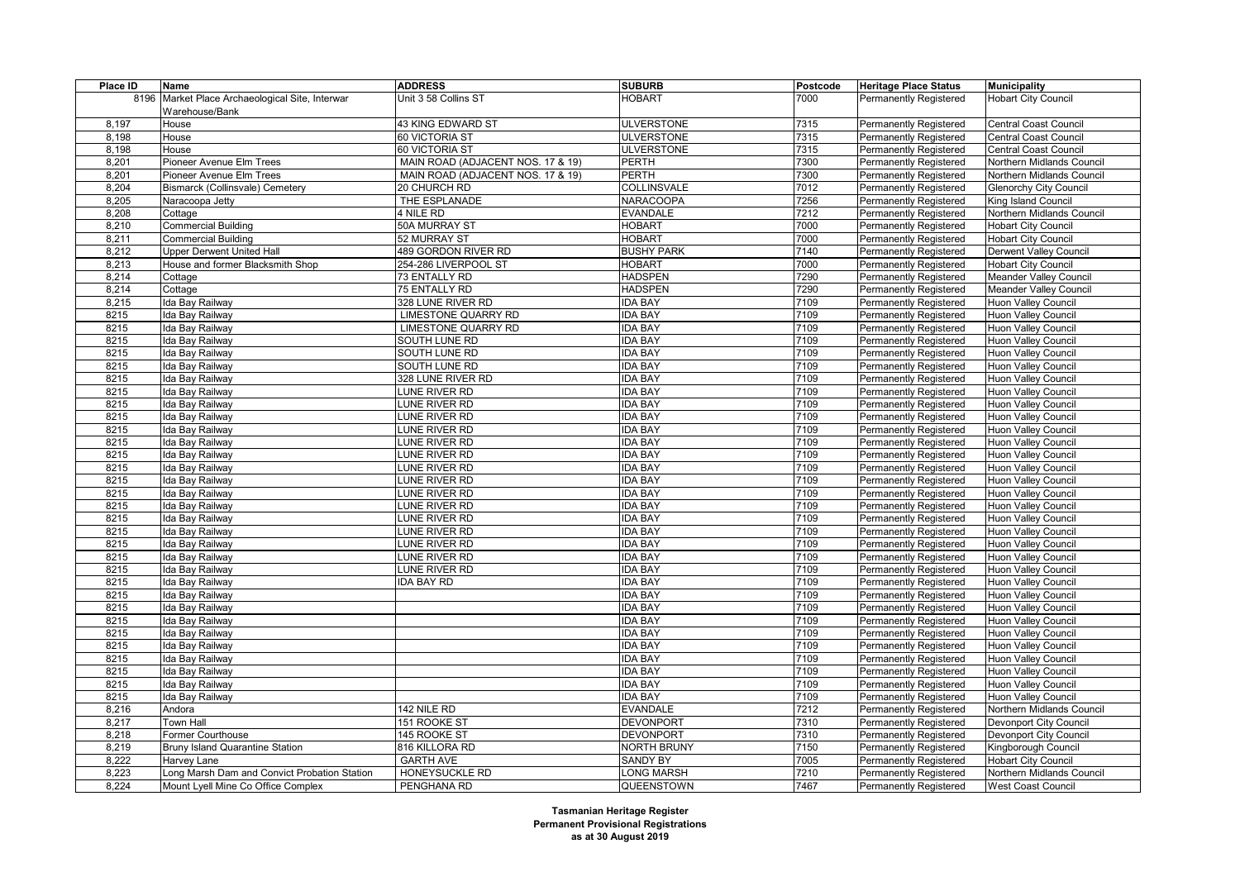| Place ID | Name                                         | <b>ADDRESS</b>                    | <b>SUBURB</b>     | Postcode | <b>Heritage Place Status</b>  | <b>Municipality</b>           |
|----------|----------------------------------------------|-----------------------------------|-------------------|----------|-------------------------------|-------------------------------|
| 8196     | Market Place Archaeological Site, Interwar   | Unit 3 58 Collins ST              | <b>HOBART</b>     | 7000     | Permanently Registered        | <b>Hobart City Council</b>    |
|          | Warehouse/Bank                               |                                   |                   |          |                               |                               |
| 8,197    | House                                        | 43 KING EDWARD ST                 | <b>ULVERSTONE</b> | 7315     | <b>Permanently Registered</b> | Central Coast Council         |
| 8,198    | House                                        | 60 VICTORIA ST                    | <b>ULVERSTONE</b> | 7315     | Permanently Registered        | Central Coast Council         |
| 8,198    | House                                        | 60 VICTORIA ST                    | <b>ULVERSTONE</b> | 7315     | <b>Permanently Registered</b> | Central Coast Council         |
| 8,201    | Pioneer Avenue Elm Trees                     | MAIN ROAD (ADJACENT NOS. 17 & 19) | <b>PERTH</b>      | 7300     | Permanently Registered        | Northern Midlands Council     |
| 8,201    | Pioneer Avenue Elm Trees                     | MAIN ROAD (ADJACENT NOS. 17 & 19) | PERTH             | 7300     | Permanently Registered        | Northern Midlands Council     |
| 8,204    | <b>Bismarck (Collinsvale) Cemetery</b>       | 20 CHURCH RD                      | COLLINSVALE       | 7012     | <b>Permanently Registered</b> | <b>Glenorchy City Council</b> |
| 8,205    | Naracoopa Jetty                              | THE ESPLANADE                     | <b>NARACOOPA</b>  | 7256     | Permanently Registered        | King Island Council           |
| 8,208    | Cottage                                      | 4 NILE RD                         | <b>EVANDALE</b>   | 7212     | Permanently Registered        | Northern Midlands Council     |
| 8,210    | <b>Commercial Building</b>                   | 50A MURRAY ST                     | <b>HOBART</b>     | 7000     | <b>Permanently Registered</b> | <b>Hobart City Council</b>    |
| 8,211    | <b>Commercial Building</b>                   | 52 MURRAY ST                      | <b>HOBART</b>     | 7000     | Permanently Registered        | <b>Hobart City Council</b>    |
| 8,212    | <b>Upper Derwent United Hall</b>             | 489 GORDON RIVER RD               | <b>BUSHY PARK</b> | 7140     | Permanently Registered        | <b>Derwent Valley Council</b> |
| 8,213    | House and former Blacksmith Shop             | 254-286 LIVERPOOL ST              | <b>HOBART</b>     | 7000     | <b>Permanently Registered</b> | <b>Hobart City Council</b>    |
| 8,214    | Cottage                                      | 73 ENTALLY RD                     | <b>HADSPEN</b>    | 7290     | Permanently Registered        | Meander Valley Council        |
| 8,214    | Cottage                                      | 75 ENTALLY RD                     | <b>HADSPEN</b>    | 7290     | Permanently Registered        | Meander Valley Council        |
| 8,215    | Ida Bay Railway                              | 328 LUNE RIVER RD                 | <b>IDA BAY</b>    | 7109     | Permanently Registered        | Huon Valley Council           |
| 8215     | Ida Bay Railway                              | <b>LIMESTONE QUARRY RD</b>        | <b>IDA BAY</b>    | 7109     | Permanently Registered        | Huon Valley Council           |
| 8215     | Ida Bay Railway                              | LIMESTONE QUARRY RD               | <b>DA BAY</b>     | 7109     | Permanently Registered        | <b>Huon Valley Council</b>    |
| 8215     | Ida Bay Railway                              | SOUTH LUNE RD                     | <b>IDA BAY</b>    | 7109     | <b>Permanently Registered</b> | Huon Valley Council           |
| 8215     | Ida Bay Railway                              | SOUTH LUNE RD                     | <b>IDA BAY</b>    | 7109     | <b>Permanently Registered</b> | <b>Huon Valley Council</b>    |
| 8215     | Ida Bay Railway                              | SOUTH LUNE RD                     | <b>IDA BAY</b>    | 7109     | Permanently Registered        | Huon Valley Council           |
| 8215     | Ida Bay Railway                              | 328 LUNE RIVER RD                 | <b>DA BAY</b>     | 7109     | Permanently Registered        | <b>Huon Valley Council</b>    |
| 8215     | Ida Bay Railway                              | LUNE RIVER RD                     | <b>IDA BAY</b>    | 7109     | Permanently Registered        | Huon Valley Council           |
| 8215     | Ida Bay Railway                              | LUNE RIVER RD                     | <b>DA BAY</b>     | 7109     | Permanently Registered        | <b>Huon Valley Council</b>    |
| 8215     | Ida Bay Railway                              | LUNE RIVER RD                     | <b>IDA BAY</b>    | 7109     | <b>Permanently Registered</b> | Huon Valley Council           |
| 8215     | Ida Bay Railway                              | LUNE RIVER RD                     | <b>IDA BAY</b>    | 7109     | <b>Permanently Registered</b> | Huon Valley Council           |
| 8215     | Ida Bay Railway                              | UNE RIVER RD                      | <b>DA BAY</b>     | 7109     | Permanently Registered        | Huon Valley Council           |
| 8215     | Ida Bay Railway                              | <b>LUNE RIVER RD</b>              | <b>DA BAY</b>     | 7109     | <b>Permanently Registered</b> | Huon Valley Council           |
| 8215     | Ida Bay Railway                              | LUNE RIVER RD                     | <b>IDA BAY</b>    | 7109     | <b>Permanently Registered</b> | Huon Valley Council           |
| 8215     | Ida Bay Railway                              | LUNE RIVER RD                     | <b>DA BAY</b>     | 7109     | Permanently Registered        | <b>Huon Valley Council</b>    |
| 8215     | Ida Bay Railway                              | LUNE RIVER RD                     | <b>DA BAY</b>     | 7109     | <b>Permanently Registered</b> | Huon Valley Council           |
| 8215     | Ida Bay Railway                              | LUNE RIVER RD                     | <b>DA BAY</b>     | 7109     | Permanently Registered        | Huon Valley Council           |
| 8215     | Ida Bay Railway                              | UNE RIVER RD                      | <b>DA BAY</b>     | 7109     | Permanently Registered        | Huon Valley Council           |
| 8215     | Ida Bay Railway                              | <b>LUNE RIVER RD</b>              | <b>DA BAY</b>     | 7109     | <b>Permanently Registered</b> | <b>Huon Valley Council</b>    |
| 8215     | Ida Bay Railway                              | LUNE RIVER RD                     | <b>IDA BAY</b>    | 7109     | <b>Permanently Registered</b> | <b>Huon Valley Council</b>    |
| 8215     | Ida Bay Railway                              | UNE RIVER RD                      | <b>DA BAY</b>     | 7109     | Permanently Registered        | <b>Huon Valley Council</b>    |
| 8215     | Ida Bay Railway                              | LUNE RIVER RD                     | <b>IDA BAY</b>    | 7109     | Permanently Registered        | Huon Valley Council           |
| 8215     | Ida Bay Railway                              | IDA BAY RD                        | <b>DA BAY</b>     | 7109     | Permanently Registered        | <b>Huon Valley Council</b>    |
| 8215     | Ida Bay Railway                              |                                   | <b>DA BAY</b>     | 7109     | Permanently Registered        | <b>Huon Valley Council</b>    |
| 8215     | Ida Bay Railway                              |                                   | <b>DA BAY</b>     | 7109     | <b>Permanently Registered</b> | Huon Valley Council           |
| 8215     | Ida Bay Railway                              |                                   | <b>DA BAY</b>     | 7109     | Permanently Registered        | <b>Huon Valley Council</b>    |
| 8215     | Ida Bay Railway                              |                                   | <b>DA BAY</b>     | 7109     | Permanently Registered        | <b>Huon Valley Council</b>    |
| 8215     | Ida Bay Railway                              |                                   | <b>DA BAY</b>     | 7109     | <b>Permanently Registered</b> | Huon Valley Council           |
| 8215     | Ida Bay Railway                              |                                   | <b>DA BAY</b>     | 7109     | <b>Permanently Registered</b> | Huon Valley Council           |
| 8215     | Ida Bay Railway                              |                                   | <b>DA BAY</b>     | 7109     | Permanently Registered        | <b>Huon Valley Council</b>    |
| 8215     | lda Bay Railway                              |                                   | <b>DA BAY</b>     | 7109     | <b>Permanently Registered</b> | Huon Valley Council           |
| 8215     | Ida Bay Railway                              |                                   | <b>DA BAY</b>     | 7109     | Permanently Registered        | <b>Huon Valley Council</b>    |
| 8,216    | Andora                                       | 142 NILE RD                       | <b>EVANDALE</b>   | 7212     | Permanently Registered        | Northern Midlands Council     |
| 8,217    | <b>Town Hall</b>                             | 151 ROOKE ST                      | <b>DEVONPORT</b>  | 7310     | Permanently Registered        | Devonport City Council        |
| 8,218    | Former Courthouse                            | 145 ROOKE ST                      | DEVONPORT         | 7310     | Permanently Registered        | Devonport City Council        |
| 8,219    | <b>Bruny Island Quarantine Station</b>       | 816 KILLORA RD                    | NORTH BRUNY       | 7150     | Permanently Registered        | Kingborough Council           |
| 8,222    | Harvey Lane                                  | <b>GARTH AVE</b>                  | SANDY BY          | 7005     | Permanently Registered        | <b>Hobart City Council</b>    |
| 8,223    | Long Marsh Dam and Convict Probation Station | HONEYSUCKLE RD                    | LONG MARSH        | 7210     | <b>Permanently Registered</b> | Northern Midlands Council     |
| 8,224    | Mount Lyell Mine Co Office Complex           | PENGHANA RD                       | QUEENSTOWN        | 7467     | <b>Permanently Registered</b> | West Coast Council            |
|          |                                              |                                   |                   |          |                               |                               |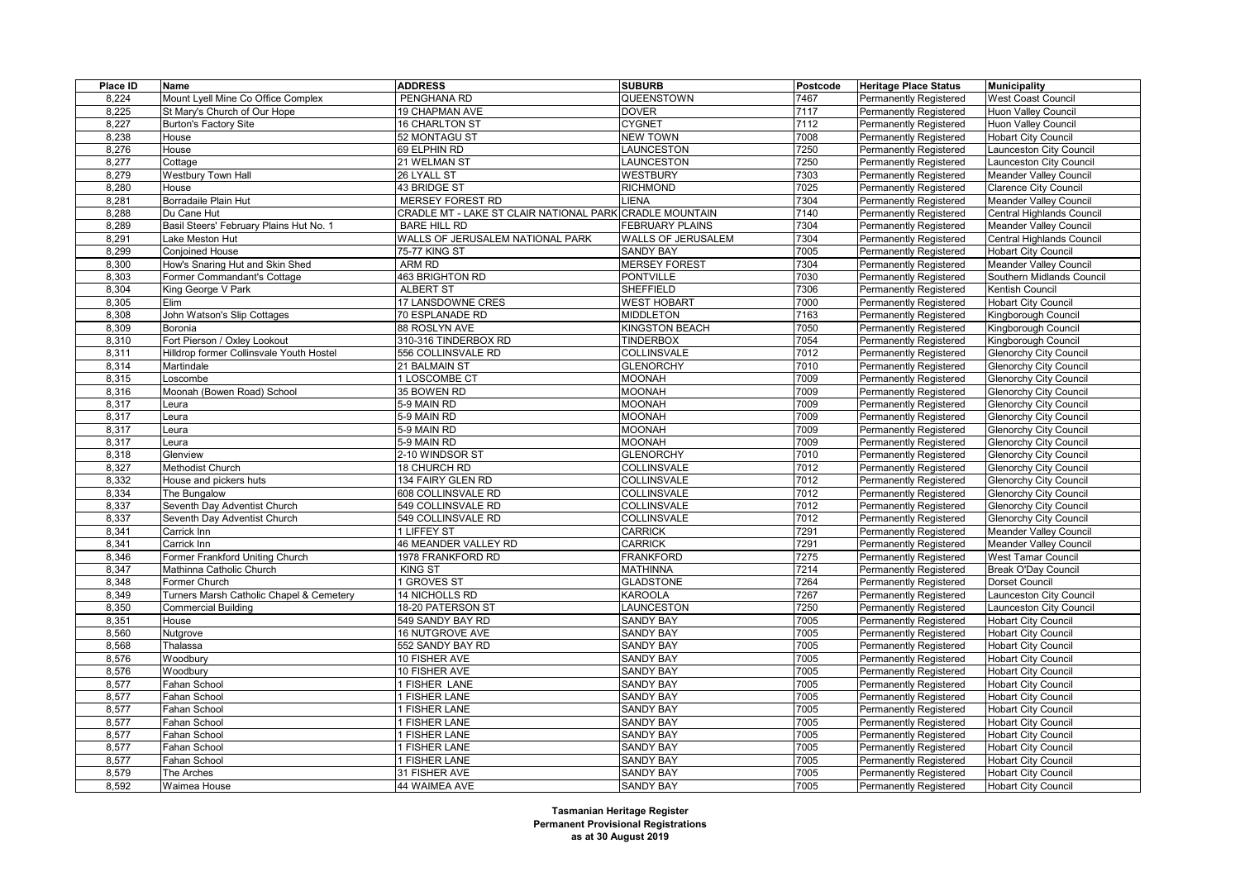| Place ID       | <b>Name</b>                              | <b>ADDRESS</b>                                          | <b>SUBURB</b>                        | <b>Postcode</b> | <b>Heritage Place Status</b>                                   | <b>Municipality</b>                                      |
|----------------|------------------------------------------|---------------------------------------------------------|--------------------------------------|-----------------|----------------------------------------------------------------|----------------------------------------------------------|
| 8,224          | Mount Lyell Mine Co Office Complex       | PENGHANA RD                                             | QUEENSTOWN                           | 7467            | <b>Permanently Registered</b>                                  | <b>West Coast Council</b>                                |
| 8,225          | St Mary's Church of Our Hope             | <b>19 CHAPMAN AVE</b>                                   | <b>DOVER</b>                         | 7117            | <b>Permanently Registered</b>                                  | <b>Huon Valley Council</b>                               |
| 8,227          | <b>Burton's Factory Site</b>             | 16 CHARLTON ST                                          | <b>CYGNET</b>                        | 7112            | <b>Permanently Registered</b>                                  | <b>Huon Valley Council</b>                               |
| 8,238          | House                                    | 52 MONTAGU ST                                           | <b>NEW TOWN</b>                      | 7008            | <b>Permanently Registered</b>                                  | <b>Hobart City Council</b>                               |
| 8,276          | House                                    | 69 ELPHIN RD                                            | LAUNCESTON                           | 7250            | Permanently Registered                                         | Launceston City Council                                  |
| 8,277          | Cottage                                  | 21 WELMAN ST                                            | LAUNCESTON                           | 7250            | <b>Permanently Registered</b>                                  | Launceston City Council                                  |
| 8,279          | <b>Westbury Town Hall</b>                | 26 LYALL ST                                             | <b>WESTBURY</b>                      | 7303            | <b>Permanently Registered</b>                                  | <b>Meander Valley Council</b>                            |
| 8,280          | House                                    | 43 BRIDGE ST                                            | <b>RICHMOND</b>                      | 7025            | Permanently Registered                                         | <b>Clarence City Council</b>                             |
| 8,281          | Borradaile Plain Hut                     | MERSEY FOREST RD                                        | <b>LIENA</b>                         | 7304            | <b>Permanently Registered</b>                                  | <b>Meander Valley Council</b>                            |
| 8,288          | Du Cane Hut                              | CRADLE MT - LAKE ST CLAIR NATIONAL PARK CRADLE MOUNTAIN |                                      | 7140            | <b>Permanently Registered</b>                                  | Central Highlands Council                                |
| 8,289          | Basil Steers' February Plains Hut No. 1  | <b>BARE HILL RD</b>                                     | <b>FEBRUARY PLAINS</b>               | 7304            | Permanently Registered                                         | Meander Valley Council                                   |
| 8,291          | Lake Meston Hut                          | WALLS OF JERUSALEM NATIONAL PARK                        | <b>WALLS OF JERUSALEM</b>            | 7304            | <b>Permanently Registered</b>                                  | Central Highlands Council                                |
| 8,299          | Conjoined House                          | 75-77 KING ST                                           | <b>SANDY BAY</b>                     | 7005            | <b>Permanently Registered</b>                                  | <b>Hobart City Council</b>                               |
| 8,300          | How's Snaring Hut and Skin Shed          | ARM RD                                                  | <b>MERSEY FOREST</b>                 | 7304            | <b>Permanently Registered</b>                                  | <b>Meander Valley Council</b>                            |
| 8,303          | Former Commandant's Cottage              | 463 BRIGHTON RD                                         | <b>PONTVILLE</b>                     | 7030            | <b>Permanently Registered</b>                                  | Southern Midlands Council                                |
| 8,304          | King George V Park                       | <b>ALBERT ST</b>                                        | <b>SHEFFIELD</b>                     | 7306            | <b>Permanently Registered</b>                                  | Kentish Council                                          |
| 8,305          | <b>Elim</b>                              | 17 LANSDOWNE CRES                                       | <b>WEST HOBART</b>                   | 7000            | <b>Permanently Registered</b>                                  | <b>Hobart City Council</b>                               |
| 8,308          | John Watson's Slip Cottages              | 70 ESPLANADE RD                                         | <b>MIDDLETON</b>                     | 7163            | <b>Permanently Registered</b>                                  | Kingborough Council                                      |
| 8,309          | Boronia                                  | 88 ROSLYN AVE                                           | KINGSTON BEACH                       | 7050            | <b>Permanently Registered</b>                                  | Kingborough Council                                      |
| 8,310          | Fort Pierson / Oxley Lookout             | 310-316 TINDERBOX RD                                    | <b>TINDERBOX</b>                     | 7054            | <b>Permanently Registered</b>                                  | Kingborough Council                                      |
| 8,311          | Hilldrop former Collinsvale Youth Hostel | 556 COLLINSVALE RD                                      | COLLINSVALE                          | 7012            | <b>Permanently Registered</b>                                  | <b>Glenorchy City Council</b>                            |
| 8,314          | Martindale                               | 21 BALMAIN ST                                           | <b>GLENORCHY</b>                     | 7010            | <b>Permanently Registered</b>                                  | <b>Glenorchy City Council</b>                            |
| 8,315          | Loscombe                                 | 1 LOSCOMBE CT                                           | <b>MOONAH</b>                        | 7009            | <b>Permanently Registered</b>                                  | <b>Glenorchy City Council</b>                            |
| 8,316          | Moonah (Bowen Road) School               | 35 BOWEN RD                                             | <b>MOONAH</b>                        | 7009            | <b>Permanently Registered</b>                                  | <b>Glenorchy City Council</b>                            |
| 8,317          | Leura                                    | 5-9 MAIN RD                                             | <b>MOONAH</b>                        | 7009            | <b>Permanently Registered</b>                                  | <b>Glenorchy City Council</b>                            |
| 8,317          | Leura                                    | 5-9 MAIN RD                                             | <b>MOONAH</b>                        | 7009            | <b>Permanently Registered</b>                                  | <b>Glenorchy City Council</b>                            |
| 8,317          | Leura                                    | 5-9 MAIN RD                                             | <b>MOONAH</b>                        | 7009            | <b>Permanently Registered</b>                                  | <b>Glenorchy City Council</b>                            |
| 8,317          | Leura                                    | 5-9 MAIN RD                                             | <b>MOONAH</b>                        | 7009            | Permanently Registered                                         | <b>Glenorchy City Council</b>                            |
| 8,318          | Glenview                                 | 2-10 WINDSOR ST                                         | <b>GLENORCHY</b>                     | 7010            | <b>Permanently Registered</b>                                  | <b>Glenorchy City Council</b>                            |
| 8,327          | Methodist Church                         | 18 CHURCH RD                                            | COLLINSVALE                          | 7012            | <b>Permanently Registered</b>                                  | <b>Glenorchy City Council</b>                            |
| 8,332          | House and pickers huts                   | 134 FAIRY GLEN RD                                       | COLLINSVALE                          | 7012            | Permanently Registered                                         | <b>Glenorchy City Council</b>                            |
| 8,334          | The Bungalow                             | 608 COLLINSVALE RD                                      | COLLINSVALE                          | 7012            | <b>Permanently Registered</b>                                  | <b>Glenorchy City Council</b>                            |
| 8,337          | Seventh Day Adventist Church             | 549 COLLINSVALE RD                                      | COLLINSVALE                          | 7012            | <b>Permanently Registered</b>                                  | <b>Glenorchy City Council</b>                            |
| 8,337          | Seventh Day Adventist Church             | 549 COLLINSVALE RD                                      | COLLINSVALE                          | 7012            | Permanently Registered                                         | <b>Glenorchy City Council</b>                            |
| 8,341          | Carrick Inn                              | 1 LIFFEY ST                                             | <b>CARRICK</b>                       | 7291            | <b>Permanently Registered</b>                                  | <b>Meander Valley Council</b>                            |
| 8,341          | Carrick Inn                              | <b>46 MEANDER VALLEY RD</b>                             | <b>CARRICK</b>                       | 7291            | <b>Permanently Registered</b>                                  | <b>Meander Valley Council</b>                            |
| 8,346          | Former Frankford Uniting Church          | 1978 FRANKFORD RD                                       | <b>FRANKFORD</b>                     | 7275            | <b>Permanently Registered</b>                                  | <b>West Tamar Council</b>                                |
| 8,347          | Mathinna Catholic Church                 | <b>KING ST</b>                                          | <b>MATHINNA</b>                      | 7214            | Permanently Registered                                         | Break O'Day Council                                      |
| 8,348          | Former Church                            | <b>I GROVES ST</b>                                      | <b>GLADSTONE</b>                     | 7264            | <b>Permanently Registered</b>                                  | <b>Dorset Council</b>                                    |
| 8,349          | Turners Marsh Catholic Chapel & Cemetery | <b>14 NICHOLLS RD</b>                                   | <b>KAROOLA</b>                       | 7267            | <b>Permanently Registered</b>                                  | Launceston City Council                                  |
| 8,350          | <b>Commercial Building</b>               | 18-20 PATERSON ST                                       | LAUNCESTON                           | 7250            | <b>Permanently Registered</b>                                  | Launceston City Council                                  |
| 8,351          | House                                    | 549 SANDY BAY RD                                        | <b>SANDY BAY</b>                     | 7005            | <b>Permanently Registered</b>                                  | <b>Hobart City Council</b>                               |
| 8,560          | Nutgrove                                 | 16 NUTGROVE AVE                                         | <b>SANDY BAY</b>                     | 7005            | <b>Permanently Registered</b>                                  | <b>Hobart City Council</b>                               |
| 8,568          | Thalassa                                 | 552 SANDY BAY RD                                        | <b>SANDY BAY</b>                     | 7005            | <b>Permanently Registered</b>                                  | <b>Hobart City Council</b>                               |
| 8,576          | Woodbury                                 | 10 FISHER AVE                                           | <b>SANDY BAY</b>                     | 7005            | <b>Permanently Registered</b>                                  | <b>Hobart City Council</b>                               |
| 8,576          | Woodbury                                 | 10 FISHER AVE                                           | <b>SANDY BAY</b>                     | 7005            | <b>Permanently Registered</b>                                  | <b>Hobart City Council</b>                               |
| 8,577          | Fahan School                             | 1 FISHER LANE                                           | <b>SANDY BAY</b>                     | 7005            | <b>Permanently Registered</b>                                  | <b>Hobart City Council</b>                               |
| 8,577          | Fahan School                             | 1 FISHER LANE                                           | <b>SANDY BAY</b>                     | 7005            | <b>Permanently Registered</b>                                  | <b>Hobart City Council</b>                               |
| 8,577          | Fahan School                             | 1 FISHER LANE                                           | <b>SANDY BAY</b>                     | 7005            | <b>Permanently Registered</b>                                  |                                                          |
|                |                                          |                                                         | <b>SANDY BAY</b>                     | 7005            |                                                                | <b>Hobart City Council</b>                               |
| 8,577<br>8,577 | Fahan School<br>Fahan School             | 1 FISHER LANE<br>1 FISHER LANE                          | <b>SANDY BAY</b>                     | 7005            | <b>Permanently Registered</b><br><b>Permanently Registered</b> | <b>Hobart City Council</b><br><b>Hobart City Council</b> |
| 8,577          | Fahan School                             | 1 FISHER LANE                                           | <b>SANDY BAY</b>                     | 7005            |                                                                |                                                          |
|                |                                          |                                                         |                                      | 7005            | <b>Permanently Registered</b>                                  | <b>Hobart City Council</b>                               |
| 8,577<br>8,579 | Fahan School<br>The Arches               | 1 FISHER LANE<br>31 FISHER AVE                          | <b>SANDY BAY</b><br><b>SANDY BAY</b> | 7005            | <b>Permanently Registered</b>                                  | <b>Hobart City Council</b><br><b>Hobart City Council</b> |
| 8,592          |                                          | 44 WAIMEA AVE                                           | <b>SANDY BAY</b>                     | 7005            | <b>Permanently Registered</b>                                  | Hobart City Council                                      |
|                | Waimea House                             |                                                         |                                      |                 | <b>Permanently Registered</b>                                  |                                                          |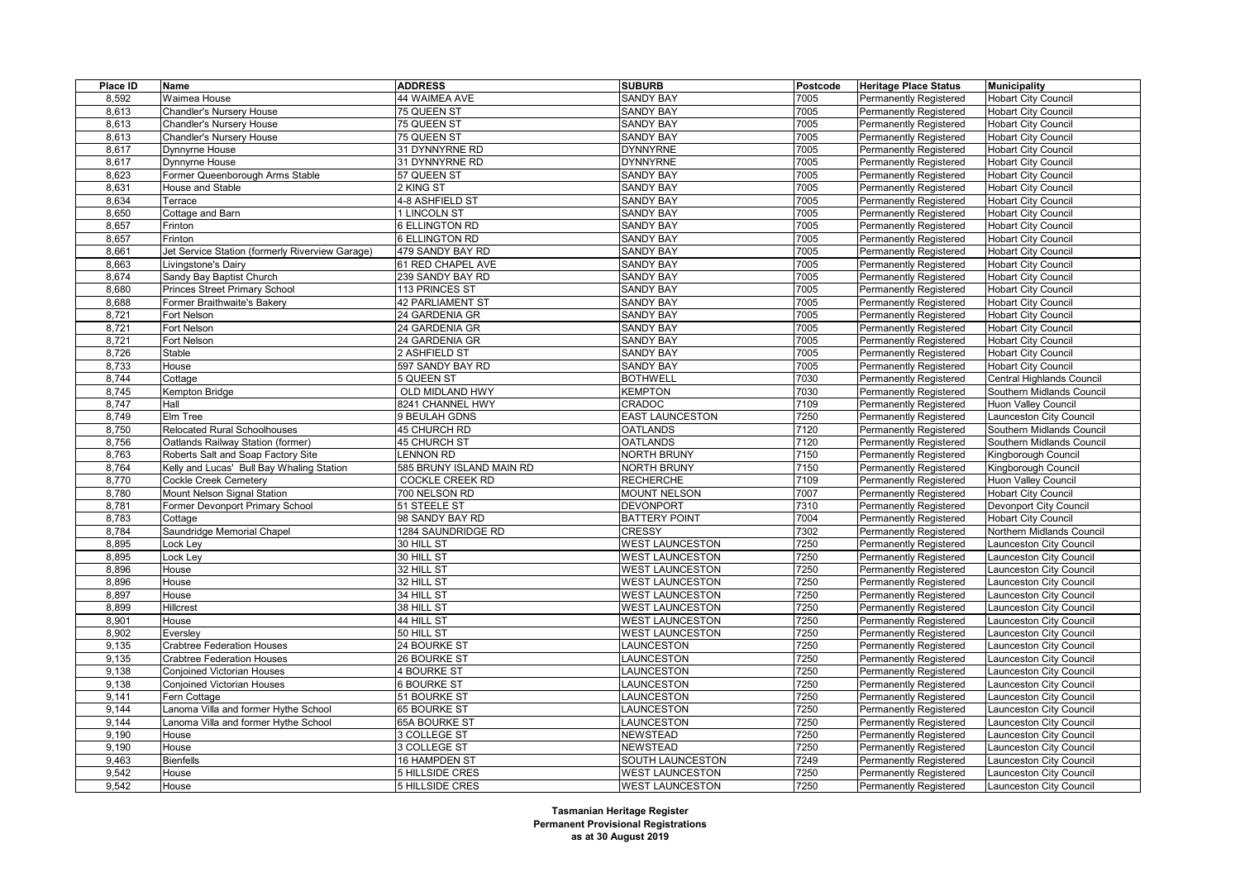| Place ID                      | Name                                                                   | <b>ADDRESS</b>                   | <b>SUBURB</b>                                    | Postcode     | <b>Heritage Place Status</b>                                   | <b>Municipality</b>                              |
|-------------------------------|------------------------------------------------------------------------|----------------------------------|--------------------------------------------------|--------------|----------------------------------------------------------------|--------------------------------------------------|
| 8,592                         | Waimea House                                                           | 44 WAIMEA AVE                    | <b>SANDY BAY</b>                                 | 7005         | <b>Permanently Registered</b>                                  | <b>Hobart City Council</b>                       |
| 8.613                         | <b>Chandler's Nursery House</b>                                        | 75 QUEEN ST                      | <b>SANDY BAY</b>                                 | 7005         | <b>Permanently Registered</b>                                  | <b>Hobart City Council</b>                       |
| 8,613                         | Chandler's Nursery House                                               | 75 QUEEN ST                      | <b>SANDY BAY</b>                                 | 7005         | <b>Permanently Registered</b>                                  | <b>Hobart City Council</b>                       |
| 8,613                         | Chandler's Nursery House                                               | 75 QUEEN ST                      | <b>SANDY BAY</b>                                 | 7005         | Permanently Registered                                         | <b>Hobart City Council</b>                       |
| 8.617                         | Dynnyrne House                                                         | 31 DYNNYRNE RD                   | <b>DYNNYRNE</b>                                  | 7005         | Permanently Registered                                         | <b>Hobart City Council</b>                       |
| 8,617                         | Dynnyme House                                                          | 31 DYNNYRNE RD                   | <b>DYNNYRNE</b>                                  | 7005         | <b>Permanently Registered</b>                                  | <b>Hobart City Council</b>                       |
| 8,623                         | Former Queenborough Arms Stable                                        | 57 QUEEN ST                      | <b>SANDY BAY</b>                                 | 7005         | <b>Permanently Registered</b>                                  | <b>Hobart City Council</b>                       |
| 8.631                         | <b>House and Stable</b>                                                | 2 KING ST                        | <b>SANDY BAY</b>                                 | 7005         | <b>Permanently Registered</b>                                  | <b>Hobart City Council</b>                       |
| 8,634                         | Terrace                                                                | 4-8 ASHFIELD ST                  | <b>SANDY BAY</b>                                 | 7005         | <b>Permanently Registered</b>                                  | <b>Hobart City Council</b>                       |
| 8,650                         | Cottage and Barn                                                       | 1 LINCOLN ST                     | <b>SANDY BAY</b>                                 | 7005         | <b>Permanently Registered</b>                                  | <b>Hobart City Council</b>                       |
| 8.657                         | Frinton                                                                | <b>6 ELLINGTON RD</b>            | <b>SANDY BAY</b>                                 | 7005         | Permanently Registered                                         | <b>Hobart City Council</b>                       |
| 8,657                         | Frinton                                                                | <b>6 ELLINGTON RD</b>            | <b>SANDY BAY</b>                                 | 7005         | <b>Permanently Registered</b>                                  | <b>Hobart City Council</b>                       |
| 8,661                         | Jet Service Station (formerly Riverview Garage)                        | 479 SANDY BAY RD                 | <b>SANDY BAY</b>                                 | 7005         | <b>Permanently Registered</b>                                  | <b>Hobart City Council</b>                       |
| 8,663                         | Livingstone's Dairy                                                    | 61 RED CHAPEL AVE                | <b>SANDY BAY</b>                                 | 7005         | <b>Permanently Registered</b>                                  | <b>Hobart City Council</b>                       |
| 8,674                         | Sandy Bay Baptist Church                                               | 239 SANDY BAY RD                 | <b>SANDY BAY</b>                                 | 7005         | <b>Permanently Registered</b>                                  | <b>Hobart City Council</b>                       |
| 8,680                         | Princes Street Primary School                                          | 113 PRINCES ST                   | <b>SANDY BAY</b>                                 | 7005         | Permanently Registered                                         | <b>Hobart City Council</b>                       |
| 8.688                         | Former Braithwaite's Bakery                                            | <b>42 PARLIAMENT ST</b>          | <b>SANDY BAY</b>                                 | 7005         | Permanently Registered                                         | <b>Hobart City Council</b>                       |
| 8,721                         | Fort Nelson                                                            | 24 GARDENIA GR                   | <b>SANDY BAY</b>                                 | 7005         | <b>Permanently Registered</b>                                  | <b>Hobart City Council</b>                       |
| 8,721                         | Fort Nelson                                                            | 24 GARDENIA GR                   | <b>SANDY BAY</b>                                 | 7005         | <b>Permanently Registered</b>                                  | <b>Hobart City Council</b>                       |
| 8,721                         | Fort Nelson                                                            | 24 GARDENIA GR                   | <b>SANDY BAY</b>                                 | 7005         | Permanently Registered                                         | <b>Hobart City Council</b>                       |
| 8,726                         | Stable                                                                 | 2 ASHFIELD ST                    | <b>SANDY BAY</b>                                 | 7005         | <b>Permanently Registered</b>                                  | <b>Hobart City Council</b>                       |
| 8,733                         | House                                                                  | 597 SANDY BAY RD                 | <b>SANDY BAY</b>                                 | 7005         | Permanently Registered                                         | <b>Hobart City Council</b>                       |
| 8,744                         | Cottage                                                                | 5 QUEEN ST                       | <b>BOTHWELL</b>                                  | 7030         | Permanently Registered                                         | Central Highlands Council                        |
| 8,745                         | Kempton Bridge                                                         | OLD MIDLAND HWY                  | <b>KEMPTON</b>                                   | 7030         | <b>Permanently Registered</b>                                  | Southern Midlands Council                        |
| 8,747                         | Hall                                                                   | 8241 CHANNEL HWY                 | CRADOC                                           | 7109         | <b>Permanently Registered</b>                                  | Huon Valley Council                              |
| 8,749                         | Elm Tree                                                               | 9 BEULAH GDNS                    | <b>EAST LAUNCESTON</b>                           | 7250         | Permanently Registered                                         | aunceston City Council                           |
| 8,750                         | <b>Relocated Rural Schoolhouses</b>                                    | <b>45 CHURCH RD</b>              | <b>OATLANDS</b>                                  | 7120         | <b>Permanently Registered</b>                                  | Southern Midlands Council                        |
| 8,756                         | Oatlands Railway Station (former)                                      | <b>45 CHURCH ST</b>              | <b>OATLANDS</b>                                  | 7120         | <b>Permanently Registered</b>                                  | Southern Midlands Council                        |
| 8,763                         | Roberts Salt and Soap Factory Site                                     | LENNON RD                        | <b>NORTH BRUNY</b>                               | 7150         | Permanently Registered                                         | Kingborough Council                              |
| 8,764                         | Kelly and Lucas' Bull Bay Whaling Station                              | 585 BRUNY ISLAND MAIN RD         | <b>NORTH BRUNY</b>                               | 7150         | <b>Permanently Registered</b>                                  | Kingborough Council                              |
| 8,770                         | Cockle Creek Cemetery                                                  | <b>COCKLE CREEK RD</b>           | <b>RECHERCHE</b>                                 | 7109         | <b>Permanently Registered</b>                                  | Huon Valley Council                              |
| 8,780                         | Mount Nelson Signal Station                                            | 700 NELSON RD                    | <b>MOUNT NELSON</b>                              | 7007         | Permanently Registered                                         | <b>Hobart City Council</b>                       |
| 8,781                         | Former Devonport Primary School                                        | 51 STEELE ST                     | <b>DEVONPORT</b>                                 | 7310         | <b>Permanently Registered</b>                                  | Devonport City Council                           |
| 8,783                         | Cottage                                                                | 98 SANDY BAY RD                  | <b>BATTERY POINT</b>                             | 7004         | Permanently Registered                                         | <b>Hobart City Council</b>                       |
| 8,784                         | Saundridge Memorial Chapel                                             | 1284 SAUNDRIDGE RD               | <b>CRESSY</b>                                    | 7302         | Permanently Registered                                         | Northern Midlands Council                        |
| 8,895                         | Lock Ley                                                               | 30 HILL ST                       | <b>WEST LAUNCESTON</b>                           | 7250         | <b>Permanently Registered</b>                                  | aunceston City Council                           |
| 8,895                         | ock Ley                                                                | 30 HILL ST                       | <b>WEST LAUNCESTON</b>                           | 7250         | Permanently Registered                                         | aunceston City Council                           |
|                               |                                                                        | 32 HILL ST                       |                                                  |              |                                                                |                                                  |
| 8,896<br>8,896                | House<br>House                                                         | 32 HILL ST                       | <b>WEST LAUNCESTON</b><br><b>WEST LAUNCESTON</b> | 7250<br>7250 | <b>Permanently Registered</b><br>Permanently Registered        | aunceston City Council<br>aunceston City Council |
|                               |                                                                        | 34 HILL ST                       | <b>WEST LAUNCESTON</b>                           |              |                                                                |                                                  |
| 8,897<br>8,899                | House<br>Hillcrest                                                     | 38 HILL ST                       | <b>WEST LAUNCESTON</b>                           | 7250<br>7250 | Permanently Registered                                         | aunceston City Council<br>aunceston City Council |
|                               |                                                                        |                                  |                                                  |              | Permanently Registered                                         |                                                  |
| 8,901<br>8,902                | House<br>Eversley                                                      | 44 HILL ST<br>50 HILL ST         | <b>WEST LAUNCESTON</b><br><b>WEST LAUNCESTON</b> | 7250<br>7250 | <b>Permanently Registered</b><br>Permanently Registered        | aunceston City Council<br>aunceston City Council |
|                               |                                                                        |                                  |                                                  | 7250         |                                                                |                                                  |
| 9,135<br>9,135                | <b>Crabtree Federation Houses</b><br><b>Crabtree Federation Houses</b> | 24 BOURKE ST<br>26 BOURKE ST     | LAUNCESTON<br>LAUNCESTON                         | 7250         | Permanently Registered                                         | aunceston City Council<br>aunceston City Council |
|                               |                                                                        |                                  |                                                  |              | <b>Permanently Registered</b>                                  |                                                  |
| 9,138                         | <b>Conjoined Victorian Houses</b>                                      | <b>4 BOURKE ST</b>               | LAUNCESTON<br><b>LAUNCESTON</b>                  | 7250<br>7250 | Permanently Registered                                         | aunceston City Council                           |
| $\overline{9}$ , 138<br>9,141 | <b>Conjoined Victorian Houses</b><br>Fern Cottage                      | 6 BOURKE ST<br>51 BOURKE ST      | LAUNCESTON                                       | 7250         | Permanently Registered                                         | aunceston City Council<br>aunceston City Council |
| 9,144                         |                                                                        | 65 BOURKE ST                     | LAUNCESTON                                       | 7250         | <b>Permanently Registered</b><br><b>Permanently Registered</b> | aunceston City Council                           |
| 9,144                         | anoma Villa and former Hythe School                                    |                                  | <b>LAUNCESTON</b>                                | 7250         |                                                                |                                                  |
| 9,190                         | Lanoma Villa and former Hythe School<br>House                          | 65A BOURKE ST<br>3 COLLEGE ST    | <b>NEWSTEAD</b>                                  | 7250         | Permanently Registered                                         | aunceston City Council                           |
| 9,190                         |                                                                        |                                  |                                                  |              | Permanently Registered                                         | aunceston City Council                           |
| 9,463                         | House                                                                  | 3 COLLEGE ST                     | NEWSTEAD                                         | 7250<br>7249 | Permanently Registered                                         | aunceston City Council                           |
| 9,542                         | <b>Bienfells</b><br>House                                              | 16 HAMPDEN ST<br>5 HILLSIDE CRES | SOUTH LAUNCESTON<br><b>WEST LAUNCESTON</b>       | 7250         | Permanently Registered<br>Permanently Registered               | aunceston City Council<br>aunceston City Council |
| 9.542                         |                                                                        |                                  |                                                  | 7250         |                                                                |                                                  |
|                               | House                                                                  | 5 HILLSIDE CRES                  | <b>WEST LAUNCESTON</b>                           |              | Permanently Registered                                         | Launceston City Council                          |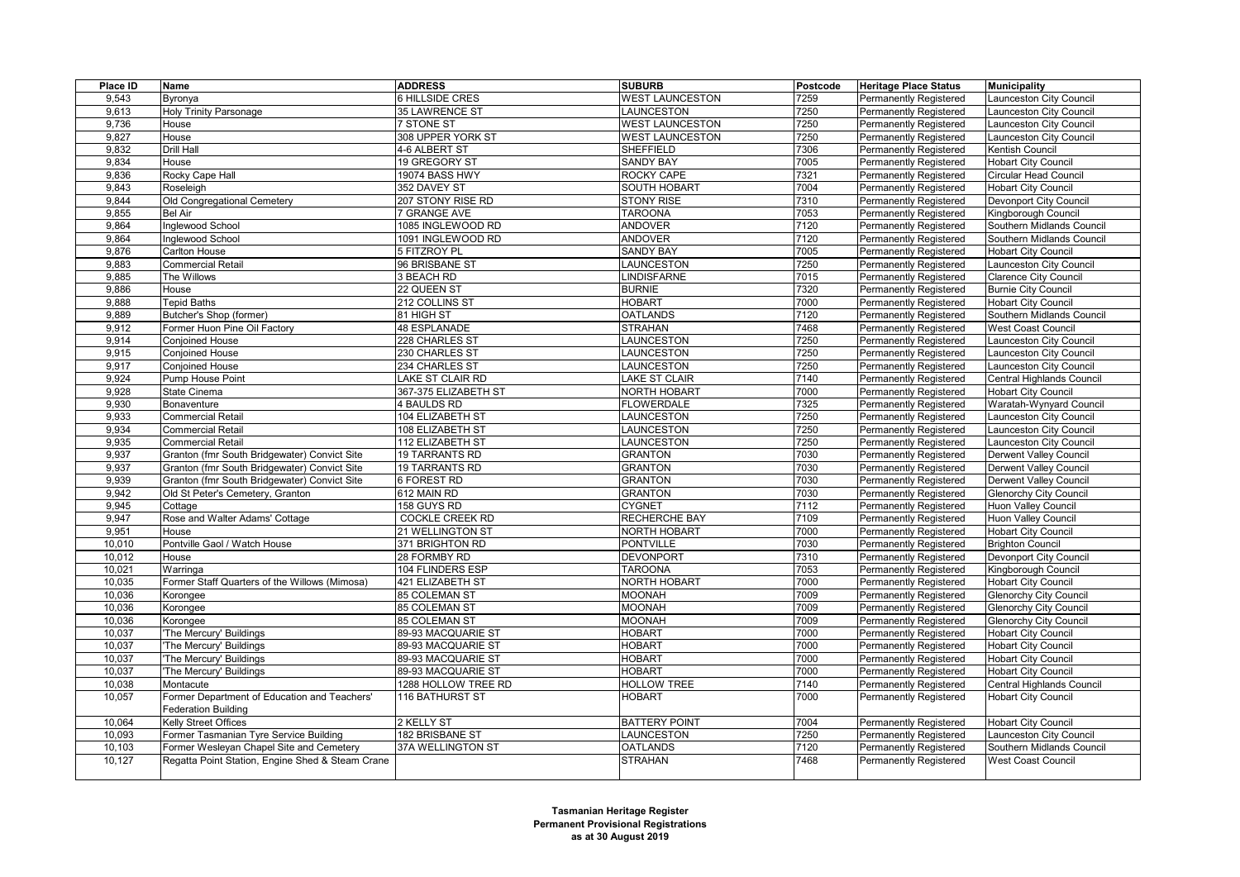| Place ID | Name                                                                       | <b>ADDRESS</b>         | <b>SUBURB</b>          | Postcode | <b>Heritage Place Status</b>  | <b>Municipality</b>           |
|----------|----------------------------------------------------------------------------|------------------------|------------------------|----------|-------------------------------|-------------------------------|
| 9,543    | Byronya                                                                    | 6 HILLSIDE CRES        | <b>WEST LAUNCESTON</b> | 7259     | <b>Permanently Registered</b> | aunceston City Council        |
| 9,613    | <b>Holy Trinity Parsonage</b>                                              | 35 LAWRENCE ST         | LAUNCESTON             | 7250     | <b>Permanently Registered</b> | Launceston City Council       |
| 9,736    | House                                                                      | <b>7 STONE ST</b>      | <b>WEST LAUNCESTON</b> | 7250     | <b>Permanently Registered</b> | aunceston City Council        |
| 9,827    | House                                                                      | 308 UPPER YORK ST      | <b>WEST LAUNCESTON</b> | 7250     | Permanently Registered        | aunceston City Council        |
| 9,832    | <b>Drill Hall</b>                                                          | 4-6 ALBERT ST          | SHEFFIELD              | 7306     | <b>Permanently Registered</b> | Kentish Council               |
| 9.834    | House                                                                      | 19 GREGORY ST          | <b>SANDY BAY</b>       | 7005     | <b>Permanently Registered</b> | <b>Hobart City Council</b>    |
| 9,836    | Rocky Cape Hall                                                            | 19074 BASS HWY         | ROCKY CAPE             | 7321     | <b>Permanently Registered</b> | Circular Head Council         |
| 9,843    | Roseleigh                                                                  | 352 DAVEY ST           | <b>SOUTH HOBART</b>    | 7004     | <b>Permanently Registered</b> | <b>Hobart City Council</b>    |
| 9,844    | Old Congregational Cemetery                                                | 207 STONY RISE RD      | <b>STONY RISE</b>      | 7310     | <b>Permanently Registered</b> | Devonport City Council        |
| 9,855    | <b>Bel Air</b>                                                             | 7 GRANGE AVE           | <b>TAROONA</b>         | 7053     | <b>Permanently Registered</b> | Kingborough Council           |
| 9,864    | Inglewood School                                                           | 1085 INGLEWOOD RD      | <b>ANDOVER</b>         | 7120     | <b>Permanently Registered</b> | Southern Midlands Council     |
| 9,864    | Inglewood School                                                           | 1091 INGLEWOOD RD      | <b>ANDOVER</b>         | 7120     | Permanently Registered        | Southern Midlands Council     |
| 9,876    | <b>Carlton House</b>                                                       | 5 FITZROY PL           | <b>SANDY BAY</b>       | 7005     | <b>Permanently Registered</b> | <b>Hobart City Council</b>    |
| 9,883    | <b>Commercial Retail</b>                                                   | 96 BRISBANE ST         | LAUNCESTON             | 7250     | <b>Permanently Registered</b> | Launceston City Council       |
| 9,885    | The Willows                                                                | 3 BEACH RD             | <b>LINDISFARNE</b>     | 7015     | Permanently Registered        | <b>Clarence City Council</b>  |
| 9,886    | House                                                                      | 22 QUEEN ST            | <b>BURNIE</b>          | 7320     | <b>Permanently Registered</b> | <b>Burnie City Council</b>    |
| 9,888    | <b>Tepid Baths</b>                                                         | 212 COLLINS ST         | <b>HOBART</b>          | 7000     | Permanently Registered        | <b>Hobart City Council</b>    |
| 9,889    | Butcher's Shop (former)                                                    | 81 HIGH ST             | <b>OATLANDS</b>        | 7120     | <b>Permanently Registered</b> | Southern Midlands Council     |
| 9,912    | Former Huon Pine Oil Factory                                               | 48 ESPLANADE           | <b>STRAHAN</b>         | 7468     | <b>Permanently Registered</b> | West Coast Council            |
| 9,914    | <b>Conjoined House</b>                                                     | 228 CHARLES ST         | LAUNCESTON             | 7250     | <b>Permanently Registered</b> | aunceston City Council        |
| 9,915    | <b>Conjoined House</b>                                                     | 230 CHARLES ST         | LAUNCESTON             | 7250     | <b>Permanently Registered</b> | Launceston City Council       |
| 9,917    | <b>Conjoined House</b>                                                     | 234 CHARLES ST         | LAUNCESTON             | 7250     | <b>Permanently Registered</b> | aunceston City Council        |
| 9,924    | Pump House Point                                                           | LAKE ST CLAIR RD       | LAKE ST CLAIR          | 7140     | Permanently Registered        | Central Highlands Council     |
| 9,928    | State Cinema                                                               | 367-375 ELIZABETH ST   | NORTH HOBART           | 7000     | Permanently Registered        | <b>Hobart City Council</b>    |
| 9,930    | Bonaventure                                                                | 4 BAULDS RD            | <b>FLOWERDALE</b>      | 7325     | <b>Permanently Registered</b> | Waratah-Wynyard Council       |
| 9,933    | <b>Commercial Retail</b>                                                   | 104 ELIZABETH ST       | LAUNCESTON             | 7250     | <b>Permanently Registered</b> | Launceston City Council       |
| 9,934    | <b>Commercial Retail</b>                                                   | 108 ELIZABETH ST       | LAUNCESTON             | 7250     | <b>Permanently Registered</b> | Launceston City Council       |
| 9,935    | <b>Commercial Retail</b>                                                   | 112 ELIZABETH ST       | LAUNCESTON             | 7250     | Permanently Registered        | Launceston City Council       |
| 9,937    | Granton (fmr South Bridgewater) Convict Site                               | <b>19 TARRANTS RD</b>  | <b>GRANTON</b>         | 7030     | <b>Permanently Registered</b> | Derwent Valley Council        |
| 9,937    | Granton (fmr South Bridgewater) Convict Site                               | 19 TARRANTS RD         | <b>GRANTON</b>         | 7030     | Permanently Registered        | Derwent Valley Council        |
| 9,939    | Granton (fmr South Bridgewater) Convict Site                               | 6 FOREST RD            | <b>GRANTON</b>         | 7030     | Permanently Registered        | Derwent Valley Council        |
| 9,942    | Old St Peter's Cemetery, Granton                                           | 612 MAIN RD            | <b>GRANTON</b>         | 7030     | <b>Permanently Registered</b> | <b>Glenorchy City Council</b> |
| 9,945    | Cottage                                                                    | 158 GUYS RD            | <b>CYGNET</b>          | 7112     | <b>Permanently Registered</b> | <b>Huon Valley Council</b>    |
| 9,947    | Rose and Walter Adams' Cottage                                             | <b>COCKLE CREEK RD</b> | <b>RECHERCHE BAY</b>   | 7109     | Permanently Registered        | Huon Valley Council           |
| 9,951    | House                                                                      | 21 WELLINGTON ST       | NORTH HOBART           | 7000     | <b>Permanently Registered</b> | <b>Hobart City Council</b>    |
| 10,010   | Pontville Gaol / Watch House                                               | 371 BRIGHTON RD        | <b>PONTVILLE</b>       | 7030     | Permanently Registered        | <b>Brighton Council</b>       |
| 10,012   | House                                                                      | 28 FORMBY RD           | <b>DEVONPORT</b>       | 7310     | <b>Permanently Registered</b> | Devonport City Council        |
| 10,021   | Warringa                                                                   | 104 FLINDERS ESP       | <b>TAROONA</b>         | 7053     | <b>Permanently Registered</b> | Kingborough Council           |
| 10,035   | Former Staff Quarters of the Willows (Mimosa)                              | 421 ELIZABETH ST       | <b>NORTH HOBART</b>    | 7000     | <b>Permanently Registered</b> | <b>Hobart City Council</b>    |
| 10,036   | Korongee                                                                   | 85 COLEMAN ST          | <b>MOONAH</b>          | 7009     | Permanently Registered        | <b>Glenorchy City Council</b> |
| 10,036   | Korongee                                                                   | 85 COLEMAN ST          | <b>MOONAH</b>          | 7009     | <b>Permanently Registered</b> | <b>Glenorchy City Council</b> |
| 10,036   | Korongee                                                                   | 85 COLEMAN ST          | <b>MOONAH</b>          | 7009     | Permanently Registered        | <b>Glenorchy City Council</b> |
| 10,037   | 'The Mercury' Buildings                                                    | 89-93 MACQUARIE ST     | <b>HOBART</b>          | 7000     | Permanently Registered        | <b>Hobart City Council</b>    |
| 10,037   | 'The Mercury' Buildings                                                    | 89-93 MACQUARIE ST     | <b>HOBART</b>          | 7000     | <b>Permanently Registered</b> | <b>Hobart City Council</b>    |
| 10,037   | 'The Mercury' Buildings                                                    | 89-93 MACQUARIE ST     | <b>HOBART</b>          | 7000     | <b>Permanently Registered</b> | <b>Hobart City Council</b>    |
| 10,037   | 'The Mercury' Buildings                                                    | 89-93 MACQUARIE ST     | <b>HOBART</b>          | 7000     | <b>Permanently Registered</b> | <b>Hobart City Council</b>    |
| 10,038   | Montacute                                                                  | 1288 HOLLOW TREE RD    | <b>HOLLOW TREE</b>     | 7140     | <b>Permanently Registered</b> | Central Highlands Council     |
| 10,057   | Former Department of Education and Teachers'<br><b>Federation Building</b> | 116 BATHURST ST        | <b>HOBART</b>          | 7000     | <b>Permanently Registered</b> | <b>Hobart City Council</b>    |
| 10,064   | <b>Kelly Street Offices</b>                                                | 2 KELLY ST             | <b>BATTERY POINT</b>   | 7004     | Permanently Registered        | <b>Hobart City Council</b>    |
| 10,093   | Former Tasmanian Tyre Service Building                                     | 182 BRISBANE ST        | LAUNCESTON             | 7250     | Permanently Registered        | Launceston City Council       |
| 10,103   | Former Wesleyan Chapel Site and Cemetery                                   | 37A WELLINGTON ST      | <b>OATLANDS</b>        | 7120     | <b>Permanently Registered</b> | Southern Midlands Council     |
| 10,127   | Regatta Point Station, Engine Shed & Steam Crane                           |                        | <b>STRAHAN</b>         | 7468     | Permanently Registered        | West Coast Council            |
|          |                                                                            |                        |                        |          |                               |                               |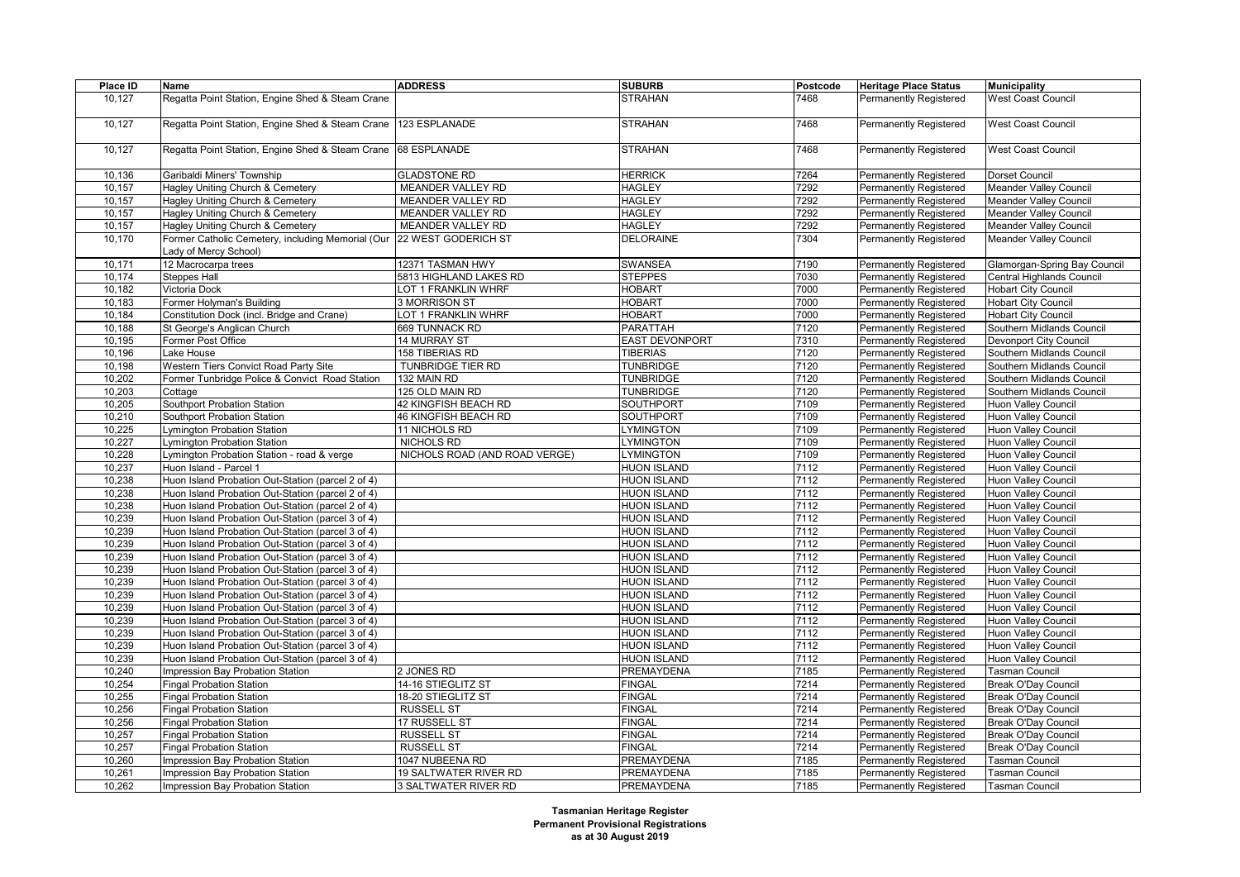| Place ID         | Name                                                                                                   | <b>ADDRESS</b>                | <b>SUBURB</b>                            | Postcode     | <b>Heritage Place Status</b>                                   | <b>Municipality</b>                               |
|------------------|--------------------------------------------------------------------------------------------------------|-------------------------------|------------------------------------------|--------------|----------------------------------------------------------------|---------------------------------------------------|
| 10,127           | Regatta Point Station, Engine Shed & Steam Crane                                                       |                               | STRAHAN                                  | 7468         | <b>Permanently Registered</b>                                  | <b>West Coast Council</b>                         |
|                  |                                                                                                        |                               |                                          |              |                                                                |                                                   |
| 10,127           | Regatta Point Station, Engine Shed & Steam Crane                                                       | 123 ESPLANADE                 | <b>STRAHAN</b>                           | 7468         | <b>Permanently Registered</b>                                  | <b>West Coast Council</b>                         |
|                  |                                                                                                        |                               |                                          |              |                                                                |                                                   |
| 10,127           | Regatta Point Station, Engine Shed & Steam Crane                                                       | 68 ESPLANADE                  | <b>STRAHAN</b>                           | 7468         | <b>Permanently Registered</b>                                  | <b>West Coast Council</b>                         |
|                  |                                                                                                        |                               |                                          |              |                                                                |                                                   |
| 10,136           | Garibaldi Miners' Township                                                                             | <b>GLADSTONE RD</b>           | <b>HERRICK</b>                           | 7264         | <b>Permanently Registered</b>                                  | Dorset Council                                    |
| 10,157           | Hagley Uniting Church & Cemetery                                                                       | MEANDER VALLEY RD             | <b>HAGLEY</b>                            | 7292         | <b>Permanently Registered</b>                                  | <b>Meander Valley Council</b>                     |
| 10,157           | Hagley Uniting Church & Cemetery                                                                       | MEANDER VALLEY RD             | <b>HAGLEY</b>                            | 7292         | <b>Permanently Registered</b>                                  | <b>Meander Valley Council</b>                     |
| 10,157           | Hagley Uniting Church & Cemetery                                                                       | MEANDER VALLEY RD             | <b>HAGLEY</b>                            | 7292         | <b>Permanently Registered</b>                                  | <b>Meander Valley Council</b>                     |
| 10,157           | Hagley Uniting Church & Cemetery                                                                       | MEANDER VALLEY RD             | <b>HAGLEY</b>                            | 7292         | <b>Permanently Registered</b>                                  | <b>Meander Valley Council</b>                     |
| 10,170           | Former Catholic Cemetery, including Memorial (Our                                                      | 22 WEST GODERICH ST           | <b>DELORAINE</b>                         | 7304         | <b>Permanently Registered</b>                                  | <b>Meander Valley Council</b>                     |
|                  | ady of Mercy School)                                                                                   |                               |                                          |              |                                                                |                                                   |
| 10,171           | 12 Macrocarpa trees                                                                                    | 12371 TASMAN HWY              | <b>SWANSEA</b>                           | 7190         | <b>Permanently Registered</b>                                  | Glamorgan-Spring Bay Council                      |
| 10,174           | <b>Steppes Hall</b>                                                                                    | 5813 HIGHLAND LAKES RD        | <b>STEPPES</b>                           | 7030         | <b>Permanently Registered</b>                                  | Central Highlands Council                         |
| 10,182           | Victoria Dock                                                                                          | LOT 1 FRANKLIN WHRF           | <b>HOBART</b>                            | 7000         | <b>Permanently Registered</b>                                  | <b>Hobart City Council</b>                        |
| 10,183           | Former Holyman's Building                                                                              | 3 MORRISON ST                 | <b>HOBART</b>                            | 7000         | <b>Permanently Registered</b>                                  | <b>Hobart City Council</b>                        |
| 10,184           | Constitution Dock (incl. Bridge and Crane)                                                             | LOT 1 FRANKLIN WHRF           | <b>HOBART</b>                            | 7000         | <b>Permanently Registered</b>                                  | <b>Hobart City Council</b>                        |
| 10,188           | St George's Anglican Church                                                                            | 669 TUNNACK RD                | <b>PARATTAH</b>                          | 7120         | <b>Permanently Registered</b>                                  | Southern Midlands Council                         |
| 10,195           | Former Post Office                                                                                     | 14 MURRAY ST                  | <b>EAST DEVONPORT</b>                    | 7310         | <b>Permanently Registered</b>                                  | Devonport City Council                            |
| 10,196           | Lake House                                                                                             | 158 TIBERIAS RD               | <b>TIBERIAS</b>                          | 7120         | <b>Permanently Registered</b>                                  | Southern Midlands Council                         |
| 10,198           | Western Tiers Convict Road Party Site                                                                  | TUNBRIDGE TIER RD             | <b>TUNBRIDGE</b>                         | 7120         | <b>Permanently Registered</b>                                  | Southern Midlands Council                         |
| 10,202           | Former Tunbridge Police & Convict Road Station                                                         | 132 MAIN RD                   | <b>TUNBRIDGE</b>                         | 7120         | <b>Permanently Registered</b>                                  | Southern Midlands Council                         |
| 10,203           | Cottage                                                                                                | 125 OLD MAIN RD               | <b>TUNBRIDGE</b>                         | 7120         | Permanently Registered                                         | Southern Midlands Council                         |
| 10,205           | Southport Probation Station                                                                            | 42 KINGFISH BEACH RD          | <b>SOUTHPORT</b>                         | 7109         | <b>Permanently Registered</b>                                  | Huon Valley Council                               |
| 10,210           | Southport Probation Station                                                                            | 46 KINGFISH BEACH RD          | SOUTHPORT                                | 7109         | <b>Permanently Registered</b>                                  | <b>Huon Valley Council</b>                        |
| 10,225           | Lymington Probation Station                                                                            | 11 NICHOLS RD                 | <b>YMINGTON</b>                          | 7109         | Permanently Registered                                         | <b>Huon Valley Council</b>                        |
| 10,227           | <b>Lymington Probation Station</b>                                                                     | NICHOLS RD                    | LYMINGTON                                | 7109         | <b>Permanently Registered</b>                                  | Huon Valley Council                               |
| 10,228           | Lymington Probation Station - road & verge                                                             | NICHOLS ROAD (AND ROAD VERGE) | <b>YMINGTON</b>                          | 7109         | Permanently Registered                                         | Huon Valley Council                               |
| 10,237           | Huon Island - Parcel 1                                                                                 |                               | <b>HUON ISLAND</b>                       | 7112         | <b>Permanently Registered</b>                                  | Huon Valley Council                               |
| 10,238           | Huon Island Probation Out-Station (parcel 2 of 4)                                                      |                               | <b>HUON ISLAND</b>                       | 7112         | <b>Permanently Registered</b>                                  | <b>Huon Valley Council</b>                        |
| 10,238<br>10,238 | Huon Island Probation Out-Station (parcel 2 of 4)<br>Huon Island Probation Out-Station (parcel 2 of 4) |                               | <b>HUON ISLAND</b><br><b>HUON ISLAND</b> | 7112<br>7112 | Permanently Registered                                         | Huon Valley Council                               |
|                  |                                                                                                        |                               | <b>HUON ISLAND</b>                       | 7112         | <b>Permanently Registered</b>                                  | Huon Valley Council                               |
| 10,239<br>10,239 | Huon Island Probation Out-Station (parcel 3 of 4)<br>Huon Island Probation Out-Station (parcel 3 of 4) |                               | <b>HUON ISLAND</b>                       | 7112         | <b>Permanently Registered</b>                                  | <b>Huon Valley Council</b><br>Huon Valley Council |
| 10,239           | Huon Island Probation Out-Station (parcel 3 of 4)                                                      |                               | <b>HUON ISLAND</b>                       | 7112         | Permanently Registered<br><b>Permanently Registered</b>        | Huon Valley Council                               |
|                  |                                                                                                        |                               | <b>HUON ISLAND</b>                       | 7112         |                                                                |                                                   |
| 10,239<br>10,239 | Huon Island Probation Out-Station (parcel 3 of 4)<br>Huon Island Probation Out-Station (parcel 3 of 4) |                               | <b>HUON ISLAND</b>                       | 7112         | <b>Permanently Registered</b><br><b>Permanently Registered</b> | Huon Valley Council<br>Huon Valley Council        |
| 10,239           | Huon Island Probation Out-Station (parcel 3 of 4)                                                      |                               | <b>HUON ISLAND</b>                       | 7112         | <b>Permanently Registered</b>                                  | Huon Valley Council                               |
| 10,239           | Huon Island Probation Out-Station (parcel 3 of 4)                                                      |                               | <b>HUON ISLAND</b>                       | 7112         | <b>Permanently Registered</b>                                  | <b>Huon Valley Council</b>                        |
| 10,239           | Huon Island Probation Out-Station (parcel 3 of 4)                                                      |                               | <b>HUON ISLAND</b>                       | 7112         | Permanently Registered                                         | Huon Valley Council                               |
| 10,239           | Huon Island Probation Out-Station (parcel 3 of 4)                                                      |                               | <b>HUON ISLAND</b>                       | 7112         | <b>Permanently Registered</b>                                  | Huon Valley Council                               |
| 10,239           | Huon Island Probation Out-Station (parcel 3 of 4)                                                      |                               | <b>HUON ISLAND</b>                       | 7112         | <b>Permanently Registered</b>                                  | Huon Valley Council                               |
| 10,239           | Huon Island Probation Out-Station (parcel 3 of 4)                                                      |                               | <b>HUON ISLAND</b>                       | 7112         | <b>Permanently Registered</b>                                  | Huon Valley Council                               |
| 10,239           | Huon Island Probation Out-Station (parcel 3 of 4)                                                      |                               | <b>HUON ISLAND</b>                       | 7112         | <b>Permanently Registered</b>                                  | Huon Valley Council                               |
| 10,240           | Impression Bay Probation Station                                                                       | 2 JONES RD                    | PREMAYDENA                               | 7185         | <b>Permanently Registered</b>                                  | <b>Tasman Council</b>                             |
| 10,254           | <b>Fingal Probation Station</b>                                                                        | 14-16 STIEGLITZ ST            | <b>FINGAL</b>                            | 7214         | Permanently Registered                                         | Break O'Day Council                               |
| 10,255           | <b>Fingal Probation Station</b>                                                                        | 18-20 STIEGLITZ ST            | <b>FINGAL</b>                            | 7214         | Permanently Registered                                         | Break O'Day Council                               |
| 10,256           | <b>Fingal Probation Station</b>                                                                        | <b>RUSSELL ST</b>             | <b>FINGAL</b>                            | 7214         | Permanently Registered                                         | Break O'Day Council                               |
| 10,256           | <b>Fingal Probation Station</b>                                                                        | 17 RUSSELL ST                 | <b>FINGAL</b>                            | 7214         | <b>Permanently Registered</b>                                  | Break O'Day Council                               |
| 10,257           | <b>Fingal Probation Station</b>                                                                        | <b>RUSSELL ST</b>             | <b>FINGAL</b>                            | 7214         | Permanently Registered                                         | Break O'Day Council                               |
| 10,257           | <b>Fingal Probation Station</b>                                                                        | <b>RUSSELL ST</b>             | <b>FINGAL</b>                            | 7214         | Permanently Registered                                         | Break O'Day Council                               |
| 10,260           | Impression Bay Probation Station                                                                       | 1047 NUBEENA RD               | PREMAYDENA                               | 7185         | <b>Permanently Registered</b>                                  | <b>Tasman Council</b>                             |
| 10,261           | Impression Bay Probation Station                                                                       | <b>19 SALTWATER RIVER RD</b>  | PREMAYDENA                               | 7185         | Permanently Registered                                         | <b>Tasman Council</b>                             |
| 10,262           | Impression Bay Probation Station                                                                       | 3 SALTWATER RIVER RD          | <b>PREMAYDENA</b>                        | 7185         | <b>Permanently Registered</b>                                  | <b>Tasman Council</b>                             |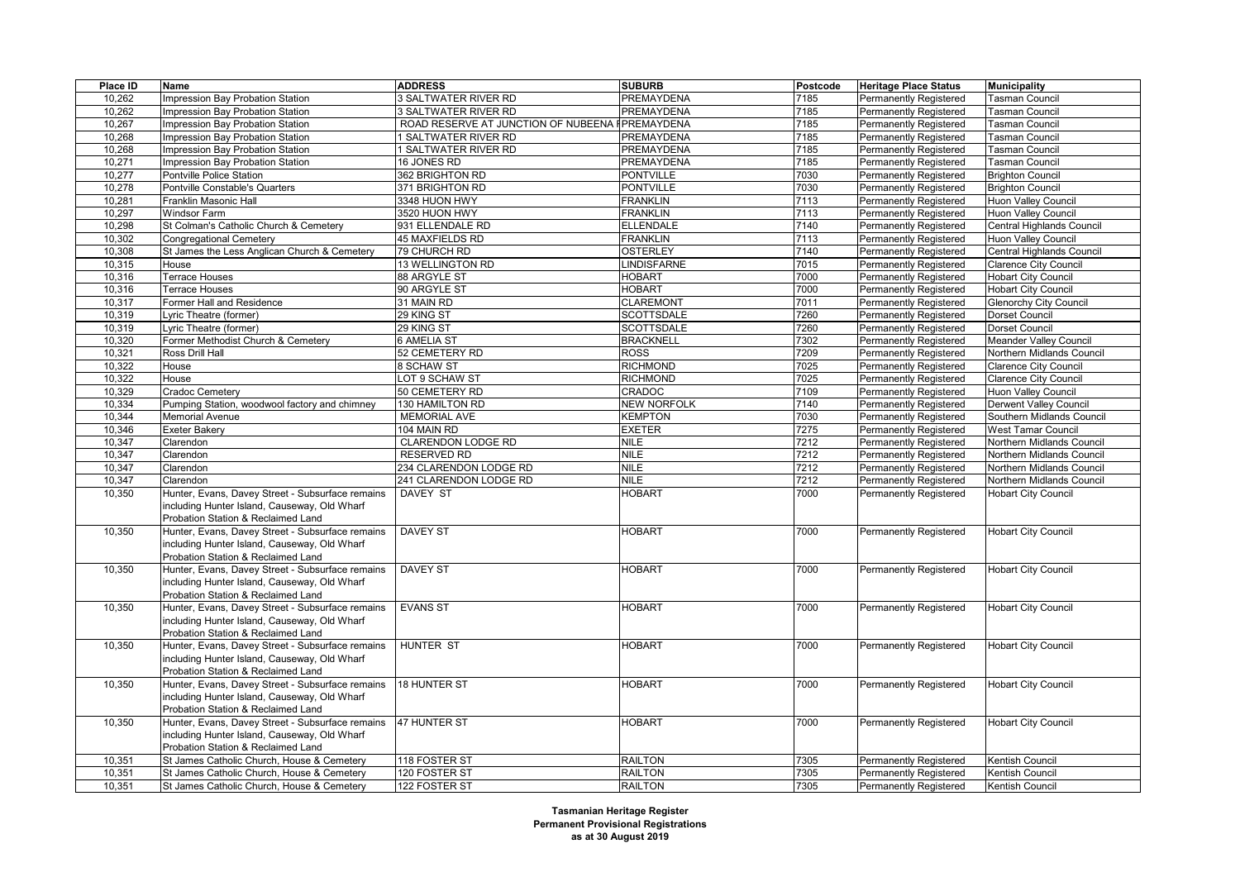| Place ID | <b>Name</b>                                      | <b>ADDRESS</b>                      | <b>SUBURB</b>                | Postcode     | <b>Heritage Place Status</b>  | <b>Municipality</b>           |
|----------|--------------------------------------------------|-------------------------------------|------------------------------|--------------|-------------------------------|-------------------------------|
| 10,262   | Impression Bay Probation Station                 | 3 SALTWATER RIVER RD                | PREMAYDENA                   | 7185         | <b>Permanently Registered</b> | <b>Tasman Council</b>         |
| 10,262   | mpression Bay Probation Station                  | 3 SALTWATER RIVER RD                | PREMAYDENA                   | 7185         | Permanently Registered        | <b>Tasman Council</b>         |
| 10,267   | Impression Bay Probation Station                 | ROAD RESERVE AT JUNCTION OF NUBEENA | PREMAYDENA                   | 7185         | <b>Permanently Registered</b> | <b>Fasman Council</b>         |
| 10,268   | Impression Bay Probation Station                 | SALTWATER RIVER RD                  | PREMAYDENA                   | 7185         | Permanently Registered        | <b>Tasman Council</b>         |
| 10,268   | mpression Bay Probation Station                  | SALTWATER RIVER RD                  | PREMAYDENA                   | 7185         | Permanently Registered        | asman Council                 |
| 10,271   | Impression Bay Probation Station                 | 16 JONES RD                         | PREMAYDENA                   | 7185         | <b>Permanently Registered</b> | <b>Tasman Council</b>         |
| 10,277   | Pontville Police Station                         | 362 BRIGHTON RD                     | <b>PONTVILLE</b>             | 7030         | Permanently Registered        | <b>Brighton Council</b>       |
| 10,278   | Pontville Constable's Quarters                   | 371 BRIGHTON RD                     | <b>PONTVILLE</b>             | 7030         | Permanently Registered        | <b>Brighton Council</b>       |
| 10,281   | Franklin Masonic Hall                            | 3348 HUON HWY                       | <b>FRANKLIN</b>              | 7113         | <b>Permanently Registered</b> | Huon Valley Council           |
| 10,297   | <b>Windsor Farm</b>                              | 3520 HUON HWY                       | <b>FRANKLIN</b>              | 7113         | Permanently Registered        | Huon Valley Council           |
| 10,298   | St Colman's Catholic Church & Cemetery           | 931 ELLENDALE RD                    | <b>ELLENDALE</b>             | 7140         | Permanently Registered        | Central Highlands Council     |
| 10,302   | <b>Congregational Cemetery</b>                   | 45 MAXFIELDS RD                     | <b>FRANKLIN</b>              | 7113         | <b>Permanently Registered</b> | Huon Valley Council           |
| 10,308   | St James the Less Anglican Church & Cemetery     | 79 CHURCH RD                        | <b>OSTERLEY</b>              | 7140         | Permanently Registered        | Central Highlands Council     |
| 10,315   | House                                            | 13 WELLINGTON RD                    | <b>LINDISFARNE</b>           | 7015         | Permanently Registered        | <b>Clarence City Council</b>  |
| 10,316   | <b>Ferrace Houses</b>                            | 88 ARGYLE ST                        | <b>HOBART</b>                | 7000         | Permanently Registered        | <b>Hobart City Council</b>    |
| 10,316   | Terrace Houses                                   | 90 ARGYLE ST                        | <b>HOBART</b>                | 7000         | Permanently Registered        | <b>Hobart City Council</b>    |
| 10,317   | Former Hall and Residence                        | 31 MAIN RD                          | <b>CLAREMONT</b>             | 7011         | Permanently Registered        | <b>Glenorchy City Council</b> |
| 10,319   | vric Theatre (former)                            | 29 KING ST                          | <b>SCOTTSDALE</b>            | 7260         | <b>Permanently Registered</b> | Dorset Council                |
| 10,319   | _yric Theatre (former)                           | 29 KING ST                          | <b>SCOTTSDALE</b>            | 7260         | <b>Permanently Registered</b> | Dorset Council                |
| 10,320   | Former Methodist Church & Cemetery               | <b>6 AMELIA ST</b>                  | <b>BRACKNELL</b>             | 7302         | Permanently Registered        | Meander Valley Council        |
| 10,321   | Ross Drill Hall                                  | 52 CEMETERY RD                      | <b>ROSS</b>                  | 7209         | <b>Permanently Registered</b> | Northern Midlands Council     |
| 10,322   | House                                            | 8 SCHAW ST                          | <b>RICHMOND</b>              | 7025         | <b>Permanently Registered</b> | <b>Clarence City Council</b>  |
| 10,322   | House                                            | LOT 9 SCHAW ST                      | <b>RICHMOND</b>              | 7025         | Permanently Registered        | <b>Clarence City Council</b>  |
| 10,329   | Cradoc Cemetery                                  | 50 CEMETERY RD                      | CRADOC                       | 7109         | <b>Permanently Registered</b> | Huon Valley Council           |
| 10,334   | Pumping Station, woodwool factory and chimney    | 130 HAMILTON RD                     | <b>NEW NORFOLK</b>           | 7140         | <b>Permanently Registered</b> | Derwent Valley Council        |
| 10,344   | Memorial Avenue                                  | MEMORIAL AVE                        | KEMPTON                      | 7030         | Permanently Registered        | Southern Midlands Council     |
| 10,346   | Exeter Bakery                                    | 104 MAIN RD                         | <b>EXETER</b>                | 7275         | <b>Permanently Registered</b> | <b>West Tamar Council</b>     |
| 10,347   | Clarendon                                        | CLARENDON LODGE RD                  | <b>NILE</b>                  | 7212         |                               | Northern Midlands Council     |
|          |                                                  | <b>RESERVED RD</b>                  | <b>NILE</b>                  |              | <b>Permanently Registered</b> |                               |
| 10,347   | Clarendon                                        |                                     | NILE                         | 7212         | Permanently Registered        | Northern Midlands Council     |
| 10,347   | Clarendon                                        | 234 CLARENDON LODGE RD              |                              | 7212         | <b>Permanently Registered</b> | Northern Midlands Council     |
| 10,347   | Clarendon                                        | 241 CLARENDON LODGE RD              | <b>NILE</b><br><b>HOBART</b> | 7212<br>7000 | Permanently Registered        | Northern Midlands Council     |
| 10,350   | Hunter, Evans, Davey Street - Subsurface remains | DAVEY ST                            |                              |              | Permanently Registered        | <b>Hobart City Council</b>    |
|          | including Hunter Island, Causeway, Old Wharf     |                                     |                              |              |                               |                               |
|          | Probation Station & Reclaimed Land               |                                     |                              |              |                               |                               |
| 10,350   | Hunter, Evans, Davey Street - Subsurface remains | <b>DAVEY ST</b>                     | <b>HOBART</b>                | 7000         | Permanently Registered        | <b>Hobart City Council</b>    |
|          | including Hunter Island, Causeway, Old Wharf     |                                     |                              |              |                               |                               |
|          | Probation Station & Reclaimed Land               |                                     |                              |              |                               |                               |
| 10,350   | Hunter, Evans, Davey Street - Subsurface remains | <b>DAVEY ST</b>                     | <b>HOBART</b>                | 7000         | Permanently Registered        | <b>Hobart City Council</b>    |
|          | including Hunter Island, Causeway, Old Wharf     |                                     |                              |              |                               |                               |
|          | Probation Station & Reclaimed Land               |                                     |                              |              |                               |                               |
| 10,350   | Hunter, Evans, Davey Street - Subsurface remains | <b>EVANS ST</b>                     | <b>HOBART</b>                | 7000         | Permanently Registered        | <b>Hobart City Council</b>    |
|          | including Hunter Island, Causeway, Old Wharf     |                                     |                              |              |                               |                               |
|          | Probation Station & Reclaimed Land               |                                     |                              |              |                               |                               |
| 10,350   | Hunter, Evans, Davey Street - Subsurface remains | <b>HUNTER ST</b>                    | <b>HOBART</b>                | 7000         | Permanently Registered        | <b>Hobart City Council</b>    |
|          | including Hunter Island, Causeway, Old Wharf     |                                     |                              |              |                               |                               |
|          | Probation Station & Reclaimed Land               |                                     |                              |              |                               |                               |
| 10,350   | Hunter, Evans, Davey Street - Subsurface remains | <b>18 HUNTER ST</b>                 | <b>HOBART</b>                | 7000         | Permanently Registered        | <b>Hobart City Council</b>    |
|          | including Hunter Island, Causeway, Old Wharf     |                                     |                              |              |                               |                               |
|          | Probation Station & Reclaimed Land               |                                     |                              |              |                               |                               |
| 10,350   | Hunter, Evans, Davey Street - Subsurface remains | <b>47 HUNTER ST</b>                 | <b>HOBART</b>                | 7000         | Permanently Registered        | <b>Hobart City Council</b>    |
|          | including Hunter Island, Causeway, Old Wharf     |                                     |                              |              |                               |                               |
|          | Probation Station & Reclaimed Land               |                                     |                              |              |                               |                               |
| 10,351   | St James Catholic Church, House & Cemetery       | 118 FOSTER ST                       | <b>RAILTON</b>               | 7305         | Permanently Registered        | <b>Kentish Council</b>        |
| 10,351   | St James Catholic Church, House & Cemetery       | 120 FOSTER ST                       | <b>RAILTON</b>               | 7305         | <b>Permanently Registered</b> | <b>Kentish Council</b>        |
| 10,351   | St James Catholic Church, House & Cemetery       | 122 FOSTER ST                       | <b>RAILTON</b>               | 7305         | <b>Permanently Registered</b> | Kentish Council               |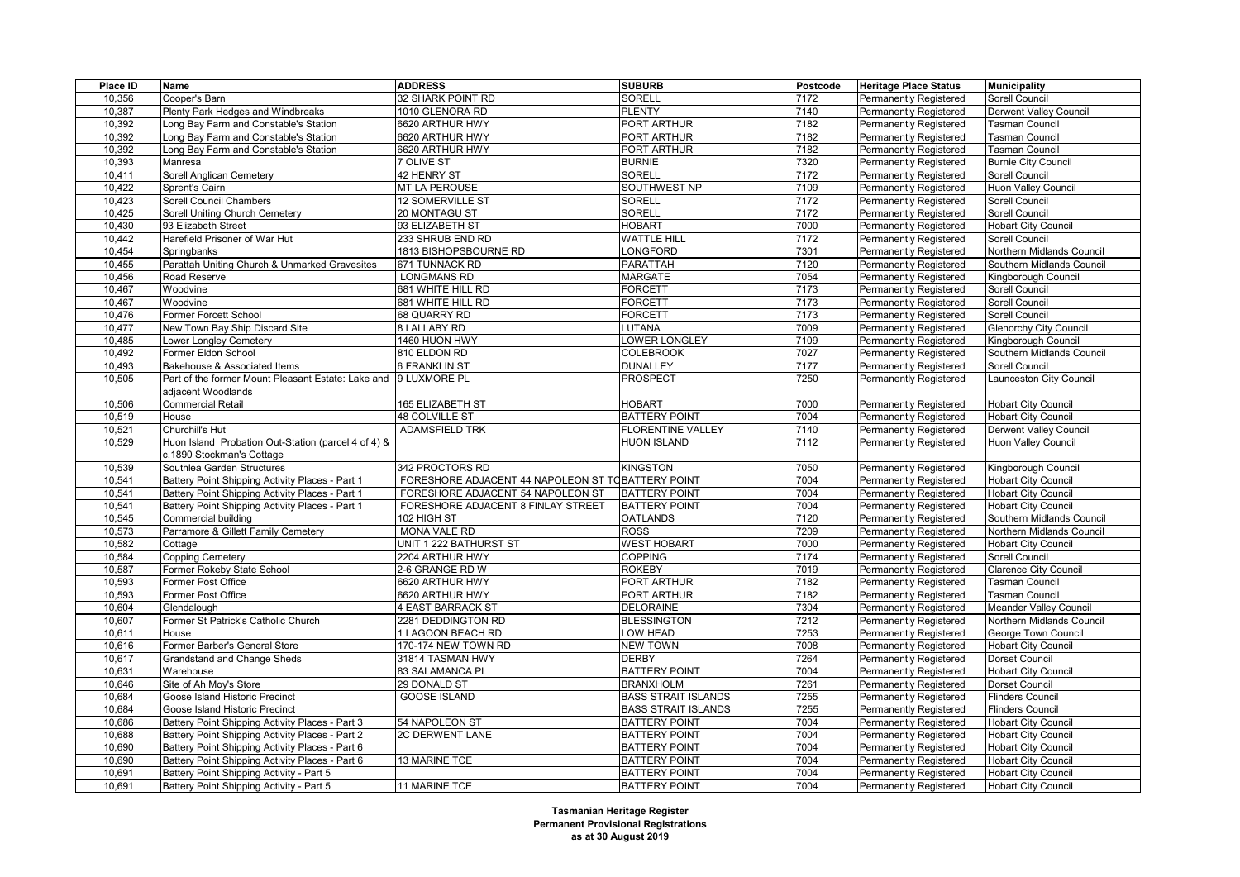| Place ID         | Name                                                | <b>ADDRESS</b>                                     | <b>SUBURB</b>              | Postcode | <b>Heritage Place Status</b>                     | <b>Municipality</b>                            |
|------------------|-----------------------------------------------------|----------------------------------------------------|----------------------------|----------|--------------------------------------------------|------------------------------------------------|
| 10,356           | Cooper's Barn                                       | 32 SHARK POINT RD                                  | SORELL                     | 7172     | Permanently Registered                           | Sorell Council                                 |
| 10,387           | Plenty Park Hedges and Windbreaks                   | 1010 GLENORA RD                                    | <b>PLENTY</b>              | 7140     | Permanently Registered                           | Derwent Valley Council                         |
| 10,392           | Long Bay Farm and Constable's Station               | 6620 ARTHUR HWY                                    | PORT ARTHUR                | 7182     | Permanently Registered                           | <b>Tasman Council</b>                          |
| 10,392           | Long Bay Farm and Constable's Station               | 6620 ARTHUR HWY                                    | <b>PORT ARTHUR</b>         | 7182     | Permanently Registered                           | <b>Tasman Council</b>                          |
| 10,392           | Long Bay Farm and Constable's Station               | 6620 ARTHUR HWY                                    | PORT ARTHUR                | 7182     | <b>Permanently Registered</b>                    | Tasman Council                                 |
| 10,393           | Manresa                                             | 7 OLIVE ST                                         | <b>BURNIE</b>              | 7320     | Permanently Registered                           | <b>Burnie City Council</b>                     |
| 10,411           | Sorell Anglican Cemetery                            | 42 HENRY ST                                        | SORELL                     | 7172     | Permanently Registered                           | Sorell Council                                 |
| 10,422           | Sprent's Cairn                                      | <b>MT LA PEROUSE</b>                               | SOUTHWEST NP               | 7109     | Permanently Registered                           | <b>Huon Valley Council</b>                     |
| 10,423           | Sorell Council Chambers                             | 12 SOMERVILLE ST                                   | SORELL                     | 7172     | Permanently Registered                           | Sorell Council                                 |
| 10,425           | Sorell Uniting Church Cemetery                      | 20 MONTAGU ST                                      | <b>SORELL</b>              | 7172     | Permanently Registered                           | <b>Sorell Council</b>                          |
| 10,430           | 93 Elizabeth Street                                 | 93 ELIZABETH ST                                    | <b>HOBART</b>              | 7000     | Permanently Registered                           | <b>Hobart City Council</b>                     |
| 10,442           | Harefield Prisoner of War Hut                       | 233 SHRUB END RD                                   | <b>WATTLE HILL</b>         | 7172     | Permanently Registered                           | Sorell Council                                 |
| 10,454           | Springbanks                                         | 1813 BISHOPSBOURNE RD                              | <b>ONGFORD</b>             | 7301     | Permanently Registered                           | Northern Midlands Council                      |
| 10,455           | Parattah Uniting Church & Unmarked Gravesites       | 671 TUNNACK RD                                     | <b>PARATTAH</b>            | 7120     | <b>Permanently Registered</b>                    | Southern Midlands Council                      |
| 10,456           | Road Reserve                                        | <b>LONGMANS RD</b>                                 | <b>MARGATE</b>             | 7054     | Permanently Registered                           | Kingborough Council                            |
| 10,467           | Woodvine                                            | 681 WHITE HILL RD                                  | <b>FORCETT</b>             | 7173     | Permanently Registered                           | Sorell Council                                 |
| 10,467           | Woodvine                                            | 681 WHITE HILL RD                                  | <b>FORCETT</b>             | 7173     | <b>Permanently Registered</b>                    | Sorell Council                                 |
| 10,476           | Former Forcett School                               | 68 QUARRY RD                                       | FORCETT                    | 7173     | Permanently Registered                           | Sorell Council                                 |
| 10,477           | New Town Bay Ship Discard Site                      | 8 LALLABY RD                                       | <b>UTANA</b>               | 7009     | Permanently Registered                           | <b>Glenorchy City Council</b>                  |
| 10,485           | Lower Longley Cemetery                              | 1460 HUON HWY                                      | OWER LONGLEY               | 7109     | Permanently Registered                           | Kingborough Council                            |
| 10,492           | Former Eldon School                                 | 810 ELDON RD                                       | <b>COLEBROOK</b>           | 7027     | Permanently Registered                           | Southern Midlands Council                      |
| 10,493           | Bakehouse & Associated Items                        | <b>6 FRANKLIN ST</b>                               | <b>DUNALLEY</b>            | 7177     | Permanently Registered                           | Sorell Council                                 |
| 10,505           | Part of the former Mount Pleasant Estate: Lake and  | 9 LUXMORE PL                                       | <b>PROSPECT</b>            | 7250     | Permanently Registered                           | Launceston City Council                        |
|                  | adjacent Woodlands                                  |                                                    |                            |          |                                                  |                                                |
| 10,506           | <b>Commercial Retail</b>                            | <b>165 ELIZABETH ST</b>                            | <b>HOBART</b>              | 7000     | <b>Permanently Registered</b>                    | <b>Hobart City Council</b>                     |
| 10,519           | House                                               | <b>48 COLVILLE ST</b>                              | <b>BATTERY POINT</b>       | 7004     | <b>Permanently Registered</b>                    | <b>Hobart City Council</b>                     |
| 10,521           | Churchill's Hut                                     | <b>ADAMSFIELD TRK</b>                              | <b>FLORENTINE VALLEY</b>   | 7140     | Permanently Registered                           | <b>Derwent Valley Council</b>                  |
| 10,529           | Huon Island Probation Out-Station (parcel 4 of 4) & |                                                    | <b>HUON ISLAND</b>         | 7112     | Permanently Registered                           | Huon Valley Council                            |
|                  | c.1890 Stockman's Cottage                           |                                                    |                            |          |                                                  |                                                |
| 10,539           | Southlea Garden Structures                          | 342 PROCTORS RD                                    | <b>KINGSTON</b>            | 7050     | Permanently Registered                           | Kingborough Council                            |
| 10,541           | Battery Point Shipping Activity Places - Part 1     | FORESHORE ADJACENT 44 NAPOLEON ST TO BATTERY POINT |                            | 7004     | <b>Permanently Registered</b>                    | <b>Hobart City Council</b>                     |
| 10,541           | Battery Point Shipping Activity Places - Part 1     | FORESHORE ADJACENT 54 NAPOLEON ST                  | <b>BATTERY POINT</b>       | 7004     | Permanently Registered                           | <b>Hobart City Council</b>                     |
| 10,541           | Battery Point Shipping Activity Places - Part 1     | FORESHORE ADJACENT 8 FINLAY STREET                 | <b>BATTERY POINT</b>       | 7004     | Permanently Registered                           | <b>Hobart City Council</b>                     |
| 10,545           | Commercial building                                 | 102 HIGH ST                                        | <b>OATLANDS</b>            | 7120     | Permanently Registered                           | Southern Midlands Council                      |
| 10,573           | Parramore & Gillett Family Cemetery                 | MONA VALE RD                                       | <b>ROSS</b>                | 7209     | Permanently Registered                           | Northern Midlands Council                      |
| 10,582           | Cottage                                             | UNIT 1 222 BATHURST ST                             | <b>WEST HOBART</b>         | 7000     | <b>Permanently Registered</b>                    | <b>Hobart City Council</b>                     |
| 10,584           |                                                     |                                                    | <b>COPPING</b>             | 7174     | Permanently Registered                           | Sorell Council                                 |
|                  | <b>Copping Cemetery</b>                             | 2204 ARTHUR HWY                                    | <b>ROKEBY</b>              | 7019     | Permanently Registered                           |                                                |
| 10,587<br>10,593 | Former Rokeby State School<br>Former Post Office    | 2-6 GRANGE RD W<br>6620 ARTHUR HWY                 | PORT ARTHUR                | 7182     |                                                  | Clarence City Council<br><b>Tasman Council</b> |
| 10,593           |                                                     |                                                    | PORT ARTHUR                | 7182     | Permanently Registered                           | <b>Tasman Council</b>                          |
| 10,604           | Former Post Office<br>Glendalough                   | 6620 ARTHUR HWY<br><b>4 EAST BARRACK ST</b>        | <b>DELORAINE</b>           | 7304     | Permanently Registered<br>Permanently Registered | Meander Valley Council                         |
| 10,607           |                                                     |                                                    | <b>BLESSINGTON</b>         | 7212     |                                                  |                                                |
|                  | Former St Patrick's Catholic Church                 | 2281 DEDDINGTON RD                                 |                            | 7253     | Permanently Registered                           | Northern Midlands Council                      |
| 10,611           | House                                               | 1 LAGOON BEACH RD                                  | OW HEAD<br><b>NEW TOWN</b> | 7008     | <b>Permanently Registered</b>                    | George Town Council                            |
| 10,616           | Former Barber's General Store                       | 170-174 NEW TOWN RD                                |                            |          | Permanently Registered                           | Hobart City Council                            |
| 10,617           | Grandstand and Change Sheds                         | 31814 TASMAN HWY                                   | <b>DERBY</b>               | 7264     | Permanently Registered                           | Dorset Council                                 |
| 10,631           | Warehouse                                           | 83 SALAMANCA PL                                    | <b>BATTERY POINT</b>       | 7004     | Permanently Registered                           | Hobart City Council                            |
| 10,646           | Site of Ah Moy's Store                              | 29 DONALD ST                                       | <b>BRANXHOLM</b>           | 7261     | Permanently Registered                           | Dorset Council                                 |
| 10,684           | Goose Island Historic Precinct                      | <b>GOOSE ISLAND</b>                                | <b>BASS STRAIT ISLANDS</b> | 7255     | Permanently Registered                           | <b>Flinders Council</b>                        |
| 10,684           | Goose Island Historic Precinct                      |                                                    | <b>BASS STRAIT ISLANDS</b> | 7255     | Permanently Registered                           | <b>Flinders Council</b>                        |
| 10,686           | Battery Point Shipping Activity Places - Part 3     | 54 NAPOLEON ST                                     | <b>BATTERY POINT</b>       | 7004     | Permanently Registered                           | Hobart City Council                            |
| 10,688           | Battery Point Shipping Activity Places - Part 2     | 2C DERWENT LANE                                    | <b>BATTERY POINT</b>       | 7004     | Permanently Registered                           | <b>Hobart City Council</b>                     |
| 10,690           | Battery Point Shipping Activity Places - Part 6     |                                                    | <b>BATTERY POINT</b>       | 7004     | Permanently Registered                           | <b>Hobart City Council</b>                     |
| 10,690           | Battery Point Shipping Activity Places - Part 6     | 13 MARINE TCE                                      | <b>BATTERY POINT</b>       | 7004     | Permanently Registered                           | Hobart City Council                            |
| 10,691           | Battery Point Shipping Activity - Part 5            |                                                    | <b>BATTERY POINT</b>       | 7004     | Permanently Registered                           | <b>Hobart City Council</b>                     |
| 10,691           | Battery Point Shipping Activity - Part 5            | 11 MARINE TCE                                      | <b>BATTERY POINT</b>       | 7004     | Permanently Registered                           | <b>Hobart City Council</b>                     |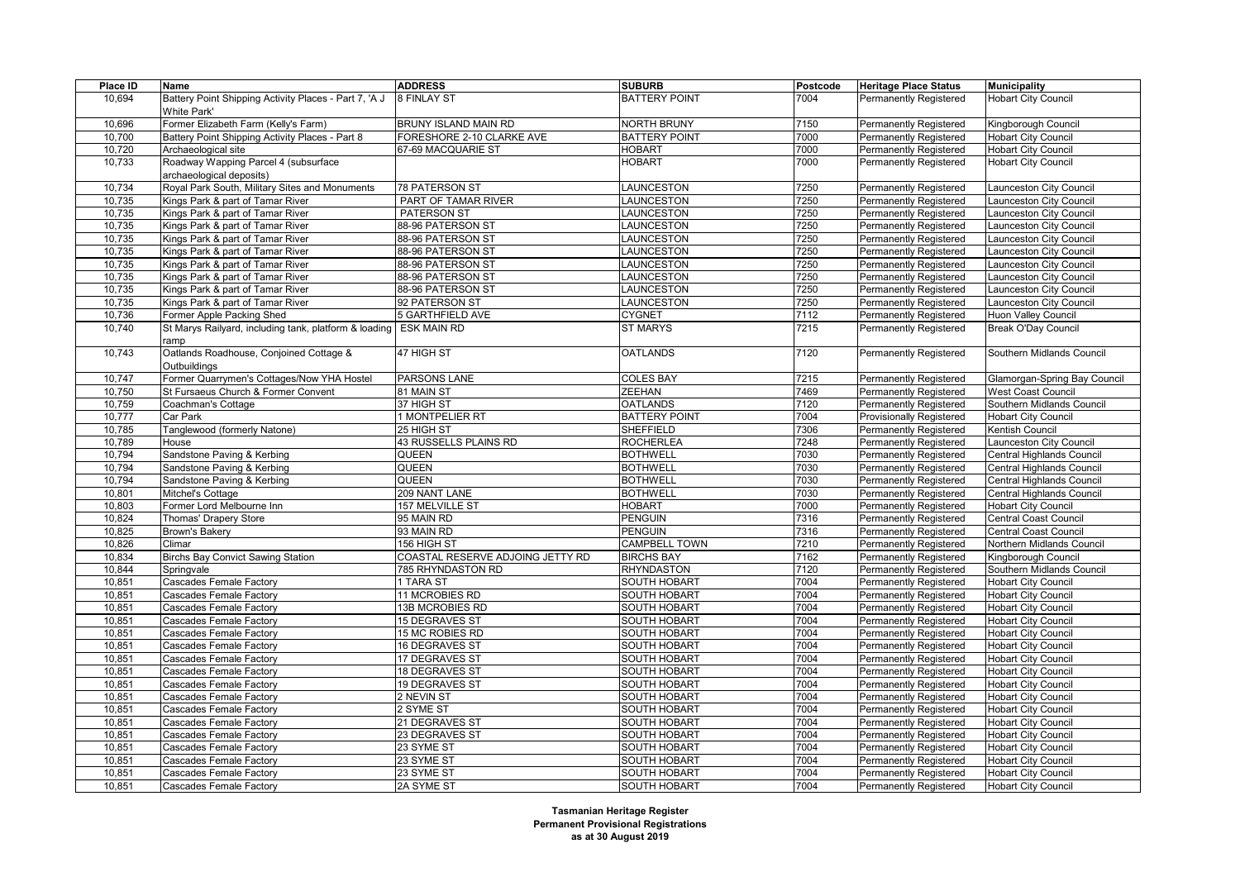| Place ID | Name                                                  | <b>ADDRESS</b>                   | <b>SUBURB</b>        | Postcode | <b>Heritage Place Status</b>    | <b>Municipality</b>          |
|----------|-------------------------------------------------------|----------------------------------|----------------------|----------|---------------------------------|------------------------------|
| 10,694   | Battery Point Shipping Activity Places - Part 7, 'A J | 8 FINLAY ST                      | <b>BATTERY POINT</b> | 7004     | <b>Permanently Registered</b>   | <b>Hobart City Council</b>   |
|          | White Park'                                           |                                  |                      |          |                                 |                              |
| 10,696   | Former Elizabeth Farm (Kelly's Farm)                  | BRUNY ISLAND MAIN RD             | NORTH BRUNY          | 7150     | <b>Permanently Registered</b>   | Kingborough Council          |
| 10,700   | Battery Point Shipping Activity Places - Part 8       | FORESHORE 2-10 CLARKE AVE        | <b>BATTERY POINT</b> | 7000     | Permanently Registered          | <b>Hobart City Council</b>   |
| 10,720   | Archaeological site                                   | 67-69 MACQUARIE ST               | <b>HOBART</b>        | 7000     | <b>Permanently Registered</b>   | <b>Hobart City Council</b>   |
| 10,733   | Roadway Wapping Parcel 4 (subsurface                  |                                  | <b>HOBART</b>        | 7000     | <b>Permanently Registered</b>   | <b>Hobart City Council</b>   |
|          | archaeological deposits)                              |                                  |                      |          |                                 |                              |
| 10,734   | Royal Park South, Military Sites and Monuments        | 78 PATERSON ST                   | LAUNCESTON           | 7250     | <b>Permanently Registered</b>   | Launceston City Council      |
| 10,735   | Kings Park & part of Tamar River                      | PART OF TAMAR RIVER              | LAUNCESTON           | 7250     | <b>Permanently Registered</b>   | aunceston City Council       |
| 10,735   | Kings Park & part of Tamar River                      | PATERSON ST                      | <b>AUNCESTON</b>     | 7250     | Permanently Registered          | aunceston City Council       |
| 10,735   | Kings Park & part of Tamar River                      | 88-96 PATERSON ST                | LAUNCESTON           | 7250     | Permanently Registered          | aunceston City Council       |
| 10,735   | Kings Park & part of Tamar River                      | 88-96 PATERSON ST                | <b>AUNCESTON</b>     | 7250     | <b>Permanently Registered</b>   | aunceston City Council       |
| 10,735   | Kings Park & part of Tamar River                      | 88-96 PATERSON ST                | <b>AUNCESTON</b>     | 7250     | Permanently Registered          | aunceston City Council       |
| 10,735   | Kings Park & part of Tamar River                      | 88-96 PATERSON ST                | LAUNCESTON           | 7250     | Permanently Registered          | Launceston City Council      |
| 10,735   | Kings Park & part of Tamar River                      | 88-96 PATERSON ST                | LAUNCESTON           | 7250     | <b>Permanently Registered</b>   | Launceston City Council      |
| 10,735   | Kings Park & part of Tamar River                      | 88-96 PATERSON ST                | LAUNCESTON           | 7250     | Permanently Registered          | aunceston City Council       |
| 10,735   | Kings Park & part of Tamar River                      | 92 PATERSON ST                   | <b>AUNCESTON</b>     | 7250     | <b>Permanently Registered</b>   | Launceston City Council      |
| 10,736   | Former Apple Packing Shed                             | <b>5 GARTHFIELD AVE</b>          | <b>CYGNET</b>        | 7112     | <b>Permanently Registered</b>   | <b>Huon Valley Council</b>   |
| 10,740   | St Marys Railyard, including tank, platform & loading | <b>ESK MAIN RD</b>               | <b>ST MARYS</b>      | 7215     | <b>Permanently Registered</b>   | Break O'Day Council          |
|          | ramp                                                  |                                  |                      |          |                                 |                              |
| 10,743   | Oatlands Roadhouse, Conjoined Cottage &               | 47 HIGH ST                       | <b>OATLANDS</b>      | 7120     | <b>Permanently Registered</b>   | Southern Midlands Council    |
|          | Outbuildings                                          |                                  |                      |          |                                 |                              |
| 10,747   | Former Quarrymen's Cottages/Now YHA Hostel            | PARSONS LANE                     | <b>COLES BAY</b>     | 7215     | <b>Permanently Registered</b>   | Glamorgan-Spring Bay Council |
| 10,750   | St Fursaeus Church & Former Convent                   | 81 MAIN ST                       | <b>ZEEHAN</b>        | 7469     | <b>Permanently Registered</b>   | West Coast Council           |
| 10,759   | Coachman's Cottage                                    | 37 HIGH ST                       | <b>OATLANDS</b>      | 7120     | Permanently Registered          | Southern Midlands Council    |
| 10,777   | Car Park                                              | 1 MONTPELIER RT                  | <b>BATTERY POINT</b> | 7004     | <b>Provisionally Registered</b> | <b>Hobart City Council</b>   |
| 10,785   | Tanglewood (formerly Natone)                          | 25 HIGH ST                       | SHEFFIELD            | 7306     | <b>Permanently Registered</b>   | Kentish Council              |
| 10,789   | House                                                 | 43 RUSSELLS PLAINS RD            | <b>ROCHERLEA</b>     | 7248     | Permanently Registered          | Launceston City Council      |
| 10,794   | Sandstone Paving & Kerbing                            | QUEEN                            | <b>BOTHWELL</b>      | 7030     | Permanently Registered          | Central Highlands Council    |
| 10,794   | Sandstone Paving & Kerbing                            | QUEEN                            | <b>BOTHWELL</b>      | 7030     | <b>Permanently Registered</b>   | Central Highlands Council    |
| 10,794   | Sandstone Paving & Kerbing                            | <b>QUEEN</b>                     | <b>BOTHWELL</b>      | 7030     | Permanently Registered          | Central Highlands Council    |
| 10,801   | Mitchel's Cottage                                     | 209 NANT LANE                    | <b>BOTHWELL</b>      | 7030     | Permanently Registered          | Central Highlands Council    |
| 10,803   | Former Lord Melbourne Inn                             | 157 MELVILLE ST                  | <b>HOBART</b>        | 7000     | <b>Permanently Registered</b>   | <b>Hobart City Council</b>   |
| 10,824   | Thomas' Drapery Store                                 | 95 MAIN RD                       | <b>PENGUIN</b>       | 7316     | Permanently Registered          | Central Coast Council        |
| 10,825   | Brown's Bakery                                        | 93 MAIN RD                       | <b>PENGUIN</b>       | 7316     | Permanently Registered          | Central Coast Council        |
| 10,826   | Climar                                                | 156 HIGH ST                      | CAMPBELL TOWN        | 7210     | <b>Permanently Registered</b>   | Northern Midlands Council    |
| 10,834   | <b>Birchs Bay Convict Sawing Station</b>              | COASTAL RESERVE ADJOING JETTY RD | <b>BIRCHS BAY</b>    | 7162     | Permanently Registered          | Kingborough Council          |
| 10,844   | Springvale                                            | 785 RHYNDASTON RD                | <b>RHYNDASTON</b>    | 7120     | <b>Permanently Registered</b>   | Southern Midlands Council    |
| 10,851   | Cascades Female Factory                               | 1 TARA ST                        | SOUTH HOBART         | 7004     | <b>Permanently Registered</b>   | <b>Hobart City Council</b>   |
| 10,851   | <b>Cascades Female Factory</b>                        | 11 MCROBIES RD                   | SOUTH HOBART         | 7004     | Permanently Registered          | <b>Hobart City Council</b>   |
| 10,851   | <b>Cascades Female Factory</b>                        | 13B MCROBIES RD                  | <b>SOUTH HOBART</b>  | 7004     | Permanently Registered          | <b>Hobart City Council</b>   |
| 10,851   | <b>Cascades Female Factory</b>                        | 15 DEGRAVES ST                   | <b>SOUTH HOBART</b>  | 7004     | <b>Permanently Registered</b>   | <b>Hobart City Council</b>   |
| 10,851   | Cascades Female Factory                               | 15 MC ROBIES RD                  | <b>SOUTH HOBART</b>  | 7004     | Permanently Registered          | <b>Hobart City Council</b>   |
| 10,851   | <b>Cascades Female Factory</b>                        | 16 DEGRAVES ST                   | <b>SOUTH HOBART</b>  | 7004     | Permanently Registered          | <b>Hobart City Council</b>   |
| 10,851   | Cascades Female Factory                               | 17 DEGRAVES ST                   | SOUTH HOBART         | 7004     | <b>Permanently Registered</b>   | <b>Hobart City Council</b>   |
| 10,851   | Cascades Female Factory                               | 18 DEGRAVES ST                   | <b>SOUTH HOBART</b>  | 7004     | <b>Permanently Registered</b>   | <b>Hobart City Council</b>   |
| 10,851   | <b>Cascades Female Factory</b>                        | 19 DEGRAVES ST                   | <b>SOUTH HOBART</b>  | 7004     | Permanently Registered          | <b>Hobart City Council</b>   |
| 10,851   | <b>Cascades Female Factory</b>                        | 2 NEVIN ST                       | <b>SOUTH HOBART</b>  | 7004     | <b>Permanently Registered</b>   | <b>Hobart City Council</b>   |
| 10,851   | <b>Cascades Female Factory</b>                        | 2 SYME ST                        | <b>SOUTH HOBART</b>  | 7004     | <b>Permanently Registered</b>   | <b>Hobart City Council</b>   |
| 10,851   | <b>Cascades Female Factory</b>                        | 21 DEGRAVES ST                   | <b>SOUTH HOBART</b>  | 7004     | Permanently Registered          | <b>Hobart City Council</b>   |
| 10,851   | Cascades Female Factory                               | 23 DEGRAVES ST                   | SOUTH HOBART         | 7004     | Permanently Registered          | <b>Hobart City Council</b>   |
| 10,851   | <b>Cascades Female Factory</b>                        | 23 SYME ST                       | <b>SOUTH HOBART</b>  | 7004     | <b>Permanently Registered</b>   | <b>Hobart City Council</b>   |
| 10,851   | <b>Cascades Female Factory</b>                        | 23 SYME ST                       | <b>SOUTH HOBART</b>  | 7004     | Permanently Registered          | <b>Hobart City Council</b>   |
| 10,851   | <b>Cascades Female Factory</b>                        | 23 SYME ST                       | <b>SOUTH HOBART</b>  | 7004     | <b>Permanently Registered</b>   | <b>Hobart City Council</b>   |
|          | Cascades Female Factory                               | 2A SYME ST                       | <b>SOUTH HOBART</b>  | 7004     |                                 |                              |
| 10,851   |                                                       |                                  |                      |          | <b>Permanently Registered</b>   | <b>Hobart City Council</b>   |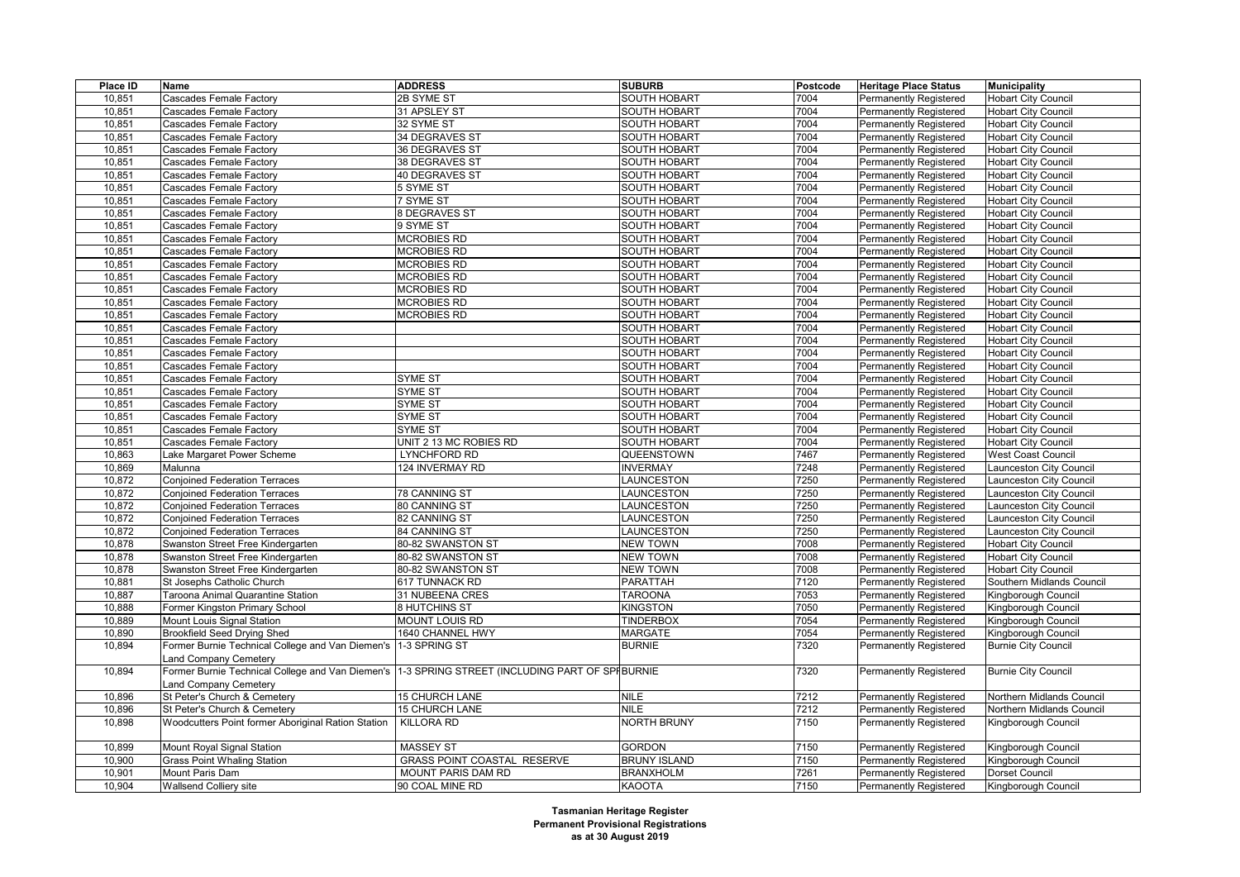| 10,851<br><b>Cascades Female Factory</b><br>2B SYME ST<br><b>SOUTH HOBART</b><br>7004<br><b>Permanently Registered</b><br><b>Hobart City Council</b><br>10.851<br>Cascades Female Factory<br>31 APSLEY ST<br><b>SOUTH HOBART</b><br>7004<br><b>Permanently Registered</b><br><b>Hobart City Council</b><br>10,851<br>32 SYME ST<br><b>SOUTH HOBART</b><br>7004<br><b>Permanently Registered</b><br><b>Hobart City Council</b><br><b>Cascades Female Factory</b><br>10,851<br><b>Cascades Female Factory</b><br>34 DEGRAVES ST<br><b>SOUTH HOBART</b><br>7004<br><b>Permanently Registered</b><br><b>Hobart City Council</b><br>10.851<br><b>Cascades Female Factory</b><br>36 DEGRAVES ST<br><b>SOUTH HOBART</b><br>7004<br>Permanently Registered<br><b>Hobart City Council</b><br>10,851<br><b>SOUTH HOBART</b><br>7004<br><b>Permanently Registered</b><br><b>Hobart City Council</b><br>Cascades Female Factory<br>38 DEGRAVES ST<br>10,851<br><b>Cascades Female Factory</b><br>40 DEGRAVES ST<br><b>SOUTH HOBART</b><br>7004<br><b>Permanently Registered</b><br><b>Hobart City Council</b><br>7004<br>10,851<br><b>Cascades Female Factory</b><br>5 SYME ST<br>SOUTH HOBART<br>Permanently Registered<br><b>Hobart City Council</b><br>10,851<br>7 SYME ST<br><b>SOUTH HOBART</b><br>7004<br><b>Permanently Registered</b><br><b>Hobart City Council</b><br><b>Cascades Female Factory</b><br>8 DEGRAVES ST<br>10,851<br><b>Cascades Female Factory</b><br><b>SOUTH HOBART</b><br>7004<br>Permanently Registered<br><b>Hobart City Council</b><br>7004<br>10,851<br><b>Cascades Female Factory</b><br>9 SYME ST<br><b>SOUTH HOBART</b><br>Permanently Registered<br><b>Hobart City Council</b><br><b>MCROBIES RD</b><br>10,851<br><b>SOUTH HOBART</b><br>7004<br><b>Permanently Registered</b><br><b>Hobart City Council</b><br>Cascades Female Factory<br><b>MCROBIES RD</b><br><b>SOUTH HOBART</b><br>10,851<br><b>Cascades Female Factory</b><br>7004<br><b>Permanently Registered</b><br><b>Hobart City Council</b><br>7004<br>10,851<br><b>Cascades Female Factory</b><br><b>MCROBIES RD</b><br>SOUTH HOBART<br><b>Permanently Registered</b><br><b>Hobart City Council</b><br>10,851<br><b>MCROBIES RD</b><br><b>SOUTH HOBART</b><br>7004<br><b>Permanently Registered</b><br>Hobart City Council<br><b>Cascades Female Factory</b><br><b>MCROBIES RD</b><br>10,851<br><b>Cascades Female Factory</b><br><b>SOUTH HOBART</b><br>7004<br>Permanently Registered<br><b>Hobart City Council</b><br>7004<br>10,851<br><b>Cascades Female Factory</b><br><b>MCROBIES RD</b><br><b>SOUTH HOBART</b><br>Permanently Registered<br><b>Hobart City Council</b><br>7004<br>10,851<br><b>Cascades Female Factory</b><br><b>MCROBIES RD</b><br><b>SOUTH HOBART</b><br>Permanently Registered<br><b>Hobart City Council</b><br>SOUTH HOBART<br>7004<br><b>Permanently Registered</b><br>10,851<br><b>Cascades Female Factory</b><br><b>Hobart City Council</b><br>10,851<br>SOUTH HOBART<br>7004<br><b>Permanently Registered</b><br><b>Hobart City Council</b><br>Cascades Female Factory<br>10,851<br>SOUTH HOBART<br>7004<br>Permanently Registered<br><b>Hobart City Council</b><br><b>Cascades Female Factory</b><br>SOUTH HOBART<br>7004<br><b>Permanently Registered</b><br>10,851<br><b>Cascades Female Factory</b><br><b>Hobart City Council</b><br>10,851<br>SYME ST<br>SOUTH HOBART<br>7004<br>Permanently Registered<br><b>Hobart City Council</b><br><b>Cascades Female Factory</b><br>SYME ST<br>10,851<br>SOUTH HOBART<br>7004<br><b>Permanently Registered</b><br><b>Hobart City Council</b><br><b>Cascades Female Factory</b><br>SYME ST<br><b>SOUTH HOBART</b><br>7004<br><b>Permanently Registered</b><br>10,851<br><b>Cascades Female Factory</b><br><b>Hobart City Council</b><br>10,851<br>SYME ST<br><b>SOUTH HOBART</b><br>7004<br><b>Permanently Registered</b><br><b>Hobart City Council</b><br>Cascades Female Factory<br>10,851<br><b>Cascades Female Factory</b><br>SYME ST<br><b>SOUTH HOBART</b><br>7004<br>Permanently Registered<br><b>Hobart City Council</b><br>UNIT 2 13 MC ROBIES RD<br><b>SOUTH HOBART</b><br>7004<br>Permanently Registered<br>10,851<br>Cascades Female Factory<br><b>Hobart City Council</b><br>10,863<br>Lake Margaret Power Scheme<br>LYNCHFORD RD<br>QUEENSTOWN<br>7467<br><b>Permanently Registered</b><br>West Coast Council<br>124 INVERMAY RD<br>10,869<br><b>INVERMAY</b><br>7248<br><b>Permanently Registered</b><br>aunceston City Council<br>Malunna<br>10,872<br><b>Conjoined Federation Terraces</b><br>LAUNCESTON<br>7250<br>Permanently Registered<br>aunceston City Council<br>10,872<br>LAUNCESTON<br>7250<br><b>Permanently Registered</b><br>Launceston City Council<br><b>Conjoined Federation Terraces</b><br>78 CANNING ST<br>10,872<br><b>Conjoined Federation Terraces</b><br>80 CANNING ST<br>LAUNCESTON<br>7250<br>Permanently Registered<br>Launceston City Council<br>10,872<br><b>Conjoined Federation Terraces</b><br>82 CANNING ST<br>LAUNCESTON<br>7250<br><b>Permanently Registered</b><br>Launceston City Council<br>10,872<br><b>Conjoined Federation Terraces</b><br>LAUNCESTON<br>7250<br><b>Permanently Registered</b><br>aunceston City Council<br>84 CANNING ST<br><b>Hobart City Council</b><br>10,878<br>Swanston Street Free Kindergarten<br>80-82 SWANSTON ST<br>NEW TOWN<br>7008<br>Permanently Registered<br><b>NEW TOWN</b><br>10,878<br>Swanston Street Free Kindergarten<br>80-82 SWANSTON ST<br>7008<br><b>Permanently Registered</b><br><b>Hobart City Council</b><br><b>NEW TOWN</b><br>7008<br>10,878<br>Swanston Street Free Kindergarten<br>80-82 SWANSTON ST<br><b>Permanently Registered</b><br><b>Hobart City Council</b><br>10,881<br>St Josephs Catholic Church<br>PARATTAH<br>7120<br>Southern Midlands Council<br>617 TUNNACK RD<br><b>Permanently Registered</b><br>10,887<br>Taroona Animal Quarantine Station<br>31 NUBEENA CRES<br><b>TAROONA</b><br>7053<br><b>Permanently Registered</b><br>Kingborough Council<br><b>KINGSTON</b><br>7050<br>10,888<br>Former Kingston Primary School<br>8 HUTCHINS ST<br>Permanently Registered<br>Kingborough Council<br><b>MOUNT LOUIS RD</b><br><b>TINDERBOX</b><br>7054<br>10,889<br>Mount Louis Signal Station<br><b>Permanently Registered</b><br>Kingborough Council<br>10,890<br><b>Brookfield Seed Drying Shed</b><br>1640 CHANNEL HWY<br>MARGATE<br>7054<br><b>Permanently Registered</b><br>Kingborough Council |  |
|-------------------------------------------------------------------------------------------------------------------------------------------------------------------------------------------------------------------------------------------------------------------------------------------------------------------------------------------------------------------------------------------------------------------------------------------------------------------------------------------------------------------------------------------------------------------------------------------------------------------------------------------------------------------------------------------------------------------------------------------------------------------------------------------------------------------------------------------------------------------------------------------------------------------------------------------------------------------------------------------------------------------------------------------------------------------------------------------------------------------------------------------------------------------------------------------------------------------------------------------------------------------------------------------------------------------------------------------------------------------------------------------------------------------------------------------------------------------------------------------------------------------------------------------------------------------------------------------------------------------------------------------------------------------------------------------------------------------------------------------------------------------------------------------------------------------------------------------------------------------------------------------------------------------------------------------------------------------------------------------------------------------------------------------------------------------------------------------------------------------------------------------------------------------------------------------------------------------------------------------------------------------------------------------------------------------------------------------------------------------------------------------------------------------------------------------------------------------------------------------------------------------------------------------------------------------------------------------------------------------------------------------------------------------------------------------------------------------------------------------------------------------------------------------------------------------------------------------------------------------------------------------------------------------------------------------------------------------------------------------------------------------------------------------------------------------------------------------------------------------------------------------------------------------------------------------------------------------------------------------------------------------------------------------------------------------------------------------------------------------------------------------------------------------------------------------------------------------------------------------------------------------------------------------------------------------------------------------------------------------------------------------------------------------------------------------------------------------------------------------------------------------------------------------------------------------------------------------------------------------------------------------------------------------------------------------------------------------------------------------------------------------------------------------------------------------------------------------------------------------------------------------------------------------------------------------------------------------------------------------------------------------------------------------------------------------------------------------------------------------------------------------------------------------------------------------------------------------------------------------------------------------------------------------------------------------------------------------------------------------------------------------------------------------------------------------------------------------------------------------------------------------------------------------------------------------------------------------------------------------------------------------------------------------------------------------------------------------------------------------------------------------------------------------------------------------------------------------------------------------------------------------------------------------------------------------------------------------------------------------------------------------------------------------------------------------------------------------------------------------------------------------------------------------------------------------------------------------------------------------------------------------------------------------------------------------------------------------------------------------------------------------------------------------------------------------------------------------------------------------------------------------------------------------------------------------------------------------------------------------------------------------------------------------------------------------------------------------------------------------------------------------------------------------------------------------------------------------------------------------------------------------------------------------------------------------------------------------------------------------------------------------------------------------------------------------------------------------------------------------------------------------------------------------------------------------------------------------------------------------|--|
|                                                                                                                                                                                                                                                                                                                                                                                                                                                                                                                                                                                                                                                                                                                                                                                                                                                                                                                                                                                                                                                                                                                                                                                                                                                                                                                                                                                                                                                                                                                                                                                                                                                                                                                                                                                                                                                                                                                                                                                                                                                                                                                                                                                                                                                                                                                                                                                                                                                                                                                                                                                                                                                                                                                                                                                                                                                                                                                                                                                                                                                                                                                                                                                                                                                                                                                                                                                                                                                                                                                                                                                                                                                                                                                                                                                                                                                                                                                                                                                                                                                                                                                                                                                                                                                                                                                                                                                                                                                                                                                                                                                                                                                                                                                                                                                                                                                                                                                                                                                                                                                                                                                                                                                                                                                                                                                                                                                                                                                                                                                                                                                                                                                                                                                                                                                                                                                                                                                                                                                                                                                                                                                                                                                                                                                                                                                                                                                                                                                                                           |  |
|                                                                                                                                                                                                                                                                                                                                                                                                                                                                                                                                                                                                                                                                                                                                                                                                                                                                                                                                                                                                                                                                                                                                                                                                                                                                                                                                                                                                                                                                                                                                                                                                                                                                                                                                                                                                                                                                                                                                                                                                                                                                                                                                                                                                                                                                                                                                                                                                                                                                                                                                                                                                                                                                                                                                                                                                                                                                                                                                                                                                                                                                                                                                                                                                                                                                                                                                                                                                                                                                                                                                                                                                                                                                                                                                                                                                                                                                                                                                                                                                                                                                                                                                                                                                                                                                                                                                                                                                                                                                                                                                                                                                                                                                                                                                                                                                                                                                                                                                                                                                                                                                                                                                                                                                                                                                                                                                                                                                                                                                                                                                                                                                                                                                                                                                                                                                                                                                                                                                                                                                                                                                                                                                                                                                                                                                                                                                                                                                                                                                                           |  |
|                                                                                                                                                                                                                                                                                                                                                                                                                                                                                                                                                                                                                                                                                                                                                                                                                                                                                                                                                                                                                                                                                                                                                                                                                                                                                                                                                                                                                                                                                                                                                                                                                                                                                                                                                                                                                                                                                                                                                                                                                                                                                                                                                                                                                                                                                                                                                                                                                                                                                                                                                                                                                                                                                                                                                                                                                                                                                                                                                                                                                                                                                                                                                                                                                                                                                                                                                                                                                                                                                                                                                                                                                                                                                                                                                                                                                                                                                                                                                                                                                                                                                                                                                                                                                                                                                                                                                                                                                                                                                                                                                                                                                                                                                                                                                                                                                                                                                                                                                                                                                                                                                                                                                                                                                                                                                                                                                                                                                                                                                                                                                                                                                                                                                                                                                                                                                                                                                                                                                                                                                                                                                                                                                                                                                                                                                                                                                                                                                                                                                           |  |
|                                                                                                                                                                                                                                                                                                                                                                                                                                                                                                                                                                                                                                                                                                                                                                                                                                                                                                                                                                                                                                                                                                                                                                                                                                                                                                                                                                                                                                                                                                                                                                                                                                                                                                                                                                                                                                                                                                                                                                                                                                                                                                                                                                                                                                                                                                                                                                                                                                                                                                                                                                                                                                                                                                                                                                                                                                                                                                                                                                                                                                                                                                                                                                                                                                                                                                                                                                                                                                                                                                                                                                                                                                                                                                                                                                                                                                                                                                                                                                                                                                                                                                                                                                                                                                                                                                                                                                                                                                                                                                                                                                                                                                                                                                                                                                                                                                                                                                                                                                                                                                                                                                                                                                                                                                                                                                                                                                                                                                                                                                                                                                                                                                                                                                                                                                                                                                                                                                                                                                                                                                                                                                                                                                                                                                                                                                                                                                                                                                                                                           |  |
|                                                                                                                                                                                                                                                                                                                                                                                                                                                                                                                                                                                                                                                                                                                                                                                                                                                                                                                                                                                                                                                                                                                                                                                                                                                                                                                                                                                                                                                                                                                                                                                                                                                                                                                                                                                                                                                                                                                                                                                                                                                                                                                                                                                                                                                                                                                                                                                                                                                                                                                                                                                                                                                                                                                                                                                                                                                                                                                                                                                                                                                                                                                                                                                                                                                                                                                                                                                                                                                                                                                                                                                                                                                                                                                                                                                                                                                                                                                                                                                                                                                                                                                                                                                                                                                                                                                                                                                                                                                                                                                                                                                                                                                                                                                                                                                                                                                                                                                                                                                                                                                                                                                                                                                                                                                                                                                                                                                                                                                                                                                                                                                                                                                                                                                                                                                                                                                                                                                                                                                                                                                                                                                                                                                                                                                                                                                                                                                                                                                                                           |  |
|                                                                                                                                                                                                                                                                                                                                                                                                                                                                                                                                                                                                                                                                                                                                                                                                                                                                                                                                                                                                                                                                                                                                                                                                                                                                                                                                                                                                                                                                                                                                                                                                                                                                                                                                                                                                                                                                                                                                                                                                                                                                                                                                                                                                                                                                                                                                                                                                                                                                                                                                                                                                                                                                                                                                                                                                                                                                                                                                                                                                                                                                                                                                                                                                                                                                                                                                                                                                                                                                                                                                                                                                                                                                                                                                                                                                                                                                                                                                                                                                                                                                                                                                                                                                                                                                                                                                                                                                                                                                                                                                                                                                                                                                                                                                                                                                                                                                                                                                                                                                                                                                                                                                                                                                                                                                                                                                                                                                                                                                                                                                                                                                                                                                                                                                                                                                                                                                                                                                                                                                                                                                                                                                                                                                                                                                                                                                                                                                                                                                                           |  |
|                                                                                                                                                                                                                                                                                                                                                                                                                                                                                                                                                                                                                                                                                                                                                                                                                                                                                                                                                                                                                                                                                                                                                                                                                                                                                                                                                                                                                                                                                                                                                                                                                                                                                                                                                                                                                                                                                                                                                                                                                                                                                                                                                                                                                                                                                                                                                                                                                                                                                                                                                                                                                                                                                                                                                                                                                                                                                                                                                                                                                                                                                                                                                                                                                                                                                                                                                                                                                                                                                                                                                                                                                                                                                                                                                                                                                                                                                                                                                                                                                                                                                                                                                                                                                                                                                                                                                                                                                                                                                                                                                                                                                                                                                                                                                                                                                                                                                                                                                                                                                                                                                                                                                                                                                                                                                                                                                                                                                                                                                                                                                                                                                                                                                                                                                                                                                                                                                                                                                                                                                                                                                                                                                                                                                                                                                                                                                                                                                                                                                           |  |
|                                                                                                                                                                                                                                                                                                                                                                                                                                                                                                                                                                                                                                                                                                                                                                                                                                                                                                                                                                                                                                                                                                                                                                                                                                                                                                                                                                                                                                                                                                                                                                                                                                                                                                                                                                                                                                                                                                                                                                                                                                                                                                                                                                                                                                                                                                                                                                                                                                                                                                                                                                                                                                                                                                                                                                                                                                                                                                                                                                                                                                                                                                                                                                                                                                                                                                                                                                                                                                                                                                                                                                                                                                                                                                                                                                                                                                                                                                                                                                                                                                                                                                                                                                                                                                                                                                                                                                                                                                                                                                                                                                                                                                                                                                                                                                                                                                                                                                                                                                                                                                                                                                                                                                                                                                                                                                                                                                                                                                                                                                                                                                                                                                                                                                                                                                                                                                                                                                                                                                                                                                                                                                                                                                                                                                                                                                                                                                                                                                                                                           |  |
|                                                                                                                                                                                                                                                                                                                                                                                                                                                                                                                                                                                                                                                                                                                                                                                                                                                                                                                                                                                                                                                                                                                                                                                                                                                                                                                                                                                                                                                                                                                                                                                                                                                                                                                                                                                                                                                                                                                                                                                                                                                                                                                                                                                                                                                                                                                                                                                                                                                                                                                                                                                                                                                                                                                                                                                                                                                                                                                                                                                                                                                                                                                                                                                                                                                                                                                                                                                                                                                                                                                                                                                                                                                                                                                                                                                                                                                                                                                                                                                                                                                                                                                                                                                                                                                                                                                                                                                                                                                                                                                                                                                                                                                                                                                                                                                                                                                                                                                                                                                                                                                                                                                                                                                                                                                                                                                                                                                                                                                                                                                                                                                                                                                                                                                                                                                                                                                                                                                                                                                                                                                                                                                                                                                                                                                                                                                                                                                                                                                                                           |  |
|                                                                                                                                                                                                                                                                                                                                                                                                                                                                                                                                                                                                                                                                                                                                                                                                                                                                                                                                                                                                                                                                                                                                                                                                                                                                                                                                                                                                                                                                                                                                                                                                                                                                                                                                                                                                                                                                                                                                                                                                                                                                                                                                                                                                                                                                                                                                                                                                                                                                                                                                                                                                                                                                                                                                                                                                                                                                                                                                                                                                                                                                                                                                                                                                                                                                                                                                                                                                                                                                                                                                                                                                                                                                                                                                                                                                                                                                                                                                                                                                                                                                                                                                                                                                                                                                                                                                                                                                                                                                                                                                                                                                                                                                                                                                                                                                                                                                                                                                                                                                                                                                                                                                                                                                                                                                                                                                                                                                                                                                                                                                                                                                                                                                                                                                                                                                                                                                                                                                                                                                                                                                                                                                                                                                                                                                                                                                                                                                                                                                                           |  |
|                                                                                                                                                                                                                                                                                                                                                                                                                                                                                                                                                                                                                                                                                                                                                                                                                                                                                                                                                                                                                                                                                                                                                                                                                                                                                                                                                                                                                                                                                                                                                                                                                                                                                                                                                                                                                                                                                                                                                                                                                                                                                                                                                                                                                                                                                                                                                                                                                                                                                                                                                                                                                                                                                                                                                                                                                                                                                                                                                                                                                                                                                                                                                                                                                                                                                                                                                                                                                                                                                                                                                                                                                                                                                                                                                                                                                                                                                                                                                                                                                                                                                                                                                                                                                                                                                                                                                                                                                                                                                                                                                                                                                                                                                                                                                                                                                                                                                                                                                                                                                                                                                                                                                                                                                                                                                                                                                                                                                                                                                                                                                                                                                                                                                                                                                                                                                                                                                                                                                                                                                                                                                                                                                                                                                                                                                                                                                                                                                                                                                           |  |
|                                                                                                                                                                                                                                                                                                                                                                                                                                                                                                                                                                                                                                                                                                                                                                                                                                                                                                                                                                                                                                                                                                                                                                                                                                                                                                                                                                                                                                                                                                                                                                                                                                                                                                                                                                                                                                                                                                                                                                                                                                                                                                                                                                                                                                                                                                                                                                                                                                                                                                                                                                                                                                                                                                                                                                                                                                                                                                                                                                                                                                                                                                                                                                                                                                                                                                                                                                                                                                                                                                                                                                                                                                                                                                                                                                                                                                                                                                                                                                                                                                                                                                                                                                                                                                                                                                                                                                                                                                                                                                                                                                                                                                                                                                                                                                                                                                                                                                                                                                                                                                                                                                                                                                                                                                                                                                                                                                                                                                                                                                                                                                                                                                                                                                                                                                                                                                                                                                                                                                                                                                                                                                                                                                                                                                                                                                                                                                                                                                                                                           |  |
|                                                                                                                                                                                                                                                                                                                                                                                                                                                                                                                                                                                                                                                                                                                                                                                                                                                                                                                                                                                                                                                                                                                                                                                                                                                                                                                                                                                                                                                                                                                                                                                                                                                                                                                                                                                                                                                                                                                                                                                                                                                                                                                                                                                                                                                                                                                                                                                                                                                                                                                                                                                                                                                                                                                                                                                                                                                                                                                                                                                                                                                                                                                                                                                                                                                                                                                                                                                                                                                                                                                                                                                                                                                                                                                                                                                                                                                                                                                                                                                                                                                                                                                                                                                                                                                                                                                                                                                                                                                                                                                                                                                                                                                                                                                                                                                                                                                                                                                                                                                                                                                                                                                                                                                                                                                                                                                                                                                                                                                                                                                                                                                                                                                                                                                                                                                                                                                                                                                                                                                                                                                                                                                                                                                                                                                                                                                                                                                                                                                                                           |  |
|                                                                                                                                                                                                                                                                                                                                                                                                                                                                                                                                                                                                                                                                                                                                                                                                                                                                                                                                                                                                                                                                                                                                                                                                                                                                                                                                                                                                                                                                                                                                                                                                                                                                                                                                                                                                                                                                                                                                                                                                                                                                                                                                                                                                                                                                                                                                                                                                                                                                                                                                                                                                                                                                                                                                                                                                                                                                                                                                                                                                                                                                                                                                                                                                                                                                                                                                                                                                                                                                                                                                                                                                                                                                                                                                                                                                                                                                                                                                                                                                                                                                                                                                                                                                                                                                                                                                                                                                                                                                                                                                                                                                                                                                                                                                                                                                                                                                                                                                                                                                                                                                                                                                                                                                                                                                                                                                                                                                                                                                                                                                                                                                                                                                                                                                                                                                                                                                                                                                                                                                                                                                                                                                                                                                                                                                                                                                                                                                                                                                                           |  |
|                                                                                                                                                                                                                                                                                                                                                                                                                                                                                                                                                                                                                                                                                                                                                                                                                                                                                                                                                                                                                                                                                                                                                                                                                                                                                                                                                                                                                                                                                                                                                                                                                                                                                                                                                                                                                                                                                                                                                                                                                                                                                                                                                                                                                                                                                                                                                                                                                                                                                                                                                                                                                                                                                                                                                                                                                                                                                                                                                                                                                                                                                                                                                                                                                                                                                                                                                                                                                                                                                                                                                                                                                                                                                                                                                                                                                                                                                                                                                                                                                                                                                                                                                                                                                                                                                                                                                                                                                                                                                                                                                                                                                                                                                                                                                                                                                                                                                                                                                                                                                                                                                                                                                                                                                                                                                                                                                                                                                                                                                                                                                                                                                                                                                                                                                                                                                                                                                                                                                                                                                                                                                                                                                                                                                                                                                                                                                                                                                                                                                           |  |
|                                                                                                                                                                                                                                                                                                                                                                                                                                                                                                                                                                                                                                                                                                                                                                                                                                                                                                                                                                                                                                                                                                                                                                                                                                                                                                                                                                                                                                                                                                                                                                                                                                                                                                                                                                                                                                                                                                                                                                                                                                                                                                                                                                                                                                                                                                                                                                                                                                                                                                                                                                                                                                                                                                                                                                                                                                                                                                                                                                                                                                                                                                                                                                                                                                                                                                                                                                                                                                                                                                                                                                                                                                                                                                                                                                                                                                                                                                                                                                                                                                                                                                                                                                                                                                                                                                                                                                                                                                                                                                                                                                                                                                                                                                                                                                                                                                                                                                                                                                                                                                                                                                                                                                                                                                                                                                                                                                                                                                                                                                                                                                                                                                                                                                                                                                                                                                                                                                                                                                                                                                                                                                                                                                                                                                                                                                                                                                                                                                                                                           |  |
|                                                                                                                                                                                                                                                                                                                                                                                                                                                                                                                                                                                                                                                                                                                                                                                                                                                                                                                                                                                                                                                                                                                                                                                                                                                                                                                                                                                                                                                                                                                                                                                                                                                                                                                                                                                                                                                                                                                                                                                                                                                                                                                                                                                                                                                                                                                                                                                                                                                                                                                                                                                                                                                                                                                                                                                                                                                                                                                                                                                                                                                                                                                                                                                                                                                                                                                                                                                                                                                                                                                                                                                                                                                                                                                                                                                                                                                                                                                                                                                                                                                                                                                                                                                                                                                                                                                                                                                                                                                                                                                                                                                                                                                                                                                                                                                                                                                                                                                                                                                                                                                                                                                                                                                                                                                                                                                                                                                                                                                                                                                                                                                                                                                                                                                                                                                                                                                                                                                                                                                                                                                                                                                                                                                                                                                                                                                                                                                                                                                                                           |  |
|                                                                                                                                                                                                                                                                                                                                                                                                                                                                                                                                                                                                                                                                                                                                                                                                                                                                                                                                                                                                                                                                                                                                                                                                                                                                                                                                                                                                                                                                                                                                                                                                                                                                                                                                                                                                                                                                                                                                                                                                                                                                                                                                                                                                                                                                                                                                                                                                                                                                                                                                                                                                                                                                                                                                                                                                                                                                                                                                                                                                                                                                                                                                                                                                                                                                                                                                                                                                                                                                                                                                                                                                                                                                                                                                                                                                                                                                                                                                                                                                                                                                                                                                                                                                                                                                                                                                                                                                                                                                                                                                                                                                                                                                                                                                                                                                                                                                                                                                                                                                                                                                                                                                                                                                                                                                                                                                                                                                                                                                                                                                                                                                                                                                                                                                                                                                                                                                                                                                                                                                                                                                                                                                                                                                                                                                                                                                                                                                                                                                                           |  |
|                                                                                                                                                                                                                                                                                                                                                                                                                                                                                                                                                                                                                                                                                                                                                                                                                                                                                                                                                                                                                                                                                                                                                                                                                                                                                                                                                                                                                                                                                                                                                                                                                                                                                                                                                                                                                                                                                                                                                                                                                                                                                                                                                                                                                                                                                                                                                                                                                                                                                                                                                                                                                                                                                                                                                                                                                                                                                                                                                                                                                                                                                                                                                                                                                                                                                                                                                                                                                                                                                                                                                                                                                                                                                                                                                                                                                                                                                                                                                                                                                                                                                                                                                                                                                                                                                                                                                                                                                                                                                                                                                                                                                                                                                                                                                                                                                                                                                                                                                                                                                                                                                                                                                                                                                                                                                                                                                                                                                                                                                                                                                                                                                                                                                                                                                                                                                                                                                                                                                                                                                                                                                                                                                                                                                                                                                                                                                                                                                                                                                           |  |
|                                                                                                                                                                                                                                                                                                                                                                                                                                                                                                                                                                                                                                                                                                                                                                                                                                                                                                                                                                                                                                                                                                                                                                                                                                                                                                                                                                                                                                                                                                                                                                                                                                                                                                                                                                                                                                                                                                                                                                                                                                                                                                                                                                                                                                                                                                                                                                                                                                                                                                                                                                                                                                                                                                                                                                                                                                                                                                                                                                                                                                                                                                                                                                                                                                                                                                                                                                                                                                                                                                                                                                                                                                                                                                                                                                                                                                                                                                                                                                                                                                                                                                                                                                                                                                                                                                                                                                                                                                                                                                                                                                                                                                                                                                                                                                                                                                                                                                                                                                                                                                                                                                                                                                                                                                                                                                                                                                                                                                                                                                                                                                                                                                                                                                                                                                                                                                                                                                                                                                                                                                                                                                                                                                                                                                                                                                                                                                                                                                                                                           |  |
|                                                                                                                                                                                                                                                                                                                                                                                                                                                                                                                                                                                                                                                                                                                                                                                                                                                                                                                                                                                                                                                                                                                                                                                                                                                                                                                                                                                                                                                                                                                                                                                                                                                                                                                                                                                                                                                                                                                                                                                                                                                                                                                                                                                                                                                                                                                                                                                                                                                                                                                                                                                                                                                                                                                                                                                                                                                                                                                                                                                                                                                                                                                                                                                                                                                                                                                                                                                                                                                                                                                                                                                                                                                                                                                                                                                                                                                                                                                                                                                                                                                                                                                                                                                                                                                                                                                                                                                                                                                                                                                                                                                                                                                                                                                                                                                                                                                                                                                                                                                                                                                                                                                                                                                                                                                                                                                                                                                                                                                                                                                                                                                                                                                                                                                                                                                                                                                                                                                                                                                                                                                                                                                                                                                                                                                                                                                                                                                                                                                                                           |  |
|                                                                                                                                                                                                                                                                                                                                                                                                                                                                                                                                                                                                                                                                                                                                                                                                                                                                                                                                                                                                                                                                                                                                                                                                                                                                                                                                                                                                                                                                                                                                                                                                                                                                                                                                                                                                                                                                                                                                                                                                                                                                                                                                                                                                                                                                                                                                                                                                                                                                                                                                                                                                                                                                                                                                                                                                                                                                                                                                                                                                                                                                                                                                                                                                                                                                                                                                                                                                                                                                                                                                                                                                                                                                                                                                                                                                                                                                                                                                                                                                                                                                                                                                                                                                                                                                                                                                                                                                                                                                                                                                                                                                                                                                                                                                                                                                                                                                                                                                                                                                                                                                                                                                                                                                                                                                                                                                                                                                                                                                                                                                                                                                                                                                                                                                                                                                                                                                                                                                                                                                                                                                                                                                                                                                                                                                                                                                                                                                                                                                                           |  |
|                                                                                                                                                                                                                                                                                                                                                                                                                                                                                                                                                                                                                                                                                                                                                                                                                                                                                                                                                                                                                                                                                                                                                                                                                                                                                                                                                                                                                                                                                                                                                                                                                                                                                                                                                                                                                                                                                                                                                                                                                                                                                                                                                                                                                                                                                                                                                                                                                                                                                                                                                                                                                                                                                                                                                                                                                                                                                                                                                                                                                                                                                                                                                                                                                                                                                                                                                                                                                                                                                                                                                                                                                                                                                                                                                                                                                                                                                                                                                                                                                                                                                                                                                                                                                                                                                                                                                                                                                                                                                                                                                                                                                                                                                                                                                                                                                                                                                                                                                                                                                                                                                                                                                                                                                                                                                                                                                                                                                                                                                                                                                                                                                                                                                                                                                                                                                                                                                                                                                                                                                                                                                                                                                                                                                                                                                                                                                                                                                                                                                           |  |
|                                                                                                                                                                                                                                                                                                                                                                                                                                                                                                                                                                                                                                                                                                                                                                                                                                                                                                                                                                                                                                                                                                                                                                                                                                                                                                                                                                                                                                                                                                                                                                                                                                                                                                                                                                                                                                                                                                                                                                                                                                                                                                                                                                                                                                                                                                                                                                                                                                                                                                                                                                                                                                                                                                                                                                                                                                                                                                                                                                                                                                                                                                                                                                                                                                                                                                                                                                                                                                                                                                                                                                                                                                                                                                                                                                                                                                                                                                                                                                                                                                                                                                                                                                                                                                                                                                                                                                                                                                                                                                                                                                                                                                                                                                                                                                                                                                                                                                                                                                                                                                                                                                                                                                                                                                                                                                                                                                                                                                                                                                                                                                                                                                                                                                                                                                                                                                                                                                                                                                                                                                                                                                                                                                                                                                                                                                                                                                                                                                                                                           |  |
|                                                                                                                                                                                                                                                                                                                                                                                                                                                                                                                                                                                                                                                                                                                                                                                                                                                                                                                                                                                                                                                                                                                                                                                                                                                                                                                                                                                                                                                                                                                                                                                                                                                                                                                                                                                                                                                                                                                                                                                                                                                                                                                                                                                                                                                                                                                                                                                                                                                                                                                                                                                                                                                                                                                                                                                                                                                                                                                                                                                                                                                                                                                                                                                                                                                                                                                                                                                                                                                                                                                                                                                                                                                                                                                                                                                                                                                                                                                                                                                                                                                                                                                                                                                                                                                                                                                                                                                                                                                                                                                                                                                                                                                                                                                                                                                                                                                                                                                                                                                                                                                                                                                                                                                                                                                                                                                                                                                                                                                                                                                                                                                                                                                                                                                                                                                                                                                                                                                                                                                                                                                                                                                                                                                                                                                                                                                                                                                                                                                                                           |  |
|                                                                                                                                                                                                                                                                                                                                                                                                                                                                                                                                                                                                                                                                                                                                                                                                                                                                                                                                                                                                                                                                                                                                                                                                                                                                                                                                                                                                                                                                                                                                                                                                                                                                                                                                                                                                                                                                                                                                                                                                                                                                                                                                                                                                                                                                                                                                                                                                                                                                                                                                                                                                                                                                                                                                                                                                                                                                                                                                                                                                                                                                                                                                                                                                                                                                                                                                                                                                                                                                                                                                                                                                                                                                                                                                                                                                                                                                                                                                                                                                                                                                                                                                                                                                                                                                                                                                                                                                                                                                                                                                                                                                                                                                                                                                                                                                                                                                                                                                                                                                                                                                                                                                                                                                                                                                                                                                                                                                                                                                                                                                                                                                                                                                                                                                                                                                                                                                                                                                                                                                                                                                                                                                                                                                                                                                                                                                                                                                                                                                                           |  |
|                                                                                                                                                                                                                                                                                                                                                                                                                                                                                                                                                                                                                                                                                                                                                                                                                                                                                                                                                                                                                                                                                                                                                                                                                                                                                                                                                                                                                                                                                                                                                                                                                                                                                                                                                                                                                                                                                                                                                                                                                                                                                                                                                                                                                                                                                                                                                                                                                                                                                                                                                                                                                                                                                                                                                                                                                                                                                                                                                                                                                                                                                                                                                                                                                                                                                                                                                                                                                                                                                                                                                                                                                                                                                                                                                                                                                                                                                                                                                                                                                                                                                                                                                                                                                                                                                                                                                                                                                                                                                                                                                                                                                                                                                                                                                                                                                                                                                                                                                                                                                                                                                                                                                                                                                                                                                                                                                                                                                                                                                                                                                                                                                                                                                                                                                                                                                                                                                                                                                                                                                                                                                                                                                                                                                                                                                                                                                                                                                                                                                           |  |
|                                                                                                                                                                                                                                                                                                                                                                                                                                                                                                                                                                                                                                                                                                                                                                                                                                                                                                                                                                                                                                                                                                                                                                                                                                                                                                                                                                                                                                                                                                                                                                                                                                                                                                                                                                                                                                                                                                                                                                                                                                                                                                                                                                                                                                                                                                                                                                                                                                                                                                                                                                                                                                                                                                                                                                                                                                                                                                                                                                                                                                                                                                                                                                                                                                                                                                                                                                                                                                                                                                                                                                                                                                                                                                                                                                                                                                                                                                                                                                                                                                                                                                                                                                                                                                                                                                                                                                                                                                                                                                                                                                                                                                                                                                                                                                                                                                                                                                                                                                                                                                                                                                                                                                                                                                                                                                                                                                                                                                                                                                                                                                                                                                                                                                                                                                                                                                                                                                                                                                                                                                                                                                                                                                                                                                                                                                                                                                                                                                                                                           |  |
|                                                                                                                                                                                                                                                                                                                                                                                                                                                                                                                                                                                                                                                                                                                                                                                                                                                                                                                                                                                                                                                                                                                                                                                                                                                                                                                                                                                                                                                                                                                                                                                                                                                                                                                                                                                                                                                                                                                                                                                                                                                                                                                                                                                                                                                                                                                                                                                                                                                                                                                                                                                                                                                                                                                                                                                                                                                                                                                                                                                                                                                                                                                                                                                                                                                                                                                                                                                                                                                                                                                                                                                                                                                                                                                                                                                                                                                                                                                                                                                                                                                                                                                                                                                                                                                                                                                                                                                                                                                                                                                                                                                                                                                                                                                                                                                                                                                                                                                                                                                                                                                                                                                                                                                                                                                                                                                                                                                                                                                                                                                                                                                                                                                                                                                                                                                                                                                                                                                                                                                                                                                                                                                                                                                                                                                                                                                                                                                                                                                                                           |  |
|                                                                                                                                                                                                                                                                                                                                                                                                                                                                                                                                                                                                                                                                                                                                                                                                                                                                                                                                                                                                                                                                                                                                                                                                                                                                                                                                                                                                                                                                                                                                                                                                                                                                                                                                                                                                                                                                                                                                                                                                                                                                                                                                                                                                                                                                                                                                                                                                                                                                                                                                                                                                                                                                                                                                                                                                                                                                                                                                                                                                                                                                                                                                                                                                                                                                                                                                                                                                                                                                                                                                                                                                                                                                                                                                                                                                                                                                                                                                                                                                                                                                                                                                                                                                                                                                                                                                                                                                                                                                                                                                                                                                                                                                                                                                                                                                                                                                                                                                                                                                                                                                                                                                                                                                                                                                                                                                                                                                                                                                                                                                                                                                                                                                                                                                                                                                                                                                                                                                                                                                                                                                                                                                                                                                                                                                                                                                                                                                                                                                                           |  |
|                                                                                                                                                                                                                                                                                                                                                                                                                                                                                                                                                                                                                                                                                                                                                                                                                                                                                                                                                                                                                                                                                                                                                                                                                                                                                                                                                                                                                                                                                                                                                                                                                                                                                                                                                                                                                                                                                                                                                                                                                                                                                                                                                                                                                                                                                                                                                                                                                                                                                                                                                                                                                                                                                                                                                                                                                                                                                                                                                                                                                                                                                                                                                                                                                                                                                                                                                                                                                                                                                                                                                                                                                                                                                                                                                                                                                                                                                                                                                                                                                                                                                                                                                                                                                                                                                                                                                                                                                                                                                                                                                                                                                                                                                                                                                                                                                                                                                                                                                                                                                                                                                                                                                                                                                                                                                                                                                                                                                                                                                                                                                                                                                                                                                                                                                                                                                                                                                                                                                                                                                                                                                                                                                                                                                                                                                                                                                                                                                                                                                           |  |
|                                                                                                                                                                                                                                                                                                                                                                                                                                                                                                                                                                                                                                                                                                                                                                                                                                                                                                                                                                                                                                                                                                                                                                                                                                                                                                                                                                                                                                                                                                                                                                                                                                                                                                                                                                                                                                                                                                                                                                                                                                                                                                                                                                                                                                                                                                                                                                                                                                                                                                                                                                                                                                                                                                                                                                                                                                                                                                                                                                                                                                                                                                                                                                                                                                                                                                                                                                                                                                                                                                                                                                                                                                                                                                                                                                                                                                                                                                                                                                                                                                                                                                                                                                                                                                                                                                                                                                                                                                                                                                                                                                                                                                                                                                                                                                                                                                                                                                                                                                                                                                                                                                                                                                                                                                                                                                                                                                                                                                                                                                                                                                                                                                                                                                                                                                                                                                                                                                                                                                                                                                                                                                                                                                                                                                                                                                                                                                                                                                                                                           |  |
|                                                                                                                                                                                                                                                                                                                                                                                                                                                                                                                                                                                                                                                                                                                                                                                                                                                                                                                                                                                                                                                                                                                                                                                                                                                                                                                                                                                                                                                                                                                                                                                                                                                                                                                                                                                                                                                                                                                                                                                                                                                                                                                                                                                                                                                                                                                                                                                                                                                                                                                                                                                                                                                                                                                                                                                                                                                                                                                                                                                                                                                                                                                                                                                                                                                                                                                                                                                                                                                                                                                                                                                                                                                                                                                                                                                                                                                                                                                                                                                                                                                                                                                                                                                                                                                                                                                                                                                                                                                                                                                                                                                                                                                                                                                                                                                                                                                                                                                                                                                                                                                                                                                                                                                                                                                                                                                                                                                                                                                                                                                                                                                                                                                                                                                                                                                                                                                                                                                                                                                                                                                                                                                                                                                                                                                                                                                                                                                                                                                                                           |  |
|                                                                                                                                                                                                                                                                                                                                                                                                                                                                                                                                                                                                                                                                                                                                                                                                                                                                                                                                                                                                                                                                                                                                                                                                                                                                                                                                                                                                                                                                                                                                                                                                                                                                                                                                                                                                                                                                                                                                                                                                                                                                                                                                                                                                                                                                                                                                                                                                                                                                                                                                                                                                                                                                                                                                                                                                                                                                                                                                                                                                                                                                                                                                                                                                                                                                                                                                                                                                                                                                                                                                                                                                                                                                                                                                                                                                                                                                                                                                                                                                                                                                                                                                                                                                                                                                                                                                                                                                                                                                                                                                                                                                                                                                                                                                                                                                                                                                                                                                                                                                                                                                                                                                                                                                                                                                                                                                                                                                                                                                                                                                                                                                                                                                                                                                                                                                                                                                                                                                                                                                                                                                                                                                                                                                                                                                                                                                                                                                                                                                                           |  |
|                                                                                                                                                                                                                                                                                                                                                                                                                                                                                                                                                                                                                                                                                                                                                                                                                                                                                                                                                                                                                                                                                                                                                                                                                                                                                                                                                                                                                                                                                                                                                                                                                                                                                                                                                                                                                                                                                                                                                                                                                                                                                                                                                                                                                                                                                                                                                                                                                                                                                                                                                                                                                                                                                                                                                                                                                                                                                                                                                                                                                                                                                                                                                                                                                                                                                                                                                                                                                                                                                                                                                                                                                                                                                                                                                                                                                                                                                                                                                                                                                                                                                                                                                                                                                                                                                                                                                                                                                                                                                                                                                                                                                                                                                                                                                                                                                                                                                                                                                                                                                                                                                                                                                                                                                                                                                                                                                                                                                                                                                                                                                                                                                                                                                                                                                                                                                                                                                                                                                                                                                                                                                                                                                                                                                                                                                                                                                                                                                                                                                           |  |
|                                                                                                                                                                                                                                                                                                                                                                                                                                                                                                                                                                                                                                                                                                                                                                                                                                                                                                                                                                                                                                                                                                                                                                                                                                                                                                                                                                                                                                                                                                                                                                                                                                                                                                                                                                                                                                                                                                                                                                                                                                                                                                                                                                                                                                                                                                                                                                                                                                                                                                                                                                                                                                                                                                                                                                                                                                                                                                                                                                                                                                                                                                                                                                                                                                                                                                                                                                                                                                                                                                                                                                                                                                                                                                                                                                                                                                                                                                                                                                                                                                                                                                                                                                                                                                                                                                                                                                                                                                                                                                                                                                                                                                                                                                                                                                                                                                                                                                                                                                                                                                                                                                                                                                                                                                                                                                                                                                                                                                                                                                                                                                                                                                                                                                                                                                                                                                                                                                                                                                                                                                                                                                                                                                                                                                                                                                                                                                                                                                                                                           |  |
|                                                                                                                                                                                                                                                                                                                                                                                                                                                                                                                                                                                                                                                                                                                                                                                                                                                                                                                                                                                                                                                                                                                                                                                                                                                                                                                                                                                                                                                                                                                                                                                                                                                                                                                                                                                                                                                                                                                                                                                                                                                                                                                                                                                                                                                                                                                                                                                                                                                                                                                                                                                                                                                                                                                                                                                                                                                                                                                                                                                                                                                                                                                                                                                                                                                                                                                                                                                                                                                                                                                                                                                                                                                                                                                                                                                                                                                                                                                                                                                                                                                                                                                                                                                                                                                                                                                                                                                                                                                                                                                                                                                                                                                                                                                                                                                                                                                                                                                                                                                                                                                                                                                                                                                                                                                                                                                                                                                                                                                                                                                                                                                                                                                                                                                                                                                                                                                                                                                                                                                                                                                                                                                                                                                                                                                                                                                                                                                                                                                                                           |  |
|                                                                                                                                                                                                                                                                                                                                                                                                                                                                                                                                                                                                                                                                                                                                                                                                                                                                                                                                                                                                                                                                                                                                                                                                                                                                                                                                                                                                                                                                                                                                                                                                                                                                                                                                                                                                                                                                                                                                                                                                                                                                                                                                                                                                                                                                                                                                                                                                                                                                                                                                                                                                                                                                                                                                                                                                                                                                                                                                                                                                                                                                                                                                                                                                                                                                                                                                                                                                                                                                                                                                                                                                                                                                                                                                                                                                                                                                                                                                                                                                                                                                                                                                                                                                                                                                                                                                                                                                                                                                                                                                                                                                                                                                                                                                                                                                                                                                                                                                                                                                                                                                                                                                                                                                                                                                                                                                                                                                                                                                                                                                                                                                                                                                                                                                                                                                                                                                                                                                                                                                                                                                                                                                                                                                                                                                                                                                                                                                                                                                                           |  |
|                                                                                                                                                                                                                                                                                                                                                                                                                                                                                                                                                                                                                                                                                                                                                                                                                                                                                                                                                                                                                                                                                                                                                                                                                                                                                                                                                                                                                                                                                                                                                                                                                                                                                                                                                                                                                                                                                                                                                                                                                                                                                                                                                                                                                                                                                                                                                                                                                                                                                                                                                                                                                                                                                                                                                                                                                                                                                                                                                                                                                                                                                                                                                                                                                                                                                                                                                                                                                                                                                                                                                                                                                                                                                                                                                                                                                                                                                                                                                                                                                                                                                                                                                                                                                                                                                                                                                                                                                                                                                                                                                                                                                                                                                                                                                                                                                                                                                                                                                                                                                                                                                                                                                                                                                                                                                                                                                                                                                                                                                                                                                                                                                                                                                                                                                                                                                                                                                                                                                                                                                                                                                                                                                                                                                                                                                                                                                                                                                                                                                           |  |
|                                                                                                                                                                                                                                                                                                                                                                                                                                                                                                                                                                                                                                                                                                                                                                                                                                                                                                                                                                                                                                                                                                                                                                                                                                                                                                                                                                                                                                                                                                                                                                                                                                                                                                                                                                                                                                                                                                                                                                                                                                                                                                                                                                                                                                                                                                                                                                                                                                                                                                                                                                                                                                                                                                                                                                                                                                                                                                                                                                                                                                                                                                                                                                                                                                                                                                                                                                                                                                                                                                                                                                                                                                                                                                                                                                                                                                                                                                                                                                                                                                                                                                                                                                                                                                                                                                                                                                                                                                                                                                                                                                                                                                                                                                                                                                                                                                                                                                                                                                                                                                                                                                                                                                                                                                                                                                                                                                                                                                                                                                                                                                                                                                                                                                                                                                                                                                                                                                                                                                                                                                                                                                                                                                                                                                                                                                                                                                                                                                                                                           |  |
|                                                                                                                                                                                                                                                                                                                                                                                                                                                                                                                                                                                                                                                                                                                                                                                                                                                                                                                                                                                                                                                                                                                                                                                                                                                                                                                                                                                                                                                                                                                                                                                                                                                                                                                                                                                                                                                                                                                                                                                                                                                                                                                                                                                                                                                                                                                                                                                                                                                                                                                                                                                                                                                                                                                                                                                                                                                                                                                                                                                                                                                                                                                                                                                                                                                                                                                                                                                                                                                                                                                                                                                                                                                                                                                                                                                                                                                                                                                                                                                                                                                                                                                                                                                                                                                                                                                                                                                                                                                                                                                                                                                                                                                                                                                                                                                                                                                                                                                                                                                                                                                                                                                                                                                                                                                                                                                                                                                                                                                                                                                                                                                                                                                                                                                                                                                                                                                                                                                                                                                                                                                                                                                                                                                                                                                                                                                                                                                                                                                                                           |  |
|                                                                                                                                                                                                                                                                                                                                                                                                                                                                                                                                                                                                                                                                                                                                                                                                                                                                                                                                                                                                                                                                                                                                                                                                                                                                                                                                                                                                                                                                                                                                                                                                                                                                                                                                                                                                                                                                                                                                                                                                                                                                                                                                                                                                                                                                                                                                                                                                                                                                                                                                                                                                                                                                                                                                                                                                                                                                                                                                                                                                                                                                                                                                                                                                                                                                                                                                                                                                                                                                                                                                                                                                                                                                                                                                                                                                                                                                                                                                                                                                                                                                                                                                                                                                                                                                                                                                                                                                                                                                                                                                                                                                                                                                                                                                                                                                                                                                                                                                                                                                                                                                                                                                                                                                                                                                                                                                                                                                                                                                                                                                                                                                                                                                                                                                                                                                                                                                                                                                                                                                                                                                                                                                                                                                                                                                                                                                                                                                                                                                                           |  |
|                                                                                                                                                                                                                                                                                                                                                                                                                                                                                                                                                                                                                                                                                                                                                                                                                                                                                                                                                                                                                                                                                                                                                                                                                                                                                                                                                                                                                                                                                                                                                                                                                                                                                                                                                                                                                                                                                                                                                                                                                                                                                                                                                                                                                                                                                                                                                                                                                                                                                                                                                                                                                                                                                                                                                                                                                                                                                                                                                                                                                                                                                                                                                                                                                                                                                                                                                                                                                                                                                                                                                                                                                                                                                                                                                                                                                                                                                                                                                                                                                                                                                                                                                                                                                                                                                                                                                                                                                                                                                                                                                                                                                                                                                                                                                                                                                                                                                                                                                                                                                                                                                                                                                                                                                                                                                                                                                                                                                                                                                                                                                                                                                                                                                                                                                                                                                                                                                                                                                                                                                                                                                                                                                                                                                                                                                                                                                                                                                                                                                           |  |
| 10,894<br>Former Burnie Technical College and Van Diemen's<br>1-3 SPRING ST<br><b>BURNIE</b><br>7320<br>Permanently Registered<br><b>Burnie City Council</b>                                                                                                                                                                                                                                                                                                                                                                                                                                                                                                                                                                                                                                                                                                                                                                                                                                                                                                                                                                                                                                                                                                                                                                                                                                                                                                                                                                                                                                                                                                                                                                                                                                                                                                                                                                                                                                                                                                                                                                                                                                                                                                                                                                                                                                                                                                                                                                                                                                                                                                                                                                                                                                                                                                                                                                                                                                                                                                                                                                                                                                                                                                                                                                                                                                                                                                                                                                                                                                                                                                                                                                                                                                                                                                                                                                                                                                                                                                                                                                                                                                                                                                                                                                                                                                                                                                                                                                                                                                                                                                                                                                                                                                                                                                                                                                                                                                                                                                                                                                                                                                                                                                                                                                                                                                                                                                                                                                                                                                                                                                                                                                                                                                                                                                                                                                                                                                                                                                                                                                                                                                                                                                                                                                                                                                                                                                                              |  |
| and Company Cemetery                                                                                                                                                                                                                                                                                                                                                                                                                                                                                                                                                                                                                                                                                                                                                                                                                                                                                                                                                                                                                                                                                                                                                                                                                                                                                                                                                                                                                                                                                                                                                                                                                                                                                                                                                                                                                                                                                                                                                                                                                                                                                                                                                                                                                                                                                                                                                                                                                                                                                                                                                                                                                                                                                                                                                                                                                                                                                                                                                                                                                                                                                                                                                                                                                                                                                                                                                                                                                                                                                                                                                                                                                                                                                                                                                                                                                                                                                                                                                                                                                                                                                                                                                                                                                                                                                                                                                                                                                                                                                                                                                                                                                                                                                                                                                                                                                                                                                                                                                                                                                                                                                                                                                                                                                                                                                                                                                                                                                                                                                                                                                                                                                                                                                                                                                                                                                                                                                                                                                                                                                                                                                                                                                                                                                                                                                                                                                                                                                                                                      |  |
| Former Burnie Technical College and Van Diemen's 1-3 SPRING STREET (INCLUDING PART OF SPIBURNIE<br>10,894<br>7320<br>Permanently Registered<br><b>Burnie City Council</b>                                                                                                                                                                                                                                                                                                                                                                                                                                                                                                                                                                                                                                                                                                                                                                                                                                                                                                                                                                                                                                                                                                                                                                                                                                                                                                                                                                                                                                                                                                                                                                                                                                                                                                                                                                                                                                                                                                                                                                                                                                                                                                                                                                                                                                                                                                                                                                                                                                                                                                                                                                                                                                                                                                                                                                                                                                                                                                                                                                                                                                                                                                                                                                                                                                                                                                                                                                                                                                                                                                                                                                                                                                                                                                                                                                                                                                                                                                                                                                                                                                                                                                                                                                                                                                                                                                                                                                                                                                                                                                                                                                                                                                                                                                                                                                                                                                                                                                                                                                                                                                                                                                                                                                                                                                                                                                                                                                                                                                                                                                                                                                                                                                                                                                                                                                                                                                                                                                                                                                                                                                                                                                                                                                                                                                                                                                                 |  |
| <b>Land Company Cemetery</b>                                                                                                                                                                                                                                                                                                                                                                                                                                                                                                                                                                                                                                                                                                                                                                                                                                                                                                                                                                                                                                                                                                                                                                                                                                                                                                                                                                                                                                                                                                                                                                                                                                                                                                                                                                                                                                                                                                                                                                                                                                                                                                                                                                                                                                                                                                                                                                                                                                                                                                                                                                                                                                                                                                                                                                                                                                                                                                                                                                                                                                                                                                                                                                                                                                                                                                                                                                                                                                                                                                                                                                                                                                                                                                                                                                                                                                                                                                                                                                                                                                                                                                                                                                                                                                                                                                                                                                                                                                                                                                                                                                                                                                                                                                                                                                                                                                                                                                                                                                                                                                                                                                                                                                                                                                                                                                                                                                                                                                                                                                                                                                                                                                                                                                                                                                                                                                                                                                                                                                                                                                                                                                                                                                                                                                                                                                                                                                                                                                                              |  |
| 10,896<br>15 CHURCH LANE<br><b>NILE</b><br>7212<br><b>Permanently Registered</b><br>Northern Midlands Council<br>St Peter's Church & Cemetery                                                                                                                                                                                                                                                                                                                                                                                                                                                                                                                                                                                                                                                                                                                                                                                                                                                                                                                                                                                                                                                                                                                                                                                                                                                                                                                                                                                                                                                                                                                                                                                                                                                                                                                                                                                                                                                                                                                                                                                                                                                                                                                                                                                                                                                                                                                                                                                                                                                                                                                                                                                                                                                                                                                                                                                                                                                                                                                                                                                                                                                                                                                                                                                                                                                                                                                                                                                                                                                                                                                                                                                                                                                                                                                                                                                                                                                                                                                                                                                                                                                                                                                                                                                                                                                                                                                                                                                                                                                                                                                                                                                                                                                                                                                                                                                                                                                                                                                                                                                                                                                                                                                                                                                                                                                                                                                                                                                                                                                                                                                                                                                                                                                                                                                                                                                                                                                                                                                                                                                                                                                                                                                                                                                                                                                                                                                                             |  |
| 10,896<br>St Peter's Church & Cemetery<br><b>15 CHURCH LANE</b><br><b>NILE</b><br>7212<br><b>Permanently Registered</b><br>Northern Midlands Council                                                                                                                                                                                                                                                                                                                                                                                                                                                                                                                                                                                                                                                                                                                                                                                                                                                                                                                                                                                                                                                                                                                                                                                                                                                                                                                                                                                                                                                                                                                                                                                                                                                                                                                                                                                                                                                                                                                                                                                                                                                                                                                                                                                                                                                                                                                                                                                                                                                                                                                                                                                                                                                                                                                                                                                                                                                                                                                                                                                                                                                                                                                                                                                                                                                                                                                                                                                                                                                                                                                                                                                                                                                                                                                                                                                                                                                                                                                                                                                                                                                                                                                                                                                                                                                                                                                                                                                                                                                                                                                                                                                                                                                                                                                                                                                                                                                                                                                                                                                                                                                                                                                                                                                                                                                                                                                                                                                                                                                                                                                                                                                                                                                                                                                                                                                                                                                                                                                                                                                                                                                                                                                                                                                                                                                                                                                                      |  |
| <b>KILLORA RD</b><br><b>NORTH BRUNY</b><br>7150<br>10,898<br>Woodcutters Point former Aboriginal Ration Station<br>Permanently Registered<br>Kingborough Council                                                                                                                                                                                                                                                                                                                                                                                                                                                                                                                                                                                                                                                                                                                                                                                                                                                                                                                                                                                                                                                                                                                                                                                                                                                                                                                                                                                                                                                                                                                                                                                                                                                                                                                                                                                                                                                                                                                                                                                                                                                                                                                                                                                                                                                                                                                                                                                                                                                                                                                                                                                                                                                                                                                                                                                                                                                                                                                                                                                                                                                                                                                                                                                                                                                                                                                                                                                                                                                                                                                                                                                                                                                                                                                                                                                                                                                                                                                                                                                                                                                                                                                                                                                                                                                                                                                                                                                                                                                                                                                                                                                                                                                                                                                                                                                                                                                                                                                                                                                                                                                                                                                                                                                                                                                                                                                                                                                                                                                                                                                                                                                                                                                                                                                                                                                                                                                                                                                                                                                                                                                                                                                                                                                                                                                                                                                          |  |
|                                                                                                                                                                                                                                                                                                                                                                                                                                                                                                                                                                                                                                                                                                                                                                                                                                                                                                                                                                                                                                                                                                                                                                                                                                                                                                                                                                                                                                                                                                                                                                                                                                                                                                                                                                                                                                                                                                                                                                                                                                                                                                                                                                                                                                                                                                                                                                                                                                                                                                                                                                                                                                                                                                                                                                                                                                                                                                                                                                                                                                                                                                                                                                                                                                                                                                                                                                                                                                                                                                                                                                                                                                                                                                                                                                                                                                                                                                                                                                                                                                                                                                                                                                                                                                                                                                                                                                                                                                                                                                                                                                                                                                                                                                                                                                                                                                                                                                                                                                                                                                                                                                                                                                                                                                                                                                                                                                                                                                                                                                                                                                                                                                                                                                                                                                                                                                                                                                                                                                                                                                                                                                                                                                                                                                                                                                                                                                                                                                                                                           |  |
| 10,899<br>Mount Royal Signal Station<br><b>MASSEY ST</b><br><b>GORDON</b><br>7150<br><b>Permanently Registered</b><br>Kingborough Council                                                                                                                                                                                                                                                                                                                                                                                                                                                                                                                                                                                                                                                                                                                                                                                                                                                                                                                                                                                                                                                                                                                                                                                                                                                                                                                                                                                                                                                                                                                                                                                                                                                                                                                                                                                                                                                                                                                                                                                                                                                                                                                                                                                                                                                                                                                                                                                                                                                                                                                                                                                                                                                                                                                                                                                                                                                                                                                                                                                                                                                                                                                                                                                                                                                                                                                                                                                                                                                                                                                                                                                                                                                                                                                                                                                                                                                                                                                                                                                                                                                                                                                                                                                                                                                                                                                                                                                                                                                                                                                                                                                                                                                                                                                                                                                                                                                                                                                                                                                                                                                                                                                                                                                                                                                                                                                                                                                                                                                                                                                                                                                                                                                                                                                                                                                                                                                                                                                                                                                                                                                                                                                                                                                                                                                                                                                                                 |  |
| GRASS POINT COASTAL RESERVE<br><b>BRUNY ISLAND</b><br>7150<br>10,900<br><b>Grass Point Whaling Station</b><br>Permanently Registered<br>Kingborough Council                                                                                                                                                                                                                                                                                                                                                                                                                                                                                                                                                                                                                                                                                                                                                                                                                                                                                                                                                                                                                                                                                                                                                                                                                                                                                                                                                                                                                                                                                                                                                                                                                                                                                                                                                                                                                                                                                                                                                                                                                                                                                                                                                                                                                                                                                                                                                                                                                                                                                                                                                                                                                                                                                                                                                                                                                                                                                                                                                                                                                                                                                                                                                                                                                                                                                                                                                                                                                                                                                                                                                                                                                                                                                                                                                                                                                                                                                                                                                                                                                                                                                                                                                                                                                                                                                                                                                                                                                                                                                                                                                                                                                                                                                                                                                                                                                                                                                                                                                                                                                                                                                                                                                                                                                                                                                                                                                                                                                                                                                                                                                                                                                                                                                                                                                                                                                                                                                                                                                                                                                                                                                                                                                                                                                                                                                                                               |  |
| 10,901<br>MOUNT PARIS DAM RD<br><b>BRANXHOLM</b><br>7261<br><b>Dorset Council</b><br>Mount Paris Dam<br><b>Permanently Registered</b>                                                                                                                                                                                                                                                                                                                                                                                                                                                                                                                                                                                                                                                                                                                                                                                                                                                                                                                                                                                                                                                                                                                                                                                                                                                                                                                                                                                                                                                                                                                                                                                                                                                                                                                                                                                                                                                                                                                                                                                                                                                                                                                                                                                                                                                                                                                                                                                                                                                                                                                                                                                                                                                                                                                                                                                                                                                                                                                                                                                                                                                                                                                                                                                                                                                                                                                                                                                                                                                                                                                                                                                                                                                                                                                                                                                                                                                                                                                                                                                                                                                                                                                                                                                                                                                                                                                                                                                                                                                                                                                                                                                                                                                                                                                                                                                                                                                                                                                                                                                                                                                                                                                                                                                                                                                                                                                                                                                                                                                                                                                                                                                                                                                                                                                                                                                                                                                                                                                                                                                                                                                                                                                                                                                                                                                                                                                                                     |  |
| <b>KAOOTA</b><br>10,904<br><b>Wallsend Colliery site</b><br>90 COAL MINE RD<br>7150<br><b>Permanently Registered</b><br>Kingborough Council                                                                                                                                                                                                                                                                                                                                                                                                                                                                                                                                                                                                                                                                                                                                                                                                                                                                                                                                                                                                                                                                                                                                                                                                                                                                                                                                                                                                                                                                                                                                                                                                                                                                                                                                                                                                                                                                                                                                                                                                                                                                                                                                                                                                                                                                                                                                                                                                                                                                                                                                                                                                                                                                                                                                                                                                                                                                                                                                                                                                                                                                                                                                                                                                                                                                                                                                                                                                                                                                                                                                                                                                                                                                                                                                                                                                                                                                                                                                                                                                                                                                                                                                                                                                                                                                                                                                                                                                                                                                                                                                                                                                                                                                                                                                                                                                                                                                                                                                                                                                                                                                                                                                                                                                                                                                                                                                                                                                                                                                                                                                                                                                                                                                                                                                                                                                                                                                                                                                                                                                                                                                                                                                                                                                                                                                                                                                               |  |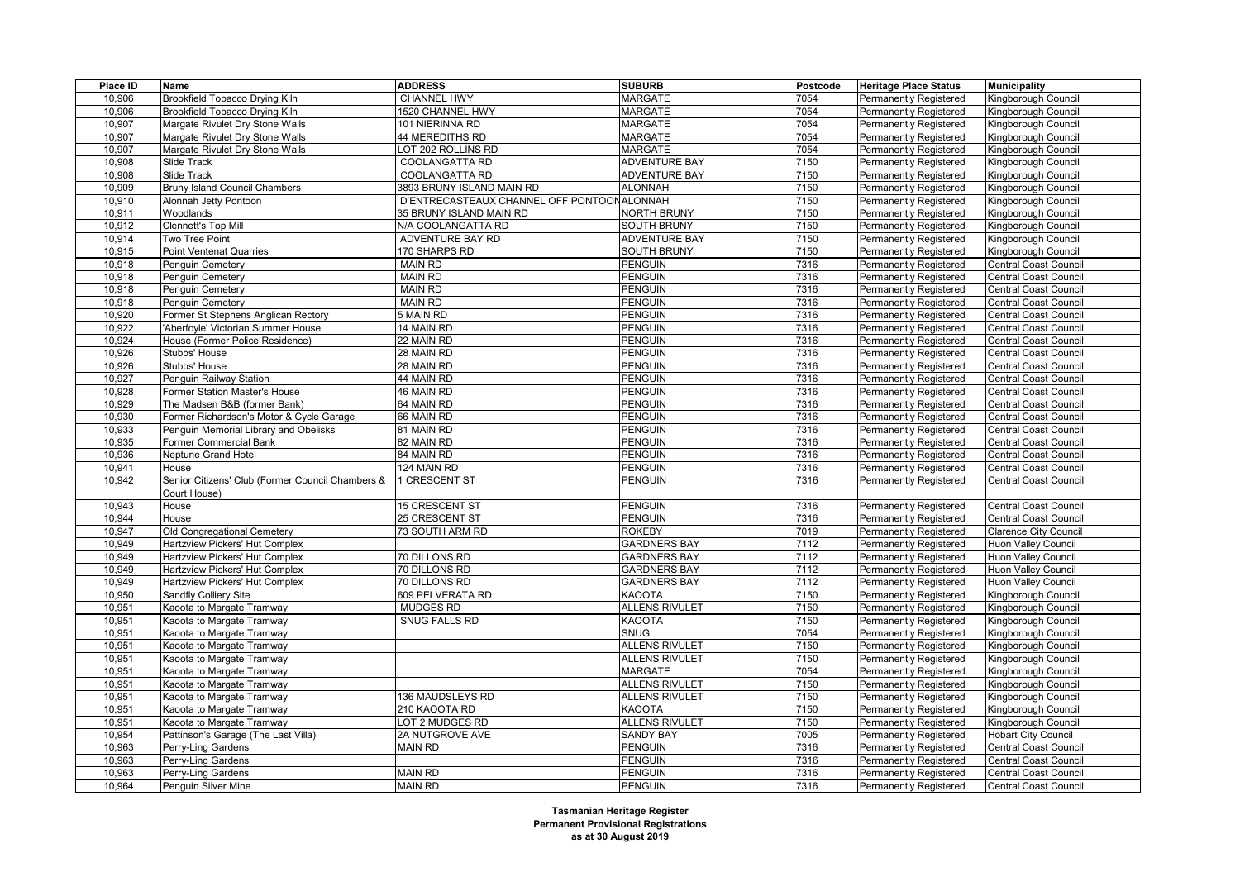| Place ID | Name                                             | <b>ADDRESS</b>                              | <b>SUBURB</b>         | Postcode | <b>Heritage Place Status</b>  | <b>Municipality</b>          |
|----------|--------------------------------------------------|---------------------------------------------|-----------------------|----------|-------------------------------|------------------------------|
| 10,906   | Brookfield Tobacco Drying Kiln                   | <b>CHANNEL HWY</b>                          | <b>MARGATE</b>        | 7054     | <b>Permanently Registered</b> | Kingborough Council          |
| 10,906   | Brookfield Tobacco Drying Kiln                   | 1520 CHANNEL HWY                            | <b>MARGATE</b>        | 7054     | Permanently Registered        | Kingborough Council          |
| 10,907   | Margate Rivulet Dry Stone Walls                  | 101 NIERINNA RD                             | <b>MARGATE</b>        | 7054     | <b>Permanently Registered</b> | Kingborough Council          |
| 10,907   | Margate Rivulet Dry Stone Walls                  | 44 MEREDITHS RD                             | <b>MARGATE</b>        | 7054     | Permanently Registered        | Kingborough Council          |
| 10,907   | Margate Rivulet Dry Stone Walls                  | LOT 202 ROLLINS RD                          | <b>MARGATE</b>        | 7054     | <b>Permanently Registered</b> | Kingborough Council          |
| 10,908   | Slide Track                                      | <b>COOLANGATTA RD</b>                       | <b>ADVENTURE BAY</b>  | 7150     | <b>Permanently Registered</b> | Kingborough Council          |
| 10,908   | Slide Track                                      | COOLANGATTA RD                              | <b>ADVENTURE BAY</b>  | 7150     | <b>Permanently Registered</b> | Kingborough Council          |
| 10,909   | <b>Bruny Island Council Chambers</b>             | 3893 BRUNY ISLAND MAIN RD                   | <b>ALONNAH</b>        | 7150     | <b>Permanently Registered</b> | Kingborough Council          |
| 10,910   | Alonnah Jetty Pontoon                            | D'ENTRECASTEAUX CHANNEL OFF PONTOON ALONNAH |                       | 7150     | <b>Permanently Registered</b> | Kingborough Council          |
| 10,911   | Woodlands                                        | 35 BRUNY ISLAND MAIN RD                     | <b>NORTH BRUNY</b>    | 7150     | Permanently Registered        | Kingborough Council          |
| 10,912   | Clennett's Top Mill                              | N/A COOLANGATTA RD                          | <b>SOUTH BRUNY</b>    | 7150     | <b>Permanently Registered</b> | Kingborough Council          |
| 10,914   | Two Tree Point                                   | ADVENTURE BAY RD                            | <b>ADVENTURE BAY</b>  | 7150     | <b>Permanently Registered</b> | Kingborough Council          |
| 10,915   | <b>Point Ventenat Quarries</b>                   | 170 SHARPS RD                               | <b>SOUTH BRUNY</b>    | 7150     | <b>Permanently Registered</b> | Kingborough Council          |
| 10,918   | Penguin Cemetery                                 | <b>MAIN RD</b>                              | <b>PENGUIN</b>        | 7316     | <b>Permanently Registered</b> | Central Coast Council        |
| 10,918   | Penguin Cemetery                                 | <b>MAIN RD</b>                              | <b>PENGUIN</b>        | 7316     | Permanently Registered        | Central Coast Council        |
| 10,918   | Penguin Cemetery                                 | <b>MAIN RD</b>                              | <b>PENGUIN</b>        | 7316     | Permanently Registered        | Central Coast Council        |
| 10,918   | Penguin Cemetery                                 | <b>MAIN RD</b>                              | <b>PENGUIN</b>        | 7316     | <b>Permanently Registered</b> | <b>Central Coast Council</b> |
| 10,920   | Former St Stephens Anglican Rectory              | 5 MAIN RD                                   | <b>PENGUIN</b>        | 7316     | <b>Permanently Registered</b> | Central Coast Council        |
| 10,922   | Aberfoyle' Victorian Summer House                | 14 MAIN RD                                  | <b>PENGUIN</b>        | 7316     | <b>Permanently Registered</b> | Central Coast Council        |
| 10,924   | House (Former Police Residence)                  | 22 MAIN RD                                  | <b>PENGUIN</b>        | 7316     | <b>Permanently Registered</b> | Central Coast Council        |
| 10,926   | Stubbs' House                                    | 28 MAIN RD                                  | <b>PENGUIN</b>        | 7316     | <b>Permanently Registered</b> | Central Coast Council        |
| 10,926   | Stubbs' House                                    | 28 MAIN RD                                  | <b>PENGUIN</b>        | 7316     | <b>Permanently Registered</b> | Central Coast Council        |
| 10,927   | Penguin Railway Station                          | 44 MAIN RD                                  | <b>PENGUIN</b>        | 7316     | <b>Permanently Registered</b> | Central Coast Council        |
| 10,928   | Former Station Master's House                    | 46 MAIN RD                                  | <b>PENGUIN</b>        | 7316     | <b>Permanently Registered</b> | Central Coast Council        |
| 10,929   | The Madsen B&B (former Bank)                     | 64 MAIN RD                                  | <b>PENGUIN</b>        | 7316     | <b>Permanently Registered</b> | Central Coast Council        |
| 10,930   | Former Richardson's Motor & Cycle Garage         | 66 MAIN RD                                  | <b>PENGUIN</b>        | 7316     | Permanently Registered        | Central Coast Council        |
| 10,933   | Penguin Memorial Library and Obelisks            | 81 MAIN RD                                  | <b>PENGUIN</b>        | 7316     | <b>Permanently Registered</b> | Central Coast Council        |
| 10,935   | <b>Former Commercial Bank</b>                    | 82 MAIN RD                                  | <b>PENGUIN</b>        | 7316     | Permanently Registered        | Central Coast Council        |
| 10,936   | Neptune Grand Hotel                              | 84 MAIN RD                                  | <b>PENGUIN</b>        | 7316     | <b>Permanently Registered</b> | <b>Central Coast Council</b> |
| 10,941   | House                                            | 124 MAIN RD                                 | <b>PENGUIN</b>        | 7316     | <b>Permanently Registered</b> | Central Coast Council        |
| 10,942   | Senior Citizens' Club (Former Council Chambers & | 1 CRESCENT ST                               | PENGUIN               | 7316     | Permanently Registered        | Central Coast Council        |
|          | Court House)                                     |                                             |                       |          |                               |                              |
| 10,943   | House                                            | 15 CRESCENT ST                              | <b>PENGUIN</b>        | 7316     | <b>Permanently Registered</b> | <b>Central Coast Council</b> |
| 10,944   | House                                            | 25 CRESCENT ST                              | <b>PENGUIN</b>        | 7316     | Permanently Registered        | Central Coast Council        |
| 10,947   | Old Congregational Cemetery                      | 73 SOUTH ARM RD                             | <b>ROKEBY</b>         | 7019     | <b>Permanently Registered</b> | <b>Clarence City Council</b> |
| 10,949   | Hartzview Pickers' Hut Complex                   |                                             | <b>GARDNERS BAY</b>   | 7112     | Permanently Registered        | Huon Valley Council          |
| 10,949   | Hartzview Pickers' Hut Complex                   | 70 DILLONS RD                               | <b>GARDNERS BAY</b>   | 7112     | Permanently Registered        | <b>Huon Valley Council</b>   |
| 10,949   | Hartzview Pickers' Hut Complex                   | 70 DILLONS RD                               | <b>GARDNERS BAY</b>   | 7112     | <b>Permanently Registered</b> | Huon Valley Council          |
| 10,949   | Hartzview Pickers' Hut Complex                   | 70 DILLONS RD                               | <b>GARDNERS BAY</b>   | 7112     | Permanently Registered        | Huon Valley Council          |
| 10,950   | Sandfly Colliery Site                            | 609 PELVERATA RD                            | <b>KAOOTA</b>         | 7150     | <b>Permanently Registered</b> | Kingborough Council          |
| 10,951   | Kaoota to Margate Tramway                        | <b>MUDGES RD</b>                            | <b>ALLENS RIVULET</b> | 7150     | <b>Permanently Registered</b> | Kingborough Council          |
| 10,951   | Kaoota to Margate Tramway                        | SNUG FALLS RD                               | <b>KAOOTA</b>         | 7150     | <b>Permanently Registered</b> | Kingborough Council          |
| 10,951   | Kaoota to Margate Tramway                        |                                             | <b>SNUG</b>           | 7054     | Permanently Registered        | Kingborough Council          |
| 10,951   | Kaoota to Margate Tramway                        |                                             | <b>ALLENS RIVULET</b> | 7150     | <b>Permanently Registered</b> | Kingborough Council          |
| 10,951   | Kaoota to Margate Tramway                        |                                             | <b>ALLENS RIVULET</b> | 7150     | <b>Permanently Registered</b> | Kingborough Council          |
| 10,951   | Kaoota to Margate Tramway                        |                                             | <b>MARGATE</b>        | 7054     | <b>Permanently Registered</b> | Kingborough Council          |
| 10,951   | Kaoota to Margate Tramway                        |                                             | <b>ALLENS RIVULET</b> | 7150     | <b>Permanently Registered</b> | Kingborough Council          |
| 10,951   | Kaoota to Margate Tramway                        | 136 MAUDSLEYS RD                            | <b>ALLENS RIVULET</b> | 7150     | <b>Permanently Registered</b> | Kingborough Council          |
| 10,951   | Kaoota to Margate Tramway                        | 210 KAOOTA RD                               | <b>KAOOTA</b>         | 7150     | <b>Permanently Registered</b> | Kingborough Council          |
| 10,951   | Kaoota to Margate Tramway                        | OT 2 MUDGES RD                              | <b>ALLENS RIVULET</b> | 7150     | <b>Permanently Registered</b> | Kingborough Council          |
| 10,954   | Pattinson's Garage (The Last Villa)              | 2A NUTGROVE AVE                             | <b>SANDY BAY</b>      | 7005     | <b>Permanently Registered</b> | <b>Hobart City Council</b>   |
| 10,963   | Perry-Ling Gardens                               | <b>MAIN RD</b>                              | <b>PENGUIN</b>        | 7316     | <b>Permanently Registered</b> | <b>Central Coast Council</b> |
| 10,963   | Perry-Ling Gardens                               |                                             | <b>PENGUIN</b>        | 7316     | Permanently Registered        | Central Coast Council        |
| 10,963   | Perry-Ling Gardens                               | <b>MAIN RD</b>                              | <b>PENGUIN</b>        | 7316     | <b>Permanently Registered</b> | <b>Central Coast Council</b> |
| 10,964   | Penguin Silver Mine                              | <b>MAIN RD</b>                              | <b>PENGUIN</b>        | 7316     | <b>Permanently Registered</b> | <b>Central Coast Council</b> |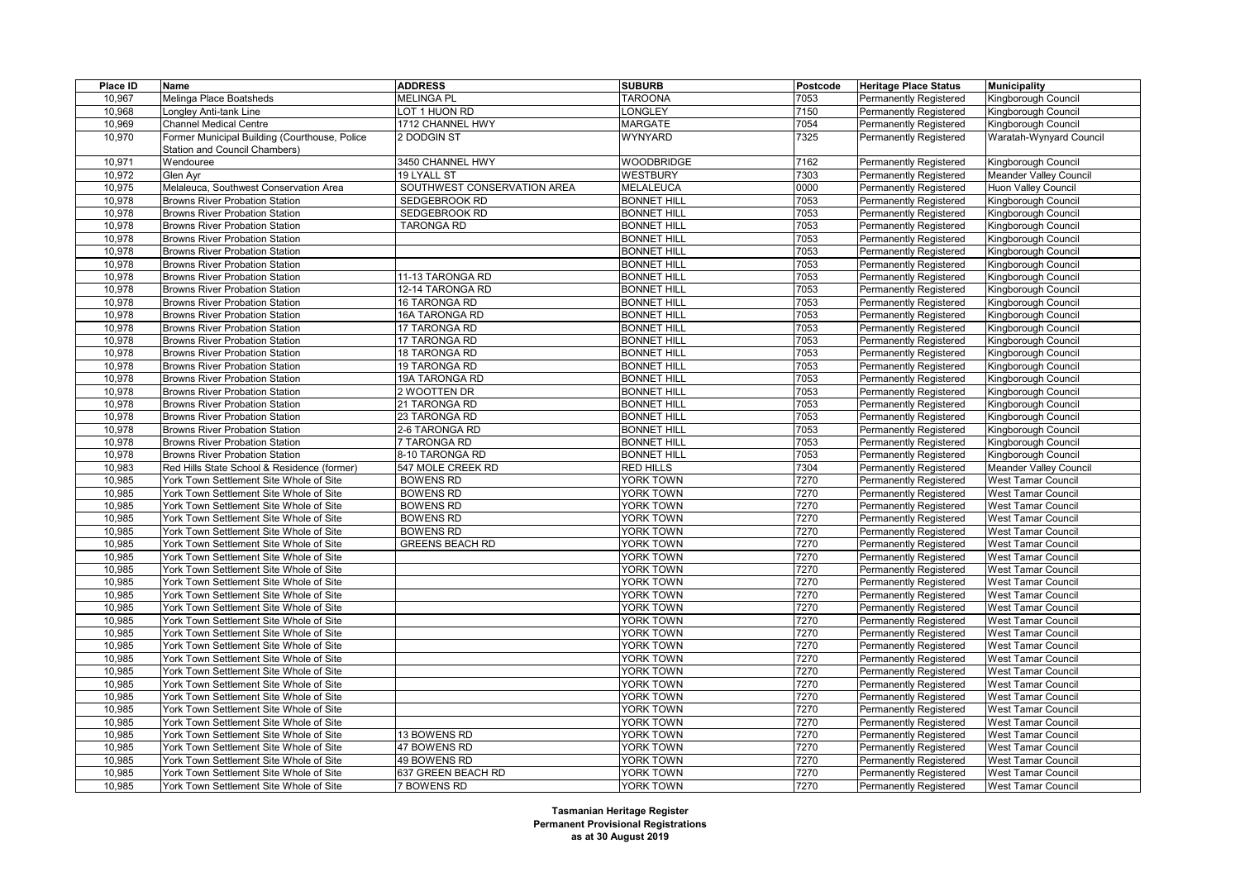| Place ID | <b>Name</b>                                   | <b>ADDRESS</b>              | <b>SUBURB</b>      | Postcode | <b>Heritage Place Status</b>  | <b>Municipality</b>        |
|----------|-----------------------------------------------|-----------------------------|--------------------|----------|-------------------------------|----------------------------|
| 10,967   | Melinga Place Boatsheds                       | <b>MELINGA PL</b>           | <b>TAROONA</b>     | 7053     | <b>Permanently Registered</b> | Kingborough Council        |
| 10,968   | ongley Anti-tank Line                         | OT 1 HUON RD                | ONGLEY             | 7150     | Permanently Registered        | Kingborough Council        |
| 10,969   | <b>Channel Medical Centre</b>                 | 1712 CHANNEL HWY            | <b>MARGATE</b>     | 7054     | Permanently Registered        | Kingborough Council        |
| 10,970   | Former Municipal Building (Courthouse, Police | 2 DODGIN ST                 | WYNYARD            | 7325     | Permanently Registered        | Waratah-Wynyard Council    |
|          | Station and Council Chambers)                 |                             |                    |          |                               |                            |
| 10,971   | Wendouree                                     | 3450 CHANNEL HWY            | <b>WOODBRIDGE</b>  | 7162     | Permanently Registered        | Kingborough Council        |
| 10,972   | Glen Avr                                      | 19 LYALL ST                 | WESTBURY           | 7303     | <b>Permanently Registered</b> | Meander Valley Council     |
| 10,975   | Melaleuca, Southwest Conservation Area        | SOUTHWEST CONSERVATION AREA | MELALEUCA          | 0000     | Permanently Registered        | <b>Huon Valley Council</b> |
| 10,978   | <b>Browns River Probation Station</b>         | SEDGEBROOK RD               | <b>BONNET HILL</b> | 7053     | Permanently Registered        | Kingborough Council        |
| 10,978   | <b>Browns River Probation Station</b>         | SEDGEBROOK RD               | <b>BONNET HILL</b> | 7053     | Permanently Registered        | Kingborough Council        |
| 10,978   | <b>Browns River Probation Station</b>         | <b>TARONGA RD</b>           | <b>BONNET HILL</b> | 7053     | Permanently Registered        | Kingborough Council        |
| 10,978   | <b>Browns River Probation Station</b>         |                             | <b>BONNET HILL</b> | 7053     | Permanently Registered        | Kingborough Council        |
| 10,978   | <b>Browns River Probation Station</b>         |                             | <b>BONNET HILL</b> | 7053     | Permanently Registered        | Kingborough Council        |
| 10,978   | <b>Browns River Probation Station</b>         |                             | <b>BONNET HILL</b> | 7053     | Permanently Registered        | Kingborough Council        |
| 10,978   | <b>Browns River Probation Station</b>         | 11-13 TARONGA RD            | <b>BONNET HILL</b> | 7053     | Permanently Registered        | Kingborough Council        |
| 10,978   | <b>Browns River Probation Station</b>         | 12-14 TARONGA RD            | <b>BONNET HILL</b> | 7053     | Permanently Registered        | Kingborough Council        |
| 10,978   | <b>Browns River Probation Station</b>         | 16 TARONGA RD               | <b>BONNET HILL</b> | 7053     | Permanently Registered        | Kingborough Council        |
| 10,978   | <b>Browns River Probation Station</b>         | 16A TARONGA RD              | <b>BONNET HILL</b> | 7053     | Permanently Registered        | Kingborough Council        |
| 10,978   | <b>Browns River Probation Station</b>         | 17 TARONGA RD               | <b>BONNET HILL</b> | 7053     | Permanently Registered        | Kingborough Council        |
| 10,978   | <b>Browns River Probation Station</b>         | 17 TARONGA RD               | <b>BONNET HILL</b> | 7053     | Permanently Registered        | Kingborough Council        |
| 10,978   | <b>Browns River Probation Station</b>         | 18 TARONGA RD               | <b>BONNET HILL</b> | 7053     | Permanently Registered        | Kingborough Council        |
| 10,978   | <b>Browns River Probation Station</b>         | 19 TARONGA RD               | <b>BONNET HILL</b> | 7053     | Permanently Registered        | Kingborough Council        |
| 10,978   | <b>Browns River Probation Station</b>         | 19A TARONGA RD              | <b>BONNET HILL</b> | 7053     | Permanently Registered        | Kingborough Council        |
| 10,978   | <b>Browns River Probation Station</b>         | 2 WOOTTEN DR                | <b>BONNET HILL</b> | 7053     |                               | Kingborough Council        |
| 10,978   | <b>Browns River Probation Station</b>         | 21 TARONGA RD               | <b>BONNET HILL</b> | 7053     | Permanently Registered        |                            |
|          |                                               |                             |                    | 7053     | Permanently Registered        | Kingborough Council        |
| 10,978   | Browns River Probation Station                | 23 TARONGA RD               | <b>BONNET HILL</b> |          | Permanently Registered        | Kingborough Council        |
| 10,978   | <b>Browns River Probation Station</b>         | 2-6 TARONGA RD              | <b>BONNET HILL</b> | 7053     | Permanently Registered        | Kingborough Council        |
| 10,978   | <b>Browns River Probation Station</b>         | 7 TARONGA RD                | <b>BONNET HILL</b> | 7053     | Permanently Registered        | Kingborough Council        |
| 10,978   | <b>Browns River Probation Station</b>         | 8-10 TARONGA RD             | <b>BONNET HILL</b> | 7053     | Permanently Registered        | Kingborough Council        |
| 10,983   | Red Hills State School & Residence (former)   | 547 MOLE CREEK RD           | <b>RED HILLS</b>   | 7304     | Permanently Registered        | Meander Valley Council     |
| 10,985   | York Town Settlement Site Whole of Site       | <b>BOWENS RD</b>            | YORK TOWN          | 7270     | Permanently Registered        | West Tamar Council         |
| 10,985   | York Town Settlement Site Whole of Site       | <b>BOWENS RD</b>            | YORK TOWN          | 7270     | Permanently Registered        | West Tamar Council         |
| 10,985   | York Town Settlement Site Whole of Site       | <b>BOWENS RD</b>            | YORK TOWN          | 7270     | Permanently Registered        | <b>West Tamar Council</b>  |
| 10,985   | York Town Settlement Site Whole of Site       | <b>BOWENS RD</b>            | YORK TOWN          | 7270     | Permanently Registered        | <b>West Tamar Council</b>  |
| 10,985   | York Town Settlement Site Whole of Site       | <b>BOWENS RD</b>            | YORK TOWN          | 7270     | Permanently Registered        | <b>West Tamar Council</b>  |
| 10,985   | York Town Settlement Site Whole of Site       | <b>GREENS BEACH RD</b>      | YORK TOWN          | 7270     | Permanently Registered        | <b>West Tamar Council</b>  |
| 10,985   | York Town Settlement Site Whole of Site       |                             | YORK TOWN          | 7270     | Permanently Registered        | <b>West Tamar Council</b>  |
| 10,985   | York Town Settlement Site Whole of Site       |                             | YORK TOWN          | 7270     | Permanently Registered        | <b>West Tamar Council</b>  |
| 10,985   | York Town Settlement Site Whole of Site       |                             | YORK TOWN          | 7270     | Permanently Registered        | <b>West Tamar Council</b>  |
| 10,985   | York Town Settlement Site Whole of Site       |                             | YORK TOWN          | 7270     | Permanently Registered        | <b>West Tamar Council</b>  |
| 10,985   | York Town Settlement Site Whole of Site       |                             | YORK TOWN          | 7270     | Permanently Registered        | <b>West Tamar Council</b>  |
| 10,985   | York Town Settlement Site Whole of Site       |                             | YORK TOWN          | 7270     | Permanently Registered        | <b>West Tamar Council</b>  |
| 10,985   | York Town Settlement Site Whole of Site       |                             | YORK TOWN          | 7270     | Permanently Registered        | West Tamar Council         |
| 10,985   | York Town Settlement Site Whole of Site       |                             | YORK TOWN          | 7270     | Permanently Registered        | <b>West Tamar Council</b>  |
| 10,985   | York Town Settlement Site Whole of Site       |                             | YORK TOWN          | 7270     | Permanently Registered        | West Tamar Council         |
| 10,985   | York Town Settlement Site Whole of Site       |                             | YORK TOWN          | 7270     | Permanently Registered        | <b>West Tamar Council</b>  |
| 10,985   | York Town Settlement Site Whole of Site       |                             | YORK TOWN          | 7270     | Permanently Registered        | <b>West Tamar Council</b>  |
| 10,985   | York Town Settlement Site Whole of Site       |                             | YORK TOWN          | 7270     | Permanently Registered        | <b>West Tamar Council</b>  |
| 10,985   | York Town Settlement Site Whole of Site       |                             | YORK TOWN          | 7270     | Permanently Registered        | <b>West Tamar Council</b>  |
| 10,985   | York Town Settlement Site Whole of Site       |                             | YORK TOWN          | 7270     | Permanently Registered        | <b>West Tamar Council</b>  |
| 10,985   | York Town Settlement Site Whole of Site       | 13 BOWENS RD                | <b>YORK TOWN</b>   | 7270     | Permanently Registered        | <b>West Tamar Council</b>  |
| 10,985   | York Town Settlement Site Whole of Site       | 47 BOWENS RD                | YORK TOWN          | 7270     | Permanently Registered        | <b>West Tamar Council</b>  |
| 10,985   | York Town Settlement Site Whole of Site       | 49 BOWENS RD                | YORK TOWN          | 7270     | Permanently Registered        | <b>West Tamar Council</b>  |
| 10,985   | York Town Settlement Site Whole of Site       | 637 GREEN BEACH RD          | YORK TOWN          | 7270     | Permanently Registered        | <b>West Tamar Council</b>  |
| 10,985   | York Town Settlement Site Whole of Site       | 7 BOWENS RD                 | YORK TOWN          | 7270     | <b>Permanently Registered</b> | <b>West Tamar Council</b>  |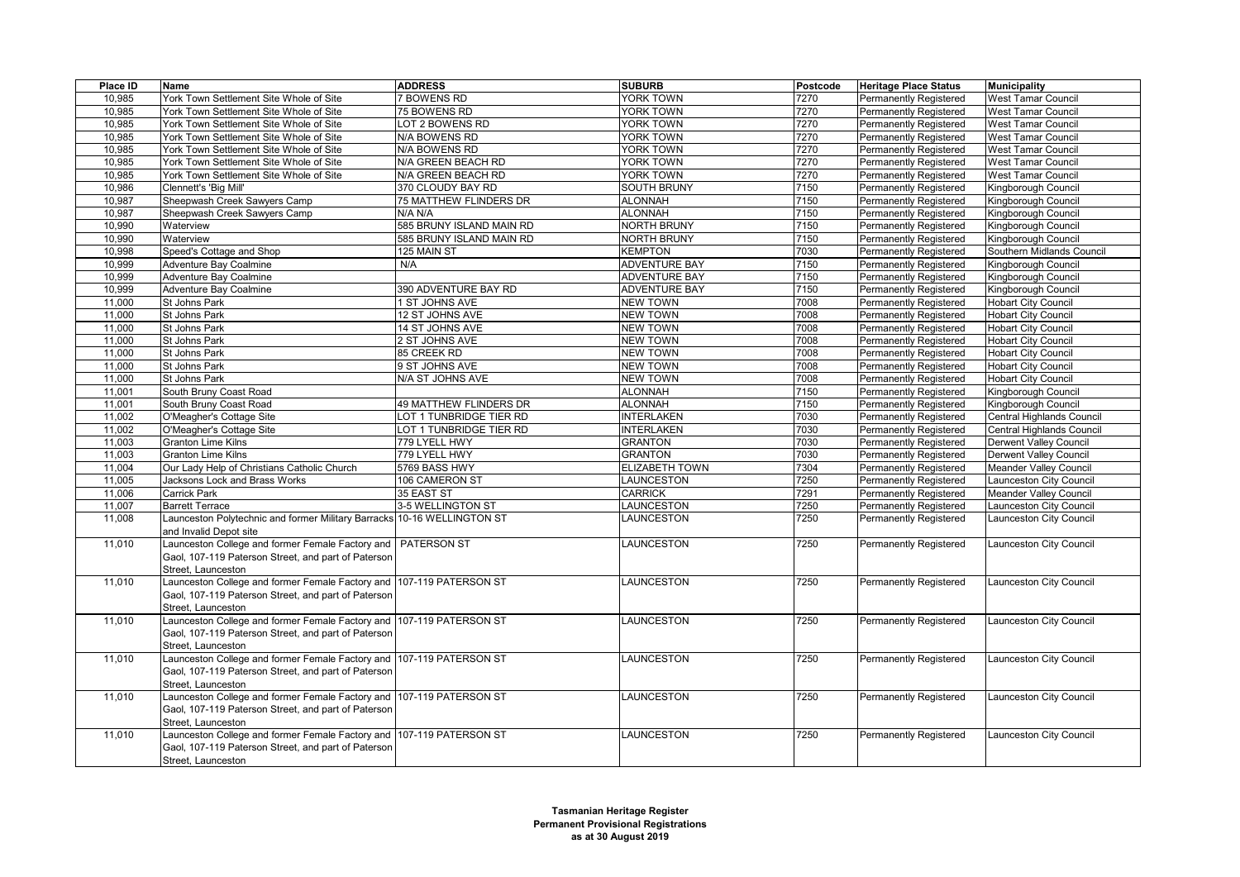| Place ID | Name                                                                                                                                              | <b>ADDRESS</b>           | <b>SUBURB</b>         | Postcode | <b>Heritage Place Status</b>  | <b>Municipality</b>           |
|----------|---------------------------------------------------------------------------------------------------------------------------------------------------|--------------------------|-----------------------|----------|-------------------------------|-------------------------------|
| 10,985   | York Town Settlement Site Whole of Site                                                                                                           | <b>7 BOWENS RD</b>       | YORK TOWN             | 7270     | Permanently Registered        | <b>West Tamar Council</b>     |
| 10,985   | York Town Settlement Site Whole of Site                                                                                                           | 75 BOWENS RD             | YORK TOWN             | 7270     | Permanently Registered        | <b>West Tamar Council</b>     |
| 10,985   | York Town Settlement Site Whole of Site                                                                                                           | <b>LOT 2 BOWENS RD</b>   | YORK TOWN             | 7270     | <b>Permanently Registered</b> | West Tamar Council            |
| 10,985   | York Town Settlement Site Whole of Site                                                                                                           | N/A BOWENS RD            | YORK TOWN             | 7270     | Permanently Registered        | West Tamar Council            |
| 10,985   | York Town Settlement Site Whole of Site                                                                                                           | N/A BOWENS RD            | YORK TOWN             | 7270     | Permanently Registered        | <b>West Tamar Council</b>     |
| 10,985   | York Town Settlement Site Whole of Site                                                                                                           | N/A GREEN BEACH RD       | <b>YORK TOWN</b>      | 7270     | Permanently Registered        | <b>West Tamar Council</b>     |
| 10,985   | York Town Settlement Site Whole of Site                                                                                                           | N/A GREEN BEACH RD       | <b>YORK TOWN</b>      | 7270     | <b>Permanently Registered</b> | West Tamar Council            |
| 10,986   | Clennett's 'Big Mill'                                                                                                                             | 370 CLOUDY BAY RD        | <b>SOUTH BRUNY</b>    | 7150     | Permanently Registered        | Kingborough Council           |
| 10,987   | Sheepwash Creek Sawyers Camp                                                                                                                      | 75 MATTHEW FLINDERS DR   | <b>ALONNAH</b>        | 7150     | Permanently Registered        | Kingborough Council           |
| 10,987   | Sheepwash Creek Sawyers Camp                                                                                                                      | N/A N/A                  | <b>ALONNAH</b>        | 7150     | Permanently Registered        | Kingborough Council           |
| 10,990   | Waterview                                                                                                                                         | 585 BRUNY ISLAND MAIN RD | <b>NORTH BRUNY</b>    | 7150     | Permanently Registered        | Kingborough Council           |
| 10,990   | Waterview                                                                                                                                         | 585 BRUNY ISLAND MAIN RD | <b>NORTH BRUNY</b>    | 7150     | Permanently Registered        | Kingborough Council           |
| 10,998   | Speed's Cottage and Shop                                                                                                                          | 125 MAIN ST              | <b>KEMPTON</b>        | 7030     | <b>Permanently Registered</b> | Southern Midlands Council     |
| 10,999   | Adventure Bay Coalmine                                                                                                                            | N/A                      | <b>ADVENTURE BAY</b>  | 7150     | <b>Permanently Registered</b> | Kingborough Council           |
| 10,999   | Adventure Bay Coalmine                                                                                                                            |                          | <b>ADVENTURE BAY</b>  | 7150     | Permanently Registered        | Kingborough Council           |
| 10,999   | Adventure Bay Coalmine                                                                                                                            | 390 ADVENTURE BAY RD     | <b>ADVENTURE BAY</b>  | 7150     | Permanently Registered        | Kingborough Council           |
| 11,000   | St Johns Park                                                                                                                                     | 1 ST JOHNS AVE           | <b>NEW TOWN</b>       | 7008     | <b>Permanently Registered</b> | <b>Hobart City Council</b>    |
| 11,000   | St Johns Park                                                                                                                                     | 12 ST JOHNS AVE          | <b>NEW TOWN</b>       | 7008     | <b>Permanently Registered</b> | <b>Hobart City Council</b>    |
| 11,000   | St Johns Park                                                                                                                                     | 14 ST JOHNS AVE          | <b>NEW TOWN</b>       | 7008     | Permanently Registered        | <b>Hobart City Council</b>    |
| 11,000   | St Johns Park                                                                                                                                     | 2 ST JOHNS AVE           | <b>NEW TOWN</b>       | 7008     | Permanently Registered        | <b>Hobart City Council</b>    |
| 11,000   | St Johns Park                                                                                                                                     | 85 CREEK RD              | <b>NEW TOWN</b>       | 7008     | Permanently Registered        | <b>Hobart City Council</b>    |
| 11,000   | St Johns Park                                                                                                                                     | 9 ST JOHNS AVE           | <b>NEW TOWN</b>       | 7008     | Permanently Registered        | <b>Hobart City Council</b>    |
| 11,000   | St Johns Park                                                                                                                                     | N/A ST JOHNS AVE         | <b>NEW TOWN</b>       | 7008     | Permanently Registered        | <b>Hobart City Council</b>    |
| 11,001   | South Bruny Coast Road                                                                                                                            |                          | <b>ALONNAH</b>        | 7150     | Permanently Registered        | Kingborough Council           |
| 11,001   | South Bruny Coast Road                                                                                                                            | 49 MATTHEW FLINDERS DR   | <b>ALONNAH</b>        | 7150     | Permanently Registered        | Kingborough Council           |
| 11,002   | O'Meagher's Cottage Site                                                                                                                          | OT 1 TUNBRIDGE TIER RD   | <b>INTERLAKEN</b>     | 7030     | <b>Permanently Registered</b> | Central Highlands Council     |
| 11,002   | O'Meagher's Cottage Site                                                                                                                          | LOT 1 TUNBRIDGE TIER RD  | <b>INTERLAKEN</b>     | 7030     | <b>Permanently Registered</b> | Central Highlands Council     |
| 11,003   | <b>Granton Lime Kilns</b>                                                                                                                         | 779 LYELL HWY            | <b>GRANTON</b>        | 7030     | Permanently Registered        | Derwent Valley Council        |
| 11,003   | <b>Granton Lime Kilns</b>                                                                                                                         | 779 LYELL HWY            | <b>GRANTON</b>        | 7030     | Permanently Registered        | <b>Derwent Valley Council</b> |
| 11,004   | Our Lady Help of Christians Catholic Church                                                                                                       | 5769 BASS HWY            | <b>ELIZABETH TOWN</b> | 7304     | Permanently Registered        | Meander Valley Council        |
| 11,005   | Jacksons Lock and Brass Works                                                                                                                     | 106 CAMERON ST           | LAUNCESTON            | 7250     | <b>Permanently Registered</b> | Launceston City Council       |
| 11,006   | Carrick Park                                                                                                                                      | 35 EAST ST               | <b>CARRICK</b>        | 7291     | Permanently Registered        | Meander Valley Council        |
| 11,007   | <b>Barrett Terrace</b>                                                                                                                            | 3-5 WELLINGTON ST        | <b>AUNCESTON</b>      | 7250     | Permanently Registered        | aunceston City Council        |
| 11,008   | Launceston Polytechnic and former Military Barracks 10-16 WELLINGTON ST<br>and Invalid Depot site                                                 |                          | <b>LAUNCESTON</b>     | 7250     | Permanently Registered        | aunceston City Council        |
| 11,010   | Launceston College and former Female Factory and<br>Gaol, 107-119 Paterson Street, and part of Paterson<br>Street, Launceston                     | <b>PATERSON ST</b>       | LAUNCESTON            | 7250     | Permanently Registered        | Launceston City Council       |
| 11,010   | Launceston College and former Female Factory and 107-119 PATERSON ST<br>Gaol, 107-119 Paterson Street, and part of Paterson<br>Street, Launceston |                          | LAUNCESTON            | 7250     | Permanently Registered        | Launceston City Council       |
| 11,010   | Launceston College and former Female Factory and 107-119 PATERSON ST<br>Gaol, 107-119 Paterson Street, and part of Paterson<br>Street, Launceston |                          | LAUNCESTON            | 7250     | <b>Permanently Registered</b> | Launceston City Council       |
| 11,010   | Launceston College and former Female Factory and<br>Gaol, 107-119 Paterson Street, and part of Paterson<br>Street, Launceston                     | 107-119 PATERSON ST      | LAUNCESTON            | 7250     | Permanently Registered        | Launceston City Council       |
| 11,010   | Launceston College and former Female Factory and 107-119 PATERSON ST<br>Gaol, 107-119 Paterson Street, and part of Paterson<br>Street, Launceston |                          | LAUNCESTON            | 7250     | Permanently Registered        | Launceston City Council       |
| 11,010   | Launceston College and former Female Factory and 107-119 PATERSON ST<br>Gaol, 107-119 Paterson Street, and part of Paterson<br>Street. Launceston |                          | <b>LAUNCESTON</b>     | 7250     | <b>Permanently Registered</b> | Launceston City Council       |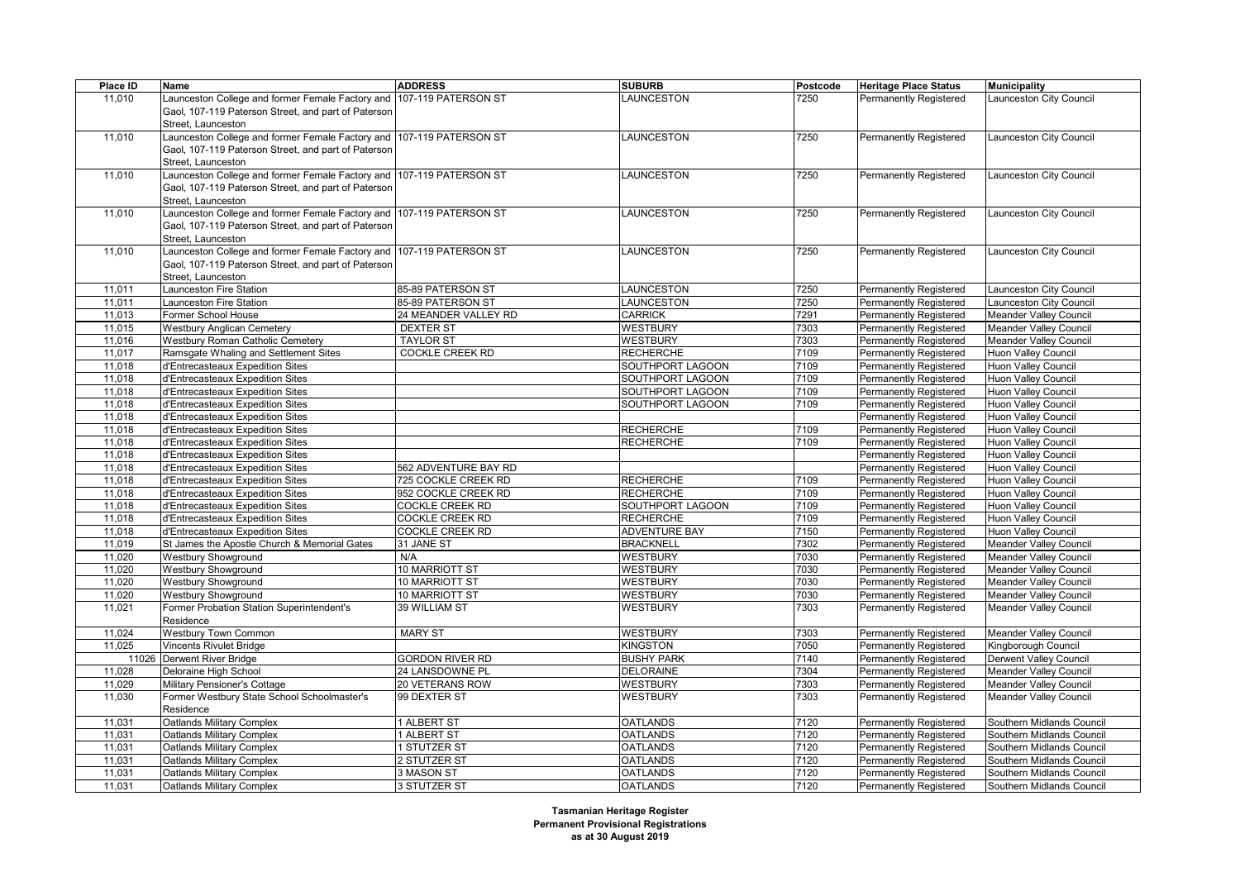| Place ID | Name                                                                 | <b>ADDRESS</b>         | <b>SUBURB</b>        | Postcode | <b>Heritage Place Status</b>  | <b>Municipality</b>           |
|----------|----------------------------------------------------------------------|------------------------|----------------------|----------|-------------------------------|-------------------------------|
| 11,010   | Launceston College and former Female Factory and                     | 107-119 PATERSON ST    | LAUNCESTON           | 7250     | <b>Permanently Registered</b> | Launceston City Council       |
|          | Gaol, 107-119 Paterson Street, and part of Paterson                  |                        |                      |          |                               |                               |
|          | Street, Launceston                                                   |                        |                      |          |                               |                               |
| 11,010   | Launceston College and former Female Factory and 107-119 PATERSON ST |                        | LAUNCESTON           | 7250     | Permanently Registered        | Launceston City Council       |
|          | Gaol, 107-119 Paterson Street, and part of Paterson                  |                        |                      |          |                               |                               |
|          | Street, Launceston                                                   |                        |                      |          |                               |                               |
| 11,010   | Launceston College and former Female Factory and 107-119 PATERSON ST |                        | LAUNCESTON           | 7250     | <b>Permanently Registered</b> | Launceston City Council       |
|          | Gaol, 107-119 Paterson Street, and part of Paterson                  |                        |                      |          |                               |                               |
|          | Street, Launceston                                                   |                        |                      |          |                               |                               |
| 11,010   | Launceston College and former Female Factory and 107-119 PATERSON ST |                        | LAUNCESTON           | 7250     | Permanently Registered        | Launceston City Council       |
|          | Gaol, 107-119 Paterson Street, and part of Paterson                  |                        |                      |          |                               |                               |
|          | Street, Launceston                                                   |                        |                      |          |                               |                               |
|          | Launceston College and former Female Factory and 107-119 PATERSON ST |                        |                      |          |                               |                               |
| 11,010   |                                                                      |                        | LAUNCESTON           | 7250     | <b>Permanently Registered</b> | Launceston City Council       |
|          | Gaol, 107-119 Paterson Street, and part of Paterson                  |                        |                      |          |                               |                               |
|          | Street, Launceston                                                   |                        |                      |          |                               |                               |
| 11,011   | Launceston Fire Station                                              | 85-89 PATERSON ST      | LAUNCESTON           | 7250     | Permanently Registered        | aunceston City Council        |
| 11,011   | Launceston Fire Station                                              | 85-89 PATERSON ST      | LAUNCESTON           | 7250     | Permanently Registered        | Launceston City Council       |
| 11,013   | Former School House                                                  | 24 MEANDER VALLEY RD   | <b>CARRICK</b>       | 7291     | <b>Permanently Registered</b> | <b>Meander Valley Council</b> |
| 11,015   | <b>Westbury Anglican Cemetery</b>                                    | <b>DEXTER ST</b>       | WESTBURY             | 7303     | <b>Permanently Registered</b> | <b>Meander Valley Council</b> |
| 11,016   | <b>Westbury Roman Catholic Cemetery</b>                              | <b>TAYLOR ST</b>       | <b>WESTBURY</b>      | 7303     | Permanently Registered        | Meander Valley Council        |
| 11,017   | Ramsgate Whaling and Settlement Sites                                | COCKLE CREEK RD        | <b>RECHERCHE</b>     | 7109     | <b>Permanently Registered</b> | <b>Huon Valley Council</b>    |
| 11,018   | d'Entrecasteaux Expedition Sites                                     |                        | SOUTHPORT LAGOON     | 7109     | <b>Permanently Registered</b> | Huon Valley Council           |
| 11,018   | d'Entrecasteaux Expedition Sites                                     |                        | SOUTHPORT LAGOON     | 7109     | Permanently Registered        | Huon Valley Council           |
| 11,018   | d'Entrecasteaux Expedition Sites                                     |                        | SOUTHPORT LAGOON     | 7109     | <b>Permanently Registered</b> | <b>Huon Valley Council</b>    |
| 11,018   | d'Entrecasteaux Expedition Sites                                     |                        | SOUTHPORT LAGOON     | 7109     | <b>Permanently Registered</b> | Huon Valley Council           |
| 11,018   | d'Entrecasteaux Expedition Sites                                     |                        |                      |          | Permanently Registered        | Huon Valley Council           |
| 11,018   | d'Entrecasteaux Expedition Sites                                     |                        | <b>RECHERCHE</b>     | 7109     | <b>Permanently Registered</b> | <b>Huon Valley Council</b>    |
| 11,018   | d'Entrecasteaux Expedition Sites                                     |                        | RECHERCHE            | 7109     | <b>Permanently Registered</b> | Huon Valley Council           |
| 11,018   | d'Entrecasteaux Expedition Sites                                     |                        |                      |          | Permanently Registered        | Huon Valley Council           |
| 11,018   | d'Entrecasteaux Expedition Sites                                     | 562 ADVENTURE BAY RD   |                      |          | <b>Permanently Registered</b> | <b>Huon Valley Council</b>    |
| 11,018   | d'Entrecasteaux Expedition Sites                                     | 725 COCKLE CREEK RD    | <b>RECHERCHE</b>     | 7109     | <b>Permanently Registered</b> | <b>Huon Valley Council</b>    |
| 11,018   | d'Entrecasteaux Expedition Sites                                     | 952 COCKLE CREEK RD    | RECHERCHE            | 7109     | Permanently Registered        | Huon Valley Council           |
| 11,018   | d'Entrecasteaux Expedition Sites                                     | <b>COCKLE CREEK RD</b> | SOUTHPORT LAGOON     | 7109     | <b>Permanently Registered</b> | <b>Huon Valley Council</b>    |
| 11,018   | d'Entrecasteaux Expedition Sites                                     | <b>COCKLE CREEK RD</b> | <b>RECHERCHE</b>     | 7109     | <b>Permanently Registered</b> | <b>Huon Valley Council</b>    |
| 11,018   | d'Entrecasteaux Expedition Sites                                     | <b>COCKLE CREEK RD</b> | <b>ADVENTURE BAY</b> | 7150     | Permanently Registered        | Huon Valley Council           |
| 11,019   | St James the Apostle Church & Memorial Gates                         | 31 JANE ST             | <b>BRACKNELL</b>     | 7302     | <b>Permanently Registered</b> | <b>Meander Valley Council</b> |
| 11,020   | <b>Westbury Showground</b>                                           | N/A                    | <b>WESTBURY</b>      | 7030     | Permanently Registered        | Meander Valley Council        |
| 11,020   | Westbury Showground                                                  | 10 MARRIOTT ST         | <b>WESTBURY</b>      | 7030     | <b>Permanently Registered</b> | Meander Valley Council        |
| 11,020   | <b>Westbury Showground</b>                                           | 10 MARRIOTT ST         | <b>WESTBURY</b>      | 7030     | <b>Permanently Registered</b> | <b>Meander Valley Council</b> |
| 11,020   | Westbury Showground                                                  | 10 MARRIOTT ST         | <b>WESTBURY</b>      | 7030     | Permanently Registered        | <b>Meander Valley Council</b> |
| 11,021   | Former Probation Station Superintendent's                            | 39 WILLIAM ST          | <b>WESTBURY</b>      | 7303     | Permanently Registered        | Meander Valley Council        |
|          | Residence                                                            |                        |                      |          |                               |                               |
| 11,024   | Westbury Town Common                                                 | <b>MARY ST</b>         | <b>WESTBURY</b>      | 7303     | <b>Permanently Registered</b> | <b>Meander Valley Council</b> |
| 11,025   | <b>Vincents Rivulet Bridge</b>                                       |                        | <b>KINGSTON</b>      | 7050     |                               | Kingborough Council           |
|          |                                                                      | <b>GORDON RIVER RD</b> | <b>BUSHY PARK</b>    | 7140     | Permanently Registered        |                               |
|          | 11026 Derwent River Bridge                                           |                        |                      |          | Permanently Registered        | Derwent Valley Council        |
| 11,028   | Deloraine High School                                                | 24 LANSDOWNE PL        | <b>DELORAINE</b>     | 7304     | <b>Permanently Registered</b> | <b>Meander Valley Council</b> |
| 11,029   | Military Pensioner's Cottage                                         | 20 VETERANS ROW        | <b>WESTBURY</b>      | 7303     | Permanently Registered        | Meander Valley Council        |
| 11,030   | Former Westbury State School Schoolmaster's                          | 99 DEXTER ST           | <b>WESTBURY</b>      | 7303     | Permanently Registered        | <b>Meander Valley Council</b> |
|          | Residence                                                            |                        |                      |          |                               |                               |
| 11,031   | Oatlands Military Complex                                            | 1 ALBERT ST            | <b>OATLANDS</b>      | 7120     | Permanently Registered        | Southern Midlands Council     |
| 11,031   | Oatlands Military Complex                                            | 1 ALBERT ST            | <b>OATLANDS</b>      | 7120     | Permanently Registered        | Southern Midlands Council     |
| 11,031   | <b>Oatlands Military Complex</b>                                     | 1 STUTZER ST           | <b>OATLANDS</b>      | 7120     | <b>Permanently Registered</b> | Southern Midlands Council     |
| 11,031   | <b>Oatlands Military Complex</b>                                     | 2 STUTZER ST           | <b>OATLANDS</b>      | 7120     | Permanently Registered        | Southern Midlands Council     |
| 11,031   | Oatlands Military Complex                                            | 3 MASON ST             | <b>OATLANDS</b>      | 7120     | Permanently Registered        | Southern Midlands Council     |
| 11,031   | <b>Oatlands Military Complex</b>                                     | 3 STUTZER ST           | <b>OATLANDS</b>      | 7120     | <b>Permanently Registered</b> | Southern Midlands Council     |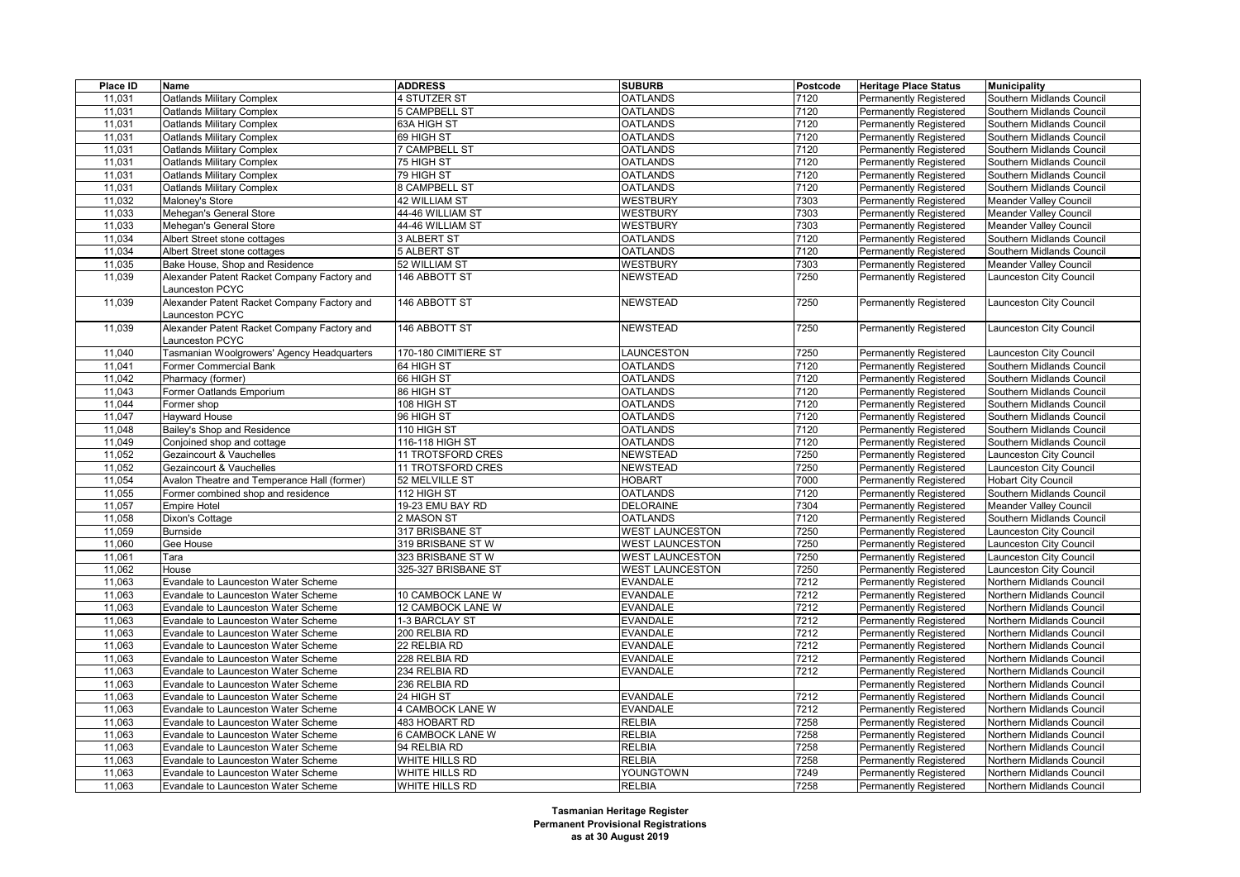| Place ID | Name                                        | <b>ADDRESS</b>       | <b>SUBURB</b>          | Postcode | <b>Heritage Place Status</b>  | <b>Municipality</b>              |
|----------|---------------------------------------------|----------------------|------------------------|----------|-------------------------------|----------------------------------|
| 11,031   | <b>Oatlands Military Complex</b>            | 4 STUTZER ST         | <b>OATLANDS</b>        | 7120     | Permanently Registered        | Southern Midlands Council        |
| 11,031   | <b>Oatlands Military Complex</b>            | 5 CAMPBELL ST        | <b>OATLANDS</b>        | 7120     | <b>Permanently Registered</b> | Southern Midlands Council        |
| 11,031   | <b>Oatlands Military Complex</b>            | 63A HIGH ST          | <b>OATLANDS</b>        | 7120     | <b>Permanently Registered</b> | Southern Midlands Council        |
| 11,031   | <b>Oatlands Military Complex</b>            | 69 HIGH ST           | <b>OATLANDS</b>        | 7120     | Permanently Registered        | Southern Midlands Council        |
| 11,031   | <b>Oatlands Military Complex</b>            | <b>7 CAMPBELL ST</b> | <b>OATLANDS</b>        | 7120     | <b>Permanently Registered</b> | Southern Midlands Council        |
| 11,031   | <b>Oatlands Military Complex</b>            | 75 HIGH ST           | <b>OATLANDS</b>        | 7120     | <b>Permanently Registered</b> | Southern Midlands Council        |
| 11,031   | Oatlands Military Complex                   | 79 HIGH ST           | <b>OATLANDS</b>        | 7120     | Permanently Registered        | Southern Midlands Council        |
| 11,031   | <b>Oatlands Military Complex</b>            | 8 CAMPBELL ST        | <b>OATLANDS</b>        | 7120     | <b>Permanently Registered</b> | Southern Midlands Council        |
| 11,032   | Maloney's Store                             | <b>42 WILLIAM ST</b> | <b>WESTBURY</b>        | 7303     | <b>Permanently Registered</b> | Meander Valley Council           |
| 11,033   | Mehegan's General Store                     | 44-46 WILLIAM ST     | <b>WESTBURY</b>        | 7303     | Permanently Registered        | Meander Valley Council           |
| 11,033   | Mehegan's General Store                     | 44-46 WILLIAM ST     | <b>WESTBURY</b>        | 7303     | <b>Permanently Registered</b> | Meander Valley Council           |
| 11,034   | Albert Street stone cottages                | 3 ALBERT ST          | <b>OATLANDS</b>        | 7120     | <b>Permanently Registered</b> | Southern Midlands Council        |
| 11,034   | Albert Street stone cottages                | 5 ALBERT ST          | <b>OATLANDS</b>        | 7120     | Permanently Registered        | Southern Midlands Council        |
| 11,035   | Bake House, Shop and Residence              | 52 WILLIAM ST        | <b>WESTBURY</b>        | 7303     | <b>Permanently Registered</b> | <b>Meander Valley Council</b>    |
| 11,039   | Alexander Patent Racket Company Factory and | 146 ABBOTT ST        | <b>NEWSTEAD</b>        | 7250     | Permanently Registered        | Launceston City Council          |
|          | aunceston PCYC                              |                      |                        |          |                               |                                  |
| 11,039   | Alexander Patent Racket Company Factory and | 146 ABBOTT ST        | <b>NEWSTEAD</b>        | 7250     | <b>Permanently Registered</b> | Launceston City Council          |
|          | Launceston PCYC                             |                      |                        |          |                               |                                  |
| 11,039   | Alexander Patent Racket Company Factory and | 146 ABBOTT ST        | NEWSTEAD               | 7250     | <b>Permanently Registered</b> | Launceston City Council          |
|          | <b>Launceston PCYC</b>                      |                      |                        |          |                               |                                  |
| 11,040   | Tasmanian Woolgrowers' Agency Headquarters  | 170-180 CIMITIERE ST | LAUNCESTON             | 7250     | <b>Permanently Registered</b> | Launceston City Council          |
| 11,041   | Former Commercial Bank                      | 64 HIGH ST           | <b>OATLANDS</b>        | 7120     | Permanently Registered        | Southern Midlands Council        |
| 11,042   | Pharmacy (former)                           | 66 HIGH ST           | <b>OATLANDS</b>        | 7120     | <b>Permanently Registered</b> | Southern Midlands Council        |
| 11,043   | Former Oatlands Emporium                    | 86 HIGH ST           | <b>OATLANDS</b>        | 7120     | Permanently Registered        | Southern Midlands Council        |
| 11,044   | Former shop                                 | 108 HIGH ST          | <b>OATLANDS</b>        | 7120     | Permanently Registered        | Southern Midlands Council        |
| 11,047   | <b>Hayward House</b>                        | 96 HIGH ST           | <b>OATLANDS</b>        | 7120     | <b>Permanently Registered</b> | Southern Midlands Council        |
|          |                                             |                      |                        | 7120     |                               |                                  |
| 11,048   | Bailey's Shop and Residence                 | 110 HIGH ST          | <b>OATLANDS</b>        |          | <b>Permanently Registered</b> | Southern Midlands Council        |
| 11,049   | Conjoined shop and cottage                  | 116-118 HIGH ST      | <b>OATLANDS</b>        | 7120     | Permanently Registered        | Southern Midlands Council        |
| 11,052   | Gezaincourt & Vauchelles                    | 11 TROTSFORD CRES    | <b>NEWSTEAD</b>        | 7250     | <b>Permanently Registered</b> | Launceston City Council          |
| 11,052   | Gezaincourt & Vauchelles                    | 11 TROTSFORD CRES    | <b>NEWSTEAD</b>        | 7250     | Permanently Registered        | Launceston City Council          |
| 11,054   | Avalon Theatre and Temperance Hall (former) | 52 MELVILLE ST       | <b>HOBART</b>          | 7000     | <b>Permanently Registered</b> | <b>Hobart City Council</b>       |
| 11,055   | Former combined shop and residence          | 112 HIGH ST          | <b>OATLANDS</b>        | 7120     | <b>Permanently Registered</b> | Southern Midlands Council        |
| 11,057   | <b>Empire Hotel</b>                         | 19-23 EMU BAY RD     | <b>DELORAINE</b>       | 7304     | Permanently Registered        | <b>Meander Valley Council</b>    |
| 11,058   | Dixon's Cottage                             | 2 MASON ST           | <b>OATLANDS</b>        | 7120     | <b>Permanently Registered</b> | Southern Midlands Council        |
| 11,059   | <b>Burnside</b>                             | 317 BRISBANE ST      | <b>WEST LAUNCESTON</b> | 7250     | <b>Permanently Registered</b> | Launceston City Council          |
| 11,060   | Gee House                                   | 319 BRISBANE ST W    | <b>WEST LAUNCESTON</b> | 7250     | Permanently Registered        | Launceston City Council          |
| 11,061   | Tara                                        | 323 BRISBANE ST W    | <b>WEST LAUNCESTON</b> | 7250     | <b>Permanently Registered</b> | Launceston City Council          |
| 11,062   | House                                       | 325-327 BRISBANE ST  | <b>WEST LAUNCESTON</b> | 7250     | <b>Permanently Registered</b> | Launceston City Council          |
| 11,063   | Evandale to Launceston Water Scheme         |                      | <b>EVANDALE</b>        | 7212     | <b>Permanently Registered</b> | Northern Midlands Council        |
| 11,063   | Evandale to Launceston Water Scheme         | 10 CAMBOCK LANE W    | <b>EVANDALE</b>        | 7212     | <b>Permanently Registered</b> | <b>Northern Midlands Council</b> |
| 11,063   | Evandale to Launceston Water Scheme         | 12 CAMBOCK LANE W    | <b>EVANDALE</b>        | 7212     | <b>Permanently Registered</b> | Northern Midlands Council        |
| 11,063   | Evandale to Launceston Water Scheme         | 1-3 BARCLAY ST       | <b>EVANDALE</b>        | 7212     | <b>Permanently Registered</b> | Northern Midlands Council        |
| 11,063   | Evandale to Launceston Water Scheme         | 200 RELBIA RD        | EVANDALE               | 7212     | Permanently Registered        | Northern Midlands Council        |
| 11,063   | Evandale to Launceston Water Scheme         | 22 RELBIA RD         | <b>EVANDALE</b>        | 7212     | <b>Permanently Registered</b> | Northern Midlands Council        |
| 11,063   | Evandale to Launceston Water Scheme         | 228 RELBIA RD        | <b>EVANDALE</b>        | 7212     | <b>Permanently Registered</b> | Northern Midlands Council        |
| 11,063   | Evandale to Launceston Water Scheme         | 234 RELBIA RD        | <b>EVANDALE</b>        | 7212     | Permanently Registered        | Northern Midlands Council        |
| 11,063   | Evandale to Launceston Water Scheme         | 236 RELBIA RD        |                        |          | <b>Permanently Registered</b> | Northern Midlands Council        |
| 11,063   | Evandale to Launceston Water Scheme         | 24 HIGH ST           | <b>EVANDALE</b>        | 7212     | <b>Permanently Registered</b> | Northern Midlands Council        |
| 11,063   | Evandale to Launceston Water Scheme         | 4 CAMBOCK LANE W     | EVANDALE               | 7212     | Permanently Registered        | Northern Midlands Council        |
| 11,063   | Evandale to Launceston Water Scheme         | 483 HOBART RD        | <b>RELBIA</b>          | 7258     | <b>Permanently Registered</b> | Northern Midlands Council        |
| 11,063   | Evandale to Launceston Water Scheme         | 6 CAMBOCK LANE W     | <b>RELBIA</b>          | 7258     | Permanently Registered        | Northern Midlands Council        |
| 11,063   | Evandale to Launceston Water Scheme         | 94 RELBIA RD         | <b>RELBIA</b>          | 7258     | Permanently Registered        | Northern Midlands Council        |
| 11,063   | Evandale to Launceston Water Scheme         | WHITE HILLS RD       | <b>RELBIA</b>          | 7258     | <b>Permanently Registered</b> | Northern Midlands Council        |
| 11,063   | Evandale to Launceston Water Scheme         | WHITE HILLS RD       | YOUNGTOWN              | 7249     | <b>Permanently Registered</b> | Northern Midlands Council        |
| 11,063   | Evandale to Launceston Water Scheme         | WHITE HILLS RD       | <b>RELBIA</b>          | 7258     | <b>Permanently Registered</b> | Northern Midlands Council        |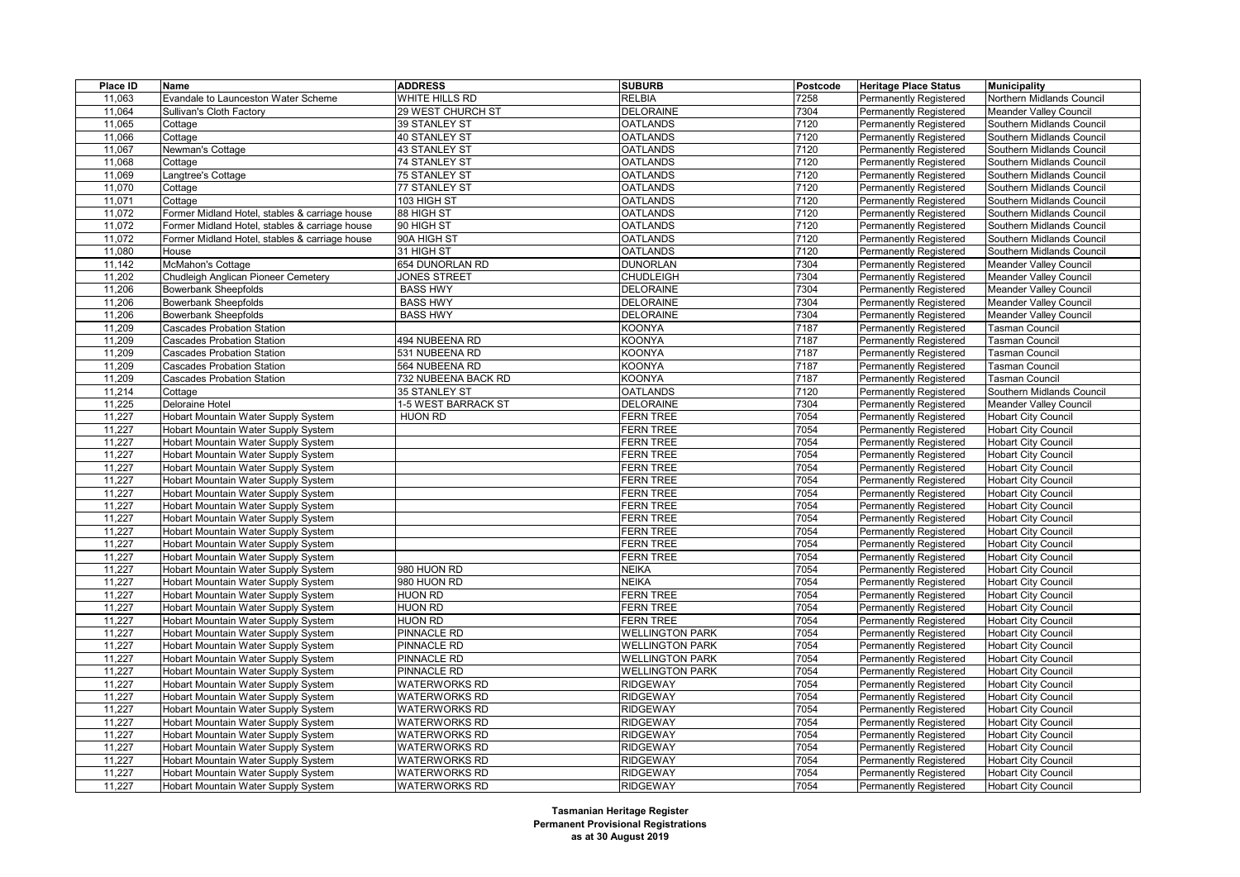| Place ID             | Name                                           | <b>ADDRESS</b>       | <b>SUBURB</b>                 | Postcode     | <b>Heritage Place Status</b>  | <b>Municipality</b>                                      |
|----------------------|------------------------------------------------|----------------------|-------------------------------|--------------|-------------------------------|----------------------------------------------------------|
| 11,063               | Evandale to Launceston Water Scheme            | WHITE HILLS RD       | <b>RELBIA</b>                 | 7258         | <b>Permanently Registered</b> | Northern Midlands Council                                |
| 11,064               | Sullivan's Cloth Factory                       | 29 WEST CHURCH ST    | <b>DELORAINE</b>              | 7304         | <b>Permanently Registered</b> | <b>Meander Valley Council</b>                            |
| 11,065               | Cottage                                        | 39 STANLEY ST        | <b>OATLANDS</b>               | 7120         | Permanently Registered        | Southern Midlands Council                                |
| 11,066               | Cottage                                        | 40 STANLEY ST        | <b>OATLANDS</b>               | 7120         | Permanently Registered        | Southern Midlands Council                                |
| 11,067               | Newman's Cottage                               | 43 STANLEY ST        | <b>OATLANDS</b>               | 7120         | <b>Permanently Registered</b> | Southern Midlands Council                                |
| 11,068               | Cottage                                        | 74 STANLEY ST        | <b>OATLANDS</b>               | 7120         | <b>Permanently Registered</b> | Southern Midlands Council                                |
| 11,069               | angtree's Cottage                              | <b>75 STANLEY ST</b> | <b>OATLANDS</b>               | 7120         | Permanently Registered        | Southern Midlands Council                                |
| 11,070               | Cottage                                        | 77 STANLEY ST        | <b>OATLANDS</b>               | 7120         | <b>Permanently Registered</b> | Southern Midlands Council                                |
| 11,071               | Cottage                                        | 103 HIGH ST          | <b>OATLANDS</b>               | 7120         | <b>Permanently Registered</b> | Southern Midlands Council                                |
| 11,072               | Former Midland Hotel, stables & carriage house | 88 HIGH ST           | <b>OATLANDS</b>               | 7120         | Permanently Registered        | Southern Midlands Council                                |
| 11,072               | Former Midland Hotel, stables & carriage house | 90 HIGH ST           | <b>OATLANDS</b>               | 7120         | <b>Permanently Registered</b> | Southern Midlands Council                                |
| 11,072               | Former Midland Hotel, stables & carriage house | 90A HIGH ST          | <b>OATLANDS</b>               | 7120         | <b>Permanently Registered</b> | Southern Midlands Council                                |
| 11,080               | House                                          | 31 HIGH ST           | <b>OATLANDS</b>               | 7120         | Permanently Registered        | Southern Midlands Council                                |
| 11,142               | McMahon's Cottage                              | 654 DUNORLAN RD      | <b>DUNORLAN</b>               | 7304         | <b>Permanently Registered</b> | Meander Valley Council                                   |
| 11,202               | Chudleigh Anglican Pioneer Cemetery            | JONES STREET         | <b>CHUDLEIGH</b>              | 7304         | Permanently Registered        | Meander Valley Council                                   |
| 11,206               | <b>Bowerbank Sheepfolds</b>                    | <b>BASS HWY</b>      | <b>DELORAINE</b>              | 7304         | Permanently Registered        | Meander Valley Council                                   |
| 11,206               | <b>Bowerbank Sheepfolds</b>                    | <b>BASS HWY</b>      | <b>DELORAINE</b>              | 7304         | <b>Permanently Registered</b> | Meander Valley Council                                   |
| 11,206               | <b>Bowerbank Sheepfolds</b>                    | <b>BASS HWY</b>      | <b>DELORAINE</b>              | 7304         | <b>Permanently Registered</b> | Meander Valley Council                                   |
| 11,209               | <b>Cascades Probation Station</b>              |                      | KOONYA                        | 7187         | Permanently Registered        | Tasman Council                                           |
| 11,209               | <b>Cascades Probation Station</b>              | 494 NUBEENA RD       | KOONYA                        | 7187         | <b>Permanently Registered</b> | <b>Fasman Council</b>                                    |
| 11,209               | <b>Cascades Probation Station</b>              | 531 NUBEENA RD       | KOONYA                        | 7187         | <b>Permanently Registered</b> | <b>Tasman Council</b>                                    |
| 11,209               | <b>Cascades Probation Station</b>              | 564 NUBEENA RD       | KOONYA                        | 7187         | <b>Permanently Registered</b> | <b>Tasman Council</b>                                    |
| 11,209               | <b>Cascades Probation Station</b>              | 732 NUBEENA BACK RD  | KOONYA                        | 7187         | Permanently Registered        | <b>Fasman Council</b>                                    |
| 11,214               | Cottage                                        | 35 STANLEY ST        | <b>OATLANDS</b>               | 7120         | <b>Permanently Registered</b> | Southern Midlands Council                                |
| 11,225               | Deloraine Hotel                                | 1-5 WEST BARRACK ST  | <b>DELORAINE</b>              | 7304         | <b>Permanently Registered</b> | Meander Valley Council                                   |
| 11,227               | Hobart Mountain Water Supply System            | <b>HUON RD</b>       | <b>FERN TREE</b>              | 7054         | Permanently Registered        | <b>Hobart City Council</b>                               |
| 11,227               | Hobart Mountain Water Supply System            |                      | <b>FERN TREE</b>              | 7054         | <b>Permanently Registered</b> | <b>Hobart City Council</b>                               |
| 11,227               | Hobart Mountain Water Supply System            |                      | FERN TREE                     | 7054         | <b>Permanently Registered</b> | <b>Hobart City Council</b>                               |
| 11,227               | Hobart Mountain Water Supply System            |                      | <b>FERN TREE</b>              | 7054         | Permanently Registered        | <b>Hobart City Council</b>                               |
| 11,227               | Hobart Mountain Water Supply System            |                      | <b>FERN TREE</b>              | 7054         | <b>Permanently Registered</b> | <b>Hobart City Council</b>                               |
|                      |                                                |                      |                               |              |                               |                                                          |
| 11,227<br>11,227     | Hobart Mountain Water Supply System            |                      | FERN TREE<br><b>FERN TREE</b> | 7054<br>7054 | <b>Permanently Registered</b> | <b>Hobart City Council</b><br><b>Hobart City Council</b> |
| 11,227               | Hobart Mountain Water Supply System            |                      |                               | 7054         | Permanently Registered        |                                                          |
|                      | Hobart Mountain Water Supply System            |                      | <b>FERN TREE</b>              |              | <b>Permanently Registered</b> | <b>Hobart City Council</b>                               |
| 11,227               | Hobart Mountain Water Supply System            |                      | FERN TREE                     | 7054         | <b>Permanently Registered</b> | <b>Hobart City Council</b>                               |
| 11,227               | Hobart Mountain Water Supply System            |                      | <b>FERN TREE</b>              | 7054         | Permanently Registered        | <b>Hobart City Council</b>                               |
| $\overline{1}$ 1,227 | Hobart Mountain Water Supply System            |                      | <b>FERN TREE</b>              | 7054         | <b>Permanently Registered</b> | <b>Hobart City Council</b>                               |
| 11,227               | Hobart Mountain Water Supply System            |                      | <b>FERN TREE</b>              | 7054         | Permanently Registered        | <b>Hobart City Council</b>                               |
| 11,227               | Hobart Mountain Water Supply System            | 980 HUON RD          | <b>NEIKA</b>                  | 7054         | <b>Permanently Registered</b> | Hobart City Council                                      |
| 11,227               | Hobart Mountain Water Supply System            | 980 HUON RD          | <b>NEIKA</b>                  | 7054         | <b>Permanently Registered</b> | <b>Hobart City Council</b>                               |
| 11,227               | Hobart Mountain Water Supply System            | HUON RD              | <b>FERN TREE</b>              | 7054         | Permanently Registered        | <b>Hobart City Council</b>                               |
| 11,227               | Hobart Mountain Water Supply System            | <b>HUON RD</b>       | <b>FERN TREE</b>              | 7054         | <b>Permanently Registered</b> | <b>Hobart City Council</b>                               |
| 11,227               | Hobart Mountain Water Supply System            | HUON RD              | <b>FERN TREE</b>              | 7054         | <b>Permanently Registered</b> | <b>Hobart City Council</b>                               |
| 11,227               | Hobart Mountain Water Supply System            | PINNACLE RD          | <b>WELLINGTON PARK</b>        | 7054         | Permanently Registered        | <b>Hobart City Council</b>                               |
| $\overline{1}$ 1,227 | Hobart Mountain Water Supply System            | PINNACLE RD          | <b>WELLINGTON PARK</b>        | 7054         | Permanently Registered        | <b>Hobart City Council</b>                               |
| 11,227               | Hobart Mountain Water Supply System            | PINNACLE RD          | <b>WELLINGTON PARK</b>        | 7054         | <b>Permanently Registered</b> | <b>Hobart City Council</b>                               |
| 11,227               | Hobart Mountain Water Supply System            | PINNACLE RD          | <b>WELLINGTON PARK</b>        | 7054         | Permanently Registered        | <b>Hobart City Council</b>                               |
| 11,227               | Hobart Mountain Water Supply System            | <b>WATERWORKS RD</b> | <b>RIDGEWAY</b>               | 7054         | <b>Permanently Registered</b> | <b>Hobart City Council</b>                               |
| 11,227               | Hobart Mountain Water Supply System            | <b>WATERWORKS RD</b> | <b>RIDGEWAY</b>               | 7054         | <b>Permanently Registered</b> | <b>Hobart City Council</b>                               |
| 11,227               | Hobart Mountain Water Supply System            | <b>WATERWORKS RD</b> | <b>RIDGEWAY</b>               | 7054         | Permanently Registered        | <b>Hobart City Council</b>                               |
| $\overline{1}$ 1,227 | Hobart Mountain Water Supply System            | <b>WATERWORKS RD</b> | <b>RIDGEWAY</b>               | 7054         | <b>Permanently Registered</b> | <b>Hobart City Council</b>                               |
| 11,227               | Hobart Mountain Water Supply System            | <b>WATERWORKS RD</b> | <b>RIDGEWAY</b>               | 7054         | <b>Permanently Registered</b> | <b>Hobart City Council</b>                               |
| 11,227               | Hobart Mountain Water Supply System            | <b>WATERWORKS RD</b> | <b>RIDGEWAY</b>               | 7054         | Permanently Registered        | <b>Hobart City Council</b>                               |
| 11,227               | Hobart Mountain Water Supply System            | <b>WATERWORKS RD</b> | <b>RIDGEWAY</b>               | 7054         | Permanently Registered        | <b>Hobart City Council</b>                               |
| 11,227               | Hobart Mountain Water Supply System            | <b>WATERWORKS RD</b> | <b>RIDGEWAY</b>               | 7054         | <b>Permanently Registered</b> | <b>Hobart City Council</b>                               |
| 11,227               | Hobart Mountain Water Supply System            | <b>WATERWORKS RD</b> | <b>RIDGEWAY</b>               | 7054         | <b>Permanently Registered</b> | <b>Hobart City Council</b>                               |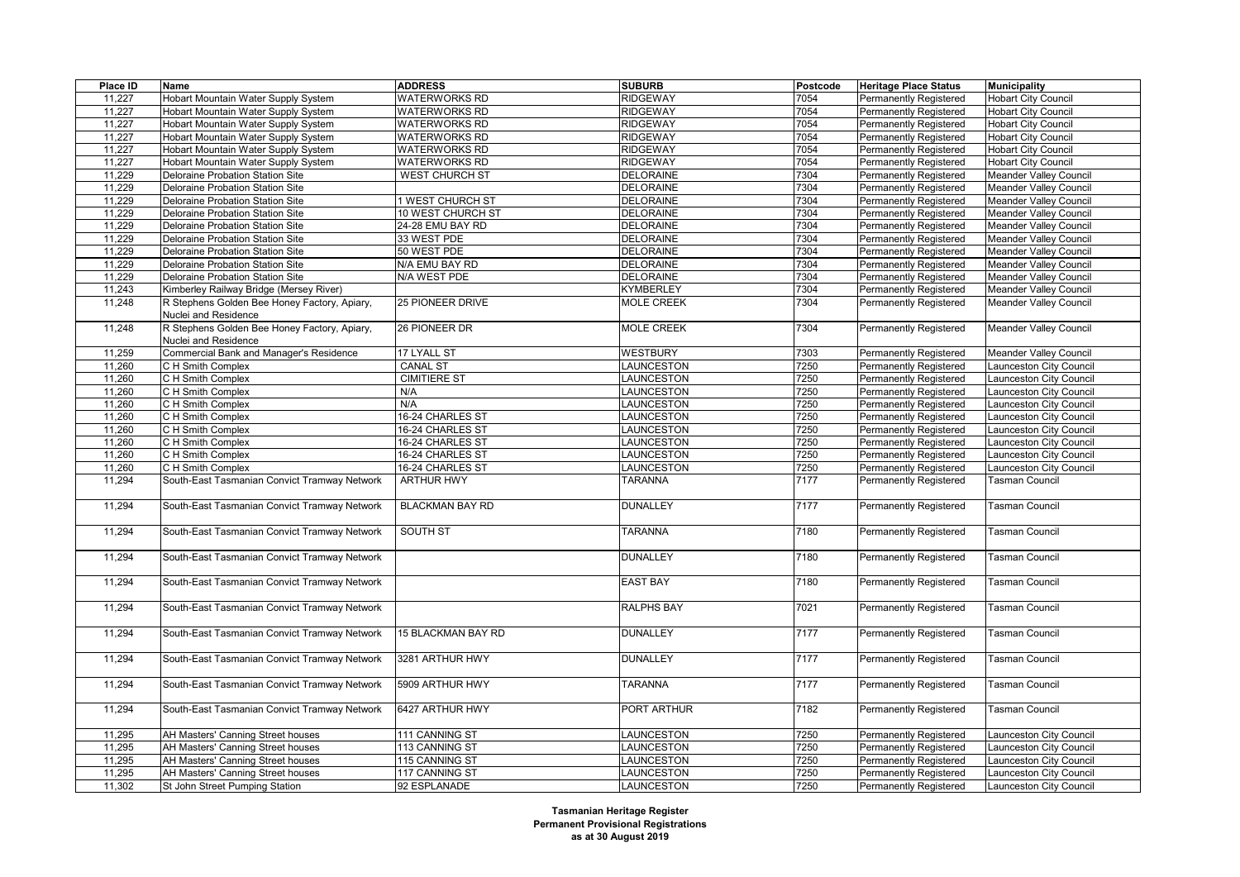| Place ID | Name                                                                 | <b>ADDRESS</b>         | <b>SUBURB</b>     | Postcode | <b>Heritage Place Status</b>  | <b>Municipality</b>           |
|----------|----------------------------------------------------------------------|------------------------|-------------------|----------|-------------------------------|-------------------------------|
| 11,227   | Hobart Mountain Water Supply System                                  | <b>WATERWORKS RD</b>   | <b>RIDGEWAY</b>   | 7054     | <b>Permanently Registered</b> | <b>Hobart City Council</b>    |
| 11,227   | Hobart Mountain Water Supply System                                  | <b>WATERWORKS RD</b>   | <b>RIDGEWAY</b>   | 7054     | <b>Permanently Registered</b> | <b>Hobart City Council</b>    |
| 11,227   | Hobart Mountain Water Supply System                                  | <b>WATERWORKS RD</b>   | <b>RIDGEWAY</b>   | 7054     | <b>Permanently Registered</b> | <b>Hobart City Council</b>    |
| 11,227   | Hobart Mountain Water Supply System                                  | <b>WATERWORKS RD</b>   | <b>RIDGEWAY</b>   | 7054     | <b>Permanently Registered</b> | <b>Hobart City Council</b>    |
| 11,227   | Hobart Mountain Water Supply System                                  | <b>WATERWORKS RD</b>   | <b>RIDGEWAY</b>   | 7054     | <b>Permanently Registered</b> | <b>Hobart City Council</b>    |
| 11,227   | Hobart Mountain Water Supply System                                  | <b>WATERWORKS RD</b>   | <b>RIDGEWAY</b>   | 7054     | <b>Permanently Registered</b> | <b>Hobart City Council</b>    |
| 11,229   | Deloraine Probation Station Site                                     | <b>WEST CHURCH ST</b>  | <b>DELORAINE</b>  | 7304     | <b>Permanently Registered</b> | <b>Meander Valley Council</b> |
| 11,229   | Deloraine Probation Station Site                                     |                        | <b>DELORAINE</b>  | 7304     | <b>Permanently Registered</b> | <b>Meander Valley Council</b> |
| 11,229   | Deloraine Probation Station Site                                     | 1 WEST CHURCH ST       | <b>DELORAINE</b>  | 7304     | <b>Permanently Registered</b> | <b>Meander Valley Council</b> |
| 11,229   | Deloraine Probation Station Site                                     | 10 WEST CHURCH ST      | <b>DELORAINE</b>  | 7304     | <b>Permanently Registered</b> | <b>Meander Valley Council</b> |
| 11,229   | Deloraine Probation Station Site                                     | 24-28 EMU BAY RD       | <b>DELORAINE</b>  | 7304     | <b>Permanently Registered</b> | <b>Meander Valley Council</b> |
| 11,229   | Deloraine Probation Station Site                                     | 33 WEST PDE            | <b>DELORAINE</b>  | 7304     | <b>Permanently Registered</b> | Meander Valley Council        |
| 11,229   | Deloraine Probation Station Site                                     | 50 WEST PDE            | <b>DELORAINE</b>  | 7304     | <b>Permanently Registered</b> | <b>Meander Valley Council</b> |
| 11,229   | Deloraine Probation Station Site                                     | N/A EMU BAY RD         | <b>DELORAINE</b>  | 7304     | <b>Permanently Registered</b> | <b>Meander Valley Council</b> |
| 11,229   | Deloraine Probation Station Site                                     | N/A WEST PDE           | <b>DELORAINE</b>  | 7304     | <b>Permanently Registered</b> | Meander Valley Council        |
| 11,243   | Kimberley Railway Bridge (Mersey River)                              |                        | <b>KYMBERLEY</b>  | 7304     | <b>Permanently Registered</b> | <b>Meander Valley Council</b> |
| 11,248   | R Stephens Golden Bee Honey Factory, Apiary,                         | 25 PIONEER DRIVE       | <b>MOLE CREEK</b> | 7304     | Permanently Registered        | <b>Meander Valley Council</b> |
|          | Nuclei and Residence                                                 |                        |                   |          |                               |                               |
| 11,248   | R Stephens Golden Bee Honey Factory, Apiary,<br>Nuclei and Residence | 26 PIONEER DR          | MOLE CREEK        | 7304     | Permanently Registered        | Meander Valley Council        |
| 11,259   | Commercial Bank and Manager's Residence                              | 17 LYALL ST            | <b>WESTBURY</b>   | 7303     | Permanently Registered        | <b>Meander Valley Council</b> |
| 11,260   | C H Smith Complex                                                    | <b>CANAL ST</b>        | LAUNCESTON        | 7250     | <b>Permanently Registered</b> | Launceston City Council       |
| 11,260   | C H Smith Complex                                                    | <b>CIMITIERE ST</b>    | LAUNCESTON        | 7250     | <b>Permanently Registered</b> | Launceston City Council       |
| 11,260   | C H Smith Complex                                                    | N/A                    | LAUNCESTON        | 7250     | <b>Permanently Registered</b> | Launceston City Council       |
| 11,260   | C H Smith Complex                                                    | N/A                    | LAUNCESTON        | 7250     | <b>Permanently Registered</b> | Launceston City Council       |
| 11,260   | C H Smith Complex                                                    | 16-24 CHARLES ST       | LAUNCESTON        | 7250     | Permanently Registered        | Launceston City Council       |
| 11,260   | C H Smith Complex                                                    | 16-24 CHARLES ST       | LAUNCESTON        | 7250     | Permanently Registered        | Launceston City Council       |
| 11,260   | C H Smith Complex                                                    | 16-24 CHARLES ST       | LAUNCESTON        | 7250     | Permanently Registered        | Launceston City Council       |
| 11,260   | C H Smith Complex                                                    | 16-24 CHARLES ST       | LAUNCESTON        | 7250     | <b>Permanently Registered</b> | Launceston City Council       |
| 11,260   | C H Smith Complex                                                    | 16-24 CHARLES ST       | <b>LAUNCESTON</b> | 7250     | Permanently Registered        | Launceston City Council       |
| 11,294   | South-East Tasmanian Convict Tramway Network                         | <b>ARTHUR HWY</b>      | <b>TARANNA</b>    | 7177     | Permanently Registered        | Tasman Council                |
| 11,294   | South-East Tasmanian Convict Tramway Network                         | <b>BLACKMAN BAY RD</b> | <b>DUNALLEY</b>   | 7177     | <b>Permanently Registered</b> | Tasman Council                |
| 11,294   | South-East Tasmanian Convict Tramway Network                         | SOUTH ST               | <b>TARANNA</b>    | 7180     | <b>Permanently Registered</b> | Tasman Council                |
| 11,294   | South-East Tasmanian Convict Tramway Network                         |                        | <b>DUNALLEY</b>   | 7180     | <b>Permanently Registered</b> | Tasman Council                |
| 11,294   | South-East Tasmanian Convict Tramway Network                         |                        | <b>EAST BAY</b>   | 7180     | <b>Permanently Registered</b> | <b>Tasman Council</b>         |
| 11,294   | South-East Tasmanian Convict Tramway Network                         |                        | <b>RALPHS BAY</b> | 7021     | Permanently Registered        | Tasman Council                |
| 11,294   | South-East Tasmanian Convict Tramway Network                         | 15 BLACKMAN BAY RD     | DUNALLEY          | 7177     | <b>Permanently Registered</b> | Tasman Council                |
| 11,294   | South-East Tasmanian Convict Tramway Network                         | 3281 ARTHUR HWY        | <b>DUNALLEY</b>   | 7177     | Permanently Registered        | Tasman Council                |
| 11,294   | South-East Tasmanian Convict Tramway Network                         | 5909 ARTHUR HWY        | <b>TARANNA</b>    | 7177     | Permanently Registered        | Tasman Council                |
| 11,294   | South-East Tasmanian Convict Tramway Network                         | 6427 ARTHUR HWY        | PORT ARTHUR       | 7182     | <b>Permanently Registered</b> | Tasman Council                |
| 11,295   | AH Masters' Canning Street houses                                    | 111 CANNING ST         | LAUNCESTON        | 7250     | <b>Permanently Registered</b> | Launceston City Council       |
| 11,295   | AH Masters' Canning Street houses                                    | 113 CANNING ST         | LAUNCESTON        | 7250     | <b>Permanently Registered</b> | Launceston City Council       |
| 11,295   | AH Masters' Canning Street houses                                    | 115 CANNING ST         | LAUNCESTON        | 7250     | Permanently Registered        | Launceston City Council       |
| 11,295   | AH Masters' Canning Street houses                                    | 117 CANNING ST         | LAUNCESTON        | 7250     | <b>Permanently Registered</b> | Launceston City Council       |
| 11,302   | St John Street Pumping Station                                       | 92 ESPLANADE           | LAUNCESTON        | 7250     | <b>Permanently Registered</b> | Launceston City Council       |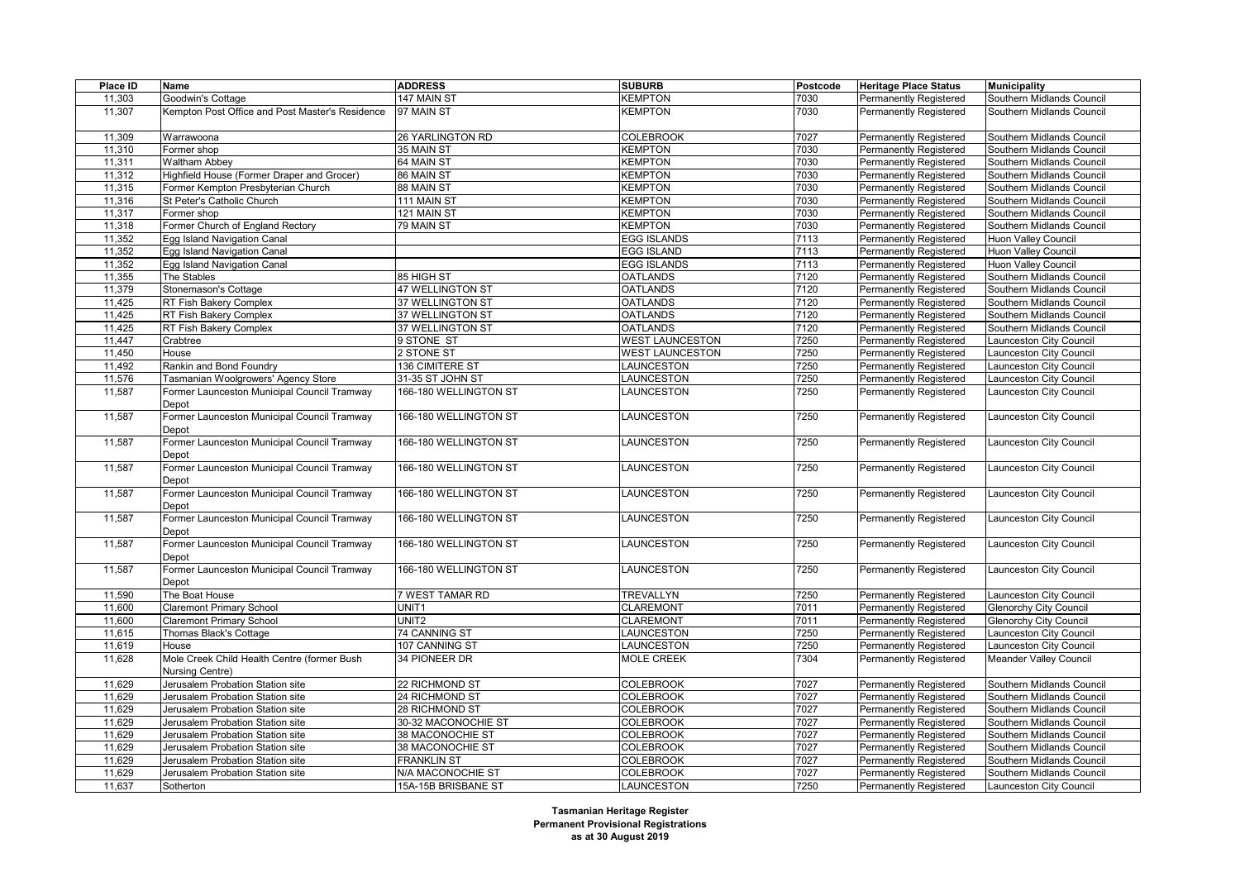| Place ID | <b>Name</b>                                                    | <b>ADDRESS</b>        | <b>SUBURB</b>          | Postcode | <b>Heritage Place Status</b>  | <b>Municipality</b>           |
|----------|----------------------------------------------------------------|-----------------------|------------------------|----------|-------------------------------|-------------------------------|
| 11,303   | Goodwin's Cottage                                              | 147 MAIN ST           | <b>KEMPTON</b>         | 7030     | Permanently Registered        | Southern Midlands Council     |
| 11,307   | Kempton Post Office and Post Master's Residence                | 97 MAIN ST            | KEMPTON                | 7030     | <b>Permanently Registered</b> | Southern Midlands Council     |
| 11,309   | Warrawoona                                                     | 26 YARLINGTON RD      | <b>COLEBROOK</b>       | 7027     | <b>Permanently Registered</b> | Southern Midlands Council     |
| 11,310   | Former shop                                                    | 35 MAIN ST            | KEMPTON                | 7030     | <b>Permanently Registered</b> | Southern Midlands Council     |
| 11,311   | <b>Waltham Abbey</b>                                           | 64 MAIN ST            | KEMPTON                | 7030     | <b>Permanently Registered</b> | Southern Midlands Council     |
| 11,312   | Highfield House (Former Draper and Grocer)                     | 86 MAIN ST            | <b>KEMPTON</b>         | 7030     | <b>Permanently Registered</b> | Southern Midlands Council     |
| 11,315   | Former Kempton Presbyterian Church                             | 88 MAIN ST            | KEMPTON                | 7030     | <b>Permanently Registered</b> | Southern Midlands Council     |
| 11,316   | St Peter's Catholic Church                                     | 111 MAIN ST           | KEMPTON                | 7030     | <b>Permanently Registered</b> | Southern Midlands Council     |
| 11,317   | Former shop                                                    | 121 MAIN ST           | <b>KEMPTON</b>         | 7030     | <b>Permanently Registered</b> | Southern Midlands Council     |
| 11,318   | Former Church of England Rectory                               | 79 MAIN ST            | KEMPTON                | 7030     | Permanently Registered        | Southern Midlands Council     |
| 11,352   | Egg Island Navigation Canal                                    |                       | <b>EGG ISLANDS</b>     | 7113     | Permanently Registered        | Huon Valley Council           |
| 11,352   | Egg Island Navigation Canal                                    |                       | <b>EGG ISLAND</b>      | 7113     | <b>Permanently Registered</b> | Huon Valley Council           |
| 11,352   | Egg Island Navigation Canal                                    |                       | <b>EGG ISLANDS</b>     | 7113     | Permanently Registered        | Huon Valley Council           |
| 11,355   | The Stables                                                    | 85 HIGH ST            | <b>OATLANDS</b>        | 7120     | Permanently Registered        | Southern Midlands Council     |
| 11,379   | Stonemason's Cottage                                           | 47 WELLINGTON ST      | <b>OATLANDS</b>        | 7120     | <b>Permanently Registered</b> | Southern Midlands Council     |
| 11,425   | RT Fish Bakery Complex                                         | 37 WELLINGTON ST      | <b>OATLANDS</b>        | 7120     | Permanently Registered        | Southern Midlands Council     |
| 11,425   | RT Fish Bakery Complex                                         | 37 WELLINGTON ST      | <b>OATLANDS</b>        | 7120     | Permanently Registered        | Southern Midlands Council     |
| 11,425   | RT Fish Bakery Complex                                         | 37 WELLINGTON ST      | <b>OATLANDS</b>        | 7120     | Permanently Registered        | Southern Midlands Council     |
| 11,447   | Crabtree                                                       | 9 STONE ST            | <b>WEST LAUNCESTON</b> | 7250     | Permanently Registered        | Launceston City Council       |
| 11,450   | House                                                          | 2 STONE ST            | <b>WEST LAUNCESTON</b> | 7250     | <b>Permanently Registered</b> | Launceston City Council       |
| 11,492   | Rankin and Bond Foundry                                        | 136 CIMITERE ST       | LAUNCESTON             | 7250     | <b>Permanently Registered</b> | Launceston City Council       |
| 11,576   | Tasmanian Woolgrowers' Agency Store                            | 31-35 ST JOHN ST      | LAUNCESTON             | 7250     | <b>Permanently Registered</b> | Launceston City Council       |
| 11,587   | Former Launceston Municipal Council Tramway<br>Depot           | 166-180 WELLINGTON ST | LAUNCESTON             | 7250     | <b>Permanently Registered</b> | Launceston City Council       |
| 11,587   | Former Launceston Municipal Council Tramway<br>Depot           | 166-180 WELLINGTON ST | LAUNCESTON             | 7250     | <b>Permanently Registered</b> | Launceston City Council       |
| 11,587   | Former Launceston Municipal Council Tramway<br>Depot           | 166-180 WELLINGTON ST | LAUNCESTON             | 7250     | <b>Permanently Registered</b> | Launceston City Council       |
| 11,587   | Former Launceston Municipal Council Tramway<br>Depot           | 166-180 WELLINGTON ST | LAUNCESTON             | 7250     | <b>Permanently Registered</b> | Launceston City Council       |
| 11,587   | Former Launceston Municipal Council Tramway<br>Depot           | 166-180 WELLINGTON ST | LAUNCESTON             | 7250     | <b>Permanently Registered</b> | Launceston City Council       |
| 11,587   | Former Launceston Municipal Council Tramway<br>Depot           | 166-180 WELLINGTON ST | LAUNCESTON             | 7250     | <b>Permanently Registered</b> | Launceston City Council       |
| 11,587   | Former Launceston Municipal Council Tramway<br>Depot           | 166-180 WELLINGTON ST | LAUNCESTON             | 7250     | Permanently Registered        | Launceston City Council       |
| 11,587   | Former Launceston Municipal Council Tramway<br>Depot           | 166-180 WELLINGTON ST | LAUNCESTON             | 7250     | <b>Permanently Registered</b> | Launceston City Council       |
| 11,590   | The Boat House                                                 | 7 WEST TAMAR RD       | <b>TREVALLYN</b>       | 7250     | <b>Permanently Registered</b> | Launceston City Council       |
| 11,600   | Claremont Primary School                                       | UNIT1                 | <b>CLAREMONT</b>       | 7011     | <b>Permanently Registered</b> | <b>Glenorchy City Council</b> |
| 11,600   | <b>Claremont Primary School</b>                                | UNIT <sub>2</sub>     | <b>CLAREMONT</b>       | 7011     | <b>Permanently Registered</b> | <b>Glenorchy City Council</b> |
| 11,615   | Thomas Black's Cottage                                         | 74 CANNING ST         | LAUNCESTON             | 7250     | Permanently Registered        | Launceston City Council       |
| 11,619   | House                                                          | 107 CANNING ST        | LAUNCESTON             | 7250     | Permanently Registered        | Launceston City Council       |
| 11,628   | Mole Creek Child Health Centre (former Bush<br>Nursing Centre) | 34 PIONEER DR         | <b>MOLE CREEK</b>      | 7304     | Permanently Registered        | <b>Meander Valley Council</b> |
| 11,629   | Jerusalem Probation Station site                               | 22 RICHMOND ST        | <b>COLEBROOK</b>       | 7027     | <b>Permanently Registered</b> | Southern Midlands Council     |
| 11,629   | Jerusalem Probation Station site                               | 24 RICHMOND ST        | <b>COLEBROOK</b>       | 7027     | <b>Permanently Registered</b> | Southern Midlands Council     |
| 11,629   | Jerusalem Probation Station site                               | 28 RICHMOND ST        | <b>COLEBROOK</b>       | 7027     | <b>Permanently Registered</b> | Southern Midlands Council     |
| 11,629   | Jerusalem Probation Station site                               | 30-32 MACONOCHIE ST   | <b>COLEBROOK</b>       | 7027     | <b>Permanently Registered</b> | Southern Midlands Council     |
| 11,629   | Jerusalem Probation Station site                               | 38 MACONOCHIE ST      | <b>COLEBROOK</b>       | 7027     | Permanently Registered        | Southern Midlands Council     |
| 11,629   | Jerusalem Probation Station site                               | 38 MACONOCHIE ST      | <b>COLEBROOK</b>       | 7027     | Permanently Registered        | Southern Midlands Council     |
| 11,629   | Jerusalem Probation Station site                               | <b>FRANKLIN ST</b>    | <b>COLEBROOK</b>       | 7027     | <b>Permanently Registered</b> | Southern Midlands Council     |
| 11,629   | Jerusalem Probation Station site                               | N/A MACONOCHIE ST     | <b>COLEBROOK</b>       | 7027     | Permanently Registered        | Southern Midlands Council     |
| 11,637   | Sotherton                                                      | 15A-15B BRISBANE ST   | <b>LAUNCESTON</b>      | 7250     | Permanently Registered        | Launceston City Council       |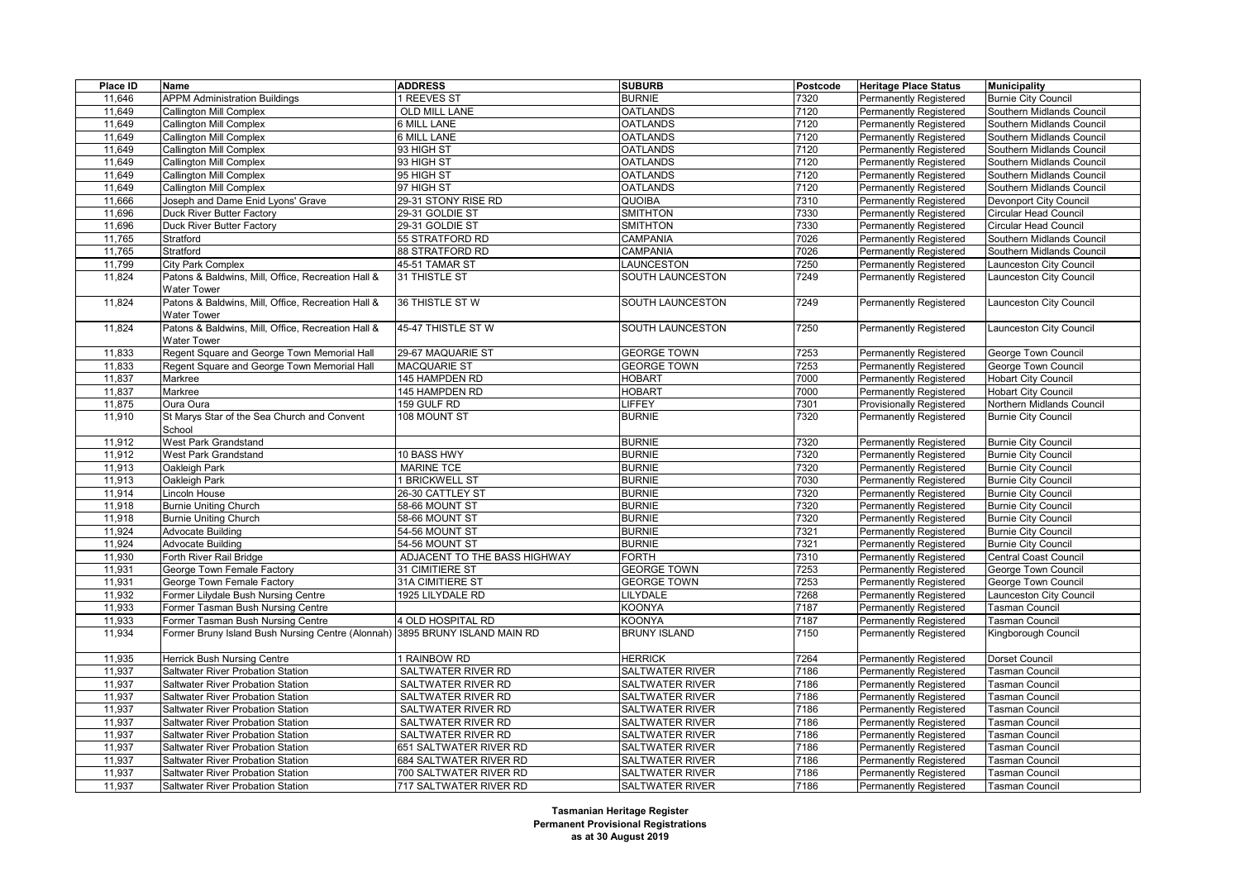| Place ID | Name                                               | <b>ADDRESS</b>                     | <b>SUBURB</b>          | Postcode | <b>Heritage Place Status</b>                     | <b>Municipality</b>          |
|----------|----------------------------------------------------|------------------------------------|------------------------|----------|--------------------------------------------------|------------------------------|
| 11,646   | <b>APPM Administration Buildings</b>               | 1 REEVES ST                        | <b>BURNIE</b>          | 7320     | Permanently Registered                           | <b>Burnie City Council</b>   |
| 11,649   | <b>Callington Mill Complex</b>                     | <b>OLD MILL LANE</b>               | <b>OATLANDS</b>        | 7120     | Permanently Registered                           | Southern Midlands Council    |
| 11,649   | <b>Callington Mill Complex</b>                     | <b>6 MILL LANE</b>                 | <b>OATLANDS</b>        | 7120     | Permanently Registered                           | Southern Midlands Council    |
| 11,649   | <b>Callington Mill Complex</b>                     | 6 MILL LANE                        | <b>OATLANDS</b>        | 7120     | Permanently Registered                           | Southern Midlands Council    |
| 11,649   | <b>Callington Mill Complex</b>                     | 93 HIGH ST                         | <b>OATLANDS</b>        | 7120     | Permanently Registered                           | Southern Midlands Council    |
| 11,649   | <b>Callington Mill Complex</b>                     | 93 HIGH ST                         | <b>OATLANDS</b>        | 7120     | Permanently Registered                           | Southern Midlands Council    |
| 11,649   | <b>Callington Mill Complex</b>                     | 95 HIGH ST                         | <b>OATLANDS</b>        | 7120     | Permanently Registered                           | Southern Midlands Council    |
| 11,649   | <b>Callington Mill Complex</b>                     | 97 HIGH ST                         | <b>OATLANDS</b>        | 7120     | Permanently Registered                           | Southern Midlands Council    |
| 11,666   | Joseph and Dame Enid Lyons' Grave                  | 29-31 STONY RISE RD                | <b>QUOIBA</b>          | 7310     | Permanently Registered                           | Devonport City Council       |
| 11,696   | Duck River Butter Factory                          | 29-31 GOLDIE ST                    | <b>SMITHTON</b>        | 7330     | Permanently Registered                           | <b>Circular Head Council</b> |
| 11,696   | Duck River Butter Factory                          | 29-31 GOLDIE ST                    | <b>SMITHTON</b>        | 7330     | Permanently Registered                           | <b>Circular Head Council</b> |
| 11,765   | Stratford                                          | 55 STRATFORD RD                    | CAMPANIA               | 7026     | Permanently Registered                           | Southern Midlands Council    |
| 11,765   | Stratford                                          | 88 STRATFORD RD                    | CAMPANIA               | 7026     | Permanently Registered                           | Southern Midlands Council    |
| 11,799   | City Park Complex                                  | 45-51 TAMAR ST                     | LAUNCESTON             | 7250     | Permanently Registered                           | aunceston City Council       |
| 11,824   | Patons & Baldwins, Mill, Office, Recreation Hall & | 31 THISTLE ST                      | SOUTH LAUNCESTON       | 7249     | Permanently Registered                           | Launceston City Council      |
|          | <b>Water Tower</b>                                 |                                    |                        |          |                                                  |                              |
| 11,824   | Patons & Baldwins, Mill, Office, Recreation Hall & | 36 THISTLE ST W                    | SOUTH LAUNCESTON       | 7249     | Permanently Registered                           | aunceston City Council       |
|          | Water Tower                                        |                                    |                        |          |                                                  |                              |
| 11,824   | Patons & Baldwins, Mill, Office, Recreation Hall & | 45-47 THISTLE ST W                 | SOUTH LAUNCESTON       | 7250     | Permanently Registered                           | aunceston City Council       |
|          | <b>Water Tower</b>                                 |                                    |                        |          |                                                  |                              |
| 11,833   | Regent Square and George Town Memorial Hall        | 29-67 MAQUARIE ST                  | <b>GEORGE TOWN</b>     | 7253     | Permanently Registered                           | George Town Council          |
| 11,833   | Regent Square and George Town Memorial Hall        | <b>MACQUARIE ST</b>                | <b>GEORGE TOWN</b>     | 7253     | Permanently Registered                           | <b>George Town Council</b>   |
| 11,837   | Markree                                            | 145 HAMPDEN RD                     | <b>HOBART</b>          | 7000     | Permanently Registered                           | <b>Hobart City Council</b>   |
| 11,837   | Markree                                            | 145 HAMPDEN RD                     | <b>HOBART</b>          | 7000     | Permanently Registered                           | <b>Hobart City Council</b>   |
| 11,875   | Oura Oura                                          | 159 GULF RD                        | LIFFEY                 | 7301     | <b>Provisionally Registered</b>                  | Northern Midlands Council    |
| 11,910   | St Marys Star of the Sea Church and Convent        | 108 MOUNT ST                       | <b>BURNIE</b>          | 7320     | Permanently Registered                           | <b>Burnie City Council</b>   |
|          | School                                             |                                    |                        |          |                                                  |                              |
| 11,912   | West Park Grandstand                               |                                    | <b>BURNIE</b>          | 7320     | Permanently Registered                           | <b>Burnie City Council</b>   |
| 11,912   | West Park Grandstand                               | 10 BASS HWY                        | <b>BURNIE</b>          | 7320     | Permanently Registered                           | <b>Burnie City Council</b>   |
| 11,913   | Oakleigh Park                                      | <b>MARINE TCE</b>                  | <b>BURNIE</b>          | 7320     | <b>Permanently Registered</b>                    | <b>Burnie City Council</b>   |
| 11,913   | Oakleigh Park                                      | 1 BRICKWELL ST                     | <b>BURNIE</b>          | 7030     | Permanently Registered                           | <b>Burnie City Council</b>   |
| 11,914   | Lincoln House                                      | 26-30 CATTLEY ST                   | <b>BURNIE</b>          | 7320     | Permanently Registered                           | <b>Burnie City Council</b>   |
| 11,918   | <b>Burnie Uniting Church</b>                       | 58-66 MOUNT ST                     | <b>BURNIE</b>          | 7320     | Permanently Registered                           | <b>Burnie City Council</b>   |
| 11,918   | <b>Burnie Uniting Church</b>                       | 58-66 MOUNT ST                     | <b>BURNIE</b>          | 7320     | Permanently Registered                           | <b>Burnie City Council</b>   |
| 11,924   | Advocate Building                                  | 54-56 MOUNT ST                     | <b>BURNIE</b>          | 7321     | Permanently Registered                           | <b>Burnie City Council</b>   |
| 11,924   | <b>Advocate Building</b>                           | 54-56 MOUNT ST                     | <b>BURNIE</b>          | 7321     | Permanently Registered                           | <b>Burnie City Council</b>   |
| 11,930   | Forth River Rail Bridge                            | ADJACENT TO THE BASS HIGHWAY       | <b>FORTH</b>           | 7310     | Permanently Registered                           | Central Coast Council        |
| 11,931   | George Town Female Factory                         | 31 CIMITIERE ST                    | <b>GEORGE TOWN</b>     | 7253     | Permanently Registered                           | <b>George Town Council</b>   |
| 11,931   | George Town Female Factory                         | 31A CIMITIERE ST                   | <b>GEORGE TOWN</b>     | 7253     |                                                  | <b>George Town Council</b>   |
| 11,932   | Former Lilydale Bush Nursing Centre                | 1925 LILYDALE RD                   | LILYDALE               | 7268     | Permanently Registered<br>Permanently Registered | Launceston City Council      |
| 11,933   |                                                    |                                    | <b>KOONYA</b>          | 7187     |                                                  | <b>Fasman Council</b>        |
|          | Former Tasman Bush Nursing Centre                  | 4 OLD HOSPITAL RD                  | KOONYA                 | 7187     | Permanently Registered                           | Tasman Council               |
| 11,933   | Former Tasman Bush Nursing Centre                  | 3895 BRUNY ISLAND MAIN RD          | <b>BRUNY ISLAND</b>    | 7150     | Permanently Registered                           |                              |
| 11,934   | Former Bruny Island Bush Nursing Centre (Alonnah)  |                                    |                        |          | Permanently Registered                           | <b>Kingborough Council</b>   |
|          |                                                    |                                    |                        |          |                                                  |                              |
| 11,935   | Herrick Bush Nursing Centre                        | 1 RAINBOW RD<br>SALTWATER RIVER RD | <b>HERRICK</b>         | 7264     | <b>Permanently Registered</b>                    | Dorset Council               |
| 11,937   | Saltwater River Probation Station                  |                                    | <b>SALTWATER RIVER</b> | 7186     | Permanently Registered                           | Tasman Council               |
| 11,937   | Saltwater River Probation Station                  | SALTWATER RIVER RD                 | <b>SALTWATER RIVER</b> | 7186     | Permanently Registered                           | <b>Fasman Council</b>        |
| 11,937   | Saltwater River Probation Station                  | SALTWATER RIVER RD                 | SALTWATER RIVER        | 7186     | Permanently Registered                           | Tasman Council               |
| 11,937   | Saltwater River Probation Station                  | SALTWATER RIVER RD                 | <b>SALTWATER RIVER</b> | 7186     | Permanently Registered                           | Tasman Council               |
| 11,937   | Saltwater River Probation Station                  | SALTWATER RIVER RD                 | SALTWATER RIVER        | 7186     | Permanently Registered                           | asman Council                |
| 11,937   | Saltwater River Probation Station                  | SALTWATER RIVER RD                 | SALTWATER RIVER        | 7186     | Permanently Registered                           | Tasman Council               |
| 11,937   | <b>Saltwater River Probation Station</b>           | 651 SALTWATER RIVER RD             | <b>SALTWATER RIVER</b> | 7186     | Permanently Registered                           | Tasman Council               |
| 11,937   | Saltwater River Probation Station                  | 684 SALTWATER RIVER RD             | <b>SALTWATER RIVER</b> | 7186     | Permanently Registered                           | <b>Fasman Council</b>        |
| 11,937   | Saltwater River Probation Station                  | 700 SALTWATER RIVER RD             | SALTWATER RIVER        | 7186     | Permanently Registered                           | Tasman Council               |
| 11,937   | Saltwater River Probation Station                  | 717 SALTWATER RIVER RD             | <b>SALTWATER RIVER</b> | 7186     | Permanently Registered                           | <b>Tasman Council</b>        |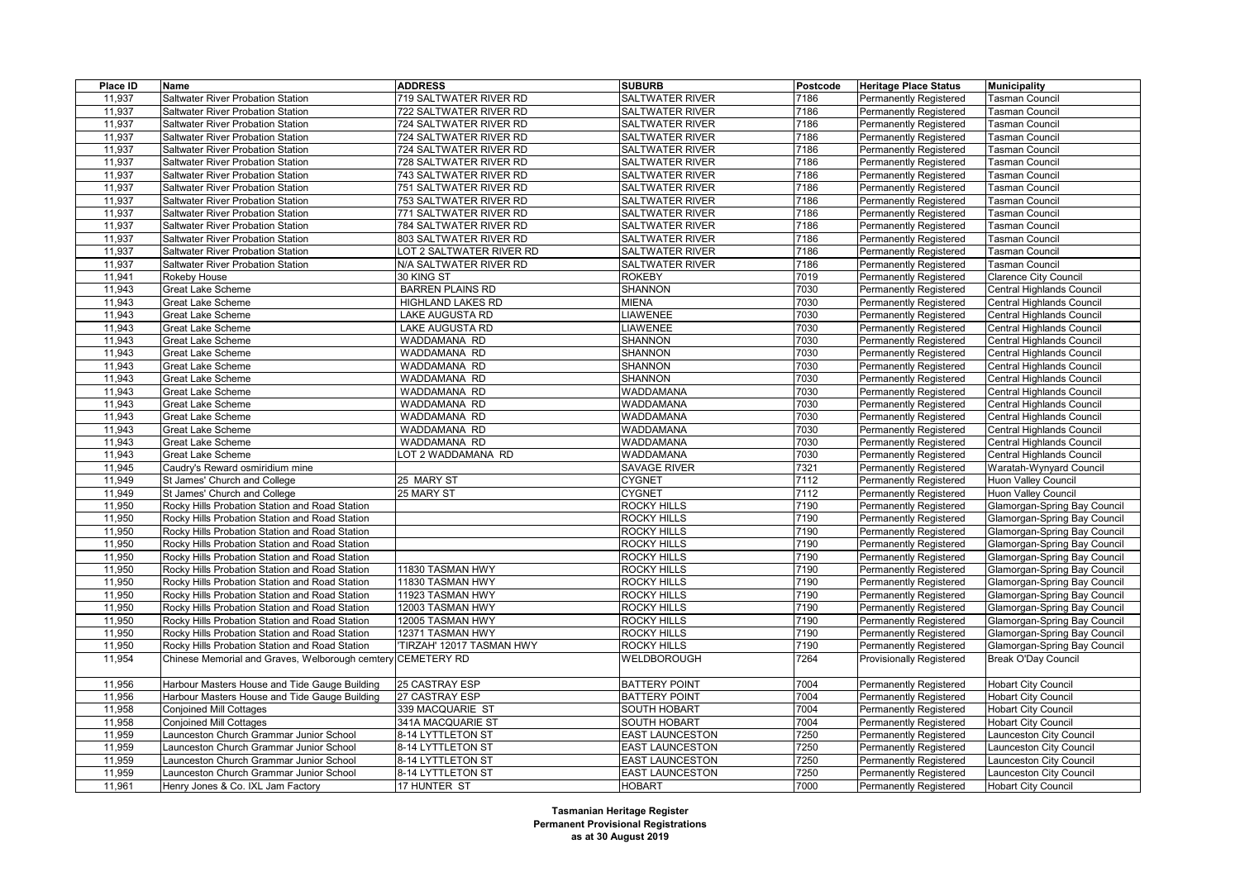| Place ID | Name                                                            | <b>ADDRESS</b>                       | <b>SUBURB</b>              | <b>Postcode</b> | <b>Heritage Place Status</b>    | <b>Municipality</b>            |
|----------|-----------------------------------------------------------------|--------------------------------------|----------------------------|-----------------|---------------------------------|--------------------------------|
| 11,937   | Saltwater River Probation Station                               | 719 SALTWATER RIVER RD               | <b>SALTWATER RIVER</b>     | 7186            | <b>Permanently Registered</b>   | <b>Tasman Council</b>          |
| 11,937   | <b>Saltwater River Probation Station</b>                        | 722 SALTWATER RIVER RD               | <b>SALTWATER RIVER</b>     | 7186            | <b>Permanently Registered</b>   | Tasman Council                 |
| 11,937   | Saltwater River Probation Station                               | 724 SALTWATER RIVER RD               | <b>SALTWATER RIVER</b>     | 7186            | <b>Permanently Registered</b>   | Tasman Council                 |
| 11,937   | Saltwater River Probation Station                               | 724 SALTWATER RIVER RD               | SALTWATER RIVER            | 7186            | <b>Permanently Registered</b>   | Tasman Council                 |
| 11,937   | Saltwater River Probation Station                               | 724 SALTWATER RIVER RD               | <b>SALTWATER RIVER</b>     | 7186            | Permanently Registered          | Tasman Council                 |
| 11,937   | Saltwater River Probation Station                               | 728 SALTWATER RIVER RD               | <b>SALTWATER RIVER</b>     | 7186            | <b>Permanently Registered</b>   | Tasman Council                 |
| 11,937   | Saltwater River Probation Station                               | 743 SALTWATER RIVER RD               | SALTWATER RIVER            | 7186            | <b>Permanently Registered</b>   | Tasman Council                 |
| 11,937   | Saltwater River Probation Station                               | 751 SALTWATER RIVER RD               | SALTWATER RIVER            | 7186            | Permanently Registered          | Tasman Council                 |
| 11,937   | Saltwater River Probation Station                               | 753 SALTWATER RIVER RD               | <b>SALTWATER RIVER</b>     | 7186            | <b>Permanently Registered</b>   | Tasman Council                 |
| 11,937   | Saltwater River Probation Station                               | 771 SALTWATER RIVER RD               | SALTWATER RIVER            | 7186            | <b>Permanently Registered</b>   | Tasman Council                 |
| 11,937   | Saltwater River Probation Station                               | 784 SALTWATER RIVER RD               | <b>SALTWATER RIVER</b>     | 7186            | <b>Permanently Registered</b>   | Tasman Council                 |
| 11,937   | Saltwater River Probation Station                               | 803 SALTWATER RIVER RD               | <b>SALTWATER RIVER</b>     | 7186            | <b>Permanently Registered</b>   | Tasman Council                 |
| 11,937   | Saltwater River Probation Station                               | OT 2 SALTWATER RIVER RD              | SALTWATER RIVER            | 7186            | <b>Permanently Registered</b>   | <b>Tasman Council</b>          |
| 11,937   | Saltwater River Probation Station                               | N/A SALTWATER RIVER RD               | SALTWATER RIVER            | 7186            | <b>Permanently Registered</b>   | <b>Tasman Council</b>          |
| 11,941   | Rokeby House                                                    | 30 KING ST                           | <b>ROKEBY</b>              | 7019            | <b>Permanently Registered</b>   | Clarence City Council          |
| 11,943   | Great Lake Scheme                                               | <b>BARREN PLAINS RD</b>              | <b>SHANNON</b>             | 7030            | <b>Permanently Registered</b>   | Central Highlands Council      |
| 11,943   | <b>Great Lake Scheme</b>                                        | HIGHLAND LAKES RD                    | MIENA                      | 7030            | Permanently Registered          | Central Highlands Council      |
| 11,943   | <b>Great Lake Scheme</b>                                        | LAKE AUGUSTA RD                      | LIAWENEE                   | 7030            | Permanently Registered          | Central Highlands Council      |
| 11,943   | <b>Great Lake Scheme</b>                                        | <b>LAKE AUGUSTA RD</b>               | <b>LIAWENEE</b>            | 7030            | <b>Permanently Registered</b>   | Central Highlands Council      |
| 11,943   | <b>Great Lake Scheme</b>                                        | WADDAMANA RD                         | <b>SHANNON</b>             | 7030            | <b>Permanently Registered</b>   | Central Highlands Council      |
| 11,943   | <b>Great Lake Scheme</b>                                        | WADDAMANA RD                         | SHANNON                    | 7030            | <b>Permanently Registered</b>   | Central Highlands Council      |
| 11,943   | <b>Great Lake Scheme</b>                                        | WADDAMANA RD                         | <b>SHANNON</b>             | 7030            | <b>Permanently Registered</b>   | Central Highlands Council      |
| 11,943   | <b>Great Lake Scheme</b>                                        | WADDAMANA RD                         | <b>SHANNON</b>             | 7030            | <b>Permanently Registered</b>   | Central Highlands Council      |
| 11,943   | <b>Great Lake Scheme</b>                                        | WADDAMANA RD                         | WADDAMANA                  | 7030            | Permanently Registered          | Central Highlands Council      |
| 11,943   | <b>Great Lake Scheme</b>                                        | WADDAMANA RD                         | WADDAMANA                  | 7030            | <b>Permanently Registered</b>   | Central Highlands Council      |
| 11,943   | <b>Great Lake Scheme</b>                                        | WADDAMANA RD                         | WADDAMANA                  | 7030            | <b>Permanently Registered</b>   | Central Highlands Council      |
| 11,943   | <b>Great Lake Scheme</b>                                        | WADDAMANA RD                         | WADDAMANA                  | 7030            | <b>Permanently Registered</b>   | Central Highlands Council      |
| 11,943   | <b>Great Lake Scheme</b>                                        | WADDAMANA RD                         | WADDAMANA                  | 7030            | <b>Permanently Registered</b>   | Central Highlands Council      |
| 11,943   | <b>Great Lake Scheme</b>                                        | OT 2 WADDAMANA RD                    | <b>WADDAMANA</b>           | 7030            | <b>Permanently Registered</b>   | Central Highlands Council      |
| 11,945   |                                                                 |                                      | <b>SAVAGE RIVER</b>        | 7321            | <b>Permanently Registered</b>   | Waratah-Wynyard Council        |
| 11,949   | Caudry's Reward osmiridium mine<br>St James' Church and College | 25 MARY ST                           | <b>CYGNET</b>              | 7112            | Permanently Registered          | <b>Huon Valley Council</b>     |
| 11,949   | St James' Church and College                                    | 25 MARY ST                           | <b>CYGNET</b>              | 7112            | <b>Permanently Registered</b>   | <b>Huon Valley Council</b>     |
| 11,950   | Rocky Hills Probation Station and Road Station                  |                                      | <b>ROCKY HILLS</b>         | 7190            |                                 | Glamorgan-Spring Bay Council   |
| 11,950   |                                                                 |                                      | <b>ROCKY HILLS</b>         |                 | <b>Permanently Registered</b>   |                                |
|          | Rocky Hills Probation Station and Road Station                  |                                      | <b>ROCKY HILLS</b>         | 7190<br>7190    | <b>Permanently Registered</b>   | Glamorgan-Spring Bay Council   |
| 11,950   | Rocky Hills Probation Station and Road Station                  |                                      |                            |                 | <b>Permanently Registered</b>   | Glamorgan-Spring Bay Council   |
| 11,950   | Rocky Hills Probation Station and Road Station                  |                                      | <b>ROCKY HILLS</b>         | 7190            | <b>Permanently Registered</b>   | Glamorgan-Spring Bay Council   |
| 11,950   | Rocky Hills Probation Station and Road Station                  |                                      | ROCKY HILLS                | 7190            | <b>Permanently Registered</b>   | Glamorgan-Spring Bay Council   |
| 11,950   | Rocky Hills Probation Station and Road Station                  | 11830 TASMAN HWY                     | ROCKY HILLS                | 7190            | <b>Permanently Registered</b>   | Glamorgan-Spring Bay Council   |
| 11,950   | Rocky Hills Probation Station and Road Station                  | 11830 TASMAN HWY                     | <b>ROCKY HILLS</b>         | 7190            | <b>Permanently Registered</b>   | Glamorgan-Spring Bay Council   |
| 11,950   | Rocky Hills Probation Station and Road Station                  | 11923 TASMAN HWY<br>12003 TASMAN HWY | ROCKY HILLS<br>ROCKY HILLS | 7190<br>7190    | <b>Permanently Registered</b>   | Glamorgan-Spring Bay Council   |
| 11,950   | Rocky Hills Probation Station and Road Station                  |                                      |                            |                 | Permanently Registered          | Glamorgan-Spring Bay Council   |
| 11,950   | Rocky Hills Probation Station and Road Station                  | 12005 TASMAN HWY                     | <b>ROCKY HILLS</b>         | 7190            | <b>Permanently Registered</b>   | Glamorgan-Spring Bay Council   |
| 11,950   | Rocky Hills Probation Station and Road Station                  | 12371 TASMAN HWY                     | ROCKY HILLS<br>ROCKY HILLS | 7190            | <b>Permanently Registered</b>   | Glamorgan-Spring Bay Council   |
| 11,950   | Rocky Hills Probation Station and Road Station                  | TIRZAH' 12017 TASMAN HWY             |                            | 7190            | <b>Permanently Registered</b>   | Glamorgan-Spring Bay Council   |
| 11,954   | Chinese Memorial and Graves, Welborough cemtery CEMETERY RD     |                                      | WELDBOROUGH                | 7264            | <b>Provisionally Registered</b> | Break O'Day Council            |
| 11,956   | Harbour Masters House and Tide Gauge Building                   | 25 CASTRAY ESP                       | <b>BATTERY POINT</b>       | 7004            | <b>Permanently Registered</b>   | <b>Hobart City Council</b>     |
| 11,956   | Harbour Masters House and Tide Gauge Building                   | 27 CASTRAY ESP                       | <b>BATTERY POINT</b>       | 7004            | <b>Permanently Registered</b>   | <b>Hobart City Council</b>     |
| 11,958   | <b>Conjoined Mill Cottages</b>                                  | 339 MACQUARIE ST                     | <b>SOUTH HOBART</b>        | 7004            | <b>Permanently Registered</b>   | <b>Hobart City Council</b>     |
| 11,958   | <b>Conjoined Mill Cottages</b>                                  | 341A MACQUARIE ST                    | SOUTH HOBART               | 7004            | Permanently Registered          | <b>Hobart City Council</b>     |
| 11,959   | Launceston Church Grammar Junior School                         | 8-14 LYTTLETON ST                    | <b>EAST LAUNCESTON</b>     | 7250            | <b>Permanently Registered</b>   | Launceston City Council        |
| 11,959   | Launceston Church Grammar Junior School                         | 8-14 LYTTLETON ST                    | <b>EAST LAUNCESTON</b>     | 7250            | <b>Permanently Registered</b>   | Launceston City Council        |
| 11,959   | aunceston Church Grammar Junior School                          | 8-14 LYTTLETON ST                    | <b>EAST LAUNCESTON</b>     | 7250            | Permanently Registered          | Launceston City Council        |
| 11,959   | Launceston Church Grammar Junior School                         | 8-14 LYTTLETON ST                    | <b>EAST LAUNCESTON</b>     | 7250            | <b>Permanently Registered</b>   | <b>Launceston City Council</b> |
| 11,961   | Henry Jones & Co. IXL Jam Factory                               | 17 HUNTER ST                         | <b>HOBART</b>              | 7000            | <b>Permanently Registered</b>   | <b>Hobart City Council</b>     |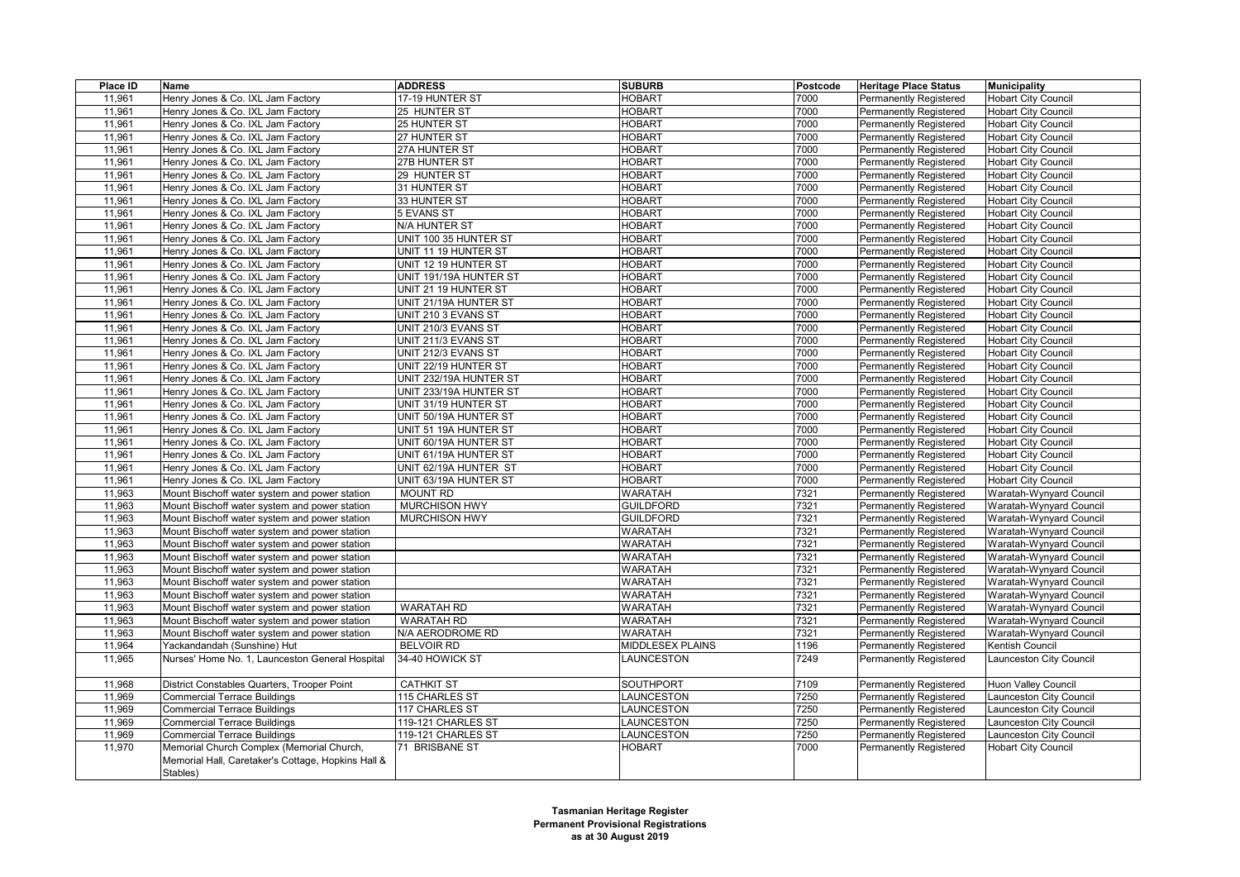| Place ID | Name                                               | <b>ADDRESS</b>         | <b>SUBURB</b>     | Postcode | <b>Heritage Place Status</b>  | <b>Municipality</b>        |
|----------|----------------------------------------------------|------------------------|-------------------|----------|-------------------------------|----------------------------|
| 11,961   | Henry Jones & Co. IXL Jam Factory                  | 17-19 HUNTER ST        | <b>HOBART</b>     | 7000     | <b>Permanently Registered</b> | <b>Hobart City Council</b> |
| 11,961   | Henry Jones & Co. IXL Jam Factory                  | 25 HUNTER ST           | <b>HOBART</b>     | 7000     | <b>Permanently Registered</b> | <b>Hobart City Council</b> |
| 11,961   | Henry Jones & Co. IXL Jam Factory                  | 25 HUNTER ST           | <b>HOBART</b>     | 7000     | <b>Permanently Registered</b> | <b>Hobart City Council</b> |
| 11,961   | Henry Jones & Co. IXL Jam Factory                  | 27 HUNTER ST           | <b>HOBART</b>     | 7000     | Permanently Registered        | <b>Hobart City Council</b> |
| 11,961   | Henry Jones & Co. IXL Jam Factory                  | 27A HUNTER ST          | <b>HOBART</b>     | 7000     | Permanently Registered        | <b>Hobart City Council</b> |
| 11,961   | Henry Jones & Co. IXL Jam Factory                  | 27B HUNTER ST          | <b>HOBART</b>     | 7000     | <b>Permanently Registered</b> | <b>Hobart City Council</b> |
| 11,961   | Henry Jones & Co. IXL Jam Factory                  | 29 HUNTER ST           | <b>HOBART</b>     | 7000     | <b>Permanently Registered</b> | <b>Hobart City Council</b> |
| 11,961   | Henry Jones & Co. IXL Jam Factory                  | 31 HUNTER ST           | <b>HOBART</b>     | 7000     | Permanently Registered        | <b>Hobart City Council</b> |
| 11,961   | Henry Jones & Co. IXL Jam Factory                  | 33 HUNTER ST           | <b>HOBART</b>     | 7000     | <b>Permanently Registered</b> | <b>Hobart City Council</b> |
| 11,961   | Henry Jones & Co. IXL Jam Factory                  | 5 EVANS ST             | <b>HOBART</b>     | 7000     | <b>Permanently Registered</b> | <b>Hobart City Council</b> |
| 11,961   | Henry Jones & Co. IXL Jam Factory                  | N/A HUNTER ST          | <b>HOBART</b>     | 7000     | <b>Permanently Registered</b> | <b>Hobart City Council</b> |
| 11,961   | Henry Jones & Co. IXL Jam Factory                  | UNIT 100 35 HUNTER ST  | <b>HOBART</b>     | 7000     | <b>Permanently Registered</b> | Hobart City Council        |
| 11,961   | Henry Jones & Co. IXL Jam Factory                  | UNIT 11 19 HUNTER ST   | <b>HOBART</b>     | 7000     | <b>Permanently Registered</b> | <b>Hobart City Council</b> |
| 11,961   | Henry Jones & Co. IXL Jam Factory                  | UNIT 12 19 HUNTER ST   | <b>HOBART</b>     | 7000     | <b>Permanently Registered</b> | <b>Hobart City Council</b> |
| 11,961   | Henry Jones & Co. IXL Jam Factory                  | UNIT 191/19A HUNTER ST | <b>HOBART</b>     | 7000     | <b>Permanently Registered</b> | <b>Hobart City Council</b> |
| 11,961   | Henry Jones & Co. IXL Jam Factory                  | UNIT 21 19 HUNTER ST   | <b>HOBART</b>     | 7000     | <b>Permanently Registered</b> | <b>Hobart City Council</b> |
| 11,961   | Henry Jones & Co. IXL Jam Factory                  | UNIT 21/19A HUNTER ST  | <b>HOBART</b>     | 7000     | <b>Permanently Registered</b> | <b>Hobart City Council</b> |
| 11,961   | Henry Jones & Co. IXL Jam Factory                  | UNIT 210 3 EVANS ST    | <b>HOBART</b>     | 7000     | <b>Permanently Registered</b> | <b>Hobart City Council</b> |
| 11,961   | Henry Jones & Co. IXL Jam Factory                  | UNIT 210/3 EVANS ST    | <b>HOBART</b>     | 7000     | Permanently Registered        | <b>Hobart City Council</b> |
| 11,961   | Henry Jones & Co. IXL Jam Factory                  | UNIT 211/3 EVANS ST    | <b>HOBART</b>     | 7000     | <b>Permanently Registered</b> | <b>Hobart City Council</b> |
| 11,961   | Henry Jones & Co. IXL Jam Factory                  | UNIT 212/3 EVANS ST    | <b>HOBART</b>     | 7000     | <b>Permanently Registered</b> | <b>Hobart City Council</b> |
| 11,961   | Henry Jones & Co. IXL Jam Factory                  | UNIT 22/19 HUNTER ST   | <b>HOBART</b>     | 7000     | <b>Permanently Registered</b> | <b>Hobart City Council</b> |
| 11,961   | Henry Jones & Co. IXL Jam Factory                  | UNIT 232/19A HUNTER ST | <b>HOBART</b>     | 7000     | <b>Permanently Registered</b> | <b>Hobart City Council</b> |
| 11,961   | Henry Jones & Co. IXL Jam Factory                  | UNIT 233/19A HUNTER ST | <b>HOBART</b>     | 7000     | <b>Permanently Registered</b> | <b>Hobart City Council</b> |
| 11,961   | Henry Jones & Co. IXL Jam Factory                  | UNIT 31/19 HUNTER ST   | <b>HOBART</b>     | 7000     | <b>Permanently Registered</b> | <b>Hobart City Council</b> |
| 11,961   | Henry Jones & Co. IXL Jam Factory                  | UNIT 50/19A HUNTER ST  | <b>HOBART</b>     | 7000     | <b>Permanently Registered</b> | <b>Hobart City Council</b> |
| 11,961   | Henry Jones & Co. IXL Jam Factory                  | UNIT 51 19A HUNTER ST  | <b>HOBART</b>     | 7000     | <b>Permanently Registered</b> | <b>Hobart City Council</b> |
| 11,961   | Henry Jones & Co. IXL Jam Factory                  | UNIT 60/19A HUNTER ST  | <b>HOBART</b>     | 7000     | <b>Permanently Registered</b> | <b>Hobart City Council</b> |
| 11,961   | Henry Jones & Co. IXL Jam Factory                  | UNIT 61/19A HUNTER ST  | <b>HOBART</b>     | 7000     | <b>Permanently Registered</b> | <b>Hobart City Council</b> |
| 11,961   | Henry Jones & Co. IXL Jam Factory                  | UNIT 62/19A HUNTER ST  | <b>HOBART</b>     | 7000     | <b>Permanently Registered</b> | <b>Hobart City Council</b> |
| 11,961   | Henry Jones & Co. IXL Jam Factory                  | UNIT 63/19A HUNTER ST  | <b>HOBART</b>     | 7000     | <b>Permanently Registered</b> | <b>Hobart City Council</b> |
| 11,963   | Mount Bischoff water system and power station      | <b>MOUNT RD</b>        | <b>WARATAH</b>    | 7321     | <b>Permanently Registered</b> | Waratah-Wynyard Council    |
| 11,963   | Mount Bischoff water system and power station      | <b>MURCHISON HWY</b>   | <b>GUILDFORD</b>  | 7321     | <b>Permanently Registered</b> | Waratah-Wynyard Council    |
| 11,963   | Mount Bischoff water system and power station      | <b>MURCHISON HWY</b>   | <b>GUILDFORD</b>  | 7321     | Permanently Registered        | Waratah-Wynyard Council    |
| 11,963   | Mount Bischoff water system and power station      |                        | <b>WARATAH</b>    | 7321     | Permanently Registered        | Waratah-Wynyard Council    |
| 11,963   | Mount Bischoff water system and power station      |                        | <b>WARATAH</b>    | 7321     | Permanently Registered        | Waratah-Wynyard Council    |
| 11,963   | Mount Bischoff water system and power station      |                        | <b>WARATAH</b>    | 7321     | <b>Permanently Registered</b> | Waratah-Wynyard Council    |
| 11,963   | Mount Bischoff water system and power station      |                        | <b>WARATAH</b>    | 7321     | Permanently Registered        | Waratah-Wynyard Council    |
| 11,963   | Mount Bischoff water system and power station      |                        | <b>WARATAH</b>    | 7321     | Permanently Registered        | Waratah-Wynyard Council    |
| 11,963   | Mount Bischoff water system and power station      |                        | <b>WARATAH</b>    | 7321     | <b>Permanently Registered</b> | Waratah-Wynyard Council    |
| 11,963   | Mount Bischoff water system and power station      | <b>WARATAH RD</b>      | <b>WARATAH</b>    | 7321     | <b>Permanently Registered</b> | Waratah-Wynyard Council    |
| 11,963   | Mount Bischoff water system and power station      | <b>WARATAH RD</b>      | <b>WARATAH</b>    | 7321     | <b>Permanently Registered</b> | Waratah-Wynyard Council    |
| 11,963   | Mount Bischoff water system and power station      | N/A AERODROME RD       | <b>WARATAH</b>    | 7321     | <b>Permanently Registered</b> | Waratah-Wynyard Council    |
| 11,964   | Yackandandah (Sunshine) Hut                        | <b>BELVOIR RD</b>      | MIDDLESEX PLAINS  | 1196     | Permanently Registered        | <b>Kentish Council</b>     |
| 11,965   | Nurses' Home No. 1, Launceston General Hospital    | 34-40 HOWICK ST        | LAUNCESTON        | 7249     | Permanently Registered        | aunceston City Council     |
| 11,968   | District Constables Quarters, Trooper Point        | <b>CATHKIT ST</b>      | SOUTHPORT         | 7109     | <b>Permanently Registered</b> | <b>Huon Valley Council</b> |
| 11,969   | <b>Commercial Terrace Buildings</b>                | 115 CHARLES ST         | <b>LAUNCESTON</b> | 7250     | <b>Permanently Registered</b> | aunceston City Council     |
| 11,969   | <b>Commercial Terrace Buildings</b>                | 117 CHARLES ST         | LAUNCESTON        | 7250     | Permanently Registered        | aunceston City Council     |
| 11,969   | <b>Commercial Terrace Buildings</b>                | 119-121 CHARLES ST     | LAUNCESTON        | 7250     | Permanently Registered        | Launceston City Council    |
| 11,969   | <b>Commercial Terrace Buildings</b>                | 119-121 CHARLES ST     | LAUNCESTON        | 7250     | <b>Permanently Registered</b> | Launceston City Council    |
| 11,970   | Memorial Church Complex (Memorial Church,          | 71 BRISBANE ST         | HOBART            | 7000     | Permanently Registered        | <b>Hobart City Council</b> |
|          | Memorial Hall, Caretaker's Cottage, Hopkins Hall & |                        |                   |          |                               |                            |
|          | Stables)                                           |                        |                   |          |                               |                            |